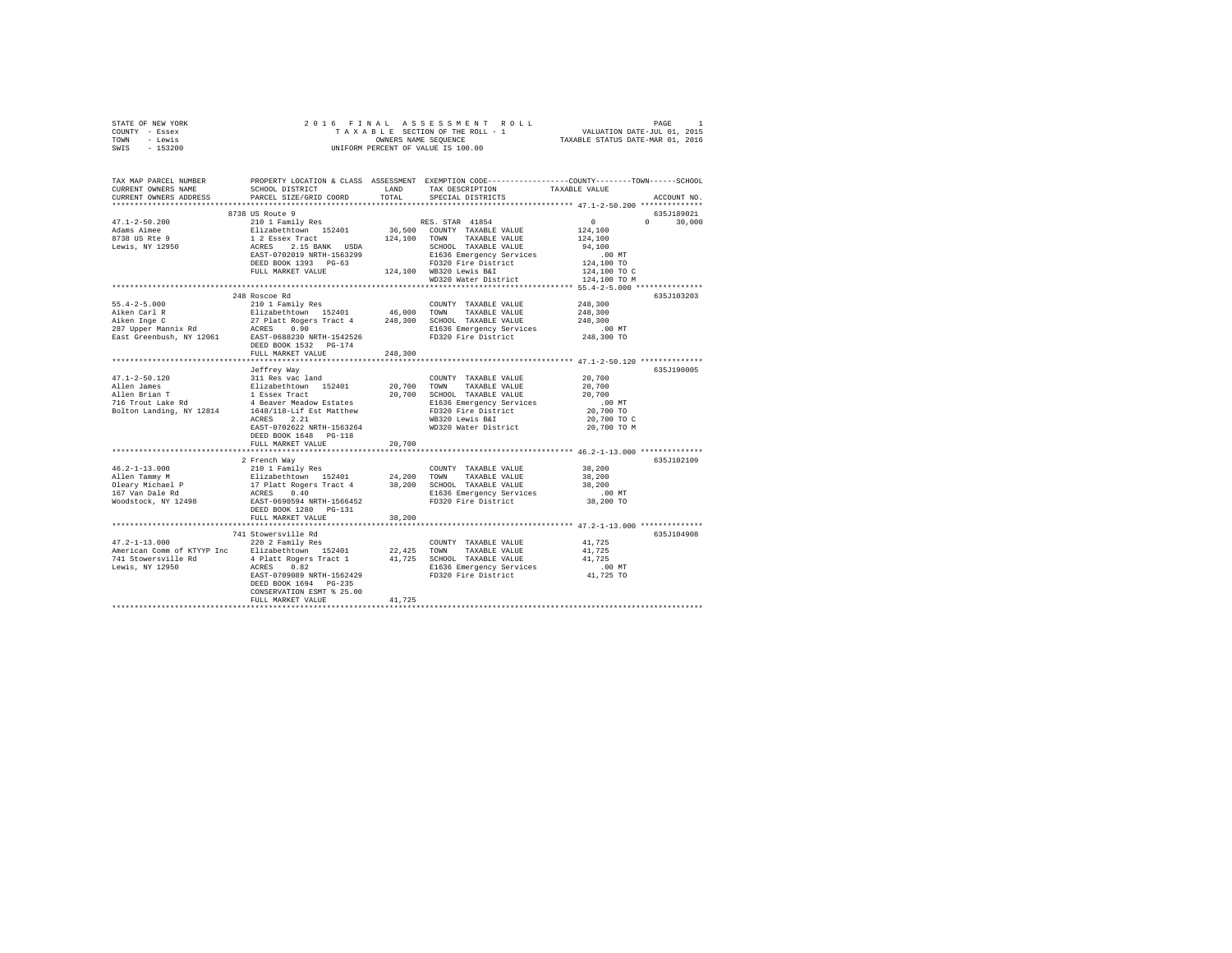| STATE OF NEW YORK                               |                                                                                                                                                                                                                                                                                                                                                       |         |                                                                                                                                                                                                                                |                                                                          |  |  |  |
|-------------------------------------------------|-------------------------------------------------------------------------------------------------------------------------------------------------------------------------------------------------------------------------------------------------------------------------------------------------------------------------------------------------------|---------|--------------------------------------------------------------------------------------------------------------------------------------------------------------------------------------------------------------------------------|--------------------------------------------------------------------------|--|--|--|
| COUNTY - Essex                                  |                                                                                                                                                                                                                                                                                                                                                       |         |                                                                                                                                                                                                                                |                                                                          |  |  |  |
| TOWN - Lewis                                    |                                                                                                                                                                                                                                                                                                                                                       |         |                                                                                                                                                                                                                                |                                                                          |  |  |  |
| SWIS - 153200                                   |                                                                                                                                                                                                                                                                                                                                                       |         |                                                                                                                                                                                                                                |                                                                          |  |  |  |
|                                                 |                                                                                                                                                                                                                                                                                                                                                       |         |                                                                                                                                                                                                                                |                                                                          |  |  |  |
|                                                 |                                                                                                                                                                                                                                                                                                                                                       |         |                                                                                                                                                                                                                                |                                                                          |  |  |  |
|                                                 |                                                                                                                                                                                                                                                                                                                                                       |         |                                                                                                                                                                                                                                |                                                                          |  |  |  |
|                                                 |                                                                                                                                                                                                                                                                                                                                                       |         | ${\tt SCHOOL\,\,\,DISTRICT} \qquad \qquad {\tt LAND} \qquad \qquad {\tt TAX\,\,\,DESCRIPTION} \qquad \qquad {\tt TAXABLE\,\,\,VALUE}$                                                                                          |                                                                          |  |  |  |
| CURRENT OWNERS ADDRESS                          | PARCEL SIZE/GRID COORD                                                                                                                                                                                                                                                                                                                                |         | TOTAL SPECIAL DISTRICTS                                                                                                                                                                                                        | ACCOUNT NO.                                                              |  |  |  |
|                                                 |                                                                                                                                                                                                                                                                                                                                                       |         |                                                                                                                                                                                                                                |                                                                          |  |  |  |
|                                                 | 8738 US Route 9                                                                                                                                                                                                                                                                                                                                       |         |                                                                                                                                                                                                                                | 635J189021                                                               |  |  |  |
| $47.1 - 2 - 50.200$                             | 210 1 Family Res                                                                                                                                                                                                                                                                                                                                      |         | RES. STAR 41854                                                                                                                                                                                                                | $\begin{smallmatrix}&&0\\&&2\\124,100\end{smallmatrix}$<br>$0 \t 30.000$ |  |  |  |
|                                                 |                                                                                                                                                                                                                                                                                                                                                       |         |                                                                                                                                                                                                                                |                                                                          |  |  |  |
|                                                 |                                                                                                                                                                                                                                                                                                                                                       |         |                                                                                                                                                                                                                                | 124,100                                                                  |  |  |  |
| Adams Aimee<br>8738 US Rte 9<br>Lewis, NY 12950 |                                                                                                                                                                                                                                                                                                                                                       |         |                                                                                                                                                                                                                                | 94,100                                                                   |  |  |  |
|                                                 | XES. STAR 41854<br>Elizabethcwn 152401 36,500 COUNTY TAXABLE VALUE<br>12 Essex Tract 124,100 TOWN TAXABLE VALUE<br>12 Essex Tract 124,100 TOWN TAXABLE VALUE<br>EAST-0702019 NRTH-156329<br>DEED FOOOL 9 NRTH-156329<br>DEED FOOOL 1393 PG                                                                                                            |         |                                                                                                                                                                                                                                | $124,100$ TO<br>$124,100$ TO<br>$124,100$ TO C                           |  |  |  |
|                                                 |                                                                                                                                                                                                                                                                                                                                                       |         |                                                                                                                                                                                                                                |                                                                          |  |  |  |
|                                                 |                                                                                                                                                                                                                                                                                                                                                       |         |                                                                                                                                                                                                                                |                                                                          |  |  |  |
|                                                 |                                                                                                                                                                                                                                                                                                                                                       |         | where the contract contract the contract of the contract of the contract of the contract of the contract of the contract of the contract of the contract of the contract of the contract of the contract of the contract of th |                                                                          |  |  |  |
|                                                 |                                                                                                                                                                                                                                                                                                                                                       |         |                                                                                                                                                                                                                                |                                                                          |  |  |  |
|                                                 | 248 Roscoe Rd                                                                                                                                                                                                                                                                                                                                         |         |                                                                                                                                                                                                                                | 635J103203                                                               |  |  |  |
|                                                 |                                                                                                                                                                                                                                                                                                                                                       |         |                                                                                                                                                                                                                                | 248,300                                                                  |  |  |  |
|                                                 |                                                                                                                                                                                                                                                                                                                                                       |         |                                                                                                                                                                                                                                |                                                                          |  |  |  |
|                                                 |                                                                                                                                                                                                                                                                                                                                                       |         |                                                                                                                                                                                                                                | 248,300<br>248,300                                                       |  |  |  |
|                                                 |                                                                                                                                                                                                                                                                                                                                                       |         |                                                                                                                                                                                                                                |                                                                          |  |  |  |
|                                                 |                                                                                                                                                                                                                                                                                                                                                       |         | E1636 Emergency Services .00 MT<br>FD320 Fire District 248,300 TO                                                                                                                                                              |                                                                          |  |  |  |
|                                                 | DEED BOOK 1532 PG-174                                                                                                                                                                                                                                                                                                                                 |         |                                                                                                                                                                                                                                |                                                                          |  |  |  |
|                                                 | FULL MARKET VALUE                                                                                                                                                                                                                                                                                                                                     | 248,300 |                                                                                                                                                                                                                                |                                                                          |  |  |  |
|                                                 |                                                                                                                                                                                                                                                                                                                                                       |         |                                                                                                                                                                                                                                | ********************************** 47.1-2-50.120 ***************         |  |  |  |
|                                                 | Jeffrey Way                                                                                                                                                                                                                                                                                                                                           |         |                                                                                                                                                                                                                                | 635J190005                                                               |  |  |  |
|                                                 |                                                                                                                                                                                                                                                                                                                                                       |         |                                                                                                                                                                                                                                | 20,700                                                                   |  |  |  |
|                                                 |                                                                                                                                                                                                                                                                                                                                                       |         |                                                                                                                                                                                                                                | 20,700                                                                   |  |  |  |
|                                                 |                                                                                                                                                                                                                                                                                                                                                       |         |                                                                                                                                                                                                                                | 20,700                                                                   |  |  |  |
|                                                 |                                                                                                                                                                                                                                                                                                                                                       |         |                                                                                                                                                                                                                                |                                                                          |  |  |  |
|                                                 |                                                                                                                                                                                                                                                                                                                                                       |         |                                                                                                                                                                                                                                | .00 MT<br>20,700 TO                                                      |  |  |  |
|                                                 |                                                                                                                                                                                                                                                                                                                                                       |         |                                                                                                                                                                                                                                |                                                                          |  |  |  |
|                                                 |                                                                                                                                                                                                                                                                                                                                                       |         |                                                                                                                                                                                                                                | 20,700 TO C<br>20,700 TO M                                               |  |  |  |
|                                                 |                                                                                                                                                                                                                                                                                                                                                       |         |                                                                                                                                                                                                                                |                                                                          |  |  |  |
|                                                 | DEED BOOK 1648 PG-118                                                                                                                                                                                                                                                                                                                                 |         |                                                                                                                                                                                                                                |                                                                          |  |  |  |
|                                                 | FULL MARKET VALUE                                                                                                                                                                                                                                                                                                                                     | 20,700  |                                                                                                                                                                                                                                |                                                                          |  |  |  |
|                                                 |                                                                                                                                                                                                                                                                                                                                                       |         |                                                                                                                                                                                                                                |                                                                          |  |  |  |
|                                                 | 2 French Way                                                                                                                                                                                                                                                                                                                                          |         |                                                                                                                                                                                                                                | 635J102109                                                               |  |  |  |
|                                                 |                                                                                                                                                                                                                                                                                                                                                       |         |                                                                                                                                                                                                                                | 38,200                                                                   |  |  |  |
|                                                 |                                                                                                                                                                                                                                                                                                                                                       |         |                                                                                                                                                                                                                                | 38,200                                                                   |  |  |  |
|                                                 |                                                                                                                                                                                                                                                                                                                                                       |         |                                                                                                                                                                                                                                | 38,200                                                                   |  |  |  |
|                                                 | $\begin{tabular}{l c c c c c} \hline 46.2-11.3.0000 & 21011124 & 24200 & 700NNY & TAXABLE VALUE \\ \hline A1en Tammy M & E111121 & 21011 & 242401 & 24200 & 700NN & TAXABLE VALUE \\ \hline O1earr Michael & 17112 & 17121 & 242401 & 24200 & 5CHOOL & TAXABLE VALUE \\ \hline 167. Van Daile Rd & ACRES & 0.40 & 2420 & 5CHOOL & TAXABLE VALUE \\ \$ |         |                                                                                                                                                                                                                                | 00 MT.<br>38,200 TO                                                      |  |  |  |
|                                                 |                                                                                                                                                                                                                                                                                                                                                       |         |                                                                                                                                                                                                                                |                                                                          |  |  |  |
|                                                 | DEED BOOK 1280 PG-131                                                                                                                                                                                                                                                                                                                                 |         |                                                                                                                                                                                                                                |                                                                          |  |  |  |
|                                                 | FULL MARKET VALUE                                                                                                                                                                                                                                                                                                                                     | 38,200  |                                                                                                                                                                                                                                |                                                                          |  |  |  |
|                                                 |                                                                                                                                                                                                                                                                                                                                                       |         |                                                                                                                                                                                                                                |                                                                          |  |  |  |
|                                                 | 741 Stowersville Rd                                                                                                                                                                                                                                                                                                                                   |         |                                                                                                                                                                                                                                | 635J104908                                                               |  |  |  |
|                                                 |                                                                                                                                                                                                                                                                                                                                                       |         | $\begin{tabular}{lllllll} \textbf{COUNTY} & \textbf{TAXABLE} & \textbf{VALUE} & & \textbf{41,725} \end{tabular}$                                                                                                               |                                                                          |  |  |  |
|                                                 | $\begin{array}{cccc} \texttt{741 } \texttt{Stomersv1} \texttt{1} & \texttt{Red} \\ \texttt{47.2--1-13.000} & \texttt{220 } \texttt{2} & \texttt{Pamily Res} \\ \texttt{American Comm of KTYYP Inc} & \texttt{Elizabethtown} & \texttt{152401} & \texttt{22,425} & \texttt{TOMN} & \texttt{TAXABLE VALUE} \\ \end{array}$                              |         |                                                                                                                                                                                                                                | 41,725                                                                   |  |  |  |
|                                                 |                                                                                                                                                                                                                                                                                                                                                       |         |                                                                                                                                                                                                                                |                                                                          |  |  |  |
|                                                 |                                                                                                                                                                                                                                                                                                                                                       |         |                                                                                                                                                                                                                                |                                                                          |  |  |  |
|                                                 |                                                                                                                                                                                                                                                                                                                                                       |         |                                                                                                                                                                                                                                |                                                                          |  |  |  |
|                                                 |                                                                                                                                                                                                                                                                                                                                                       |         |                                                                                                                                                                                                                                |                                                                          |  |  |  |
|                                                 | CONSERVATION ESMT % 25.00                                                                                                                                                                                                                                                                                                                             |         |                                                                                                                                                                                                                                |                                                                          |  |  |  |
|                                                 | FULL MARKET VALUE                                                                                                                                                                                                                                                                                                                                     | 41,725  |                                                                                                                                                                                                                                |                                                                          |  |  |  |
|                                                 |                                                                                                                                                                                                                                                                                                                                                       |         |                                                                                                                                                                                                                                |                                                                          |  |  |  |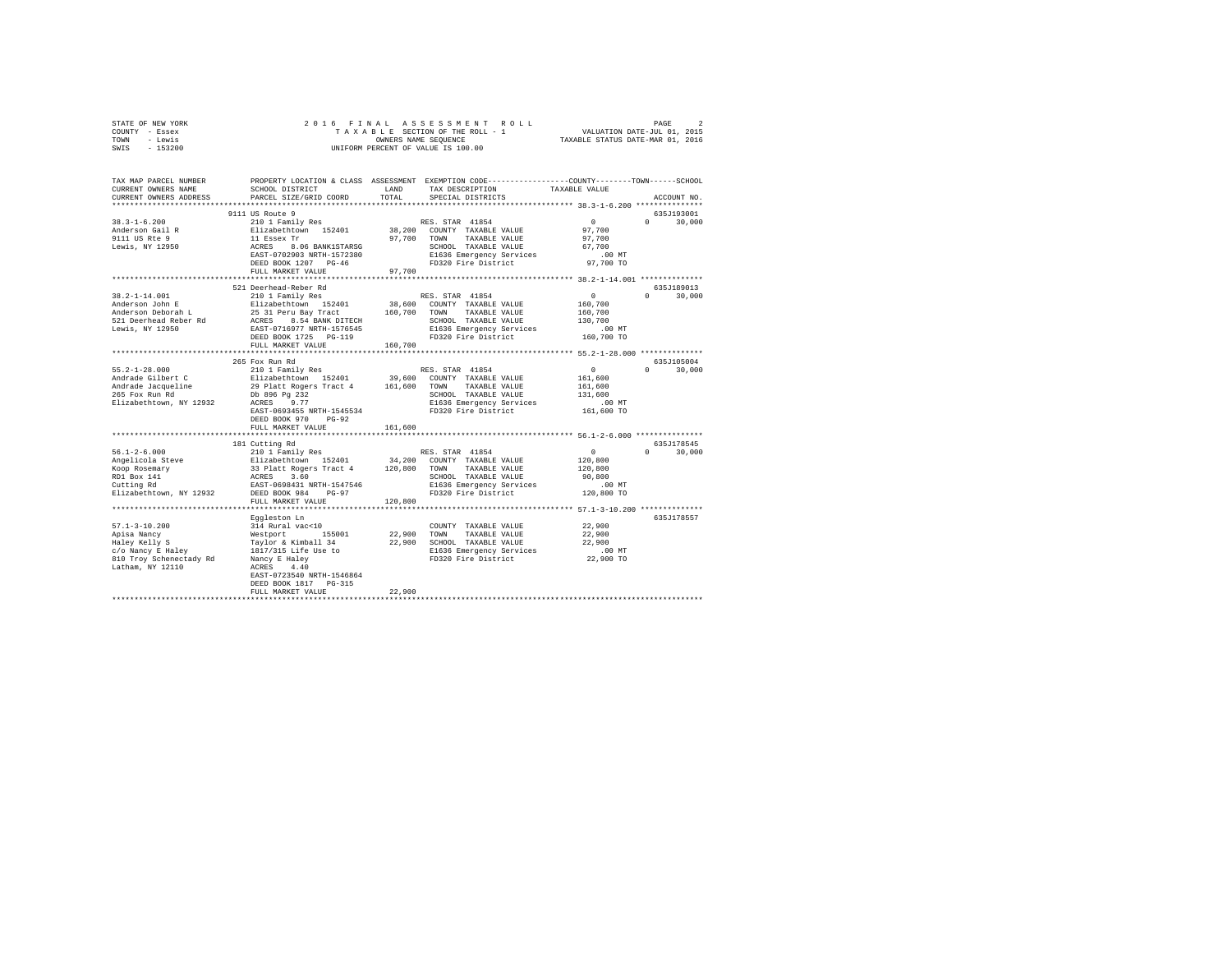| STATE OF NEW YORK                                              |                                                                                                                                                                                                                                                                                                                                                                                                                                                                                       |         |                                                                   |                                                       |               |  |  |  |
|----------------------------------------------------------------|---------------------------------------------------------------------------------------------------------------------------------------------------------------------------------------------------------------------------------------------------------------------------------------------------------------------------------------------------------------------------------------------------------------------------------------------------------------------------------------|---------|-------------------------------------------------------------------|-------------------------------------------------------|---------------|--|--|--|
| COUNTY - Essex                                                 |                                                                                                                                                                                                                                                                                                                                                                                                                                                                                       |         |                                                                   |                                                       |               |  |  |  |
| TOWN - Lewis                                                   |                                                                                                                                                                                                                                                                                                                                                                                                                                                                                       |         |                                                                   |                                                       |               |  |  |  |
| SWIS - 153200                                                  |                                                                                                                                                                                                                                                                                                                                                                                                                                                                                       |         |                                                                   |                                                       |               |  |  |  |
|                                                                |                                                                                                                                                                                                                                                                                                                                                                                                                                                                                       |         |                                                                   |                                                       |               |  |  |  |
|                                                                |                                                                                                                                                                                                                                                                                                                                                                                                                                                                                       |         |                                                                   |                                                       |               |  |  |  |
|                                                                |                                                                                                                                                                                                                                                                                                                                                                                                                                                                                       |         |                                                                   |                                                       |               |  |  |  |
|                                                                |                                                                                                                                                                                                                                                                                                                                                                                                                                                                                       |         |                                                                   |                                                       |               |  |  |  |
|                                                                | TAX MAP PARCEL NUMBER PROPERTY LOCATION & CLASS ASSESSMENT EXEMPTION CODE-------------COUNTY-------TOWN-----SCHOOL                                                                                                                                                                                                                                                                                                                                                                    |         |                                                                   |                                                       |               |  |  |  |
| CURRENT OWNERS NAME                                            | SCHOOL DISTRICT                                                                                                                                                                                                                                                                                                                                                                                                                                                                       | LAND    | TAX DESCRIPTION                                                   | TAXABLE VALUE                                         |               |  |  |  |
| CURRENT OWNERS ADDRESS                                         | PARCEL SIZE/GRID COORD                                                                                                                                                                                                                                                                                                                                                                                                                                                                | TOTAL   | SPECIAL DISTRICTS                                                 |                                                       | ACCOUNT NO.   |  |  |  |
|                                                                |                                                                                                                                                                                                                                                                                                                                                                                                                                                                                       |         |                                                                   |                                                       |               |  |  |  |
|                                                                | 9111 US Route 9<br>% 111 US Route 9<br>210 1 Family Res RES. STAR 41854<br>211 zabethrown 152401 38,200 COUNTY TAXABLE VALUE 97,700<br>11 ESsex Tr 97,700 TOWN TAXABLE VALUE 97,700<br>200 ACRES 8.06 BANK1STARSG SCHOOL TAXABLE VALUE 97,700<br>200 REST-                                                                                                                                                                                                                            |         |                                                                   |                                                       | 635J193001    |  |  |  |
| $38.3 - 1 - 6.200$                                             |                                                                                                                                                                                                                                                                                                                                                                                                                                                                                       |         |                                                                   |                                                       | $0 \t 30.000$ |  |  |  |
| Anderson Gail R                                                |                                                                                                                                                                                                                                                                                                                                                                                                                                                                                       |         |                                                                   |                                                       |               |  |  |  |
|                                                                |                                                                                                                                                                                                                                                                                                                                                                                                                                                                                       |         |                                                                   |                                                       |               |  |  |  |
| 9111 US Rte 9<br>Lewis, NY 12950                               |                                                                                                                                                                                                                                                                                                                                                                                                                                                                                       |         |                                                                   |                                                       |               |  |  |  |
|                                                                |                                                                                                                                                                                                                                                                                                                                                                                                                                                                                       |         |                                                                   |                                                       |               |  |  |  |
|                                                                |                                                                                                                                                                                                                                                                                                                                                                                                                                                                                       |         |                                                                   |                                                       |               |  |  |  |
|                                                                |                                                                                                                                                                                                                                                                                                                                                                                                                                                                                       |         |                                                                   |                                                       |               |  |  |  |
|                                                                |                                                                                                                                                                                                                                                                                                                                                                                                                                                                                       |         |                                                                   |                                                       |               |  |  |  |
|                                                                |                                                                                                                                                                                                                                                                                                                                                                                                                                                                                       |         |                                                                   |                                                       |               |  |  |  |
|                                                                | 521 Deerhead-Reber Rd                                                                                                                                                                                                                                                                                                                                                                                                                                                                 |         |                                                                   |                                                       | 635J189013    |  |  |  |
| 38.2-1-14.001                                                  | 210 1 Family Res                                                                                                                                                                                                                                                                                                                                                                                                                                                                      |         | RES. STAR 41854                                                   | $\sim$ 0                                              | $0 \t 30,000$ |  |  |  |
|                                                                |                                                                                                                                                                                                                                                                                                                                                                                                                                                                                       |         |                                                                   | 160,700                                               |               |  |  |  |
|                                                                | 38.2-1-14.001 E 210 1 Family Resp.<br>Anderson Deborah L 210 1 Party Bay Tract 152401<br>5240 Banderson Deborah L 25 31 Dever Bay Tract 1576545<br>521 Deerhead Reber Rd ACRES 8.54 BANK DITECH<br>Lewis, NY 12950 BAST-0716977 NRTH-1576<br>210 1 Family Res 2010 138, 600 COUNTY TAXABLE VALUE<br>25 31 Peru Bay Tract 160, 700 TWN TAXABLE VALUE<br>25 31 Peru Bay Tract 160, 700 TWN TAXABLE VALUE<br>25 354 BANK DITECH<br>25 26 2600 2000 TAXABLE VALUE<br>25 26 26 27 255 PO-1 |         |                                                                   |                                                       |               |  |  |  |
|                                                                |                                                                                                                                                                                                                                                                                                                                                                                                                                                                                       |         |                                                                   | 160,700                                               |               |  |  |  |
|                                                                |                                                                                                                                                                                                                                                                                                                                                                                                                                                                                       |         |                                                                   | 130,700                                               |               |  |  |  |
|                                                                |                                                                                                                                                                                                                                                                                                                                                                                                                                                                                       |         |                                                                   | .00 MT                                                |               |  |  |  |
|                                                                |                                                                                                                                                                                                                                                                                                                                                                                                                                                                                       |         |                                                                   | 160,700 TO                                            |               |  |  |  |
|                                                                |                                                                                                                                                                                                                                                                                                                                                                                                                                                                                       |         |                                                                   |                                                       |               |  |  |  |
|                                                                |                                                                                                                                                                                                                                                                                                                                                                                                                                                                                       |         |                                                                   |                                                       |               |  |  |  |
|                                                                | 265 Fox Run Rd                                                                                                                                                                                                                                                                                                                                                                                                                                                                        |         |                                                                   |                                                       | 635J105004    |  |  |  |
| $55.2 - 1 - 28.000$                                            | 210 1 Family Res<br>RES. STAR 41854                                                                                                                                                                                                                                                                                                                                                                                                                                                   |         |                                                                   | $\sim$ 0                                              | $0 \t 30,000$ |  |  |  |
|                                                                | $\begin{tabular}{l c c c c c} \multicolumn{2}{c}{\textbf{A}rdrade Gilbert $C$} & \multicolumn{2}{c}{\textbf{E}rlzabethown} & \multicolumn{2}{c}{\textbf{E}rlzabethown} & \multicolumn{2}{c}{\textbf{A}rdrade Gilbert $C$} \\ \multicolumn{2}{c}{\textbf{Andrade Galbert $C$} & \multicolumn{2}{c}{\textbf{E}rlzabethown} & \multicolumn{2}{c}{\textbf{D}rlzabethown} & \multicolumn{2}{c}{\textbf{D}rlzabethown} & \multicolumn{2}{c}{\textbf{A}rdrade$                               |         |                                                                   | 161,600                                               |               |  |  |  |
|                                                                |                                                                                                                                                                                                                                                                                                                                                                                                                                                                                       |         |                                                                   |                                                       |               |  |  |  |
|                                                                |                                                                                                                                                                                                                                                                                                                                                                                                                                                                                       |         |                                                                   | 161,600                                               |               |  |  |  |
|                                                                |                                                                                                                                                                                                                                                                                                                                                                                                                                                                                       |         | SCHOOL TAXABLE VALUE                                              | 131,600                                               |               |  |  |  |
|                                                                |                                                                                                                                                                                                                                                                                                                                                                                                                                                                                       |         | E1636 Emergency Services .00 MT<br>FD320 Fire District 161,600 TO |                                                       |               |  |  |  |
|                                                                | EAST-0693455 NRTH-1545534                                                                                                                                                                                                                                                                                                                                                                                                                                                             |         |                                                                   |                                                       |               |  |  |  |
|                                                                | DEED BOOK 970 PG-92                                                                                                                                                                                                                                                                                                                                                                                                                                                                   |         |                                                                   |                                                       |               |  |  |  |
|                                                                | FULL MARKET VALUE                                                                                                                                                                                                                                                                                                                                                                                                                                                                     | 161,600 |                                                                   |                                                       |               |  |  |  |
|                                                                |                                                                                                                                                                                                                                                                                                                                                                                                                                                                                       |         |                                                                   |                                                       |               |  |  |  |
|                                                                | 181 Cutting Rd                                                                                                                                                                                                                                                                                                                                                                                                                                                                        |         |                                                                   |                                                       | 635J178545    |  |  |  |
| $56.1 - 2 - 6.000$                                             | 210 1 Family Res                                                                                                                                                                                                                                                                                                                                                                                                                                                                      |         | RES. STAR 41854                                                   | $\sim$ 0                                              | $0 \t 30,000$ |  |  |  |
|                                                                |                                                                                                                                                                                                                                                                                                                                                                                                                                                                                       |         |                                                                   | 120,800                                               |               |  |  |  |
|                                                                |                                                                                                                                                                                                                                                                                                                                                                                                                                                                                       |         |                                                                   |                                                       |               |  |  |  |
| Angelicola Steve<br>Koop Rosemary<br>RD1 Box 141<br>Cutting Rd | 210 I Family Res 200 COUNTY TAXABLE VALUE<br>Elizabethtown 152401 34,200 COUNTY TAXABLE VALUE<br>33 Platt Rogers Tract 4 120,800 TOWN TAXABLE VALUE<br>ACEROS 3.60 SCHOOL TAXABLE VALUE<br>RAST-0698431 RTH-1547546 E1636 Emergency Se                                                                                                                                                                                                                                                |         |                                                                   | 120,800                                               |               |  |  |  |
|                                                                |                                                                                                                                                                                                                                                                                                                                                                                                                                                                                       |         | SCHOOL TAXABLE VALUE                                              | 90,800                                                |               |  |  |  |
|                                                                |                                                                                                                                                                                                                                                                                                                                                                                                                                                                                       |         |                                                                   | .00 MT                                                |               |  |  |  |
| Elizabethtown, NY 12932                                        |                                                                                                                                                                                                                                                                                                                                                                                                                                                                                       |         |                                                                   | 120,800 TO                                            |               |  |  |  |
|                                                                | FULL MARKET VALUE                                                                                                                                                                                                                                                                                                                                                                                                                                                                     | 120,800 |                                                                   |                                                       |               |  |  |  |
|                                                                |                                                                                                                                                                                                                                                                                                                                                                                                                                                                                       |         |                                                                   | ************************ 57.1-3-10.200 ************** |               |  |  |  |
|                                                                |                                                                                                                                                                                                                                                                                                                                                                                                                                                                                       |         |                                                                   |                                                       | 635J178557    |  |  |  |
|                                                                | Eqqleston Ln                                                                                                                                                                                                                                                                                                                                                                                                                                                                          |         |                                                                   |                                                       |               |  |  |  |
|                                                                |                                                                                                                                                                                                                                                                                                                                                                                                                                                                                       |         |                                                                   |                                                       |               |  |  |  |
|                                                                |                                                                                                                                                                                                                                                                                                                                                                                                                                                                                       |         |                                                                   |                                                       |               |  |  |  |
|                                                                |                                                                                                                                                                                                                                                                                                                                                                                                                                                                                       |         |                                                                   |                                                       |               |  |  |  |
|                                                                |                                                                                                                                                                                                                                                                                                                                                                                                                                                                                       |         |                                                                   | 00 MT.<br>22,900 TO                                   |               |  |  |  |
|                                                                |                                                                                                                                                                                                                                                                                                                                                                                                                                                                                       |         |                                                                   |                                                       |               |  |  |  |
|                                                                |                                                                                                                                                                                                                                                                                                                                                                                                                                                                                       |         |                                                                   |                                                       |               |  |  |  |
|                                                                |                                                                                                                                                                                                                                                                                                                                                                                                                                                                                       |         |                                                                   |                                                       |               |  |  |  |
|                                                                | DEED BOOK 1817 PG-315                                                                                                                                                                                                                                                                                                                                                                                                                                                                 |         |                                                                   |                                                       |               |  |  |  |
|                                                                |                                                                                                                                                                                                                                                                                                                                                                                                                                                                                       | 22,900  |                                                                   |                                                       |               |  |  |  |
|                                                                | FULL MARKET VALUE                                                                                                                                                                                                                                                                                                                                                                                                                                                                     |         |                                                                   |                                                       |               |  |  |  |
|                                                                |                                                                                                                                                                                                                                                                                                                                                                                                                                                                                       |         |                                                                   |                                                       |               |  |  |  |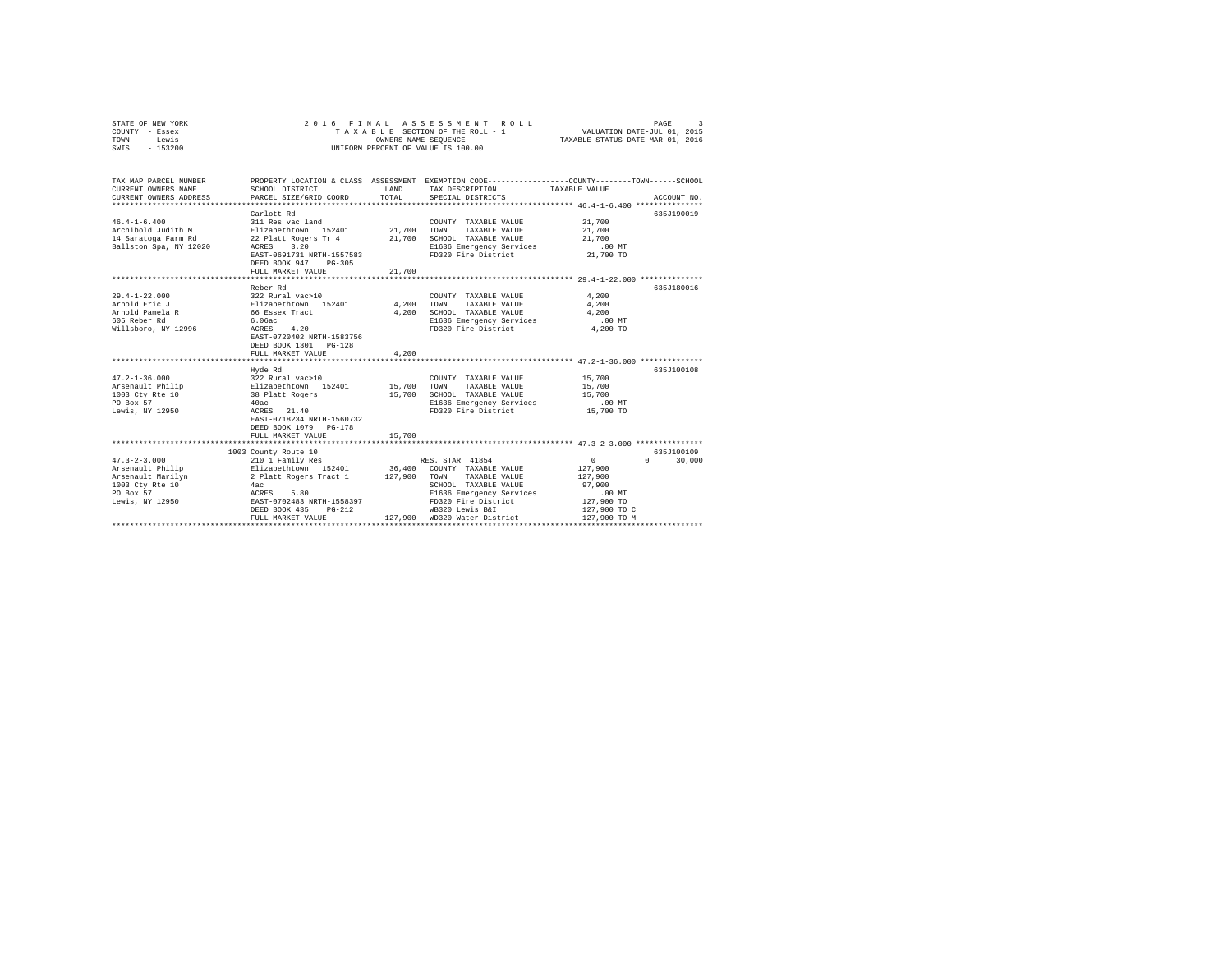| - Lewis<br>TOWN        | OWNERS NAME SEQUENCE<br>TAXABLE STATUS DATE-MAR 01, 2016 |             |                                                                                                 |               |                                 |  |
|------------------------|----------------------------------------------------------|-------------|-------------------------------------------------------------------------------------------------|---------------|---------------------------------|--|
| $-153200$<br>SWIS      | UNIFORM PERCENT OF VALUE IS 100.00                       |             |                                                                                                 |               |                                 |  |
|                        |                                                          |             |                                                                                                 |               |                                 |  |
|                        |                                                          |             |                                                                                                 |               |                                 |  |
| TAX MAP PARCEL NUMBER  |                                                          |             | PROPERTY LOCATION & CLASS ASSESSMENT EXEMPTION CODE---------------COUNTY-------TOWN------SCHOOL |               |                                 |  |
| CURRENT OWNERS NAME    | SCHOOL DISTRICT                                          | LAND        | TAX DESCRIPTION                                                                                 | TAXABLE VALUE |                                 |  |
| CURRENT OWNERS ADDRESS | PARCEL SIZE/GRID COORD                                   | TOTAL       | SPECIAL DISTRICTS                                                                               |               | ACCOUNT NO.                     |  |
|                        |                                                          |             |                                                                                                 |               |                                 |  |
|                        | Carlott Rd                                               |             |                                                                                                 |               | 635J190019                      |  |
| $46.4 - 1 - 6.400$     | 311 Res vac land                                         |             | COUNTY TAXABLE VALUE                                                                            | 21,700        |                                 |  |
| Archibold Judith M     | Elizabethtown 152401                                     | 21,700 TOWN | TAXABLE VALUE                                                                                   | 21,700        |                                 |  |
| 14 Saratoga Farm Rd    | 22 Platt Rogers Tr 4                                     | 21,700      | SCHOOL TAXABLE VALUE                                                                            | 21,700        |                                 |  |
| Ballston Spa, NY 12020 | ACRES 3.20                                               |             | E1636 Emergency Services                                                                        | .00MT         |                                 |  |
|                        | EAST-0691731 NRTH-1557583                                |             | FD320 Fire District                                                                             | 21,700 TO     |                                 |  |
|                        | DEED BOOK 947 PG-305                                     |             |                                                                                                 |               |                                 |  |
|                        | FULL MARKET VALUE                                        | 21,700      |                                                                                                 |               |                                 |  |
|                        |                                                          |             |                                                                                                 |               |                                 |  |
|                        | Reber Rd                                                 |             |                                                                                                 |               | 635J180016                      |  |
| $29.4 - 1 - 22.000$    | 322 Rural vac>10                                         |             | COUNTY TAXABLE VALUE                                                                            | 4,200         |                                 |  |
| Arnold Eric J          | Elizabethtown 152401                                     | 4,200 TOWN  | TAXABLE VALUE                                                                                   | 4,200         |                                 |  |
| Arnold Pamela R        | 66 Essex Tract                                           | 4,200       | SCHOOL TAXABLE VALUE                                                                            | 4,200         |                                 |  |
| 605 Reber Rd           | 6.06ac                                                   |             | E1636 Emergency Services                                                                        | .00 MT        |                                 |  |
| Willsboro, NY 12996    | ACRES 4.20<br>EAST-0720402 NRTH-1583756                  |             | FD320 Fire District                                                                             | 4,200 TO      |                                 |  |
|                        | DEED BOOK 1301 PG-128                                    |             |                                                                                                 |               |                                 |  |
|                        | FULL MARKET VALUE                                        | 4,200       |                                                                                                 |               |                                 |  |
|                        |                                                          |             |                                                                                                 |               |                                 |  |
|                        | Hyde Rd                                                  |             |                                                                                                 |               | 635J100108                      |  |
| $47.2 - 1 - 36.000$    | 322 Rural vac>10                                         |             | COUNTY TAXABLE VALUE                                                                            | 15,700        |                                 |  |
| Arsenault Philip       | Elizabethtown 152401                                     | 15,700      | TOWN<br>TAXABLE VALUE                                                                           | 15,700        |                                 |  |
| 1003 Cty Rte 10        | 38 Platt Rogers                                          | 15,700      | SCHOOL TAXABLE VALUE                                                                            | 15,700        |                                 |  |
| PO Box 57              | 40ac                                                     |             | E1636 Emergency Services                                                                        | $.00$ MT      |                                 |  |
| Lewis, NY 12950        | ACRES 21.40                                              |             | FD320 Fire District                                                                             | 15,700 TO     |                                 |  |
|                        | EAST-0718234 NRTH-1560732                                |             |                                                                                                 |               |                                 |  |
|                        | DEED BOOK 1079 PG-178                                    |             |                                                                                                 |               |                                 |  |
|                        | FULL MARKET VALUE                                        | 15,700      |                                                                                                 |               |                                 |  |
|                        |                                                          |             |                                                                                                 |               |                                 |  |
|                        | 1003 County Route 10                                     |             |                                                                                                 |               | 635J100109                      |  |
| $47.3 - 2 - 3.000$     | 210 1 Family Res                                         |             | RES. STAR 41854                                                                                 | 0             | $\Omega$ and $\Omega$<br>30,000 |  |
| Arsenault Philip       | Elizabethtown 152401<br>2 Platt Rogers Tract 1           |             | 36,400 COUNTY TAXABLE VALUE                                                                     | 127,900       |                                 |  |
| Arsenault Marilyn      |                                                          | 127,900     | TAXABLE VALUE<br>TOWN                                                                           | 127,900       |                                 |  |
| 1003 Ctv Rte 10        | 4ac                                                      |             | SCHOOL TAXABLE VALUE                                                                            | 97,900        |                                 |  |
| PO Box 57              | ACRES<br>5.80                                            |             | E1636 Emergency Services                                                                        | $.00$ MT      |                                 |  |
| Lewis, NY 12950        | EAST-0702483 NRTH-1558397                                |             | FD320 Fire District                                                                             | 127,900 TO    |                                 |  |
|                        | $PG-212$<br>DEED BOOK 435                                |             | WB320 Lewis B&I                                                                                 | 127,900 TO C  |                                 |  |
|                        | FULL MARKET VALUE                                        |             | 127.900 WD320 Water District                                                                    | 127,900 TO M  |                                 |  |
|                        |                                                          |             |                                                                                                 |               |                                 |  |

STATE OF NEW YORK 2 0 1 6 F I N A L A S S E S S M E N T R O L L PAGE 3 COUNTY - Essex T A X A B L E SECTION OF THE ROLL - 1 VALUATION DATE-JUL 01, 2015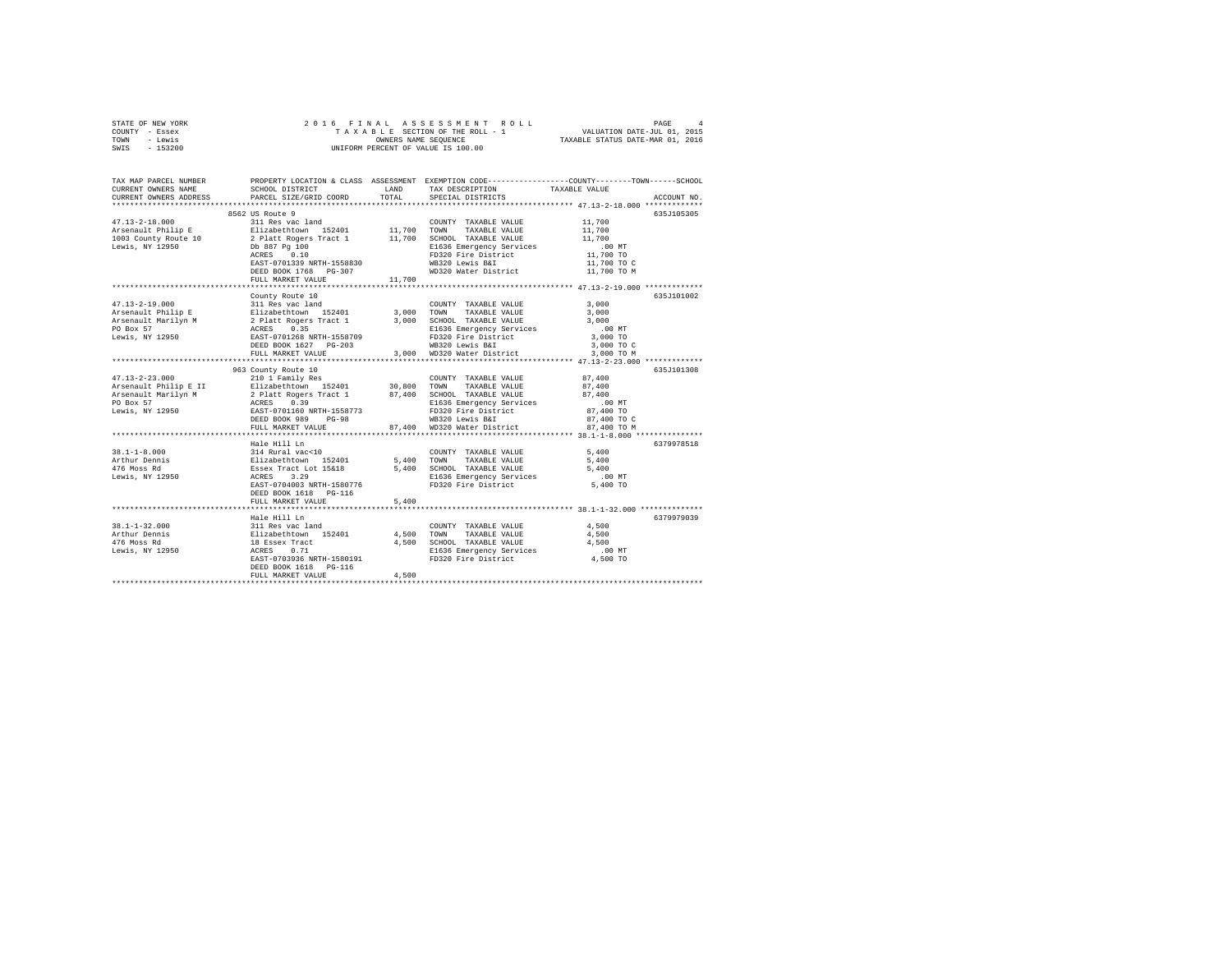|      | STATE OF NEW YORK |  |  | 2016 FINAL ASSESSMENT ROLL         | PAGE                             | 4 |
|------|-------------------|--|--|------------------------------------|----------------------------------|---|
|      | COUNTY - Essex    |  |  | TAXABLE SECTION OF THE ROLL - 1    | VALUATION DATE-JUL 01, 2015      |   |
| TOWN | - Lewis           |  |  | OWNERS NAME SEOUENCE               | TAXABLE STATUS DATE-MAR 01, 2016 |   |
| SWIS | $-153200$         |  |  | UNIFORM PERCENT OF VALUE IS 100.00 |                                  |   |

| TAX MAP PARCEL NUMBER<br>CURRENT OWNERS NAME<br>CURRENT OWNERS ADDRESS | SCHOOL DISTRICT<br>PARCEL SIZE/GRID COORD                                              | LAND<br>TOTAL | TAX DESCRIPTION<br>SPECIAL DISTRICTS          | PROPERTY LOCATION & CLASS ASSESSMENT EXEMPTION CODE---------------COUNTY-------TOWN-----SCHOOL<br>TAXABLE VALUE<br>ACCOUNT NO. |
|------------------------------------------------------------------------|----------------------------------------------------------------------------------------|---------------|-----------------------------------------------|--------------------------------------------------------------------------------------------------------------------------------|
|                                                                        |                                                                                        |               |                                               |                                                                                                                                |
|                                                                        | 8562 US Route 9                                                                        |               |                                               | 635J105305                                                                                                                     |
|                                                                        |                                                                                        |               | COUNTY TAXABLE VALUE                          | 11,700                                                                                                                         |
|                                                                        |                                                                                        |               |                                               | 11,700                                                                                                                         |
|                                                                        |                                                                                        |               |                                               | 11,700                                                                                                                         |
|                                                                        |                                                                                        |               | E1636 Emergency Services                      | $.00$ MT                                                                                                                       |
|                                                                        | ACRES 0.10                                                                             |               | FD320 Fire District                           | 11,700 TO                                                                                                                      |
|                                                                        | EAST-0701339 NRTH-1558830                                                              |               |                                               | 11,700 TO C                                                                                                                    |
|                                                                        | DEED BOOK 1768 PG-307                                                                  |               | WB320 Lewis B&I<br>WD320 Water District       | 11,700 TO M                                                                                                                    |
|                                                                        | FULL MARKET VALUE                                                                      | 11,700        |                                               |                                                                                                                                |
|                                                                        |                                                                                        |               |                                               |                                                                                                                                |
|                                                                        | County Route 10                                                                        |               |                                               | 635J101002                                                                                                                     |
| $47.13 - 2 - 19.000$                                                   | 311 Res vac land                                                                       |               | COUNTY TAXABLE VALUE                          | 3,000                                                                                                                          |
|                                                                        |                                                                                        | 3,000 TOWN    | TAXABLE VALUE                                 | 3,000                                                                                                                          |
|                                                                        |                                                                                        | 3,000         | SCHOOL TAXABLE VALUE                          | 3,000                                                                                                                          |
|                                                                        |                                                                                        |               | E1636 Emergency Services                      | $.00$ MT                                                                                                                       |
|                                                                        |                                                                                        |               | FD320 Fire District                           | 3,000 TO                                                                                                                       |
|                                                                        |                                                                                        |               |                                               | 3,000 TO C                                                                                                                     |
|                                                                        | FULL MARKET VALUE                                                                      |               | WB320 Lewis B&I<br>3,000 WD320 Water District | 3,000 TO M                                                                                                                     |
|                                                                        |                                                                                        |               |                                               |                                                                                                                                |
|                                                                        | 963 County Route 10                                                                    |               |                                               | 635J101308                                                                                                                     |
| $47.13 - 2 - 23.000$                                                   | 210 1 Family Res                                                                       |               | COUNTY TAXABLE VALUE                          | 87,400                                                                                                                         |
| Arsenault Philip E II Blizabethtown 152401 30,800 TOWN                 |                                                                                        |               | TAXABLE VALUE                                 | 87,400                                                                                                                         |
| Arsenault Marilyn M                                                    | 2 Platt Rogers Tract 1<br>ACRES 0.39<br>EAST-0701160 NRTH-1558773                      |               | 87,400 SCHOOL TAXABLE VALUE                   | 87,400                                                                                                                         |
| PO Box 57                                                              |                                                                                        |               | E1636 Emergency Services                      | $.00$ MT                                                                                                                       |
| Lewis, NY 12950                                                        |                                                                                        |               | FD320 Fire District                           | 87,400 TO                                                                                                                      |
|                                                                        | DEED BOOK 989<br>$PG-98$                                                               |               | WB320 Lewis B&I                               | 87,400 TO C                                                                                                                    |
|                                                                        | FULL MARKET VALUE                                                                      | 87,400        | WD320 Water District                          | 87,400 TO M                                                                                                                    |
|                                                                        |                                                                                        |               |                                               |                                                                                                                                |
|                                                                        | Hale Hill Ln                                                                           |               |                                               | 6379978518                                                                                                                     |
| $38.1 - 1 - 8.000$                                                     |                                                                                        |               | COUNTY TAXABLE VALUE                          | 5,400                                                                                                                          |
| Arthur Dennis                                                          |                                                                                        |               | 5,400 TOWN TAXABLE VALUE                      | 5,400                                                                                                                          |
| 476 Moss Rd                                                            | 314 Rural vac<10<br>Elizabethtown 152401<br>Essex Tract Lot 15&18<br>ACRES 3.29        |               | 5,400 SCHOOL TAXABLE VALUE                    | 5,400                                                                                                                          |
| Lewis, NY 12950                                                        |                                                                                        |               | E1636 Emergency Services                      | $.00$ MT                                                                                                                       |
|                                                                        | EAST-0704003 NRTH-1580776                                                              |               | FD320 Fire District                           | 5,400 TO                                                                                                                       |
|                                                                        | DEED BOOK 1618 PG-116                                                                  |               |                                               |                                                                                                                                |
|                                                                        | FULL MARKET VALUE                                                                      | 5,400         |                                               |                                                                                                                                |
|                                                                        |                                                                                        |               |                                               | 6379979039                                                                                                                     |
| $38.1 - 1 - 32.000$                                                    |                                                                                        |               | COUNTY TAXABLE VALUE                          | 4,500                                                                                                                          |
| Arthur Dennis                                                          |                                                                                        | 4,500         | TOWN<br>TAXABLE VALUE                         | 4,500                                                                                                                          |
| 476 Moss Rd                                                            | Hale Hill<br>311 Ras vac land<br>Elizabethcown 152401<br>18 Essex Tract<br>****** 0.71 | 4,500         | SCHOOL TAXABLE VALUE                          | 4,500                                                                                                                          |
| Lewis, NY 12950                                                        |                                                                                        |               | E1636 Emergency Services                      | $.00$ MT                                                                                                                       |
|                                                                        | EAST-0703936 NRTH-1580191                                                              |               | FD320 Fire District                           | 4,500 TO                                                                                                                       |
|                                                                        | DEED BOOK 1618    PG-116                                                               |               |                                               |                                                                                                                                |
|                                                                        | FULL MARKET VALUE                                                                      | 4,500         |                                               |                                                                                                                                |
|                                                                        |                                                                                        |               |                                               |                                                                                                                                |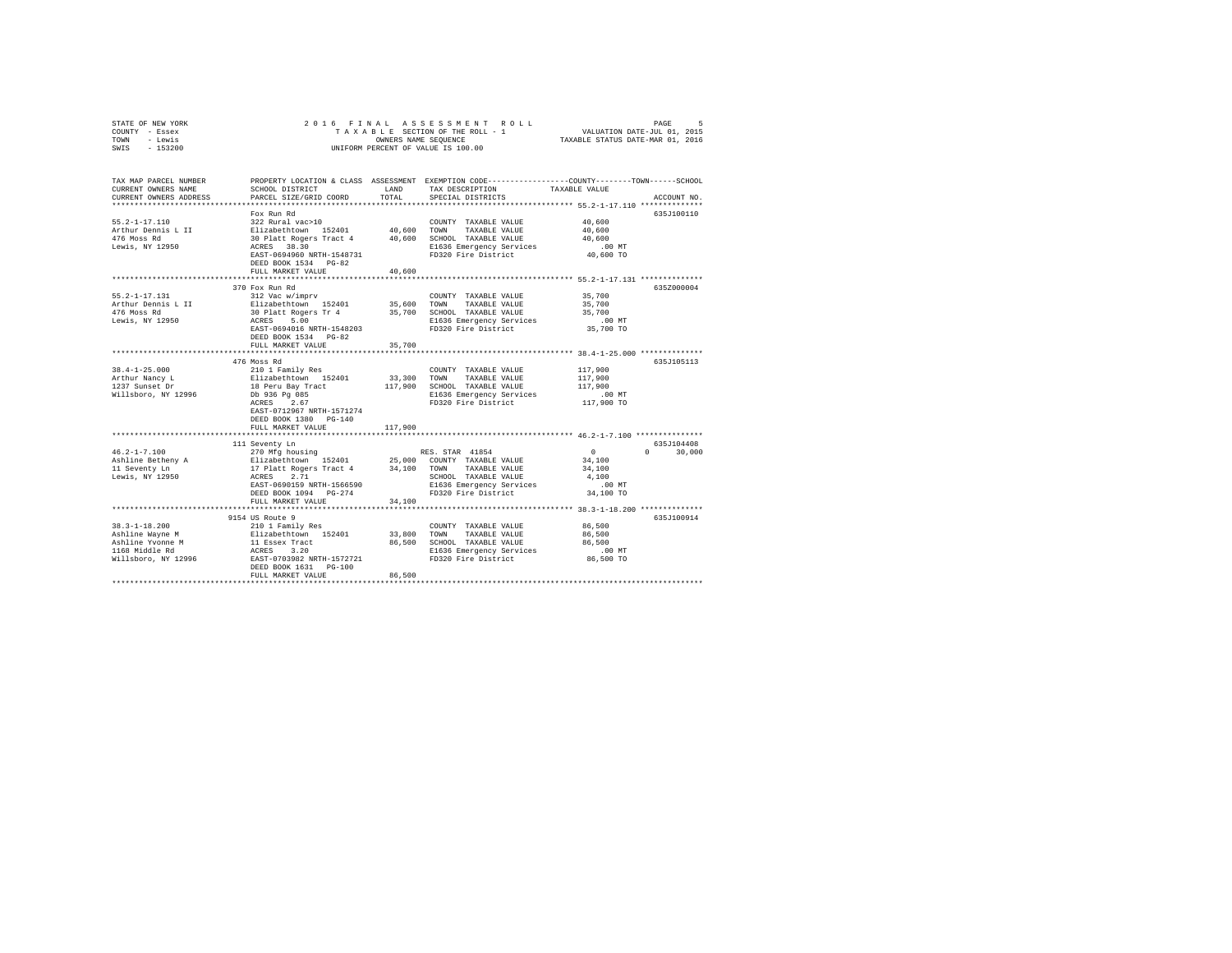| STATE OF NEW YORK<br>COUNTY - Essex<br>- Lewis<br>TOWN | 2016 FINAL<br>ASSESSMENT<br>ROLL<br>PAGE<br>VALUATION DATE-JUL 01, 2015<br>TAXABLE STATUS DATE-MAR 01, 2016<br>TAXABLE SECTION OF THE ROLL - 1<br>OWNERS NAME SEQUENCE<br>UNIFORM PERCENT OF VALUE IS 100.00 |             |                                                  |                                                                                                                 |  |  |
|--------------------------------------------------------|--------------------------------------------------------------------------------------------------------------------------------------------------------------------------------------------------------------|-------------|--------------------------------------------------|-----------------------------------------------------------------------------------------------------------------|--|--|
| SWIS<br>$-153200$                                      |                                                                                                                                                                                                              |             |                                                  |                                                                                                                 |  |  |
| TAX MAP PARCEL NUMBER<br>CURRENT OWNERS NAME           | SCHOOL DISTRICT                                                                                                                                                                                              | LAND        | TAX DESCRIPTION                                  | PROPERTY LOCATION & CLASS ASSESSMENT EXEMPTION CODE---------------COUNTY-------TOWN-----SCHOOL<br>TAXABLE VALUE |  |  |
| CURRENT OWNERS ADDRESS                                 | PARCEL SIZE/GRID COORD                                                                                                                                                                                       | TOTAL       | SPECIAL DISTRICTS                                | ACCOUNT NO.                                                                                                     |  |  |
|                                                        |                                                                                                                                                                                                              |             |                                                  |                                                                                                                 |  |  |
|                                                        | Fox Run Rd                                                                                                                                                                                                   |             |                                                  | 635J100110                                                                                                      |  |  |
| $55.2 - 1 - 17.110$<br>Arthur Dennis L II              | 322 Rural vac>10<br>Elizabethtown 152401                                                                                                                                                                     | 40,600      | COUNTY TAXABLE VALUE<br>TOWN<br>TAXABLE VALUE    | 40,600<br>40,600                                                                                                |  |  |
| 476 Moss Rd                                            | 30 Platt Rogers Tract 4                                                                                                                                                                                      | 40,600      | SCHOOL TAXABLE VALUE                             | 40,600                                                                                                          |  |  |
| Lewis, NY 12950                                        | ACRES 38.30                                                                                                                                                                                                  |             | E1636 Emergency Services                         | .00MT                                                                                                           |  |  |
|                                                        | EAST-0694960 NRTH-1548731                                                                                                                                                                                    |             | FD320 Fire District                              | 40,600 TO                                                                                                       |  |  |
|                                                        | DEED BOOK 1534 PG-82                                                                                                                                                                                         |             |                                                  |                                                                                                                 |  |  |
|                                                        | FULL MARKET VALUE                                                                                                                                                                                            | 40,600      |                                                  |                                                                                                                 |  |  |
|                                                        |                                                                                                                                                                                                              |             |                                                  | *********************** 55.2-1-17.131 **************                                                            |  |  |
|                                                        | 370 Fox Run Rd                                                                                                                                                                                               |             |                                                  | 635Z000004                                                                                                      |  |  |
| $55.2 - 1 - 17.131$                                    | 312 Vac w/imprv                                                                                                                                                                                              |             | COUNTY TAXABLE VALUE                             | 35,700                                                                                                          |  |  |
| Arthur Dennis L II                                     | Elizabethtown 152401                                                                                                                                                                                         | 35,600      | TOWN<br>TAXABLE VALUE                            | 35,700                                                                                                          |  |  |
| 476 Moss Rd                                            | 30 Platt Rogers Tr 4                                                                                                                                                                                         | 35,700      | SCHOOL TAXABLE VALUE                             | 35,700                                                                                                          |  |  |
| Lewis, NY 12950                                        | ACRES<br>5.00                                                                                                                                                                                                |             | E1636 Emergency Services                         | $.00$ MT                                                                                                        |  |  |
|                                                        | EAST-0694016 NRTH-1548203                                                                                                                                                                                    |             | FD320 Fire District                              | 35,700 TO                                                                                                       |  |  |
|                                                        | DEED BOOK 1534 PG-82<br>FULL MARKET VALUE                                                                                                                                                                    | 35,700      |                                                  |                                                                                                                 |  |  |
|                                                        |                                                                                                                                                                                                              | *********** |                                                  |                                                                                                                 |  |  |
|                                                        | 476 Moss Rd                                                                                                                                                                                                  |             |                                                  | 635J105113                                                                                                      |  |  |
| $38.4 - 1 - 25.000$                                    | 210 1 Family Res                                                                                                                                                                                             |             | COUNTY TAXABLE VALUE                             | 117,900                                                                                                         |  |  |
| Arthur Nancy L                                         | Elizabethtown 152401                                                                                                                                                                                         | 33,300      | TOWN<br>TAXABLE VALUE                            | 117,900                                                                                                         |  |  |
| 1237 Sunset Dr                                         | 18 Peru Bay Tract                                                                                                                                                                                            | 117,900     | SCHOOL TAXABLE VALUE                             | 117,900                                                                                                         |  |  |
| Willsboro, NY 12996                                    | Db 936 Pg 085                                                                                                                                                                                                |             | E1636 Emergency Services                         | $.00$ MT                                                                                                        |  |  |
|                                                        | ACRES<br>2.67                                                                                                                                                                                                |             | FD320 Fire District                              | 117,900 TO                                                                                                      |  |  |
|                                                        | EAST-0712967 NRTH-1571274                                                                                                                                                                                    |             |                                                  |                                                                                                                 |  |  |
|                                                        | DEED BOOK 1380 PG-140                                                                                                                                                                                        |             |                                                  |                                                                                                                 |  |  |
|                                                        | FULL MARKET VALUE                                                                                                                                                                                            | 117,900     |                                                  |                                                                                                                 |  |  |
|                                                        |                                                                                                                                                                                                              |             |                                                  | 635J104408                                                                                                      |  |  |
| $46.2 - 1 - 7.100$                                     | 111 Seventy Ln<br>270 Mfg housing                                                                                                                                                                            |             | RES. STAR 41854                                  | $\Omega$<br>$\Omega$<br>30,000                                                                                  |  |  |
| Ashline Betheny A                                      | Elizabethtown 152401                                                                                                                                                                                         | 25,000      | COUNTY TAXABLE VALUE                             | 34,100                                                                                                          |  |  |
| 11 Seventy Ln                                          | 17 Platt Rogers Tract 4                                                                                                                                                                                      | 34,100      | TOWN<br>TAXABLE VALUE                            | 34,100                                                                                                          |  |  |
| Lewis, NY 12950                                        | 2.71<br>ACRES                                                                                                                                                                                                |             | SCHOOL TAXABLE VALUE                             | 4,100                                                                                                           |  |  |
|                                                        | EAST-0690159 NRTH-1566590                                                                                                                                                                                    |             | E1636 Emergency Services                         | $.00$ MT                                                                                                        |  |  |
|                                                        | DEED BOOK 1094 PG-274                                                                                                                                                                                        |             | FD320 Fire District                              | 34,100 TO                                                                                                       |  |  |
|                                                        | FULL MARKET VALUE                                                                                                                                                                                            | 34,100      |                                                  |                                                                                                                 |  |  |
|                                                        |                                                                                                                                                                                                              |             |                                                  | *********************************** 38.3-1-18.200 **************                                                |  |  |
|                                                        | 9154 US Route 9                                                                                                                                                                                              |             |                                                  | 635J100914                                                                                                      |  |  |
| $38.3 - 1 - 18.200$                                    | 210 1 Family Res                                                                                                                                                                                             |             | COUNTY TAXABLE VALUE                             | 86,500                                                                                                          |  |  |
| Ashline Wayne M                                        | Elizabethtown 152401                                                                                                                                                                                         | 33,800      | TOWN<br>TAXABLE VALUE                            | 86,500                                                                                                          |  |  |
| Ashline Yvonne M<br>1168 Middle Rd                     | 11 Essex Tract<br>ACRES 3.20                                                                                                                                                                                 | 86,500      | SCHOOL TAXABLE VALUE<br>E1636 Emergency Services | 86,500<br>$.00$ MT                                                                                              |  |  |
| Willsboro, NY 12996                                    | EAST-0703982 NRTH-1572721                                                                                                                                                                                    |             | FD320 Fire District                              | 86,500 TO                                                                                                       |  |  |
|                                                        | DEED BOOK 1631 PG-100                                                                                                                                                                                        |             |                                                  |                                                                                                                 |  |  |
|                                                        | FULL MARKET VALUE                                                                                                                                                                                            | 86,500      |                                                  |                                                                                                                 |  |  |
|                                                        |                                                                                                                                                                                                              |             |                                                  |                                                                                                                 |  |  |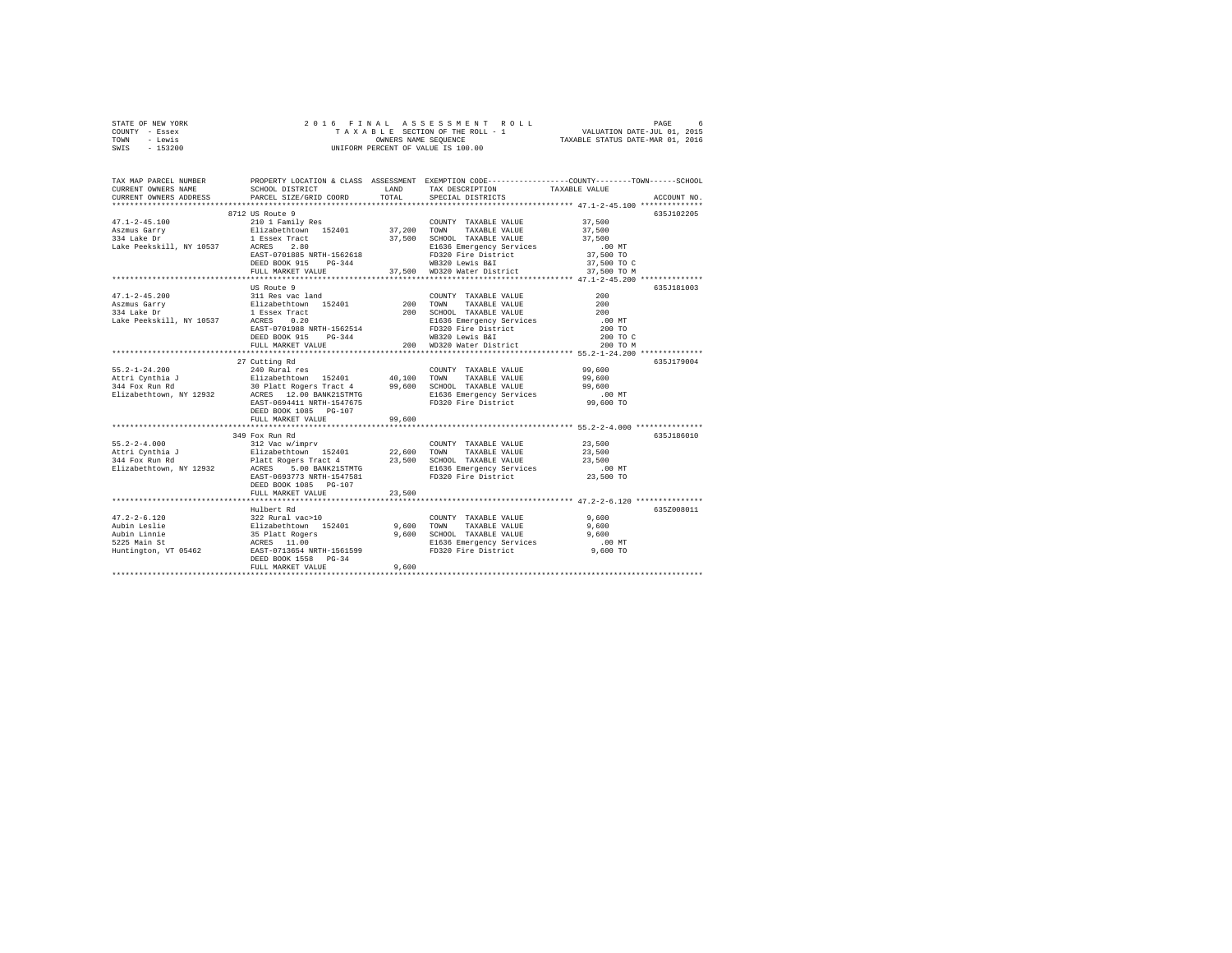| STATE OF NEW YORK | 2016 FINAL ASSESSMENT ROLL         | б.<br>PAGE                       |
|-------------------|------------------------------------|----------------------------------|
| COUNTY - Essex    | TAXABLE SECTION OF THE ROLL - 1    | VALUATION DATE-JUL 01, 2015      |
| TOWN<br>- Lewis   | OWNERS NAME SEOUENCE               | TAXABLE STATUS DATE-MAR 01, 2016 |
| $-153200$<br>SWIS | UNIFORM PERCENT OF VALUE IS 100.00 |                                  |

| TAX MAP PARCEL NUMBER<br>CURRENT OWNERS NAME<br>CURRENT OWNERS ADDRESS | SCHOOL DISTRICT<br>PARCEL SIZE/GRID COORD                                                                                                                                                                                               | LAND<br>TOTAL | PROPERTY LOCATION & CLASS ASSESSMENT EXEMPTION CODE---------------COUNTY-------TOWN-----SCHOOL<br>TAX DESCRIPTION<br>SPECIAL DISTRICTS | TAXABLE VALUE | ACCOUNT NO. |
|------------------------------------------------------------------------|-----------------------------------------------------------------------------------------------------------------------------------------------------------------------------------------------------------------------------------------|---------------|----------------------------------------------------------------------------------------------------------------------------------------|---------------|-------------|
|                                                                        |                                                                                                                                                                                                                                         |               |                                                                                                                                        |               |             |
|                                                                        | 8712 US Route 9                                                                                                                                                                                                                         |               |                                                                                                                                        |               | 635J102205  |
|                                                                        |                                                                                                                                                                                                                                         |               | COUNTY TAXABLE VALUE 37,500                                                                                                            |               |             |
|                                                                        |                                                                                                                                                                                                                                         |               |                                                                                                                                        |               |             |
|                                                                        |                                                                                                                                                                                                                                         |               |                                                                                                                                        |               |             |
|                                                                        |                                                                                                                                                                                                                                         |               |                                                                                                                                        |               |             |
|                                                                        | EAST-0701885 NRTH-1562618                                                                                                                                                                                                               |               | FD320 Fire District<br>WB320 Lewis B&I                                                                                                 |               |             |
|                                                                        | $PG-344$<br>DEED BOOK 915                                                                                                                                                                                                               |               |                                                                                                                                        | 37,500 TO C   |             |
|                                                                        | FULL MARKET VALUE                                                                                                                                                                                                                       |               | 37,500 WD320 Water District 37,500 TO M                                                                                                |               |             |
|                                                                        |                                                                                                                                                                                                                                         |               |                                                                                                                                        |               |             |
|                                                                        | US Route 9                                                                                                                                                                                                                              |               |                                                                                                                                        |               | 635J181003  |
| $47.1 - 2 - 45.200$                                                    |                                                                                                                                                                                                                                         |               |                                                                                                                                        |               |             |
| Aszmus Garry                                                           |                                                                                                                                                                                                                                         |               |                                                                                                                                        |               |             |
| 334 Lake Dr                                                            |                                                                                                                                                                                                                                         |               |                                                                                                                                        |               |             |
| Lake Peekskill, NY 10537 ACRES 0.20                                    |                                                                                                                                                                                                                                         |               |                                                                                                                                        |               |             |
|                                                                        |                                                                                                                                                                                                                                         |               |                                                                                                                                        |               |             |
|                                                                        |                                                                                                                                                                                                                                         |               |                                                                                                                                        | 200 TO C      |             |
|                                                                        |                                                                                                                                                                                                                                         |               |                                                                                                                                        | 200 TO M      |             |
|                                                                        |                                                                                                                                                                                                                                         |               |                                                                                                                                        |               |             |
|                                                                        | 27 Cutting Rd                                                                                                                                                                                                                           |               |                                                                                                                                        |               | 635J179004  |
|                                                                        |                                                                                                                                                                                                                                         |               |                                                                                                                                        |               |             |
|                                                                        |                                                                                                                                                                                                                                         |               |                                                                                                                                        |               |             |
|                                                                        | 55.2-1-24.200 – 240 Rural res COUNTY TAXABLE VALUE 99,600<br>Attri Cynthia J 210 Rural res 152401 40,100 TOWN TAXABLE VALUE 99,600<br>344 Fox Run Rd 30 Platt Rogers Tract 4 99,600 SCHOOL TAXABLE VALUE 99,600<br>211 Rural Recens 12. |               |                                                                                                                                        |               |             |
|                                                                        |                                                                                                                                                                                                                                         |               |                                                                                                                                        |               |             |
|                                                                        |                                                                                                                                                                                                                                         |               |                                                                                                                                        |               |             |
|                                                                        | DEED BOOK 1085 PG-107                                                                                                                                                                                                                   |               |                                                                                                                                        |               |             |
|                                                                        |                                                                                                                                                                                                                                         |               |                                                                                                                                        |               |             |
|                                                                        | FULL MARKET VALUE                                                                                                                                                                                                                       | 99,600        |                                                                                                                                        |               |             |
|                                                                        |                                                                                                                                                                                                                                         |               |                                                                                                                                        |               | 635.T186010 |
|                                                                        | 349 Fox Run Rd                                                                                                                                                                                                                          |               |                                                                                                                                        |               |             |
|                                                                        |                                                                                                                                                                                                                                         |               |                                                                                                                                        |               |             |
|                                                                        |                                                                                                                                                                                                                                         |               |                                                                                                                                        |               |             |
|                                                                        |                                                                                                                                                                                                                                         |               |                                                                                                                                        |               |             |
|                                                                        |                                                                                                                                                                                                                                         |               |                                                                                                                                        |               |             |
|                                                                        | EAST-0693773 NRTH-1547581                                                                                                                                                                                                               |               | FD320 Fire District                                                                                                                    | 23,500 TO     |             |
|                                                                        | DEED BOOK 1085 PG-107                                                                                                                                                                                                                   |               |                                                                                                                                        |               |             |
|                                                                        | FULL MARKET VALUE                                                                                                                                                                                                                       | 23,500        |                                                                                                                                        |               |             |
|                                                                        |                                                                                                                                                                                                                                         |               |                                                                                                                                        |               |             |
|                                                                        | Hulbert Rd                                                                                                                                                                                                                              |               |                                                                                                                                        |               | 635Z008011  |
| $47.2 - 2 - 6.120$                                                     |                                                                                                                                                                                                                                         |               | COUNTY TAXABLE VALUE 9,600                                                                                                             |               |             |
| Aubin Leslie                                                           |                                                                                                                                                                                                                                         |               |                                                                                                                                        |               |             |
| Aubin Leslie<br>Aubin Linnie<br>5225 Main St<br>Huntington, VT 05462   | 322 Rural vac>10<br>Blizabethcwn 152401 9,600 TOWN<br>35 Platt Rogers 9,600 SCHOO<br>ACRES 11.00<br>EAST-0713654 NRTH-1561599 11636<br>EAST-0713654 NRTH-1561599 116360                                                                 |               |                                                                                                                                        |               |             |
|                                                                        |                                                                                                                                                                                                                                         |               |                                                                                                                                        |               |             |
|                                                                        |                                                                                                                                                                                                                                         |               |                                                                                                                                        |               |             |
|                                                                        | DEED BOOK 1558 PG-34                                                                                                                                                                                                                    |               |                                                                                                                                        |               |             |
|                                                                        | FULL MARKET VALUE                                                                                                                                                                                                                       | 9,600         |                                                                                                                                        |               |             |
|                                                                        |                                                                                                                                                                                                                                         |               |                                                                                                                                        |               |             |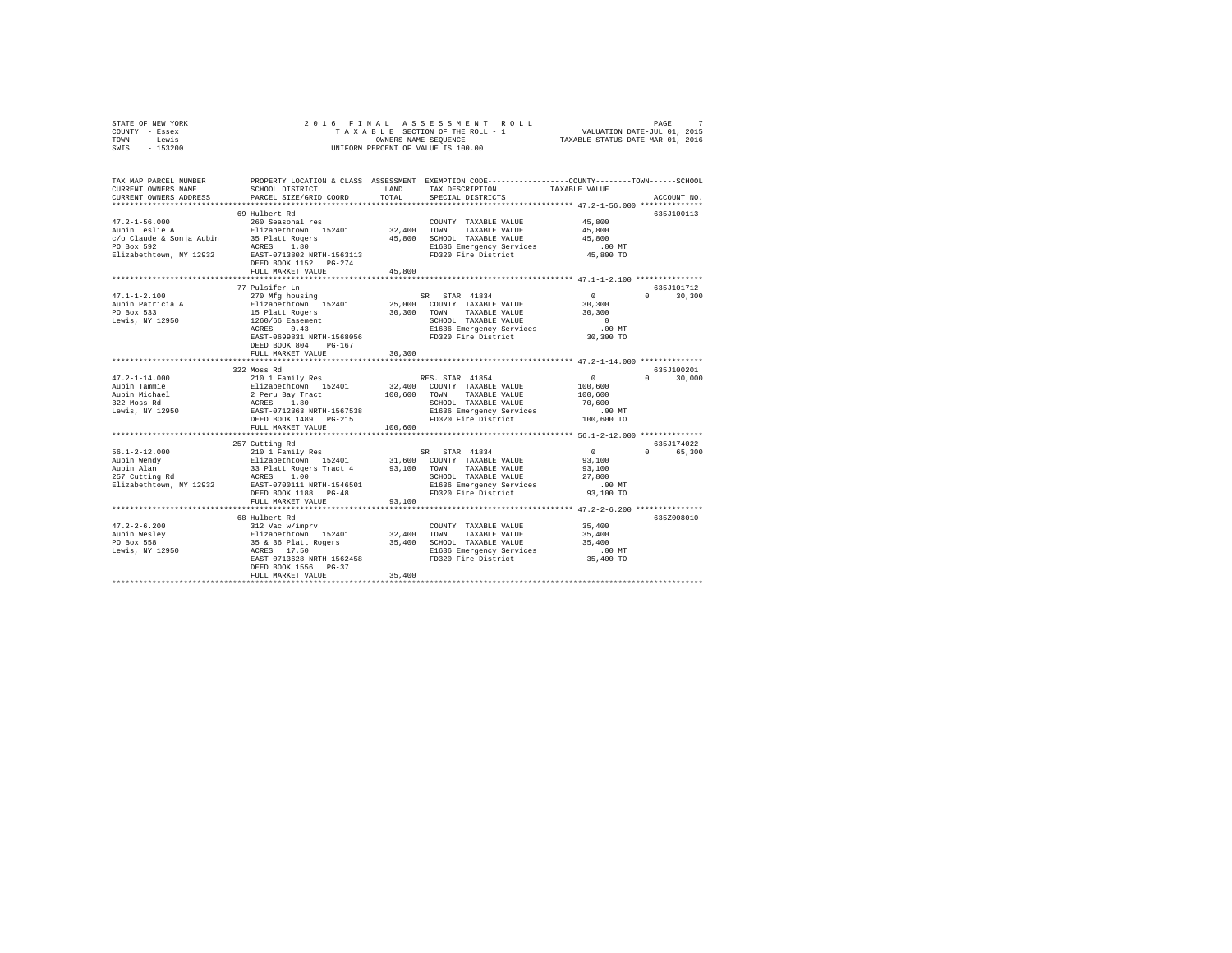| STATE OF NEW YORK |  |  | 2016 FINAL ASSESSMENT ROLL         | PAGE                             |  |
|-------------------|--|--|------------------------------------|----------------------------------|--|
| COUNTY - Essex    |  |  | TAXABLE SECTION OF THE ROLL - 1    | VALUATION DATE-JUL 01, 2015      |  |
| TOWN<br>- Lewis   |  |  | OWNERS NAME SEOUENCE               | TAXABLE STATUS DATE-MAR 01, 2016 |  |
| $-153200$<br>SWIS |  |  | UNIFORM PERCENT OF VALUE IS 100.00 |                                  |  |

| TAX MAP PARCEL NUMBER<br>CURRENT OWNERS NAME<br>CURRENT OWNERS ADDRESS                                     | SCHOOL DISTRICT<br>PARCEL SIZE/GRID COORD                                                                                                                                                           | <b>T.AND</b><br>TOTAL             | PROPERTY LOCATION & CLASS ASSESSMENT EXEMPTION CODE---------------COUNTY-------TOWN-----SCHOOL<br>TAX DESCRIPTION<br>SPECIAL DISTRICTS                                                                         | TAXABLE VALUE                                                                                                       | ACCOUNT NO.                       |
|------------------------------------------------------------------------------------------------------------|-----------------------------------------------------------------------------------------------------------------------------------------------------------------------------------------------------|-----------------------------------|----------------------------------------------------------------------------------------------------------------------------------------------------------------------------------------------------------------|---------------------------------------------------------------------------------------------------------------------|-----------------------------------|
| $47.2 - 1 - 56.000$<br>Aubin Leslie A<br>c/o Claude & Sonja Aubin<br>PO Box 592<br>Elizabethtown, NY 12932 | 69 Hulbert Rd<br>260 Seasonal res<br>Elizabethtown 152401<br>35 Platt Rogers<br>ACRES<br>1.80<br>EAST-0713802 NRTH-1563113<br>DEED BOOK 1152 PG-274<br>FULL MARKET VALUE<br>.                       | 32,400<br>45,800<br>45,800<br>    | COUNTY TAXABLE VALUE<br>TOWN<br>TAXABLE VALUE<br>SCHOOL TAXABLE VALUE<br>E1636 Emergency Services<br>FD320 Fire District                                                                                       | 45,800<br>45,800<br>45,800<br>$.00$ MT<br>45,800 TO<br>****************** 47.1-1-2.100 **********                   | 635J100113                        |
| $47.1 - 1 - 2.100$<br>Aubin Patricia A<br>PO Box 533<br>Lewis, NY 12950                                    | 77 Pulsifer Ln<br>270 Mfg housing<br>Elizabethtown 152401<br>15 Platt Rogers<br>1260/66 Easement<br>ACRES<br>0.43<br>EAST-0699831 NRTH-1568056<br>DEED BOOK 804<br>$PG-167$<br>FULL MARKET VALUE    | 30,300<br>30,300                  | SR STAR 41834<br>25,000 COUNTY TAXABLE VALUE<br>TAXABLE VALUE<br>TOWN<br>SCHOOL TAXABLE VALUE<br>E1636 Emergency Services<br>FD320 Fire District                                                               | $\sim$ 0<br>30,300<br>30,300<br>$\Omega$<br>$.00$ MT<br>30,300 TO                                                   | 635.7101712<br>$\Omega$<br>30,300 |
| $47.2 - 1 - 14.000$<br>Aubin Tammie<br>Aubin<br>Aubin Michael<br>322 Moss Rd<br>Lewis, NY 12950            | 322 Moss Rd<br>210 1 Family Res<br>Elizabethtown 152401<br>2 Peru Bay Tract<br>ACRES 1.80<br>EAST-0712363 NRTH-1567538<br>DEED BOOK 1489 PG-215<br>FULL MARKET VALUE<br>************************    | 32,400<br>100,600 TOWN<br>100,600 | RES. STAR 41854<br>COUNTY TAXABLE VALUE<br>TAXABLE VALUE<br>SCHOOL TAXABLE VALUE<br>E1636 Emergency Services<br>FD320 Fire District                                                                            | $\circ$<br>100,600<br>100,600<br>70,600<br>.00 MT<br>100,600 TO                                                     | 635J100201<br>30,000<br>$\cap$    |
| $56.1 - 2 - 12.000$<br>Aubin Wendy<br>Aubin Alan<br>257 Cutting Rd<br>Elizabethtown, NY 12932              | 257 Cutting Rd<br>210 1 Family Res<br>Elizabethtown 152401 31,600<br>33 Platt Rogers Tract 4 93,100<br>ACRES 1.00<br>EAST-0700111 NRTH-1546501<br>DEED BOOK 1188 PG-48<br>FULL MARKET VALUE         | 93,100                            | ***************************** 56.1-2-12.000 **************<br>SR STAR 41834<br>31,600 COUNTY TAXABLE VALUE<br>TOWN<br>TAXABLE VALUE<br>SCHOOL TAXABLE VALUE<br>E1636 Emergency Services<br>FD320 Fire District | $\mathbf{0}$<br>93,100<br>93,100<br>27,800<br>$.00$ MT<br>93,100 TO<br>*************** 47.2-2-6.200 *************** | 635J174022<br>$\Omega$<br>65,300  |
| $47.2 - 2 - 6.200$<br>Aubin Wesley<br>PO Box 558<br>Lewis, NY 12950                                        | 68 Hulbert Rd<br>68 Hulbert Ro<br>312 Vac W/imprv<br>Elizabethtown 152401<br>35 & 36 Platt Rogers<br>35 & 36 Platt Rogers<br>EAST-0713628 NRTH-1562458<br>DEED BOOK 1556 PG-37<br>FULL MARKET VALUE | 32,400<br>35,400<br>35,400        | COUNTY TAXABLE VALUE<br>TOWN<br>TAXABLE VALUE<br>SCHOOL TAXABLE VALUE<br>E1636 Emergency Services<br>FD320 Fire District                                                                                       | 35,400<br>35,400<br>35,400<br>$.00$ MT<br>35,400 TO                                                                 | 635Z008010                        |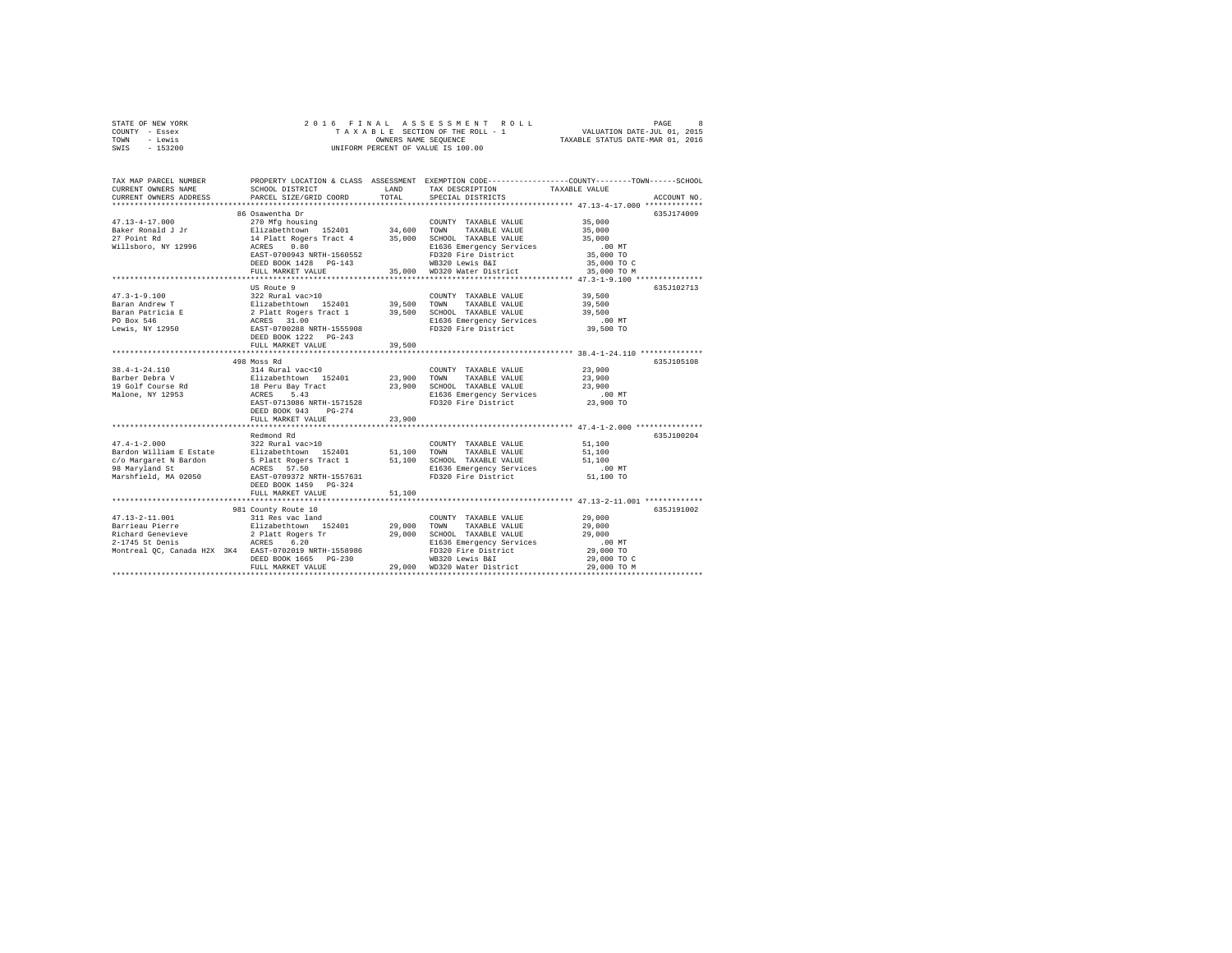| STATE OF NEW YORK | 2016 FINAL ASSESSMENT ROLL         | 8<br>PAGE                        |
|-------------------|------------------------------------|----------------------------------|
| COUNTY - Essex    | TAXABLE SECTION OF THE ROLL - 1    | VALUATION DATE-JUL 01, 2015      |
| TOWN<br>- Lewis   | OWNERS NAME SEOUENCE               | TAXABLE STATUS DATE-MAR 01, 2016 |
| $-153200$<br>SWIS | UNIFORM PERCENT OF VALUE IS 100.00 |                                  |

| TAX MAP PARCEL NUMBER<br>CURRENT OWNERS NAME<br>CURRENT OWNERS ADDRESS                                                                                                                                                                                                                                | SCHOOL DISTRICT<br>PARCEL SIZE/GRID COORD                                                                                                                                                      | LAND<br>TOTAL | TAX DESCRIPTION<br>SPECIAL DISTRICTS                                                    | PROPERTY LOCATION & CLASS ASSESSMENT EXEMPTION CODE----------------COUNTY-------TOWN-----SCHOOL<br>TAXABLE VALUE<br>ACCOUNT NO. |
|-------------------------------------------------------------------------------------------------------------------------------------------------------------------------------------------------------------------------------------------------------------------------------------------------------|------------------------------------------------------------------------------------------------------------------------------------------------------------------------------------------------|---------------|-----------------------------------------------------------------------------------------|---------------------------------------------------------------------------------------------------------------------------------|
|                                                                                                                                                                                                                                                                                                       |                                                                                                                                                                                                |               |                                                                                         |                                                                                                                                 |
|                                                                                                                                                                                                                                                                                                       | 86 Osawentha Dr                                                                                                                                                                                |               |                                                                                         | 635.T174009                                                                                                                     |
| $17.13-4-17.000$ $18.0210 Mfg_{\text{1}}$ $19.000 Mfg_{\text{2}}$ $27.00 Mfg_{\text{2}}$ $27.00 Mfg_{\text{2}}$ $27.00 Mfg_{\text{2}}$ $27.00 Mfg_{\text{2}}$ $27.00 Mfg_{\text{2}}$ $27.00 Mfg_{\text{2}}$ $27.00 Mfg_{\text{2}}$ $27.00 Mfg_{\text{2}}$ $27.00 Mfg_{\text{2}}$ $27.00 Mfg_{\text{2$ |                                                                                                                                                                                                |               |                                                                                         |                                                                                                                                 |
|                                                                                                                                                                                                                                                                                                       |                                                                                                                                                                                                |               |                                                                                         |                                                                                                                                 |
|                                                                                                                                                                                                                                                                                                       |                                                                                                                                                                                                |               |                                                                                         |                                                                                                                                 |
|                                                                                                                                                                                                                                                                                                       |                                                                                                                                                                                                |               |                                                                                         | $.00$ MT                                                                                                                        |
|                                                                                                                                                                                                                                                                                                       | EAST-0700943 NRTH-1560552                                                                                                                                                                      |               | FD320 Fire District<br>WB320 Lewis B&I                                                  | 35,000 TO                                                                                                                       |
|                                                                                                                                                                                                                                                                                                       | DEED BOOK 1428 PG-143                                                                                                                                                                          |               |                                                                                         | 35,000 TO C                                                                                                                     |
|                                                                                                                                                                                                                                                                                                       | FULL MARKET VALUE                                                                                                                                                                              |               | 35,000 WD320 Water District                                                             | 35,000 TO M                                                                                                                     |
|                                                                                                                                                                                                                                                                                                       |                                                                                                                                                                                                |               |                                                                                         |                                                                                                                                 |
|                                                                                                                                                                                                                                                                                                       | US Route 9                                                                                                                                                                                     |               |                                                                                         | 635J102713                                                                                                                      |
|                                                                                                                                                                                                                                                                                                       |                                                                                                                                                                                                |               | COUNTY TAXABLE VALUE 39,500                                                             |                                                                                                                                 |
|                                                                                                                                                                                                                                                                                                       |                                                                                                                                                                                                |               |                                                                                         | 39,500                                                                                                                          |
|                                                                                                                                                                                                                                                                                                       |                                                                                                                                                                                                |               |                                                                                         | 39,500                                                                                                                          |
|                                                                                                                                                                                                                                                                                                       |                                                                                                                                                                                                |               | E1636 Emergency Services .00 MT<br>FD320 Fire District 39,500 TO                        |                                                                                                                                 |
|                                                                                                                                                                                                                                                                                                       |                                                                                                                                                                                                |               |                                                                                         |                                                                                                                                 |
|                                                                                                                                                                                                                                                                                                       |                                                                                                                                                                                                |               |                                                                                         |                                                                                                                                 |
|                                                                                                                                                                                                                                                                                                       | FULL MARKET VALUE                                                                                                                                                                              | 39,500        |                                                                                         |                                                                                                                                 |
|                                                                                                                                                                                                                                                                                                       |                                                                                                                                                                                                |               |                                                                                         |                                                                                                                                 |
|                                                                                                                                                                                                                                                                                                       | 498 Moss Rd                                                                                                                                                                                    |               |                                                                                         | 635J105108                                                                                                                      |
| $38.4 - 1 - 24.110$                                                                                                                                                                                                                                                                                   |                                                                                                                                                                                                |               |                                                                                         |                                                                                                                                 |
|                                                                                                                                                                                                                                                                                                       |                                                                                                                                                                                                |               |                                                                                         |                                                                                                                                 |
|                                                                                                                                                                                                                                                                                                       |                                                                                                                                                                                                |               |                                                                                         |                                                                                                                                 |
|                                                                                                                                                                                                                                                                                                       |                                                                                                                                                                                                |               |                                                                                         |                                                                                                                                 |
|                                                                                                                                                                                                                                                                                                       | EAST-0713086 NRTH-1571528                                                                                                                                                                      |               | FD320 Fire District 23,900 TO                                                           |                                                                                                                                 |
|                                                                                                                                                                                                                                                                                                       | DEED BOOK 943 PG-274                                                                                                                                                                           |               |                                                                                         |                                                                                                                                 |
|                                                                                                                                                                                                                                                                                                       | FULL MARKET VALUE                                                                                                                                                                              | 23,900        |                                                                                         |                                                                                                                                 |
|                                                                                                                                                                                                                                                                                                       |                                                                                                                                                                                                |               |                                                                                         |                                                                                                                                 |
|                                                                                                                                                                                                                                                                                                       | Redmond Rd                                                                                                                                                                                     |               |                                                                                         | 635J100204                                                                                                                      |
| $47.4 - 1 - 2.000$                                                                                                                                                                                                                                                                                    | 322 Rural vac>10                                                                                                                                                                               |               | COUNTY TAXABLE VALUE                                                                    | 51,100                                                                                                                          |
|                                                                                                                                                                                                                                                                                                       |                                                                                                                                                                                                |               |                                                                                         |                                                                                                                                 |
|                                                                                                                                                                                                                                                                                                       |                                                                                                                                                                                                |               |                                                                                         |                                                                                                                                 |
|                                                                                                                                                                                                                                                                                                       |                                                                                                                                                                                                |               |                                                                                         |                                                                                                                                 |
|                                                                                                                                                                                                                                                                                                       |                                                                                                                                                                                                |               |                                                                                         |                                                                                                                                 |
|                                                                                                                                                                                                                                                                                                       | DEED BOOK 1459 PG-324                                                                                                                                                                          |               |                                                                                         |                                                                                                                                 |
|                                                                                                                                                                                                                                                                                                       | FULL MARKET VALUE                                                                                                                                                                              | 51,100        |                                                                                         |                                                                                                                                 |
|                                                                                                                                                                                                                                                                                                       |                                                                                                                                                                                                |               |                                                                                         |                                                                                                                                 |
|                                                                                                                                                                                                                                                                                                       | 981 County Route 10                                                                                                                                                                            |               |                                                                                         | 635J191002                                                                                                                      |
| $47.13 - 2 - 11.001$                                                                                                                                                                                                                                                                                  |                                                                                                                                                                                                |               | COUNTY TAXABLE VALUE                                                                    | 29,000                                                                                                                          |
| Barrieau Pierre                                                                                                                                                                                                                                                                                       |                                                                                                                                                                                                |               | TAXABLE VALUE                                                                           | 29,000                                                                                                                          |
| Richard Genevieve                                                                                                                                                                                                                                                                                     | 981 County Average 2012<br>29,000 TOWN 29,000 TOWN<br>29,000 TOWN 29,000 SCHOC<br>29,000 SCHOC<br>29,000 SCHOC<br>29,000 SCHOC<br>29,000 SCHOC<br>29,000 SCHOC<br>29,000 SCHOC<br>29,000 SCHOC |               | 29,000 SCHOOL TAXABLE VALUE                                                             | 29,000                                                                                                                          |
| 2-1745 St Denis                                                                                                                                                                                                                                                                                       |                                                                                                                                                                                                |               | E1636 Emergency Services .00 MT<br>FD320 Fire District 29,000 TO                        |                                                                                                                                 |
|                                                                                                                                                                                                                                                                                                       |                                                                                                                                                                                                |               |                                                                                         |                                                                                                                                 |
|                                                                                                                                                                                                                                                                                                       | DEED BOOK 1665 PG-230                                                                                                                                                                          |               | 30 <b>WB320</b> Lewis B&I 29,000 TO C<br>29,000 <b>WD320</b> Water District 29,000 TO M |                                                                                                                                 |
|                                                                                                                                                                                                                                                                                                       | FULL MARKET VALUE                                                                                                                                                                              |               |                                                                                         |                                                                                                                                 |
|                                                                                                                                                                                                                                                                                                       |                                                                                                                                                                                                |               |                                                                                         |                                                                                                                                 |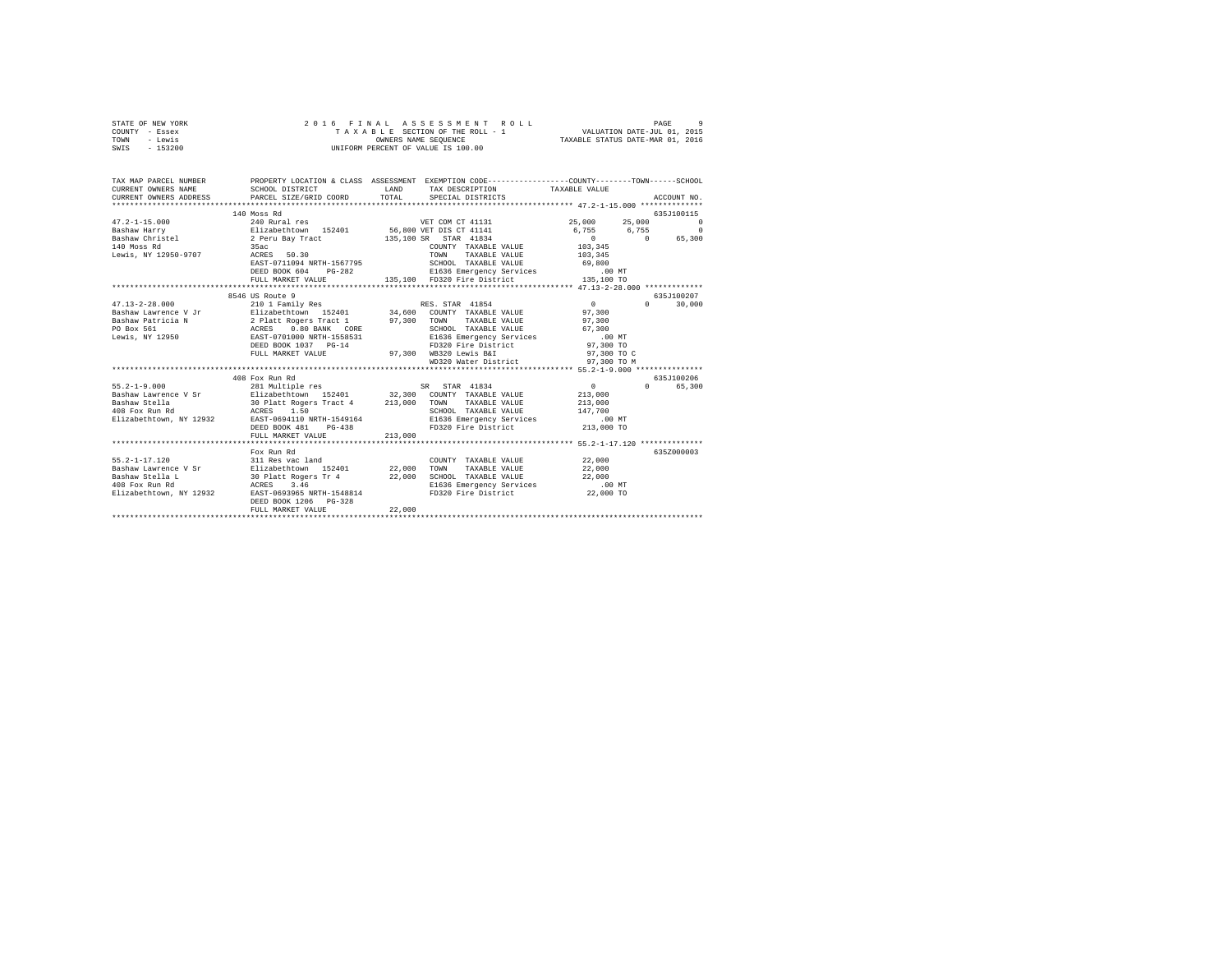| STATE OF NEW YORK |         |                      |  |  |  |  |  | 2016 FINAL ASSESSMENT ROLL         |                             | PAGE | -9 |
|-------------------|---------|----------------------|--|--|--|--|--|------------------------------------|-----------------------------|------|----|
| COUNTY - Essex    |         |                      |  |  |  |  |  | TAXABLE SECTION OF THE ROLL - 1    | VALUATION DATE-JUL 01, 2015 |      |    |
| TOWN              | - Lewis | OWNERS NAME SEOUENCE |  |  |  |  |  | TAXABLE STATUS DATE-MAR 01, 2016   |                             |      |    |
| SWIS - 153200     |         |                      |  |  |  |  |  | UNIFORM PERCENT OF VALUE IS 100.00 |                             |      |    |

| TAX MAP PARCEL NUMBER |                                                              | LAND<br>TAX DESCRIPTION TAXABLE VALUE<br>TOTAL SPECIAL DISTRICTS                                          | PROPERTY LOCATION & CLASS ASSESSMENT EXEMPTION CODE---------------COUNTY-------TOWN------SCHOOL<br>ACCOUNT NO.                                                                                                                                       |
|-----------------------|--------------------------------------------------------------|-----------------------------------------------------------------------------------------------------------|------------------------------------------------------------------------------------------------------------------------------------------------------------------------------------------------------------------------------------------------------|
|                       | 140 Moss Rd                                                  |                                                                                                           | 635J100115<br>1991 12330-3707, 2000 12330-2011<br>ERST-0711094 NRTH-1567795 5CHOOL TAXABLE VALUE<br>ERED BOOK 604 PG-282 E1636 Emergency Services .00 MT<br>FULL MARKET VALUE . 135,100 FD320 Field Emergency Services .00 MT<br>FULL MARKET VALUE . |
|                       | 8546 US Route 9<br>DEED BOOK 1037 PG-14<br>FULL MARKET VALUE | FD320 Fire District<br>97,300 WB320 Lewis B&I                                                             | 635J100207<br>$0 \qquad \qquad$<br>30,000<br>97,300 TO<br>97,300 TO C<br>WD320 Water District 97,300 TO M                                                                                                                                            |
|                       | 408 Fox Run Rd<br>DEED BOOK 481<br>FULL MARKET VALUE         | RTH-1549164 E1636 Emergency Services .00 MT<br>PG-438 PD320 Fire District 213,000 TO<br>213,000           | 635J100206<br>$\sim$ 0 $\sim$<br>0 65,300<br>213,000<br>TAXABLE VALUE 213,000<br>147,700                                                                                                                                                             |
|                       | Fox Run Rd<br>DEED BOOK 1206 PG-328<br>FULL MARKET VALUE     | SCHOOL TAXABLE VALUE 22,000<br>E1636 Emergency Services .00 MT<br>FD320 Fire District 22,000 TO<br>22,000 | 635Z000003<br>22,000<br>22,000                                                                                                                                                                                                                       |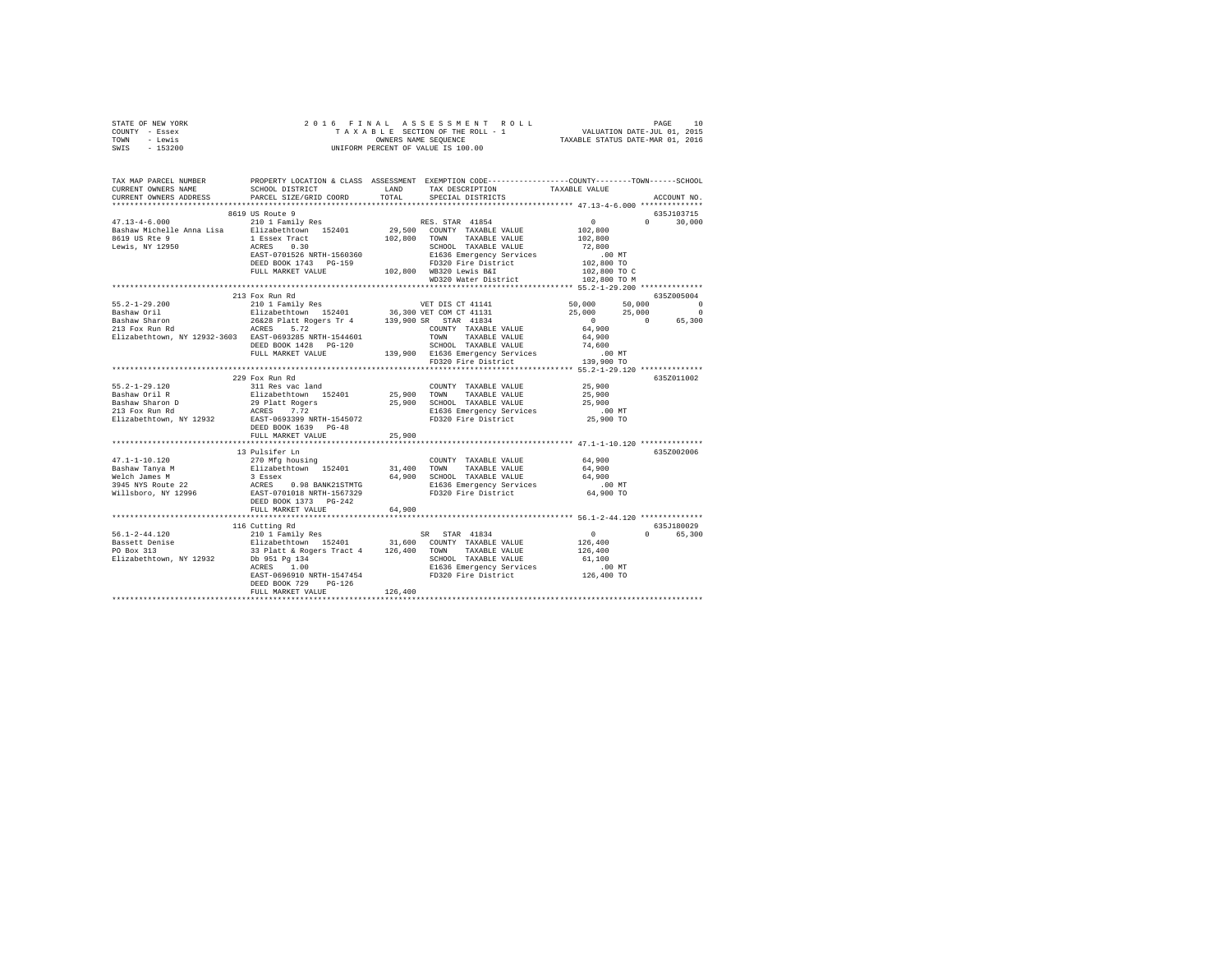| STATE OF NEW YORK                                                                                                                                                                                                                                                                                                                                                                                                                    |                      |         |                      |        |               |  |
|--------------------------------------------------------------------------------------------------------------------------------------------------------------------------------------------------------------------------------------------------------------------------------------------------------------------------------------------------------------------------------------------------------------------------------------|----------------------|---------|----------------------|--------|---------------|--|
| COUNTY - Essex                                                                                                                                                                                                                                                                                                                                                                                                                       |                      |         |                      |        |               |  |
| TOWN - Lewis                                                                                                                                                                                                                                                                                                                                                                                                                         |                      |         |                      |        |               |  |
| SWIS - 153200                                                                                                                                                                                                                                                                                                                                                                                                                        |                      |         |                      |        |               |  |
|                                                                                                                                                                                                                                                                                                                                                                                                                                      |                      |         |                      |        |               |  |
|                                                                                                                                                                                                                                                                                                                                                                                                                                      |                      |         |                      |        |               |  |
|                                                                                                                                                                                                                                                                                                                                                                                                                                      |                      |         |                      |        |               |  |
| TAX MAP PARCEL NUMBER     PROPERTY LOCATION & CLASS ASSESSMENT EXEMPTION CODE---------------COUNTY-------TOWN------SCHOOL DISTRICT     LAND   TAX DESCRIPTION     TAXABLE VALUE                                                                                                                                                                                                                                                      |                      |         |                      |        |               |  |
|                                                                                                                                                                                                                                                                                                                                                                                                                                      |                      |         |                      |        |               |  |
| CURRENT OWNERS ADDRESS PARCEL SIZE/GRID COORD                                                                                                                                                                                                                                                                                                                                                                                        |                      | TOTAL   | SPECIAL DISTRICTS    |        | ACCOUNT NO.   |  |
|                                                                                                                                                                                                                                                                                                                                                                                                                                      |                      |         |                      |        |               |  |
|                                                                                                                                                                                                                                                                                                                                                                                                                                      |                      |         |                      |        | 635J103715    |  |
|                                                                                                                                                                                                                                                                                                                                                                                                                                      |                      |         |                      |        | $0 \t 30,000$ |  |
|                                                                                                                                                                                                                                                                                                                                                                                                                                      |                      |         |                      |        |               |  |
|                                                                                                                                                                                                                                                                                                                                                                                                                                      |                      |         |                      |        |               |  |
|                                                                                                                                                                                                                                                                                                                                                                                                                                      |                      |         |                      |        |               |  |
|                                                                                                                                                                                                                                                                                                                                                                                                                                      |                      |         |                      |        |               |  |
|                                                                                                                                                                                                                                                                                                                                                                                                                                      |                      |         |                      |        |               |  |
|                                                                                                                                                                                                                                                                                                                                                                                                                                      |                      |         |                      |        |               |  |
|                                                                                                                                                                                                                                                                                                                                                                                                                                      |                      |         |                      |        |               |  |
|                                                                                                                                                                                                                                                                                                                                                                                                                                      |                      |         |                      |        |               |  |
|                                                                                                                                                                                                                                                                                                                                                                                                                                      |                      |         |                      |        |               |  |
|                                                                                                                                                                                                                                                                                                                                                                                                                                      | 213 Fox Run Rd       |         |                      |        | 635Z005004    |  |
|                                                                                                                                                                                                                                                                                                                                                                                                                                      |                      |         |                      |        |               |  |
|                                                                                                                                                                                                                                                                                                                                                                                                                                      |                      |         |                      |        |               |  |
|                                                                                                                                                                                                                                                                                                                                                                                                                                      |                      |         |                      |        |               |  |
|                                                                                                                                                                                                                                                                                                                                                                                                                                      |                      |         |                      |        |               |  |
|                                                                                                                                                                                                                                                                                                                                                                                                                                      |                      |         |                      |        |               |  |
|                                                                                                                                                                                                                                                                                                                                                                                                                                      |                      |         |                      |        |               |  |
|                                                                                                                                                                                                                                                                                                                                                                                                                                      |                      |         |                      |        |               |  |
|                                                                                                                                                                                                                                                                                                                                                                                                                                      |                      |         |                      |        |               |  |
| $\begin{tabular}{lllllllllllll} 55.2-1-29.200 & 213\, \, \mathrm{FOX} \, \mathrm{Rm} \, \mathrm{Rd} & \mathrm{E14} \, \mathrm{Rd} \, \mathrm{D10} & 6352005004 \\ \text{Bashaw Noint} & \mathrm{Ell11} \, \mathrm{Rm} \, \mathrm{Rd} & 210 \, \mathrm{I} \, \mathrm{Family} \, \mathrm{Res} & \mathrm{VET} \, \mathrm{DIS} \, \mathrm{CT} \, \mathrm{41131} & 50,000 & 50,000 & 50,000 \\ \text{B$                                   |                      |         |                      |        |               |  |
|                                                                                                                                                                                                                                                                                                                                                                                                                                      |                      |         |                      |        |               |  |
|                                                                                                                                                                                                                                                                                                                                                                                                                                      | 229 Fox Run Rd       |         |                      |        | 635Z011002    |  |
| 55.2-1-29.120<br>Bashaw Oril R<br>Bashaw Sharon D<br>213 Fox Run Rd                                                                                                                                                                                                                                                                                                                                                                  | 311 Res vac land     |         | COUNTY TAXABLE VALUE | 25,900 |               |  |
|                                                                                                                                                                                                                                                                                                                                                                                                                                      |                      |         |                      |        |               |  |
|                                                                                                                                                                                                                                                                                                                                                                                                                                      |                      |         |                      |        |               |  |
|                                                                                                                                                                                                                                                                                                                                                                                                                                      |                      |         |                      |        |               |  |
|                                                                                                                                                                                                                                                                                                                                                                                                                                      |                      |         |                      |        |               |  |
|                                                                                                                                                                                                                                                                                                                                                                                                                                      | DEED BOOK 1639 PG-48 |         |                      |        |               |  |
|                                                                                                                                                                                                                                                                                                                                                                                                                                      | FULL MARKET VALUE    | 25,900  |                      |        |               |  |
|                                                                                                                                                                                                                                                                                                                                                                                                                                      |                      |         |                      |        |               |  |
| $\begin{tabular}{l c c c c c} \multicolumn{2}{c}{\textbf{47.1--1-10.120}} & \multicolumn{2}{c}{\textbf{13 Pulsifer In}} & \multicolumn{2}{c}{\textbf{270 Mg basis}} & \multicolumn{2}{c}{\textbf{C10.13 Dulsifer In}} & \multicolumn{2}{c}{\textbf{28.145 MUDF}} & \multicolumn{2}{c}{\textbf{47.1--1-10.120}} & \multicolumn{2}{c}{\textbf{13 Pulsider In}} & \multicolumn{2}{c}{\textbf{28.15 MUDF}} & \multicolumn{2}{c}{\textbf$ |                      |         |                      |        |               |  |
|                                                                                                                                                                                                                                                                                                                                                                                                                                      |                      |         |                      |        | 635Z002006    |  |
|                                                                                                                                                                                                                                                                                                                                                                                                                                      |                      |         |                      |        |               |  |
|                                                                                                                                                                                                                                                                                                                                                                                                                                      |                      |         |                      |        |               |  |
|                                                                                                                                                                                                                                                                                                                                                                                                                                      |                      |         |                      |        |               |  |
|                                                                                                                                                                                                                                                                                                                                                                                                                                      |                      |         |                      |        |               |  |
|                                                                                                                                                                                                                                                                                                                                                                                                                                      |                      |         |                      |        |               |  |
|                                                                                                                                                                                                                                                                                                                                                                                                                                      |                      |         |                      |        |               |  |
|                                                                                                                                                                                                                                                                                                                                                                                                                                      | FULL MARKET VALUE    | 64,900  |                      |        |               |  |
|                                                                                                                                                                                                                                                                                                                                                                                                                                      |                      |         |                      |        |               |  |
|                                                                                                                                                                                                                                                                                                                                                                                                                                      | 116 Cutting Rd       |         |                      |        | 635J180029    |  |
|                                                                                                                                                                                                                                                                                                                                                                                                                                      |                      |         |                      |        | 0 65,300      |  |
|                                                                                                                                                                                                                                                                                                                                                                                                                                      |                      |         |                      |        |               |  |
|                                                                                                                                                                                                                                                                                                                                                                                                                                      |                      |         |                      |        |               |  |
|                                                                                                                                                                                                                                                                                                                                                                                                                                      |                      |         |                      |        |               |  |
|                                                                                                                                                                                                                                                                                                                                                                                                                                      |                      |         |                      |        |               |  |
|                                                                                                                                                                                                                                                                                                                                                                                                                                      |                      |         |                      |        |               |  |
|                                                                                                                                                                                                                                                                                                                                                                                                                                      |                      |         |                      |        |               |  |
|                                                                                                                                                                                                                                                                                                                                                                                                                                      | DEED BOOK 729 PG-126 |         |                      |        |               |  |
|                                                                                                                                                                                                                                                                                                                                                                                                                                      | FULL MARKET VALUE    | 126,400 |                      |        |               |  |
|                                                                                                                                                                                                                                                                                                                                                                                                                                      |                      |         |                      |        |               |  |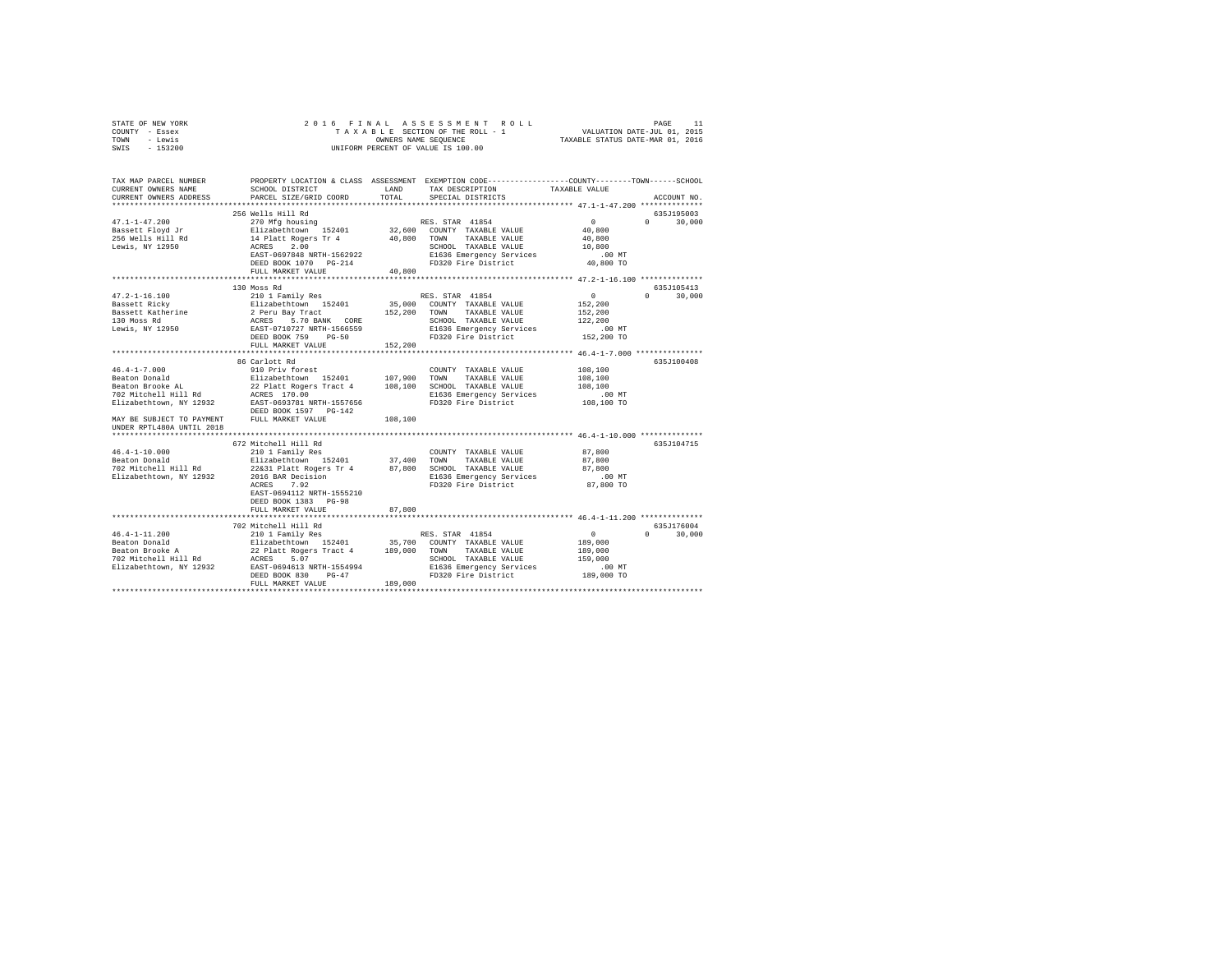| TOWN<br>- Lewis<br>$-153200$<br>SWIS                   |                                                                                               | OWNERS NAME SEQUENCE | UNIFORM PERCENT OF VALUE IS 100.00                                                              | TAXABLE STATUS DATE-MAR 01, 2016              |                                 |
|--------------------------------------------------------|-----------------------------------------------------------------------------------------------|----------------------|-------------------------------------------------------------------------------------------------|-----------------------------------------------|---------------------------------|
| TAX MAP PARCEL NUMBER                                  |                                                                                               |                      | PROPERTY LOCATION & CLASS ASSESSMENT EXEMPTION CODE---------------COUNTY-------TOWN------SCHOOL |                                               |                                 |
| CURRENT OWNERS NAME                                    | SCHOOL DISTRICT                                                                               | LAND                 | TAX DESCRIPTION                                                                                 | TAXABLE VALUE                                 |                                 |
| CURRENT OWNERS ADDRESS                                 | PARCEL SIZE/GRID COORD                                                                        | TOTAL                | SPECIAL DISTRICTS                                                                               |                                               | ACCOUNT NO.                     |
|                                                        |                                                                                               |                      |                                                                                                 |                                               |                                 |
|                                                        | 256 Wells Hill Rd                                                                             |                      |                                                                                                 |                                               | 635J195003                      |
| $47.1 - 1 - 47.200$                                    | 270 Mfg housing                                                                               |                      | RES. STAR 41854                                                                                 | $\Omega$                                      | $\Omega$<br>30,000              |
| Bassett Floyd Jr                                       | Elizabethtown 152401                                                                          |                      | 32,600 COUNTY TAXABLE VALUE                                                                     | 40,800                                        |                                 |
| 256 Wells Hill Rd                                      | 14 Platt Rogers Tr 4                                                                          | 40,800               | TAXABLE VALUE<br>TOWN                                                                           | 40,800                                        |                                 |
| Lewis, NY 12950                                        | ACRES 2.00<br>EAST-0697848 NRTH-1562922                                                       |                      | SCHOOL TAXABLE VALUE                                                                            | 10,800<br>$.00$ MT                            |                                 |
|                                                        | DEED BOOK 1070 PG-214                                                                         |                      | E1636 Emergency Services<br>FD320 Fire District                                                 | 40,800 TO                                     |                                 |
|                                                        | FULL MARKET VALUE                                                                             | 40,800               |                                                                                                 |                                               |                                 |
|                                                        |                                                                                               | ***********          |                                                                                                 | **************** 47.2-1-16.100 ************** |                                 |
|                                                        | 130 Moss Rd                                                                                   |                      |                                                                                                 |                                               | 635J105413                      |
| $47.2 - 1 - 16.100$                                    | 210 1 Family Res                                                                              |                      | RES. STAR 41854                                                                                 | $\Omega$                                      | $\Omega$ and $\Omega$<br>30,000 |
| Bassett Ricky                                          |                                                                                               |                      | 35,000 COUNTY TAXABLE VALUE                                                                     | 152,200                                       |                                 |
| Bassett Katherine                                      |                                                                                               | 152,200              | TOWN TAXABLE VALUE                                                                              | 152,200                                       |                                 |
| 130 Moss Rd                                            | Elizabethtown 152401<br>2 Peru Bay Tract<br>ACRES 5.70 BANK CORE<br>EAST-0710727 NRTH-1566559 |                      | SCHOOL TAXABLE VALUE                                                                            | 122,200                                       |                                 |
| Lewis, NY 12950                                        |                                                                                               |                      | E1636 Emergency Services                                                                        | $.00$ MT                                      |                                 |
|                                                        | DEED BOOK 759<br>$PG-50$<br>FULL MARKET VALUE                                                 | 152,200              | FD320 Fire District                                                                             | 152,200 TO                                    |                                 |
|                                                        |                                                                                               |                      |                                                                                                 |                                               |                                 |
|                                                        | 86 Carlott Rd                                                                                 |                      |                                                                                                 |                                               | 635J100408                      |
| $46.4 - 1 - 7.000$                                     | 910 Priv forest                                                                               |                      | COUNTY TAXABLE VALUE                                                                            | 108,100                                       |                                 |
| Beaton Donald                                          | Elizabethtown 152401                                                                          | 107,900              | TOWN<br>TAXABLE VALUE                                                                           | 108,100                                       |                                 |
| Beaton Brooke AL                                       | 22 Platt Rogers Tract 4                                                                       | 108,100              | SCHOOL TAXABLE VALUE                                                                            | 108,100                                       |                                 |
| 702 Mitchell Hill Rd                                   | ACRES 170.00                                                                                  |                      | E1636 Emergency Services                                                                        | $.00$ MT                                      |                                 |
| Elizabethtown, NY 12932                                | EAST-0693781 NRTH-1557656<br>DEED BOOK 1597 PG-142                                            |                      | FD320 Fire District                                                                             | 108,100 TO                                    |                                 |
| MAY BE SUBJECT TO PAYMENT<br>UNDER RPTL480A UNTIL 2018 | FULL MARKET VALUE                                                                             | 108,100              |                                                                                                 |                                               |                                 |
|                                                        |                                                                                               |                      |                                                                                                 |                                               |                                 |
|                                                        | 672 Mitchell Hill Rd                                                                          |                      |                                                                                                 |                                               | 635J104715                      |
| $46.4 - 1 - 10.000$                                    | 210 1 Family Res                                                                              |                      | COUNTY TAXABLE VALUE                                                                            | 87,800                                        |                                 |
| Beaton Donald                                          | Elizabethtown 152401                                                                          | 37,400               | TOWN<br>TAXABLE VALUE                                                                           | 87,800                                        |                                 |
| 702 Mitchell Hill Rd                                   | 22&31 Platt Rogers Tr 4                                                                       | 87,800               | SCHOOL TAXABLE VALUE                                                                            | 87,800                                        |                                 |
| Elizabethtown, NY 12932                                | 2016 BAR Decision<br>ACRES 7.92                                                               |                      | E1636 Emergency Services<br>FD320 Fire District                                                 | $.00$ MT<br>87,800 TO                         |                                 |
|                                                        | EAST-0694112 NRTH-1555210                                                                     |                      |                                                                                                 |                                               |                                 |
|                                                        | DEED BOOK 1383 PG-98                                                                          |                      |                                                                                                 |                                               |                                 |
|                                                        | FULL MARKET VALUE                                                                             | 87,800               |                                                                                                 |                                               |                                 |
|                                                        |                                                                                               |                      |                                                                                                 | ************ 46.4-1-11.200 **************     |                                 |
|                                                        | 702 Mitchell Hill Rd                                                                          |                      |                                                                                                 |                                               | 635J176004                      |
| $46.4 - 1 - 11.200$                                    | 210 1 Family Res                                                                              |                      | RES. STAR 41854                                                                                 | $\sim$ 0                                      | $\Omega$<br>30,000              |
| Beaton Donald<br>Beaton Brooke A                       | Elizabethtown 152401                                                                          | 35,700               | COUNTY TAXABLE VALUE                                                                            | 189,000                                       |                                 |
|                                                        | 22 Platt Rogers Tract 4                                                                       | 189,000              | TAXABLE VALUE<br>TOWN                                                                           | 189,000                                       |                                 |
| 702 Mitchell Hill Rd                                   | ACRES 5.07<br>EAST-0694613 NRTH-1554994                                                       |                      | SCHOOL TAXABLE VALUE                                                                            | 159,000                                       |                                 |
| Elizabethtown, NY 12932                                | DEED BOOK 830<br>$PG-47$                                                                      |                      | E1636 Emergency Services<br>FD320 Fire District                                                 | $.00$ MT<br>189,000 TO                        |                                 |
|                                                        | FULL MARKET VALUE                                                                             | 189,000              |                                                                                                 |                                               |                                 |
|                                                        |                                                                                               |                      |                                                                                                 |                                               |                                 |

STATE OF NEW YORK 2 0 1 6 F I N A L A S S E S S M E N T R O L L PAGE 11 COUNTY - Essex T A X A B L E SECTION OF THE ROLL - 1 VALUATION DATE-JUL 01, 2015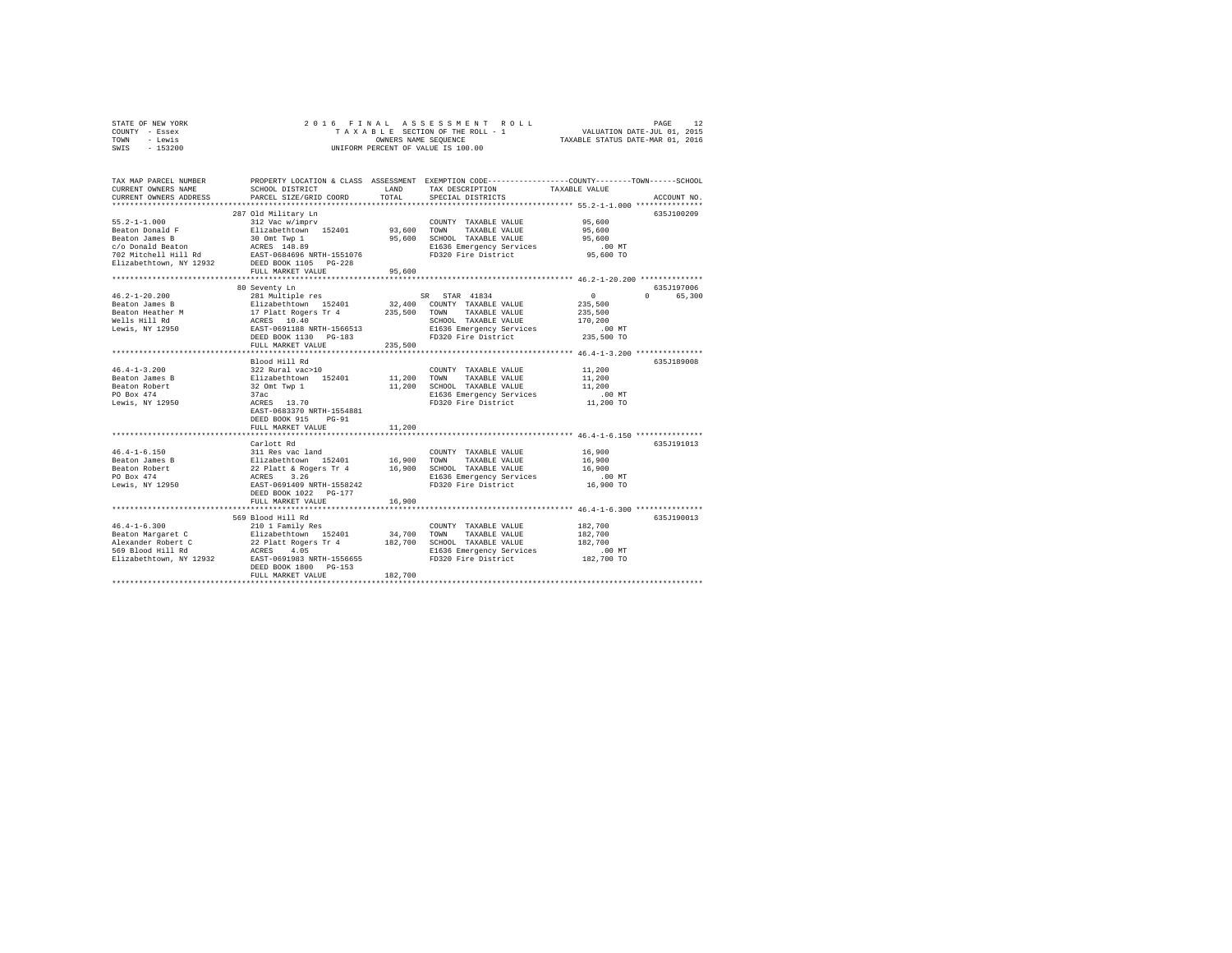| STATE OF NEW YORK       | 2016 FINAL                           |         | ASSESSMENT ROLL                                                                                |                                  | PAGE<br>12         |
|-------------------------|--------------------------------------|---------|------------------------------------------------------------------------------------------------|----------------------------------|--------------------|
| COUNTY - Essex          |                                      |         | TAXABLE SECTION OF THE ROLL - 1                                                                | VALUATION DATE-JUL 01, 2015      |                    |
| TOWN<br>- Lewis         |                                      |         | OWNERS NAME SEQUENCE                                                                           | TAXABLE STATUS DATE-MAR 01, 2016 |                    |
| SWIS<br>$-153200$       |                                      |         | UNIFORM PERCENT OF VALUE IS 100.00                                                             |                                  |                    |
|                         |                                      |         |                                                                                                |                                  |                    |
|                         |                                      |         |                                                                                                |                                  |                    |
| TAX MAP PARCEL NUMBER   |                                      |         | PROPERTY LOCATION & CLASS ASSESSMENT EXEMPTION CODE---------------COUNTY-------TOWN-----SCHOOL |                                  |                    |
| CURRENT OWNERS NAME     | SCHOOL DISTRICT                      | LAND    | TAX DESCRIPTION                                                                                | TAXABLE VALUE                    |                    |
| CURRENT OWNERS ADDRESS  | PARCEL SIZE/GRID COORD               | TOTAL   | SPECIAL DISTRICTS                                                                              |                                  | ACCOUNT NO.        |
|                         |                                      |         |                                                                                                |                                  |                    |
|                         | 287 Old Military Ln                  |         |                                                                                                |                                  | 635J100209         |
| $55.2 - 1 - 1.000$      | 312 Vac w/imprv                      |         | COUNTY TAXABLE VALUE                                                                           | 95,600                           |                    |
| Beaton Donald F         | Elizabethtown 152401                 | 93,600  | TOWN<br>TAXABLE VALUE                                                                          | 95,600                           |                    |
| Beaton James B          |                                      | 95,600  |                                                                                                | 95,600                           |                    |
| c/o Donald Beaton       | 30 Omt Twp 1<br>ACRES 148.89         |         | SCHOOL TAXABLE VALUE                                                                           |                                  |                    |
|                         |                                      |         | E1636 Emergency Services                                                                       | .00MT                            |                    |
| 702 Mitchell Hill Rd    | EAST-0684696 NRTH-1551076            |         | FD320 Fire District                                                                            | 95,600 TO                        |                    |
| Elizabethtown, NY 12932 | DEED BOOK 1105 PG-228                |         |                                                                                                |                                  |                    |
|                         | FULL MARKET VALUE                    | 95,600  |                                                                                                |                                  |                    |
|                         |                                      |         |                                                                                                |                                  |                    |
|                         | 80 Seventy Ln                        |         |                                                                                                |                                  | 635J197006         |
| $46.2 - 1 - 20.200$     | 281 Multiple res                     |         | SR STAR 41834                                                                                  | $\circ$                          | $\Omega$<br>65,300 |
| Beaton James B          | Elizabethtown 152401                 |         | 32,400 COUNTY TAXABLE VALUE                                                                    | 235,500                          |                    |
| Beaton Heather M        | 17 Platt Rogers Tr 4                 | 235,500 | TAXABLE VALUE<br>TOWN                                                                          | 235,500                          |                    |
| Wells Hill Rd           | ACRES 10.40                          |         | SCHOOL TAXABLE VALUE                                                                           | 170,200                          |                    |
| Lewis, NY 12950         | EAST-0691188 NRTH-1566513            |         | E1636 Emergency Services                                                                       | $.00$ MT                         |                    |
|                         | DEED BOOK 1130 PG-183                |         | FD320 Fire District                                                                            | 235,500 TO                       |                    |
|                         | FULL MARKET VALUE                    | 235,500 |                                                                                                |                                  |                    |
|                         |                                      |         |                                                                                                |                                  |                    |
|                         | Blood Hill Rd                        |         |                                                                                                |                                  | 635.T189008        |
| $46.4 - 1 - 3.200$      | 322 Rural vac>10                     |         | COUNTY TAXABLE VALUE                                                                           | 11,200                           |                    |
| Beaton James B          | Elizabethtown 152401                 | 11,200  | TOWN<br>TAXABLE VALUE                                                                          | 11,200                           |                    |
| Beaton Robert           | 32 Omt Twp 1                         | 11,200  | SCHOOL TAXABLE VALUE                                                                           | 11,200                           |                    |
| PO Box 474              | 37ac                                 |         | E1636 Emergency Services                                                                       | $.00$ MT                         |                    |
| Lewis, NY 12950         | ACRES 13.70                          |         | FD320 Fire District                                                                            | 11,200 TO                        |                    |
|                         | EAST-0683370 NRTH-1554881            |         |                                                                                                |                                  |                    |
|                         | DEED BOOK 915 PG-91                  |         |                                                                                                |                                  |                    |
|                         | FULL MARKET VALUE                    | 11,200  |                                                                                                |                                  |                    |
|                         |                                      |         |                                                                                                |                                  |                    |
|                         | Carlott Rd                           |         |                                                                                                |                                  | 635J191013         |
| $46.4 - 1 - 6.150$      | 311 Res vac land                     |         | COUNTY TAXABLE VALUE                                                                           | 16,900                           |                    |
| Beaton James B          | Elizabethtown 152401                 | 16,900  | TOWN<br>TAXABLE VALUE                                                                          | 16,900                           |                    |
| Beaton Robert           |                                      | 16,900  | SCHOOL TAXABLE VALUE                                                                           | 16,900                           |                    |
| PO Box 474              | 22 Platt & Rogers Tr 4<br>ACRES 3.26 |         | E1636 Emergency Services                                                                       | .00 MT                           |                    |
| Lewis, NY 12950         | EAST-0691409 NRTH-1558242            |         | FD320 Fire District                                                                            | 16,900 TO                        |                    |
|                         | DEED BOOK 1022 PG-177                |         |                                                                                                |                                  |                    |
|                         | FULL MARKET VALUE                    | 16,900  |                                                                                                |                                  |                    |
|                         |                                      |         |                                                                                                |                                  |                    |
|                         | 569 Blood Hill Rd                    |         |                                                                                                |                                  | 635J190013         |
| $46.4 - 1 - 6.300$      | 210 1 Family Res                     |         | COUNTY TAXABLE VALUE                                                                           | 182,700                          |                    |
| Beaton Margaret C       | Elizabethtown 152401                 | 34,700  | TOWN<br>TAXABLE VALUE                                                                          | 182,700                          |                    |
| Alexander Robert C      | 22 Platt Rogers Tr 4                 | 182,700 | SCHOOL TAXABLE VALUE                                                                           | 182,700                          |                    |
| 569 Blood Hill Rd       | ACRES 4.05                           |         | E1636 Emergency Services                                                                       | $.00$ MT                         |                    |
| Elizabethtown, NY 12932 | EAST-0691983 NRTH-1556655            |         | FD320 Fire District                                                                            | 182,700 TO                       |                    |
|                         | DEED BOOK 1800 PG-153                |         |                                                                                                |                                  |                    |
|                         | FULL MARKET VALUE                    | 182,700 |                                                                                                |                                  |                    |
|                         |                                      |         |                                                                                                |                                  |                    |
|                         |                                      |         |                                                                                                |                                  |                    |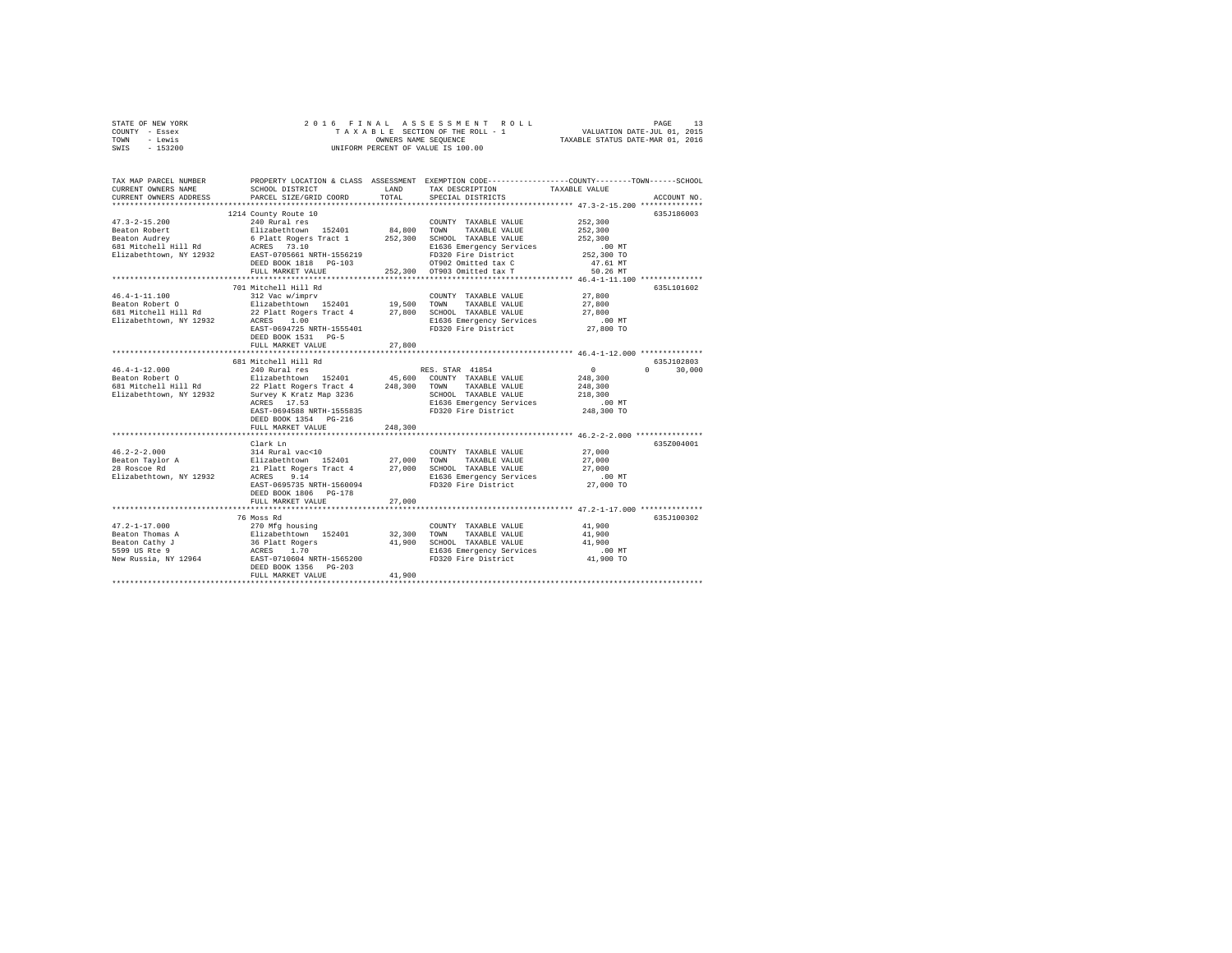| STATE OF NEW YORK | 2016 FINAL ASSESSMENT ROLL         | PAGE                             |
|-------------------|------------------------------------|----------------------------------|
| COUNTY - Essex    | TAXABLE SECTION OF THE ROLL - 1    | VALUATION DATE-JUL 01, 2015      |
| TOWN<br>- Lewis   | OWNERS NAME SEOUENCE               | TAXABLE STATUS DATE-MAR 01, 2016 |
| $-153200$<br>SWIS | UNIFORM PERCENT OF VALUE IS 100.00 |                                  |

| TAX MAP PARCEL NUMBER<br>CURRENT OWNERS NAME<br>CURRENT OWNERS ADDRESS                                                                                       | SCHOOL DISTRICT<br>PARCEL SIZE/GRID COORD                                                                           | LAND<br>TOTAL. | TAX DESCRIPTION<br>SPECIAL DISTRICTS                      | PROPERTY LOCATION & CLASS ASSESSMENT EXEMPTION CODE---------------COUNTY-------TOWN-----SCHOOL<br>TAXABLE VALUE<br>ACCOUNT NO. |
|--------------------------------------------------------------------------------------------------------------------------------------------------------------|---------------------------------------------------------------------------------------------------------------------|----------------|-----------------------------------------------------------|--------------------------------------------------------------------------------------------------------------------------------|
|                                                                                                                                                              |                                                                                                                     |                |                                                           |                                                                                                                                |
|                                                                                                                                                              | 1214 County Route 10                                                                                                |                |                                                           | 635J186003                                                                                                                     |
| $47.3 - 2 - 15.200$                                                                                                                                          | 240 Rural res                                                                                                       |                | COUNTY TAXABLE VALUE                                      | 252,300                                                                                                                        |
|                                                                                                                                                              |                                                                                                                     |                | 84,800 TOWN TAXABLE VALUE<br>252,300 SCHOOL TAXABLE VALUE | 252,300                                                                                                                        |
|                                                                                                                                                              |                                                                                                                     |                |                                                           | 252,300                                                                                                                        |
|                                                                                                                                                              |                                                                                                                     |                | E1636 Emergency Services                                  | $.00$ MT<br>00 MT.<br>252,300 TO                                                                                               |
|                                                                                                                                                              |                                                                                                                     |                | FD320 Fire District                                       |                                                                                                                                |
|                                                                                                                                                              | DEED BOOK 1818    PG-103                                                                                            |                | OT902 Omitted tax C<br>252,300 OT903 Omitted tax T        | 47.61 MT                                                                                                                       |
|                                                                                                                                                              | FULL MARKET VALUE                                                                                                   |                |                                                           | 50.26 MT                                                                                                                       |
|                                                                                                                                                              | 701 Mitchell Hill Rd                                                                                                |                |                                                           | 635L101602                                                                                                                     |
| $46.4 - 1 - 11.100$                                                                                                                                          | 312 Vac w/imprv                                                                                                     |                | COUNTY TAXABLE VALUE                                      | 27,800                                                                                                                         |
| Beaton Robert O                                                                                                                                              | Elizabethtown 152401 19,500 TOWN                                                                                    |                | TAXABLE VALUE                                             | 27,800                                                                                                                         |
| 681 Mitchell Hill Rd                                                                                                                                         |                                                                                                                     |                |                                                           |                                                                                                                                |
| Elizabethtown, NY 12932                                                                                                                                      | 22 Platt Rogers Tract 4 27,800 SCHOOL TAXABLE VALUE<br>ACRES 1.00 E1636 Emergency Services                          |                |                                                           | 27,800<br>.00 MT                                                                                                               |
|                                                                                                                                                              | EAST-0694725 NRTH-1555401                                                                                           |                | FD320 Fire District                                       | 27,800 TO                                                                                                                      |
|                                                                                                                                                              | DEED BOOK 1531 PG-5                                                                                                 |                |                                                           |                                                                                                                                |
|                                                                                                                                                              | FULL MARKET VALUE                                                                                                   | 27,800         |                                                           |                                                                                                                                |
|                                                                                                                                                              |                                                                                                                     |                |                                                           |                                                                                                                                |
|                                                                                                                                                              | 681 Mitchell Hill Rd                                                                                                |                |                                                           | 635J102803                                                                                                                     |
| $46.4 - 1 - 12.000$                                                                                                                                          | 240 Rural res                                                                                                       |                | RES. STAR 41854                                           | $0 \qquad \qquad$<br>$\Omega$<br>30,000                                                                                        |
|                                                                                                                                                              |                                                                                                                     |                |                                                           | 248,300                                                                                                                        |
| Beaton Robert O<br>Blizabethtown 152401 45,600 COUNTY TAXABLE VALUE<br>681 Mitchell Hill Rd         22 Platt Rogers Tract 4       248,300 TOWN TAXABLE VALUE |                                                                                                                     |                |                                                           | 248,300                                                                                                                        |
| Elizabethtown, NY 12932                                                                                                                                      | Survey K Kratz Map 3236                                                                                             |                | SCHOOL TAXABLE VALUE                                      | 218,300                                                                                                                        |
|                                                                                                                                                              | ACRES 17.53                                                                                                         |                | E1636 Emergency Services                                  | $.00$ MT                                                                                                                       |
|                                                                                                                                                              | EAST-0694588 NRTH-1555835                                                                                           |                | FD320 Fire District                                       | 248,300 TO                                                                                                                     |
|                                                                                                                                                              | DEED BOOK 1354 PG-216                                                                                               |                |                                                           |                                                                                                                                |
|                                                                                                                                                              | FULL MARKET VALUE                                                                                                   | 248,300        |                                                           |                                                                                                                                |
|                                                                                                                                                              |                                                                                                                     |                |                                                           |                                                                                                                                |
|                                                                                                                                                              | Clark Ln                                                                                                            |                |                                                           | 6357004001                                                                                                                     |
| $46.2 - 2 - 2.000$                                                                                                                                           |                                                                                                                     |                | COUNTY TAXABLE VALUE                                      | 27,000                                                                                                                         |
| Beaton Taylor A                                                                                                                                              |                                                                                                                     |                |                                                           | 27,000                                                                                                                         |
|                                                                                                                                                              |                                                                                                                     |                | 21 Platt Rogers Tract 4 27,000 SCHOOL TAXABLE VALUE       | 27,000                                                                                                                         |
| Elizabethtown, NY 12932                                                                                                                                      |                                                                                                                     |                | E1636 Emergency Services                                  | .00MT                                                                                                                          |
|                                                                                                                                                              | EAST-0695735 NRTH-1560094                                                                                           |                | FD320 Fire District 27,000 TO                             |                                                                                                                                |
|                                                                                                                                                              | DEED BOOK 1806 PG-178                                                                                               |                |                                                           |                                                                                                                                |
|                                                                                                                                                              | FULL MARKET VALUE                                                                                                   | 27,000         |                                                           |                                                                                                                                |
|                                                                                                                                                              |                                                                                                                     |                |                                                           |                                                                                                                                |
|                                                                                                                                                              | 76 Moss Rd                                                                                                          |                |                                                           | 635J100302                                                                                                                     |
| $47.2 - 1 - 17.000$                                                                                                                                          |                                                                                                                     |                | COUNTY TAXABLE VALUE                                      | 41,900                                                                                                                         |
| Beaton Thomas A                                                                                                                                              |                                                                                                                     |                | TOWN<br>TAXABLE VALUE<br>41,900 SCHOOL TAXABLE VALUE      | 41,900                                                                                                                         |
| Beaton Cathy J<br>5599 US Rte 9                                                                                                                              |                                                                                                                     |                |                                                           | 41,900<br>$.00$ MT                                                                                                             |
| New Russia, NY 12964                                                                                                                                         | 270 Mfg housing<br>Elizabethtown 152401 32,300<br>36 Platt Rogers 41,900<br>ACRES 1.70<br>EAST-0710604 NRTH-1565200 |                | E1636 Emergency Services<br>FD320 Fire District           | 41,900 TO                                                                                                                      |
|                                                                                                                                                              | DEED BOOK 1356 PG-203                                                                                               |                |                                                           |                                                                                                                                |
|                                                                                                                                                              | FULL MARKET VALUE                                                                                                   | 41,900         |                                                           |                                                                                                                                |
|                                                                                                                                                              |                                                                                                                     |                |                                                           |                                                                                                                                |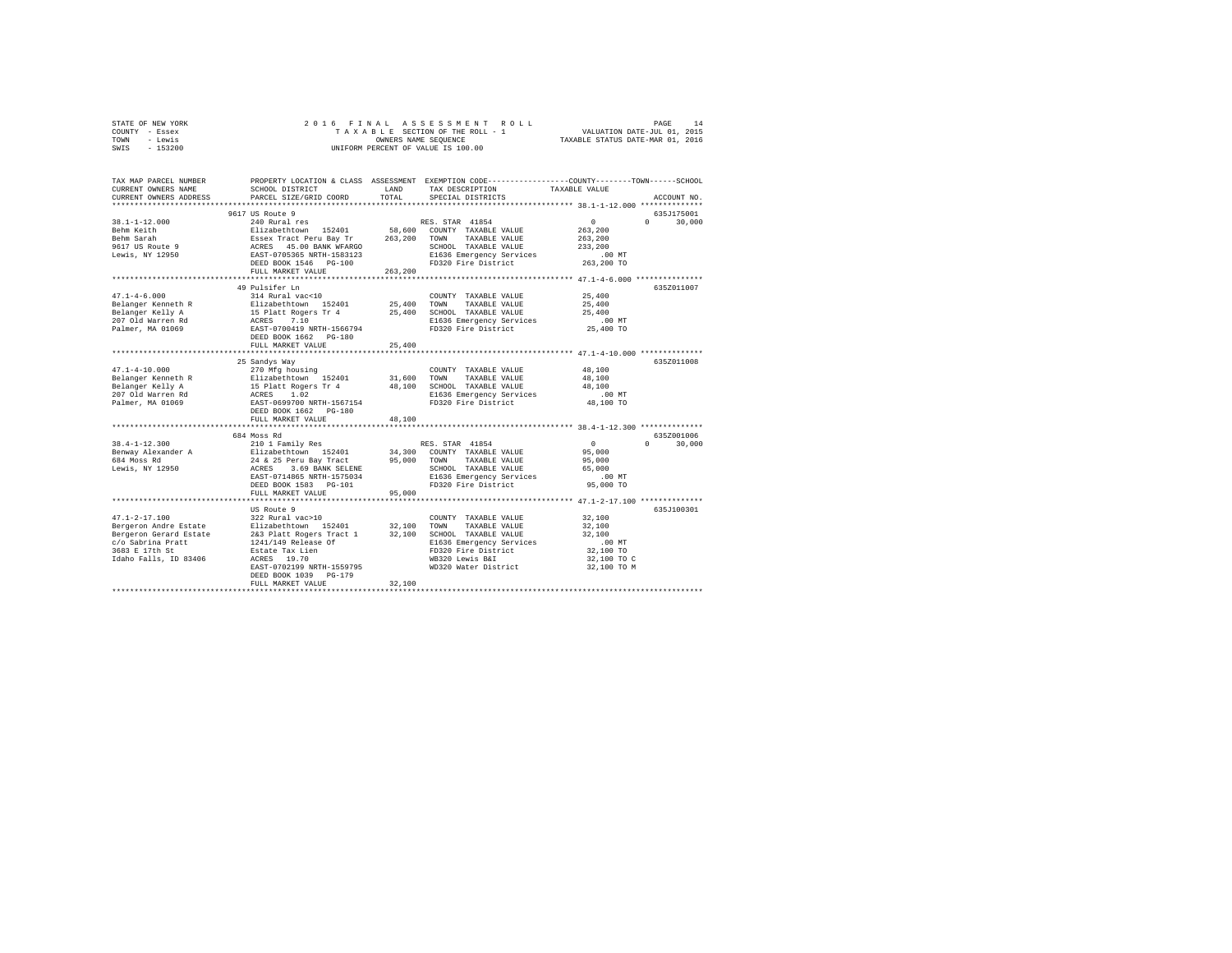| TOWN<br>- Lewis<br>$-153200$<br>SWIS                |                                                                                                         | OWNERS NAME SEQUENCE | UNIFORM PERCENT OF VALUE IS 100.00                                                              | TAXABLE STATUS DATE-MAR 01, 2016                     |                    |
|-----------------------------------------------------|---------------------------------------------------------------------------------------------------------|----------------------|-------------------------------------------------------------------------------------------------|------------------------------------------------------|--------------------|
|                                                     |                                                                                                         |                      |                                                                                                 |                                                      |                    |
| TAX MAP PARCEL NUMBER                               |                                                                                                         |                      | PROPERTY LOCATION & CLASS ASSESSMENT EXEMPTION CODE---------------COUNTY-------TOWN------SCHOOL |                                                      |                    |
| CURRENT OWNERS NAME                                 | SCHOOL DISTRICT                                                                                         | LAND<br>TOTAL        | TAX DESCRIPTION                                                                                 | TAXABLE VALUE                                        |                    |
| CURRENT OWNERS ADDRESS<br>************************* | PARCEL SIZE/GRID COORD                                                                                  |                      | SPECIAL DISTRICTS                                                                               |                                                      | ACCOUNT NO.        |
|                                                     | 9617 US Route 9                                                                                         |                      |                                                                                                 |                                                      | 635J175001         |
| $38.1 - 1 - 12.000$                                 | 240 Rural res                                                                                           |                      | RES. STAR 41854                                                                                 | $\Omega$                                             | $\Omega$<br>30,000 |
| Behm Keith                                          |                                                                                                         | 58,600               | COUNTY TAXABLE VALUE                                                                            | 263,200                                              |                    |
| Behm Sarah                                          |                                                                                                         | 263,200              | TAXABLE VALUE<br>TOWN                                                                           | 263,200                                              |                    |
| 9617 US Route 9                                     | Elizabethtown 152401<br>Essex Tract Peru Bay Tr<br>ACRES 45.00 BANK WFARGO<br>EAST-0705365 NRTH-1583123 |                      | SCHOOL TAXABLE VALUE                                                                            | 233,200                                              |                    |
| Lewis, NY 12950                                     |                                                                                                         |                      | E1636 Emergency Services                                                                        | $.00$ MT                                             |                    |
|                                                     | DEED BOOK 1546 PG-100                                                                                   |                      | FD320 Fire District                                                                             | 263,200 TO                                           |                    |
|                                                     | FULL MARKET VALUE                                                                                       | 263,200              |                                                                                                 |                                                      |                    |
|                                                     |                                                                                                         |                      |                                                                                                 | ************ 47.1-4-6.000 ****************           |                    |
|                                                     | 49 Pulsifer Ln                                                                                          |                      |                                                                                                 |                                                      | 635Z011007         |
| $47.1 - 4 - 6.000$                                  | 314 Rural vac<10                                                                                        | 25,400               | COUNTY TAXABLE VALUE<br>TOWN                                                                    | 25,400<br>25,400                                     |                    |
| Belanger Kenneth R                                  | Elizabethtown 152401                                                                                    | 25,400               | TAXABLE VALUE<br>SCHOOL TAXABLE VALUE                                                           | 25,400                                               |                    |
| Belanger Kelly A<br>207 Old Warren Rd               | 15 Platt Rogers Tr 4<br>ACRES 7.10                                                                      |                      | E1636 Emergency Services                                                                        | .00MT                                                |                    |
| Palmer, MA 01069                                    | EAST-0700419 NRTH-1566794                                                                               |                      | FD320 Fire District                                                                             | 25,400 TO                                            |                    |
|                                                     | DEED BOOK 1662 PG-180                                                                                   |                      |                                                                                                 |                                                      |                    |
|                                                     | FULL MARKET VALUE                                                                                       | 25,400               |                                                                                                 |                                                      |                    |
|                                                     | *************************                                                                               |                      | ********************************* 47.1-4-10.000 ***************                                 |                                                      |                    |
|                                                     | 25 Sandys Way                                                                                           |                      |                                                                                                 |                                                      | 635Z011008         |
| $47.1 - 4 - 10.000$                                 | 270 Mfg housing                                                                                         |                      | COUNTY TAXABLE VALUE                                                                            | 48,100                                               |                    |
| Belanger Kenneth R                                  | Elizabethtown 152401                                                                                    | 31,600               | TOWN<br>TAXABLE VALUE                                                                           | 48,100                                               |                    |
| Belanger Kelly A                                    | 15 Platt Rogers Tr 4<br>ACRES 1.02                                                                      | 48,100               | SCHOOL TAXABLE VALUE                                                                            | 48,100                                               |                    |
| 207 Old Warren Rd                                   | ACRES 1.02                                                                                              |                      | E1636 Emergency Services                                                                        | .00 MT                                               |                    |
| Palmer, MA 01069                                    | EAST-0699700 NRTH-1567154                                                                               |                      | FD320 Fire District                                                                             | 48,100 TO                                            |                    |
|                                                     | DEED BOOK 1662 PG-180<br>FULL MARKET VALUE                                                              | 48,100               |                                                                                                 |                                                      |                    |
|                                                     | **************************                                                                              |                      |                                                                                                 | *********************** 38.4-1-12.300 ************** |                    |
|                                                     | 684 Moss Rd                                                                                             |                      |                                                                                                 |                                                      | 635Z001006         |
| $38.4 - 1 - 12.300$                                 | 210 1 Family Res                                                                                        |                      | RES. STAR 41854                                                                                 | $\overline{0}$                                       | $\Omega$<br>30,000 |
| Benway Alexander A                                  | Elizabethtown 152401                                                                                    | 34,300               | COUNTY TAXABLE VALUE                                                                            | 95,000                                               |                    |
| 684 Moss Rd                                         | 24 & 25 Peru Bay Tract                                                                                  | 95,000               | TAXABLE VALUE<br>TOWN                                                                           | 95,000                                               |                    |
| Lewis, NY 12950                                     | ACRES 3.69 BANK SELENE                                                                                  |                      | SCHOOL TAXABLE VALUE                                                                            | 65,000                                               |                    |
|                                                     | EAST-0714865 NRTH-1575034                                                                               |                      | E1636 Emergency Services                                                                        | .00MT                                                |                    |
|                                                     | DEED BOOK 1583 PG-101                                                                                   |                      | FD320 Fire District                                                                             | 95,000 TO                                            |                    |
|                                                     | FULL MARKET VALUE                                                                                       | 95,000               |                                                                                                 |                                                      |                    |
|                                                     | **********************                                                                                  |                      | **************************** 47.1-2-17.100 *************                                        |                                                      |                    |
|                                                     | US Route 9                                                                                              |                      |                                                                                                 |                                                      | 635J100301         |
| $47.1 - 2 - 17.100$                                 | 322 Rural vac>10                                                                                        |                      | COUNTY TAXABLE VALUE                                                                            | 32,100                                               |                    |
| Bergeron Andre Estate<br>Bergeron Gerard Estate     | Elizabethtown 152401<br>2&3 Platt Rogers Tract 1                                                        | 32,100<br>32,100     | TAXABLE VALUE<br>TOWN<br>SCHOOL TAXABLE VALUE                                                   | 32,100<br>32,100                                     |                    |
| c/o Sabrina Pratt                                   | 1241/149 Release Of                                                                                     |                      | E1636 Emergency Services                                                                        | .00MT                                                |                    |
| 3683 E 17th St                                      | Estate Tax Lien                                                                                         |                      | FD320 Fire District                                                                             | 32,100 TO                                            |                    |
| Idaho Falls, ID 83406                               | ACRES 19.70                                                                                             |                      | WB320 Lewis B&I                                                                                 | 32,100 TO C                                          |                    |
|                                                     | EAST-0702199 NRTH-1559795                                                                               |                      | WD320 Water District                                                                            | 32,100 TO M                                          |                    |
|                                                     | DEED BOOK 1039 PG-179                                                                                   |                      |                                                                                                 |                                                      |                    |
|                                                     | FULL MARKET VALUE                                                                                       | 32,100               |                                                                                                 |                                                      |                    |
|                                                     |                                                                                                         |                      |                                                                                                 |                                                      |                    |

STATE OF NEW YORK THE SATE OF A SEXURE OF A STAIL AS SECTION OF THE ROLL OF A DAS THE 14 AS 2015<br>COUNTY – Essex The Sate of The A Section of The ROLL – 1 VALUATION DATE-JUL 01, 2015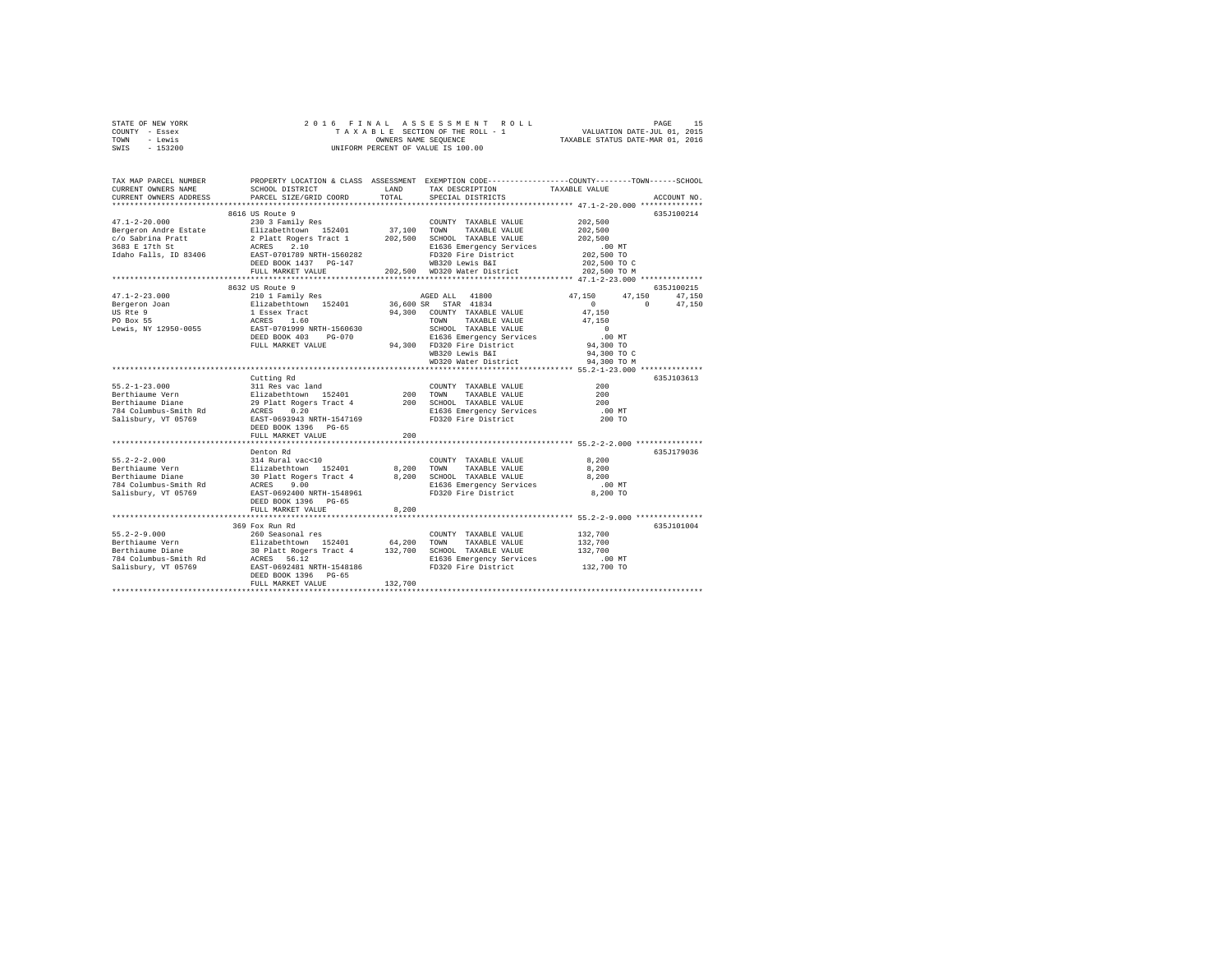| STATE OF NEW YORK | 2016 FINAL ASSESSMENT ROLL         | 15<br>PAGE                       |
|-------------------|------------------------------------|----------------------------------|
| COUNTY - Essex    | TAXABLE SECTION OF THE ROLL - 1    | VALUATION DATE-JUL 01, 2015      |
| - Lewis<br>TOWN   | OWNERS NAME SEOUENCE               | TAXABLE STATUS DATE-MAR 01, 2016 |
| $-153200$<br>SWIS | UNIFORM PERCENT OF VALUE IS 100.00 |                                  |

| TAX MAP PARCEL NUMBER<br>CURRENT OWNERS NAME       | SCHOOL DISTRICT                                                                                                              | LAND       | TAX DESCRIPTION              | PROPERTY LOCATION & CLASS ASSESSMENT EXEMPTION CODE----------------COUNTY-------TOWN------SCHOOL<br>TAXABLE VALUE |
|----------------------------------------------------|------------------------------------------------------------------------------------------------------------------------------|------------|------------------------------|-------------------------------------------------------------------------------------------------------------------|
| CURRENT OWNERS ADDRESS<br>************************ | PARCEL SIZE/GRID COORD                                                                                                       | TOTAL      | SPECIAL DISTRICTS            | ACCOUNT NO.                                                                                                       |
|                                                    |                                                                                                                              |            |                              |                                                                                                                   |
| $47.1 - 2 - 20.000$                                | 8616 US Route 9<br>230 3 Family Res                                                                                          |            | COUNTY TAXABLE VALUE         | 635J100214<br>202,500                                                                                             |
| Bergeron Andre Estate                              | Elizabethtown 152401                                                                                                         |            | 37,100 TOWN TAXABLE VALUE    | 202,500                                                                                                           |
| c/o Sabrina Pratt                                  | 2 Platt Rogers Tract 1                                                                                                       |            | 202,500 SCHOOL TAXABLE VALUE | 202,500                                                                                                           |
| 3683 E 17th St                                     | 2 Platt Rogers<br>ACRES 2.10                                                                                                 |            | E1636 Emergency Services     | $.00$ MT                                                                                                          |
|                                                    | Idaho Falls, ID 83406 EAST-0701789 NRTH-1560282                                                                              |            | FD320 Fire District          | 202,500 TO                                                                                                        |
|                                                    | DEED BOOK 1437 PG-147                                                                                                        |            | WB320 Lewis B&I              | 202,500 TO C                                                                                                      |
|                                                    | FULL MARKET VALUE                                                                                                            |            | 202,500 WD320 Water District | 202,500 TO M                                                                                                      |
|                                                    |                                                                                                                              |            |                              | **************** 47.1-2-23.000 **************                                                                     |
|                                                    | 8632 US Route 9                                                                                                              |            |                              | 635J100215                                                                                                        |
| $47.1 - 2 - 23.000$                                | 210 1 Family Res                                                                                                             |            | AGED ALL 41800               | 47.150<br>47.150<br>47.150                                                                                        |
| Bergeron Joan                                      |                                                                                                                              |            | 36,600 SR STAR 41834         | $^{\circ}$<br>47,150<br>$\circ$                                                                                   |
| US Rte 9                                           |                                                                                                                              |            | 94,300 COUNTY TAXABLE VALUE  | 47,150                                                                                                            |
| PO Box 55                                          |                                                                                                                              |            | TOWN<br>TAXABLE VALUE        | 47.150                                                                                                            |
| Lewis, NY 12950-0055                               | 210 1 ramliy Res<br>Elizabethtown 152401<br>1 Essex Tract<br>ACRES 1.60<br>ERST-0701999 NRTH-1560630<br>DEED BOOK 403 PG-070 |            | SCHOOL TAXABLE VALUE         | $\sim$ 0                                                                                                          |
|                                                    |                                                                                                                              |            | E1636 Emergency Services     | $.00$ MT                                                                                                          |
|                                                    | FULL MARKET VALUE                                                                                                            |            | 94,300 FD320 Fire District   | 94,300 TO                                                                                                         |
|                                                    |                                                                                                                              |            | WB320 Lewis B&I              | 94,300 TO C                                                                                                       |
|                                                    |                                                                                                                              |            | WD320 Water District         | 94,300 TO M                                                                                                       |
|                                                    |                                                                                                                              |            |                              | *************** 55.2-1-23.000 ************                                                                        |
|                                                    | Cutting Rd                                                                                                                   |            |                              | 635J103613                                                                                                        |
|                                                    |                                                                                                                              |            | COUNTY TAXABLE VALUE         | 200                                                                                                               |
|                                                    |                                                                                                                              | 200 TOWN   | TAXABLE VALUE                | 200                                                                                                               |
|                                                    |                                                                                                                              |            | 200 SCHOOL TAXABLE VALUE     | 200                                                                                                               |
|                                                    |                                                                                                                              |            | E1636 Emergency Services     | $.00$ MT                                                                                                          |
|                                                    |                                                                                                                              |            | FD320 Fire District          | 200 TO                                                                                                            |
|                                                    | DEED BOOK 1396 PG-65                                                                                                         |            |                              |                                                                                                                   |
|                                                    | FULL MARKET VALUE                                                                                                            | 200        |                              |                                                                                                                   |
|                                                    | Denton Rd                                                                                                                    |            |                              | 635J179036                                                                                                        |
|                                                    |                                                                                                                              |            | COUNTY TAXABLE VALUE         | 8,200                                                                                                             |
|                                                    |                                                                                                                              | 8,200 TOWN | TAXABLE VALUE                | 8,200                                                                                                             |
|                                                    |                                                                                                                              |            | 8,200 SCHOOL TAXABLE VALUE   | 8,200                                                                                                             |
|                                                    |                                                                                                                              |            | E1636 Emergency Services     | .00MT                                                                                                             |
|                                                    |                                                                                                                              |            | FD320 Fire District          | 8,200 TO                                                                                                          |
|                                                    | DEED BOOK 1396 PG-65                                                                                                         |            |                              |                                                                                                                   |
|                                                    | FULL MARKET VALUE                                                                                                            | 8,200      |                              |                                                                                                                   |
|                                                    |                                                                                                                              |            |                              |                                                                                                                   |
|                                                    | 369 Fox Run Rd                                                                                                               |            |                              | 635J101004                                                                                                        |
|                                                    |                                                                                                                              |            |                              | 132,700                                                                                                           |
|                                                    |                                                                                                                              |            |                              | 132,700                                                                                                           |
|                                                    |                                                                                                                              |            |                              | 132,700                                                                                                           |
|                                                    |                                                                                                                              |            | E1636 Emergency Services     | $.00$ MT                                                                                                          |
|                                                    |                                                                                                                              |            | FD320 Fire District          | 132,700 TO                                                                                                        |
|                                                    | DEED BOOK 1396 PG-65                                                                                                         |            |                              |                                                                                                                   |
|                                                    | FULL MARKET VALUE                                                                                                            | 132,700    |                              |                                                                                                                   |
|                                                    |                                                                                                                              |            |                              |                                                                                                                   |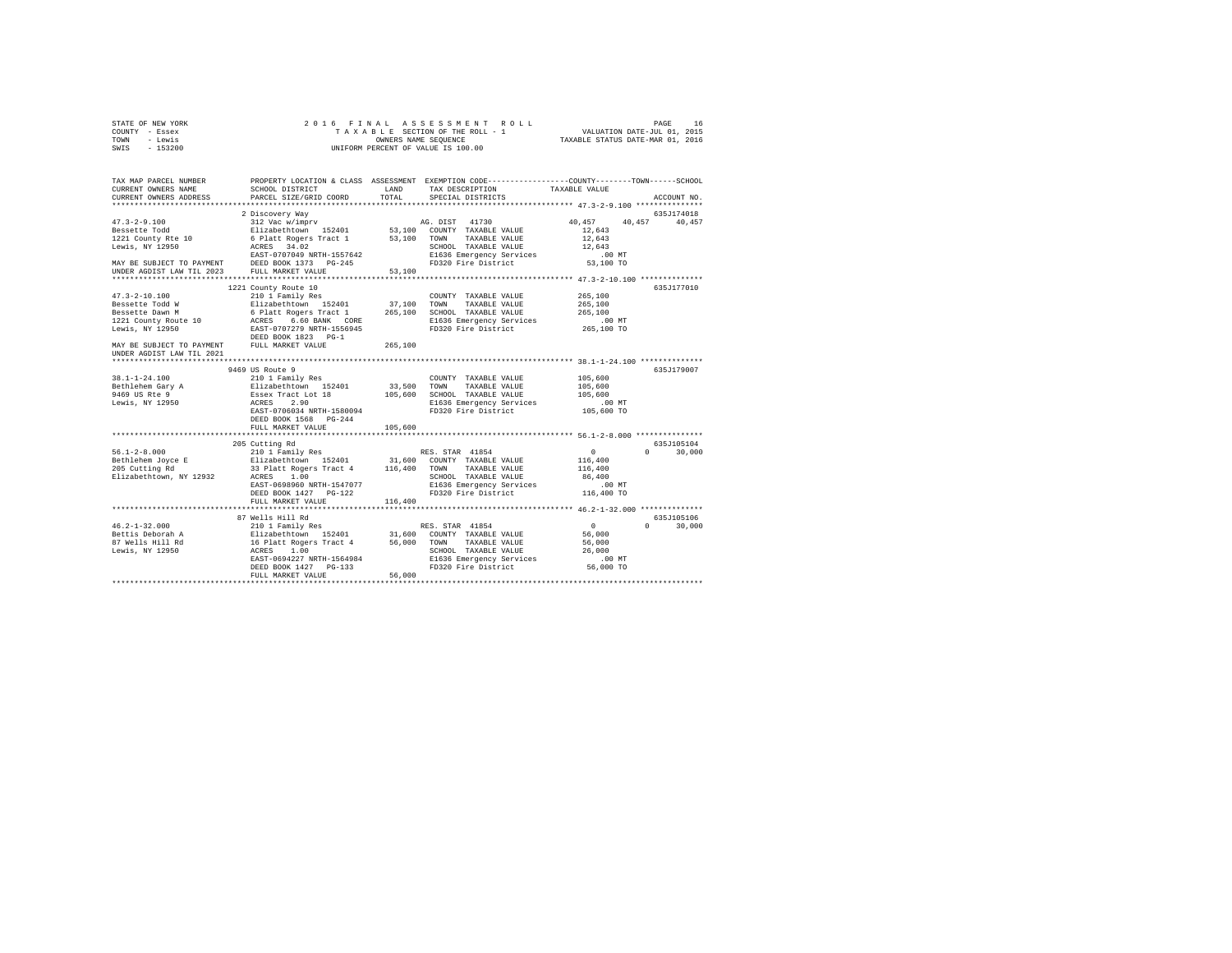| STATE OF NEW YORK<br>COUNTY - Essex<br>- Lewis<br>TOWN                 | 2016 FINAL                                                                  | OWNERS NAME SEQUENCE | ASSESSMENT ROLL<br>TAXABLE SECTION OF THE ROLL - 1                                                                                     | VALUATION DATE-JUL 01, 2015<br>TAXABLE STATUS DATE-MAR 01, 2016 | PAGE        | 16     |
|------------------------------------------------------------------------|-----------------------------------------------------------------------------|----------------------|----------------------------------------------------------------------------------------------------------------------------------------|-----------------------------------------------------------------|-------------|--------|
| SWIS<br>$-153200$                                                      |                                                                             |                      | UNIFORM PERCENT OF VALUE IS 100.00                                                                                                     |                                                                 |             |        |
| TAX MAP PARCEL NUMBER<br>CURRENT OWNERS NAME<br>CURRENT OWNERS ADDRESS | SCHOOL DISTRICT<br>PARCEL SIZE/GRID COORD                                   | LAND<br>TOTAL        | PROPERTY LOCATION & CLASS ASSESSMENT EXEMPTION CODE---------------COUNTY-------TOWN-----SCHOOL<br>TAX DESCRIPTION<br>SPECIAL DISTRICTS | TAXABLE VALUE                                                   | ACCOUNT NO. |        |
|                                                                        |                                                                             |                      |                                                                                                                                        |                                                                 | 635J174018  |        |
| $47.3 - 2 - 9.100$                                                     | 2 Discovery Way<br>312 Vac w/imprv                                          |                      | 41730<br>AG. DIST                                                                                                                      | 40,457                                                          | 40.457      | 40,457 |
| Bessette Todd                                                          | Elizabethtown 152401                                                        |                      | 53,100 COUNTY TAXABLE VALUE                                                                                                            | 12,643                                                          |             |        |
| 1221 County Rte 10                                                     | 6 Platt Rogers Tract 1                                                      | 53,100               | TOWN<br>TAXABLE VALUE                                                                                                                  | 12,643                                                          |             |        |
| Lewis, NY 12950                                                        | ACRES 34.02                                                                 |                      | SCHOOL TAXABLE VALUE                                                                                                                   | 12,643                                                          |             |        |
|                                                                        | EAST-0707049 NRTH-1557642                                                   |                      | E1636 Emergency Services                                                                                                               | $.00$ MT                                                        |             |        |
| MAY BE SUBJECT TO PAYMENT                                              | DEED BOOK 1373 PG-245                                                       |                      | FD320 Fire District                                                                                                                    | 53,100 TO                                                       |             |        |
| UNDER AGDIST LAW TIL 2023                                              | FULL MARKET VALUE                                                           | 53,100               |                                                                                                                                        |                                                                 |             |        |
|                                                                        |                                                                             |                      |                                                                                                                                        |                                                                 |             |        |
| $47.3 - 2 - 10.100$                                                    | 1221 County Route 10                                                        |                      | COUNTY TAXABLE VALUE                                                                                                                   | 265,100                                                         | 635J177010  |        |
| Bessette Todd W                                                        | 210 1 Family Res<br>Elizabethtown 152401                                    | 37,100               | TOWN<br>TAXABLE VALUE                                                                                                                  | 265,100                                                         |             |        |
| Bessette Dawn M                                                        | 6 Platt Rogers Tract 1                                                      | 265,100              | SCHOOL TAXABLE VALUE                                                                                                                   | 265,100                                                         |             |        |
| 1221 County Route 10                                                   | ACRES 6.60 BANK CORE                                                        |                      | E1636 Emergency Services                                                                                                               | $.00$ MT                                                        |             |        |
| Lewis, NY 12950                                                        | EAST-0707279 NRTH-1556945                                                   |                      | FD320 Fire District                                                                                                                    | 265,100 TO                                                      |             |        |
|                                                                        | DEED BOOK 1823 PG-1                                                         |                      |                                                                                                                                        |                                                                 |             |        |
| MAY BE SUBJECT TO PAYMENT FULL MARKET VALUE                            |                                                                             | 265,100              |                                                                                                                                        |                                                                 |             |        |
| UNDER AGDIST LAW TIL 2021                                              |                                                                             |                      |                                                                                                                                        |                                                                 |             |        |
|                                                                        |                                                                             |                      |                                                                                                                                        |                                                                 |             |        |
|                                                                        | 9469 US Route 9                                                             |                      |                                                                                                                                        |                                                                 | 635J179007  |        |
| $38.1 - 1 - 24.100$                                                    | 210 1 Family Res                                                            |                      | COUNTY TAXABLE VALUE<br>TAXABLE VALUE                                                                                                  | 105,600<br>105,600                                              |             |        |
| Bethlehem Gary A<br>9469 US Rte 9                                      | Elizabethtown 152401<br>Essex Tract Lot 18                                  | 33,500<br>105,600    | TOWN<br>SCHOOL TAXABLE VALUE                                                                                                           | 105,600                                                         |             |        |
| Lewis, NY 12950                                                        | ACRES 2.90                                                                  |                      | E1636 Emergency Services                                                                                                               | $.00$ MT                                                        |             |        |
|                                                                        | EAST-0706034 NRTH-1580094                                                   |                      | FD320 Fire District                                                                                                                    | 105,600 TO                                                      |             |        |
|                                                                        | DEED BOOK 1568 PG-244                                                       |                      |                                                                                                                                        |                                                                 |             |        |
|                                                                        | FULL MARKET VALUE                                                           | 105,600              |                                                                                                                                        |                                                                 |             |        |
|                                                                        |                                                                             |                      |                                                                                                                                        |                                                                 |             |        |
|                                                                        | 205 Cutting Rd                                                              |                      |                                                                                                                                        |                                                                 | 635J105104  |        |
| $56.1 - 2 - 8.000$                                                     | 210 1 Family Res                                                            |                      | RES. STAR 41854                                                                                                                        | $\mathbf{0}$                                                    | $\Omega$    | 30,000 |
| Bethlehem Joyce E                                                      | Elizabethtown 152401 31,600 COUNTY TAXABLE VALUE                            |                      | TOWN                                                                                                                                   | 116,400                                                         |             |        |
| 205 Cutting Rd<br>Elizabethtown, NY 12932                              | 33 Platt Rogers Tract 4<br>ACRES 1.00                                       | 116,400              | TAXABLE VALUE<br>SCHOOL TAXABLE VALUE                                                                                                  | 116,400<br>86,400                                               |             |        |
|                                                                        | EAST-0698960 NRTH-1547077                                                   |                      | E1636 Emergency Services                                                                                                               | $.00$ MT                                                        |             |        |
|                                                                        | DEED BOOK 1427 PG-122                                                       |                      | FD320 Fire District                                                                                                                    | 116,400 TO                                                      |             |        |
|                                                                        | FULL MARKET VALUE                                                           | 116,400              |                                                                                                                                        |                                                                 |             |        |
|                                                                        |                                                                             |                      |                                                                                                                                        |                                                                 |             |        |
|                                                                        | 87 Wells Hill Rd                                                            |                      |                                                                                                                                        |                                                                 | 635J105106  |        |
| $46.2 - 1 - 32.000$                                                    | 210 1 Family Res                                                            |                      | RES. STAR 41854                                                                                                                        | $\sim$ 0                                                        | $\cap$      | 30,000 |
| Bettis Deborah A                                                       | Elizabethtown 152401 31,600<br>16 Platt Rogers Tract 4 56,000<br>ACRES 1.00 |                      | COUNTY TAXABLE VALUE                                                                                                                   | 56,000                                                          |             |        |
| 87 Wells Hill Rd                                                       |                                                                             |                      | TOWN<br>TAXABLE VALUE                                                                                                                  | 56,000                                                          |             |        |
| Lewis, NY 12950                                                        | EAST-0694227 NRTH-1564984                                                   |                      | SCHOOL TAXABLE VALUE<br>E1636 Emergency Services                                                                                       | 26,000<br>$.00$ MT                                              |             |        |
|                                                                        | DEED BOOK 1427 PG-133                                                       |                      | FD320 Fire District                                                                                                                    | 56,000 TO                                                       |             |        |
|                                                                        | FULL MARKET VALUE                                                           | 56,000               |                                                                                                                                        |                                                                 |             |        |
|                                                                        |                                                                             |                      |                                                                                                                                        |                                                                 |             |        |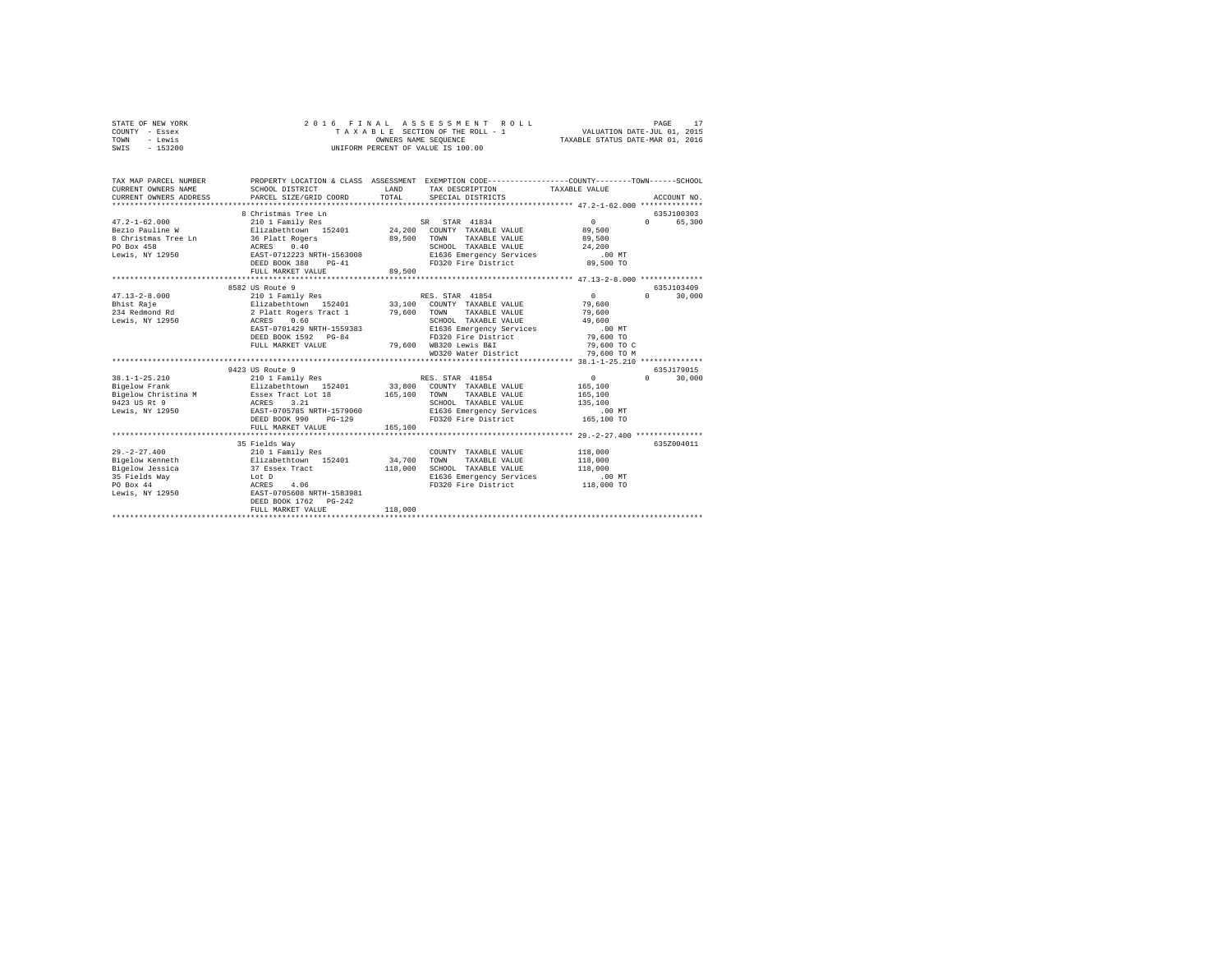|      | STATE OF NEW YORK |  |  | 2016 FINAL ASSESSMENT ROLL         | PAGE                             | 17 |
|------|-------------------|--|--|------------------------------------|----------------------------------|----|
|      | COUNTY - Essex    |  |  | TAXABLE SECTION OF THE ROLL - 1    | VALUATION DATE-JUL 01, 2015      |    |
| TOWN | - Lewis           |  |  | OWNERS NAME SEOUENCE               | TAXABLE STATUS DATE-MAR 01, 2016 |    |
|      | SWIS - 153200     |  |  | UNIFORM PERCENT OF VALUE IS 100.00 |                                  |    |

| TAX MAP PARCEL NUMBER<br>CURRENT OWNERS NAME<br>CURRENT OWNERS ADDRESS PARCEL SIZE/GRID COORD                                     | SCHOOL DISTRICT                                                                                                                                              | LAND<br>TOTAL         | PROPERTY LOCATION & CLASS ASSESSMENT EXEMPTION CODE---------------COUNTY-------TOWN------SCHOOL<br>TAX DESCRIPTION TAXABLE VALUE<br>SPECIAL DISTRICTS                                                                               |                                                                           | ACCOUNT NO.                       |
|-----------------------------------------------------------------------------------------------------------------------------------|--------------------------------------------------------------------------------------------------------------------------------------------------------------|-----------------------|-------------------------------------------------------------------------------------------------------------------------------------------------------------------------------------------------------------------------------------|---------------------------------------------------------------------------|-----------------------------------|
| $47.2 - 1 - 62.000$<br>Bezio Pauline W<br>8 Christmas Tree Ln<br>PO Box 458<br>Lewis, NY 12950                                    | 8 Christmas Tree Ln<br>210 1 Family Res<br>36 Platt Rogers<br>ACRES 0.40<br>EAST-0712223 NRTH-1563008<br>DEED BOOK 388<br>$PG-41$<br>FULL MARKET VALUE       | 89,500 TOWN<br>89,500 | SR STAR 41834<br>Elizabethtown 152401 24,200 COUNTY TAXABLE VALUE<br>TAXABLE VALUE<br>SCHOOL TAXABLE VALUE<br>E1636 Emergency Services .00 MT<br>FD320 Fire District 89,500 TO                                                      | 0<br>89,500<br>89,500<br>24,200                                           | 635.T100303<br>$\Omega$<br>65,300 |
| $47.13 - 2 - 8.000$<br>Bhist Raje<br>234 Redmond Rd<br>Lewis, NY 12950                                                            | 8582 US Route 9<br>210 1 Family Res<br>2 Platt Rogers Tract 1 79,600<br>ACRES 0.60<br>EAST-0701429 NRTH-1559383<br>DEED BOOK 1592 PG-84<br>FULL MARKET VALUE |                       | RES. STAR 41854<br>Elizabethtown 152401 33,100 COUNTY TAXABLE VALUE<br>TOWN<br>TAXABLE VALUE<br>SCHOOL TAXABLE VALUE<br>E1636 Emergency Services<br>FD320 Fire District 79,600 TO<br>79,600 WB320 Lewis B&I<br>WD320 Water District | 0<br>79,600<br>79,600<br>49,600<br>$.00$ MT<br>79,600 TO C<br>79,600 TO M | 635.7103409<br>$\Omega$<br>30,000 |
|                                                                                                                                   |                                                                                                                                                              |                       |                                                                                                                                                                                                                                     |                                                                           |                                   |
| $38.1 - 1 - 25.210$<br>Bigelow Frank<br>Bigelow Christina M<br>ACRES<br>9423 US Rt 9<br>Lewis, NY 12950 EAST-0705785 NRTH-1579060 | 9423 US Route 9<br>3.21<br>DEED BOOK 990<br>$PG-129$                                                                                                         |                       | 33,800 COUNTY TAXABLE VALUE<br>TAXABLE VALUE<br>SCHOOL TAXABLE VALUE<br>E1636 Emergency Services<br>FD320 Fire District                                                                                                             | 0<br>165,100<br>165,100<br>135,100<br>$.00$ MT<br>165,100 TO              | 635J179015<br>$\Omega$<br>30,000  |
|                                                                                                                                   | FULL MARKET VALUE                                                                                                                                            | 165,100               |                                                                                                                                                                                                                                     |                                                                           |                                   |
| $29. - 2 - 27.400$<br>Bigelow Kenneth<br>Bigelow Jessica<br>35 Fields Way Lot D<br>PO Box 44<br>Lewis, NY 12950                   | 35 Fields Way<br>210 1 Family Res<br>Elizabethtown 152401<br>37 Essex Tract<br>ACRES 4.06<br>EAST-0705608 NRTH-1583981<br>DEED BOOK 1762 PG-242              | 34,700<br>118,000     | COUNTY TAXABLE VALUE<br>TOWN<br>TAXABLE VALUE<br>SCHOOL TAXABLE VALUE<br>E1636 Emergency Services<br>FD320 Fire District 118,000 TO                                                                                                 | 118,000<br>118,000<br>118,000<br>$.00$ MT                                 | 635Z004011                        |
|                                                                                                                                   | FULL MARKET VALUE                                                                                                                                            | 118,000               |                                                                                                                                                                                                                                     |                                                                           |                                   |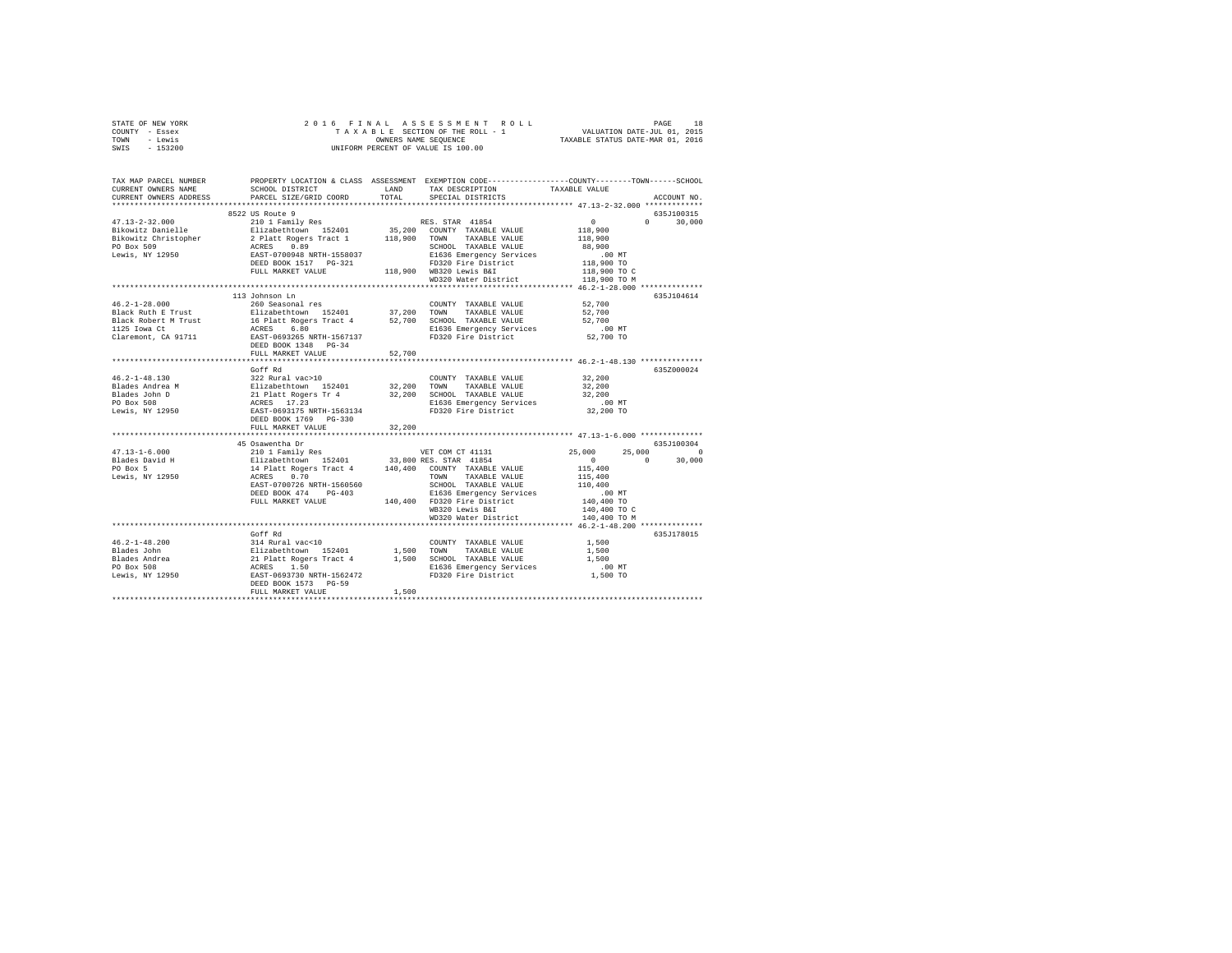| STATE OF NEW YORK                                                                                                                                                                                                                                                                                                                                                                                           |                                                    |  |                   |            |               |  |  |  |
|-------------------------------------------------------------------------------------------------------------------------------------------------------------------------------------------------------------------------------------------------------------------------------------------------------------------------------------------------------------------------------------------------------------|----------------------------------------------------|--|-------------------|------------|---------------|--|--|--|
| COUNTY - Essex                                                                                                                                                                                                                                                                                                                                                                                              |                                                    |  |                   |            |               |  |  |  |
| TOWN - Lewis                                                                                                                                                                                                                                                                                                                                                                                                |                                                    |  |                   |            |               |  |  |  |
| SWIS - 153200                                                                                                                                                                                                                                                                                                                                                                                               |                                                    |  |                   |            |               |  |  |  |
|                                                                                                                                                                                                                                                                                                                                                                                                             |                                                    |  |                   |            |               |  |  |  |
|                                                                                                                                                                                                                                                                                                                                                                                                             |                                                    |  |                   |            |               |  |  |  |
|                                                                                                                                                                                                                                                                                                                                                                                                             |                                                    |  |                   |            |               |  |  |  |
| TAX MAP PARCEL NUMBER PROPERTY LOCATION & CLASS ASSESSMENT EXEMPTION CODE--------------COUNTY-------TOWN------SCHOOL<br>CURRENT OWNERS NAME SCHOOL DISTRICT LAND TAX DESCRIPTION TAVARER VALUE                                                                                                                                                                                                              |                                                    |  |                   |            |               |  |  |  |
|                                                                                                                                                                                                                                                                                                                                                                                                             | SCHOOL DISTRICT TAND TAX DESCRIPTION TAXABLE VALUE |  |                   |            |               |  |  |  |
| CURRENT OWNERS ADDRESS                                                                                                                                                                                                                                                                                                                                                                                      | PARCEL SIZE/GRID COORD TOTAL                       |  | SPECIAL DISTRICTS |            | ACCOUNT NO.   |  |  |  |
|                                                                                                                                                                                                                                                                                                                                                                                                             |                                                    |  |                   |            |               |  |  |  |
|                                                                                                                                                                                                                                                                                                                                                                                                             | 8522 US Route 9                                    |  |                   |            | 635J100315    |  |  |  |
|                                                                                                                                                                                                                                                                                                                                                                                                             |                                                    |  |                   |            | $0 \t 30,000$ |  |  |  |
|                                                                                                                                                                                                                                                                                                                                                                                                             |                                                    |  |                   |            |               |  |  |  |
|                                                                                                                                                                                                                                                                                                                                                                                                             |                                                    |  |                   |            |               |  |  |  |
|                                                                                                                                                                                                                                                                                                                                                                                                             |                                                    |  |                   |            |               |  |  |  |
| $\begin{tabular}{l c c c c} \multicolumn{1}{c}{\textbf{47.13--2-32.000}} & \multicolumn{1}{c}{\textbf{52.2000}} & \multicolumn{1}{c}{\textbf{53.2000}} & \multicolumn{1}{c}{\textbf{63.200}} & \multicolumn{1}{c}{\textbf{64.200}} & \multicolumn{1}{c}{\textbf{65.200}} & \multicolumn{1}{c}{\textbf{65.200}} & \multicolumn{1}{c}{\textbf{66.200}} & \multicolumn{1}{c}{\textbf{67.200}} & \multicolumn{$ |                                                    |  |                   |            |               |  |  |  |
|                                                                                                                                                                                                                                                                                                                                                                                                             |                                                    |  |                   |            |               |  |  |  |
|                                                                                                                                                                                                                                                                                                                                                                                                             |                                                    |  |                   |            |               |  |  |  |
|                                                                                                                                                                                                                                                                                                                                                                                                             |                                                    |  |                   |            |               |  |  |  |
|                                                                                                                                                                                                                                                                                                                                                                                                             |                                                    |  |                   |            |               |  |  |  |
|                                                                                                                                                                                                                                                                                                                                                                                                             | 113 Johnson Ln                                     |  |                   |            | 635J104614    |  |  |  |
|                                                                                                                                                                                                                                                                                                                                                                                                             |                                                    |  |                   |            |               |  |  |  |
|                                                                                                                                                                                                                                                                                                                                                                                                             |                                                    |  |                   |            |               |  |  |  |
|                                                                                                                                                                                                                                                                                                                                                                                                             |                                                    |  |                   |            |               |  |  |  |
|                                                                                                                                                                                                                                                                                                                                                                                                             |                                                    |  |                   |            |               |  |  |  |
|                                                                                                                                                                                                                                                                                                                                                                                                             |                                                    |  |                   |            |               |  |  |  |
|                                                                                                                                                                                                                                                                                                                                                                                                             |                                                    |  |                   |            |               |  |  |  |
|                                                                                                                                                                                                                                                                                                                                                                                                             | FULL MARKET VALUE 52.700                           |  |                   |            |               |  |  |  |
|                                                                                                                                                                                                                                                                                                                                                                                                             |                                                    |  |                   |            |               |  |  |  |
|                                                                                                                                                                                                                                                                                                                                                                                                             |                                                    |  |                   |            |               |  |  |  |
|                                                                                                                                                                                                                                                                                                                                                                                                             |                                                    |  |                   |            | 635Z000024    |  |  |  |
|                                                                                                                                                                                                                                                                                                                                                                                                             |                                                    |  |                   |            |               |  |  |  |
|                                                                                                                                                                                                                                                                                                                                                                                                             |                                                    |  |                   |            |               |  |  |  |
|                                                                                                                                                                                                                                                                                                                                                                                                             |                                                    |  |                   |            |               |  |  |  |
|                                                                                                                                                                                                                                                                                                                                                                                                             |                                                    |  |                   |            |               |  |  |  |
|                                                                                                                                                                                                                                                                                                                                                                                                             |                                                    |  |                   |            |               |  |  |  |
|                                                                                                                                                                                                                                                                                                                                                                                                             |                                                    |  |                   |            |               |  |  |  |
|                                                                                                                                                                                                                                                                                                                                                                                                             |                                                    |  |                   |            |               |  |  |  |
|                                                                                                                                                                                                                                                                                                                                                                                                             |                                                    |  |                   |            |               |  |  |  |
|                                                                                                                                                                                                                                                                                                                                                                                                             | 45 Osawentha Dr                                    |  |                   | 635J100304 |               |  |  |  |
|                                                                                                                                                                                                                                                                                                                                                                                                             |                                                    |  |                   | $25,000$ 0 |               |  |  |  |
|                                                                                                                                                                                                                                                                                                                                                                                                             |                                                    |  |                   |            | 30,000        |  |  |  |
|                                                                                                                                                                                                                                                                                                                                                                                                             |                                                    |  |                   |            |               |  |  |  |
|                                                                                                                                                                                                                                                                                                                                                                                                             |                                                    |  |                   |            |               |  |  |  |
|                                                                                                                                                                                                                                                                                                                                                                                                             |                                                    |  |                   |            |               |  |  |  |
|                                                                                                                                                                                                                                                                                                                                                                                                             |                                                    |  |                   |            |               |  |  |  |
|                                                                                                                                                                                                                                                                                                                                                                                                             |                                                    |  |                   |            |               |  |  |  |
|                                                                                                                                                                                                                                                                                                                                                                                                             |                                                    |  |                   |            |               |  |  |  |
|                                                                                                                                                                                                                                                                                                                                                                                                             |                                                    |  |                   |            |               |  |  |  |
| $\begin{tabular}{l c c c c} \multicolumn{3}{c}{\textbf{47.13--1-6.000}} & \multicolumn{3}{c}{\textbf{49.04} & \textbf{52.000}} & \multicolumn{3}{c}{\textbf{52.000}} & \multicolumn{3}{c}{\textbf{53.000}} & \multicolumn{3}{c}{\textbf{53.000}} & \multicolumn{3}{c}{\textbf{54.000}} & \multicolumn{3}{c}{\textbf{55.000}} & \multicolumn{3}{c}{\textbf{56.000}} & \multicolumn{3}{c}{\textbf{57.00$      |                                                    |  |                   |            |               |  |  |  |
|                                                                                                                                                                                                                                                                                                                                                                                                             |                                                    |  |                   |            |               |  |  |  |
|                                                                                                                                                                                                                                                                                                                                                                                                             | Goff Rd                                            |  |                   |            | 635J178015    |  |  |  |
|                                                                                                                                                                                                                                                                                                                                                                                                             |                                                    |  |                   |            |               |  |  |  |
|                                                                                                                                                                                                                                                                                                                                                                                                             |                                                    |  |                   |            |               |  |  |  |
|                                                                                                                                                                                                                                                                                                                                                                                                             |                                                    |  |                   |            |               |  |  |  |
|                                                                                                                                                                                                                                                                                                                                                                                                             |                                                    |  |                   |            |               |  |  |  |
|                                                                                                                                                                                                                                                                                                                                                                                                             |                                                    |  |                   |            |               |  |  |  |
|                                                                                                                                                                                                                                                                                                                                                                                                             |                                                    |  |                   |            |               |  |  |  |
|                                                                                                                                                                                                                                                                                                                                                                                                             |                                                    |  |                   |            |               |  |  |  |
|                                                                                                                                                                                                                                                                                                                                                                                                             |                                                    |  |                   |            |               |  |  |  |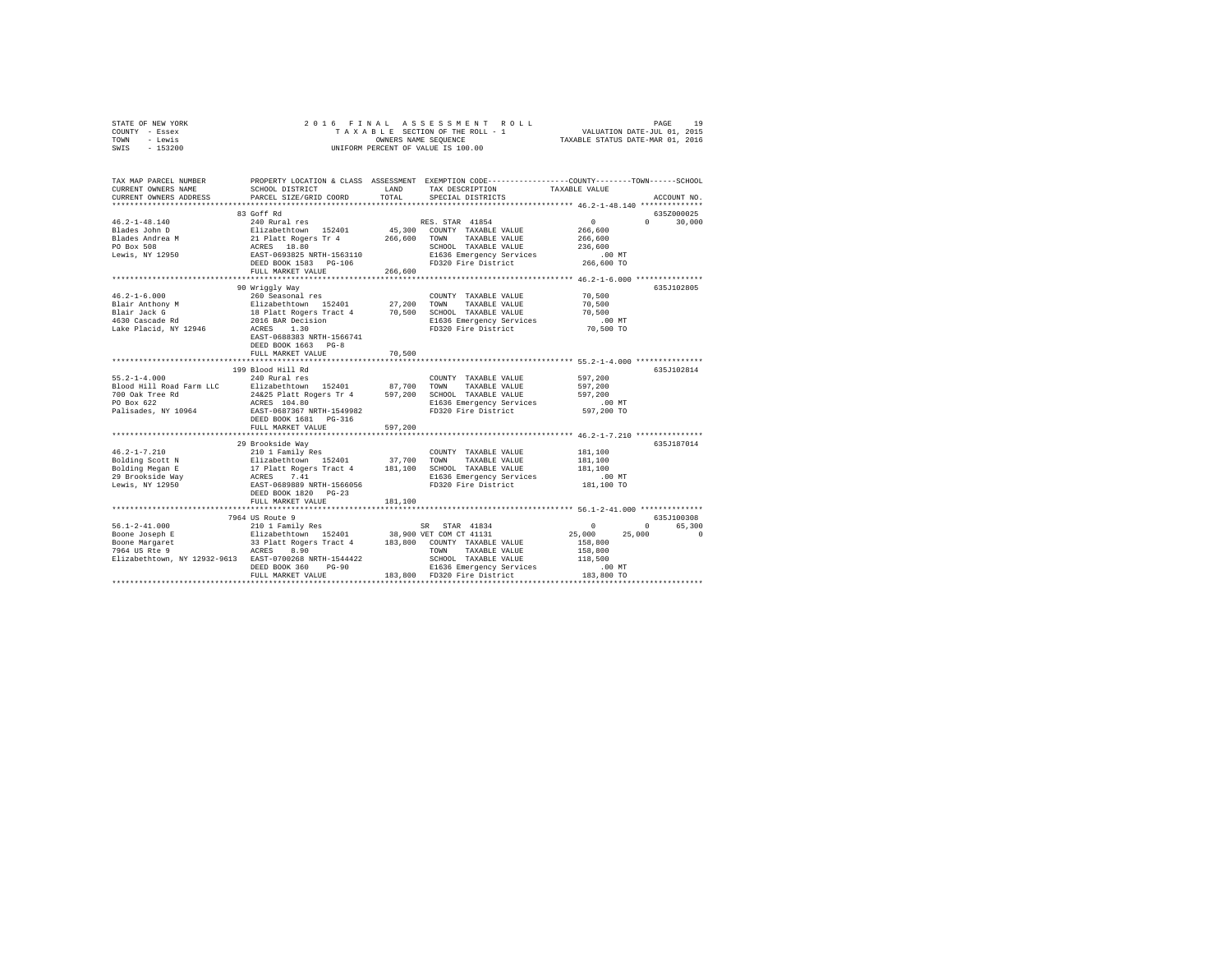|      | STATE OF NEW YORK |  | 2016 FINAL ASSESSMENT ROLL         |                                  | PAGE | 19 |
|------|-------------------|--|------------------------------------|----------------------------------|------|----|
|      | COUNTY - Essex    |  | TAXABLE SECTION OF THE ROLL - 1    | VALUATION DATE-JUL 01, 2015      |      |    |
| TOWN | - Lewis           |  | OWNERS NAME SEOUENCE               | TAXABLE STATUS DATE-MAR 01, 2016 |      |    |
| SWIS | - 153200          |  | UNIFORM PERCENT OF VALUE IS 100.00 |                                  |      |    |

| TAX MAP PARCEL NUMBER<br>CURRENT OWNERS NAME                                                                                                                                                                                                 | SCHOOL DISTRICT                                                                                                                                                                                                                   | LAND    | PROPERTY LOCATION & CLASS ASSESSMENT EXEMPTION CODE---------------COUNTY-------TOWN-----SCHOOL<br>TAX DESCRIPTION | TAXABLE VALUE                                  |                             |
|----------------------------------------------------------------------------------------------------------------------------------------------------------------------------------------------------------------------------------------------|-----------------------------------------------------------------------------------------------------------------------------------------------------------------------------------------------------------------------------------|---------|-------------------------------------------------------------------------------------------------------------------|------------------------------------------------|-----------------------------|
| CURRENT OWNERS ADDRESS                                                                                                                                                                                                                       | PARCEL SIZE/GRID COORD                                                                                                                                                                                                            | TOTAL   | SPECIAL DISTRICTS                                                                                                 |                                                | ACCOUNT NO.                 |
|                                                                                                                                                                                                                                              | 83 Goff Rd                                                                                                                                                                                                                        |         |                                                                                                                   |                                                | 6357000025                  |
| $46.2 - 1 - 48.140$                                                                                                                                                                                                                          |                                                                                                                                                                                                                                   |         |                                                                                                                   | $\sim$ 0                                       | $0 \qquad \qquad$<br>30,000 |
|                                                                                                                                                                                                                                              |                                                                                                                                                                                                                                   |         |                                                                                                                   | 266,600                                        |                             |
|                                                                                                                                                                                                                                              |                                                                                                                                                                                                                                   |         | 45,300 COUNTY TAXABLE VALUE<br>266,600 TOWN TAXABLE VALUE<br>SCHOOL TAXABLE VALUE                                 | 266,600                                        |                             |
|                                                                                                                                                                                                                                              |                                                                                                                                                                                                                                   |         | SCHOOL TAXABLE VALUE                                                                                              | 236,600                                        |                             |
| Riades John D<br>Blades Andrea M<br>PO Box 508 M 21 Platt Rogers Tr 4<br>PO Box 508 M 21 20550 BAST-0693825 NRTH-1563110                                                                                                                     |                                                                                                                                                                                                                                   |         | E1636 Emergency Services                                                                                          | .00MT                                          |                             |
|                                                                                                                                                                                                                                              | DEED BOOK 1583 PG-106                                                                                                                                                                                                             |         | FD320 Fire District                                                                                               | 266,600 TO                                     |                             |
|                                                                                                                                                                                                                                              | FULL MARKET VALUE                                                                                                                                                                                                                 | 266,600 |                                                                                                                   |                                                |                             |
|                                                                                                                                                                                                                                              | *************************************                                                                                                                                                                                             |         | ***********************************                                                                               | **************** 46.2-1-6.000 **************** |                             |
|                                                                                                                                                                                                                                              | 90 Wriggly Way                                                                                                                                                                                                                    |         |                                                                                                                   |                                                | 635J102805                  |
| $46.2 - 1 - 6.000$                                                                                                                                                                                                                           | 260 Seasonal res                                                                                                                                                                                                                  |         | COUNTY TAXABLE VALUE                                                                                              | 70,500                                         |                             |
|                                                                                                                                                                                                                                              |                                                                                                                                                                                                                                   |         |                                                                                                                   | 70,500                                         |                             |
| челенного компания в дельших согред на 27,200 TOWN ТАХАВЫЕ VALUE<br>Blair Anchony M — Bilizabethtown IS2401 — 27,200 TOWN TAXABыE VALUE<br>Blair Anchony M — IBPlatt Rogers Tract 4 70,500 SCHOOL TAXABЫE VALUE<br>4630 Cascade Rd —         |                                                                                                                                                                                                                                   |         |                                                                                                                   | 70,500                                         |                             |
|                                                                                                                                                                                                                                              |                                                                                                                                                                                                                                   |         |                                                                                                                   | .00 MT                                         |                             |
| Lake Placid, NY 12946                                                                                                                                                                                                                        | ACRES 1.30                                                                                                                                                                                                                        |         | FD320 Fire District                                                                                               | 70,500 TO                                      |                             |
|                                                                                                                                                                                                                                              | EAST-0688383 NRTH-1566741                                                                                                                                                                                                         |         |                                                                                                                   |                                                |                             |
|                                                                                                                                                                                                                                              | DEED BOOK 1663 PG-8                                                                                                                                                                                                               |         |                                                                                                                   |                                                |                             |
|                                                                                                                                                                                                                                              | FULL MARKET VALUE                                                                                                                                                                                                                 | 70,500  |                                                                                                                   |                                                |                             |
|                                                                                                                                                                                                                                              |                                                                                                                                                                                                                                   |         |                                                                                                                   |                                                |                             |
|                                                                                                                                                                                                                                              | 199 Blood Hill Rd                                                                                                                                                                                                                 |         |                                                                                                                   |                                                | 635J102814                  |
| $55.2 - 1 - 4.000$                                                                                                                                                                                                                           | 240 Rural res                                                                                                                                                                                                                     |         | COUNTY TAXABLE VALUE                                                                                              | 597,200                                        |                             |
| Blood Hill Road Farm LLC                                                                                                                                                                                                                     |                                                                                                                                                                                                                                   |         | TOWN TAXABLE VALUE                                                                                                | 597,200                                        |                             |
| 700 Oak Tree Rd                                                                                                                                                                                                                              |                                                                                                                                                                                                                                   |         |                                                                                                                   | 597,200                                        |                             |
| $\frac{1}{2}$<br>PO Box 622                                                                                                                                                                                                                  |                                                                                                                                                                                                                                   |         | E1636 Emergency Services<br>FD320 Fire District                                                                   | 00 MT.<br>597,200 TO                           |                             |
| Palisades, NY 10964                                                                                                                                                                                                                          | Elizabethrown 152401 87,700 TOWN TAXABLE VALUE 24625 Platt Rogers Tr 4 597,200 SCROL TAXABLE VALUE 24625 Platt Rogers Tr 4 597,200 SCROL TAXABLE VALUE RATE-1549982<br>ACRES 104.80 Platt Rogers Tr 4 597,200 SCROL TAXABLE VALUE |         |                                                                                                                   |                                                |                             |
|                                                                                                                                                                                                                                              |                                                                                                                                                                                                                                   |         |                                                                                                                   |                                                |                             |
|                                                                                                                                                                                                                                              | FULL MARKET VALUE                                                                                                                                                                                                                 | 597.200 |                                                                                                                   |                                                |                             |
|                                                                                                                                                                                                                                              | 29 Brookside Way                                                                                                                                                                                                                  |         |                                                                                                                   |                                                | 635J187014                  |
|                                                                                                                                                                                                                                              |                                                                                                                                                                                                                                   |         |                                                                                                                   | 181,100                                        |                             |
|                                                                                                                                                                                                                                              |                                                                                                                                                                                                                                   |         |                                                                                                                   | 181,100                                        |                             |
|                                                                                                                                                                                                                                              |                                                                                                                                                                                                                                   |         |                                                                                                                   | 181,100                                        |                             |
|                                                                                                                                                                                                                                              |                                                                                                                                                                                                                                   |         |                                                                                                                   | $.00$ MT                                       |                             |
|                                                                                                                                                                                                                                              |                                                                                                                                                                                                                                   |         |                                                                                                                   | 181,100 TO                                     |                             |
|                                                                                                                                                                                                                                              | DEED BOOK 1820 PG-23                                                                                                                                                                                                              |         |                                                                                                                   |                                                |                             |
|                                                                                                                                                                                                                                              | FULL MARKET VALUE                                                                                                                                                                                                                 | 181,100 |                                                                                                                   |                                                |                             |
|                                                                                                                                                                                                                                              |                                                                                                                                                                                                                                   |         |                                                                                                                   |                                                |                             |
|                                                                                                                                                                                                                                              |                                                                                                                                                                                                                                   |         |                                                                                                                   |                                                | 635J100308                  |
|                                                                                                                                                                                                                                              |                                                                                                                                                                                                                                   |         |                                                                                                                   | $\sim$ 0                                       | 65,300<br>$0 \qquad \qquad$ |
|                                                                                                                                                                                                                                              |                                                                                                                                                                                                                                   |         |                                                                                                                   | 25,000                                         | 25,000<br>$^{\circ}$        |
|                                                                                                                                                                                                                                              |                                                                                                                                                                                                                                   |         |                                                                                                                   | 158,800                                        |                             |
|                                                                                                                                                                                                                                              |                                                                                                                                                                                                                                   |         | TOWN TAXABLE VALUE                                                                                                | 158,800                                        |                             |
|                                                                                                                                                                                                                                              |                                                                                                                                                                                                                                   |         | SCHOOL TAXABLE VALUE                                                                                              | 138,800<br>118,500                             |                             |
|                                                                                                                                                                                                                                              |                                                                                                                                                                                                                                   |         | E1636 Emergency Services                                                                                          | $.00$ MT<br>183,800 TO.<br>183,800 TO          |                             |
| Boone Margaret<br>7964 US Rte 9<br>7964 US Rte 9<br>Elizabethtown, NY 12932-9613 RAST-0700268 NRTH-1544422<br>REED BOOK 360 PG-90 183,800 PG-90<br>PRED BOOK 360 PG-90 183,800 PG-90<br>PRED BOOK 360 PG-90 183,800 PG-91<br>PRED BOOK 360 P |                                                                                                                                                                                                                                   |         |                                                                                                                   |                                                |                             |
|                                                                                                                                                                                                                                              |                                                                                                                                                                                                                                   |         |                                                                                                                   |                                                |                             |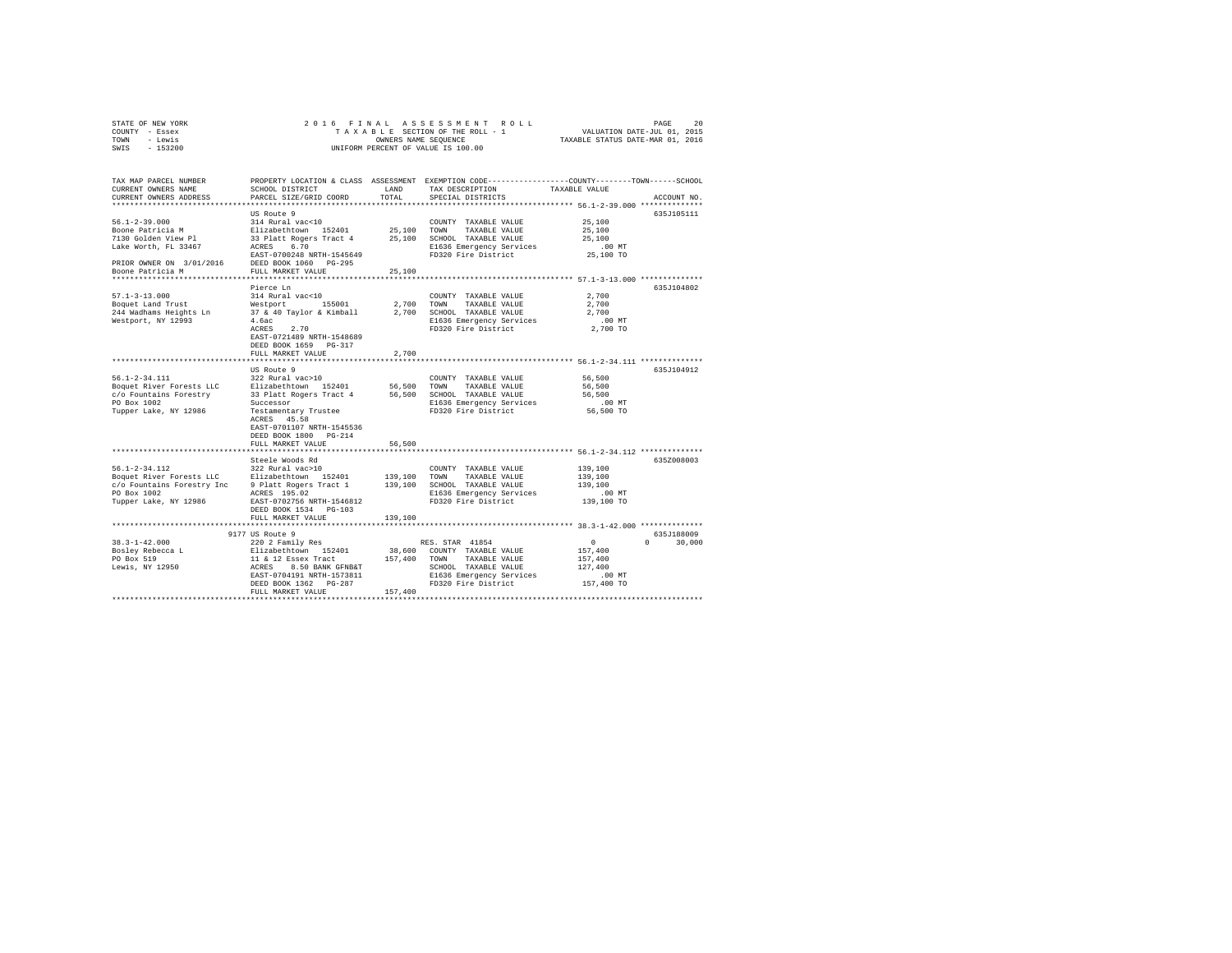|      | STATE OF NEW YORK |  |  |  | 2016 FINAL ASSESSMENT ROLL         |  |  |  |                                  | PAGE | 20 |
|------|-------------------|--|--|--|------------------------------------|--|--|--|----------------------------------|------|----|
|      | COUNTY - Essex    |  |  |  | TAXABLE SECTION OF THE ROLL - 1    |  |  |  | VALUATION DATE-JUL 01, 2015      |      |    |
| TOWN | - Lewis           |  |  |  | OWNERS NAME SEOUENCE               |  |  |  | TAXABLE STATUS DATE-MAR 01, 2016 |      |    |
| SWIS | $-153200$         |  |  |  | UNIFORM PERCENT OF VALUE IS 100.00 |  |  |  |                                  |      |    |

| TAX MAP PARCEL NUMBER<br>CURRENT OWNERS NAME<br>CURRENT OWNERS ADDRESS                                                | SCHOOL DISTRICT<br>PARCEL SIZE/GRID COORD                                                                                                                                                   | LAND<br>TOTAL.                | PROPERTY LOCATION & CLASS ASSESSMENT EXEMPTION CODE---------------COUNTY-------TOWN------SCHOOL<br>TAX DESCRIPTION<br>SPECIAL DISTRICTS                                                 | TAXABLE VALUE                                                                               | ACCOUNT NO.                      |
|-----------------------------------------------------------------------------------------------------------------------|---------------------------------------------------------------------------------------------------------------------------------------------------------------------------------------------|-------------------------------|-----------------------------------------------------------------------------------------------------------------------------------------------------------------------------------------|---------------------------------------------------------------------------------------------|----------------------------------|
|                                                                                                                       |                                                                                                                                                                                             |                               |                                                                                                                                                                                         |                                                                                             |                                  |
| $56.1 - 2 - 39.000$<br>Boone Patricia M<br>7130 Golden View Pl<br>Lake Worth, FL 33467<br>PRIOR OWNER ON 3/01/2016    | US Route 9<br>314 Rural vac<10<br>Elizabethtown 152401<br>33 Platt Rogers Tract 4<br>6.70<br>ACRES<br>EAST-0700248 NRTH-1545649<br>DEED BOOK 1060 PG-295                                    | 25,100 TOWN<br>25,100         | COUNTY TAXABLE VALUE<br>TAXABLE VALUE<br>SCHOOL TAXABLE VALUE<br>E1636 Emergency Services<br>FD320 Fire District                                                                        | 25,100<br>25,100<br>25,100<br>$.00$ MT<br>25,100 TO                                         | 635J105111                       |
| Boone Patricia M                                                                                                      | FULL MARKET VALUE<br>*******************                                                                                                                                                    | 25,100                        |                                                                                                                                                                                         |                                                                                             |                                  |
| $57.1 - 3 - 13.000$<br>Boquet Land Trust<br>244 Wadhams Heights Ln<br>Westport, NY 12993                              | Pierce Ln<br>314 Rural vac<10<br>Westport 155001<br>37 & 40 Taylor & Kimball<br>4.6ac<br>ACRES<br>2.70<br>EAST-0721489 NRTH-1548689<br>DEED BOOK 1659 PG-317<br>FULL MARKET VALUE           | 2,700                         | COUNTY TAXABLE VALUE<br>2.700 TOWN<br>TAXABLE VALUE<br>2,700 SCHOOL TAXABLE VALUE<br>E1636 Emergency Services<br>FD320 Fire District                                                    | ************* 57.1-3-13.000 ************<br>2,700<br>2,700<br>2,700<br>$.00$ MT<br>2,700 TO | 635J104802                       |
|                                                                                                                       |                                                                                                                                                                                             |                               |                                                                                                                                                                                         |                                                                                             |                                  |
| $56.1 - 2 - 34.111$<br>Boquet River Forests LLC<br>c/o Fountains Forestry<br>PO Box 1002<br>Tupper Lake, NY 12986     | US Route 9<br>322 Rural vac>10<br>Elizabethtown 152401<br>33 Platt Rogers Tract 4<br>Successor<br>Testamentary Trustee<br>ACRES 45.58<br>EAST-0701107 NRTH-1545536<br>DEED BOOK 1800 PG-214 | 56,500 TOWN                   | COUNTY TAXABLE VALUE<br>TAXABLE VALUE<br>56,500 SCHOOL TAXABLE VALUE<br>E1636 Emergency Services<br>FD320 Fire District                                                                 | 56,500<br>56,500<br>56,500<br>.00 MT<br>56,500 TO                                           | 635J104912                       |
|                                                                                                                       | FULL MARKET VALUE                                                                                                                                                                           | 56,500                        |                                                                                                                                                                                         |                                                                                             |                                  |
| $56.1 - 2 - 34.112$<br>Boquet River Forests LLC<br>c/o Fountains Forestry Inc<br>PO Box 1002<br>Tupper Lake, NY 12986 | Steele Woods Rd<br>322 Rural vac>10<br>Elizabethtown 152401<br>9 Platt Rogers Tract 1<br>ACRES 195.02<br>EAST-0702756 NRTH-1546812<br>DEED BOOK 1534 PG-103<br>FULL MARKET VALUE            | 139,100<br>139,100<br>139,100 | ****************************** 56.1-2-34.112 **************<br>COUNTY TAXABLE VALUE<br>TOWN<br>TAXABLE VALUE<br>SCHOOL TAXABLE VALUE<br>E1636 Emergency Services<br>FD320 Fire District | 139,100<br>139,100<br>139,100<br>.00 MT<br>139,100 TO                                       | 635Z008003                       |
|                                                                                                                       | ****************************                                                                                                                                                                |                               |                                                                                                                                                                                         |                                                                                             |                                  |
| $38.3 - 1 - 42.000$<br>Bosley Rebecca L<br>PO Box 519<br>Lewis, NY 12950                                              | 9177 US Route 9<br>220 2 Family Res<br>Elizabethtown 152401<br>11 & 12 Essex Tract<br>ACRES 8.50 BANK GFNB&T<br>EAST-0704191 NRTH-1573811<br>DEED BOOK 1362 PG-287<br>FULL MARKET VALUE     | 157,400 TOWN<br>157,400       | RES. STAR 41854<br>38,600 COUNTY TAXABLE VALUE<br>TAXABLE VALUE<br>SCHOOL TAXABLE VALUE<br>E1636 Emergency Services<br>FD320 Fire District                                              | $\sim$ 0<br>157,400<br>157,400<br>127,400<br>.00 MT<br>157,400 TO                           | 635J188009<br>30,000<br>$\Omega$ |
|                                                                                                                       |                                                                                                                                                                                             |                               |                                                                                                                                                                                         |                                                                                             |                                  |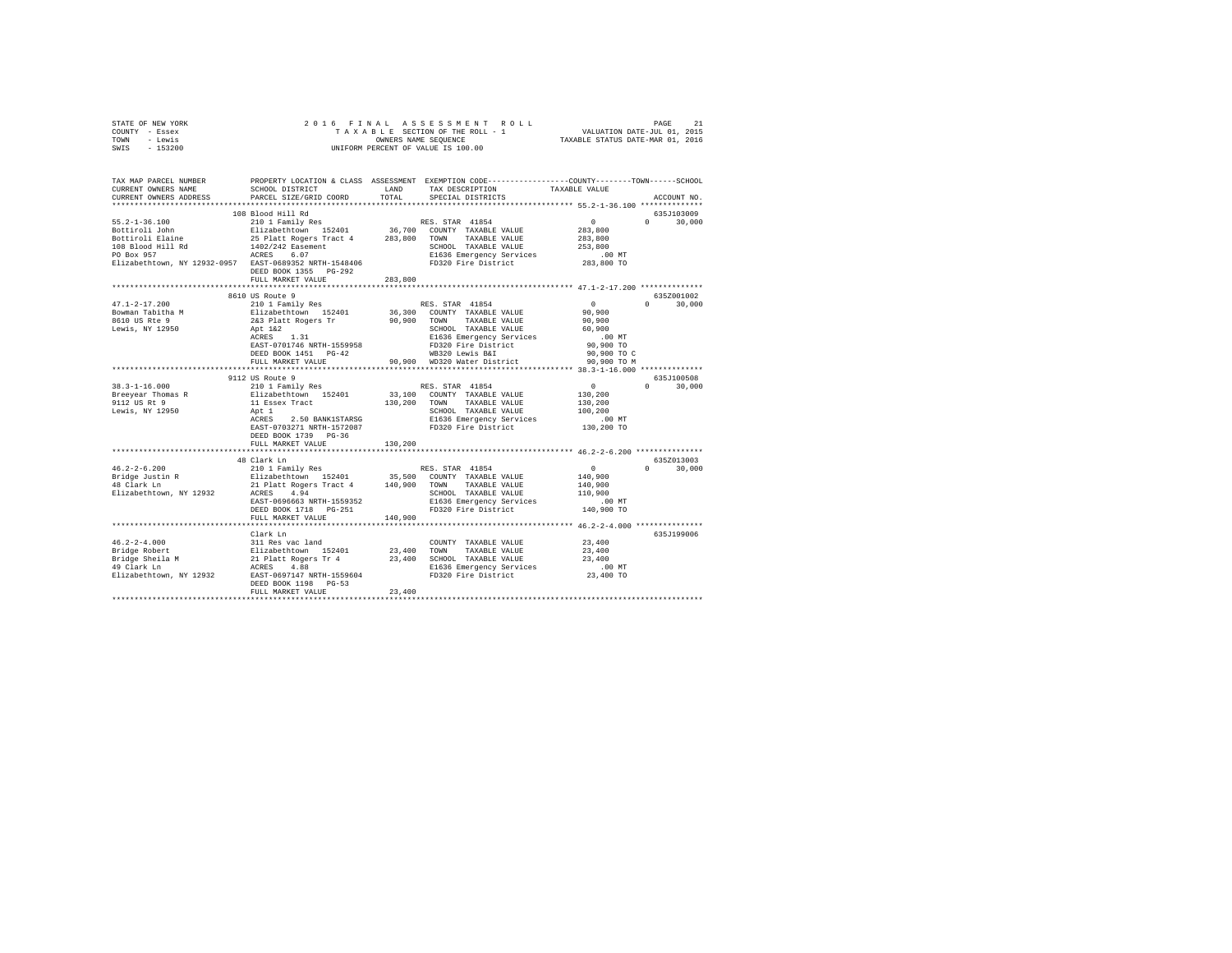| STATE OF NEW YORK                                                                                                                                                                                                                    | 2016 FINAL                                                                                                                                               |         |                                                                                                                                                                       |                      |               |  |  |
|--------------------------------------------------------------------------------------------------------------------------------------------------------------------------------------------------------------------------------------|----------------------------------------------------------------------------------------------------------------------------------------------------------|---------|-----------------------------------------------------------------------------------------------------------------------------------------------------------------------|----------------------|---------------|--|--|
| COUNTY - Essex                                                                                                                                                                                                                       | 5 FINAL ASSESSMENT ROLL (2015)<br>TAXABLE SECTION OF THE ROLL - 1 VALUATION DATE-JUL 01, 2015<br>OWNERS NAME SEQUENCE  TAXABLE STATUS DATE-MAR 01, 2016  |         |                                                                                                                                                                       |                      |               |  |  |
| TOWN - Lewis                                                                                                                                                                                                                         | OWNERS NAME SEQUENCE<br>UNIFORM PERCENT OF VALUE IS 100.00                                                                                               |         |                                                                                                                                                                       |                      |               |  |  |
| SWIS - 153200                                                                                                                                                                                                                        |                                                                                                                                                          |         |                                                                                                                                                                       |                      |               |  |  |
|                                                                                                                                                                                                                                      |                                                                                                                                                          |         |                                                                                                                                                                       |                      |               |  |  |
|                                                                                                                                                                                                                                      |                                                                                                                                                          |         |                                                                                                                                                                       |                      |               |  |  |
|                                                                                                                                                                                                                                      |                                                                                                                                                          |         |                                                                                                                                                                       |                      |               |  |  |
| TAX MAP PARCEL NUMBER PROPERTY LOCATION & CLASS ASSESSMENT EXEMPTION CODE--------------COUNTY--------TOWN------SCHOOL                                                                                                                |                                                                                                                                                          |         |                                                                                                                                                                       |                      |               |  |  |
| CURRENT OWNERS NAME                                                                                                                                                                                                                  | SCHOOL DISTRICT LAND                                                                                                                                     |         | TAX DESCRIPTION                                                                                                                                                       | TAXABLE VALUE        |               |  |  |
| CURRENT OWNERS ADDRESS                                                                                                                                                                                                               | PARCEL SIZE/GRID COORD                                                                                                                                   | TOTAL   | SPECIAL DISTRICTS                                                                                                                                                     |                      | ACCOUNT NO.   |  |  |
|                                                                                                                                                                                                                                      |                                                                                                                                                          |         |                                                                                                                                                                       |                      |               |  |  |
|                                                                                                                                                                                                                                      | 108 Blood Hill Rd                                                                                                                                        |         |                                                                                                                                                                       |                      | 635J103009    |  |  |
|                                                                                                                                                                                                                                      |                                                                                                                                                          |         |                                                                                                                                                                       | $\sim$ 0             | $0 \t 30,000$ |  |  |
|                                                                                                                                                                                                                                      |                                                                                                                                                          |         |                                                                                                                                                                       | 283,800              |               |  |  |
|                                                                                                                                                                                                                                      |                                                                                                                                                          |         |                                                                                                                                                                       | 283,800              |               |  |  |
|                                                                                                                                                                                                                                      |                                                                                                                                                          |         |                                                                                                                                                                       | 253,800              |               |  |  |
|                                                                                                                                                                                                                                      |                                                                                                                                                          |         |                                                                                                                                                                       |                      |               |  |  |
|                                                                                                                                                                                                                                      |                                                                                                                                                          |         |                                                                                                                                                                       | 00 MT.<br>283,800 TO |               |  |  |
|                                                                                                                                                                                                                                      | DEED BOOK 1355 PG-292                                                                                                                                    |         |                                                                                                                                                                       |                      |               |  |  |
|                                                                                                                                                                                                                                      | FULL MARKET VALUE                                                                                                                                        | 283,800 |                                                                                                                                                                       |                      |               |  |  |
|                                                                                                                                                                                                                                      |                                                                                                                                                          |         |                                                                                                                                                                       |                      |               |  |  |
|                                                                                                                                                                                                                                      | 8610 US Route 9                                                                                                                                          |         |                                                                                                                                                                       |                      | 635Z001002    |  |  |
| $47.1 - 2 - 17.200$                                                                                                                                                                                                                  |                                                                                                                                                          |         | - - - - - - RES. STAR 41854<br>210 1 Family Res<br>2123 Platt Rogers Trans 36,300 COUNTY TAXABLE VALUE<br>223 Platt Rogers Trans 90,900 TOWN TAXABLE VALUE<br>Apt 122 | $\sim$ 0             | $0 \t 30.000$ |  |  |
|                                                                                                                                                                                                                                      |                                                                                                                                                          |         |                                                                                                                                                                       | 90,900               |               |  |  |
| Bowman Tabitha M<br>8610 US Rte 9<br>Lewis, NY 12950                                                                                                                                                                                 |                                                                                                                                                          |         |                                                                                                                                                                       |                      |               |  |  |
|                                                                                                                                                                                                                                      |                                                                                                                                                          |         |                                                                                                                                                                       | 90,900               |               |  |  |
|                                                                                                                                                                                                                                      | Apt 1&2<br>ACRES 1.31                                                                                                                                    |         | SCHOOL TAXABLE VALUE                                                                                                                                                  | 60,900               |               |  |  |
|                                                                                                                                                                                                                                      |                                                                                                                                                          |         | E1636 Emergency Services<br>FD320 Fire District<br>WB320 Lewis B&I                                                                                                    | .00MT                |               |  |  |
|                                                                                                                                                                                                                                      | EAST-0701746 NRTH-1559958                                                                                                                                |         |                                                                                                                                                                       | 90,900 TO            |               |  |  |
|                                                                                                                                                                                                                                      | DEED BOOK 1451 PG-42                                                                                                                                     |         | FULL MARKET VALUE 72 90,900 MD320 Mater District 90,900 TO M                                                                                                          | 90,900 TO C          |               |  |  |
|                                                                                                                                                                                                                                      |                                                                                                                                                          |         |                                                                                                                                                                       |                      |               |  |  |
|                                                                                                                                                                                                                                      |                                                                                                                                                          |         |                                                                                                                                                                       |                      |               |  |  |
|                                                                                                                                                                                                                                      | 9112 US Route 9                                                                                                                                          |         |                                                                                                                                                                       |                      | 635J100508    |  |  |
|                                                                                                                                                                                                                                      | 210 1 Family Res                                                                                                                                         |         | RES. STAR 41854                                                                                                                                                       | $\sim$ 0             | $0 \t 30.000$ |  |  |
|                                                                                                                                                                                                                                      |                                                                                                                                                          |         |                                                                                                                                                                       |                      |               |  |  |
| 38.3-1-16.000<br>Breeyear Thomas R<br>9112 US Rt 9                                                                                                                                                                                   |                                                                                                                                                          |         | 130,200 TOWN TAXABLE VALUE                                                                                                                                            | 130,200              |               |  |  |
| Lewis, NY 12950                                                                                                                                                                                                                      | 11 Essex Tract<br>Apt 1                                                                                                                                  |         | SCHOOL TAXABLE VALUE<br>E1636 Emergency Services<br>FD320 Fire District                                                                                               | 100,200              |               |  |  |
|                                                                                                                                                                                                                                      | ACRES 2.50 BANK1STARSG                                                                                                                                   |         |                                                                                                                                                                       | .00 MT               |               |  |  |
|                                                                                                                                                                                                                                      | EAST-0703271 NRTH-1572087                                                                                                                                |         |                                                                                                                                                                       | 130,200 TO           |               |  |  |
|                                                                                                                                                                                                                                      | DEED BOOK 1739 PG-36                                                                                                                                     |         |                                                                                                                                                                       |                      |               |  |  |
|                                                                                                                                                                                                                                      | FULL MARKET VALUE                                                                                                                                        | 130,200 |                                                                                                                                                                       |                      |               |  |  |
|                                                                                                                                                                                                                                      |                                                                                                                                                          |         |                                                                                                                                                                       |                      |               |  |  |
|                                                                                                                                                                                                                                      |                                                                                                                                                          |         |                                                                                                                                                                       |                      | 635Z013003    |  |  |
| $46.2 - 2 - 6.200$                                                                                                                                                                                                                   |                                                                                                                                                          |         |                                                                                                                                                                       |                      | $0 \t 30,000$ |  |  |
|                                                                                                                                                                                                                                      |                                                                                                                                                          |         |                                                                                                                                                                       |                      |               |  |  |
| Bridge Justin R<br>48 Clark Ln                                                                                                                                                                                                       |                                                                                                                                                          |         |                                                                                                                                                                       |                      |               |  |  |
| Elizabethtown, NY 12932                                                                                                                                                                                                              |                                                                                                                                                          |         |                                                                                                                                                                       |                      |               |  |  |
|                                                                                                                                                                                                                                      |                                                                                                                                                          |         |                                                                                                                                                                       |                      |               |  |  |
|                                                                                                                                                                                                                                      |                                                                                                                                                          |         |                                                                                                                                                                       |                      |               |  |  |
|                                                                                                                                                                                                                                      |                                                                                                                                                          |         |                                                                                                                                                                       |                      |               |  |  |
|                                                                                                                                                                                                                                      |                                                                                                                                                          |         |                                                                                                                                                                       |                      |               |  |  |
|                                                                                                                                                                                                                                      | Clark Ln                                                                                                                                                 |         |                                                                                                                                                                       |                      | 635J199006    |  |  |
|                                                                                                                                                                                                                                      | 311 Res vac land                                                                                                                                         |         | COUNTY TAXABLE VALUE 23,400                                                                                                                                           |                      |               |  |  |
| 46.2-2-4.000<br>Bridge Robert                                                                                                                                                                                                        |                                                                                                                                                          |         |                                                                                                                                                                       | 23,400               |               |  |  |
|                                                                                                                                                                                                                                      | 311 aab var 11 12401 123,400 TOWN TAXABLE VALUE<br>21 Platt Rogers Tr 4 123,400 SCHOOL TAXABLE VALUE<br>21 Platt Rogers Tr 4 23,400 SCHOOL TAXABLE VALUE |         |                                                                                                                                                                       | 23,400               |               |  |  |
|                                                                                                                                                                                                                                      |                                                                                                                                                          |         |                                                                                                                                                                       |                      |               |  |  |
|                                                                                                                                                                                                                                      |                                                                                                                                                          |         |                                                                                                                                                                       | .00 MT.<br>23,400 TO |               |  |  |
| Bridge Sheila M 21 Platt Rogers Tr 4 23,400 SCHOOL TAXABLE VALUE<br>49 Clark Ln 21 Platt Rogers Tr 4 23,400 SCHOOL TAXABLE VALUE<br>49 Clark Ln 2032 EAST-0697147 NETH-1559604 PD320 Fire District<br>Elizabethtown, NY 12932 EAST-0 |                                                                                                                                                          |         |                                                                                                                                                                       |                      |               |  |  |
|                                                                                                                                                                                                                                      | DEED BOOK 1198 PG-53                                                                                                                                     |         |                                                                                                                                                                       |                      |               |  |  |
|                                                                                                                                                                                                                                      | FULL MARKET VALUE                                                                                                                                        | 23,400  |                                                                                                                                                                       |                      |               |  |  |
|                                                                                                                                                                                                                                      |                                                                                                                                                          |         |                                                                                                                                                                       |                      |               |  |  |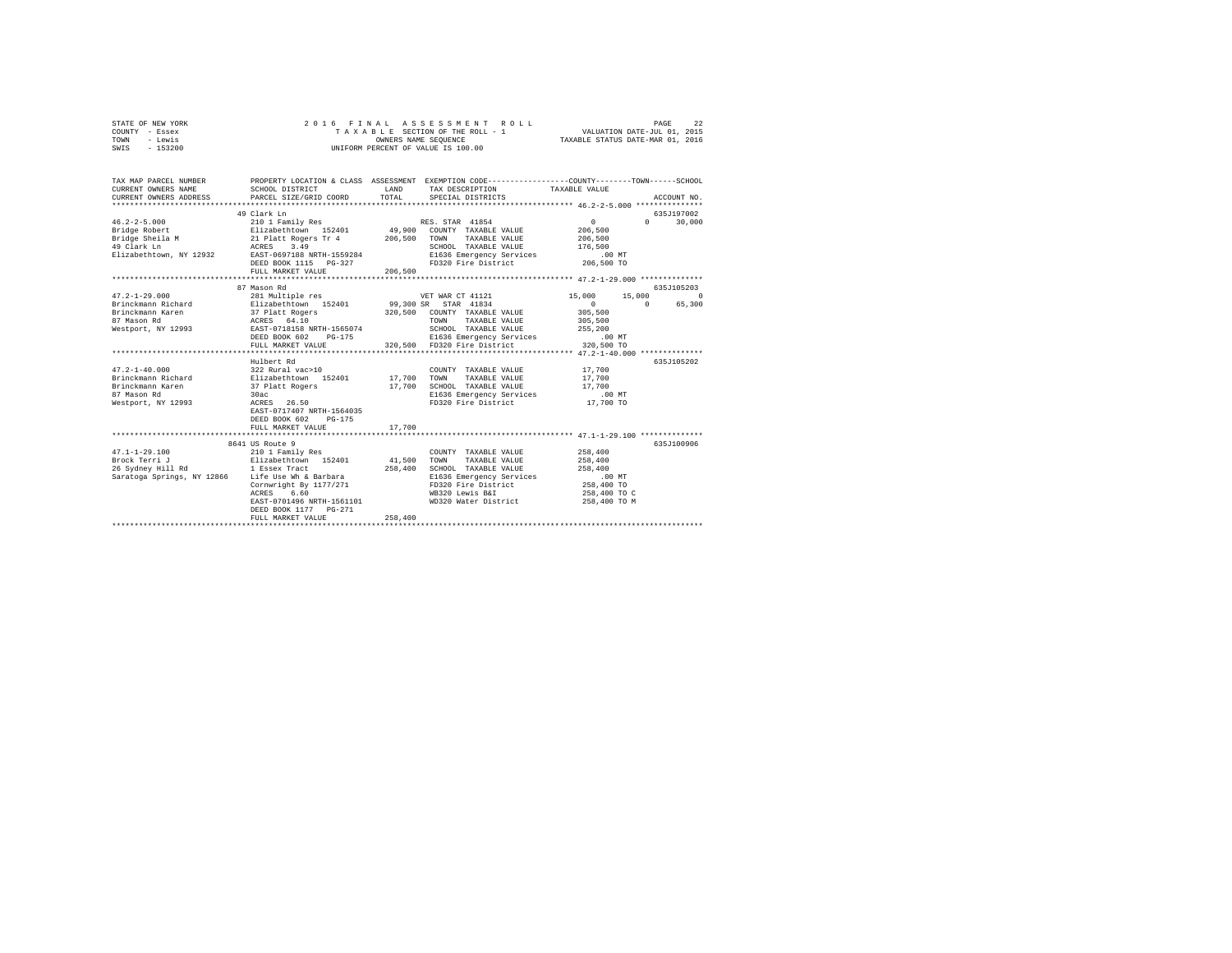| STATE OF NEW YORK | 2016 FINAL ASSESSMENT ROLL         | 22<br>PAGE                       |
|-------------------|------------------------------------|----------------------------------|
| COUNTY - Essex    | TAXABLE SECTION OF THE ROLL - 1    | VALUATION DATE-JUL 01, 2015      |
| TOWN<br>- Lewis   | OWNERS NAME SEOUENCE               | TAXABLE STATUS DATE-MAR 01, 2016 |
| $-153200$<br>SWIS | UNIFORM PERCENT OF VALUE IS 100.00 |                                  |

| TAX MAP PARCEL NUMBER<br>CURRENT OWNERS NAME<br>CURRENT OWNERS ADDRESS                | SCHOOL DISTRICT<br>PARCEL SIZE/GRID COORD                                                  | LAND<br>TOTAL | PROPERTY LOCATION & CLASS ASSESSMENT EXEMPTION CODE----------------COUNTY-------TOWN-----SCHOOL<br>TAX DESCRIPTION TAXABLE VALUE<br>SPECIAL DISTRICTS |                   | ACCOUNT NO.                 |
|---------------------------------------------------------------------------------------|--------------------------------------------------------------------------------------------|---------------|-------------------------------------------------------------------------------------------------------------------------------------------------------|-------------------|-----------------------------|
|                                                                                       | 49 Clark Ln                                                                                |               |                                                                                                                                                       |                   | 635J197002                  |
|                                                                                       |                                                                                            |               |                                                                                                                                                       | $0 \qquad \qquad$ | 30,000<br>$0 \qquad \qquad$ |
|                                                                                       |                                                                                            |               |                                                                                                                                                       | 206,500           |                             |
|                                                                                       |                                                                                            |               |                                                                                                                                                       | 206,500           |                             |
|                                                                                       |                                                                                            |               | SCHOOL TAXABLE VALUE 176,500                                                                                                                          |                   |                             |
|                                                                                       |                                                                                            |               | E1636 Emergency Services                                                                                                                              | .00 MT            |                             |
|                                                                                       | DEED BOOK 1115 PG-327                                                                      |               | FD320 Fire District                                                                                                                                   | $206,500$ TO      |                             |
|                                                                                       | FULL MARKET VALUE                                                                          | 206,500       |                                                                                                                                                       |                   |                             |
|                                                                                       |                                                                                            |               |                                                                                                                                                       |                   |                             |
|                                                                                       | 87 Mason Rd                                                                                |               |                                                                                                                                                       |                   | 635J105203                  |
| $47.2 - 1 - 29.000$                                                                   | 281 Multiple res                                                                           |               | VET WAR CT 41121                                                                                                                                      | 15,000<br>15,000  | $\Omega$                    |
| Brinckmann Richard               Elizabethtown 152401         99,300 SR   STAR  41834 |                                                                                            |               |                                                                                                                                                       | $\sim$ 0          | $\Omega$<br>65,300          |
|                                                                                       |                                                                                            |               |                                                                                                                                                       | 305,500           |                             |
|                                                                                       |                                                                                            |               |                                                                                                                                                       | 305,500           |                             |
| Westport, NY 12993 EAST-0718158 NRTH-1565074                                          |                                                                                            |               | SCHOOL TAXABLE VALUE                                                                                                                                  | 255,200           |                             |
|                                                                                       | DEED BOOK 602<br>PG-175                                                                    |               | E1636 Emergency Services .00 MT                                                                                                                       |                   |                             |
|                                                                                       | FULL MARKET VALUE                                                                          |               | 320,500 FD320 Fire District                                                                                                                           | 320,500 TO        |                             |
|                                                                                       |                                                                                            |               |                                                                                                                                                       |                   |                             |
|                                                                                       | Hulbert Rd                                                                                 |               |                                                                                                                                                       |                   | 635J105202                  |
| $47.2 - 1 - 40.000$                                                                   |                                                                                            |               | COUNTY TAXABLE VALUE                                                                                                                                  | 17,700            |                             |
| Brinckmann Richard                                                                    |                                                                                            |               | TAXABLE VALUE                                                                                                                                         | 17,700            |                             |
| Brinckmann Karen                                                                      | COUNT וMUS22 Rural vac<br>Elizabethtown 152401 17,700 TOWN<br>37 Platt Rogers 17,700 SCHOC |               | SCHOOL TAXABLE VALUE                                                                                                                                  | 17,700            |                             |
| 87 Mason Rd                                                                           | 30ac                                                                                       |               | E1636 Emergency Services .00 MT                                                                                                                       |                   |                             |
| Westport, NY 12993                                                                    | ACRES 26.50                                                                                |               | FD320 Fire District                                                                                                                                   | 17,700 TO         |                             |
|                                                                                       | EAST-0717407 NRTH-1564035                                                                  |               |                                                                                                                                                       |                   |                             |
|                                                                                       | $PG-175$<br>DEED BOOK 602                                                                  |               |                                                                                                                                                       |                   |                             |
|                                                                                       | FULL MARKET VALUE                                                                          | 17,700        |                                                                                                                                                       |                   |                             |
|                                                                                       |                                                                                            |               |                                                                                                                                                       |                   |                             |
|                                                                                       | 8641 US Route 9                                                                            |               |                                                                                                                                                       |                   | 635J100906                  |
| $47.1 - 1 - 29.100$                                                                   | 210 1 Family Res                                                                           |               | COUNTY TAXABLE VALUE                                                                                                                                  | 258,400           |                             |
|                                                                                       |                                                                                            | 41,500        | TOWN TAXABLE VALUE                                                                                                                                    | 258,400           |                             |
|                                                                                       |                                                                                            | 258,400       | SCHOOL TAXABLE VALUE                                                                                                                                  | 258,400           |                             |
| Saratoga Springs, NY 12866 Life Use Wh & Barbara                                      |                                                                                            |               | E1636 Emergency Services                                                                                                                              | .00 MT            |                             |
|                                                                                       | Cornwright By 1177/271                                                                     |               | FD320 Fire District 258,400 TO                                                                                                                        |                   |                             |
|                                                                                       | ACRES<br>6.60                                                                              |               | WB320 Lewis B&I                                                                                                                                       | 258,400 TO C      |                             |
|                                                                                       | EAST-0701496 NRTH-1561101                                                                  |               | WD320 Water District                                                                                                                                  | 258,400 TO M      |                             |
|                                                                                       | DEED BOOK 1177 PG-271                                                                      |               |                                                                                                                                                       |                   |                             |
|                                                                                       | FULL MARKET VALUE                                                                          | 258,400       |                                                                                                                                                       |                   |                             |
|                                                                                       | ***************************                                                                |               |                                                                                                                                                       |                   |                             |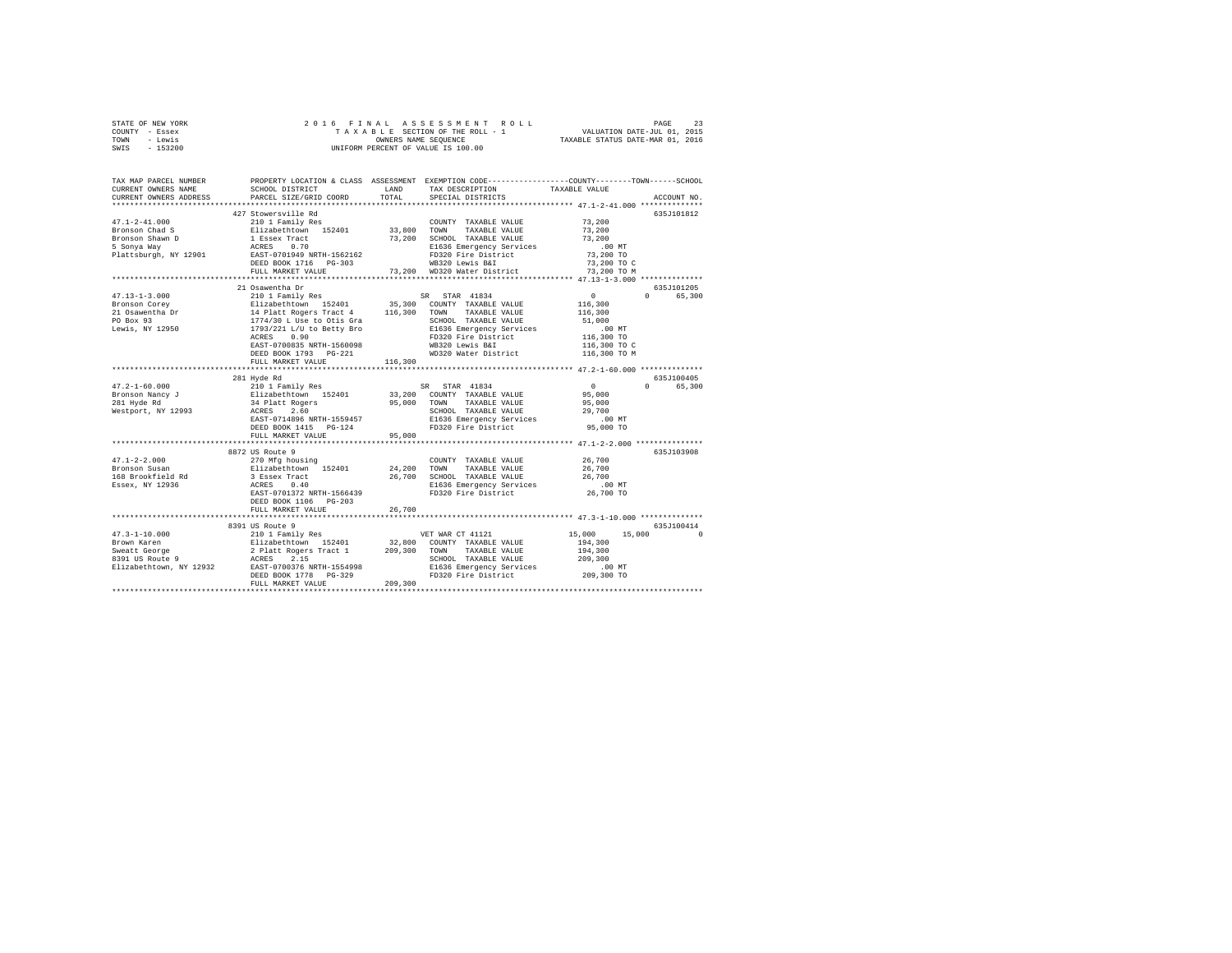| STATE OF NEW YORK | 2016 FINAL ASSESSMENT ROLL         | PAGE                             |
|-------------------|------------------------------------|----------------------------------|
| COUNTY - Essex    | TAXABLE SECTION OF THE ROLL - 1    | VALUATION DATE-JUL 01, 2015      |
| TOWN<br>- Lewis   | OWNERS NAME SEOUENCE               | TAXABLE STATUS DATE-MAR 01, 2016 |
| $-153200$<br>SWIS | UNIFORM PERCENT OF VALUE IS 100.00 |                                  |

| TAX MAP PARCEL NUMBER<br>CURRENT OWNERS NAME<br>CURRENT OWNERS ADDRESS | SCHOOL DISTRICT<br>PARCEL SIZE/GRID COORD                                                                                            | LAND<br>TOTAL               | TAX DESCRIPTION<br>SPECIAL DISTRICTS                                     | PROPERTY LOCATION & CLASS ASSESSMENT EXEMPTION CODE---------------COUNTY-------TOWN-----SCHOOL<br>TAXABLE VALUE<br>ACCOUNT NO. |          |
|------------------------------------------------------------------------|--------------------------------------------------------------------------------------------------------------------------------------|-----------------------------|--------------------------------------------------------------------------|--------------------------------------------------------------------------------------------------------------------------------|----------|
|                                                                        |                                                                                                                                      |                             |                                                                          |                                                                                                                                |          |
|                                                                        | 427 Stowersville Rd                                                                                                                  |                             |                                                                          | 635J101812                                                                                                                     |          |
| $47.1 - 2 - 41.000$                                                    | 210 1 Family Res                                                                                                                     |                             | COUNTY TAXABLE VALUE 73,200                                              |                                                                                                                                |          |
| Bronson Chad S                                                         | Elizabethtown 152401 33,800 TOWN TAXABLE-VALUE<br>1 Essex Tract 73,200 SCHOOL TAXABLE-VALUE<br>ACRES 0.70 - El636 Emergency Services |                             |                                                                          | 73,200                                                                                                                         |          |
| Bronson Shawn D                                                        |                                                                                                                                      |                             | 73,200 SCHOOL TAXABLE VALUE                                              | 73,200                                                                                                                         |          |
| 5 Sonva Way                                                            |                                                                                                                                      |                             |                                                                          | $.00$ MT                                                                                                                       |          |
| Plattsburgh, NY 12901 EAST-0701949 NRTH-1562162                        |                                                                                                                                      |                             | E1636 Emergency Services<br>FD320 Fire District                          | 73,200 TO                                                                                                                      |          |
|                                                                        | DEED BOOK 1716 PG-303                                                                                                                |                             | WB320 Lewis B&I                                                          | 73,200 TO C                                                                                                                    |          |
|                                                                        | FULL MARKET VALUE                                                                                                                    |                             | 73,200 WD320 Water District                                              | 73,200 TO M                                                                                                                    |          |
|                                                                        | **********************                                                                                                               | *************************** |                                                                          | ******************* 47.13-1-3.000 **************                                                                               |          |
|                                                                        | 21 Osawentha Dr                                                                                                                      |                             |                                                                          | 635J101205                                                                                                                     |          |
| $47.13 - 1 - 3.000$                                                    | 210 1 Family Res                                                                                                                     |                             | SR STAR 41834                                                            | 0 65,300<br>$\mathbf{0}$                                                                                                       |          |
| Bronson Corey                                                          |                                                                                                                                      |                             | 35,300 COUNTY TAXABLE VALUE<br>116,300 TOWN TAXABLE VALUE                | $116\,,\,300$                                                                                                                  |          |
| 21 Osawentha Dr                                                        |                                                                                                                                      |                             |                                                                          | 116,300                                                                                                                        |          |
| PO Box 93                                                              | Elizabethtown 152401<br>14 Platt Rogers Tract 4<br>1774/30 L Use to Otis Gra<br>1793/221 L/U to Betty Bro                            |                             | SCHOOL TAXABLE VALUE<br>SCHOOL TAXABLE VALUE<br>E1636 Emergency Services | 51,000                                                                                                                         |          |
| Lewis, NY 12950                                                        |                                                                                                                                      |                             |                                                                          | $.00$ MT                                                                                                                       |          |
|                                                                        | 0.90<br>ACRES                                                                                                                        |                             | FD320 Fire District<br>WB320 Lewis B&I                                   | 116,300 TO<br>116,300 TO C                                                                                                     |          |
|                                                                        | EAST-0700835 NRTH-1560098<br>DEED BOOK 1793 PG-221                                                                                   |                             |                                                                          | 116,300 TO M                                                                                                                   |          |
|                                                                        | FULL MARKET VALUE                                                                                                                    | 116,300                     | WD320 Water District                                                     |                                                                                                                                |          |
|                                                                        |                                                                                                                                      |                             |                                                                          |                                                                                                                                |          |
|                                                                        | 281 Hyde Rd                                                                                                                          |                             |                                                                          | 635J100405                                                                                                                     |          |
|                                                                        |                                                                                                                                      |                             |                                                                          | $\sim$ 0<br>0 65,300                                                                                                           |          |
|                                                                        |                                                                                                                                      |                             |                                                                          | 95,000                                                                                                                         |          |
|                                                                        |                                                                                                                                      |                             |                                                                          | 95,000                                                                                                                         |          |
|                                                                        |                                                                                                                                      |                             | SCHOOL TAXABLE VALUE                                                     | 29,700                                                                                                                         |          |
|                                                                        | EAST-0714896 NRTH-1559457                                                                                                            |                             |                                                                          | $.00$ MT                                                                                                                       |          |
|                                                                        | DEED BOOK 1415 PG-124                                                                                                                |                             | SCHOOL IMANDER WERT<br>E1636 Emergency Services<br>FD320 Fire District   | 95,000 TO                                                                                                                      |          |
|                                                                        | FULL MARKET VALUE                                                                                                                    | 95,000                      |                                                                          |                                                                                                                                |          |
|                                                                        | ***************************                                                                                                          |                             |                                                                          |                                                                                                                                |          |
|                                                                        | 8872 US Route 9                                                                                                                      |                             |                                                                          | 635J103908                                                                                                                     |          |
| $47.1 - 2 - 2.000$                                                     | 270 Mfg housing                                                                                                                      |                             | COUNTY TAXABLE VALUE                                                     | 26,700                                                                                                                         |          |
| Bronson Susan                                                          | Elizabethtown 152401 24,200<br>3 Essex Tract 26,700                                                                                  |                             | TOWN TAXABLE VALUE                                                       | 26,700<br>26,700                                                                                                               |          |
| 168 Brookfield Rd                                                      |                                                                                                                                      |                             | 26,700 SCHOOL TAXABLE VALUE                                              |                                                                                                                                |          |
| Essex, NY 12936                                                        | ACRES 0.40                                                                                                                           |                             | E1636 Emergency Services .00 MT<br>FD320 Fire District 26,700 TO         |                                                                                                                                |          |
|                                                                        | EAST-0701372 NRTH-1566439                                                                                                            |                             |                                                                          |                                                                                                                                |          |
|                                                                        | DEED BOOK 1106 PG-203                                                                                                                |                             |                                                                          |                                                                                                                                |          |
|                                                                        | FULL MARKET VALUE                                                                                                                    | 26,700                      |                                                                          |                                                                                                                                |          |
|                                                                        |                                                                                                                                      |                             |                                                                          |                                                                                                                                |          |
|                                                                        | 8391 US Route 9                                                                                                                      |                             |                                                                          | 635J100414<br>15,000<br>15,000                                                                                                 | $\Omega$ |
|                                                                        |                                                                                                                                      |                             |                                                                          | 194,300                                                                                                                        |          |
|                                                                        |                                                                                                                                      |                             |                                                                          | 194,300                                                                                                                        |          |
|                                                                        |                                                                                                                                      |                             | SCHOOL TAXABLE VALUE                                                     | 209,300                                                                                                                        |          |
|                                                                        |                                                                                                                                      |                             |                                                                          |                                                                                                                                |          |
|                                                                        |                                                                                                                                      |                             | E1636 Emergency Services 6 00 MT<br>FD320 Fire District 209,300 TO       |                                                                                                                                |          |
|                                                                        |                                                                                                                                      |                             |                                                                          |                                                                                                                                |          |
|                                                                        |                                                                                                                                      |                             |                                                                          |                                                                                                                                |          |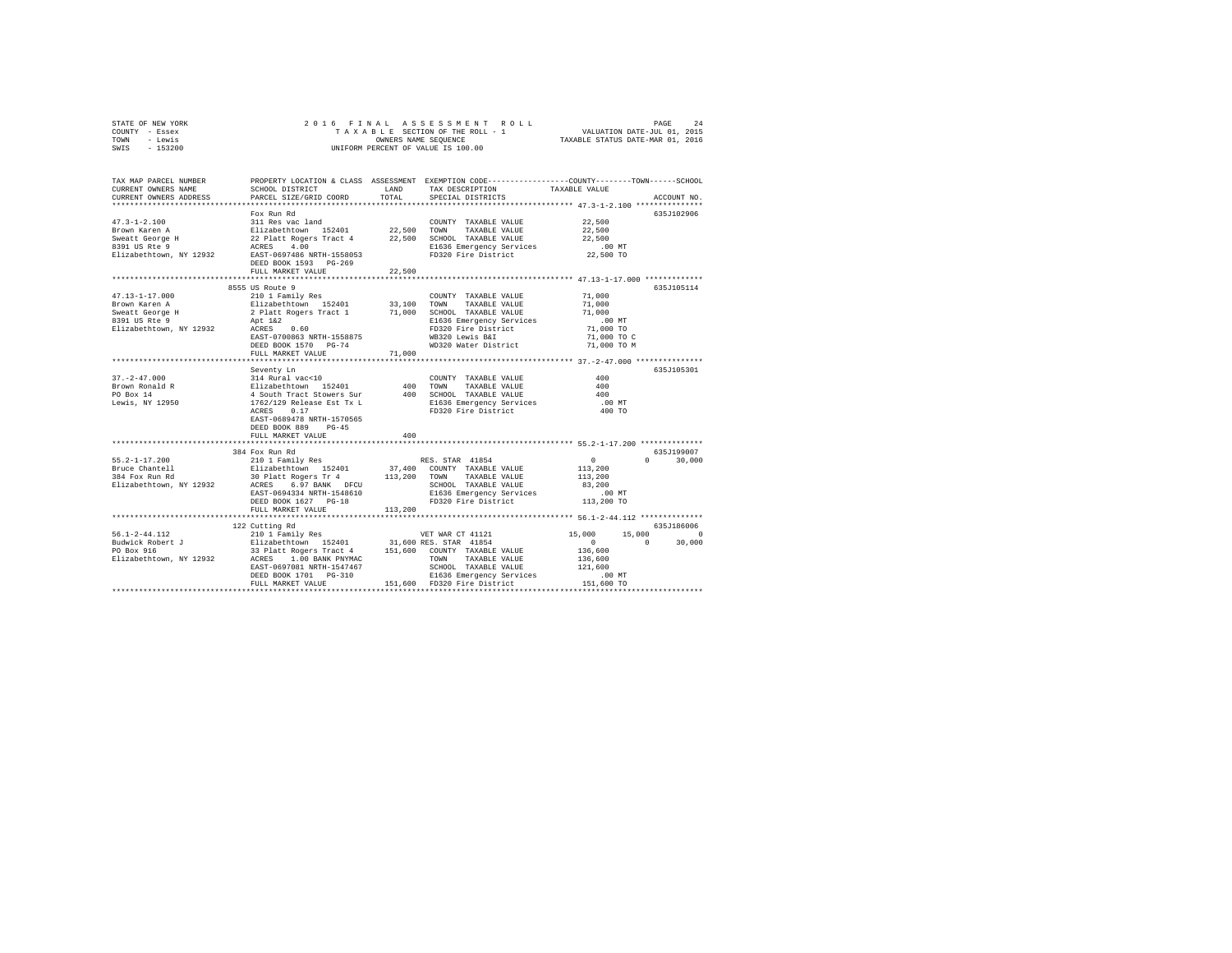| STATE OF NEW YORK | 2016 FINAL ASSESSMENT ROLL         | 2.4<br>PAGE                      |
|-------------------|------------------------------------|----------------------------------|
| COUNTY - Essex    | TAXABLE SECTION OF THE ROLL - 1    | VALUATION DATE-JUL 01, 2015      |
| TOWN<br>- Lewis   | OWNERS NAME SEOUENCE               | TAXABLE STATUS DATE-MAR 01, 2016 |
| $-153200$<br>SWIS | UNIFORM PERCENT OF VALUE IS 100.00 |                                  |

| TAX MAP PARCEL NUMBER<br>CURRENT OWNERS NAME<br>CURRENT OWNERS ADDRESS | SCHOOL DISTRICT<br>PARCEL SIZE/GRID COORD                                                                                                                                                                                                                                          | TOTAL   | PROPERTY LOCATION & CLASS ASSESSMENT EXEMPTION CODE----------------COUNTY-------TOWN-----SCHOOL<br>LAND TAX DESCRIPTION<br>SPECIAL DISTRICTS | TAXABLE VALUE                                               | ACCOUNT NO.                     |
|------------------------------------------------------------------------|------------------------------------------------------------------------------------------------------------------------------------------------------------------------------------------------------------------------------------------------------------------------------------|---------|----------------------------------------------------------------------------------------------------------------------------------------------|-------------------------------------------------------------|---------------------------------|
|                                                                        | Fox Run Rd                                                                                                                                                                                                                                                                         |         | COUNTY TAXABLE VALUE 42.500<br>E1636 Emergency Services<br>FD320 Fire District 22,500 TO                                                     | 22,500<br>22,500<br>$.00$ MT                                | 635J102906                      |
|                                                                        | FULL MARKET VALUE<br>**************************                                                                                                                                                                                                                                    | 22,500  |                                                                                                                                              |                                                             |                                 |
|                                                                        | EAST-0700863 NRTH-1558875<br>DEED BOOK 1570 PG-74<br>FULL MARKET VALUE                                                                                                                                                                                                             | 71,000  | E1636 Emergency Services<br>FD320 Fire District<br>WB320 Lewis B&I 71,000 TO C<br>WD320 Water District 71,000 TO M                           | 71,000<br>71,000<br>71,000<br>$.00$ MT<br>71,000 TO         | 635J105114                      |
| $37. - 2 - 47.000$<br>Brown Ronald R<br>PO Box 14<br>Lewis, NY 12950   | Seventy Ln<br>COUNTY TAXABLE VALUE<br>2114 Rural vac<10<br>214 Rural vac<10<br>400 TOMN TAXABLE VALUE<br>4 South Tract Stowers Sur<br>1762/129 Release Est Tx L<br>21636 Emergency Services<br>ACRES 0.17<br>EAST-0689478 NRTH-1570565<br>DEED BOOK 889 PG-45<br>FULL MARKET VALUE | 400     | FD320 Fire District                                                                                                                          | 400<br>400<br>400<br>.00MT<br>400 TO                        | 635J105301                      |
| Elizabethtown, NY 12932                                                | 384 Fox Run Rd<br>ACRES 6.97 BANK DFCU<br>EAST-0694334 NRTH-1548610<br>DEED BOOK 1627 PG-18<br>FULL MARKET VALUE                                                                                                                                                                   | 113,200 | SCHOOL TAXABLE VALUE 183,200<br>E1636 Emergency Services 183,200<br>FD320 Fire District 113,200 TO                                           | $\sim$ 0                                                    | 635J199007<br>$0 \t 30,000$     |
|                                                                        | 122 Cutting Rd                                                                                                                                                                                                                                                                     |         | TOWN TAXABLE VALUE                                                                                                                           | 15,000 15,000<br>$\sim$ 0<br>$\sim$ 0<br>136,600<br>136,600 | 635J186006<br>$\circ$<br>30,000 |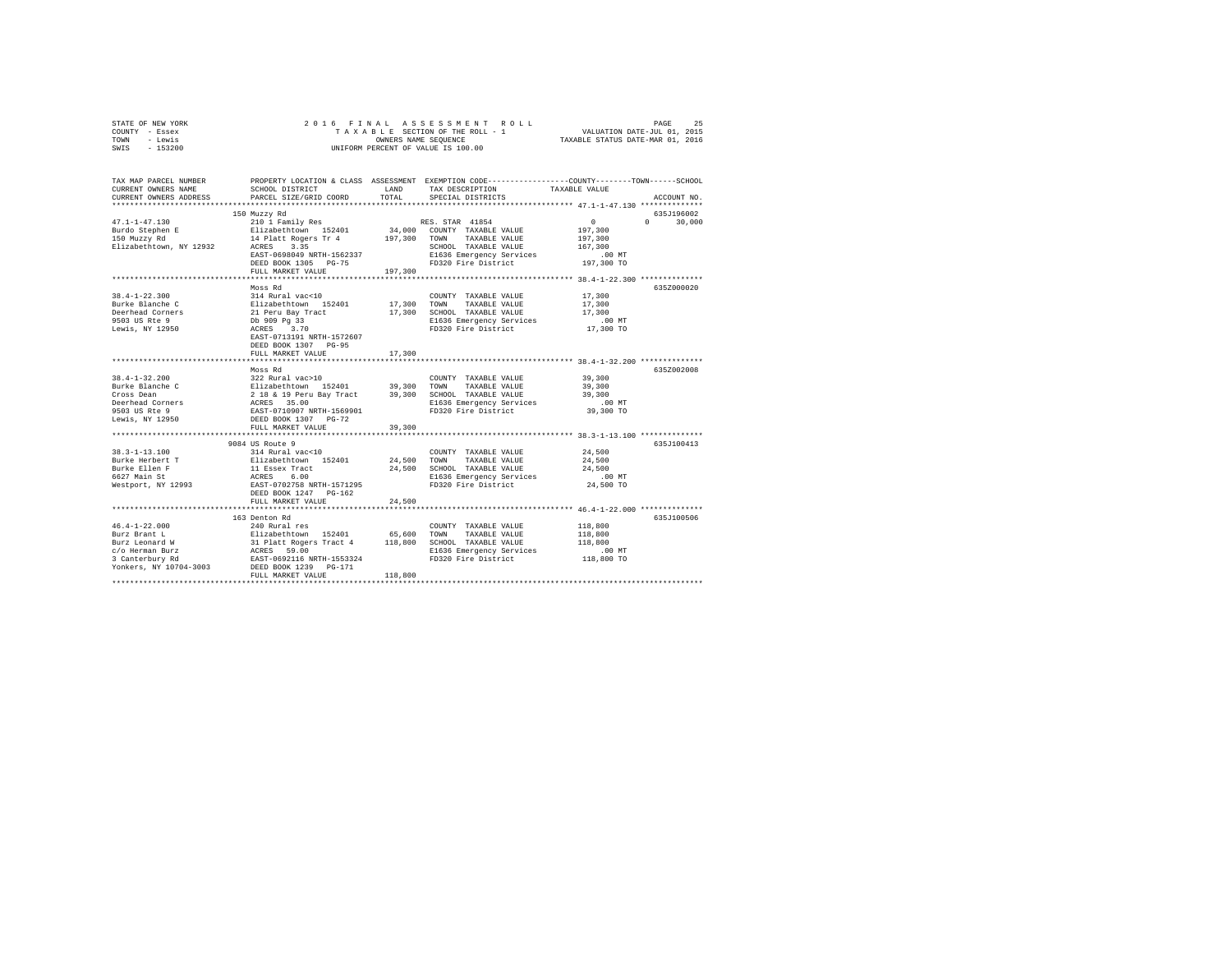|                | STATE OF NEW YORK |  |  |  |  |                                    |  | 2016 FINAL ASSESSMENT ROLL |                                  | PAGE | 25 |
|----------------|-------------------|--|--|--|--|------------------------------------|--|----------------------------|----------------------------------|------|----|
| COUNTY - Essex |                   |  |  |  |  | TAXABLE SECTION OF THE ROLL - 1    |  |                            | VALUATION DATE-JUL 01, 2015      |      |    |
| TOWN           | - Lewis           |  |  |  |  | OWNERS NAME SEOUENCE               |  |                            | TAXABLE STATUS DATE-MAR 01, 2016 |      |    |
| SWIS           | - 153200          |  |  |  |  | UNIFORM PERCENT OF VALUE IS 100.00 |  |                            |                                  |      |    |

| TAX MAP PARCEL NUMBER                               |                           |         | PROPERTY LOCATION & CLASS ASSESSMENT EXEMPTION CODE---------------COUNTY-------TOWN-----SCHOOL |                                              |                    |
|-----------------------------------------------------|---------------------------|---------|------------------------------------------------------------------------------------------------|----------------------------------------------|--------------------|
| CURRENT OWNERS NAME                                 | SCHOOL DISTRICT           | LAND    | TAX DESCRIPTION                                                                                | TAXABLE VALUE                                |                    |
| CURRENT OWNERS ADDRESS                              | PARCEL SIZE/GRID COORD    |         | TOTAL SPECIAL DISTRICTS                                                                        |                                              | ACCOUNT NO.        |
|                                                     |                           |         |                                                                                                |                                              |                    |
|                                                     | 150 Muzzy Rd              |         |                                                                                                |                                              | 635J196002         |
| $47.1 - 1 - 47.130$                                 |                           |         |                                                                                                | $\sim$ 0                                     | $\Omega$<br>30,000 |
|                                                     |                           |         |                                                                                                | 197,300                                      |                    |
| 47.1-1-47.1.1.<br>Burdo Stephen E<br>-- ******** Rd |                           |         |                                                                                                | 197,300                                      |                    |
| Elizabethtown, NY 12932                             |                           |         |                                                                                                | 167,300                                      |                    |
|                                                     | EAST-0698049 NRTH-1562337 |         | E1636 Emergency Services                                                                       | .00 MT                                       |                    |
|                                                     | DEED BOOK 1305 PG-75      |         | FD320 Fire District                                                                            | 197,300 TO                                   |                    |
|                                                     | FULL MARKET VALUE         | 197,300 |                                                                                                |                                              |                    |
|                                                     |                           |         | **********************************                                                             | **************** 38.4-1-22.300 ************* |                    |
|                                                     | Moss Rd                   |         |                                                                                                |                                              | 635Z000020         |
| $38.4 - 1 - 22.300$                                 | 314 Rural vac<10          |         | COUNTY TAXABLE VALUE                                                                           | 17,300                                       |                    |
| Burke Blanche C                                     |                           |         | TAXABLE VALUE                                                                                  | 17,300                                       |                    |
| Deerhead Corners                                    |                           |         | 17,300 SCHOOL TAXABLE VALUE                                                                    | 17,300                                       |                    |
| 9503 US Rte 9                                       |                           |         | E1636 Emergency Services<br>FD320 Fire District 17,300 TO                                      |                                              |                    |
| Lewis, NY 12950                                     |                           |         |                                                                                                |                                              |                    |
|                                                     | EAST-0713191 NRTH-1572607 |         |                                                                                                |                                              |                    |
|                                                     | DEED BOOK 1307 PG-95      |         |                                                                                                |                                              |                    |
|                                                     | FULL MARKET VALUE         | 17,300  |                                                                                                |                                              |                    |
|                                                     | ************************  |         |                                                                                                | **************** 38.4-1-32.200 ************* |                    |
|                                                     | Moss Rd                   |         |                                                                                                |                                              | 635Z002008         |
|                                                     |                           |         |                                                                                                | 39,300                                       |                    |
|                                                     |                           |         |                                                                                                |                                              |                    |
|                                                     |                           |         |                                                                                                |                                              |                    |
|                                                     |                           |         | E1636 Emergency Services .00 MT<br>FD320 Fire District 39,300 TO                               |                                              |                    |
|                                                     |                           |         |                                                                                                |                                              |                    |
| Lewis, NY 12950                                     | DEED BOOK 1307 PG-72      |         |                                                                                                |                                              |                    |
|                                                     | FULL MARKET VALUE         | 39,300  |                                                                                                |                                              |                    |
|                                                     | **********************    |         |                                                                                                | ************ 38.3-1-13.100 ************      |                    |
|                                                     | 9084 US Route 9           |         |                                                                                                |                                              | 635J100413         |
|                                                     |                           |         |                                                                                                |                                              |                    |
|                                                     |                           |         |                                                                                                |                                              |                    |
|                                                     |                           |         |                                                                                                |                                              |                    |
|                                                     |                           |         |                                                                                                |                                              |                    |
|                                                     |                           |         |                                                                                                |                                              |                    |
|                                                     | DEED BOOK 1247 PG-162     |         |                                                                                                |                                              |                    |
|                                                     | FULL MARKET VALUE         | 24,500  |                                                                                                |                                              |                    |
|                                                     |                           |         |                                                                                                |                                              |                    |
|                                                     | 163 Denton Rd             |         |                                                                                                |                                              | 635J100506         |
|                                                     |                           |         |                                                                                                | 118,800                                      |                    |
|                                                     |                           |         | TAXABLE VALUE                                                                                  | 118,800                                      |                    |
|                                                     |                           |         |                                                                                                | 118,800                                      |                    |
|                                                     |                           |         | E1636 Emergency Services                                                                       | 00 MT.<br>118,800 TO                         |                    |
|                                                     |                           |         | FD320 Fire District                                                                            |                                              |                    |
|                                                     |                           |         |                                                                                                |                                              |                    |
|                                                     | FULL MARKET VALUE         | 118,800 |                                                                                                |                                              |                    |
|                                                     |                           |         |                                                                                                |                                              |                    |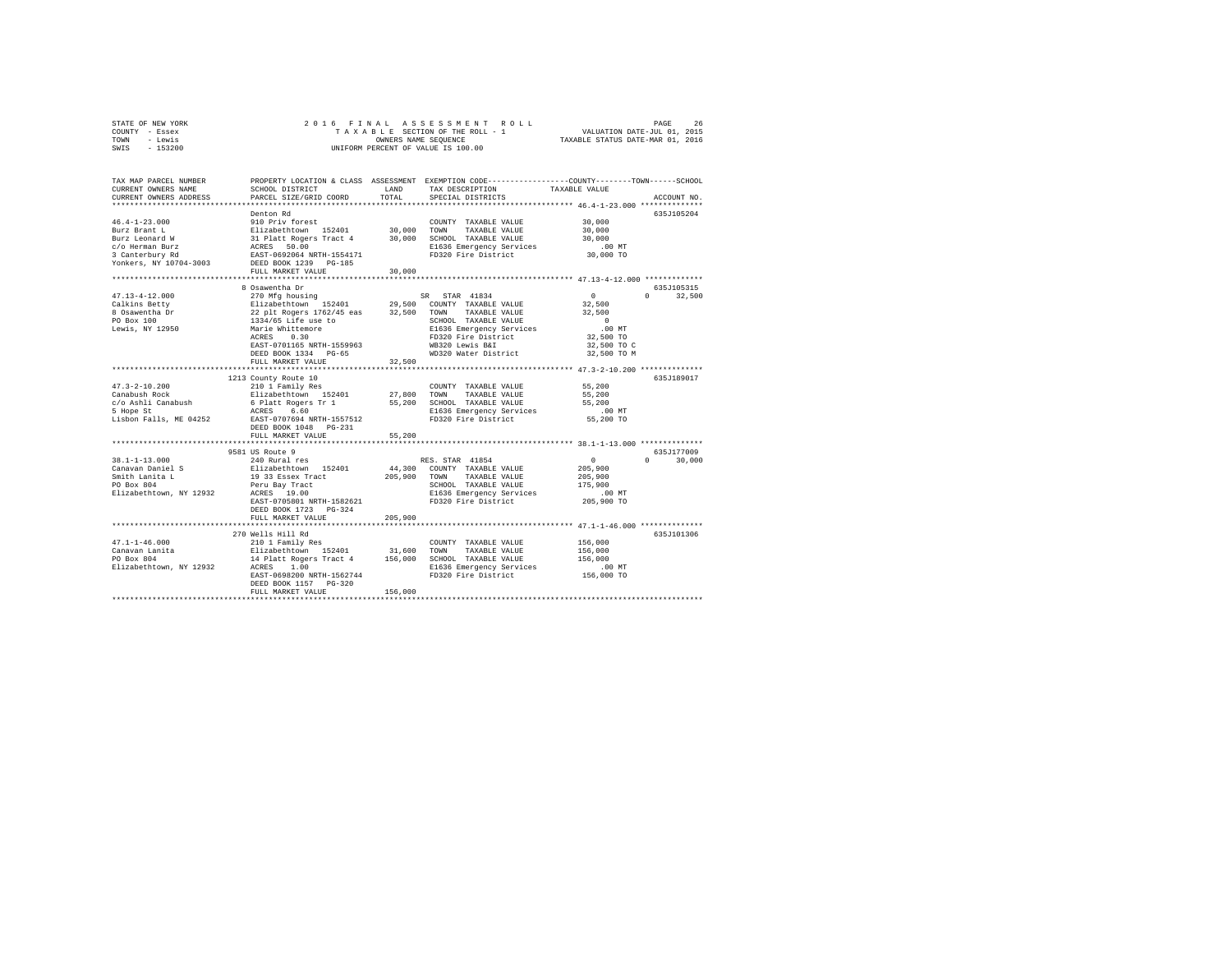| STATE OF NEW YORK | 2016 FINAL ASSESSMENT ROLL         | 26<br>PAGE                       |
|-------------------|------------------------------------|----------------------------------|
| COUNTY - Essex    | TAXABLE SECTION OF THE ROLL - 1    | VALUATION DATE-JUL 01, 2015      |
| TOWN<br>- Lewis   | OWNERS NAME SEOUENCE               | TAXABLE STATUS DATE-MAR 01, 2016 |
| $-153200$<br>SWIS | UNIFORM PERCENT OF VALUE IS 100.00 |                                  |

| TAX MAP PARCEL NUMBER<br>CURRENT OWNERS NAME<br>CURRENT OWNERS ADDRESS | SCHOOL DISTRICT<br>PARCEL SIZE/GRID COORD                                                            | LAND<br>TOTAL. | PROPERTY LOCATION & CLASS ASSESSMENT EXEMPTION CODE---------------COUNTY-------TOWN-----SCHOOL<br>TAX DESCRIPTION<br>SPECIAL DISTRICTS | TAXABLE VALUE                                                   | ACCOUNT NO. |
|------------------------------------------------------------------------|------------------------------------------------------------------------------------------------------|----------------|----------------------------------------------------------------------------------------------------------------------------------------|-----------------------------------------------------------------|-------------|
|                                                                        |                                                                                                      |                |                                                                                                                                        |                                                                 |             |
|                                                                        | Denton Rd                                                                                            |                |                                                                                                                                        |                                                                 | 635J105204  |
| $46.4 - 1 - 23.000$                                                    | 910 Priv forest                                                                                      |                | COUNTY TAXABLE VALUE                                                                                                                   | 30,000                                                          |             |
| Burz Brant L                                                           | Elizabethtown 152401                                                                                 |                | 30,000 TOWN<br>TAXABLE VALUE                                                                                                           | 30,000                                                          |             |
| Burz Leonard W                                                         | 11 Platt Rogers Tract 4 30,000 SCHOOL TAXABLE VALUE<br>ACRES 50.00 RAKER SERIES ACRES                |                |                                                                                                                                        | 30,000                                                          |             |
| c/o Herman Burz                                                        |                                                                                                      |                | E1636 Emergency Services                                                                                                               | $.00$ MT                                                        |             |
| 3 Canterbury Rd                                                        | EAST-0692064 NRTH-1554171<br>DEED BOOK 1239 - DO 105                                                 |                | FD320 Fire District                                                                                                                    | 30,000 TO                                                       |             |
| Yonkers, NY 10704-3003                                                 |                                                                                                      |                |                                                                                                                                        |                                                                 |             |
|                                                                        | FULL MARKET VALUE                                                                                    | 30,000         |                                                                                                                                        |                                                                 |             |
|                                                                        |                                                                                                      |                |                                                                                                                                        | ********************************* 47.13-4-12.000 ************** |             |
|                                                                        | 8 Osawentha Dr                                                                                       |                |                                                                                                                                        |                                                                 | 635J105315  |
| $47.13 - 4 - 12.000$                                                   | 270 Mfg housing                                                                                      |                | SR STAR 41834                                                                                                                          | $\Omega$<br>$\Omega$                                            | 32,500      |
| Calkins Betty                                                          | Elizabethtown 152401                                                                                 |                | 29,500 COUNTY TAXABLE VALUE                                                                                                            | 32,500                                                          |             |
| 8 Osawentha Dr                                                         | $22$ plt Rogers $1762/45$ eas $32,500$ TOWN TAXABLE VALUE $1334/65$ Life use to SCHOOL TAXABLE VALUE |                |                                                                                                                                        | 32,500                                                          |             |
| PO Box 100                                                             |                                                                                                      |                | SCHOOL TAXABLE VALUE                                                                                                                   | $\sim$ 0                                                        |             |
| Lewis, NY 12950                                                        | Marie Whittemore                                                                                     |                | E1636 Emergency Services                                                                                                               | $.00$ MT                                                        |             |
|                                                                        | ACRES<br>0.30                                                                                        |                | FD320 Fire District                                                                                                                    | 32,500 TO                                                       |             |
|                                                                        | EAST-0701165 NRTH-1559963                                                                            |                | WB320 Lewis B&I                                                                                                                        | 32,500 TO C                                                     |             |
|                                                                        | DEED BOOK 1334 PG-65                                                                                 |                | WD320 Water District                                                                                                                   | 32,500 TO M                                                     |             |
|                                                                        | FULL MARKET VALUE                                                                                    | 32,500         |                                                                                                                                        |                                                                 |             |
|                                                                        |                                                                                                      |                |                                                                                                                                        | ************************ 47.3-2-10.200 ***********              |             |
|                                                                        | 1213 County Route 10                                                                                 |                |                                                                                                                                        |                                                                 | 635J189017  |
| $47.3 - 2 - 10.200$                                                    | 210 1 Family Res                                                                                     |                | COUNTY TAXABLE VALUE                                                                                                                   | 55,200                                                          |             |
| Canabush Rock                                                          | Elizabethtown 152401                                                                                 | 27,800 TOWN    | TAXABLE VALUE                                                                                                                          | 55,200                                                          |             |
| c/o Ashli Canabush                                                     | 6 Platt Rogers Tr 1                                                                                  |                | 55,200 SCHOOL TAXABLE VALUE                                                                                                            | 55,200                                                          |             |
| 5 Hope St                                                              | ACRES 6.60                                                                                           |                | E1636 Emergency Services                                                                                                               | $.00$ MT                                                        |             |
| Lisbon Falls, ME 04252                                                 | EAST-0707694 NRTH-1557512                                                                            |                | FD320 Fire District                                                                                                                    | 55,200 TO                                                       |             |
|                                                                        | DEED BOOK 1048 PG-231                                                                                |                |                                                                                                                                        |                                                                 |             |
|                                                                        | FULL MARKET VALUE                                                                                    | 55,200         |                                                                                                                                        |                                                                 |             |
|                                                                        |                                                                                                      |                |                                                                                                                                        |                                                                 |             |
|                                                                        | 9581 US Route 9                                                                                      |                |                                                                                                                                        |                                                                 | 635J177009  |
| $38.1 - 1 - 13.000$                                                    | 240 Rural res                                                                                        |                | RES. STAR 41854                                                                                                                        | $\Omega$<br>$\Omega$                                            | 30,000      |
| Canavan Daniel S                                                       | Elizabethtown 152401                                                                                 | 44,300         | COUNTY TAXABLE VALUE                                                                                                                   | 205,900                                                         |             |
| Smith Lanita L                                                         | 19 33 Essex Tract                                                                                    |                | 205,900 TOWN<br>TAXABLE VALUE                                                                                                          | 205,900                                                         |             |
| PO Box 804                                                             | Peru Bay Tract                                                                                       |                | SCHOOL TAXABLE VALUE                                                                                                                   | 175,900                                                         |             |
| Elizabethtown, NY 12932                                                | ACRES 19.00                                                                                          |                | E1636 Emergency Services                                                                                                               | .00 MT                                                          |             |
|                                                                        | EAST-0705801 NRTH-1582621                                                                            |                | FD320 Fire District                                                                                                                    | 205,900 TO                                                      |             |
|                                                                        | DEED BOOK 1723 PG-324                                                                                |                |                                                                                                                                        |                                                                 |             |
|                                                                        | FULL MARKET VALUE                                                                                    | 205,900        |                                                                                                                                        |                                                                 |             |
|                                                                        | *************************                                                                            |                |                                                                                                                                        |                                                                 |             |
|                                                                        | 270 Wells Hill Rd                                                                                    |                |                                                                                                                                        |                                                                 | 635J101306  |
| $47.1 - 1 - 46.000$                                                    | 210 1 Family Res                                                                                     |                | COUNTY TAXABLE VALUE                                                                                                                   | 156,000                                                         |             |
| Canavan Lanita                                                         | Elizabethtown 152401                                                                                 | 31,600         | TOWN<br>TAXABLE VALUE                                                                                                                  | 156,000                                                         |             |
| PO Box 804                                                             | 14 Platt Rogers Tract 4 156,000 SCHOOL TAXABLE VALUE                                                 |                |                                                                                                                                        | 156,000                                                         |             |
| Elizabethtown, NY 12932                                                | ACRES<br>1.00                                                                                        |                | E1636 Emergency Services                                                                                                               | .00MT                                                           |             |
|                                                                        | EAST-0698200 NRTH-1562744                                                                            |                | FD320 Fire District                                                                                                                    | 156,000 TO                                                      |             |
|                                                                        | DEED BOOK 1157 PG-320                                                                                |                |                                                                                                                                        |                                                                 |             |
|                                                                        | FULL MARKET VALUE                                                                                    | 156,000        |                                                                                                                                        |                                                                 |             |
|                                                                        |                                                                                                      |                |                                                                                                                                        |                                                                 |             |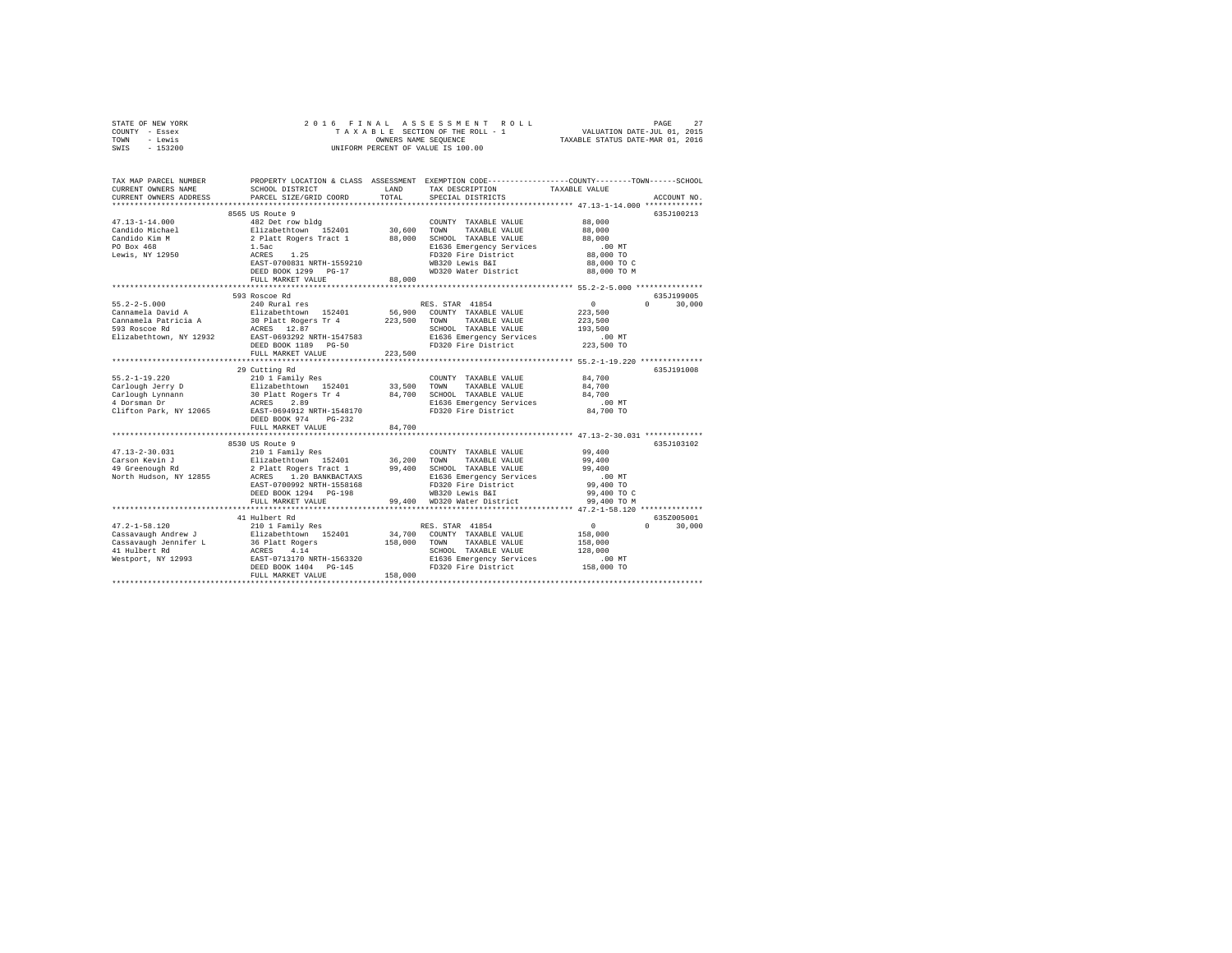| STATE OF NEW YORK                                            | 2016 FINAL<br>ASSESSMENT ROLL<br>PAGE<br>27                  |                                                                 |                                                                                                |               |                                 |  |  |  |
|--------------------------------------------------------------|--------------------------------------------------------------|-----------------------------------------------------------------|------------------------------------------------------------------------------------------------|---------------|---------------------------------|--|--|--|
| COUNTY - Essex                                               | TAXABLE SECTION OF THE ROLL - 1                              | VALUATION DATE-JUL 01, 2015<br>TAXABLE STATUS DATE-MAR 01, 2016 |                                                                                                |               |                                 |  |  |  |
| - Lewis<br>TOWN                                              |                                                              |                                                                 |                                                                                                |               |                                 |  |  |  |
| SWIS<br>$-153200$                                            | UNIFORM PERCENT OF VALUE IS 100.00                           |                                                                 |                                                                                                |               |                                 |  |  |  |
|                                                              |                                                              |                                                                 |                                                                                                |               |                                 |  |  |  |
|                                                              |                                                              |                                                                 |                                                                                                |               |                                 |  |  |  |
|                                                              |                                                              |                                                                 |                                                                                                |               |                                 |  |  |  |
| TAX MAP PARCEL NUMBER                                        |                                                              |                                                                 | PROPERTY LOCATION & CLASS ASSESSMENT EXEMPTION CODE---------------COUNTY-------TOWN-----SCHOOL |               |                                 |  |  |  |
| CURRENT OWNERS NAME                                          | SCHOOL DISTRICT                                              | LAND                                                            | TAX DESCRIPTION                                                                                | TAXABLE VALUE |                                 |  |  |  |
| CURRENT OWNERS ADDRESS                                       | PARCEL SIZE/GRID COORD                                       | TOTAL                                                           | SPECIAL DISTRICTS                                                                              |               | ACCOUNT NO.                     |  |  |  |
|                                                              |                                                              |                                                                 |                                                                                                |               |                                 |  |  |  |
|                                                              | 8565 US Route 9                                              |                                                                 |                                                                                                |               | 635J100213                      |  |  |  |
| $47.13 - 1 - 14.000$                                         | 482 Det row bldg                                             |                                                                 | COUNTY TAXABLE VALUE                                                                           | 88,000        |                                 |  |  |  |
| Candido Michael                                              |                                                              |                                                                 | TOWN<br>TAXABLE VALUE                                                                          | 88,000        |                                 |  |  |  |
|                                                              | Elizabethtown 152401 30,600<br>2 Platt Rogers Tract 1 88,000 | 30,600                                                          |                                                                                                |               |                                 |  |  |  |
| Candido Kim M                                                |                                                              |                                                                 | SCHOOL TAXABLE VALUE                                                                           | 88,000        |                                 |  |  |  |
| PO Box 468<br>Lewis, NY 12950                                | 1.5ac<br>ACRES 1.25<br>EAST-0700831 NRTH-1559210             |                                                                 | E1636 Emergency Services                                                                       | .00MT         |                                 |  |  |  |
|                                                              |                                                              |                                                                 | FD320 Fire District                                                                            | 88,000 TO     |                                 |  |  |  |
|                                                              |                                                              |                                                                 | WB320 Lewis B&I                                                                                | 88,000 TO C   |                                 |  |  |  |
|                                                              | DEED BOOK 1299 PG-17                                         |                                                                 | WD320 Water District                                                                           | 88,000 TO M   |                                 |  |  |  |
|                                                              | FULL MARKET VALUE                                            | 88,000                                                          |                                                                                                |               |                                 |  |  |  |
|                                                              |                                                              |                                                                 |                                                                                                |               |                                 |  |  |  |
|                                                              | 593 Roscoe Rd                                                |                                                                 |                                                                                                |               | 635J199005                      |  |  |  |
| $55.2 - 2 - 5.000$                                           | 240 Rural res                                                |                                                                 | RES. STAR 41854                                                                                | 0             | 30,000<br>$\Omega$ and $\Omega$ |  |  |  |
| Cannamela David A                                            | Elizabethtown 152401                                         |                                                                 | 56,900 COUNTY TAXABLE VALUE                                                                    | 223,500       |                                 |  |  |  |
|                                                              |                                                              |                                                                 |                                                                                                |               |                                 |  |  |  |
| Cannamela Patricia A                                         | 30 Platt Rogers Tr 4 223,500 TOWN                            |                                                                 | TAXABLE VALUE                                                                                  | 223,500       |                                 |  |  |  |
| 593 Roscoe Rd                                                | ACRES 12.87                                                  |                                                                 | SCHOOL TAXABLE VALUE                                                                           | 193,500       |                                 |  |  |  |
| Elizabethtown, NY 12932                                      | EAST-0693292 NRTH-1547583                                    |                                                                 | E1636 Emergency Services                                                                       | .00 MT        |                                 |  |  |  |
|                                                              | DEED BOOK 1189 PG-50                                         |                                                                 | FD320 Fire District                                                                            | 223,500 TO    |                                 |  |  |  |
|                                                              | FULL MARKET VALUE                                            | 223,500                                                         |                                                                                                |               |                                 |  |  |  |
|                                                              |                                                              |                                                                 |                                                                                                |               |                                 |  |  |  |
|                                                              | 29 Cutting Rd                                                |                                                                 |                                                                                                |               | 635J191008                      |  |  |  |
| $55.2 - 1 - 19.220$                                          | 210 1 Family Res                                             |                                                                 | COUNTY TAXABLE VALUE                                                                           | 84,700        |                                 |  |  |  |
| Carlough Jerry D                                             | Elizabethtown 152401                                         | 33,500                                                          | TAXABLE VALUE<br>TOWN                                                                          | 84,700        |                                 |  |  |  |
|                                                              | 30 Platt Rogers Tr 4                                         |                                                                 | 84,700 SCHOOL TAXABLE VALUE                                                                    | 84,700        |                                 |  |  |  |
| Carlough Lynnann<br>4 Dorsman Dr                             | ACRES 2.89                                                   |                                                                 | E1636 Emergency Services                                                                       | $.00$ MT      |                                 |  |  |  |
| Clifton Park, NY 12065                                       | EAST-0694912 NRTH-1548170                                    |                                                                 | FD320 Fire District                                                                            | 84,700 TO     |                                 |  |  |  |
|                                                              | DEED BOOK 974 PG-232                                         |                                                                 |                                                                                                |               |                                 |  |  |  |
|                                                              |                                                              |                                                                 |                                                                                                |               |                                 |  |  |  |
|                                                              | FULL MARKET VALUE                                            | 84,700                                                          |                                                                                                |               |                                 |  |  |  |
|                                                              |                                                              |                                                                 |                                                                                                |               |                                 |  |  |  |
|                                                              | 8530 US Route 9                                              |                                                                 |                                                                                                |               | 635J103102                      |  |  |  |
| $47.13 - 2 - 30.031$                                         | 210 1 Family Res                                             |                                                                 | COUNTY TAXABLE VALUE                                                                           | 99,400        |                                 |  |  |  |
| Carson Kevin J                                               | Elizabethtown 152401                                         | 36,200                                                          | TOWN<br>TAXABLE VALUE                                                                          | 99,400        |                                 |  |  |  |
| 49 Greenough Rd                                              |                                                              |                                                                 | 99,400 SCHOOL TAXABLE VALUE                                                                    | 99,400        |                                 |  |  |  |
| North Hudson, NY 12855                                       |                                                              |                                                                 | E1636 Emergency Services                                                                       | $.00$ MT      |                                 |  |  |  |
|                                                              |                                                              |                                                                 | FD320 Fire District                                                                            | 99,400 TO     |                                 |  |  |  |
|                                                              | DEED BOOK 1294 PG-198                                        |                                                                 | WB320 Lewis B&I                                                                                | 99,400 TO C   |                                 |  |  |  |
|                                                              | FULL MARKET VALUE                                            |                                                                 | 99,400 WD320 Water District                                                                    | 99,400 TO M   |                                 |  |  |  |
|                                                              |                                                              |                                                                 |                                                                                                |               |                                 |  |  |  |
|                                                              | 41 Hulbert Rd                                                |                                                                 |                                                                                                |               | 635Z005001                      |  |  |  |
|                                                              |                                                              |                                                                 |                                                                                                |               |                                 |  |  |  |
| $47.2 - 1 - 58.120$                                          | 210 1 Family Res                                             |                                                                 | RES. STAR 41854                                                                                | $\sim$ 0      | $0 \t 30.000$                   |  |  |  |
| Cassavaugh Andrew J                                          | Elizabethtown 152401                                         |                                                                 | 34.700 COUNTY TAXABLE VALUE                                                                    | 158,000       |                                 |  |  |  |
|                                                              | 36 Platt Rogers                                              | 158,000                                                         | TOWN TAXABLE VALUE                                                                             | 158,000       |                                 |  |  |  |
|                                                              | ACRES 4.14                                                   |                                                                 | SCHOOL TAXABLE VALUE                                                                           | 128,000       |                                 |  |  |  |
| Cassavaugh Jennifer L<br>41 Hulbert Rd<br>Westport, NY 12993 | EAST-0713170 NRTH-1563320                                    |                                                                 | E1636 Emergency Services                                                                       | $.00$ MT      |                                 |  |  |  |
|                                                              | DEED BOOK 1404 PG-145                                        |                                                                 | FD320 Fire District                                                                            | 158,000 TO    |                                 |  |  |  |
|                                                              | FULL MARKET VALUE                                            | 158,000                                                         |                                                                                                |               |                                 |  |  |  |
|                                                              |                                                              |                                                                 |                                                                                                |               |                                 |  |  |  |
|                                                              |                                                              |                                                                 |                                                                                                |               |                                 |  |  |  |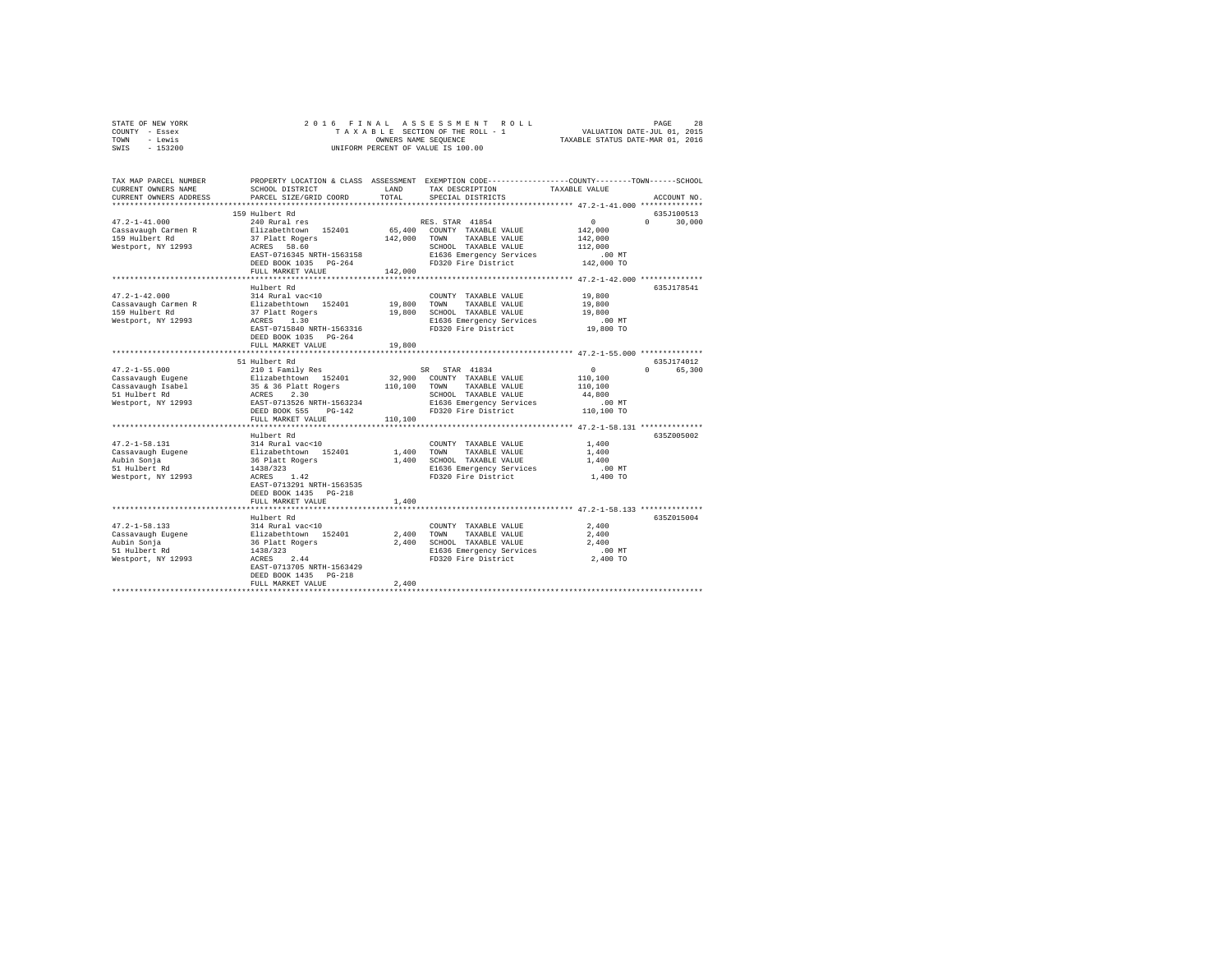| STATE OF NEW YORK<br>COUNTY - Essex<br>TOWN - Lewis<br>$-153200$<br>SWIS                                                                     | 2016 FINAL                                                                                            | UNIFORM PERCENT OF VALUE IS 100.00 | PAGE 28 בESSMENT ROLL PAGE 28 בESSMENT ROLL<br>TAXABLE SECTION OF THE ROLL - 1 VALUATION DATE-JUL 01, 2015<br>OWNERS NAME SEQUENCE TAXABLE STATUS DATE-MAR 01, 2016 |                      |                            |  |
|----------------------------------------------------------------------------------------------------------------------------------------------|-------------------------------------------------------------------------------------------------------|------------------------------------|---------------------------------------------------------------------------------------------------------------------------------------------------------------------|----------------------|----------------------------|--|
| TAX MAP PARCEL NUMBER PROPERTY LOCATION & CLASS ASSESSMENT EXEMPTION CODE---------------COUNTY-------TOWN------SCHOOL<br>CURRENT OWNERS NAME | SCHOOL DISTRICT LAND                                                                                  |                                    | TAX DESCRIPTION                                                                                                                                                     | TAXABLE VALUE        |                            |  |
| CURRENT OWNERS ADDRESS                                                                                                                       | PARCEL SIZE/GRID COORD                                                                                | TOTAL                              | SPECIAL DISTRICTS                                                                                                                                                   |                      | ACCOUNT NO.                |  |
|                                                                                                                                              |                                                                                                       |                                    |                                                                                                                                                                     |                      |                            |  |
|                                                                                                                                              | 159 Hulbert Rd                                                                                        |                                    |                                                                                                                                                                     | $\mathbf{0}$         | 635J100513<br>$\mathsf{n}$ |  |
| $47.2 - 1 - 41.000$<br>Cassavaugh Carmen R                                                                                                   | 240 Rural res<br>Elizabethtown 152401                                                                 |                                    | RES. STAR 41854<br>65,400 COUNTY TAXABLE VALUE                                                                                                                      | 142,000              | 30,000                     |  |
| 159 Hulbert Rd                                                                                                                               |                                                                                                       |                                    | 142,000 TOWN TAXABLE VALUE                                                                                                                                          | 142,000              |                            |  |
| Westport, NY 12993                                                                                                                           | 37 Platt Rogers<br>ACRES 58.60                                                                        |                                    | SCHOOL TAXABLE VALUE                                                                                                                                                | 112,000              |                            |  |
|                                                                                                                                              |                                                                                                       |                                    | EAST-0716345 NRTH-1563158<br>DEED BOOK 1035 PG-264 PD320 Fire District                                                                                              | $.00$ MT             |                            |  |
|                                                                                                                                              |                                                                                                       |                                    |                                                                                                                                                                     | 142,000 TO           |                            |  |
|                                                                                                                                              | FULL MARKET VALUE                                                                                     | 142,000                            |                                                                                                                                                                     |                      |                            |  |
|                                                                                                                                              | Hulbert Rd                                                                                            |                                    |                                                                                                                                                                     |                      | 635J178541                 |  |
| $47.2 - 1 - 42.000$                                                                                                                          | 314 Rural vac<10                                                                                      |                                    | COUNTY TAXABLE VALUE                                                                                                                                                | 19,800               |                            |  |
| Cassavaugh Carmen R                                                                                                                          | Elizabethtown 152401                                                                                  |                                    | 19,800 TOWN TAXABLE VALUE                                                                                                                                           | 19,800               |                            |  |
| 159 Hulbert Rd                                                                                                                               |                                                                                                       |                                    | 19,800 SCHOOL TAXABLE VALUE                                                                                                                                         | 19,800               |                            |  |
| Westport, NY 12993                                                                                                                           | 37 Platt Rogers<br>ACRES 1.30                                                                         |                                    | E1636 Emergency Services                                                                                                                                            | 00 MT.<br>19,800 TO  |                            |  |
|                                                                                                                                              | EAST-0715840 NRTH-1563316                                                                             |                                    | FD320 Fire District                                                                                                                                                 |                      |                            |  |
|                                                                                                                                              | DEED BOOK 1035 PG-264                                                                                 |                                    |                                                                                                                                                                     |                      |                            |  |
|                                                                                                                                              | FULL MARKET VALUE<br>************************                                                         | 19,800                             | ******************************** 47.2-1-55.000 ***************                                                                                                      |                      |                            |  |
|                                                                                                                                              | 51 Hulbert Rd                                                                                         |                                    |                                                                                                                                                                     |                      | 635J174012                 |  |
| $47.2 - 1 - 55.000$                                                                                                                          | 210 1 Family Res                                                                                      |                                    | SR STAR 41834                                                                                                                                                       | $\Omega$             | 0 65,300                   |  |
|                                                                                                                                              |                                                                                                       |                                    | 32,900 COUNTY TAXABLE VALUE                                                                                                                                         | 110,100              |                            |  |
|                                                                                                                                              |                                                                                                       |                                    | 110,100 TOWN TAXABLE VALUE                                                                                                                                          | 110,100              |                            |  |
|                                                                                                                                              |                                                                                                       |                                    |                                                                                                                                                                     | 44,800               |                            |  |
|                                                                                                                                              | DEED BOOK 555 PG-142                                                                                  |                                    |                                                                                                                                                                     | .00MT<br>110,100 TO  |                            |  |
|                                                                                                                                              | FULL MARKET VALUE                                                                                     | 110,100                            |                                                                                                                                                                     |                      |                            |  |
|                                                                                                                                              |                                                                                                       |                                    |                                                                                                                                                                     |                      |                            |  |
|                                                                                                                                              | Hulbert Rd                                                                                            |                                    |                                                                                                                                                                     |                      | 635Z005002                 |  |
| $47.2 - 1 - 58.131$                                                                                                                          | 314 Rural vac<10                                                                                      |                                    | COUNTY TAXABLE VALUE                                                                                                                                                | 1,400                |                            |  |
| Cassavaugh Eugene                                                                                                                            |                                                                                                       |                                    | 1,400 TOWN TAXABLE VALUE                                                                                                                                            | 1,400                |                            |  |
| Aubin Sonja                                                                                                                                  |                                                                                                       |                                    | 1,400 SCHOOL TAXABLE VALUE                                                                                                                                          | 1,400                |                            |  |
| 51 Hulbert Rd<br>Westport, NY 12993                                                                                                          | 314 Rural vac<10<br>Elizabethtown 152401<br>36 Platt Rogers<br>1438/323<br>ACRES 1.42                 |                                    | E1636 Emergency Services<br>FD320 Fire District                                                                                                                     | $.00$ MT<br>1,400 TO |                            |  |
|                                                                                                                                              | EAST-0713291 NRTH-1563535                                                                             |                                    |                                                                                                                                                                     |                      |                            |  |
|                                                                                                                                              | DEED BOOK 1435 PG-218                                                                                 |                                    |                                                                                                                                                                     |                      |                            |  |
|                                                                                                                                              | FULL MARKET VALUE                                                                                     | 1,400                              |                                                                                                                                                                     |                      |                            |  |
|                                                                                                                                              | ************************                                                                              |                                    | ********************************* 47.2-1-58.133 ***************                                                                                                     |                      |                            |  |
|                                                                                                                                              | Hulbert Rd                                                                                            |                                    |                                                                                                                                                                     |                      | 6352015004                 |  |
| 47.2-1-58.133                                                                                                                                | 314 Rural vac<10                                                                                      |                                    | COUNTY TAXABLE VALUE                                                                                                                                                | 2,400                |                            |  |
| Cassavaugh Eugene<br>Aubin Sonja<br>51 Hulbert Rd                                                                                            |                                                                                                       |                                    | 2,400 TOWN TAXABLE VALUE<br>2,400 SCHOOL TAXABLE VALUE                                                                                                              | 2,400<br>2,400       |                            |  |
|                                                                                                                                              |                                                                                                       |                                    |                                                                                                                                                                     | $.00$ MT             |                            |  |
| Westport, NY 12993                                                                                                                           | 311<br>Elizabethtown 152401<br>36 Platt Rogers<br>1438/323<br>ACRES 2.44<br>EAST-0713705 NRTH-1563429 |                                    | E1636 Emergency Services<br>FD320 Fire District                                                                                                                     | 2,400 TO             |                            |  |
|                                                                                                                                              |                                                                                                       |                                    |                                                                                                                                                                     |                      |                            |  |
|                                                                                                                                              | DEED BOOK 1435 PG-218                                                                                 |                                    |                                                                                                                                                                     |                      |                            |  |
|                                                                                                                                              | FULL MARKET VALUE                                                                                     | 2,400                              |                                                                                                                                                                     |                      |                            |  |
|                                                                                                                                              |                                                                                                       |                                    |                                                                                                                                                                     |                      |                            |  |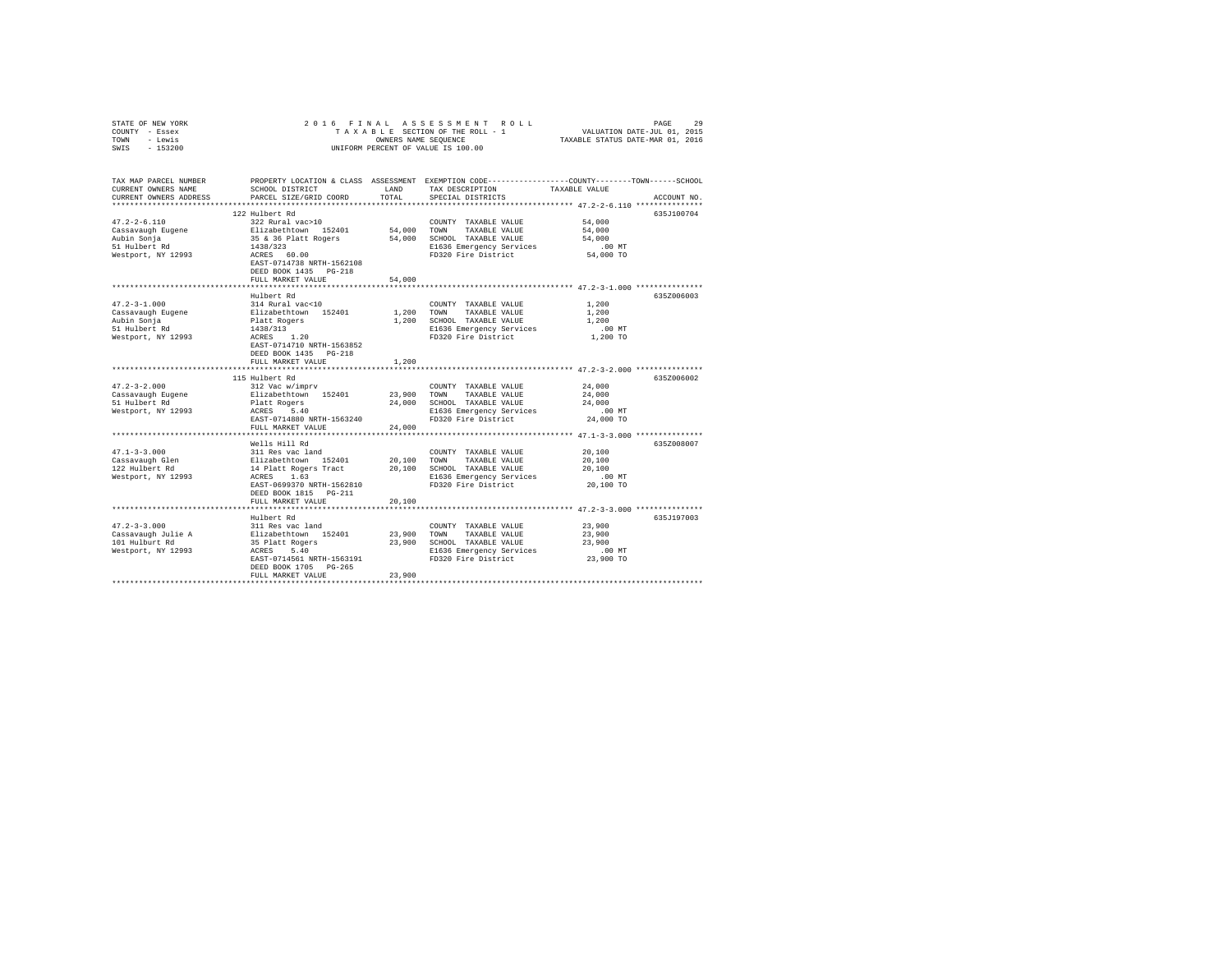| STATE OF NEW YORK      | 2016 FINAL                                                     |                                    | ASSESSMENT ROLL                                                                                |               | 29<br>PAGE  |  |  |  |  |
|------------------------|----------------------------------------------------------------|------------------------------------|------------------------------------------------------------------------------------------------|---------------|-------------|--|--|--|--|
| COUNTY - Essex         | TAXABLE SECTION OF THE ROLL - 1<br>VALUATION DATE-JUL 01, 2015 |                                    |                                                                                                |               |             |  |  |  |  |
| - Lewis<br>TOWN        | TAXABLE STATUS DATE-MAR 01, 2016<br>OWNERS NAME SEQUENCE       |                                    |                                                                                                |               |             |  |  |  |  |
| SWIS<br>$-153200$      |                                                                | UNIFORM PERCENT OF VALUE IS 100.00 |                                                                                                |               |             |  |  |  |  |
|                        |                                                                |                                    |                                                                                                |               |             |  |  |  |  |
|                        |                                                                |                                    |                                                                                                |               |             |  |  |  |  |
|                        |                                                                |                                    |                                                                                                |               |             |  |  |  |  |
| TAX MAP PARCEL NUMBER  |                                                                |                                    | PROPERTY LOCATION & CLASS ASSESSMENT EXEMPTION CODE---------------COUNTY-------TOWN-----SCHOOL |               |             |  |  |  |  |
| CURRENT OWNERS NAME    | SCHOOL DISTRICT                                                | LAND                               | TAX DESCRIPTION                                                                                | TAXABLE VALUE |             |  |  |  |  |
| CURRENT OWNERS ADDRESS | PARCEL SIZE/GRID COORD                                         | TOTAL                              | SPECIAL DISTRICTS                                                                              |               | ACCOUNT NO. |  |  |  |  |
|                        |                                                                |                                    |                                                                                                |               |             |  |  |  |  |
|                        | 122 Hulbert Rd                                                 |                                    |                                                                                                |               | 635J100704  |  |  |  |  |
| $47.2 - 2 - 6.110$     | 322 Rural vac>10                                               |                                    | COUNTY TAXABLE VALUE                                                                           | 54,000        |             |  |  |  |  |
| Cassavaugh Eugene      | Elizabethtown 152401                                           | 54,000                             | TOWN<br>TAXABLE VALUE                                                                          | 54,000        |             |  |  |  |  |
| Aubin Sonja            | 35 & 36 Platt Rogers                                           | 54,000                             | SCHOOL TAXABLE VALUE                                                                           | 54,000        |             |  |  |  |  |
| 51 Hulbert Rd          | 1438/323                                                       |                                    | E1636 Emergency Services                                                                       | .00MT         |             |  |  |  |  |
| Westport, NY 12993     | ACRES 60.00                                                    |                                    | FD320 Fire District                                                                            | 54,000 TO     |             |  |  |  |  |
|                        | EAST-0714738 NRTH-1562108                                      |                                    |                                                                                                |               |             |  |  |  |  |
|                        |                                                                |                                    |                                                                                                |               |             |  |  |  |  |
|                        | DEED BOOK 1435 PG-218                                          |                                    |                                                                                                |               |             |  |  |  |  |
|                        | FULL MARKET VALUE                                              | 54,000                             |                                                                                                |               |             |  |  |  |  |
|                        |                                                                |                                    | ********************************* 47.2-3-1.000 ****************                                |               |             |  |  |  |  |
|                        | Hulbert Rd                                                     |                                    |                                                                                                |               | 635Z006003  |  |  |  |  |
| $47.2 - 3 - 1.000$     | 314 Rural vac<10                                               |                                    | COUNTY TAXABLE VALUE                                                                           | 1,200         |             |  |  |  |  |
| Cassavaugh Eugene      | Elizabethtown 152401                                           | 1,200                              | TOWN<br>TAXABLE VALUE                                                                          | 1,200         |             |  |  |  |  |
| Aubin Sonja            | Platt Rogers                                                   | 1,200                              | SCHOOL TAXABLE VALUE                                                                           | 1,200         |             |  |  |  |  |
| 51 Hulbert Rd          | 1438/313                                                       |                                    | E1636 Emergency Services                                                                       | $.00$ MT      |             |  |  |  |  |
| Westport, NY 12993     | $ACRES$ 1.20                                                   |                                    | FD320 Fire District                                                                            | 1,200 TO      |             |  |  |  |  |
|                        | EAST-0714710 NRTH-1563852                                      |                                    |                                                                                                |               |             |  |  |  |  |
|                        | DEED BOOK 1435 PG-218                                          |                                    |                                                                                                |               |             |  |  |  |  |
|                        | FULL MARKET VALUE                                              | 1,200                              |                                                                                                |               |             |  |  |  |  |
|                        | ********************************                               |                                    | **************************** 47.2-3-2.000 **************                                       |               |             |  |  |  |  |
|                        | 115 Hulbert Rd                                                 |                                    |                                                                                                |               | 635Z006002  |  |  |  |  |
| $47.2 - 3 - 2.000$     | 312 Vac w/imprv                                                |                                    | COUNTY TAXABLE VALUE                                                                           | 24,000        |             |  |  |  |  |
| Cassavaugh Eugene      | Elizabethtown 152401                                           | 23,900                             | TOWN<br>TAXABLE VALUE                                                                          | 24,000        |             |  |  |  |  |
| 51 Hulbert Rd          | Platt Rogers                                                   | 24,000                             | SCHOOL TAXABLE VALUE                                                                           | 24,000        |             |  |  |  |  |
| Westport, NY 12993     | ACRES 5.40                                                     |                                    | E1636 Emergency Services                                                                       | .00MT         |             |  |  |  |  |
|                        | EAST-0714880 NRTH-1563240                                      |                                    | FD320 Fire District                                                                            | 24,000 TO     |             |  |  |  |  |
|                        | FULL MARKET VALUE                                              | 24,000                             |                                                                                                |               |             |  |  |  |  |
|                        |                                                                |                                    |                                                                                                |               |             |  |  |  |  |
|                        | Wells Hill Rd                                                  |                                    |                                                                                                |               | 635Z008007  |  |  |  |  |
|                        |                                                                |                                    |                                                                                                |               |             |  |  |  |  |
| $47.1 - 3 - 3.000$     | 311 Res vac land                                               |                                    | COUNTY TAXABLE VALUE                                                                           | 20,100        |             |  |  |  |  |
| Cassavaugh Glen        | Elizabethtown 152401                                           | 20,100                             | TOWN<br>TAXABLE VALUE                                                                          | 20,100        |             |  |  |  |  |
| 122 Hulbert Rd         | 14 Platt Rogers Tract                                          | 20,100                             | SCHOOL TAXABLE VALUE                                                                           | 20,100        |             |  |  |  |  |
| Westport, NY 12993     | ACRES 1.63                                                     |                                    | E1636 Emergency Services                                                                       | $.00$ MT      |             |  |  |  |  |
|                        | EAST-0699370 NRTH-1562810                                      |                                    | FD320 Fire District                                                                            | 20,100 TO     |             |  |  |  |  |
|                        | DEED BOOK 1815 PG-211                                          |                                    |                                                                                                |               |             |  |  |  |  |
|                        | FULL MARKET VALUE                                              | 20,100                             |                                                                                                |               |             |  |  |  |  |
|                        |                                                                |                                    |                                                                                                |               |             |  |  |  |  |
|                        | Hulbert Rd                                                     |                                    |                                                                                                |               | 635J197003  |  |  |  |  |
| $47.2 - 3 - 3.000$     | 311 Res vac land                                               |                                    | COUNTY TAXABLE VALUE                                                                           | 23,900        |             |  |  |  |  |
| Cassavaugh Julie A     | Elizabethtown 152401                                           | 23,900                             | TOWN<br>TAXABLE VALUE                                                                          | 23,900        |             |  |  |  |  |
| 101 Hulburt Rd         | 35 Platt Rogers                                                | 23,900                             | SCHOOL TAXABLE VALUE                                                                           | 23,900        |             |  |  |  |  |
| Westport, NY 12993     | ACRES 5.40                                                     |                                    | E1636 Emergency Services                                                                       | .00MT         |             |  |  |  |  |
|                        | EAST-0714561 NRTH-1563191                                      |                                    | FD320 Fire District                                                                            | 23,900 TO     |             |  |  |  |  |
|                        | DEED BOOK 1705 PG-265                                          |                                    |                                                                                                |               |             |  |  |  |  |
|                        | FULL MARKET VALUE                                              | 23,900                             |                                                                                                |               |             |  |  |  |  |
|                        |                                                                |                                    |                                                                                                |               |             |  |  |  |  |
|                        |                                                                |                                    |                                                                                                |               |             |  |  |  |  |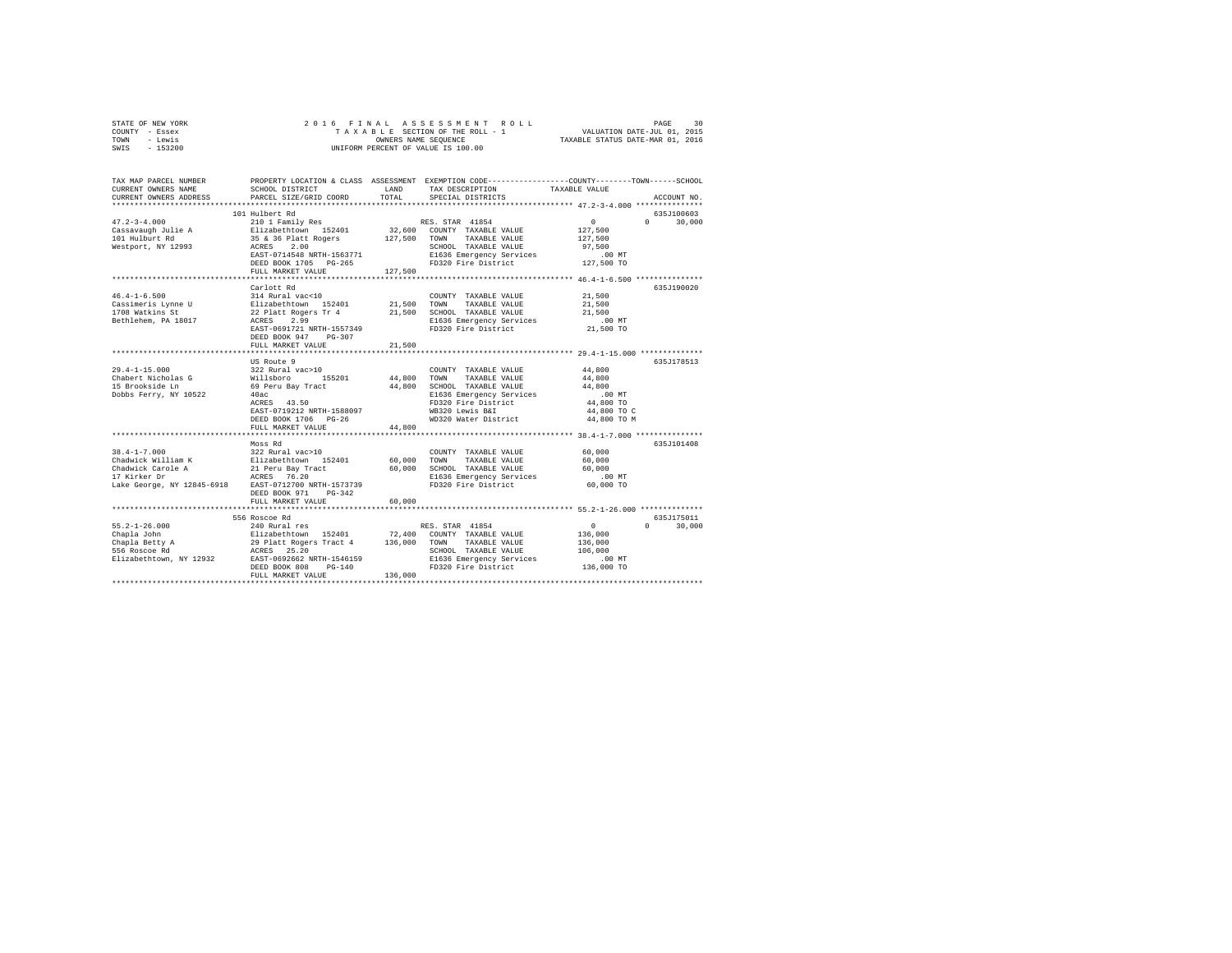| STATE OF NEW YORK<br>COUNTY - Essex<br>- Lewis<br>TOWN<br>SWIS<br>$-153200$ | 2016 FINAL                                         | OWNERS NAME SEQUENCE | ASSESSMENT ROLL<br>TAXABLE SECTION OF THE ROLL - 1<br>UNIFORM PERCENT OF VALUE IS 100.00        | VALUATION DATE-JUL 01, 2015<br>TAXABLE STATUS DATE-MAR 01, 2016 | 30<br>PAGE         |
|-----------------------------------------------------------------------------|----------------------------------------------------|----------------------|-------------------------------------------------------------------------------------------------|-----------------------------------------------------------------|--------------------|
| TAX MAP PARCEL NUMBER                                                       |                                                    |                      | PROPERTY LOCATION & CLASS ASSESSMENT EXEMPTION CODE---------------COUNTY-------TOWN------SCHOOL |                                                                 |                    |
| CURRENT OWNERS NAME                                                         | SCHOOL DISTRICT                                    | LAND                 | TAX DESCRIPTION                                                                                 | TAXABLE VALUE                                                   |                    |
| CURRENT OWNERS ADDRESS                                                      | PARCEL SIZE/GRID COORD                             | TOTAL                | SPECIAL DISTRICTS                                                                               |                                                                 | ACCOUNT NO.        |
|                                                                             | 101 Hulbert Rd                                     |                      |                                                                                                 |                                                                 | 635J100603         |
| $47.2 - 3 - 4.000$                                                          | 210 1 Family Res                                   |                      | RES. STAR 41854                                                                                 | $\circ$                                                         | $\Omega$<br>30,000 |
| Cassavaugh Julie A                                                          | Elizabethtown 152401                               |                      | 32,600 COUNTY TAXABLE VALUE                                                                     | 127,500                                                         |                    |
| 101 Hulburt Rd                                                              | 35 & 36 Platt Rogers                               | 127,500              | TOWN<br>TAXABLE VALUE                                                                           | 127,500                                                         |                    |
| Westport, NY 12993                                                          | ACRES<br>2.00                                      |                      | SCHOOL TAXABLE VALUE                                                                            | 97.500                                                          |                    |
|                                                                             | EAST-0714548 NRTH-1563771<br>DEED BOOK 1705 PG-265 |                      | E1636 Emergency Services<br>FD320 Fire District                                                 | $.00$ MT<br>127,500 TO                                          |                    |
|                                                                             | FULL MARKET VALUE                                  | 127,500              |                                                                                                 |                                                                 |                    |
|                                                                             | *********************                              |                      |                                                                                                 |                                                                 |                    |
|                                                                             | Carlott Rd                                         |                      |                                                                                                 |                                                                 | 635J190020         |
| $46.4 - 1 - 6.500$                                                          | 314 Rural vac<10                                   |                      | COUNTY TAXABLE VALUE                                                                            | 21,500                                                          |                    |
| Cassimeris Lynne U                                                          | Elizabethtown 152401                               | 21,500               | TOWN<br>TAXABLE VALUE                                                                           | 21,500                                                          |                    |
| 1708 Watkins St                                                             | 22 Platt Rogers Tr 4                               | 21,500               | SCHOOL TAXABLE VALUE                                                                            | 21,500                                                          |                    |
| Bethlehem, PA 18017                                                         | ACRES<br>2.99<br>EAST-0691721 NRTH-1557349         |                      | E1636 Emergency Services<br>FD320 Fire District                                                 | $.00$ MT<br>21,500 TO                                           |                    |
|                                                                             | DEED BOOK 947 PG-307                               |                      |                                                                                                 |                                                                 |                    |
|                                                                             | FULL MARKET VALUE                                  | 21,500               |                                                                                                 |                                                                 |                    |
|                                                                             |                                                    |                      |                                                                                                 |                                                                 |                    |
|                                                                             | US Route 9                                         |                      |                                                                                                 |                                                                 | 635J178513         |
| 29.4-1-15.000                                                               | 322 Rural vac>10                                   |                      | COUNTY TAXABLE VALUE                                                                            | 44,800                                                          |                    |
| Chabert Nicholas G<br>15 Brookside Ln                                       | 155201<br>Willsboro<br>69 Peru Bay Tract           | 44,800<br>44,800     | TOWN<br>TAXABLE VALUE<br>SCHOOL TAXABLE VALUE                                                   | 44,800<br>44,800                                                |                    |
| Dobbs Ferry, NY 10522                                                       | 40ac                                               |                      | E1636 Emergency Services                                                                        | $.00$ MT                                                        |                    |
|                                                                             | ACRES 43.50                                        |                      | FD320 Fire District                                                                             | 44,800 TO                                                       |                    |
|                                                                             | EAST-0719212 NRTH-1588097                          |                      | WB320 Lewis B&I                                                                                 | 44,800 TO C                                                     |                    |
|                                                                             | DEED BOOK 1706 PG-26                               |                      | WD320 Water District                                                                            | 44,800 TO M                                                     |                    |
|                                                                             | FULL MARKET VALUE                                  | 44,800               |                                                                                                 |                                                                 |                    |
|                                                                             | Moss Rd                                            |                      |                                                                                                 |                                                                 | 635J101408         |
| $38.4 - 1 - 7.000$                                                          | 322 Rural vac>10                                   |                      | COUNTY TAXABLE VALUE                                                                            | 60,000                                                          |                    |
| Chadwick William K                                                          | Elizabethtown 152401                               | 60,000               | TAXABLE VALUE<br>TOWN                                                                           | 60,000                                                          |                    |
| Chadwick Carole A                                                           | 21 Peru Bay Tract                                  | 60,000               | SCHOOL TAXABLE VALUE                                                                            | 60,000                                                          |                    |
| 17 Kirker Dr                                                                | ACRES 76.20                                        |                      | E1636 Emergency Services                                                                        | $.00$ MT                                                        |                    |
| Lake George, NY 12845-6918                                                  | EAST-0712700 NRTH-1573739                          |                      | FD320 Fire District                                                                             | 60,000 TO                                                       |                    |
|                                                                             | DEED BOOK 971 PG-342<br>FULL MARKET VALUE          | 60,000               |                                                                                                 |                                                                 |                    |
|                                                                             | ************************                           |                      |                                                                                                 |                                                                 |                    |
|                                                                             | 556 Roscoe Rd                                      |                      |                                                                                                 |                                                                 | 635J175011         |
| $55.2 - 1 - 26.000$                                                         | 240 Rural res                                      |                      | RES. STAR 41854                                                                                 | 0                                                               | $\cap$<br>30,000   |
| Chapla John                                                                 | Elizabethtown 152401                               | 72.400               | COUNTY TAXABLE VALUE                                                                            | 136,000                                                         |                    |
| Chapia www.<br>Chapla Betty A                                               | 29 Platt Rogers Tract 4                            | 136,000              | TOWN<br>TAXABLE VALUE                                                                           | 136,000                                                         |                    |
| Elizabethtown, NY 12932                                                     | ACRES 25.20<br>EAST-0692662 NRTH-1546159           |                      | SCHOOL TAXABLE VALUE<br>E1636 Emergency Services                                                | 106,000<br>$.00$ MT                                             |                    |
|                                                                             | DEED BOOK 808<br>$PG-140$                          |                      | FD320 Fire District                                                                             | 136,000 TO                                                      |                    |
|                                                                             | FULL MARKET VALUE                                  | 136,000              |                                                                                                 |                                                                 |                    |
|                                                                             |                                                    |                      |                                                                                                 |                                                                 |                    |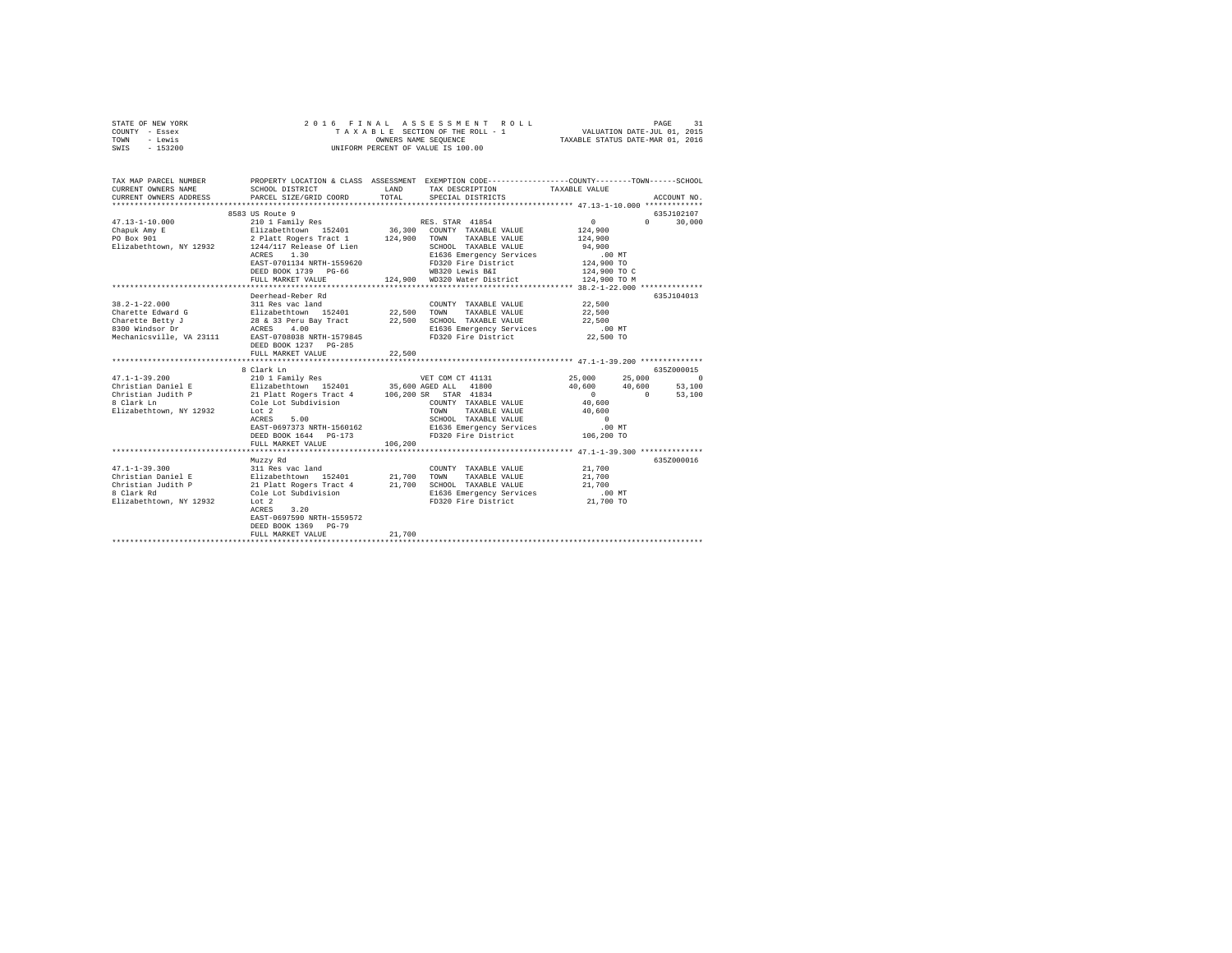| STATE OF NEW YORK       |                                                                                                                                                                                                                                                                                                                                                  |                                                                                                  | 2016 FINAL ASSESSMENT ROLL                      |                      |               |               |  |
|-------------------------|--------------------------------------------------------------------------------------------------------------------------------------------------------------------------------------------------------------------------------------------------------------------------------------------------------------------------------------------------|--------------------------------------------------------------------------------------------------|-------------------------------------------------|----------------------|---------------|---------------|--|
| COUNTY - Essex          |                                                                                                                                                                                                                                                                                                                                                  | FINAL ASSESSMENT ROLL PAGE 31<br>TAXABLE SECTION OF THE ROLL - 1 VALUATION DATE-JUL 01, 2015     |                                                 |                      |               |               |  |
| TOWN - Lewis            |                                                                                                                                                                                                                                                                                                                                                  |                                                                                                  |                                                 |                      |               |               |  |
| SWIS - 153200           |                                                                                                                                                                                                                                                                                                                                                  | OWNERS NAME SEQUENCE $$\tt TXABLE$ STATUS DATE–MAR 01, 2016 UNIFORM PERCENT OF VALUE IS $100.00$ |                                                 |                      |               |               |  |
|                         |                                                                                                                                                                                                                                                                                                                                                  |                                                                                                  |                                                 |                      |               |               |  |
| TAX MAP PARCEL NUMBER   | PROPERTY LOCATION & CLASS ASSESSMENT EXEMPTION CODE----------------COUNTY-------TOWN-----SCHOOL                                                                                                                                                                                                                                                  |                                                                                                  |                                                 |                      |               |               |  |
| CURRENT OWNERS NAME     | SCHOOL DISTRICT                                                                                                                                                                                                                                                                                                                                  |                                                                                                  | LAND TAX DESCRIPTION TAXABLE VALUE              |                      |               |               |  |
| CURRENT OWNERS ADDRESS  | PARCEL SIZE/GRID COORD                                                                                                                                                                                                                                                                                                                           |                                                                                                  | TOTAL SPECIAL DISTRICTS                         |                      |               | ACCOUNT NO.   |  |
|                         |                                                                                                                                                                                                                                                                                                                                                  |                                                                                                  |                                                 |                      |               |               |  |
|                         | 8583 US Route 9                                                                                                                                                                                                                                                                                                                                  |                                                                                                  |                                                 |                      |               | 635J102107    |  |
|                         | 47.13-1-10.000 $\begin{array}{cccccc} & 200 \text{ Nucle} & 210 & 1 \text{ Family Res} & & & & \text{RES. STAR} & 41854 \\ \text{Chapuk Amy E} & & 210 & 1 \text{ Family Res} & & & 36,300 & \text{COMTY TAXABLE VALUE} \\ \text{PO Box 901} & & 2 \text{ Plant Roger Tract 1} & & 124,900 & \text{TOWN TAXABLE VALUE} \end{array}$              |                                                                                                  |                                                 | $\sim$ 0             |               | $0 \t 30.000$ |  |
|                         |                                                                                                                                                                                                                                                                                                                                                  |                                                                                                  |                                                 | 124,900              |               |               |  |
|                         |                                                                                                                                                                                                                                                                                                                                                  |                                                                                                  |                                                 | 124,900              |               |               |  |
| Elizabethtown, NY 12932 | 1244/117 Release Of Lien                                                                                                                                                                                                                                                                                                                         |                                                                                                  | SCHOOL TAXABLE VALUE 94,900                     |                      |               |               |  |
|                         | ACRES 1.30                                                                                                                                                                                                                                                                                                                                       |                                                                                                  |                                                 | .00MT                |               |               |  |
|                         | EAST-0701134 NRTH-1559620                                                                                                                                                                                                                                                                                                                        |                                                                                                  | E1636 Emergency Services<br>FD320 Fire District | 124,900 TO           |               |               |  |
|                         | DEED BOOK 1739 PG-66                                                                                                                                                                                                                                                                                                                             |                                                                                                  | WB320 Lewis B&I                                 | 124,900 TO C         |               |               |  |
|                         |                                                                                                                                                                                                                                                                                                                                                  |                                                                                                  | FULL MARKET VALUE 124,900 WD320 Water District  | 124,900 TO M         |               |               |  |
|                         |                                                                                                                                                                                                                                                                                                                                                  |                                                                                                  |                                                 |                      |               |               |  |
|                         | Deerhead-Reber Rd                                                                                                                                                                                                                                                                                                                                |                                                                                                  |                                                 |                      |               | 635J104013    |  |
|                         | $\texttt{38.2-1-22.000}\quad \texttt{311} \text{ Res vac land}\quad \texttt{22.500}\quad \texttt{CONTITY} \texttt{TXABLE VALUE}\quad \texttt{CAJUE}\quad \texttt{22.500}\quad \texttt{22.500}\quad \texttt{TCNNN} \texttt{TXABLE VALUE}\quad \texttt{VALUE}\quad \texttt{22.500}\quad \texttt{SCHOOL} \texttt{TXABLE VALUE}\quad \texttt{CALUE}$ |                                                                                                  |                                                 | 22,500               |               |               |  |
|                         |                                                                                                                                                                                                                                                                                                                                                  |                                                                                                  |                                                 | 22,500               |               |               |  |
|                         |                                                                                                                                                                                                                                                                                                                                                  |                                                                                                  |                                                 | 22,500               |               |               |  |
|                         | 8300 Windsor Dr ACRES 4.00                                                                                                                                                                                                                                                                                                                       |                                                                                                  | E1636 Emergency Services                        | .00 MT               |               |               |  |
|                         | Mechanicsville, VA 23111 EAST-0708038 NRTH-1579845                                                                                                                                                                                                                                                                                               |                                                                                                  | FD320 Fire District                             | 22,500 TO            |               |               |  |
|                         | DEED BOOK 1237 PG-285                                                                                                                                                                                                                                                                                                                            |                                                                                                  |                                                 |                      |               |               |  |
|                         | FULL MARKET VALUE                                                                                                                                                                                                                                                                                                                                | 22,500                                                                                           |                                                 |                      |               |               |  |
|                         |                                                                                                                                                                                                                                                                                                                                                  |                                                                                                  |                                                 |                      |               |               |  |
|                         | 8 Clark Ln                                                                                                                                                                                                                                                                                                                                       |                                                                                                  |                                                 |                      |               | 635Z000015    |  |
| $47.1 - 1 - 39.200$     |                                                                                                                                                                                                                                                                                                                                                  |                                                                                                  |                                                 |                      | 25.000 0      |               |  |
|                         |                                                                                                                                                                                                                                                                                                                                                  |                                                                                                  |                                                 | 40,600 40,600 53,100 |               |               |  |
|                         |                                                                                                                                                                                                                                                                                                                                                  |                                                                                                  |                                                 | $\mathbf{0}$         | $0 \t 53,100$ |               |  |
|                         |                                                                                                                                                                                                                                                                                                                                                  |                                                                                                  | COUNTY TAXABLE VALUE                            | 40,600               |               |               |  |
| Elizabethtown, NY 12932 | Lot 2                                                                                                                                                                                                                                                                                                                                            |                                                                                                  | TAXABLE VALUE 40,600<br>TOWN                    |                      |               |               |  |
|                         | 5.00                                                                                                                                                                                                                                                                                                                                             |                                                                                                  |                                                 | $\overline{0}$       |               |               |  |
|                         |                                                                                                                                                                                                                                                                                                                                                  |                                                                                                  |                                                 |                      |               |               |  |
|                         |                                                                                                                                                                                                                                                                                                                                                  |                                                                                                  |                                                 |                      |               |               |  |
|                         |                                                                                                                                                                                                                                                                                                                                                  |                                                                                                  |                                                 |                      |               |               |  |
|                         |                                                                                                                                                                                                                                                                                                                                                  |                                                                                                  |                                                 |                      |               |               |  |
|                         | Muzzy Rd                                                                                                                                                                                                                                                                                                                                         |                                                                                                  |                                                 |                      |               | 635Z000016    |  |
| $47.1 - 1 - 39.300$     | 311 Res vac land                                                                                                                                                                                                                                                                                                                                 |                                                                                                  | COUNTY TAXABLE VALUE 21,700                     |                      |               |               |  |
| Christian Daniel E      | Elizabethtown 152401                                                                                                                                                                                                                                                                                                                             |                                                                                                  | 21,700 TOWN TAXABLE VALUE                       | 21,700               |               |               |  |

| Christian Daniel E      | Elizabethtown 152401      | 21,700 | TOWN                     | TAXABLE VALUE | 21,700    |  |
|-------------------------|---------------------------|--------|--------------------------|---------------|-----------|--|
| Christian Judith P      | 21 Platt Rogers Tract 4   | 21,700 | SCHOOL TAXABLE VALUE     |               | 21,700    |  |
| 8 Clark Rd              | Cole Lot Subdivision      |        | E1636 Emergency Services |               | $.00$ MT  |  |
| Elizabethtown, NY 12932 | Lot 2                     |        | FD320 Fire District      |               | 21,700 TO |  |
|                         | 3.20<br>ACRES             |        |                          |               |           |  |
|                         | EAST-0697590 NRTH-1559572 |        |                          |               |           |  |
|                         | DEED BOOK 1369 PG-79      |        |                          |               |           |  |
|                         | FULL MARKET VALUE         | 21,700 |                          |               |           |  |
| ***************         |                           |        |                          |               |           |  |
|                         |                           |        |                          |               |           |  |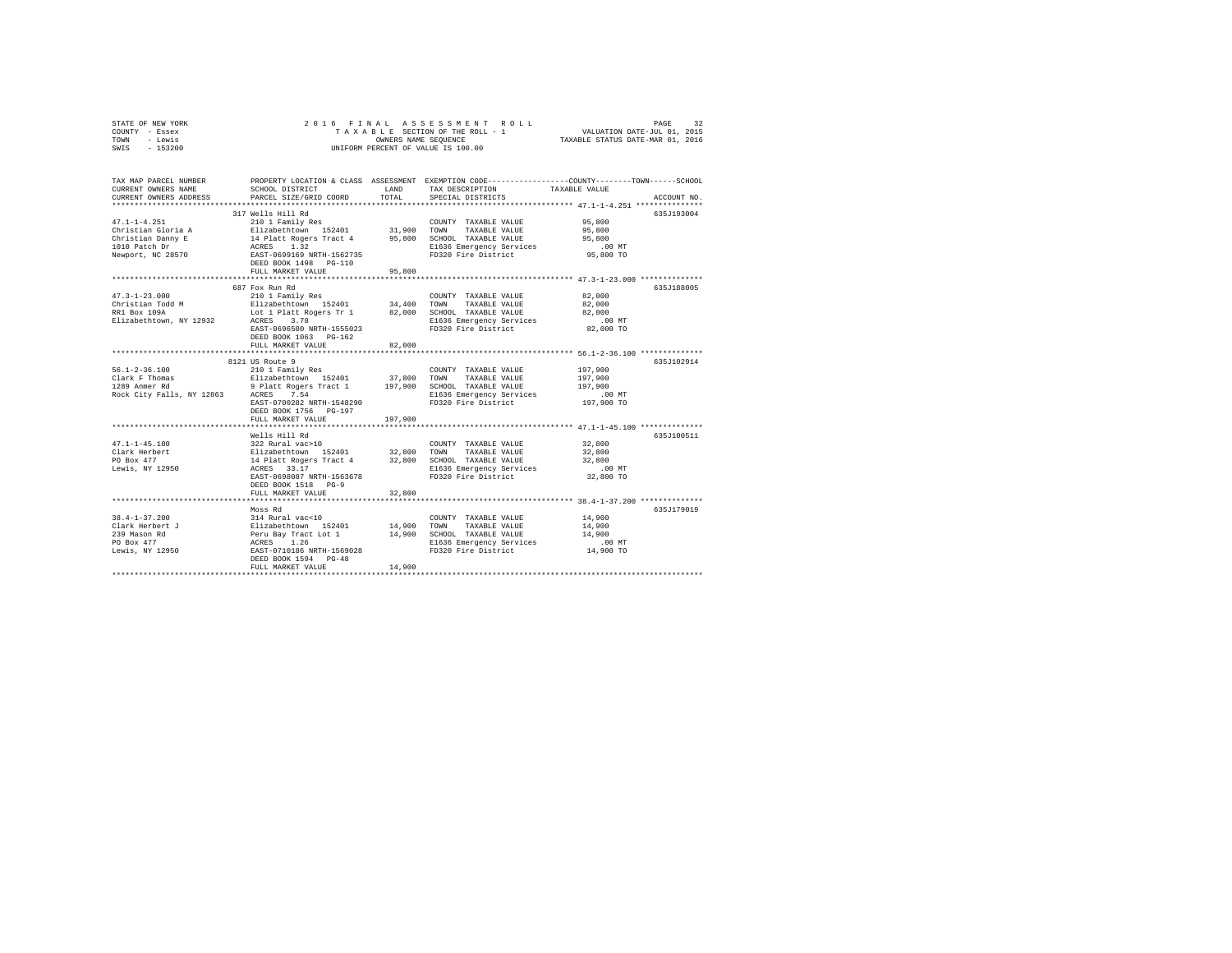| STATE OF NEW YORK         |                                                                                                                                                                                                                                                                                          |                                                       | 2016 FINAL ASSESSMENT ROLL                                         | PAGE                                                                                            | 32 |  |  |  |
|---------------------------|------------------------------------------------------------------------------------------------------------------------------------------------------------------------------------------------------------------------------------------------------------------------------------------|-------------------------------------------------------|--------------------------------------------------------------------|-------------------------------------------------------------------------------------------------|----|--|--|--|
| COUNTY - Essex            |                                                                                                                                                                                                                                                                                          |                                                       |                                                                    |                                                                                                 |    |  |  |  |
| TOWN<br>- Lewis           |                                                                                                                                                                                                                                                                                          | OWNERS NAME SEQUENCE TAXABLE STATUS DATE-MAR 01, 2016 |                                                                    |                                                                                                 |    |  |  |  |
| SWIS - 153200             |                                                                                                                                                                                                                                                                                          |                                                       | UNIFORM PERCENT OF VALUE IS 100.00                                 |                                                                                                 |    |  |  |  |
|                           |                                                                                                                                                                                                                                                                                          |                                                       |                                                                    |                                                                                                 |    |  |  |  |
|                           |                                                                                                                                                                                                                                                                                          |                                                       |                                                                    |                                                                                                 |    |  |  |  |
| TAX MAP PARCEL NUMBER     |                                                                                                                                                                                                                                                                                          |                                                       |                                                                    | PROPERTY LOCATION & CLASS ASSESSMENT EXEMPTION CODE----------------COUNTY-------TOWN-----SCHOOL |    |  |  |  |
| CURRENT OWNERS NAME       | SCHOOL DISTRICT                                                                                                                                                                                                                                                                          |                                                       | LAND TAX DESCRIPTION TAXABLE VALUE                                 |                                                                                                 |    |  |  |  |
|                           | CURRENT OWNERS ADDRESS . PARCEL SIZE/GRID COORD TOTAL SPECIAL DISTRICTS                                                                                                                                                                                                                  |                                                       |                                                                    | ACCOUNT NO.                                                                                     |    |  |  |  |
|                           |                                                                                                                                                                                                                                                                                          |                                                       |                                                                    |                                                                                                 |    |  |  |  |
|                           | 317 Wells Hill Rd                                                                                                                                                                                                                                                                        |                                                       |                                                                    | 635J193004                                                                                      |    |  |  |  |
|                           |                                                                                                                                                                                                                                                                                          |                                                       | COUNTY TAXABLE VALUE                                               |                                                                                                 |    |  |  |  |
|                           | $\begin{array}{cccccc} 47.1\texttt{-}1\texttt{-}4.251 & \texttt{210} & \texttt{1 Family Res} & \texttt{COUNT} & \texttt{TAXABLE VALUE} \\ \texttt{Christian Gloria A} & \texttt{Elizabethtown} & \texttt{152401} & \texttt{31,900} & \texttt{TONN} & \texttt{TAXABLE VALUE} \end{array}$ |                                                       |                                                                    | 95,800<br>95,800                                                                                |    |  |  |  |
|                           | Christian Danny E 14 Platt Rogers Tract 4 95,800 SCHOOL TAXABLE VALUE 95,800                                                                                                                                                                                                             |                                                       |                                                                    |                                                                                                 |    |  |  |  |
| 1010 Patch Dr             | ACRES 1.32                                                                                                                                                                                                                                                                               |                                                       | E1636 Emergency Services                                           | .00MT                                                                                           |    |  |  |  |
| Newport, NC 28570         | EAST-0699169 NRTH-1562735                                                                                                                                                                                                                                                                |                                                       | FD320 Fire District 95,800 TO                                      |                                                                                                 |    |  |  |  |
|                           | DEED BOOK 1498    PG-110                                                                                                                                                                                                                                                                 |                                                       |                                                                    |                                                                                                 |    |  |  |  |
|                           | FULL MARKET VALUE                                                                                                                                                                                                                                                                        | 95,800                                                |                                                                    |                                                                                                 |    |  |  |  |
|                           |                                                                                                                                                                                                                                                                                          |                                                       |                                                                    |                                                                                                 |    |  |  |  |
|                           | 687 Fox Run Rd                                                                                                                                                                                                                                                                           |                                                       |                                                                    | 635J188005                                                                                      |    |  |  |  |
|                           | $\begin{array}{cccccccc} 47.3\text{--}1-23.000 & 210 & 1\textrm{ Family Res} & \textrm{COUNTY TAXABLE VALUE} & 82,000 \\ \textrm{Christian Todd M} & \textrm{Elizabethtown} & 152401 & 34,400 & \textrm{TONN} & \textrm{TXABLE VALUE} & 82,000 \\ \end{array}$                           |                                                       |                                                                    |                                                                                                 |    |  |  |  |
|                           |                                                                                                                                                                                                                                                                                          |                                                       |                                                                    |                                                                                                 |    |  |  |  |
|                           | RR1 Box 109A Lot 1 Platt Rogers Tr 1 82,000                                                                                                                                                                                                                                              |                                                       | SCHOOL TAXABLE VALUE 82,000                                        |                                                                                                 |    |  |  |  |
| Elizabethtown, NY 12932   | 3.78<br>ACRES                                                                                                                                                                                                                                                                            |                                                       | E1636 Emergency Services                                           | .00MT                                                                                           |    |  |  |  |
|                           | EAST-0696500 NRTH-1555023                                                                                                                                                                                                                                                                |                                                       | FD320 Fire District                                                | 82,000 TO                                                                                       |    |  |  |  |
|                           | DEED BOOK 1063 PG-162                                                                                                                                                                                                                                                                    |                                                       |                                                                    |                                                                                                 |    |  |  |  |
|                           | FULL MARKET VALUE                                                                                                                                                                                                                                                                        | 82,000                                                |                                                                    |                                                                                                 |    |  |  |  |
|                           |                                                                                                                                                                                                                                                                                          |                                                       |                                                                    |                                                                                                 |    |  |  |  |
|                           | 8121 US Route 9                                                                                                                                                                                                                                                                          |                                                       |                                                                    | 635.7102914                                                                                     |    |  |  |  |
| $56.1 - 2 - 36.100$       |                                                                                                                                                                                                                                                                                          |                                                       |                                                                    | 197,900                                                                                         |    |  |  |  |
| Clark F Thomas            |                                                                                                                                                                                                                                                                                          |                                                       |                                                                    | 197,900                                                                                         |    |  |  |  |
| 1289 Anmer Rd             | 9 Platt Rogers Tract 1 197,900 SCHOOL TAXABLE VALUE                                                                                                                                                                                                                                      |                                                       |                                                                    | 197,900                                                                                         |    |  |  |  |
| Rock City Falls, NY 12863 | ACRES 7.54                                                                                                                                                                                                                                                                               |                                                       | E1636 Emergency Services .00 MT<br>FD320 Fire District  197,900 TO |                                                                                                 |    |  |  |  |
|                           | EAST-0700282 NRTH-1548290                                                                                                                                                                                                                                                                |                                                       | FD320 Fire District                                                |                                                                                                 |    |  |  |  |
|                           | DEED BOOK 1756 PG-197                                                                                                                                                                                                                                                                    |                                                       |                                                                    |                                                                                                 |    |  |  |  |
|                           | FULL MARKET VALUE                                                                                                                                                                                                                                                                        | 197,900                                               |                                                                    |                                                                                                 |    |  |  |  |
|                           |                                                                                                                                                                                                                                                                                          |                                                       |                                                                    |                                                                                                 |    |  |  |  |
|                           | Wells Hill Rd                                                                                                                                                                                                                                                                            |                                                       |                                                                    | 635J100511                                                                                      |    |  |  |  |
| $47.1 - 1 - 45.100$       |                                                                                                                                                                                                                                                                                          |                                                       | COUNTY TAXABLE VALUE                                               | 32,800                                                                                          |    |  |  |  |
| Clark Herbert             |                                                                                                                                                                                                                                                                                          |                                                       | TAXABLE VALUE                                                      | 32,800                                                                                          |    |  |  |  |
| PO Box 477<br>.           | 14 Platt Rogers Tract 4 32,800                                                                                                                                                                                                                                                           |                                                       | SCHOOL TAXABLE VALUE                                               | 32,800                                                                                          |    |  |  |  |

|                     | Wells Hill Rd                                     |        |                          |           | 635J100511 |
|---------------------|---------------------------------------------------|--------|--------------------------|-----------|------------|
| $47.1 - 1 - 45.100$ | 322 Rural vac>10                                  |        | COUNTY<br>TAXABLE VALUE  | 32,800    |            |
| Clark Herbert       | Elizabethtown 152401                              | 32,800 | TOWN<br>TAXABLE VALUE    | 32,800    |            |
| PO Box 477          | 14 Platt Rogers Tract 4                           | 32,800 | SCHOOL TAXABLE VALUE     | 32,800    |            |
| Lewis, NY 12950     | ACRES 33.17                                       |        | E1636 Emergency Services | $.00$ MT  |            |
|                     | EAST-0698087 NRTH-1563678<br>DEED BOOK 1518 PG-9  |        | FD320 Fire District      | 32,800 TO |            |
|                     | FULL MARKET VALUE                                 | 32,800 |                          |           |            |
|                     |                                                   |        |                          |           |            |
|                     | Moss Rd                                           |        |                          |           | 635J179019 |
| $38.4 - 1 - 37.200$ | 314 Rural vac<10                                  |        | TAXABLE VALUE<br>COUNTY  | 14,900    |            |
| Clark Herbert J     | Elizabethtown 152401                              | 14,900 | TOWN<br>TAXABLE VALUE    | 14,900    |            |
| 239 Mason Rd        | Peru Bay Tract Lot 1                              | 14,900 | SCHOOL TAXABLE VALUE     | 14,900    |            |
| PO Box 477          | ACRES 1.26                                        |        | E1636 Emergency Services | $.00$ MT  |            |
| Lewis, NY 12950     | EAST-0710186 NRTH-1569028<br>DEED BOOK 1594 PG-48 |        | FD320 Fire District      | 14,900 TO |            |
|                     | FULL MARKET VALUE                                 | 14,900 |                          |           |            |
|                     |                                                   |        |                          |           |            |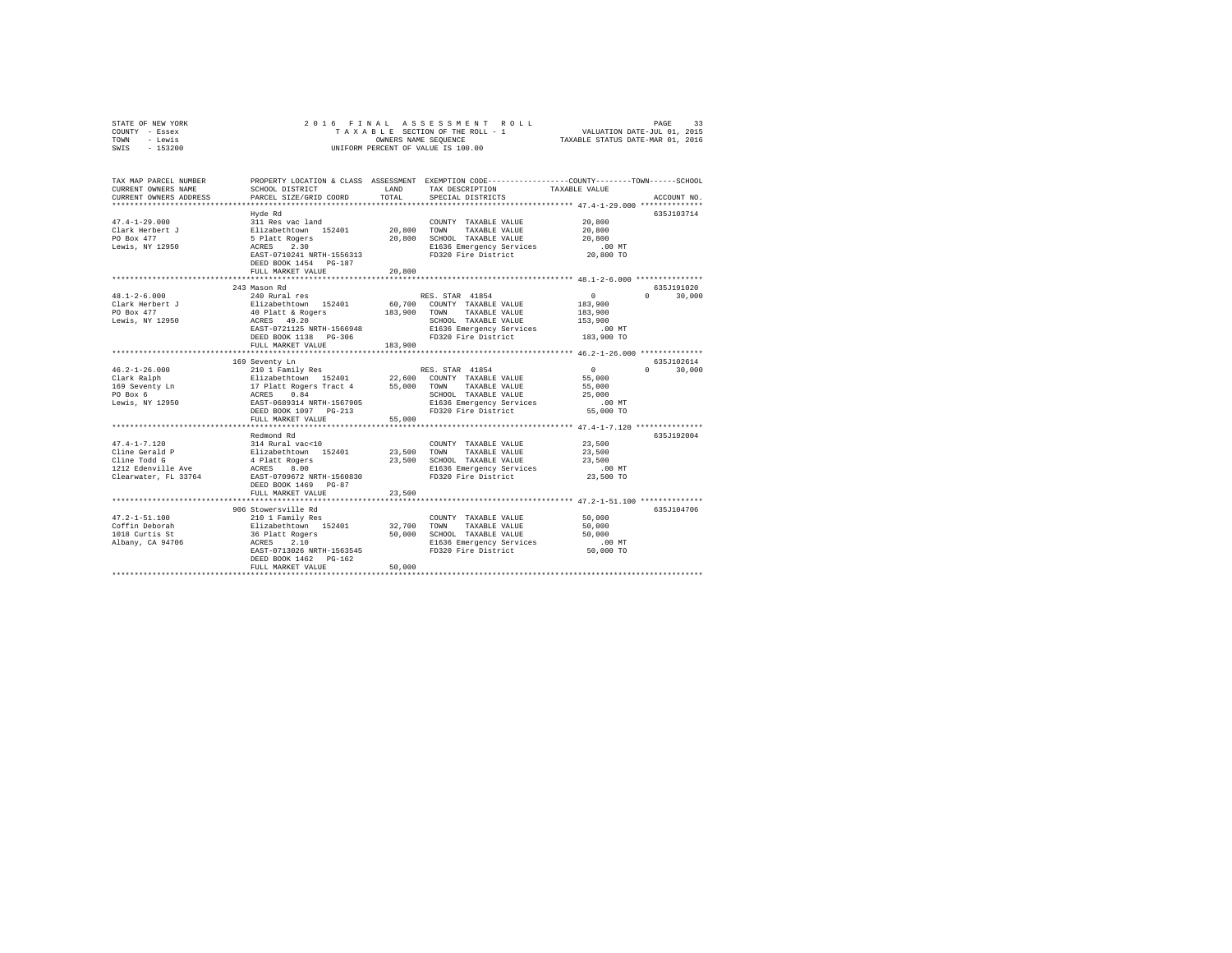| STATE OF NEW YORK | 2016 FINAL ASSESSMENT ROLL         | 33<br>PAGE                       |
|-------------------|------------------------------------|----------------------------------|
| - Essex<br>COUNTY | TAXABLE SECTION OF THE ROLL - 1    | VALUATION DATE-JUL 01, 2015      |
| - Lewis<br>TOWN   | OWNERS NAME SEOUENCE               | TAXABLE STATUS DATE-MAR 01, 2016 |
| $-153200$<br>SWIS | UNIFORM PERCENT OF VALUE IS 100.00 |                                  |

| TAX MAP PARCEL NUMBER<br>CURRENT OWNERS NAME<br>CURRENT OWNERS ADDRESS                             | SCHOOL DISTRICT<br>PARCEL SIZE/GRID COORD                                                                                                                                      | LAND<br>TOTAL                | PROPERTY LOCATION & CLASS ASSESSMENT EXEMPTION CODE----------------COUNTY-------TOWN------SCHOOL<br>TAX DESCRIPTION<br>SPECIAL DISTRICTS                                                    | TAXABLE VALUE                                                                                                              | ACCOUNT NO.                    |
|----------------------------------------------------------------------------------------------------|--------------------------------------------------------------------------------------------------------------------------------------------------------------------------------|------------------------------|---------------------------------------------------------------------------------------------------------------------------------------------------------------------------------------------|----------------------------------------------------------------------------------------------------------------------------|--------------------------------|
| $47.4 - 1 - 29.000$<br>Clark Herbert J<br>PO Box 477<br>Lewis, NY 12950                            | Hyde Rd<br>311 Res vac land<br>Elizabethtown 152401 20,800 TOWN<br>5 Platt Rogers<br>ACRES<br>2.30<br>EAST-0710241 NRTH-1556313<br>DEED BOOK 1454 PG-187<br>FULL MARKET VALUE  | 20,800<br>************       | COUNTY TAXABLE VALUE<br>TAXABLE VALUE<br>20,800 SCHOOL TAXABLE VALUE<br>E1636 Emergency Services<br>FD320 Fire District                                                                     | 20,800<br>20,800<br>20,800<br>$.00$ MT<br>20,800 TO<br>********************* 48.1-2-6.000 ****************                 | 635J103714                     |
| $48.1 - 2 - 6.000$<br>Clark Herbert J<br>PO Box 477<br>Lewis, NY 12950                             | 243 Mason Rd<br>240 Rural res<br>Elizabethtown 152401<br>40 Platt & Rogers<br>ACRES 49.20<br>EAST-0721125 NRTH-1566948<br>DEED BOOK 1138 PG-306<br>FULL MARKET VALUE<br>       | 183,900 TOWN<br>183,900<br>. | RES. STAR 41854<br>60,700 COUNTY TAXABLE VALUE<br>TAXABLE VALUE<br>SCHOOL TAXABLE VALUE<br>E1636 Emergency Services<br>FD320 Fire District                                                  | $\sim$ 0<br>183,900<br>183,900<br>153,900<br>.00 MT<br>183,900 TO<br>*********************** 46.2-1-26.000 *************** | 635J191020<br>$\cap$<br>30,000 |
| Lewis, NY 12950                                                                                    | 169 Seventy Ln<br>EAST-0689314 NRTH-1567905<br>DEED BOOK 1097 PG-213<br>FULL MARKET VALUE                                                                                      | 55,000                       | RES. STAR 41854<br>22,600 COUNTY TAXABLE VALUE<br>TAXABLE VALUE<br>SCHOOL TAXABLE VALUE<br>E1636 Emergency Services<br>FD320 Fire District                                                  | $\sim$ 0<br>55,000<br>55,000<br>25,000<br>.00 MT<br>55,000 TO                                                              | 635J102614<br>$\cap$<br>30,000 |
| $47.4 - 1 - 7.120$<br>Cline Gerald P<br>Cline Todd G<br>1212 Edenville Ave<br>Clearwater, FL 33764 | Redmond Rd<br>314 Rural vac<10<br>Elizabethtown 152401<br>4 Platt Rogers<br>ACRES<br>8.00<br>EAST-0709672 NRTH-1560830<br>DEED BOOK 1469 PG-87<br>FULL MARKET VALUE            | 23,500<br>23,500<br>23,500   | COUNTY TAXABLE VALUE<br>TOWN<br>TAXABLE VALUE<br>SCHOOL TAXABLE VALUE<br>E1636 Emergency Services<br>FD320 Fire District<br>********************************** 47.2-1-51.100 ************** | 23,500<br>23,500<br>23,500<br>$.00$ MT<br>23,500 TO                                                                        | 635J192004                     |
| $47.2 - 1 - 51.100$<br>Coffin Deborah<br>1018 Curtis St<br>Albany, CA 94706                        | 906 Stowersville Rd<br>210 1 Family Res<br>Elizabethtown 152401<br>36 Platt Rogers<br>ACRES<br>2.10<br>EAST-0713026 NRTH-1563545<br>DEED BOOK 1462 PG-162<br>FULL MARKET VALUE | 32,700<br>50,000<br>50,000   | COUNTY TAXABLE VALUE<br>TAXABLE VALUE<br>TOWN<br>SCHOOL TAXABLE VALUE<br>E1636 Emergency Services<br>FD320 Fire District                                                                    | 50,000<br>50,000<br>50,000<br>$.00$ MT<br>50,000 TO                                                                        | 635J104706                     |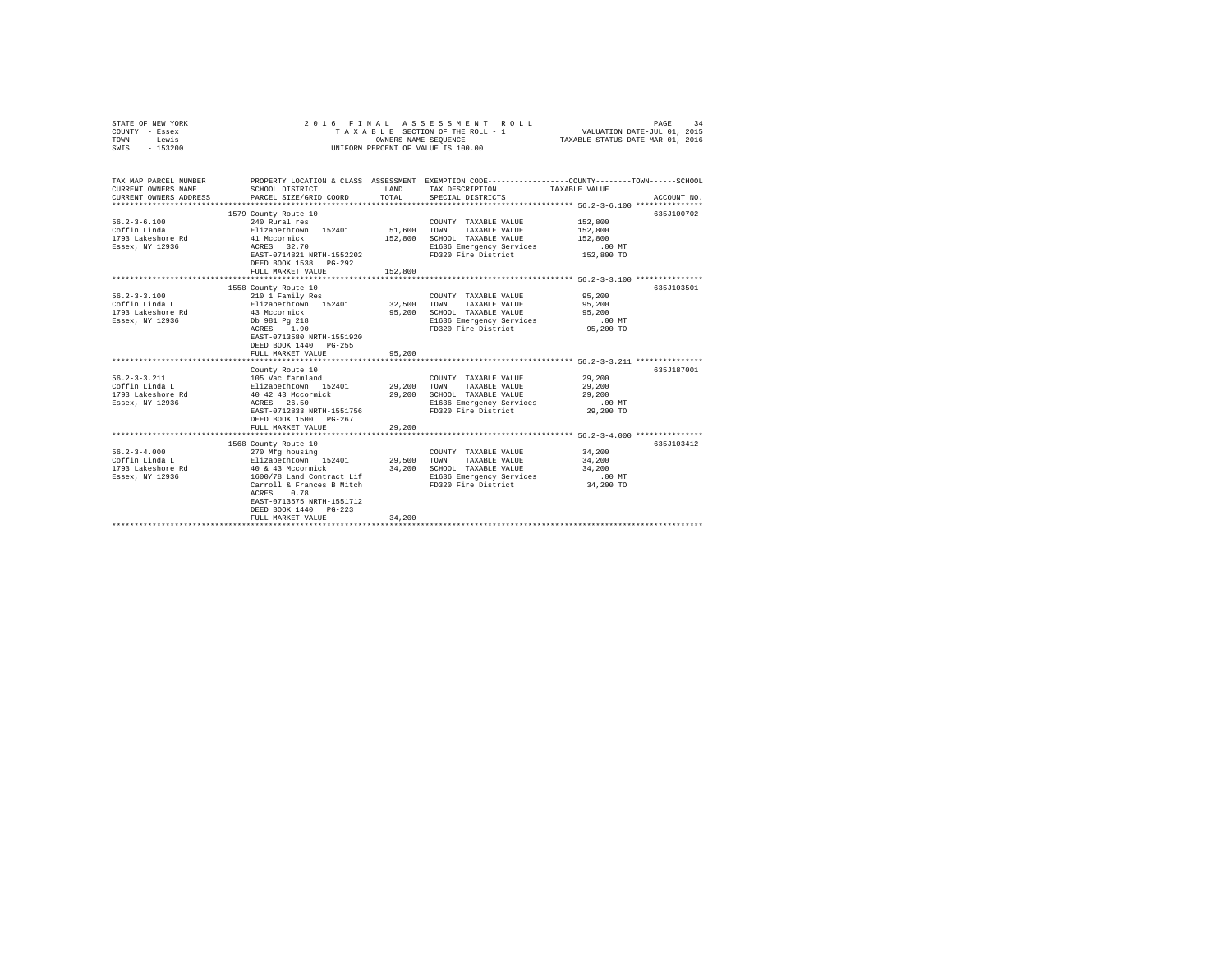| STATE OF NEW YORK<br>COUNTY - Essex<br>- Lewis<br>TOWN<br>SWIS - 153200 | 2016 FINAL                                                                                        |         | ASSESSMENT ROLL<br>TAXABLE SECTION OF THE ROLL - 1<br>UNIFORM PERCENT OF VALUE IS 100.00 | PAGE<br>VALUATION DATE-JUL 01, 2015<br>TAXABLE STATUS DATE-MAR 01, 2016 | 34          |
|-------------------------------------------------------------------------|---------------------------------------------------------------------------------------------------|---------|------------------------------------------------------------------------------------------|-------------------------------------------------------------------------|-------------|
|                                                                         |                                                                                                   |         |                                                                                          |                                                                         |             |
| TAX MAP PARCEL NUMBER                                                   | PROPERTY LOCATION & CLASS ASSESSMENT EXEMPTION CODE---------------COUNTY-------TOWN-----SCHOOL    |         |                                                                                          |                                                                         |             |
| CURRENT OWNERS NAME                                                     | SCHOOL DISTRICT                                                                                   |         | LAND TAX DESCRIPTION                                                                     | TAXABLE VALUE                                                           |             |
| CURRENT OWNERS ADDRESS                                                  | PARCEL SIZE/GRID COORD                                                                            | TOTAL   | SPECIAL DISTRICTS                                                                        |                                                                         | ACCOUNT NO. |
|                                                                         | 1579 County Route 10                                                                              |         |                                                                                          |                                                                         | 635J100702  |
| $56.2 - 3 - 6.100$                                                      | $240$ Rural res                                                                                   |         | COUNTY TAXABLE VALUE                                                                     | 152,800                                                                 |             |
| Coffin Linda                                                            |                                                                                                   | 51,600  | TOWN<br>TAXABLE VALUE                                                                    | 152,800                                                                 |             |
| 1793 Lakeshore Rd                                                       | Elizabethtown 152401<br>41 Mccormick                                                              | 152,800 | SCHOOL TAXABLE VALUE                                                                     | 152,800                                                                 |             |
| Essex, NY 12936                                                         | ACRES 32.70                                                                                       |         | E1636 Emergency Services                                                                 | $.00$ MT                                                                |             |
|                                                                         | EAST-0714821 NRTH-1552202                                                                         |         | FD320 Fire District                                                                      | 152,800 TO                                                              |             |
|                                                                         | DEED BOOK 1538 PG-292                                                                             |         |                                                                                          |                                                                         |             |
|                                                                         | FULL MARKET VALUE                                                                                 | 152,800 |                                                                                          |                                                                         |             |
|                                                                         |                                                                                                   |         |                                                                                          |                                                                         |             |
|                                                                         | 1558 County Route 10                                                                              |         |                                                                                          |                                                                         | 635J103501  |
| $56.2 - 3 - 3.100$                                                      | 210 1 Family Res<br>Elizabethtown 152401 32,500 TOWN                                              |         | COUNTY TAXABLE VALUE                                                                     | 95,200                                                                  |             |
| Coffin Linda L                                                          |                                                                                                   |         | TAXABLE VALUE                                                                            | 95,200                                                                  |             |
| 1793 Lakeshore Rd                                                       | 43 Mccormick<br>Db 981 Pg 218                                                                     | 95,200  | SCHOOL TAXABLE VALUE                                                                     | 95,200                                                                  |             |
| Essex, NY 12936                                                         | ACRES 1.90                                                                                        |         | E1636 Emergency Services<br>FD320 Fire District                                          | $.00$ MT<br>95,200 TO                                                   |             |
|                                                                         | EAST-0713580 NRTH-1551920                                                                         |         |                                                                                          |                                                                         |             |
|                                                                         | DEED BOOK 1440 PG-255                                                                             |         |                                                                                          |                                                                         |             |
|                                                                         | FULL MARKET VALUE                                                                                 | 95,200  |                                                                                          |                                                                         |             |
|                                                                         |                                                                                                   |         |                                                                                          |                                                                         |             |
|                                                                         | County Route 10                                                                                   |         |                                                                                          |                                                                         | 635J187001  |
| $56.2 - 3 - 3.211$                                                      |                                                                                                   |         | COUNTY TAXABLE VALUE                                                                     | 29,200                                                                  |             |
| Coffin Linda L                                                          |                                                                                                   |         | TOWN<br>TAXABLE VALUE                                                                    | 29,200                                                                  |             |
| 1793 Lakeshore Rd                                                       | 105 Vac farmland<br>Elizabethtown 152401 29,200<br>40 4243 Mccormick 29,200<br>ACRES 26.50 29,200 |         | SCHOOL TAXABLE VALUE                                                                     | 29,200                                                                  |             |
| Essex, NY 12936                                                         |                                                                                                   |         | E1636 Emergency Services                                                                 | .00MT                                                                   |             |
|                                                                         | EAST-0712833 NRTH-1551756                                                                         |         | FD320 Fire District                                                                      | 29,200 TO                                                               |             |
|                                                                         | DEED BOOK 1500 PG-267                                                                             |         |                                                                                          |                                                                         |             |
|                                                                         | FULL MARKET VALUE                                                                                 | 29,200  |                                                                                          |                                                                         |             |
|                                                                         | 1568 County Route 10                                                                              |         |                                                                                          |                                                                         | 635J103412  |
| $56.2 - 3 - 4.000$                                                      | 270 Mfg housing                                                                                   |         | COUNTY TAXABLE VALUE 34,200                                                              |                                                                         |             |
| Coffin Linda L                                                          |                                                                                                   | 29,500  | TOWN<br>TAXABLE VALUE                                                                    | 34,200                                                                  |             |
| 1793 Lakeshore Rd                                                       | Elizabethtown 152401<br>40 & 43 Mccormick                                                         | 34,200  | SCHOOL TAXABLE VALUE                                                                     | 34,200                                                                  |             |
| Essex, NY 12936                                                         |                                                                                                   |         | E1636 Emergency Services                                                                 | $.00$ MT                                                                |             |
|                                                                         | 1600/78 Land Contract Lif<br>Carroll & Frances B Mitch                                            |         | FD320 Fire District                                                                      | 34,200 TO                                                               |             |
|                                                                         | ACRES 0.78                                                                                        |         |                                                                                          |                                                                         |             |
|                                                                         | EAST-0713575 NRTH-1551712                                                                         |         |                                                                                          |                                                                         |             |
|                                                                         | DEED BOOK 1440 PG-223                                                                             |         |                                                                                          |                                                                         |             |
|                                                                         | FULL MARKET VALUE                                                                                 | 34,200  |                                                                                          |                                                                         |             |
|                                                                         |                                                                                                   |         |                                                                                          |                                                                         |             |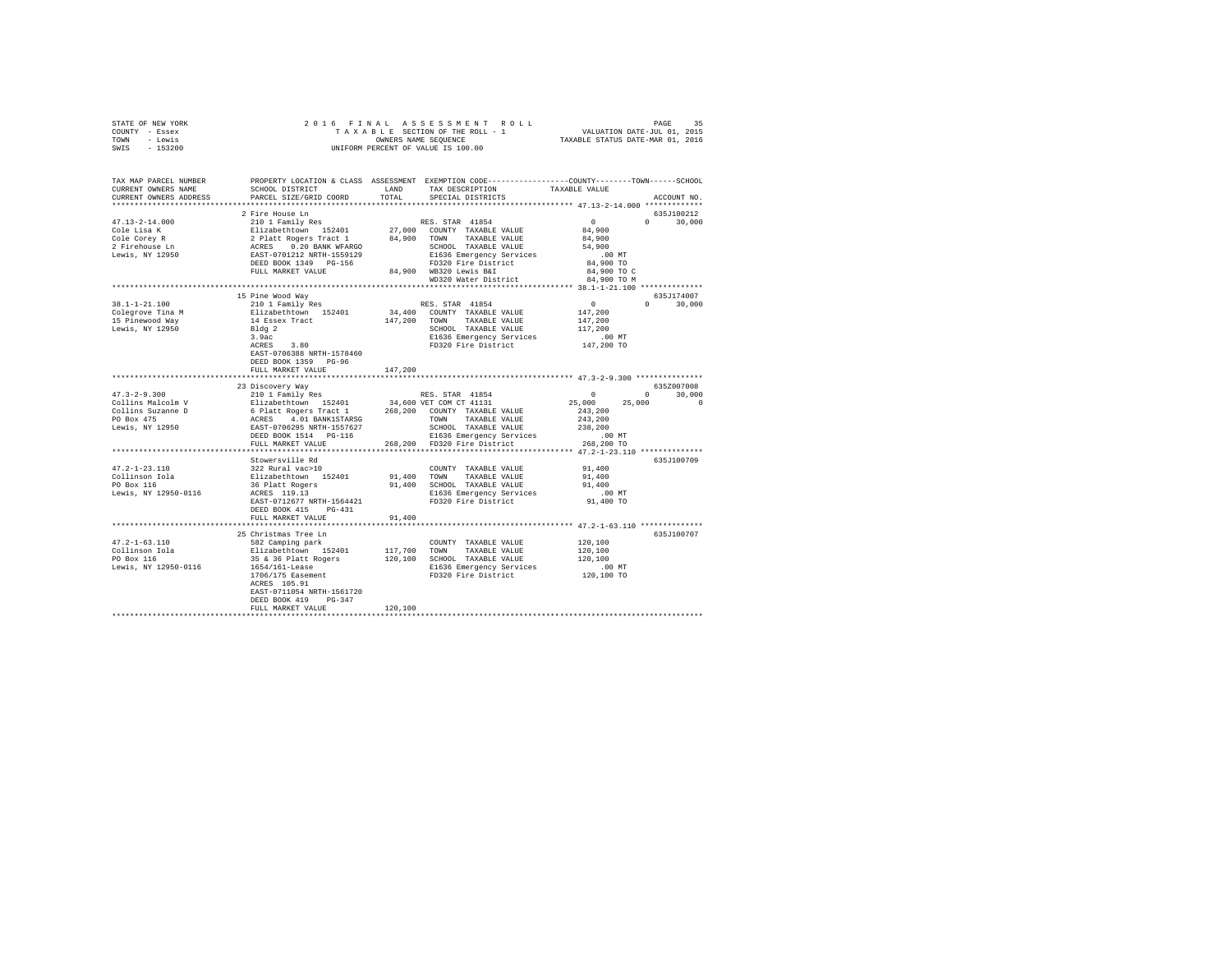| STATE OF NEW YORK                                                                                                                                                                                                                                                                                                                                                                                       |                                                                                                                                                                                                                                                                      |         |                                                                                                                     |                                                                                                                                                                                                                                                                                                                                                                                                |  |
|---------------------------------------------------------------------------------------------------------------------------------------------------------------------------------------------------------------------------------------------------------------------------------------------------------------------------------------------------------------------------------------------------------|----------------------------------------------------------------------------------------------------------------------------------------------------------------------------------------------------------------------------------------------------------------------|---------|---------------------------------------------------------------------------------------------------------------------|------------------------------------------------------------------------------------------------------------------------------------------------------------------------------------------------------------------------------------------------------------------------------------------------------------------------------------------------------------------------------------------------|--|
| COUNTY - Essex                                                                                                                                                                                                                                                                                                                                                                                          |                                                                                                                                                                                                                                                                      |         |                                                                                                                     |                                                                                                                                                                                                                                                                                                                                                                                                |  |
| TOWN - Lewis                                                                                                                                                                                                                                                                                                                                                                                            |                                                                                                                                                                                                                                                                      |         |                                                                                                                     | $\begin{tabular}{ccccc} 2 & 0 & 1 & 6 & F & I & N & A & S & S & E & S & S & M & E & N & T & R & O & L & L & P \end{tabular} \begin{tabular}{ccccc} PAGE & SFGTION OF THE ROLL - 1 & & & VALUATION DATE-JUL 01, 2015 \\ T A X A B L E S TOTION OF THE ROLL - 1 & & & VALUATION DATE-JUL 01, 2016 \\ ONIFORM PERCENT OF VALUE IS 100.00 & & & TAXABLE STATUS DATE-MAR 01, 2016 \\ \end{tabular}$ |  |
| SWIS - 153200                                                                                                                                                                                                                                                                                                                                                                                           |                                                                                                                                                                                                                                                                      |         |                                                                                                                     |                                                                                                                                                                                                                                                                                                                                                                                                |  |
|                                                                                                                                                                                                                                                                                                                                                                                                         |                                                                                                                                                                                                                                                                      |         |                                                                                                                     |                                                                                                                                                                                                                                                                                                                                                                                                |  |
|                                                                                                                                                                                                                                                                                                                                                                                                         |                                                                                                                                                                                                                                                                      |         |                                                                                                                     |                                                                                                                                                                                                                                                                                                                                                                                                |  |
|                                                                                                                                                                                                                                                                                                                                                                                                         |                                                                                                                                                                                                                                                                      |         |                                                                                                                     | TAX MAP PARCEL NUMBER PROPERTY LOCATION & CLASS ASSESSMENT EXEMPTION CODE---------------COUNTY-------TOWN-----SCHOOL                                                                                                                                                                                                                                                                           |  |
| CURRENT OWNERS NAME                                                                                                                                                                                                                                                                                                                                                                                     |                                                                                                                                                                                                                                                                      |         | SCHOOL DISTRICT LAND TAX DESCRIPTION TAXABLE VALUE                                                                  |                                                                                                                                                                                                                                                                                                                                                                                                |  |
| CURRENT OWNERS ADDRESS                                                                                                                                                                                                                                                                                                                                                                                  | PARCEL SIZE/GRID COORD                                                                                                                                                                                                                                               | TOTAL   | SPECIAL DISTRICTS                                                                                                   | ACCOUNT NO.                                                                                                                                                                                                                                                                                                                                                                                    |  |
|                                                                                                                                                                                                                                                                                                                                                                                                         |                                                                                                                                                                                                                                                                      |         |                                                                                                                     |                                                                                                                                                                                                                                                                                                                                                                                                |  |
|                                                                                                                                                                                                                                                                                                                                                                                                         | 2 Fire House Ln                                                                                                                                                                                                                                                      |         |                                                                                                                     | 635J100212                                                                                                                                                                                                                                                                                                                                                                                     |  |
|                                                                                                                                                                                                                                                                                                                                                                                                         |                                                                                                                                                                                                                                                                      |         |                                                                                                                     |                                                                                                                                                                                                                                                                                                                                                                                                |  |
|                                                                                                                                                                                                                                                                                                                                                                                                         |                                                                                                                                                                                                                                                                      |         |                                                                                                                     |                                                                                                                                                                                                                                                                                                                                                                                                |  |
|                                                                                                                                                                                                                                                                                                                                                                                                         |                                                                                                                                                                                                                                                                      |         |                                                                                                                     |                                                                                                                                                                                                                                                                                                                                                                                                |  |
|                                                                                                                                                                                                                                                                                                                                                                                                         |                                                                                                                                                                                                                                                                      |         |                                                                                                                     |                                                                                                                                                                                                                                                                                                                                                                                                |  |
|                                                                                                                                                                                                                                                                                                                                                                                                         |                                                                                                                                                                                                                                                                      |         |                                                                                                                     |                                                                                                                                                                                                                                                                                                                                                                                                |  |
|                                                                                                                                                                                                                                                                                                                                                                                                         |                                                                                                                                                                                                                                                                      |         |                                                                                                                     |                                                                                                                                                                                                                                                                                                                                                                                                |  |
|                                                                                                                                                                                                                                                                                                                                                                                                         |                                                                                                                                                                                                                                                                      |         |                                                                                                                     |                                                                                                                                                                                                                                                                                                                                                                                                |  |
|                                                                                                                                                                                                                                                                                                                                                                                                         |                                                                                                                                                                                                                                                                      |         |                                                                                                                     |                                                                                                                                                                                                                                                                                                                                                                                                |  |
|                                                                                                                                                                                                                                                                                                                                                                                                         |                                                                                                                                                                                                                                                                      |         |                                                                                                                     |                                                                                                                                                                                                                                                                                                                                                                                                |  |
|                                                                                                                                                                                                                                                                                                                                                                                                         |                                                                                                                                                                                                                                                                      |         |                                                                                                                     |                                                                                                                                                                                                                                                                                                                                                                                                |  |
|                                                                                                                                                                                                                                                                                                                                                                                                         | 15 Pine Wood Way                                                                                                                                                                                                                                                     |         | RES. STAR 41854                                                                                                     | 635J174007                                                                                                                                                                                                                                                                                                                                                                                     |  |
| 38.1-1-21.100                                                                                                                                                                                                                                                                                                                                                                                           | 210 1 Family Res                                                                                                                                                                                                                                                     |         |                                                                                                                     | $0$<br>147,200<br>147,200<br>$0 \t 30,000$                                                                                                                                                                                                                                                                                                                                                     |  |
| Colegrove Tina M<br>15 Pinewood Way<br>16 Pinewood Way<br>147,200<br>147,200<br>148 Pinewood Way<br>147,200<br>1922<br>2.90<br>2.92<br>2.90<br>2.90<br>2.90<br>2.90<br>2.90<br>2.90<br>2.90<br>2.90<br>2.90                                                                                                                                                                                             |                                                                                                                                                                                                                                                                      |         | $34,400 \qquad \text{COUNTY} \qquad \text{TAXABLE VALUE} \\ 147,200 \qquad \text{TONN} \qquad \text{TAXABLE VALUE}$ |                                                                                                                                                                                                                                                                                                                                                                                                |  |
|                                                                                                                                                                                                                                                                                                                                                                                                         |                                                                                                                                                                                                                                                                      |         |                                                                                                                     |                                                                                                                                                                                                                                                                                                                                                                                                |  |
|                                                                                                                                                                                                                                                                                                                                                                                                         |                                                                                                                                                                                                                                                                      |         | CHOOL TAXABLE VALUE<br>SCHOOL TAXABLE VALUE<br>E1636 Emergency Services 117,200<br>FD320 Fire District 147,200 TO   |                                                                                                                                                                                                                                                                                                                                                                                                |  |
|                                                                                                                                                                                                                                                                                                                                                                                                         |                                                                                                                                                                                                                                                                      |         |                                                                                                                     |                                                                                                                                                                                                                                                                                                                                                                                                |  |
|                                                                                                                                                                                                                                                                                                                                                                                                         |                                                                                                                                                                                                                                                                      |         |                                                                                                                     |                                                                                                                                                                                                                                                                                                                                                                                                |  |
|                                                                                                                                                                                                                                                                                                                                                                                                         | EAST-0706388 NRTH-1578460                                                                                                                                                                                                                                            |         |                                                                                                                     |                                                                                                                                                                                                                                                                                                                                                                                                |  |
|                                                                                                                                                                                                                                                                                                                                                                                                         | DEED BOOK 1359 PG-96                                                                                                                                                                                                                                                 |         |                                                                                                                     |                                                                                                                                                                                                                                                                                                                                                                                                |  |
|                                                                                                                                                                                                                                                                                                                                                                                                         | FULL MARKET VALUE 147,200                                                                                                                                                                                                                                            |         |                                                                                                                     |                                                                                                                                                                                                                                                                                                                                                                                                |  |
|                                                                                                                                                                                                                                                                                                                                                                                                         |                                                                                                                                                                                                                                                                      |         |                                                                                                                     |                                                                                                                                                                                                                                                                                                                                                                                                |  |
|                                                                                                                                                                                                                                                                                                                                                                                                         |                                                                                                                                                                                                                                                                      |         |                                                                                                                     |                                                                                                                                                                                                                                                                                                                                                                                                |  |
|                                                                                                                                                                                                                                                                                                                                                                                                         | 23 Discovery Way                                                                                                                                                                                                                                                     |         |                                                                                                                     | 635Z007008                                                                                                                                                                                                                                                                                                                                                                                     |  |
|                                                                                                                                                                                                                                                                                                                                                                                                         |                                                                                                                                                                                                                                                                      |         |                                                                                                                     | $0 \t 30,000$                                                                                                                                                                                                                                                                                                                                                                                  |  |
|                                                                                                                                                                                                                                                                                                                                                                                                         |                                                                                                                                                                                                                                                                      |         |                                                                                                                     |                                                                                                                                                                                                                                                                                                                                                                                                |  |
|                                                                                                                                                                                                                                                                                                                                                                                                         |                                                                                                                                                                                                                                                                      |         |                                                                                                                     |                                                                                                                                                                                                                                                                                                                                                                                                |  |
|                                                                                                                                                                                                                                                                                                                                                                                                         |                                                                                                                                                                                                                                                                      |         |                                                                                                                     |                                                                                                                                                                                                                                                                                                                                                                                                |  |
|                                                                                                                                                                                                                                                                                                                                                                                                         |                                                                                                                                                                                                                                                                      |         |                                                                                                                     |                                                                                                                                                                                                                                                                                                                                                                                                |  |
|                                                                                                                                                                                                                                                                                                                                                                                                         |                                                                                                                                                                                                                                                                      |         |                                                                                                                     |                                                                                                                                                                                                                                                                                                                                                                                                |  |
|                                                                                                                                                                                                                                                                                                                                                                                                         |                                                                                                                                                                                                                                                                      |         |                                                                                                                     |                                                                                                                                                                                                                                                                                                                                                                                                |  |
| $\begin{tabular}{l c c c c c} \multicolumn{3}{c c c c} \multicolumn{3}{c c c} \multicolumn{3}{c c c} \multicolumn{3}{c c c} \multicolumn{3}{c c c} \multicolumn{3}{c c c} \multicolumn{3}{c c c} \multicolumn{3}{c c c} \multicolumn{3}{c c c} \multicolumn{3}{c c c} \multicolumn{3}{c c c} \multicolumn{3}{c c c} \multicolumn{3}{c c c} \multicolumn{3}{c c c} \multicolumn{3}{c c c} \multicolumn{$ |                                                                                                                                                                                                                                                                      |         |                                                                                                                     |                                                                                                                                                                                                                                                                                                                                                                                                |  |
|                                                                                                                                                                                                                                                                                                                                                                                                         |                                                                                                                                                                                                                                                                      |         |                                                                                                                     |                                                                                                                                                                                                                                                                                                                                                                                                |  |
|                                                                                                                                                                                                                                                                                                                                                                                                         | Stowersville Rd                                                                                                                                                                                                                                                      |         |                                                                                                                     | 635J100709                                                                                                                                                                                                                                                                                                                                                                                     |  |
| $47.2 - 1 - 23.110$                                                                                                                                                                                                                                                                                                                                                                                     |                                                                                                                                                                                                                                                                      |         |                                                                                                                     |                                                                                                                                                                                                                                                                                                                                                                                                |  |
|                                                                                                                                                                                                                                                                                                                                                                                                         |                                                                                                                                                                                                                                                                      |         |                                                                                                                     |                                                                                                                                                                                                                                                                                                                                                                                                |  |
| Collinson Iola<br>PO Box 116                                                                                                                                                                                                                                                                                                                                                                            |                                                                                                                                                                                                                                                                      |         |                                                                                                                     |                                                                                                                                                                                                                                                                                                                                                                                                |  |
| Lewis, NY 12950-0116                                                                                                                                                                                                                                                                                                                                                                                    |                                                                                                                                                                                                                                                                      |         |                                                                                                                     |                                                                                                                                                                                                                                                                                                                                                                                                |  |
|                                                                                                                                                                                                                                                                                                                                                                                                         |                                                                                                                                                                                                                                                                      |         |                                                                                                                     |                                                                                                                                                                                                                                                                                                                                                                                                |  |
|                                                                                                                                                                                                                                                                                                                                                                                                         | 302 Rural vac-10<br>322 Rural vac-10<br>31,400 TOWN TAXABLE VALUE 91,400<br>36 Platt Rogers 91,400 SUHOLD TAXABLE VALUE 91,400<br>36 Platt Rogers 91,400 SCHOOL TAXABLE VALUE 91,400<br>ACRES 119.13<br>RAST-0712677 NETH-1564421<br>TRESP T<br>DEED BOOK 415 PG-431 |         |                                                                                                                     |                                                                                                                                                                                                                                                                                                                                                                                                |  |
|                                                                                                                                                                                                                                                                                                                                                                                                         | FULL MARKET VALUE                                                                                                                                                                                                                                                    | 91,400  |                                                                                                                     |                                                                                                                                                                                                                                                                                                                                                                                                |  |
|                                                                                                                                                                                                                                                                                                                                                                                                         |                                                                                                                                                                                                                                                                      |         |                                                                                                                     |                                                                                                                                                                                                                                                                                                                                                                                                |  |
|                                                                                                                                                                                                                                                                                                                                                                                                         | 25 Christmas Tree Ln                                                                                                                                                                                                                                                 |         |                                                                                                                     | 635J100707                                                                                                                                                                                                                                                                                                                                                                                     |  |
|                                                                                                                                                                                                                                                                                                                                                                                                         |                                                                                                                                                                                                                                                                      |         |                                                                                                                     |                                                                                                                                                                                                                                                                                                                                                                                                |  |
|                                                                                                                                                                                                                                                                                                                                                                                                         |                                                                                                                                                                                                                                                                      |         |                                                                                                                     |                                                                                                                                                                                                                                                                                                                                                                                                |  |
| 47.2-1-63.110<br>Collinson Iola<br>PO Box 116                                                                                                                                                                                                                                                                                                                                                           |                                                                                                                                                                                                                                                                      |         |                                                                                                                     |                                                                                                                                                                                                                                                                                                                                                                                                |  |
| Lewis, NY 12950-0116                                                                                                                                                                                                                                                                                                                                                                                    |                                                                                                                                                                                                                                                                      |         |                                                                                                                     |                                                                                                                                                                                                                                                                                                                                                                                                |  |
|                                                                                                                                                                                                                                                                                                                                                                                                         |                                                                                                                                                                                                                                                                      |         |                                                                                                                     |                                                                                                                                                                                                                                                                                                                                                                                                |  |
|                                                                                                                                                                                                                                                                                                                                                                                                         |                                                                                                                                                                                                                                                                      |         |                                                                                                                     |                                                                                                                                                                                                                                                                                                                                                                                                |  |
|                                                                                                                                                                                                                                                                                                                                                                                                         | EAST-0711054 NRTH-1561720                                                                                                                                                                                                                                            |         |                                                                                                                     |                                                                                                                                                                                                                                                                                                                                                                                                |  |
|                                                                                                                                                                                                                                                                                                                                                                                                         | DEED BOOK 419 PG-347                                                                                                                                                                                                                                                 |         |                                                                                                                     |                                                                                                                                                                                                                                                                                                                                                                                                |  |
|                                                                                                                                                                                                                                                                                                                                                                                                         | FULL MARKET VALUE                                                                                                                                                                                                                                                    | 120,100 |                                                                                                                     |                                                                                                                                                                                                                                                                                                                                                                                                |  |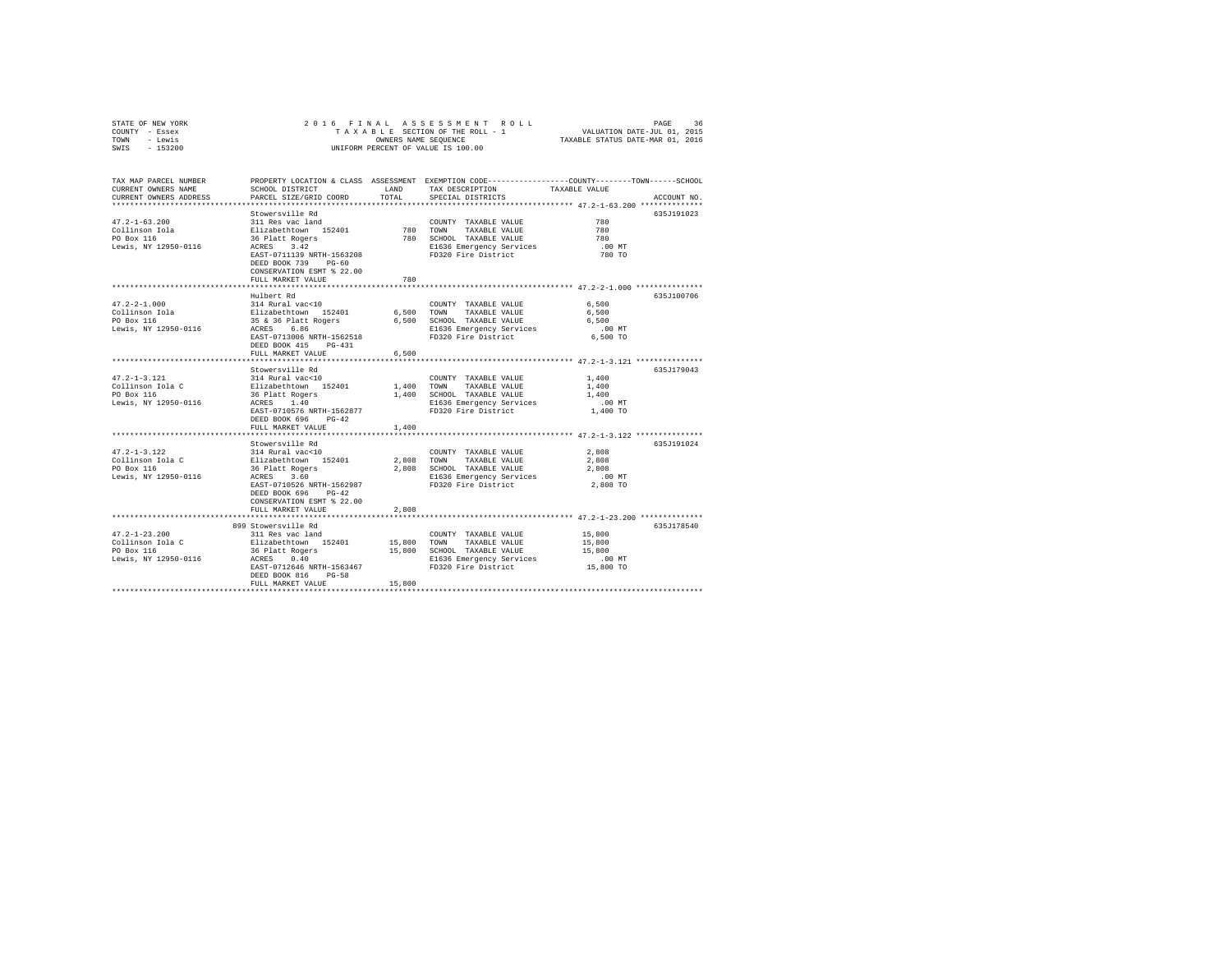| STATE OF NEW YORK<br>COUNTY - Essex                                          | 2016 FINAL                                                                                                                                                                    |               |                                                                                                                                |                                                                                                                                 |  |
|------------------------------------------------------------------------------|-------------------------------------------------------------------------------------------------------------------------------------------------------------------------------|---------------|--------------------------------------------------------------------------------------------------------------------------------|---------------------------------------------------------------------------------------------------------------------------------|--|
| TOWN<br>- Lewis<br>$-153200$<br>SWIS                                         |                                                                                                                                                                               |               | UNIFORM PERCENT OF VALUE IS 100.00                                                                                             |                                                                                                                                 |  |
| TAX MAP PARCEL NUMBER<br>CURRENT OWNERS NAME<br>CURRENT OWNERS ADDRESS       | SCHOOL DISTRICT<br>PARCEL SIZE/GRID COORD                                                                                                                                     | LAND<br>TOTAL | TAX DESCRIPTION<br>SPECIAL DISTRICTS                                                                                           | PROPERTY LOCATION & CLASS ASSESSMENT EXEMPTION CODE---------------COUNTY-------TOWN------SCHOOL<br>TAXABLE VALUE<br>ACCOUNT NO. |  |
| ************************                                                     |                                                                                                                                                                               |               |                                                                                                                                |                                                                                                                                 |  |
|                                                                              | Stowersville Rd                                                                                                                                                               |               |                                                                                                                                | 635J191023                                                                                                                      |  |
| $47.2 - 1 - 63.200$<br>Collinson Iola<br>PO Box 116                          | 311 Res vac land<br>Elizabethtown 152401<br>36 Platt Rogers<br>ACRES 3.42                                                                                                     | 780 TOWN      | COUNTY TAXABLE VALUE<br>TAXABLE VALUE<br>780 SCHOOL TAXABLE VALUE                                                              | 780<br>780<br>780                                                                                                               |  |
| Lewis, NY 12950-0116                                                         | EAST-0711139 NRTH-1563208<br>DEED BOOK 739 PG-60<br>CONSERVATION ESMT % 22.00<br>FULL MARKET VALUE                                                                            | 780           | E1636 Emergency Services<br>FD320 Fire District                                                                                | $.00$ MT<br>780 TO                                                                                                              |  |
|                                                                              |                                                                                                                                                                               |               |                                                                                                                                |                                                                                                                                 |  |
| $47.2 - 2 - 1.000$<br>Collinson Iola<br>PO Box 116<br>Lewis, NY 12950-0116   | Hulbert Rd<br>314 Rural vac<10<br>Elizabethtown 152401<br>35 & 36 Platt Rogers<br>ACRES 6.86<br>EAST-0713006 NRTH-1562518                                                     | 6,500         | COUNTY TAXABLE VALUE<br>TOWN<br>TAXABLE VALUE<br>6,500 SCHOOL TAXABLE VALUE<br>E1636 Emergency Services<br>FD320 Fire District | 635J100706<br>6,500<br>6,500<br>6.500<br>$.00$ MT<br>6,500 TO                                                                   |  |
|                                                                              | DEED BOOK 415 PG-431                                                                                                                                                          |               |                                                                                                                                |                                                                                                                                 |  |
|                                                                              | FULL MARKET VALUE                                                                                                                                                             | 6,500         |                                                                                                                                |                                                                                                                                 |  |
|                                                                              | Stowersville Rd                                                                                                                                                               |               |                                                                                                                                | 635J179043                                                                                                                      |  |
| $47.2 - 1 - 3.121$<br>Collinson Iola C<br>PO Box 116<br>Lewis, NY 12950-0116 | 314 Rural vac<10<br>Elizabethtown 152401<br>36 Platt Rogers<br>ACRES 1.40<br>EAST-0710576 NRTH-1562877<br>DEED BOOK 696 PG-42                                                 | 1,400         | COUNTY TAXABLE VALUE<br>TOWN<br>TAXABLE VALUE<br>1,400 SCHOOL TAXABLE VALUE<br>E1636 Emergency Services<br>FD320 Fire District | 1,400<br>1,400<br>1,400<br>$.00$ MT<br>1,400 TO                                                                                 |  |
|                                                                              | FULL MARKET VALUE                                                                                                                                                             | 1,400         |                                                                                                                                |                                                                                                                                 |  |
|                                                                              |                                                                                                                                                                               |               |                                                                                                                                | *********************** 47.2-1-3.122 ***************                                                                            |  |
| $47.2 - 1 - 3.122$<br>Collinson Iola C<br>PO Box 116<br>Lewis, NY 12950-0116 | Stowersville Rd<br>314 Rural vac<10<br>Elizabethtown 152401<br>36 Platt Rogers<br>ACRES 3.60<br>EAST-0710526 NRTH-1562987<br>DEED BOOK 696 PG-42<br>CONSERVATION ESMT % 22.00 | 2,808 TOWN    | COUNTY TAXABLE VALUE<br>TAXABLE VALUE<br>2,808 SCHOOL TAXABLE VALUE<br>E1636 Emergency Services<br>FD320 Fire District         | 635.T191024<br>2,808<br>2,808<br>2,808<br>$.00$ MT<br>2,808 TO                                                                  |  |
|                                                                              | FULL MARKET VALUE                                                                                                                                                             | 2,808         |                                                                                                                                |                                                                                                                                 |  |
|                                                                              |                                                                                                                                                                               |               |                                                                                                                                |                                                                                                                                 |  |
| $47.2 - 1 - 23.200$<br>Collinson Iola C<br>PO Box 116                        | 899 Stowersville Rd<br>311 Res vac land<br>Elizabethtown 152401                                                                                                               |               | COUNTY TAXABLE VALUE<br>15,800 TOWN TAXABLE VALUE<br>15,800 SCHOOL TAXABLE VALUE                                               | 635J178540<br>15,800<br>15,800<br>15,800                                                                                        |  |
| Lewis, NY 12950-0116                                                         | 36 Platt Rogers<br>ACRES 0.40<br>EAST-0712646 NRTH-1563467<br>DEED BOOK 816 PG-58                                                                                             |               | E1636 Emergency Services<br>FD320 Fire District                                                                                | $.00$ MT<br>15,800 TO                                                                                                           |  |
|                                                                              | FULL MARKET VALUE                                                                                                                                                             | 15,800        |                                                                                                                                |                                                                                                                                 |  |
|                                                                              |                                                                                                                                                                               |               |                                                                                                                                |                                                                                                                                 |  |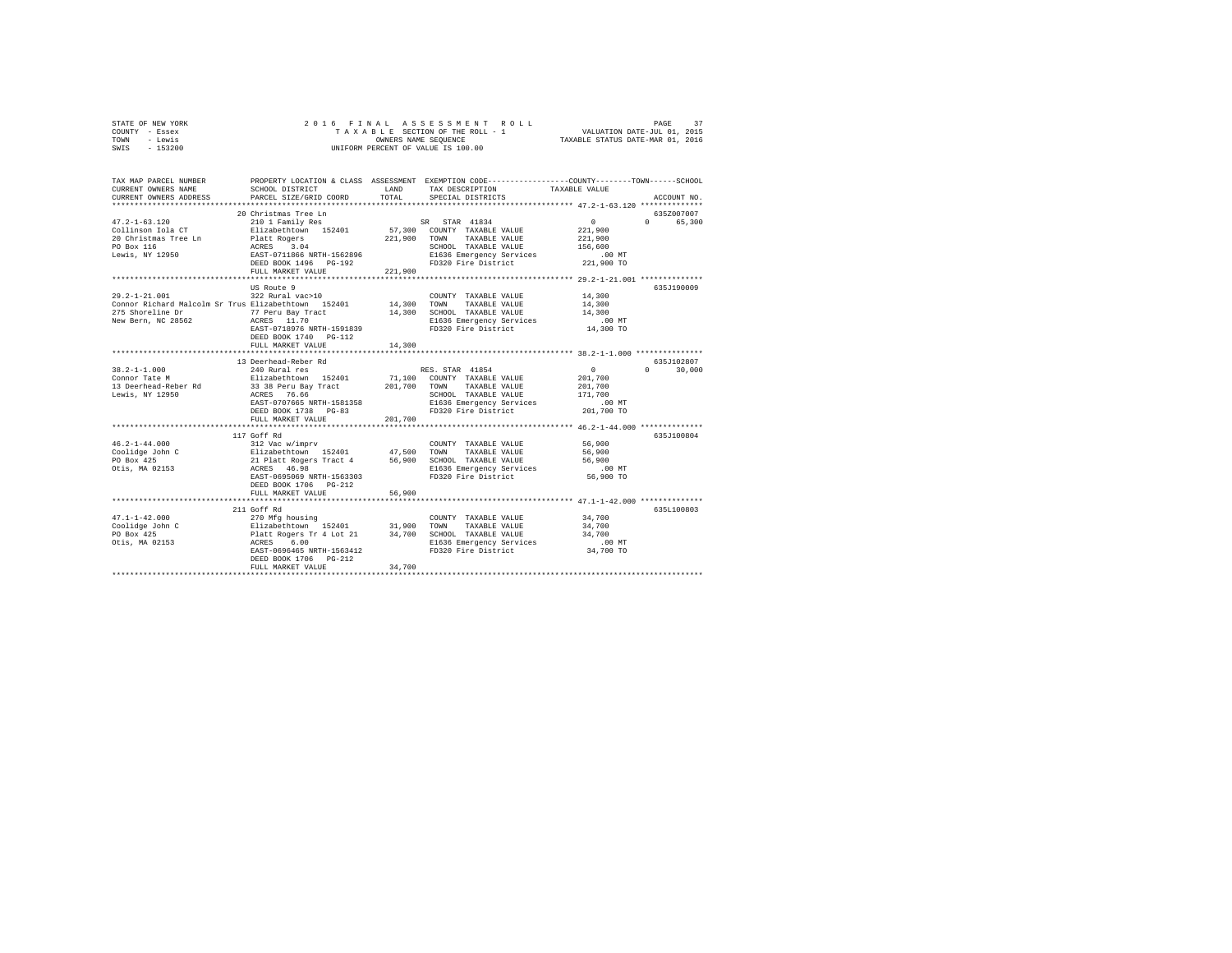| STATE OF NEW YORK | 2016 FINAL ASSESSMENT ROLL         | 37<br>PAGE                       |
|-------------------|------------------------------------|----------------------------------|
| COUNTY - Essex    | TAXABLE SECTION OF THE ROLL - 1    | VALUATION DATE-JUL 01, 2015      |
| TOWN<br>- Lewis   | OWNERS NAME SEOUENCE               | TAXABLE STATUS DATE-MAR 01, 2016 |
| $-153200$<br>SWIS | UNIFORM PERCENT OF VALUE IS 100.00 |                                  |

| TAX MAP PARCEL NUMBER<br>CURRENT OWNERS NAME                                                                                                                                                                                                  | SCHOOL DISTRICT                                                                  | T.AND   | PROPERTY LOCATION & CLASS ASSESSMENT EXEMPTION CODE----------------COUNTY-------TOWN------SCHOOL<br>TAX DESCRIPTION               | TAXABLE VALUE        |                    |
|-----------------------------------------------------------------------------------------------------------------------------------------------------------------------------------------------------------------------------------------------|----------------------------------------------------------------------------------|---------|-----------------------------------------------------------------------------------------------------------------------------------|----------------------|--------------------|
| CURRENT OWNERS ADDRESS                                                                                                                                                                                                                        | PARCEL SIZE/GRID COORD                                                           | TOTAL.  | SPECIAL DISTRICTS                                                                                                                 |                      | ACCOUNT NO.        |
|                                                                                                                                                                                                                                               | 20 Christmas Tree Ln                                                             |         |                                                                                                                                   |                      | 635Z007007         |
| $47.2 - 1 - 63.120$                                                                                                                                                                                                                           | 210 1 Family Res SR STAR 41834                                                   |         |                                                                                                                                   | $\sim$ 0             | 0 65,300           |
| Collinson Iola CT                                                                                                                                                                                                                             |                                                                                  |         | Elizabethtown 152401 57,300 COUNTY TAXABLE VALUE                                                                                  | 221,900              |                    |
| 20 Christmas Tree Ln                                                                                                                                                                                                                          |                                                                                  |         | 221,900 TOWN TAXABLE VALUE                                                                                                        | 221,900              |                    |
| PO Box 116                                                                                                                                                                                                                                    |                                                                                  |         | SCHOOL TAXABLE VALUE 156,600                                                                                                      |                      |                    |
| Lewis, NY 12950                                                                                                                                                                                                                               |                                                                                  |         | E1636 Emergency Services                                                                                                          | .00 MT               |                    |
|                                                                                                                                                                                                                                               | Platt Rogers<br>ACRES 3.04<br>EAST-0711866 NRTH-1562896<br>DEED BOOK 1496 PG-192 |         | FD320 Fire District                                                                                                               | 221,900 TO           |                    |
|                                                                                                                                                                                                                                               | FULL MARKET VALUE                                                                | 221,900 |                                                                                                                                   |                      |                    |
|                                                                                                                                                                                                                                               |                                                                                  |         |                                                                                                                                   |                      |                    |
|                                                                                                                                                                                                                                               | US Route 9                                                                       |         |                                                                                                                                   |                      | 635.7190009        |
| $29.2 - 1 - 21.001$                                                                                                                                                                                                                           | 322 Rural vac>10                                                                 |         | COUNTY TAXABLE VALUE                                                                                                              | 14,300               |                    |
| Connor Richard Malcolm Sr Trus Elizabethtown 152401                                                                                                                                                                                           |                                                                                  |         | 14,300 TOWN TAXABLE VALUE                                                                                                         | 14,300               |                    |
| 275 Shoreline Dr                                                                                                                                                                                                                              | 77 Peru Bay Tract                                                                |         | 14,300 SCHOOL TAXABLE VALUE                                                                                                       | 14,300               |                    |
| New Bern, NC 28562                                                                                                                                                                                                                            | ACRES 11.70                                                                      |         | E1636 Emergency Services<br>FD320 Fire District                                                                                   | $.00$ MT             |                    |
|                                                                                                                                                                                                                                               | EAST-0718976 NRTH-1591839                                                        |         |                                                                                                                                   | 14,300 TO            |                    |
|                                                                                                                                                                                                                                               | DEED BOOK 1740 PG-112                                                            |         |                                                                                                                                   |                      |                    |
|                                                                                                                                                                                                                                               | FULL MARKET VALUE                                                                | 14,300  |                                                                                                                                   |                      |                    |
|                                                                                                                                                                                                                                               |                                                                                  |         |                                                                                                                                   |                      |                    |
|                                                                                                                                                                                                                                               | 13 Deerhead-Reber Rd                                                             |         |                                                                                                                                   |                      | 635J102807         |
| $38.2 - 1 - 1.000$                                                                                                                                                                                                                            | 240 Rural res<br>Elizabethtown 152401                                            |         | RES. STAR 41854                                                                                                                   | $\sim$ 0<br>201,700  | $\Omega$<br>30,000 |
| Connor Tate M                                                                                                                                                                                                                                 |                                                                                  |         | 71,100 COUNTY TAXABLE VALUE                                                                                                       |                      |                    |
| 13 Deerhead-Reber Rd<br>Lewis, NY 12950                                                                                                                                                                                                       | 33 38 Peru Bay Tract 201,700 TOWN TAXABLE VALUE<br>ACRES 76.66                   |         | SCHOOL TAXABLE VALUE                                                                                                              | 201,700<br>171,700   |                    |
|                                                                                                                                                                                                                                               | EAST-0707665 NRTH-1581358                                                        |         | E1636 Emergency Services                                                                                                          |                      |                    |
|                                                                                                                                                                                                                                               | DEED BOOK 1738 PG-83                                                             |         | FD320 Fire District                                                                                                               | 00 MT.<br>201,700 TO |                    |
|                                                                                                                                                                                                                                               | FULL MARKET VALUE                                                                | 201,700 |                                                                                                                                   |                      |                    |
|                                                                                                                                                                                                                                               |                                                                                  |         |                                                                                                                                   |                      |                    |
|                                                                                                                                                                                                                                               | 117 Goff Rd                                                                      |         |                                                                                                                                   |                      | 635J100804         |
| $46.2 - 1 - 44.000$                                                                                                                                                                                                                           | 312 Vac w/imprv                                                                  |         | COUNTY TAXABLE VALUE                                                                                                              | 56,900               |                    |
|                                                                                                                                                                                                                                               |                                                                                  |         |                                                                                                                                   |                      |                    |
|                                                                                                                                                                                                                                               |                                                                                  |         |                                                                                                                                   |                      |                    |
| To the Salizabeth Contract (Separation of the Separation Coolidge John Coolidge John Coolidge John Coolidge Se<br>PO Box 425 For the Salizabeth Communication Section TaxaBLE VALUE S6,900<br>Otis, MA 02153 - ACRES 46.98 For Separ          |                                                                                  |         |                                                                                                                                   |                      |                    |
|                                                                                                                                                                                                                                               | EAST-0695069 NRTH-1563303                                                        |         | FD320 Fire District                                                                                                               | 56,900 TO            |                    |
|                                                                                                                                                                                                                                               | DEED BOOK 1706    PG-212                                                         |         |                                                                                                                                   |                      |                    |
|                                                                                                                                                                                                                                               | FULL MARKET VALUE                                                                | 56,900  |                                                                                                                                   |                      |                    |
|                                                                                                                                                                                                                                               |                                                                                  |         |                                                                                                                                   |                      |                    |
|                                                                                                                                                                                                                                               | 211 Goff Rd                                                                      |         |                                                                                                                                   |                      | 635L100803         |
|                                                                                                                                                                                                                                               |                                                                                  |         | COUNTY TAXABLE VALUE                                                                                                              | 34,700               |                    |
|                                                                                                                                                                                                                                               |                                                                                  |         |                                                                                                                                   | 34,700               |                    |
| 47.1-1-42.000<br>$270$ Mfg housing<br>$270$ Mfg housing<br>$21,900$ TOMN TAXABLE VALUE<br>$20$ Box 425<br>$25$ Platt Rogers Tr 4 Lot 21<br>$21$ 34,700 SCHOOL TAXABLE VALUE<br>$21$ 34,700 SCHOOL TAXABLE VALUE<br>$21$ 34,700 SCHOOL TAXABLE |                                                                                  |         |                                                                                                                                   | 34,700               |                    |
| Otis, MA 02153                                                                                                                                                                                                                                | ACRES 6.00                                                                       |         | SCROOM <i>Information</i> Control Control Communication CONT<br>EXAGO External Services CONT<br>Phase District Communication CONT |                      |                    |
|                                                                                                                                                                                                                                               | EAST-0696465 NRTH-1563412                                                        |         |                                                                                                                                   |                      |                    |
|                                                                                                                                                                                                                                               | DEED BOOK 1706 PG-212                                                            |         |                                                                                                                                   |                      |                    |
|                                                                                                                                                                                                                                               | FULL MARKET VALUE                                                                | 34,700  |                                                                                                                                   |                      |                    |
|                                                                                                                                                                                                                                               |                                                                                  |         |                                                                                                                                   |                      |                    |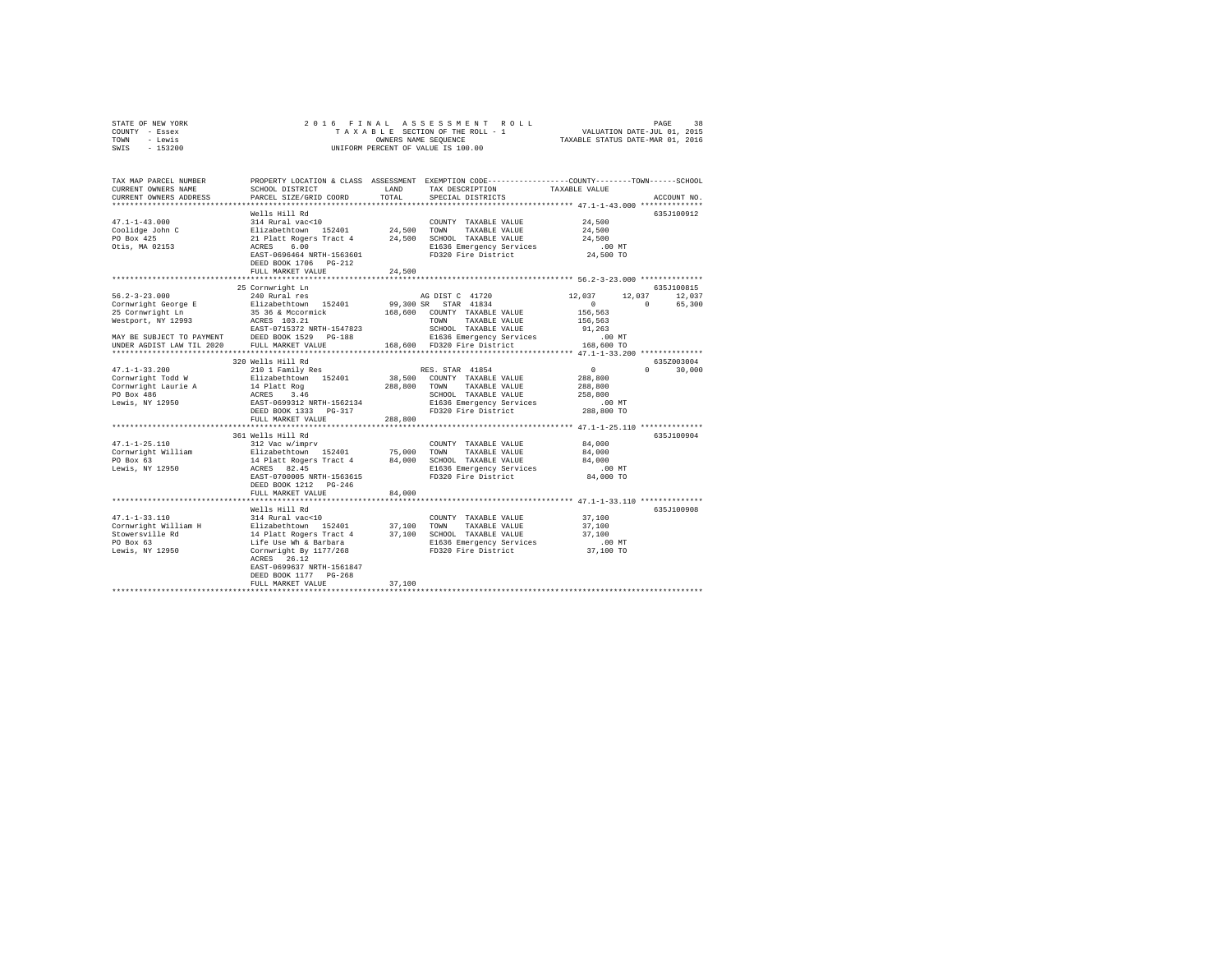| STATE OF NEW YORK | 2016 FINAL ASSESSMENT ROLL         | 38<br>PAGE                       |
|-------------------|------------------------------------|----------------------------------|
| - Essex<br>COUNTY | TAXABLE SECTION OF THE ROLL - 1    | VALUATION DATE-JUL 01, 2015      |
| - Lewis<br>TOWN   | OWNERS NAME SEOUENCE               | TAXABLE STATUS DATE-MAR 01, 2016 |
| $-153200$<br>SWIS | UNIFORM PERCENT OF VALUE IS 100.00 |                                  |

| TAX MAP PARCEL NUMBER<br>CURRENT OWNERS NAME<br>CURRENT OWNERS ADDRESS | PROPERTY LOCATION & CLASS ASSESSMENT<br>SCHOOL DISTRICT<br>PARCEL SIZE/GRID COORD                                                                                                                    | LAND<br>TOTAL | EXEMPTION CODE-----------------COUNTY-------TOWN------SCHOOL<br>TAX DESCRIPTION<br>SPECIAL DISTRICTS | TAXABLE VALUE                                  | ACCOUNT NO.        |
|------------------------------------------------------------------------|------------------------------------------------------------------------------------------------------------------------------------------------------------------------------------------------------|---------------|------------------------------------------------------------------------------------------------------|------------------------------------------------|--------------------|
|                                                                        |                                                                                                                                                                                                      |               |                                                                                                      |                                                |                    |
|                                                                        | Wells Hill Rd                                                                                                                                                                                        |               |                                                                                                      |                                                | 635J100912         |
| $47.1 - 1 - 43.000$                                                    | 314 Rural vac<10                                                                                                                                                                                     |               | COUNTY TAXABLE VALUE                                                                                 | 24,500                                         |                    |
| Coolidge John C<br>DO Boy 425                                          |                                                                                                                                                                                                      |               |                                                                                                      | 24,500                                         |                    |
|                                                                        | Elizabethtown 152401 – 24,500 TOWN TAXABLE-VALUE<br>21 Platt-Rogers Tract 4 – 24,500 SCHOOL TAXABLE-VALUE<br>ACRES 6.00                                                                              |               |                                                                                                      | 24,500                                         |                    |
| Otis, MA 02153                                                         |                                                                                                                                                                                                      |               | E1636 Emergency Services                                                                             | .00 MT                                         |                    |
|                                                                        | EAST-0696464 NRTH-1563601                                                                                                                                                                            |               | FD320 Fire District                                                                                  | 24,500 TO                                      |                    |
|                                                                        | DEED BOOK 1706 PG-212                                                                                                                                                                                |               |                                                                                                      |                                                |                    |
|                                                                        | FULL MARKET VALUE                                                                                                                                                                                    | 24,500        |                                                                                                      |                                                |                    |
|                                                                        |                                                                                                                                                                                                      |               |                                                                                                      |                                                | 635J100815         |
| $56.2 - 3 - 23.000$                                                    | 25 Cornwright Ln<br>240 Rural res                                                                                                                                                                    |               | AG DIST C 41720                                                                                      | 12,037                                         | 12,037<br>12,037   |
| Cornwright George E                                                    |                                                                                                                                                                                                      |               | 99,300 SR STAR 41834                                                                                 | $\sim$                                         | $\Omega$<br>65,300 |
| 25 Cornwright Ln                                                       | Elizabethtown 152401<br>35 36 & Mccormick                                                                                                                                                            |               | 168,600 COUNTY TAXABLE VALUE                                                                         |                                                |                    |
|                                                                        | ACRES 103.21                                                                                                                                                                                         |               | TOWN<br>TAXABLE VALUE                                                                                | 156,563                                        |                    |
| Westport, NY 12993                                                     | EAST-0715372 NRTH-1547823                                                                                                                                                                            |               |                                                                                                      | 156,563<br>91,263                              |                    |
| MAY BE SUBJECT TO PAYMENT                                              | DEED BOOK 1529 PG-188                                                                                                                                                                                |               | SCHOOL TAXABLE VALUE<br>E1636 Emergency Services                                                     | $.00$ MT                                       |                    |
| UNDER AGDIST LAW TIL 2020                                              | FULL MARKET VALUE                                                                                                                                                                                    |               | 168,600 FD320 Fire District 168,600 TO                                                               |                                                |                    |
|                                                                        |                                                                                                                                                                                                      |               |                                                                                                      |                                                |                    |
|                                                                        | 320 Wells Hill Rd                                                                                                                                                                                    |               |                                                                                                      |                                                | 635Z003004         |
| $47.1 - 1 - 33.200$                                                    | 210 1 Family Res                                                                                                                                                                                     |               | RES. STAR 41854                                                                                      | $\sim$ 0                                       | $\Omega$<br>30,000 |
|                                                                        |                                                                                                                                                                                                      |               | 38,500 COUNTY TAXABLE VALUE                                                                          | 288,800                                        |                    |
| Cornwright Todd W<br>Cornwright Laurie A                               | Elizabethtown 152401<br>14 Platt Rog<br>ACRES 3.46<br>EAST-0699312 NRTH-1562134<br>DEED BOOK 1333 PG-317                                                                                             |               | 288,800 TOWN TAXABLE VALUE                                                                           | 288,800                                        |                    |
|                                                                        |                                                                                                                                                                                                      |               | SCHOOL TAXABLE VALUE                                                                                 | 258,800                                        |                    |
| PO Box 486<br>Lewis, NY 12950                                          |                                                                                                                                                                                                      |               | E1636 Emergency Services                                                                             | .00 MT                                         |                    |
|                                                                        |                                                                                                                                                                                                      |               | FD320 Fire District                                                                                  | 288,800 TO                                     |                    |
|                                                                        | FULL MARKET VALUE                                                                                                                                                                                    | 288,800       |                                                                                                      |                                                |                    |
|                                                                        |                                                                                                                                                                                                      |               | ************************                                                                             | **************** 47.1-1-25.110 *************** |                    |
|                                                                        | 361 Wells Hill Rd                                                                                                                                                                                    |               |                                                                                                      |                                                | 635J100904         |
| $47.1 - 1 - 25.110$                                                    | 312 Vac w/imprv                                                                                                                                                                                      |               | COUNTY TAXABLE VALUE                                                                                 | 84,000                                         |                    |
|                                                                        |                                                                                                                                                                                                      |               |                                                                                                      | 84,000                                         |                    |
|                                                                        |                                                                                                                                                                                                      |               |                                                                                                      | 84,000                                         |                    |
|                                                                        | Cornwright William Silzabethtown 152401 75,000 TOWN TAXABLE VALUE<br>PO Box 63 14 Platt Rogers Tract 4 84,000 SCHOOL TAXABLE VALUE<br>Lewis, NY 12950 1 ACRES 82.45 12950 E1636 Emergency Services   |               | E1636 Emergency Services                                                                             | .00 MT                                         |                    |
|                                                                        | EAST-0700005 NRTH-1563615                                                                                                                                                                            |               | FD320 Fire District                                                                                  | 84,000 TO                                      |                    |
|                                                                        | DEED BOOK 1212 PG-246                                                                                                                                                                                |               |                                                                                                      |                                                |                    |
|                                                                        | FULL MARKET VALUE                                                                                                                                                                                    | 84,000        |                                                                                                      |                                                |                    |
|                                                                        |                                                                                                                                                                                                      |               |                                                                                                      |                                                |                    |
|                                                                        | Wells Hill Rd                                                                                                                                                                                        |               |                                                                                                      |                                                | 635J100908         |
| $47.1 - 1 - 33.110$                                                    | 314 Rural vac<10                                                                                                                                                                                     |               | COUNTY TAXABLE VALUE                                                                                 | 37,100                                         |                    |
| Cornwright William H                                                   |                                                                                                                                                                                                      |               |                                                                                                      | 37,100                                         |                    |
| Stowersville Rd                                                        | 314 Kural Vaccio – 152401 – 27,100 – COUNIT TAXABLE VALUE 14 Platt Rogers Tract 4 – 37,100 – SCHOOL TAXABLE VALUE<br>14 Platt Rogers Tract 4 – 37,100 – SCHOOL TAXABLE VALUE<br>16 E de Wh & Barbara |               |                                                                                                      | 37,100                                         |                    |
| PO Box 63                                                              |                                                                                                                                                                                                      |               |                                                                                                      | $.00$ MT                                       |                    |
| Lewis, NY 12950                                                        | Cornwright By 1177/268                                                                                                                                                                               |               | FD320 Fire District                                                                                  | 37,100 TO                                      |                    |
|                                                                        | ACRES 26.12                                                                                                                                                                                          |               |                                                                                                      |                                                |                    |
|                                                                        | EAST-0699637 NRTH-1561847                                                                                                                                                                            |               |                                                                                                      |                                                |                    |
|                                                                        | DEED BOOK 1177 PG-268                                                                                                                                                                                |               |                                                                                                      |                                                |                    |
|                                                                        | FULL MARKET VALUE                                                                                                                                                                                    | 37,100        |                                                                                                      |                                                |                    |
|                                                                        |                                                                                                                                                                                                      |               |                                                                                                      |                                                |                    |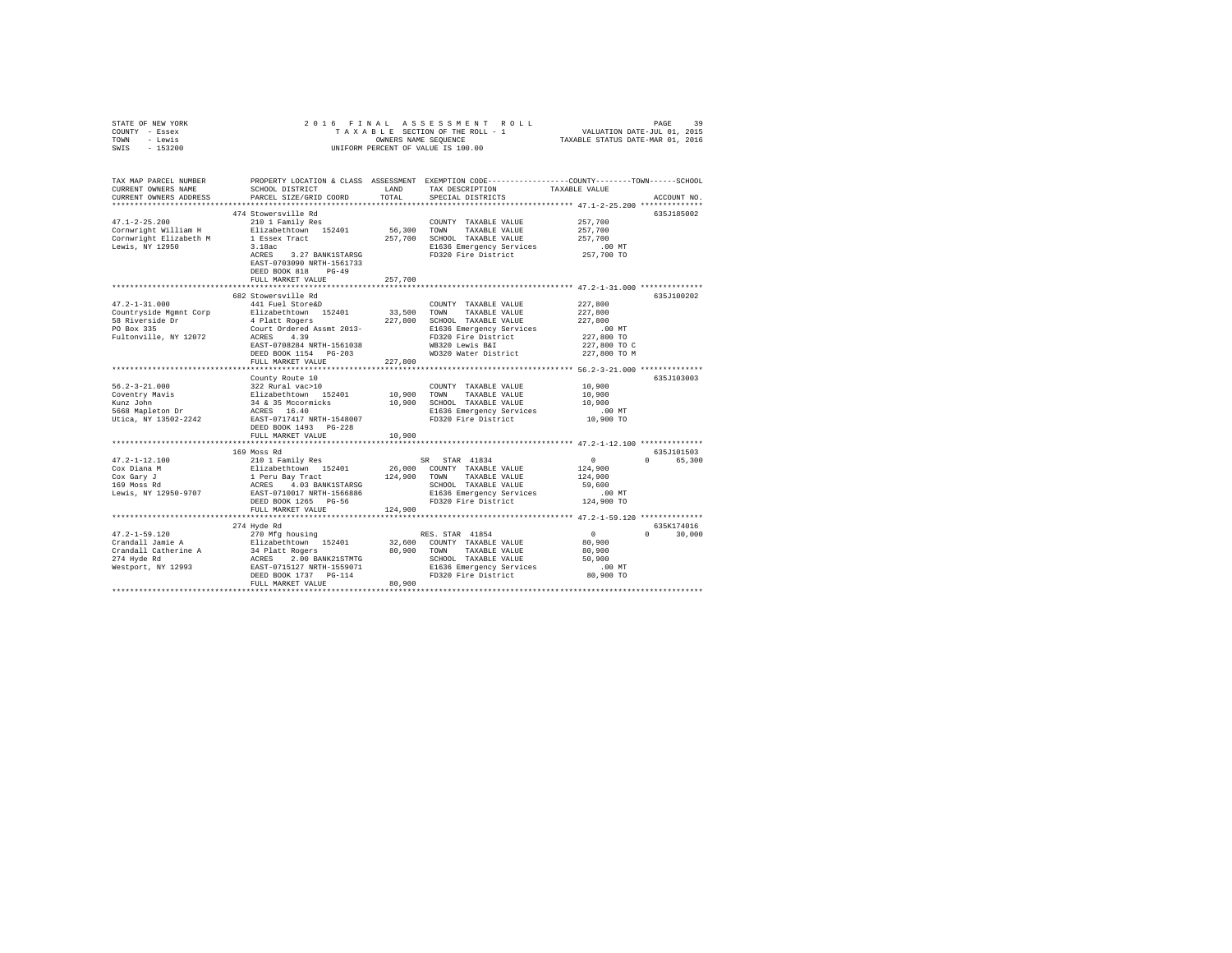| STATE OF NEW YORK<br>COUNTY - Essex<br>TOWN - Lewis<br>SWIS<br>$-153200$                                                                                                                                                                                               | 2016 FINAL<br>OWNERS NAME SEQUENCE<br>UNIFORM PERCENT OF VALUE IS 100.00                                                                                                                                                                              |                   |                                                                                                                                                                                         |                                                                                         |                             |
|------------------------------------------------------------------------------------------------------------------------------------------------------------------------------------------------------------------------------------------------------------------------|-------------------------------------------------------------------------------------------------------------------------------------------------------------------------------------------------------------------------------------------------------|-------------------|-----------------------------------------------------------------------------------------------------------------------------------------------------------------------------------------|-----------------------------------------------------------------------------------------|-----------------------------|
| TAX MAP PARCEL NUMBER PROPERTY LOCATION & CLASS ASSESSMENT EXEMPTION CODE---------------COUNTY-------TOWN------SCHOOL<br>CURRENT OWNERS NAME<br>CURRENT OWNERS ADDRESS<br>*************************                                                                    | SCHOOL DISTRICT LAND<br>PARCEL SIZE/GRID COORD                                                                                                                                                                                                        | TOTAL             | TAX DESCRIPTION<br>SPECIAL DISTRICTS                                                                                                                                                    | TAXABLE VALUE                                                                           | ACCOUNT NO.                 |
| $47.1 - 2 - 25.200$<br>Cornwright William H<br>Cornwright Elizabeth M<br>Lewis, NY 12950                                                                                                                                                                               | 474 Stowersville Rd<br>210 1 Family Res<br>Elizabethtown 152401<br>1 Essex Tract<br>3.18ac<br>ACRES 3.27 BANK1STARSG<br>EAST-0703090 NRTH-1561733<br>DEED BOOK 818 PG-49<br>FULL MARKET VALUE                                                         | 56,300<br>257,700 | COUNTY TAXABLE VALUE<br>TOWN<br>TAXABLE VALUE<br>257,700 SCHOOL TAXABLE VALUE<br>E1636 Emergency Services<br>FD320 Fire District                                                        | 257,700<br>257,700<br>257,700<br>$.00$ MT<br>257,700 TO                                 | 635J185002                  |
|                                                                                                                                                                                                                                                                        |                                                                                                                                                                                                                                                       |                   |                                                                                                                                                                                         |                                                                                         |                             |
| $47.2 - 1 - 31.000$<br>Countryside Mymnt Corp<br>Countryside Mymnt Corp<br>217,800 COMN TAXABLE VALUE<br>58 Riverside Dr<br>227,800 COMN TAXABLE VALUE<br>FO Box 335<br>227,800 COMN TAXABLE VALUE<br>FO Box 335<br>227,800 COMN TAXABLE VALUE<br>227,800 COMN TAXABLE | 682 Stowersville Rd<br>441 Fuel Store&D<br>FULL MARKET VALUE                                                                                                                                                                                          | 227,800           | COUNTY TAXABLE VALUE<br>E1636 Emergency Services<br>FD320 Fire District                                                                                                                 | 227,800<br>227,800<br>227,800<br>$.00$ MT<br>227,800 TO<br>227,800 TO C<br>227,800 TO M | 635J100202                  |
|                                                                                                                                                                                                                                                                        |                                                                                                                                                                                                                                                       |                   |                                                                                                                                                                                         |                                                                                         |                             |
|                                                                                                                                                                                                                                                                        | County Route 10                                                                                                                                                                                                                                       |                   | COUNTY TAXABLE VALUE<br>10,900 TOWN TAXABLE VALUE<br>10,900 SCHOOL TAXABLE VALUE<br>E1636 Emergency Services<br>FD320 Fire District                                                     | 10,900<br>10,900<br>10,900<br>$.00$ MT<br>10,900 TO                                     | 635J103003                  |
|                                                                                                                                                                                                                                                                        | FULL MARKET VALUE                                                                                                                                                                                                                                     | 10,900            |                                                                                                                                                                                         |                                                                                         |                             |
| $47.2 - 1 - 12.100$<br>Cox Diana M<br>Cox Gary J<br>169 Moss Rd<br>Lewis, NY 12950-9707                                                                                                                                                                                | 169 Moss Rd<br>The SR STAR (1998) SR STAR (1999)<br>26,000 COUNTY 152401 26,000 COUNTY<br>1 Peru Bay Tract (1998) 26,000 TOWN<br>1 Peru Bay Tract (1998) 26,000 TOWN<br>202001017 NRTH-1566886 S11636 Em<br>DEED BOOK 1265 PG-56<br>FULL MARKET VALUE | 124,900           | SR STAR 41834<br>26,000 COUNTY TAXABLE VALUE<br>TAXABLE VALUE<br>SCHOOL TAXABLE VALUE<br>SCHOOL TAXABLE VALUE<br>E1636 Emergency Services<br>FD320 Fire District<br>FD320 Fire District | $\sim$ 0<br>124,900<br>124,900<br>59,600<br>$.00$ MT<br>124,900 TO                      | 635J101503<br>0 65,300      |
|                                                                                                                                                                                                                                                                        |                                                                                                                                                                                                                                                       |                   |                                                                                                                                                                                         |                                                                                         |                             |
|                                                                                                                                                                                                                                                                        | 274 Hyde Rd<br>FULL MARKET VALUE                                                                                                                                                                                                                      | 80,900            |                                                                                                                                                                                         | $\sim$ 0<br>80,900<br>80,900<br>50,900<br>.00 MT<br>80,900 TO                           | 635K174016<br>$0 \t 30,000$ |
|                                                                                                                                                                                                                                                                        |                                                                                                                                                                                                                                                       |                   |                                                                                                                                                                                         |                                                                                         |                             |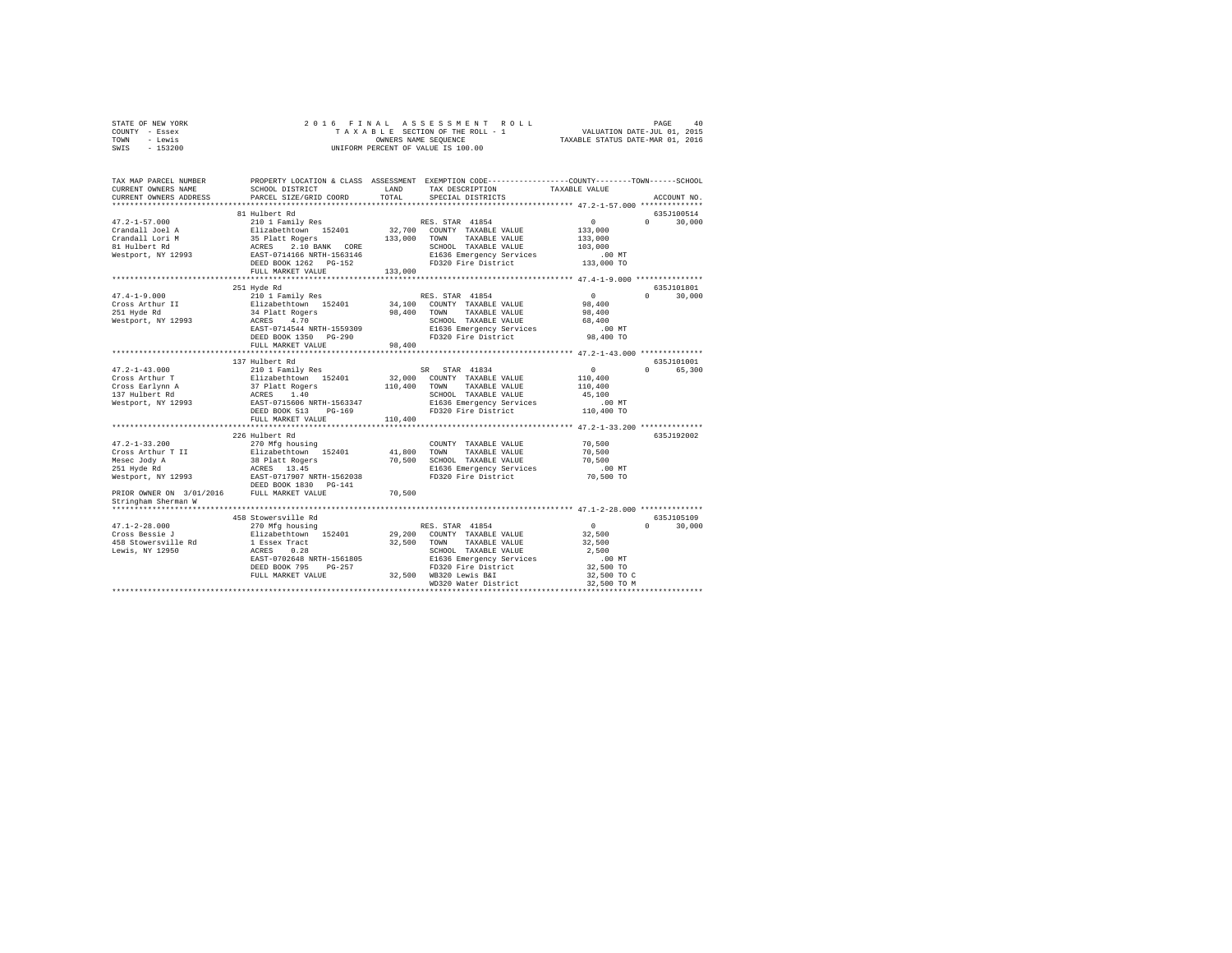| STATE OF NEW YORK | 2016 FINAL ASSESSMENT ROLL         | 40<br>PAGE                       |
|-------------------|------------------------------------|----------------------------------|
| COUNTY - Essex    | TAXABLE SECTION OF THE ROLL - 1    | VALUATION DATE-JUL 01, 2015      |
| TOWN<br>- Lewis   | OWNERS NAME SEOUENCE               | TAXABLE STATUS DATE-MAR 01, 2016 |
| SWIS - 153200     | UNIFORM PERCENT OF VALUE IS 100.00 |                                  |

| TAX MAP PARCEL NUMBER<br>CURRENT OWNERS NAME<br>CURRENT OWNERS ADDRESS                                                                                    | SCHOOL DISTRICT<br>PARCEL SIZE/GRID COORD                                                                                                                                                                                                           | LAND<br>TOTAL                          | PROPERTY LOCATION & CLASS ASSESSMENT EXEMPTION CODE----------------COUNTY-------TOWN-----SCHOOL<br>TAX DESCRIPTION<br>SPECIAL DISTRICTS                                                                                                                                   | TAXABLE VALUE                                                                                                           | ACCOUNT NO.                                   |
|-----------------------------------------------------------------------------------------------------------------------------------------------------------|-----------------------------------------------------------------------------------------------------------------------------------------------------------------------------------------------------------------------------------------------------|----------------------------------------|---------------------------------------------------------------------------------------------------------------------------------------------------------------------------------------------------------------------------------------------------------------------------|-------------------------------------------------------------------------------------------------------------------------|-----------------------------------------------|
|                                                                                                                                                           |                                                                                                                                                                                                                                                     |                                        |                                                                                                                                                                                                                                                                           |                                                                                                                         |                                               |
|                                                                                                                                                           | 81 Hulbert Rd                                                                                                                                                                                                                                       |                                        |                                                                                                                                                                                                                                                                           |                                                                                                                         | 635J100514                                    |
| $47.2 - 1 - 57.000$<br>Crandall Joel A<br>Crandall Lori M<br>81 Hulbert Rd<br>Westport, NY 12993                                                          | 210 1 Family Res<br>Elizabethtown 152401<br>35 Platt Rogers<br>ACRES 2.10 BANK CORE<br>EAST-0714166 NRTH-1563146<br>DEED BOOK 1262 PG-152<br>FULL MARKET VALUE                                                                                      | 133,000<br>133,000                     | RES. STAR 41854<br>32,700 COUNTY TAXABLE VALUE<br>TAXABLE VALUE<br>TOWN<br>SCHOOL TAXABLE VALUE<br>E1636 Emergency Services<br>FD320 Fire District                                                                                                                        | $\sim$ 0<br>133,000<br>133,000<br>103,000<br>.00 MT<br>133,000 TO                                                       | $\Omega$<br>30,000                            |
|                                                                                                                                                           | *********************                                                                                                                                                                                                                               |                                        |                                                                                                                                                                                                                                                                           |                                                                                                                         |                                               |
| $47.4 - 1 - 9.000$<br>Cross Arthur II<br>251 Hyde Rd<br>251 Hyde Rd<br>Westport, NY 12993                                                                 | 251 Hyde Rd<br>210 1 Family Res<br>Elizabethtown 152401<br>34 Platt Rogers<br>ACRES<br>4.70<br>EAST-0714544 NRTH-1559309<br>DEED BOOK 1350 PG-290                                                                                                   | 98,400                                 | RES. STAR 41854<br>34,100 COUNTY TAXABLE VALUE<br>TAXABLE VALUE<br>TOWN<br>SCHOOL TAXABLE VALUE<br>E1636 Emergency Services<br>FD320 Fire District                                                                                                                        | $\mathbf{0}$<br>98,400<br>98,400<br>68,400<br>.00 MT<br>98,400 TO                                                       | 635J101801<br>$\Omega$ and $\Omega$<br>30,000 |
|                                                                                                                                                           | FULL MARKET VALUE                                                                                                                                                                                                                                   | 98,400                                 |                                                                                                                                                                                                                                                                           |                                                                                                                         |                                               |
| $47.2 - 1 - 43.000$<br>Cross Arthur T<br>Cross Earlynn A<br>$47.2 - 1 - 33.200$<br>Cross Arthur T II<br>Mesec Jody A<br>251 Hyde Rd<br>Westport, NY 12993 | 137 Hulbert Rd<br>210 1 Family Res<br>DEED BOOK 513 PG-169<br>FULL MARKET VALUE<br>226 Hulbert Rd<br>270 Mfg housing<br>Elizabethtown 152401<br>38 Platt Rogers<br>ACRES 13.45<br>ACRES 13.45<br>EAST-0717907 NRTH-1562038<br>DEED BOOK 1830 PG-141 | 110,400<br>110,400<br>41,800<br>70,500 | SR STAR 41834<br>32,000 COUNTY TAXABLE VALUE<br>TOWN TAXABLE VALUE<br>SCHOOL TAXABLE VALUE<br>E1636 Emergency Services<br>FD320 Fire District<br>COUNTY TAXABLE VALUE<br>TOWN<br>TAXABLE VALUE<br>SCHOOL TAXABLE VALUE<br>E1636 Emergency Services<br>FD320 Fire District | $\sim$ 0<br>110,400<br>110,400<br>45,100<br>.00 MT<br>110,400 TO<br>70,500<br>70,500<br>70,500<br>$.00$ MT<br>70,500 TO | 635J101001<br>0 65,300<br>635J192002          |
| PRIOR OWNER ON 3/01/2016 FULL MARKET VALUE<br>Stringham Sherman W                                                                                         |                                                                                                                                                                                                                                                     | 70,500                                 |                                                                                                                                                                                                                                                                           |                                                                                                                         |                                               |
|                                                                                                                                                           |                                                                                                                                                                                                                                                     |                                        |                                                                                                                                                                                                                                                                           |                                                                                                                         | 635J105109                                    |
| $47.1 - 2 - 28.000$<br>Cross Bessie J<br>458 Stowersville Rd<br>Lewis, NY 12950                                                                           | 458 Stowersville Rd<br>270 Mfg housing<br>Elizabethtown 152401<br>1 Essex Tract<br>ACRES 0.28<br>EAST-0702648 NRTH-1561805<br>DEED BOOK 795<br>PG-257<br>FULL MARKET VALUE                                                                          | 32,500                                 | RES. STAR 41854<br>29.200 COUNTY TAXABLE VALUE<br>TAXABLE VALUE<br>TOWN<br>SCHOOL TAXABLE VALUE<br>E1636 Emergency Services<br>FD320 Fire District<br>32,500 WB320 Lewis B&I<br>WD320 Water District                                                                      | $\sim$ 0<br>32,500<br>32,500<br>2,500<br>$.00$ MT<br>32,500 TO<br>32,500 TO C<br>32,500 TO M                            | $\Omega$<br>30,000                            |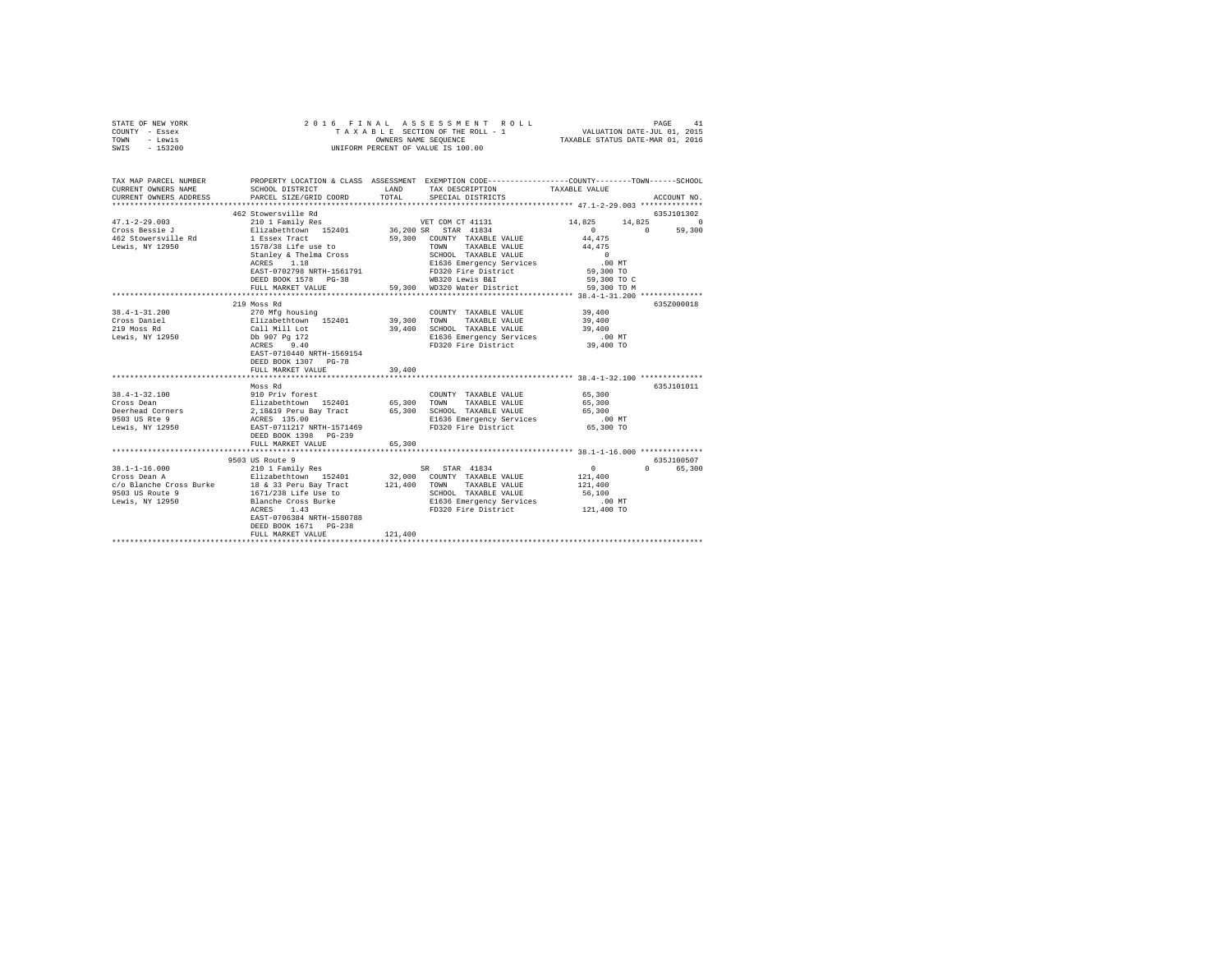| STATE OF NEW YORK<br>COUNTY - Essex<br>TOWN - Lewis<br>SWIS - 153200                                                                                                   | 2016 FINAL                                                                                                                                                                                                                                                               | OWNERS NAME SEOUENCE | ASSESSMENT ROLL<br>TAXABLE SECTION OF THE ROLL - 1<br>UNIFORM PERCENT OF VALUE IS 100.00                                                                                                  | VALUATION DATE-JUL 01, 2015<br>TAXABLE STATUS DATE-MAR 01, 2016      | PAGE<br>41             |
|------------------------------------------------------------------------------------------------------------------------------------------------------------------------|--------------------------------------------------------------------------------------------------------------------------------------------------------------------------------------------------------------------------------------------------------------------------|----------------------|-------------------------------------------------------------------------------------------------------------------------------------------------------------------------------------------|----------------------------------------------------------------------|------------------------|
| TAX MAP PARCEL NUMBER PROPERTY LOCATION & CLASS ASSESSMENT EXEMPTION CODE---------------COUNTY-------TOWN------SCHOOL<br>CURRENT OWNERS NAME<br>CURRENT OWNERS ADDRESS | SCHOOL DISTRICT<br>PARCEL SIZE/GRID COORD                                                                                                                                                                                                                                | LAND<br>TOTAL        | TAX DESCRIPTION<br>SPECIAL DISTRICTS                                                                                                                                                      | TAXABLE VALUE                                                        | ACCOUNT NO.            |
|                                                                                                                                                                        |                                                                                                                                                                                                                                                                          |                      |                                                                                                                                                                                           |                                                                      |                        |
|                                                                                                                                                                        | 462 Stowersville Rd                                                                                                                                                                                                                                                      |                      |                                                                                                                                                                                           |                                                                      | 635J101302             |
| $47.1 - 2 - 29.003$                                                                                                                                                    | 210 1 Family Res                                                                                                                                                                                                                                                         |                      | VET COM CT 41131                                                                                                                                                                          | 14,825 14,825 0                                                      |                        |
| Cross Bessie J<br>462 Stowersville Rd<br>Lewis, NY 12950                                                                                                               | ElizabethCown 152401 36,200 SR STAR 41834<br>1 Sasex Tract 59,300 COUNTY TAXABLE VALUE<br>1578/38 Life use to TOWN TAXABLE VALUE<br>Stanley & Thelma Cross<br>ACRES 1.18<br>EAST-0702798 NRTH-1561791<br>DEED BOOK 1578 PG-38<br>FULL MARKET VALUE                       |                      | 59,300 COUNTY TAXABLE VALUE<br>TOWN TAXABLE VALUE<br>SCHOOL TAXABLE VALUE<br>E1636 Emergency Services<br>FD320 Fire District<br>--00 towie B&T<br>59.300 WD320 Water District 59.300 TO M | 44,475<br>44,475<br>$\sim$ 0<br>$.00$ MT<br>59,300 TO<br>59,300 TO C | $0 \t 59,300$          |
|                                                                                                                                                                        |                                                                                                                                                                                                                                                                          |                      |                                                                                                                                                                                           |                                                                      |                        |
|                                                                                                                                                                        | 219 Moss Rd                                                                                                                                                                                                                                                              |                      |                                                                                                                                                                                           |                                                                      | 635Z000018             |
| $38.4 - 1 - 31.200$<br>Cross Daniel<br>219 Moss Rd<br>Lewis, NY 12950                                                                                                  | 270 Mfg housing<br>Elizabethtown 152401 39,300<br>Call Mill Lot 39,400<br>Db 907 Pg 172<br>ACRES 9.40<br>EAST-0710440 NRTH-1569154<br>DEED BOOK 1307 PG-78                                                                                                               |                      | COUNTY TAXABLE VALUE<br>TOWN<br>TAXABLE VALUE<br>39,400 SCHOOL TAXABLE VALUE<br>E1636 Emergency Services<br>FD320 Fire District                                                           | 39,400<br>39,400<br>39,400<br>$.00$ MT<br>$39,400$ TO                |                        |
|                                                                                                                                                                        | FULL MARKET VALUE<br>**********************                                                                                                                                                                                                                              | 39,400               |                                                                                                                                                                                           | ********************** 38.4-1-32.100 **************                  |                        |
| $38.4 - 1 - 32.100$<br>Cross Dean<br>Deerhead Corners<br>9503 US Rte 9<br>Lewis, NY 12950                                                                              | Moss Rd<br>Noss AM<br>Filizabethrown 152401 65,300 TOWN TAXABLE VALUE<br>Elizabethrown 152401 65,300 TOWN TAXABLE VALUE<br>2,18&19 Peru Bay Tract 65,300 SCHOOL TAXABLE VALUE<br>ACRES 135.00 E1636 Emergency Services<br>BAST-D711217 NRTH-1571469<br>FULL MARKET VALUE | 65,300               |                                                                                                                                                                                           | 65,300<br>65,300<br>65,300<br>$.00$ MT<br>65,300 TO                  | 635J101011             |
|                                                                                                                                                                        |                                                                                                                                                                                                                                                                          |                      |                                                                                                                                                                                           |                                                                      |                        |
| 38.1-1-16.000<br>Cross Dean A                                                                                                                                          | 9503 US Route 9<br>210 1 Family Res<br>Elizabethtown 152401 32,000 COUNTY TAXABLE VALUE<br>EAST-0706384 NRTH-1580788<br>DEED BOOK 1671 PG-238<br>FULL MARKET VALUE                                                                                                       | 121,400              | SR STAR 41834<br>SCHOOL TAXABLE VALUE<br>E1636 Emergency Services<br>FD320 Fire District 121,400 TO                                                                                       | $\sim$ 0<br>121,400<br>121,400<br>56,100<br>$.00$ MT                 | 635J100507<br>0 65,300 |
|                                                                                                                                                                        |                                                                                                                                                                                                                                                                          |                      |                                                                                                                                                                                           |                                                                      |                        |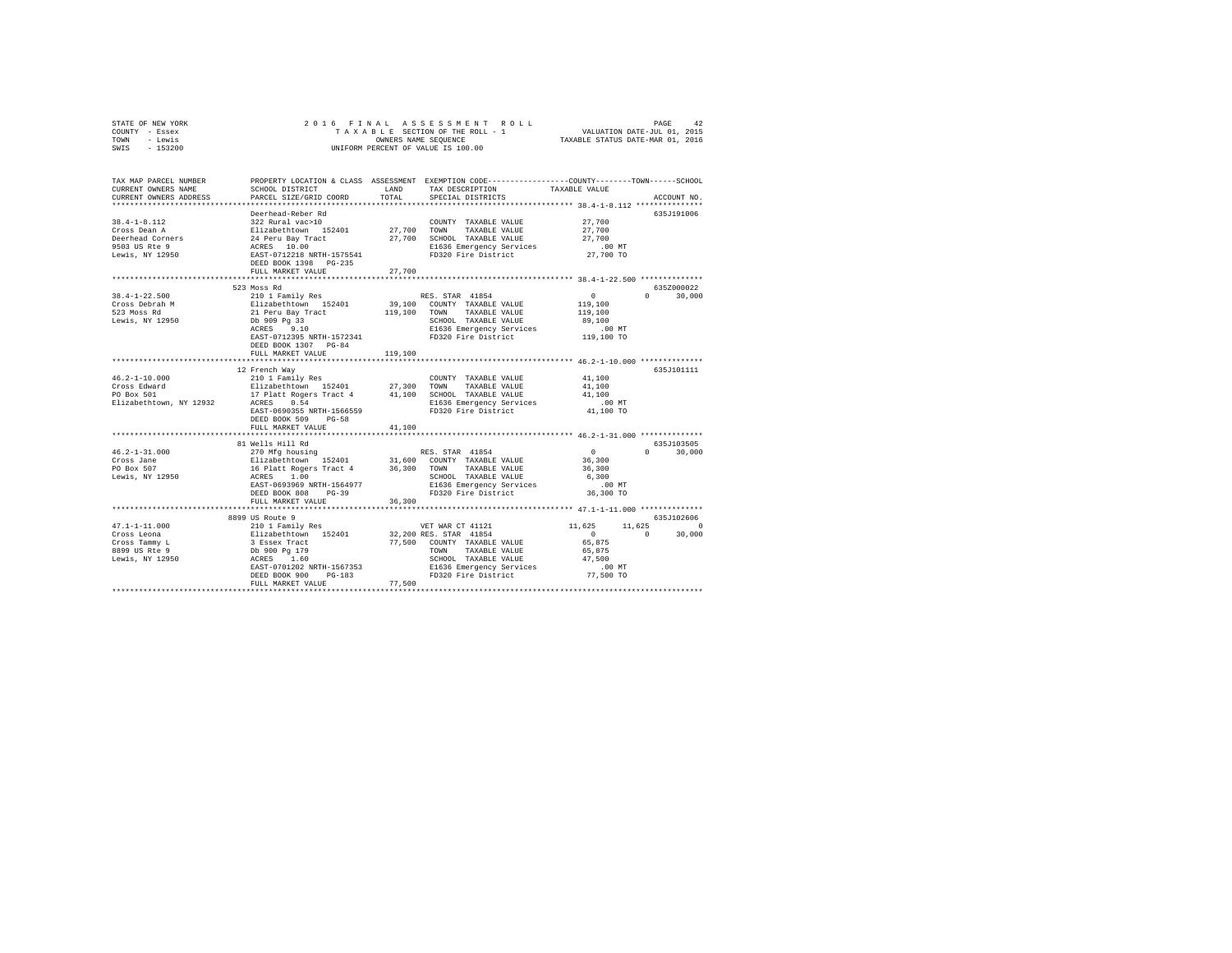|      | STATE OF NEW YORK |  | 2016 FINAL ASSESSMENT ROLL         |                                  | PAGE                        | 42 |
|------|-------------------|--|------------------------------------|----------------------------------|-----------------------------|----|
|      | COUNTY - Essex    |  | TAXABLE SECTION OF THE ROLL - 1    |                                  | VALUATION DATE-JUL 01, 2015 |    |
| TOWN | - Lewis           |  | OWNERS NAME SEOUENCE               | TAXABLE STATUS DATE-MAR 01, 2016 |                             |    |
| SWIS | - 153200          |  | UNIFORM PERCENT OF VALUE IS 100.00 |                                  |                             |    |

| TAX MAP PARCEL NUMBER<br>CURRENT OWNERS NAME | SCHOOL DISTRICT                                                                                             | LAND          | PROPERTY LOCATION & CLASS ASSESSMENT EXEMPTION CODE---------------COUNTY-------TOWN-----SCHOOL<br>TAX DESCRIPTION | TAXABLE VALUE         |                        |
|----------------------------------------------|-------------------------------------------------------------------------------------------------------------|---------------|-------------------------------------------------------------------------------------------------------------------|-----------------------|------------------------|
| CURRENT OWNERS ADDRESS                       | PARCEL SIZE/GRID COORD                                                                                      | TOTAL         | SPECIAL DISTRICTS                                                                                                 |                       | ACCOUNT NO.            |
|                                              | ***************************                                                                                 |               |                                                                                                                   |                       |                        |
|                                              | Deerhead-Reber Rd                                                                                           |               |                                                                                                                   |                       | 635J191006             |
| $38.4 - 1 - 8.112$                           | 322 Rural vac>10                                                                                            |               | COUNTY TAXABLE VALUE                                                                                              | 27,700                |                        |
| Cross Dean A                                 | Elizabethtown 152401<br>24 Peru Bay Tract<br>ACRES 10.00<br>EAST-0712218 NRTH-1575541                       | 27.700 TOWN   | TAXABLE VALUE                                                                                                     | 27,700                |                        |
| Deerhead Corners                             |                                                                                                             |               | 27,700 SCHOOL TAXABLE VALUE                                                                                       | 27,700                |                        |
| 9503 US Rte 9<br>Lewis, NY 12950             |                                                                                                             |               | E1636 Emergency Services<br>FD320 Fire District                                                                   | $.00$ MT<br>27,700 TO |                        |
|                                              | DEED BOOK 1398 PG-235                                                                                       |               |                                                                                                                   |                       |                        |
|                                              | FULL MARKET VALUE                                                                                           | 27,700        |                                                                                                                   |                       |                        |
|                                              | 523 Moss Rd                                                                                                 |               |                                                                                                                   |                       | 635Z000022             |
| $38.4 - 1 - 22.500$                          | 210 1 Family Res                                                                                            |               | RES. STAR 41854                                                                                                   | $\circ$               | 30,000<br>$\mathbf{a}$ |
| Cross Debrah M                               |                                                                                                             |               | 39,100 COUNTY TAXABLE VALUE                                                                                       | 119,100               |                        |
| 523 Moss Rd                                  | Elizabethtown 152401<br>21 Peru Bay Tract<br>Db 909 Pg 33                                                   | 119,100 TOWN  | TAXABLE VALUE                                                                                                     | 119,100               |                        |
| Lewis, NY 12950                              |                                                                                                             |               | SCHOOL TAXABLE VALUE                                                                                              | 89,100                |                        |
|                                              | 9.10<br>ACRES                                                                                               |               | E1636 Emergency Services                                                                                          | .00 MT                |                        |
|                                              | EAST-0712395 NRTH-1572341                                                                                   |               | FD320 Fire District                                                                                               | 119,100 TO            |                        |
|                                              | DEED BOOK 1307 PG-84                                                                                        |               |                                                                                                                   |                       |                        |
|                                              | FULL MARKET VALUE                                                                                           | 119,100       |                                                                                                                   |                       |                        |
|                                              | **************************                                                                                  | ************* | ********************************* 46.2-1-10.000 ***************                                                   |                       |                        |
|                                              | 12 French Wav                                                                                               |               |                                                                                                                   |                       | 635.T101111            |
| $46.2 - 1 - 10.000$                          | 210 1 Family Res                                                                                            |               | COUNTY TAXABLE VALUE                                                                                              | 41,100                |                        |
| Cross Edward                                 | Elizabethtown 152401                                                                                        | 27,300        | TOWN<br>TAXABLE VALUE                                                                                             | 41,100                |                        |
| PO Box 501                                   | 17 Platt Rogers Tract 4 $\frac{41,100}{41,100}$ SCHOOL TAXABLE VALUE<br>ACRES 0.54 R1636 Emergency Services |               |                                                                                                                   | 41,100                |                        |
| Elizabethtown, NY 12932                      |                                                                                                             |               |                                                                                                                   | $.00$ MT              |                        |
|                                              | EAST-0690355 NRTH-1566559                                                                                   |               | FD320 Fire District                                                                                               | 41,100 TO             |                        |
|                                              | DEED BOOK 509<br>$PG-58$                                                                                    |               |                                                                                                                   |                       |                        |
|                                              | FULL MARKET VALUE                                                                                           | 41,100        |                                                                                                                   |                       |                        |
|                                              |                                                                                                             |               |                                                                                                                   |                       |                        |
|                                              | 81 Wells Hill Rd                                                                                            |               |                                                                                                                   |                       | 635J103505             |
| $46.2 - 1 - 31.000$                          | 270 Mfg housing<br>Elizabethtown 152401                                                                     |               | RES. STAR 41854                                                                                                   | $\Omega$              | 30,000                 |
| Cross Jane                                   |                                                                                                             |               | 31,600 COUNTY TAXABLE VALUE                                                                                       | 36,300                |                        |
| PO Box 507                                   | 16 Platt Rogers Tract 4 36,300 TOWN<br>ACRES 1.00 SCHOOL                                                    |               | TAXABLE VALUE                                                                                                     | 36,300                |                        |
| Lewis, NY 12950                              |                                                                                                             |               | SCHOOL TAXABLE VALUE                                                                                              | 6,300                 |                        |
|                                              | EAST-0693969 NRTH-1564977                                                                                   |               | E1636 Emergency Services                                                                                          | $.00$ MT              |                        |
|                                              | DEED BOOK 808<br>$PG-39$                                                                                    |               | FD320 Fire District                                                                                               | 36,300 TO             |                        |
|                                              | FULL MARKET VALUE                                                                                           | 36,300        |                                                                                                                   |                       |                        |
|                                              |                                                                                                             |               |                                                                                                                   |                       |                        |
|                                              | 8899 US Route 9                                                                                             |               |                                                                                                                   |                       | 635J102606             |
| $47.1 - 1 - 11.000$                          |                                                                                                             |               | VET WAR CT 41121                                                                                                  | 11,625<br>11,625      | $\Omega$<br>$\Omega$   |
| Cross Leona                                  |                                                                                                             |               | 32,200 RES. STAR 41854                                                                                            | $\overline{0}$        | 30,000                 |
| Cross Tammy L                                | Db 900 Pg 179                                                                                               |               | 77,500 COUNTY TAXABLE VALUE<br>TOWN                                                                               | 65,875                |                        |
| 8899 US Rte 9<br>Lewis, NY 12950             | ACRES<br>1.60                                                                                               |               | TAXABLE VALUE<br>SCHOOL TAXABLE VALUE                                                                             | 65,875<br>47.500      |                        |
|                                              | EAST-0701202 NRTH-1567353                                                                                   |               | E1636 Emergency Services                                                                                          | $.00$ MT              |                        |
|                                              | DEED BOOK 900<br>$PG-183$                                                                                   |               | FD320 Fire District 77,500 TO                                                                                     |                       |                        |
|                                              | FULL MARKET VALUE                                                                                           | 77,500        |                                                                                                                   |                       |                        |
|                                              |                                                                                                             |               |                                                                                                                   |                       |                        |
|                                              |                                                                                                             |               |                                                                                                                   |                       |                        |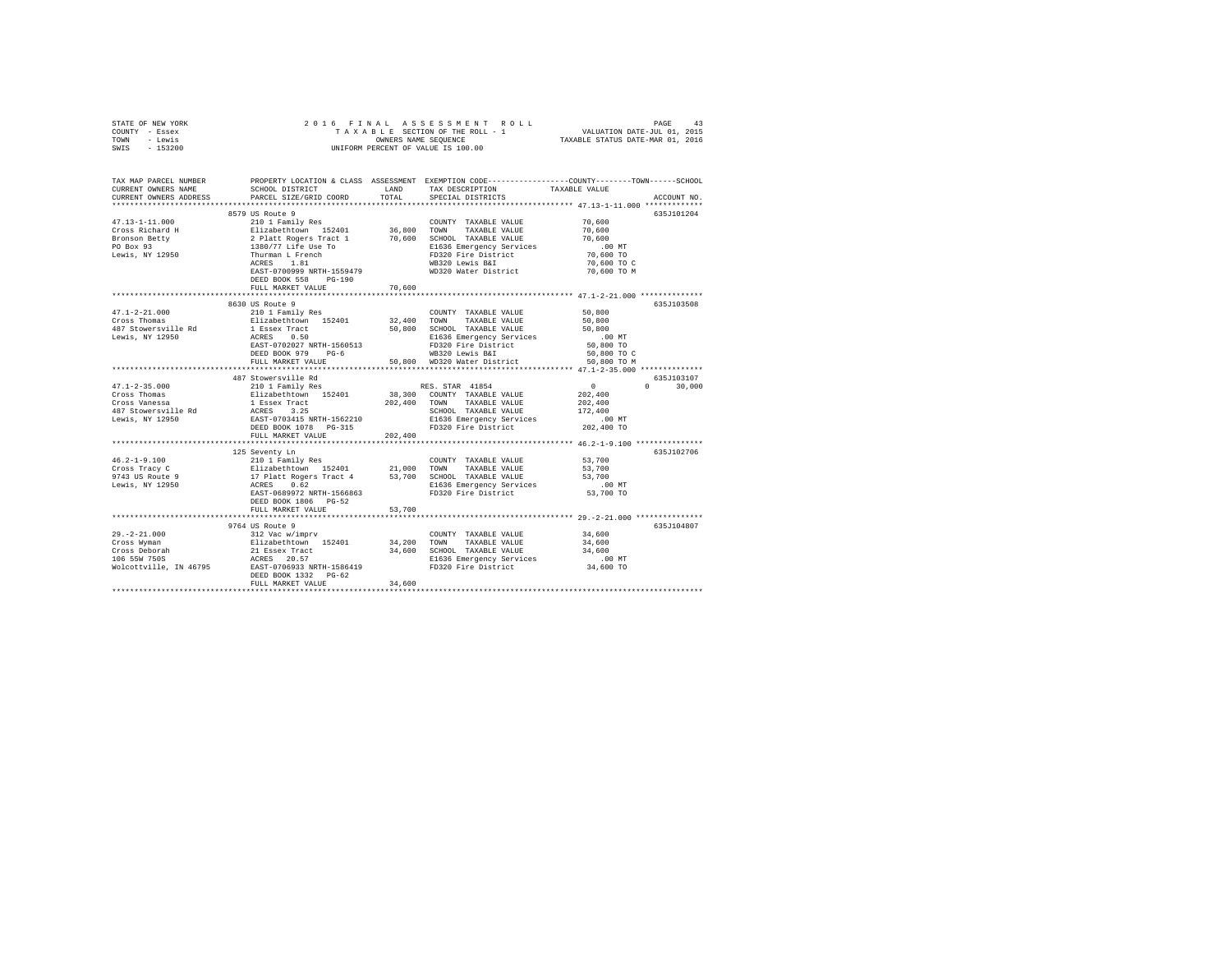| STATE OF NEW YORK                      | 2016 FINAL                                                                                 |         | 6 FINAL ASSESSMENT ROLL (1975)<br>TAXABLE SECTION OF THE ROLL - 1 VALUATION DATE-JUL 01, 2015<br>OWNERS NAME SEQUENCE  TAXABLE STATUS DATE-MAR 01, 2016 |               |               |
|----------------------------------------|--------------------------------------------------------------------------------------------|---------|---------------------------------------------------------------------------------------------------------------------------------------------------------|---------------|---------------|
| COUNTY - Essex                         |                                                                                            |         |                                                                                                                                                         |               |               |
| - Lewis<br>TOWN                        |                                                                                            |         |                                                                                                                                                         |               |               |
| $-153200$<br>SWIS                      |                                                                                            |         | UNIFORM PERCENT OF VALUE IS 100.00                                                                                                                      |               |               |
|                                        |                                                                                            |         |                                                                                                                                                         |               |               |
|                                        |                                                                                            |         |                                                                                                                                                         |               |               |
| TAX MAP PARCEL NUMBER                  |                                                                                            |         | PROPERTY LOCATION & CLASS ASSESSMENT EXEMPTION CODE----------------COUNTY-------TOWN-----SCHOOL                                                         |               |               |
| CURRENT OWNERS NAME                    | SCHOOL DISTRICT                                                                            | LAND    | TAX DESCRIPTION                                                                                                                                         | TAXABLE VALUE |               |
| CURRENT OWNERS ADDRESS                 | PARCEL SIZE/GRID COORD                                                                     | TOTAL   | SPECIAL DISTRICTS                                                                                                                                       |               | ACCOUNT NO.   |
| ************************               |                                                                                            |         |                                                                                                                                                         |               |               |
|                                        | 8579 US Route 9                                                                            |         |                                                                                                                                                         |               | 635J101204    |
| $47.13 - 1 - 11.000$                   | 210 1 Family Res                                                                           |         | COUNTY TAXABLE VALUE                                                                                                                                    | 70,600        |               |
| Cross Richard H                        |                                                                                            |         | TOWN<br>TAXABLE VALUE                                                                                                                                   | 70,600        |               |
| Bronson Betty                          |                                                                                            |         | 70,600 SCHOOL TAXABLE VALUE                                                                                                                             | 70,600        |               |
| PO Box 93                              |                                                                                            |         | E1636 Emergency Services                                                                                                                                | $.00$ MT      |               |
| Lewis, NY 12950                        |                                                                                            |         | FD320 Fire District                                                                                                                                     | 70,600 TO     |               |
|                                        |                                                                                            |         | WB320 Lewis B&I                                                                                                                                         | 70,600 TO C   |               |
|                                        | EAST-0700999 NRTH-1559479                                                                  |         | WD320 Water District                                                                                                                                    | 70,600 TO M   |               |
|                                        | DEED BOOK 558 PG-190                                                                       |         |                                                                                                                                                         |               |               |
|                                        | FULL MARKET VALUE                                                                          | 70,600  |                                                                                                                                                         |               |               |
|                                        |                                                                                            |         |                                                                                                                                                         |               |               |
|                                        | 8630 US Route 9                                                                            |         |                                                                                                                                                         |               | 635J103508    |
|                                        | 210 1 Family Res                                                                           |         | COUNTY TAXABLE VALUE                                                                                                                                    | 50,800        |               |
| $47.1 - 2 - 21.000$<br>Cross Thomas    | Elizabethtown 152401                                                                       | 32,400  | TOWN<br>TAXABLE VALUE                                                                                                                                   | 50,800        |               |
| 487 Stowersville Rd                    |                                                                                            | 50,800  | SCHOOL TAXABLE VALUE                                                                                                                                    | 50,800        |               |
| Lewis, NY 12950                        | 1 Essex Tract<br>ACRES 0.50                                                                |         | E1636 Emergency Services                                                                                                                                | $.00$ MT      |               |
|                                        | EAST-0702027 NRTH-1560513                                                                  |         | FD320 Fire District                                                                                                                                     | 50,800 TO     |               |
|                                        | DEED BOOK 979 PG-6                                                                         |         | WB320 Lewis B&I                                                                                                                                         | 50,800 TO C   |               |
|                                        | FULL MARKET VALUE                                                                          |         | 50,800 WD320 Water District                                                                                                                             | 50,800 TO M   |               |
|                                        | **************************                                                                 |         |                                                                                                                                                         |               |               |
|                                        | 487 Stowersville Rd                                                                        |         |                                                                                                                                                         |               | 635J103107    |
| $47.1 - 2 - 35.000$                    | 210 1 Family Res                                                                           |         | RES. STAR 41854                                                                                                                                         | $\sim$ 0      | $0 \t 30,000$ |
| Cross Thomas                           | Elizabethtown 152401                                                                       |         | 38,300 COUNTY TAXABLE VALUE                                                                                                                             | 202,400       |               |
| $Cross$ Vanessa                        | 1 Essex Tract<br>ACRES 3.25<br>EAST-0703415 NRTH-1562210                                   |         | 202,400 TOWN TAXABLE VALUE                                                                                                                              | 202,400       |               |
|                                        |                                                                                            |         | SCHOOL TAXABLE VALUE                                                                                                                                    | 172,400       |               |
| 487 Stowersville Rd<br>Lewis, NY 12950 |                                                                                            |         | E1636 Emergency Services                                                                                                                                | $.00$ MT      |               |
|                                        | DEED BOOK 1078 PG-315                                                                      |         | Elboo Bmergency Correspondent<br>FD320 Fire District                                                                                                    | 202,400 TO    |               |
|                                        | FULL MARKET VALUE                                                                          | 202,400 |                                                                                                                                                         |               |               |
|                                        |                                                                                            |         |                                                                                                                                                         |               |               |
|                                        | 125 Seventy Ln                                                                             |         |                                                                                                                                                         |               | 635J102706    |
| $46.2 - 1 - 9.100$                     | 210 1 Family Res                                                                           |         | COUNTY TAXABLE VALUE                                                                                                                                    | 53,700        |               |
| Cross Tracy C                          | Elizabethtown 152401                                                                       | 21,000  | TOWN<br>TAXABLE VALUE                                                                                                                                   | 53,700        |               |
| 9743 US Route 9<br>Lewis, NY 12950     | 17 Platt Rogers Tract 4 53,700 SCHOOL TAXABLE VALUE<br>ACRES 0.62 R1636 Emergency Services |         |                                                                                                                                                         | 53,700        |               |
|                                        |                                                                                            |         | E1636 Emergency Services                                                                                                                                | $.00$ MT      |               |
|                                        | EAST-0689972 NRTH-1566863                                                                  |         | FD320 Fire District                                                                                                                                     | 53,700 TO     |               |
|                                        | DEED BOOK 1806 PG-52                                                                       |         |                                                                                                                                                         |               |               |
|                                        | FULL MARKET VALUE                                                                          | 53,700  |                                                                                                                                                         |               |               |
|                                        |                                                                                            |         |                                                                                                                                                         |               |               |
|                                        | 9764 US Route 9                                                                            |         |                                                                                                                                                         |               | 635J104807    |
| 29.-2-21.000<br>Cross Wyman            | 312 Vac w/imprv                                                                            |         | COUNTY TAXABLE VALUE                                                                                                                                    | 34,600        |               |
|                                        | Elizabethtown 152401                                                                       | 34,200  | TOWN<br>TAXABLE VALUE                                                                                                                                   | 34,600        |               |
| Cross Deborah<br>106 55W 750S          | 21 Essex Tract                                                                             |         | 34,600 SCHOOL TAXABLE VALUE                                                                                                                             | 34,600        |               |
|                                        | ACRES 20.57                                                                                |         | E1636 Emergency Services                                                                                                                                | $.00$ MT      |               |
| Wolcottville, IN 46795                 | EAST-0706933 NRTH-1586419                                                                  |         | FD320 Fire District                                                                                                                                     | 34,600 TO     |               |
|                                        | DEED BOOK 1332 PG-62                                                                       |         |                                                                                                                                                         |               |               |
|                                        | FULL MARKET VALUE                                                                          | 34,600  |                                                                                                                                                         |               |               |
|                                        |                                                                                            |         |                                                                                                                                                         |               |               |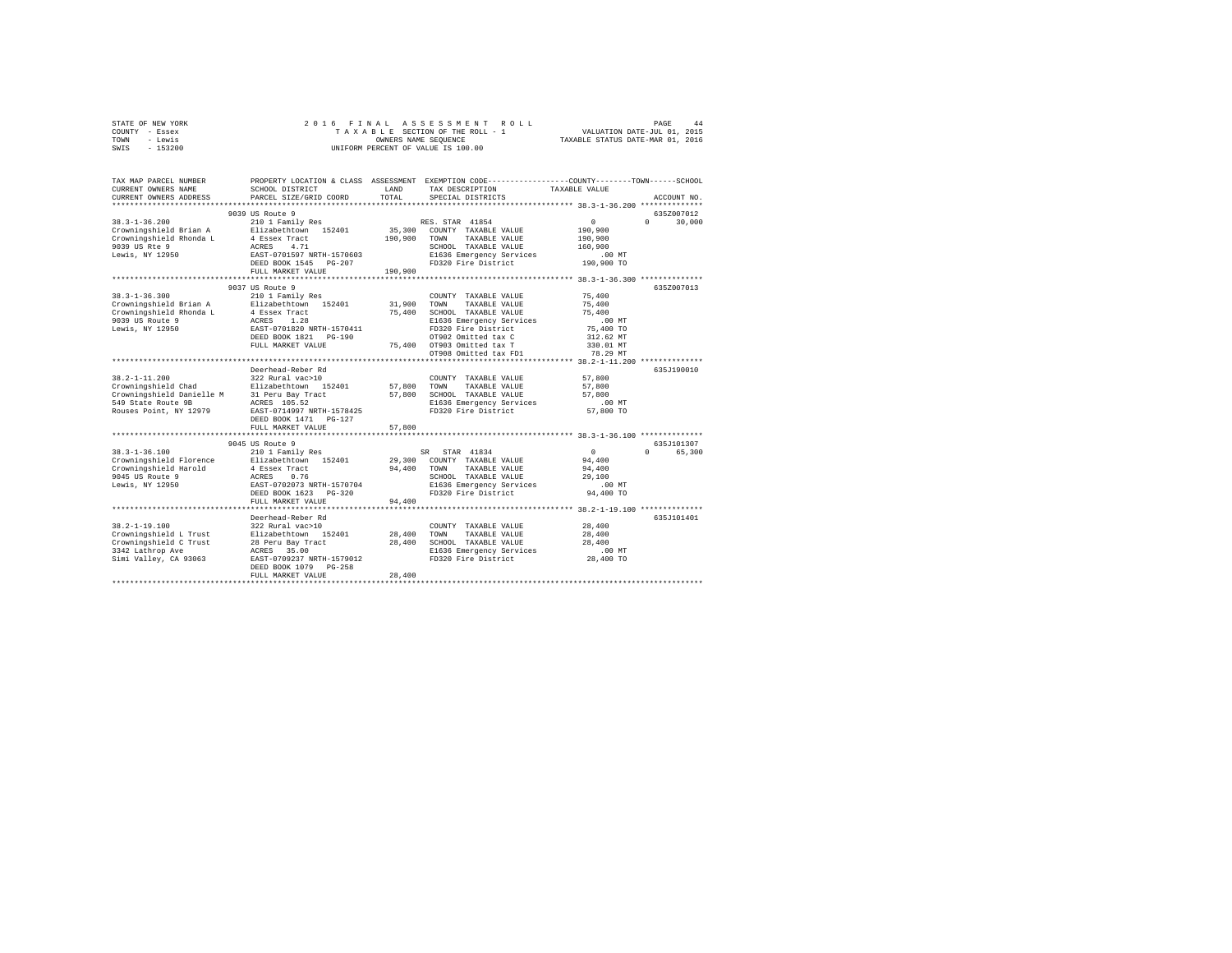| STATE OF NEW YORK | 2016 FINAL ASSESSMENT ROLL         | 44<br>PAGE                       |
|-------------------|------------------------------------|----------------------------------|
| COUNTY - Essex    | TAXABLE SECTION OF THE ROLL - 1    | VALUATION DATE-JUL 01, 2015      |
| TOWN<br>- Lewis   | OWNERS NAME SEOUENCE               | TAXABLE STATUS DATE-MAR 01, 2016 |
| $-153200$<br>SWIS | UNIFORM PERCENT OF VALUE IS 100.00 |                                  |

| TAX MAP PARCEL NUMBER<br>CURRENT OWNERS NAME<br>CURRENT OWNERS ADDRESS | SCHOOL DISTRICT<br>PARCEL SIZE/GRID COORD          | LAND<br>TOTAL. | PROPERTY LOCATION & CLASS ASSESSMENT EXEMPTION CODE---------------COUNTY-------TOWN-----SCHOOL<br>TAX DESCRIPTION<br>SPECIAL DISTRICTS | TAXABLE VALUE                                         | ACCOUNT NO.        |
|------------------------------------------------------------------------|----------------------------------------------------|----------------|----------------------------------------------------------------------------------------------------------------------------------------|-------------------------------------------------------|--------------------|
|                                                                        |                                                    |                |                                                                                                                                        |                                                       |                    |
|                                                                        | 9039 US Route 9                                    |                |                                                                                                                                        |                                                       | 635Z007012         |
| $38.3 - 1 - 36.200$                                                    | 210 1 Family Res                                   |                | RES. STAR 41854                                                                                                                        | $\circ$                                               | $\Omega$<br>30,000 |
| Crowningshield Brian A                                                 | Elizabethtown 152401                               | 35,300         | COUNTY TAXABLE VALUE                                                                                                                   | 190,900                                               |                    |
| Crowningshield Rhonda L                                                | 4 Essex Tract                                      | 190,900        | TAXABLE VALUE<br>TOWN                                                                                                                  | 190,900                                               |                    |
| 9039 US Rte 9                                                          | 4.71<br>ACRES                                      |                | SCHOOL TAXABLE VALUE                                                                                                                   | 160,900                                               |                    |
| Lewis, NY 12950                                                        | EAST-0701597 NRTH-1570603                          |                | E1636 Emergency Services                                                                                                               | $.00$ MT                                              |                    |
|                                                                        | DEED BOOK 1545 PG-207                              |                | FD320 Fire District                                                                                                                    | 190,900 TO                                            |                    |
|                                                                        | FULL MARKET VALUE                                  | 190,900        |                                                                                                                                        |                                                       |                    |
|                                                                        |                                                    |                |                                                                                                                                        |                                                       |                    |
|                                                                        | 9037 US Route 9                                    |                |                                                                                                                                        |                                                       | 635Z007013         |
| $38.3 - 1 - 36.300$                                                    | 210 1 Family Res                                   |                | COUNTY TAXABLE VALUE                                                                                                                   | 75,400                                                |                    |
| Crowningshield Brian A                                                 | Elizabethtown 152401                               | 31,900         | TOWN<br>TAXABLE VALUE                                                                                                                  | 75,400                                                |                    |
| Crowningshield Rhonda L<br>9039 US Route 9                             | 4 Essex Tract                                      | 75,400         | SCHOOL TAXABLE VALUE                                                                                                                   | 75,400                                                |                    |
|                                                                        | 1.28<br>ACRES<br>EAST-0701820 NRTH-1570411         |                | E1636 Emergency Services<br>FD320 Fire District                                                                                        | .00MT                                                 |                    |
| Lewis, NY 12950                                                        | DEED BOOK 1821   PG-190                            |                | OT902 Omitted tax C                                                                                                                    | 75,400 TO<br>312.62 MT                                |                    |
|                                                                        | FULL MARKET VALUE                                  | 75,400         | OT903 Omitted tax T                                                                                                                    | 330.01 MT                                             |                    |
|                                                                        |                                                    |                | OT908 Omitted tax FD1                                                                                                                  | 78.29 MT                                              |                    |
|                                                                        |                                                    |                |                                                                                                                                        |                                                       |                    |
|                                                                        | Deerhead-Reber Rd                                  |                |                                                                                                                                        |                                                       | 635J190010         |
| $38.2 - 1 - 11.200$                                                    | 322 Rural vac>10                                   |                | COUNTY TAXABLE VALUE                                                                                                                   | 57,800                                                |                    |
| Crowningshield Chad                                                    | Elizabethtown 152401                               | 57,800         | TOWN<br>TAXABLE VALUE                                                                                                                  | 57,800                                                |                    |
| Crowningshield Danielle M                                              | 31 Peru Bay Tract                                  | 57,800         | SCHOOL TAXABLE VALUE                                                                                                                   | 57,800                                                |                    |
| 549 State Route 9B                                                     | ACRES 105.52                                       |                | E1636 Emergency Services                                                                                                               | .00MT                                                 |                    |
| Rouses Point, NY 12979                                                 | EAST-0714997 NRTH-1578425                          |                | FD320 Fire District                                                                                                                    | 57,800 TO                                             |                    |
|                                                                        | DEED BOOK 1471   PG-127                            |                |                                                                                                                                        |                                                       |                    |
|                                                                        | FULL MARKET VALUE                                  | 57,800         |                                                                                                                                        |                                                       |                    |
|                                                                        | *******************************                    |                |                                                                                                                                        |                                                       |                    |
|                                                                        | 9045 US Route 9                                    |                |                                                                                                                                        |                                                       | 635J101307         |
| $38.3 - 1 - 36.100$                                                    | 210 1 Family Res                                   |                | STAR 41834<br>SR                                                                                                                       | $\Omega$                                              | $\Omega$<br>65,300 |
| Crowningshield Florence                                                | Elizabethtown 152401                               | 29,300         | COUNTY TAXABLE VALUE                                                                                                                   | 94,400                                                |                    |
| Crowningshield Harold                                                  | 4 Essex Tract                                      | 94,400         | TAXABLE VALUE<br>TOWN                                                                                                                  | 94,400                                                |                    |
| 9045 US Route 9                                                        | ACRES<br>0.76                                      |                | SCHOOL TAXABLE VALUE                                                                                                                   | 29,100                                                |                    |
| Lewis, NY 12950                                                        | EAST-0702073 NRTH-1570704<br>DEED BOOK 1623 PG-320 |                | E1636 Emergency Services<br>FD320 Fire District                                                                                        | .00MT<br>94,400 TO                                    |                    |
|                                                                        |                                                    | 94,400         |                                                                                                                                        |                                                       |                    |
|                                                                        | FULL MARKET VALUE<br>**********************        |                |                                                                                                                                        | *********************** 38.2-1-19.100 *************** |                    |
|                                                                        | Deerhead-Reber Rd                                  |                |                                                                                                                                        |                                                       | 635J101401         |
| $38.2 - 1 - 19.100$                                                    | 322 Rural vac>10                                   |                | COUNTY TAXABLE VALUE                                                                                                                   | 28,400                                                |                    |
| Crowningshield L Trust                                                 | Elizabethtown 152401                               | 28,400         | TOWN<br>TAXABLE VALUE                                                                                                                  | 28,400                                                |                    |
| Crowningshield C Trust                                                 | 28 Peru Bay Tract                                  | 28,400         | SCHOOL TAXABLE VALUE                                                                                                                   | 28,400                                                |                    |
| 3342 Lathrop Ave                                                       | 35.00<br>ACRES                                     |                | E1636 Emergency Services                                                                                                               | $.00$ MT                                              |                    |
| Simi Valley, CA 93063                                                  | EAST-0709237 NRTH-1579012                          |                | FD320 Fire District                                                                                                                    | 28,400 TO                                             |                    |
|                                                                        | DEED BOOK 1079<br>$PG-258$                         |                |                                                                                                                                        |                                                       |                    |
|                                                                        | FULL MARKET VALUE                                  | 28,400         |                                                                                                                                        |                                                       |                    |
|                                                                        |                                                    |                |                                                                                                                                        |                                                       |                    |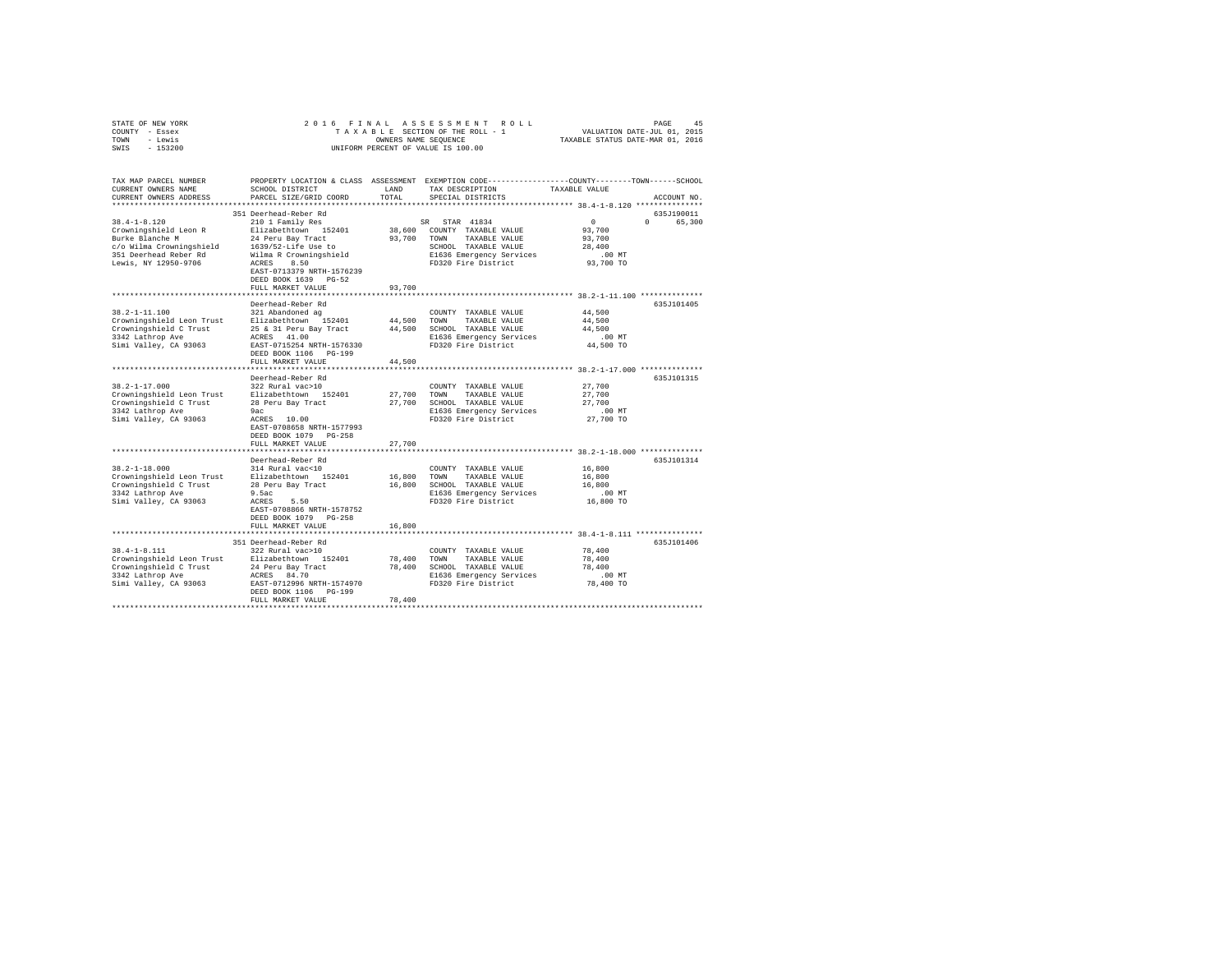| STATE OF NEW YORK                                                                                                                                |                                           |        |                                                                                                 |                                  |             |
|--------------------------------------------------------------------------------------------------------------------------------------------------|-------------------------------------------|--------|-------------------------------------------------------------------------------------------------|----------------------------------|-------------|
| COUNTY - Essex                                                                                                                                   |                                           |        |                                                                                                 |                                  |             |
| TOWN - Lewis                                                                                                                                     |                                           |        | OWNERS NAME SEQUENCE                                                                            | TAXABLE STATUS DATE-MAR 01, 2016 |             |
| SWIS - 153200                                                                                                                                    |                                           |        | UNIFORM PERCENT OF VALUE IS 100.00                                                              |                                  |             |
|                                                                                                                                                  |                                           |        |                                                                                                 |                                  |             |
| TAX MAP PARCEL NUMBER                                                                                                                            |                                           |        | PROPERTY LOCATION & CLASS ASSESSMENT EXEMPTION CODE---------------COUNTY-------TOWN------SCHOOL |                                  |             |
| CURRENT OWNERS NAME                                                                                                                              | SCHOOL DISTRICT                           | LAND   | TAX DESCRIPTION                                                                                 | TAXABLE VALUE                    |             |
| CURRENT OWNERS ADDRESS                                                                                                                           | PARCEL SIZE/GRID COORD                    | TOTAL  | SPECIAL DISTRICTS                                                                               |                                  | ACCOUNT NO. |
|                                                                                                                                                  |                                           |        |                                                                                                 |                                  |             |
|                                                                                                                                                  | 351 Deerhead-Reber Rd                     |        |                                                                                                 |                                  | 635J190011  |
| $38.4 - 1 - 8.120$                                                                                                                               | 210 1 Family Res                          |        | SR STAR 41834                                                                                   | $\sim$ 0                         | 0 65,300    |
| So. 4-1-0.11.<br>Crowningshield Leon R                                                                                                           | Elizabethtown 152401                      |        | 38,600 COUNTY TAXABLE VALUE                                                                     | 93,700                           |             |
| Burke Blanche M                                                                                                                                  | 24 Peru Bay Tract                         |        | 93,700 TOWN TAXABLE VALUE                                                                       | 93,700                           |             |
|                                                                                                                                                  |                                           |        | SCHOOL TAXABLE VALUE                                                                            | 28,400                           |             |
| $c$ /o Wilma Crowningshield 1639/52-Life Use to<br>351 Deerhead Reber Rd Wilma R Crowningshield                                                  |                                           |        |                                                                                                 | $.00$ MT                         |             |
|                                                                                                                                                  | Wilma R Crowningshield                    |        | SCHOOD<br>E1636 Emergency Services<br><u>mn220 Fire District</u>                                |                                  |             |
| Lewis, NY 12950-9706                                                                                                                             | ACRES 8.50                                |        |                                                                                                 | 93,700 TO                        |             |
|                                                                                                                                                  | EAST-0713379 NRTH-1576239                 |        |                                                                                                 |                                  |             |
|                                                                                                                                                  | DEED BOOK 1639 PG-52                      |        |                                                                                                 |                                  |             |
|                                                                                                                                                  | FULL MARKET VALUE                         | 93,700 |                                                                                                 |                                  |             |
|                                                                                                                                                  |                                           |        |                                                                                                 |                                  |             |
|                                                                                                                                                  | Deerhead-Reber Rd                         |        |                                                                                                 |                                  | 635J101405  |
| $38.2 - 1 - 11.100$                                                                                                                              | 321 Abandoned ag                          |        | COUNTY TAXABLE VALUE                                                                            | 44,500                           |             |
|                                                                                                                                                  |                                           |        | 44,500 TOWN TAXABLE VALUE                                                                       | 44,500                           |             |
| 38.2-1-11.100<br>Crowningshield Leon Trust<br>Elizabethtown 152401<br>Crowningshield C Trust<br>25 & 31 Peru Bay Tract<br>25 & 31 Peru Bay Tract |                                           |        | 44,500 SCHOOL TAXABLE VALUE                                                                     | 44,500                           |             |
| 3342 Lathrop Ave                                                                                                                                 | ACRES 41.00                               |        | E1636 Emergency Services                                                                        | $.00$ MT                         |             |
| Simi Valley, CA 93063                                                                                                                            | EAST-0715254 NRTH-1576330                 |        | E1636 Emergency Services<br>FD320 Fire District                                                 | 44,500 TO                        |             |
|                                                                                                                                                  | DEED BOOK 1106 PG-199                     |        |                                                                                                 |                                  |             |
|                                                                                                                                                  | FULL MARKET VALUE                         | 44,500 |                                                                                                 |                                  |             |
|                                                                                                                                                  |                                           |        |                                                                                                 |                                  |             |
|                                                                                                                                                  | Deerhead-Reber Rd                         |        |                                                                                                 |                                  | 635J101315  |
| $38.2 - 1 - 17.000$                                                                                                                              | 322 Rural vac>10                          |        | COUNTY TAXABLE VALUE                                                                            | 27,700                           |             |
|                                                                                                                                                  |                                           |        |                                                                                                 | 27,700                           |             |
|                                                                                                                                                  |                                           |        |                                                                                                 | 27,700                           |             |
|                                                                                                                                                  |                                           |        |                                                                                                 |                                  |             |
|                                                                                                                                                  |                                           |        | E1636 Emergency Services                                                                        | $.00$ MT                         |             |
|                                                                                                                                                  |                                           |        | FD320 Fire District                                                                             | 27,700 TO                        |             |
|                                                                                                                                                  | EAST-0708658 NRTH-1577993                 |        |                                                                                                 |                                  |             |
|                                                                                                                                                  | DEED BOOK 1079 PG-258                     |        |                                                                                                 |                                  |             |
|                                                                                                                                                  | FULL MARKET VALUE                         | 27,700 |                                                                                                 |                                  |             |
|                                                                                                                                                  |                                           |        |                                                                                                 |                                  |             |
|                                                                                                                                                  | Deerhead-Reber Rd                         |        |                                                                                                 |                                  | 635J101314  |
| $38.2 - 1 - 18.000$                                                                                                                              | 314 Rural vac<10                          |        | COUNTY TAXABLE VALUE                                                                            | 16,800                           |             |
|                                                                                                                                                  |                                           | 16,800 | TOWN<br>TAXABLE VALUE                                                                           | 16,800                           |             |
| 38.2-1-18.000 314 Rurai vac<10<br>Crowningshield Leon Trust Blizabethtown 152401<br>Crowningshield C Trust 28 Peru Bay Tract                     |                                           |        | 16,800 SCHOOL TAXABLE VALUE                                                                     | 16,800                           |             |
| 3342 Lathrop Ave                                                                                                                                 | 9.5ac                                     |        | E1636 Emergency Services                                                                        | $.00$ MT                         |             |
| Simi Valley, CA 93063                                                                                                                            | $ACRES$ 5.50                              |        | FD320 Fire District                                                                             | 16,800 TO                        |             |
|                                                                                                                                                  | EAST-0708866 NRTH-1578752                 |        |                                                                                                 |                                  |             |
|                                                                                                                                                  | DEED BOOK 1079 PG-258                     |        |                                                                                                 |                                  |             |
|                                                                                                                                                  | FULL MARKET VALUE                         | 16,800 |                                                                                                 |                                  |             |
|                                                                                                                                                  |                                           |        |                                                                                                 |                                  |             |
|                                                                                                                                                  |                                           |        |                                                                                                 |                                  | 635J101406  |
| $38.4 - 1 - 8.111$                                                                                                                               | 351 Deerhead-Reber Rd<br>322 Rural vac>10 |        |                                                                                                 |                                  |             |
|                                                                                                                                                  |                                           |        | COUNTY TAXABLE VALUE                                                                            | 78,400                           |             |
| Crowningshield Leon Trust Elizabethtown 152401<br>Crowningshield C Trust 24 Peru Bay Tract                                                       |                                           |        | 78,400 TOWN TAXABLE VALUE                                                                       | 78,400                           |             |
|                                                                                                                                                  |                                           |        | 78,400 SCHOOL TAXABLE VALUE                                                                     | 78,400                           |             |
| 3342 Lathrop Ave                                                                                                                                 | ACRES 84.70                               |        | E1636 Emergency Services                                                                        | $.00$ MT                         |             |
| Simi Valley, CA 93063                                                                                                                            | EAST-0712996 NRTH-1574970                 |        | FD320 Fire District                                                                             | 78,400 TO                        |             |
|                                                                                                                                                  | DEED BOOK 1106 PG-199                     |        |                                                                                                 |                                  |             |
|                                                                                                                                                  | FULL MARKET VALUE                         | 78,400 |                                                                                                 |                                  |             |
|                                                                                                                                                  |                                           |        |                                                                                                 |                                  |             |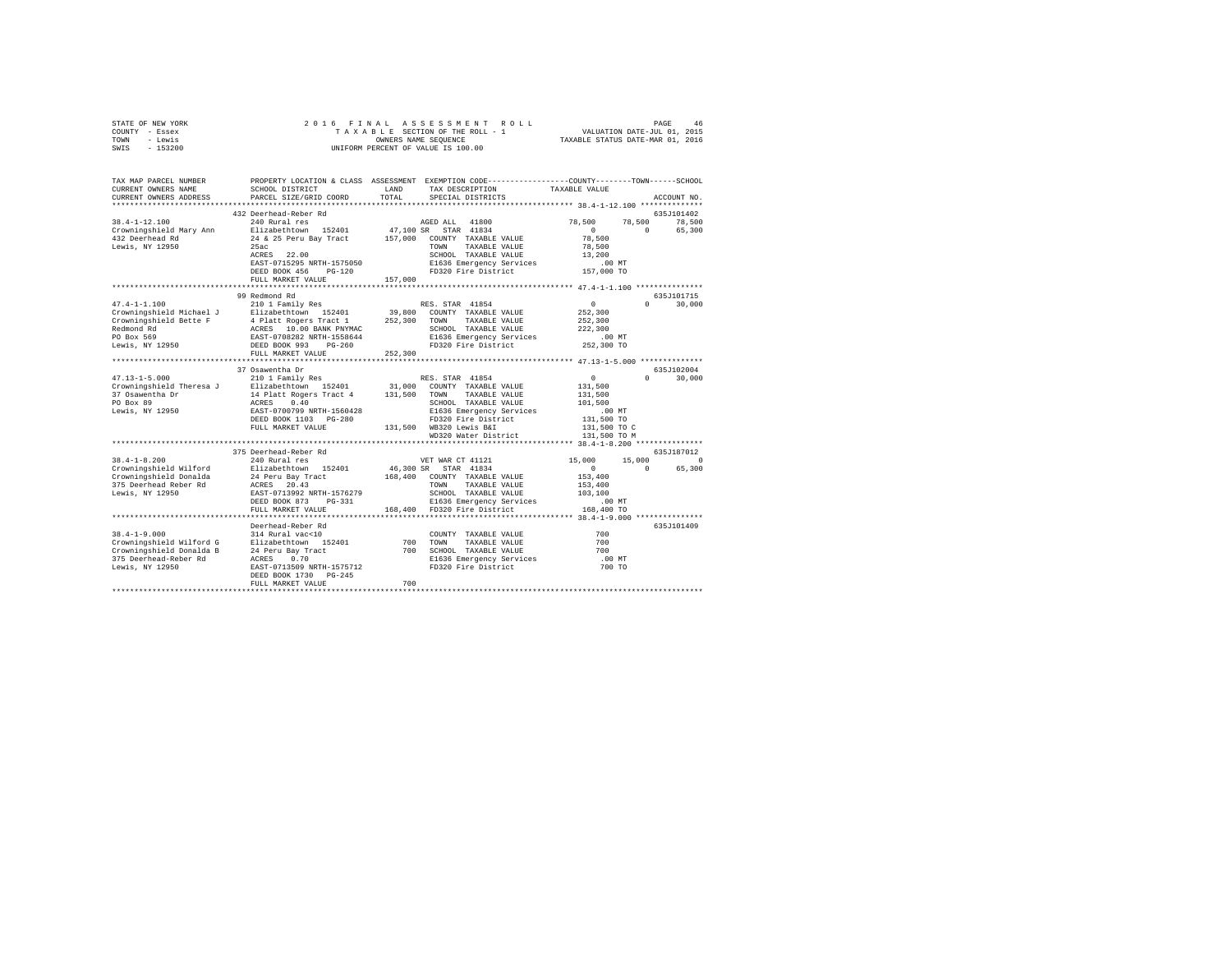| PROPERTY LOCATION & CLASS ASSESSMENT EXEMPTION CODE---------------COUNTY-------TOWN-----SCHOOL<br>TAX MAP PARCEL NUMBER<br>TAX DESCRIPTION<br>TAXABLE VALUE<br>SCHOOL DISTRICT<br>LAND<br>CURRENT OWNERS NAME<br>TOTAL<br>CURRENT OWNERS ADDRESS<br>PARCEL SIZE/GRID COORD<br>SPECIAL DISTRICTS<br>ACCOUNT NO.<br>432 Deerhead-Reber Rd<br>635J101402<br>78,500<br>$38.4 - 1 - 12.100$<br>240 Rural res<br>AGED ALL 41800<br>78,500<br>78,500<br>Elizabethtown 152401<br>47,100 SR STAR 41834<br>$\sim$ 0<br>Crowningshield Mary Ann<br>$\Omega$<br>65,300<br>432 Deerhead Rd<br>157,000 COUNTY TAXABLE VALUE<br>24 & 25 Peru Bay Tract<br>78,500<br>Lewis, NY 12950<br>78,500<br>25ac<br>TOWN<br>TAXABLE VALUE<br>ACRES 22.00<br>SCHOOL TAXABLE VALUE<br>13,200<br>E1636 Emergency Services<br>FD320 Fire District<br>EAST-0715295 NRTH-1575050<br>.00 MT<br>DEED BOOK 456 PG-120<br>157,000 TO<br>FULL MARKET VALUE<br>157,000<br>99 Redmond Rd<br>635J101715<br>210 1 Family Res<br>$\sim$ 0<br>$47.4 - 1 - 1.100$<br>$0 \t 30.000$<br>RES. STAR 41854<br>252,300<br>252,300<br>222,300<br>$.00$ MT<br>252,300 TO<br>252,300<br>FULL MARKET VALUE<br>37 Osawentha Dr<br>635J102004<br>210 1 Family Res<br>RES. STAR 41854<br>$47.13 - 1 - 5.000$<br>$\mathbf{0}$<br>30,000<br>$\Omega$<br>31,000 COUNTY TAXABLE VALUE<br>131,500<br>TAXABLE VALUE<br>131,500<br>SCHOOL TAXABLE VALUE<br>101,500<br>E1636 Emergency Services<br>FD320 Fire District<br>$.00$ MT<br>131,500 TO<br>131,500 WB320 Lewis B&I<br>FULL MARKET VALUE<br>131,500 TO C<br>WD320 Water District<br>131,500 TO M<br>375 Deerhead-Reber Rd<br>635J187012<br>$38.4 - 1 - 8.200$<br>15,000<br>$\sim$ 0<br>240 Rural res<br>VET WAR CT 41121<br>15,000<br>Elizabethtown 152401<br>46,300 SR STAR 41834<br>$\sim$ 0<br>65,300<br>$\circ$<br>Crowningshield Wilford Blizabethtown 152401<br>Crowningshield Donalda 24 Peru Bay Tract<br>375 Deerhead Reber Rd ACRES 20.43<br>168,400 COUNTY TAXABLE VALUE<br>153,400<br>TOWN<br>TAXABLE VALUE<br>153,400<br>Lewis, NY 12950<br>EAST-0713992 NRTH-1576279<br>103,100<br>SCHOOL TAXABLE VALUE<br>DEED BOOK 873 PG-331<br>E1636 Emergency Services<br>$.00$ MT<br>168,400 FD320 Fire District<br>168,400 TO<br>FULL MARKET VALUE<br>Deerhead-Reber Rd<br>635J101409<br>$38.4 - 1 - 9.000$<br>700<br>COUNTY TAXABLE VALUE<br>700 TOWN<br>700<br>TAXABLE VALUE<br>700 SCHOOL TAXABLE VALUE<br>700<br>E1636 Emergency Services<br>FD320 Fire District<br>$.00$ MT<br>700 TO<br>Lewis, NY 12950<br>EAST-0713509 NRTH-1575712<br>DEED BOOK 1730 PG-245<br>700<br>FULL MARKET VALUE | STATE OF NEW YORK<br>COUNTY - Essex<br>- Lewis<br>TOWN<br>$-153200$<br>SWIS | 2016 FINAL | UNIFORM PERCENT OF VALUE IS 100.00 |  |  |
|---------------------------------------------------------------------------------------------------------------------------------------------------------------------------------------------------------------------------------------------------------------------------------------------------------------------------------------------------------------------------------------------------------------------------------------------------------------------------------------------------------------------------------------------------------------------------------------------------------------------------------------------------------------------------------------------------------------------------------------------------------------------------------------------------------------------------------------------------------------------------------------------------------------------------------------------------------------------------------------------------------------------------------------------------------------------------------------------------------------------------------------------------------------------------------------------------------------------------------------------------------------------------------------------------------------------------------------------------------------------------------------------------------------------------------------------------------------------------------------------------------------------------------------------------------------------------------------------------------------------------------------------------------------------------------------------------------------------------------------------------------------------------------------------------------------------------------------------------------------------------------------------------------------------------------------------------------------------------------------------------------------------------------------------------------------------------------------------------------------------------------------------------------------------------------------------------------------------------------------------------------------------------------------------------------------------------------------------------------------------------------------------------------------------------------------------------------------------------------------------------------------------------------------------------------------------------------------------|-----------------------------------------------------------------------------|------------|------------------------------------|--|--|
|                                                                                                                                                                                                                                                                                                                                                                                                                                                                                                                                                                                                                                                                                                                                                                                                                                                                                                                                                                                                                                                                                                                                                                                                                                                                                                                                                                                                                                                                                                                                                                                                                                                                                                                                                                                                                                                                                                                                                                                                                                                                                                                                                                                                                                                                                                                                                                                                                                                                                                                                                                                             |                                                                             |            |                                    |  |  |
|                                                                                                                                                                                                                                                                                                                                                                                                                                                                                                                                                                                                                                                                                                                                                                                                                                                                                                                                                                                                                                                                                                                                                                                                                                                                                                                                                                                                                                                                                                                                                                                                                                                                                                                                                                                                                                                                                                                                                                                                                                                                                                                                                                                                                                                                                                                                                                                                                                                                                                                                                                                             |                                                                             |            |                                    |  |  |
|                                                                                                                                                                                                                                                                                                                                                                                                                                                                                                                                                                                                                                                                                                                                                                                                                                                                                                                                                                                                                                                                                                                                                                                                                                                                                                                                                                                                                                                                                                                                                                                                                                                                                                                                                                                                                                                                                                                                                                                                                                                                                                                                                                                                                                                                                                                                                                                                                                                                                                                                                                                             |                                                                             |            |                                    |  |  |
|                                                                                                                                                                                                                                                                                                                                                                                                                                                                                                                                                                                                                                                                                                                                                                                                                                                                                                                                                                                                                                                                                                                                                                                                                                                                                                                                                                                                                                                                                                                                                                                                                                                                                                                                                                                                                                                                                                                                                                                                                                                                                                                                                                                                                                                                                                                                                                                                                                                                                                                                                                                             |                                                                             |            |                                    |  |  |
|                                                                                                                                                                                                                                                                                                                                                                                                                                                                                                                                                                                                                                                                                                                                                                                                                                                                                                                                                                                                                                                                                                                                                                                                                                                                                                                                                                                                                                                                                                                                                                                                                                                                                                                                                                                                                                                                                                                                                                                                                                                                                                                                                                                                                                                                                                                                                                                                                                                                                                                                                                                             |                                                                             |            |                                    |  |  |
|                                                                                                                                                                                                                                                                                                                                                                                                                                                                                                                                                                                                                                                                                                                                                                                                                                                                                                                                                                                                                                                                                                                                                                                                                                                                                                                                                                                                                                                                                                                                                                                                                                                                                                                                                                                                                                                                                                                                                                                                                                                                                                                                                                                                                                                                                                                                                                                                                                                                                                                                                                                             |                                                                             |            |                                    |  |  |
|                                                                                                                                                                                                                                                                                                                                                                                                                                                                                                                                                                                                                                                                                                                                                                                                                                                                                                                                                                                                                                                                                                                                                                                                                                                                                                                                                                                                                                                                                                                                                                                                                                                                                                                                                                                                                                                                                                                                                                                                                                                                                                                                                                                                                                                                                                                                                                                                                                                                                                                                                                                             |                                                                             |            |                                    |  |  |
|                                                                                                                                                                                                                                                                                                                                                                                                                                                                                                                                                                                                                                                                                                                                                                                                                                                                                                                                                                                                                                                                                                                                                                                                                                                                                                                                                                                                                                                                                                                                                                                                                                                                                                                                                                                                                                                                                                                                                                                                                                                                                                                                                                                                                                                                                                                                                                                                                                                                                                                                                                                             |                                                                             |            |                                    |  |  |
|                                                                                                                                                                                                                                                                                                                                                                                                                                                                                                                                                                                                                                                                                                                                                                                                                                                                                                                                                                                                                                                                                                                                                                                                                                                                                                                                                                                                                                                                                                                                                                                                                                                                                                                                                                                                                                                                                                                                                                                                                                                                                                                                                                                                                                                                                                                                                                                                                                                                                                                                                                                             |                                                                             |            |                                    |  |  |
|                                                                                                                                                                                                                                                                                                                                                                                                                                                                                                                                                                                                                                                                                                                                                                                                                                                                                                                                                                                                                                                                                                                                                                                                                                                                                                                                                                                                                                                                                                                                                                                                                                                                                                                                                                                                                                                                                                                                                                                                                                                                                                                                                                                                                                                                                                                                                                                                                                                                                                                                                                                             |                                                                             |            |                                    |  |  |
|                                                                                                                                                                                                                                                                                                                                                                                                                                                                                                                                                                                                                                                                                                                                                                                                                                                                                                                                                                                                                                                                                                                                                                                                                                                                                                                                                                                                                                                                                                                                                                                                                                                                                                                                                                                                                                                                                                                                                                                                                                                                                                                                                                                                                                                                                                                                                                                                                                                                                                                                                                                             |                                                                             |            |                                    |  |  |
|                                                                                                                                                                                                                                                                                                                                                                                                                                                                                                                                                                                                                                                                                                                                                                                                                                                                                                                                                                                                                                                                                                                                                                                                                                                                                                                                                                                                                                                                                                                                                                                                                                                                                                                                                                                                                                                                                                                                                                                                                                                                                                                                                                                                                                                                                                                                                                                                                                                                                                                                                                                             |                                                                             |            |                                    |  |  |
|                                                                                                                                                                                                                                                                                                                                                                                                                                                                                                                                                                                                                                                                                                                                                                                                                                                                                                                                                                                                                                                                                                                                                                                                                                                                                                                                                                                                                                                                                                                                                                                                                                                                                                                                                                                                                                                                                                                                                                                                                                                                                                                                                                                                                                                                                                                                                                                                                                                                                                                                                                                             |                                                                             |            |                                    |  |  |
|                                                                                                                                                                                                                                                                                                                                                                                                                                                                                                                                                                                                                                                                                                                                                                                                                                                                                                                                                                                                                                                                                                                                                                                                                                                                                                                                                                                                                                                                                                                                                                                                                                                                                                                                                                                                                                                                                                                                                                                                                                                                                                                                                                                                                                                                                                                                                                                                                                                                                                                                                                                             |                                                                             |            |                                    |  |  |
|                                                                                                                                                                                                                                                                                                                                                                                                                                                                                                                                                                                                                                                                                                                                                                                                                                                                                                                                                                                                                                                                                                                                                                                                                                                                                                                                                                                                                                                                                                                                                                                                                                                                                                                                                                                                                                                                                                                                                                                                                                                                                                                                                                                                                                                                                                                                                                                                                                                                                                                                                                                             |                                                                             |            |                                    |  |  |
|                                                                                                                                                                                                                                                                                                                                                                                                                                                                                                                                                                                                                                                                                                                                                                                                                                                                                                                                                                                                                                                                                                                                                                                                                                                                                                                                                                                                                                                                                                                                                                                                                                                                                                                                                                                                                                                                                                                                                                                                                                                                                                                                                                                                                                                                                                                                                                                                                                                                                                                                                                                             |                                                                             |            |                                    |  |  |
|                                                                                                                                                                                                                                                                                                                                                                                                                                                                                                                                                                                                                                                                                                                                                                                                                                                                                                                                                                                                                                                                                                                                                                                                                                                                                                                                                                                                                                                                                                                                                                                                                                                                                                                                                                                                                                                                                                                                                                                                                                                                                                                                                                                                                                                                                                                                                                                                                                                                                                                                                                                             |                                                                             |            |                                    |  |  |
|                                                                                                                                                                                                                                                                                                                                                                                                                                                                                                                                                                                                                                                                                                                                                                                                                                                                                                                                                                                                                                                                                                                                                                                                                                                                                                                                                                                                                                                                                                                                                                                                                                                                                                                                                                                                                                                                                                                                                                                                                                                                                                                                                                                                                                                                                                                                                                                                                                                                                                                                                                                             |                                                                             |            |                                    |  |  |
|                                                                                                                                                                                                                                                                                                                                                                                                                                                                                                                                                                                                                                                                                                                                                                                                                                                                                                                                                                                                                                                                                                                                                                                                                                                                                                                                                                                                                                                                                                                                                                                                                                                                                                                                                                                                                                                                                                                                                                                                                                                                                                                                                                                                                                                                                                                                                                                                                                                                                                                                                                                             |                                                                             |            |                                    |  |  |
|                                                                                                                                                                                                                                                                                                                                                                                                                                                                                                                                                                                                                                                                                                                                                                                                                                                                                                                                                                                                                                                                                                                                                                                                                                                                                                                                                                                                                                                                                                                                                                                                                                                                                                                                                                                                                                                                                                                                                                                                                                                                                                                                                                                                                                                                                                                                                                                                                                                                                                                                                                                             |                                                                             |            |                                    |  |  |
|                                                                                                                                                                                                                                                                                                                                                                                                                                                                                                                                                                                                                                                                                                                                                                                                                                                                                                                                                                                                                                                                                                                                                                                                                                                                                                                                                                                                                                                                                                                                                                                                                                                                                                                                                                                                                                                                                                                                                                                                                                                                                                                                                                                                                                                                                                                                                                                                                                                                                                                                                                                             |                                                                             |            |                                    |  |  |
|                                                                                                                                                                                                                                                                                                                                                                                                                                                                                                                                                                                                                                                                                                                                                                                                                                                                                                                                                                                                                                                                                                                                                                                                                                                                                                                                                                                                                                                                                                                                                                                                                                                                                                                                                                                                                                                                                                                                                                                                                                                                                                                                                                                                                                                                                                                                                                                                                                                                                                                                                                                             |                                                                             |            |                                    |  |  |
|                                                                                                                                                                                                                                                                                                                                                                                                                                                                                                                                                                                                                                                                                                                                                                                                                                                                                                                                                                                                                                                                                                                                                                                                                                                                                                                                                                                                                                                                                                                                                                                                                                                                                                                                                                                                                                                                                                                                                                                                                                                                                                                                                                                                                                                                                                                                                                                                                                                                                                                                                                                             |                                                                             |            |                                    |  |  |
|                                                                                                                                                                                                                                                                                                                                                                                                                                                                                                                                                                                                                                                                                                                                                                                                                                                                                                                                                                                                                                                                                                                                                                                                                                                                                                                                                                                                                                                                                                                                                                                                                                                                                                                                                                                                                                                                                                                                                                                                                                                                                                                                                                                                                                                                                                                                                                                                                                                                                                                                                                                             |                                                                             |            |                                    |  |  |
|                                                                                                                                                                                                                                                                                                                                                                                                                                                                                                                                                                                                                                                                                                                                                                                                                                                                                                                                                                                                                                                                                                                                                                                                                                                                                                                                                                                                                                                                                                                                                                                                                                                                                                                                                                                                                                                                                                                                                                                                                                                                                                                                                                                                                                                                                                                                                                                                                                                                                                                                                                                             |                                                                             |            |                                    |  |  |
|                                                                                                                                                                                                                                                                                                                                                                                                                                                                                                                                                                                                                                                                                                                                                                                                                                                                                                                                                                                                                                                                                                                                                                                                                                                                                                                                                                                                                                                                                                                                                                                                                                                                                                                                                                                                                                                                                                                                                                                                                                                                                                                                                                                                                                                                                                                                                                                                                                                                                                                                                                                             |                                                                             |            |                                    |  |  |
|                                                                                                                                                                                                                                                                                                                                                                                                                                                                                                                                                                                                                                                                                                                                                                                                                                                                                                                                                                                                                                                                                                                                                                                                                                                                                                                                                                                                                                                                                                                                                                                                                                                                                                                                                                                                                                                                                                                                                                                                                                                                                                                                                                                                                                                                                                                                                                                                                                                                                                                                                                                             |                                                                             |            |                                    |  |  |
|                                                                                                                                                                                                                                                                                                                                                                                                                                                                                                                                                                                                                                                                                                                                                                                                                                                                                                                                                                                                                                                                                                                                                                                                                                                                                                                                                                                                                                                                                                                                                                                                                                                                                                                                                                                                                                                                                                                                                                                                                                                                                                                                                                                                                                                                                                                                                                                                                                                                                                                                                                                             |                                                                             |            |                                    |  |  |
|                                                                                                                                                                                                                                                                                                                                                                                                                                                                                                                                                                                                                                                                                                                                                                                                                                                                                                                                                                                                                                                                                                                                                                                                                                                                                                                                                                                                                                                                                                                                                                                                                                                                                                                                                                                                                                                                                                                                                                                                                                                                                                                                                                                                                                                                                                                                                                                                                                                                                                                                                                                             |                                                                             |            |                                    |  |  |
|                                                                                                                                                                                                                                                                                                                                                                                                                                                                                                                                                                                                                                                                                                                                                                                                                                                                                                                                                                                                                                                                                                                                                                                                                                                                                                                                                                                                                                                                                                                                                                                                                                                                                                                                                                                                                                                                                                                                                                                                                                                                                                                                                                                                                                                                                                                                                                                                                                                                                                                                                                                             |                                                                             |            |                                    |  |  |
|                                                                                                                                                                                                                                                                                                                                                                                                                                                                                                                                                                                                                                                                                                                                                                                                                                                                                                                                                                                                                                                                                                                                                                                                                                                                                                                                                                                                                                                                                                                                                                                                                                                                                                                                                                                                                                                                                                                                                                                                                                                                                                                                                                                                                                                                                                                                                                                                                                                                                                                                                                                             |                                                                             |            |                                    |  |  |
|                                                                                                                                                                                                                                                                                                                                                                                                                                                                                                                                                                                                                                                                                                                                                                                                                                                                                                                                                                                                                                                                                                                                                                                                                                                                                                                                                                                                                                                                                                                                                                                                                                                                                                                                                                                                                                                                                                                                                                                                                                                                                                                                                                                                                                                                                                                                                                                                                                                                                                                                                                                             |                                                                             |            |                                    |  |  |
|                                                                                                                                                                                                                                                                                                                                                                                                                                                                                                                                                                                                                                                                                                                                                                                                                                                                                                                                                                                                                                                                                                                                                                                                                                                                                                                                                                                                                                                                                                                                                                                                                                                                                                                                                                                                                                                                                                                                                                                                                                                                                                                                                                                                                                                                                                                                                                                                                                                                                                                                                                                             |                                                                             |            |                                    |  |  |
|                                                                                                                                                                                                                                                                                                                                                                                                                                                                                                                                                                                                                                                                                                                                                                                                                                                                                                                                                                                                                                                                                                                                                                                                                                                                                                                                                                                                                                                                                                                                                                                                                                                                                                                                                                                                                                                                                                                                                                                                                                                                                                                                                                                                                                                                                                                                                                                                                                                                                                                                                                                             |                                                                             |            |                                    |  |  |
|                                                                                                                                                                                                                                                                                                                                                                                                                                                                                                                                                                                                                                                                                                                                                                                                                                                                                                                                                                                                                                                                                                                                                                                                                                                                                                                                                                                                                                                                                                                                                                                                                                                                                                                                                                                                                                                                                                                                                                                                                                                                                                                                                                                                                                                                                                                                                                                                                                                                                                                                                                                             |                                                                             |            |                                    |  |  |
|                                                                                                                                                                                                                                                                                                                                                                                                                                                                                                                                                                                                                                                                                                                                                                                                                                                                                                                                                                                                                                                                                                                                                                                                                                                                                                                                                                                                                                                                                                                                                                                                                                                                                                                                                                                                                                                                                                                                                                                                                                                                                                                                                                                                                                                                                                                                                                                                                                                                                                                                                                                             |                                                                             |            |                                    |  |  |
|                                                                                                                                                                                                                                                                                                                                                                                                                                                                                                                                                                                                                                                                                                                                                                                                                                                                                                                                                                                                                                                                                                                                                                                                                                                                                                                                                                                                                                                                                                                                                                                                                                                                                                                                                                                                                                                                                                                                                                                                                                                                                                                                                                                                                                                                                                                                                                                                                                                                                                                                                                                             |                                                                             |            |                                    |  |  |
|                                                                                                                                                                                                                                                                                                                                                                                                                                                                                                                                                                                                                                                                                                                                                                                                                                                                                                                                                                                                                                                                                                                                                                                                                                                                                                                                                                                                                                                                                                                                                                                                                                                                                                                                                                                                                                                                                                                                                                                                                                                                                                                                                                                                                                                                                                                                                                                                                                                                                                                                                                                             |                                                                             |            |                                    |  |  |
|                                                                                                                                                                                                                                                                                                                                                                                                                                                                                                                                                                                                                                                                                                                                                                                                                                                                                                                                                                                                                                                                                                                                                                                                                                                                                                                                                                                                                                                                                                                                                                                                                                                                                                                                                                                                                                                                                                                                                                                                                                                                                                                                                                                                                                                                                                                                                                                                                                                                                                                                                                                             |                                                                             |            |                                    |  |  |
|                                                                                                                                                                                                                                                                                                                                                                                                                                                                                                                                                                                                                                                                                                                                                                                                                                                                                                                                                                                                                                                                                                                                                                                                                                                                                                                                                                                                                                                                                                                                                                                                                                                                                                                                                                                                                                                                                                                                                                                                                                                                                                                                                                                                                                                                                                                                                                                                                                                                                                                                                                                             |                                                                             |            |                                    |  |  |
|                                                                                                                                                                                                                                                                                                                                                                                                                                                                                                                                                                                                                                                                                                                                                                                                                                                                                                                                                                                                                                                                                                                                                                                                                                                                                                                                                                                                                                                                                                                                                                                                                                                                                                                                                                                                                                                                                                                                                                                                                                                                                                                                                                                                                                                                                                                                                                                                                                                                                                                                                                                             |                                                                             |            |                                    |  |  |
|                                                                                                                                                                                                                                                                                                                                                                                                                                                                                                                                                                                                                                                                                                                                                                                                                                                                                                                                                                                                                                                                                                                                                                                                                                                                                                                                                                                                                                                                                                                                                                                                                                                                                                                                                                                                                                                                                                                                                                                                                                                                                                                                                                                                                                                                                                                                                                                                                                                                                                                                                                                             |                                                                             |            |                                    |  |  |
|                                                                                                                                                                                                                                                                                                                                                                                                                                                                                                                                                                                                                                                                                                                                                                                                                                                                                                                                                                                                                                                                                                                                                                                                                                                                                                                                                                                                                                                                                                                                                                                                                                                                                                                                                                                                                                                                                                                                                                                                                                                                                                                                                                                                                                                                                                                                                                                                                                                                                                                                                                                             |                                                                             |            |                                    |  |  |
|                                                                                                                                                                                                                                                                                                                                                                                                                                                                                                                                                                                                                                                                                                                                                                                                                                                                                                                                                                                                                                                                                                                                                                                                                                                                                                                                                                                                                                                                                                                                                                                                                                                                                                                                                                                                                                                                                                                                                                                                                                                                                                                                                                                                                                                                                                                                                                                                                                                                                                                                                                                             |                                                                             |            |                                    |  |  |
|                                                                                                                                                                                                                                                                                                                                                                                                                                                                                                                                                                                                                                                                                                                                                                                                                                                                                                                                                                                                                                                                                                                                                                                                                                                                                                                                                                                                                                                                                                                                                                                                                                                                                                                                                                                                                                                                                                                                                                                                                                                                                                                                                                                                                                                                                                                                                                                                                                                                                                                                                                                             |                                                                             |            |                                    |  |  |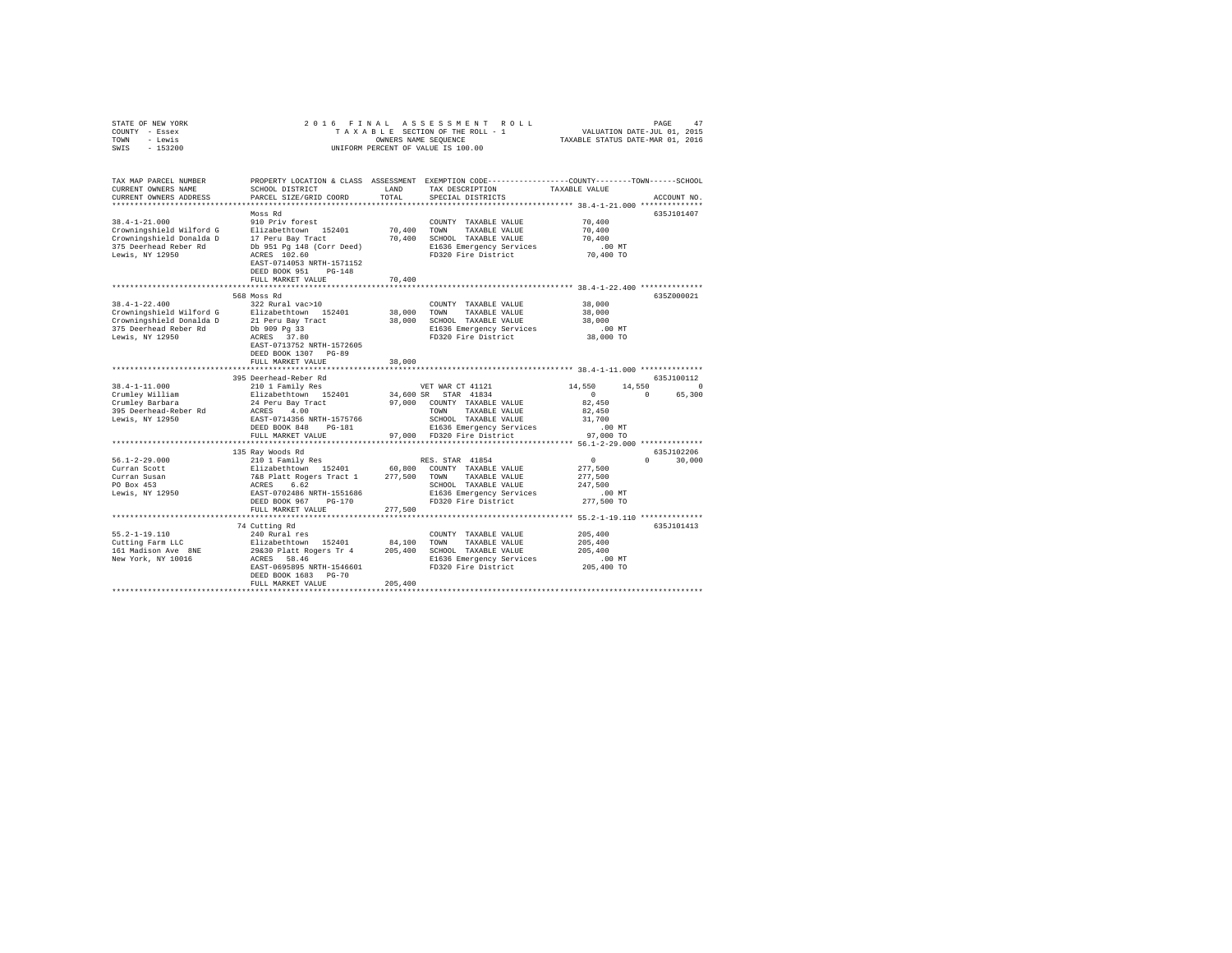| COUNTY - Essex<br>TOWN<br>- Lewis<br>SWIS - 153200                                                                      |                                                                                                                                                                                                |                              | TAXABLE SECTION OF THE ROLL - 1<br>OWNERS NAME SEQUENCE<br>UNIFORM PERCENT OF VALUE IS 100.00                                                                                      | VALUATION DATE-JUL 01, 2015<br>TAXABLE STATUS DATE-MAR 01, 2016                 |                             |
|-------------------------------------------------------------------------------------------------------------------------|------------------------------------------------------------------------------------------------------------------------------------------------------------------------------------------------|------------------------------|------------------------------------------------------------------------------------------------------------------------------------------------------------------------------------|---------------------------------------------------------------------------------|-----------------------------|
| TAX MAP PARCEL NUMBER<br>CURRENT OWNERS NAME<br>CURRENT OWNERS ADDRESS                                                  | SCHOOL DISTRICT<br>PARCEL SIZE/GRID COORD                                                                                                                                                      | LAND<br>TOTAL                | PROPERTY LOCATION & CLASS ASSESSMENT EXEMPTION CODE---------------COUNTY-------TOWN------SCHOOL<br>TAX DESCRIPTION<br>SPECIAL DISTRICTS                                            | TAXABLE VALUE<br>******************* 38.4-1-21.000 **************               | ACCOUNT NO.                 |
| $38.4 - 1 - 21.000$<br>Crowningshield Wilford G<br>Crowningshield Donalda D<br>375 Deerhead Reber Rd<br>Lewis, NY 12950 | Moss Rd<br>910 Priv forest<br>Elizabethtown 152401<br>17 Peru Bay Tract<br>Db 951 Pg 148 (Corr Deed)<br>ACRES 102.60<br>EAST-0714053 NRTH-1571152<br>DEED BOOK 951 PG-148<br>FULL MARKET VALUE | 70,400<br>70,400             | COUNTY TAXABLE VALUE<br>TOWN<br>TAXABLE VALUE<br>70,400 SCHOOL TAXABLE VALUE<br>E1636 Emergency Services<br>FD320 Fire District                                                    | 70,400<br>70,400<br>70,400<br>.00MT<br>70,400 TO                                | 635J101407                  |
| $38.4 - 1 - 22.400$<br>Crowningshield Wilford G<br>Crowningshield Donalda D<br>375 Deerhead Reber Rd<br>Lewis, NY 12950 | 568 Moss Rd<br>322 Rural vac>10<br>Elizabethtown 152401<br>21 Peru Bay Tract<br>Db 909 Pg 33<br>ACRES 37.80<br>EAST-0713752 NRTH-1572605<br>DEED BOOK 1307 PG-89<br>FULL MARKET VALUE          | 38,000<br>38,000<br>38,000   | COUNTY TAXABLE VALUE<br>TOWN<br>TAXABLE VALUE<br>SCHOOL TAXABLE VALUE<br>E1636 Emergency Services<br>FD320 Fire District                                                           | 38,000<br>38,000<br>38,000<br>$.00$ MT<br>38,000 TO                             | 635Z000021                  |
|                                                                                                                         | 395 Deerhead-Reber Rd                                                                                                                                                                          |                              |                                                                                                                                                                                    |                                                                                 | 635J100112                  |
| $38.4 - 1 - 11.000$<br>Crumley William<br>Crumley Barbara<br>395 Deerhead-Reber Rd<br>Lewis, NY 12950                   | 210 1 Family Res<br>Elizabethtown 152401<br>24 Peru Bay Tract<br>ACRES 4.00<br>EAST-0714356 NRTH-1575766<br>DEED BOOK 848 PG-181                                                               |                              | VET WAR CT 41121<br>34,600 SR STAR 41834<br>97,000 COUNTY TAXABLE VALUE<br>TOWN<br>TAXABLE VALUE<br>SCHOOL TAXABLE VALUE<br>E1636 Emergency Services<br>97,000 FD320 Fire District | 14,550<br>14,550<br>$\sim$ 0<br>$\sim$ 0<br>82,450<br>82,450<br>31,700<br>.00MT | $\Omega$<br>65,300          |
|                                                                                                                         | FULL MARKET VALUE                                                                                                                                                                              |                              |                                                                                                                                                                                    | 97,000 TO                                                                       |                             |
| $56.1 - 2 - 29.000$<br>Curran Scott<br>Curran Susan<br>PO Box 453<br>Lewis, NY 12950                                    | 135 Ray Woods Rd<br>210 1 Family Res<br>DEED BOOK 967 PG-170<br>FULL MARKET VALUE                                                                                                              | 277,500                      | RES. STAR 41854<br>SCHOOL TAXABLE VALUE<br>E1636 Emergency Services<br>FD320 Fire District                                                                                         | $\sim$ 0<br>277,500<br>277,500<br>247.500<br>.00 MT<br>277,500 TO               | 635J102206<br>$0 \t 30,000$ |
|                                                                                                                         |                                                                                                                                                                                                |                              |                                                                                                                                                                                    |                                                                                 |                             |
| $55.2 - 1 - 19.110$<br>Cutting Farm LLC<br>161 Madison Ave 8NE<br>New York, NY 10016                                    | 74 Cutting Rd<br>240 Rural res<br>Elizabethtown 152401<br>29&30 Platt Rogers Tr 4<br>ACRES 58.46<br>EAST-0695895 NRTH-1546601<br>DEED BOOK 1683 PG-70<br>FULL MARKET VALUE                     | 84,100<br>205,400<br>205,400 | COUNTY TAXABLE VALUE<br>TOWN<br>TAXABLE VALUE<br>SCHOOL TAXABLE VALUE<br>E1636 Emergency Services<br>FD320 Fire District                                                           | 205,400<br>205,400<br>205,400<br>$.00$ MT<br>205,400 TO                         | 635J101413                  |
|                                                                                                                         |                                                                                                                                                                                                |                              |                                                                                                                                                                                    |                                                                                 |                             |

STATE OF NEW YORK 2 0 1 6 F I N A L A S S E S S M E N T R O L L PAGE 47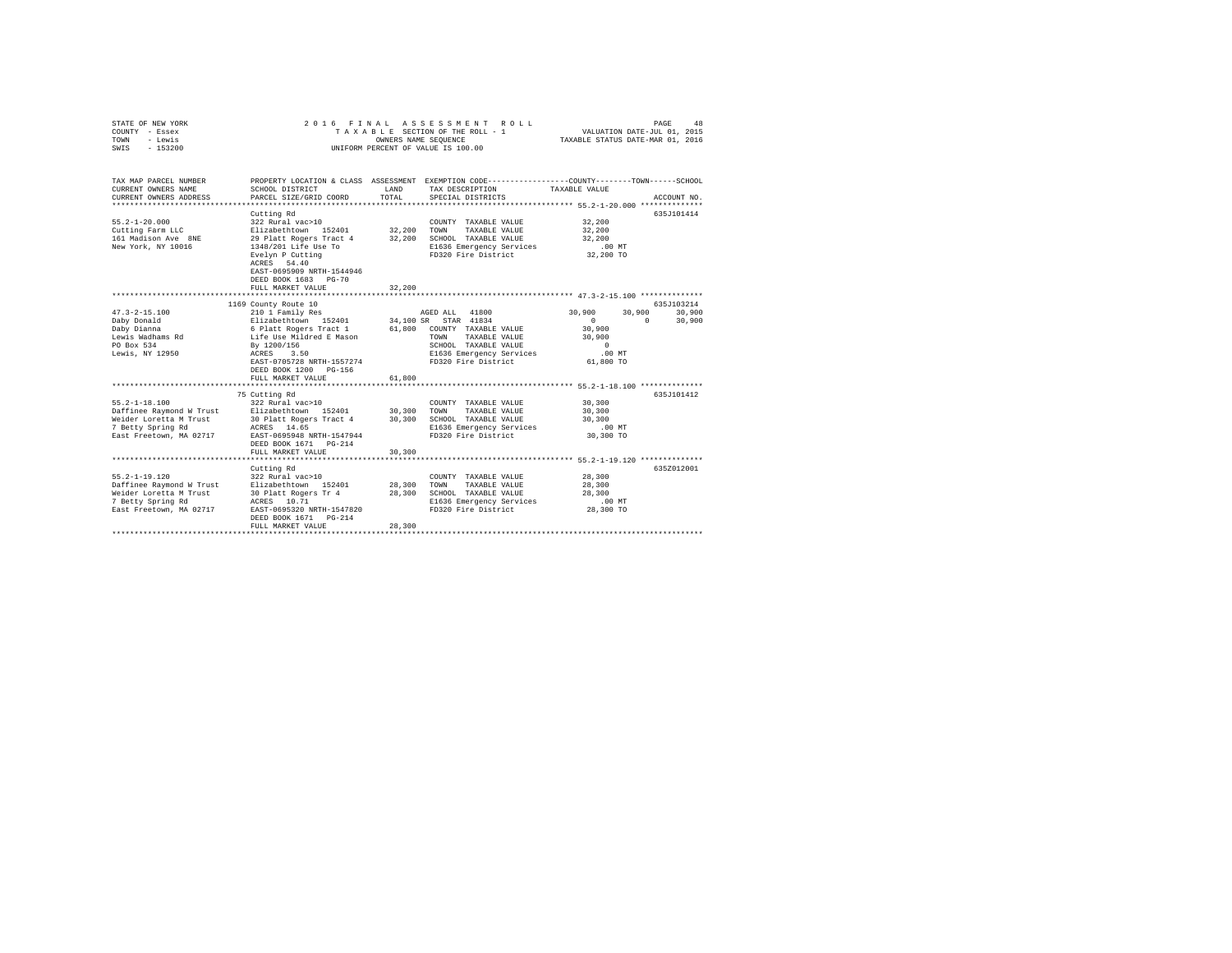| STATE OF NEW YORK<br>COUNTY - Essex<br>TOWN<br>- Lewis<br>$-153200$<br>SWIS                                               | 2016 FINAL                                                                                                                                                                                                             | OWNERS NAME SEQUENCE       | ASSESSMENT ROLL<br>TAXABLE SECTION OF THE ROLL - 1<br>UNIFORM PERCENT OF VALUE IS 100.00                                                                           | VALUATION DATE-JUL 01, 2015<br>TAXABLE STATUS DATE-MAR 01, 2016             | PAGE<br>48                             |
|---------------------------------------------------------------------------------------------------------------------------|------------------------------------------------------------------------------------------------------------------------------------------------------------------------------------------------------------------------|----------------------------|--------------------------------------------------------------------------------------------------------------------------------------------------------------------|-----------------------------------------------------------------------------|----------------------------------------|
| TAX MAP PARCEL NUMBER<br>CURRENT OWNERS NAME<br>CURRENT OWNERS ADDRESS                                                    | SCHOOL DISTRICT<br>PARCEL SIZE/GRID COORD                                                                                                                                                                              | LAND<br>TOTAL              | PROPERTY LOCATION & CLASS ASSESSMENT EXEMPTION CODE---------------COUNTY-------TOWN-----SCHOOL<br>TAX DESCRIPTION<br>SPECIAL DISTRICTS                             | TAXABLE VALUE                                                               | ACCOUNT NO.                            |
| $55.2 - 1 - 20.000$<br>Cutting Farm LLC<br>161 Madison Ave 8NE<br>New York, NY 10016                                      | Cutting Rd<br>322 Rural vac>10<br>Elizabethtown 152401<br>29 Platt Rogers Tract 4<br>1348/201 Life Use To<br>Evelyn P Cutting<br>ACRES 54.40<br>EAST-0695909 NRTH-1544946<br>DEED BOOK 1683 PG-70<br>FULL MARKET VALUE | 32,200<br>32,200<br>32,200 | COUNTY TAXABLE VALUE<br>TOWN<br>TAXABLE VALUE<br>SCHOOL TAXABLE VALUE<br>E1636 Emergency Services<br>FD320 Fire District                                           | 32,200<br>32,200<br>32,200<br>$.00$ MT<br>32,200 TO                         | 635J101414                             |
|                                                                                                                           |                                                                                                                                                                                                                        |                            |                                                                                                                                                                    |                                                                             |                                        |
|                                                                                                                           | 1169 County Route 10                                                                                                                                                                                                   |                            |                                                                                                                                                                    |                                                                             | 635J103214                             |
| $47.3 - 2 - 15.100$<br>Daby Donald<br>Daby Dianna<br>Lewis Wadhams Rd<br>PO Box 534<br>Lewis, NY 12950                    | 210 1 Family Res<br>Elizabethtown 152401<br>6 Platt Rogers Tract 1<br>Life Use Mildred E Mason<br>By 1200/156<br>ACRES 3.50<br>EAST-0705728 NRTH-1557274<br>DEED BOOK 1200 PG-156<br>FULL MARKET VALUE                 | 61,800<br>61,800           | AGED ALL 41800<br>34,100 SR STAR 41834<br>COUNTY TAXABLE VALUE<br>TAXABLE VALUE<br>TOWN<br>SCHOOL TAXABLE VALUE<br>E1636 Emergency Services<br>FD320 Fire District | 30,900<br>$\Omega$<br>30,900<br>30,900<br>$\Omega$<br>$.00$ MT<br>61,800 TO | 30,900<br>30,900<br>$\Omega$<br>30,900 |
|                                                                                                                           |                                                                                                                                                                                                                        |                            |                                                                                                                                                                    |                                                                             |                                        |
| $55.2 - 1 - 18.100$<br>Daffinee Raymond W Trust<br>Weider Loretta M Trust<br>7 Betty Spring Rd<br>East Freetown, MA 02717 | 75 Cutting Rd<br>322 Rural vac>10<br>Elizabethtown 152401<br>30 Platt Rogers Tract 4<br>ACRES 14.65<br>EAST-0695948 NRTH-1547944<br>DEED BOOK 1671 PG-214                                                              | 30,300<br>30,300           | COUNTY TAXABLE VALUE<br>TOWN<br>TAXABLE VALUE<br>SCHOOL TAXABLE VALUE<br>E1636 Emergency Services<br>FD320 Fire District                                           | 30,300<br>30,300<br>30,300<br>$.00$ MT<br>30,300 TO                         | 635J101412                             |
|                                                                                                                           | FULL MARKET VALUE                                                                                                                                                                                                      | 30,300                     |                                                                                                                                                                    |                                                                             |                                        |
|                                                                                                                           |                                                                                                                                                                                                                        |                            |                                                                                                                                                                    |                                                                             |                                        |
| $55.2 - 1 - 19.120$<br>Daffinee Raymond W Trust<br>Weider Loretta M Trust<br>7 Betty Spring Rd<br>East Freetown, MA 02717 | Cutting Rd<br>322 Rural vac>10<br>Elizabethtown 152401<br>30 Platt Rogers Tr 4<br>ACRES 10.71<br>ACRES 10.71<br>EAST-0695320 NRTH-1547820<br>DEED BOOK 1671 PG-214<br>FULL MARKET VALUE<br>*************************** | 28,300<br>28,300<br>28,300 | COUNTY TAXABLE VALUE<br>TOWN<br>TAXABLE VALUE<br>SCHOOL TAXABLE VALUE<br>E1636 Emergency Services<br>FD320 Fire District                                           | 28,300<br>28,300<br>28,300<br>.00MT<br>28,300 TO                            | 635Z012001                             |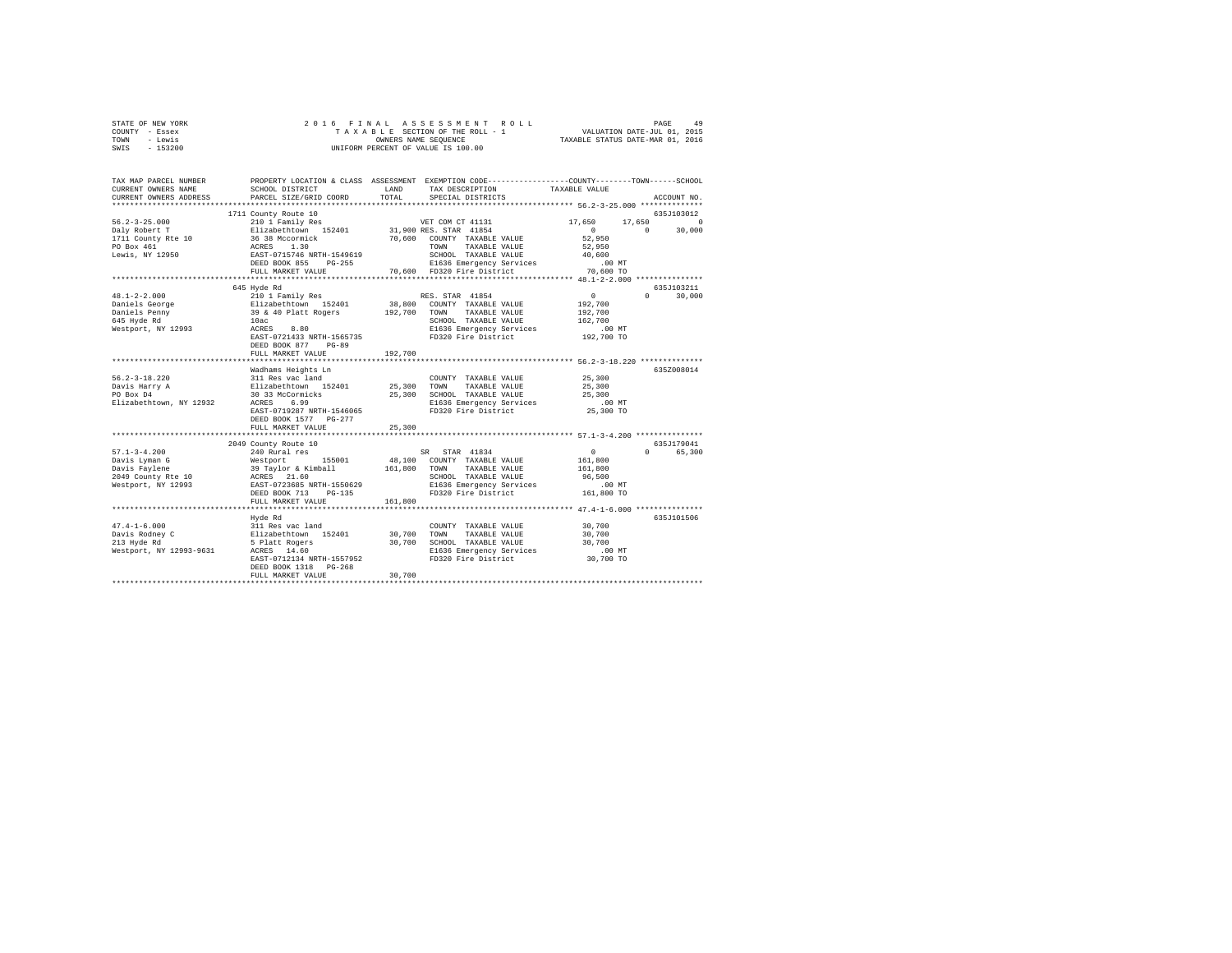| STATE OF NEW YORK | 2016 FINAL ASSESSMENT ROLL         | 49<br>PAGE                       |
|-------------------|------------------------------------|----------------------------------|
| COUNTY - Essex    | TAXABLE SECTION OF THE ROLL - 1    | VALUATION DATE-JUL 01, 2015      |
| TOWN<br>- Lewis   | OWNERS NAME SEOUENCE               | TAXABLE STATUS DATE-MAR 01, 2016 |
| $-153200$<br>SWIS | UNIFORM PERCENT OF VALUE IS 100.00 |                                  |

| TAX MAP PARCEL NUMBER<br>CURRENT OWNERS NAME                         | SCHOOL DISTRICT                                                                            | LAND    | PROPERTY LOCATION & CLASS ASSESSMENT EXEMPTION CODE----------------COUNTY-------TOWN-----SCHOOL<br>TAX DESCRIPTION | TAXABLE VALUE                                |                        |
|----------------------------------------------------------------------|--------------------------------------------------------------------------------------------|---------|--------------------------------------------------------------------------------------------------------------------|----------------------------------------------|------------------------|
| CURRENT OWNERS ADDRESS                                               | PARCEL SIZE/GRID COORD                                                                     | TOTAL   | SPECIAL DISTRICTS                                                                                                  |                                              | ACCOUNT NO.            |
|                                                                      | 1711 County Route 10                                                                       |         |                                                                                                                    |                                              | 635J103012             |
| $56.2 - 3 - 25.000$                                                  | 210 1 Family Res                                                                           |         | VET COM CT 41131                                                                                                   | 17,650                                       |                        |
|                                                                      | Elizabethtown 152401 31,900 RES. STAR 41854<br>36 38 Mccormick 70,600 COUNTY TAXABLE VALUE |         |                                                                                                                    | $\sim$ 0                                     | $17,650$ 0<br>0 30,000 |
| Daly Robert T<br>1711 County Rte 10<br>PO Box 461<br>Lewis, NY 12950 |                                                                                            |         | 70,600 COUNTY TAXABLE VALUE                                                                                        | 52,950                                       |                        |
|                                                                      | ACRES 1.30<br>EAST-0715746 NRTH-1549619                                                    |         | TOWN<br>TAXABLE VALUE                                                                                              | 52,950                                       |                        |
|                                                                      |                                                                                            |         | SCHOOL TAXABLE VALUE                                                                                               | 40,600                                       |                        |
|                                                                      | DEED BOOK 855 PG-255                                                                       |         | E1636 Emergency Services<br>FD320 Fire District                                                                    | $.00$ MT                                     |                        |
|                                                                      | FULL MARKET VALUE                                                                          |         | 70,600 FD320 Fire District                                                                                         | 70,600 TO                                    |                        |
|                                                                      |                                                                                            |         |                                                                                                                    |                                              |                        |
|                                                                      | 645 Hyde Rd                                                                                |         |                                                                                                                    |                                              | 635J103211             |
| $48.1 - 2 - 2.000$                                                   | 210 1 Family Res                                                                           |         | RES. STAR 41854                                                                                                    | $\sim$ 0                                     | $\Omega$<br>30,000     |
| Daniels George                                                       | Elizabethtown 152401 38,800 COUNT<br>39 & 40 Platt Rogers 192,700 TOWN<br>10ac SCHOC       |         | 38,800 COUNTY TAXABLE VALUE                                                                                        | 192,700                                      |                        |
| Daniels Pennv                                                        |                                                                                            |         | TAXABLE VALUE                                                                                                      | 192,700                                      |                        |
| 645 Hyde Rd                                                          |                                                                                            |         | SCHOOL TAXABLE VALUE                                                                                               | 162,700                                      |                        |
| Westport, NY 12993                                                   | ACRES<br>8.80                                                                              |         | E1636 Emergency Services                                                                                           | $.00$ MT                                     |                        |
|                                                                      | EAST-0721433 NRTH-1565735                                                                  |         | FD320 Fire District                                                                                                | 192,700 TO                                   |                        |
|                                                                      | DEED BOOK 877<br>$PG-89$                                                                   |         |                                                                                                                    |                                              |                        |
|                                                                      | FULL MARKET VALUE                                                                          | 192,700 |                                                                                                                    |                                              |                        |
|                                                                      |                                                                                            |         |                                                                                                                    |                                              |                        |
|                                                                      | Wadhams Heights Ln                                                                         |         |                                                                                                                    |                                              | 635Z008014             |
| $56.2 - 3 - 18.220$                                                  | 311 Res vac land                                                                           |         | COUNTY TAXABLE VALUE                                                                                               | 25,300                                       |                        |
| Davis Harry A<br>PO Box D4                                           | Elizabethtown 152401 25,300<br>30 33 McCormicks 25,300                                     |         | TOWN<br>TAXABLE VALUE<br>SCHOOL TAXABLE VALUE                                                                      | 25,300<br>25,300                             |                        |
| Elizabethtown, NY 12932                                              | ACRES<br>6.99                                                                              |         | E1636 Emergency Services                                                                                           | $.00$ MT                                     |                        |
|                                                                      | EAST-0719287 NRTH-1546065                                                                  |         | FD320 Fire District                                                                                                | 25,300 TO                                    |                        |
|                                                                      | DEED BOOK 1577 PG-277                                                                      |         |                                                                                                                    |                                              |                        |
|                                                                      | FULL MARKET VALUE                                                                          | 25,300  |                                                                                                                    |                                              |                        |
|                                                                      |                                                                                            |         |                                                                                                                    |                                              |                        |
|                                                                      | 2049 County Route 10                                                                       |         |                                                                                                                    |                                              | 635J179041             |
| $57.1 - 3 - 4.200$                                                   | ta a shekara                                                                               |         | SR STAR 41834                                                                                                      | $\sim$ 0                                     | $\Omega$<br>65,300     |
| Davis Lyman G                                                        |                                                                                            |         | 48,100 COUNTY TAXABLE VALUE                                                                                        | 161,800                                      |                        |
| Davis Faylene                                                        |                                                                                            |         | TAXABLE VALUE<br>TOWN                                                                                              | 161,800                                      |                        |
| 2049 County Rte 10                                                   | SR<br>Westport 155001 48,100<br>39 Taylor & Kimball 161,800<br>ACRES 21.60                 |         | SCHOOL TAXABLE VALUE                                                                                               | 96,500                                       |                        |
|                                                                      | Westport, NY 12993 EAST-0723685 NRTH-1550629                                               |         | E1636 Emergency Services                                                                                           | $.00$ MT                                     |                        |
|                                                                      | DEED BOOK 713<br>$PG-135$                                                                  |         | FD320 Fire District                                                                                                | 161,800 TO                                   |                        |
|                                                                      | FULL MARKET VALUE                                                                          | 161,800 |                                                                                                                    |                                              |                        |
|                                                                      |                                                                                            |         |                                                                                                                    | *************** 47.4-1-6.000 *************** |                        |
|                                                                      | Hyde Rd                                                                                    |         |                                                                                                                    |                                              | 635J101506             |
| $47.4 - 1 - 6.000$                                                   |                                                                                            |         | COUNTY TAXABLE VALUE                                                                                               | 30,700                                       |                        |
| Davis Rodney C                                                       | 311 Res vac land<br>Elizabethtown 152401<br>5 Platt Rogers                                 | 30,700  | TOWN<br>TAXABLE VALUE                                                                                              | 30,700                                       |                        |
| 213 Hyde Rd                                                          | 5 Platt Rogers<br>ACRES 14.60                                                              | 30,700  | SCHOOL TAXABLE VALUE                                                                                               | 30,700                                       |                        |
| Westport, NY 12993-9631                                              |                                                                                            |         | E1636 Emergency Services                                                                                           | $.00$ MT                                     |                        |
|                                                                      | EAST-0712134 NRTH-1557952                                                                  |         | FD320 Fire District                                                                                                | 30,700 TO                                    |                        |
|                                                                      | DEED BOOK 1318 PG-268                                                                      |         |                                                                                                                    |                                              |                        |
|                                                                      | FULL MARKET VALUE                                                                          | 30,700  |                                                                                                                    |                                              |                        |
|                                                                      |                                                                                            |         |                                                                                                                    |                                              |                        |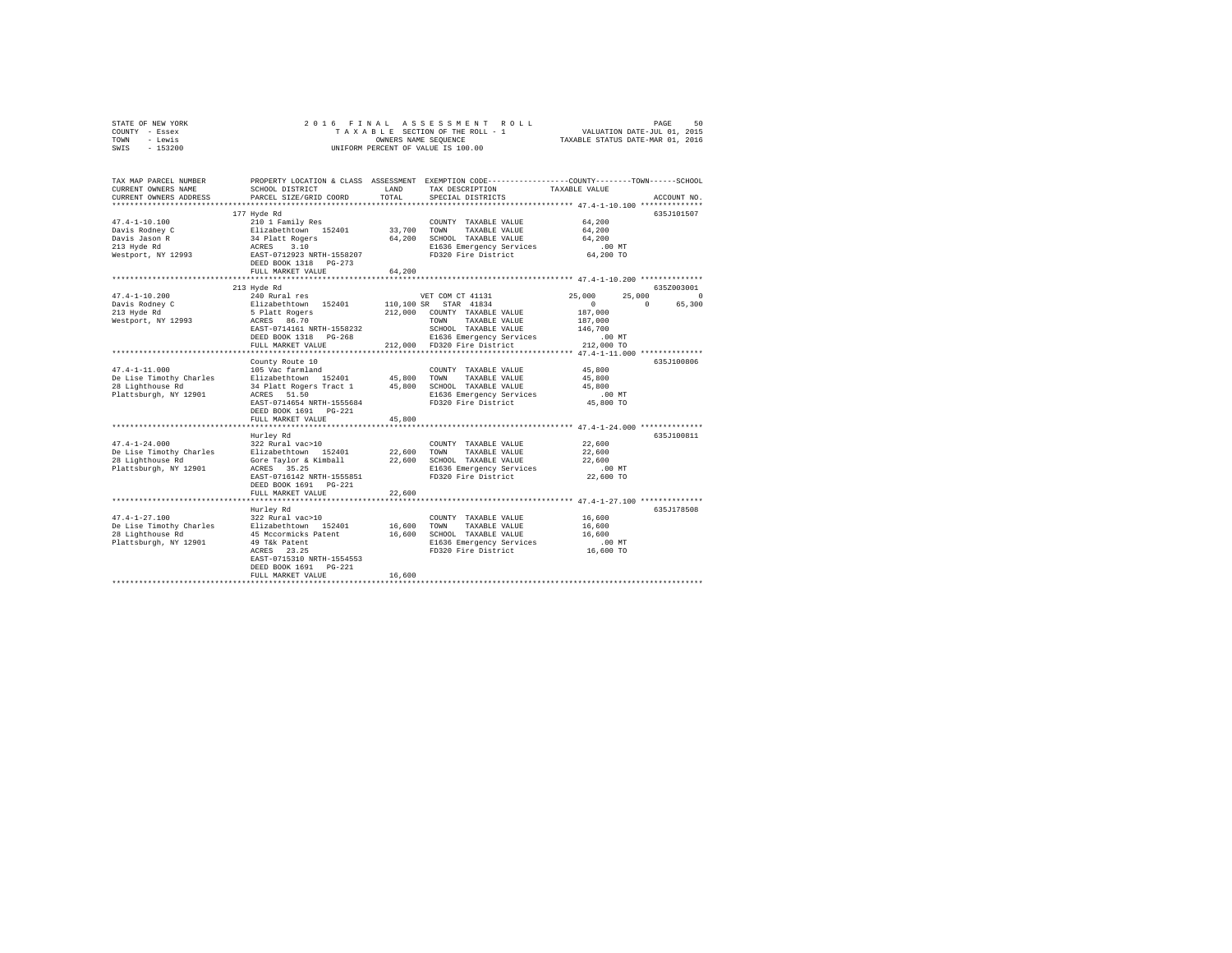|      | STATE OF NEW YORK |  | 2016 FINAL ASSESSMENT ROLL         | 50<br>PAGE                       |  |
|------|-------------------|--|------------------------------------|----------------------------------|--|
|      | COUNTY - Essex    |  | TAXABLE SECTION OF THE ROLL - 1    | VALUATION DATE-JUL 01, 2015      |  |
| TOWN | - Lewis           |  | OWNERS NAME SEOUENCE               | TAXABLE STATUS DATE-MAR 01, 2016 |  |
| SWIS | - 153200          |  | UNIFORM PERCENT OF VALUE IS 100.00 |                                  |  |

| TAX MAP PARCEL NUMBER<br>CURRENT OWNERS NAME<br>CURRENT OWNERS ADDRESS                      | PROPERTY LOCATION & CLASS ASSESSMENT<br>SCHOOL DISTRICT<br>PARCEL SIZE/GRID COORD                                                                                                          | LAND<br>TOTAL                   | EXEMPTION CODE----------------COUNTY-------TOWN------SCHOOL<br>TAX DESCRIPTION<br>SPECIAL DISTRICTS                                                                                   | TAXABLE VALUE                                                                           | ACCOUNT NO.                                    |
|---------------------------------------------------------------------------------------------|--------------------------------------------------------------------------------------------------------------------------------------------------------------------------------------------|---------------------------------|---------------------------------------------------------------------------------------------------------------------------------------------------------------------------------------|-----------------------------------------------------------------------------------------|------------------------------------------------|
| $47.4 - 1 - 10.100$<br>Davis Rodnev C<br>Davis Jason R<br>213 Hyde Rd<br>Westport, NY 12993 | 177 Hyde Rd<br>210 1 Family Res<br>Elizabethtown 152401<br>34 Platt Rogers<br>ACRES 3.10<br>EAST-0712923 NRTH-1558207<br>DEED BOOK 1318 PG-273<br>FULL MARKET VALUE                        | 33,700 TOWN<br>64,200<br>64,200 | COUNTY TAXABLE VALUE<br>TAXABLE VALUE<br>SCHOOL TAXABLE VALUE<br>E1636 Emergency Services<br>FD320 Fire District                                                                      | 64,200<br>64,200<br>64,200<br>$.00$ MT<br>64,200 TO                                     | 635J101507                                     |
| $47.4 - 1 - 10.200$<br>Davis Rodney C<br>213 Hyde Rd<br>Westport, NY 12993                  | 213 Hyde Rd<br>240 Rural res<br>Elizabethtown 152401<br>5 Platt Rogers<br>ACRES 86.70<br>EAST-0714161 NRTH-1558232<br>DEED BOOK 1318 PG-268<br>FULL MARKET VALUE                           |                                 | VET COM CT 41131<br>110,100 SR STAR 41834<br>212,000 COUNTY TAXABLE VALUE<br>TOWN<br>TAXABLE VALUE<br>SCHOOL TAXABLE VALUE<br>E1636 Emergency Services<br>212,000 FD320 Fire District | 25,000<br>25,000<br>$\sim$ 0<br>187,000<br>187,000<br>146,700<br>$.00$ MT<br>212,000 TO | 635Z003001<br>$^{\circ}$<br>$\Omega$<br>65,300 |
| $47.4 - 1 - 11.000$<br>De Lise Timothy Charles<br>28 Lighthouse Rd<br>Plattsburgh, NY 12901 | County Route 10<br>105 Vac farmland<br>Elizabethtown 152401<br>34 Platt Rogers Tract 1<br>ACRES 51.50<br>EAST-0714654 NRTH-1555684<br>DEED BOOK 1691   PG-221<br>FULL MARKET VALUE         | 45,800 TOWN<br>45,800           | COUNTY TAXABLE VALUE<br>TAXABLE VALUE<br>45,800 SCHOOL TAXABLE VALUE<br>E1636 Emergency Services<br>FD320 Fire District                                                               | 45,800<br>45,800<br>45,800<br>.00 MT<br>45,800 TO                                       | 635J100806                                     |
| $47.4 - 1 - 24.000$<br>De Lise Timothy Charles<br>28 Lighthouse Rd<br>Plattsburgh, NY 12901 | Hurley Rd<br>322 Rural vac>10<br>Elizabethtown 152401<br>Gore Taylor & Kimball<br>ACRES 35.25<br>EAST-0716142 NRTH-1555851<br>DEED BOOK 1691 PG-221<br>FULL MARKET VALUE                   | 22,600<br>22,600<br>22,600      | COUNTY TAXABLE VALUE<br>TOWN<br>TAXABLE VALUE<br>SCHOOL TAXABLE VALUE<br>E1636 Emergency Services<br>FD320 Fire District                                                              | 22,600<br>22,600<br>22,600<br>.00MT<br>22,600 TO<br>******** 47.4-1-27.100 ***********  | 635J100811                                     |
| $47.4 - 1 - 27.100$<br>De Lise Timothy Charles<br>28 Lighthouse Rd<br>Plattsburgh, NY 12901 | Hurley Rd<br>322 Rural vac>10<br>Elizabethtown 152401<br>45 Mccormicks Patent<br>49 T&k Patent<br>ACRES 23.25<br>EAST-0715310 NRTH-1554553<br>DEED BOOK 1691   PG-221<br>FULL MARKET VALUE | 16,600<br>16,600                | COUNTY TAXABLE VALUE<br>16,600 TOWN<br>TAXABLE VALUE<br>SCHOOL TAXABLE VALUE<br>E1636 Emergency Services<br>FD320 Fire District                                                       | 16,600<br>16,600<br>16,600<br>$.00$ MT<br>16,600 TO                                     | 635J178508                                     |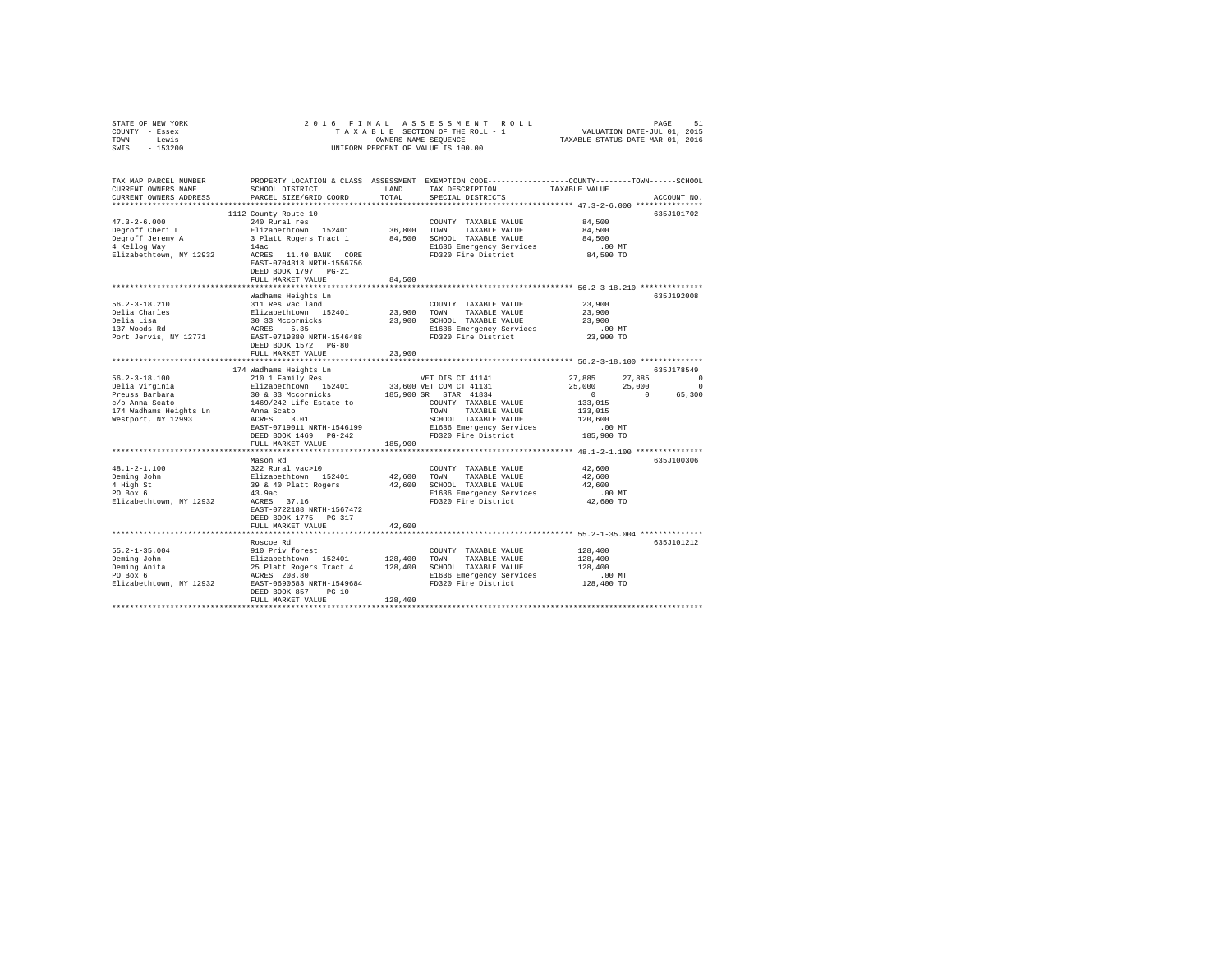| STATE OF NEW YORK                |                                                                                                                                                                             |         |                                                                                                                 |                      |             |
|----------------------------------|-----------------------------------------------------------------------------------------------------------------------------------------------------------------------------|---------|-----------------------------------------------------------------------------------------------------------------|----------------------|-------------|
| COUNTY - Essex                   |                                                                                                                                                                             |         |                                                                                                                 |                      |             |
| TOWN - Lewis                     |                                                                                                                                                                             |         |                                                                                                                 |                      |             |
| SWIS - 153200                    |                                                                                                                                                                             |         |                                                                                                                 |                      |             |
|                                  |                                                                                                                                                                             |         |                                                                                                                 |                      |             |
|                                  | TAX MAP PARCEL NUMBER PROPERTY LOCATION & CLASS ASSESSMENT EXEMPTION CODE--------------COUNTY-------TOWN------SCHOOL                                                        |         |                                                                                                                 |                      |             |
| CURRENT OWNERS NAME              | SCHOOL DISTRICT                                                                                                                                                             |         | LAND TAX DESCRIPTION                                                                                            | TAXABLE VALUE        |             |
| CURRENT OWNERS ADDRESS           | PARCEL SIZE/GRID COORD                                                                                                                                                      | TOTAL   | SPECIAL DISTRICTS                                                                                               |                      | ACCOUNT NO. |
|                                  |                                                                                                                                                                             |         |                                                                                                                 |                      |             |
|                                  | 1112 County Route 10                                                                                                                                                        |         |                                                                                                                 |                      | 635J101702  |
| $47.3 - 2 - 6.000$               | 240 Rural res                                                                                                                                                               |         | COUNTY TAXABLE VALUE 84,500                                                                                     |                      |             |
| Degroff Cheri L                  | Elizabethtown 152401                                                                                                                                                        |         | 36,800 TOWN TAXABLE VALUE                                                                                       | 84,500               |             |
| Degroff Jeremy A<br>4 Kellog Way | 3 Platt Rogers Tract 1 84,500 SCHOOL TAXABLE VALUE                                                                                                                          |         |                                                                                                                 | 84,500               |             |
|                                  | 14ac                                                                                                                                                                        |         | E1636 Emergency Services                                                                                        |                      |             |
|                                  | Elizabethtown, NY 12932 ACRES 11.40 BANK CORE                                                                                                                               |         | FD320 Fire District                                                                                             | 00 MT.<br>84,500 TO  |             |
|                                  | EAST-0704313 NRTH-1556756                                                                                                                                                   |         |                                                                                                                 |                      |             |
|                                  | DEED BOOK 1797 PG-21                                                                                                                                                        |         |                                                                                                                 |                      |             |
|                                  | FULL MARKET VALUE                                                                                                                                                           | 84,500  |                                                                                                                 |                      |             |
|                                  |                                                                                                                                                                             |         |                                                                                                                 |                      |             |
|                                  | Wadhams Heights Ln                                                                                                                                                          |         |                                                                                                                 |                      | 635J192008  |
| $56.2 - 3 - 18.210$              | 311 Res vac land                                                                                                                                                            |         |                                                                                                                 | 23,900               |             |
|                                  |                                                                                                                                                                             |         | COUNTY TAXABLE VALUE                                                                                            |                      |             |
|                                  |                                                                                                                                                                             |         | 23,900 TOWN TAXABLE VALUE<br>23,900 SCHOOL TAXABLE VALUE                                                        | 23,900               |             |
|                                  |                                                                                                                                                                             |         |                                                                                                                 | 23,900               |             |
|                                  | % -2-16.410<br>Delia Charles 311 Metodian 152401<br>137 Woods Rd 30 331 Metodian 152401<br>137 Woods Rd 30 313 Moormicks<br>Port Jervis, NY 12771 RAST-0719380 NRTH-1546488 |         | E1636 Emergency Services .00 MT<br>FD320 Fire District 23,900 TO                                                |                      |             |
|                                  |                                                                                                                                                                             |         |                                                                                                                 |                      |             |
|                                  | DEED BOOK 1572 PG-80                                                                                                                                                        |         |                                                                                                                 |                      |             |
|                                  | FULL MARKET VALUE                                                                                                                                                           | 23,900  |                                                                                                                 |                      |             |
|                                  | ******************************                                                                                                                                              |         |                                                                                                                 |                      |             |
|                                  | 174 Wadhams Heights Ln                                                                                                                                                      |         |                                                                                                                 |                      | 635J178549  |
|                                  |                                                                                                                                                                             |         |                                                                                                                 |                      |             |
|                                  |                                                                                                                                                                             |         |                                                                                                                 |                      |             |
|                                  |                                                                                                                                                                             |         |                                                                                                                 |                      |             |
|                                  |                                                                                                                                                                             |         |                                                                                                                 | 133,015              |             |
|                                  |                                                                                                                                                                             |         |                                                                                                                 | 133,015              |             |
|                                  |                                                                                                                                                                             |         | AND ANN AND TAXABLE VALUE<br>SCHOOL TAXABLE VALUE<br>E1636 Emergency Services<br>FD320 Fire District<br>185,900 | 120,600              |             |
|                                  |                                                                                                                                                                             |         |                                                                                                                 | $.00$ MT             |             |
|                                  |                                                                                                                                                                             |         |                                                                                                                 | 185,900 TO           |             |
|                                  | FULL MARKET VALUE                                                                                                                                                           | 185,900 |                                                                                                                 |                      |             |
|                                  |                                                                                                                                                                             |         |                                                                                                                 |                      |             |
|                                  | Mason Rd                                                                                                                                                                    |         |                                                                                                                 |                      | 635J100306  |
|                                  |                                                                                                                                                                             |         |                                                                                                                 | 42,600               |             |
|                                  |                                                                                                                                                                             |         |                                                                                                                 | 42,600               |             |
|                                  |                                                                                                                                                                             |         |                                                                                                                 | 42,600               |             |
|                                  |                                                                                                                                                                             |         |                                                                                                                 | $.00$ MT             |             |
|                                  |                                                                                                                                                                             |         |                                                                                                                 | 42,600 TO            |             |
|                                  | EAST-0722188 NRTH-1567472                                                                                                                                                   |         |                                                                                                                 |                      |             |
|                                  | DEED BOOK 1775 PG-317                                                                                                                                                       |         |                                                                                                                 |                      |             |
|                                  | FULL MARKET VALUE                                                                                                                                                           | 42,600  |                                                                                                                 |                      |             |
|                                  |                                                                                                                                                                             |         |                                                                                                                 |                      |             |
|                                  | Roscoe Rd                                                                                                                                                                   |         |                                                                                                                 |                      | 635J101212  |
|                                  |                                                                                                                                                                             |         |                                                                                                                 | 128,400              |             |
|                                  |                                                                                                                                                                             |         |                                                                                                                 |                      |             |
|                                  |                                                                                                                                                                             |         |                                                                                                                 | 128,400<br>128,400   |             |
|                                  |                                                                                                                                                                             |         |                                                                                                                 |                      |             |
|                                  |                                                                                                                                                                             |         | E1636 Emergency Services<br>FD320 Fire District                                                                 | 00 MT.<br>128,400 TO |             |
|                                  | DEED BOOK 857 PG-10                                                                                                                                                         |         |                                                                                                                 |                      |             |
|                                  |                                                                                                                                                                             | 128,400 |                                                                                                                 |                      |             |
|                                  | FULL MARKET VALUE                                                                                                                                                           |         |                                                                                                                 |                      |             |
|                                  |                                                                                                                                                                             |         |                                                                                                                 |                      |             |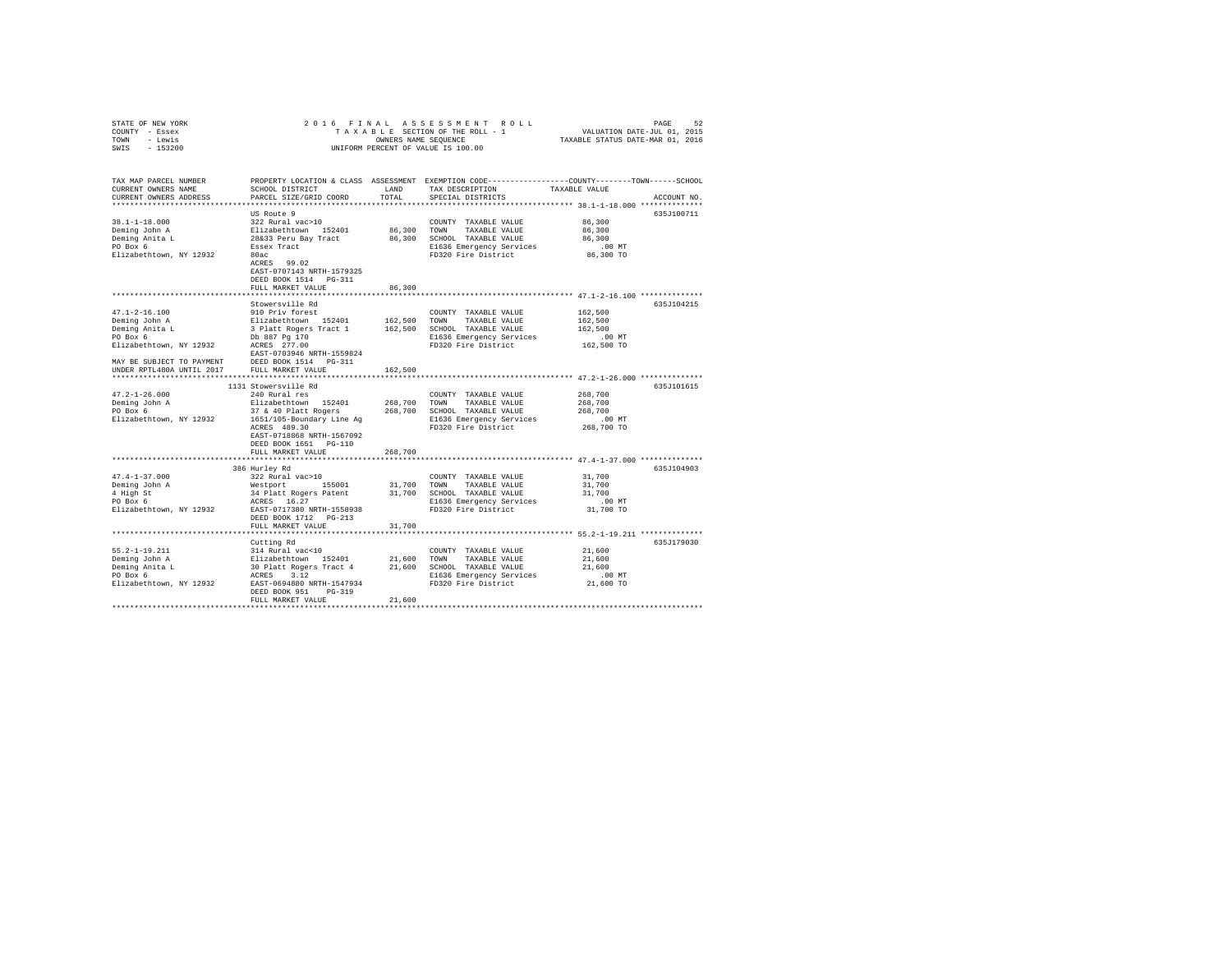| STATE OF NEW YORK                                              | 2016 FINAL                                          |             |                                                                                                 |                                           |             |
|----------------------------------------------------------------|-----------------------------------------------------|-------------|-------------------------------------------------------------------------------------------------|-------------------------------------------|-------------|
| COUNTY - Essex                                                 |                                                     |             |                                                                                                 |                                           |             |
| TOWN - Lewis                                                   |                                                     |             | OWNERS NAME SEQUENCE                                                                            |                                           |             |
| SWIS - 153200                                                  |                                                     |             | UNIFORM PERCENT OF VALUE IS 100.00                                                              |                                           |             |
|                                                                |                                                     |             |                                                                                                 |                                           |             |
|                                                                |                                                     |             |                                                                                                 |                                           |             |
| TAX MAP PARCEL NUMBER                                          |                                                     |             | PROPERTY LOCATION & CLASS ASSESSMENT EXEMPTION CODE---------------COUNTY-------TOWN------SCHOOL |                                           |             |
| CURRENT OWNERS NAME                                            | SCHOOL DISTRICT                                     | LAND        | TAX DESCRIPTION                                                                                 | TAXABLE VALUE                             |             |
| CURRENT OWNERS ADDRESS                                         | PARCEL SIZE/GRID COORD                              | TOTAL       | SPECIAL DISTRICTS                                                                               |                                           | ACCOUNT NO. |
|                                                                |                                                     |             |                                                                                                 |                                           |             |
|                                                                |                                                     |             |                                                                                                 |                                           |             |
|                                                                | US Route 9                                          |             |                                                                                                 |                                           | 635J100711  |
| $38.1 - 1 - 18.000$                                            | 322 Rural vac>10                                    |             | COUNTY TAXABLE VALUE                                                                            | 86,300                                    |             |
| Deming John A                                                  | Elizabethtown 152401<br>28&33 Peru Bay Tract        | 86,300 TOWN | TAXABLE VALUE                                                                                   | 86,300                                    |             |
| Deming Anita L<br>PO Box 6                                     |                                                     |             | 86,300 SCHOOL TAXABLE VALUE                                                                     | 86,300                                    |             |
|                                                                | Essex Tract                                         |             | E1636 Emergency Services                                                                        | .00MT                                     |             |
| Elizabethtown, NY 12932                                        | 80ac                                                |             | FD320 Fire District                                                                             | 86,300 TO                                 |             |
|                                                                | $ACRES$ 99.02                                       |             |                                                                                                 |                                           |             |
|                                                                | EAST-0707143 NRTH-1579325                           |             |                                                                                                 |                                           |             |
|                                                                | DEED BOOK 1514 PG-311                               |             |                                                                                                 |                                           |             |
|                                                                | FULL MARKET VALUE                                   | 86,300      |                                                                                                 |                                           |             |
|                                                                | ************************                            |             | ********************************* 47.1-2-16.100 ***************                                 |                                           |             |
|                                                                | Stowersville Rd                                     |             |                                                                                                 |                                           | 635J104215  |
| $47.1 - 2 - 16.100$                                            | 910 Priv forest                                     |             | COUNTY TAXABLE VALUE                                                                            | 162,500                                   |             |
| Deming John A                                                  | Elizabethtown 152401                                |             | 162,500 TOWN TAXABLE VALUE                                                                      | 162,500                                   |             |
|                                                                | 3 Platt Rogers Tract 1                              |             | 162,500 SCHOOL TAXABLE VALUE                                                                    | 162,500                                   |             |
| Deming Anita L<br>PO Box 6                                     |                                                     |             | E1636 Emergency Services                                                                        | $.00$ MT                                  |             |
| PO Box 6 bb 887 Pg 170<br>Elizabethtown, NY 12932 ACRES 277.00 |                                                     |             | FD320 Fire District                                                                             | 162,500 TO                                |             |
|                                                                | EAST-0703946 NRTH-1559824                           |             |                                                                                                 |                                           |             |
|                                                                |                                                     |             |                                                                                                 |                                           |             |
|                                                                |                                                     |             |                                                                                                 |                                           |             |
|                                                                | ,,,,,,,,,,,,,,,,,,,,,,,,,,,,,,,,                    | 162,500     |                                                                                                 |                                           |             |
|                                                                |                                                     |             |                                                                                                 | ************ 47.2-1-26.000 ************** |             |
|                                                                | 1131 Stowersville Rd                                |             |                                                                                                 |                                           | 635J101615  |
| $47.2 - 1 - 26.000$                                            | 240 Rural res                                       |             | COUNTY TAXABLE VALUE                                                                            | 268,700                                   |             |
| Deming John A<br>PO Box 6                                      | Elizabethtown 152401                                | 268,700     | TOWN TAXABLE VALUE                                                                              | 268,700                                   |             |
|                                                                | 37 & 40 Platt Rogers                                |             | 268,700 SCHOOL TAXABLE VALUE                                                                    | 268,700                                   |             |
| Elizabethtown, NY 12932                                        | 1651/105-Boundary Line Ag                           |             | E1636 Emergency Services                                                                        | .00MT                                     |             |
|                                                                | ACRES 489.30                                        |             | FD320 Fire District                                                                             | 268,700 TO                                |             |
|                                                                | EAST-0718868 NRTH-1567092                           |             |                                                                                                 |                                           |             |
|                                                                | DEED BOOK 1651 PG-110                               |             |                                                                                                 |                                           |             |
|                                                                | FULL MARKET VALUE                                   | 268,700     |                                                                                                 |                                           |             |
|                                                                | ***************************                         |             | ********************************** 47.4-1-37.000 **************                                 |                                           |             |
|                                                                | 386 Hurley Rd                                       |             |                                                                                                 |                                           | 635J104903  |
| $47.4 - 1 - 37.000$                                            | 322 Rural vac>10                                    |             | COUNTY TAXABLE VALUE                                                                            | 31,700                                    |             |
| Deming John A                                                  | Westport 155001                                     | 31,700 TOWN | TAXABLE VALUE                                                                                   | 31,700                                    |             |
|                                                                |                                                     |             | 31,700 SCHOOL TAXABLE VALUE                                                                     | 31,700                                    |             |
| 4 High St<br>PO Box 6                                          | 34 Platt Rogers Patent<br>ACRES 16.27               |             |                                                                                                 | .00MT                                     |             |
| Elizabethtown, NY 12932 EAST-0717380 NRTH-1558938              |                                                     |             | E1636 Emergency Services<br>FD320 Fire District                                                 | 31,700 TO                                 |             |
|                                                                | DEED BOOK 1712 PG-213                               |             |                                                                                                 |                                           |             |
|                                                                |                                                     |             |                                                                                                 |                                           |             |
|                                                                | FULL MARKET VALUE                                   | 31,700      |                                                                                                 |                                           |             |
|                                                                |                                                     |             |                                                                                                 |                                           |             |
|                                                                | Cutting Rd                                          |             |                                                                                                 |                                           | 635J179030  |
| $55.2 - 1 - 19.211$                                            | 314 Rural vac<10                                    |             | COUNTY TAXABLE VALUE                                                                            | 21,600                                    |             |
| Deming John A                                                  | Elizabethtown 152401                                | 21,600 TOWN | TAXABLE VALUE                                                                                   | 21,600                                    |             |
| Deming Anita L<br>Deming Anita L                               | 30 Platt Rogers Tract 4 21,600 SCHOOL TAXABLE VALUE |             |                                                                                                 | 21,600                                    |             |
|                                                                | ACRES 3.12                                          |             | E1636 Emergency Services                                                                        | .00MT                                     |             |
| Elizabethtown, NY 12932                                        | EAST-0694880 NRTH-1547934                           |             | FD320 Fire District                                                                             | 21,600 TO                                 |             |
|                                                                | DEED BOOK 951 PG-319                                |             |                                                                                                 |                                           |             |
|                                                                | FULL MARKET VALUE                                   | 21,600      |                                                                                                 |                                           |             |
|                                                                |                                                     |             |                                                                                                 |                                           |             |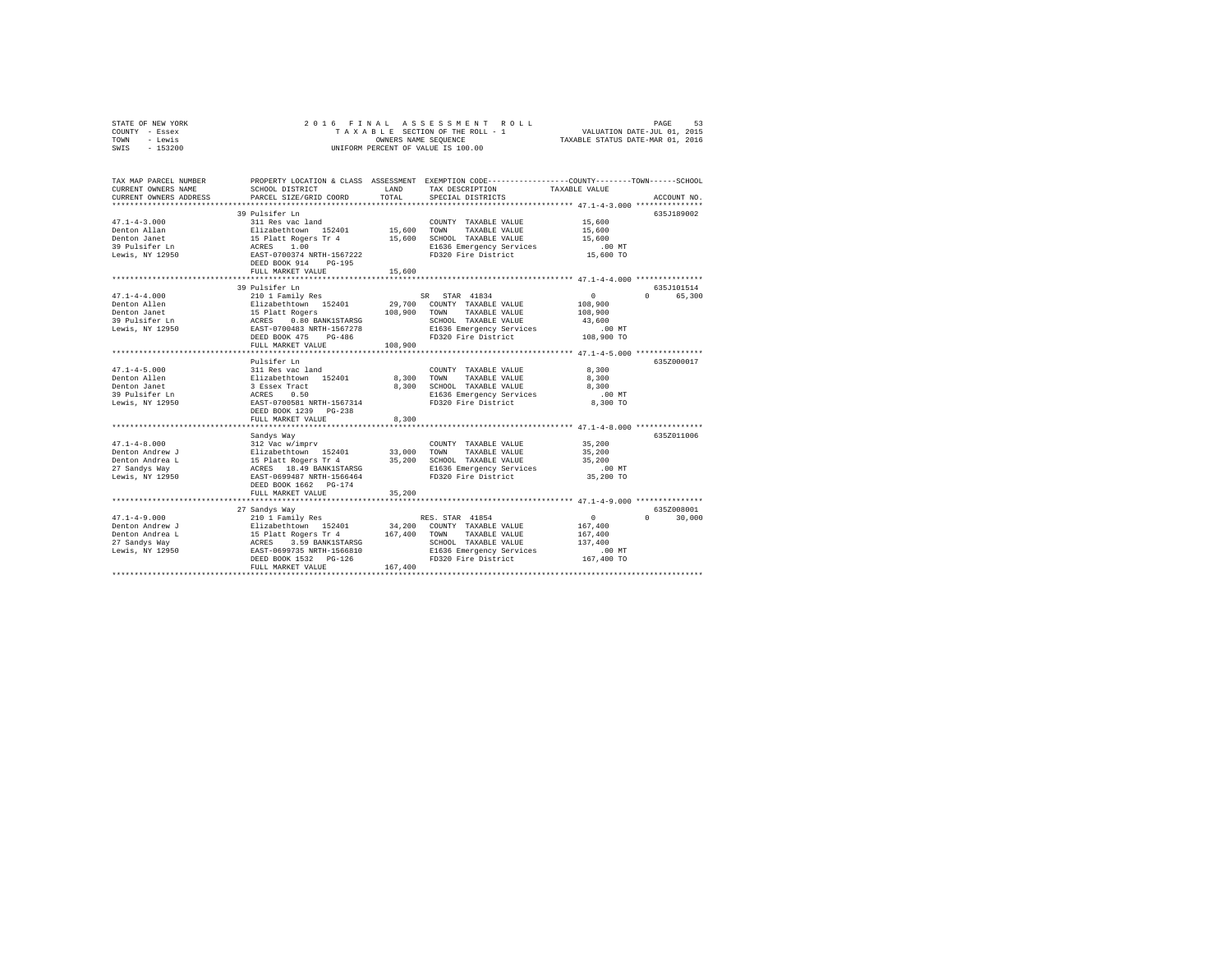|      | STATE OF NEW YORK |  | 2016 FINAL ASSESSMENT ROLL         | 53<br>PAGE                       |  |
|------|-------------------|--|------------------------------------|----------------------------------|--|
|      | COUNTY - Essex    |  | TAXABLE SECTION OF THE ROLL - 1    | VALUATION DATE-JUL 01, 2015      |  |
| TOWN | - Lewis           |  | OWNERS NAME SEOUENCE               | TAXABLE STATUS DATE-MAR 01, 2016 |  |
| SWIS | $-153200$         |  | UNIFORM PERCENT OF VALUE IS 100.00 |                                  |  |

| TAX MAP PARCEL NUMBER<br>CURRENT OWNERS NAME<br>CURRENT OWNERS ADDRESS                       | SCHOOL DISTRICT<br>PARCEL SIZE/GRID COORD                                                                                                                                              | LAND<br>TOTAL.               | PROPERTY LOCATION & CLASS ASSESSMENT EXEMPTION CODE----------------COUNTY-------TOWN------SCHOOL<br>TAX DESCRIPTION<br>SPECIAL DISTRICTS             | TAXABLE VALUE                                                                           | ACCOUNT NO.                       |
|----------------------------------------------------------------------------------------------|----------------------------------------------------------------------------------------------------------------------------------------------------------------------------------------|------------------------------|------------------------------------------------------------------------------------------------------------------------------------------------------|-----------------------------------------------------------------------------------------|-----------------------------------|
| $47.1 - 4 - 3.000$<br>Denton Allan<br>Denton Janet<br>39 Pulsifer Ln<br>Lewis, NY 12950      | 39 Pulsifer Ln<br>311 Res vac land<br>Elizabethtown 152401<br>15 Platt Rogers Tr 4<br>ACRES<br>1.00<br>EAST-0700374 NRTH-1567222<br>DEED BOOK 914<br>$PG-195$<br>FULL MARKET VALUE     | 15,600<br>15,600<br>15,600   | COUNTY TAXABLE VALUE<br>TOWN<br>TAXABLE VALUE<br>SCHOOL TAXABLE VALUE<br>E1636 Emergency Services<br>FD320 Fire District                             | 15,600<br>15,600<br>15,600<br>$.00$ MT<br>15,600 TO                                     | 635J189002                        |
| $47.1 - 4 - 4.000$<br>Denton Allen<br>Denton Janet<br>39 Pulsifer Ln<br>Lewis, NY 12950      | 39 Pulsifer Ln<br>210 1 Family Res<br>Elizabethtown 152401<br>15 Platt Rogers<br>ACRES 0.80 BANK1STARSG<br>EAST-0700483 NRTH-1567278<br>DEED BOOK 475<br>PG-486<br>FULL MARKET VALUE   | 108,900<br>108,900           | STAR 41834<br>SR.<br>29,700 COUNTY TAXABLE VALUE<br>TOWN<br>TAXABLE VALUE<br>SCHOOL TAXABLE VALUE<br>E1636 Emergency Services<br>FD320 Fire District | $\mathbf{0}$<br>108,900<br>108,900<br>43,600<br>$.00$ MT<br>108,900 TO                  | 635.T101514<br>$\Omega$<br>65,300 |
| $47.1 - 4 - 5.000$<br>Denton Allen<br>Denton Janet<br>39 Pulsifer Ln<br>Lewis, NY 12950      | Pulsifer Ln<br>311 Res vac land<br>Elizabethtown 152401<br>3 Essex Tract<br>ACRES<br>0.50<br>EAST-0700581 NRTH-1567314<br>DEED BOOK 1239 PG-238                                        | 8,300<br>8,300               | COUNTY TAXABLE VALUE<br>TOWN<br>TAXABLE VALUE<br>SCHOOL TAXABLE VALUE<br>E1636 Emergency Services<br>FD320 Fire District                             | ************* 47.1-4-5.000 *********<br>8,300<br>8,300<br>8,300<br>$.00$ MT<br>8,300 TO | 635Z000017                        |
|                                                                                              | FULL MARKET VALUE                                                                                                                                                                      | 8,300                        |                                                                                                                                                      |                                                                                         | 635Z011006                        |
| $47.1 - 4 - 8.000$<br>Denton Andrew J<br>Denton Andrea L<br>27 Sandys Way<br>Lewis, NY 12950 | Sandys Way<br>312 Vac w/imprv<br>Elizabethtown 152401<br>15 Platt Rogers Tr 4<br>ACRES 18.49 BANK1STARSG<br>EAST-0699487 NRTH-1566464<br>DEED BOOK 1662 PG-174                         | 33,000<br>35,200             | COUNTY TAXABLE VALUE<br>TOWN<br>TAXABLE VALUE<br>SCHOOL TAXABLE VALUE<br>E1636 Emergency Services<br>FD320 Fire District                             | 35,200<br>35,200<br>35,200<br>$.00$ MT<br>35,200 TO                                     |                                   |
|                                                                                              | FULL MARKET VALUE<br>************************                                                                                                                                          | 35,200                       |                                                                                                                                                      |                                                                                         |                                   |
| $47.1 - 4 - 9.000$<br>Denton Andrew J<br>Denton Andrea L<br>27 Sandys Way<br>Lewis, NY 12950 | 27 Sandys Way<br>210 1 Family Res<br>Elizabethtown 152401<br>15 Platt Rogers Tr 4<br>ACRES 3.59 BANK1STARSG<br>EAST-0699735 NRTH-1566810<br>DEED BOOK 1532 PG-126<br>FULL MARKET VALUE | 34,200<br>167.400<br>167,400 | RES. STAR 41854<br>COUNTY TAXABLE VALUE<br>TOWN<br>TAXABLE VALUE<br>SCHOOL TAXABLE VALUE<br>E1636 Emergency Services<br>FD320 Fire District          | $\circ$<br>167,400<br>167,400<br>137,400<br>$.00$ MT<br>167,400 TO                      | 635Z008001<br>$\Omega$<br>30,000  |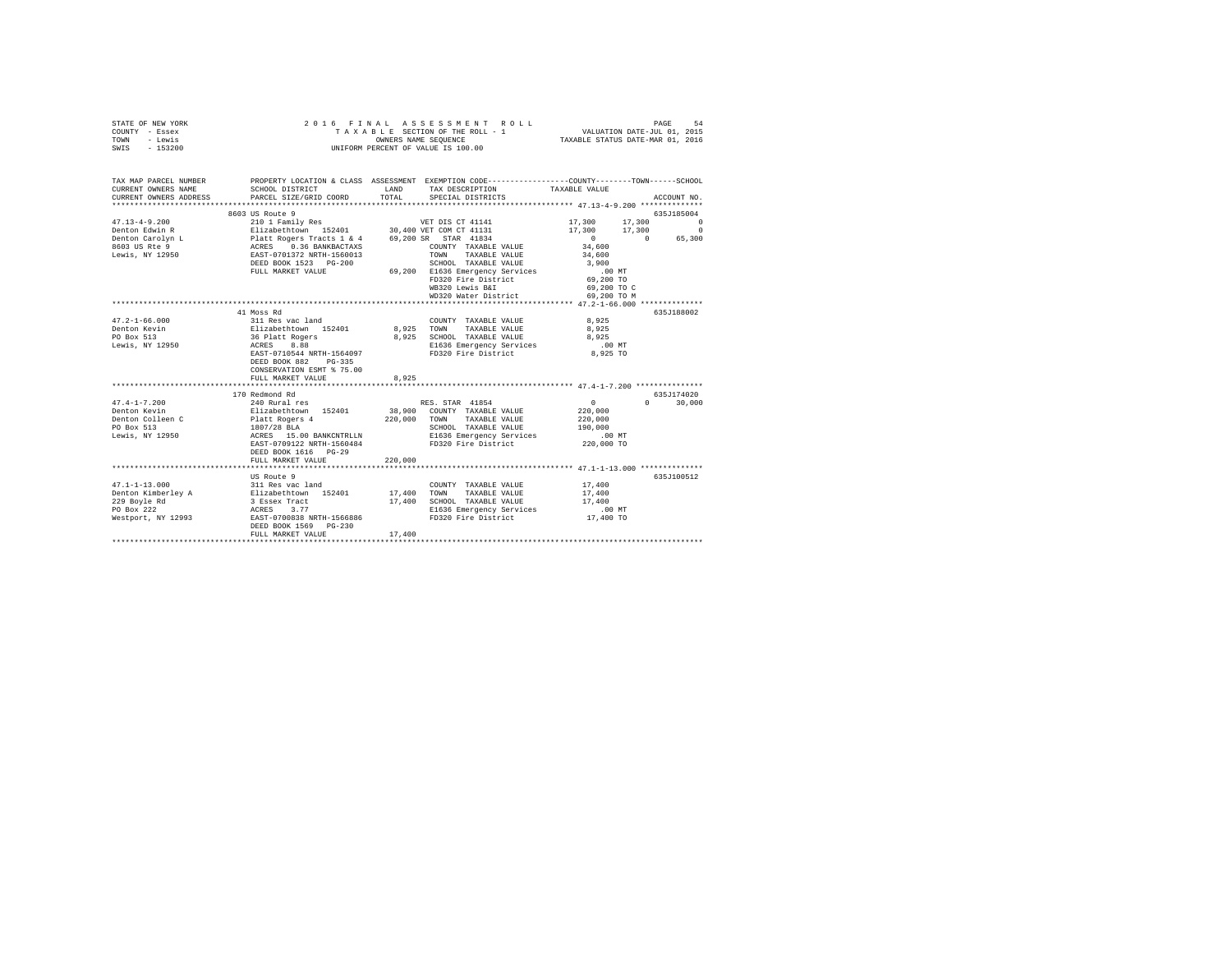| STATE OF NEW YORK<br>COUNTY - Essex<br>TOWN - Lewis<br>SWIS - 153200                                                                        |                                                                                                    |         | 2016 FINAL ASSESSMENT ROLL<br>UNIFORM PERCENT OF VALUE IS 100.00              |                             |                    |
|---------------------------------------------------------------------------------------------------------------------------------------------|----------------------------------------------------------------------------------------------------|---------|-------------------------------------------------------------------------------|-----------------------------|--------------------|
| TAX MAP PARCEL NUMBER PROPERTY LOCATION & CLASS ASSESSMENT EXEMPTION CODE--------------COUNTY-------TOWN------SCHOOL<br>CURRENT OWNERS NAME | SCHOOL DISTRICT                                                                                    | LAND    | TAX DESCRIPTION                                                               | TAXABLE VALUE               |                    |
| CURRENT OWNERS ADDRESS PARCEL SIZE/GRID COORD                                                                                               |                                                                                                    | TOTAL   | SPECIAL DISTRICTS                                                             |                             | ACCOUNT NO.        |
|                                                                                                                                             |                                                                                                    |         |                                                                               |                             |                    |
|                                                                                                                                             | 8603 US Route 9                                                                                    |         |                                                                               |                             | 635J185004         |
| $47.13 - 4 - 9.200$                                                                                                                         | 210 1 Family Res                                                                                   |         | VET DIS CT 41141                                                              | 17,300                      | 17,300<br>$\Omega$ |
|                                                                                                                                             |                                                                                                    |         |                                                                               | 17,300 17,300 0<br>$\sim$ 0 | 0 65,300           |
|                                                                                                                                             |                                                                                                    |         |                                                                               | 34,600                      |                    |
|                                                                                                                                             |                                                                                                    |         |                                                                               | 34,600                      |                    |
|                                                                                                                                             |                                                                                                    |         |                                                                               | 3,900                       |                    |
|                                                                                                                                             | FULL MARKET VALUE                                                                                  |         | SCHOOL TAXABLE VALUE<br>69,200 E1636 Emergency Services                       | .00 MT                      |                    |
|                                                                                                                                             |                                                                                                    |         | FD320 Fire District                                                           | 69,200 TO                   |                    |
|                                                                                                                                             |                                                                                                    |         | WB320 Lewis B&I                                                               | 69,200 TO C                 |                    |
|                                                                                                                                             |                                                                                                    |         | WD320 Water District                                                          | 69,200 TO M                 |                    |
|                                                                                                                                             | 41 Moss Rd                                                                                         |         |                                                                               |                             | 635J188002         |
| $47.2 - 1 - 66.000$                                                                                                                         | 311 Res vac land                                                                                   |         | COUNTY TAXABLE VALUE                                                          | 8,925                       |                    |
| Denton Kevin                                                                                                                                |                                                                                                    |         | 8,925 TOWN TAXABLE VALUE                                                      | 8,925                       |                    |
| PO Box 513<br>Lewis, NY 12950                                                                                                               | $311$ Kes var 1999<br>Elizabethtown 152401<br>36 Platt Rogers<br>ACES 8.88<br>--- $57388$ ---      |         |                                                                               | 8,925                       |                    |
|                                                                                                                                             |                                                                                                    |         |                                                                               | $.00$ MT                    |                    |
|                                                                                                                                             | EAST-0710544 NRTH-1564097                                                                          |         | 8,925 SCHOOL TAXABLE VALUE<br>E1636 Emergency Services<br>FD320 Fire District | 8,925 TO                    |                    |
|                                                                                                                                             | DEED BOOK 882 PG-335                                                                               |         |                                                                               |                             |                    |
|                                                                                                                                             | CONSERVATION ESMT % 75.00                                                                          |         |                                                                               |                             |                    |
|                                                                                                                                             | FULL MARKET VALUE                                                                                  | 8,925   |                                                                               |                             |                    |
|                                                                                                                                             | 170 Redmond Rd                                                                                     |         |                                                                               |                             | 635.7174020        |
| $47.4 - 1 - 7.200$                                                                                                                          | 240 Rural res<br>240 Rural res<br>Elizabethtown<br>19401<br>1807/28 BLA<br>ACRES 15.00 BANKCNTRLLN |         | RES. STAR 41854                                                               | $\sim$ 0                    | $0 \t 30,000$      |
| Denton Kevin                                                                                                                                |                                                                                                    |         | 38,900 COUNTY TAXABLE VALUE                                                   | 220,000                     |                    |
| Denton Colleen C                                                                                                                            |                                                                                                    |         | 220,000 TOWN TAXABLE VALUE                                                    | 220,000                     |                    |
| PO Box 513                                                                                                                                  |                                                                                                    |         | SCHOOL TAXABLE VALUE<br>E1636 Emergency Services                              | 190,000                     |                    |
| Lewis, NY 12950                                                                                                                             |                                                                                                    |         |                                                                               | 00 MT.<br>220,000 TO        |                    |
|                                                                                                                                             | EAST-0709122 NRTH-1560484<br>DEED BOOK 1616 PG-29                                                  |         | FD320 Fire District                                                           |                             |                    |
|                                                                                                                                             | FULL MARKET VALUE                                                                                  | 220,000 |                                                                               |                             |                    |
|                                                                                                                                             |                                                                                                    |         |                                                                               |                             |                    |
|                                                                                                                                             | US Route 9                                                                                         |         |                                                                               |                             | 635J100512         |
| $47.1 - 1 - 13.000$                                                                                                                         | 311 Res vac land                                                                                   |         | COUNTY TAXABLE VALUE                                                          | 17,400                      |                    |
|                                                                                                                                             |                                                                                                    |         | 17,400 TOWN TAXABLE VALUE                                                     | 17,400                      |                    |
|                                                                                                                                             |                                                                                                    |         | 17,400 SCHOOL TAXABLE VALUE                                                   | 17,400                      |                    |
|                                                                                                                                             |                                                                                                    |         | E1636 Emergency Services                                                      | $.00$ MT                    |                    |
|                                                                                                                                             | DEED BOOK 1569 PG-230                                                                              |         | FD320 Fire District                                                           | 17,400 TO                   |                    |
|                                                                                                                                             | FULL MARKET VALUE                                                                                  | 17,400  |                                                                               |                             |                    |
|                                                                                                                                             |                                                                                                    |         |                                                                               |                             |                    |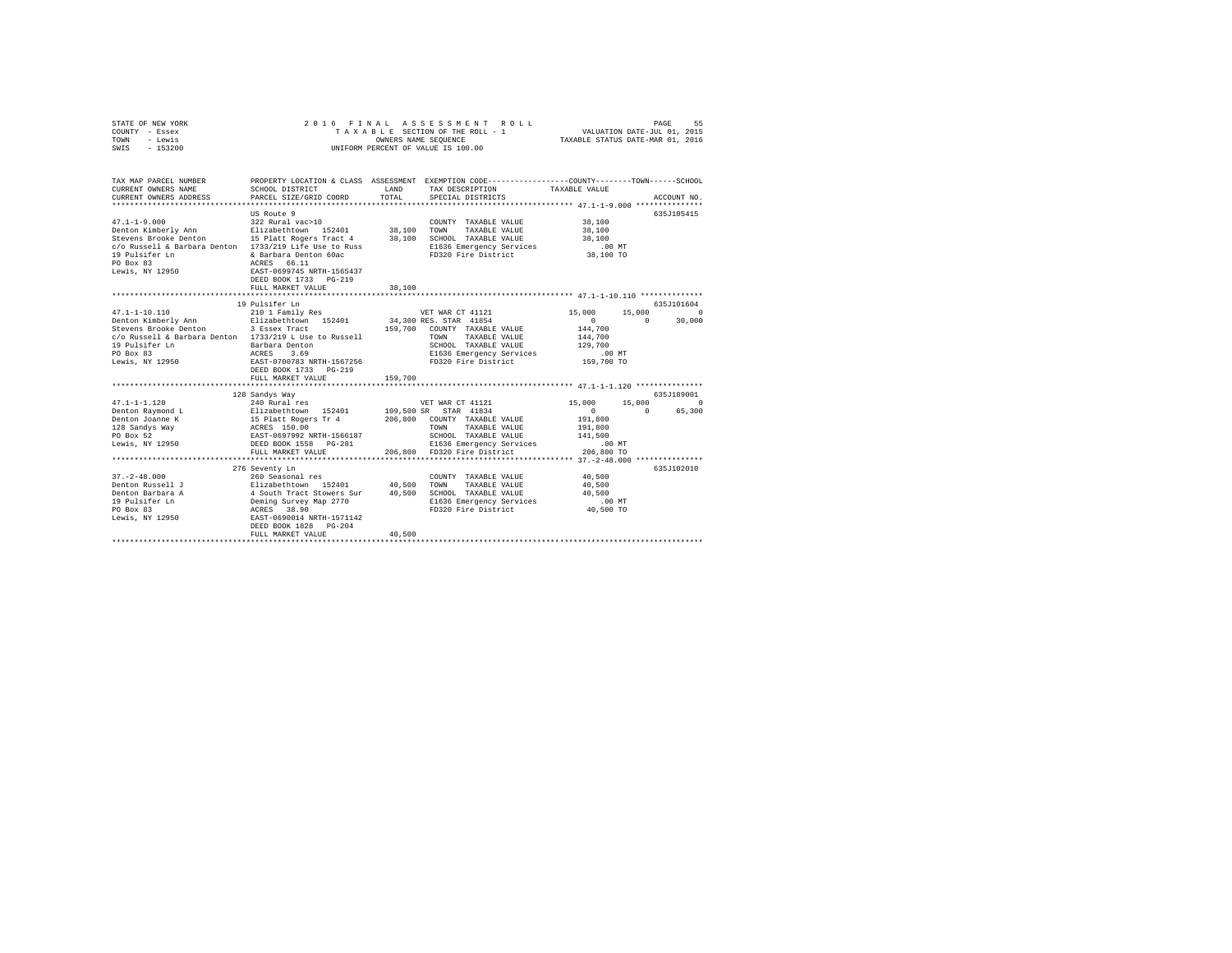| STATE OF NEW YORK | 2016 FINAL ASSESSMENT ROLL         | 55<br>PAGE                       |
|-------------------|------------------------------------|----------------------------------|
| COUNTY - Essex    | TAXABLE SECTION OF THE ROLL - 1    | VALUATION DATE-JUL 01, 2015      |
| TOWN<br>- Lewis   | OWNERS NAME SEOUENCE               | TAXABLE STATUS DATE-MAR 01, 2016 |
| $-153200$<br>SWIS | UNIFORM PERCENT OF VALUE IS 100.00 |                                  |

| TAX MAP PARCEL NUMBER<br>CURRENT OWNERS NAME                                                                   | SCHOOL DISTRICT                                                           | <b>T.AND</b> | PROPERTY LOCATION & CLASS ASSESSMENT EXEMPTION CODE----------------COUNTY-------TOWN-----SCHOOL |                      |                    |
|----------------------------------------------------------------------------------------------------------------|---------------------------------------------------------------------------|--------------|-------------------------------------------------------------------------------------------------|----------------------|--------------------|
| CURRENT OWNERS ADDRESS                                                                                         | PARCEL SIZE/GRID COORD                                                    | TOTAL        | TAX DESCRIPTION TAXABLE VALUE<br>SPECIAL DISTRICTS                                              |                      | ACCOUNT NO.        |
|                                                                                                                |                                                                           |              |                                                                                                 |                      |                    |
|                                                                                                                |                                                                           |              |                                                                                                 |                      | 635J105415         |
| $47.1 - 1 - 9.000$                                                                                             | US Route 9                                                                |              |                                                                                                 | 38,100               |                    |
|                                                                                                                | 322 Rural vac>10                                                          |              | COUNTY TAXABLE VALUE                                                                            |                      |                    |
| Denton Kimberly Ann Blizabethtown 152401 38,100                                                                |                                                                           |              | TOWN<br>TAXABLE VALUE                                                                           | 38,100               |                    |
| Stevens Brooke Denton 15 Platt Rogers Tract 4 38,100<br>c/o Russell & Barbara Denton 1733/219 Life Use to Russ |                                                                           |              | SCHOOL TAXABLE VALUE                                                                            | 38,100               |                    |
|                                                                                                                |                                                                           |              | E1636 Emergency Services                                                                        | .00 MT               |                    |
| 19 Pulsifer Ln                                                                                                 | & Barbara Denton 60ac                                                     |              | FD320 Fire District                                                                             | 38,100 TO            |                    |
| PO Box 83                                                                                                      | ACRES 66.11<br>EAST-0699745 NRTH-1565437                                  |              |                                                                                                 |                      |                    |
| Lewis, NY 12950                                                                                                |                                                                           |              |                                                                                                 |                      |                    |
|                                                                                                                | DEED BOOK 1733 PG-219                                                     |              |                                                                                                 |                      |                    |
|                                                                                                                | FULL MARKET VALUE                                                         | 38,100       |                                                                                                 |                      |                    |
|                                                                                                                |                                                                           |              |                                                                                                 |                      |                    |
|                                                                                                                | 19 Pulsifer Ln                                                            |              |                                                                                                 |                      | 635.7101604        |
| $47.1 - 1 - 10.110$                                                                                            | 210 1 Family Res                                                          |              | VET WAR CT 41121                                                                                | 15,000<br>15,000     | $\Omega$           |
|                                                                                                                |                                                                           |              |                                                                                                 | $\sim$               | $\Omega$<br>30,000 |
| Stevens Brooke Denton 3 Essex Tract                                                                            |                                                                           |              | 159,700 COUNTY TAXABLE VALUE                                                                    | 144,700              |                    |
| c/o Russell & Barbara Denton 1733/219 L Use to Russell                                                         |                                                                           |              | TOWN<br>TAXABLE VALUE                                                                           | 144,700              |                    |
| 19 Pulsifer Ln                                                                                                 | Barbara Denton                                                            |              | SCHOOL TAXABLE VALUE                                                                            | 129,700              |                    |
| PO Box 83                                                                                                      | ACRES 3.69<br>EAST-0700783 NRTH-1567256                                   |              | E1636 Emergency Services                                                                        | 00 MT.<br>159,700 TO |                    |
| Lewis, NY 12950                                                                                                |                                                                           |              | FD320 Fire District                                                                             |                      |                    |
|                                                                                                                | DEED BOOK 1733 PG-219                                                     |              |                                                                                                 |                      |                    |
|                                                                                                                | FULL MARKET VALUE                                                         | 159,700      |                                                                                                 |                      |                    |
|                                                                                                                |                                                                           |              |                                                                                                 |                      |                    |
|                                                                                                                | 128 Sandys Way                                                            |              |                                                                                                 |                      | 635.T189001        |
| $47.1 - 1 - 1.120$                                                                                             | 240 Rural res                                                             |              | VET WAR CT 41121                                                                                | 15,000<br>15,000     | $\Omega$           |
|                                                                                                                |                                                                           |              |                                                                                                 | $\sim$ 0             | 65,300<br>$\Omega$ |
|                                                                                                                |                                                                           |              | COUNTY TAXABLE VALUE                                                                            | 191,800              |                    |
|                                                                                                                |                                                                           |              | TAXABLE VALUE                                                                                   | 191,800              |                    |
|                                                                                                                |                                                                           |              | SCHOOL TAXABLE VALUE                                                                            | 141,500              |                    |
| Lewis, NY 12950 DEED BOOK 1558                                                                                 | PG-281                                                                    |              | E1636 Emergency Services .00 MT                                                                 |                      |                    |
|                                                                                                                | FULL MARKET VALUE                                                         |              | 206.800 FD320 Fire District                                                                     | 206,800 TO           |                    |
|                                                                                                                |                                                                           |              |                                                                                                 |                      |                    |
|                                                                                                                | 276 Seventy Ln                                                            |              |                                                                                                 |                      | 635J102010         |
| $37. - 2 - 48.000$                                                                                             | 260 Seasonal res                                                          |              | COUNTY TAXABLE VALUE                                                                            | 40,500               |                    |
| Denton Russell J                                                                                               | Elizabethtown 152401 40,500                                               |              | TOWN<br>TAXABLE VALUE                                                                           | 40,500               |                    |
| Denton Barbara A                                                                                               |                                                                           |              | SCHOOL TAXABLE VALUE                                                                            | 40,500               |                    |
| 19 Pulsifer Ln                                                                                                 | 4 South Tract Stowers Sur 40,500<br>Deming Survey Map 2770<br>ACRES 38.90 |              | E1636 Emergency Services .00 MT<br>FD320 Fire District 40,500 TO                                |                      |                    |
| PO Box 83                                                                                                      |                                                                           |              |                                                                                                 |                      |                    |
| Lewis, NY 12950                                                                                                | EAST-0690014 NRTH-1571142                                                 |              |                                                                                                 |                      |                    |
|                                                                                                                | DEED BOOK 1828<br>$PG-204$                                                |              |                                                                                                 |                      |                    |
|                                                                                                                | FULL MARKET VALUE                                                         | 40,500       |                                                                                                 |                      |                    |
|                                                                                                                |                                                                           |              |                                                                                                 |                      |                    |
|                                                                                                                |                                                                           |              |                                                                                                 |                      |                    |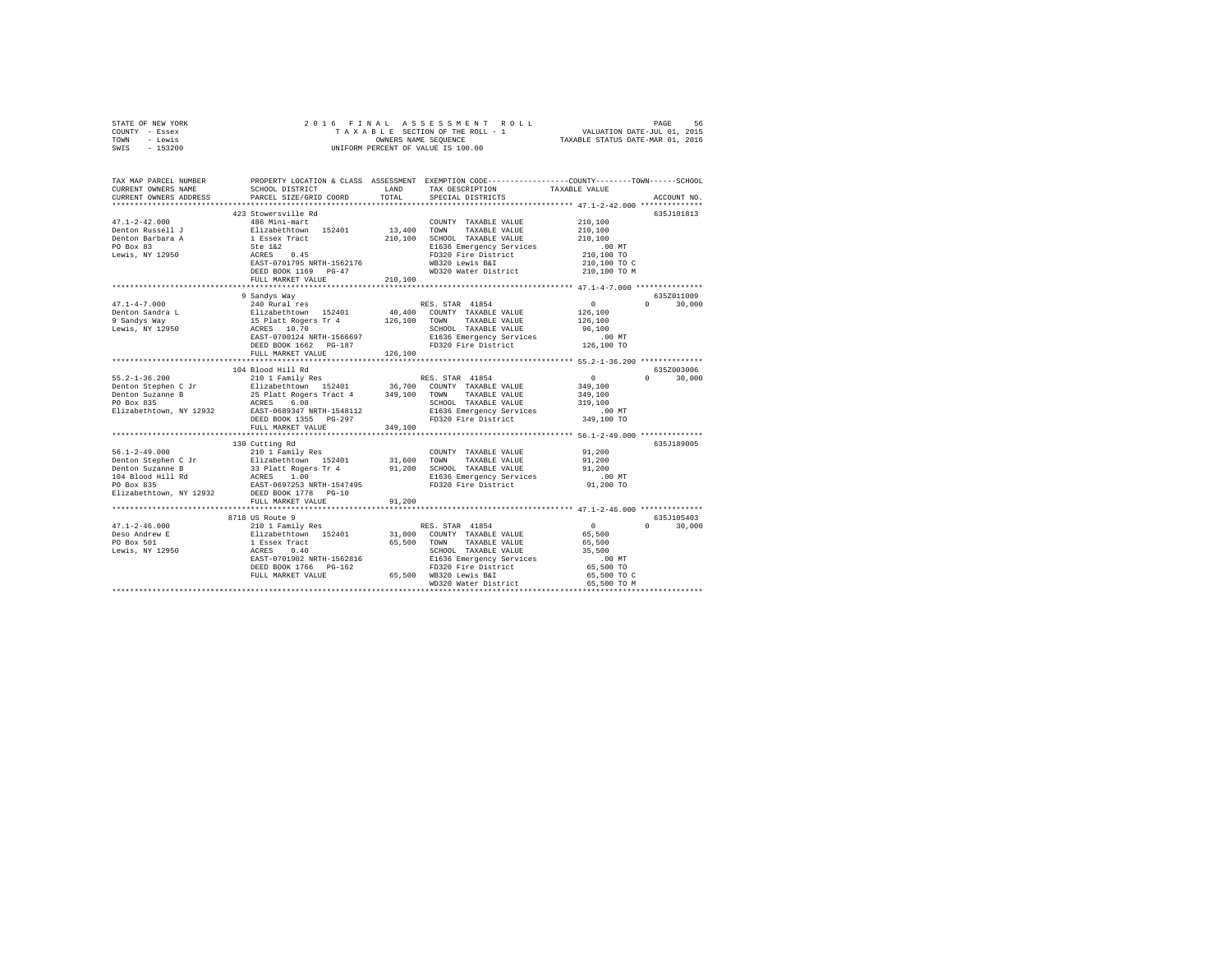| STATE OF NEW YORK | 2016 FINAL ASSESSMENT ROLL         | -56<br>PAGE                      |
|-------------------|------------------------------------|----------------------------------|
| COUNTY - Essex    | TAXABLE SECTION OF THE ROLL - 1    | VALUATION DATE-JUL 01, 2015      |
| TOWN<br>- Lewis   | OWNERS NAME SEOUENCE               | TAXABLE STATUS DATE-MAR 01, 2016 |
| SWIS<br>- 153200  | UNIFORM PERCENT OF VALUE IS 100.00 |                                  |
|                   |                                    |                                  |

| TAX MAP PARCEL NUMBER                    | PROPERTY LOCATION & CLASS ASSESSMENT EXEMPTION CODE---------------COUNTY-------TOWN------SCHOOL                                                                                                                                                    |         |                                                          |                       |                        |
|------------------------------------------|----------------------------------------------------------------------------------------------------------------------------------------------------------------------------------------------------------------------------------------------------|---------|----------------------------------------------------------|-----------------------|------------------------|
| CURRENT OWNERS NAME                      | SCHOOL DISTRICT                                                                                                                                                                                                                                    | LAND    | TAX DESCRIPTION                                          | TAXABLE VALUE         |                        |
| CURRENT OWNERS ADDRESS                   | PARCEL SIZE/GRID COORD TOTAL                                                                                                                                                                                                                       |         | SPECIAL DISTRICTS                                        |                       | ACCOUNT NO.            |
|                                          |                                                                                                                                                                                                                                                    |         |                                                          |                       |                        |
|                                          | 423 Stowersville Rd                                                                                                                                                                                                                                |         |                                                          |                       | 635J101813             |
|                                          |                                                                                                                                                                                                                                                    |         | COUNTY TAXABLE VALUE                                     | 210,100               |                        |
|                                          |                                                                                                                                                                                                                                                    |         | TAXABLE VALUE                                            | 210,100               |                        |
|                                          |                                                                                                                                                                                                                                                    |         | 210,100 SCHOOL TAXABLE VALUE<br>E1636 Emergency Services | 210,100               |                        |
|                                          |                                                                                                                                                                                                                                                    |         |                                                          | .00 MT.<br>210,100 TO |                        |
|                                          |                                                                                                                                                                                                                                                    |         | FD320 Fire District                                      |                       |                        |
|                                          |                                                                                                                                                                                                                                                    |         | WB320 Lewis B&I                                          | 210,100 TO C          |                        |
|                                          | DEED BOOK 1169 PG-47                                                                                                                                                                                                                               |         | WD320 Water District                                     | 210,100 TO M          |                        |
|                                          | FULL MARKET VALUE                                                                                                                                                                                                                                  | 210,100 |                                                          |                       |                        |
|                                          |                                                                                                                                                                                                                                                    |         |                                                          |                       |                        |
|                                          | 9 Sandys Way                                                                                                                                                                                                                                       |         |                                                          |                       | 635Z011009             |
| $47.1 - 4 - 7.000$                       | 240 Rural res                                                                                                                                                                                                                                      |         | RES. STAR 41854                                          | $\sim$ 0 $\sim$       | $0 \t 30,000$          |
|                                          |                                                                                                                                                                                                                                                    |         |                                                          |                       |                        |
|                                          |                                                                                                                                                                                                                                                    |         |                                                          |                       |                        |
|                                          | 9 Denton Sandra L<br>Elizabethtown 152401 126,100 COUNTY TAXABLE VALUE 126,100 126,100 126,100 126,100 126,100 126,100 126,100 126,100 126,100 126,100 126,100 126,100 126,100 126,100 126,100 126,100 126,100 126,100 126,1                       |         |                                                          | .00MT                 |                        |
|                                          |                                                                                                                                                                                                                                                    |         |                                                          |                       |                        |
|                                          | DEED BOOK 1662 PG-187                                                                                                                                                                                                                              | 126,100 | FD320 Fire District 126,100 TO                           |                       |                        |
|                                          | FULL MARKET VALUE                                                                                                                                                                                                                                  |         |                                                          |                       |                        |
|                                          | 104 Blood Hill Rd                                                                                                                                                                                                                                  |         |                                                          |                       | 635Z003006             |
|                                          |                                                                                                                                                                                                                                                    |         |                                                          |                       | $0 \t 30,000$          |
|                                          |                                                                                                                                                                                                                                                    |         |                                                          |                       |                        |
|                                          |                                                                                                                                                                                                                                                    |         |                                                          |                       |                        |
|                                          |                                                                                                                                                                                                                                                    |         |                                                          |                       |                        |
|                                          |                                                                                                                                                                                                                                                    |         |                                                          |                       |                        |
|                                          |                                                                                                                                                                                                                                                    |         |                                                          |                       |                        |
|                                          | FULL MARKET VALUE                                                                                                                                                                                                                                  | 349,100 |                                                          |                       |                        |
|                                          |                                                                                                                                                                                                                                                    |         |                                                          |                       |                        |
|                                          | 130 Cutting Rd                                                                                                                                                                                                                                     |         |                                                          |                       | 635J189005             |
|                                          |                                                                                                                                                                                                                                                    |         | COUNTY TAXABLE VALUE 91,200                              |                       |                        |
|                                          |                                                                                                                                                                                                                                                    |         |                                                          | 91,200                |                        |
|                                          |                                                                                                                                                                                                                                                    |         |                                                          | 91,200                |                        |
|                                          |                                                                                                                                                                                                                                                    |         |                                                          | .00 MT                |                        |
|                                          |                                                                                                                                                                                                                                                    |         |                                                          | 91,200 TO             |                        |
|                                          |                                                                                                                                                                                                                                                    |         |                                                          |                       |                        |
|                                          | FULL MARKET VALUE                                                                                                                                                                                                                                  | 91,200  |                                                          |                       |                        |
|                                          | ******************************                                                                                                                                                                                                                     |         |                                                          |                       |                        |
|                                          |                                                                                                                                                                                                                                                    |         |                                                          |                       | 635J105403             |
| $47.1 - 2 - 46.000$                      |                                                                                                                                                                                                                                                    |         |                                                          |                       | 30,000<br>$\mathbf{a}$ |
| 47.1-4-30<br>Deso Andrew E<br>De Roy 501 |                                                                                                                                                                                                                                                    |         |                                                          |                       |                        |
|                                          |                                                                                                                                                                                                                                                    |         |                                                          |                       |                        |
| Lewis, NY 12950                          |                                                                                                                                                                                                                                                    |         |                                                          |                       |                        |
|                                          |                                                                                                                                                                                                                                                    |         |                                                          |                       |                        |
|                                          |                                                                                                                                                                                                                                                    |         |                                                          |                       |                        |
|                                          |                                                                                                                                                                                                                                                    |         |                                                          |                       |                        |
|                                          | 3718 US Route 9<br>210 1 Family Res<br>210 1 Family Res<br>216 12 Family Res<br>216 12 Family Res<br>216 12 Family Res<br>216 12 Family Res<br>216 200 12 TATABLE VALUE<br>216 200 12 TATABLE VALUE<br>216 200 12 TATABLE VALUE<br>216 200 12 TATA |         |                                                          |                       |                        |
|                                          |                                                                                                                                                                                                                                                    |         |                                                          |                       |                        |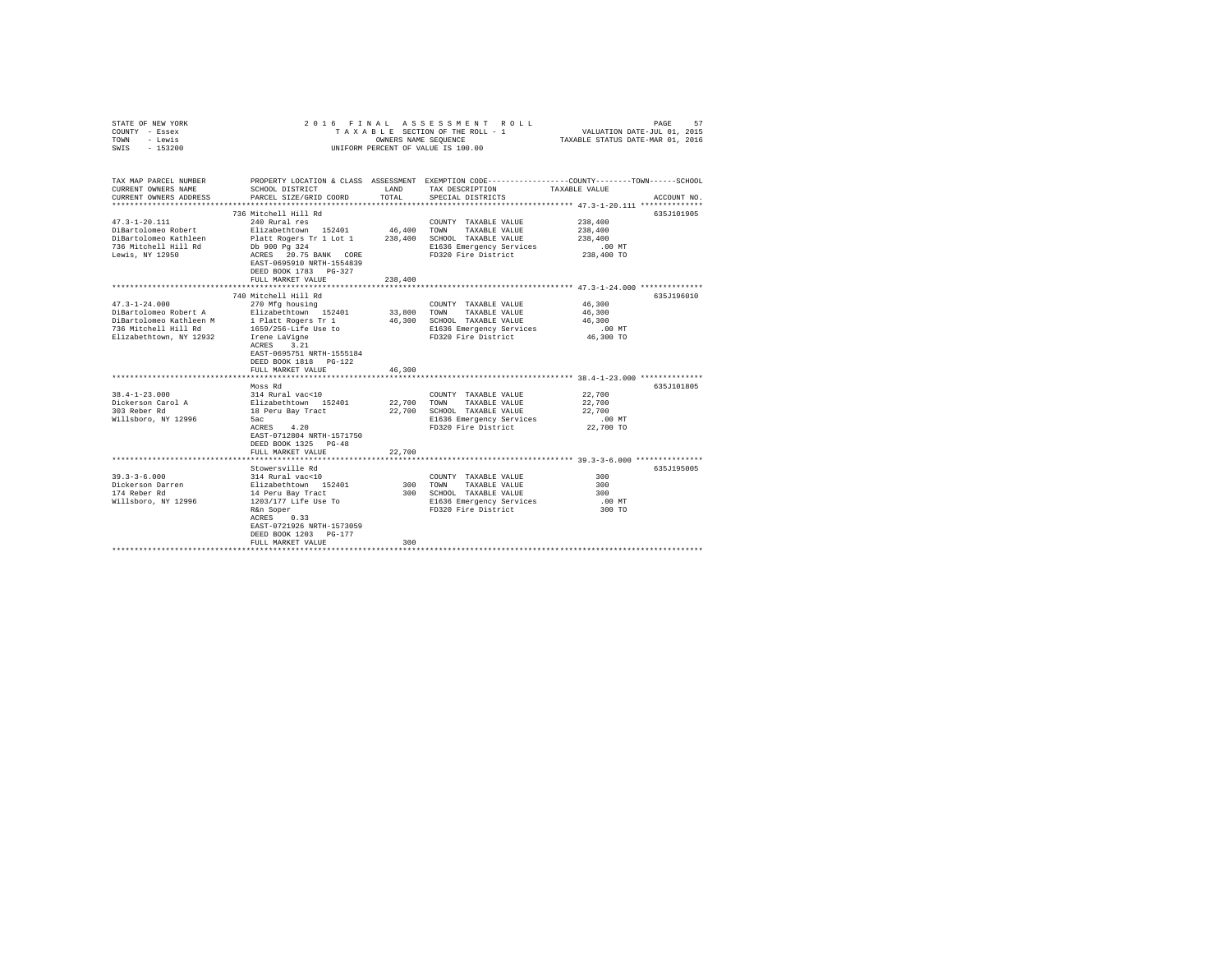| COUNTY - Essex<br>- Lewis<br>TOWN<br>SWIS<br>$-153200$                                                                                                                                                        |                                                                                                                                                                                                                                                                                                                                                                                                     | TAXABLE SECTION OF THE ROLL - 1<br>OWNERS NAME SEQUENCE<br>UNIFORM PERCENT OF VALUE IS 100.00 | VALUATION DATE-JUL 01, 2015<br>TAXABLE STATUS DATE-MAR 01, 2016                                                                                                                                                                                      |                                                                                                                                   |  |
|---------------------------------------------------------------------------------------------------------------------------------------------------------------------------------------------------------------|-----------------------------------------------------------------------------------------------------------------------------------------------------------------------------------------------------------------------------------------------------------------------------------------------------------------------------------------------------------------------------------------------------|-----------------------------------------------------------------------------------------------|------------------------------------------------------------------------------------------------------------------------------------------------------------------------------------------------------------------------------------------------------|-----------------------------------------------------------------------------------------------------------------------------------|--|
| TAX MAP PARCEL NUMBER<br>CURRENT OWNERS NAME<br>CURRENT OWNERS ADDRESS<br>*************************                                                                                                           | SCHOOL DISTRICT<br>PARCEL SIZE/GRID COORD                                                                                                                                                                                                                                                                                                                                                           | LAND<br>TOTAL                                                                                 | TAX DESCRIPTION<br>SPECIAL DISTRICTS                                                                                                                                                                                                                 | PROPERTY LOCATION & CLASS ASSESSMENT EXEMPTION CODE----------------COUNTY-------TOWN------SCHOOL<br>TAXABLE VALUE<br>ACCOUNT NO.  |  |
|                                                                                                                                                                                                               | 736 Mitchell Hill Rd                                                                                                                                                                                                                                                                                                                                                                                |                                                                                               |                                                                                                                                                                                                                                                      | 635J101905                                                                                                                        |  |
| $47.3 - 1 - 20.111$<br>DiBartolomeo Robert<br>DiBartolomeo Kathleen<br>736 Mitchell Hill Rd<br>Lewis, NY 12950                                                                                                | 240 Rural res<br>Elizabethtown 152401<br>Platt Rogers Tr 1 Lot 1<br>Db 900 Pg 324<br>ACRES 20.75 BANK CORE<br>EAST-0695910 NRTH-1554839<br>DEED BOOK 1783 PG-327                                                                                                                                                                                                                                    | 46,400<br>238,400                                                                             | COUNTY TAXABLE VALUE<br>TOWN<br>TAXABLE VALUE<br>SCHOOL TAXABLE VALUE<br>E1636 Emergency Services<br>FD320 Fire District                                                                                                                             | 238,400<br>238,400<br>238,400<br>.00 MT<br>238,400 TO                                                                             |  |
|                                                                                                                                                                                                               | FULL MARKET VALUE                                                                                                                                                                                                                                                                                                                                                                                   | 238,400                                                                                       |                                                                                                                                                                                                                                                      |                                                                                                                                   |  |
|                                                                                                                                                                                                               |                                                                                                                                                                                                                                                                                                                                                                                                     |                                                                                               |                                                                                                                                                                                                                                                      |                                                                                                                                   |  |
| $47.3 - 1 - 24.000$<br>DiBartolomeo Robert A<br>DiBartolomeo Kathleen M<br>736 Mitchell Hill Rd<br>Elizabethtown, NY 12932<br>$38.4 - 1 - 23.000$<br>Dickerson Carol A<br>303 Reber Rd<br>Willsboro, NY 12996 | 740 Mitchell Hill Rd<br>270 Mfg housing<br>Elizabethtown 152401<br>1 Platt Rogers Tr 1<br>1659/256-Life Use to<br>Irene LaVigne<br>ACRES 3.21<br>EAST-0695751 NRTH-1555184<br>DEED BOOK 1818 PG-122<br>FULL MARKET VALUE<br>Moss Rd<br>314 Rural vac<10<br>Elizabethtown 152401<br>18 Peru Bay Tract<br>5ac<br>ACRES 4.20<br>EAST-0712804 NRTH-1571750<br>DEED BOOK 1325 PG-48<br>FULL MARKET VALUE | 33,800<br>46,300<br>46,300<br>22,700<br>22,700<br>22,700                                      | COUNTY TAXABLE VALUE<br>TOWN<br>TAXABLE VALUE<br>SCHOOL TAXABLE VALUE<br>E1636 Emergency Services<br>FD320 Fire District<br>COUNTY TAXABLE VALUE<br>TOWN<br>TAXABLE VALUE<br>SCHOOL TAXABLE VALUE<br>E1636 Emergency Services<br>FD320 Fire District | 635J196010<br>46,300<br>46,300<br>46,300<br>.00MT<br>46,300 TO<br>635J101805<br>22,700<br>22,700<br>22,700<br>.00 MT<br>22,700 TO |  |
|                                                                                                                                                                                                               | ***************************                                                                                                                                                                                                                                                                                                                                                                         |                                                                                               |                                                                                                                                                                                                                                                      | ******************************* 39.3-3-6.000 ***************                                                                      |  |
| $39.3 - 3 - 6.000$<br>Dickerson Darren<br>174 Reber Rd<br>Willsboro, NY 12996                                                                                                                                 | Stowersville Rd<br>314 Rural vac<10<br>Elizabethtown 152401<br>14 Peru Bay Tract<br>1203/177 Life Use To<br>R&n Soper<br>ACRES 0.33<br>EAST-0721926 NRTH-1573059<br>DEED BOOK 1203 PG-177<br>FULL MARKET VALUE                                                                                                                                                                                      | 300<br>300<br>300                                                                             | COUNTY TAXABLE VALUE<br>TOWN<br>TAXABLE VALUE<br>SCHOOL TAXABLE VALUE<br>E1636 Emergency Services<br>FD320 Fire District                                                                                                                             | 635J195005<br>300<br>300<br>300<br>$.00$ MT<br>300 TO                                                                             |  |

STATE OF NEW YORK 2 0 1 6 F I N A L A S S E S S M E N T R O L L PAGE 57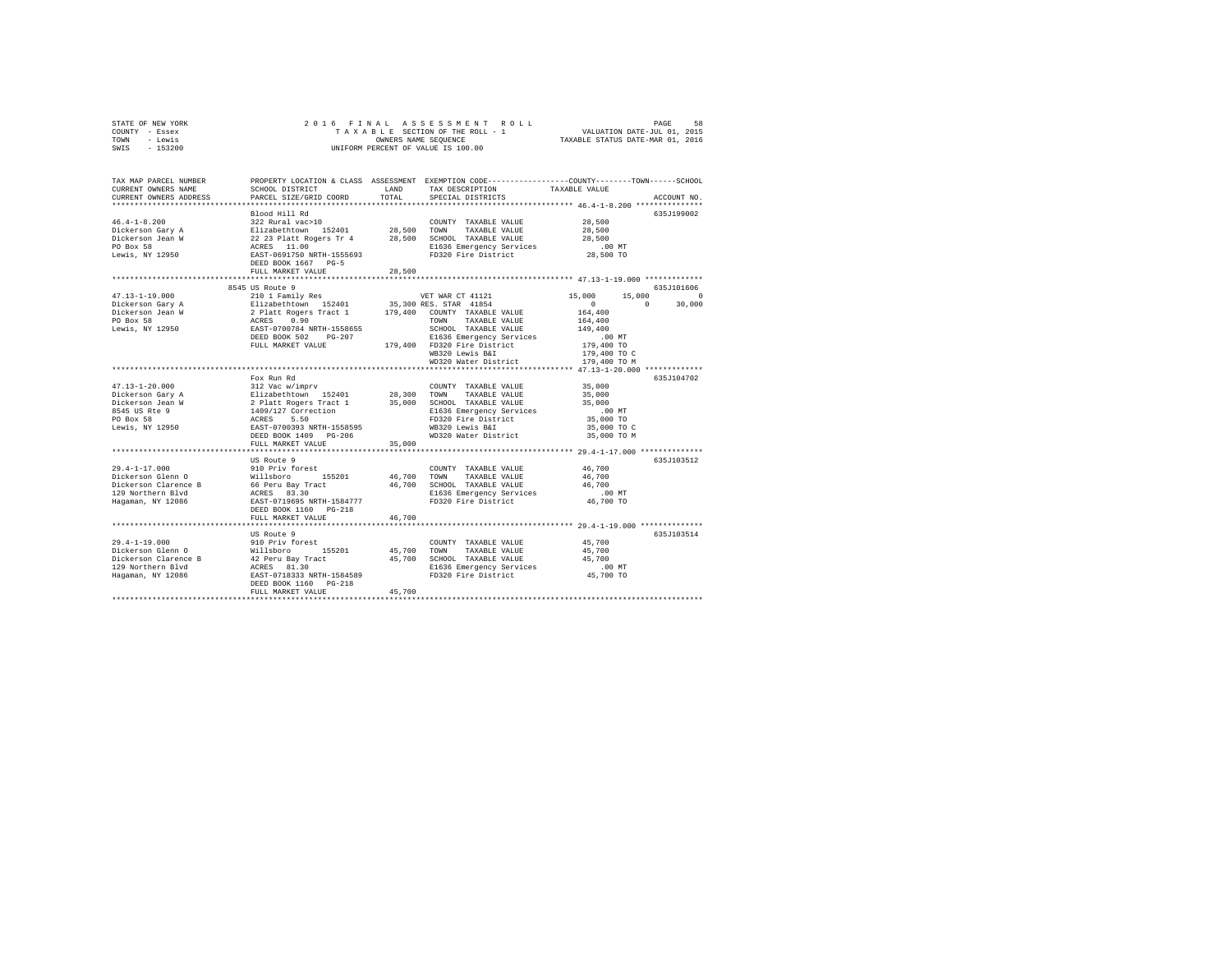|      | STATE OF NEW YORK |  |                                    | 2016 FINAL ASSESSMENT ROLL       | PAGE                        | 58 |
|------|-------------------|--|------------------------------------|----------------------------------|-----------------------------|----|
|      | COUNTY - Essex    |  |                                    | TAXABLE SECTION OF THE ROLL - 1  | VALUATION DATE-JUL 01, 2015 |    |
| TOWN | - Lewis           |  | OWNERS NAME SEOUENCE               | TAXABLE STATUS DATE-MAR 01, 2016 |                             |    |
| SWIS | $-153200$         |  | UNIFORM PERCENT OF VALUE IS 100.00 |                                  |                             |    |

| TAX MAP PARCEL NUMBER<br>CURRENT OWNERS NAME<br>CURRENT OWNERS ADDRESS | PROPERTY LOCATION & CLASS ASSESSMENT EXEMPTION CODE---------------COUNTY-------TOWN-----SCHOOL<br>SCHOOL DISTRICT<br>PARCEL SIZE/GRID COORD | <b>T.AND</b><br>TOTAL | TAX DESCRIPTION<br>SPECIAL DISTRICTS                           | TAXABLE VALUE                                                    | ACCOUNT NO  |
|------------------------------------------------------------------------|---------------------------------------------------------------------------------------------------------------------------------------------|-----------------------|----------------------------------------------------------------|------------------------------------------------------------------|-------------|
|                                                                        | ************************                                                                                                                    |                       |                                                                |                                                                  |             |
| $46.4 - 1 - 8.200$                                                     | Blood Hill Rd<br>322 Rural vac>10                                                                                                           |                       |                                                                | 28,500                                                           | 635J199002  |
|                                                                        | Elizabethtown 152401                                                                                                                        | 28,500                | COUNTY TAXABLE VALUE<br>TOWN<br>TAXABLE VALUE                  | 28,500                                                           |             |
| Dickerson Gary A<br>Dickerson Jean W                                   | 22 23 Platt Rogers Tr 4                                                                                                                     |                       | 28,500 SCHOOL TAXABLE VALUE                                    | 28,500                                                           |             |
| PO Box 58                                                              | ACRES 11.00                                                                                                                                 |                       | E1636 Emergency Services                                       | $.00$ MT                                                         |             |
| Lewis, NY 12950                                                        | EAST-0691750 NRTH-1555693                                                                                                                   |                       | FD320 Fire District                                            | 28,500 TO                                                        |             |
|                                                                        | DEED BOOK 1667 PG-5                                                                                                                         |                       |                                                                |                                                                  |             |
|                                                                        | FULL MARKET VALUE                                                                                                                           | 28,500                |                                                                |                                                                  |             |
|                                                                        | 8545 US Route 9                                                                                                                             |                       |                                                                |                                                                  | 635J101606  |
| $47.13 - 1 - 19.000$                                                   | 210 1 Family Res                                                                                                                            |                       | VET WAR CT 41121                                               | 15,000<br>15,000                                                 | $\Omega$    |
| Dickerson Gary A                                                       | Elizabethtown 152401                                                                                                                        |                       | 35,300 RES. STAR 41854                                         | $\circ$<br>$\Omega$                                              | 30,000      |
| Dickerson Jean W                                                       | 2 Platt Rogers Tract 1 179,400 COUNTY TAXABLE VALUE                                                                                         |                       |                                                                | 164,400                                                          |             |
| PO Box 58                                                              | 0.90<br>ACRES                                                                                                                               |                       | TOWN<br>TAXABLE VALUE                                          | 164,400                                                          |             |
| Lewis, NY 12950                                                        | EAST-0700784 NRTH-1558655                                                                                                                   |                       | SCHOOL TAXABLE VALUE                                           | 149,400                                                          |             |
|                                                                        | DEED BOOK 502<br>$PG-207$                                                                                                                   |                       | E1636 Emergency Services                                       | .00MT                                                            |             |
|                                                                        | FULL MARKET VALUE                                                                                                                           |                       | 179,400 FD320 Fire District                                    | 179,400 TO                                                       |             |
|                                                                        |                                                                                                                                             |                       | WB320 Lewis B&I                                                | 179,400 TO C                                                     |             |
|                                                                        |                                                                                                                                             |                       | WD320 Water District                                           | 179,400 TO M                                                     |             |
|                                                                        |                                                                                                                                             |                       | ********************************* 47.13-1-20.000 ************* |                                                                  |             |
|                                                                        | Fox Run Rd                                                                                                                                  |                       |                                                                |                                                                  | 635J104702  |
| $47.13 - 1 - 20.000$                                                   | 312 Vac w/imprv                                                                                                                             |                       | COUNTY TAXABLE VALUE                                           | 35,000                                                           |             |
| Dickerson Gary A                                                       | Elizabethtown 152401                                                                                                                        | 28,300                | TOWN<br>TAXABLE VALUE                                          | 35,000                                                           |             |
| Dickerson Jean W                                                       | 2 Platt Rogers Tract 1                                                                                                                      | 35,000                | SCHOOL TAXABLE VALUE                                           | 35,000                                                           |             |
| 8545 US Rte 9                                                          | 1409/127 Correction                                                                                                                         |                       | E1636 Emergency Services                                       | $.00$ MT                                                         |             |
| PO Box 58                                                              | ACRES<br>5.50                                                                                                                               |                       | FD320 Fire District                                            | 35,000 TO                                                        |             |
| Lewis, NY 12950                                                        | EAST-0700393 NRTH-1558595                                                                                                                   |                       | WB320 Lewis B&I                                                | 35,000 TO C                                                      |             |
|                                                                        | DEED BOOK 1409 PG-206                                                                                                                       |                       | WD320 Water District                                           | 35,000 TO M                                                      |             |
|                                                                        | FULL MARKET VALUE                                                                                                                           | 35,000                |                                                                |                                                                  |             |
|                                                                        |                                                                                                                                             |                       |                                                                | ********************************** 29.4-1-17.000 *************** |             |
|                                                                        | US Route 9                                                                                                                                  |                       |                                                                |                                                                  | 635J103512  |
| $29.4 - 1 - 17.000$                                                    | 910 Priv forest                                                                                                                             |                       | COUNTY TAXABLE VALUE                                           | 46.700                                                           |             |
| Dickerson Glenn O                                                      | Willsboro<br>155201                                                                                                                         | 46,700                | TOWN<br>TAXABLE VALUE                                          | 46,700                                                           |             |
| Dickerson Clarence B                                                   | 66 Peru Bay Tract                                                                                                                           | 46,700                | SCHOOL TAXABLE VALUE                                           | 46.700                                                           |             |
| 129 Northern Blvd                                                      | ACRES 83.30                                                                                                                                 |                       | E1636 Emergency Services                                       | $.00$ MT                                                         |             |
| Hagaman, NY 12086                                                      | EAST-0719695 NRTH-1584777<br>DEED BOOK 1160 PG-218                                                                                          |                       | FD320 Fire District                                            | 46,700 TO                                                        |             |
|                                                                        | FULL MARKET VALUE                                                                                                                           | 46.700                |                                                                |                                                                  |             |
|                                                                        | *************************                                                                                                                   |                       |                                                                |                                                                  |             |
|                                                                        | US Route 9                                                                                                                                  |                       |                                                                |                                                                  | 635.T103514 |
| $29.4 - 1 - 19.000$                                                    | 910 Priv forest                                                                                                                             |                       | COUNTY TAXABLE VALUE                                           | 45,700                                                           |             |
| Dickerson Glenn O                                                      | 155201<br>Willsboro                                                                                                                         | 45,700                | TOWN<br>TAXABLE VALUE                                          | 45,700                                                           |             |
| Dickerson Clarence B                                                   | 42 Peru Bay Tract                                                                                                                           | 45,700                | SCHOOL TAXABLE VALUE                                           | 45,700                                                           |             |
| 129 Northern Blvd                                                      | ACRES 81.30                                                                                                                                 |                       | E1636 Emergency Services                                       | $.00$ MT                                                         |             |
| Hagaman, NY 12086                                                      | EAST-0718333 NRTH-1584589                                                                                                                   |                       | FD320 Fire District                                            | 45,700 TO                                                        |             |
|                                                                        | DEED BOOK 1160 PG-218<br>FULL MARKET VALUE                                                                                                  |                       |                                                                |                                                                  |             |
|                                                                        |                                                                                                                                             | 45,700                |                                                                |                                                                  |             |
|                                                                        |                                                                                                                                             |                       |                                                                |                                                                  |             |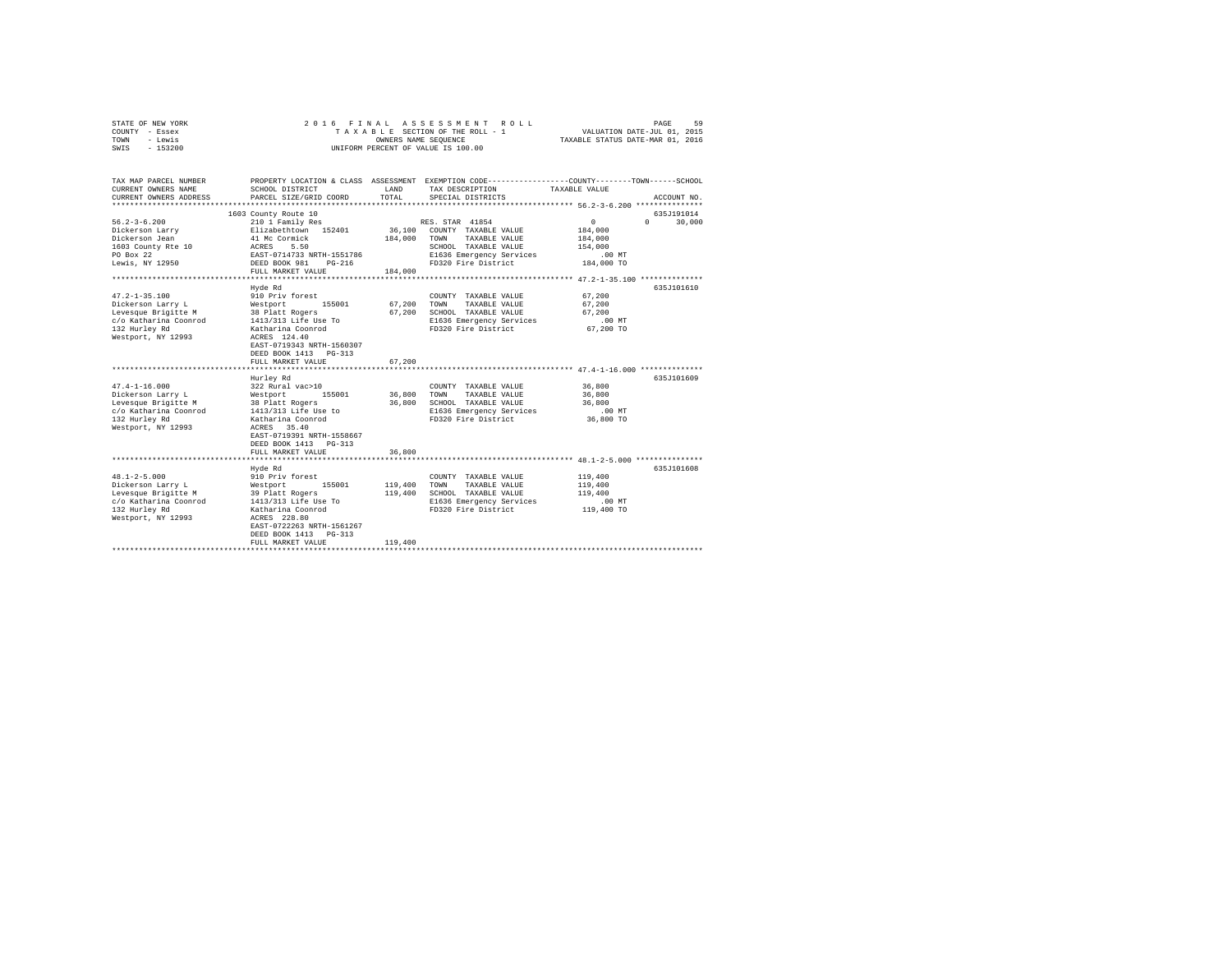| STATE OF NEW YORK<br>COUNTY - Essex          | 2016 FINAL                              |                      | ASSESSMENT ROLL<br>TAXABLE SECTION OF THE ROLL - 1 | PAGE<br>59<br>VALUATION DATE-JUL 01, 2015                                                                        |  |
|----------------------------------------------|-----------------------------------------|----------------------|----------------------------------------------------|------------------------------------------------------------------------------------------------------------------|--|
| - Lewis<br>TOWN                              |                                         | OWNERS NAME SEQUENCE | TAXABLE STATUS DATE-MAR 01, 2016                   |                                                                                                                  |  |
| $-153200$<br>SWIS                            |                                         |                      | UNIFORM PERCENT OF VALUE IS 100.00                 |                                                                                                                  |  |
|                                              |                                         |                      |                                                    |                                                                                                                  |  |
| TAX MAP PARCEL NUMBER<br>CURRENT OWNERS NAME | SCHOOL DISTRICT                         | LAND                 | TAX DESCRIPTION                                    | PROPERTY LOCATION & CLASS ASSESSMENT EXEMPTION CODE---------------COUNTY-------TOWN------SCHOOL<br>TAXABLE VALUE |  |
| CURRENT OWNERS ADDRESS                       | PARCEL SIZE/GRID COORD                  | TOTAL                | SPECIAL DISTRICTS                                  | ACCOUNT NO.                                                                                                      |  |
|                                              |                                         |                      |                                                    |                                                                                                                  |  |
|                                              | 1603 County Route 10                    |                      |                                                    | 635J191014                                                                                                       |  |
| $56.2 - 3 - 6.200$                           | 210 1 Family Res                        |                      | RES. STAR 41854                                    | $\Omega$<br>$\Omega$<br>30,000                                                                                   |  |
| Dickerson Larry                              | Elizabethtown 152401                    |                      | 36,100 COUNTY TAXABLE VALUE                        | 184,000                                                                                                          |  |
| Dickerson Jean                               | 41 Mc Cormick                           | 184,000              | TOWN<br>TAXABLE VALUE                              | 184,000                                                                                                          |  |
| 1603 County Rte 10                           | ACRES 5.50                              |                      | SCHOOL TAXABLE VALUE                               | 154,000                                                                                                          |  |
| PO Box 22                                    | EAST-0714733 NRTH-1551786               |                      | E1636 Emergency Services                           | .00 MT                                                                                                           |  |
| Lewis, NY 12950                              | DEED BOOK 981 PG-216                    |                      | FD320 Fire District                                | 184,000 TO                                                                                                       |  |
|                                              | FULL MARKET VALUE                       | 184,000              |                                                    |                                                                                                                  |  |
|                                              | Hyde Rd                                 |                      |                                                    | 635J101610                                                                                                       |  |
| $47.2 - 1 - 35.100$                          | 910 Priv forest                         |                      | COUNTY TAXABLE VALUE                               | 67,200                                                                                                           |  |
| Dickerson Larry L                            | Westport 155001                         | 67,200               | TOWN<br>TAXABLE VALUE                              | 67,200                                                                                                           |  |
| Levesque Brigitte M                          | 38 Platt Rogers                         | 67.200               | SCHOOL TAXABLE VALUE                               | 67.200                                                                                                           |  |
| c/o Katharina Coonrod                        | 1413/313 Life Use To                    |                      | E1636 Emergency Services                           | .00MT                                                                                                            |  |
| 132 Hurley Rd                                | Katharina Coonrod                       |                      | FD320 Fire District                                | 67,200 TO                                                                                                        |  |
| Westport, NY 12993                           | ACRES 124.40                            |                      |                                                    |                                                                                                                  |  |
|                                              | EAST-0719343 NRTH-1560307               |                      |                                                    |                                                                                                                  |  |
|                                              | DEED BOOK 1413 PG-313                   |                      |                                                    |                                                                                                                  |  |
|                                              | FULL MARKET VALUE                       | 67,200               |                                                    |                                                                                                                  |  |
|                                              |                                         |                      |                                                    |                                                                                                                  |  |
| $47.4 - 1 - 16.000$                          | Hurley Rd<br>322 Rural vac>10           |                      | COUNTY TAXABLE VALUE                               | 635J101609<br>36,800                                                                                             |  |
| Dickerson Larry L                            | Westport<br>155001                      | 36,800               | TOWN<br>TAXABLE VALUE                              | 36,800                                                                                                           |  |
| Levesque Brigitte M                          | 38 Platt Rogers                         | 36,800               | SCHOOL TAXABLE VALUE                               | 36,800                                                                                                           |  |
| c/o Katharina Coonrod                        | 1413/313 Life Use to                    |                      | E1636 Emergency Services                           | .00 MT                                                                                                           |  |
| 132 Hurley Rd                                | Katharina Coonrod                       |                      | FD320 Fire District                                | 36,800 TO                                                                                                        |  |
| Westport, NY 12993                           | ACRES 35.40                             |                      |                                                    |                                                                                                                  |  |
|                                              | EAST-0719391 NRTH-1558667               |                      |                                                    |                                                                                                                  |  |
|                                              | DEED BOOK 1413 PG-313                   |                      |                                                    |                                                                                                                  |  |
|                                              | FULL MARKET VALUE                       | 36,800               |                                                    |                                                                                                                  |  |
|                                              |                                         |                      |                                                    |                                                                                                                  |  |
|                                              | Hyde Rd                                 |                      |                                                    | 635J101608                                                                                                       |  |
| $48.1 - 2 - 5.000$                           | 910 Priv forest                         |                      | COUNTY TAXABLE VALUE                               | 119,400                                                                                                          |  |
| Dickerson Larry L                            | 155001<br>Westport                      | 119,400              | TOWN<br>TAXABLE VALUE                              | 119,400                                                                                                          |  |
| Levesque Brigitte M<br>c/o Katharina Coonrod | 39 Platt Rogers<br>1413/313 Life Use To | 119,400              | SCHOOL TAXABLE VALUE<br>E1636 Emergency Services   | 119,400<br>.00MT                                                                                                 |  |
| 132 Hurley Rd                                | Katharina Coonrod                       |                      | FD320 Fire District                                | 119,400 TO                                                                                                       |  |
| Westport, NY 12993                           | ACRES 228.80                            |                      |                                                    |                                                                                                                  |  |
|                                              | EAST-0722263 NRTH-1561267               |                      |                                                    |                                                                                                                  |  |
|                                              | DEED BOOK 1413 PG-313                   |                      |                                                    |                                                                                                                  |  |
|                                              | FULL MARKET VALUE                       | 119,400              |                                                    |                                                                                                                  |  |
|                                              |                                         |                      |                                                    |                                                                                                                  |  |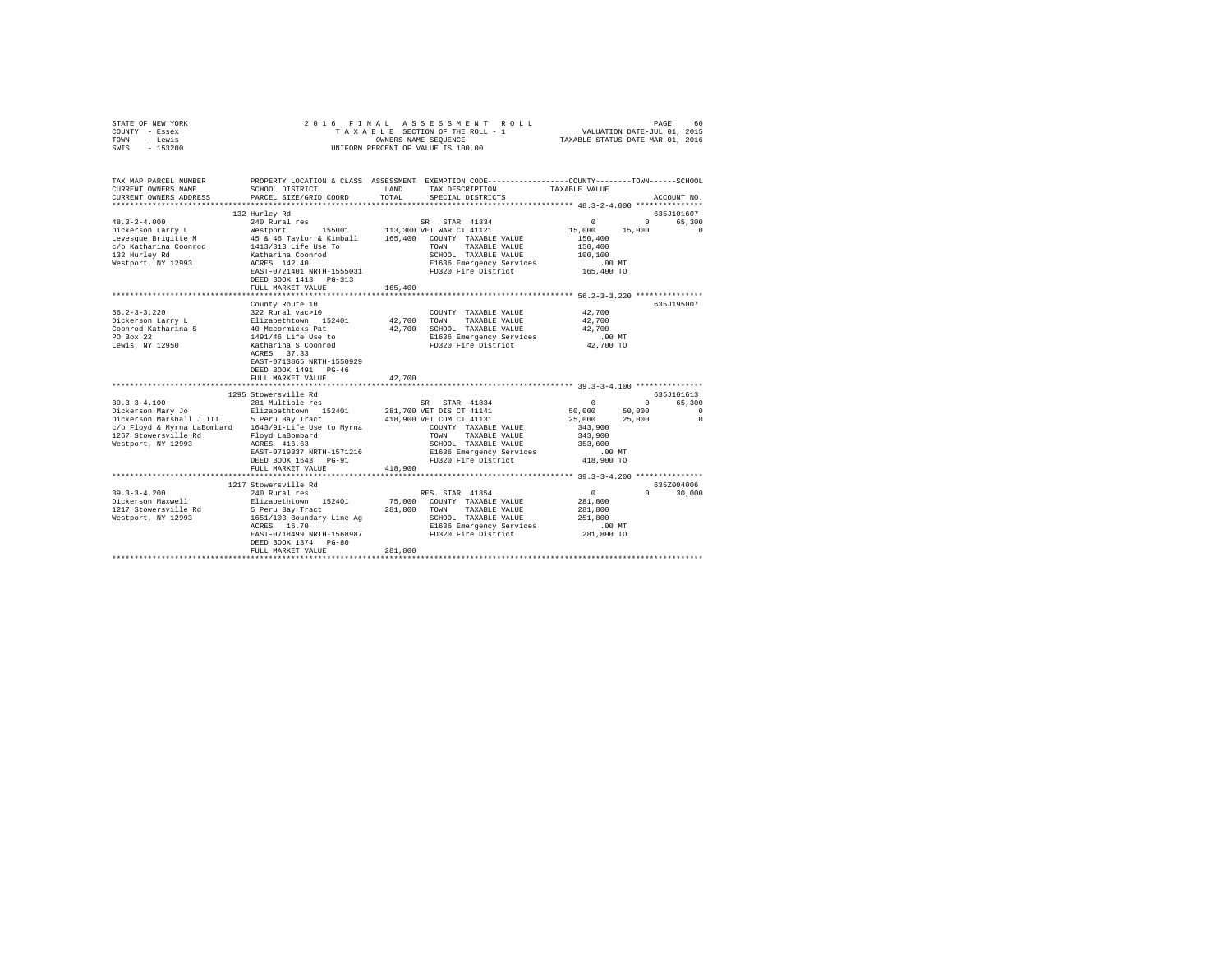| STATE OF NEW YORK<br>COUNTY - Essex<br>TOWN - Lewis<br>SWIS - 153200   | 2016 FINAL ASSESSMENT<br>TAXABLE SECTION OF THE ROLL -<br>UNIFORM PERCENT OF VALUE IS 100.00 |               | 2016 FINAL ASSESSMENT ROLL PAGE 60 PAGE 1 TAXABLE SECTION OF THE ROLL TAXABLE STAR OUR PAGE OF THE PAGE OF THE PAGE OF THE PAGE OF THE PAGE OF THE PAGE OF THE PAGE OF THE PAGE OF THE PAGE OF THE PAGE OF THE PAGE OF THE PAG |                                                                                                                      |                      |
|------------------------------------------------------------------------|----------------------------------------------------------------------------------------------|---------------|--------------------------------------------------------------------------------------------------------------------------------------------------------------------------------------------------------------------------------|----------------------------------------------------------------------------------------------------------------------|----------------------|
| TAX MAP PARCEL NUMBER<br>CURRENT OWNERS NAME<br>CURRENT OWNERS ADDRESS | SCHOOL DISTRICT<br>PARCEL SIZE/GRID COORD                                                    | LAND<br>TOTAL | PROPERTY LOCATION & CLASS ASSESSMENT EXEMPTION CODE---------------COUNTY-------TOWN------SCHOOL<br>TAX DESCRIPTION TAXABLE VALUE<br>SPECIAL DISTRICTS                                                                          |                                                                                                                      | ACCOUNT NO.          |
|                                                                        |                                                                                              |               |                                                                                                                                                                                                                                |                                                                                                                      |                      |
|                                                                        |                                                                                              |               |                                                                                                                                                                                                                                |                                                                                                                      | 635J101607           |
|                                                                        |                                                                                              |               |                                                                                                                                                                                                                                | $\sim$ 0 $\sim$                                                                                                      | 0 65,300<br>$\sim$ 0 |
|                                                                        |                                                                                              |               |                                                                                                                                                                                                                                | $15,000$ $15,000$                                                                                                    |                      |
|                                                                        |                                                                                              |               |                                                                                                                                                                                                                                | 150,400                                                                                                              |                      |
|                                                                        |                                                                                              |               |                                                                                                                                                                                                                                | 150,400<br>100,100                                                                                                   |                      |
|                                                                        |                                                                                              |               | E1636 Emergency Services                                                                                                                                                                                                       | $.00$ MT                                                                                                             |                      |
|                                                                        | EAST-0721401 NRTH-1555031                                                                    |               | FD320 Fire District                                                                                                                                                                                                            | 165,400 TO                                                                                                           |                      |
|                                                                        | DEED BOOK 1413   PG-313                                                                      |               |                                                                                                                                                                                                                                |                                                                                                                      |                      |
|                                                                        | FULL MARKET VALUE                                                                            | 165,400       |                                                                                                                                                                                                                                |                                                                                                                      |                      |
|                                                                        |                                                                                              |               |                                                                                                                                                                                                                                |                                                                                                                      |                      |
|                                                                        | County Route 10                                                                              |               |                                                                                                                                                                                                                                |                                                                                                                      | 635J195007           |
|                                                                        |                                                                                              |               | COUNTY TAXABLE VALUE 42,700                                                                                                                                                                                                    |                                                                                                                      |                      |
|                                                                        |                                                                                              |               | 42,700 TOWN TAXABLE VALUE                                                                                                                                                                                                      | 42,700                                                                                                               |                      |
|                                                                        |                                                                                              |               | 42,700 SCHOOL TAXABLE VALUE                                                                                                                                                                                                    | 42,700                                                                                                               |                      |
|                                                                        |                                                                                              |               | E1636 Emergency Services<br>FD320 Fire District                                                                                                                                                                                | $.00$ MT                                                                                                             |                      |
|                                                                        |                                                                                              |               | FD320 Fire District                                                                                                                                                                                                            | 42,700 TO                                                                                                            |                      |
|                                                                        |                                                                                              |               |                                                                                                                                                                                                                                |                                                                                                                      |                      |
|                                                                        |                                                                                              |               |                                                                                                                                                                                                                                |                                                                                                                      |                      |
|                                                                        | DEED BOOK 1491 PG-46                                                                         |               |                                                                                                                                                                                                                                |                                                                                                                      |                      |
|                                                                        | FULL MARKET VALUE                                                                            | 42,700        |                                                                                                                                                                                                                                |                                                                                                                      |                      |
|                                                                        |                                                                                              |               |                                                                                                                                                                                                                                |                                                                                                                      |                      |
|                                                                        | 1295 Stowersville Rd                                                                         |               |                                                                                                                                                                                                                                |                                                                                                                      | 635J101613           |
|                                                                        |                                                                                              |               |                                                                                                                                                                                                                                | $\begin{array}{ccc} & & & & 0 & & & 0 \ & 50\, ,000 & & & 50\, ,000 & & \ & 25\, ,000 & & & 25\, ,000 & \end{array}$ | 0 65,300             |
|                                                                        |                                                                                              |               |                                                                                                                                                                                                                                |                                                                                                                      | $\sim$ 0             |
|                                                                        |                                                                                              |               |                                                                                                                                                                                                                                |                                                                                                                      | $\sim$ 0             |
| 1267 Stowersville Rd                                                   |                                                                                              |               | TOWN TAXABLE VALUE                                                                                                                                                                                                             | 343,900<br>343,900                                                                                                   |                      |
| Westport, NY 12993                                                     | Floyd LaBombard<br>ACRES 416.63                                                              |               | SCHOOL TAXABLE VALUE                                                                                                                                                                                                           | 353,600                                                                                                              |                      |
|                                                                        | EAST-0719337 NRTH-1571216                                                                    |               |                                                                                                                                                                                                                                |                                                                                                                      |                      |
|                                                                        | DEED BOOK 1643 PG-91                                                                         |               | E1636 Emergency Services<br>FD320 Fire District<br>FD320 Fire District                                                                                                                                                         | 00 MT.<br>418,900 TO                                                                                                 |                      |
|                                                                        | FULL MARKET VALUE                                                                            | 418,900       |                                                                                                                                                                                                                                |                                                                                                                      |                      |
|                                                                        |                                                                                              |               |                                                                                                                                                                                                                                |                                                                                                                      |                      |
|                                                                        | 1217 Stowersville Rd                                                                         |               |                                                                                                                                                                                                                                |                                                                                                                      | 635Z004006           |
| $39.3 - 3 - 4.200$                                                     | 240 Rural res                                                                                |               | RES. STAR 41854                                                                                                                                                                                                                | $\sim$ 0 $\sim$ 0                                                                                                    | $0 \t 30.000$        |
| 39.3-3-4.200<br>Dickerson Maxwell Blizabethtown 152401                 |                                                                                              |               | 75,000 COUNTY TAXABLE VALUE                                                                                                                                                                                                    | 281,800                                                                                                              |                      |
| 1217 Stowersville Rd                                                   | 5 Peru Bay Tract                                                                             |               | 281,800 TOWN TAXABLE VALUE                                                                                                                                                                                                     | 281,800                                                                                                              |                      |
| Westport, NY 12993<br>1651/103-Boundary Line Ag                        |                                                                                              |               | SCHOOL TAXABLE VALUE                                                                                                                                                                                                           | 251,800                                                                                                              |                      |
|                                                                        | ACRES 16.70                                                                                  |               | E1636 Emergency Services                                                                                                                                                                                                       | .00 MT                                                                                                               |                      |
|                                                                        | EAST-0718499 NRTH-1568987                                                                    |               | FD320 Fire District                                                                                                                                                                                                            | 281,800 TO                                                                                                           |                      |
|                                                                        | DEED BOOK 1374 PG-80                                                                         |               |                                                                                                                                                                                                                                |                                                                                                                      |                      |
|                                                                        | FULL MARKET VALUE                                                                            | 281,800       |                                                                                                                                                                                                                                |                                                                                                                      |                      |
|                                                                        |                                                                                              |               |                                                                                                                                                                                                                                |                                                                                                                      |                      |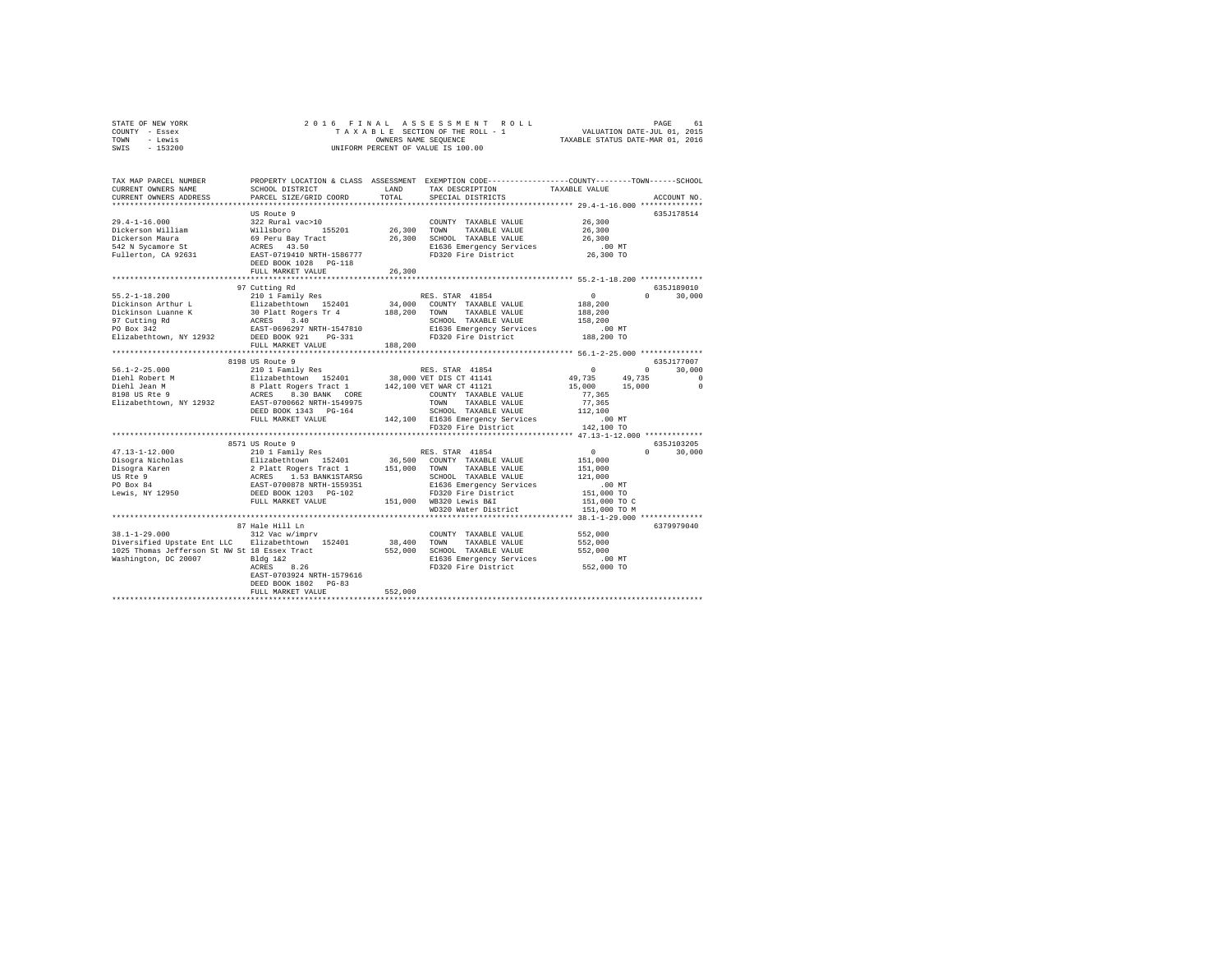|      | STATE OF NEW YORK |  |                                    | 2016 FINAL ASSESSMENT ROLL       | 61<br>PAGE                  |  |
|------|-------------------|--|------------------------------------|----------------------------------|-----------------------------|--|
|      | COUNTY - Essex    |  |                                    | TAXABLE SECTION OF THE ROLL - 1  | VALUATION DATE-JUL 01, 2015 |  |
| TOWN | - Lewis           |  | OWNERS NAME SEOUENCE               | TAXABLE STATUS DATE-MAR 01, 2016 |                             |  |
| SWIS | $-153200$         |  | UNIFORM PERCENT OF VALUE IS 100.00 |                                  |                             |  |

| ************************<br>US Route 9<br>635J178514<br>$29.4 - 1 - 16.000$<br>322 Rural vac>10<br>26,300<br>COUNTY TAXABLE VALUE<br>26,300 TOWN<br>Dickerson William<br>Willsboro<br>155201<br>TAXABLE VALUE<br>26,300<br>69 Peru Bay Tract<br>ACRES 43.50<br>26,300 SCHOOL TAXABLE VALUE<br>26,300<br>Dickerson Maura<br>542 N Sycamore St<br>E1636 Emergency Services<br>$.00$ MT<br>Fullerton, CA 92631<br>EAST-0719410 NRTH-1586777<br>FD320 Fire District<br>26,300 TO<br>DEED BOOK 1028 PG-118<br>26,300<br>FULL MARKET VALUE<br>97 Cutting Rd<br>635J189010<br>$55.2 - 1 - 18.200$<br>210 1 Family Res<br>RES. STAR 41854<br>$\circ$<br>$\Omega$<br>30,000<br>Dickinson Arthur L<br>Elizabethtown 152401<br>34,000<br>COUNTY TAXABLE VALUE<br>188,200<br>Dickinson Luanne K<br>97 Cutting Rd<br>TO Box 342 ROB RASEN 1989 2007<br>Elizabethtown, NY 12932 BESD BOOK 921 PG-331<br>TOWN<br>TAXABLE VALUE<br>188,200<br>SCHOOL TAXABLE VALUE<br>158,200<br>E1636 Emergency Services<br>.00 MT<br>FD320 Fire District<br>188,200 TO<br>FULL MARKET VALUE<br>188,200<br>**************************<br>8198 US Route 9<br>635J177007<br>210 1 Family Res<br>$^{\circ}$<br>30,000<br>RES. STAR 41854<br>$^{\circ}$<br>Elizabethtown 152401 38,000 VET DIS CT 41141<br>8 Platt Rogers Tract 1 142,100 VET WAR CT 41121<br>ACRES 8.30 BANK CORE<br>49,735<br>49.735<br>$\Omega$<br>$\Omega$<br>15,000<br>15,000<br>77.365<br>COUNTY TAXABLE VALUE<br>Elizabethtown, NY 12932<br>EAST-0700662 NRTH-1549975<br>TOWN<br>TAXABLE VALUE<br>77,365<br>SCHOOL TAXABLE VALUE<br>DEED BOOK 1343 PG-164<br>112,100<br>FULL MARKET VALUE<br>142.100 E1636 Emergency Services<br>.00MT<br>FD320 Fire District<br>142,100 TO<br>8571 US Route 9<br>635J103205<br>210 1 Family Res<br>$47.13 - 1 - 12.000$<br>$\sim$ 0<br>30,000<br>RES. STAR 41854<br>$\Omega$<br>36,500 COUNTY TAXABLE VALUE<br>Disogra Nicholas<br>Filizabethtown 152401<br>2 Platt Rogers Tract 1<br>ACRES 1.53 BANK15TARSG<br>EAST-0700878 NRTH-1559351<br>DEED BOOK 1203 PG-102<br>151,000<br>151,000 TOWN<br>Disogra Karen<br>TAXABLE VALUE<br>151,000<br>US Rte 9<br>SCHOOL TAXABLE VALUE<br>121,000<br>PO Box 84<br>E1636 Emergency Services<br>$.00$ MT<br>Lewis, NY 12950<br>FD320 Fire District<br>151,000 TO<br>FULL MARKET VALUE<br>151,000 WB320 Lewis B&I<br>151,000 TO C<br>WD320 Water District<br>151,000 TO M<br><br>***************** 38.1-1-29.000 **<br>6379979040<br>87 Hale Hill Ln<br>$38.1 - 1 - 29.000$<br>552,000<br>312 Vac w/imprv<br>COUNTY TAXABLE VALUE<br>Diversified Upstate Ent LLC Elizabethtown 152401<br>38,400<br>TOWN<br>TAXABLE VALUE<br>552,000<br>1025 Thomas Jefferson St NW St 18 Essex Tract<br>552,000<br>SCHOOL TAXABLE VALUE<br>552,000<br>Washington, DC 20007<br>Bldq 1&2<br>E1636 Emergency Services<br>$.00$ MT<br>FD320 Fire District<br>ACRES<br>8.26<br>552,000 TO<br>EAST-0703924 NRTH-1579616<br>DEED BOOK 1802 PG-83<br>552,000<br>FULL MARKET VALUE | TAX MAP PARCEL NUMBER<br>CURRENT OWNERS NAME | SCHOOL DISTRICT        | LAND  | PROPERTY LOCATION & CLASS ASSESSMENT EXEMPTION CODE----------------COUNTY-------TOWN------SCHOOL<br>TAX DESCRIPTION | TAXABLE VALUE |             |
|---------------------------------------------------------------------------------------------------------------------------------------------------------------------------------------------------------------------------------------------------------------------------------------------------------------------------------------------------------------------------------------------------------------------------------------------------------------------------------------------------------------------------------------------------------------------------------------------------------------------------------------------------------------------------------------------------------------------------------------------------------------------------------------------------------------------------------------------------------------------------------------------------------------------------------------------------------------------------------------------------------------------------------------------------------------------------------------------------------------------------------------------------------------------------------------------------------------------------------------------------------------------------------------------------------------------------------------------------------------------------------------------------------------------------------------------------------------------------------------------------------------------------------------------------------------------------------------------------------------------------------------------------------------------------------------------------------------------------------------------------------------------------------------------------------------------------------------------------------------------------------------------------------------------------------------------------------------------------------------------------------------------------------------------------------------------------------------------------------------------------------------------------------------------------------------------------------------------------------------------------------------------------------------------------------------------------------------------------------------------------------------------------------------------------------------------------------------------------------------------------------------------------------------------------------------------------------------------------------------------------------------------------------------------------------------------------------------------------------------------------------------------------------------------------------------------------------------------------------------------------------------------------------------------------------------------------------------------|----------------------------------------------|------------------------|-------|---------------------------------------------------------------------------------------------------------------------|---------------|-------------|
|                                                                                                                                                                                                                                                                                                                                                                                                                                                                                                                                                                                                                                                                                                                                                                                                                                                                                                                                                                                                                                                                                                                                                                                                                                                                                                                                                                                                                                                                                                                                                                                                                                                                                                                                                                                                                                                                                                                                                                                                                                                                                                                                                                                                                                                                                                                                                                                                                                                                                                                                                                                                                                                                                                                                                                                                                                                                                                                                                                     | CURRENT OWNERS ADDRESS                       | PARCEL SIZE/GRID COORD | TOTAL | SPECIAL DISTRICTS                                                                                                   |               | ACCOUNT NO. |
|                                                                                                                                                                                                                                                                                                                                                                                                                                                                                                                                                                                                                                                                                                                                                                                                                                                                                                                                                                                                                                                                                                                                                                                                                                                                                                                                                                                                                                                                                                                                                                                                                                                                                                                                                                                                                                                                                                                                                                                                                                                                                                                                                                                                                                                                                                                                                                                                                                                                                                                                                                                                                                                                                                                                                                                                                                                                                                                                                                     |                                              |                        |       |                                                                                                                     |               |             |
|                                                                                                                                                                                                                                                                                                                                                                                                                                                                                                                                                                                                                                                                                                                                                                                                                                                                                                                                                                                                                                                                                                                                                                                                                                                                                                                                                                                                                                                                                                                                                                                                                                                                                                                                                                                                                                                                                                                                                                                                                                                                                                                                                                                                                                                                                                                                                                                                                                                                                                                                                                                                                                                                                                                                                                                                                                                                                                                                                                     |                                              |                        |       |                                                                                                                     |               |             |
|                                                                                                                                                                                                                                                                                                                                                                                                                                                                                                                                                                                                                                                                                                                                                                                                                                                                                                                                                                                                                                                                                                                                                                                                                                                                                                                                                                                                                                                                                                                                                                                                                                                                                                                                                                                                                                                                                                                                                                                                                                                                                                                                                                                                                                                                                                                                                                                                                                                                                                                                                                                                                                                                                                                                                                                                                                                                                                                                                                     |                                              |                        |       |                                                                                                                     |               |             |
|                                                                                                                                                                                                                                                                                                                                                                                                                                                                                                                                                                                                                                                                                                                                                                                                                                                                                                                                                                                                                                                                                                                                                                                                                                                                                                                                                                                                                                                                                                                                                                                                                                                                                                                                                                                                                                                                                                                                                                                                                                                                                                                                                                                                                                                                                                                                                                                                                                                                                                                                                                                                                                                                                                                                                                                                                                                                                                                                                                     |                                              |                        |       |                                                                                                                     |               |             |
|                                                                                                                                                                                                                                                                                                                                                                                                                                                                                                                                                                                                                                                                                                                                                                                                                                                                                                                                                                                                                                                                                                                                                                                                                                                                                                                                                                                                                                                                                                                                                                                                                                                                                                                                                                                                                                                                                                                                                                                                                                                                                                                                                                                                                                                                                                                                                                                                                                                                                                                                                                                                                                                                                                                                                                                                                                                                                                                                                                     |                                              |                        |       |                                                                                                                     |               |             |
|                                                                                                                                                                                                                                                                                                                                                                                                                                                                                                                                                                                                                                                                                                                                                                                                                                                                                                                                                                                                                                                                                                                                                                                                                                                                                                                                                                                                                                                                                                                                                                                                                                                                                                                                                                                                                                                                                                                                                                                                                                                                                                                                                                                                                                                                                                                                                                                                                                                                                                                                                                                                                                                                                                                                                                                                                                                                                                                                                                     |                                              |                        |       |                                                                                                                     |               |             |
|                                                                                                                                                                                                                                                                                                                                                                                                                                                                                                                                                                                                                                                                                                                                                                                                                                                                                                                                                                                                                                                                                                                                                                                                                                                                                                                                                                                                                                                                                                                                                                                                                                                                                                                                                                                                                                                                                                                                                                                                                                                                                                                                                                                                                                                                                                                                                                                                                                                                                                                                                                                                                                                                                                                                                                                                                                                                                                                                                                     |                                              |                        |       |                                                                                                                     |               |             |
|                                                                                                                                                                                                                                                                                                                                                                                                                                                                                                                                                                                                                                                                                                                                                                                                                                                                                                                                                                                                                                                                                                                                                                                                                                                                                                                                                                                                                                                                                                                                                                                                                                                                                                                                                                                                                                                                                                                                                                                                                                                                                                                                                                                                                                                                                                                                                                                                                                                                                                                                                                                                                                                                                                                                                                                                                                                                                                                                                                     |                                              |                        |       |                                                                                                                     |               |             |
|                                                                                                                                                                                                                                                                                                                                                                                                                                                                                                                                                                                                                                                                                                                                                                                                                                                                                                                                                                                                                                                                                                                                                                                                                                                                                                                                                                                                                                                                                                                                                                                                                                                                                                                                                                                                                                                                                                                                                                                                                                                                                                                                                                                                                                                                                                                                                                                                                                                                                                                                                                                                                                                                                                                                                                                                                                                                                                                                                                     |                                              |                        |       |                                                                                                                     |               |             |
|                                                                                                                                                                                                                                                                                                                                                                                                                                                                                                                                                                                                                                                                                                                                                                                                                                                                                                                                                                                                                                                                                                                                                                                                                                                                                                                                                                                                                                                                                                                                                                                                                                                                                                                                                                                                                                                                                                                                                                                                                                                                                                                                                                                                                                                                                                                                                                                                                                                                                                                                                                                                                                                                                                                                                                                                                                                                                                                                                                     |                                              |                        |       |                                                                                                                     |               |             |
|                                                                                                                                                                                                                                                                                                                                                                                                                                                                                                                                                                                                                                                                                                                                                                                                                                                                                                                                                                                                                                                                                                                                                                                                                                                                                                                                                                                                                                                                                                                                                                                                                                                                                                                                                                                                                                                                                                                                                                                                                                                                                                                                                                                                                                                                                                                                                                                                                                                                                                                                                                                                                                                                                                                                                                                                                                                                                                                                                                     |                                              |                        |       |                                                                                                                     |               |             |
|                                                                                                                                                                                                                                                                                                                                                                                                                                                                                                                                                                                                                                                                                                                                                                                                                                                                                                                                                                                                                                                                                                                                                                                                                                                                                                                                                                                                                                                                                                                                                                                                                                                                                                                                                                                                                                                                                                                                                                                                                                                                                                                                                                                                                                                                                                                                                                                                                                                                                                                                                                                                                                                                                                                                                                                                                                                                                                                                                                     |                                              |                        |       |                                                                                                                     |               |             |
|                                                                                                                                                                                                                                                                                                                                                                                                                                                                                                                                                                                                                                                                                                                                                                                                                                                                                                                                                                                                                                                                                                                                                                                                                                                                                                                                                                                                                                                                                                                                                                                                                                                                                                                                                                                                                                                                                                                                                                                                                                                                                                                                                                                                                                                                                                                                                                                                                                                                                                                                                                                                                                                                                                                                                                                                                                                                                                                                                                     |                                              |                        |       |                                                                                                                     |               |             |
|                                                                                                                                                                                                                                                                                                                                                                                                                                                                                                                                                                                                                                                                                                                                                                                                                                                                                                                                                                                                                                                                                                                                                                                                                                                                                                                                                                                                                                                                                                                                                                                                                                                                                                                                                                                                                                                                                                                                                                                                                                                                                                                                                                                                                                                                                                                                                                                                                                                                                                                                                                                                                                                                                                                                                                                                                                                                                                                                                                     |                                              |                        |       |                                                                                                                     |               |             |
|                                                                                                                                                                                                                                                                                                                                                                                                                                                                                                                                                                                                                                                                                                                                                                                                                                                                                                                                                                                                                                                                                                                                                                                                                                                                                                                                                                                                                                                                                                                                                                                                                                                                                                                                                                                                                                                                                                                                                                                                                                                                                                                                                                                                                                                                                                                                                                                                                                                                                                                                                                                                                                                                                                                                                                                                                                                                                                                                                                     |                                              |                        |       |                                                                                                                     |               |             |
|                                                                                                                                                                                                                                                                                                                                                                                                                                                                                                                                                                                                                                                                                                                                                                                                                                                                                                                                                                                                                                                                                                                                                                                                                                                                                                                                                                                                                                                                                                                                                                                                                                                                                                                                                                                                                                                                                                                                                                                                                                                                                                                                                                                                                                                                                                                                                                                                                                                                                                                                                                                                                                                                                                                                                                                                                                                                                                                                                                     |                                              |                        |       |                                                                                                                     |               |             |
|                                                                                                                                                                                                                                                                                                                                                                                                                                                                                                                                                                                                                                                                                                                                                                                                                                                                                                                                                                                                                                                                                                                                                                                                                                                                                                                                                                                                                                                                                                                                                                                                                                                                                                                                                                                                                                                                                                                                                                                                                                                                                                                                                                                                                                                                                                                                                                                                                                                                                                                                                                                                                                                                                                                                                                                                                                                                                                                                                                     |                                              |                        |       |                                                                                                                     |               |             |
|                                                                                                                                                                                                                                                                                                                                                                                                                                                                                                                                                                                                                                                                                                                                                                                                                                                                                                                                                                                                                                                                                                                                                                                                                                                                                                                                                                                                                                                                                                                                                                                                                                                                                                                                                                                                                                                                                                                                                                                                                                                                                                                                                                                                                                                                                                                                                                                                                                                                                                                                                                                                                                                                                                                                                                                                                                                                                                                                                                     |                                              |                        |       |                                                                                                                     |               |             |
|                                                                                                                                                                                                                                                                                                                                                                                                                                                                                                                                                                                                                                                                                                                                                                                                                                                                                                                                                                                                                                                                                                                                                                                                                                                                                                                                                                                                                                                                                                                                                                                                                                                                                                                                                                                                                                                                                                                                                                                                                                                                                                                                                                                                                                                                                                                                                                                                                                                                                                                                                                                                                                                                                                                                                                                                                                                                                                                                                                     |                                              |                        |       |                                                                                                                     |               |             |
|                                                                                                                                                                                                                                                                                                                                                                                                                                                                                                                                                                                                                                                                                                                                                                                                                                                                                                                                                                                                                                                                                                                                                                                                                                                                                                                                                                                                                                                                                                                                                                                                                                                                                                                                                                                                                                                                                                                                                                                                                                                                                                                                                                                                                                                                                                                                                                                                                                                                                                                                                                                                                                                                                                                                                                                                                                                                                                                                                                     |                                              |                        |       |                                                                                                                     |               |             |
|                                                                                                                                                                                                                                                                                                                                                                                                                                                                                                                                                                                                                                                                                                                                                                                                                                                                                                                                                                                                                                                                                                                                                                                                                                                                                                                                                                                                                                                                                                                                                                                                                                                                                                                                                                                                                                                                                                                                                                                                                                                                                                                                                                                                                                                                                                                                                                                                                                                                                                                                                                                                                                                                                                                                                                                                                                                                                                                                                                     | $56.1 - 2 - 25.000$                          |                        |       |                                                                                                                     |               |             |
|                                                                                                                                                                                                                                                                                                                                                                                                                                                                                                                                                                                                                                                                                                                                                                                                                                                                                                                                                                                                                                                                                                                                                                                                                                                                                                                                                                                                                                                                                                                                                                                                                                                                                                                                                                                                                                                                                                                                                                                                                                                                                                                                                                                                                                                                                                                                                                                                                                                                                                                                                                                                                                                                                                                                                                                                                                                                                                                                                                     | Diehl Robert M                               |                        |       |                                                                                                                     |               |             |
|                                                                                                                                                                                                                                                                                                                                                                                                                                                                                                                                                                                                                                                                                                                                                                                                                                                                                                                                                                                                                                                                                                                                                                                                                                                                                                                                                                                                                                                                                                                                                                                                                                                                                                                                                                                                                                                                                                                                                                                                                                                                                                                                                                                                                                                                                                                                                                                                                                                                                                                                                                                                                                                                                                                                                                                                                                                                                                                                                                     | Diehl Jean M                                 |                        |       |                                                                                                                     |               |             |
|                                                                                                                                                                                                                                                                                                                                                                                                                                                                                                                                                                                                                                                                                                                                                                                                                                                                                                                                                                                                                                                                                                                                                                                                                                                                                                                                                                                                                                                                                                                                                                                                                                                                                                                                                                                                                                                                                                                                                                                                                                                                                                                                                                                                                                                                                                                                                                                                                                                                                                                                                                                                                                                                                                                                                                                                                                                                                                                                                                     | 8198 US Rte 9                                |                        |       |                                                                                                                     |               |             |
|                                                                                                                                                                                                                                                                                                                                                                                                                                                                                                                                                                                                                                                                                                                                                                                                                                                                                                                                                                                                                                                                                                                                                                                                                                                                                                                                                                                                                                                                                                                                                                                                                                                                                                                                                                                                                                                                                                                                                                                                                                                                                                                                                                                                                                                                                                                                                                                                                                                                                                                                                                                                                                                                                                                                                                                                                                                                                                                                                                     |                                              |                        |       |                                                                                                                     |               |             |
|                                                                                                                                                                                                                                                                                                                                                                                                                                                                                                                                                                                                                                                                                                                                                                                                                                                                                                                                                                                                                                                                                                                                                                                                                                                                                                                                                                                                                                                                                                                                                                                                                                                                                                                                                                                                                                                                                                                                                                                                                                                                                                                                                                                                                                                                                                                                                                                                                                                                                                                                                                                                                                                                                                                                                                                                                                                                                                                                                                     |                                              |                        |       |                                                                                                                     |               |             |
|                                                                                                                                                                                                                                                                                                                                                                                                                                                                                                                                                                                                                                                                                                                                                                                                                                                                                                                                                                                                                                                                                                                                                                                                                                                                                                                                                                                                                                                                                                                                                                                                                                                                                                                                                                                                                                                                                                                                                                                                                                                                                                                                                                                                                                                                                                                                                                                                                                                                                                                                                                                                                                                                                                                                                                                                                                                                                                                                                                     |                                              |                        |       |                                                                                                                     |               |             |
|                                                                                                                                                                                                                                                                                                                                                                                                                                                                                                                                                                                                                                                                                                                                                                                                                                                                                                                                                                                                                                                                                                                                                                                                                                                                                                                                                                                                                                                                                                                                                                                                                                                                                                                                                                                                                                                                                                                                                                                                                                                                                                                                                                                                                                                                                                                                                                                                                                                                                                                                                                                                                                                                                                                                                                                                                                                                                                                                                                     |                                              |                        |       |                                                                                                                     |               |             |
|                                                                                                                                                                                                                                                                                                                                                                                                                                                                                                                                                                                                                                                                                                                                                                                                                                                                                                                                                                                                                                                                                                                                                                                                                                                                                                                                                                                                                                                                                                                                                                                                                                                                                                                                                                                                                                                                                                                                                                                                                                                                                                                                                                                                                                                                                                                                                                                                                                                                                                                                                                                                                                                                                                                                                                                                                                                                                                                                                                     |                                              |                        |       |                                                                                                                     |               |             |
|                                                                                                                                                                                                                                                                                                                                                                                                                                                                                                                                                                                                                                                                                                                                                                                                                                                                                                                                                                                                                                                                                                                                                                                                                                                                                                                                                                                                                                                                                                                                                                                                                                                                                                                                                                                                                                                                                                                                                                                                                                                                                                                                                                                                                                                                                                                                                                                                                                                                                                                                                                                                                                                                                                                                                                                                                                                                                                                                                                     |                                              |                        |       |                                                                                                                     |               |             |
|                                                                                                                                                                                                                                                                                                                                                                                                                                                                                                                                                                                                                                                                                                                                                                                                                                                                                                                                                                                                                                                                                                                                                                                                                                                                                                                                                                                                                                                                                                                                                                                                                                                                                                                                                                                                                                                                                                                                                                                                                                                                                                                                                                                                                                                                                                                                                                                                                                                                                                                                                                                                                                                                                                                                                                                                                                                                                                                                                                     |                                              |                        |       |                                                                                                                     |               |             |
|                                                                                                                                                                                                                                                                                                                                                                                                                                                                                                                                                                                                                                                                                                                                                                                                                                                                                                                                                                                                                                                                                                                                                                                                                                                                                                                                                                                                                                                                                                                                                                                                                                                                                                                                                                                                                                                                                                                                                                                                                                                                                                                                                                                                                                                                                                                                                                                                                                                                                                                                                                                                                                                                                                                                                                                                                                                                                                                                                                     |                                              |                        |       |                                                                                                                     |               |             |
|                                                                                                                                                                                                                                                                                                                                                                                                                                                                                                                                                                                                                                                                                                                                                                                                                                                                                                                                                                                                                                                                                                                                                                                                                                                                                                                                                                                                                                                                                                                                                                                                                                                                                                                                                                                                                                                                                                                                                                                                                                                                                                                                                                                                                                                                                                                                                                                                                                                                                                                                                                                                                                                                                                                                                                                                                                                                                                                                                                     |                                              |                        |       |                                                                                                                     |               |             |
|                                                                                                                                                                                                                                                                                                                                                                                                                                                                                                                                                                                                                                                                                                                                                                                                                                                                                                                                                                                                                                                                                                                                                                                                                                                                                                                                                                                                                                                                                                                                                                                                                                                                                                                                                                                                                                                                                                                                                                                                                                                                                                                                                                                                                                                                                                                                                                                                                                                                                                                                                                                                                                                                                                                                                                                                                                                                                                                                                                     |                                              |                        |       |                                                                                                                     |               |             |
|                                                                                                                                                                                                                                                                                                                                                                                                                                                                                                                                                                                                                                                                                                                                                                                                                                                                                                                                                                                                                                                                                                                                                                                                                                                                                                                                                                                                                                                                                                                                                                                                                                                                                                                                                                                                                                                                                                                                                                                                                                                                                                                                                                                                                                                                                                                                                                                                                                                                                                                                                                                                                                                                                                                                                                                                                                                                                                                                                                     |                                              |                        |       |                                                                                                                     |               |             |
|                                                                                                                                                                                                                                                                                                                                                                                                                                                                                                                                                                                                                                                                                                                                                                                                                                                                                                                                                                                                                                                                                                                                                                                                                                                                                                                                                                                                                                                                                                                                                                                                                                                                                                                                                                                                                                                                                                                                                                                                                                                                                                                                                                                                                                                                                                                                                                                                                                                                                                                                                                                                                                                                                                                                                                                                                                                                                                                                                                     |                                              |                        |       |                                                                                                                     |               |             |
|                                                                                                                                                                                                                                                                                                                                                                                                                                                                                                                                                                                                                                                                                                                                                                                                                                                                                                                                                                                                                                                                                                                                                                                                                                                                                                                                                                                                                                                                                                                                                                                                                                                                                                                                                                                                                                                                                                                                                                                                                                                                                                                                                                                                                                                                                                                                                                                                                                                                                                                                                                                                                                                                                                                                                                                                                                                                                                                                                                     |                                              |                        |       |                                                                                                                     |               |             |
|                                                                                                                                                                                                                                                                                                                                                                                                                                                                                                                                                                                                                                                                                                                                                                                                                                                                                                                                                                                                                                                                                                                                                                                                                                                                                                                                                                                                                                                                                                                                                                                                                                                                                                                                                                                                                                                                                                                                                                                                                                                                                                                                                                                                                                                                                                                                                                                                                                                                                                                                                                                                                                                                                                                                                                                                                                                                                                                                                                     |                                              |                        |       |                                                                                                                     |               |             |
|                                                                                                                                                                                                                                                                                                                                                                                                                                                                                                                                                                                                                                                                                                                                                                                                                                                                                                                                                                                                                                                                                                                                                                                                                                                                                                                                                                                                                                                                                                                                                                                                                                                                                                                                                                                                                                                                                                                                                                                                                                                                                                                                                                                                                                                                                                                                                                                                                                                                                                                                                                                                                                                                                                                                                                                                                                                                                                                                                                     |                                              |                        |       |                                                                                                                     |               |             |
|                                                                                                                                                                                                                                                                                                                                                                                                                                                                                                                                                                                                                                                                                                                                                                                                                                                                                                                                                                                                                                                                                                                                                                                                                                                                                                                                                                                                                                                                                                                                                                                                                                                                                                                                                                                                                                                                                                                                                                                                                                                                                                                                                                                                                                                                                                                                                                                                                                                                                                                                                                                                                                                                                                                                                                                                                                                                                                                                                                     |                                              |                        |       |                                                                                                                     |               |             |
|                                                                                                                                                                                                                                                                                                                                                                                                                                                                                                                                                                                                                                                                                                                                                                                                                                                                                                                                                                                                                                                                                                                                                                                                                                                                                                                                                                                                                                                                                                                                                                                                                                                                                                                                                                                                                                                                                                                                                                                                                                                                                                                                                                                                                                                                                                                                                                                                                                                                                                                                                                                                                                                                                                                                                                                                                                                                                                                                                                     |                                              |                        |       |                                                                                                                     |               |             |
|                                                                                                                                                                                                                                                                                                                                                                                                                                                                                                                                                                                                                                                                                                                                                                                                                                                                                                                                                                                                                                                                                                                                                                                                                                                                                                                                                                                                                                                                                                                                                                                                                                                                                                                                                                                                                                                                                                                                                                                                                                                                                                                                                                                                                                                                                                                                                                                                                                                                                                                                                                                                                                                                                                                                                                                                                                                                                                                                                                     |                                              |                        |       |                                                                                                                     |               |             |
|                                                                                                                                                                                                                                                                                                                                                                                                                                                                                                                                                                                                                                                                                                                                                                                                                                                                                                                                                                                                                                                                                                                                                                                                                                                                                                                                                                                                                                                                                                                                                                                                                                                                                                                                                                                                                                                                                                                                                                                                                                                                                                                                                                                                                                                                                                                                                                                                                                                                                                                                                                                                                                                                                                                                                                                                                                                                                                                                                                     |                                              |                        |       |                                                                                                                     |               |             |
|                                                                                                                                                                                                                                                                                                                                                                                                                                                                                                                                                                                                                                                                                                                                                                                                                                                                                                                                                                                                                                                                                                                                                                                                                                                                                                                                                                                                                                                                                                                                                                                                                                                                                                                                                                                                                                                                                                                                                                                                                                                                                                                                                                                                                                                                                                                                                                                                                                                                                                                                                                                                                                                                                                                                                                                                                                                                                                                                                                     |                                              |                        |       |                                                                                                                     |               |             |
|                                                                                                                                                                                                                                                                                                                                                                                                                                                                                                                                                                                                                                                                                                                                                                                                                                                                                                                                                                                                                                                                                                                                                                                                                                                                                                                                                                                                                                                                                                                                                                                                                                                                                                                                                                                                                                                                                                                                                                                                                                                                                                                                                                                                                                                                                                                                                                                                                                                                                                                                                                                                                                                                                                                                                                                                                                                                                                                                                                     |                                              |                        |       |                                                                                                                     |               |             |
|                                                                                                                                                                                                                                                                                                                                                                                                                                                                                                                                                                                                                                                                                                                                                                                                                                                                                                                                                                                                                                                                                                                                                                                                                                                                                                                                                                                                                                                                                                                                                                                                                                                                                                                                                                                                                                                                                                                                                                                                                                                                                                                                                                                                                                                                                                                                                                                                                                                                                                                                                                                                                                                                                                                                                                                                                                                                                                                                                                     |                                              |                        |       |                                                                                                                     |               |             |
|                                                                                                                                                                                                                                                                                                                                                                                                                                                                                                                                                                                                                                                                                                                                                                                                                                                                                                                                                                                                                                                                                                                                                                                                                                                                                                                                                                                                                                                                                                                                                                                                                                                                                                                                                                                                                                                                                                                                                                                                                                                                                                                                                                                                                                                                                                                                                                                                                                                                                                                                                                                                                                                                                                                                                                                                                                                                                                                                                                     |                                              |                        |       |                                                                                                                     |               |             |
|                                                                                                                                                                                                                                                                                                                                                                                                                                                                                                                                                                                                                                                                                                                                                                                                                                                                                                                                                                                                                                                                                                                                                                                                                                                                                                                                                                                                                                                                                                                                                                                                                                                                                                                                                                                                                                                                                                                                                                                                                                                                                                                                                                                                                                                                                                                                                                                                                                                                                                                                                                                                                                                                                                                                                                                                                                                                                                                                                                     |                                              |                        |       |                                                                                                                     |               |             |
|                                                                                                                                                                                                                                                                                                                                                                                                                                                                                                                                                                                                                                                                                                                                                                                                                                                                                                                                                                                                                                                                                                                                                                                                                                                                                                                                                                                                                                                                                                                                                                                                                                                                                                                                                                                                                                                                                                                                                                                                                                                                                                                                                                                                                                                                                                                                                                                                                                                                                                                                                                                                                                                                                                                                                                                                                                                                                                                                                                     |                                              |                        |       |                                                                                                                     |               |             |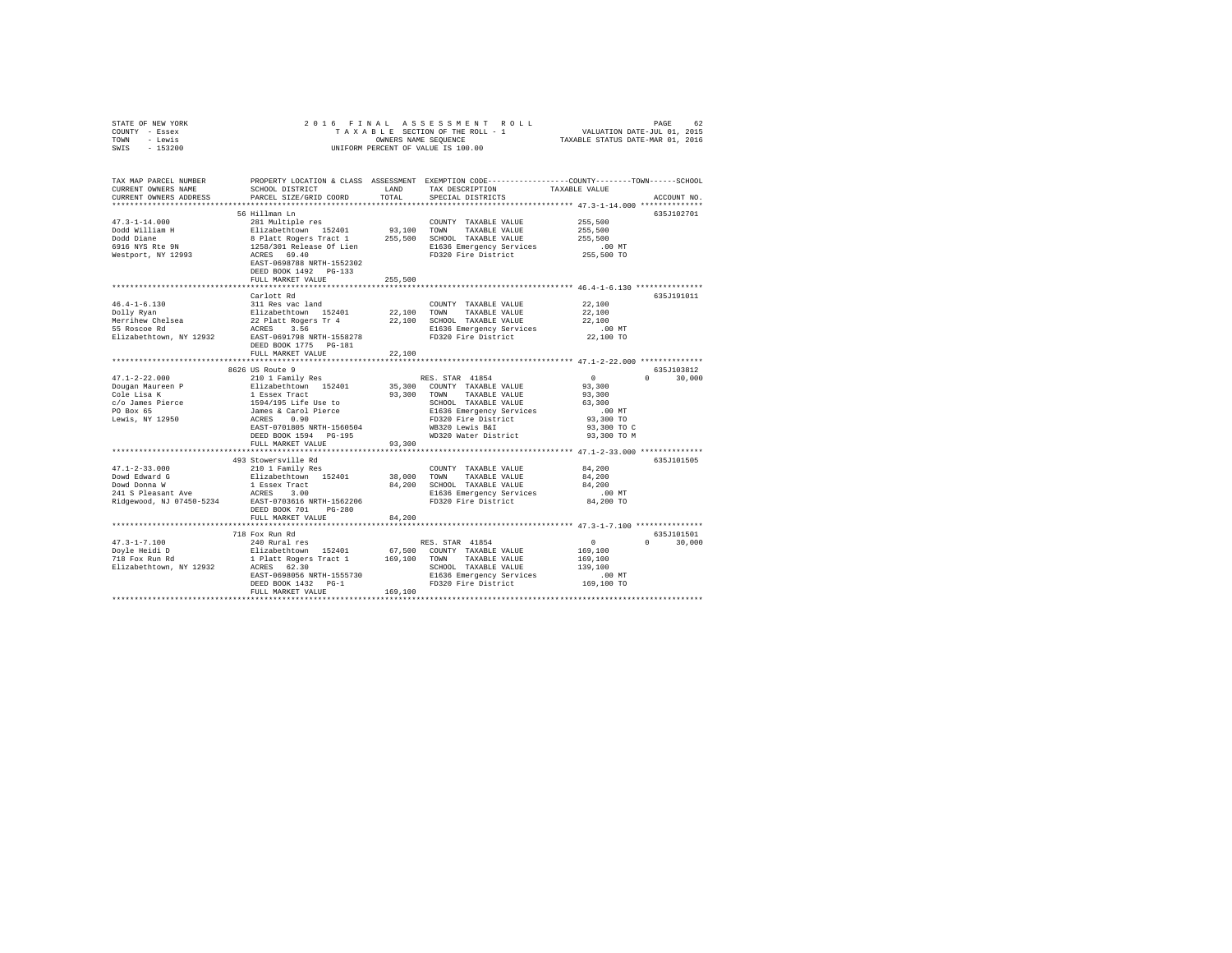| STATE OF NEW YORK<br>COUNTY - Essex<br>TOWN - Lewis<br>SWIS - 153200                                                                                                  | 2016 FINAL                                                                                                                                                                                                                                                                                                              |               | OWNERS NAME SEQUENCE<br>UNIFORM PERCENT OF VALUE IS 100.00                                                                          |                                                               |                             |
|-----------------------------------------------------------------------------------------------------------------------------------------------------------------------|-------------------------------------------------------------------------------------------------------------------------------------------------------------------------------------------------------------------------------------------------------------------------------------------------------------------------|---------------|-------------------------------------------------------------------------------------------------------------------------------------|---------------------------------------------------------------|-----------------------------|
| TAX MAP PARCEL NUMBER PROPERTY LOCATION & CLASS ASSESSMENT EXEMPTION CODE---------------COUNTY-------TOWN-----SCHOOL<br>CURRENT OWNERS NAME<br>CURRENT OWNERS ADDRESS | SCHOOL DISTRICT<br>PARCEL SIZE/GRID COORD                                                                                                                                                                                                                                                                               | LAND<br>TOTAL | TAX DESCRIPTION<br>SPECIAL DISTRICTS                                                                                                | TAXABLE VALUE                                                 | ACCOUNT NO.                 |
| $47.3 - 1 - 14.000$<br>Dodd William H<br>Dodd Diane<br>6916 NYS Rte 9N<br>Westport, NY 12993                                                                          | 56 Hillman Ln<br>281 Multiple res<br>Elizabethcown 152401 93,100 TOWN TAXABLE VALUE<br>8 Platt Rogers Tract 1 255,500 SCHOOL TAXABLE VALUE<br>1258/301 Release Of Lien<br>RCRES 69.40 FD320 Fire District<br>RCRES 69.40 FD320 Fire District<br>EAST-0698788 NRTH-1552302<br>DEED BOOK 1492 PG-133<br>FULL MARKET VALUE | 255,500       | COUNTY TAXABLE VALUE<br>E1636 Emergency Services<br>FD320 Fire District                                                             | 255,500<br>255,500<br>255,500<br>.00 MT<br>255,500 TO         | 635J102701                  |
|                                                                                                                                                                       | Carlott Rd<br>311 Res vac land                                                                                                                                                                                                                                                                                          |               | COUNTY TAXABLE VALUE 22,100                                                                                                         | 22,100                                                        | 635J191011                  |
|                                                                                                                                                                       | DEED BOOK 1775 PG-181<br>FULL MARKET VALUE                                                                                                                                                                                                                                                                              | 22,100        |                                                                                                                                     | 22,100<br>$.00$ MT<br>22,100 TO                               |                             |
|                                                                                                                                                                       |                                                                                                                                                                                                                                                                                                                         |               |                                                                                                                                     |                                                               |                             |
| $47.1 - 2 - 22.000$<br>Dougan Maureen P<br>Cole Lisa K                                                                                                                | 8626 US Route 9<br>210 1 Family Res                                                                                                                                                                                                                                                                                     |               | RES. STAR 41854<br>35,300 COUNTY TAXABLE VALUE<br>93,300 TOWN TAXABLE VALUE                                                         | $\sim$ 0<br>93,300<br>93,300                                  | 635J103812<br>$0 \t 30,000$ |
| c/o James Pierce<br>PO Box 65<br>Lewis, NY 12950                                                                                                                      | Elizabethtown 152401<br>1 Essex Tract<br>1594/195 Life Use to<br>James & Carol Pierce<br>ACRES 0.90<br>EAST-0701805 NRTH-1560504<br>DEED BOOK 1594 PG-195<br>FULL MARKET VALUE                                                                                                                                          | 93,300        | SCHOOL TAXABLE VALUE<br>E1636 Emergency Services<br>FD320 Fire District<br>WB320 Lewis B&I<br>WD320 Water District                  | 63,300<br>$.00$ MT<br>93,300 TO<br>93,300 TO C<br>93,300 TO M |                             |
|                                                                                                                                                                       |                                                                                                                                                                                                                                                                                                                         |               |                                                                                                                                     |                                                               |                             |
| $47.1 - 2 - 33.000$<br>Dowd Edward G<br>Dowd Donna W<br>241 S Pleasant Ave                                                                                            | 493 Stowersville Rd<br>210 1 Family Res<br>Elizabethtown 152401<br>DEED BOOK 701 PG-280                                                                                                                                                                                                                                 |               | COUNTY TAXABLE VALUE<br>38,000 TOWN TAXABLE VALUE<br>84,200 SCHOOL TAXABLE VALUE<br>E1636 Emergency Services<br>FD320 Fire District | 84,200<br>84,200<br>84,200<br>$.00$ MT<br>84,200 TO           | 635J101505                  |
|                                                                                                                                                                       | FULL MARKET VALUE                                                                                                                                                                                                                                                                                                       | 84,200        |                                                                                                                                     |                                                               |                             |
|                                                                                                                                                                       | 718 Fox Run Rd                                                                                                                                                                                                                                                                                                          |               |                                                                                                                                     |                                                               | 635J101501                  |
| $47.3 - 1 - 7.100$                                                                                                                                                    |                                                                                                                                                                                                                                                                                                                         |               |                                                                                                                                     | $\sim$ 0                                                      | $0 \t 30.000$               |
| Doyle Heidi D<br>Doyle meiui D<br>718 Fox Run Rd                                                                                                                      |                                                                                                                                                                                                                                                                                                                         |               |                                                                                                                                     | 169,100                                                       |                             |
| Elizabethtown, NY 12932                                                                                                                                               |                                                                                                                                                                                                                                                                                                                         |               | SCHOOL TAXABLE VALUE                                                                                                                | 169,100<br>139,100                                            |                             |
|                                                                                                                                                                       |                                                                                                                                                                                                                                                                                                                         |               |                                                                                                                                     | .00MT                                                         |                             |
|                                                                                                                                                                       | 240 Rural res<br>Elizabethcown 152401 67,500 COUNTY TAXABLE VALUE<br>1 Platt Rogers Tract 1 169,100 TOWN TAXABLE VALUE<br>1 Platt Rogers 1.30 SCHOOL TAXABLE VALUE<br>REST-0698056 NRTH-1555730 B1636 Emergency Services<br>FAST-0698056                                                                                |               |                                                                                                                                     | 169,100 TO                                                    |                             |
|                                                                                                                                                                       |                                                                                                                                                                                                                                                                                                                         | 169,100       |                                                                                                                                     |                                                               |                             |
|                                                                                                                                                                       |                                                                                                                                                                                                                                                                                                                         |               |                                                                                                                                     |                                                               |                             |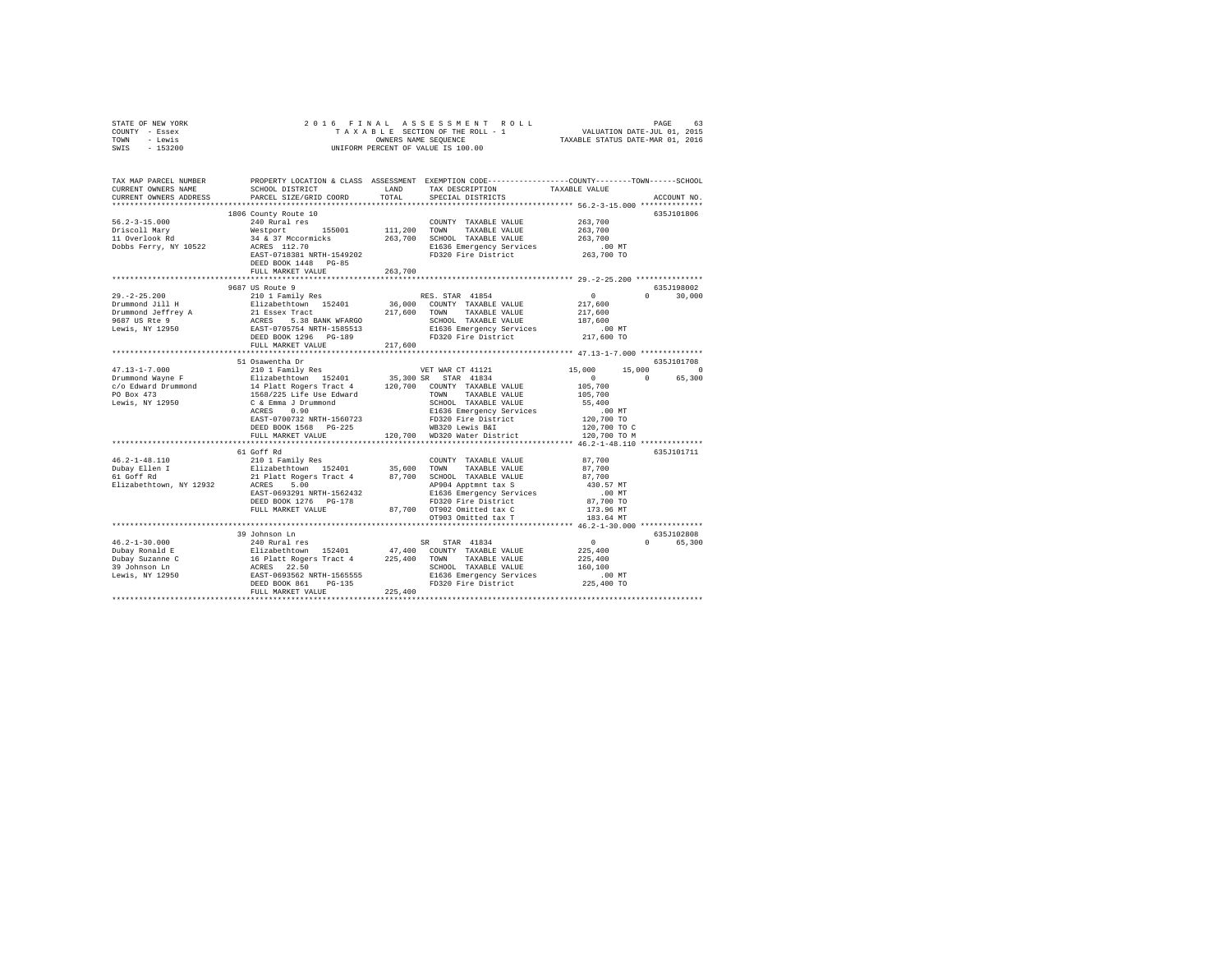| TOWN - Lewis<br>SWIS - 153200                                                                                                                                                                                                                                                                                                                                                                                                                                               | OWNERS NAME SEQUENCE<br>UNIFORM PERCENT OF VALUE IS 100.00<br>TAXABLE STATUS DATE-MAR 01, 2016        |                              |                                                                                                                                                                                                                                      |                                                        |               |
|-----------------------------------------------------------------------------------------------------------------------------------------------------------------------------------------------------------------------------------------------------------------------------------------------------------------------------------------------------------------------------------------------------------------------------------------------------------------------------|-------------------------------------------------------------------------------------------------------|------------------------------|--------------------------------------------------------------------------------------------------------------------------------------------------------------------------------------------------------------------------------------|--------------------------------------------------------|---------------|
| TAX MAP PARCEL NUMBER PROPERTY LOCATION & CLASS ASSESSMENT EXEMPTION CODE--------------COUNTY-------TOWN------SCHOOL                                                                                                                                                                                                                                                                                                                                                        |                                                                                                       |                              |                                                                                                                                                                                                                                      |                                                        |               |
| CURRENT OWNERS NAME                                                                                                                                                                                                                                                                                                                                                                                                                                                         | SCHOOL DISTRICT                                                                                       |                              | LAND TAX DESCRIPTION                                                                                                                                                                                                                 | TAXABLE VALUE                                          |               |
| CURRENT OWNERS ADDRESS                                                                                                                                                                                                                                                                                                                                                                                                                                                      | PARCEL SIZE/GRID COORD                                                                                | TOTAL                        | SPECIAL DISTRICTS                                                                                                                                                                                                                    |                                                        | ACCOUNT NO.   |
|                                                                                                                                                                                                                                                                                                                                                                                                                                                                             | 1806 County Route 10                                                                                  |                              |                                                                                                                                                                                                                                      |                                                        | 635J101806    |
| $56.2 - 3 - 15.000$                                                                                                                                                                                                                                                                                                                                                                                                                                                         | 240 Rural res                                                                                         |                              | COUNTY TAXABLE VALUE                                                                                                                                                                                                                 | 263,700                                                |               |
| Driscoll Mary                                                                                                                                                                                                                                                                                                                                                                                                                                                               | Westport 155001                                                                                       |                              | 111,200 TOWN TAXABLE VALUE                                                                                                                                                                                                           | 263,700                                                |               |
| 11 Overlook Rd                                                                                                                                                                                                                                                                                                                                                                                                                                                              |                                                                                                       |                              |                                                                                                                                                                                                                                      | 263,700                                                |               |
| Dobbs Ferry, NY 10522                                                                                                                                                                                                                                                                                                                                                                                                                                                       | 34 & 37 Mccormicks 263,700 SCHOOL TAXABLE VALUE<br>ACRES 112.70 2010 E1636 Emergency Services         |                              |                                                                                                                                                                                                                                      | .00 MT                                                 |               |
|                                                                                                                                                                                                                                                                                                                                                                                                                                                                             | EAST-0718381 NRTH-1549202                                                                             |                              | FD320 Fire District 263,700 TO                                                                                                                                                                                                       |                                                        |               |
|                                                                                                                                                                                                                                                                                                                                                                                                                                                                             | DEED BOOK 1448 PG-85                                                                                  |                              |                                                                                                                                                                                                                                      |                                                        |               |
|                                                                                                                                                                                                                                                                                                                                                                                                                                                                             | FULL MARKET VALUE                                                                                     | 263,700                      |                                                                                                                                                                                                                                      |                                                        |               |
|                                                                                                                                                                                                                                                                                                                                                                                                                                                                             | 9687 US Route 9                                                                                       |                              |                                                                                                                                                                                                                                      |                                                        | 635.T198002   |
| $29. -2 - 25.200$                                                                                                                                                                                                                                                                                                                                                                                                                                                           | 210 1 Family Res                                                                                      |                              | RES. STAR 41854                                                                                                                                                                                                                      | $\sim$ 0 $\sim$                                        | $0 \t 30.000$ |
|                                                                                                                                                                                                                                                                                                                                                                                                                                                                             |                                                                                                       |                              |                                                                                                                                                                                                                                      | 217,600                                                |               |
|                                                                                                                                                                                                                                                                                                                                                                                                                                                                             |                                                                                                       |                              |                                                                                                                                                                                                                                      | 217,600                                                |               |
|                                                                                                                                                                                                                                                                                                                                                                                                                                                                             |                                                                                                       |                              |                                                                                                                                                                                                                                      | 187,600                                                |               |
| $\begin{tabular}{l c c c c c c c} \hline $\mathsf{L} \circ \mathsf{L} \circ \mathsf{L} \circ \mathsf{L} \circ \mathsf{L} \circ \mathsf{L} \circ \mathsf{L} \circ \mathsf{L} \circ \mathsf{L} \circ \mathsf{L} \circ \mathsf{L} \circ \mathsf{L} \circ \mathsf{L} \circ \mathsf{L} \circ \mathsf{L} \circ \mathsf{L} \circ \mathsf{L} \circ \mathsf{L} \circ \mathsf{L} \circ \mathsf{L} \circ \mathsf{L} \circ \mathsf{L} \circ \mathsf{L} \circ \mathsf{L} \circ \mathsf{$ |                                                                                                       |                              | SCHOOL TAXABLE VALUE<br>E1636 Emergency Services<br>FD320 Fire District                                                                                                                                                              | $.00$ MT                                               |               |
|                                                                                                                                                                                                                                                                                                                                                                                                                                                                             |                                                                                                       |                              |                                                                                                                                                                                                                                      | 217,600 TO                                             |               |
|                                                                                                                                                                                                                                                                                                                                                                                                                                                                             | FULL MARKET VALUE<br>***********************                                                          | 217,600<br>***************** |                                                                                                                                                                                                                                      |                                                        |               |
|                                                                                                                                                                                                                                                                                                                                                                                                                                                                             | 51 Osawentha Dr                                                                                       |                              |                                                                                                                                                                                                                                      | ***************** 47.13-1-7.000 **************         | 635J101708    |
| $47.13 - 1 - 7.000$                                                                                                                                                                                                                                                                                                                                                                                                                                                         | 210 1 Family Res                                                                                      |                              |                                                                                                                                                                                                                                      |                                                        | 15,000 0      |
|                                                                                                                                                                                                                                                                                                                                                                                                                                                                             |                                                                                                       |                              | VET WAR CT 41121 15,000<br>35,300 SR STAR 41834 0                                                                                                                                                                                    | $\sim$ 0<br>$\sim$ 0                                   | 65,300        |
|                                                                                                                                                                                                                                                                                                                                                                                                                                                                             |                                                                                                       |                              |                                                                                                                                                                                                                                      | 105,700                                                |               |
|                                                                                                                                                                                                                                                                                                                                                                                                                                                                             |                                                                                                       |                              |                                                                                                                                                                                                                                      | 105,700                                                |               |
|                                                                                                                                                                                                                                                                                                                                                                                                                                                                             |                                                                                                       |                              |                                                                                                                                                                                                                                      | 55,400                                                 |               |
| $\begin{tabular}{l c c c c c} \multicolumn{1}{c}{\textbf{47.13--1--7.000}} & \multicolumn{1}{c}{210 & \textbf{Family Res}} & \multicolumn{1}{c}{\textbf{WET} \text{ WAR} & \textbf{112.4}} \\ \multicolumn{1}{c}{\textbf{D-Tummond} \text{ Wayne F}} & \multicolumn{1}{c}{\textbf{21.4}} & \multicolumn{1}{c}{\textbf{21.4}} & \multicolumn{1}{c}{\textbf{35.300 S}} & \multicolumn{1}{c}{\textbf{WET} \text{ WAR} & \textbf{121.4}} \\ \$                                  |                                                                                                       |                              | Note that the set of the set of the set of the set of the set of the set of the set of the set of the set of t<br>BAST-0700732 SARTH-1560723 PD320 Fire District the SET 120,700 TO<br>DEED BOOK 1568 PG-225 WB320 Lewis B&I 120,700 |                                                        |               |
|                                                                                                                                                                                                                                                                                                                                                                                                                                                                             |                                                                                                       |                              |                                                                                                                                                                                                                                      |                                                        |               |
|                                                                                                                                                                                                                                                                                                                                                                                                                                                                             | FULL MARKET VALUE                                                                                     |                              | 120.700 WD320 Water District                                                                                                                                                                                                         | 120,700 TO C<br>120,700 TO M                           |               |
|                                                                                                                                                                                                                                                                                                                                                                                                                                                                             |                                                                                                       |                              |                                                                                                                                                                                                                                      | ************************** 46.2-1-48.110 ************* |               |
|                                                                                                                                                                                                                                                                                                                                                                                                                                                                             | 61 Goff Rd                                                                                            |                              |                                                                                                                                                                                                                                      |                                                        | 635J101711    |
| $46.2 - 1 - 48.110$                                                                                                                                                                                                                                                                                                                                                                                                                                                         | 210 1 Family Res                                                                                      |                              | COUNTY TAXABLE VALUE                                                                                                                                                                                                                 | 87,700                                                 |               |
| Dubay Ellen I<br>61 Goff Rd                                                                                                                                                                                                                                                                                                                                                                                                                                                 | Elizabethtown 152401 35,600 TOWN TAXABLE VALUE<br>21 Platt Rogers Tract 4 87,700 SCHOOL TAXABLE VALUE |                              |                                                                                                                                                                                                                                      | 87,700                                                 |               |
|                                                                                                                                                                                                                                                                                                                                                                                                                                                                             |                                                                                                       |                              |                                                                                                                                                                                                                                      | 87,700                                                 |               |
| Elizabethtown, NY 12932                                                                                                                                                                                                                                                                                                                                                                                                                                                     | ACRES 5.00                                                                                            |                              | AP904 Apptmnt tax S                                                                                                                                                                                                                  | 430.57 MT                                              |               |
|                                                                                                                                                                                                                                                                                                                                                                                                                                                                             | EAST-0693291 NRTH-1562432<br>DEED BOOK 1276 PG-178                                                    |                              |                                                                                                                                                                                                                                      | $.00$ MT<br>87,700 TO                                  |               |
|                                                                                                                                                                                                                                                                                                                                                                                                                                                                             | FULL MARKET VALUE                                                                                     |                              | 87,700 OT902 Omitted tax C                                                                                                                                                                                                           | 173.96 MT                                              |               |
|                                                                                                                                                                                                                                                                                                                                                                                                                                                                             |                                                                                                       |                              | OT903 Omitted tax T                                                                                                                                                                                                                  | 183.64 MT                                              |               |
|                                                                                                                                                                                                                                                                                                                                                                                                                                                                             |                                                                                                       |                              |                                                                                                                                                                                                                                      | **************** 46.2-1-30.000 **************          |               |
|                                                                                                                                                                                                                                                                                                                                                                                                                                                                             | 39 Johnson Ln                                                                                         |                              |                                                                                                                                                                                                                                      | 635J102808                                             |               |
| $46.2 - 1 - 30.000$                                                                                                                                                                                                                                                                                                                                                                                                                                                         | 240 Rural res                                                                                         |                              | SR STAR 41834                                                                                                                                                                                                                        | $\sim$ 0                                               | 0 65.300      |
| 46.2-1-30.000<br>Dubay Ronald E                                                                                                                                                                                                                                                                                                                                                                                                                                             |                                                                                                       |                              |                                                                                                                                                                                                                                      | 225,400                                                |               |
|                                                                                                                                                                                                                                                                                                                                                                                                                                                                             |                                                                                                       |                              |                                                                                                                                                                                                                                      | 225,400                                                |               |
|                                                                                                                                                                                                                                                                                                                                                                                                                                                                             |                                                                                                       |                              |                                                                                                                                                                                                                                      | 160,100<br>.00 MT                                      |               |
|                                                                                                                                                                                                                                                                                                                                                                                                                                                                             |                                                                                                       |                              |                                                                                                                                                                                                                                      | 225,400 TO                                             |               |
|                                                                                                                                                                                                                                                                                                                                                                                                                                                                             | FULL MARKET VALUE                                                                                     | 225,400                      |                                                                                                                                                                                                                                      |                                                        |               |
|                                                                                                                                                                                                                                                                                                                                                                                                                                                                             |                                                                                                       |                              |                                                                                                                                                                                                                                      |                                                        |               |

STATE OF NEW YORK 2 0 1 6 F I N A L A S S E S S M E N T R O L L PAGE 63 COUNTY - Essex T A X A B L E SECTION OF THE ROLL - 1 VALUATION DATE-JUL 01, 2015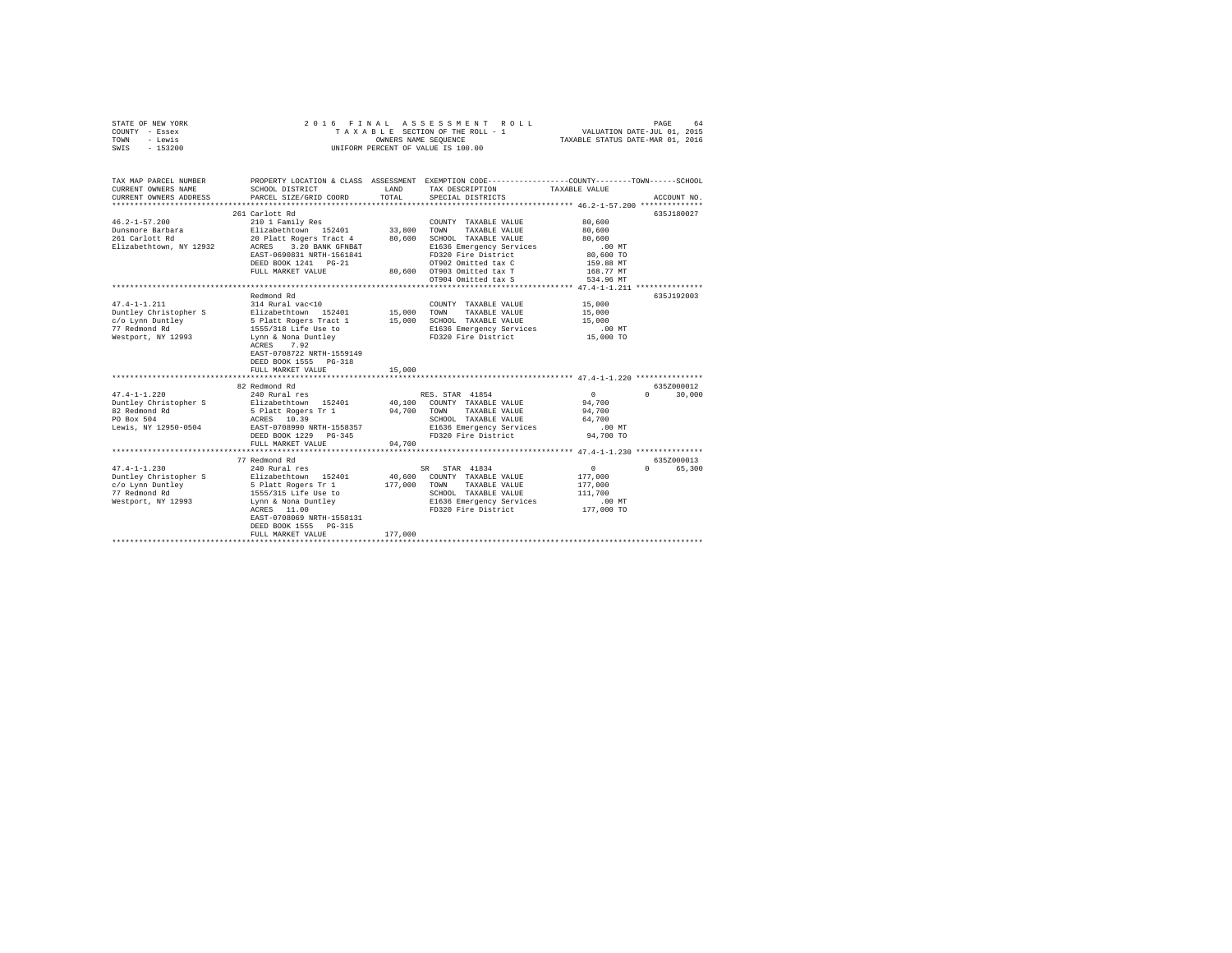| STATE OF NEW YORK<br>COUNTY - Essex<br>TOWN<br>- Lewis<br>$-153200$<br>SWIS                            | 2016 FINAL                                                                                                                                                                                                                                           | OWNERS NAME SEOUENCE       | ASSESSMENT ROLL<br>TAXABLE SECTION OF THE ROLL - 1<br>UNIFORM PERCENT OF VALUE IS 100.00                                                                                                                         | VALUATION DATE-JUL 01, 2015<br>TAXABLE STATUS DATE-MAR 01, 2016                                                             | 64<br>PAGE                       |
|--------------------------------------------------------------------------------------------------------|------------------------------------------------------------------------------------------------------------------------------------------------------------------------------------------------------------------------------------------------------|----------------------------|------------------------------------------------------------------------------------------------------------------------------------------------------------------------------------------------------------------|-----------------------------------------------------------------------------------------------------------------------------|----------------------------------|
| TAX MAP PARCEL NUMBER<br>CURRENT OWNERS NAME<br>CURRENT OWNERS ADDRESS                                 | SCHOOL DISTRICT<br>PARCEL SIZE/GRID COORD                                                                                                                                                                                                            | LAND<br>TOTAL              | PROPERTY LOCATION & CLASS ASSESSMENT EXEMPTION CODE---------------COUNTY-------TOWN------SCHOOL<br>TAX DESCRIPTION<br>SPECIAL DISTRICTS                                                                          | TAXABLE VALUE                                                                                                               | ACCOUNT NO.                      |
| $46.2 - 1 - 57.200$<br>Dunsmore Barbara<br>261 Carlott Rd<br>Elizabethtown, NY 12932                   | 261 Carlott Rd<br>210 1 Family Res<br>Elizabethtown 152401<br>20 Platt Rogers Tract 4<br>ACRES 3.20 BANK GFNB&T<br>EAST-0690831 NRTH-1561841<br>DEED BOOK 1241 PG-21<br>FULL MARKET VALUE                                                            | 33,800<br>80,600           | COUNTY TAXABLE VALUE<br>TOWN<br>TAXABLE VALUE<br>SCHOOL TAXABLE VALUE<br>E1636 Emergency Services<br>FD320 Fire District<br>OT902 Omitted tax C<br>80,600 0T903 Omitted tax T<br>OT904 Omitted tax S             | 80,600<br>80,600<br>80,600<br>.00 MT<br>80,600 TO<br>159.88 MT<br>168.77 MT<br>534.96 MT                                    | 635J180027                       |
| $47.4 - 1 - 1.211$<br>Duntley Christopher S<br>c/o Lynn Duntley<br>77 Redmond Rd<br>Westport, NY 12993 | Redmond Rd<br>314 Rural vac<10<br>Elizabethtown 152401<br>5 Platt Rogers Tract 1<br>1555/318 Life Use to<br>Lynn & Nona Duntley<br>ACRES 7.92<br>EAST-0708722 NRTH-1559149<br>DEED BOOK 1555 PG-318<br>FULL MARKET VALUE                             | 15,000<br>15,000<br>15,000 | COUNTY TAXABLE VALUE<br>TOWN<br>TAXABLE VALUE<br>SCHOOL TAXABLE VALUE<br>E1636 Emergency Services<br>FD320 Fire District                                                                                         | 15,000<br>15,000<br>15,000<br>$.00$ MT<br>15,000 TO                                                                         | 635J192003                       |
| $47.4 - 1 - 1.220$<br>Duntley Christopher S<br>82 Redmond Rd<br>PO Box 504<br>Lewis, NY 12950-0504     | ********************<br>82 Redmond Rd<br>240 Rural res<br>Elizabethtown 152401<br>5 Platt Rogers Tr 1<br>ACRES 10.39<br>EAST-0708990 NRTH-1558357<br>DEED BOOK 1229 PG-345<br>FULL MARKET VALUE                                                      | 94,700<br>94,700           | RES. STAR 41854<br>40,100 COUNTY TAXABLE VALUE<br>TOWN<br>TAXABLE VALUE<br>SCHOOL TAXABLE VALUE<br>E1636 Emergency Services<br>FD320 Fire District                                                               | *********************** 47.4-1-1.220 ***************<br>$\mathbf{0}$<br>94,700<br>94,700<br>64,700<br>$.00$ MT<br>94,700 TO | 635Z000012<br>$\Omega$<br>30,000 |
| $47.4 - 1 - 1.230$<br>Duntley Christopher S<br>c/o Lynn Duntley<br>77 Redmond Rd<br>Westport, NY 12993 | **************************<br>77 Redmond Rd<br>240 Rural res<br>Elizabethtown 152401<br>5 Platt Rogers Tr 1<br>1555/315 Life Use to<br>Lynn & Nona Duntley<br>ACRES 11.00<br>EAST-0708069 NRTH-1558131<br>DEED BOOK 1555 PG-315<br>FULL MARKET VALUE | 177,000<br>177,000         | ******************************* 47.4-1-1.230 ***************<br>SR STAR 41834<br>40,600 COUNTY TAXABLE VALUE<br>TOWN<br>TAXABLE VALUE<br>SCHOOL TAXABLE VALUE<br>E1636 Emergency Services<br>FD320 Fire District | $\sim$ 0<br>177,000<br>177,000<br>111,700<br>$.00$ MT<br>177,000 TO                                                         | 635Z000013<br>0 65,300           |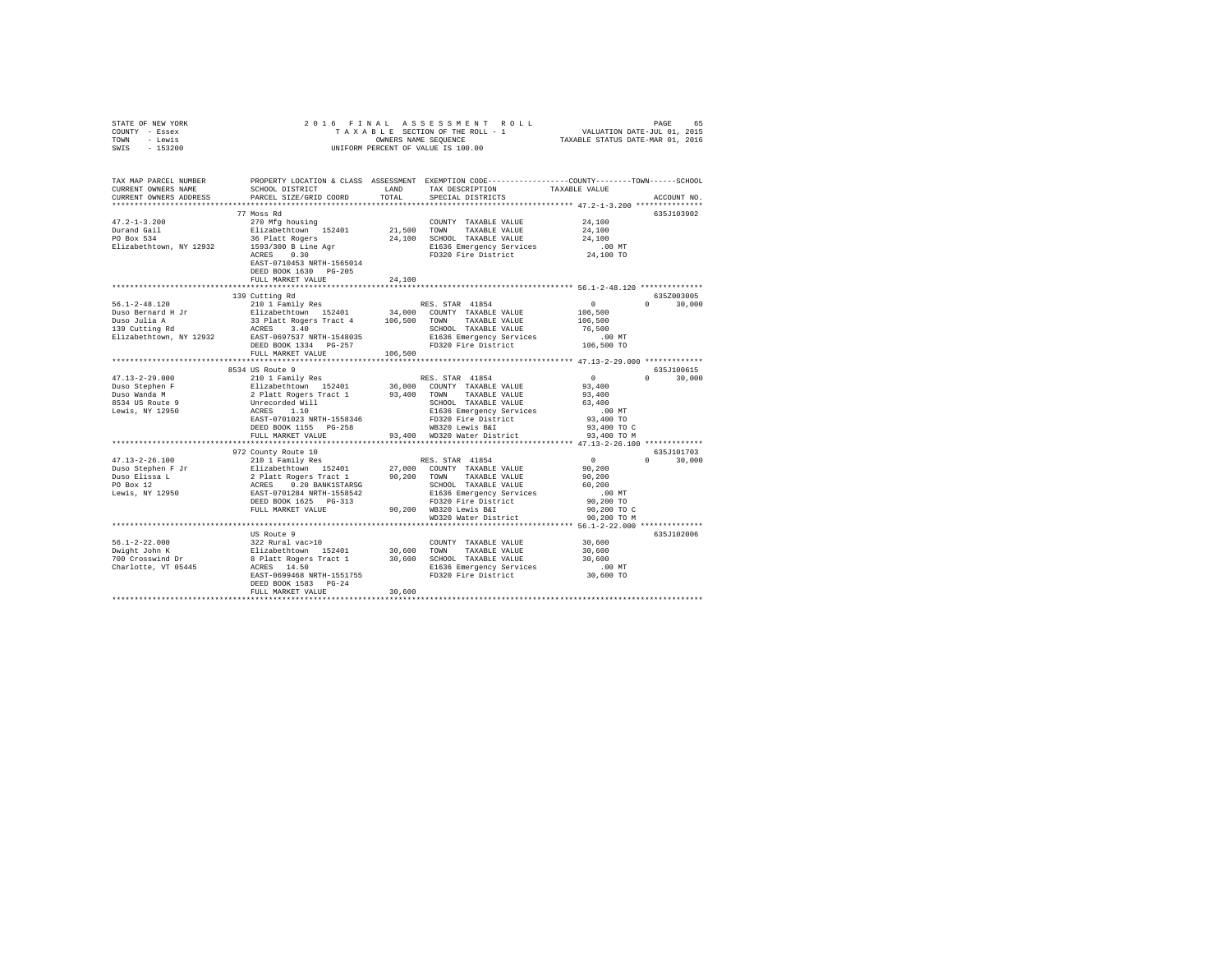| STATE OF NEW YORK                                                                                                    | 2016 FINAL                                                                                                                                                                                                                                                                                                                                                                                                                 |         |                                                            |                                         |               |
|----------------------------------------------------------------------------------------------------------------------|----------------------------------------------------------------------------------------------------------------------------------------------------------------------------------------------------------------------------------------------------------------------------------------------------------------------------------------------------------------------------------------------------------------------------|---------|------------------------------------------------------------|-----------------------------------------|---------------|
| COUNTY - Essex                                                                                                       |                                                                                                                                                                                                                                                                                                                                                                                                                            |         |                                                            |                                         |               |
| TOWN - Lewis                                                                                                         |                                                                                                                                                                                                                                                                                                                                                                                                                            |         | OWNERS NAME SEQUENCE<br>UNIFORM PERCENT OF VALUE IS 100.00 |                                         |               |
| SWIS - 153200                                                                                                        |                                                                                                                                                                                                                                                                                                                                                                                                                            |         |                                                            |                                         |               |
|                                                                                                                      |                                                                                                                                                                                                                                                                                                                                                                                                                            |         |                                                            |                                         |               |
|                                                                                                                      |                                                                                                                                                                                                                                                                                                                                                                                                                            |         |                                                            |                                         |               |
|                                                                                                                      |                                                                                                                                                                                                                                                                                                                                                                                                                            |         |                                                            |                                         |               |
| TAX MAP PARCEL NUMBER PROPERTY LOCATION & CLASS ASSESSMENT EXEMPTION CODE--------------COUNTY-------TOWN------SCHOOL |                                                                                                                                                                                                                                                                                                                                                                                                                            |         |                                                            |                                         |               |
| CURRENT OWNERS NAME                                                                                                  | SCHOOL DISTRICT                                                                                                                                                                                                                                                                                                                                                                                                            | LAND    | TAX DESCRIPTION                                            | TAXABLE VALUE                           |               |
| CURRENT OWNERS ADDRESS                                                                                               | PARCEL SIZE/GRID COORD                                                                                                                                                                                                                                                                                                                                                                                                     | TOTAL   | SPECIAL DISTRICTS                                          |                                         | ACCOUNT NO.   |
|                                                                                                                      |                                                                                                                                                                                                                                                                                                                                                                                                                            |         |                                                            |                                         |               |
|                                                                                                                      |                                                                                                                                                                                                                                                                                                                                                                                                                            |         |                                                            |                                         |               |
|                                                                                                                      | 77 Moss Rd                                                                                                                                                                                                                                                                                                                                                                                                                 |         |                                                            |                                         | 635J103902    |
| $47.2 - 1 - 3.200$                                                                                                   | 270 Mfg housing                                                                                                                                                                                                                                                                                                                                                                                                            |         | COUNTY TAXABLE VALUE                                       | 24,100                                  |               |
| Durand Gail<br>PO Box 534                                                                                            | Elizabethtown 152401                                                                                                                                                                                                                                                                                                                                                                                                       |         | 21,500 TOWN TAXABLE VALUE                                  | 24,100                                  |               |
|                                                                                                                      | 36 Platt Rogers                                                                                                                                                                                                                                                                                                                                                                                                            |         | 24,100 SCHOOL TAXABLE VALUE                                | 24,100                                  |               |
| Elizabethtown, NY 12932                                                                                              | 1593/300 B Line Agr<br>ACRES 0.30                                                                                                                                                                                                                                                                                                                                                                                          |         | E1636 Emergency Services                                   | .00 MT                                  |               |
|                                                                                                                      |                                                                                                                                                                                                                                                                                                                                                                                                                            |         | FD320 Fire District                                        | 24,100 TO                               |               |
|                                                                                                                      | EAST-0710453 NRTH-1565014                                                                                                                                                                                                                                                                                                                                                                                                  |         |                                                            |                                         |               |
|                                                                                                                      | DEED BOOK 1630 PG-205                                                                                                                                                                                                                                                                                                                                                                                                      |         |                                                            |                                         |               |
|                                                                                                                      | FULL MARKET VALUE                                                                                                                                                                                                                                                                                                                                                                                                          | 24,100  |                                                            |                                         |               |
|                                                                                                                      |                                                                                                                                                                                                                                                                                                                                                                                                                            |         |                                                            |                                         |               |
|                                                                                                                      | 139 Cutting Rd                                                                                                                                                                                                                                                                                                                                                                                                             |         |                                                            |                                         | 635Z003005    |
|                                                                                                                      |                                                                                                                                                                                                                                                                                                                                                                                                                            |         |                                                            |                                         |               |
|                                                                                                                      |                                                                                                                                                                                                                                                                                                                                                                                                                            |         |                                                            | $\begin{array}{c}0\\106,500\end{array}$ | $0 \t 30.000$ |
|                                                                                                                      |                                                                                                                                                                                                                                                                                                                                                                                                                            |         |                                                            |                                         |               |
|                                                                                                                      |                                                                                                                                                                                                                                                                                                                                                                                                                            |         |                                                            | 106,500                                 |               |
|                                                                                                                      |                                                                                                                                                                                                                                                                                                                                                                                                                            |         | SCHOOL TAXABLE VALUE                                       | 76,500                                  |               |
|                                                                                                                      |                                                                                                                                                                                                                                                                                                                                                                                                                            |         | E1636 Emergency Services                                   | $.00$ MT                                |               |
|                                                                                                                      |                                                                                                                                                                                                                                                                                                                                                                                                                            |         | FD320 Fire District                                        | 106,500 TO                              |               |
|                                                                                                                      | FULL MARKET VALUE                                                                                                                                                                                                                                                                                                                                                                                                          | 106,500 |                                                            |                                         |               |
|                                                                                                                      |                                                                                                                                                                                                                                                                                                                                                                                                                            |         |                                                            |                                         |               |
|                                                                                                                      | 8534 US Route 9                                                                                                                                                                                                                                                                                                                                                                                                            |         |                                                            |                                         | 635J100615    |
| $47.13 - 2 - 29.000$                                                                                                 | 210 1 Family Res                                                                                                                                                                                                                                                                                                                                                                                                           |         | RES. STAR 41854                                            | $\sim$ 0                                | $0 \t 30,000$ |
|                                                                                                                      |                                                                                                                                                                                                                                                                                                                                                                                                                            |         |                                                            | 93,400                                  |               |
| Duso Stephen F<br>Duso Wanda M                                                                                       |                                                                                                                                                                                                                                                                                                                                                                                                                            |         |                                                            |                                         |               |
|                                                                                                                      |                                                                                                                                                                                                                                                                                                                                                                                                                            |         |                                                            | 93,400                                  |               |
| 8534 US Route 9                                                                                                      |                                                                                                                                                                                                                                                                                                                                                                                                                            |         |                                                            | 63,400                                  |               |
| Lewis, NY 12950                                                                                                      |                                                                                                                                                                                                                                                                                                                                                                                                                            |         |                                                            | $.00$ MT                                |               |
|                                                                                                                      |                                                                                                                                                                                                                                                                                                                                                                                                                            |         |                                                            | 93,400 TO                               |               |
|                                                                                                                      |                                                                                                                                                                                                                                                                                                                                                                                                                            |         |                                                            | 93,400 TO C                             |               |
|                                                                                                                      | $\begin{tabular}{l c c c} \multicolumn{1}{c}{2101} T small & Res & RES. S1AK & 40.94 \\ \multicolumn{1}{c}{E11zabethtown} & 152401 & 36,000 & \multicolumn{1}{c}{C101T} & TAXABLE VALUE \\ \multicolumn{1}{c}{D1zabethtNorm} & 152401 & 36,000 & \multicolumn{1}{c}{TAXABLE VALUE} \\ \multicolumn{1}{c}{Unrecorded Will1} & 37,400 & TOMN & TAXABLE VALUE \\ \multicolumn{1}{c}{D1zMSE} & 1.10 & 100 \\ \multicolumn{1}{$ |         |                                                            | 93,400 TO M                             |               |
|                                                                                                                      |                                                                                                                                                                                                                                                                                                                                                                                                                            |         |                                                            |                                         |               |
|                                                                                                                      |                                                                                                                                                                                                                                                                                                                                                                                                                            |         |                                                            |                                         | 635J101703    |
| $47.13 - 2 - 26.100$                                                                                                 | 972 County Route 10<br>210 1 Family Res                                                                                                                                                                                                                                                                                                                                                                                    |         | RES. STAR 41854                                            | $\overline{0}$                          | $0 \t 30.000$ |
|                                                                                                                      |                                                                                                                                                                                                                                                                                                                                                                                                                            |         |                                                            | 90,200                                  |               |
|                                                                                                                      |                                                                                                                                                                                                                                                                                                                                                                                                                            |         |                                                            | 90,200                                  |               |
|                                                                                                                      |                                                                                                                                                                                                                                                                                                                                                                                                                            |         |                                                            |                                         |               |
|                                                                                                                      |                                                                                                                                                                                                                                                                                                                                                                                                                            |         |                                                            | 60,200                                  |               |
|                                                                                                                      |                                                                                                                                                                                                                                                                                                                                                                                                                            |         |                                                            | $.00$ MT                                |               |
|                                                                                                                      |                                                                                                                                                                                                                                                                                                                                                                                                                            |         |                                                            | 90,200 TO                               |               |
|                                                                                                                      | FULL MARKET VALUE                                                                                                                                                                                                                                                                                                                                                                                                          |         | 90,200 WB320 Lewis B&I                                     | 90,200 TO C                             |               |
|                                                                                                                      |                                                                                                                                                                                                                                                                                                                                                                                                                            |         | WD320 Water District                                       | 90,200 TO M                             |               |
|                                                                                                                      |                                                                                                                                                                                                                                                                                                                                                                                                                            |         |                                                            |                                         |               |
|                                                                                                                      |                                                                                                                                                                                                                                                                                                                                                                                                                            |         |                                                            |                                         | 635J102006    |
| 56.1-2-22.000                                                                                                        |                                                                                                                                                                                                                                                                                                                                                                                                                            |         |                                                            | 30,600                                  |               |
|                                                                                                                      |                                                                                                                                                                                                                                                                                                                                                                                                                            |         |                                                            | 30,600                                  |               |
| Dwight John K<br>700 Crosswind Dr                                                                                    |                                                                                                                                                                                                                                                                                                                                                                                                                            |         |                                                            | 30,600                                  |               |
| Charlotte, VT 05445                                                                                                  |                                                                                                                                                                                                                                                                                                                                                                                                                            |         |                                                            |                                         |               |
|                                                                                                                      | COUNTY TAXABLE VALUE<br>322 Rural Vac>10<br>Elizabethtown 152401 30,600 TOWN TAXABLE VALUE<br>8 Platt Rogers Tract 1 30,600 SCHOOL TAXABLE VALUE<br>ACRES 14.50 RURAL RACES<br>PACE 0.001100                                                                                                                                                                                                                               |         |                                                            | 00 MT.<br>30,600 TO                     |               |
|                                                                                                                      |                                                                                                                                                                                                                                                                                                                                                                                                                            |         |                                                            |                                         |               |
|                                                                                                                      | DEED BOOK 1583 PG-24                                                                                                                                                                                                                                                                                                                                                                                                       |         |                                                            |                                         |               |
|                                                                                                                      | FULL MARKET VALUE                                                                                                                                                                                                                                                                                                                                                                                                          | 30,600  |                                                            |                                         |               |
|                                                                                                                      |                                                                                                                                                                                                                                                                                                                                                                                                                            |         |                                                            |                                         |               |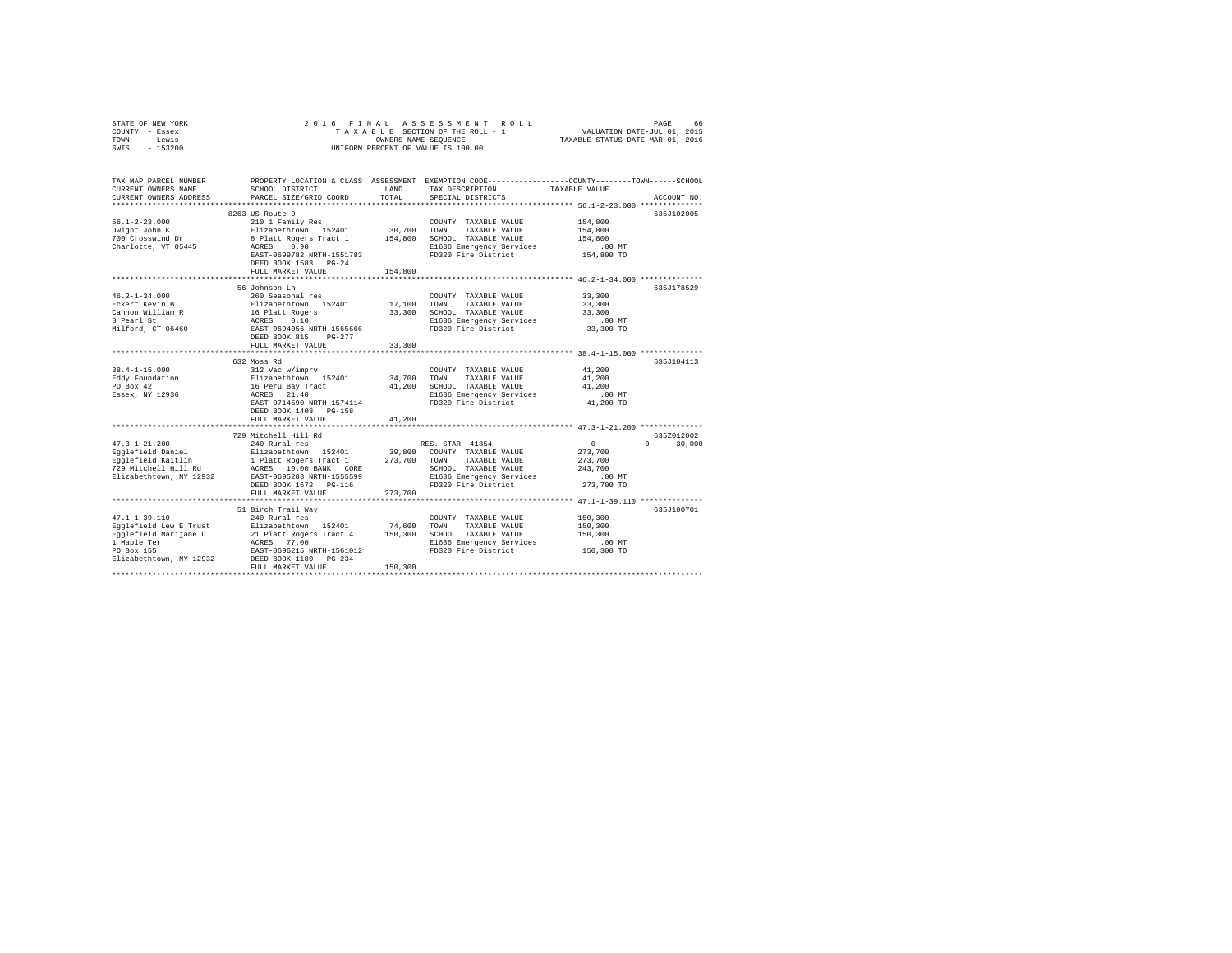| STATE OF NEW YORK                       | 2016 FINAL                                                                                                           |             |                                    |                                                                                                                                                                    |
|-----------------------------------------|----------------------------------------------------------------------------------------------------------------------|-------------|------------------------------------|--------------------------------------------------------------------------------------------------------------------------------------------------------------------|
| COUNTY - Essex                          |                                                                                                                      |             |                                    |                                                                                                                                                                    |
| TOWN<br>- Lewis                         |                                                                                                                      |             |                                    | 5 FINAL ASSESSMENT ROLL (1982 FINAL PAGE)<br>TAXABLE SECTION OF THE ROLL - 1 VALUATION DATE-JUL 01, 2015<br>OWNERS NAME SEQUENCE  TAXABLE STATUS DATE-MAR 01, 2016 |
| $-153200$<br>SWIS                       |                                                                                                                      |             | UNIFORM PERCENT OF VALUE IS 100.00 |                                                                                                                                                                    |
|                                         |                                                                                                                      |             |                                    |                                                                                                                                                                    |
|                                         |                                                                                                                      |             |                                    |                                                                                                                                                                    |
| TAX MAP PARCEL NUMBER                   |                                                                                                                      |             |                                    | PROPERTY LOCATION & CLASS ASSESSMENT EXEMPTION CODE----------------COUNTY-------TOWN------SCHOOL                                                                   |
| CURRENT OWNERS NAME                     | SCHOOL DISTRICT                                                                                                      | LAND        | TAX DESCRIPTION                    | TAXABLE VALUE                                                                                                                                                      |
| CURRENT OWNERS ADDRESS                  | PARCEL SIZE/GRID COORD                                                                                               | TOTAL       | SPECIAL DISTRICTS                  | ACCOUNT NO.                                                                                                                                                        |
|                                         |                                                                                                                      |             |                                    |                                                                                                                                                                    |
|                                         | 8263 US Route 9                                                                                                      |             |                                    | 635J102005                                                                                                                                                         |
| $56.1 - 2 - 23.000$                     | 210 1 Family Res                                                                                                     |             | COUNTY TAXABLE VALUE               | 154,800                                                                                                                                                            |
| Dwight John K                           | Elizabethtown 152401                                                                                                 | 30,700      | TOWN<br>TAXABLE VALUE              | 154,800                                                                                                                                                            |
| 700 Crosswind Dr                        | 8 Platt Rogers Tract 1 154,800 SCHOOL TAXABLE VALUE                                                                  |             |                                    | 154,800                                                                                                                                                            |
| Charlotte, VT 05445                     | 0.90<br>ACRES                                                                                                        |             | E1636 Emergency Services           | .00 MT                                                                                                                                                             |
|                                         | EAST-0699782 NRTH-1551783                                                                                            |             | FD320 Fire District                | 154,800 TO                                                                                                                                                         |
|                                         | DEED BOOK 1583 PG-24                                                                                                 |             |                                    |                                                                                                                                                                    |
|                                         | FULL MARKET VALUE                                                                                                    | 154,800     |                                    |                                                                                                                                                                    |
|                                         | 56 Johnson Ln                                                                                                        |             |                                    | 635J178529                                                                                                                                                         |
| $46.2 - 1 - 34.000$                     | 260 Seasonal res                                                                                                     |             | COUNTY TAXABLE VALUE               | 33,300                                                                                                                                                             |
| Eckert Kevin B                          | Elizabethtown 152401                                                                                                 | 17,100 TOWN | TAXABLE VALUE                      | 33,300                                                                                                                                                             |
| Cannon William R                        |                                                                                                                      |             | 33,300 SCHOOL TAXABLE VALUE        | 33,300                                                                                                                                                             |
| 8 Pearl St                              | 16 Platt Rogers<br>ACRES     0.10<br>EAST-0694056 NRTH-1565666                                                       |             | E1636 Emergency Services           | $.00$ MT                                                                                                                                                           |
| Milford, CT 06460                       |                                                                                                                      |             | FD320 Fire District                | 33,300 TO                                                                                                                                                          |
|                                         | DEED BOOK 815 PG-277                                                                                                 |             |                                    |                                                                                                                                                                    |
|                                         | FULL MARKET VALUE                                                                                                    | 33,300      |                                    |                                                                                                                                                                    |
|                                         |                                                                                                                      |             |                                    |                                                                                                                                                                    |
|                                         | 632 Moss Rd                                                                                                          |             |                                    | 635J104113                                                                                                                                                         |
| $38.4 - 1 - 15.000$                     | 312 Vac w/imprv                                                                                                      |             | COUNTY TAXABLE VALUE               | 41,200                                                                                                                                                             |
| Eddy Foundation                         |                                                                                                                      |             |                                    | 41,200                                                                                                                                                             |
| PO Box 42                               | Elizabethtown 152401 34,700 TOWN TAXABLE VALUE<br>16 Peru Bay Tract 41,200 SCHOOL TAXABLE VALUE<br>2000 CLEAR 10 140 |             |                                    | 41,200                                                                                                                                                             |
| Essex, NY 12936                         | ACRES 21.40                                                                                                          |             | E1636 Emergency Services           | $.00$ MT                                                                                                                                                           |
|                                         | EAST-0714590 NRTH-1574114                                                                                            |             | FD320 Fire District                | 41,200 TO                                                                                                                                                          |
|                                         | DEED BOOK 1408 PG-158                                                                                                |             |                                    |                                                                                                                                                                    |
|                                         | FULL MARKET VALUE                                                                                                    | 41,200      |                                    |                                                                                                                                                                    |
|                                         |                                                                                                                      |             |                                    |                                                                                                                                                                    |
|                                         | 729 Mitchell Hill Rd<br>240 Rural res                                                                                |             |                                    | 6357012002                                                                                                                                                         |
| $47.3 - 1 - 21.200$                     |                                                                                                                      |             | RES. STAR 41854                    | $\sim$ 0<br>$0 \t 30,000$                                                                                                                                          |
| Egglefield Daniel<br>Egglefield Kaitlin |                                                                                                                      |             |                                    | 273,700                                                                                                                                                            |
|                                         | Elizabethtown 152401 39,800 COUNTY TAXABLE VALUE<br>1 Platt Rogers Tract 1 273,700 TOWN TAXABLE VALUE                |             |                                    | 273,700                                                                                                                                                            |
| 729 Mitchell Hill Rd                    | 1 Flatt Royels II<br>ACRES 10.00 BANK CORE                                                                           |             | SCHOOL TAXABLE VALUE               | 243,700                                                                                                                                                            |
| Elizabethtown, NY 12932                 | EAST-0695283 NRTH-1555599                                                                                            |             | E1636 Emergency Services           | $.00$ MT                                                                                                                                                           |
|                                         | DEED BOOK 1672 PG-116                                                                                                |             | FD320 Fire District                | 273,700 TO                                                                                                                                                         |
|                                         | FULL MARKET VALUE                                                                                                    | 273,700     |                                    |                                                                                                                                                                    |
|                                         |                                                                                                                      |             |                                    |                                                                                                                                                                    |
|                                         | 51 Birch Trail Way                                                                                                   |             |                                    | 635J100701                                                                                                                                                         |
| $47.1 - 1 - 39.110$                     | 240 Rural res                                                                                                        |             | COUNTY TAXABLE VALUE               | 150,300                                                                                                                                                            |
| Eqqlefield Lew E Trust                  | Elizabethtown 152401                                                                                                 | 74,600      | TOWN<br>TAXABLE VALUE              | 150,300                                                                                                                                                            |
| Egglefield Marijane D                   | 21 Platt Rogers Tract 4                                                                                              |             | 150,300 SCHOOL TAXABLE VALUE       | 150,300                                                                                                                                                            |
| 1 Maple Ter                             | ACRES 77.00                                                                                                          |             | E1636 Emergency Services           | $.00$ MT                                                                                                                                                           |
| PO Box 155<br>Elizabethtown, NY 12932   | EAST-0696215 NRTH-1561012                                                                                            |             | FD320 Fire District                | 150,300 TO                                                                                                                                                         |
|                                         | DEED BOOK 1180 PG-234<br>FULL MARKET VALUE                                                                           | 150,300     |                                    |                                                                                                                                                                    |
|                                         |                                                                                                                      |             |                                    |                                                                                                                                                                    |
|                                         |                                                                                                                      |             |                                    |                                                                                                                                                                    |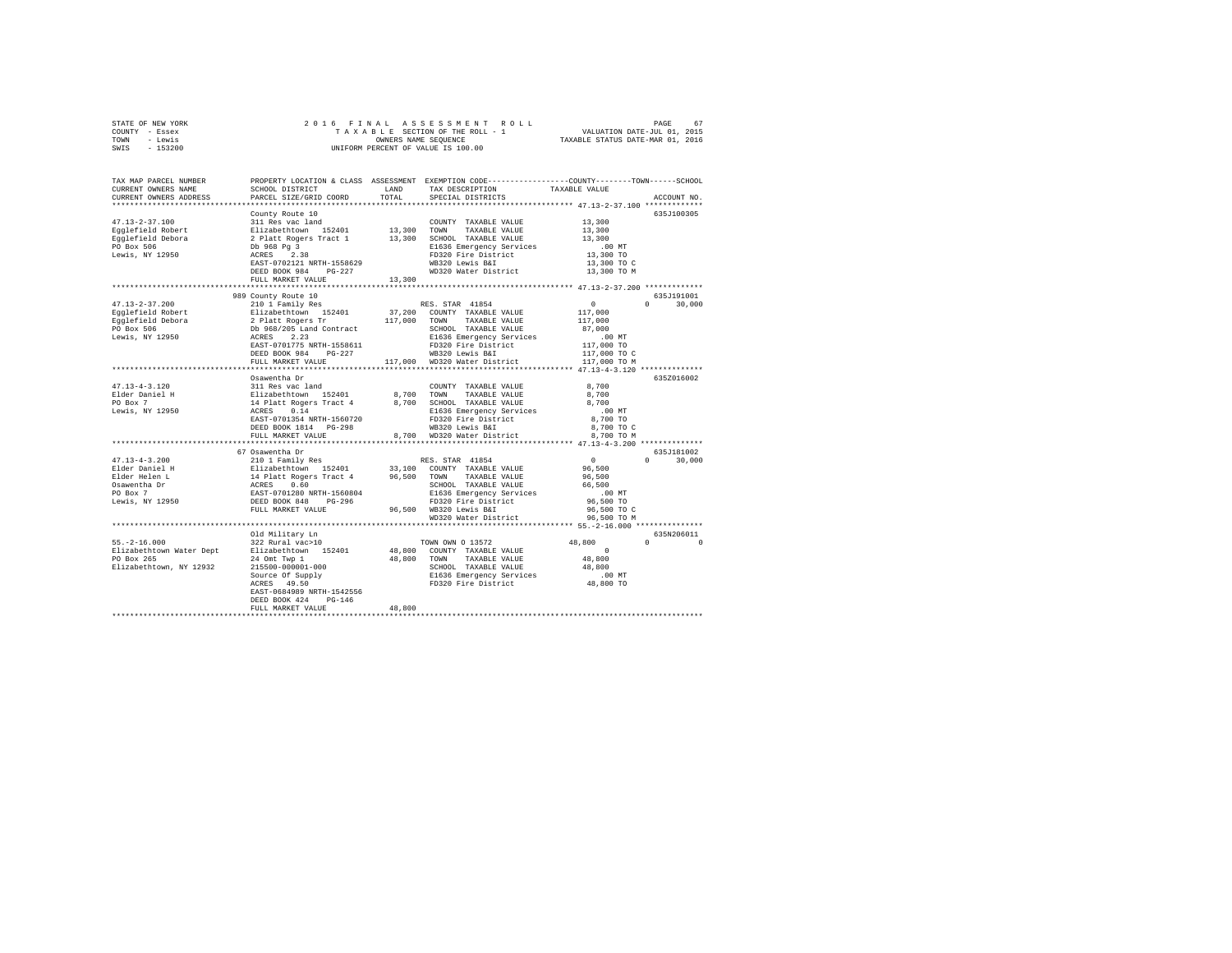| STATE OF NEW YORK |           |  | 2016 FINAL ASSESSMENT ROLL         |                                  | PAGE                        | 67 |
|-------------------|-----------|--|------------------------------------|----------------------------------|-----------------------------|----|
| COUNTY - Essex    |           |  | TAXABLE SECTION OF THE ROLL - 1    |                                  | VALUATION DATE-JUL 01, 2015 |    |
| TOWN<br>- Lewis   |           |  | OWNERS NAME SEOUENCE               | TAXABLE STATUS DATE-MAR 01, 2016 |                             |    |
| SWIS              | $-153200$ |  | UNIFORM PERCENT OF VALUE IS 100.00 |                                  |                             |    |

| TAX MAP PARCEL NUMBER<br>CURRENT OWNERS NAME                                                                                                                                                                                                                                                                              | PROPERTY LOCATION & CLASS ASSESSMENT EXEMPTION CODE---------------COUNTY-------TOWN-----SCHOOL<br>SCHOOL DISTRICT | T.AND  | TAX DESCRIPTION                               | TAXABLE VALUE       |                      |
|---------------------------------------------------------------------------------------------------------------------------------------------------------------------------------------------------------------------------------------------------------------------------------------------------------------------------|-------------------------------------------------------------------------------------------------------------------|--------|-----------------------------------------------|---------------------|----------------------|
| CURRENT OWNERS ADDRESS<br>*************************                                                                                                                                                                                                                                                                       | PARCEL SIZE/GRID COORD                                                                                            | TOTAL  | SPECIAL DISTRICTS                             |                     | ACCOUNT NO           |
|                                                                                                                                                                                                                                                                                                                           | County Route 10                                                                                                   |        |                                               |                     | 635J100305           |
| $47.13 - 2 - 37.100$                                                                                                                                                                                                                                                                                                      |                                                                                                                   |        | COUNTY TAXABLE VALUE                          |                     |                      |
| Eqqlefield Robert                                                                                                                                                                                                                                                                                                         |                                                                                                                   |        | TAXABLE VALUE                                 | 13,300<br>13,300    |                      |
| Eqqlefield Debora                                                                                                                                                                                                                                                                                                         |                                                                                                                   |        | 13,300 SCHOOL TAXABLE VALUE                   | 13,300              |                      |
| PO Box 506                                                                                                                                                                                                                                                                                                                |                                                                                                                   |        | E1636 Emergency Services                      | .00 MT              |                      |
| Lewis, NY 12950                                                                                                                                                                                                                                                                                                           |                                                                                                                   |        | FD320 Fire District                           | 13,300 TO           |                      |
|                                                                                                                                                                                                                                                                                                                           | EAST-0702121 NRTH-1558629                                                                                         |        | WB320 Lewis B&I                               | 13,300 TO C         |                      |
|                                                                                                                                                                                                                                                                                                                           | DEED BOOK 984 PG-227                                                                                              |        | WD320 Water District                          | 13,300 TO M         |                      |
|                                                                                                                                                                                                                                                                                                                           | FULL MARKET VALUE                                                                                                 | 13,300 |                                               |                     |                      |
|                                                                                                                                                                                                                                                                                                                           |                                                                                                                   |        |                                               |                     |                      |
|                                                                                                                                                                                                                                                                                                                           | 989 County Route 10                                                                                               |        |                                               |                     | 635J191001           |
| $47.13 - 2 - 37.200$                                                                                                                                                                                                                                                                                                      | 210 1 Family Res                                                                                                  |        | RES. STAR 41854                               | $\sim$ 0            | $\Omega$<br>30,000   |
| Egglefield Robert                                                                                                                                                                                                                                                                                                         | Elizabethtown 152401<br>2 Platt Rogers Tr<br>Db 968/205 Land Contract<br>ACRES 2.23<br>EAST-0701775 NRTH-1558611  |        | 37,200 COUNTY TAXABLE VALUE                   | 117,000             |                      |
| Egglefield Debora                                                                                                                                                                                                                                                                                                         |                                                                                                                   |        | 117,000 TOWN TAXABLE VALUE                    | 117,000             |                      |
| PO Box 506<br>Lewis, NY 12950                                                                                                                                                                                                                                                                                             |                                                                                                                   |        | SCHOOL TAXABLE VALUE                          | 87,000              |                      |
|                                                                                                                                                                                                                                                                                                                           |                                                                                                                   |        | E1636 Emergency Services                      |                     |                      |
|                                                                                                                                                                                                                                                                                                                           |                                                                                                                   |        | FD320 Fire District                           |                     |                      |
|                                                                                                                                                                                                                                                                                                                           | DEED BOOK 984<br>$PG-227$                                                                                         |        | WB320 Lewis B&I                               |                     |                      |
|                                                                                                                                                                                                                                                                                                                           | FULL MARKET VALUE                                                                                                 |        | 117,000 WD320 Water District                  |                     |                      |
|                                                                                                                                                                                                                                                                                                                           |                                                                                                                   |        |                                               |                     |                      |
|                                                                                                                                                                                                                                                                                                                           | Osawentha Dr                                                                                                      |        |                                               |                     | 635Z016002           |
| $47.13 - 4 - 3.120$                                                                                                                                                                                                                                                                                                       |                                                                                                                   |        |                                               | 8,700               |                      |
| Elder Daniel H                                                                                                                                                                                                                                                                                                            |                                                                                                                   |        |                                               | 8,700               |                      |
| PO Box 7                                                                                                                                                                                                                                                                                                                  |                                                                                                                   |        |                                               | 8,700               |                      |
| Lewis, NY 12950                                                                                                                                                                                                                                                                                                           |                                                                                                                   |        | E1636 Emergency Services                      | .00MT               |                      |
|                                                                                                                                                                                                                                                                                                                           | EAST-0701354 NRTH-1560720                                                                                         |        | FD320 Fire District                           | 8,700 TO            |                      |
|                                                                                                                                                                                                                                                                                                                           | DEED BOOK 1814 PG-298                                                                                             |        | WB320 Lewis B&I                               | 8,700 TO C          |                      |
|                                                                                                                                                                                                                                                                                                                           | FULL MARKET VALUE                                                                                                 |        | 8,700 WD320 Water District                    | 8,700 TO M          |                      |
|                                                                                                                                                                                                                                                                                                                           | ******************************                                                                                    |        |                                               |                     |                      |
|                                                                                                                                                                                                                                                                                                                           | 67 Osawentha Dr                                                                                                   |        |                                               |                     | 635J181002           |
| $47.13 - 4 - 3.200$                                                                                                                                                                                                                                                                                                       | 210 1 Family Res                                                                                                  |        | RES. STAR 41854                               | $\sim$ 0            | $\Omega$<br>30,000   |
|                                                                                                                                                                                                                                                                                                                           |                                                                                                                   |        |                                               | 96,500              |                      |
|                                                                                                                                                                                                                                                                                                                           |                                                                                                                   |        |                                               | 96,500              |                      |
|                                                                                                                                                                                                                                                                                                                           |                                                                                                                   |        | SCHOOL TAXABLE VALUE                          | 66,500              |                      |
|                                                                                                                                                                                                                                                                                                                           |                                                                                                                   |        | E1636 Emergency Services                      | $.00$ MT            |                      |
|                                                                                                                                                                                                                                                                                                                           |                                                                                                                   |        |                                               | 96,500 TO           |                      |
| $\begin{tabular}{l c c c c c} \hline 47.13-4-3.200 & $210$ & $210$ & $74.m11y$\,Rs$ & $16.m1$ & $16.m1$ & $16.m1$ & $16.m1$ & $16.m1$ & $16.m1$ & $16.m1$ & $16.m1$ & $16.m1$ & $16.m1$ & $16.m1$ & $16.m1$ & $16.m1$ & $16.m1$ & $16.m1$ & $16.m1$ & $16.m1$ & $16.m1$ & $16.m1$ & $16.m1$ & $16.m1$ & $16.m1$ & $16.m1$ |                                                                                                                   |        | FD320 Fire District<br>96,500 WB320 Lewis B&I | 96,500 TO C         |                      |
|                                                                                                                                                                                                                                                                                                                           |                                                                                                                   |        | WD320 Water District                          | 96,500 TO M         |                      |
|                                                                                                                                                                                                                                                                                                                           |                                                                                                                   |        |                                               |                     |                      |
|                                                                                                                                                                                                                                                                                                                           | Old Military Ln                                                                                                   |        |                                               |                     | 635N206011           |
| $55. -2 - 16.000$                                                                                                                                                                                                                                                                                                         | 322 Rural vac>10                                                                                                  |        | TOWN OWN O 13572                              | 48,800              | $\Omega$<br>$\Omega$ |
| Elizabethtown Water Dept                                                                                                                                                                                                                                                                                                  | Elizabethtown 152401                                                                                              |        | 48,800 COUNTY TAXABLE VALUE                   | $\Omega$            |                      |
| PO Box 265                                                                                                                                                                                                                                                                                                                | 24 Omt Twp 1                                                                                                      |        | 48,800 TOWN TAXABLE VALUE                     | 48,800              |                      |
| Elizabethtown, NY 12932                                                                                                                                                                                                                                                                                                   |                                                                                                                   |        | SCHOOL TAXABLE VALUE                          | 48,800              |                      |
|                                                                                                                                                                                                                                                                                                                           |                                                                                                                   |        | E1636 Emergency Services                      | 00 MT.<br>48,800 TO |                      |
|                                                                                                                                                                                                                                                                                                                           | Source of Supply<br>Source of Supply<br>ACRES 49.50<br>FRET. 00010111                                             |        | FD320 Fire District                           |                     |                      |
|                                                                                                                                                                                                                                                                                                                           | EAST-0684989 NRTH-1542556                                                                                         |        |                                               |                     |                      |
|                                                                                                                                                                                                                                                                                                                           | DEED BOOK 424 PG-146                                                                                              |        |                                               |                     |                      |
|                                                                                                                                                                                                                                                                                                                           | FULL MARKET VALUE                                                                                                 | 48,800 |                                               |                     |                      |
|                                                                                                                                                                                                                                                                                                                           |                                                                                                                   |        |                                               |                     |                      |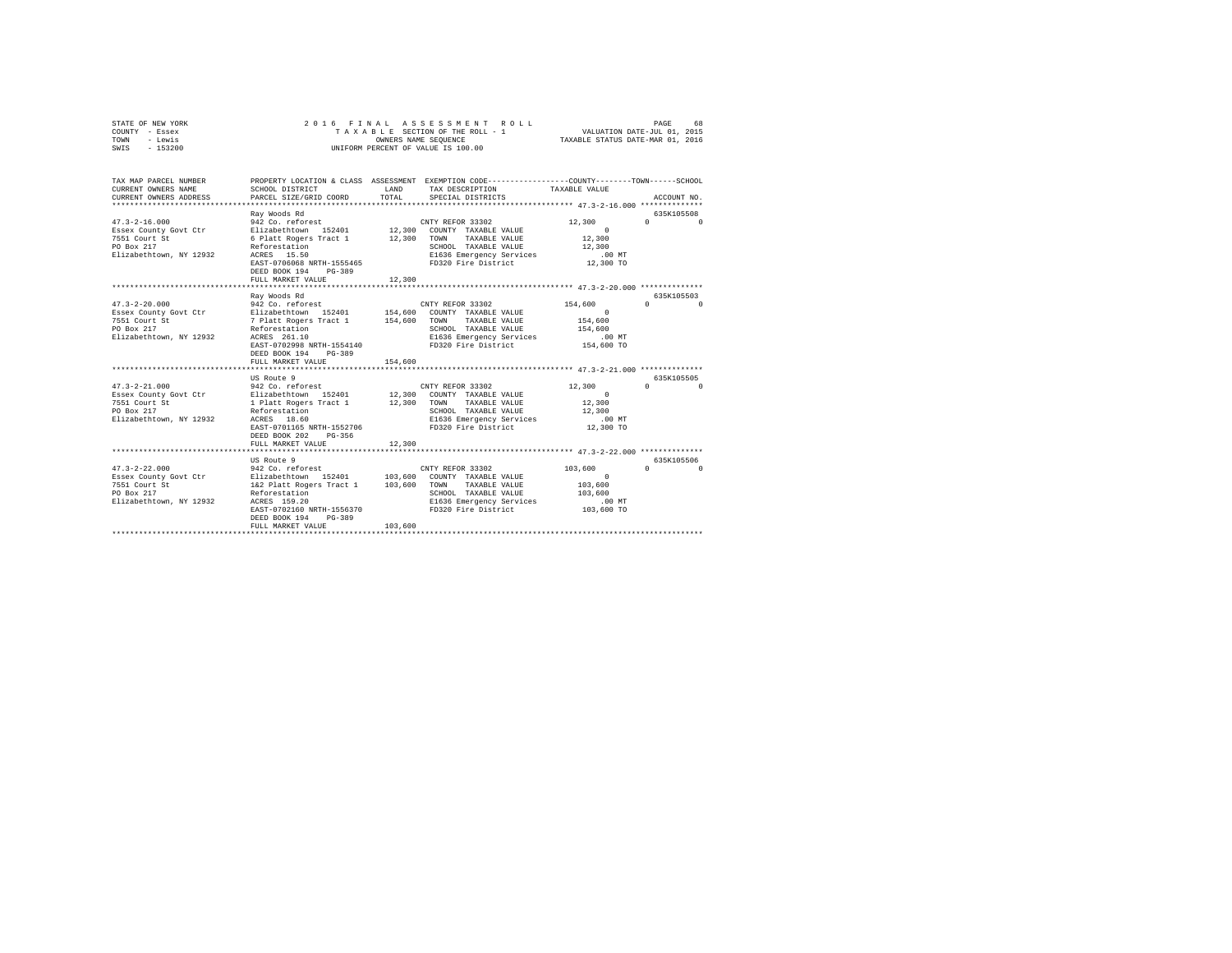| STATE OF NEW YORK<br>COUNTY - Essex<br>- Lewis<br>TOWN<br>SWIS - 153200                                                                                                                                          |                                                                                                                                                                                                                                                                                                                                                                                                             |                    | 2016 FINAL ASSESSMENT ROLL<br>TAXABLE SECTION OF THE ROLL - 1<br>OWNERS NAME SEQUENCE<br>UNIFORM PERCENT OF VALUE IS 100.00                                                                                                                                                  | VALUATION DATE-JUL 01, 2015<br>TAXABLE STATUS DATE-MAR 01, 2016                                                                        | PAGE<br>68                                                                                     |
|------------------------------------------------------------------------------------------------------------------------------------------------------------------------------------------------------------------|-------------------------------------------------------------------------------------------------------------------------------------------------------------------------------------------------------------------------------------------------------------------------------------------------------------------------------------------------------------------------------------------------------------|--------------------|------------------------------------------------------------------------------------------------------------------------------------------------------------------------------------------------------------------------------------------------------------------------------|----------------------------------------------------------------------------------------------------------------------------------------|------------------------------------------------------------------------------------------------|
| TAX MAP PARCEL NUMBER<br>CURRENT OWNERS NAME<br>CURRENT OWNERS ADDRESS                                                                                                                                           | SCHOOL DISTRICT<br>PARCEL SIZE/GRID COORD                                                                                                                                                                                                                                                                                                                                                                   | LAND<br>TOTAL      | PROPERTY LOCATION & CLASS ASSESSMENT EXEMPTION CODE---------------COUNTY-------TOWN------SCHOOL<br>TAX DESCRIPTION<br>SPECIAL DISTRICTS                                                                                                                                      | TAXABLE VALUE                                                                                                                          | ACCOUNT NO.                                                                                    |
| $47.3 - 2 - 16.000$<br>Essex County Govt Ctr<br>7551 Court St<br>PO Box 217<br>Elizabethtown, NY 12932                                                                                                           | Ray Woods Rd<br>942 Co. reforest<br>Elizabethtown 152401<br>6 Platt Rogers Tract 1 12,300<br>Reforestation<br>ACRES 15.50<br>EAST-0706068 NRTH-1555465<br>DEED BOOK 194 PG-389<br>FULL MARKET VALUE                                                                                                                                                                                                         | 12,300             | CNTY REFOR 33302<br>12,300 COUNTY TAXABLE VALUE<br>TOWN<br>TAXABLE VALUE<br>SCHOOL TAXABLE VALUE<br>E1636 Emergency Services<br>FD320 Fire District                                                                                                                          | 12,300<br>$\sim$ 0<br>12,300<br>12,300<br>$.00$ MT<br>12,300 TO                                                                        | 635K105508<br>$\sim$ 0<br>$\Omega$                                                             |
|                                                                                                                                                                                                                  |                                                                                                                                                                                                                                                                                                                                                                                                             |                    |                                                                                                                                                                                                                                                                              |                                                                                                                                        |                                                                                                |
| $47.3 - 2 - 20.000$<br>Essex County Govt Ctr<br>7551 Court St<br>PO Box 217<br>Elizabethtown, NY 12932<br>$47.3 - 2 - 21.000$<br>Essex County Govt Ctr<br>7551 Court St<br>PO Box 217<br>Elizabethtown, NY 12932 | Ray Woods Rd<br>942 Co. reforest<br>Elizabethtown 152401 154,600 COUNTY TAXABLE VALUE<br>7 Platt Rogers Tract 1 154,600<br>Reforestation<br>ACRES 261.10<br>EAST-0702998 NRTH-1554140<br>DEED BOOK 194 PG-389<br>FULL MARKET VALUE<br>US Route 9<br>942 Co. reforest<br>Elizabethtown 152401<br>1 Platt Rogers Tract 1<br>Reforestation<br>ACRES 18.60<br>EAST-0701165 NRTH-1552706<br>DEED BOOK 202 PG-356 | 154,600            | CNTY REFOR 33302<br>TOWN TAXABLE VALUE<br>SCHOOL TAXABLE VALUE<br>E1636 Emergency Services<br>FD320 Fire District<br>CNTY REFOR 33302<br>12,300 COUNTY TAXABLE VALUE<br>12,300 TOWN TAXABLE VALUE<br>SCHOOL TAXABLE VALUE<br>E1636 Emergency Services<br>FD320 Fire District | 154,600<br>$\sim$ 0<br>154,600<br>154,600<br>$.00$ MT<br>154,600 TO<br>12,300<br>$\sim$ 0<br>12,300<br>12,300<br>$.00$ MT<br>12,300 TO | 635K105503<br>$\Omega$ $\Omega$<br>635K105505<br>$\mathfrak{a}$ and $\mathfrak{a}$<br>$\Omega$ |
|                                                                                                                                                                                                                  | FULL MARKET VALUE                                                                                                                                                                                                                                                                                                                                                                                           | 12,300             |                                                                                                                                                                                                                                                                              |                                                                                                                                        |                                                                                                |
| $47.3 - 2 - 22.000$<br>Essex County Govt Ctr<br>7551 Court St<br>PO Box 217<br>Elizabethtown, NY 12932                                                                                                           | US Route 9<br>942 Co. reforest<br>Elizabethtown 152401<br>1&2 Platt Rogers Tract 1<br>Reforestation<br>ACRES 159.20<br>EAST-0702160 NRTH-1556370<br>DEED BOOK 194<br>PG-389<br>FULL MARKET VALUE                                                                                                                                                                                                            | 103,600<br>103,600 | CNTY REFOR 33302<br>103,600 COUNTY TAXABLE VALUE<br>TOWN<br>TAXABLE VALUE<br>SCHOOL TAXABLE VALUE<br>E1636 Emergency Services<br>FD320 Fire District                                                                                                                         | 103,600<br>$\Omega$<br>103,600<br>103,600<br>.00 MT<br>103,600 TO                                                                      | 635K105506<br>$\mathbf{0}$<br>$\cap$                                                           |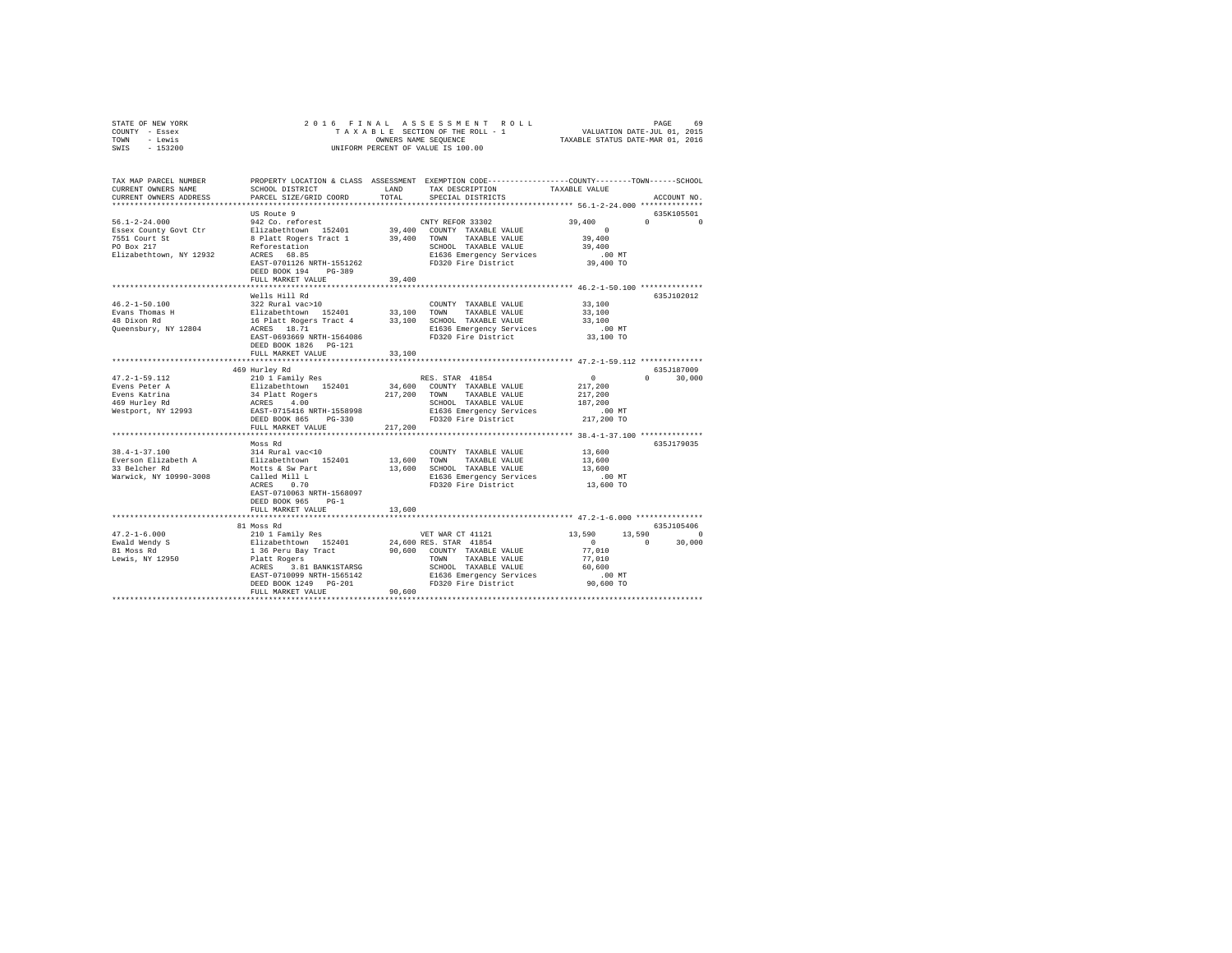| STATE OF NEW YORK<br>COUNTY - Essex<br>TOWN - Lewis<br>SWIS - 153200                                                 |                                                                                                      |         | $\begin{tabular}{lcccccc} 2 & 0 & 1 & 6 & F & H & R & S & E & S & E & S & S & E & S & F & E & F \\ \end{tabular} \begin{tabular}{lcccccc} A & E & A & E & S & E & S & E & E & F \\ T & A & A & B & E & S & E & T & E & E & F \\ & & & & & & & & & & & & & \\ \end{tabular} \begin{tabular}{lcccccc} 1 & 0 & 1 & 2015 \\ 1 & 0 & 1 & 2015 \\ 2 & 0 & 1 & 2016 \\ 3 & 0 & 1 & 2016 \\ 4 & 0 & 1 & 2016 \\ 5 & 1 & $<br>OWNERS NAME SEQUENCE<br>UNIFORM PERCENT OF VALUE IS 100.00 |                      |                             |
|----------------------------------------------------------------------------------------------------------------------|------------------------------------------------------------------------------------------------------|---------|---------------------------------------------------------------------------------------------------------------------------------------------------------------------------------------------------------------------------------------------------------------------------------------------------------------------------------------------------------------------------------------------------------------------------------------------------------------------------------|----------------------|-----------------------------|
| TAX MAP PARCEL NUMBER PROPERTY LOCATION & CLASS ASSESSMENT EXEMPTION CODE---------------COUNTY-------TOWN-----SCHOOL |                                                                                                      |         |                                                                                                                                                                                                                                                                                                                                                                                                                                                                                 |                      |                             |
| CURRENT OWNERS NAME                                                                                                  | SCHOOL DISTRICT LAND                                                                                 |         | TAX DESCRIPTION                                                                                                                                                                                                                                                                                                                                                                                                                                                                 | TAXABLE VALUE        |                             |
| CURRENT OWNERS ADDRESS                                                                                               | PARCEL SIZE/GRID COORD                                                                               | TOTAL   | SPECIAL DISTRICTS                                                                                                                                                                                                                                                                                                                                                                                                                                                               |                      | ACCOUNT NO.                 |
|                                                                                                                      |                                                                                                      |         |                                                                                                                                                                                                                                                                                                                                                                                                                                                                                 |                      |                             |
|                                                                                                                      | US Route 9                                                                                           |         |                                                                                                                                                                                                                                                                                                                                                                                                                                                                                 |                      | 635K105501                  |
| $56.1 - 2 - 24.000$                                                                                                  | 942 Co. reforest                                                                                     |         | CNTY REFOR 33302                                                                                                                                                                                                                                                                                                                                                                                                                                                                | 39,400               | $\Omega$ $\Omega$           |
| Essex County Govt Ctr                                                                                                | Elizabethtown 152401 39,400 COUNTY TAXABLE VALUE<br>8 Platt Rogers Tract 1 39,400 TOWN TAXABLE VALUE |         |                                                                                                                                                                                                                                                                                                                                                                                                                                                                                 | $\sim$ 0<br>39,400   |                             |
| 7551 Court St<br>PO Box 217                                                                                          |                                                                                                      |         | SCHOOL TAXABLE VALUE                                                                                                                                                                                                                                                                                                                                                                                                                                                            | 39,400               |                             |
| Elizabethtown, NY 12932                                                                                              | Reforestation<br>ACRES 68.85                                                                         |         | E1636 Emergency Services                                                                                                                                                                                                                                                                                                                                                                                                                                                        | $.00$ MT             |                             |
|                                                                                                                      | EAST-0701126 NRTH-1551262                                                                            |         | FD320 Fire District                                                                                                                                                                                                                                                                                                                                                                                                                                                             | 39,400 TO            |                             |
|                                                                                                                      | DEED BOOK 194 PG-389                                                                                 |         |                                                                                                                                                                                                                                                                                                                                                                                                                                                                                 |                      |                             |
|                                                                                                                      | FULL MARKET VALUE                                                                                    | 39,400  |                                                                                                                                                                                                                                                                                                                                                                                                                                                                                 |                      |                             |
|                                                                                                                      |                                                                                                      |         |                                                                                                                                                                                                                                                                                                                                                                                                                                                                                 |                      |                             |
| $46.2 - 1 - 50.100$                                                                                                  | Wells Hill Rd<br>322 Rural vac>10                                                                    |         |                                                                                                                                                                                                                                                                                                                                                                                                                                                                                 |                      | 635J102012                  |
|                                                                                                                      |                                                                                                      |         | COUNTY TAXABLE VALUE 33,100                                                                                                                                                                                                                                                                                                                                                                                                                                                     | 33,100               |                             |
| Evans Thomas H<br>48 Dixon Rd                                                                                        |                                                                                                      |         |                                                                                                                                                                                                                                                                                                                                                                                                                                                                                 | 33,100               |                             |
| Queensbury, NY 12804                                                                                                 |                                                                                                      |         | Elizabethtown 152401 33,100 TOWN TAXABLE VALUE<br>16 Platt Rogers Tract 4 33,100 SCHOOL TAXABLE VALUE<br>ACRES 18.71 The March 23,100 SCHOOL TAXABLE VALUE                                                                                                                                                                                                                                                                                                                      | $.00$ MT             |                             |
|                                                                                                                      | EAST-0693669 NRTH-1564086                                                                            |         | FD320 Fire District                                                                                                                                                                                                                                                                                                                                                                                                                                                             | 33,100 TO            |                             |
|                                                                                                                      | DEED BOOK 1826 PG-121                                                                                |         |                                                                                                                                                                                                                                                                                                                                                                                                                                                                                 |                      |                             |
|                                                                                                                      | FULL MARKET VALUE                                                                                    | 33,100  |                                                                                                                                                                                                                                                                                                                                                                                                                                                                                 |                      |                             |
|                                                                                                                      |                                                                                                      |         |                                                                                                                                                                                                                                                                                                                                                                                                                                                                                 |                      |                             |
|                                                                                                                      | 469 Hurley Rd                                                                                        |         |                                                                                                                                                                                                                                                                                                                                                                                                                                                                                 | $\sim$ 0             | 635J187009<br>$0 \t 30,000$ |
|                                                                                                                      |                                                                                                      |         |                                                                                                                                                                                                                                                                                                                                                                                                                                                                                 | 217,200              |                             |
|                                                                                                                      |                                                                                                      |         |                                                                                                                                                                                                                                                                                                                                                                                                                                                                                 | 217,200              |                             |
|                                                                                                                      |                                                                                                      |         |                                                                                                                                                                                                                                                                                                                                                                                                                                                                                 | 187,200              |                             |
|                                                                                                                      |                                                                                                      |         | E1636 Emergency Services                                                                                                                                                                                                                                                                                                                                                                                                                                                        | $.00$ MT             |                             |
|                                                                                                                      |                                                                                                      |         | FD320 Fire District                                                                                                                                                                                                                                                                                                                                                                                                                                                             | 217,200 TO           |                             |
|                                                                                                                      | FULL MARKET VALUE                                                                                    | 217,200 |                                                                                                                                                                                                                                                                                                                                                                                                                                                                                 |                      |                             |
|                                                                                                                      | Moss Rd                                                                                              |         |                                                                                                                                                                                                                                                                                                                                                                                                                                                                                 |                      | 635J179035                  |
| $38.4 - 1 - 37.100$                                                                                                  | 314 Rural vac<10                                                                                     |         | COUNTY TAXABLE VALUE 13,600                                                                                                                                                                                                                                                                                                                                                                                                                                                     |                      |                             |
| Everson Elizabeth A                                                                                                  | 314 Rural vac<10<br>Elizabethtown 152401<br>Motts & Sw Part                                          |         | 13,600 TOWN TAXABLE VALUE                                                                                                                                                                                                                                                                                                                                                                                                                                                       | 13,600               |                             |
| 33 Belcher Rd                                                                                                        |                                                                                                      |         | 13,600 SCHOOL TAXABLE VALUE                                                                                                                                                                                                                                                                                                                                                                                                                                                     | 13,600               |                             |
| Warwick, NY 10990-3008                                                                                               | Called Mill L<br>ACRES 0.70                                                                          |         | E1636 Emergency Services                                                                                                                                                                                                                                                                                                                                                                                                                                                        | .00 MT.<br>13,600 TO |                             |
|                                                                                                                      |                                                                                                      |         | FD320 Fire District                                                                                                                                                                                                                                                                                                                                                                                                                                                             |                      |                             |
|                                                                                                                      | EAST-0710063 NRTH-1568097<br>DEED BOOK 965 PG-1                                                      |         |                                                                                                                                                                                                                                                                                                                                                                                                                                                                                 |                      |                             |
|                                                                                                                      | FULL MARKET VALUE                                                                                    | 13,600  |                                                                                                                                                                                                                                                                                                                                                                                                                                                                                 |                      |                             |
|                                                                                                                      |                                                                                                      |         |                                                                                                                                                                                                                                                                                                                                                                                                                                                                                 |                      |                             |
|                                                                                                                      | 81 Moss Rd                                                                                           |         |                                                                                                                                                                                                                                                                                                                                                                                                                                                                                 |                      | 635J105406                  |
|                                                                                                                      |                                                                                                      |         |                                                                                                                                                                                                                                                                                                                                                                                                                                                                                 | 13,590 13,590 0      |                             |
|                                                                                                                      |                                                                                                      |         |                                                                                                                                                                                                                                                                                                                                                                                                                                                                                 | $\sim$ 0             | $0 \t 30.000$               |
|                                                                                                                      |                                                                                                      |         |                                                                                                                                                                                                                                                                                                                                                                                                                                                                                 | 77,010               |                             |
|                                                                                                                      |                                                                                                      |         |                                                                                                                                                                                                                                                                                                                                                                                                                                                                                 | 77,010<br>60,600     |                             |
|                                                                                                                      |                                                                                                      |         |                                                                                                                                                                                                                                                                                                                                                                                                                                                                                 | .00 MT               |                             |
|                                                                                                                      |                                                                                                      |         |                                                                                                                                                                                                                                                                                                                                                                                                                                                                                 | 90,600 TO            |                             |
|                                                                                                                      | FULL MARKET VALUE                                                                                    | 90.600  |                                                                                                                                                                                                                                                                                                                                                                                                                                                                                 |                      |                             |
|                                                                                                                      |                                                                                                      |         |                                                                                                                                                                                                                                                                                                                                                                                                                                                                                 |                      |                             |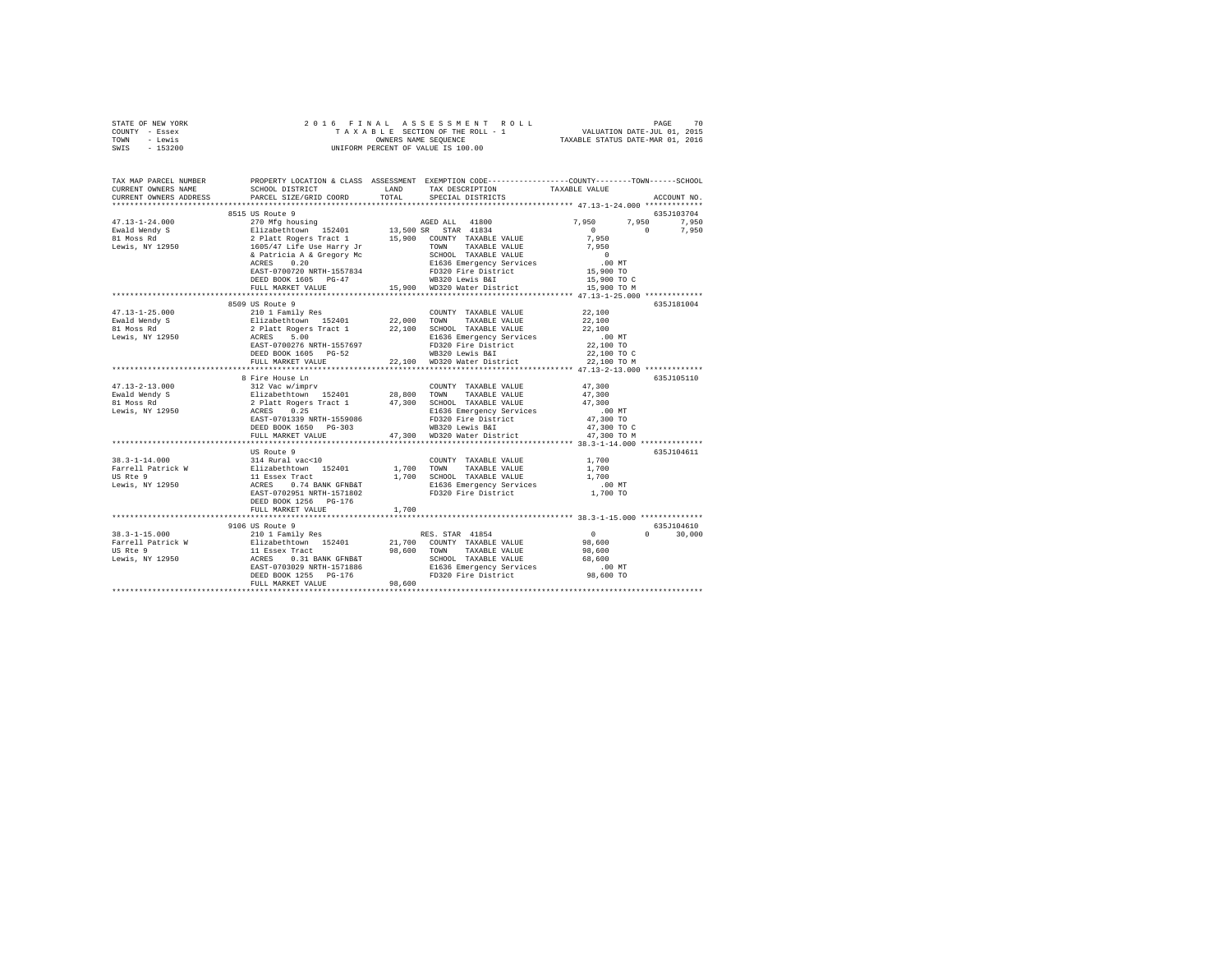| STATE OF NEW YORK | 2016 FINAL ASSESSMENT ROLL         | 70<br>PAGE                       |
|-------------------|------------------------------------|----------------------------------|
| COUNTY - Essex    | TAXABLE SECTION OF THE ROLL - 1    | VALUATION DATE-JUL 01, 2015      |
| TOWN<br>- Lewis   | OWNERS NAME SEOUENCE               | TAXABLE STATUS DATE-MAR 01, 2016 |
| $-153200$<br>SWIS | UNIFORM PERCENT OF VALUE IS 100.00 |                                  |

| TAX MAP PARCEL NUMBER<br>CURRENT OWNERS NAME<br>CURRENT OWNERS ADDRESS | SCHOOL DISTRICT<br>PARCEL SIZE/GRID COORD                                                                                                                | PROPERTY LOCATION & CLASS ASSESSMENT EXEMPTION CODE----------------COUNTY-------TOWN------SCHOOL<br>LAND<br>TAX DESCRIPTION<br>TOTAL<br>SPECIAL DISTRICTS                             | TAXABLE VALUE<br>ACCOUNT NO.                                                             |
|------------------------------------------------------------------------|----------------------------------------------------------------------------------------------------------------------------------------------------------|---------------------------------------------------------------------------------------------------------------------------------------------------------------------------------------|------------------------------------------------------------------------------------------|
| *************************                                              |                                                                                                                                                          |                                                                                                                                                                                       |                                                                                          |
| $47.13 - 1 - 24.000$<br>Ewald Wendy S<br>81 Moss Rd<br>Lewis, NY 12950 | 8515 US Route 9                                                                                                                                          | 270 Mfg housing and a AGED ALL 41800                                                                                                                                                  | 635J103704<br>7,950<br>7,950<br>7.950<br>$\Omega$<br>7,950<br>$\Omega$<br>7.950<br>7,950 |
|                                                                        | ACRES<br>0.20<br>EAST-0700720 NRTH-1557834<br>DEED BOOK 1605 PG-47<br>FULL MARKET VALUE<br>****************************                                  | SCHOOL TAXABLE VALUE<br>E1636 Emergency Services<br>FD320 Fire District<br>WB320 Lewis BCT<br>15,900 WD320 Water District                                                             | $\overline{0}$<br>$.00$ MT<br>15,900 TO<br>15,900 TO C<br>15,900 TO M                    |
|                                                                        | 8509 US Route 9                                                                                                                                          |                                                                                                                                                                                       | 635J181004                                                                               |
| $47.13 - 1 - 25.000$<br>Ewald Wendy S<br>81 Moss Rd<br>Lewis, NY 12950 | 210 1 Family Res<br>EAST-0700276 NRTH-1557697<br>DEED BOOK 1605 PG-52                                                                                    | COUNTY TAXABLE VALUE 22.100<br>E1636 Emergency Services<br>FD320 Fire District<br>WB320 Lewis B&I                                                                                     | 22,100<br>22,100<br>$.00$ MT<br>22,100 TO<br>22,100 TO C                                 |
|                                                                        | FULL MARKET VALUE                                                                                                                                        | 22,100 WD320 Water District                                                                                                                                                           | 22,100 TO M                                                                              |
|                                                                        | **********************************                                                                                                                       |                                                                                                                                                                                       | *************** 47.13-2-13.000 ***********                                               |
| $47.13 - 2 - 13.000$<br>Ewald Wendy S<br>81 Moss Rd<br>Lewis, NY 12950 | 8 Fire House Ln<br>312 Vac w/imprv<br>Elizabethtown 152401<br>2 Platt Rogers Tract 1<br>ACRES 0.25<br>EAST-0701339 NRTH-1559086<br>DEED BOOK 1650 PG-303 | COUNTY TAXABLE VALUE<br>28,800 TOWN TAXABLE VALUE<br>47,300 SCHOOL TAXABLE VALUE<br>E1636 Emergency Services<br>FD320 Fire District                                                   | 635J105110<br>47,300<br>47,300<br>47,300<br>.00 MT<br>47,300 TO                          |
|                                                                        | FULL MARKET VALUE                                                                                                                                        | WB320 Lewis B&I 47,300 TO C<br>WD320 Water District 47,300 TO M<br>47,300                                                                                                             |                                                                                          |
|                                                                        |                                                                                                                                                          |                                                                                                                                                                                       |                                                                                          |
|                                                                        | US Route 9<br>DEED BOOK 1256 PG-176                                                                                                                      | COUNTY TAXABLE VALUE<br>1,700 TOWN TAXABLE VALUE<br>1,700 SCHOOL TAXABLE VALUE<br>E1636 Emergency Services<br>FD320 Fire District                                                     | 635J104611<br>1,700<br>1,700<br>1,700<br>$.00$ MT<br>$1,700$ TO                          |
|                                                                        | FULL MARKET VALUE                                                                                                                                        | 1,700                                                                                                                                                                                 |                                                                                          |
|                                                                        |                                                                                                                                                          |                                                                                                                                                                                       |                                                                                          |
|                                                                        |                                                                                                                                                          |                                                                                                                                                                                       | 635J104610                                                                               |
|                                                                        | EAST-0703029 NRTH-1571886<br>DEED BOOK 1255 PG-176<br>FULL MARKET VALUE                                                                                  | RES. STAR 41854<br>21,700 COUNTY TAXABLE VALUE<br>98,600 TOWN<br>TAXABLE VALUE<br>SCHOOL TAXABLE VALUE<br>E1636 Emergency Services 6.00 MT<br>FD320 Fire District 98,600 TO<br>98,600 | $\sim$ 0<br>$0 \qquad \qquad$<br>30,000<br>98,600<br>98,600<br>68,600                    |
|                                                                        |                                                                                                                                                          |                                                                                                                                                                                       |                                                                                          |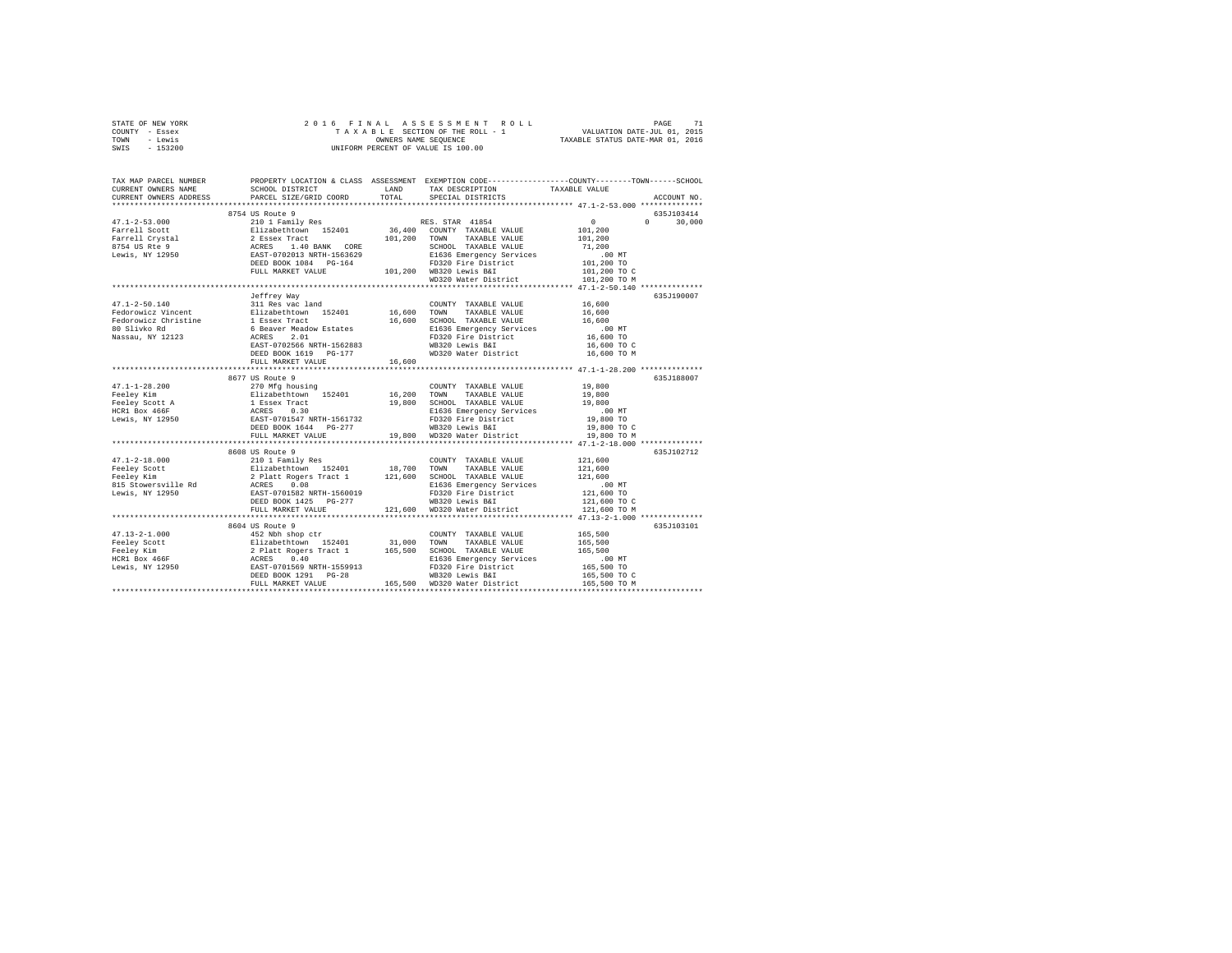| STATE OF NEW YORK                                                                                                                                                                                                                                                                                                                                                                                                                  |                   |        |                                                             |                            |               |  |  |  |
|------------------------------------------------------------------------------------------------------------------------------------------------------------------------------------------------------------------------------------------------------------------------------------------------------------------------------------------------------------------------------------------------------------------------------------|-------------------|--------|-------------------------------------------------------------|----------------------------|---------------|--|--|--|
| COUNTY - Essex                                                                                                                                                                                                                                                                                                                                                                                                                     |                   |        |                                                             |                            |               |  |  |  |
| TOWN - Lewis                                                                                                                                                                                                                                                                                                                                                                                                                       |                   |        |                                                             |                            |               |  |  |  |
| SWIS - 153200                                                                                                                                                                                                                                                                                                                                                                                                                      |                   |        |                                                             |                            |               |  |  |  |
|                                                                                                                                                                                                                                                                                                                                                                                                                                    |                   |        |                                                             |                            |               |  |  |  |
|                                                                                                                                                                                                                                                                                                                                                                                                                                    |                   |        |                                                             |                            |               |  |  |  |
| TAX MAP PARCEL NUMBER PROPERTY LOCATION & CLASS ASSESSMENT EXEMPTION CODE---------------COUNTY-------TOWN------SCHOOL                                                                                                                                                                                                                                                                                                              |                   |        |                                                             |                            |               |  |  |  |
| CURRENT OWNERS NAME                                                                                                                                                                                                                                                                                                                                                                                                                |                   |        |                                                             |                            |               |  |  |  |
| CURRENT OWNERS ADDRESS                                                                                                                                                                                                                                                                                                                                                                                                             |                   |        |                                                             |                            | ACCOUNT NO.   |  |  |  |
|                                                                                                                                                                                                                                                                                                                                                                                                                                    |                   |        |                                                             |                            |               |  |  |  |
|                                                                                                                                                                                                                                                                                                                                                                                                                                    | 8754 US Route 9   |        |                                                             |                            | 635J103414    |  |  |  |
|                                                                                                                                                                                                                                                                                                                                                                                                                                    |                   |        |                                                             |                            | $0 \t 30,000$ |  |  |  |
|                                                                                                                                                                                                                                                                                                                                                                                                                                    |                   |        |                                                             |                            |               |  |  |  |
|                                                                                                                                                                                                                                                                                                                                                                                                                                    |                   |        |                                                             |                            |               |  |  |  |
|                                                                                                                                                                                                                                                                                                                                                                                                                                    |                   |        |                                                             |                            |               |  |  |  |
|                                                                                                                                                                                                                                                                                                                                                                                                                                    |                   |        |                                                             |                            |               |  |  |  |
|                                                                                                                                                                                                                                                                                                                                                                                                                                    |                   |        |                                                             |                            |               |  |  |  |
|                                                                                                                                                                                                                                                                                                                                                                                                                                    |                   |        |                                                             |                            |               |  |  |  |
|                                                                                                                                                                                                                                                                                                                                                                                                                                    |                   |        |                                                             | 101,200 TO C               |               |  |  |  |
| $\begin{tabular}{l c c c} \multicolumn{3}{c}{\textbf{47.1-2-53.000}} & \multicolumn{3}{c}{\textbf{8754 U S R} \newline \multicolumn{3}{c}{\textbf{47.1-2-53.000}} & \multicolumn{3}{c}{\textbf{8754 U S R} \newline \multicolumn{3}{c}{\textbf{47.1-2-53.000}} & \multicolumn{3}{c}{\textbf{8754 U S R} \newline \multicolumn{3}{c}{\textbf{8754 U S R} \newline \multicolumn{3}{c}{\textbf{8754 U S R} \newline \multicolumn{3}{$ |                   |        |                                                             | 101,200 TO M               |               |  |  |  |
|                                                                                                                                                                                                                                                                                                                                                                                                                                    | Jeffrey Way       |        |                                                             |                            | 635J190007    |  |  |  |
| 47.1-2-50.140                                                                                                                                                                                                                                                                                                                                                                                                                      | 311 Res vac land  |        | COUNTY TAXABLE VALUE                                        | 16,600                     |               |  |  |  |
|                                                                                                                                                                                                                                                                                                                                                                                                                                    |                   |        |                                                             |                            |               |  |  |  |
|                                                                                                                                                                                                                                                                                                                                                                                                                                    |                   |        |                                                             |                            |               |  |  |  |
|                                                                                                                                                                                                                                                                                                                                                                                                                                    |                   |        |                                                             |                            |               |  |  |  |
|                                                                                                                                                                                                                                                                                                                                                                                                                                    |                   |        |                                                             | 00 MT.<br>16,600 TO        |               |  |  |  |
|                                                                                                                                                                                                                                                                                                                                                                                                                                    |                   |        |                                                             |                            |               |  |  |  |
|                                                                                                                                                                                                                                                                                                                                                                                                                                    |                   |        |                                                             | 16,600 TO C<br>16,600 TO M |               |  |  |  |
| $\begin{tabular}{l c c c c c} & 311\;\text{Res}\; \text{vac} & 101\;\text{Res}\; \text{vac} & 100\;\text{C} \text{UW11} & 116,600 & 1000111 & 1000111 & 1000111 & 1000111 & 1000111 & 1000111 & 1000111 & 1000111 & 1000111 & 1000111 & 1000111 & 1000111 & 1000111 & 1000111 & 1000111 & 100$                                                                                                                                     |                   |        |                                                             |                            |               |  |  |  |
|                                                                                                                                                                                                                                                                                                                                                                                                                                    | FULL MARKET VALUE | 16,600 |                                                             |                            |               |  |  |  |
|                                                                                                                                                                                                                                                                                                                                                                                                                                    |                   |        |                                                             |                            |               |  |  |  |
|                                                                                                                                                                                                                                                                                                                                                                                                                                    | 8677 US Route 9   |        |                                                             |                            | 635J188007    |  |  |  |
|                                                                                                                                                                                                                                                                                                                                                                                                                                    |                   |        |                                                             |                            |               |  |  |  |
|                                                                                                                                                                                                                                                                                                                                                                                                                                    |                   |        |                                                             |                            |               |  |  |  |
|                                                                                                                                                                                                                                                                                                                                                                                                                                    |                   |        |                                                             |                            |               |  |  |  |
|                                                                                                                                                                                                                                                                                                                                                                                                                                    |                   |        |                                                             |                            |               |  |  |  |
|                                                                                                                                                                                                                                                                                                                                                                                                                                    |                   |        |                                                             |                            |               |  |  |  |
|                                                                                                                                                                                                                                                                                                                                                                                                                                    |                   |        |                                                             |                            |               |  |  |  |
| $\begin{tabular}{l c c c c} \multicolumn{3}{c}{\textbf{47.1--1-28.200}} & \multicolumn{3}{c}{\textbf{57.1--28.200}} & \multicolumn{3}{c}{\textbf{57.1--28.200}} & \multicolumn{3}{c}{\textbf{57.1--28.200}} & \multicolumn{3}{c}{\textbf{57.1--28.200}} & \multicolumn{3}{c}{\textbf{57.1--28.200}} & \multicolumn{3}{c}{\textbf{57.1--28.200}} & \multicolumn{3}{c}{\textbf{57.1--28$                                             |                   |        |                                                             |                            |               |  |  |  |
|                                                                                                                                                                                                                                                                                                                                                                                                                                    |                   |        |                                                             |                            |               |  |  |  |
|                                                                                                                                                                                                                                                                                                                                                                                                                                    | 8608 US Route 9   |        |                                                             |                            | 635J102712    |  |  |  |
|                                                                                                                                                                                                                                                                                                                                                                                                                                    |                   |        | COUNTY TAXABLE VALUE 121,600                                |                            |               |  |  |  |
|                                                                                                                                                                                                                                                                                                                                                                                                                                    |                   |        |                                                             | 121,600                    |               |  |  |  |
| 47.1-2-18.000<br>$\text{Feeley Kim}$<br>$\text{Feeley Kim}$<br>$\text{Feeey Kim}$<br>$\text{Feeig Stot}$<br>$\text{Feig Stot}$<br>$\text{Feig Stot}$<br>$\text{Feig Stot}$<br>$\text{Feig Stot}$<br>$\text{Feig Stot}$<br>$\text{Feig Stot}$<br>$\text{Feig Stot}$<br>$\text{Feig Stot}$<br>$\text{Feig Stot}$<br>$\text{Feig Stot}$<br>$\text{Feig Stot}$<br>$\text{Feig Stot}$<br>$\text{Feig Stot}$                             |                   |        |                                                             | 121,600                    |               |  |  |  |
|                                                                                                                                                                                                                                                                                                                                                                                                                                    |                   |        |                                                             | $121,600$ TO               |               |  |  |  |
|                                                                                                                                                                                                                                                                                                                                                                                                                                    |                   |        |                                                             |                            |               |  |  |  |
|                                                                                                                                                                                                                                                                                                                                                                                                                                    |                   |        |                                                             | 121,600 TO C               |               |  |  |  |
|                                                                                                                                                                                                                                                                                                                                                                                                                                    |                   |        | FULL MARKET VALUE 121,600 WD320 Water District 121,600 TO M |                            |               |  |  |  |
|                                                                                                                                                                                                                                                                                                                                                                                                                                    |                   |        |                                                             |                            |               |  |  |  |
|                                                                                                                                                                                                                                                                                                                                                                                                                                    | 8604 US Route 9   |        |                                                             |                            | 635J103101    |  |  |  |
|                                                                                                                                                                                                                                                                                                                                                                                                                                    |                   |        |                                                             |                            |               |  |  |  |
|                                                                                                                                                                                                                                                                                                                                                                                                                                    |                   |        |                                                             |                            |               |  |  |  |
|                                                                                                                                                                                                                                                                                                                                                                                                                                    |                   |        |                                                             |                            |               |  |  |  |
|                                                                                                                                                                                                                                                                                                                                                                                                                                    |                   |        |                                                             |                            |               |  |  |  |
|                                                                                                                                                                                                                                                                                                                                                                                                                                    |                   |        |                                                             |                            |               |  |  |  |
|                                                                                                                                                                                                                                                                                                                                                                                                                                    |                   |        |                                                             |                            |               |  |  |  |
| $\begin{tabular}{l c c c c} \multicolumn{3}{c}{\textbf{47.13--2-1.000}} & \multicolumn{3}{c}{\textbf{65.900}} & \multicolumn{3}{c}{\textbf{65.900}} & \multicolumn{3}{c}{\textbf{65.900}} & \multicolumn{3}{c}{\textbf{65.900}} & \multicolumn{3}{c}{\textbf{65.900}} & \multicolumn{3}{c}{\textbf{65.900}} & \multicolumn{3}{c}{\textbf{65.900}} & \multicolumn{3}{c}{\textbf{65.900}} & \multicolumn{3}{c$                       |                   |        |                                                             |                            |               |  |  |  |
|                                                                                                                                                                                                                                                                                                                                                                                                                                    |                   |        |                                                             |                            |               |  |  |  |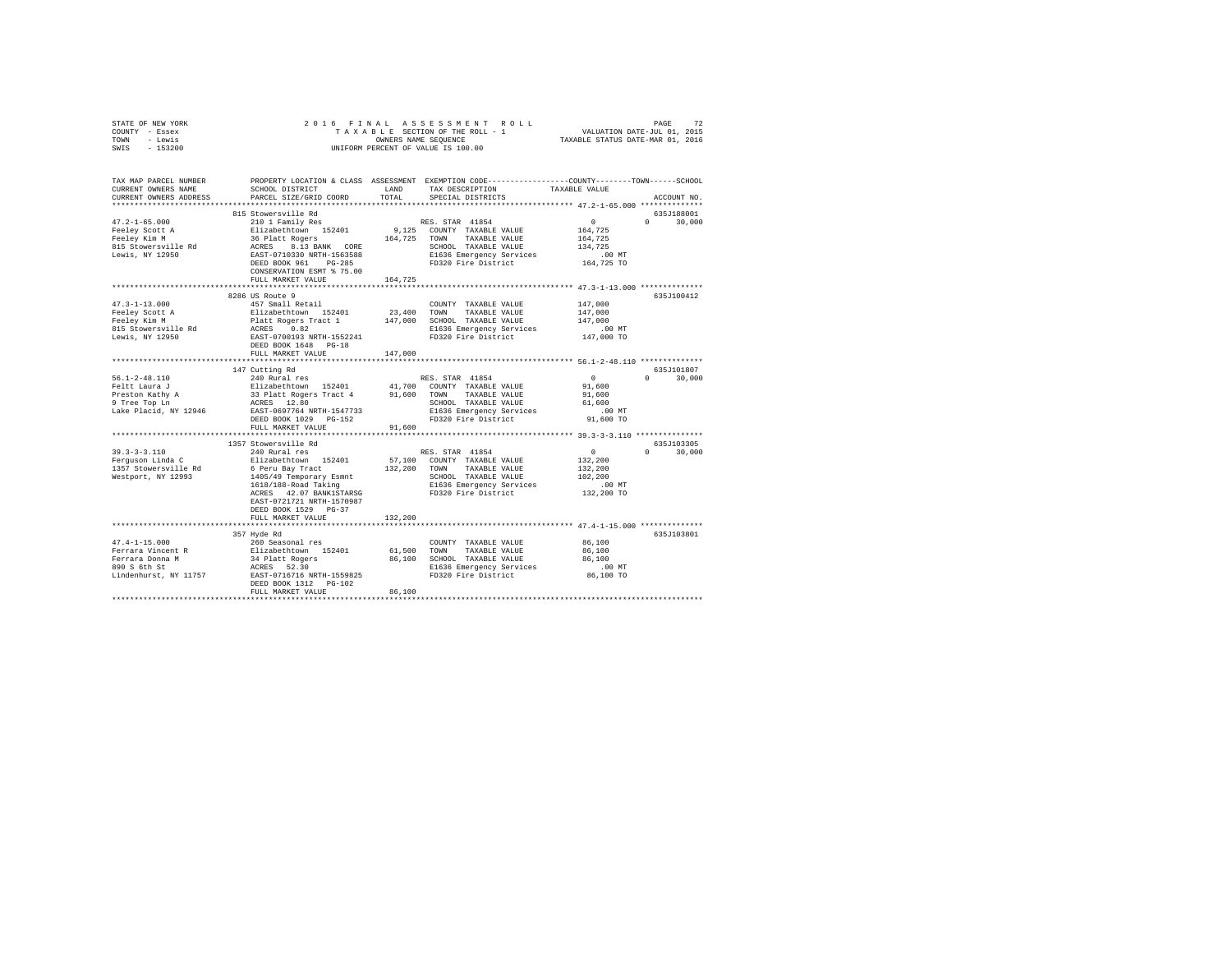| STATE OF NEW YORK                                                                                                                                                                                                                                                                                                                                                                                                                       |                                                                                                                                                                                                                                              |         |                                                                                                                   |                       |               |  |  |  |
|-----------------------------------------------------------------------------------------------------------------------------------------------------------------------------------------------------------------------------------------------------------------------------------------------------------------------------------------------------------------------------------------------------------------------------------------|----------------------------------------------------------------------------------------------------------------------------------------------------------------------------------------------------------------------------------------------|---------|-------------------------------------------------------------------------------------------------------------------|-----------------------|---------------|--|--|--|
| COUNTY - Essex                                                                                                                                                                                                                                                                                                                                                                                                                          |                                                                                                                                                                                                                                              |         |                                                                                                                   |                       |               |  |  |  |
| TOWN - Lewis                                                                                                                                                                                                                                                                                                                                                                                                                            |                                                                                                                                                                                                                                              |         |                                                                                                                   |                       |               |  |  |  |
| SWIS - 153200                                                                                                                                                                                                                                                                                                                                                                                                                           |                                                                                                                                                                                                                                              |         |                                                                                                                   |                       |               |  |  |  |
|                                                                                                                                                                                                                                                                                                                                                                                                                                         |                                                                                                                                                                                                                                              |         |                                                                                                                   |                       |               |  |  |  |
|                                                                                                                                                                                                                                                                                                                                                                                                                                         |                                                                                                                                                                                                                                              |         |                                                                                                                   |                       |               |  |  |  |
|                                                                                                                                                                                                                                                                                                                                                                                                                                         |                                                                                                                                                                                                                                              |         |                                                                                                                   |                       |               |  |  |  |
| TAX MAP PARCEL NUMBER PROPERTY LOCATION & CLASS ASSESSMENT EXEMPTION CODE--------------COUNTY-------TOWN-----SCHOOL                                                                                                                                                                                                                                                                                                                     |                                                                                                                                                                                                                                              |         |                                                                                                                   |                       |               |  |  |  |
| CURRENT OWNERS NAME                                                                                                                                                                                                                                                                                                                                                                                                                     |                                                                                                                                                                                                                                              |         | SCHOOL DISTRICT                      LAND        TAX DESCRIPTION                   TAXABLE VALUE                  |                       |               |  |  |  |
| CURRENT OWNERS ADDRESS                                                                                                                                                                                                                                                                                                                                                                                                                  | PARCEL SIZE/GRID COORD                                                                                                                                                                                                                       | TOTAL   | SPECIAL DISTRICTS                                                                                                 |                       | ACCOUNT NO.   |  |  |  |
|                                                                                                                                                                                                                                                                                                                                                                                                                                         |                                                                                                                                                                                                                                              |         |                                                                                                                   |                       |               |  |  |  |
|                                                                                                                                                                                                                                                                                                                                                                                                                                         | 815 Stowersville Rd                                                                                                                                                                                                                          |         |                                                                                                                   |                       | 635J188001    |  |  |  |
| 47.2-1-65.000<br>Feeley Scott A<br>Feeley Kim M<br>815 Stowersville Rd<br>Lewis, NY 12950                                                                                                                                                                                                                                                                                                                                               | 815 Stowersville Ku<br>2101 Family Res<br>2101 Family Res<br>216401 1200 1125401 9,125 COUNTY TAXABLE VALUE<br>36 Platt Rogers<br>8.13 BANK CORE SCHOOL TAXABLE VALUE<br>267-0710330 NETH-1563588 B1636 RESP<br>2687-0710330 NETH-1563588 B1 |         | RES. STAR 41854                                                                                                   | $\sim$ 0 $\sim$       | $0 \t 30,000$ |  |  |  |
|                                                                                                                                                                                                                                                                                                                                                                                                                                         |                                                                                                                                                                                                                                              |         |                                                                                                                   | 164,725               |               |  |  |  |
|                                                                                                                                                                                                                                                                                                                                                                                                                                         |                                                                                                                                                                                                                                              |         |                                                                                                                   | 164,725               |               |  |  |  |
|                                                                                                                                                                                                                                                                                                                                                                                                                                         |                                                                                                                                                                                                                                              |         | SCHOOL TAXABLE VALUE                                                                                              | 134,725               |               |  |  |  |
|                                                                                                                                                                                                                                                                                                                                                                                                                                         |                                                                                                                                                                                                                                              |         | E1636 Emergency Services                                                                                          | .00 MT.<br>164,725 TO |               |  |  |  |
|                                                                                                                                                                                                                                                                                                                                                                                                                                         |                                                                                                                                                                                                                                              |         | FD320 Fire District                                                                                               |                       |               |  |  |  |
|                                                                                                                                                                                                                                                                                                                                                                                                                                         |                                                                                                                                                                                                                                              |         |                                                                                                                   |                       |               |  |  |  |
|                                                                                                                                                                                                                                                                                                                                                                                                                                         | FULL MARKET VALUE                                                                                                                                                                                                                            | 164,725 |                                                                                                                   |                       |               |  |  |  |
|                                                                                                                                                                                                                                                                                                                                                                                                                                         |                                                                                                                                                                                                                                              |         |                                                                                                                   |                       |               |  |  |  |
|                                                                                                                                                                                                                                                                                                                                                                                                                                         | 8286 US Route 9                                                                                                                                                                                                                              |         |                                                                                                                   |                       | 635J100412    |  |  |  |
|                                                                                                                                                                                                                                                                                                                                                                                                                                         |                                                                                                                                                                                                                                              |         | $\begin{tabular}{lllllll} \textbf{COUNTY} & \textbf{TAXABLE} & \textbf{VALUE} & & \textbf{147,000} \end{tabular}$ |                       |               |  |  |  |
|                                                                                                                                                                                                                                                                                                                                                                                                                                         |                                                                                                                                                                                                                                              |         |                                                                                                                   | 147,000               |               |  |  |  |
|                                                                                                                                                                                                                                                                                                                                                                                                                                         |                                                                                                                                                                                                                                              |         |                                                                                                                   | 147,000               |               |  |  |  |
|                                                                                                                                                                                                                                                                                                                                                                                                                                         |                                                                                                                                                                                                                                              |         |                                                                                                                   | .00MT                 |               |  |  |  |
|                                                                                                                                                                                                                                                                                                                                                                                                                                         |                                                                                                                                                                                                                                              |         |                                                                                                                   | 147,000 TO            |               |  |  |  |
|                                                                                                                                                                                                                                                                                                                                                                                                                                         |                                                                                                                                                                                                                                              |         |                                                                                                                   |                       |               |  |  |  |
|                                                                                                                                                                                                                                                                                                                                                                                                                                         | FULL MARKET VALUE                                                                                                                                                                                                                            | 147,000 |                                                                                                                   |                       |               |  |  |  |
|                                                                                                                                                                                                                                                                                                                                                                                                                                         |                                                                                                                                                                                                                                              |         |                                                                                                                   |                       |               |  |  |  |
| $\begin{tabular}{lcccc} 56.1-2-48.110 & 147 \text{ Cutting Rd} & \text{RES. STAR } 41854 & 0 \\ 740 \text{ Rult} & 240 \text{ Rult Roger Tract } 4 & 74,700 \text{ COWTY T AXABLE VALUE} & 91,600 \\ \text{Preston Kathy A} & 33 \text{ Plat Roger Tract } 4 & 91,600 \text{ TOMN TAXABLE VALUE} & 91,600 \\ \text{P tree Top LM} & 33 \text{ Plat Roger Tract } 4 & 91,600 \text{ TOMN TAXABLE VALUE} & 91,600 \\ \text{P tree Top LM$ |                                                                                                                                                                                                                                              |         |                                                                                                                   |                       | 635J101807    |  |  |  |
|                                                                                                                                                                                                                                                                                                                                                                                                                                         |                                                                                                                                                                                                                                              |         |                                                                                                                   |                       | $0 \t 30,000$ |  |  |  |
|                                                                                                                                                                                                                                                                                                                                                                                                                                         |                                                                                                                                                                                                                                              |         |                                                                                                                   |                       |               |  |  |  |
|                                                                                                                                                                                                                                                                                                                                                                                                                                         |                                                                                                                                                                                                                                              |         |                                                                                                                   |                       |               |  |  |  |
|                                                                                                                                                                                                                                                                                                                                                                                                                                         |                                                                                                                                                                                                                                              |         |                                                                                                                   |                       |               |  |  |  |
|                                                                                                                                                                                                                                                                                                                                                                                                                                         |                                                                                                                                                                                                                                              |         |                                                                                                                   |                       |               |  |  |  |
|                                                                                                                                                                                                                                                                                                                                                                                                                                         |                                                                                                                                                                                                                                              |         |                                                                                                                   |                       |               |  |  |  |
|                                                                                                                                                                                                                                                                                                                                                                                                                                         |                                                                                                                                                                                                                                              |         |                                                                                                                   |                       |               |  |  |  |
|                                                                                                                                                                                                                                                                                                                                                                                                                                         |                                                                                                                                                                                                                                              |         |                                                                                                                   |                       |               |  |  |  |
|                                                                                                                                                                                                                                                                                                                                                                                                                                         | 1357 Stowersville Rd                                                                                                                                                                                                                         |         |                                                                                                                   |                       | 635J103305    |  |  |  |
|                                                                                                                                                                                                                                                                                                                                                                                                                                         |                                                                                                                                                                                                                                              |         |                                                                                                                   |                       | $0 \t 30,000$ |  |  |  |
|                                                                                                                                                                                                                                                                                                                                                                                                                                         |                                                                                                                                                                                                                                              |         |                                                                                                                   |                       |               |  |  |  |
|                                                                                                                                                                                                                                                                                                                                                                                                                                         |                                                                                                                                                                                                                                              |         |                                                                                                                   |                       |               |  |  |  |
|                                                                                                                                                                                                                                                                                                                                                                                                                                         |                                                                                                                                                                                                                                              |         |                                                                                                                   |                       |               |  |  |  |
|                                                                                                                                                                                                                                                                                                                                                                                                                                         |                                                                                                                                                                                                                                              |         |                                                                                                                   |                       |               |  |  |  |
|                                                                                                                                                                                                                                                                                                                                                                                                                                         |                                                                                                                                                                                                                                              |         |                                                                                                                   |                       |               |  |  |  |
|                                                                                                                                                                                                                                                                                                                                                                                                                                         |                                                                                                                                                                                                                                              |         |                                                                                                                   |                       |               |  |  |  |
|                                                                                                                                                                                                                                                                                                                                                                                                                                         |                                                                                                                                                                                                                                              |         |                                                                                                                   |                       |               |  |  |  |
|                                                                                                                                                                                                                                                                                                                                                                                                                                         | DEED BOOK 1529 PG-37                                                                                                                                                                                                                         |         |                                                                                                                   |                       |               |  |  |  |
|                                                                                                                                                                                                                                                                                                                                                                                                                                         | FULL MARKET VALUE                                                                                                                                                                                                                            | 132,200 |                                                                                                                   |                       |               |  |  |  |
|                                                                                                                                                                                                                                                                                                                                                                                                                                         |                                                                                                                                                                                                                                              |         |                                                                                                                   |                       |               |  |  |  |
|                                                                                                                                                                                                                                                                                                                                                                                                                                         | 357 Hyde Rd                                                                                                                                                                                                                                  |         |                                                                                                                   |                       | 635J103801    |  |  |  |
| $\begin{tabular}{l c c c c c} \hline $47.4-1-15.000$ & $260\text{ Seasonal res} & $260\text{Seasonal res} & $200\text{MPN}$ & $760\text{MPN}$ & $760\text{MPN}$ & $760\text{MPN}$ & $760\text{MPN}$ & $760\text{MPN}$ & $760\text{MPN}$ & $760\text{MPN}$ & $760\text{MPN}$ & $760\text{MPN}$ & $760\text{MPN}$ & $760\text{MPN}$ & $760\text{MPN}$ & $760\text{MPN}$ & $76$                                                            |                                                                                                                                                                                                                                              |         | COUNTY TAXABLE VALUE 86,100                                                                                       |                       |               |  |  |  |
|                                                                                                                                                                                                                                                                                                                                                                                                                                         |                                                                                                                                                                                                                                              |         |                                                                                                                   | 86,100                |               |  |  |  |
|                                                                                                                                                                                                                                                                                                                                                                                                                                         |                                                                                                                                                                                                                                              |         |                                                                                                                   | 86,100                |               |  |  |  |
|                                                                                                                                                                                                                                                                                                                                                                                                                                         |                                                                                                                                                                                                                                              |         |                                                                                                                   | 00 MT.<br>86,100 TO   |               |  |  |  |
|                                                                                                                                                                                                                                                                                                                                                                                                                                         |                                                                                                                                                                                                                                              |         |                                                                                                                   |                       |               |  |  |  |
|                                                                                                                                                                                                                                                                                                                                                                                                                                         | DEED BOOK 1312    PG-102                                                                                                                                                                                                                     |         |                                                                                                                   |                       |               |  |  |  |
|                                                                                                                                                                                                                                                                                                                                                                                                                                         | FULL MARKET VALUE                                                                                                                                                                                                                            | 86,100  |                                                                                                                   |                       |               |  |  |  |
|                                                                                                                                                                                                                                                                                                                                                                                                                                         |                                                                                                                                                                                                                                              |         |                                                                                                                   |                       |               |  |  |  |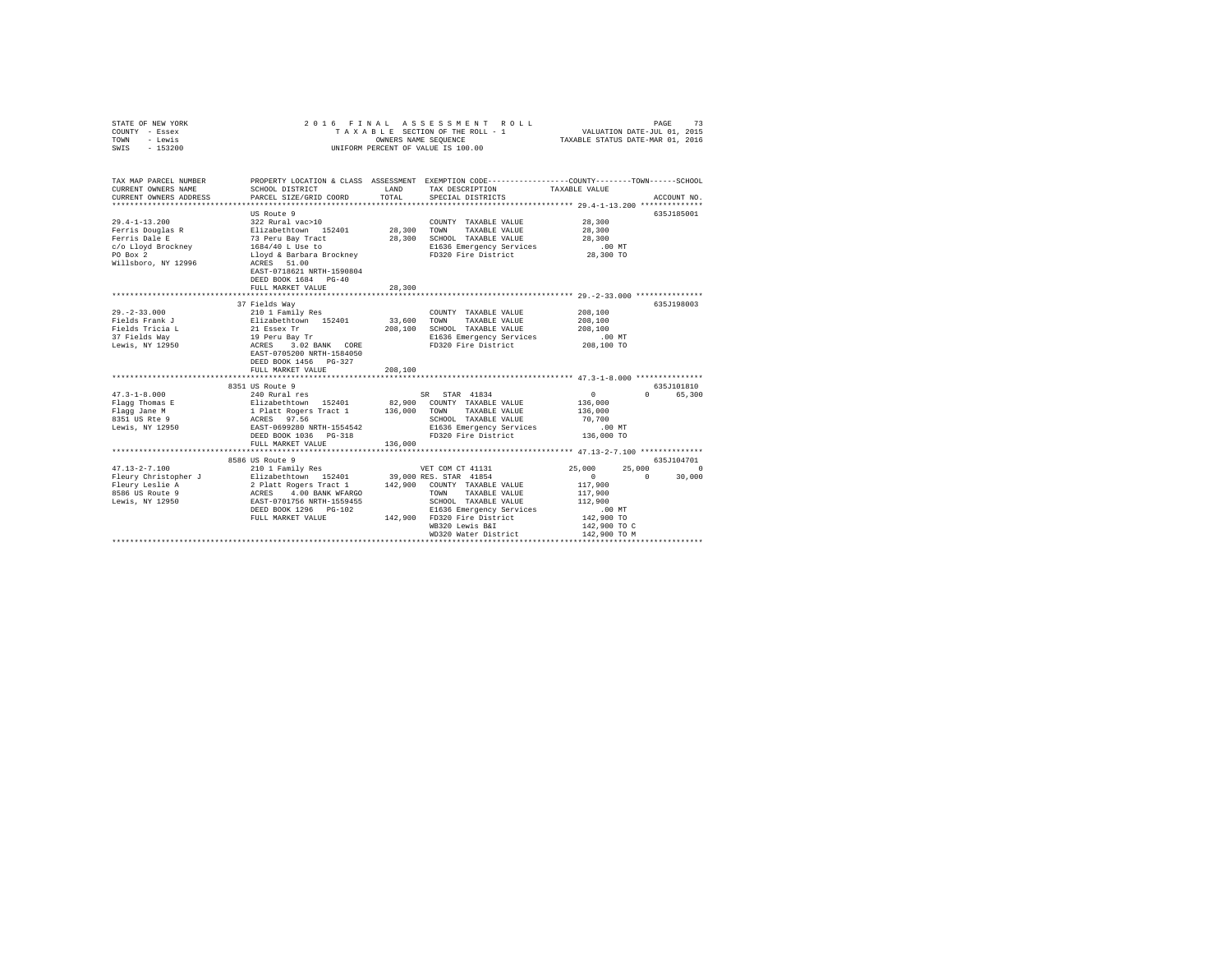| STATE OF NEW YORK<br>COUNTY - Essex<br>TOWN - Lewis<br>SWIS - 153200 | 2016 FINAL                                                                                                                                                                                                                                 |                       | ASSESSMENT ROLL<br>TAXABLE SECTION OF THE ROLL - 1<br>OWNERS NAME SEQUENCE<br>UNIFORM PERCENT OF VALUE IS 100.00   | VALUATION DATE-JUL 01, 2015<br>TAXABLE STATUS DATE-MAR 01, 2016 | PAGE<br>73         |
|----------------------------------------------------------------------|--------------------------------------------------------------------------------------------------------------------------------------------------------------------------------------------------------------------------------------------|-----------------------|--------------------------------------------------------------------------------------------------------------------|-----------------------------------------------------------------|--------------------|
| TAX MAP PARCEL NUMBER<br>CURRENT OWNERS NAME                         | SCHOOL DISTRICT                                                                                                                                                                                                                            | LAND                  | PROPERTY LOCATION & CLASS ASSESSMENT EXEMPTION CODE---------------COUNTY-------TOWN------SCHOOL<br>TAX DESCRIPTION | TAXABLE VALUE                                                   |                    |
| CURRENT OWNERS ADDRESS                                               | PARCEL SIZE/GRID COORD                                                                                                                                                                                                                     | TOTAL                 | SPECIAL DISTRICTS                                                                                                  |                                                                 | ACCOUNT NO.        |
|                                                                      |                                                                                                                                                                                                                                            |                       |                                                                                                                    |                                                                 |                    |
|                                                                      | US Route 9                                                                                                                                                                                                                                 |                       |                                                                                                                    |                                                                 | 635J185001         |
| $29.4 - 1 - 13.200$                                                  |                                                                                                                                                                                                                                            |                       | COUNTY TAXABLE VALUE                                                                                               | 28,300                                                          |                    |
| Ferris Douglas R<br>Ferris Dale E                                    |                                                                                                                                                                                                                                            | 28,300 TOWN           | TAXABLE VALUE<br>28,300 SCHOOL TAXABLE VALUE                                                                       | 28,300<br>28,300                                                |                    |
| c/o Lloyd Brockney                                                   |                                                                                                                                                                                                                                            |                       |                                                                                                                    | .00 MT                                                          |                    |
| PO Box 2                                                             | 322 Rural vac>10<br>Blizabethtown 152401<br>73 Peru Bay Tract<br>1684/40 L Use to<br>Lloyd & Barbara Brockney                                                                                                                              |                       | E1636 Emergency Services<br>FD320 Fire District                                                                    | 28,300 TO                                                       |                    |
| Willsboro, NY 12996                                                  | ACRES 51.00<br>EAST-0718621 NRTH-1590804<br>DEED BOOK 1684 PG-40                                                                                                                                                                           |                       |                                                                                                                    |                                                                 |                    |
|                                                                      | FULL MARKET VALUE                                                                                                                                                                                                                          | 28,300                |                                                                                                                    |                                                                 |                    |
|                                                                      |                                                                                                                                                                                                                                            |                       |                                                                                                                    |                                                                 |                    |
|                                                                      | 37 Fields Way                                                                                                                                                                                                                              |                       |                                                                                                                    |                                                                 | 635J198003         |
| $29. -2 - 33.000$                                                    |                                                                                                                                                                                                                                            |                       | COUNTY TAXABLE VALUE                                                                                               | 208,100                                                         |                    |
| Fields Frank J<br>Fields Tricia L                                    |                                                                                                                                                                                                                                            | 33,600                | TOWN<br>TAXABLE VALUE                                                                                              | 208,100                                                         |                    |
|                                                                      |                                                                                                                                                                                                                                            |                       | 208,100 SCHOOL TAXABLE VALUE<br>E1636 Emergency Services                                                           | 208,100<br>$.00$ MT                                             |                    |
| 37 Fields Way<br>Lewis, NY 12950                                     |                                                                                                                                                                                                                                            |                       | FD320 Fire District                                                                                                | 208,100 TO                                                      |                    |
|                                                                      | 210 1 Family Res<br>Elizabethcom<br>21 Essex Tr<br>29 Peru Bay Tr<br>ACRES 3.02 BANK CORE<br>EACRES 3.02 BANK CORE<br>EAST-0705200 NRTH-1584050<br>DEED BOOK 1456 PG-327                                                                   |                       |                                                                                                                    |                                                                 |                    |
|                                                                      | FULL MARKET VALUE<br>************************                                                                                                                                                                                              | 208,100<br>********** |                                                                                                                    | ************************ 47.3-1-8.000 ****************          |                    |
|                                                                      | 8351 US Route 9                                                                                                                                                                                                                            |                       |                                                                                                                    |                                                                 | 635J101810         |
| $47.3 - 1 - 8.000$                                                   |                                                                                                                                                                                                                                            |                       |                                                                                                                    | $\sim$ 0                                                        | 0 65,300           |
| Flagg Thomas E                                                       |                                                                                                                                                                                                                                            |                       |                                                                                                                    | 136,000                                                         |                    |
| Flagg Jane M                                                         |                                                                                                                                                                                                                                            |                       |                                                                                                                    | 136,000                                                         |                    |
| riagg cane m<br>8351 US Rte 9                                        | 240 Rural res<br>240 Rural res<br>1 Platt Rogers Tract 1 136,000 COUNTY TAXABLE VALUE<br>1 Platt Rogers Tract 1 136,000 COUNTY TAXABLE VALUE<br>2020 RATH-1554542<br>EAST-069920 NRTH-1554542<br>EMPION RURAL ENSIDE NOW TOWN TAXABLE VALU |                       | SCHOOL TAXABLE VALUE                                                                                               | 70,700                                                          |                    |
| Lewis, NY 12950                                                      |                                                                                                                                                                                                                                            |                       | E1636 Emergency Services                                                                                           | $.00$ MT                                                        |                    |
|                                                                      |                                                                                                                                                                                                                                            |                       | FD320 Fire District                                                                                                | 136,000 TO                                                      |                    |
|                                                                      | FULL MARKET VALUE                                                                                                                                                                                                                          | 136,000               |                                                                                                                    |                                                                 |                    |
|                                                                      |                                                                                                                                                                                                                                            |                       |                                                                                                                    |                                                                 |                    |
|                                                                      | 8586 US Route 9                                                                                                                                                                                                                            |                       |                                                                                                                    |                                                                 | 635J104701         |
|                                                                      |                                                                                                                                                                                                                                            |                       |                                                                                                                    | 25,000                                                          | 25,000 0<br>30,000 |
|                                                                      |                                                                                                                                                                                                                                            |                       |                                                                                                                    | $\overline{0}$                                                  | $\sim$ 0           |
|                                                                      |                                                                                                                                                                                                                                            |                       |                                                                                                                    | 117,900<br>117,900                                              |                    |
|                                                                      |                                                                                                                                                                                                                                            |                       |                                                                                                                    | 112,900                                                         |                    |
|                                                                      |                                                                                                                                                                                                                                            |                       | E1636 Emergency Services                                                                                           | .00 MT                                                          |                    |
|                                                                      |                                                                                                                                                                                                                                            |                       | 142,900 FD320 Fire District                                                                                        | 142,900 TO                                                      |                    |
|                                                                      |                                                                                                                                                                                                                                            |                       | WB320 Lewis B&I                                                                                                    | 142,900 TO C                                                    |                    |
|                                                                      |                                                                                                                                                                                                                                            |                       | WD320 Water District                                                                                               | 142,900 TO M                                                    |                    |
|                                                                      |                                                                                                                                                                                                                                            |                       |                                                                                                                    | *********************************                               |                    |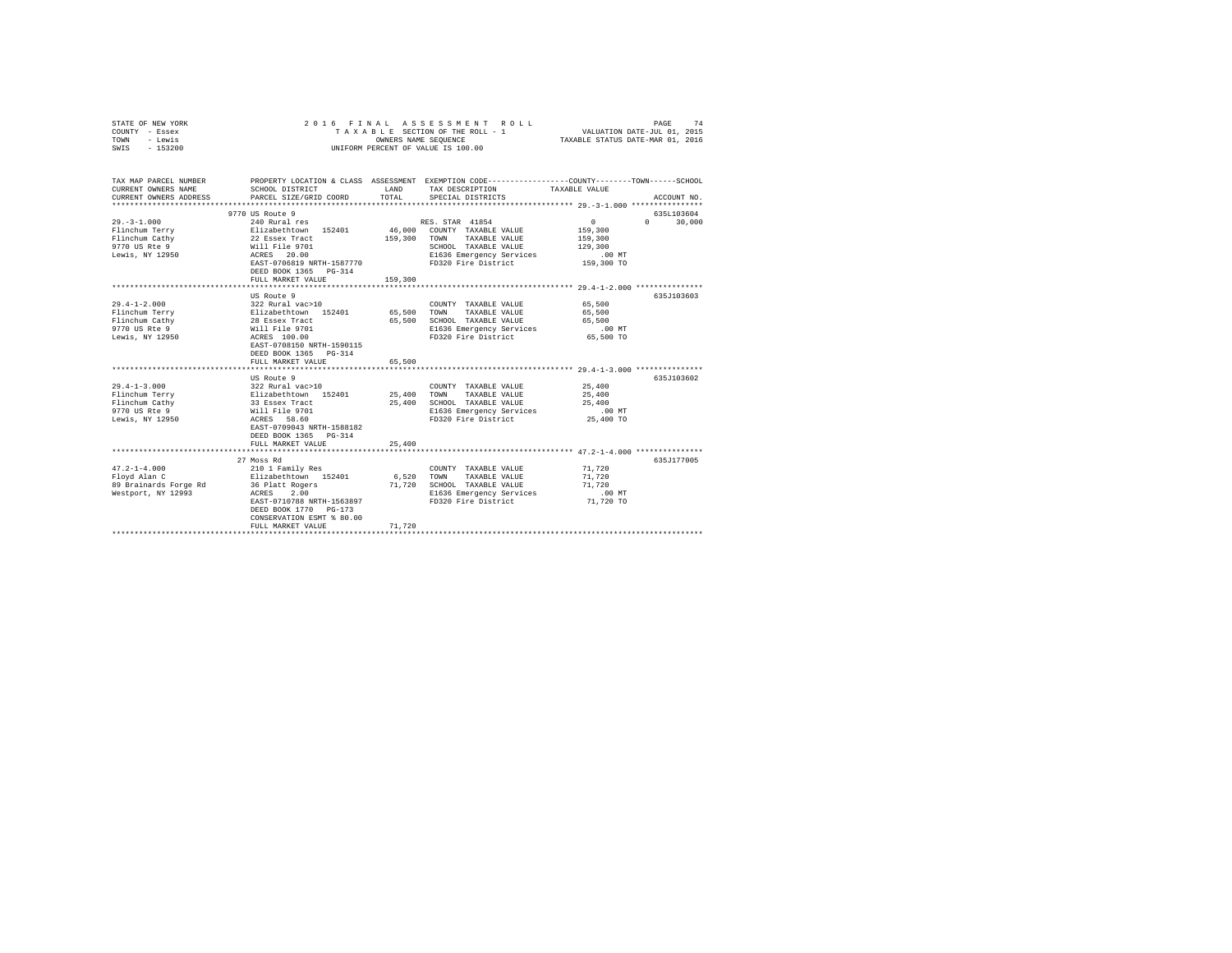| COUNTY - Essex<br>TOWN<br>- Lewis<br>$-153200$<br>SWIS                 |                                                                                 | OWNERS NAME SEQUENCE | TAXABLE SECTION OF THE ROLL - 1<br>UNIFORM PERCENT OF VALUE IS 100.00                                                                  | VALUATION DATE-JUL 01, 2015<br>TAXABLE STATUS DATE-MAR 01, 2016 |             |
|------------------------------------------------------------------------|---------------------------------------------------------------------------------|----------------------|----------------------------------------------------------------------------------------------------------------------------------------|-----------------------------------------------------------------|-------------|
| TAX MAP PARCEL NUMBER<br>CURRENT OWNERS NAME<br>CURRENT OWNERS ADDRESS | SCHOOL DISTRICT<br>PARCEL SIZE/GRID COORD                                       | LAND<br>TOTAL        | PROPERTY LOCATION & CLASS ASSESSMENT EXEMPTION CODE---------------COUNTY-------TOWN-----SCHOOL<br>TAX DESCRIPTION<br>SPECIAL DISTRICTS | TAXABLE VALUE                                                   | ACCOUNT NO. |
|                                                                        | 9770 US Route 9                                                                 |                      |                                                                                                                                        |                                                                 | 635L103604  |
| $29. -3 - 1.000$                                                       | 240 Rural res                                                                   |                      | RES. STAR 41854                                                                                                                        | 0<br>$\Omega$                                                   | 30,000      |
| Flinchum Terry<br>Flinchum Cathy                                       | Elizabethtown 152401                                                            | 159,300              | 46,000 COUNTY TAXABLE VALUE<br>TOWN<br>TAXABLE VALUE                                                                                   | 159,300<br>159,300                                              |             |
| 9770 US Rte 9                                                          | 22 Essex Tract<br>Will File 9701                                                |                      | SCHOOL TAXABLE VALUE                                                                                                                   | 129,300                                                         |             |
| Lewis, NY 12950                                                        | ACRES 20.00                                                                     |                      | E1636 Emergency Services                                                                                                               | .00 MT                                                          |             |
|                                                                        | EAST-0706819 NRTH-1587770                                                       |                      | FD320 Fire District                                                                                                                    | 159,300 TO                                                      |             |
|                                                                        | DEED BOOK 1365 PG-314                                                           |                      |                                                                                                                                        |                                                                 |             |
|                                                                        | FULL MARKET VALUE                                                               | 159,300              |                                                                                                                                        |                                                                 |             |
|                                                                        |                                                                                 |                      |                                                                                                                                        |                                                                 |             |
|                                                                        | US Route 9                                                                      |                      |                                                                                                                                        |                                                                 | 635J103603  |
| $29.4 - 1 - 2.000$                                                     | 322 Rural vac>10                                                                |                      | COUNTY TAXABLE VALUE                                                                                                                   | 65,500                                                          |             |
| Flinchum Terry                                                         | Elizabethtown 152401                                                            | 65,500               | TOWN<br>TAXABLE VALUE                                                                                                                  | 65,500                                                          |             |
| Flinchum Cathy                                                         | 28 Essex Tract<br>Will File 9701                                                | 65,500               | SCHOOL TAXABLE VALUE                                                                                                                   | 65,500                                                          |             |
| 9770 US Rte 9                                                          |                                                                                 |                      | E1636 Emergency Services                                                                                                               | $.00$ MT                                                        |             |
| Lewis, NY 12950                                                        | ACRES 100.00<br>EAST-0708150 NRTH-1590115<br>DEED BOOK 1365 PG-314              |                      | FD320 Fire District                                                                                                                    | 65,500 TO                                                       |             |
|                                                                        | FULL MARKET VALUE                                                               | 65,500               |                                                                                                                                        |                                                                 |             |
|                                                                        |                                                                                 |                      |                                                                                                                                        |                                                                 |             |
|                                                                        | US Route 9                                                                      |                      |                                                                                                                                        |                                                                 | 635J103602  |
| $29.4 - 1 - 3.000$                                                     | 322 Rural vac>10<br>Elizabethtown 152401                                        |                      | COUNTY TAXABLE VALUE                                                                                                                   | 25,400                                                          |             |
| Flinchum Terry                                                         |                                                                                 | 25,400               | TOWN<br>TAXABLE VALUE<br>SCHOOL TAXABLE VALUE                                                                                          | 25,400<br>25,400                                                |             |
| Flinchum Cathy<br>9770 US Rte 9                                        | 33 Essex Tract<br>Will File 9701                                                | 25,400               | E1636 Emergency Services                                                                                                               | $.00$ MT                                                        |             |
|                                                                        | ACRES 58.60                                                                     |                      | FD320 Fire District                                                                                                                    | 25,400 TO                                                       |             |
| Lewis, NY 12950                                                        | EAST-0709043 NRTH-1588182<br>DEED BOOK 1365 PG-314                              |                      |                                                                                                                                        |                                                                 |             |
|                                                                        | FULL MARKET VALUE                                                               | 25,400               |                                                                                                                                        |                                                                 |             |
|                                                                        |                                                                                 |                      |                                                                                                                                        |                                                                 |             |
|                                                                        | 27 Moss Rd                                                                      |                      |                                                                                                                                        |                                                                 | 635J177005  |
| $47.2 - 1 - 4.000$                                                     | 210 1 Family Res                                                                |                      | COUNTY TAXABLE VALUE                                                                                                                   | 71,720                                                          |             |
| Floyd Alan C                                                           | Elizabethtown 152401                                                            | 6,520                | TOWN<br>TAXABLE VALUE                                                                                                                  | 71,720                                                          |             |
| 89 Brainards Forge Rd                                                  | 36 Platt Rogers                                                                 | 71,720               | SCHOOL TAXABLE VALUE                                                                                                                   | 71,720                                                          |             |
| Westport, NY 12993                                                     | ACRES<br>2.00                                                                   |                      | E1636 Emergency Services                                                                                                               | $.00$ MT                                                        |             |
|                                                                        | EAST-0710788 NRTH-1563897<br>DEED BOOK 1770 PG-173<br>CONSERVATION ESMT % 80.00 |                      | FD320 Fire District                                                                                                                    | 71,720 TO                                                       |             |
|                                                                        | FULL MARKET VALUE                                                               | 71,720               |                                                                                                                                        |                                                                 |             |
|                                                                        |                                                                                 |                      |                                                                                                                                        |                                                                 |             |

STATE OF NEW YORK 2 0 1 6 F I N A L A S S E S S M E N T R O L L PAGE 74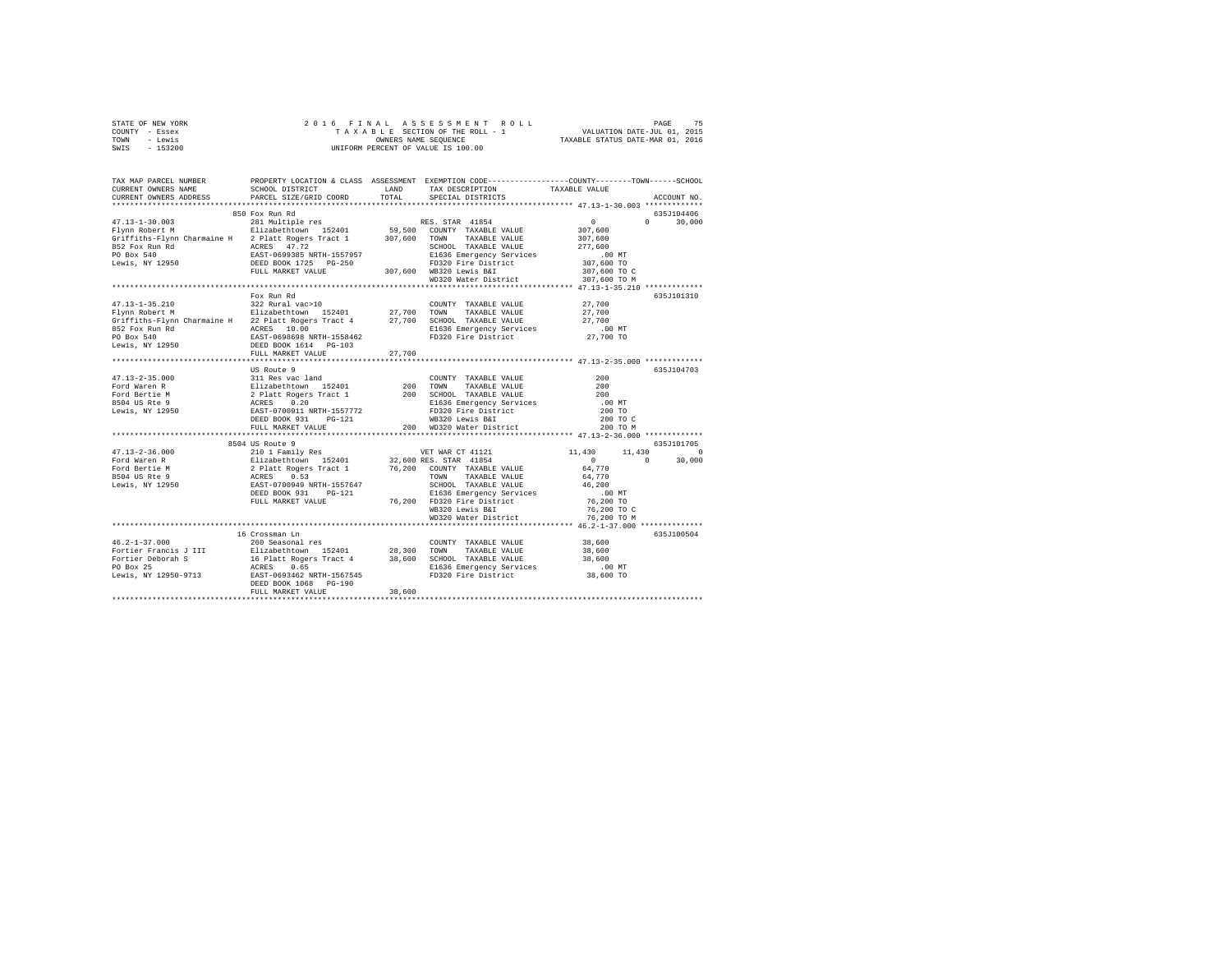| STATE OF NEW YORK                                                                                                                                                                                                                                                                                                                                                                                                                         |                        |        |                                                                                                   |            |               |
|-------------------------------------------------------------------------------------------------------------------------------------------------------------------------------------------------------------------------------------------------------------------------------------------------------------------------------------------------------------------------------------------------------------------------------------------|------------------------|--------|---------------------------------------------------------------------------------------------------|------------|---------------|
| COUNTY - Essex                                                                                                                                                                                                                                                                                                                                                                                                                            |                        |        |                                                                                                   |            |               |
| TOWN - Lewis                                                                                                                                                                                                                                                                                                                                                                                                                              |                        |        |                                                                                                   |            |               |
| SWIS - 153200                                                                                                                                                                                                                                                                                                                                                                                                                             |                        |        |                                                                                                   |            |               |
|                                                                                                                                                                                                                                                                                                                                                                                                                                           |                        |        |                                                                                                   |            |               |
|                                                                                                                                                                                                                                                                                                                                                                                                                                           |                        |        |                                                                                                   |            |               |
|                                                                                                                                                                                                                                                                                                                                                                                                                                           |                        |        |                                                                                                   |            |               |
| TAX MAP PARCEL NUMBER PROPERTY LOCATION & CLASS ASSESSMENT EXEMPTION CODE--------------COUNTY-------TOWN------SCHOOL<br>CURRENT OWNERS NAME SCHOOL DISTRICT LAND TAX DESCRIPTION TAXARLE VALUE                                                                                                                                                                                                                                            |                        |        |                                                                                                   |            |               |
|                                                                                                                                                                                                                                                                                                                                                                                                                                           |                        |        | SCHOOL DISTRICT                         LAND        TAX DESCRIPTION                 TAXABLE VALUE |            |               |
| CURRENT OWNERS ADDRESS                                                                                                                                                                                                                                                                                                                                                                                                                    | PARCEL SIZE/GRID COORD | TOTAL  | SPECIAL DISTRICTS                                                                                 |            | ACCOUNT NO.   |
|                                                                                                                                                                                                                                                                                                                                                                                                                                           |                        |        |                                                                                                   |            |               |
| $\begin{tabular}{l c c c c c} \multicolumn{1}{c}{\textbf{11: }}1-1-1-30.003 & 281 & \text{Multic}} & \text{RES. STAR 41854} & 307,600 \\ \multicolumn{1}{c}{\textbf{F1:}}1-1-30.003 & 281 & \text{Multic}} & \text{E11:} & \text{E12:} & \text{E13:} & \text{S3:} & \text{S3:} & \text{S3:} & \text{S4:} & \text{S5:} \\ \multicolumn{1}{c}{\textbf{F1:}} \textbf{F1:} & \textbf$                                                         |                        |        |                                                                                                   |            |               |
|                                                                                                                                                                                                                                                                                                                                                                                                                                           |                        |        |                                                                                                   |            | 635J104406    |
|                                                                                                                                                                                                                                                                                                                                                                                                                                           |                        |        |                                                                                                   |            | $0 \t 30,000$ |
|                                                                                                                                                                                                                                                                                                                                                                                                                                           |                        |        |                                                                                                   |            |               |
|                                                                                                                                                                                                                                                                                                                                                                                                                                           |                        |        |                                                                                                   |            |               |
|                                                                                                                                                                                                                                                                                                                                                                                                                                           |                        |        |                                                                                                   |            |               |
|                                                                                                                                                                                                                                                                                                                                                                                                                                           |                        |        |                                                                                                   |            |               |
|                                                                                                                                                                                                                                                                                                                                                                                                                                           |                        |        |                                                                                                   |            |               |
|                                                                                                                                                                                                                                                                                                                                                                                                                                           |                        |        |                                                                                                   |            |               |
|                                                                                                                                                                                                                                                                                                                                                                                                                                           |                        |        |                                                                                                   |            |               |
|                                                                                                                                                                                                                                                                                                                                                                                                                                           |                        |        |                                                                                                   |            |               |
|                                                                                                                                                                                                                                                                                                                                                                                                                                           | Fox Run Rd             |        |                                                                                                   |            | 635J101310    |
|                                                                                                                                                                                                                                                                                                                                                                                                                                           |                        |        |                                                                                                   |            |               |
|                                                                                                                                                                                                                                                                                                                                                                                                                                           |                        |        |                                                                                                   |            |               |
|                                                                                                                                                                                                                                                                                                                                                                                                                                           |                        |        |                                                                                                   |            |               |
|                                                                                                                                                                                                                                                                                                                                                                                                                                           |                        |        |                                                                                                   |            |               |
|                                                                                                                                                                                                                                                                                                                                                                                                                                           |                        |        |                                                                                                   |            |               |
|                                                                                                                                                                                                                                                                                                                                                                                                                                           |                        |        |                                                                                                   |            |               |
|                                                                                                                                                                                                                                                                                                                                                                                                                                           |                        |        |                                                                                                   |            |               |
| $\begin{array}{lcccc} \texttt{47.13--1-35.210} & \texttt{row} & \texttt{X} & \texttt{M} & \texttt{X} & \texttt{0} & \texttt{COMNTY} & \texttt{TXABLE} & \texttt{VALUE} & 27,700 \\ \texttt{Flynn Robert M} & \texttt{8121 value} & \texttt{142} & \texttt{143 value} & \texttt{143 value} & 27,700 & \texttt{T} & \texttt{Y} & \texttt{TXABLE} & \texttt{VALUE} & 27,700 \\ \texttt{Griffith} = \texttt{Flynn Charmaine H} & 22 \text{ P$ | FULL MARKET VALUE      | 27,700 |                                                                                                   |            |               |
|                                                                                                                                                                                                                                                                                                                                                                                                                                           |                        |        |                                                                                                   |            |               |
| $\begin{tabular}{l c c c c c} \multicolumn{3}{c}{\textbf{F01:12--2:5.000}} & \multicolumn{3}{c}{US Route 9} & \multicolumn{3}{c}{COUNTY} & \multicolumn{3}{c}{TAXABLE VALUE} & \multicolumn{3}{c}{200} \\ \multicolumn{3}{c}{\textbf{F01:12--2:5.000}} & \multicolumn{3}{c}{US Route 9} & \multicolumn{3}{c}{COUNTY} & \multicolumn{3}{c}{TAXABLE VALUE} & \multicolumn{3}{c}{200} \\ \multicolumn{3}{c}{\textbf{F01:12--2:5.00$          |                        |        |                                                                                                   |            | 635J104703    |
|                                                                                                                                                                                                                                                                                                                                                                                                                                           |                        |        |                                                                                                   |            |               |
|                                                                                                                                                                                                                                                                                                                                                                                                                                           |                        |        |                                                                                                   |            |               |
|                                                                                                                                                                                                                                                                                                                                                                                                                                           |                        |        |                                                                                                   |            |               |
|                                                                                                                                                                                                                                                                                                                                                                                                                                           |                        |        |                                                                                                   |            |               |
|                                                                                                                                                                                                                                                                                                                                                                                                                                           |                        |        |                                                                                                   |            |               |
|                                                                                                                                                                                                                                                                                                                                                                                                                                           |                        |        |                                                                                                   |            |               |
|                                                                                                                                                                                                                                                                                                                                                                                                                                           |                        |        |                                                                                                   |            |               |
|                                                                                                                                                                                                                                                                                                                                                                                                                                           |                        |        |                                                                                                   |            |               |
|                                                                                                                                                                                                                                                                                                                                                                                                                                           |                        |        |                                                                                                   |            |               |
|                                                                                                                                                                                                                                                                                                                                                                                                                                           | 8504 US Route 9        |        |                                                                                                   | 635J101705 |               |
|                                                                                                                                                                                                                                                                                                                                                                                                                                           |                        |        |                                                                                                   |            |               |
|                                                                                                                                                                                                                                                                                                                                                                                                                                           |                        |        |                                                                                                   |            |               |
|                                                                                                                                                                                                                                                                                                                                                                                                                                           |                        |        |                                                                                                   |            |               |
|                                                                                                                                                                                                                                                                                                                                                                                                                                           |                        |        |                                                                                                   |            |               |
|                                                                                                                                                                                                                                                                                                                                                                                                                                           |                        |        |                                                                                                   |            |               |
|                                                                                                                                                                                                                                                                                                                                                                                                                                           |                        |        |                                                                                                   |            |               |
|                                                                                                                                                                                                                                                                                                                                                                                                                                           |                        |        |                                                                                                   |            |               |
|                                                                                                                                                                                                                                                                                                                                                                                                                                           |                        |        |                                                                                                   |            |               |
|                                                                                                                                                                                                                                                                                                                                                                                                                                           |                        |        |                                                                                                   |            |               |
|                                                                                                                                                                                                                                                                                                                                                                                                                                           |                        |        |                                                                                                   |            |               |
|                                                                                                                                                                                                                                                                                                                                                                                                                                           |                        |        |                                                                                                   |            |               |
|                                                                                                                                                                                                                                                                                                                                                                                                                                           | 16 Crossman Ln         |        |                                                                                                   |            | 635J100504    |
| $46.2 - 1 - 37.000$                                                                                                                                                                                                                                                                                                                                                                                                                       | 260 Seasonal res       |        |                                                                                                   |            |               |
|                                                                                                                                                                                                                                                                                                                                                                                                                                           |                        |        |                                                                                                   |            |               |
|                                                                                                                                                                                                                                                                                                                                                                                                                                           |                        |        |                                                                                                   |            |               |
|                                                                                                                                                                                                                                                                                                                                                                                                                                           |                        |        |                                                                                                   |            |               |
|                                                                                                                                                                                                                                                                                                                                                                                                                                           |                        |        |                                                                                                   |            |               |
|                                                                                                                                                                                                                                                                                                                                                                                                                                           |                        |        |                                                                                                   |            |               |
| $\begin{tabular}{l c c c c c c c c} \hline \multicolumn{3}{c}{\textbf{Fortier Francis J III}} & \multicolumn{3}{c}{\textbf{28,600}} & \multicolumn{3}{c}{\textbf{COUNTY}} & \multicolumn{3}{c}{\textbf{YANABLE VALUES}} & 38,600 \\ \hline \multicolumn{3}{c}{\textbf{Fortier Denors N}} & 31 & 11 & 16 & 11 & 12401 & 28,300 & 700 & 7XXABLE VALUE & 38,600 \\ \hline \multicolumn{3}{c}{\textbf{Fortier Debrach}} & 16 & 11 &$          | FULL MARKET VALUE      | 38,600 |                                                                                                   |            |               |
|                                                                                                                                                                                                                                                                                                                                                                                                                                           |                        |        |                                                                                                   |            |               |
|                                                                                                                                                                                                                                                                                                                                                                                                                                           |                        |        |                                                                                                   |            |               |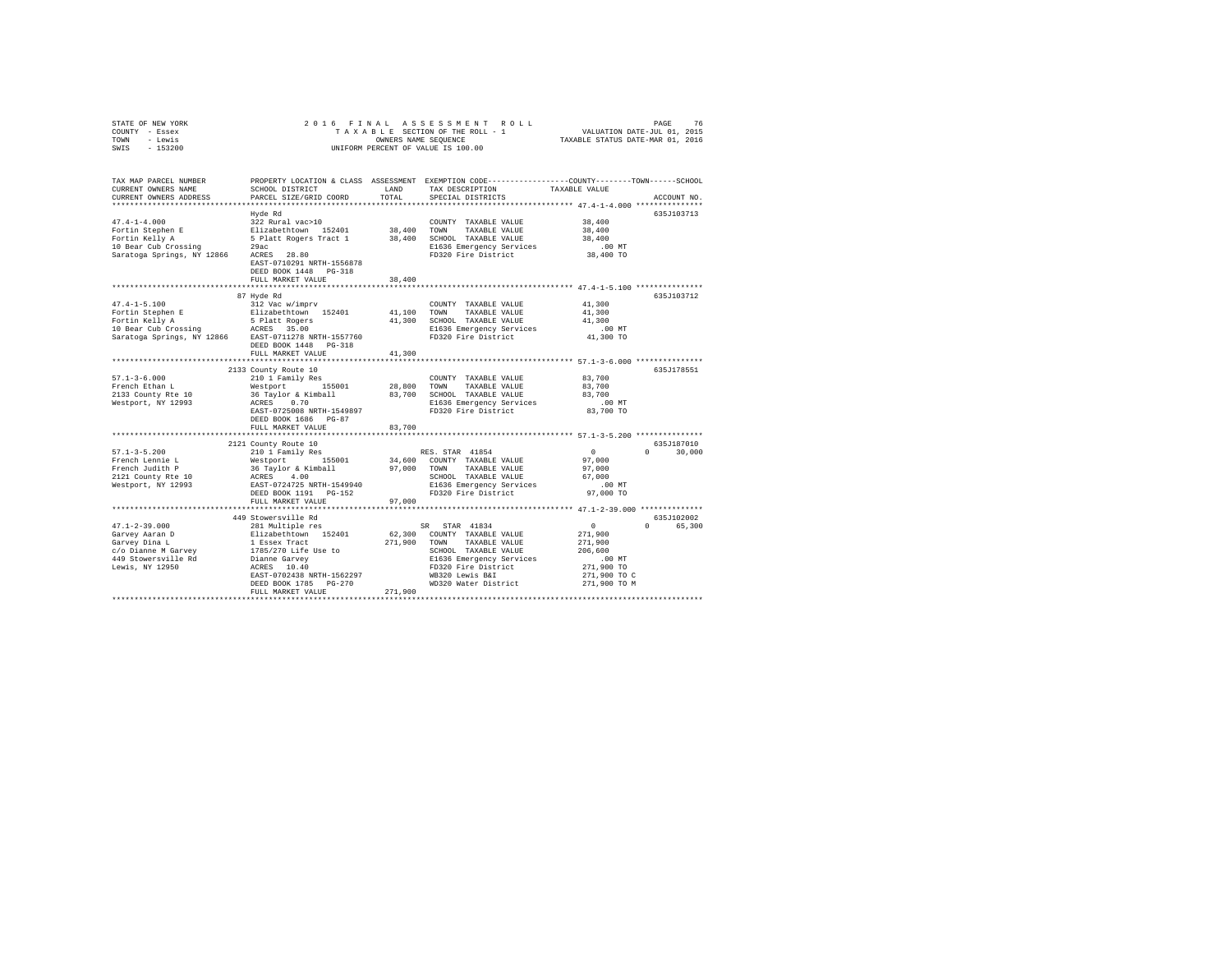| TOWN<br>- Lewis<br>$-153200$<br>SWIS                 |                                                                   | OWNERS NAME SEQUENCE | UNIFORM PERCENT OF VALUE IS 100.00                                                                                 | TAXABLE STATUS DATE-MAR 01, 2016 |                    |
|------------------------------------------------------|-------------------------------------------------------------------|----------------------|--------------------------------------------------------------------------------------------------------------------|----------------------------------|--------------------|
| TAX MAP PARCEL NUMBER<br>CURRENT OWNERS NAME         | SCHOOL DISTRICT                                                   | LAND                 | PROPERTY LOCATION & CLASS ASSESSMENT EXEMPTION CODE---------------COUNTY-------TOWN------SCHOOL<br>TAX DESCRIPTION | TAXABLE VALUE                    |                    |
| CURRENT OWNERS ADDRESS                               | PARCEL SIZE/GRID COORD                                            | TOTAL                | SPECIAL DISTRICTS                                                                                                  |                                  | ACCOUNT NO.        |
|                                                      |                                                                   |                      |                                                                                                                    |                                  | 635J103713         |
| $47.4 - 1 - 4.000$                                   | Hyde Rd<br>322 Rural vac>10                                       |                      | COUNTY TAXABLE VALUE                                                                                               | 38,400                           |                    |
| Fortin Stephen E                                     | Elizabethtown 152401                                              | 38,400               | TOWN<br>TAXABLE VALUE                                                                                              | 38,400                           |                    |
| Fortin Kelly A                                       | 5 Platt Rogers Tract 1                                            | 38,400               | SCHOOL TAXABLE VALUE                                                                                               | 38,400                           |                    |
| 10 Bear Cub Crossing                                 | 29ac                                                              |                      | E1636 Emergency Services                                                                                           | $.00$ MT                         |                    |
| Saratoga Springs, NY 12866                           | ACRES 28.80<br>EAST-0710291 NRTH-1556878<br>DEED BOOK 1448 PG-318 |                      | FD320 Fire District                                                                                                | 38,400 TO                        |                    |
|                                                      | FULL MARKET VALUE                                                 | 38,400               |                                                                                                                    |                                  |                    |
|                                                      |                                                                   |                      |                                                                                                                    |                                  |                    |
| $47.4 - 1 - 5.100$                                   | 87 Hyde Rd                                                        |                      |                                                                                                                    | 41,300                           | 635J103712         |
|                                                      | 312 Vac w/imprv<br>Elizabethtown 152401                           | 41,100               | COUNTY TAXABLE VALUE<br>TOWN<br>TAXABLE VALUE                                                                      | 41,300                           |                    |
| Fortin Stephen E<br>Fortin Kelly A                   | 5 Platt Rogers                                                    | 41,300               | SCHOOL TAXABLE VALUE                                                                                               | 41,300                           |                    |
| 10 Bear Cub Crossing                                 | ACRES 35.00                                                       |                      | E1636 Emergency Services                                                                                           | $.00$ MT                         |                    |
| Saratoga Springs, NY 12866 EAST-0711278 NRTH-1557760 | DEED BOOK 1448 PG-318                                             |                      | FD320 Fire District                                                                                                | 41,300 TO                        |                    |
|                                                      | FULL MARKET VALUE                                                 | 41,300               |                                                                                                                    |                                  |                    |
|                                                      | 2133 County Route 10                                              |                      |                                                                                                                    |                                  | 635J178551         |
| $57.1 - 3 - 6.000$                                   | 210 1 Family Res                                                  |                      | COUNTY TAXABLE VALUE                                                                                               | 83,700                           |                    |
| French Ethan L                                       | Westport 155001                                                   | 28,800               | TOWN<br>TAXABLE VALUE                                                                                              | 83,700                           |                    |
| 2133 County Rte 10                                   | 36 Taylor & Kimball                                               | 83,700               | SCHOOL TAXABLE VALUE                                                                                               | 83,700                           |                    |
| Westport, NY 12993                                   | ACRES 0.70                                                        |                      | E1636 Emergency Services                                                                                           | .00MT                            |                    |
|                                                      | EAST-0725008 NRTH-1549897                                         |                      | FD320 Fire District                                                                                                | 83,700 TO                        |                    |
|                                                      | DEED BOOK 1686 PG-87                                              |                      |                                                                                                                    |                                  |                    |
|                                                      | FULL MARKET VALUE<br>********************************             | 83,700               |                                                                                                                    |                                  |                    |
|                                                      | 2121 County Route 10                                              |                      |                                                                                                                    |                                  | 635J187010         |
| $57.1 - 3 - 5.200$                                   | 210 1 Family Res                                                  |                      | RES. STAR 41854                                                                                                    | $\sim$ 0                         | $\Omega$<br>30,000 |
| French Lennie L                                      | Westport 155001                                                   |                      | 34,600 COUNTY TAXABLE VALUE                                                                                        | 97,000                           |                    |
| French Judith P                                      | 36 Taylor & Kimball                                               | 97,000               | TOWN<br>TAXABLE VALUE                                                                                              | 97,000                           |                    |
| 2121 County Rte 10                                   | ACRES 4.00                                                        |                      | SCHOOL TAXABLE VALUE                                                                                               | 67,000                           |                    |
| Westport, NY 12993                                   | EAST-0724725 NRTH-1549940                                         |                      | E1636 Emergency Services<br>FD320 Fire District                                                                    | $.00$ MT<br>97,000 TO            |                    |
|                                                      | DEED BOOK 1191 PG-152<br>FULL MARKET VALUE                        | 97,000               |                                                                                                                    |                                  |                    |
|                                                      |                                                                   |                      | ***************************** 47.1-2-39.000 **************                                                         |                                  |                    |
|                                                      | 449 Stowersville Rd                                               |                      |                                                                                                                    |                                  | 635J102002         |
| $47.1 - 2 - 39.000$                                  | 281 Multiple res                                                  |                      | SR STAR 41834                                                                                                      | $\sim$                           | 65,300             |
| Garvey Aaran D                                       | Elizabethtown 152401                                              |                      | 62,300 COUNTY TAXABLE VALUE                                                                                        | 271,900                          |                    |
| Garvey Dina L                                        | 1 Essex Tract                                                     | 271,900              | TOWN<br>TAXABLE VALUE                                                                                              | 271,900                          |                    |
| c/o Dianne M Garvey                                  | 1785/270 Life Use to                                              |                      | SCHOOL TAXABLE VALUE                                                                                               | 206,600                          |                    |
| 449 Stowersville Rd<br>Lewis, NY 12950               | Dianne Garvey<br>ACRES 10.40                                      |                      | E1636 Emergency Services<br>FD320 Fire District                                                                    | $.00$ MT<br>271,900 TO           |                    |
|                                                      | EAST-0702438 NRTH-1562297                                         |                      | WB320 Lewis B&I                                                                                                    | 271,900 TO C                     |                    |
|                                                      | DEED BOOK 1785 PG-270                                             |                      | WD320 Water District                                                                                               | 271,900 TO M                     |                    |
|                                                      | FULL MARKET VALUE                                                 | 271,900              |                                                                                                                    |                                  |                    |
|                                                      |                                                                   |                      |                                                                                                                    |                                  |                    |

STATE OF NEW YORK 2 0 1 6 F I N A L A S S E S S M E N T R O L L PAGE 76 COUNTY - Essex T A X A B L E SECTION OF THE ROLL - 1 VALUATION DATE-JUL 01, 2015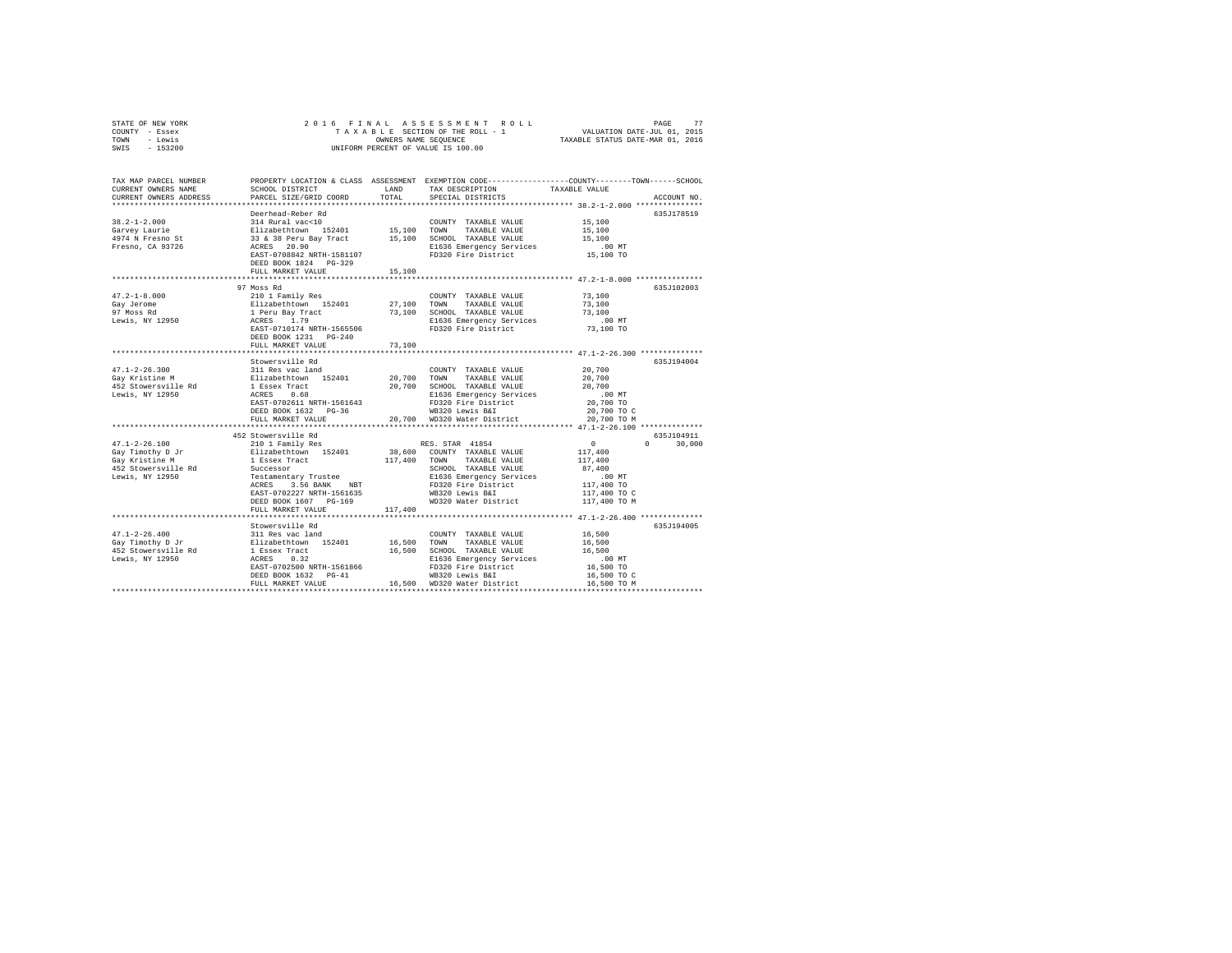|      | STATE OF NEW YORK |  | 2016 FINAL ASSESSMENT ROLL         | 77<br>PAGE                       |  |
|------|-------------------|--|------------------------------------|----------------------------------|--|
|      | COUNTY - Essex    |  | TAXABLE SECTION OF THE ROLL - 1    | VALUATION DATE-JUL 01, 2015      |  |
| TOWN | - Lewis           |  | OWNERS NAME SEOUENCE               | TAXABLE STATUS DATE-MAR 01, 2016 |  |
| SWIS | - 153200          |  | UNIFORM PERCENT OF VALUE IS 100.00 |                                  |  |

| TAX MAP PARCEL NUMBER<br>CURRENT OWNERS NAME<br>CURRENT OWNERS ADDRESS | SCHOOL DISTRICT<br>PARCEL SIZE/GRID COORD                                   | LAND<br>TOTAL | TAX DESCRIPTION<br>SPECIAL DISTRICTS                      | PROPERTY LOCATION & CLASS ASSESSMENT EXEMPTION CODE---------------COUNTY-------TOWN-----SCHOOL<br>TAXABLE VALUE<br>ACCOUNT NO. |  |
|------------------------------------------------------------------------|-----------------------------------------------------------------------------|---------------|-----------------------------------------------------------|--------------------------------------------------------------------------------------------------------------------------------|--|
|                                                                        |                                                                             |               |                                                           |                                                                                                                                |  |
|                                                                        | Deerhead-Reber Rd                                                           |               |                                                           | 635J178519                                                                                                                     |  |
| $38.2 - 1 - 2.000$                                                     | 314 Rural vac<10                                                            |               | COUNTY TAXABLE VALUE                                      | 15,100                                                                                                                         |  |
| Garvey Laurie                                                          | Elizabethtown 152401<br>33 & 38 Peru Bay Tract                              |               | 15,100 TOWN TAXABLE VALUE                                 | 15,100                                                                                                                         |  |
| 4974 N Fresno St                                                       |                                                                             |               | 15,100 SCHOOL TAXABLE VALUE                               | 15,100                                                                                                                         |  |
| Fresno, CA 93726                                                       | ACRES 20.90                                                                 |               | E1636 Emergency Services                                  | $.00$ MT                                                                                                                       |  |
|                                                                        | EAST-0708842 NRTH-1581107                                                   |               | FD320 Fire District                                       | 15,100 TO                                                                                                                      |  |
|                                                                        | DEED BOOK 1824 PG-329                                                       |               |                                                           |                                                                                                                                |  |
|                                                                        | FULL MARKET VALUE                                                           | 15,100        |                                                           |                                                                                                                                |  |
|                                                                        |                                                                             |               |                                                           |                                                                                                                                |  |
|                                                                        | 97 Moss Rd                                                                  |               |                                                           | 635J102003                                                                                                                     |  |
| $47.2 - 1 - 8.000$                                                     | 210 1 Family Res                                                            |               | COUNTY TAXABLE VALUE                                      | 73,100                                                                                                                         |  |
| Gay Jerome                                                             |                                                                             |               | TOWN<br>TAXABLE VALUE                                     | 73,100                                                                                                                         |  |
| 97 Moss Rd                                                             | Elizabethtown 152401 27,100<br>1 Peru Bay Tract 73,100<br>ACRES 1.79 73,100 |               | 73.100 SCHOOL TAXABLE VALUE                               | 73,100                                                                                                                         |  |
| Lewis, NY 12950                                                        |                                                                             |               | E1636 Emergency Services                                  | $.00$ MT                                                                                                                       |  |
|                                                                        | EAST-0710174 NRTH-1565506                                                   |               | FD320 Fire District                                       | 73,100 TO                                                                                                                      |  |
|                                                                        | DEED BOOK 1231 PG-240                                                       |               |                                                           |                                                                                                                                |  |
|                                                                        | FULL MARKET VALUE                                                           | 73,100        |                                                           |                                                                                                                                |  |
|                                                                        |                                                                             |               |                                                           |                                                                                                                                |  |
|                                                                        | Stowersville Rd                                                             |               |                                                           | 635J194004                                                                                                                     |  |
| $47.1 - 2 - 26.300$                                                    | 311 Res vac land                                                            |               | COUNTY TAXABLE VALUE                                      | 20,700                                                                                                                         |  |
| Gay Kristine M                                                         | Elizabethtown 152401 20,700 TOWN                                            |               | TAXABLE VALUE                                             | 20,700                                                                                                                         |  |
| 452 Stowersville Rd                                                    | 1 Essex Tract                                                               |               | 20,700 SCHOOL TAXABLE VALUE                               | 20,700                                                                                                                         |  |
| Lewis, NY 12950                                                        | ACRES<br>0.68                                                               |               | E1636 Emergency Services                                  | $.00$ MT                                                                                                                       |  |
|                                                                        | EAST-0702611 NRTH-1561643                                                   |               | FD320 Fire District                                       | 20,700 TO                                                                                                                      |  |
|                                                                        | DEED BOOK 1632    PG-36                                                     |               | WB320 Lewis B&I                                           | 20,700 TO C                                                                                                                    |  |
|                                                                        | FULL MARKET VALUE                                                           |               | 20.700 WD320 Water District                               | 20,700 TO M                                                                                                                    |  |
|                                                                        | ************************                                                    |               |                                                           |                                                                                                                                |  |
|                                                                        | 452 Stowersville Rd                                                         |               |                                                           | 635J104911                                                                                                                     |  |
| $47.1 - 2 - 26.100$                                                    | 210 1 Family Res<br>Elizabethtown 152401                                    |               | RES. STAR 41854                                           | $\sim$ 0<br>30,000<br>$\mathbf{r}$                                                                                             |  |
| Gay Timothy D Jr                                                       |                                                                             |               | 38,600 COUNTY TAXABLE VALUE                               | 117,400                                                                                                                        |  |
| Gav Kristine M                                                         | 1 Essex Tract<br>Successor                                                  | 117,400 TOWN  | TAXABLE VALUE                                             | 117,400                                                                                                                        |  |
| 452 Stowersville Rd                                                    |                                                                             |               | SCHOOL TAXABLE VALUE                                      | 87,400                                                                                                                         |  |
| Lewis, NY 12950                                                        | Testamentary Trustee                                                        |               | E1636 Emergency Services                                  | $.00$ MT                                                                                                                       |  |
|                                                                        | ACRES<br>3.56 BANK NBT                                                      |               | FD320 Fire District                                       | 117,400 TO                                                                                                                     |  |
|                                                                        | EAST-0702227 NRTH-1561635<br>DEED BOOK 1607 PG-169                          |               | WB320 Lewis B&I<br>WD320 Water District                   | 117,400 TO C                                                                                                                   |  |
|                                                                        | FULL MARKET VALUE                                                           |               |                                                           | 117,400 TO M                                                                                                                   |  |
|                                                                        |                                                                             | 117,400       |                                                           |                                                                                                                                |  |
|                                                                        | Stowersville Rd                                                             |               |                                                           | 635J194005                                                                                                                     |  |
| $47.1 - 2 - 26.400$                                                    |                                                                             |               | COUNTY TAXABLE VALUE                                      | 16,500                                                                                                                         |  |
|                                                                        | 311 Res vac land<br>In 152401 Elizabethtown 152401                          |               |                                                           |                                                                                                                                |  |
| Gay Timothy D Jr                                                       |                                                                             |               | 16,500 TOWN TAXABLE VALUE<br>16,500 SCHOOL TAXABLE VALUE  | 16,500<br>16,500                                                                                                               |  |
|                                                                        |                                                                             |               | E1636 Emergency Services                                  | $.00$ MT                                                                                                                       |  |
|                                                                        | EAST-0702500 NRTH-1561866                                                   |               |                                                           | 16,500 TO                                                                                                                      |  |
|                                                                        | DEED BOOK 1632 PG-41                                                        |               | FD320 Fire District<br>ND320 Louis Bil<br>WB320 Lewis B&I | 16,500 TO C                                                                                                                    |  |
|                                                                        | FULL MARKET VALUE                                                           |               | 16,500 WD320 Water District                               | 16,500 TO M                                                                                                                    |  |
|                                                                        |                                                                             |               |                                                           |                                                                                                                                |  |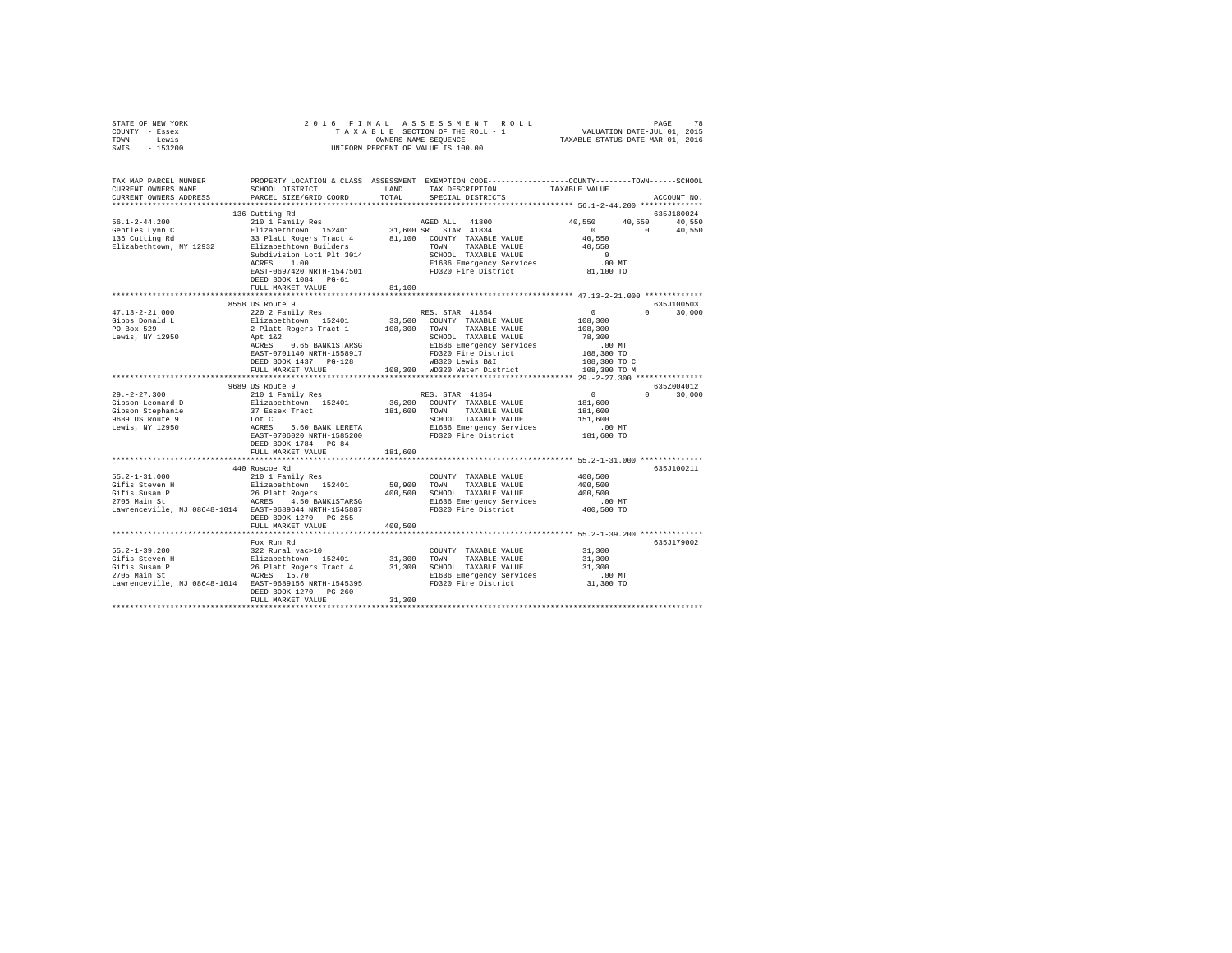| STATE OF NEW YORK                                                                                                                                                                                                                                                                                                                                                                                                            |                              |         |                         |                                                                                                                                                                                  |  |
|------------------------------------------------------------------------------------------------------------------------------------------------------------------------------------------------------------------------------------------------------------------------------------------------------------------------------------------------------------------------------------------------------------------------------|------------------------------|---------|-------------------------|----------------------------------------------------------------------------------------------------------------------------------------------------------------------------------|--|
| COUNTY - Essex                                                                                                                                                                                                                                                                                                                                                                                                               |                              |         |                         |                                                                                                                                                                                  |  |
| TOWN - Lewis                                                                                                                                                                                                                                                                                                                                                                                                                 |                              |         |                         |                                                                                                                                                                                  |  |
| SWIS - 153200                                                                                                                                                                                                                                                                                                                                                                                                                |                              |         |                         |                                                                                                                                                                                  |  |
|                                                                                                                                                                                                                                                                                                                                                                                                                              |                              |         |                         |                                                                                                                                                                                  |  |
|                                                                                                                                                                                                                                                                                                                                                                                                                              |                              |         |                         | TAX MAP PARCEL NUMBER     PROPERTY LOCATION & CLASS ASSESSMENT EXEMPTION CODE--------------C-COUNTY-------TOWN------SCHOOL DISTRICT     LAND   TAX DESCRIPTION     TAXABLE VALUE |  |
|                                                                                                                                                                                                                                                                                                                                                                                                                              |                              |         |                         |                                                                                                                                                                                  |  |
| CURRENT OWNERS ADDRESS                                                                                                                                                                                                                                                                                                                                                                                                       | PARCEL SIZE/GRID COORD       |         | TOTAL SPECIAL DISTRICTS | ACCOUNT NO.                                                                                                                                                                      |  |
|                                                                                                                                                                                                                                                                                                                                                                                                                              |                              |         |                         |                                                                                                                                                                                  |  |
|                                                                                                                                                                                                                                                                                                                                                                                                                              | 136 Cutting Rd               |         |                         | 635J180024                                                                                                                                                                       |  |
|                                                                                                                                                                                                                                                                                                                                                                                                                              |                              |         |                         |                                                                                                                                                                                  |  |
|                                                                                                                                                                                                                                                                                                                                                                                                                              |                              |         |                         |                                                                                                                                                                                  |  |
|                                                                                                                                                                                                                                                                                                                                                                                                                              |                              |         |                         |                                                                                                                                                                                  |  |
|                                                                                                                                                                                                                                                                                                                                                                                                                              |                              |         |                         |                                                                                                                                                                                  |  |
|                                                                                                                                                                                                                                                                                                                                                                                                                              |                              |         |                         |                                                                                                                                                                                  |  |
|                                                                                                                                                                                                                                                                                                                                                                                                                              | ACRES 1.00                   |         |                         |                                                                                                                                                                                  |  |
|                                                                                                                                                                                                                                                                                                                                                                                                                              |                              |         |                         |                                                                                                                                                                                  |  |
|                                                                                                                                                                                                                                                                                                                                                                                                                              |                              |         |                         |                                                                                                                                                                                  |  |
|                                                                                                                                                                                                                                                                                                                                                                                                                              | FULL MARKET VALUE            | 81,100  |                         |                                                                                                                                                                                  |  |
|                                                                                                                                                                                                                                                                                                                                                                                                                              |                              |         |                         |                                                                                                                                                                                  |  |
|                                                                                                                                                                                                                                                                                                                                                                                                                              |                              |         |                         | 635J100503                                                                                                                                                                       |  |
| $\begin{tabular}{l c c c c} \multicolumn{4}{c}{\textbf{47.13--2-21.000}} & \multicolumn{4}{c}{\textbf{55.8 UIS}} & \multicolumn{4}{c}{\textbf{55.8 UIS}} & \multicolumn{4}{c}{\textbf{55.8 UIS}} & \multicolumn{4}{c}{\textbf{55.8 UIS}} & \multicolumn{4}{c}{\textbf{55.8 UIS}} & \multicolumn{4}{c}{\textbf{55.8 UIS}} & \multicolumn{4}{c}{\textbf{55.8 UIS}} & \multicolumn{4}{c}{\textbf{55.8 UIS}} & \multicolumn{4}{$ | 8558 US Route 9              |         |                         |                                                                                                                                                                                  |  |
|                                                                                                                                                                                                                                                                                                                                                                                                                              |                              |         |                         | $0 \t 30,000$                                                                                                                                                                    |  |
|                                                                                                                                                                                                                                                                                                                                                                                                                              |                              |         |                         |                                                                                                                                                                                  |  |
|                                                                                                                                                                                                                                                                                                                                                                                                                              |                              |         |                         |                                                                                                                                                                                  |  |
|                                                                                                                                                                                                                                                                                                                                                                                                                              |                              |         |                         |                                                                                                                                                                                  |  |
|                                                                                                                                                                                                                                                                                                                                                                                                                              |                              |         |                         |                                                                                                                                                                                  |  |
|                                                                                                                                                                                                                                                                                                                                                                                                                              |                              |         |                         |                                                                                                                                                                                  |  |
|                                                                                                                                                                                                                                                                                                                                                                                                                              |                              |         |                         |                                                                                                                                                                                  |  |
|                                                                                                                                                                                                                                                                                                                                                                                                                              |                              |         |                         |                                                                                                                                                                                  |  |
|                                                                                                                                                                                                                                                                                                                                                                                                                              | **************************** |         |                         |                                                                                                                                                                                  |  |
|                                                                                                                                                                                                                                                                                                                                                                                                                              | 9689 US Route 9              |         |                         | 635Z004012                                                                                                                                                                       |  |
|                                                                                                                                                                                                                                                                                                                                                                                                                              |                              |         |                         | $0 \t 30.000$                                                                                                                                                                    |  |
|                                                                                                                                                                                                                                                                                                                                                                                                                              |                              |         |                         |                                                                                                                                                                                  |  |
|                                                                                                                                                                                                                                                                                                                                                                                                                              |                              |         |                         |                                                                                                                                                                                  |  |
|                                                                                                                                                                                                                                                                                                                                                                                                                              |                              |         |                         |                                                                                                                                                                                  |  |
|                                                                                                                                                                                                                                                                                                                                                                                                                              |                              |         |                         |                                                                                                                                                                                  |  |
|                                                                                                                                                                                                                                                                                                                                                                                                                              |                              |         |                         |                                                                                                                                                                                  |  |
|                                                                                                                                                                                                                                                                                                                                                                                                                              | DEED BOOK 1784 PG-84         |         |                         |                                                                                                                                                                                  |  |
|                                                                                                                                                                                                                                                                                                                                                                                                                              | FULL MARKET VALUE            | 181,600 |                         |                                                                                                                                                                                  |  |
|                                                                                                                                                                                                                                                                                                                                                                                                                              |                              |         |                         | ******************************* 55.2-1-31.000 *************                                                                                                                      |  |
|                                                                                                                                                                                                                                                                                                                                                                                                                              | 440 Roscoe Rd                |         |                         | 635J100211                                                                                                                                                                       |  |
|                                                                                                                                                                                                                                                                                                                                                                                                                              |                              |         |                         |                                                                                                                                                                                  |  |
|                                                                                                                                                                                                                                                                                                                                                                                                                              |                              |         |                         |                                                                                                                                                                                  |  |
|                                                                                                                                                                                                                                                                                                                                                                                                                              |                              |         |                         |                                                                                                                                                                                  |  |
| 55.2-1-31.000<br>Solomon Hoster Marily Res COUNTY TAXABLE VALUE 400,500<br>Gifis Steven H 210 1 Family Res 400,500<br>2705 Main P 26 Platt Rogers 400,500<br>2705 Main St<br>Lawrenceville, NJ 08648-1014<br>EAST-0689644 RES 4.50 BANK1ST                                                                                                                                                                                   |                              |         |                         |                                                                                                                                                                                  |  |
|                                                                                                                                                                                                                                                                                                                                                                                                                              |                              |         |                         |                                                                                                                                                                                  |  |
|                                                                                                                                                                                                                                                                                                                                                                                                                              |                              |         |                         |                                                                                                                                                                                  |  |
|                                                                                                                                                                                                                                                                                                                                                                                                                              | DEED BOOK 1270 PG-255        |         |                         |                                                                                                                                                                                  |  |
|                                                                                                                                                                                                                                                                                                                                                                                                                              | FULL MARKET VALUE            | 400,500 |                         |                                                                                                                                                                                  |  |
|                                                                                                                                                                                                                                                                                                                                                                                                                              |                              |         |                         |                                                                                                                                                                                  |  |
|                                                                                                                                                                                                                                                                                                                                                                                                                              | Fox Run Rd                   |         |                         | 635J179002                                                                                                                                                                       |  |
|                                                                                                                                                                                                                                                                                                                                                                                                                              |                              |         |                         |                                                                                                                                                                                  |  |
|                                                                                                                                                                                                                                                                                                                                                                                                                              |                              |         |                         |                                                                                                                                                                                  |  |
|                                                                                                                                                                                                                                                                                                                                                                                                                              |                              |         |                         |                                                                                                                                                                                  |  |
|                                                                                                                                                                                                                                                                                                                                                                                                                              |                              |         |                         |                                                                                                                                                                                  |  |
|                                                                                                                                                                                                                                                                                                                                                                                                                              |                              |         |                         |                                                                                                                                                                                  |  |
|                                                                                                                                                                                                                                                                                                                                                                                                                              | DEED BOOK 1270 PG-260        |         |                         |                                                                                                                                                                                  |  |
|                                                                                                                                                                                                                                                                                                                                                                                                                              | FULL MARKET VALUE            | 31,300  |                         |                                                                                                                                                                                  |  |
|                                                                                                                                                                                                                                                                                                                                                                                                                              |                              |         |                         |                                                                                                                                                                                  |  |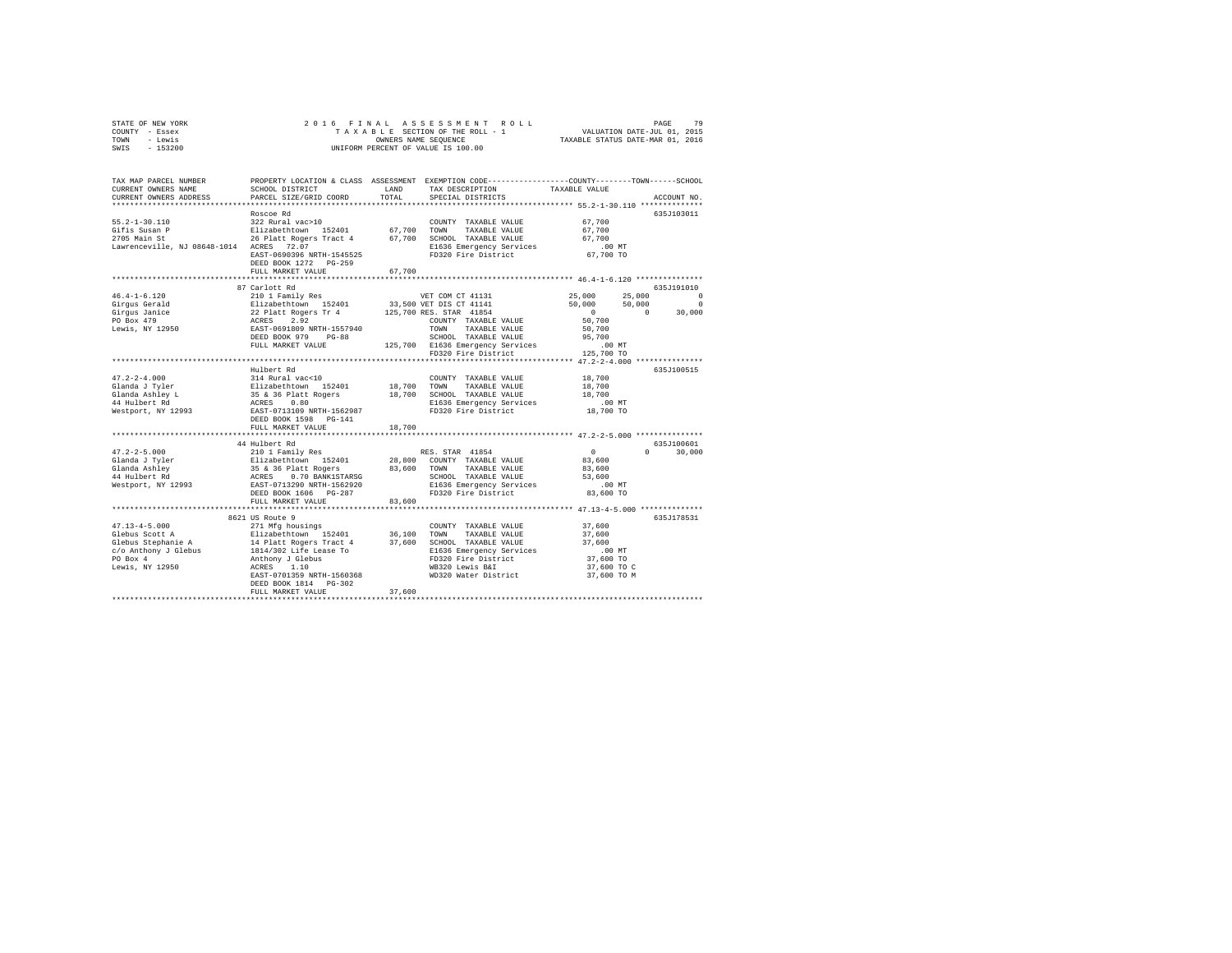| STATE OF NEW YORK | 2016 FINAL ASSESSMENT ROLL         | 79<br>PAGE                       |
|-------------------|------------------------------------|----------------------------------|
| COUNTY - Essex    | TAXABLE SECTION OF THE ROLL - 1    | VALUATION DATE-JUL 01, 2015      |
| TOWN<br>- Lewis   | OWNERS NAME SEOUENCE               | TAXABLE STATUS DATE-MAR 01, 2016 |
| $-153200$<br>SWIS | UNIFORM PERCENT OF VALUE IS 100.00 |                                  |

| Roscoe Rd<br>635J103011<br>$55.2 - 1 - 30.110$<br>322 Rural vac>10<br>67,700<br>COUNTY TAXABLE VALUE<br>67,700 TOWN TAXABLE VALUE<br>Elizabethtown 152401<br>67.700<br>Gifis Susan P<br>26 Platt Rogers Tract 4 67,700 SCHOOL TAXABLE VALUE<br>2705 Main St<br>67,700<br>Lawrenceville, NJ 08648-1014 ACRES 72.07<br>E1636 Emergency Services<br>$.00$ MT<br>67,700 TO<br>FD320 Fire District<br>EAST-0690396 NRTH-1545525<br>DEED BOOK 1272 PG-259<br>FULL MARKET VALUE<br>67,700<br>87 Carlott Rd<br>635J191010<br>25,000<br>$46.4 - 1 - 6.120$<br>210 1 Family Res<br>25,000<br>VET COM CT 41131<br>Elizabethtown 152401<br>33,500 VET DIS CT 41141<br>50,000<br>50,000<br>Girqus Gerald<br>Girgus Jeraru<br>Girgus Janice<br>22 Platt Rogers Tr 4 125,700 RES. STAR 41854<br>ACRES 2.92 COUNTY TAXABLE VALUE<br>EAST-0691809 NRTH-1557940 TOWN TAXABLE VALUE<br>DEED BOOK 979 PG-88 SCHOOL TAXABLE VALUE<br>$\sim$ 0<br>$\Omega$<br>PO Box 479<br>50,700<br>COUNTY TAXABLE VALUE<br>Lewis, NY 12950<br>TAXABLE VALUE<br>50,700<br>SCHOOL TAXABLE VALUE<br>95,700<br>125,700 E1636 Emergency Services<br>FULL MARKET VALUE<br>$.00$ MT<br>125,700 TO<br>FD320 Fire District<br>Hulbert Rd<br>635J100515<br>$47.2 - 2 - 4.000$<br>314 Rural vac<10<br>Elizabethtown 152401<br>35 & 36 Platt Rogers<br>ACRES 0.80<br>18,700<br>COUNTY TAXABLE VALUE<br>18,700 TOWN<br>47.2-2-4.000<br>Glanda J Tyler<br>Glanda Ashley L<br>** Welbert Rd<br>TAXABLE VALUE<br>18,700<br>18,700 SCHOOL TAXABLE VALUE<br>18,700<br>E1636 Emergency Services<br>FD320 Fire District<br>$.00$ MT<br>Westport, NY 12993<br>18,700 TO<br>EAST-0713109 NRTH-1562987<br>DEED BOOK 1598 PG-141<br>18,700<br>FULL MARKET VALUE<br>**************** 47.2-2-5.000 ***************<br>635-1100601<br>44 Hulbert Rd<br>210 1 Family Res<br>$47.2 - 2 - 5.000$<br>RES. STAR 41854<br>$\sim$ 0<br>$\Omega$<br>30,000<br>Glanda J Tyler<br>Glanda Ashley<br>44 Hulbert Rd<br>Elizabethtown 152401<br>28,800 COUNTY TAXABLE VALUE<br>83,600<br>2000 CONTROL CONTROL 2010 2010<br>35 & 36 Platt Rogers 83,600 TOWN<br>ACRES 0.70 BANK1STARSG SCHOO<br>TAXABLE VALUE<br>83,600<br>SCHOOL TAXABLE VALUE<br>53,600<br>E1636 Emergency Services<br>Westport, NY 12993<br>EAST-0713290 NRTH-1562920<br>.00 MT<br>FD320 Fire District<br>DEED BOOK 1606 PG-287<br>83,600 TO<br>FULL MARKET VALUE<br>83,600<br>********************************** 47.13-4-5.000 ***************<br>8621 US Route 9<br>635J178531<br>37,600<br>COUNTY TAXABLE VALUE<br>36,100 TOWN<br>TAXABLE VALUE<br>37,600<br>37,600 SCHOOL TAXABLE VALUE<br>37,600<br>E1636 Emergency Services<br>$.00$ MT<br>FD320 Fire District<br>37,600 TO<br>ACRES 1.10<br>WB320 Lewis B&I<br>Lewis, NY 12950<br>37,600 TO C<br>EAST-0701359 NRTH-1560368<br>WD320 Water District<br>37,600 TO M<br>DEED BOOK 1814    PG-302<br>37,600<br>FULL MARKET VALUE | TAX MAP PARCEL NUMBER<br>CURRENT OWNERS NAME<br>CURRENT OWNERS ADDRESS | SCHOOL DISTRICT<br>PARCEL SIZE/GRID COORD | LAND<br>TOTAL | PROPERTY LOCATION & CLASS ASSESSMENT EXEMPTION CODE---------------COUNTY-------TOWN-----SCHOOL<br>TAX DESCRIPTION<br>SPECIAL DISTRICTS | TAXABLE VALUE | ACCOUNT NO.                      |
|---------------------------------------------------------------------------------------------------------------------------------------------------------------------------------------------------------------------------------------------------------------------------------------------------------------------------------------------------------------------------------------------------------------------------------------------------------------------------------------------------------------------------------------------------------------------------------------------------------------------------------------------------------------------------------------------------------------------------------------------------------------------------------------------------------------------------------------------------------------------------------------------------------------------------------------------------------------------------------------------------------------------------------------------------------------------------------------------------------------------------------------------------------------------------------------------------------------------------------------------------------------------------------------------------------------------------------------------------------------------------------------------------------------------------------------------------------------------------------------------------------------------------------------------------------------------------------------------------------------------------------------------------------------------------------------------------------------------------------------------------------------------------------------------------------------------------------------------------------------------------------------------------------------------------------------------------------------------------------------------------------------------------------------------------------------------------------------------------------------------------------------------------------------------------------------------------------------------------------------------------------------------------------------------------------------------------------------------------------------------------------------------------------------------------------------------------------------------------------------------------------------------------------------------------------------------------------------------------------------------------------------------------------------------------------------------------------------------------------------------------------------------------------------------------------------------------------------------------------------------------|------------------------------------------------------------------------|-------------------------------------------|---------------|----------------------------------------------------------------------------------------------------------------------------------------|---------------|----------------------------------|
|                                                                                                                                                                                                                                                                                                                                                                                                                                                                                                                                                                                                                                                                                                                                                                                                                                                                                                                                                                                                                                                                                                                                                                                                                                                                                                                                                                                                                                                                                                                                                                                                                                                                                                                                                                                                                                                                                                                                                                                                                                                                                                                                                                                                                                                                                                                                                                                                                                                                                                                                                                                                                                                                                                                                                                                                                                                                           |                                                                        |                                           |               |                                                                                                                                        |               |                                  |
|                                                                                                                                                                                                                                                                                                                                                                                                                                                                                                                                                                                                                                                                                                                                                                                                                                                                                                                                                                                                                                                                                                                                                                                                                                                                                                                                                                                                                                                                                                                                                                                                                                                                                                                                                                                                                                                                                                                                                                                                                                                                                                                                                                                                                                                                                                                                                                                                                                                                                                                                                                                                                                                                                                                                                                                                                                                                           |                                                                        |                                           |               |                                                                                                                                        |               |                                  |
|                                                                                                                                                                                                                                                                                                                                                                                                                                                                                                                                                                                                                                                                                                                                                                                                                                                                                                                                                                                                                                                                                                                                                                                                                                                                                                                                                                                                                                                                                                                                                                                                                                                                                                                                                                                                                                                                                                                                                                                                                                                                                                                                                                                                                                                                                                                                                                                                                                                                                                                                                                                                                                                                                                                                                                                                                                                                           |                                                                        |                                           |               |                                                                                                                                        |               | $\Omega$<br>$^{\circ}$<br>30,000 |
|                                                                                                                                                                                                                                                                                                                                                                                                                                                                                                                                                                                                                                                                                                                                                                                                                                                                                                                                                                                                                                                                                                                                                                                                                                                                                                                                                                                                                                                                                                                                                                                                                                                                                                                                                                                                                                                                                                                                                                                                                                                                                                                                                                                                                                                                                                                                                                                                                                                                                                                                                                                                                                                                                                                                                                                                                                                                           |                                                                        |                                           |               |                                                                                                                                        |               |                                  |
|                                                                                                                                                                                                                                                                                                                                                                                                                                                                                                                                                                                                                                                                                                                                                                                                                                                                                                                                                                                                                                                                                                                                                                                                                                                                                                                                                                                                                                                                                                                                                                                                                                                                                                                                                                                                                                                                                                                                                                                                                                                                                                                                                                                                                                                                                                                                                                                                                                                                                                                                                                                                                                                                                                                                                                                                                                                                           |                                                                        |                                           |               |                                                                                                                                        |               |                                  |
|                                                                                                                                                                                                                                                                                                                                                                                                                                                                                                                                                                                                                                                                                                                                                                                                                                                                                                                                                                                                                                                                                                                                                                                                                                                                                                                                                                                                                                                                                                                                                                                                                                                                                                                                                                                                                                                                                                                                                                                                                                                                                                                                                                                                                                                                                                                                                                                                                                                                                                                                                                                                                                                                                                                                                                                                                                                                           |                                                                        |                                           |               |                                                                                                                                        |               |                                  |
|                                                                                                                                                                                                                                                                                                                                                                                                                                                                                                                                                                                                                                                                                                                                                                                                                                                                                                                                                                                                                                                                                                                                                                                                                                                                                                                                                                                                                                                                                                                                                                                                                                                                                                                                                                                                                                                                                                                                                                                                                                                                                                                                                                                                                                                                                                                                                                                                                                                                                                                                                                                                                                                                                                                                                                                                                                                                           |                                                                        |                                           |               |                                                                                                                                        |               |                                  |
|                                                                                                                                                                                                                                                                                                                                                                                                                                                                                                                                                                                                                                                                                                                                                                                                                                                                                                                                                                                                                                                                                                                                                                                                                                                                                                                                                                                                                                                                                                                                                                                                                                                                                                                                                                                                                                                                                                                                                                                                                                                                                                                                                                                                                                                                                                                                                                                                                                                                                                                                                                                                                                                                                                                                                                                                                                                                           |                                                                        |                                           |               |                                                                                                                                        |               |                                  |
|                                                                                                                                                                                                                                                                                                                                                                                                                                                                                                                                                                                                                                                                                                                                                                                                                                                                                                                                                                                                                                                                                                                                                                                                                                                                                                                                                                                                                                                                                                                                                                                                                                                                                                                                                                                                                                                                                                                                                                                                                                                                                                                                                                                                                                                                                                                                                                                                                                                                                                                                                                                                                                                                                                                                                                                                                                                                           |                                                                        |                                           |               |                                                                                                                                        |               |                                  |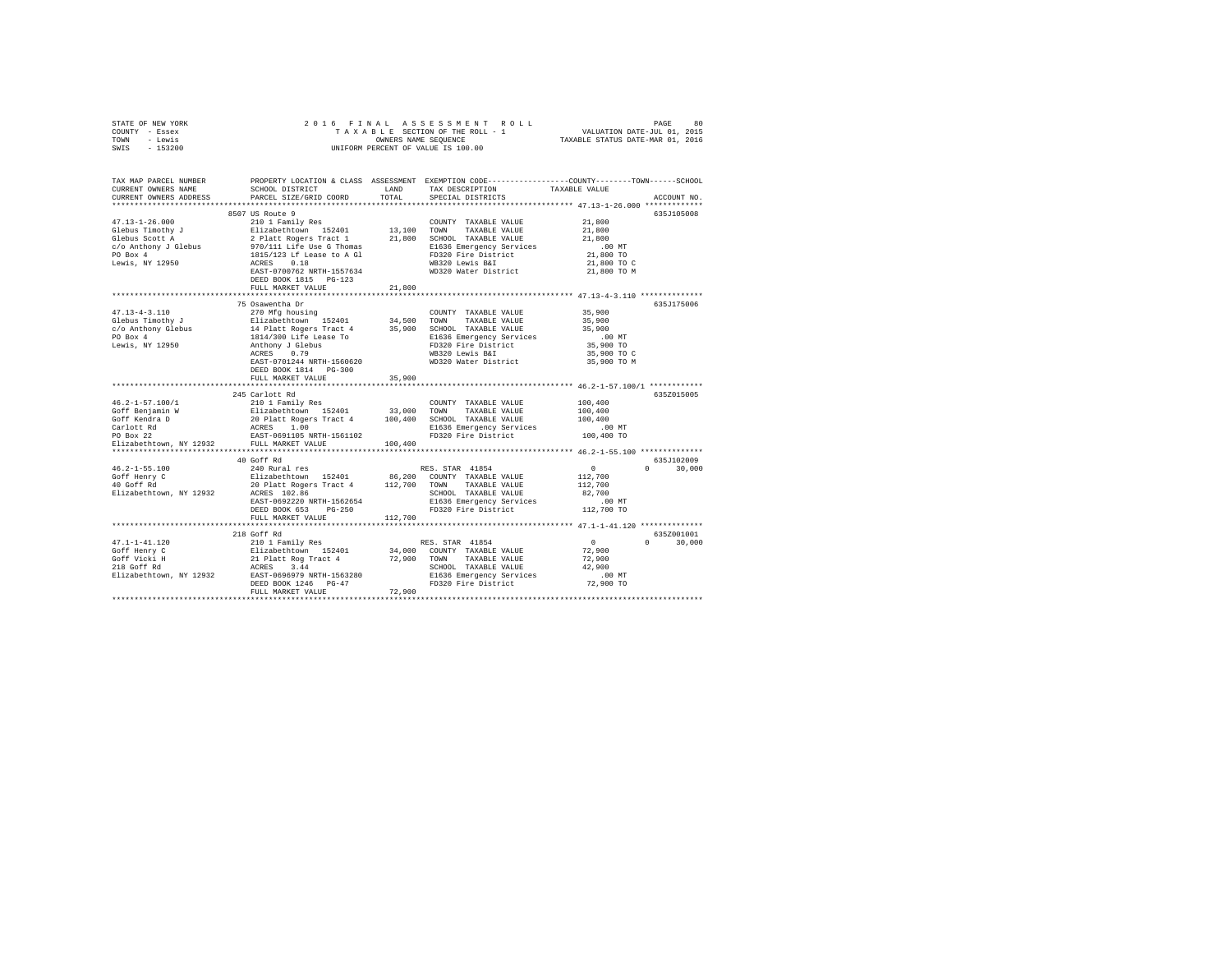|      | STATE OF NEW YORK |  | 2016 FINAL ASSESSMENT ROLL         | 80<br>PAGE                       |  |
|------|-------------------|--|------------------------------------|----------------------------------|--|
|      | COUNTY - Essex    |  | TAXABLE SECTION OF THE ROLL - 1    | VALUATION DATE-JUL 01, 2015      |  |
| TOWN | - Lewis           |  | OWNERS NAME SEOUENCE               | TAXABLE STATUS DATE-MAR 01, 2016 |  |
| SWIS | - 153200          |  | UNIFORM PERCENT OF VALUE IS 100.00 |                                  |  |

| TAX MAP PARCEL NUMBER<br>CURRENT OWNERS NAME      | SCHOOL DISTRICT                                                                                                                                                                                                                                                    | LAND        | TAX DESCRIPTION                                 | PROPERTY LOCATION & CLASS ASSESSMENT EXEMPTION CODE---------------COUNTY-------TOWN-----SCHOOL<br>TAXABLE VALUE |
|---------------------------------------------------|--------------------------------------------------------------------------------------------------------------------------------------------------------------------------------------------------------------------------------------------------------------------|-------------|-------------------------------------------------|-----------------------------------------------------------------------------------------------------------------|
| CURRENT OWNERS ADDRESS                            | PARCEL SIZE/GRID COORD                                                                                                                                                                                                                                             | TOTAL       | SPECIAL DISTRICTS                               | ACCOUNT NO.                                                                                                     |
|                                                   | 8507 US Route 9                                                                                                                                                                                                                                                    |             |                                                 | 635J105008                                                                                                      |
| $47.13 - 1 - 26.000$                              | 210 1 Family Res                                                                                                                                                                                                                                                   |             | COUNTY TAXABLE VALUE                            | 21,800                                                                                                          |
| Glebus Timothy J                                  |                                                                                                                                                                                                                                                                    | 13,100 TOWN | TAXABLE VALUE                                   | 21,800                                                                                                          |
| Glebus Scott A                                    |                                                                                                                                                                                                                                                                    |             | 21,800 SCHOOL TAXABLE VALUE                     | 21,800                                                                                                          |
| c/o Anthony J Glebus                              | 210 1 Family Res<br>Elizabethtown 152401<br>2 Platt Rogers Tract 1<br>970/111 Life Use G Thomas<br>1815/123 Lf Lease to A Gl                                                                                                                                       |             | E1636 Emergency Services                        | $.00$ MT                                                                                                        |
| PO Box 4                                          |                                                                                                                                                                                                                                                                    |             | FD320 Fire District                             | 21,800 TO                                                                                                       |
| Lewis, NY 12950                                   | ACRES<br>0.18                                                                                                                                                                                                                                                      |             | WB320 Lewis B&I                                 | 21,800 TO C                                                                                                     |
|                                                   | EAST-0700762 NRTH-1557634                                                                                                                                                                                                                                          |             | WD320 Water District                            | 21,800 TO M                                                                                                     |
|                                                   | DEED BOOK 1815 PG-123                                                                                                                                                                                                                                              |             |                                                 |                                                                                                                 |
|                                                   | FULL MARKET VALUE                                                                                                                                                                                                                                                  | 21,800      |                                                 |                                                                                                                 |
|                                                   | 75 Osawentha Dr                                                                                                                                                                                                                                                    |             |                                                 | 635J175006                                                                                                      |
| $47.13 - 4 - 3.110$                               |                                                                                                                                                                                                                                                                    |             |                                                 | 35,900                                                                                                          |
| Glebus Timothy J                                  | 270 Mfg housing                                                                                                                                                                                                                                                    |             | COUNTY TAXABLE VALUE<br>TAXABLE VALUE           | 35,900                                                                                                          |
|                                                   |                                                                                                                                                                                                                                                                    |             | 35,900 SCHOOL TAXABLE VALUE                     | 35,900                                                                                                          |
| c/o Anthony Glebus<br>PO Box 4                    | 21 Mars (1990)<br>21 Mars (1991)<br>21 Mars (1991)<br>21 Mars (1991)<br>21 Mars (1991)<br>21 Mars (1991)<br>21 Mars (1991)<br>21 Mars (1991)<br>21 Mars (1992)<br>21 Mars (1992)<br>21 Mars (1993)<br>21 Mars (1993)<br>21 Mars (1993)                             |             | E1636 Emergency Services                        | $.00$ MT                                                                                                        |
| Lewis, NY 12950                                   |                                                                                                                                                                                                                                                                    |             | FD320 Fire District                             | 35,900 TO                                                                                                       |
|                                                   | ACRES 0.79                                                                                                                                                                                                                                                         |             | WB320 Lewis B&I                                 | 35,900 TO C                                                                                                     |
|                                                   | EAST-0701244 NRTH-1560620                                                                                                                                                                                                                                          |             | WD320 Water District                            | 35,900 TO M                                                                                                     |
|                                                   | DEED BOOK 1814 PG-300                                                                                                                                                                                                                                              |             |                                                 |                                                                                                                 |
|                                                   | FULL MARKET VALUE                                                                                                                                                                                                                                                  | 35,900      |                                                 |                                                                                                                 |
|                                                   |                                                                                                                                                                                                                                                                    |             |                                                 |                                                                                                                 |
|                                                   | 245 Carlott Rd                                                                                                                                                                                                                                                     |             |                                                 | 635Z015005                                                                                                      |
| $46.2 - 1 - 57.100/1$                             | 210 1 Family Res<br>Elizabethtown 152401<br>20 Platt Rogers Tract 4<br>ACRES 1.00<br>EAST-0691105 NRTH-1561102                                                                                                                                                     |             | COUNTY TAXABLE VALUE                            | 100,400                                                                                                         |
| Goff Benjamin W                                   |                                                                                                                                                                                                                                                                    | 33,000 TOWN | TAXABLE VALUE                                   | 100,400                                                                                                         |
| Goff Kendra D                                     |                                                                                                                                                                                                                                                                    |             | 100,400 SCHOOL TAXABLE VALUE                    | 100,400                                                                                                         |
| Carlott Rd                                        |                                                                                                                                                                                                                                                                    |             | E1636 Emergency Services                        | $.00$ MT                                                                                                        |
| PO Box 22                                         |                                                                                                                                                                                                                                                                    |             | FD320 Fire District                             | 100,400 TO                                                                                                      |
| Elizabethtown, NY 12932                           | FULL MARKET VALUE                                                                                                                                                                                                                                                  | 100,400     |                                                 |                                                                                                                 |
|                                                   | 40 Goff Rd                                                                                                                                                                                                                                                         |             |                                                 | 635J102009                                                                                                      |
| $46.2 - 1 - 55.100$                               | 240 Rural res                                                                                                                                                                                                                                                      |             | RES. STAR 41854                                 | $\mathbf{0}$<br>$0 \t 30.000$                                                                                   |
|                                                   | Elizabethtown 152401                                                                                                                                                                                                                                               |             | 86,200 COUNTY TAXABLE VALUE                     | 112,700                                                                                                         |
| Goff Henry C<br>40 Goff Rd                        | $\begin{tabular}{lcccc} 20 \text{ } \texttt{Platt} & \texttt{norm} & \texttt{column} & \texttt{random} & \texttt{num} \\ \texttt{ACRES} & \texttt{102.86} & \texttt{Total} & \texttt{112,700} & \texttt{TOMN} & \texttt{TXABLE} & \texttt{VALUE} \\ \end{tabular}$ |             |                                                 | 112,700                                                                                                         |
| Elizabethtown, NY 12932                           |                                                                                                                                                                                                                                                                    |             | SCHOOL TAXABLE VALUE                            | 82,700                                                                                                          |
|                                                   | EAST-0692220 NRTH-1562654                                                                                                                                                                                                                                          |             | E1636 Emergency Services                        | $.00$ MT                                                                                                        |
|                                                   | DEED BOOK 653 PG-250                                                                                                                                                                                                                                               |             | FD320 Fire District                             | 112,700 TO                                                                                                      |
|                                                   | FULL MARKET VALUE                                                                                                                                                                                                                                                  | 112,700     |                                                 |                                                                                                                 |
|                                                   | ****************************                                                                                                                                                                                                                                       |             |                                                 |                                                                                                                 |
|                                                   | 218 Goff Rd                                                                                                                                                                                                                                                        |             |                                                 | 635Z001001                                                                                                      |
| $47.1 - 1 - 41.120$                               | 210 1 Family Res                                                                                                                                                                                                                                                   |             | RES. STAR 41854                                 | $\sim$ 0<br>$\Omega$<br>30,000                                                                                  |
| Goff Henry C                                      | Elizabethtown 152401                                                                                                                                                                                                                                               |             | 34,000 COUNTY TAXABLE VALUE                     | 72,900                                                                                                          |
| Goff Vicki H<br>218 Goff Rd                       | $21$ Platt Rog Tract 4 $72,900$ TOWN<br>ACRES 3.44                                                                                                                                                                                                                 |             | TAXABLE VALUE<br>SCHOOL TAXABLE VALUE           | 72,900<br>42,900                                                                                                |
| Elizabethtown, NY 12932 EAST-0696979 NRTH-1563280 | ACRES 3.44                                                                                                                                                                                                                                                         |             |                                                 | $.00$ MT                                                                                                        |
|                                                   | DEED BOOK 1246 PG-47                                                                                                                                                                                                                                               |             | E1636 Emergency Services<br>FD320 Fire District | 72,900 TO                                                                                                       |
|                                                   | FULL MARKET VALUE                                                                                                                                                                                                                                                  | 72,900      |                                                 |                                                                                                                 |
|                                                   |                                                                                                                                                                                                                                                                    |             |                                                 |                                                                                                                 |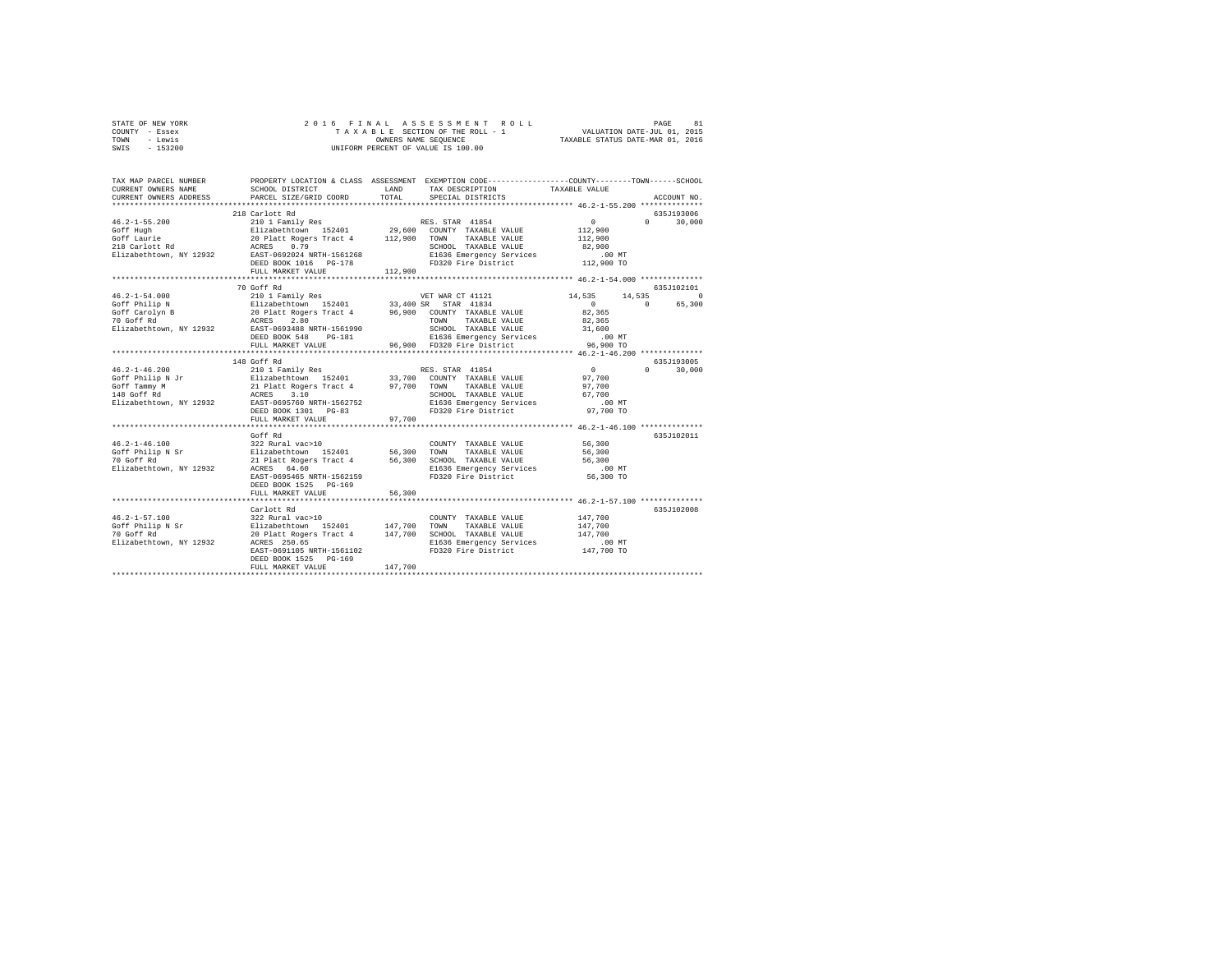| STATE OF NEW YORK | 2016 FINAL ASSESSMENT ROLL         | 81<br>PAGE                       |
|-------------------|------------------------------------|----------------------------------|
| COUNTY - Essex    | TAXABLE SECTION OF THE ROLL - 1    | VALUATION DATE-JUL 01, 2015      |
| - Lewis<br>TOWN   | OWNERS NAME SEOUENCE               | TAXABLE STATUS DATE-MAR 01, 2016 |
| $-153200$<br>SWIS | UNIFORM PERCENT OF VALUE IS 100.00 |                                  |
|                   |                                    |                                  |

| TAX MAP PARCEL NUMBER<br>CURRENT OWNERS NAME<br>CURRENT OWNERS ADDRESS                          | SCHOOL DISTRICT<br>PARCEL SIZE/GRID COORD                                                                                                                                                                                                              | LAND<br>TOTAL                 | PROPERTY LOCATION & CLASS ASSESSMENT EXEMPTION CODE----------------COUNTY-------TOWN------SCHOOL<br>TAX DESCRIPTION<br>SPECIAL DISTRICTS                                                                  | TAXABLE VALUE                                                                     | ACCOUNT NO.                                 |
|-------------------------------------------------------------------------------------------------|--------------------------------------------------------------------------------------------------------------------------------------------------------------------------------------------------------------------------------------------------------|-------------------------------|-----------------------------------------------------------------------------------------------------------------------------------------------------------------------------------------------------------|-----------------------------------------------------------------------------------|---------------------------------------------|
| $46.2 - 1 - 55.200$<br>Goff Hugh<br>Goff Laurie<br>218 Carlott Rd<br>Elizabethtown, NY 12932    | 218 Carlott Rd<br>210 1 Family Res<br>Elizabethtown 152401 29,600 COUNTY TAXABLE VALUE<br>20 Platt Rogers Tract 4 112,900 TOWN<br>0.79<br>ACRES<br>EAST-0692024 NRTH-1561268<br>DEED BOOK 1016 PG-178<br>FULL MARKET VALUE<br>************************ | 112,900                       | RES. STAR 41854<br>TAXABLE VALUE<br>SCHOOL TAXABLE VALUE<br>E1636 Emergency Services<br>FD320 Fire District                                                                                               | 0<br>112,900<br>112,900<br>82,900<br>$.00$ MT<br>112,900 TO                       | 635J193006<br>$\Omega$<br>30,000            |
| $46.2 - 1 - 54.000$<br>Goff Philip N<br>Goff Carolyn B<br>70 Goff Rd<br>Elizabethtown, NY 12932 | 70 Goff Rd<br>210 1 Family Res<br>Elizabethtown 152401<br>20 Platt Rogers Tract 4<br>ACRES<br>2.80<br>EAST-0693488 NRTH-1561990<br>DEED BOOK 548<br>PG-181<br>FULL MARKET VALUE                                                                        |                               | VET WAR CT 41121<br>33,400 SR STAR 41834<br>96,900 COUNTY TAXABLE VALUE<br>TOWN<br>TAXABLE VALUE<br>SCHOOL TAXABLE VALUE<br>E1636 Emergency Services<br>FD320 Fire District<br>96.900 FD320 Fire District | 14,535<br>14,535<br>$\sim$<br>82.365<br>82,365<br>31,600<br>$.00$ MT<br>96,900 TO | 635J102101<br>$\circ$<br>65,300<br>$\Omega$ |
|                                                                                                 | 148 Goff Rd                                                                                                                                                                                                                                            |                               |                                                                                                                                                                                                           |                                                                                   | 635J193005                                  |
|                                                                                                 | 210 1 Family Res<br>Elizabethtown 152401<br>21 Platt Rogers Tract 4 97,700 TOWN<br>ACRES 3.10 SCHOO<br>Elizabethtown, NY 12932 EAST-0695760 NRTH-1562752<br>DEED BOOK 1301 PG-83<br>FULL MARKET VALUE                                                  | 97,700                        | RES. STAR 41854<br>33,700 COUNTY TAXABLE VALUE<br>TAXABLE VALUE<br>SCHOOL TAXABLE VALUE<br>E1636 Emergency Services<br>FD320 Fire District                                                                | $\sim$ 0<br>97,700<br>97,700<br>67,700<br>$.00$ MT<br>97,700 TO                   | $\cap$<br>30,000                            |
|                                                                                                 |                                                                                                                                                                                                                                                        |                               |                                                                                                                                                                                                           |                                                                                   |                                             |
| $46.2 - 1 - 46.100$<br>Goff Philip N Sr<br>70 Goff Rd<br>Elizabethtown, NY 12932                | Goff Rd<br>322 Rural vac>10<br>Elizabethtown 152401 56,300<br>21 Platt Rogers Tract 4 56,300<br>ACRES 64.60<br>EAST-0695465 NRTH-1562159<br>DEED BOOK 1525 PG-169<br>FULL MARKET VALUE                                                                 | 56,300                        | COUNTY TAXABLE VALUE<br>TOWN<br>TAXABLE VALUE<br>SCHOOL TAXABLE VALUE<br>E1636 Emergency Services<br>FD320 Fire District                                                                                  | 56,300<br>56,300<br>56,300<br>$.00$ MT<br>56,300 TO                               | 635J102011                                  |
|                                                                                                 |                                                                                                                                                                                                                                                        |                               | ******************************** 46.2-1-57.100 **************                                                                                                                                             |                                                                                   |                                             |
| $46.2 - 1 - 57.100$<br>Goff Philip N Sr<br>70 Goff Rd<br>Elizabethtown, NY 12932                | Carlott Rd<br>322 Rural vac>10<br>Elizabethtown 152401<br>20 Platt Rogers Tract 4<br>ACRES 250.65<br>EAST-0691105 NRTH-1561102<br>DEED BOOK 1525 PG-169<br>FULL MARKET VALUE                                                                           | 147,700<br>147,700<br>147,700 | COUNTY TAXABLE VALUE<br>TOWN<br>TAXABLE VALUE<br>SCHOOL TAXABLE VALUE<br>E1636 Emergency Services<br>FD320 Fire District                                                                                  | 147,700<br>147,700<br>147,700<br>$.00$ MT<br>147,700 TO                           | 635J102008                                  |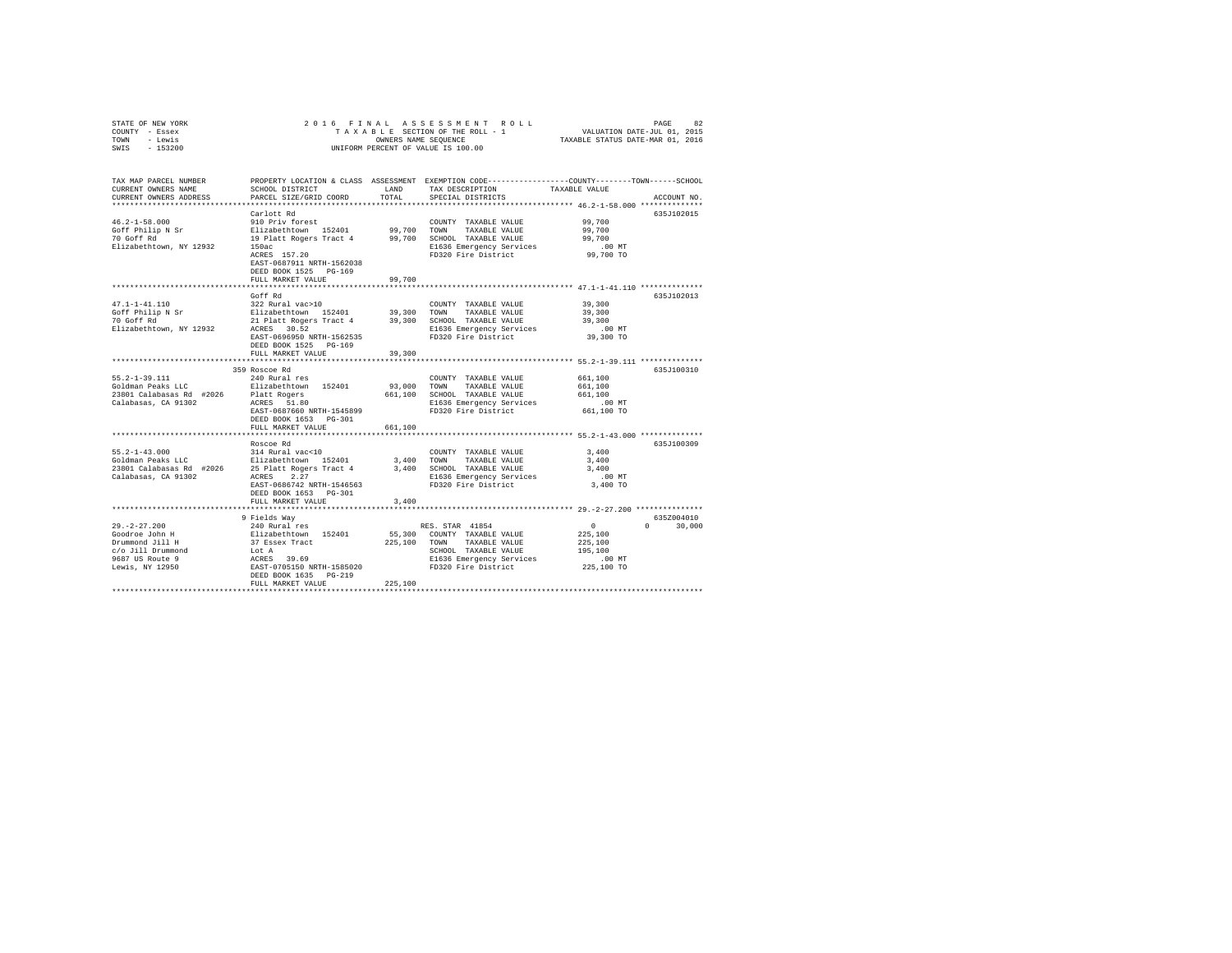| STATE OF NEW YORK<br>COUNTY - Essex<br>TOWN<br>- Lewis<br>$-153200$<br>SWIS                                                              | 2016 FINAL<br>TAXABLE SECTION OF THE ROLL - 1<br>UNIFORM PERCENT OF VALUE IS 100.00                                                                                                  | RASSESSMENT ROLL PAGE 82<br>SECTION OF THE ROLL - 1 VALUATION DATE-JUL 01, 2015<br>SE NAME SEQUENCE TRIABLE STATUS DATE-MAR 01, 2016 |                                                                                                                                                            |                                                                                                         |                             |
|------------------------------------------------------------------------------------------------------------------------------------------|--------------------------------------------------------------------------------------------------------------------------------------------------------------------------------------|--------------------------------------------------------------------------------------------------------------------------------------|------------------------------------------------------------------------------------------------------------------------------------------------------------|---------------------------------------------------------------------------------------------------------|-----------------------------|
| TAX MAP PARCEL NUMBER<br>CURRENT OWNERS NAME<br>CURRENT OWNERS ADDRESS<br>************************                                       | SCHOOL DISTRICT<br>PARCEL SIZE/GRID COORD                                                                                                                                            | LAND<br>TOTAL                                                                                                                        | PROPERTY LOCATION & CLASS ASSESSMENT EXEMPTION CODE---------------COUNTY-------TOWN------SCHOOL<br>TAX DESCRIPTION<br>SPECIAL DISTRICTS                    | TAXABLE VALUE                                                                                           | ACCOUNT NO.                 |
| $46.2 - 1 - 58.000$<br>Goff Philip N Sr<br>70 Goff Rd<br>Elizabethtown, NY 12932                                                         | Carlott Rd<br>910 Priv forest<br>Elizabethtown 152401<br>19 Platt Rogers Tract 4<br>150ac<br>ACRES 157.20<br>EAST-0687911 NRTH-1562038<br>DEED BOOK 1525 PG-169<br>FULL MARKET VALUE | 99,700<br>99,700<br>99,700                                                                                                           | COUNTY TAXABLE VALUE<br>TOWN<br>TAXABLE VALUE<br>SCHOOL TAXABLE VALUE<br>E1636 Emergency Services<br>FD320 Fire District                                   | 99,700<br>99,700<br>99,700<br>$.00$ MT<br>99,700 TO                                                     | 635J102015                  |
|                                                                                                                                          |                                                                                                                                                                                      |                                                                                                                                      |                                                                                                                                                            | ************************************ 47.1-1-41.110 **************                                       |                             |
| 47.1-1-41.110<br>Goff Philip N Sr<br>70 Goff Pd<br>70 Goff Rd<br>Elizabethtown, NY 12932                                                 | Goff Rd<br>322 Rural vac>10<br>Elizabethtown 152401 39,300<br>21 Platt Rogers Tract 4<br>ACRES 30.52<br>EAST-0696950 NRTH-1562535<br>DEED BOOK 1525 PG-169                           |                                                                                                                                      | COUNTY TAXABLE VALUE<br>TOWN<br>TAXABLE VALUE<br>39,300 SCHOOL TAXABLE VALUE<br>E1636 Emergency Services<br>FD320 Fire District                            | 39,300<br>39,300<br>39,300<br>$.00$ MT<br>39,300 TO                                                     | 635J102013                  |
|                                                                                                                                          | FULL MARKET VALUE                                                                                                                                                                    | 39,300                                                                                                                               |                                                                                                                                                            |                                                                                                         |                             |
| $55.2 - 1 - 39.111$<br>Goldman Peaks LLC<br>23801 Calabasas Rd #2026<br>Calabasas, CA 91302                                              | 359 Roscoe Rd<br>240 Rural res<br>Elizabethtown 152401<br>Platt Rogers<br>ACRES 51.80<br>EAST-0687660 NRTH-1545899<br>DEED BOOK 1653 PG-301                                          | 93,000                                                                                                                               | COUNTY TAXABLE VALUE<br>TOWN<br>TAXABLE VALUE<br>661,100 SCHOOL TAXABLE VALUE<br>E1636 Emergency Services<br>FD320 Fire District                           | 661,100<br>661,100<br>661,100<br>$.00$ MT<br>661,100 TO                                                 | 635J100310                  |
|                                                                                                                                          | FULL MARKET VALUE                                                                                                                                                                    | 661,100                                                                                                                              |                                                                                                                                                            |                                                                                                         |                             |
| $55.2 - 1 - 43.000$<br>Goldman Peaks LLC Blizabethtown 152401<br>23801 Calabasas Rd #2026 25 Platt Rogers Tract 4<br>Calabasas, CA 91302 | Roscoe Rd<br>314 Rural vac<10<br>25 Platt Rogers Tract 4<br>ACRES 2.27<br>EAST-0686742 NRTH-1546563<br>DEED BOOK 1653 PG-301<br>FULL MARKET VALUE                                    | 3,400<br>3,400                                                                                                                       | COUNTY TAXABLE VALUE<br>TOWN<br>TAXABLE VALUE<br>3,400 SCHOOL TAXABLE VALUE<br>E1636 Emergency Services<br>FD320 Fire District                             | *********************** 55.2-1-43.000 **************<br>3,400<br>3,400<br>3,400<br>$.00$ MT<br>3,400 TO | 635J100309                  |
|                                                                                                                                          | *******************                                                                                                                                                                  | *********                                                                                                                            |                                                                                                                                                            | ******************* 29.-2-27.200 ***************                                                        |                             |
| $29. -2 - 27.200$<br>$29. -2 - 2$<br>Goodroe John H<br>Drummond Jill H<br>c/o Jill Drummond<br>9687 US Route 9<br>Lewis, NY 12950        | 9 Fields Way<br>240 Rural res<br>Elizabethtown 152401<br>37 Essex Tract<br>Lot A<br>ACRES 39.69<br>EAST-0705150 NRTH-1585020<br>DEED BOOK 1635 PG-219<br>FULL MARKET VALUE           | 225,100                                                                                                                              | RES. STAR 41854<br>55,300 COUNTY TAXABLE VALUE<br>225,100 TOWN<br>TAXABLE VALUE<br>SCHOOL TAXABLE VALUE<br>E1636 Emergency Services<br>FD320 Fire District | $\sim$ 0<br>225,100<br>225,100<br>195,100<br>$.00$ MT<br>225,100 TO                                     | 635Z004010<br>$0 \t 30,000$ |
|                                                                                                                                          |                                                                                                                                                                                      |                                                                                                                                      |                                                                                                                                                            |                                                                                                         |                             |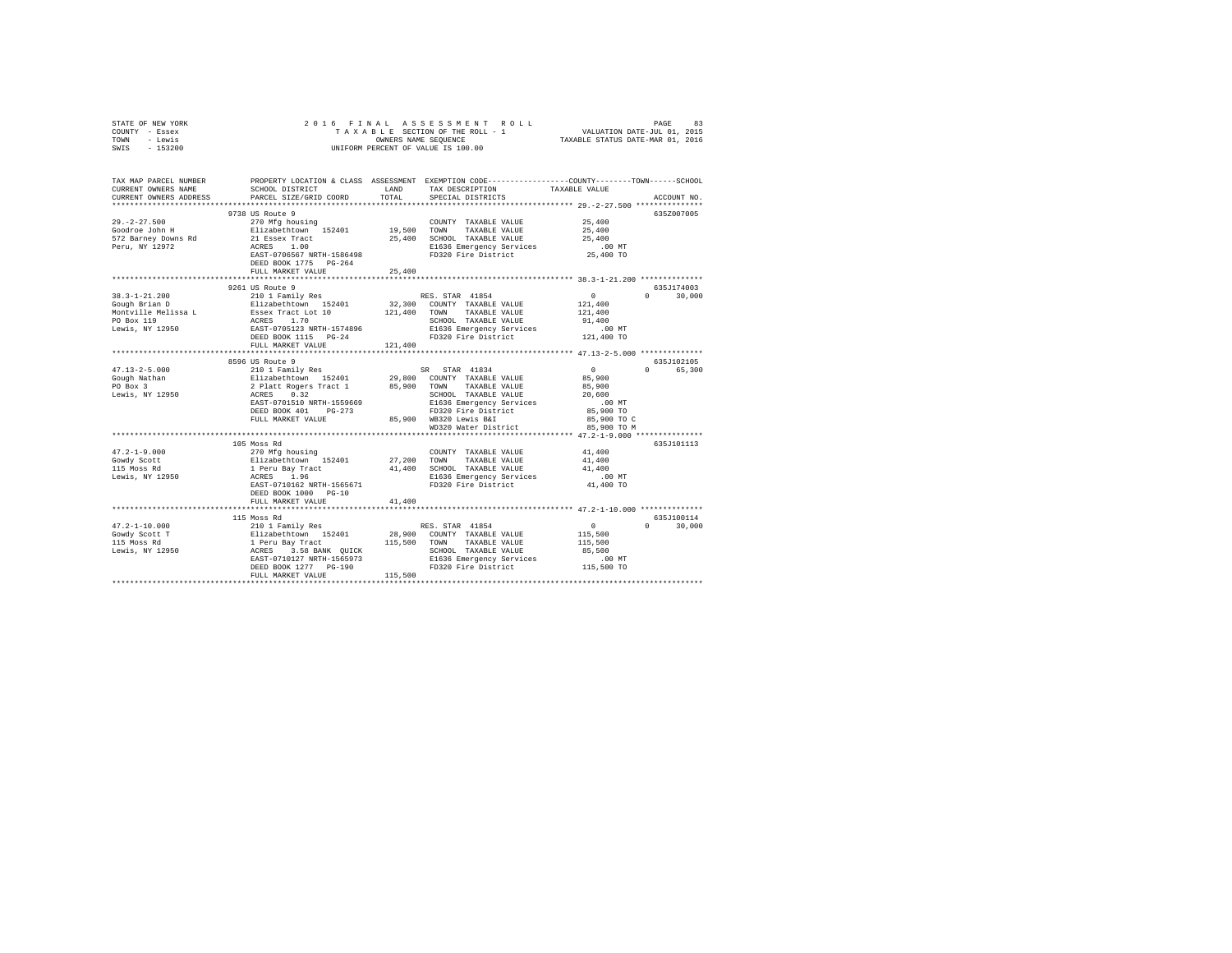| STATE OF NEW YORK                             | 2016 FINAL                                                                                             |               |                                                                                                                                                                                                                                                                                                                                                                                                                                            |                                                        |               |
|-----------------------------------------------|--------------------------------------------------------------------------------------------------------|---------------|--------------------------------------------------------------------------------------------------------------------------------------------------------------------------------------------------------------------------------------------------------------------------------------------------------------------------------------------------------------------------------------------------------------------------------------------|--------------------------------------------------------|---------------|
| COUNTY - Essex                                |                                                                                                        |               |                                                                                                                                                                                                                                                                                                                                                                                                                                            |                                                        |               |
| TOWN - Lewis                                  |                                                                                                        |               |                                                                                                                                                                                                                                                                                                                                                                                                                                            |                                                        |               |
| SWIS<br>$-153200$                             |                                                                                                        |               |                                                                                                                                                                                                                                                                                                                                                                                                                                            |                                                        |               |
|                                               |                                                                                                        |               |                                                                                                                                                                                                                                                                                                                                                                                                                                            |                                                        |               |
|                                               |                                                                                                        |               |                                                                                                                                                                                                                                                                                                                                                                                                                                            |                                                        |               |
|                                               |                                                                                                        |               |                                                                                                                                                                                                                                                                                                                                                                                                                                            |                                                        |               |
| TAX MAP PARCEL NUMBER                         |                                                                                                        |               | PROPERTY LOCATION & CLASS ASSESSMENT EXEMPTION CODE---------------COUNTY-------TOWN-----SCHOOL                                                                                                                                                                                                                                                                                                                                             |                                                        |               |
| CURRENT OWNERS NAME                           | SCHOOL DISTRICT LAND                                                                                   |               | TAX DESCRIPTION TAXABLE VALUE                                                                                                                                                                                                                                                                                                                                                                                                              |                                                        |               |
| CURRENT OWNERS ADDRESS                        | PARCEL SIZE/GRID COORD                                                                                 | TOTAL         | SPECIAL DISTRICTS                                                                                                                                                                                                                                                                                                                                                                                                                          |                                                        | ACCOUNT NO.   |
|                                               |                                                                                                        |               |                                                                                                                                                                                                                                                                                                                                                                                                                                            |                                                        |               |
|                                               | 9738 US Route 9                                                                                        |               |                                                                                                                                                                                                                                                                                                                                                                                                                                            |                                                        | 635Z007005    |
| $29. -2 - 27.500$                             | 270 Mfg housing<br>Elizabethtown 152401                                                                |               | $\begin{tabular}{lllllll} \textbf{COUNTY} & \textbf{TAXABLE} & \textbf{VALUE} & & \textbf{25,400} \end{tabular}$                                                                                                                                                                                                                                                                                                                           |                                                        |               |
| Goodroe John H                                |                                                                                                        | $19,500$ TOWN | TAXABLE VALUE                                                                                                                                                                                                                                                                                                                                                                                                                              | 25,400                                                 |               |
|                                               |                                                                                                        |               |                                                                                                                                                                                                                                                                                                                                                                                                                                            | 25,400                                                 |               |
| 572 Barney Downs Rd<br>Peru, NY 12972         | 21 Essex Tract<br>ACRES 1.00                                                                           |               | 25,400 SCHOOL TAXABLE VALUE<br>E1636 Emergency Services                                                                                                                                                                                                                                                                                                                                                                                    | $.00$ MT                                               |               |
|                                               | EAST-0706567 NRTH-1586498                                                                              |               | Elb30 Emeryency --                                                                                                                                                                                                                                                                                                                                                                                                                         | 25,400 TO                                              |               |
|                                               | DEED BOOK 1775 PG-264                                                                                  |               |                                                                                                                                                                                                                                                                                                                                                                                                                                            |                                                        |               |
|                                               | FULL MARKET VALUE                                                                                      | 25,400        |                                                                                                                                                                                                                                                                                                                                                                                                                                            |                                                        |               |
|                                               |                                                                                                        |               |                                                                                                                                                                                                                                                                                                                                                                                                                                            |                                                        |               |
|                                               | 9261 US Route 9                                                                                        |               |                                                                                                                                                                                                                                                                                                                                                                                                                                            |                                                        | 635J174003    |
|                                               |                                                                                                        |               |                                                                                                                                                                                                                                                                                                                                                                                                                                            |                                                        | $0 \t 30.000$ |
|                                               |                                                                                                        |               |                                                                                                                                                                                                                                                                                                                                                                                                                                            |                                                        |               |
|                                               |                                                                                                        |               |                                                                                                                                                                                                                                                                                                                                                                                                                                            |                                                        |               |
|                                               |                                                                                                        |               |                                                                                                                                                                                                                                                                                                                                                                                                                                            |                                                        |               |
|                                               |                                                                                                        |               |                                                                                                                                                                                                                                                                                                                                                                                                                                            |                                                        |               |
|                                               |                                                                                                        |               |                                                                                                                                                                                                                                                                                                                                                                                                                                            |                                                        |               |
|                                               |                                                                                                        |               |                                                                                                                                                                                                                                                                                                                                                                                                                                            |                                                        |               |
|                                               | FULL MARKET VALUE                                                                                      | 121,400       |                                                                                                                                                                                                                                                                                                                                                                                                                                            |                                                        |               |
|                                               |                                                                                                        |               |                                                                                                                                                                                                                                                                                                                                                                                                                                            |                                                        |               |
|                                               |                                                                                                        |               | $\begin{tabular}{c c c} \texttt{8596 US Route 9} & \texttt{5R} & \texttt{STAR} & \texttt{41834} \\ \texttt{210 1} & \texttt{52101} & \texttt{29,800} & \texttt{COUNTY} & \texttt{TAXABLE VALUE} \\ \texttt{2} & \texttt{Platt Rogers Trade 1} & \texttt{85,900} & \texttt{COUNTY} & \texttt{TAXABLE VALUE} \\ \texttt{ACRES} & \texttt{0.32} & & \texttt{85,900} & \texttt{TOMN} & \texttt{TAXABLE VALUE} \\ \texttt{RAST-0701510 NRTH-15$ |                                                        | 635J102105    |
| $47.13 - 2 - 5.000$                           |                                                                                                        |               |                                                                                                                                                                                                                                                                                                                                                                                                                                            | $\sim$ 0                                               | 0 65,300      |
| Gough Nathan<br>PO Box 3                      |                                                                                                        |               |                                                                                                                                                                                                                                                                                                                                                                                                                                            | 85,900                                                 |               |
|                                               |                                                                                                        |               |                                                                                                                                                                                                                                                                                                                                                                                                                                            | 85,900                                                 |               |
| Lewis, NY 12950                               |                                                                                                        |               |                                                                                                                                                                                                                                                                                                                                                                                                                                            | 20,600                                                 |               |
|                                               |                                                                                                        |               |                                                                                                                                                                                                                                                                                                                                                                                                                                            | $.00$ MT                                               |               |
|                                               |                                                                                                        |               |                                                                                                                                                                                                                                                                                                                                                                                                                                            | 85,900 TO                                              |               |
|                                               | FULL MARKET VALUE                                                                                      |               | 85,900 WB320 Lewis B&I                                                                                                                                                                                                                                                                                                                                                                                                                     | 85,900 TO C                                            |               |
|                                               |                                                                                                        |               | WD320 Water District                                                                                                                                                                                                                                                                                                                                                                                                                       | 85,900 TO M                                            |               |
|                                               |                                                                                                        |               |                                                                                                                                                                                                                                                                                                                                                                                                                                            |                                                        |               |
|                                               | 105 Moss Rd                                                                                            |               |                                                                                                                                                                                                                                                                                                                                                                                                                                            |                                                        | 635J101113    |
| $47.2 - 1 - 9.000$                            |                                                                                                        |               | COUNTY TAXABLE VALUE 41,400                                                                                                                                                                                                                                                                                                                                                                                                                |                                                        |               |
|                                               |                                                                                                        | 27,200 TOWN   | TAXABLE VALUE                                                                                                                                                                                                                                                                                                                                                                                                                              | 41,400                                                 |               |
|                                               |                                                                                                        |               |                                                                                                                                                                                                                                                                                                                                                                                                                                            | 41,400                                                 |               |
| Gowdy Scott<br>115 Moss Rd<br>Lewis, NY 12950 | 270 Mfg housing<br>Elizabethtown 152401<br>1 Peru Bay Tract<br>ACRES 1.96<br>EAST-0710162 NRTH-1565671 |               | 41,400 SCHOOL TAXABLE VALUE<br>E1636 Emergency Services                                                                                                                                                                                                                                                                                                                                                                                    | .00 MT                                                 |               |
|                                               |                                                                                                        |               | FD320 Fire District                                                                                                                                                                                                                                                                                                                                                                                                                        | 41,400 TO                                              |               |
|                                               | DEED BOOK 1000 PG-10                                                                                   |               |                                                                                                                                                                                                                                                                                                                                                                                                                                            |                                                        |               |
|                                               | FULL MARKET VALUE                                                                                      | 41,400        |                                                                                                                                                                                                                                                                                                                                                                                                                                            |                                                        |               |
|                                               |                                                                                                        |               |                                                                                                                                                                                                                                                                                                                                                                                                                                            |                                                        |               |
|                                               |                                                                                                        |               |                                                                                                                                                                                                                                                                                                                                                                                                                                            |                                                        | 635J100114    |
|                                               |                                                                                                        |               |                                                                                                                                                                                                                                                                                                                                                                                                                                            |                                                        | $0 \t 30,000$ |
|                                               |                                                                                                        |               |                                                                                                                                                                                                                                                                                                                                                                                                                                            | $\begin{smallmatrix}&&0\\&&115\,,500\end{smallmatrix}$ |               |
|                                               |                                                                                                        |               |                                                                                                                                                                                                                                                                                                                                                                                                                                            | 115,500                                                |               |
|                                               |                                                                                                        |               | SCHOOL TAXABLE VALUE                                                                                                                                                                                                                                                                                                                                                                                                                       | 85,500                                                 |               |
|                                               |                                                                                                        |               |                                                                                                                                                                                                                                                                                                                                                                                                                                            |                                                        |               |
|                                               |                                                                                                        |               | E1636 Emergency Services .00 MT<br>FD320 Fire District .01 115,500 TO                                                                                                                                                                                                                                                                                                                                                                      |                                                        |               |
|                                               |                                                                                                        |               |                                                                                                                                                                                                                                                                                                                                                                                                                                            |                                                        |               |
|                                               |                                                                                                        |               |                                                                                                                                                                                                                                                                                                                                                                                                                                            |                                                        |               |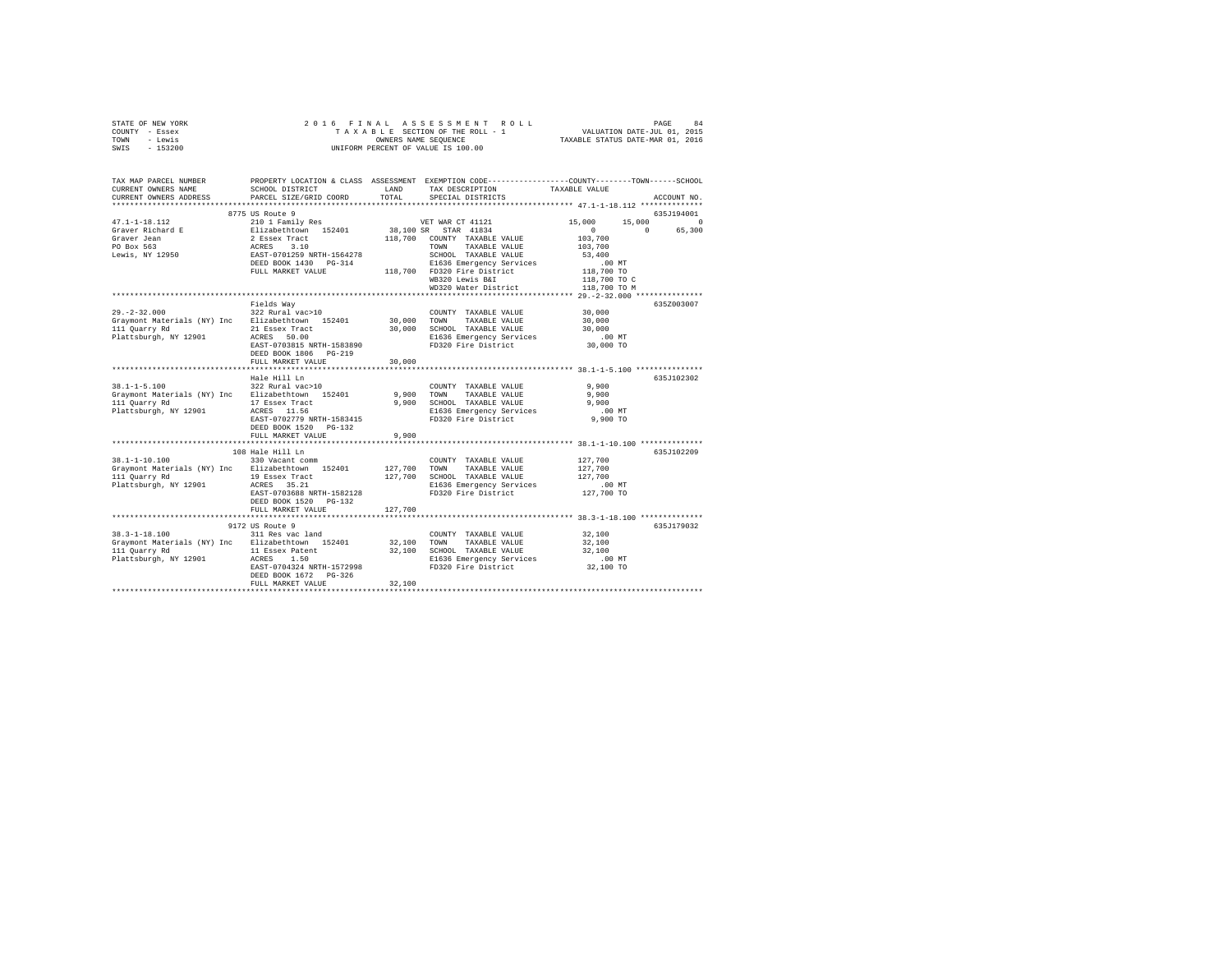| STATE OF NEW YORK<br>COUNTY - Essex<br>- Lewis<br>TOWN<br>$-153200$<br>SWIS                                                                                                                         | 2016 FINAL                                                                                                                                      |                       | 5 FINAL ASSESSMENT ROLL PAGE 84 ALUATION DATE-JULO 1968<br>TAXABLE SECTION OF THE ROLL - 1 VALUATION DATE-JULO 1, 2015<br>OWNERS NAME SEQUENCE  TAXABLE STATUS DATE-MAR 01, 2016<br>UNIFORM PERCENT OF VALUE IS 100.00                    |                                                                                             |                    |
|-----------------------------------------------------------------------------------------------------------------------------------------------------------------------------------------------------|-------------------------------------------------------------------------------------------------------------------------------------------------|-----------------------|-------------------------------------------------------------------------------------------------------------------------------------------------------------------------------------------------------------------------------------------|---------------------------------------------------------------------------------------------|--------------------|
| TAX MAP PARCEL NUMBER PROPERTY LOCATION & CLASS ASSESSMENT EXEMPTION CODE---------------COUNTY-------TOWN------SCHOOL<br>CURRENT OWNERS NAME<br>CURRENT OWNERS ADDRESS<br>************************* | SCHOOL DISTRICT LAND<br>PARCEL SIZE/GRID COORD                                                                                                  | TOTAL                 | TAX DESCRIPTION<br>SPECIAL DISTRICTS                                                                                                                                                                                                      | TAXABLE VALUE                                                                               | ACCOUNT NO.        |
|                                                                                                                                                                                                     | 8775 US Route 9                                                                                                                                 |                       |                                                                                                                                                                                                                                           |                                                                                             | 635J194001         |
| $47.1 - 1 - 18.112$<br>Graver Richard E<br>Graver Jean<br>PO Box 563<br>Lewis, NY 12950                                                                                                             | 210 1 Family Res<br>Elizabethtown 152401                                                                                                        |                       | VET WAR CT 41121<br>38,100 SR STAR 41834<br>2 Essex Tract<br>2 Essex Tract<br>2 ESSE 3.10<br>2 ESSEX 130 2000 COUNTY TAXABLE VALUE<br>REST-0701259 NRTH-1564278 SCHOOL TAXABLE VALUE<br>DEED BOOK 1430 PG-314<br>21636 Emergency Services | 15,000<br>15,000<br>$\sim$ 0 $\sim$<br>$\sim$ 0<br>103,700<br>103,700<br>53,400<br>$.00$ MT | $\Omega$<br>65,300 |
|                                                                                                                                                                                                     | FULL MARKET VALUE                                                                                                                               |                       | 118,700 FD320 Fire District<br>WB320 Lewis B&I<br>WD320 Water District                                                                                                                                                                    | 118,700 TO<br>118,700 TO C<br>118,700 TO M                                                  |                    |
|                                                                                                                                                                                                     |                                                                                                                                                 |                       |                                                                                                                                                                                                                                           |                                                                                             |                    |
| $29 - 2 - 32.000$<br>Graymont Materials (NY) Inc Elizabethtown 152401<br>111 Quarry Rd<br>21 Essex Tract<br>Plattsburgh, NY 12901 ACRES 50.00                                                       | Fields Wav<br>322 Rural vac>10<br>EAST-0703815 NRTH-1583890<br>DEED BOOK 1806 PG-219<br>FULL MARKET VALUE                                       | 30,000 TOWN<br>30,000 | COUNTY TAXABLE VALUE<br>TAXABLE VALUE<br>30,000 SCHOOL TAXABLE VALUE<br>E1636 Emergency Services<br>FD320 Fire District                                                                                                                   | 30,000<br>30,000<br>30,000<br>$.00$ MT<br>30,000 TO                                         | 635Z003007         |
|                                                                                                                                                                                                     |                                                                                                                                                 | ***********           |                                                                                                                                                                                                                                           | ********************************* 38.1-1-5.100 ****************                             |                    |
| $38.1 - 1 - 5.100$<br>Graymont Materials (NY) Inc Elizabethtown 152401<br>111 Quarry Rd<br>Plattsburgh, NY 12901                                                                                    | Hale Hill Ln<br>322 Rural vac>10<br>17 Essex Tract<br>ACRES 11.56<br>EAST-0702779 NRTH-1583415<br>DEED BOOK 1520 PG-132                         | 9,900                 | COUNTY TAXABLE VALUE<br>TOWN<br>TAXABLE VALUE<br>9,900 SCHOOL TAXABLE VALUE<br>E1636 Emergency Services<br>FD320 Fire District                                                                                                            | 9.900<br>9,900<br>9,900<br>$.00$ MT<br>9,900 TO                                             | 635J102302         |
|                                                                                                                                                                                                     | FULL MARKET VALUE                                                                                                                               | 9,900                 |                                                                                                                                                                                                                                           |                                                                                             |                    |
| 38.1-1-10.100<br>Graymont Materials (NY) Inc Elizabethtown 152401<br>111 Quarry Rd<br>Plattsburgh, NY 12901                                                                                         | 108 Hale Hill Ln<br>330 Vacant comm<br>19 Essex Tract<br>ACRES 35.21<br>EAST-0703688 NRTH-1582128<br>DEED BOOK 1520 PG-132<br>FULL MARKET VALUE | 127,700<br>127,700    | COUNTY TAXABLE VALUE<br>TAXABLE VALUE<br>TOWN<br>127,700 SCHOOL TAXABLE VALUE<br>E1636 Emergency Services<br>FD320 Fire District                                                                                                          | 127,700<br>127,700<br>127,700<br>.00MT<br>127,700 TO                                        | 635J102209         |
|                                                                                                                                                                                                     |                                                                                                                                                 |                       |                                                                                                                                                                                                                                           |                                                                                             |                    |
| $38.3 - 1 - 18.100$<br>Graymont Materials (NY) Inc Elizabethtown 152401<br>111 Quarry Rd<br>Plattsburgh, NY 12901                                                                                   | 9172 US Route 9<br>311 Res vac land<br>11 Essex Patent<br>ACRES 1.50<br>EAST-0704324 NRTH-1572998<br>DEED BOOK 1672 PG-326<br>FULL MARKET VALUE | 32,100 TOWN<br>32,100 | COUNTY TAXABLE VALUE<br>TAXABLE VALUE<br>32,100 SCHOOL TAXABLE VALUE<br>E1636 Emergency Services<br>FD320 Fire District                                                                                                                   | 32,100<br>32,100<br>32,100<br>.00MT<br>32,100 TO                                            | 635J179032         |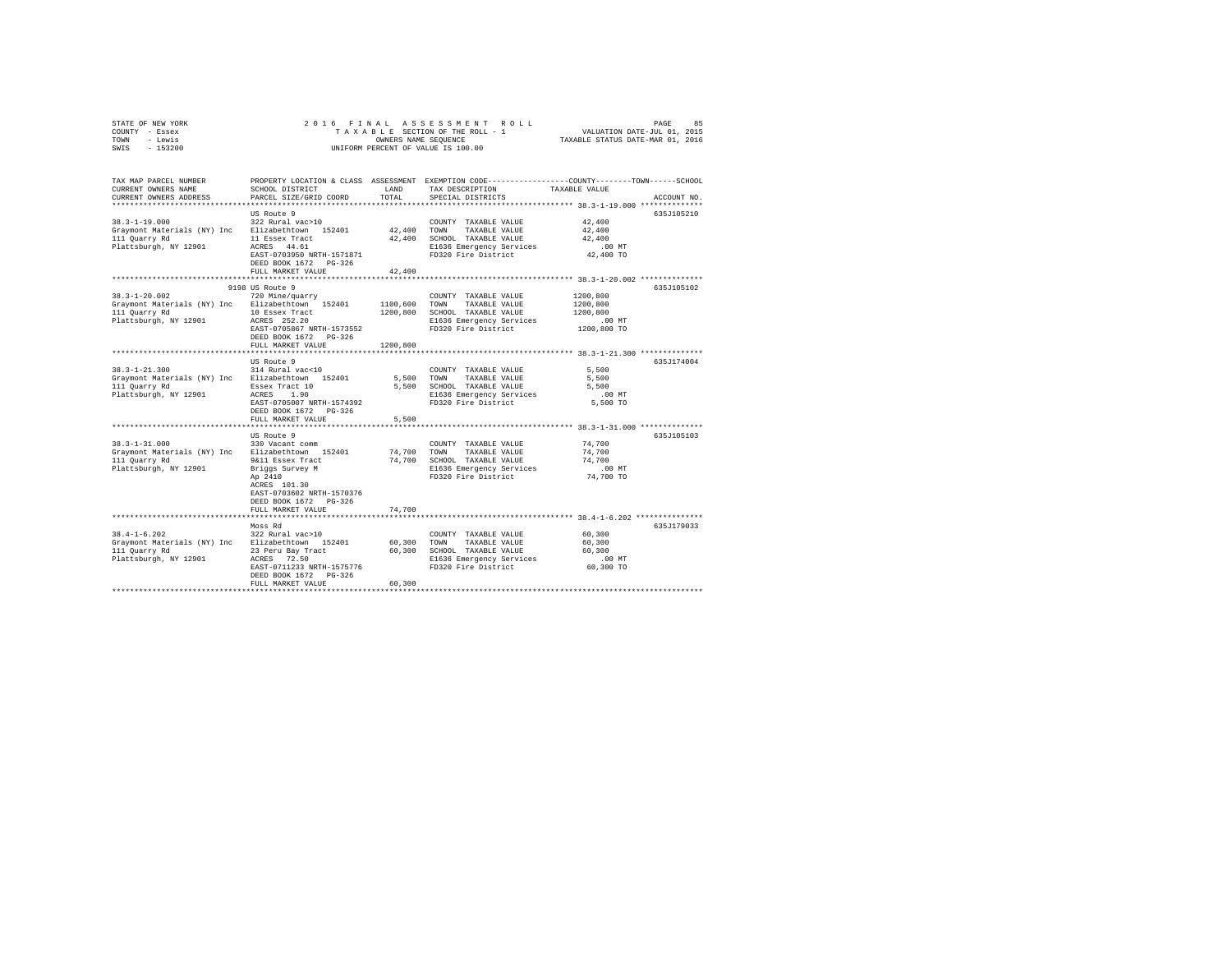| STATE OF NEW YORK | 2016 FINAL ASSESSMENT ROLL         | 85<br>PAGE                       |
|-------------------|------------------------------------|----------------------------------|
| COUNTY - Essex    | TAXABLE SECTION OF THE ROLL - 1    | VALUATION DATE-JUL 01, 2015      |
| TOWN<br>- Lewis   | OWNERS NAME SEOUENCE               | TAXABLE STATUS DATE-MAR 01, 2016 |
| - 153200<br>SWIS  | UNIFORM PERCENT OF VALUE IS 100.00 |                                  |

| TAX MAP PARCEL NUMBER<br>CURRENT OWNERS NAME<br>CURRENT OWNERS ADDRESS | SCHOOL DISTRICT<br>PARCEL SIZE/GRID COORD          | LAND<br>TOTAL | TAX DESCRIPTION<br>SPECIAL DISTRICTS            | PROPERTY LOCATION & CLASS ASSESSMENT EXEMPTION CODE---------------COUNTY-------TOWN-----SCHOOL<br>TAXABLE VALUE<br>ACCOUNT NO. |
|------------------------------------------------------------------------|----------------------------------------------------|---------------|-------------------------------------------------|--------------------------------------------------------------------------------------------------------------------------------|
|                                                                        |                                                    |               |                                                 |                                                                                                                                |
|                                                                        | US Route 9                                         |               |                                                 | 635J105210                                                                                                                     |
| $38.3 - 1 - 19.000$                                                    | 322 Rural vac>10                                   |               | COUNTY TAXABLE VALUE                            | 42,400                                                                                                                         |
|                                                                        | Graymont Materials (NY) Inc Elizabethtown 152401   | 42.400 TOWN   | TAXABLE VALUE                                   | 42,400                                                                                                                         |
| 111 Quarry Rd                                                          | 11 Essex Tract                                     | 42,400        | SCHOOL TAXABLE VALUE                            | 42,400                                                                                                                         |
| Plattsburgh, NY 12901                                                  | ACRES 44.61                                        |               | E1636 Emergency Services                        | $.00$ MT                                                                                                                       |
|                                                                        | EAST-0703950 NRTH-1571871                          |               | FD320 Fire District                             | 42,400 TO                                                                                                                      |
|                                                                        | DEED BOOK 1672 PG-326                              |               |                                                 |                                                                                                                                |
|                                                                        | FULL MARKET VALUE                                  | 42,400        |                                                 |                                                                                                                                |
|                                                                        |                                                    |               |                                                 |                                                                                                                                |
|                                                                        | 9198 US Route 9                                    |               |                                                 | 635J105102                                                                                                                     |
| $38.3 - 1 - 20.002$                                                    | 720 Mine/quarry                                    |               | COUNTY TAXABLE VALUE                            | 1200,800                                                                                                                       |
| Graymont Materials (NY) Inc Elizabethtown 152401                       |                                                    | 1100,600      | TOWN<br>TAXABLE VALUE                           | 1200,800                                                                                                                       |
| 111 Quarry Rd                                                          | 10 Essex Tract                                     | 1200.800      | SCHOOL TAXABLE VALUE                            | 1200,800                                                                                                                       |
| Plattsburgh, NY 12901                                                  | ACRES 252.20                                       |               | E1636 Emergency Services<br>FD320 Fire District | .00 MT                                                                                                                         |
|                                                                        | EAST-0705867 NRTH-1573552<br>DEED BOOK 1672 PG-326 |               |                                                 | 1200,800 TO                                                                                                                    |
|                                                                        | FULL MARKET VALUE                                  | 1200.800      |                                                 |                                                                                                                                |
|                                                                        |                                                    |               |                                                 |                                                                                                                                |
|                                                                        | US Route 9                                         |               |                                                 | 635J174004                                                                                                                     |
| $38.3 - 1 - 21.300$                                                    | 314 Rural vac<10                                   |               | COUNTY TAXABLE VALUE                            | 5,500                                                                                                                          |
|                                                                        | Graymont Materials (NY) Inc Elizabethtown 152401   | 5,500         | TOWN<br>TAXABLE VALUE                           | 5,500                                                                                                                          |
| 111 Quarry Rd                                                          | Essex Tract 10                                     | 5,500         | SCHOOL TAXABLE VALUE                            | 5,500                                                                                                                          |
| Plattsburgh, NY 12901                                                  | ACRES 1.90                                         |               | E1636 Emergency Services                        | $.00$ MT                                                                                                                       |
|                                                                        | EAST-0705007 NRTH-1574392                          |               | FD320 Fire District                             | 5,500 TO                                                                                                                       |
|                                                                        | DEED BOOK 1672 PG-326                              |               |                                                 |                                                                                                                                |
|                                                                        | FULL MARKET VALUE                                  | 5,500         |                                                 |                                                                                                                                |
|                                                                        |                                                    |               |                                                 |                                                                                                                                |
|                                                                        | US Route 9                                         |               |                                                 | 635J105103                                                                                                                     |
| $38.3 - 1 - 31.000$                                                    | 330 Vacant comm                                    |               | COUNTY TAXABLE VALUE                            | 74,700                                                                                                                         |
| Graymont Materials (NY) Inc                                            | Elizabethtown 152401                               | 74,700        | TOWN<br>TAXABLE VALUE                           | 74,700                                                                                                                         |
| 111 Quarry Rd                                                          | 9&11 Essex Tract                                   | 74,700        | SCHOOL TAXABLE VALUE                            | 74,700                                                                                                                         |
| Plattsburgh, NY 12901                                                  | Briggs Survey M                                    |               | E1636 Emergency Services                        | $.00$ MT                                                                                                                       |
|                                                                        | Ap 2410                                            |               | FD320 Fire District                             | 74,700 TO                                                                                                                      |
|                                                                        | ACRES 101.30                                       |               |                                                 |                                                                                                                                |
|                                                                        | EAST-0703602 NRTH-1570376                          |               |                                                 |                                                                                                                                |
|                                                                        | DEED BOOK 1672 PG-326                              |               |                                                 |                                                                                                                                |
|                                                                        | FULL MARKET VALUE                                  | 74,700        |                                                 |                                                                                                                                |
|                                                                        |                                                    |               |                                                 |                                                                                                                                |
|                                                                        | Moss Rd                                            |               |                                                 | 635J179033                                                                                                                     |
| $38.4 - 1 - 6.202$                                                     | 322 Rural vac>10                                   |               | COUNTY TAXABLE VALUE                            | 60,300                                                                                                                         |
|                                                                        | Graymont Materials (NY) Inc Elizabethtown 152401   | 60.300        | TOWN<br>TAXABLE VALUE                           | 60,300                                                                                                                         |
| 111 Quarry Rd                                                          | 23 Peru Bay Tract                                  | 60.300        | SCHOOL TAXABLE VALUE                            | 60,300                                                                                                                         |
| Plattsburgh, NY 12901                                                  | ACRES 72.50                                        |               | E1636 Emergency Services                        | .00 MT                                                                                                                         |
|                                                                        | EAST-0711233 NRTH-1575776<br>DEED BOOK 1672 PG-326 |               | FD320 Fire District                             | 60,300 TO                                                                                                                      |
|                                                                        | FULL MARKET VALUE                                  | 60,300        |                                                 |                                                                                                                                |
|                                                                        |                                                    |               |                                                 |                                                                                                                                |
|                                                                        |                                                    |               |                                                 |                                                                                                                                |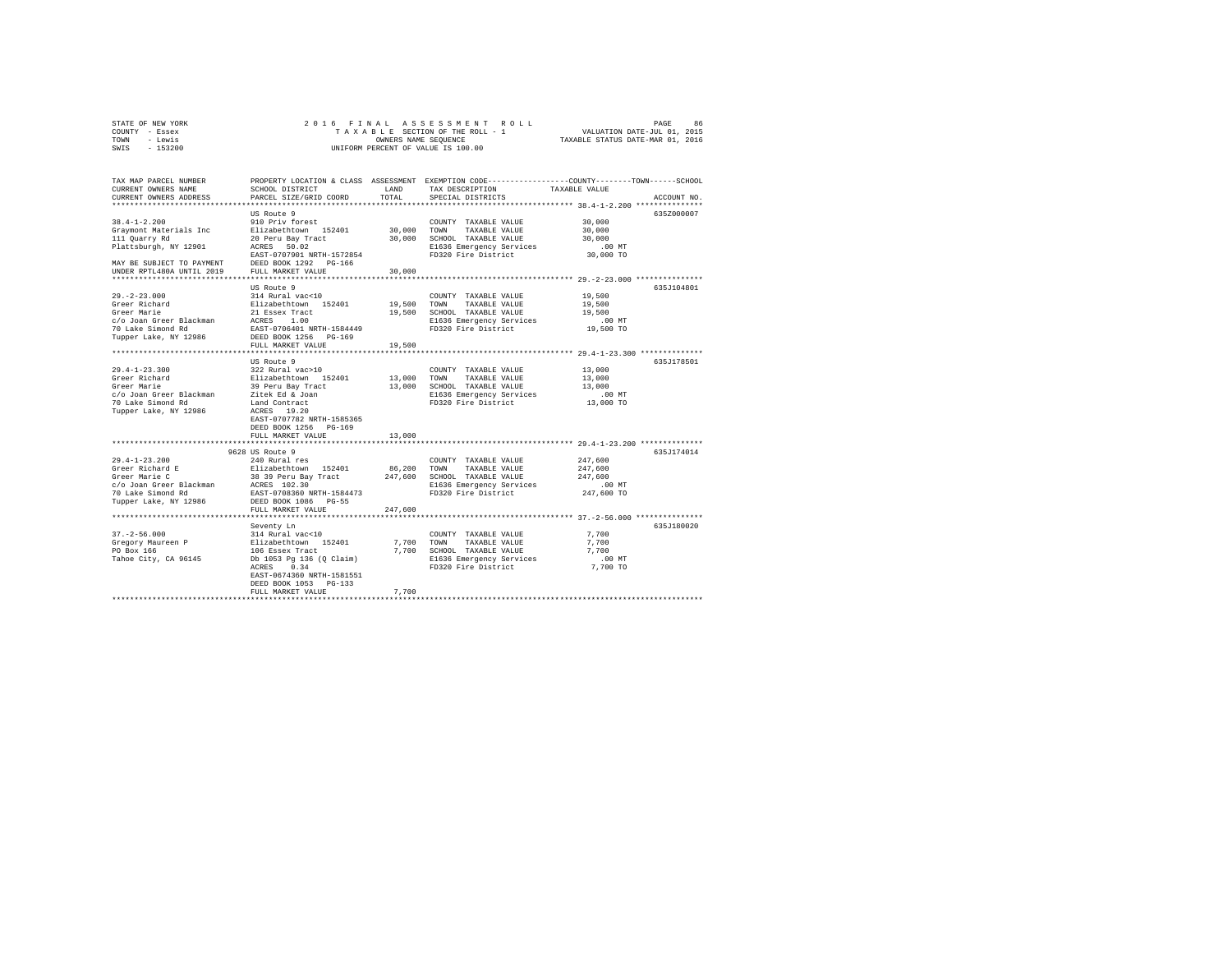|                | STATE OF NEW YORK |  |  |  |                                    |  | 2016 FINAL ASSESSMENT ROLL |                                  | PAGE | 86 |
|----------------|-------------------|--|--|--|------------------------------------|--|----------------------------|----------------------------------|------|----|
| COUNTY - Essex |                   |  |  |  | TAXABLE SECTION OF THE ROLL - 1    |  |                            | VALUATION DATE-JUL 01, 2015      |      |    |
| TOWN           | - Lewis           |  |  |  | OWNERS NAME SEOUENCE               |  |                            | TAXABLE STATUS DATE-MAR 01, 2016 |      |    |
| SWTS           | - 153200          |  |  |  | UNIFORM PERCENT OF VALUE IS 100.00 |  |                            |                                  |      |    |

| TAX MAP PARCEL NUMBER<br>CURRENT OWNERS NAME                                                                                                                                    | SCHOOL DISTRICT                  | LAND        | TAX DESCRIPTION              | PROPERTY LOCATION & CLASS ASSESSMENT EXEMPTION CODE---------------COUNTY-------TOWN-----SCHOOL<br>TAXABLE VALUE |
|---------------------------------------------------------------------------------------------------------------------------------------------------------------------------------|----------------------------------|-------------|------------------------------|-----------------------------------------------------------------------------------------------------------------|
| CURRENT OWNERS ADDRESS                                                                                                                                                          | PARCEL SIZE/GRID COORD           | TOTAL       | SPECIAL DISTRICTS            | ACCOUNT NO.                                                                                                     |
|                                                                                                                                                                                 |                                  |             |                              |                                                                                                                 |
|                                                                                                                                                                                 | US Route 9                       |             |                              | 635Z000007                                                                                                      |
| $38.4 - 1 - 2.200$                                                                                                                                                              | 910 Priv forest                  |             | COUNTY TAXABLE VALUE         | 30,000                                                                                                          |
| Graymont Materials Inc                                                                                                                                                          | Elizabethtown 152401             | 30,000 TOWN | TAXABLE VALUE                | 30,000                                                                                                          |
| 111 Quarry Rd                                                                                                                                                                   | 20 Peru Bay Tract<br>ACRES 50.02 |             | 30,000 SCHOOL TAXABLE VALUE  | 30,000                                                                                                          |
| Plattsburgh, NY 12901                                                                                                                                                           | ACRES 50.02                      |             | E1636 Emergency Services     | $.00$ MT                                                                                                        |
|                                                                                                                                                                                 | EAST-0707901 NRTH-1572854        |             | FD320 Fire District          | 30,000 TO                                                                                                       |
| MAY BE SUBJECT TO PAYMENT                                                                                                                                                       | DEED BOOK 1292 PG-166            |             |                              |                                                                                                                 |
| UNDER RPTL480A UNTIL 2019                                                                                                                                                       | FULL MARKET VALUE                | 30,000      |                              |                                                                                                                 |
|                                                                                                                                                                                 |                                  |             |                              |                                                                                                                 |
|                                                                                                                                                                                 | US Route 9                       |             |                              | 635J104801                                                                                                      |
| $29. -2 - 23.000$                                                                                                                                                               | 314 Rural vac<10                 |             | COUNTY TAXABLE VALUE         | 19,500                                                                                                          |
| Greer Richard                                                                                                                                                                   | Elizabethtown 152401             | 19,500 TOWN | TAXABLE VALUE                | 19,500                                                                                                          |
| Greer Marie                                                                                                                                                                     | 21 Essex Tract                   |             | 19,500 SCHOOL TAXABLE VALUE  | 19,500                                                                                                          |
| c/o Joan Greer Blackman ACRES                                                                                                                                                   | 1.00                             |             | E1636 Emergency Services     | $.00$ MT                                                                                                        |
| 70 Lake Simond Rd                                                                                                                                                               | EAST-0706401 NRTH-1584449        |             | FD320 Fire District          | 19,500 TO                                                                                                       |
| Tupper Lake, NY 12986                                                                                                                                                           | DEED BOOK 1256 PG-169            |             |                              |                                                                                                                 |
|                                                                                                                                                                                 | FULL MARKET VALUE                | 19,500      |                              |                                                                                                                 |
|                                                                                                                                                                                 |                                  |             |                              |                                                                                                                 |
|                                                                                                                                                                                 | US Route 9                       |             |                              | 635J178501                                                                                                      |
| $29.4 - 1 - 23.300$                                                                                                                                                             | 322 Rural vac>10                 |             | COUNTY TAXABLE VALUE         | 13,000                                                                                                          |
| Greer Richard                                                                                                                                                                   | Elizabethtown 152401             | 13,000 TOWN | TAXABLE VALUE                | 13,000                                                                                                          |
| Greer Marie                                                                                                                                                                     | 39 Peru Bay Tract                |             | 13,000 SCHOOL TAXABLE VALUE  | 13,000                                                                                                          |
| c/o Joan Greer Blackman Zitek Ed & Joan                                                                                                                                         |                                  |             |                              | .00 MT                                                                                                          |
|                                                                                                                                                                                 |                                  |             | E1636 Emergency Services     |                                                                                                                 |
| 70 Lake Simond Rd                                                                                                                                                               | Land Contract                    |             | FD320 Fire District          | 13,000 TO                                                                                                       |
| Tupper Lake, NY 12986                                                                                                                                                           | ACRES 19.20                      |             |                              |                                                                                                                 |
|                                                                                                                                                                                 | EAST-0707782 NRTH-1585365        |             |                              |                                                                                                                 |
|                                                                                                                                                                                 | DEED BOOK 1256 PG-169            |             |                              |                                                                                                                 |
|                                                                                                                                                                                 | FULL MARKET VALUE                | 13,000      |                              |                                                                                                                 |
|                                                                                                                                                                                 |                                  |             |                              |                                                                                                                 |
|                                                                                                                                                                                 | 9628 US Route 9                  |             |                              | 635J174014                                                                                                      |
| $29.4 - 1 - 23.200$<br>29.4-1-43.2.2.<br>Greer Richard E                                                                                                                        | 240 Rural res                    |             | COUNTY TAXABLE VALUE         | 247,600                                                                                                         |
|                                                                                                                                                                                 |                                  | 86,200 TOWN | TAXABLE VALUE                | 247.600                                                                                                         |
|                                                                                                                                                                                 |                                  |             | 247,600 SCHOOL TAXABLE VALUE | 247.600                                                                                                         |
| Greer Richard E<br>Greer Marie C<br>28 39 Peru Bay Tract<br>26 Joan Greer Blackman<br>20 20 30<br>20 30<br>20 30<br>20 30<br>20 30<br>20 30<br>20 30<br>20 30<br>20 30<br>20 30 |                                  |             | E1636 Emergency Services     | $.00$ MT                                                                                                        |
| 70 Lake Simond Rd                                                                                                                                                               | EAST-0708360 NRTH-1584473        |             | FD320 Fire District          | 247,600 TO                                                                                                      |
| Tupper Lake, NY 12986                                                                                                                                                           | DEED BOOK 1086 PG-55             |             |                              |                                                                                                                 |
|                                                                                                                                                                                 | FULL MARKET VALUE                | 247,600     |                              |                                                                                                                 |
|                                                                                                                                                                                 |                                  |             |                              |                                                                                                                 |
|                                                                                                                                                                                 | Seventy Ln                       |             |                              | 635J180020                                                                                                      |
| $37. - 2 - 56.000$                                                                                                                                                              | 314 Rural vac<10                 |             | COUNTY TAXABLE VALUE         | 7,700                                                                                                           |
| 31.2401<br>Gregory Maureen P<br>PO Box 166<br>106 Essex Tract                                                                                                                   |                                  |             | 7,700 TOWN TAXABLE VALUE     | 7,700                                                                                                           |
|                                                                                                                                                                                 |                                  |             | 7,700 SCHOOL TAXABLE VALUE   | 7.700                                                                                                           |
| Tahoe City, CA 96145                                                                                                                                                            | Db 1053 Pg 136 (Q Claim)         |             | E1636 Emergency Services     | .00 MT                                                                                                          |
|                                                                                                                                                                                 | 0.34<br>ACRES                    |             | FD320 Fire District          | 7,700 TO                                                                                                        |
|                                                                                                                                                                                 | EAST-0674360 NRTH-1581551        |             |                              |                                                                                                                 |
|                                                                                                                                                                                 | DEED BOOK 1053 PG-133            |             |                              |                                                                                                                 |
|                                                                                                                                                                                 | FULL MARKET VALUE                | 7,700       |                              |                                                                                                                 |
|                                                                                                                                                                                 |                                  |             |                              |                                                                                                                 |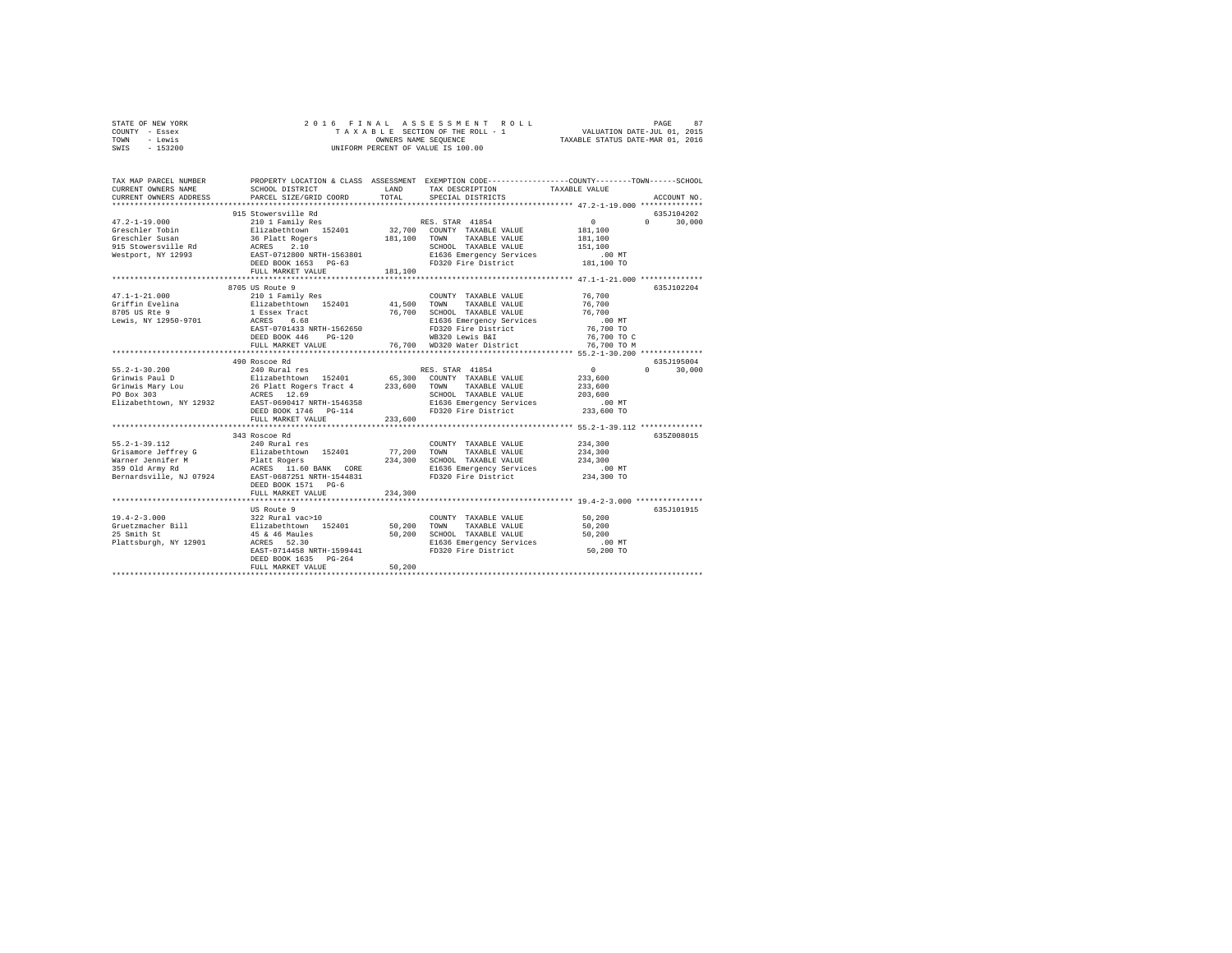| STATE OF NEW YORK | 2016 FINAL ASSESSMENT ROLL         | 87<br>PAGE                       |
|-------------------|------------------------------------|----------------------------------|
| COUNTY - Essex    | TAXABLE SECTION OF THE ROLL - 1    | VALUATION DATE-JUL 01, 2015      |
| TOWN<br>- Lewis   | OWNERS NAME SEOUENCE               | TAXABLE STATUS DATE-MAR 01, 2016 |
| - 153200<br>SWIS  | UNIFORM PERCENT OF VALUE IS 100.00 |                                  |

| TAX MAP PARCEL NUMBER<br>CURRENT OWNERS NAME<br>CURRENT OWNERS ADDRESS                                 | SCHOOL DISTRICT<br>PARCEL SIZE/GRID COORD                                                                                                                                                                                                   | LAND<br>TOTAL              | PROPERTY LOCATION & CLASS ASSESSMENT EXEMPTION CODE----------------COUNTY-------TOWN------SCHOOL<br>TAX DESCRIPTION<br>SPECIAL DISTRICTS                                  | TAXABLE VALUE                                                                     | ACCOUNT NO.                      |
|--------------------------------------------------------------------------------------------------------|---------------------------------------------------------------------------------------------------------------------------------------------------------------------------------------------------------------------------------------------|----------------------------|---------------------------------------------------------------------------------------------------------------------------------------------------------------------------|-----------------------------------------------------------------------------------|----------------------------------|
| $47.2 - 1 - 19.000$<br>Greschler Tobin<br>Greschler Susan<br>915 Stowersville Rd<br>Westport, NY 12993 | 915 Stowersville Rd<br>210 1 Family Res<br>Elizabethtown 152401 32,700 COUNTY TAXABLE VALUE<br>36 Platt Rogers<br>ACRES<br>2.10<br>EAST-0712800 NRTH-1563801<br>DEED BOOK 1653 PG-63<br>FULL MARKET VALUE<br>****************************** | 181,100 TOWN<br>181,100    | RES. STAR 41854<br>TAXABLE VALUE<br>SCHOOL TAXABLE VALUE<br>E1636 Emergency Services<br>FD320 Fire District                                                               | $\Omega$<br>181,100<br>181,100<br>151,100<br>$.00$ MT<br>181,100 TO               | 635J104202<br>30,000<br>$\Omega$ |
| $47.1 - 1 - 21.000$<br>Griffin Evelina<br>8705 US Rte 9<br>Lewis, NY 12950-9701                        | 8705 US Route 9<br>210 1 Family Res<br>Elizabethtown 152401<br>1 Essex Tract<br>6.68<br>ACRES<br>EAST-0701433 NRTH-1562650<br>$PG-120$<br>DEED BOOK 446<br>FULL MARKET VALUE                                                                | 41,500 TOWN                | COUNTY TAXABLE VALUE<br>TAXABLE VALUE<br>76,700 SCHOOL TAXABLE VALUE<br>E1636 Emergency Services<br>FD320 Fire District<br>WB320 Lewis B&I<br>76.700 WD320 Water District | 76,700<br>76,700<br>76,700<br>$.00$ MT<br>76,700 TO<br>76,700 TO C<br>76,700 TO M | 635J102204                       |
|                                                                                                        |                                                                                                                                                                                                                                             |                            |                                                                                                                                                                           |                                                                                   |                                  |
| $55.2 - 1 - 30.200$<br>Grinwis Paul D<br>Elizabethtown, NY 12932                                       | 490 Roscoe Rd<br>240 Rural res<br>zao kurai res<br>Elizabethtown 152401<br>EAST-0690417 NRTH-1546358<br>DEED BOOK 1746    PG-114                                                                                                            |                            | RES. STAR 41854<br>65,300 COUNTY TAXABLE VALUE<br>TAXABLE VALUE<br>SCHOOL TAXABLE VALUE<br>E1636 Emergency Services<br>FD320 Fire District                                | $\sim$ 0<br>233,600<br>233,600<br>203,600<br>.00 MT<br>233,600 TO                 | 635J195004<br>$\cap$<br>30,000   |
|                                                                                                        | FULL MARKET VALUE                                                                                                                                                                                                                           | 233,600                    |                                                                                                                                                                           |                                                                                   |                                  |
| $55.2 - 1 - 39.112$<br>Warner Jennifer M<br>359 Old Army Rd                                            | 343 Roscoe Rd<br>240 Rural res<br>Grisamore Jeffrey G Elizabethtown 152401<br>Platt Rogers<br>ACRES 11.60 BANK CORE                                                                                                                         | 77,200<br>234,300          | COUNTY TAXABLE VALUE<br>TOWN<br>TAXABLE VALUE<br>SCHOOL TAXABLE VALUE<br>E1636 Emergency Services                                                                         | 234,300<br>234,300<br>234,300<br>$.00$ MT                                         | 635Z008015                       |
| Bernardsville, NJ 07924                                                                                | EAST-0687251 NRTH-1544831<br>DEED BOOK 1571 PG-6<br>FULL MARKET VALUE                                                                                                                                                                       | 234,300                    | FD320 Fire District                                                                                                                                                       | 234,300 TO                                                                        |                                  |
|                                                                                                        |                                                                                                                                                                                                                                             |                            |                                                                                                                                                                           |                                                                                   |                                  |
| $19.4 - 2 - 3.000$<br>Gruetzmacher Bill<br>25 Smith St<br>Plattsburgh, NY 12901                        | US Route 9<br>322 Rural vac>10<br>Elizabethtown 152401<br>$45$ & $46$ Maules<br>ACRES 52.30<br>EAST-0714458 NRTH-1599441<br>DEED BOOK 1635 PG-264<br>FULL MARKET VALUE                                                                      | 50,200<br>50,200<br>50,200 | COUNTY TAXABLE VALUE<br>TAXABLE VALUE<br>TOWN<br>SCHOOL TAXABLE VALUE<br>E1636 Emergency Services<br>FD320 Fire District                                                  | 50,200<br>50,200<br>50,200<br>.00MT<br>50,200 TO                                  | 635J101915                       |
|                                                                                                        |                                                                                                                                                                                                                                             |                            |                                                                                                                                                                           |                                                                                   |                                  |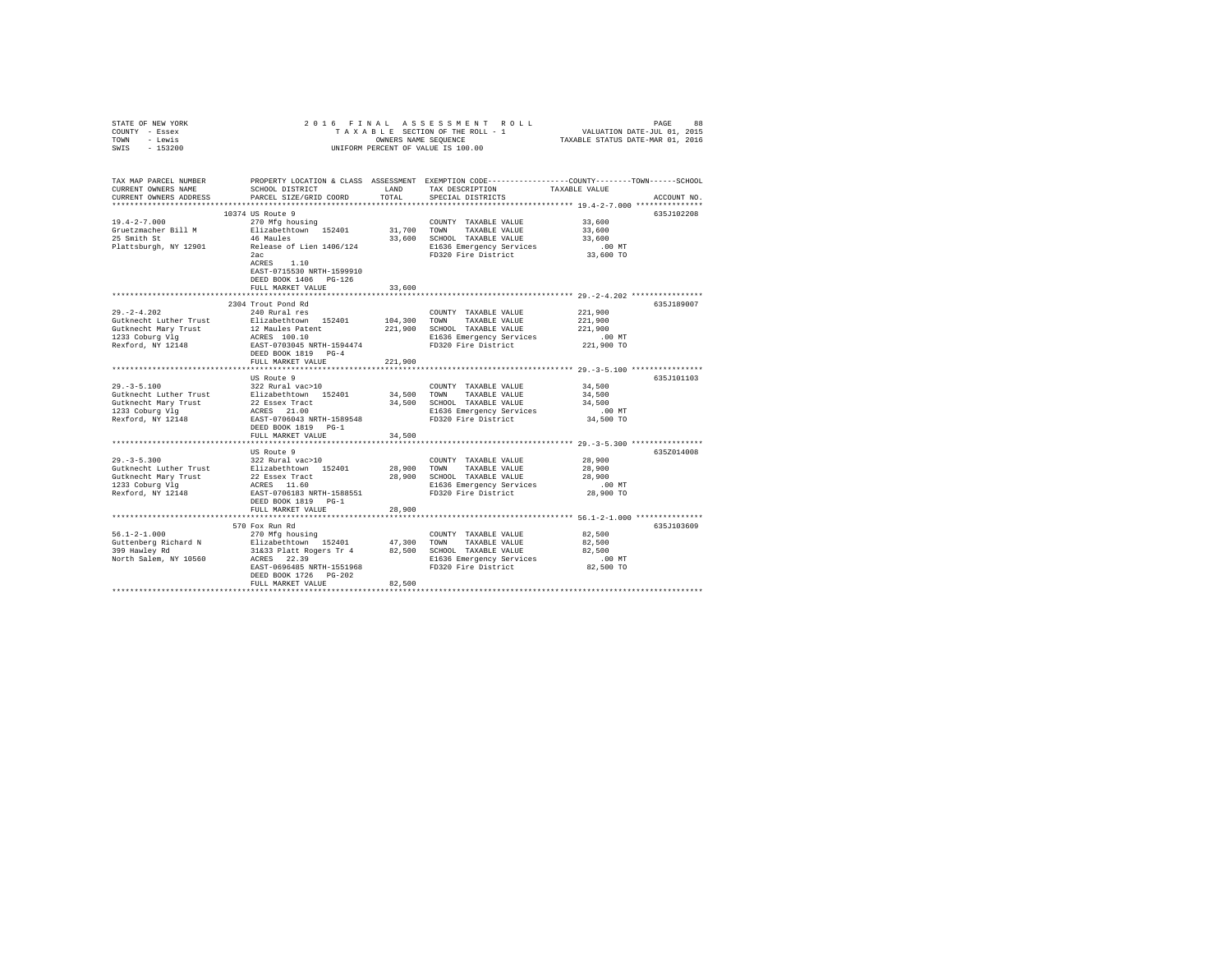| STATE OF NEW YORK<br>COUNTY - Essex<br>TOWN<br>- Lewis<br>SWIS<br>$-153200$ | 2016 FINAL                                                                                                         |               | ${\tt AS} \, \, {\tt S} \, \, {\tt B} \, \, {\tt S} \, \, {\tt S} \, \, {\tt S} \, \, {\tt S} \, \, {\tt S} \, \, {\tt S} \, \, {\tt S} \, \, {\tt N} \, \, {\tt N} \, \, {\tt N} \, \, {\tt N} \, \, {\tt N} \, \, {\tt N} \, \, {\tt N} \, \, {\tt N} \, \, {\tt N} \, \, {\tt N} \, \, {\tt N} \, \, {\tt N} \, \, {\tt N} \, \, {\tt N} \, \, {\tt N} \, \, {\tt N} \, \, {\tt N} \, \, {\tt N}$<br>TAXABLE SECTION OF THE ROLL - 1<br>OWNERS NAME SEQUENCE<br>UNIFORM PERCENT OF VALUE IS 100.00 | TAXABLE STATUS DATE-MAR 01, 2016 |             |
|-----------------------------------------------------------------------------|--------------------------------------------------------------------------------------------------------------------|---------------|-------------------------------------------------------------------------------------------------------------------------------------------------------------------------------------------------------------------------------------------------------------------------------------------------------------------------------------------------------------------------------------------------------------------------------------------------------------------------------------------------------|----------------------------------|-------------|
| TAX MAP PARCEL NUMBER<br>CURRENT OWNERS NAME<br>CURRENT OWNERS ADDRESS      | PROPERTY LOCATION & CLASS ASSESSMENT EXEMPTION CODE----------------COUNTY-------TOWN-----SCHOOL<br>SCHOOL DISTRICT | LAND<br>TOTAL | TAX DESCRIPTION                                                                                                                                                                                                                                                                                                                                                                                                                                                                                       | TAXABLE VALUE                    | ACCOUNT NO. |
|                                                                             | PARCEL SIZE/GRID COORD                                                                                             |               | SPECIAL DISTRICTS                                                                                                                                                                                                                                                                                                                                                                                                                                                                                     |                                  |             |
|                                                                             | 10374 US Route 9                                                                                                   |               |                                                                                                                                                                                                                                                                                                                                                                                                                                                                                                       |                                  | 635J102208  |
| $19.4 - 2 - 7.000$                                                          | 270 Mfg housing                                                                                                    |               | COUNTY TAXABLE VALUE                                                                                                                                                                                                                                                                                                                                                                                                                                                                                  | 33,600                           |             |
| Gruetzmacher Bill M                                                         | Elizabethtown 152401                                                                                               | 31,700 TOWN   | TAXABLE VALUE                                                                                                                                                                                                                                                                                                                                                                                                                                                                                         | 33,600                           |             |
| 25 Smith St                                                                 | 46 Maules                                                                                                          |               | 33,600 SCHOOL TAXABLE VALUE                                                                                                                                                                                                                                                                                                                                                                                                                                                                           | 33,600                           |             |
| Plattsburgh, NY 12901                                                       | Release of Lien 1406/124                                                                                           |               | E1636 Emergency Services<br>FD320 Fire District                                                                                                                                                                                                                                                                                                                                                                                                                                                       | $.00$ MT                         |             |
|                                                                             | 2ac<br>ACRES 1.10<br>EAST-0715530 NRTH-1599910<br>DEED BOOK 1406 PG-126<br>FULL MARKET VALUE                       | 33,600        |                                                                                                                                                                                                                                                                                                                                                                                                                                                                                                       | 33,600 TO                        |             |
|                                                                             |                                                                                                                    |               |                                                                                                                                                                                                                                                                                                                                                                                                                                                                                                       |                                  |             |
|                                                                             | 2304 Trout Pond Rd                                                                                                 |               |                                                                                                                                                                                                                                                                                                                                                                                                                                                                                                       |                                  | 635J189007  |
| $29. -2 - 4.202$                                                            | 240 Rural res                                                                                                      |               | COUNTY TAXABLE VALUE                                                                                                                                                                                                                                                                                                                                                                                                                                                                                  | 221,900                          |             |
| Gutknecht Luther Trust                                                      | Elizabethtown 152401                                                                                               | 104,300       | TOWN<br>TAXABLE VALUE                                                                                                                                                                                                                                                                                                                                                                                                                                                                                 | 221,900                          |             |
| Gutknecht Mary Trust                                                        | 12 Maules Patent<br>ACRES 100.10                                                                                   | 221,900       | SCHOOL TAXABLE VALUE                                                                                                                                                                                                                                                                                                                                                                                                                                                                                  | 221,900                          |             |
| 1233 Coburg Vlg<br>Rexford, NY 12148                                        |                                                                                                                    |               | E1636 Emergency Services                                                                                                                                                                                                                                                                                                                                                                                                                                                                              | $.00$ MT                         |             |
|                                                                             | EAST-0703045 NRTH-1594474<br>DEED BOOK 1819 PG-4<br>FULL MARKET VALUE                                              | 221,900       | FD320 Fire District                                                                                                                                                                                                                                                                                                                                                                                                                                                                                   | 221,900 TO                       |             |
|                                                                             | **************************                                                                                         |               |                                                                                                                                                                                                                                                                                                                                                                                                                                                                                                       |                                  |             |
|                                                                             | US Route 9                                                                                                         |               |                                                                                                                                                                                                                                                                                                                                                                                                                                                                                                       |                                  | 635J101103  |
| $29. - 3 - 5.100$                                                           | 322 Rural vac>10                                                                                                   |               | COUNTY TAXABLE VALUE                                                                                                                                                                                                                                                                                                                                                                                                                                                                                  | 34,500                           |             |
| Gutknecht Luther Trust                                                      | Elizabethtown 152401<br>22 Essex Tract<br>ACRES 21.00                                                              | 34,500        | TOWN<br>TAXABLE VALUE                                                                                                                                                                                                                                                                                                                                                                                                                                                                                 | 34,500                           |             |
| Gutknecht Mary Trust                                                        |                                                                                                                    | 34,500        | SCHOOL TAXABLE VALUE                                                                                                                                                                                                                                                                                                                                                                                                                                                                                  | 34,500                           |             |
| 1233 Coburg Vlg                                                             |                                                                                                                    |               | E1636 Emergency Services                                                                                                                                                                                                                                                                                                                                                                                                                                                                              | $.00$ MT                         |             |
| Rexford, NY 12148                                                           | EAST-0706043 NRTH-1589548<br>DEED BOOK 1819 PG-1<br>FULL MARKET VALUE                                              | 34,500        | FD320 Fire District                                                                                                                                                                                                                                                                                                                                                                                                                                                                                   | 34,500 TO                        |             |
|                                                                             |                                                                                                                    |               |                                                                                                                                                                                                                                                                                                                                                                                                                                                                                                       |                                  |             |
|                                                                             | US Route 9                                                                                                         |               |                                                                                                                                                                                                                                                                                                                                                                                                                                                                                                       |                                  | 635Z014008  |
| $29. - 3 - 5.300$                                                           | 322 Rural vac>10                                                                                                   |               | COUNTY TAXABLE VALUE                                                                                                                                                                                                                                                                                                                                                                                                                                                                                  | 28,900                           |             |
| Gutknecht Luther Trust                                                      | Elizabethtown 152401                                                                                               | 28,900        | TOWN<br>TAXABLE VALUE                                                                                                                                                                                                                                                                                                                                                                                                                                                                                 | 28,900                           |             |
| Gutknecht Mary Trust                                                        | 22 Essex Tract<br>ACRES 11.60<br>EAST-0706183 NRTH-1588551                                                         | 28,900        | SCHOOL TAXABLE VALUE                                                                                                                                                                                                                                                                                                                                                                                                                                                                                  | 28,900                           |             |
| 1233 Coburg Vlg                                                             |                                                                                                                    |               | E1636 Emergency Services                                                                                                                                                                                                                                                                                                                                                                                                                                                                              | $.00$ MT                         |             |
| Rexford, NY 12148                                                           | DEED BOOK 1819 PG-1                                                                                                |               | FD320 Fire District                                                                                                                                                                                                                                                                                                                                                                                                                                                                                   | 28,900 TO                        |             |
|                                                                             | FULL MARKET VALUE                                                                                                  | 28,900        |                                                                                                                                                                                                                                                                                                                                                                                                                                                                                                       |                                  |             |
|                                                                             | 570 Fox Run Rd                                                                                                     |               |                                                                                                                                                                                                                                                                                                                                                                                                                                                                                                       |                                  | 635J103609  |
| $56.1 - 2 - 1.000$                                                          | 270 Mfg housing                                                                                                    |               | COUNTY TAXABLE VALUE                                                                                                                                                                                                                                                                                                                                                                                                                                                                                  | 82,500                           |             |
| Guttenberg Richard N                                                        | Elizabethtown 152401 47,300 TOWN TAXABLE VALUE                                                                     |               |                                                                                                                                                                                                                                                                                                                                                                                                                                                                                                       | 82,500                           |             |
| 399 Hawley Rd                                                               | 31&33 Platt Rogers Tr 4 82,500 SCHOOL TAXABLE VALUE                                                                |               |                                                                                                                                                                                                                                                                                                                                                                                                                                                                                                       | 82,500                           |             |
| North Salem, NY 10560                                                       | ACRES 22.39                                                                                                        |               | E1636 Emergency Services                                                                                                                                                                                                                                                                                                                                                                                                                                                                              | $.00$ MT                         |             |
|                                                                             | EAST-0696485 NRTH-1551968<br>DEED BOOK 1726 PG-202                                                                 |               | FD320 Fire District                                                                                                                                                                                                                                                                                                                                                                                                                                                                                   | 82,500 TO                        |             |
|                                                                             | FULL MARKET VALUE                                                                                                  | 82,500        |                                                                                                                                                                                                                                                                                                                                                                                                                                                                                                       |                                  |             |
|                                                                             |                                                                                                                    |               |                                                                                                                                                                                                                                                                                                                                                                                                                                                                                                       |                                  |             |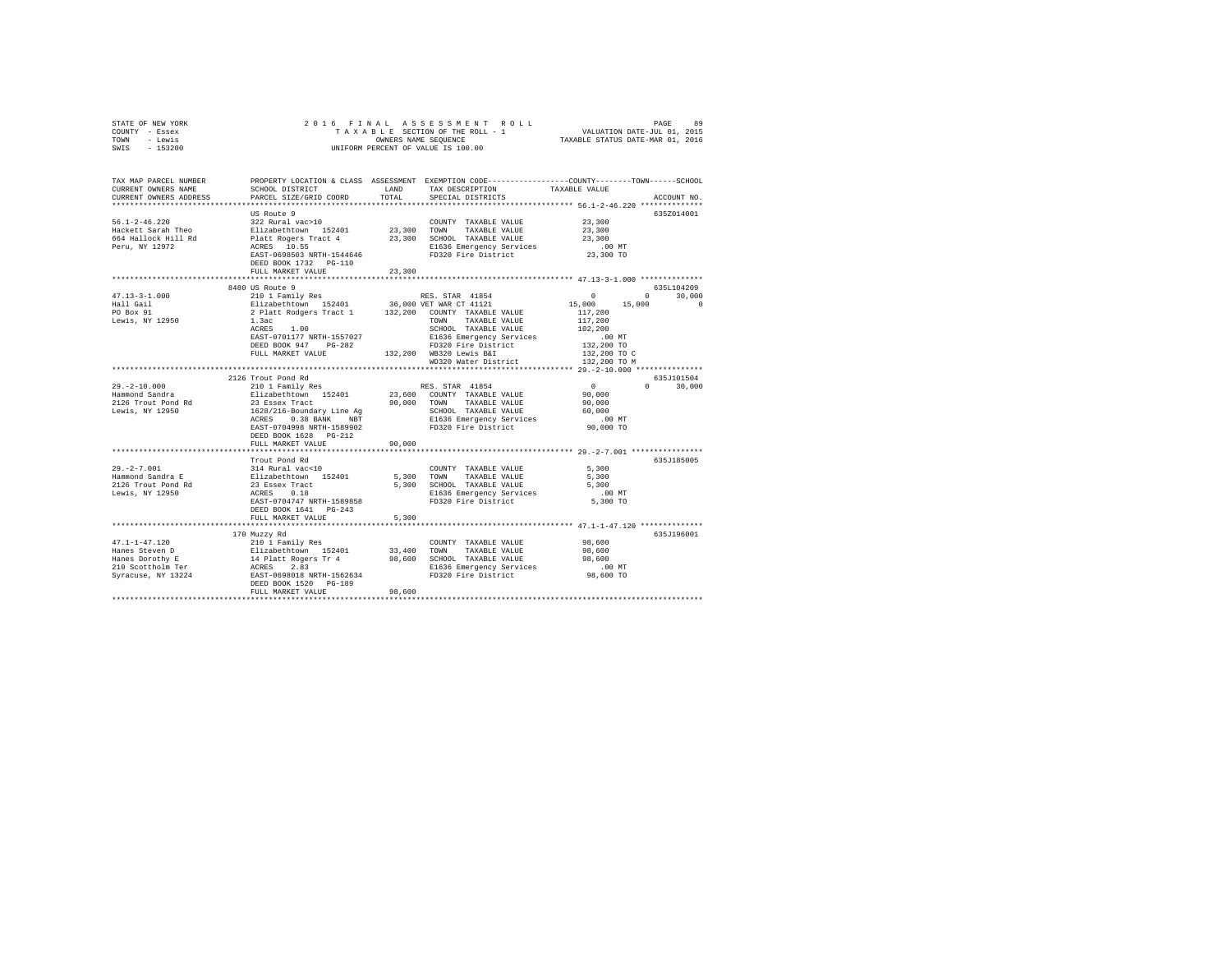| STATE OF NEW YORK<br>COUNTY - Essex<br>TOWN - Lewis<br>SWIS - 153200                                                                                                                                                                                                                                                                                                                           |                                                                                                                                                                                                                                |        | OWNERS NAME SEQUENCE<br>UNIFORM PERCENT OF VALUE IS 100.00                                                         |                                        |                             |
|------------------------------------------------------------------------------------------------------------------------------------------------------------------------------------------------------------------------------------------------------------------------------------------------------------------------------------------------------------------------------------------------|--------------------------------------------------------------------------------------------------------------------------------------------------------------------------------------------------------------------------------|--------|--------------------------------------------------------------------------------------------------------------------|----------------------------------------|-----------------------------|
| TAX MAP PARCEL NUMBER<br>CURRENT OWNERS NAME                                                                                                                                                                                                                                                                                                                                                   | SCHOOL DISTRICT                                                                                                                                                                                                                | LAND   | PROPERTY LOCATION & CLASS ASSESSMENT EXEMPTION CODE---------------COUNTY-------TOWN------SCHOOL<br>TAX DESCRIPTION | TAXABLE VALUE                          |                             |
| CURRENT OWNERS ADDRESS                                                                                                                                                                                                                                                                                                                                                                         | PARCEL SIZE/GRID COORD                                                                                                                                                                                                         | TOTAL  | SPECIAL DISTRICTS                                                                                                  |                                        | ACCOUNT NO.                 |
|                                                                                                                                                                                                                                                                                                                                                                                                |                                                                                                                                                                                                                                |        |                                                                                                                    |                                        |                             |
|                                                                                                                                                                                                                                                                                                                                                                                                | US Route 9                                                                                                                                                                                                                     |        |                                                                                                                    |                                        | 635Z014001                  |
| $56.1 - 2 - 46.220$<br>Hackett Sarah Theo                                                                                                                                                                                                                                                                                                                                                      | 322 Rural vac>10                                                                                                                                                                                                               |        | COUNTY TAXABLE VALUE                                                                                               | 23,300<br>23,300                       |                             |
| 664 Hallock Hill Rd                                                                                                                                                                                                                                                                                                                                                                            |                                                                                                                                                                                                                                |        |                                                                                                                    | 23,300                                 |                             |
| Peru, NY 12972                                                                                                                                                                                                                                                                                                                                                                                 |                                                                                                                                                                                                                                |        |                                                                                                                    |                                        |                             |
|                                                                                                                                                                                                                                                                                                                                                                                                | EAST-0698503 NRTH-1544646<br>DEED BOOK 1732 PG-110                                                                                                                                                                             |        | FD320 Fire District                                                                                                | 00 MT.<br>23,300 TO                    |                             |
|                                                                                                                                                                                                                                                                                                                                                                                                | FULL MARKET VALUE                                                                                                                                                                                                              | 23,300 |                                                                                                                    |                                        |                             |
|                                                                                                                                                                                                                                                                                                                                                                                                |                                                                                                                                                                                                                                |        |                                                                                                                    |                                        |                             |
|                                                                                                                                                                                                                                                                                                                                                                                                | 8480 US Route 9                                                                                                                                                                                                                |        |                                                                                                                    |                                        | 635L104209                  |
| $47.13 - 3 - 1.000$                                                                                                                                                                                                                                                                                                                                                                            | 210 1 Family Res RES. STAR 41854<br>Elizabethtown 152401 36,000 VET WAR CT 41121                                                                                                                                               |        |                                                                                                                    | $\sim$ 0 $\sim$<br>$15,000$ $15,000$ 0 | $0 \t 30.000$               |
| Hall Gail                                                                                                                                                                                                                                                                                                                                                                                      |                                                                                                                                                                                                                                |        |                                                                                                                    | 117,200                                |                             |
| PO Box 91<br>Lewis, NY 12950                                                                                                                                                                                                                                                                                                                                                                   | 2 Platt Rodgers Tract 1 132,200 COUNTY TAXABLE VALUE 1.3ac 2000 1.3ac 2000 1.3ac 2000 1.2ac 2000 1.3ac 2000 1.2ac 2000 1.2ac 2000 1.2ac 2000 1.2ac 2000 1.2ac 2000 1.2ac 2000 1.2ac 2000 1.2ac 2000 1.2ac 2000 1.2ac 2000 1.2a |        |                                                                                                                    | 117,200                                |                             |
|                                                                                                                                                                                                                                                                                                                                                                                                | 1.3ac<br>ACRES 1.00                                                                                                                                                                                                            |        | SCHOOL TAXABLE VALUE                                                                                               | 102,200                                |                             |
|                                                                                                                                                                                                                                                                                                                                                                                                | EAST-0701177 NRTH-1557027                                                                                                                                                                                                      |        | E1636 Emergency Services                                                                                           |                                        |                             |
|                                                                                                                                                                                                                                                                                                                                                                                                | DEED BOOK 947 PG-282                                                                                                                                                                                                           |        | FD320 Fire District                                                                                                | .00 MT<br>132,200 TO                   |                             |
|                                                                                                                                                                                                                                                                                                                                                                                                | FULL MARKET VALUE 132,200 WB320 Lewis B&I                                                                                                                                                                                      |        |                                                                                                                    | 132,200 TO C                           |                             |
|                                                                                                                                                                                                                                                                                                                                                                                                |                                                                                                                                                                                                                                |        | WD320 Water District 132,200 TO M                                                                                  |                                        |                             |
|                                                                                                                                                                                                                                                                                                                                                                                                |                                                                                                                                                                                                                                |        |                                                                                                                    |                                        |                             |
|                                                                                                                                                                                                                                                                                                                                                                                                | 2126 Trout Pond Rd<br>210 1 Family Res                                                                                                                                                                                         |        |                                                                                                                    |                                        | 635J101504<br>$0 \t 30.000$ |
| 29.-2-10.000<br>Hammond Sandra                                                                                                                                                                                                                                                                                                                                                                 |                                                                                                                                                                                                                                |        |                                                                                                                    |                                        |                             |
|                                                                                                                                                                                                                                                                                                                                                                                                |                                                                                                                                                                                                                                |        |                                                                                                                    |                                        |                             |
| 2126 Trout Pond Rd<br>Lewis, NY 12950                                                                                                                                                                                                                                                                                                                                                          |                                                                                                                                                                                                                                |        |                                                                                                                    |                                        |                             |
|                                                                                                                                                                                                                                                                                                                                                                                                |                                                                                                                                                                                                                                |        |                                                                                                                    |                                        |                             |
|                                                                                                                                                                                                                                                                                                                                                                                                |                                                                                                                                                                                                                                |        |                                                                                                                    |                                        |                             |
|                                                                                                                                                                                                                                                                                                                                                                                                |                                                                                                                                                                                                                                |        |                                                                                                                    |                                        |                             |
|                                                                                                                                                                                                                                                                                                                                                                                                | FULL MARKET VALUE                                                                                                                                                                                                              | 90,000 |                                                                                                                    |                                        |                             |
|                                                                                                                                                                                                                                                                                                                                                                                                | Trout Pond Rd                                                                                                                                                                                                                  |        |                                                                                                                    |                                        | 635J185005                  |
| $29. -2 - 7.001$                                                                                                                                                                                                                                                                                                                                                                               | 314 Rural vac<10                                                                                                                                                                                                               |        | COUNTY TAXABLE VALUE                                                                                               | 5,300                                  |                             |
|                                                                                                                                                                                                                                                                                                                                                                                                |                                                                                                                                                                                                                                |        | 5,300 TOWN TAXABLE VALUE                                                                                           | 5,300                                  |                             |
| Hammond Sandra E<br>2126 Trout Pond Rd                                                                                                                                                                                                                                                                                                                                                         |                                                                                                                                                                                                                                |        | 5,300 SCHOOL TAXABLE VALUE                                                                                         | 5,300                                  |                             |
| Lewis, NY 12950                                                                                                                                                                                                                                                                                                                                                                                | Elizabethtown 152401<br>23 Essex Tract<br>ACRES 0.18                                                                                                                                                                           |        |                                                                                                                    | .00MT                                  |                             |
|                                                                                                                                                                                                                                                                                                                                                                                                | EAST-0704747 NRTH-1589858                                                                                                                                                                                                      |        | E1636 Emergency Services<br>FD320 Fire District                                                                    | $5,300$ TO                             |                             |
|                                                                                                                                                                                                                                                                                                                                                                                                | DEED BOOK 1641 PG-243                                                                                                                                                                                                          |        |                                                                                                                    |                                        |                             |
|                                                                                                                                                                                                                                                                                                                                                                                                | FULL MARKET VALUE                                                                                                                                                                                                              | 5,300  |                                                                                                                    |                                        |                             |
|                                                                                                                                                                                                                                                                                                                                                                                                |                                                                                                                                                                                                                                |        |                                                                                                                    |                                        |                             |
|                                                                                                                                                                                                                                                                                                                                                                                                | 170 Muzzy Rd                                                                                                                                                                                                                   |        |                                                                                                                    |                                        | 635J196001                  |
| $\begin{tabular}{l c c c c c c c c} \multicolumn{3}{c c c c} \multicolumn{3}{c c c} \multicolumn{3}{c c c} \multicolumn{3}{c c c} \multicolumn{3}{c c c} \multicolumn{3}{c c c} \multicolumn{3}{c c c} \multicolumn{3}{c c c} \multicolumn{3}{c c c} \multicolumn{3}{c c c} \multicolumn{3}{c c c} \multicolumn{3}{c c c} \multicolumn{3}{c c c} \multicolumn{3}{c c c} \multicolumn{3}{c c c$ |                                                                                                                                                                                                                                |        |                                                                                                                    |                                        |                             |
|                                                                                                                                                                                                                                                                                                                                                                                                |                                                                                                                                                                                                                                |        |                                                                                                                    |                                        |                             |
|                                                                                                                                                                                                                                                                                                                                                                                                |                                                                                                                                                                                                                                |        |                                                                                                                    |                                        |                             |
|                                                                                                                                                                                                                                                                                                                                                                                                |                                                                                                                                                                                                                                |        |                                                                                                                    |                                        |                             |
|                                                                                                                                                                                                                                                                                                                                                                                                | DEED BOOK 1520 PG-189                                                                                                                                                                                                          |        |                                                                                                                    |                                        |                             |
|                                                                                                                                                                                                                                                                                                                                                                                                | FULL MARKET VALUE                                                                                                                                                                                                              | 98,600 |                                                                                                                    |                                        |                             |
|                                                                                                                                                                                                                                                                                                                                                                                                |                                                                                                                                                                                                                                |        |                                                                                                                    |                                        |                             |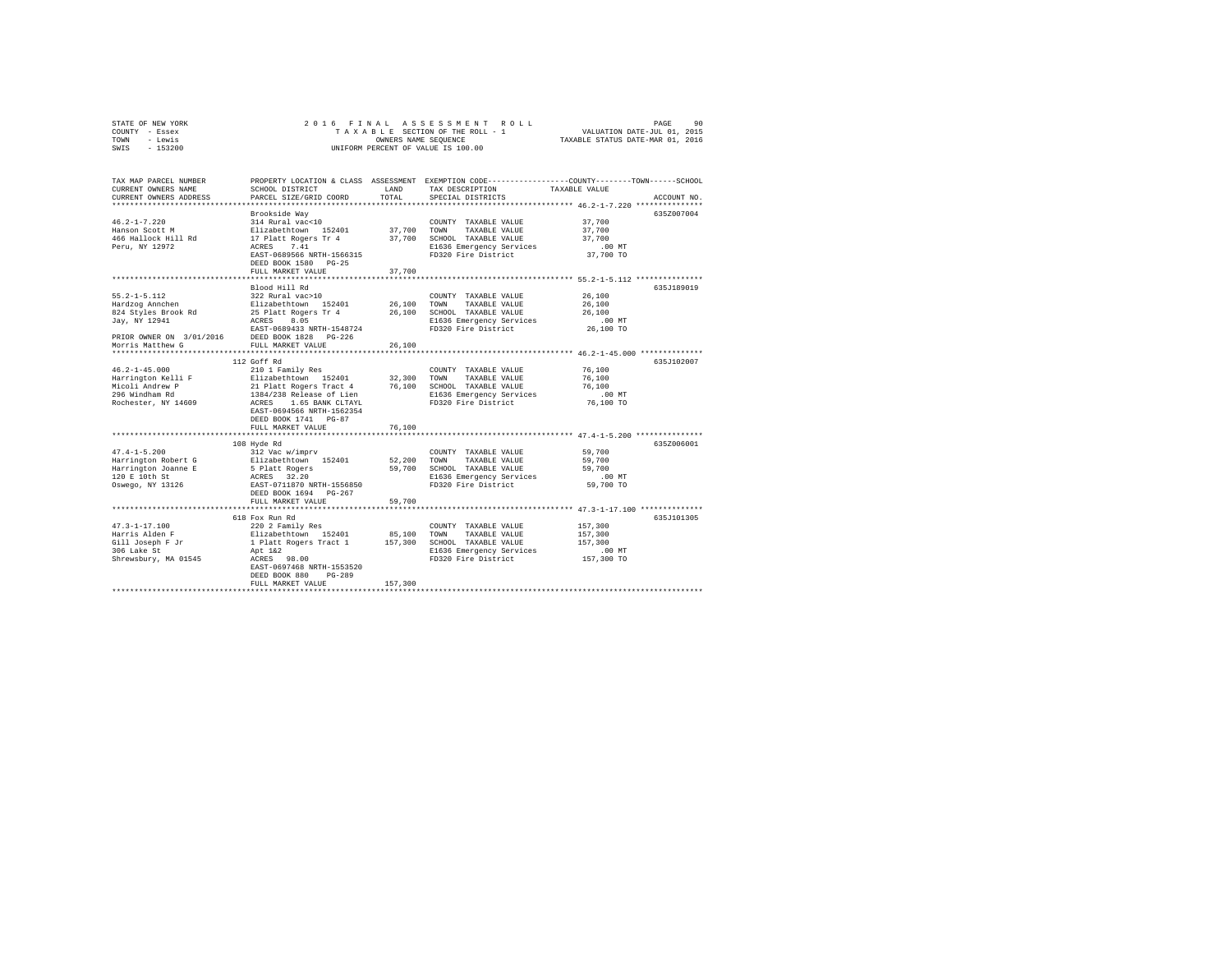| STATE OF NEW YORK | 2016 FINAL ASSESSMENT ROLL         | 90<br>PAGE                       |
|-------------------|------------------------------------|----------------------------------|
| COUNTY - Essex    | TAXABLE SECTION OF THE ROLL - 1    | VALUATION DATE-JUL 01, 2015      |
| TOWN<br>- Lewis   | OWNERS NAME SEOUENCE               | TAXABLE STATUS DATE-MAR 01, 2016 |
| - 153200<br>SWIS  | UNIFORM PERCENT OF VALUE IS 100.00 |                                  |

| TAX MAP PARCEL NUMBER<br>CURRENT OWNERS NAME<br>CURRENT OWNERS ADDRESS | SCHOOL DISTRICT<br>PARCEL SIZE/GRID COORD | LAND<br>TOTAL. | TAX DESCRIPTION<br>SPECIAL DISTRICTS            | PROPERTY LOCATION & CLASS ASSESSMENT EXEMPTION CODE----------------COUNTY-------TOWN-----SCHOOL<br>TAXABLE VALUE<br>ACCOUNT NO. |
|------------------------------------------------------------------------|-------------------------------------------|----------------|-------------------------------------------------|---------------------------------------------------------------------------------------------------------------------------------|
|                                                                        |                                           |                |                                                 |                                                                                                                                 |
|                                                                        | Brookside Wav                             |                |                                                 | 635Z007004                                                                                                                      |
| $46.2 - 1 - 7.220$                                                     | 314 Rural vac<10                          |                | COUNTY TAXABLE VALUE                            | 37,700                                                                                                                          |
| Hanson Scott M                                                         | Elizabethtown 152401                      | 37,700 TOWN    | TAXABLE VALUE                                   | 37,700                                                                                                                          |
| 466 Hallock Hill Rd                                                    | 17 Platt Rogers Tr 4                      | 37,700         | SCHOOL TAXABLE VALUE                            | 37,700                                                                                                                          |
| Peru, NY 12972                                                         | ACRES<br>7.41                             |                | E1636 Emergency Services                        | $.00$ MT                                                                                                                        |
|                                                                        | EAST-0689566 NRTH-1566315                 |                | FD320 Fire District                             | 37,700 TO                                                                                                                       |
|                                                                        | DEED BOOK 1580 PG-25                      | 37,700         |                                                 |                                                                                                                                 |
|                                                                        | FULL MARKET VALUE                         |                |                                                 | *********************** 55.2-1-5.112 ****************                                                                           |
|                                                                        | Blood Hill Rd                             |                |                                                 | 635J189019                                                                                                                      |
| $55.2 - 1 - 5.112$                                                     | 322 Rural vac>10                          |                | COUNTY TAXABLE VALUE                            | 26,100                                                                                                                          |
| Hardzog Annchen                                                        | Elizabethtown 152401                      | 26,100         | TOWN<br>TAXABLE VALUE                           | 26,100                                                                                                                          |
| 824 Styles Brook Rd                                                    | 25 Platt Rogers Tr 4                      | 26,100         | SCHOOL TAXABLE VALUE                            | 26,100                                                                                                                          |
| Jay, NY 12941                                                          | ACRES<br>8.05                             |                | E1636 Emergency Services                        | .00 MT                                                                                                                          |
|                                                                        | EAST-0689433 NRTH-1548724                 |                | FD320 Fire District                             | 26,100 TO                                                                                                                       |
| PRIOR OWNER ON 3/01/2016                                               | DEED BOOK 1828 PG-226                     |                |                                                 |                                                                                                                                 |
| Morris Matthew G                                                       | FULL MARKET VALUE                         | 26,100         |                                                 |                                                                                                                                 |
|                                                                        |                                           |                |                                                 |                                                                                                                                 |
| $46.2 - 1 - 45.000$                                                    | 112 Goff Rd<br>210 1 Family Res           |                | COUNTY TAXABLE VALUE                            | 635J102007<br>76,100                                                                                                            |
| Harrington Kelli F                                                     | Elizabethtown 152401                      | 32,300         | TOWN<br>TAXABLE VALUE                           | 76,100                                                                                                                          |
| Micoli Andrew P                                                        | 21 Platt Rogers Tract 4                   | 76,100         | SCHOOL TAXABLE VALUE                            | 76,100                                                                                                                          |
| 296 Windham Rd                                                         | 1384/238 Release of Lien                  |                | E1636 Emergency Services                        | $.00$ MT                                                                                                                        |
| Rochester, NY 14609                                                    | ACRES<br>1.65 BANK CLTAYL                 |                | FD320 Fire District                             | 76,100 TO                                                                                                                       |
|                                                                        | EAST-0694566 NRTH-1562354                 |                |                                                 |                                                                                                                                 |
|                                                                        | DEED BOOK 1741 PG-87                      |                |                                                 |                                                                                                                                 |
|                                                                        | FULL MARKET VALUE                         | 76,100         |                                                 |                                                                                                                                 |
|                                                                        | **********************                    |                |                                                 |                                                                                                                                 |
|                                                                        | 108 Hyde Rd                               |                |                                                 | 635Z006001                                                                                                                      |
| $47.4 - 1 - 5.200$<br>Harrington Robert G                              | 312 Vac w/imprv<br>Elizabethtown 152401   | 52,200         | COUNTY TAXABLE VALUE<br>TOWN                    | 59,700                                                                                                                          |
| Harrington Joanne E                                                    | 5 Platt Rogers                            | 59,700         | TAXABLE VALUE<br>SCHOOL TAXABLE VALUE           | 59,700<br>59,700                                                                                                                |
| 120 E 10th St                                                          | ACRES 32.20                               |                | E1636 Emergency Services                        | $.00$ MT                                                                                                                        |
| Oswego, NY 13126                                                       | EAST-0711870 NRTH-1556850                 |                | FD320 Fire District                             | 59,700 TO                                                                                                                       |
|                                                                        | DEED BOOK 1694 PG-267                     |                |                                                 |                                                                                                                                 |
|                                                                        | FULL MARKET VALUE                         | 59,700         |                                                 |                                                                                                                                 |
|                                                                        |                                           |                |                                                 |                                                                                                                                 |
|                                                                        | 618 Fox Run Rd                            |                |                                                 | 635J101305                                                                                                                      |
| $47.3 - 1 - 17.100$                                                    | 220 2 Family Res                          |                | COUNTY TAXABLE VALUE                            | 157,300                                                                                                                         |
| Harris Alden F                                                         | Elizabethtown 152401                      | 85,100 TOWN    | TAXABLE VALUE                                   | 157,300                                                                                                                         |
| Gill Joseph F Jr                                                       | 1 Platt Rogers Tract 1                    | 157,300        | SCHOOL TAXABLE VALUE                            | 157,300                                                                                                                         |
| 306 Lake St<br>Shrewsbury, MA 01545                                    | Apt 1&2<br>ACRES 98.00                    |                | E1636 Emergency Services<br>FD320 Fire District | $.00$ MT<br>157,300 TO                                                                                                          |
|                                                                        | EAST-0697468 NRTH-1553520                 |                |                                                 |                                                                                                                                 |
|                                                                        | DEED BOOK 880<br>$PG-289$                 |                |                                                 |                                                                                                                                 |
|                                                                        | FULL MARKET VALUE                         | 157,300        |                                                 |                                                                                                                                 |
|                                                                        |                                           |                |                                                 |                                                                                                                                 |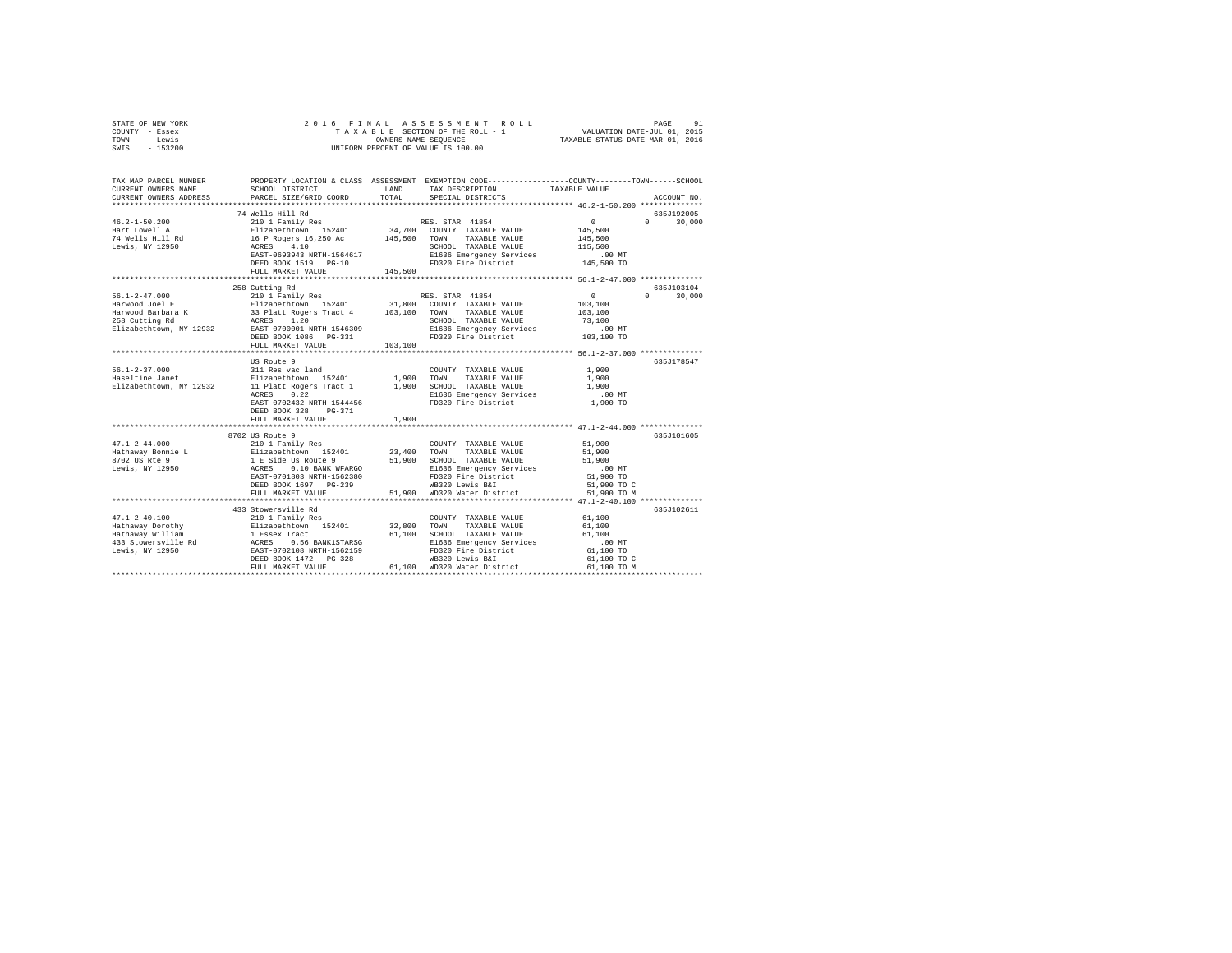| STATE OF NEW YORK<br>COUNTY - Essex<br>TOWN - Lewis<br>SWIS - 153200 |                                     |         |                                                                                                                                                                             |                                         |               |
|----------------------------------------------------------------------|-------------------------------------|---------|-----------------------------------------------------------------------------------------------------------------------------------------------------------------------------|-----------------------------------------|---------------|
| TAX MAP PARCEL NUMBER<br>CURRENT OWNERS NAME                         |                                     |         | PROPERTY LOCATION & CLASS ASSESSMENT EXEMPTION CODE---------------COUNTY-------TOWN------SCHOOL                                                                             |                                         |               |
| CURRENT OWNERS ADDRESS                                               | PARCEL SIZE/GRID COORD TOTAL        |         | SPECIAL DISTRICTS                                                                                                                                                           |                                         | ACCOUNT NO.   |
|                                                                      |                                     |         |                                                                                                                                                                             |                                         | 635J192005    |
| $46.2 - 1 - 50.200$                                                  |                                     |         |                                                                                                                                                                             | $\sim$ 0                                | $0 \t 30,000$ |
| Hart Lowell A<br>74 Wells Hill Rd<br>Lewis, NY 12950                 |                                     |         |                                                                                                                                                                             | 145,500                                 |               |
|                                                                      |                                     |         |                                                                                                                                                                             | 145,500                                 |               |
|                                                                      |                                     |         |                                                                                                                                                                             |                                         |               |
|                                                                      |                                     |         |                                                                                                                                                                             |                                         |               |
|                                                                      |                                     |         | 10 F NAMEL WALLE VALUE 115,500<br>RARES 4.10 RAST-0693943 NRTH-1564617 B1636 Emergency Services .00 MT<br>REED BOOK 1519 PG-10 PD320 Fire District 145,500 TO               |                                         |               |
|                                                                      | FULL MARKET VALUE                   | 145,500 |                                                                                                                                                                             |                                         |               |
|                                                                      | 258 Cutting Rd                      |         |                                                                                                                                                                             |                                         | 635J103104    |
|                                                                      |                                     |         |                                                                                                                                                                             |                                         | $0 \t 30.000$ |
|                                                                      |                                     |         |                                                                                                                                                                             |                                         |               |
|                                                                      |                                     |         |                                                                                                                                                                             |                                         |               |
|                                                                      |                                     |         |                                                                                                                                                                             |                                         |               |
|                                                                      |                                     |         |                                                                                                                                                                             |                                         |               |
|                                                                      |                                     |         |                                                                                                                                                                             |                                         |               |
|                                                                      | FULL MARKET VALUE                   | 103,100 |                                                                                                                                                                             |                                         |               |
|                                                                      |                                     |         |                                                                                                                                                                             |                                         |               |
|                                                                      |                                     |         |                                                                                                                                                                             |                                         | 635J178547    |
|                                                                      |                                     |         |                                                                                                                                                                             | 1,900                                   |               |
|                                                                      |                                     |         |                                                                                                                                                                             | 1,900                                   |               |
|                                                                      |                                     |         |                                                                                                                                                                             | 1,900                                   |               |
|                                                                      |                                     |         |                                                                                                                                                                             | $.00$ MT                                |               |
|                                                                      |                                     |         | $\begin{tabular}{lllllllll} \texttt{ACRES} & 0.\bar{2}2 & \texttt{E1636 Energy Services}\\ \texttt{EAST-0702432 NRTH-1544456} & \texttt{FD320 Fire District} \end{tabular}$ | 1,900 TO                                |               |
|                                                                      | DEED BOOK 328 PG-371                |         |                                                                                                                                                                             |                                         |               |
|                                                                      | FULL MARKET VALUE                   | 1,900   |                                                                                                                                                                             |                                         |               |
|                                                                      |                                     |         |                                                                                                                                                                             |                                         |               |
|                                                                      | 8702 US Route 9<br>210 1 Family Res |         |                                                                                                                                                                             |                                         | 635J101605    |
| $47.1 - 2 - 44.000$                                                  |                                     |         | COUNTY TAXABLE VALUE                                                                                                                                                        | 51,900                                  |               |
|                                                                      |                                     |         |                                                                                                                                                                             | 51,900                                  |               |
|                                                                      |                                     |         |                                                                                                                                                                             | 51,900                                  |               |
|                                                                      |                                     |         |                                                                                                                                                                             | $.00$ MT<br>51,900 TO                   |               |
|                                                                      |                                     |         |                                                                                                                                                                             |                                         |               |
|                                                                      |                                     |         |                                                                                                                                                                             | 51,900 TO C<br>51,900 TO M              |               |
|                                                                      |                                     |         |                                                                                                                                                                             |                                         |               |
|                                                                      | 433 Stowersville Rd                 |         |                                                                                                                                                                             |                                         | 635J102611    |
|                                                                      |                                     |         |                                                                                                                                                                             | 61.100                                  |               |
|                                                                      |                                     |         |                                                                                                                                                                             | 61,100                                  |               |
|                                                                      |                                     |         |                                                                                                                                                                             | 61,100                                  |               |
|                                                                      |                                     |         |                                                                                                                                                                             | $.00$ MT                                |               |
|                                                                      |                                     |         |                                                                                                                                                                             |                                         |               |
|                                                                      |                                     |         |                                                                                                                                                                             |                                         |               |
|                                                                      | FULL MARKET VALUE                   |         | 61,100 WD320 Water District                                                                                                                                                 | 61,100 TO<br>61,100 TO C<br>61,100 TO M |               |
|                                                                      |                                     |         |                                                                                                                                                                             |                                         |               |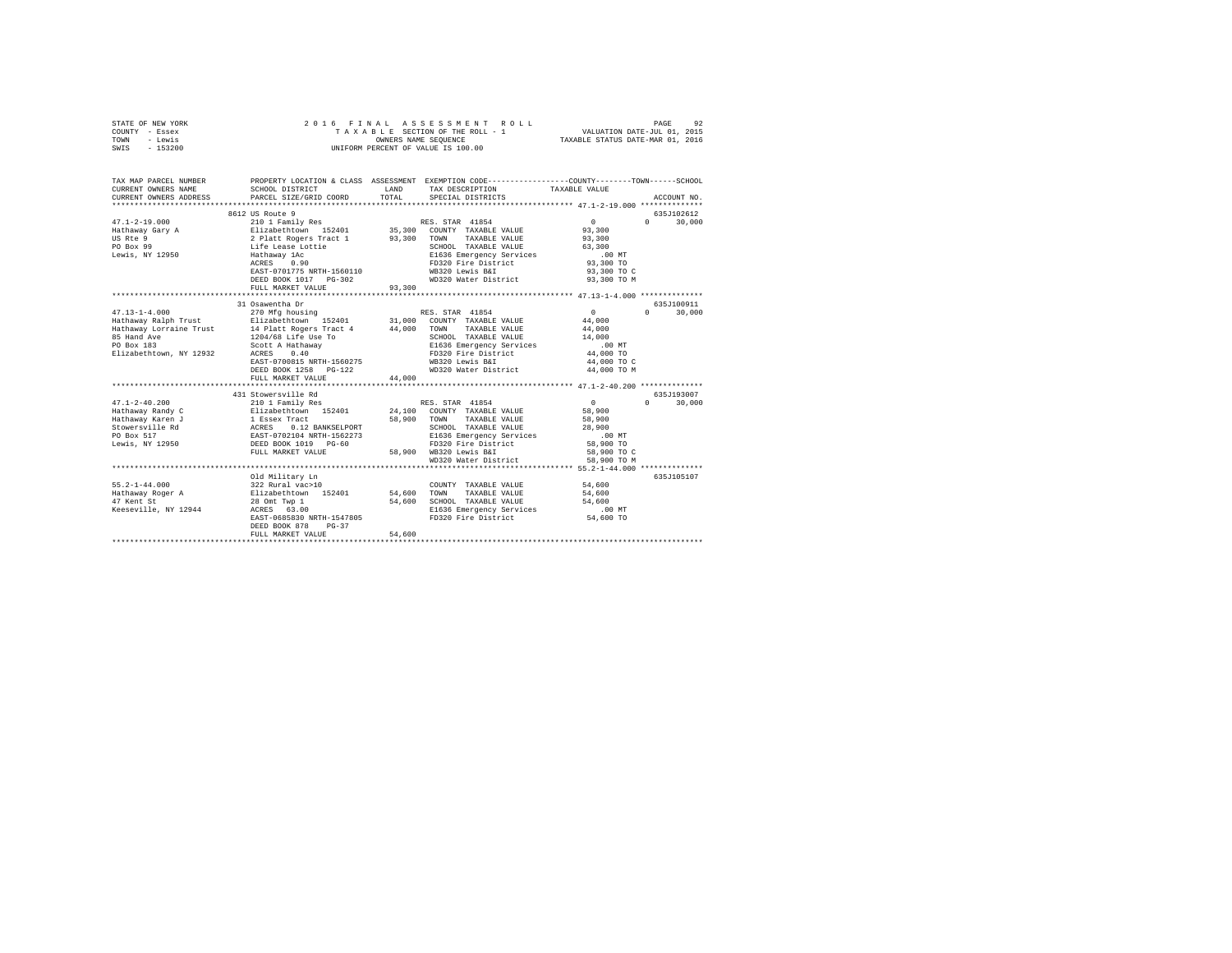| STATE OF NEW YORK<br>COUNTY - Essex<br>TOWN - Lewis<br>SWIS - 153200                                            |                                                                                                                                                                                                                                                                                                                                                                |               | 2016 FINAL ASSESSMENT ROLL<br>TAXABLE SECTION OF THE ROLL - 1<br>OWNERS NAME SEQUENCE<br>UNIFORM PERCENT OF VALUE IS 100.00           | VALUATION DATE-JUL 01, 2015<br>TAXABLE STATUS DATE-MAR 01, 2016                               | PAGE<br>92                 |
|-----------------------------------------------------------------------------------------------------------------|----------------------------------------------------------------------------------------------------------------------------------------------------------------------------------------------------------------------------------------------------------------------------------------------------------------------------------------------------------------|---------------|---------------------------------------------------------------------------------------------------------------------------------------|-----------------------------------------------------------------------------------------------|----------------------------|
| CURRENT OWNERS NAME<br>CURRENT OWNERS ADDRESS                                                                   | TAX MAP PARCEL NUMBER THE PROPERTY LOCATION & CLASS ASSESSMENT EXEMPTION CODE--------------COUNTY-------TOWN------SCHOOL<br>SCHOOL DISTRICT<br>PARCEL SIZE/GRID COORD                                                                                                                                                                                          | LAND<br>TOTAL | TAX DESCRIPTION<br>SPECIAL DISTRICTS                                                                                                  | TAXABLE VALUE                                                                                 | ACCOUNT NO.                |
|                                                                                                                 |                                                                                                                                                                                                                                                                                                                                                                |               |                                                                                                                                       |                                                                                               |                            |
|                                                                                                                 | 8612 US Route 9                                                                                                                                                                                                                                                                                                                                                |               |                                                                                                                                       |                                                                                               | 635J102612<br>$\mathbf{0}$ |
| $47.1 - 2 - 19.000$<br>Hathaway Gary A<br>US Rte 9<br>PO Box 99<br>Lewis, NY 12950                              | 210 1 Family Res<br>211zabeth.com 152401 35,300 COUNTY TAXABLE VALUE<br>2 Platt Rogers Tract 1 93,300 TOWN TAXABLE VALUE<br>2 Platt Rogers Tract 1 93,300 TOWN TAXABLE VALUE<br>1616 Earl ESS Emergency Services<br>2 Platt 1 2 Platt 162 Early Services<br>2 RCR<br>EAST-0701775 NRTH-1560110<br>FULL MARKET VALUE                                            | 93,300        | RES. STAR 41854<br>SCHOOL TAXABLE VALUE<br>E1636 Emergency Services<br>FD320 Fire District<br>WB320 Lewis B&I<br>WD320 Water District | 0<br>93,300<br>93,300<br>63,300<br>$.00$ MT<br>93,300 TO<br>93,300 TO C<br>93,300 TO M        | 30,000                     |
|                                                                                                                 |                                                                                                                                                                                                                                                                                                                                                                |               |                                                                                                                                       |                                                                                               |                            |
|                                                                                                                 | 31 Osawentha Dr                                                                                                                                                                                                                                                                                                                                                |               |                                                                                                                                       |                                                                                               | 635J100911                 |
| $47.13 - 1 - 4.000$<br>85 Hand Ave<br>PO Box 183<br>PO Box 183<br>Elizabethtown, NY 12932                       | 270 Mfg housing<br>Hathaway Ralph Trust and Bilizabethcown 152401 31,000 COUNTY TAXABLE VALUE Hathaway Lorraine Trust and Bilizabethcown 152401 31,000 COUNTY TAXABLE VALUE Hathaway Lorraine Trust 14 Platt Rogers Tract 4 44,000 TOWN TAXABLE V<br>Scott A Hathaway<br>ACRES 0.40<br>EAST-0700815 NRTH-1560275<br>DEED BOOK 1258 PG-122<br>FULL MARKET VALUE | 44,000        | RES. STAR 41854<br>SCHOOL TAXABLE VALUE<br>E1636 Emergency Services<br>FD320 Fire District<br>WB320 Lewis B&I<br>WD320 Water District | $\sim$ 0<br>44,000<br>44,000<br>14,000<br>$.00$ MT<br>44,000 TO<br>44,000 TO C<br>44,000 TO M | $0 \t 30,000$              |
|                                                                                                                 |                                                                                                                                                                                                                                                                                                                                                                |               |                                                                                                                                       |                                                                                               |                            |
|                                                                                                                 |                                                                                                                                                                                                                                                                                                                                                                |               |                                                                                                                                       |                                                                                               | 635.1193007                |
| $47.1 - 2 - 40.200$<br>Hathaway Randy C<br>Hathaway Karen J<br>Stowersville Rd<br>PO Box 517<br>Lewis, NY 12950 |                                                                                                                                                                                                                                                                                                                                                                |               | WD320 Water District                                                                                                                  | $\sim$ 0<br>58,900<br>58,900<br>28,900<br>$.00$ MT<br>58,900 TO<br>58,900 TO C<br>58,900 TO M | $0 \t 30,000$              |
|                                                                                                                 |                                                                                                                                                                                                                                                                                                                                                                |               |                                                                                                                                       |                                                                                               |                            |
| $55.2 - 1 - 44.000$<br>Hathaway Roger A<br>47 Kent St<br>Keeseville, NY 12944                                   | Old Military Ln<br>322 Rural vac>10<br>Elizabethtown 152401<br>28 Omt Twp 1<br>ACRES 63.00<br>EAST-0685830 NRTH-1547805<br>DEED BOOK 878<br>$PG-37$                                                                                                                                                                                                            | 54,600 TOWN   | COUNTY TAXABLE VALUE<br>TAXABLE VALUE<br>54,600 SCHOOL TAXABLE VALUE<br>E1636 Emergency Services<br>FD320 Fire District               | 54,600<br>54,600<br>54,600<br>$.00$ MT<br>54,600 TO                                           | 635J105107                 |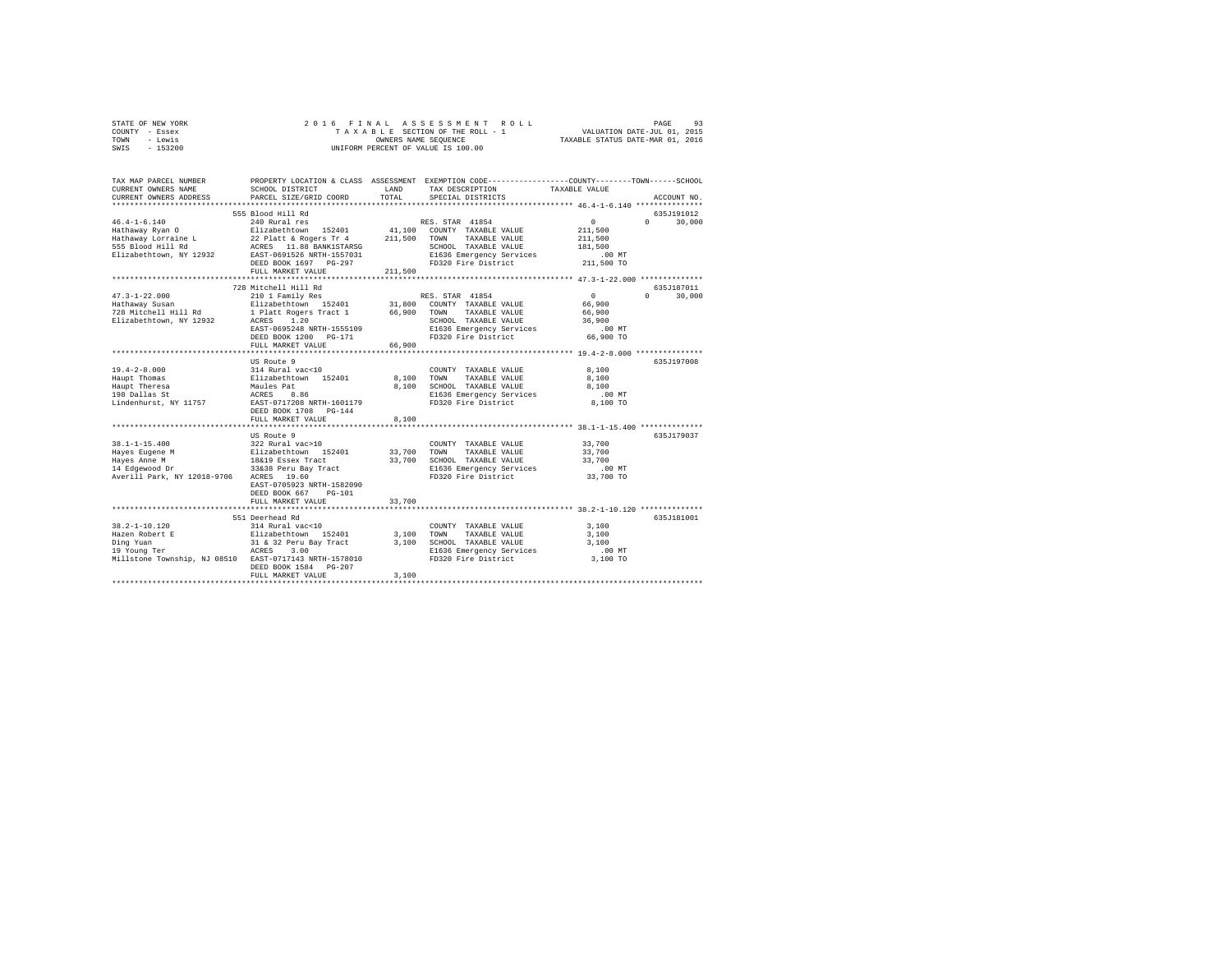| STATE OF NEW YORK | 2016 FINAL ASSESSMENT ROLL         | 93<br>PAGE                       |
|-------------------|------------------------------------|----------------------------------|
| COUNTY - Essex    | TAXABLE SECTION OF THE ROLL - 1    | VALUATION DATE-JUL 01, 2015      |
| TOWN<br>- Lewis   | OWNERS NAME SEOUENCE               | TAXABLE STATUS DATE-MAR 01, 2016 |
| $-153200$<br>SWIS | UNIFORM PERCENT OF VALUE IS 100.00 |                                  |

| TAX MAP PARCEL NUMBER<br>CURRENT OWNERS NAME                                                                            | SCHOOL DISTRICT                                                                                                                                                                                                              | LAND           | PROPERTY LOCATION & CLASS ASSESSMENT EXEMPTION CODE---------------COUNTY-------TOWN-----SCHOOL<br>TAX DESCRIPTION                                               | TAXABLE VALUE                                                              |                                               |
|-------------------------------------------------------------------------------------------------------------------------|------------------------------------------------------------------------------------------------------------------------------------------------------------------------------------------------------------------------------|----------------|-----------------------------------------------------------------------------------------------------------------------------------------------------------------|----------------------------------------------------------------------------|-----------------------------------------------|
| CURRENT OWNERS ADDRESS<br>************************                                                                      | PARCEL SIZE/GRID COORD                                                                                                                                                                                                       | TOTAL          | SPECIAL DISTRICTS                                                                                                                                               |                                                                            | ACCOUNT NO.                                   |
|                                                                                                                         | 555 Blood Hill Rd                                                                                                                                                                                                            |                |                                                                                                                                                                 |                                                                            | 635J191012                                    |
| $46.4 - 1 - 6.140$<br>Hathaway Ryan O<br>Hathaway Lorraine L<br>555 Blood Hill Rd<br>Elizabethtown, NY 12932            | 240 Rural res<br>Elizabethtown 152401 41,100 COUNTY TAXABLE VALUE<br>22 Platt & Rogers Tr 4 211,500 TOWN TAXABLE VALUE<br>ACRES 11.88 BANK1STARSG<br>EAST-0691526 NRTH-1557031<br>DEED BOOK 1697 PG-297<br>FULL MARKET VALUE | 211,500        | RES. STAR 41854<br>SCHOOL TAXABLE VALUE<br>E1636 Emergency Services<br>FD320 Fire District                                                                      | $\sim$ 0 $\sim$<br>211,500<br>211,500<br>181,500<br>$.00$ MT<br>211,500 TO | $\Omega$ and $\Omega$<br>30,000               |
|                                                                                                                         | *********************************                                                                                                                                                                                            |                |                                                                                                                                                                 |                                                                            |                                               |
| $47.3 - 1 - 22.000$<br>Hathaway Susan<br>728 Mitchell Hill Rd<br>Elizabethtown, NY 12932                                | 728 Mitchell Hill Rd<br>210 1 Family Res<br>1 Platt Rogers Tract 1 66,900 TOWN<br>ACRES 1.20 SCHOC<br>EAST-0695248 NRTH-1555109<br>DEED BOOK 1200 PG-171<br>FULL MARKET VALUE                                                | 66,900         | RES. STAR 41854<br>Elizabethtown 152401 31,800 COUNTY TAXABLE VALUE<br>TAXABLE VALUE<br>SCHOOL TAXABLE VALUE<br>E1636 Emergency Services<br>FD320 Fire District | $\overline{0}$<br>66,900<br>66,900<br>36,900<br>$.00$ MT<br>66,900 TO      | 635J187011<br>$\Omega$ and $\Omega$<br>30,000 |
|                                                                                                                         |                                                                                                                                                                                                                              |                |                                                                                                                                                                 |                                                                            |                                               |
| $19.4 - 2 - 8.000$<br>Haupt Thomas<br>Haupt Theresa<br>198 Dallas St<br>Lindenhurst, NY 11757 EAST-0717208 NRTH-1601179 | US Route 9<br>314 Rural vac<10<br>Elizabethtown 152401<br>Maules Pat<br>ACRES 8.86<br>DEED BOOK 1708 PG-144<br>FULL MARKET VALUE                                                                                             | 8,100<br>8,100 | COUNTY TAXABLE VALUE<br>8,100 TOWN<br>TAXABLE VALUE<br>SCHOOL TAXABLE VALUE<br>E1636 Emergency Services<br>FD320 Fire District                                  | 8,100<br>8,100<br>8,100<br>.00MT<br>8,100 TO                               | 635J197008                                    |
|                                                                                                                         |                                                                                                                                                                                                                              |                |                                                                                                                                                                 |                                                                            |                                               |
| $38.1 - 1 - 15.400$<br>Hayes Eugene M<br>Hayes Anne M<br>14 Edgewood Dr<br>Averill Park, NY 12018-9706 ACRES 19.60      | US Route 9<br>322 Rural vac>10<br>Elizabethtown 152401 33,700<br>18&19 Essex Tract 33,700<br>33838 Peru Bay Tract 33,700<br>33838 Peru Bay Tract<br>EAST-0705923 NRTH-1582090<br>DEED BOOK 667 PG-101                        |                | COUNTY TAXABLE VALUE<br>TOWN<br>TAXABLE VALUE<br>SCHOOL TAXABLE VALUE<br>E1636 Emergency Services<br>FD320 Fire District                                        | 33,700<br>33,700<br>33,700<br>.00 MT<br>33,700 TO                          | 635J179037                                    |
|                                                                                                                         | FULL MARKET VALUE                                                                                                                                                                                                            | 33,700         |                                                                                                                                                                 |                                                                            |                                               |
| Millstone Township, NJ 08510 EAST-0717143 NRTH-1578010                                                                  | 551 Deerhead Rd<br>DEED BOOK 1584 PG-207                                                                                                                                                                                     | 3,100          | COUNTY TAXABLE VALUE<br>TOWN<br>TAXABLE VALUE<br>3,100 SCHOOL TAXABLE VALUE<br>E1636 Emergency Services<br>FD320 Fire District                                  | 3,100<br>3,100<br>3,100<br>$.00$ MT<br>3,100 TO                            | 635J181001                                    |
|                                                                                                                         | FULL MARKET VALUE                                                                                                                                                                                                            | 3,100          |                                                                                                                                                                 |                                                                            |                                               |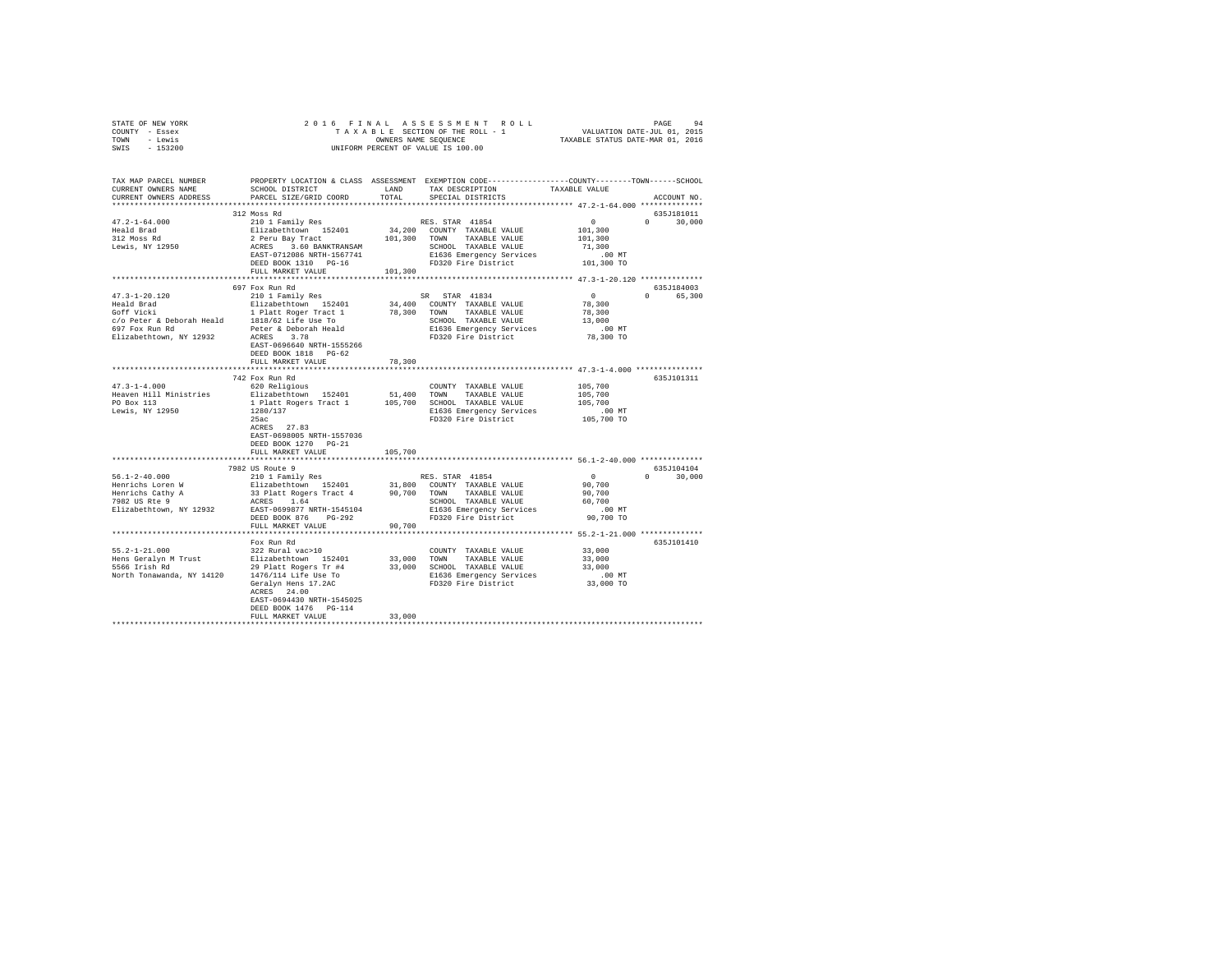| STATE OF NEW YORK<br>COUNTY - Essex<br>TOWN - Lewis<br>SWIS - 153200                                                                                                                                                                                                                                                                                                                               |                                                                                                          |         |                                                                                                          |                                                            |                             |
|----------------------------------------------------------------------------------------------------------------------------------------------------------------------------------------------------------------------------------------------------------------------------------------------------------------------------------------------------------------------------------------------------|----------------------------------------------------------------------------------------------------------|---------|----------------------------------------------------------------------------------------------------------|------------------------------------------------------------|-----------------------------|
| TAX MAP PARCEL NUMBER PROPERTY LOCATION & CLASS ASSESSMENT EXEMPTION CODE---------------COUNTY-------TOWN------SCHOOL<br>CURRENT OWNERS NAME SCHOOL DISTRICT LAND TAX DESCRIPTION TAXABLE VALUE<br>CURRENT OWNERS ADDRESS . PARCEL SIZE/GRID COORD . TOTAL SPECIAL DISTRICTS                                                                                                                       |                                                                                                          |         |                                                                                                          |                                                            | ACCOUNT NO.                 |
| $\begin{tabular}{l c c c c} \multicolumn{3}{c}{\textbf{47.2--1-64.000}} & \multicolumn{3}{c}{\textbf{51.2--0.100}} & \multicolumn{3}{c}{\textbf{51.2--0.10}} & \multicolumn{3}{c}{\textbf{51.2--0.10}} & \multicolumn{3}{c}{\textbf{51.2--0.10}} & \multicolumn{3}{c}{\textbf{51.2--0.10}} & \multicolumn{3}{c}{\textbf{51.2--0.10}} & \multicolumn{3}{c}{\textbf{61.2--0.10}} & \multicolumn{3}{$ | 312 Moss Rd                                                                                              |         |                                                                                                          |                                                            | 635J181011<br>$0 \t 30,000$ |
|                                                                                                                                                                                                                                                                                                                                                                                                    |                                                                                                          |         |                                                                                                          |                                                            |                             |
| $47.3 - 1 - 20.120$                                                                                                                                                                                                                                                                                                                                                                                | 697 Fox Run Rd<br>210 1 Family Res<br>EAST-0696640 NRTH-1555266<br>DEED BOOK 1818 PG-62                  |         | SR STAR 41834<br>COUNTY TAXABLE VALUE 78,300<br>TOWN TAXABLE VALUE 78,300<br>SCHOOL TAXABLE VALUE 13,000 | 635J184003<br>$\sim$ 0 $\sim$<br>00 MT.<br>78,300 TO       | 0 65,300                    |
|                                                                                                                                                                                                                                                                                                                                                                                                    | FULL MARKET VALUE                                                                                        | 78,300  |                                                                                                          |                                                            |                             |
|                                                                                                                                                                                                                                                                                                                                                                                                    |                                                                                                          |         |                                                                                                          |                                                            |                             |
|                                                                                                                                                                                                                                                                                                                                                                                                    | 742 Fox Run Rd<br>$1280/137$<br>25ac<br>ACRES 27.83<br>EAST-0698005 NRTH-1557036<br>DEED BOOK 1270 PG-21 |         |                                                                                                          |                                                            | 635J101311                  |
|                                                                                                                                                                                                                                                                                                                                                                                                    | FULL MARKET VALUE                                                                                        | 105,700 |                                                                                                          |                                                            |                             |
|                                                                                                                                                                                                                                                                                                                                                                                                    | 7982 US Route 9                                                                                          |         |                                                                                                          | $\overline{0}$<br>$90,700$<br>$90,700$<br>60,700<br>.00 MT | 635J104104<br>$0 \t 30,000$ |
|                                                                                                                                                                                                                                                                                                                                                                                                    | FULL MARKET VALUE 90,700                                                                                 |         |                                                                                                          | 90,700 TO                                                  |                             |
|                                                                                                                                                                                                                                                                                                                                                                                                    |                                                                                                          |         |                                                                                                          |                                                            |                             |
|                                                                                                                                                                                                                                                                                                                                                                                                    | Fox Run Rd<br>ACRES 24.00<br>EAST-0694430 NRTH-1545025<br>DEED BOOK 1476 PG-114<br>FULL MARKET VALUE     | 33,000  |                                                                                                          |                                                            | 635J101410                  |
|                                                                                                                                                                                                                                                                                                                                                                                                    |                                                                                                          |         |                                                                                                          |                                                            |                             |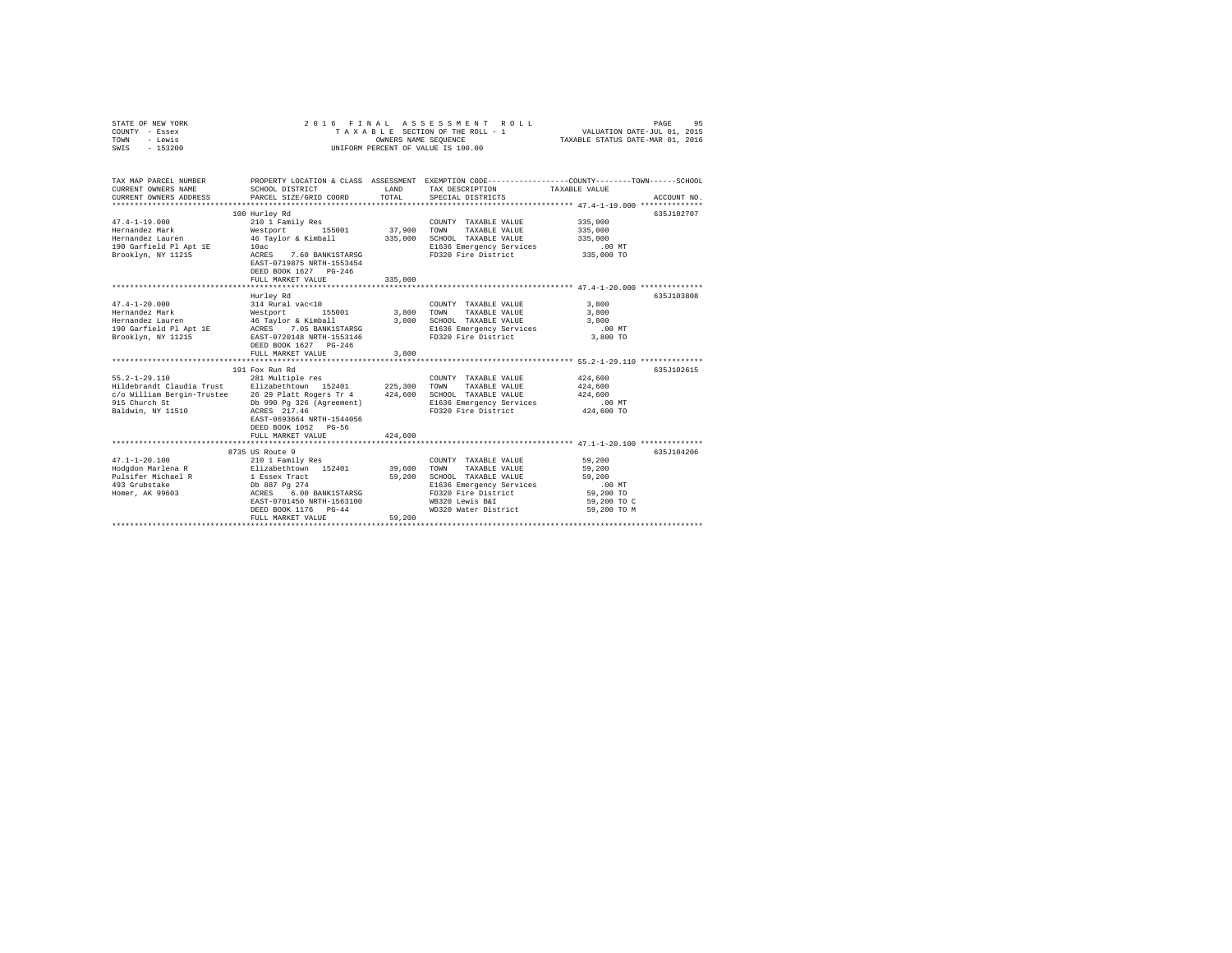| STATE OF NEW YORK<br>COUNTY - Essex<br>TOWN<br>- Lewis<br>SWIS<br>$-153200$                                                                                                                                                              | 2016 FINAL                                                                                                                                                                                                                         | OWNERS NAME SEQUENCE                          | ASSESSMENT ROLL<br>TAXABLE SECTION OF THE ROLL - 1<br>UNIFORM PERCENT OF VALUE IS 100.00                                                                                                          | 95<br>PAGE<br>VALUATION DATE-JUL 01, 2015<br>TAXABLE STATUS DATE-MAR 01, 2016                                                  |
|------------------------------------------------------------------------------------------------------------------------------------------------------------------------------------------------------------------------------------------|------------------------------------------------------------------------------------------------------------------------------------------------------------------------------------------------------------------------------------|-----------------------------------------------|---------------------------------------------------------------------------------------------------------------------------------------------------------------------------------------------------|--------------------------------------------------------------------------------------------------------------------------------|
| TAX MAP PARCEL NUMBER<br>CURRENT OWNERS NAME<br>CURRENT OWNERS ADDRESS                                                                                                                                                                   | SCHOOL DISTRICT<br>PARCEL SIZE/GRID COORD                                                                                                                                                                                          | LAND<br>TOTAL                                 | TAX DESCRIPTION<br>SPECIAL DISTRICTS                                                                                                                                                              | PROPERTY LOCATION & CLASS ASSESSMENT EXEMPTION CODE---------------COUNTY-------TOWN-----SCHOOL<br>TAXABLE VALUE<br>ACCOUNT NO. |
| $47.4 - 1 - 19.000$<br>Hernandez Mark<br>Hernandez Lauren<br>190 Garfield Pl Apt 1E<br>Brooklyn, NY 11215                                                                                                                                | 100 Hurley Rd<br>210 1 Family Res<br>Westport 155001<br>46 Taylor & Kimball<br>10ac<br>ACRES<br>7.60 BANK1STARSG<br>EAST-0719875 NRTH-1553454<br>DEED BOOK 1627 PG-246<br>FULL MARKET VALUE                                        | 37,900<br>335,000<br>335,000                  | COUNTY TAXABLE VALUE<br>TOWN<br>TAXABLE VALUE<br>SCHOOL TAXABLE VALUE<br>E1636 Emergency Services<br>FD320 Fire District                                                                          | 635J102707<br>335,000<br>335,000<br>335,000<br>$.00$ MT<br>335,000 TO                                                          |
|                                                                                                                                                                                                                                          |                                                                                                                                                                                                                                    |                                               |                                                                                                                                                                                                   |                                                                                                                                |
| $47.4 - 1 - 20.000$<br>Hernandez Mark<br>Hernandez Lauren<br>190 Garfield Pl Apt 1E<br>Brooklyn, NY 11215<br>$55.2 - 1 - 29.110$<br>Hildebrandt Claudia Trust Elizabethtown 152401<br>c/o William Bergin-Trustee 26 29 Platt Rogers Tr 4 | Hurley Rd<br>314 Rural vac<10<br>Westport<br>155001<br>46 Taylor & Kimball<br>ACRES 7.05 BANK1STARSG<br>EAST-0720148 NRTH-1553146<br>DEED BOOK 1627 PG-246<br>FULL MARKET VALUE<br>191 Fox Run Rd<br>281 Multiple res              | 3,800<br>3,800<br>3,800<br>225,300<br>424,600 | COUNTY TAXABLE VALUE<br>TAXABLE VALUE<br>TOWN<br>SCHOOL TAXABLE VALUE<br>E1636 Emergency Services<br>FD320 Fire District<br>COUNTY TAXABLE VALUE<br>TOWN<br>TAXABLE VALUE<br>SCHOOL TAXABLE VALUE | 635J103808<br>3,800<br>3,800<br>3,800<br>.00 MT<br>3,800 TO<br>635J102615<br>424,600<br>424,600<br>424,600                     |
| 915 Church St<br>Baldwin, NY 11510                                                                                                                                                                                                       | Db 990 Pq 326 (Agreement)<br>ACRES 217.46<br>EAST-0693664 NRTH-1544056<br>DEED BOOK 1052 PG-56<br>FULL MARKET VALUE                                                                                                                | 424,600                                       | E1636 Emergency Services<br>FD320 Fire District                                                                                                                                                   | $.00$ MT<br>424,600 TO                                                                                                         |
|                                                                                                                                                                                                                                          |                                                                                                                                                                                                                                    |                                               |                                                                                                                                                                                                   |                                                                                                                                |
| $47.1 - 1 - 20.100$<br>Hodgdon Marlena R<br>Pulsifer Michael R<br>493 Grubstake<br>Homer, AK 99603                                                                                                                                       | 8735 US Route 9<br>210 1 Family Res<br>Elizabethtown 152401<br>1 Essex Tract<br>Db 887 Pg 274<br>6.00 BANK1STARSG<br>ACRES<br>EAST-0701450 NRTH-1563100<br>DEED BOOK 1176 PG-44<br>FULL MARKET VALUE<br>************************** | 39,600<br>59,200<br>59,200                    | COUNTY TAXABLE VALUE<br>TOWN<br>TAXABLE VALUE<br>SCHOOL TAXABLE VALUE<br>E1636 Emergency Services<br>FD320 Fire District<br>WB320 Lewis B&I<br>WD320 Water District                               | 635.T104206<br>59,200<br>59,200<br>59,200<br>$.00$ MT<br>59,200 TO<br>59,200 TO C<br>59,200 TO M                               |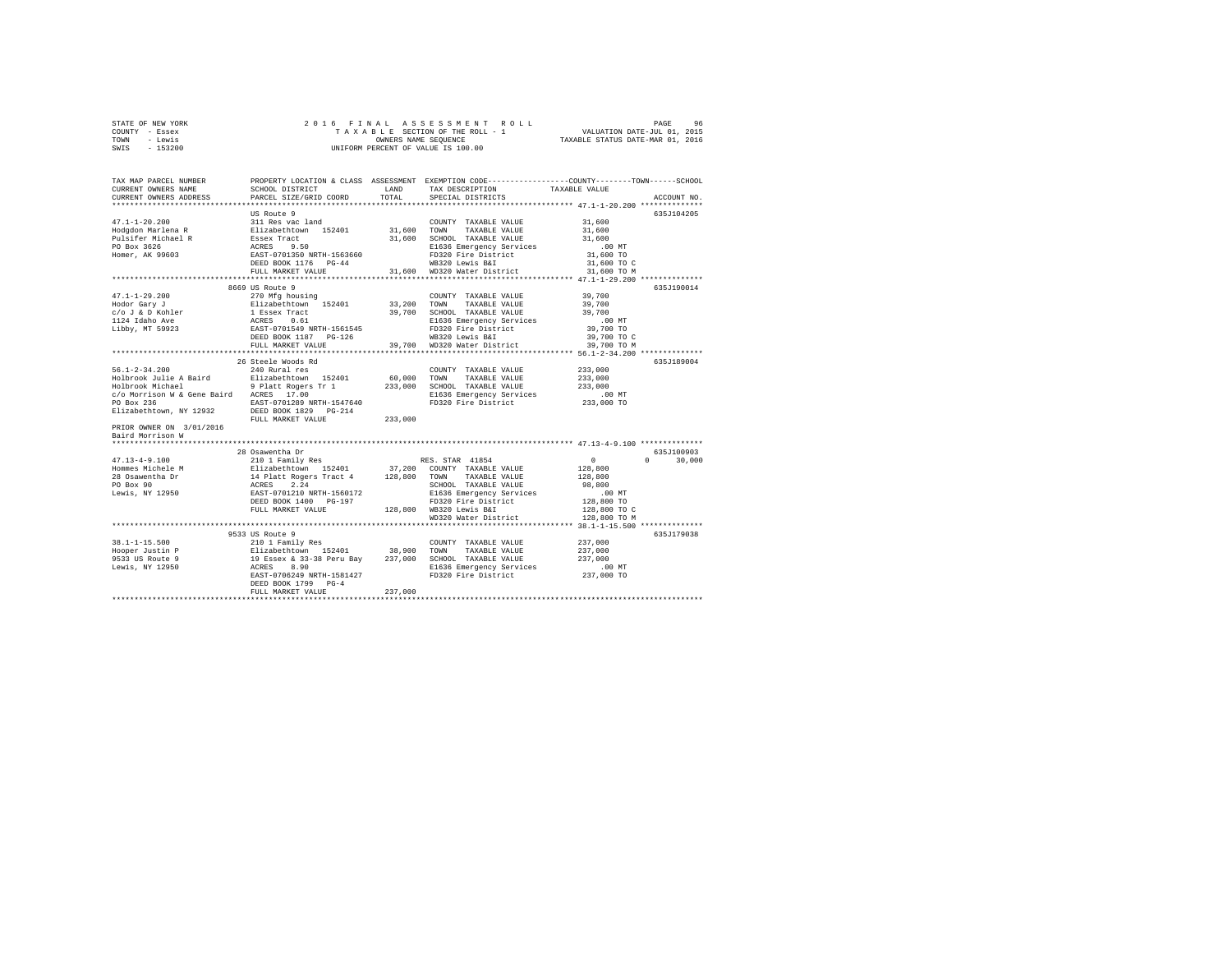| STATE OF NEW YORK | 2016 FINAL ASSESSMENT ROLL         | 96<br>PAGE                       |
|-------------------|------------------------------------|----------------------------------|
| COUNTY - Essex    | TAXABLE SECTION OF THE ROLL - 1    | VALUATION DATE-JUL 01, 2015      |
| TOWN<br>- Lewis   | OWNERS NAME SEOUENCE               | TAXABLE STATUS DATE-MAR 01, 2016 |
| $-153200$<br>SWIS | UNIFORM PERCENT OF VALUE IS 100.00 |                                  |

| TAX MAP PARCEL NUMBER<br>CURRENT OWNERS NAME<br>CURRENT OWNERS ADDRESS | SCHOOL DISTRICT<br>PARCEL SIZE/GRID COORD                          | LAND<br>TOTAL | PROPERTY LOCATION & CLASS ASSESSMENT EXEMPTION CODE----------------COUNTY-------TOWN------SCHOOL<br>TAX DESCRIPTION<br>SPECIAL DISTRICTS | TAXABLE VALUE | ACCOUNT NO.        |
|------------------------------------------------------------------------|--------------------------------------------------------------------|---------------|------------------------------------------------------------------------------------------------------------------------------------------|---------------|--------------------|
|                                                                        | ****************************                                       |               |                                                                                                                                          |               |                    |
|                                                                        | US Route 9                                                         |               |                                                                                                                                          |               | 635J104205         |
| $47.1 - 1 - 20.200$                                                    | 311 Res vac land                                                   |               | COUNTY TAXABLE VALUE                                                                                                                     | 31,600        |                    |
| Hodgdon Marlena R                                                      | Elizabethtown 152401                                               | 31,600 TOWN   | TAXABLE VALUE                                                                                                                            | 31,600        |                    |
| Pulsifer Michael R                                                     | Essex Tract                                                        |               | 31,600 SCHOOL TAXABLE VALUE                                                                                                              | 31,600        |                    |
| PO Box 3626                                                            | ACRES 9.50                                                         |               | E1636 Emergency Services                                                                                                                 | $.00$ MT      |                    |
| Homer, AK 99603                                                        | EAST-0701350 NRTH-1563660                                          |               | FD320 Fire District                                                                                                                      | 31,600 TO     |                    |
|                                                                        | DEED BOOK 1176 PG-44                                               |               | WB320 Lewis B&I                                                                                                                          | 31,600 TO C   |                    |
|                                                                        | FULL MARKET VALUE                                                  |               | 31,600 WD320 Water District                                                                                                              | 31,600 TO M   |                    |
|                                                                        |                                                                    |               |                                                                                                                                          |               |                    |
|                                                                        | 8669 US Route 9                                                    |               |                                                                                                                                          |               | 635J190014         |
| $47.1 - 1 - 29.200$                                                    | 270 Mfg housing                                                    |               | COUNTY TAXABLE VALUE                                                                                                                     | 39,700        |                    |
| Hodor Gary J                                                           | Elizabethtown 152401                                               | 33,200 TOWN   | TAXABLE VALUE                                                                                                                            | 39,700        |                    |
| c/o J & D Kohler                                                       |                                                                    |               |                                                                                                                                          | 39,700        |                    |
|                                                                        | 1 Essex Tract<br>ACRES 0.61<br>EAST-0701549 NRTH-1561545           |               | 39,700 SCHOOL TAXABLE VALUE                                                                                                              |               |                    |
| 1124 Idaho Ave                                                         |                                                                    |               | E1636 Emergency Services                                                                                                                 | $.00$ MT      |                    |
| Libby, MT 59923                                                        |                                                                    |               | FD320 Fire District                                                                                                                      | 39,700 TO     |                    |
|                                                                        | DEED BOOK 1187    PG-126                                           |               | WB320 Lewis B&I                                                                                                                          | 39,700 TO C   |                    |
|                                                                        | FULL MARKET VALUE<br>************************                      | 39,700        | WD320 Water District                                                                                                                     | 39,700 TO M   |                    |
|                                                                        |                                                                    |               | *************************** 56.1-2-34.200 ************                                                                                   |               |                    |
|                                                                        | 26 Steele Woods Rd                                                 |               |                                                                                                                                          |               | 635J189004         |
| $56.1 - 2 - 34.200$                                                    | 240 Rural res                                                      |               | COUNTY TAXABLE VALUE                                                                                                                     | 233,000       |                    |
| Holbrook Julie A Baird                                                 | Elizabethtown 152401                                               | 60,000 TOWN   | TAXABLE VALUE                                                                                                                            | 233,000       |                    |
| Holbrook Michael                                                       | 9 Platt Rogers Tr 1<br>ACRES 17.00                                 |               | 233,000 SCHOOL TAXABLE VALUE                                                                                                             | 233,000       |                    |
| c/o Morrison W & Gene Baird ACRES 17.00                                |                                                                    |               | E1636 Emergency Services                                                                                                                 | $.00$ MT      |                    |
| PO Box 236                                                             | EAST-0701289 NRTH-1547640                                          |               | FD320 Fire District                                                                                                                      | 233,000 TO    |                    |
| Elizabethtown, NY 12932                                                | DEED BOOK 1829 PG-214                                              |               |                                                                                                                                          |               |                    |
|                                                                        | FULL MARKET VALUE                                                  | 233,000       |                                                                                                                                          |               |                    |
| PRIOR OWNER ON 3/01/2016                                               |                                                                    |               |                                                                                                                                          |               |                    |
| Baird Morrison W                                                       |                                                                    |               |                                                                                                                                          |               |                    |
| *******************                                                    |                                                                    |               |                                                                                                                                          |               |                    |
|                                                                        | 28 Osawentha Dr                                                    |               |                                                                                                                                          |               | 635J100903         |
| $47.13 - 4 - 9.100$                                                    | 210 1 Family Res                                                   |               | RES. STAR 41854                                                                                                                          | $\circ$       | $\Omega$<br>30,000 |
| Hommes Michele M                                                       | Elizabethtown 152401                                               |               | 37,200 COUNTY TAXABLE VALUE                                                                                                              | 128,800       |                    |
| 28 Osawentha Dr                                                        |                                                                    |               | 128,800 TOWN TAXABLE VALUE                                                                                                               | 128,800       |                    |
| PO Box 90                                                              |                                                                    |               | SCHOOL TAXABLE VALUE                                                                                                                     | 98,800        |                    |
| Lewis, NY 12950                                                        | 14 Platt Rogers Tract 4<br>ACRES 2.24<br>EAST-0701210 NRTH-1560172 |               | E1636 Emergency Services                                                                                                                 | $.00$ MT      |                    |
|                                                                        | DEED BOOK 1400 PG-197                                              |               | FD320 Fire District                                                                                                                      | 128,800 TO    |                    |
|                                                                        | FULL MARKET VALUE                                                  |               | 128,800 WB320 Lewis B&I                                                                                                                  | 128,800 TO C  |                    |
|                                                                        |                                                                    |               | WD320 Water District                                                                                                                     | 128,800 TO M  |                    |
|                                                                        | *******************************                                    |               |                                                                                                                                          |               |                    |
|                                                                        | 9533 US Route 9                                                    |               |                                                                                                                                          |               | 635J179038         |
| $38.1 - 1 - 15.500$                                                    | 210 1 Family Res                                                   |               | COUNTY TAXABLE VALUE                                                                                                                     | 237,000       |                    |
| Hooper Justin P                                                        |                                                                    | 38,900 TOWN   | TAXABLE VALUE                                                                                                                            | 237,000       |                    |
| 9533 US Route 9                                                        |                                                                    |               | 237,000 SCHOOL TAXABLE VALUE                                                                                                             | 237,000       |                    |
| Lewis, NY 12950                                                        | Elizabethtown 152401<br>19 Essex & 33-38 Peru Bay<br>ACRES 8.90    |               | E1636 Emergency Services                                                                                                                 | $.00$ MT      |                    |
|                                                                        | EAST-0706249 NRTH-1581427                                          |               | FD320 Fire District                                                                                                                      | 237,000 TO    |                    |
|                                                                        | DEED BOOK 1799 PG-4                                                |               |                                                                                                                                          |               |                    |
|                                                                        | FULL MARKET VALUE                                                  | 237,000       |                                                                                                                                          |               |                    |
|                                                                        |                                                                    |               |                                                                                                                                          |               |                    |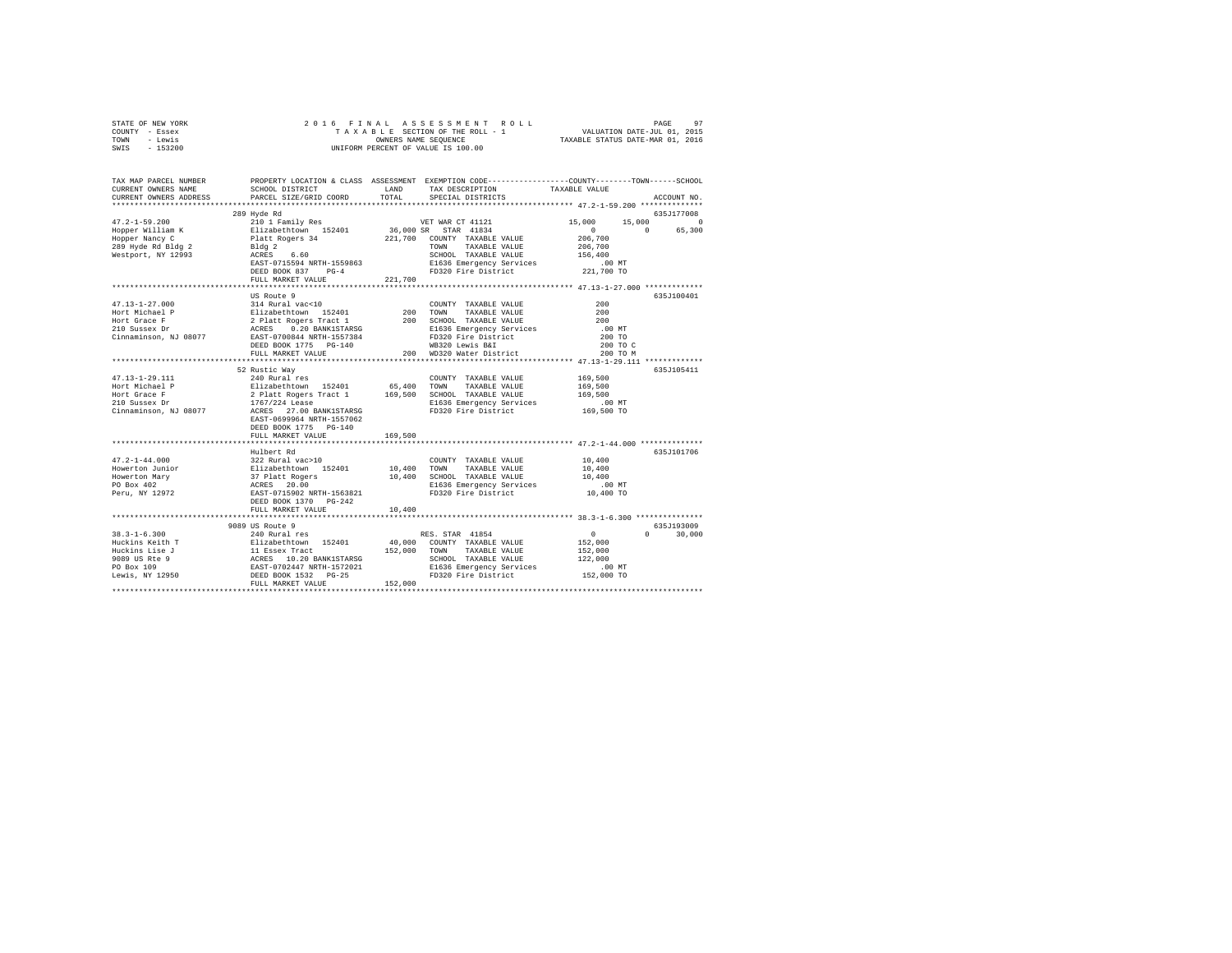|      | STATE OF NEW YORK |  |  | 2016 FINAL ASSESSMENT ROLL         |                                  | PAGE | 97 |
|------|-------------------|--|--|------------------------------------|----------------------------------|------|----|
|      | COUNTY - Essex    |  |  | TAXABLE SECTION OF THE ROLL - 1    | VALUATION DATE-JUL 01, 2015      |      |    |
| TOWN | - Lewis           |  |  | OWNERS NAME SEOUENCE               | TAXABLE STATUS DATE-MAR 01, 2016 |      |    |
| SWIS | - 153200          |  |  | UNIFORM PERCENT OF VALUE IS 100.00 |                                  |      |    |

| TAX MAP PARCEL NUMBER<br>CURRENT OWNERS NAME                                                                                                                                                                                                                                                                                                                                                                                                | SCHOOL DISTRICT LAND   |         | PROPERTY LOCATION & CLASS ASSESSMENT EXEMPTION CODE----------------COUNTY-------TOWN------SCHOOL<br>TAX DESCRIPTION TAXABLE VALUE<br>SPECIAL DISTRICTS |          |             |
|---------------------------------------------------------------------------------------------------------------------------------------------------------------------------------------------------------------------------------------------------------------------------------------------------------------------------------------------------------------------------------------------------------------------------------------------|------------------------|---------|--------------------------------------------------------------------------------------------------------------------------------------------------------|----------|-------------|
| CURRENT OWNERS ADDRESS                                                                                                                                                                                                                                                                                                                                                                                                                      | PARCEL SIZE/GRID COORD | TOTAL   | SPECIAL DISTRICTS                                                                                                                                      |          | ACCOUNT NO. |
|                                                                                                                                                                                                                                                                                                                                                                                                                                             | 289 Hyde Rd            |         |                                                                                                                                                        |          | 635J177008  |
|                                                                                                                                                                                                                                                                                                                                                                                                                                             |                        |         |                                                                                                                                                        |          |             |
|                                                                                                                                                                                                                                                                                                                                                                                                                                             |                        |         |                                                                                                                                                        |          |             |
|                                                                                                                                                                                                                                                                                                                                                                                                                                             |                        |         |                                                                                                                                                        |          |             |
|                                                                                                                                                                                                                                                                                                                                                                                                                                             |                        |         |                                                                                                                                                        |          |             |
|                                                                                                                                                                                                                                                                                                                                                                                                                                             |                        |         |                                                                                                                                                        |          |             |
|                                                                                                                                                                                                                                                                                                                                                                                                                                             |                        |         |                                                                                                                                                        |          |             |
|                                                                                                                                                                                                                                                                                                                                                                                                                                             |                        |         |                                                                                                                                                        |          |             |
|                                                                                                                                                                                                                                                                                                                                                                                                                                             | FULL MARKET VALUE      | 221,700 |                                                                                                                                                        |          |             |
|                                                                                                                                                                                                                                                                                                                                                                                                                                             |                        |         |                                                                                                                                                        |          |             |
|                                                                                                                                                                                                                                                                                                                                                                                                                                             |                        |         |                                                                                                                                                        |          | 635J100401  |
|                                                                                                                                                                                                                                                                                                                                                                                                                                             |                        |         |                                                                                                                                                        |          |             |
|                                                                                                                                                                                                                                                                                                                                                                                                                                             |                        |         |                                                                                                                                                        |          |             |
|                                                                                                                                                                                                                                                                                                                                                                                                                                             |                        |         |                                                                                                                                                        |          |             |
|                                                                                                                                                                                                                                                                                                                                                                                                                                             |                        |         |                                                                                                                                                        |          |             |
|                                                                                                                                                                                                                                                                                                                                                                                                                                             |                        |         |                                                                                                                                                        |          |             |
|                                                                                                                                                                                                                                                                                                                                                                                                                                             |                        |         |                                                                                                                                                        | 200 TO C |             |
|                                                                                                                                                                                                                                                                                                                                                                                                                                             |                        |         |                                                                                                                                                        | 200 TO M |             |
|                                                                                                                                                                                                                                                                                                                                                                                                                                             |                        |         |                                                                                                                                                        |          |             |
|                                                                                                                                                                                                                                                                                                                                                                                                                                             | 52 Rustic Wav          |         |                                                                                                                                                        |          | 635J105411  |
|                                                                                                                                                                                                                                                                                                                                                                                                                                             |                        |         |                                                                                                                                                        |          |             |
|                                                                                                                                                                                                                                                                                                                                                                                                                                             |                        |         |                                                                                                                                                        |          |             |
|                                                                                                                                                                                                                                                                                                                                                                                                                                             |                        |         |                                                                                                                                                        |          |             |
|                                                                                                                                                                                                                                                                                                                                                                                                                                             |                        |         |                                                                                                                                                        |          |             |
|                                                                                                                                                                                                                                                                                                                                                                                                                                             |                        |         |                                                                                                                                                        |          |             |
|                                                                                                                                                                                                                                                                                                                                                                                                                                             |                        |         |                                                                                                                                                        |          |             |
|                                                                                                                                                                                                                                                                                                                                                                                                                                             | DEED BOOK 1775 PG-140  |         |                                                                                                                                                        |          |             |
|                                                                                                                                                                                                                                                                                                                                                                                                                                             | FULL MARKET VALUE      | 169,500 |                                                                                                                                                        |          |             |
|                                                                                                                                                                                                                                                                                                                                                                                                                                             |                        |         |                                                                                                                                                        |          |             |
|                                                                                                                                                                                                                                                                                                                                                                                                                                             |                        |         |                                                                                                                                                        |          | 635J101706  |
|                                                                                                                                                                                                                                                                                                                                                                                                                                             |                        |         |                                                                                                                                                        |          |             |
|                                                                                                                                                                                                                                                                                                                                                                                                                                             |                        |         |                                                                                                                                                        |          |             |
|                                                                                                                                                                                                                                                                                                                                                                                                                                             |                        |         |                                                                                                                                                        |          |             |
|                                                                                                                                                                                                                                                                                                                                                                                                                                             |                        |         |                                                                                                                                                        |          |             |
| $\begin{tabular}{l c c c c} \multicolumn{4}{c}{\textbf{47.2--1-44.000}} & \multicolumn{4}{c}{\textbf{Hulbert Rd}} & \multicolumn{4}{c}{\textbf{GOLWTY}} & \multicolumn{4}{c}{\textbf{XXABLE VALUE}} & \multicolumn{4}{c}{\textbf{10.400}} \\ \multicolumn{4}{c}{\textbf{Hulbert Rd}} & \multicolumn{4}{c}{\textbf{GOLWTY}} & \multicolumn{4}{c}{\textbf{XXABLE VALUE}} & \multicolumn{4}{c}{\textbf{10.400}} \\ \multicolumn{4}{c}{\textbf$ |                        |         | SCHOOL TAXABLE VALUE 10,400<br>E1636 Emergency Services 10,400 MT<br>FD320 Fire District 10,400 TO                                                     |          |             |
|                                                                                                                                                                                                                                                                                                                                                                                                                                             |                        |         |                                                                                                                                                        |          |             |
|                                                                                                                                                                                                                                                                                                                                                                                                                                             | FULL MARKET VALUE      | 10,400  |                                                                                                                                                        |          |             |
|                                                                                                                                                                                                                                                                                                                                                                                                                                             |                        |         |                                                                                                                                                        |          |             |
|                                                                                                                                                                                                                                                                                                                                                                                                                                             |                        |         |                                                                                                                                                        |          | 635J193009  |
|                                                                                                                                                                                                                                                                                                                                                                                                                                             |                        |         |                                                                                                                                                        | $\Omega$ | 30,000      |
|                                                                                                                                                                                                                                                                                                                                                                                                                                             |                        |         |                                                                                                                                                        |          |             |
|                                                                                                                                                                                                                                                                                                                                                                                                                                             |                        |         |                                                                                                                                                        |          |             |
|                                                                                                                                                                                                                                                                                                                                                                                                                                             |                        |         |                                                                                                                                                        |          |             |
|                                                                                                                                                                                                                                                                                                                                                                                                                                             |                        |         |                                                                                                                                                        |          |             |
|                                                                                                                                                                                                                                                                                                                                                                                                                                             |                        |         |                                                                                                                                                        |          |             |
|                                                                                                                                                                                                                                                                                                                                                                                                                                             |                        |         |                                                                                                                                                        |          |             |
|                                                                                                                                                                                                                                                                                                                                                                                                                                             |                        |         |                                                                                                                                                        |          |             |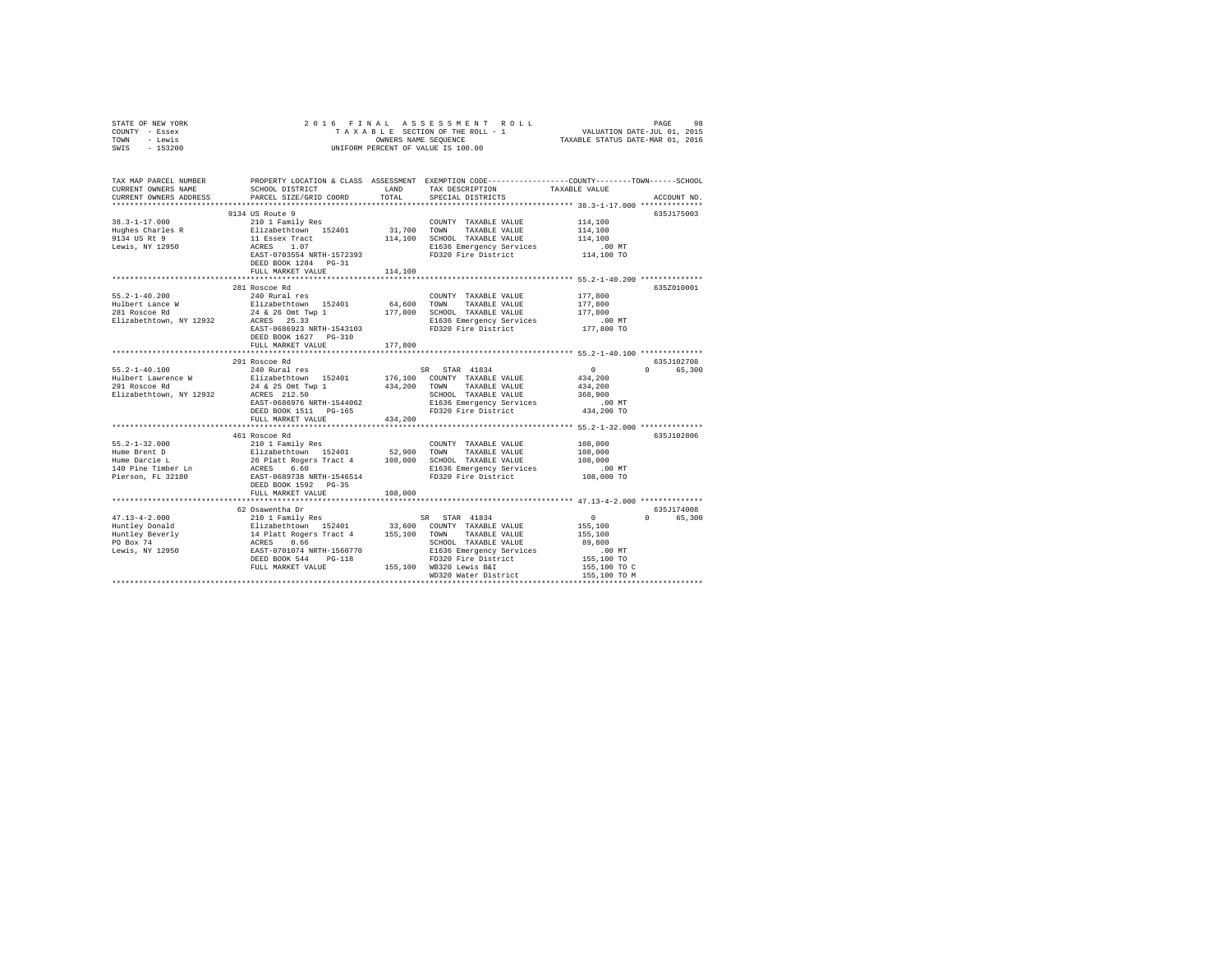| STATE OF NEW YORK<br>COUNTY - Essex                                                                                                             | 2016 FINAL                                                                                                                                                     |                      | PAGE 98 בSA BRIT ROLL PAGE 98 בPAGE 96 בPARA A SSESSMENT ROLL WALUATION DATE<br>TA XA BLE SECTION OF THE ROLL - 1 VALUATION DATE-JUL 01, 2015<br>OWNERS NAME SEQUENCE 7TAXABLE STATUS DATE-MAR 01, 2016 |                                                |             |
|-------------------------------------------------------------------------------------------------------------------------------------------------|----------------------------------------------------------------------------------------------------------------------------------------------------------------|----------------------|---------------------------------------------------------------------------------------------------------------------------------------------------------------------------------------------------------|------------------------------------------------|-------------|
| - Lewis<br>TOWN                                                                                                                                 |                                                                                                                                                                |                      |                                                                                                                                                                                                         |                                                |             |
| SWIS<br>$-153200$                                                                                                                               |                                                                                                                                                                |                      | OWNERS NAME SEQUENCE<br>UNIFORM PERCENT OF VALUE IS 100.00                                                                                                                                              |                                                |             |
|                                                                                                                                                 |                                                                                                                                                                |                      |                                                                                                                                                                                                         |                                                |             |
|                                                                                                                                                 |                                                                                                                                                                |                      |                                                                                                                                                                                                         |                                                |             |
|                                                                                                                                                 |                                                                                                                                                                |                      |                                                                                                                                                                                                         |                                                |             |
| TAX MAP PARCEL NUMBER                                                                                                                           |                                                                                                                                                                |                      | PROPERTY LOCATION & CLASS ASSESSMENT EXEMPTION CODE---------------COUNTY-------TOWN------SCHOOL                                                                                                         |                                                |             |
| CURRENT OWNERS NAME                                                                                                                             | SCHOOL DISTRICT                                                                                                                                                | LAND                 | TAX DESCRIPTION                                                                                                                                                                                         | TAXABLE VALUE                                  |             |
| CURRENT OWNERS ADDRESS                                                                                                                          | PARCEL SIZE/GRID COORD                                                                                                                                         | TOTAL                | SPECIAL DISTRICTS                                                                                                                                                                                       |                                                | ACCOUNT NO. |
|                                                                                                                                                 |                                                                                                                                                                |                      |                                                                                                                                                                                                         |                                                |             |
|                                                                                                                                                 | 9134 US Route 9                                                                                                                                                |                      |                                                                                                                                                                                                         |                                                | 635J175003  |
| 38.3-1-17.000                                                                                                                                   | 210 1 Family Res                                                                                                                                               | COUNT<br>31,700 TOWN | COUNTY TAXABLE VALUE                                                                                                                                                                                    | 114,100                                        |             |
| Hughes Charles R<br>9134 US Rt 9                                                                                                                |                                                                                                                                                                |                      | TAXABLE VALUE                                                                                                                                                                                           | 114,100                                        |             |
|                                                                                                                                                 |                                                                                                                                                                |                      | 114,100 SCHOOL TAXABLE VALUE                                                                                                                                                                            | 114,100                                        |             |
| Lewis, NY 12950                                                                                                                                 | ziu ramiry Res<br>Elizabethtown 152401<br>11 Essex Tract<br>ACRES 1.07                                                                                         |                      | E1636 Emergency Services                                                                                                                                                                                | $.00$ MT                                       |             |
|                                                                                                                                                 | EAST-0703554 NRTH-1572393                                                                                                                                      |                      | FD320 Fire District                                                                                                                                                                                     | 114,100 TO                                     |             |
|                                                                                                                                                 | DEED BOOK 1284   PG-31                                                                                                                                         |                      |                                                                                                                                                                                                         |                                                |             |
|                                                                                                                                                 | FULL MARKET VALUE                                                                                                                                              | 114,100              |                                                                                                                                                                                                         |                                                |             |
|                                                                                                                                                 |                                                                                                                                                                | **************       | **************************** 55.2-1-40.200 **************                                                                                                                                               |                                                |             |
|                                                                                                                                                 | 281 Roscoe Rd                                                                                                                                                  |                      |                                                                                                                                                                                                         |                                                | 635Z010001  |
| $55.2 - 1 - 40.200$                                                                                                                             | 240 Rural res                                                                                                                                                  |                      | COUNTY TAXABLE VALUE                                                                                                                                                                                    | 177.800                                        |             |
| Hulbert Lance W                                                                                                                                 | Elizabethtown 152401                                                                                                                                           |                      | 64,600 TOWN TAXABLE VALUE                                                                                                                                                                               | 177,800                                        |             |
| 281 Roscoe Rd                                                                                                                                   | 24 & 26 Omt Twp 1<br>ACRES 25.33                                                                                                                               |                      | 177,800 SCHOOL TAXABLE VALUE                                                                                                                                                                            | 177.800                                        |             |
| Elizabethtown, NY 12932                                                                                                                         |                                                                                                                                                                |                      | E1636 Emergency Services                                                                                                                                                                                | $.00$ MT                                       |             |
|                                                                                                                                                 | EAST-0686923 NRTH-1543103                                                                                                                                      |                      | FD320 Fire District                                                                                                                                                                                     | 177,800 TO                                     |             |
|                                                                                                                                                 | DEED BOOK 1627 PG-310                                                                                                                                          |                      |                                                                                                                                                                                                         |                                                |             |
|                                                                                                                                                 | FULL MARKET VALUE                                                                                                                                              | 177,800              |                                                                                                                                                                                                         |                                                |             |
|                                                                                                                                                 |                                                                                                                                                                |                      |                                                                                                                                                                                                         |                                                |             |
|                                                                                                                                                 | 291 Roscoe Rd                                                                                                                                                  |                      |                                                                                                                                                                                                         |                                                | 635.T102708 |
| $55.2 - 1 - 40.100$                                                                                                                             | 240 Rural res                                                                                                                                                  |                      | SR STAR 41834                                                                                                                                                                                           | $\sim$ 0                                       | 0 65,300    |
| Hulbert Lawrence W                                                                                                                              | Elizabethtown 152401                                                                                                                                           |                      | 176,100 COUNTY TAXABLE VALUE                                                                                                                                                                            | 434,200                                        |             |
| Andre Hawrence W<br>291 Roscoe Rd<br>Fliesheit                                                                                                  | 24 & 25 Omt Twp 1<br>ACRES 212.50                                                                                                                              |                      | 434,200 TOWN TAXABLE VALUE                                                                                                                                                                              | 434,200                                        |             |
| Elizabethtown, NY 12932                                                                                                                         |                                                                                                                                                                |                      | SCHOOL TAXABLE VALUE                                                                                                                                                                                    | 368.900                                        |             |
|                                                                                                                                                 | EAST-0686976 NRTH-1544062<br>DEED BOOK 1511 PG-165                                                                                                             |                      | E1636 Emergency Services                                                                                                                                                                                | $.00$ MT                                       |             |
|                                                                                                                                                 |                                                                                                                                                                |                      | FD320 Fire District                                                                                                                                                                                     | 434,200 TO                                     |             |
|                                                                                                                                                 | FULL MARKET VALUE                                                                                                                                              | 434,200              |                                                                                                                                                                                                         |                                                |             |
|                                                                                                                                                 |                                                                                                                                                                |                      |                                                                                                                                                                                                         | ***************** 55.2-1-32.000 ************** |             |
|                                                                                                                                                 | 461 Roscoe Rd                                                                                                                                                  |                      |                                                                                                                                                                                                         |                                                | 635J102806  |
| 55.2-1-32.000                                                                                                                                   | 210 1 Family Res                                                                                                                                               |                      | COUNTY TAXABLE VALUE                                                                                                                                                                                    | 108,000                                        |             |
| Hume Brent D<br>Hume Darcie L                                                                                                                   |                                                                                                                                                                |                      |                                                                                                                                                                                                         | 108,000                                        |             |
| Hume Dartic L $$\tt ACRES$$ $$\tt 0.04$$ 140 Pine Timber Ln $$\tt RAST-0689738\;NRTH-1546514$$ Pierson, FL 32180 $$\tt DEED\;BOCK$1592\;PG-35$$ | Elizabethtown IS2401 52,900 YOWN TAXABLE VALUE<br>26 Platt Rogers Tract 4 108,000 SCHOLD TAXABLE VALUE<br>26 Platt Rogers Tract 4 108,000 SCHOLD TAXABLE VALUE |                      |                                                                                                                                                                                                         | 108,000                                        |             |
|                                                                                                                                                 |                                                                                                                                                                |                      | E1636 Emergency Services                                                                                                                                                                                | $.00$ MT                                       |             |
|                                                                                                                                                 |                                                                                                                                                                |                      | FD320 Fire District                                                                                                                                                                                     | 108,000 TO                                     |             |
|                                                                                                                                                 |                                                                                                                                                                |                      |                                                                                                                                                                                                         |                                                |             |
|                                                                                                                                                 | FULL MARKET VALUE                                                                                                                                              | 108,000              |                                                                                                                                                                                                         |                                                |             |
|                                                                                                                                                 |                                                                                                                                                                |                      |                                                                                                                                                                                                         |                                                |             |
|                                                                                                                                                 | 62 Osawentha Dr                                                                                                                                                |                      |                                                                                                                                                                                                         |                                                | 635J174008  |
| $47.13 - 4 - 2.000$                                                                                                                             | 210 1 Family Res                                                                                                                                               |                      | SR STAR 41834                                                                                                                                                                                           | $\sim$ 0                                       | 0 65,300    |
| 47.13-4 According<br>Huntley Donald<br>Huntley Beverly                                                                                          |                                                                                                                                                                |                      |                                                                                                                                                                                                         | 155,100                                        |             |
|                                                                                                                                                 |                                                                                                                                                                |                      |                                                                                                                                                                                                         | 155,100                                        |             |
| PO Box 74                                                                                                                                       |                                                                                                                                                                |                      |                                                                                                                                                                                                         | 89,800                                         |             |
| Lewis, NY 12950                                                                                                                                 |                                                                                                                                                                |                      | E1636 Emergency Services<br>FD320 Fire District                                                                                                                                                         | .00 MT<br>155,100 TO                           |             |
|                                                                                                                                                 |                                                                                                                                                                |                      |                                                                                                                                                                                                         | 155,100 TO C                                   |             |
|                                                                                                                                                 |                                                                                                                                                                |                      | WD320 Water District                                                                                                                                                                                    | 155,100 TO M                                   |             |
|                                                                                                                                                 |                                                                                                                                                                |                      |                                                                                                                                                                                                         | ********************                           |             |
|                                                                                                                                                 |                                                                                                                                                                |                      |                                                                                                                                                                                                         |                                                |             |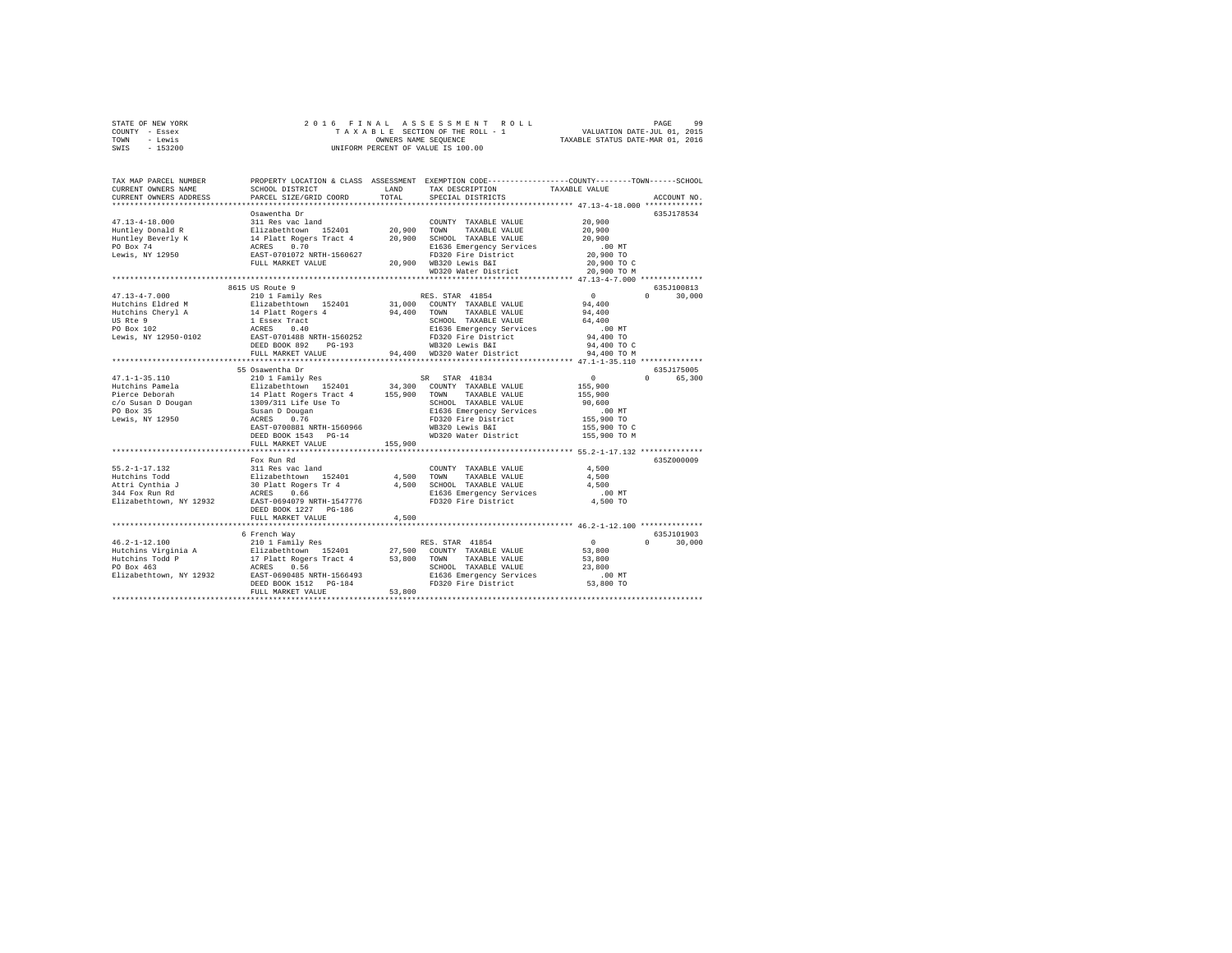| STATE OF NEW YORK | 2016 FINAL ASSESSMENT ROLL         | 99<br>PAGE                       |
|-------------------|------------------------------------|----------------------------------|
| COUNTY - Essex    | TAXABLE SECTION OF THE ROLL - 1    | VALUATION DATE-JUL 01, 2015      |
| TOWN<br>- Lewis   | OWNERS NAME SEOUENCE               | TAXABLE STATUS DATE-MAR 01, 2016 |
| SWIS - 153200     | UNIFORM PERCENT OF VALUE IS 100.00 |                                  |

| TAX MAP PARCEL NUMBER<br>CURRENT OWNERS NAME<br>CURRENT OWNERS ADDRESS | SCHOOL DISTRICT<br>PARCEL SIZE/GRID COORD | <b>T.AND</b><br>TOTAL | PROPERTY LOCATION & CLASS ASSESSMENT EXEMPTION CODE----------------COUNTY-------TOWN------SCHOOL<br>TAX DESCRIPTION<br>SPECIAL DISTRICTS | TAXABLE VALUE                   | ACCOUNT NO             |
|------------------------------------------------------------------------|-------------------------------------------|-----------------------|------------------------------------------------------------------------------------------------------------------------------------------|---------------------------------|------------------------|
|                                                                        | ***********************                   |                       |                                                                                                                                          |                                 |                        |
|                                                                        | Osawentha Dr                              |                       |                                                                                                                                          |                                 | 635.7178534            |
| $47.13 - 4 - 18.000$                                                   | 311 Res vac land                          |                       | COUNTY TAXABLE VALUE                                                                                                                     | 20,900                          |                        |
| Huntley Donald R                                                       | Elizabethtown 152401                      | 20,900                | TOWN<br>TAXABLE VALUE                                                                                                                    | 20,900                          |                        |
| Huntley Beverly K                                                      |                                           |                       | 20.900 SCHOOL TAXABLE VALUE                                                                                                              | 20,900                          |                        |
| PO Box 74                                                              | 14 Platt Rogers Tract 4<br>ACRES 0.70     |                       | E1636 Emergency Services                                                                                                                 | $.00$ MT                        |                        |
| Lewis, NY 12950                                                        | EAST-0701072 NRTH-1560627                 |                       | FD320 Fire District                                                                                                                      | 20,900 TO                       |                        |
|                                                                        | FULL MARKET VALUE                         |                       | 20,900 WB320 Lewis B&I                                                                                                                   | 20,900 TO C                     |                        |
|                                                                        |                                           |                       | WD320 Water District                                                                                                                     | 20,900 TO M                     |                        |
|                                                                        |                                           |                       |                                                                                                                                          |                                 |                        |
|                                                                        | 8615 US Route 9                           |                       |                                                                                                                                          |                                 | 635J100813             |
| $47.13 - 4 - 7.000$                                                    | 210 1 Family Res                          |                       | RES. STAR 41854                                                                                                                          | $\overline{0}$                  | 30,000<br>$\mathbf{r}$ |
| Hutchins Eldred M                                                      | Elizabethtown 152401                      |                       | 31,000 COUNTY TAXABLE VALUE                                                                                                              | 94,400                          |                        |
| Hutchins Cheryl A                                                      | 14 Platt Rogers 4                         |                       | 94,400 TOWN TAXABLE VALUE                                                                                                                | 94,400                          |                        |
| US Rte 9                                                               | 1 Essex Tract                             |                       | SCHOOL TAXABLE VALUE                                                                                                                     | 64,400                          |                        |
| PO Box 102                                                             | ACRES<br>0.40                             |                       | E1636 Emergency Services                                                                                                                 | $.00$ MT                        |                        |
| Lewis, NY 12950-0102                                                   | EAST-0701488 NRTH-1560252                 |                       | FD320 Fire District                                                                                                                      | 94,400 TO                       |                        |
|                                                                        | DEED BOOK 892<br>PG-193                   |                       | WB320 Lewis B&I                                                                                                                          | 94,400 TO C                     |                        |
|                                                                        | FULL MARKET VALUE                         |                       | 94.400 WD320 Water District                                                                                                              | 94,400 TO M                     |                        |
|                                                                        |                                           |                       |                                                                                                                                          | ***** 47.1-1-35.110 *********** |                        |
|                                                                        | 55 Osawentha Dr                           |                       |                                                                                                                                          |                                 | 635J175005             |
| $47.1 - 1 - 35.110$                                                    | 210 1 Family Res                          |                       | STAR 41834<br>SR –                                                                                                                       | $\circ$                         | $\Omega$<br>65,300     |
| Hutchins Pamela                                                        | Elizabethtown 152401                      |                       | 34,300 COUNTY TAXABLE VALUE                                                                                                              | 155,900                         |                        |
| Pierce Deborah                                                         | 14 Platt Rogers Tract 4                   | 155,900               | TOWN<br>TAXABLE VALUE                                                                                                                    | 155,900                         |                        |
| c/o Susan D Dougan                                                     | 1309/311 Life Use To                      |                       | SCHOOL TAXABLE VALUE                                                                                                                     | 90,600                          |                        |
| PO Box 35                                                              | Susan D Dougan                            |                       | E1636 Emergency Services                                                                                                                 | $.00$ MT                        |                        |
| Lewis, NY 12950                                                        | ACRES<br>0.76                             |                       | FD320 Fire District                                                                                                                      | 155,900 TO                      |                        |
|                                                                        | EAST-0700881 NRTH-1560966                 |                       | WB320 Lewis B&I                                                                                                                          | 155,900 TO C                    |                        |
|                                                                        | DEED BOOK 1543 PG-14                      |                       | WD320 Water District                                                                                                                     | 155,900 TO M                    |                        |
|                                                                        | FULL MARKET VALUE                         | 155,900               |                                                                                                                                          |                                 |                        |
|                                                                        |                                           |                       | ***************************** 55.2-1-17.132 ***************                                                                              |                                 |                        |
|                                                                        | Fox Run Rd                                |                       |                                                                                                                                          |                                 | 635Z000009             |
| $55.2 - 1 - 17.132$                                                    | 311 Res vac land                          |                       | COUNTY TAXABLE VALUE                                                                                                                     | 4.500                           |                        |
| Hutchins Todd                                                          | Elizabethtown 152401                      | 4,500                 | TOWN<br>TAXABLE VALUE                                                                                                                    | 4,500                           |                        |
| Attri Cynthia J                                                        | 30 Platt Rogers Tr 4                      | 4.500                 | SCHOOL TAXABLE VALUE                                                                                                                     | 4.500                           |                        |
| 344 Fox Run Rd                                                         | ACRES<br>0.66                             |                       | E1636 Emergency Services                                                                                                                 | $.00$ MT                        |                        |
| Elizabethtown, NY 12932                                                | EAST-0694079 NRTH-1547776                 |                       | FD320 Fire District                                                                                                                      | 4,500 TO                        |                        |
|                                                                        | DEED BOOK 1227 PG-186                     |                       |                                                                                                                                          |                                 |                        |
|                                                                        | FULL MARKET VALUE                         | 4.500                 |                                                                                                                                          |                                 |                        |
|                                                                        | *************************                 |                       | ****************************** 46.2-1-12.100 **************                                                                              |                                 |                        |
|                                                                        | 6 French Way                              |                       |                                                                                                                                          |                                 | 635.T101903            |
| $46.2 - 1 - 12.100$                                                    | 210 1 Family Res                          |                       | RES. STAR 41854                                                                                                                          | $\sim$ 0                        | 30,000<br>$\Omega$     |
| Hutchins Virginia A                                                    | Elizabethtown 152401                      |                       | 27,500 COUNTY TAXABLE VALUE                                                                                                              | 53,800                          |                        |
| Hutchins Todd P                                                        | 17 Platt Rogers Tract 4                   | 53,800 TOWN           | TAXABLE VALUE                                                                                                                            | 53,800                          |                        |
| PO Box 463                                                             | 0.56<br>ACRES                             |                       | SCHOOL TAXABLE VALUE                                                                                                                     | 23,800                          |                        |
| Elizabethtown, NY 12932                                                | EAST-0690485 NRTH-1566493                 |                       | E1636 Emergency Services                                                                                                                 | .00 MT                          |                        |
|                                                                        | DEED BOOK 1512 PG-184                     |                       | FD320 Fire District                                                                                                                      | 53,800 TO                       |                        |
|                                                                        | FULL MARKET VALUE                         | 53,800                |                                                                                                                                          |                                 |                        |
|                                                                        |                                           |                       |                                                                                                                                          |                                 |                        |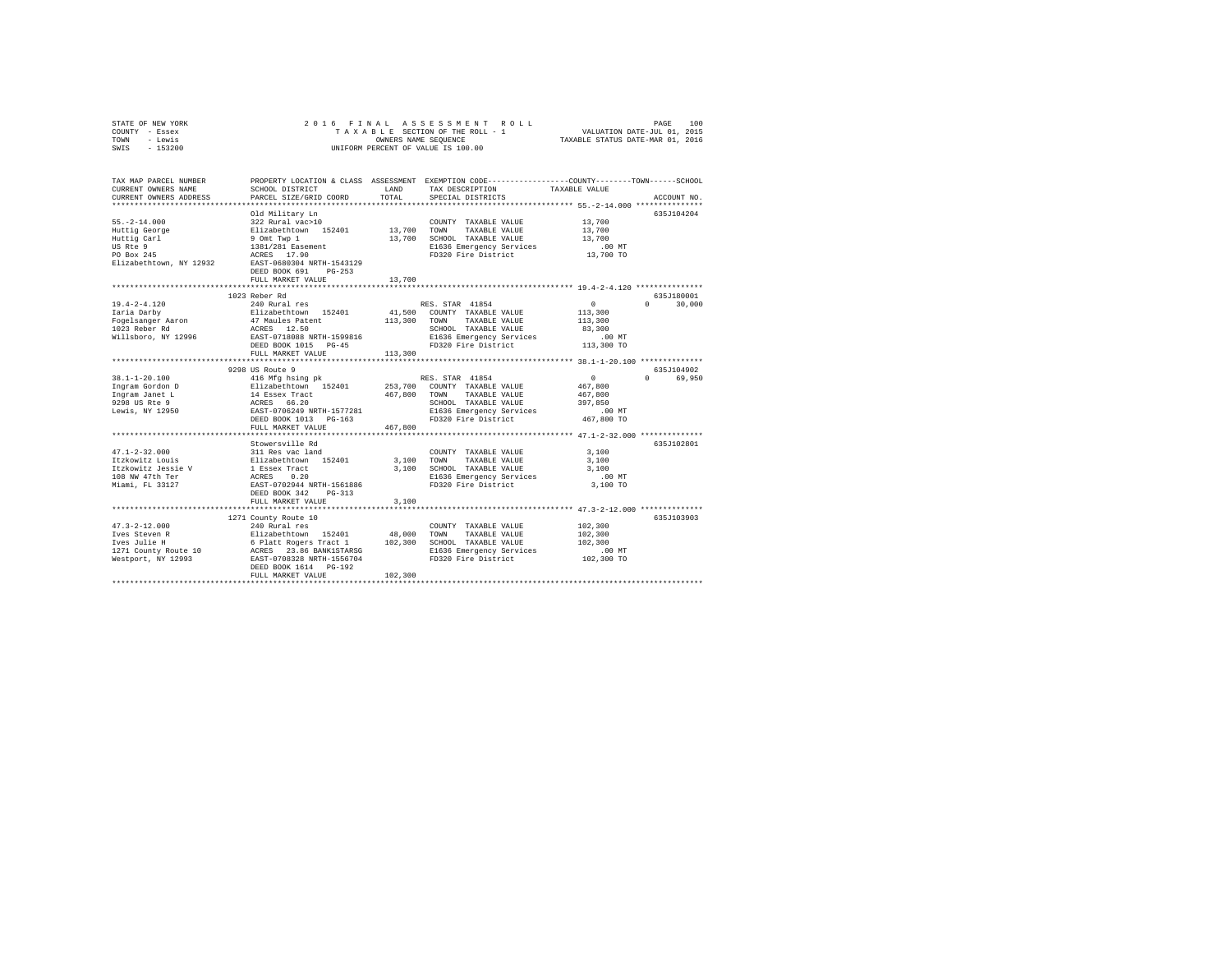| STATE OF NEW YORK                                                                                                                                                                                                                                                                              | 2016 FINAL                                                                                           |              | A S S E S S M E N T R O L L<br>SECTION OF THE ROLL - 1 VALUATION DATE-JUL 01, 2015<br>S NAME SEQUENCE TRIABLE STATUS DATE-MAR 01, 2016 |                |               |
|------------------------------------------------------------------------------------------------------------------------------------------------------------------------------------------------------------------------------------------------------------------------------------------------|------------------------------------------------------------------------------------------------------|--------------|----------------------------------------------------------------------------------------------------------------------------------------|----------------|---------------|
| COUNTY - Essex                                                                                                                                                                                                                                                                                 |                                                                                                      |              | TAXABLE SECTION OF THE ROLL - 1                                                                                                        |                |               |
| - Lewis<br>TOWN                                                                                                                                                                                                                                                                                |                                                                                                      |              | OWNERS NAME SEQUENCE                                                                                                                   |                |               |
| SWIS<br>$-153200$                                                                                                                                                                                                                                                                              |                                                                                                      |              | UNIFORM PERCENT OF VALUE IS 100.00                                                                                                     |                |               |
|                                                                                                                                                                                                                                                                                                |                                                                                                      |              |                                                                                                                                        |                |               |
|                                                                                                                                                                                                                                                                                                |                                                                                                      |              |                                                                                                                                        |                |               |
|                                                                                                                                                                                                                                                                                                |                                                                                                      |              |                                                                                                                                        |                |               |
| TAX MAP PARCEL NUMBER                                                                                                                                                                                                                                                                          |                                                                                                      |              | PROPERTY LOCATION & CLASS ASSESSMENT EXEMPTION CODE---------------COUNTY-------TOWN-----SCHOOL                                         |                |               |
| CURRENT OWNERS NAME                                                                                                                                                                                                                                                                            | SCHOOL DISTRICT                                                                                      | LAND         | TAX DESCRIPTION                                                                                                                        | TAXABLE VALUE  |               |
| CURRENT OWNERS ADDRESS                                                                                                                                                                                                                                                                         | PARCEL SIZE/GRID COORD                                                                               | TOTAL        | SPECIAL DISTRICTS                                                                                                                      |                | ACCOUNT NO.   |
|                                                                                                                                                                                                                                                                                                |                                                                                                      |              |                                                                                                                                        |                |               |
|                                                                                                                                                                                                                                                                                                | Old Military Ln                                                                                      |              |                                                                                                                                        |                | 635J104204    |
| $55. -2 - 14.000$                                                                                                                                                                                                                                                                              | 322 Rural vac>10                                                                                     |              | COUNTY TAXABLE VALUE                                                                                                                   | 13,700         |               |
| Huttig George                                                                                                                                                                                                                                                                                  | Elizabethtown 152401<br>9 Omt Twp 1                                                                  | 13,700 TOWN  | TAXABLE VALUE                                                                                                                          | 13,700         |               |
| Huttig Carl                                                                                                                                                                                                                                                                                    |                                                                                                      |              | 13,700 SCHOOL TAXABLE VALUE                                                                                                            | 13,700         |               |
| US Rte 9                                                                                                                                                                                                                                                                                       | 1381/281 Easement<br>ACRES 17.90                                                                     |              | E1636 Emergency Services                                                                                                               | .00MT          |               |
| PO Box 245                                                                                                                                                                                                                                                                                     |                                                                                                      |              | FD320 Fire District                                                                                                                    | 13,700 TO      |               |
| Elizabethtown, NY 12932                                                                                                                                                                                                                                                                        | EAST-0680304 NRTH-1543129                                                                            |              |                                                                                                                                        |                |               |
|                                                                                                                                                                                                                                                                                                | DEED BOOK 691 PG-253                                                                                 |              |                                                                                                                                        |                |               |
|                                                                                                                                                                                                                                                                                                | FULL MARKET VALUE                                                                                    | 13,700       |                                                                                                                                        |                |               |
|                                                                                                                                                                                                                                                                                                | **********************                                                                               |              |                                                                                                                                        |                |               |
|                                                                                                                                                                                                                                                                                                | 1023 Reber Rd                                                                                        |              |                                                                                                                                        |                | 635J180001    |
| $19.4 - 2 - 4.120$                                                                                                                                                                                                                                                                             | 240 Rural res                                                                                        |              | RES. STAR 41854                                                                                                                        | $\overline{0}$ | $0 \t 30.000$ |
| Iaria Darby                                                                                                                                                                                                                                                                                    | Elizabethtown 152401                                                                                 |              | 41,500 COUNTY TAXABLE VALUE                                                                                                            | 113,300        |               |
| Fogelsanger Aaron                                                                                                                                                                                                                                                                              | 47 Maules Patent                                                                                     | 113,300 TOWN | TAXABLE VALUE                                                                                                                          | 113,300        |               |
| $1023$ Reber Rd                                                                                                                                                                                                                                                                                | ACRES 12.50                                                                                          |              | SCHOOL TAXABLE VALUE                                                                                                                   | 83,300         |               |
| Willsboro, NY 12996                                                                                                                                                                                                                                                                            | EAST-0718088 NRTH-1599816                                                                            |              | E1636 Emergency Services                                                                                                               | $.00$ MT       |               |
|                                                                                                                                                                                                                                                                                                | DEED BOOK 1015 PG-45                                                                                 |              | FD320 Fire District                                                                                                                    | 113,300 TO     |               |
|                                                                                                                                                                                                                                                                                                | FULL MARKET VALUE                                                                                    | 113,300      |                                                                                                                                        |                |               |
|                                                                                                                                                                                                                                                                                                |                                                                                                      |              |                                                                                                                                        |                |               |
|                                                                                                                                                                                                                                                                                                | 9298 US Route 9                                                                                      |              |                                                                                                                                        |                | 635J104902    |
| 38.1-1-20.100                                                                                                                                                                                                                                                                                  | 416 Mfg hsing pk                                                                                     |              | RES. STAR 41854                                                                                                                        | $\sim$ 0       | 0 69,950      |
| Ingram Gordon D                                                                                                                                                                                                                                                                                |                                                                                                      |              | 253,700 COUNTY TAXABLE VALUE                                                                                                           | 467.800        |               |
| Ingram Janet L                                                                                                                                                                                                                                                                                 |                                                                                                      | 467,800 TOWN | TAXABLE VALUE                                                                                                                          | 467,800        |               |
|                                                                                                                                                                                                                                                                                                | Elizabethtown 152401<br>14 Essex Tract<br>ACRES 66.20<br>EAST-0706249 NRTH-1577281                   |              | SCHOOL TAXABLE VALUE                                                                                                                   | 397,850        |               |
| 9298 US Rte 9<br>Lewis, NY 12950                                                                                                                                                                                                                                                               |                                                                                                      |              | E1636 Emergency Services                                                                                                               | .00 MT         |               |
|                                                                                                                                                                                                                                                                                                |                                                                                                      |              | FD320 Fire District                                                                                                                    | 467,800 TO     |               |
|                                                                                                                                                                                                                                                                                                | DEED BOOK 1013 PG-163                                                                                |              |                                                                                                                                        |                |               |
|                                                                                                                                                                                                                                                                                                | FULL MARKET VALUE                                                                                    | 467.800      |                                                                                                                                        |                |               |
|                                                                                                                                                                                                                                                                                                |                                                                                                      |              |                                                                                                                                        |                |               |
|                                                                                                                                                                                                                                                                                                | Stowersville Rd                                                                                      |              |                                                                                                                                        |                | 635J102801    |
| $47.1 - 2 - 32.000$                                                                                                                                                                                                                                                                            | 311 Res vac land                                                                                     |              | COUNTY TAXABLE VALUE                                                                                                                   | 3,100          |               |
| Itzkowitz Louis                                                                                                                                                                                                                                                                                |                                                                                                      |              | 3,100 TOWN<br>TAXABLE VALUE                                                                                                            | 3,100          |               |
| Itzkowitz Jessie V                                                                                                                                                                                                                                                                             |                                                                                                      |              | 3,100 SCHOOL TAXABLE VALUE                                                                                                             | 3,100          |               |
| 108 NW 47th Ter                                                                                                                                                                                                                                                                                | 311 Res vac land<br>Elizabethtown 152401<br>1 Essex Tract<br>ACRES 0.20<br>EAST-0702944 NRTH-1561886 |              | E1636 Emergency Services                                                                                                               | $.00$ MT       |               |
| Miami, FL 33127                                                                                                                                                                                                                                                                                |                                                                                                      |              | FD320 Fire District                                                                                                                    | 3,100 TO       |               |
|                                                                                                                                                                                                                                                                                                | DEED BOOK 342 PG-313                                                                                 |              |                                                                                                                                        |                |               |
|                                                                                                                                                                                                                                                                                                | FULL MARKET VALUE                                                                                    | 3,100        |                                                                                                                                        |                |               |
|                                                                                                                                                                                                                                                                                                |                                                                                                      |              |                                                                                                                                        |                |               |
|                                                                                                                                                                                                                                                                                                | 1271 County Route 10                                                                                 |              |                                                                                                                                        |                | 635J103903    |
| $47.3 - 2 - 12.000$                                                                                                                                                                                                                                                                            | 240 Rural res                                                                                        |              | COUNTY TAXABLE VALUE                                                                                                                   | 102,300        |               |
| Ives Steven R<br>Ives Steven R<br>Ives Julie H<br>1983<br>1992 - The Britan Britan (1992)<br>1993 - The Britan (1992)<br>1993 - The Steven Research<br>1993 - The Samuel School (1993)<br>1993 - The Samuel School (1993)<br>1993 - The Samuel Samuel School (1993)<br>1993 - The Samuel Schoo |                                                                                                      |              | TOWN TAXABLE VALUE                                                                                                                     | 102,300        |               |
|                                                                                                                                                                                                                                                                                                |                                                                                                      |              | 102,300 SCHOOL TAXABLE VALUE                                                                                                           | 102,300        |               |
|                                                                                                                                                                                                                                                                                                |                                                                                                      |              | E1636 Emergency Services                                                                                                               | $.00$ MT       |               |
|                                                                                                                                                                                                                                                                                                |                                                                                                      |              | FD320 Fire District                                                                                                                    | 102,300 TO     |               |
|                                                                                                                                                                                                                                                                                                | DEED BOOK 1614 PG-192                                                                                |              |                                                                                                                                        |                |               |
|                                                                                                                                                                                                                                                                                                | FULL MARKET VALUE                                                                                    | 102,300      |                                                                                                                                        |                |               |
|                                                                                                                                                                                                                                                                                                |                                                                                                      |              |                                                                                                                                        |                |               |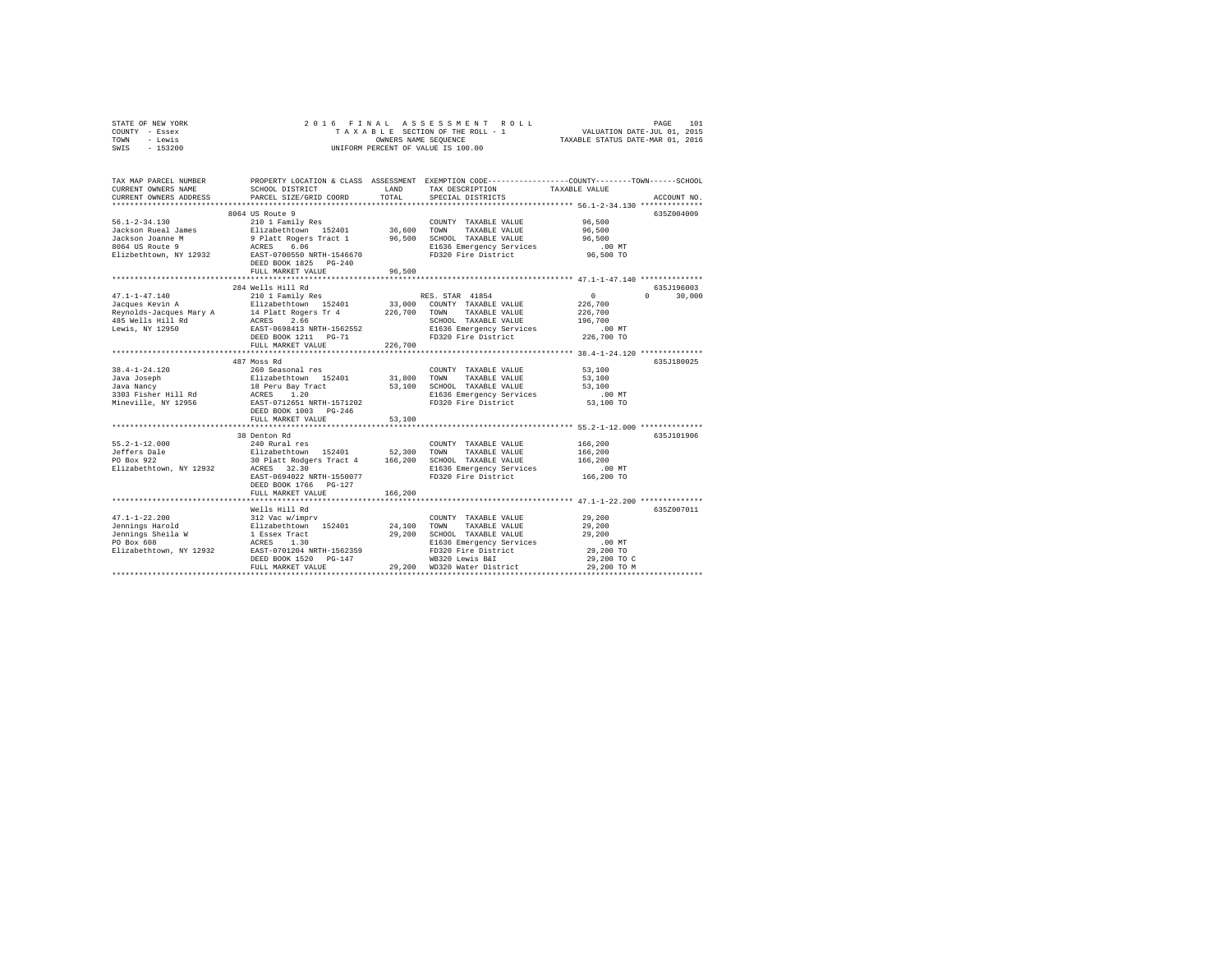|      | STATE OF NEW YORK |  |  | 2016 FINAL ASSESSMENT ROLL         | PAGE                             | 101 |
|------|-------------------|--|--|------------------------------------|----------------------------------|-----|
|      | COUNTY - Essex    |  |  | TAXABLE SECTION OF THE ROLL - 1    | VALUATION DATE-JUL 01, 2015      |     |
| TOWN | - Lewis           |  |  | OWNERS NAME SEOUENCE               | TAXABLE STATUS DATE-MAR 01, 2016 |     |
| SWIS | $-153200$         |  |  | UNIFORM PERCENT OF VALUE IS 100.00 |                                  |     |

| TAX MAP PARCEL NUMBER<br>CURRENT OWNERS NAME<br>CURRENT OWNERS ADDRESS | SCHOOL DISTRICT<br>PARCEL SIZE/GRID COORD<br>**************************                                                                                                                                                                                                                                                                                                                                                                           | LAND<br>TOTAL | PROPERTY LOCATION & CLASS ASSESSMENT EXEMPTION CODE----------------COUNTY-------TOWN-----SCHOOL<br>TAX DESCRIPTION<br>SPECIAL DISTRICTS                                                                                                   | TAXABLE VALUE                                                            | ACCOUNT NO.                      |
|------------------------------------------------------------------------|---------------------------------------------------------------------------------------------------------------------------------------------------------------------------------------------------------------------------------------------------------------------------------------------------------------------------------------------------------------------------------------------------------------------------------------------------|---------------|-------------------------------------------------------------------------------------------------------------------------------------------------------------------------------------------------------------------------------------------|--------------------------------------------------------------------------|----------------------------------|
|                                                                        | 8064 US Route 9<br>1997 11:130 11 12 2011 12 2011 12 2011 12 2011 13 2011 12 2011 12 2011 12 2011 12 2011 12 2011 136,600 12011 1<br>Jackson Rueal James 11:12 2011 12 2011 12 36,600 12000 12000 12000 12000 12000 12000 12000 12000 12000 12000 1<br>FULL MARKET VALUE<br>*****************************                                                                                                                                         | 96,500        | TAXABLE VALUE 96,500                                                                                                                                                                                                                      | 96,500<br>96,500<br>$.00$ MT<br>96,500 TO                                | 635Z004009                       |
| $47.1 - 1 - 47.140$                                                    | 284 Wells Hill Rd<br>210 1 Family Res<br>FULL MARKET VALUE                                                                                                                                                                                                                                                                                                                                                                                        | 226,700       | RES. STAR 41854<br>SCHOOL TAXABLE VALUE 196,700<br>E1636 Emergency Services 00 MT<br>E1636 Emergency Services<br>FD320 Fire District 226,700 TO                                                                                           | $\sim$ 0<br>226,700<br>226,700                                           | 635J196003<br>$\Omega$<br>30,000 |
|                                                                        | **************************<br>487 Moss Rd<br>DEED BOOK 1003 PG-246<br>FULL MARKET VALUE                                                                                                                                                                                                                                                                                                                                                           | 53,100        |                                                                                                                                                                                                                                           | ******************* 38.4-1-24.120 *************<br>$.00$ MT<br>53,100 TO | 635J180025                       |
| $55.2 - 1 - 12.000$<br>Elizabethtown, NY 12932                         | 38 Denton Rd<br>EAST-0694022 NRTH-1550077<br>DEED BOOK 1766 PG-127<br>FULL MARKET VALUE                                                                                                                                                                                                                                                                                                                                                           | 166,200       | FD320 Fire District                                                                                                                                                                                                                       | 166, 200<br>166,200 TO                                                   | 635J101906                       |
|                                                                        | Wells Hill Rd<br>$\begin{tabular}{lllllllllllll} 47.1\text{--}1\text{--}22.200 & 312\text{ Vac} & \text{v/imprv} & \text{COUNT} & \text{CODNT} \\ \text{Jennings Harold} & 312\text{ Vac} & \text{w/imprv} & 152401 & 24,100 & \text{TOMN} \\ \text{Jennings Shell a W} & 1\text{ Easer Tract} & 29,200 & \text{SCHOC} \\ \text{PO Box 608} & \text{ACRES} & 1.30 & 10 & 1000 \\ \text{E1izabethttown, NY 12932} & \text{E1$<br>FULL MARKET VALUE |               | COUNTY TAXABLE VALUE<br>TAXABLE VALUE<br>29,200 SCHOOL TAXABLE VALUE<br>E1636 Emergency Services<br>SCHOOL TAXABLE VALUE<br>E1636 Emergency Services<br>FD320 Fire District<br>WB320 Lewis B&I<br>29,200 WD320 Water District 29,200 TO M | 29,200<br>29,200<br>29,200<br>$.00$ MT<br>29,200 TO<br>29,200 TO C       | 635Z007011                       |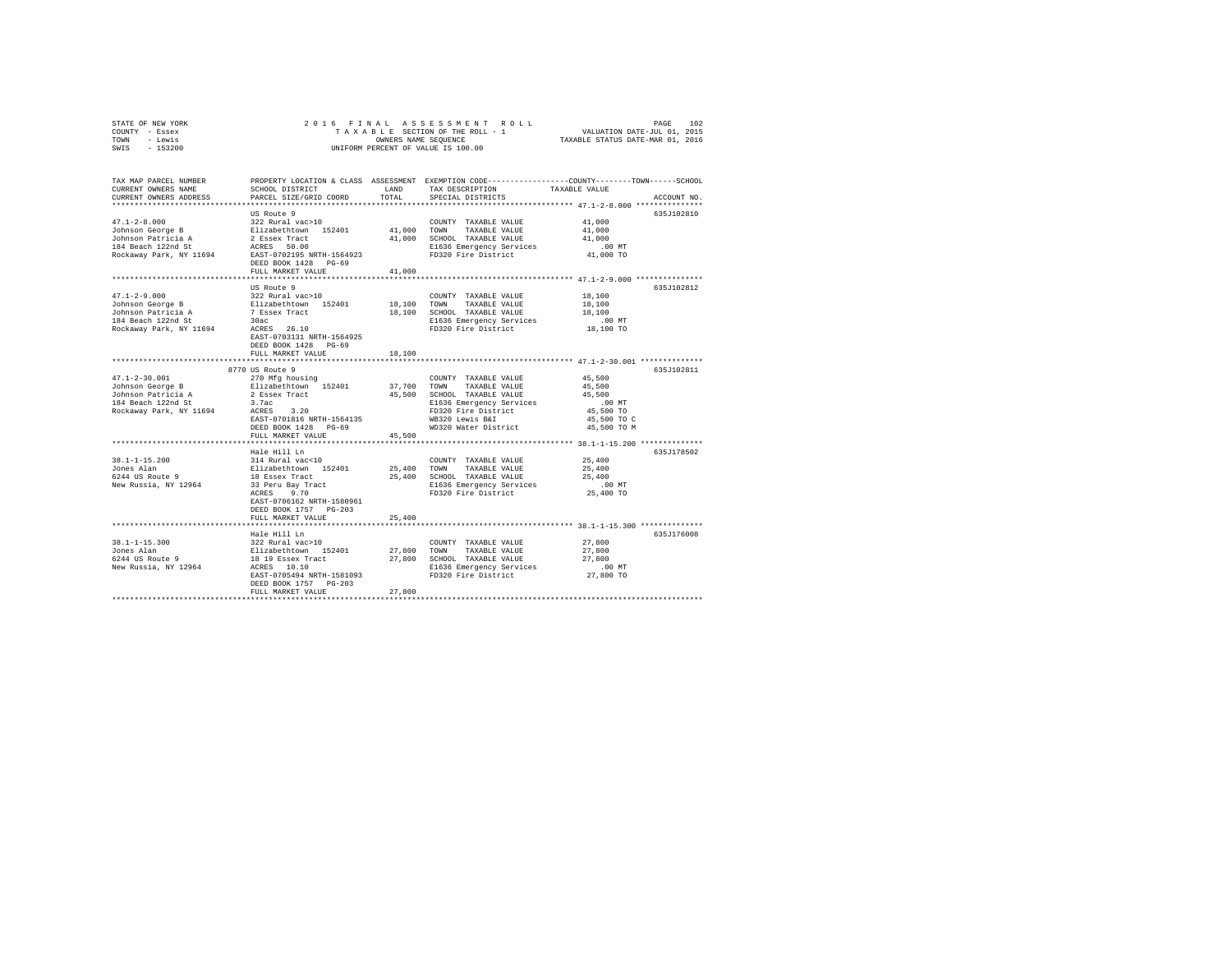|                | STATE OF NEW YORK |  |  |  |                                    |  |  |  | 2016 FINAL ASSESSMENT ROLL      |  |  |                                  |                             | PAGE | 102 |
|----------------|-------------------|--|--|--|------------------------------------|--|--|--|---------------------------------|--|--|----------------------------------|-----------------------------|------|-----|
| COUNTY - Essex |                   |  |  |  |                                    |  |  |  | TAXABLE SECTION OF THE ROLL - 1 |  |  |                                  | VALUATION DATE-JUL 01, 2015 |      |     |
| TOWN           | - Lewis           |  |  |  | OWNERS NAME SEOUENCE               |  |  |  |                                 |  |  | TAXABLE STATUS DATE-MAR 01, 2016 |                             |      |     |
| SWIS           | - 153200          |  |  |  | UNIFORM PERCENT OF VALUE IS 100.00 |  |  |  |                                 |  |  |                                  |                             |      |     |
|                |                   |  |  |  |                                    |  |  |  |                                 |  |  |                                  |                             |      |     |

| TAX MAP PARCEL NUMBER<br>CURRENT OWNERS NAME                                                                                                                                                                                                     | SCHOOL DISTRICT                               | LAND   | PROPERTY LOCATION & CLASS ASSESSMENT EXEMPTION CODE---------------COUNTY-------TOWN-----SCHOOL<br>TAX DESCRIPTION | TAXABLE VALUE                                        |             |
|--------------------------------------------------------------------------------------------------------------------------------------------------------------------------------------------------------------------------------------------------|-----------------------------------------------|--------|-------------------------------------------------------------------------------------------------------------------|------------------------------------------------------|-------------|
| CURRENT OWNERS ADDRESS                                                                                                                                                                                                                           | PARCEL SIZE/GRID COORD TOTAL                  |        | SPECIAL DISTRICTS                                                                                                 |                                                      |             |
|                                                                                                                                                                                                                                                  |                                               |        |                                                                                                                   | ************** 47.1-2-8.000 *******                  | ACCOUNT NO. |
|                                                                                                                                                                                                                                                  | US Route 9                                    |        |                                                                                                                   |                                                      | 635J102810  |
|                                                                                                                                                                                                                                                  |                                               |        |                                                                                                                   |                                                      |             |
|                                                                                                                                                                                                                                                  |                                               |        |                                                                                                                   |                                                      |             |
|                                                                                                                                                                                                                                                  |                                               |        |                                                                                                                   |                                                      |             |
|                                                                                                                                                                                                                                                  |                                               |        |                                                                                                                   |                                                      |             |
|                                                                                                                                                                                                                                                  |                                               |        | El 636 Emergency Services<br>Fig36 Emergency Services<br>FD320 Fire District 41,000 TO                            |                                                      |             |
|                                                                                                                                                                                                                                                  |                                               |        |                                                                                                                   |                                                      |             |
|                                                                                                                                                                                                                                                  | FULL MARKET VALUE                             | 41,000 |                                                                                                                   |                                                      |             |
|                                                                                                                                                                                                                                                  |                                               |        |                                                                                                                   | ***************** 47.1-2-9.000 **************        |             |
|                                                                                                                                                                                                                                                  | US Route 9                                    |        |                                                                                                                   |                                                      | 635J102812  |
| $17.1-2-9.000$ $3.22$ Solution George B<br>Solution of the Schemar Scheme and the Schemar Schemar (1940)<br>Solution Particia A<br>18.100 SCHOOL TAXABLE VALUE<br>18.100 SCHOOL TAXABLE VALUE<br>18.100 SCHOOL TAXABLE VALUE<br>18.100 SC        |                                               |        | COUNTY TAXABLE VALUE 18,100                                                                                       |                                                      |             |
|                                                                                                                                                                                                                                                  |                                               |        |                                                                                                                   |                                                      |             |
|                                                                                                                                                                                                                                                  |                                               |        |                                                                                                                   | 18,100<br>18,100                                     |             |
|                                                                                                                                                                                                                                                  |                                               |        |                                                                                                                   |                                                      |             |
|                                                                                                                                                                                                                                                  |                                               |        | E1636 Emergency Services .00 MT<br>FD320 Fire District  18,100 TO                                                 |                                                      |             |
|                                                                                                                                                                                                                                                  |                                               |        |                                                                                                                   |                                                      |             |
|                                                                                                                                                                                                                                                  | EAST-0703131 NRTH-1564925                     |        |                                                                                                                   |                                                      |             |
|                                                                                                                                                                                                                                                  | DEED BOOK 1428 PG-69                          |        |                                                                                                                   |                                                      |             |
|                                                                                                                                                                                                                                                  | FULL MARKET VALUE                             | 18,100 |                                                                                                                   |                                                      |             |
|                                                                                                                                                                                                                                                  | ***************************                   |        |                                                                                                                   | *********************** 47.1-2-30.001 ************** |             |
|                                                                                                                                                                                                                                                  | 8770 US Route 9                               |        |                                                                                                                   |                                                      | 635J102811  |
|                                                                                                                                                                                                                                                  |                                               |        |                                                                                                                   |                                                      |             |
|                                                                                                                                                                                                                                                  |                                               |        |                                                                                                                   |                                                      |             |
|                                                                                                                                                                                                                                                  |                                               |        |                                                                                                                   |                                                      |             |
|                                                                                                                                                                                                                                                  |                                               |        |                                                                                                                   |                                                      |             |
|                                                                                                                                                                                                                                                  |                                               |        |                                                                                                                   |                                                      |             |
|                                                                                                                                                                                                                                                  |                                               |        |                                                                                                                   | 45,500 TO C                                          |             |
|                                                                                                                                                                                                                                                  | DEED BOOK 1428 PG-69                          |        | WD320 Water District                                                                                              | 45,500 TO M                                          |             |
|                                                                                                                                                                                                                                                  | FULL MARKET VALUE                             | 45,500 |                                                                                                                   |                                                      |             |
|                                                                                                                                                                                                                                                  |                                               |        |                                                                                                                   |                                                      |             |
| 38.1-1-15.200<br>38.1-1-15.200<br>314 Rural vac<10<br>314 Rural vac<10<br>35,400 TONN TAXABLE VALUE 25,400<br>37 Per 25,400<br>37 Peru Bassex Tract 25,400<br>37 Peru Bassex Track E1636 Emergency Services .00 MT<br>38 Peru Bay Tract E1636 Em | Hale Hill Ln                                  |        |                                                                                                                   |                                                      | 635J178502  |
|                                                                                                                                                                                                                                                  |                                               |        |                                                                                                                   |                                                      |             |
|                                                                                                                                                                                                                                                  |                                               |        |                                                                                                                   |                                                      |             |
|                                                                                                                                                                                                                                                  |                                               |        |                                                                                                                   |                                                      |             |
|                                                                                                                                                                                                                                                  |                                               |        |                                                                                                                   |                                                      |             |
|                                                                                                                                                                                                                                                  |                                               |        |                                                                                                                   |                                                      |             |
|                                                                                                                                                                                                                                                  | EAST-0706162 NRTH-1580961                     |        |                                                                                                                   |                                                      |             |
|                                                                                                                                                                                                                                                  | DEED BOOK 1757 PG-203                         |        |                                                                                                                   |                                                      |             |
|                                                                                                                                                                                                                                                  | FULL MARKET VALUE                             | 25,400 |                                                                                                                   |                                                      |             |
|                                                                                                                                                                                                                                                  |                                               |        |                                                                                                                   | ******************* 38.1-1-15.300 ************       |             |
|                                                                                                                                                                                                                                                  | Hale Hill Ln                                  |        |                                                                                                                   |                                                      | 635J176008  |
|                                                                                                                                                                                                                                                  |                                               |        |                                                                                                                   |                                                      |             |
| 38.1-1-15.300<br>38.1-1-15.300<br>39.2 Rural Vac>10<br>27,800 TOUNTY TAXABLE VALUE 27,800<br>27,800 TOUNTY TAXABLE VALUE 27,800<br>27,800 SCHOOL TAXABLE VALUE 27,800<br>27,800 SCHOOL TAXABLE VALUE 27,800<br>27,800 SCHOOL TAXABLE VALUE 2     |                                               |        |                                                                                                                   |                                                      |             |
|                                                                                                                                                                                                                                                  |                                               |        |                                                                                                                   |                                                      |             |
|                                                                                                                                                                                                                                                  |                                               |        |                                                                                                                   |                                                      |             |
|                                                                                                                                                                                                                                                  | EAST-0705494 NRTH-1581093 FD320 Fire District |        |                                                                                                                   | 27,800 TO                                            |             |
|                                                                                                                                                                                                                                                  |                                               |        |                                                                                                                   |                                                      |             |
|                                                                                                                                                                                                                                                  | DEED BOOK 1757 PG-203<br>FULL MARKET VALUE    |        |                                                                                                                   |                                                      |             |
|                                                                                                                                                                                                                                                  |                                               | 27,800 |                                                                                                                   |                                                      |             |
|                                                                                                                                                                                                                                                  |                                               |        |                                                                                                                   |                                                      |             |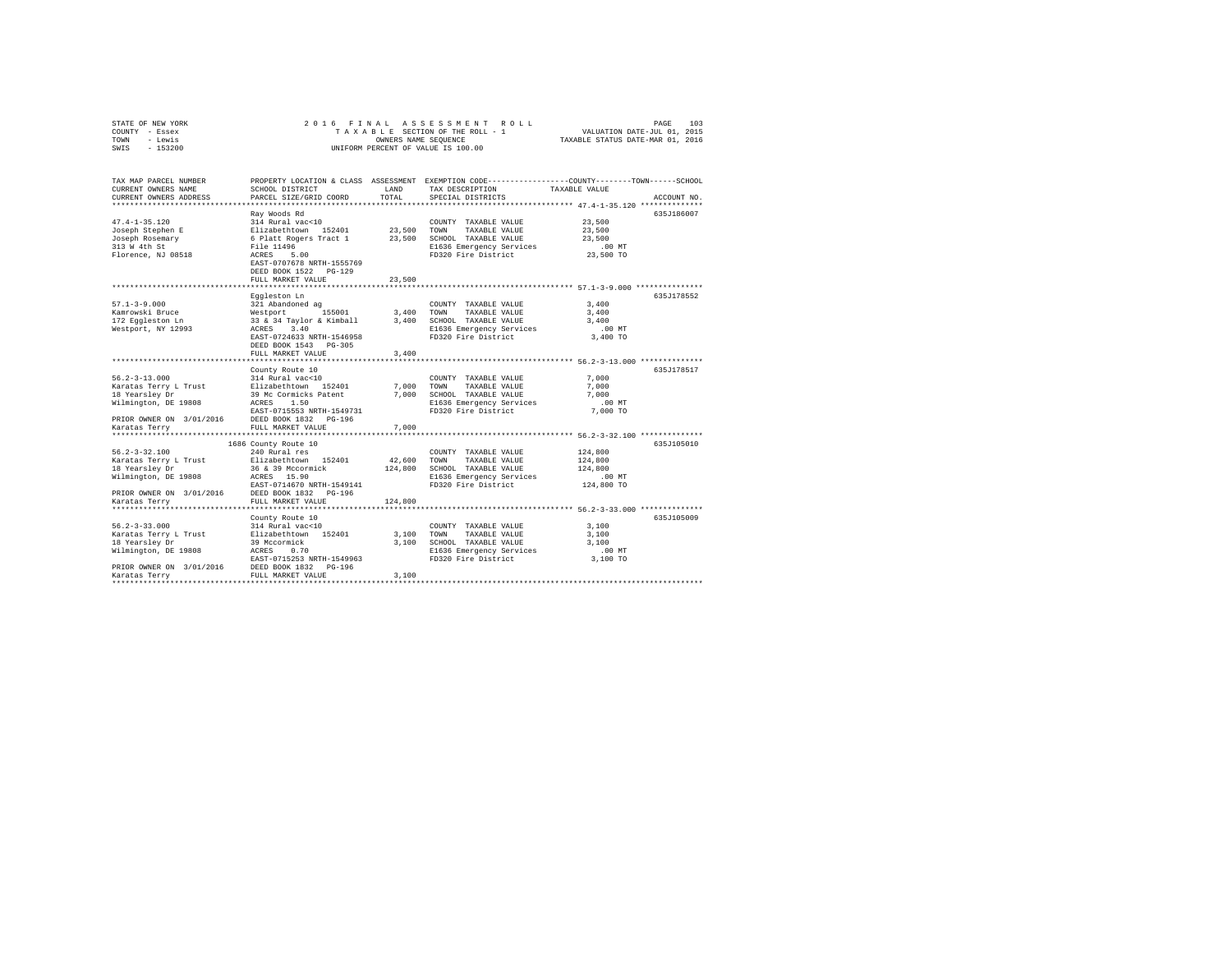| COUNTY - Essex<br>TOWN - Lewis<br>SWIS - 153200                                                                                                                              |                                                                                                                                                                                                                                                                 | OWNERS NAME SEOUENCE | TAXABLE SECTION OF THE ROLL - 1 VALUATION DATE-JUL 01, 2015<br>UNIFORM PERCENT OF VALUE IS 100.00                                            | TAXABLE STATUS DATE-MAR 01, 2016                        |             |
|------------------------------------------------------------------------------------------------------------------------------------------------------------------------------|-----------------------------------------------------------------------------------------------------------------------------------------------------------------------------------------------------------------------------------------------------------------|----------------------|----------------------------------------------------------------------------------------------------------------------------------------------|---------------------------------------------------------|-------------|
| TAX MAP PARCEL NUMBER<br>CURRENT OWNERS NAME<br>CURRENT OWNERS ADDRESS                                                                                                       | SCHOOL DISTRICT<br>PARCEL SIZE/GRID COORD                                                                                                                                                                                                                       | TOTAL                | PROPERTY LOCATION & CLASS ASSESSMENT EXEMPTION CODE---------------COUNTY-------TOWN------SCHOOL<br>LAND TAX DESCRIPTION<br>SPECIAL DISTRICTS | TAXABLE VALUE                                           | ACCOUNT NO. |
| $47.4 - 1 - 35.120$<br>Joseph Stephen E<br>Joseph Rosemary<br>313 W 4th St<br>Florence, NJ 08518                                                                             | Ray Woods Rd<br>314 Rural vac<10<br>311 Nural Value 152401 23,500 TOWN TAXABLE VALUE<br>6 Platt Rogers Tract 1 23,500 SCHOOL TAXABLE VALUE<br>File 11496<br>File 11496<br>ACRES 5.00<br>EAST-0707678 NRTH-1555769<br>DEED BOOK 1522 PG-129<br>FULL MARKET VALUE | 23,500               | COUNTY TAXABLE VALUE<br>E1636 Emergency Services<br>FD320 Fire District                                                                      | 23,500<br>23,500<br>23,500<br>00 MT.<br>23,500 TO       | 635J186007  |
|                                                                                                                                                                              |                                                                                                                                                                                                                                                                 |                      |                                                                                                                                              |                                                         |             |
| $57.1 - 3 - 9.000$<br>Kamrowski Bruce<br>172 Eqqleston Ln<br>Westport, NY 12993                                                                                              | Eggleston Ln<br>321 Abandoned ag<br>Westport 155001 3,400 TOWN TAXABLE VALUE<br>33 & 34 Taylor & Kimball 3,400 SCHOOL TAXABLE VALUE<br>ACRES 3.40<br>EAST-0724633 NRTH-1546958<br>DEED BOOK 1543 PG-305                                                         |                      | COUNTY TAXABLE VALUE<br>E1636 Emergency Services<br>FD320 Fire District                                                                      | 3,400<br>3,400<br>3,400<br>$.00$ MT<br>3,400 TO         | 635J178552  |
|                                                                                                                                                                              | FULL MARKET VALUE                                                                                                                                                                                                                                               | 3,400                |                                                                                                                                              |                                                         |             |
| $56.2 - 3 - 13.000$<br>Karatas Terry L Trust<br>18 Yearsley Dr<br>Wilmington, DE 19808<br>PRIOR OWNER ON 3/01/2016 DEED BOOK 1832 PG-196                                     | County Route 10<br>314 Rural vac<10<br>Elizabethtown 152401 7,000 TOWN TAXABLE VALUE<br>39 Mc Cormicks Patent 7,000 SCHOOL TAXABLE VALUE<br>ACRES 1.50<br>EAST-0715553 NRTH-1549731                                                                             |                      | COUNTY TAXABLE VALUE<br>E1636 Emergency Services<br>FD320 Fire District                                                                      | 7,000<br>7.000<br>7,000<br>.00MT<br>7,000 TO            | 635J178517  |
| Karatas Terry                                                                                                                                                                | FULL MARKET VALUE                                                                                                                                                                                                                                               | 7,000                |                                                                                                                                              |                                                         |             |
| $56.2 - 3 - 32.100$<br>Karatas Terry L Trust Elizabethtown 152401<br>18 Yearsley Dr<br>18 Yearsiey<br>Wilmington, DE 19808<br>PRIOR OWNER ON 3/01/2016 DEED BOOK 1832 PG-196 | 1686 County Route 10<br>240 Rural res<br>36 & 39 Mccormick 124,800 SCHOOL TAXABLE VALUE<br>ACRES 15.90<br>EAST-0714670 NRTH-1549141                                                                                                                             | 42,600 TOWN          | COUNTY TAXABLE VALUE<br>TAXABLE VALUE<br>E1636 Emergency Services<br>FD320 Fire District                                                     | 124,800<br>124,800<br>124,800<br>$.00$ MT<br>124,800 TO | 635J105010  |
| Karatas Terry                                                                                                                                                                | FULL MARKET VALUE                                                                                                                                                                                                                                               | 124,800              |                                                                                                                                              |                                                         |             |
|                                                                                                                                                                              |                                                                                                                                                                                                                                                                 |                      |                                                                                                                                              |                                                         |             |
| $56.2 - 3 - 33.000$<br>18 Italiaith --<br>Wilmington, DE 19808<br>PRIOR OWNER ON 3/01/2016 DEED BOOK 1832 PG-196<br>Karatas Terry                                            | County Route 10<br>314 Rural vac<10<br>39 Mccormick<br>ACRES 0.70<br>FULL MARKET VALUE                                                                                                                                                                          | 3,100                | COUNTY TAXABLE VALUE<br>TAXABLE VALUE<br>E1636 Emergency Services                                                                            | 3,100<br>3,100<br>3,100<br>$.00$ MT<br>3,100 TO         | 635J105009  |

STATE OF NEW YORK 2 0 1 6 F I N A L A S S E S S M E N T R O L L PAGE 103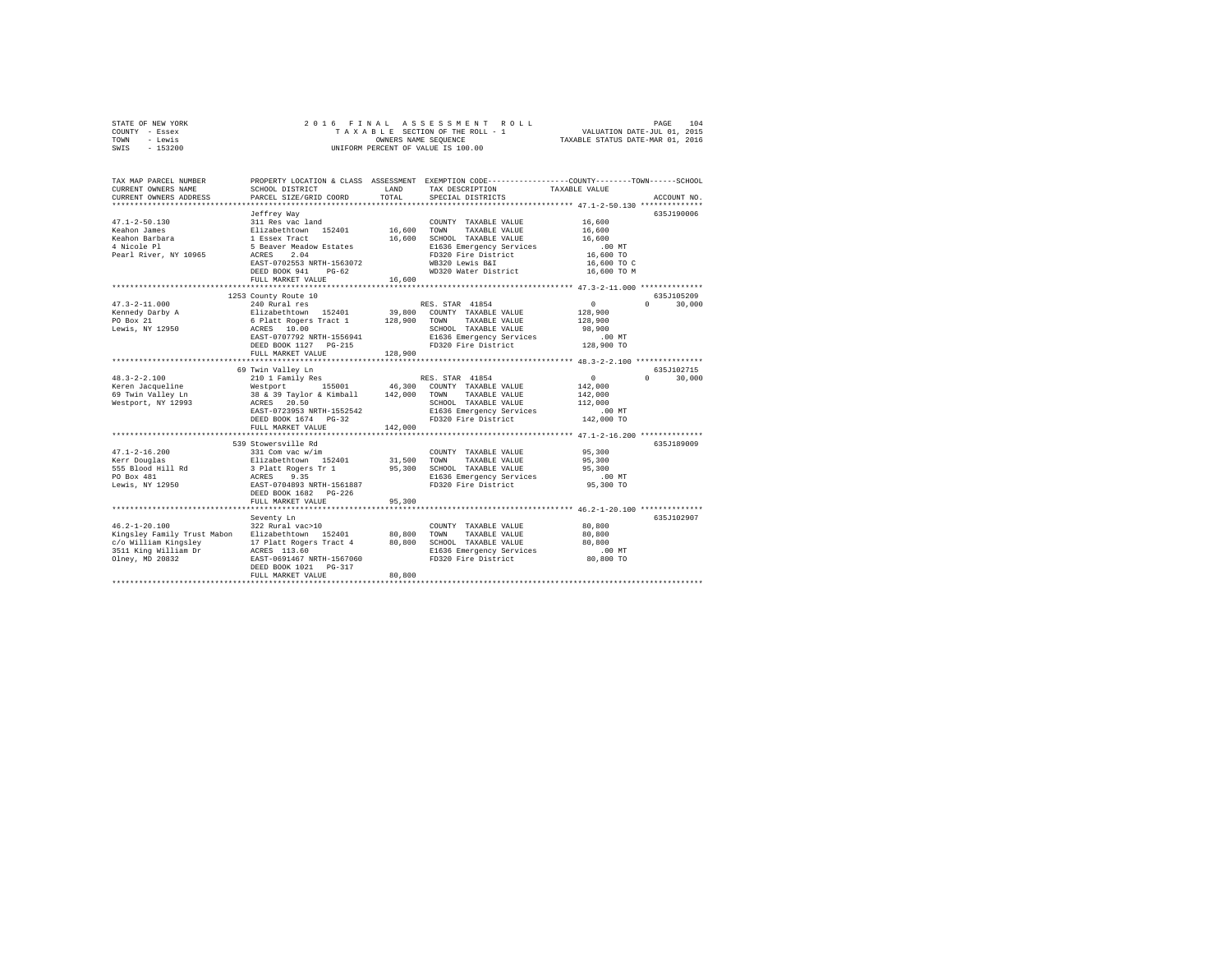| STATE OF NEW YORK | 2016 FINAL ASSESSMENT ROLL         | 104<br>PAGE                      |
|-------------------|------------------------------------|----------------------------------|
| COUNTY - Essex    | TAXABLE SECTION OF THE ROLL - 1    | VALUATION DATE-JUL 01, 2015      |
| TOWN<br>- Lewis   | OWNERS NAME SEOUENCE               | TAXABLE STATUS DATE-MAR 01, 2016 |
| $-153200$<br>SWIS | UNIFORM PERCENT OF VALUE IS 100.00 |                                  |

| TAX MAP PARCEL NUMBER<br>CURRENT OWNERS NAME<br>CURRENT OWNERS ADDRESS                                                | SCHOOL DISTRICT<br>PARCEL SIZE/GRID COORD                                                                                                                                                                     | <b>T.AND</b><br>TOTAL        | PROPERTY LOCATION & CLASS ASSESSMENT EXEMPTION CODE---------------COUNTY-------TOWN-----SCHOOL<br>TAX DESCRIPTION<br>SPECIAL DISTRICTS                                                  | TAXABLE VALUE                                                                                              | ACCOUNT NO.                                   |
|-----------------------------------------------------------------------------------------------------------------------|---------------------------------------------------------------------------------------------------------------------------------------------------------------------------------------------------------------|------------------------------|-----------------------------------------------------------------------------------------------------------------------------------------------------------------------------------------|------------------------------------------------------------------------------------------------------------|-----------------------------------------------|
| $47.1 - 2 - 50.130$<br>Keahon James<br>Keahon Barbara<br>4 Nicole Pl<br>Pearl River, NY 10965                         | Jeffrey Way<br>311 Res vac land<br>Elizabethtown 152401<br>1 Essex Tract<br>5 Beaver Meadow Estates<br>2.04<br>ACRES<br>EAST-0702553 NRTH-1563072<br>DEED BOOK 941<br>$PG-62$<br>FULL MARKET VALUE            | 16,600<br>16,600<br>16,600   | COUNTY TAXABLE VALUE<br>TOWN<br>TAXABLE VALUE<br>SCHOOL TAXABLE VALUE<br>E1636 Emergency Services<br>FD320 Fire District<br>WB320 Lewis B&I<br>WD320 Water District                     | 16,600<br>16,600<br>16,600<br>$.00$ MT<br>16,600 TO<br>16,600 TO C<br>16,600 TO M                          | 635J190006                                    |
| $47.3 - 2 - 11.000$<br>Kennedy Darby A<br>PO Box 21<br>Lewis, NY 12950                                                | 1253 County Route 10<br>240 Rural res<br>Elizabethtown 152401<br>6 Platt Rogers Tract 1<br>ACRES 10.00<br>EAST-0707792 NRTH-1556941<br>DEED BOOK 1127 PG-215<br>FULL MARKET VALUE                             | 39,800<br>128,900<br>128,900 | RES. STAR 41854<br>COUNTY TAXABLE VALUE<br>TOWN<br>TAXABLE VALUE<br>SCHOOL TAXABLE VALUE<br>E1636 Emergency Services<br>FD320 Fire District 128,900 TO                                  | $\circ$<br>128,900<br>128,900<br>98,900<br>$.00$ MT                                                        | 635J105209<br>$\Omega$ and $\Omega$<br>30,000 |
| $48.3 - 2 - 2.100$<br>Keren Jacqueline<br>69 Twin Valley Ln<br>Westport, NY 12993                                     | 69 Twin Valley Ln<br>210 1 Family Res<br>Westport<br>155001<br>38 & 39 Taylor & Kimball 142,000<br>ACRES 20.50<br>EAST-0723953 NRTH-1552542<br>DEED BOOK 1674 PG-32<br>FULL MARKET VALUE                      | 46,300<br>142,000            | RES. STAR 41854<br>COUNTY TAXABLE VALUE<br>TOWN TAXABLE VALUE<br>SCHOOL TAXABLE VALUE<br>E1636 Emergency Services<br>FD320 Fire District                                                | $\circ$<br>142,000<br>142,000<br>112,000<br>$.00$ $MT$<br>142,000 TO                                       | 635J102715<br>$\cap$<br>30,000                |
| $47.1 - 2 - 16.200$<br>Kerr Douglas<br>555 Blood Hill Rd<br>PO Box 481<br>Lewis, NY 12950                             | **************************<br>539 Stowersville Rd<br>331 Com vac w/im<br>Elizabethtown 152401<br>3 Platt Rogers Tr 1<br>ACRES 9.35<br>EAST-0704893 NRTH-1561887<br>DEED BOOK 1682 PG-226<br>FULL MARKET VALUE | 31,500<br>95,300<br>95,300   | COUNTY TAXABLE VALUE<br>TOWN<br>TAXABLE VALUE<br>SCHOOL TAXABLE VALUE<br>E1636 Emergency Services<br>FD320 Fire District                                                                | *********************** 47.1-2-16.200 ***************<br>95,300<br>95,300<br>95,300<br>.00 MT<br>95,300 TO | 635J189009                                    |
| $46.2 - 1 - 20.100$<br>Kingsley Family Trust Mabon<br>c/o William Kingsley<br>3511 King William Dr<br>Olney, MD 20832 | Seventy Ln<br>322 Rural vac>10<br>Elizabethtown 152401<br>17 Platt Rogers Tract 4<br>ACRES 113.60<br>EAST-0691467 NRTH-1567060<br>DEED BOOK 1021 PG-317<br>FULL MARKET VALUE                                  | 80,800<br>80,800<br>80,800   | ******************************* 46.2-1-20.100 *************<br>COUNTY TAXABLE VALUE<br>TAXABLE VALUE<br>TOWN<br>SCHOOL TAXABLE VALUE<br>E1636 Emergency Services<br>FD320 Fire District | 80,800<br>80,800<br>80,800<br>.00 MT<br>80,800 TO                                                          | 635J102907                                    |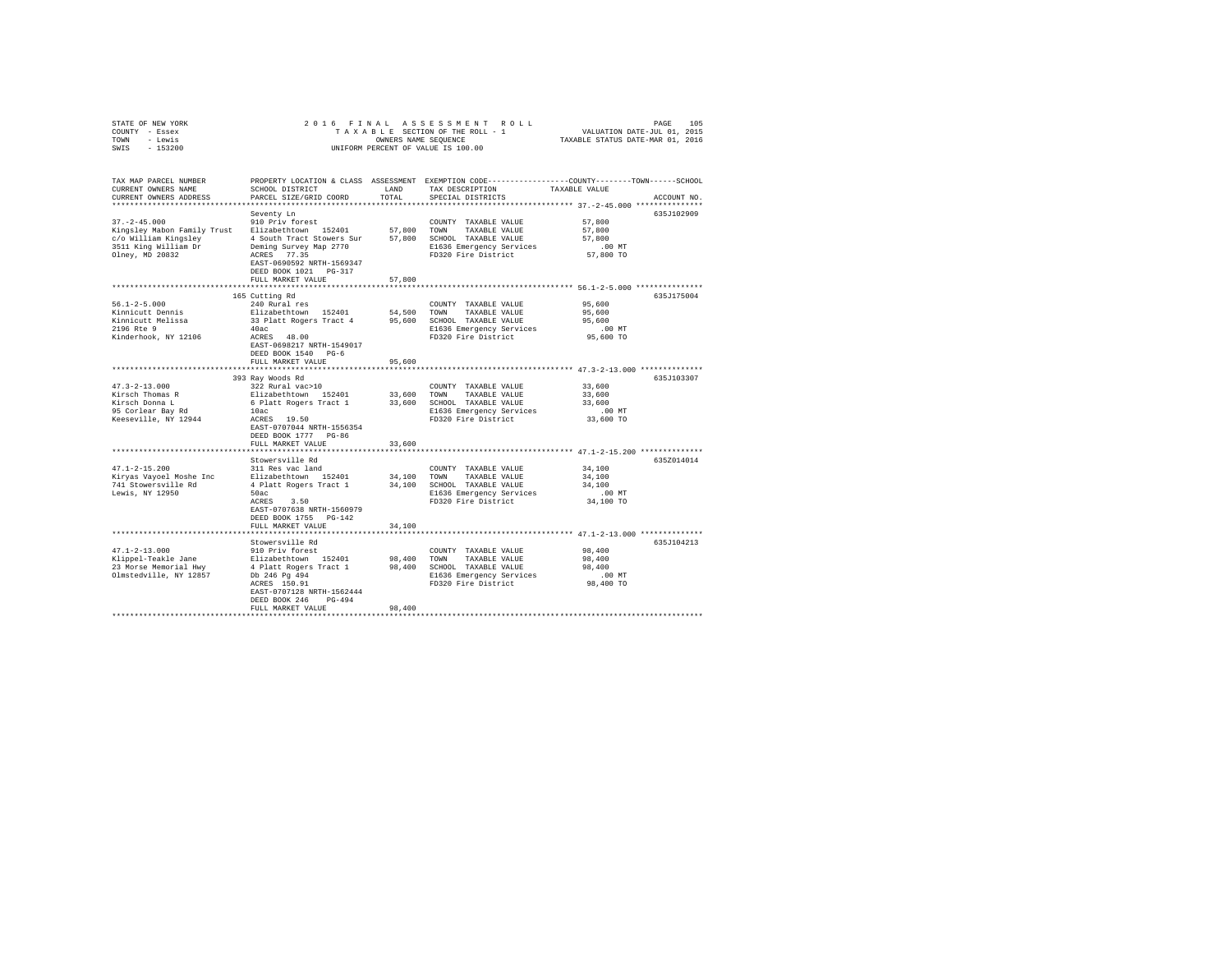| STATE OF NEW YORK                                |                                                     |                |                                                                                                 |                                                       |             |
|--------------------------------------------------|-----------------------------------------------------|----------------|-------------------------------------------------------------------------------------------------|-------------------------------------------------------|-------------|
| COUNTY - Essex                                   |                                                     |                |                                                                                                 |                                                       |             |
| TOWN - Lewis                                     |                                                     |                | OWNERS NAME SEQUENCE                                                                            | TAXABLE STATUS DATE-MAR 01, 2016                      |             |
| SWIS - 153200                                    |                                                     |                | UNIFORM PERCENT OF VALUE IS 100.00                                                              |                                                       |             |
|                                                  |                                                     |                |                                                                                                 |                                                       |             |
|                                                  |                                                     |                |                                                                                                 |                                                       |             |
|                                                  |                                                     |                |                                                                                                 |                                                       |             |
| TAX MAP PARCEL NUMBER                            |                                                     |                | PROPERTY LOCATION & CLASS ASSESSMENT EXEMPTION CODE---------------COUNTY-------TOWN------SCHOOL |                                                       |             |
| CURRENT OWNERS NAME                              | SCHOOL DISTRICT                                     | LAND           | TAX DESCRIPTION                                                                                 | TAXABLE VALUE                                         |             |
| CURRENT OWNERS ADDRESS                           | PARCEL SIZE/GRID COORD                              | TOTAL          | SPECIAL DISTRICTS                                                                               |                                                       | ACCOUNT NO. |
|                                                  |                                                     |                |                                                                                                 |                                                       |             |
|                                                  | Seventy Ln                                          |                |                                                                                                 |                                                       | 635J102909  |
| $37. - 2 - 45.000$                               | 910 Priv forest                                     |                | COUNTY TAXABLE VALUE                                                                            | 57,800                                                |             |
| Kingsley Mabon Family Trust Elizabethtown 152401 |                                                     |                | 57,800 TOWN TAXABLE VALUE                                                                       | 57,800                                                |             |
| c/o William Kingsley 54 South Tract Stowers Sur  |                                                     |                | 57,800 SCHOOL TAXABLE VALUE                                                                     | 57,800                                                |             |
| 3511 King William Dr                             | Deming Survey Map 2770                              |                | E1636 Emergency Services                                                                        | $.00$ MT                                              |             |
|                                                  | ACRES 77.35                                         |                |                                                                                                 | 57,800 TO                                             |             |
| Olney, MD 20832                                  |                                                     |                | FD320 Fire District                                                                             |                                                       |             |
|                                                  | EAST-0690592 NRTH-1569347                           |                |                                                                                                 |                                                       |             |
|                                                  | DEED BOOK 1021 PG-317                               |                |                                                                                                 |                                                       |             |
|                                                  | FULL MARKET VALUE                                   | 57,800         |                                                                                                 |                                                       |             |
|                                                  |                                                     |                |                                                                                                 |                                                       |             |
|                                                  | 165 Cutting Rd                                      |                |                                                                                                 |                                                       | 635J175004  |
| $56.1 - 2 - 5.000$                               | 240 Rural res                                       |                | COUNTY TAXABLE VALUE                                                                            | 95,600                                                |             |
| Kinnicutt Dennis                                 | Elizabethtown 152401                                |                | 54,500 TOWN TAXABLE VALUE                                                                       | 95,600                                                |             |
| Kinnicutt Melissa                                | 33 Platt Rogers Tract 4 95,600 SCHOOL TAXABLE VALUE |                |                                                                                                 | 95,600                                                |             |
| 2196 Rte 9                                       | 40ac                                                |                | E1636 Emergency Services                                                                        | $.00$ MT                                              |             |
| Kinderhook, NY 12106                             | ACRES 48.00                                         |                | FD320 Fire District                                                                             | 95,600 TO                                             |             |
|                                                  | EAST-0698217 NRTH-1549017                           |                |                                                                                                 |                                                       |             |
|                                                  | DEED BOOK 1540 PG-6                                 |                |                                                                                                 |                                                       |             |
|                                                  | FULL MARKET VALUE                                   | 95,600         |                                                                                                 |                                                       |             |
|                                                  |                                                     | ************** | ******************************** 47.3-2-13.000 **************                                   |                                                       |             |
|                                                  | 393 Ray Woods Rd                                    |                |                                                                                                 |                                                       | 635J103307  |
| $47.3 - 2 - 13.000$                              | 322 Rural vac>10                                    |                |                                                                                                 | 33,600                                                |             |
|                                                  |                                                     |                | COUNTY TAXABLE VALUE                                                                            |                                                       |             |
| Kirsch Thomas R                                  | Elizabethtown 152401                                |                | 33,600 TOWN TAXABLE VALUE                                                                       | 33,600                                                |             |
| Kirsch Donna L                                   | 6 Platt Rogers Tract 1 33,600 SCHOOL TAXABLE VALUE  |                |                                                                                                 | 33,600                                                |             |
| 95 Corlear Bay Rd                                | 10ac<br>$ACRES$ 19.50                               |                | E1636 Emergency Services                                                                        | $.00$ MT                                              |             |
| Keeseville, NY 12944                             |                                                     |                | FD320 Fire District                                                                             | 33,600 TO                                             |             |
|                                                  | EAST-0707044 NRTH-1556354                           |                |                                                                                                 |                                                       |             |
|                                                  | DEED BOOK 1777 PG-86                                |                |                                                                                                 |                                                       |             |
|                                                  | FULL MARKET VALUE                                   | 33,600         |                                                                                                 |                                                       |             |
|                                                  | *********************                               |                |                                                                                                 | ************************ 47.1-2-15.200 ************** |             |
|                                                  | Stowersville Rd                                     |                |                                                                                                 |                                                       | 635Z014014  |
| $47.1 - 2 - 15.200$                              | 311 Res vac land                                    |                | COUNTY TAXABLE VALUE                                                                            | 34,100                                                |             |
| Kiryas Vayoel Moshe Inc                          | Elizabethtown 152401                                | 34,100         | TOWN<br>TAXABLE VALUE                                                                           | 34,100                                                |             |
| 741 Stowersville Rd                              | 4 Platt Rogers Tract 1                              |                | 34,100 SCHOOL TAXABLE VALUE                                                                     | 34,100                                                |             |
| Lewis, NY 12950                                  | 50ac                                                |                | E1636 Emergency Services                                                                        | $.00$ MT                                              |             |
|                                                  | ACRES 3.50                                          |                | FD320 Fire District                                                                             | 34,100 TO                                             |             |
|                                                  | EAST-0707638 NRTH-1560979                           |                |                                                                                                 |                                                       |             |
|                                                  |                                                     |                |                                                                                                 |                                                       |             |
|                                                  | DEED BOOK 1755 PG-142                               |                |                                                                                                 |                                                       |             |
|                                                  | FULL MARKET VALUE                                   | 34,100         |                                                                                                 |                                                       |             |
|                                                  |                                                     |                |                                                                                                 |                                                       |             |
|                                                  | Stowersville Rd                                     |                |                                                                                                 |                                                       | 635J104213  |
| $47.1 - 2 - 13.000$                              | 910 Priv forest                                     |                | COUNTY TAXABLE VALUE                                                                            | 98,400                                                |             |
|                                                  |                                                     |                | 98,400 TOWN TAXABLE VALUE                                                                       | 98,400                                                |             |
|                                                  |                                                     |                | 98,400 SCHOOL TAXABLE VALUE                                                                     | 98,400                                                |             |
|                                                  |                                                     |                | E1636 Emergency Services                                                                        | $.00$ MT                                              |             |
|                                                  | ACRES 150.91                                        |                | FD320 Fire District                                                                             | 98,400 TO                                             |             |
|                                                  | EAST-0707128 NRTH-1562444                           |                |                                                                                                 |                                                       |             |
|                                                  | DEED BOOK 246 PG-494                                |                |                                                                                                 |                                                       |             |
|                                                  | FULL MARKET VALUE                                   | 98,400         |                                                                                                 |                                                       |             |
|                                                  |                                                     |                |                                                                                                 |                                                       |             |
|                                                  |                                                     |                |                                                                                                 |                                                       |             |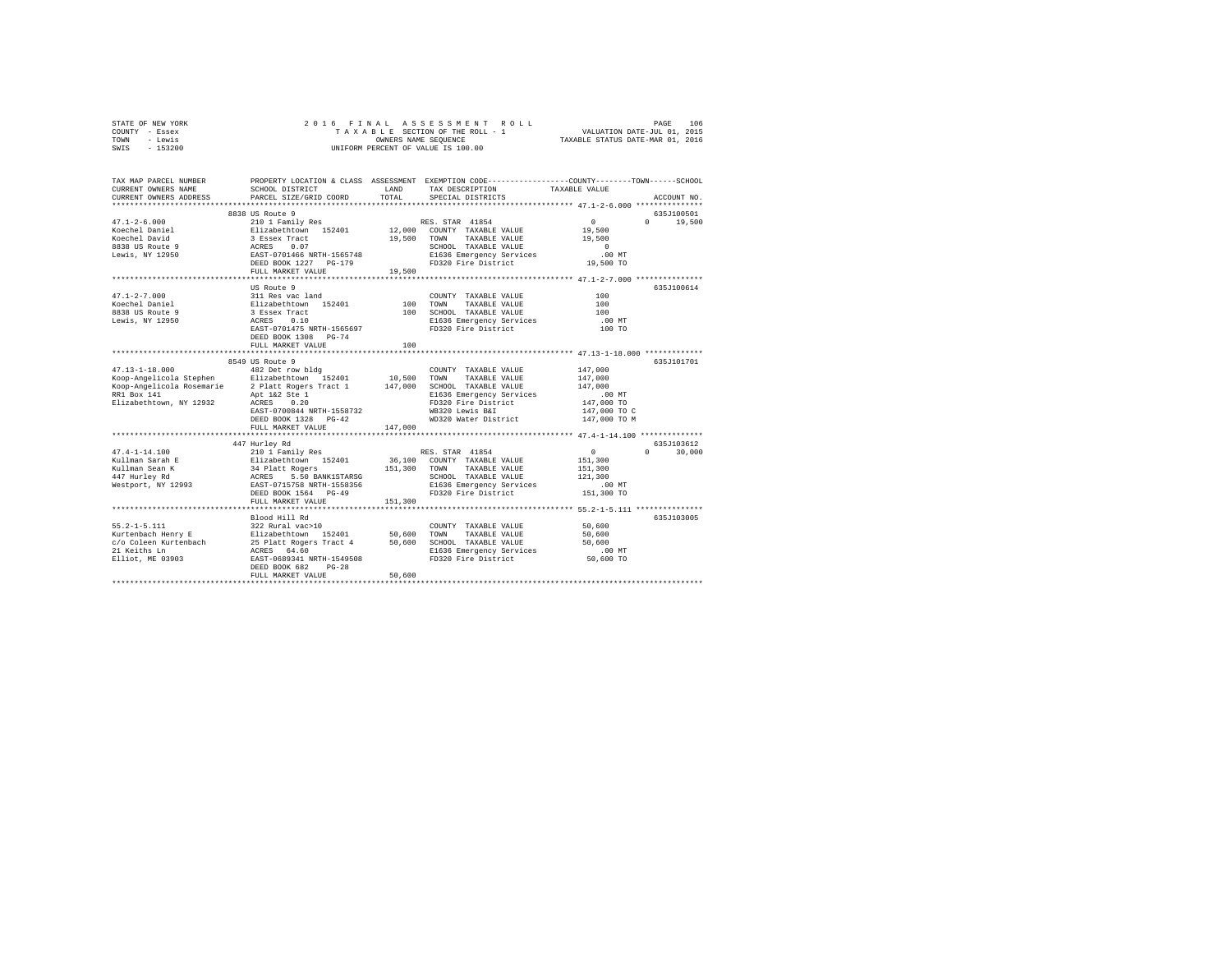| STATE OF NEW YORK<br>COUNTY - Essex<br>TOWN<br>- Lewis<br>$-153200$<br>SWIS | 2016 FINAL<br>ASSESSMENT ROLL<br>TAXABLE SECTION OF THE ROLL - 1<br>OWNERS NAME SEQUENCE<br>UNIFORM PERCENT OF VALUE IS 100.00 |         |                                                                                                                   | PAGE<br>106<br>VALUATION DATE-JUL 01, 2015<br>TAXABLE STATUS DATE-MAR 01, 2016 |                    |
|-----------------------------------------------------------------------------|--------------------------------------------------------------------------------------------------------------------------------|---------|-------------------------------------------------------------------------------------------------------------------|--------------------------------------------------------------------------------|--------------------|
| TAX MAP PARCEL NUMBER<br>CURRENT OWNERS NAME                                | SCHOOL DISTRICT                                                                                                                | LAND    | PROPERTY LOCATION & CLASS ASSESSMENT EXEMPTION CODE---------------COUNTY-------TOWN-----SCHOOL<br>TAX DESCRIPTION | TAXABLE VALUE                                                                  |                    |
| CURRENT OWNERS ADDRESS                                                      | PARCEL SIZE/GRID COORD                                                                                                         | TOTAL   | SPECIAL DISTRICTS                                                                                                 |                                                                                | ACCOUNT NO.        |
|                                                                             |                                                                                                                                |         |                                                                                                                   |                                                                                |                    |
|                                                                             | 8838 US Route 9                                                                                                                |         |                                                                                                                   |                                                                                | 635J100501         |
| $47.1 - 2 - 6.000$                                                          | 210 1 Family Res                                                                                                               |         | RES. STAR 41854                                                                                                   | $\circ$                                                                        | $\Omega$<br>19,500 |
| Koechel Daniel                                                              | Elizabethtown 152401                                                                                                           | 12,000  | COUNTY TAXABLE VALUE                                                                                              | 19,500                                                                         |                    |
| Koechel David                                                               | 3 Essex Tract                                                                                                                  | 19,500  | TOWN<br>TAXABLE VALUE                                                                                             | 19,500                                                                         |                    |
| 8838 US Route 9                                                             | 0.07<br>ACRES                                                                                                                  |         | SCHOOL TAXABLE VALUE                                                                                              | $\Omega$                                                                       |                    |
| Lewis, NY 12950                                                             | EAST-0701466 NRTH-1565748                                                                                                      |         | E1636 Emergency Services                                                                                          | $.00$ MT                                                                       |                    |
|                                                                             | DEED BOOK 1227 PG-179                                                                                                          |         | FD320 Fire District                                                                                               | 19,500 TO                                                                      |                    |
|                                                                             | FULL MARKET VALUE                                                                                                              | 19,500  |                                                                                                                   |                                                                                |                    |
|                                                                             |                                                                                                                                |         |                                                                                                                   |                                                                                |                    |
|                                                                             | US Route 9                                                                                                                     |         |                                                                                                                   |                                                                                | 635J100614         |
| $47.1 - 2 - 7.000$                                                          | 311 Res vac land                                                                                                               |         | COUNTY TAXABLE VALUE                                                                                              | 100                                                                            |                    |
| Koechel Daniel                                                              | Elizabethtown 152401                                                                                                           | 100     | TOWN<br>TAXABLE VALUE                                                                                             | 100                                                                            |                    |
| 8838 US Route 9                                                             | 3 Essex Tract                                                                                                                  | 100     | SCHOOL TAXABLE VALUE                                                                                              | 100                                                                            |                    |
| Lewis, NY 12950                                                             | ACRES<br>0.10                                                                                                                  |         | E1636 Emergency Services                                                                                          | .00 MT                                                                         |                    |
|                                                                             | EAST-0701475 NRTH-1565697                                                                                                      |         | FD320 Fire District                                                                                               | 100 TO                                                                         |                    |
|                                                                             | DEED BOOK 1308 PG-74                                                                                                           |         |                                                                                                                   |                                                                                |                    |
|                                                                             | FULL MARKET VALUE                                                                                                              | 100     |                                                                                                                   |                                                                                |                    |
|                                                                             |                                                                                                                                |         |                                                                                                                   |                                                                                |                    |
|                                                                             | 8549 US Route 9                                                                                                                |         |                                                                                                                   |                                                                                | 635.T101701        |
| $47.13 - 1 - 18.000$                                                        | 482 Det row bldg                                                                                                               |         | COUNTY TAXABLE VALUE                                                                                              | 147,000                                                                        |                    |
| Koop-Angelicola Stephen                                                     | Elizabethtown 152401                                                                                                           | 10,500  | TOWN<br>TAXABLE VALUE<br>SCHOOL TAXABLE VALUE                                                                     | 147,000<br>147,000                                                             |                    |
| Koop-Angelicola Rosemarie<br>RR1 Box 141                                    | 2 Platt Rogers Tract 1<br>Apt 1&2 Ste 1                                                                                        | 147,000 | E1636 Emergency Services                                                                                          | $.00$ MT                                                                       |                    |
| Elizabethtown, NY 12932                                                     | ACRES<br>0.20                                                                                                                  |         | FD320 Fire District                                                                                               | 147,000 TO                                                                     |                    |
|                                                                             | EAST-0700844 NRTH-1558732                                                                                                      |         | WB320 Lewis B&I                                                                                                   | 147,000 TO C                                                                   |                    |
|                                                                             |                                                                                                                                |         | WD320 Water District                                                                                              | 147,000 TO M                                                                   |                    |
|                                                                             | DEED BOOK 1328 PG-42<br>FULL MARKET VALUE                                                                                      | 147,000 |                                                                                                                   |                                                                                |                    |
|                                                                             |                                                                                                                                |         |                                                                                                                   |                                                                                |                    |
|                                                                             | 447 Hurley Rd                                                                                                                  |         |                                                                                                                   |                                                                                | 635J103612         |
| $47.4 - 1 - 14.100$                                                         | 210 1 Family Res                                                                                                               |         | RES. STAR 41854                                                                                                   | $\Omega$                                                                       | 30,000<br>$\Omega$ |
| Kullman Sarah E                                                             | Elizabethtown 152401                                                                                                           | 36,100  | COUNTY TAXABLE VALUE                                                                                              | 151,300                                                                        |                    |
| Kullman Sean K                                                              | 34 Platt Rogers                                                                                                                | 151,300 | TOWN<br>TAXABLE VALUE                                                                                             | 151,300                                                                        |                    |
| 447 Hurley Rd                                                               | ACRES<br>5.50 BANK1STARSG                                                                                                      |         | SCHOOL TAXABLE VALUE                                                                                              | 121,300                                                                        |                    |
| Westport, NY 12993                                                          | EAST-0715758 NRTH-1558356                                                                                                      |         | E1636 Emergency Services                                                                                          | $.00$ MT                                                                       |                    |
|                                                                             | DEED BOOK 1564 PG-49                                                                                                           |         | FD320 Fire District                                                                                               | 151,300 TO                                                                     |                    |
|                                                                             | FULL MARKET VALUE                                                                                                              | 151,300 |                                                                                                                   |                                                                                |                    |
|                                                                             |                                                                                                                                |         |                                                                                                                   |                                                                                |                    |
|                                                                             | Blood Hill Rd                                                                                                                  |         |                                                                                                                   |                                                                                | 635J103005         |
| $55.2 - 1 - 5.111$                                                          | 322 Rural vac>10                                                                                                               |         | COUNTY TAXABLE VALUE                                                                                              | 50,600                                                                         |                    |
| Kurtenbach Henry E                                                          | Elizabethtown 152401                                                                                                           | 50,600  | TOWN<br>TAXABLE VALUE                                                                                             | 50,600                                                                         |                    |
| c/o Coleen Kurtenbach                                                       | 25 Platt Rogers Tract 4                                                                                                        | 50,600  | SCHOOL TAXABLE VALUE                                                                                              | 50,600                                                                         |                    |
| 21 Keiths Ln                                                                | ACRES 64.60                                                                                                                    |         | E1636 Emergency Services                                                                                          | $.00$ MT                                                                       |                    |
| Elliot, ME 03903                                                            | EAST-0689341 NRTH-1549508                                                                                                      |         | FD320 Fire District                                                                                               | 50,600 TO                                                                      |                    |
|                                                                             | DEED BOOK 682<br>$PG-28$                                                                                                       |         |                                                                                                                   |                                                                                |                    |
|                                                                             | FULL MARKET VALUE                                                                                                              | 50,600  |                                                                                                                   |                                                                                |                    |
|                                                                             |                                                                                                                                |         |                                                                                                                   |                                                                                |                    |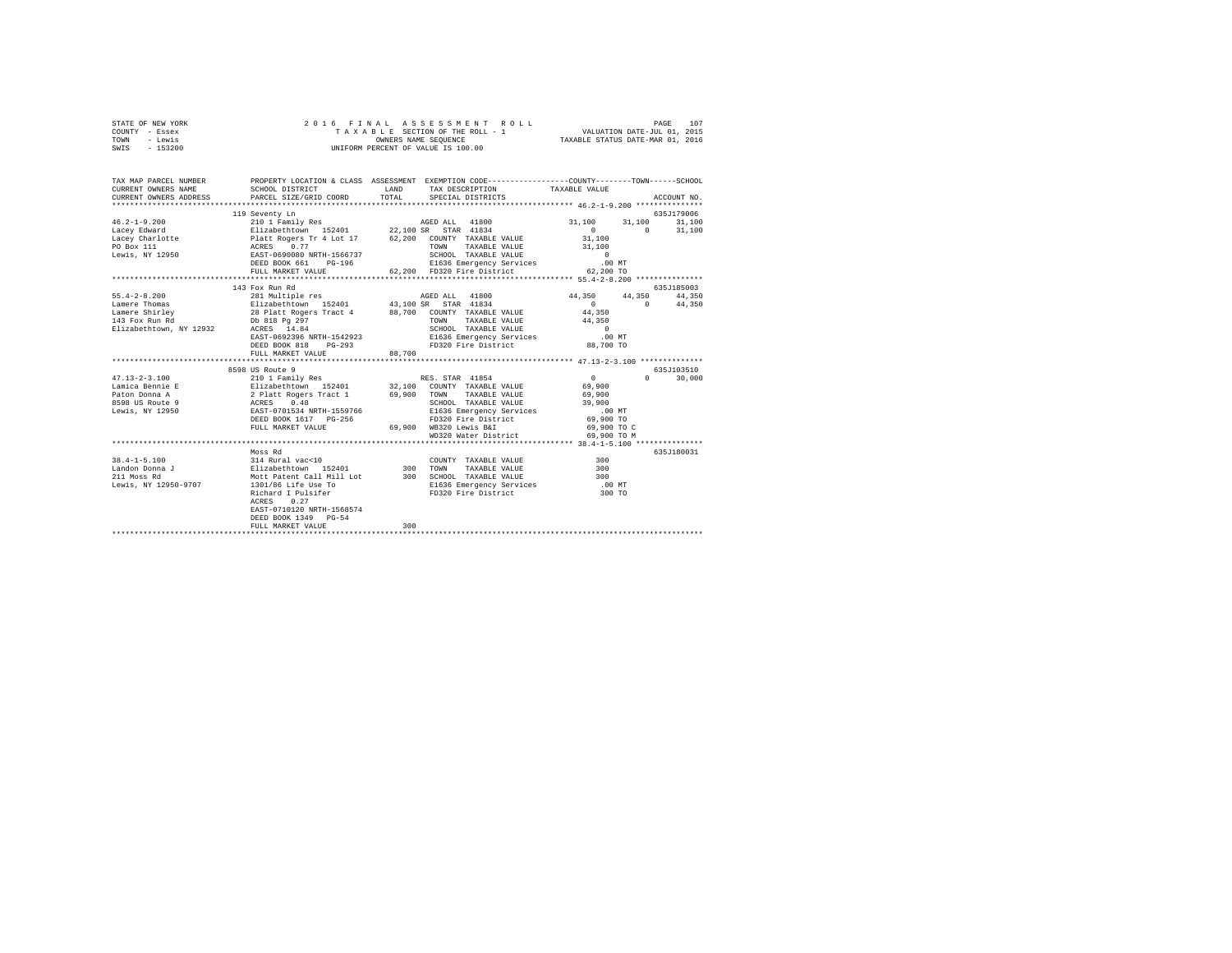| STATE OF NEW YORK | 2016 FINAL ASSESSMENT ROLL         | 107<br>PAGE                      |
|-------------------|------------------------------------|----------------------------------|
| COUNTY - Essex    | TAXABLE SECTION OF THE ROLL - 1    | VALUATION DATE-JUL 01, 2015      |
| TOWN<br>- Lewis   | OWNERS NAME SEOUENCE               | TAXABLE STATUS DATE-MAR 01, 2016 |
| $-153200$<br>SWIS | UNIFORM PERCENT OF VALUE IS 100.00 |                                  |

| TAX MAP PARCEL NUMBER<br>CURRENT OWNERS NAME<br>CURRENT OWNERS ADDRESS                       | SCHOOL DISTRICT<br>PARCEL SIZE/GRID COORD                                                                                                                                                                                                                                                                                                                  | PROPERTY LOCATION & CLASS ASSESSMENT EXEMPTION CODE----------------COUNTY-------TOWN-----SCHOOL<br><b>T.AND</b><br>TAX DESCRIPTION TAXABLE VALUE<br>TOTAL.<br>SPECIAL DISTRICTS                         | ACCOUNT NO.                                                                                                 |
|----------------------------------------------------------------------------------------------|------------------------------------------------------------------------------------------------------------------------------------------------------------------------------------------------------------------------------------------------------------------------------------------------------------------------------------------------------------|---------------------------------------------------------------------------------------------------------------------------------------------------------------------------------------------------------|-------------------------------------------------------------------------------------------------------------|
|                                                                                              | 119 Seventy Ln<br>DEED BOOK 661<br>FULL MARKET VALUE                                                                                                                                                                                                                                                                                                       | 62,200 FD320 Fire District                                                                                                                                                                              | 635J179006<br>31,100<br>31,100<br>31,100<br>$\sim$ 0<br>31,100<br>$\sim$ 0<br>31,100<br>31,100<br>62,200 TO |
| $55.4 - 2 - 8.200$<br>Lamere Thomas<br>143 Fox Run Rd<br>Elizabethtown, NY 12932 ACRES 14.84 | 143 Fox Run Rd<br>FULL MARKET VALUE                                                                                                                                                                                                                                                                                                                        | ${\tt AGED\ ALL} \qquad {\tt 41800}$<br>Lamere Shirley <b>28 Platt Rogers Tract 4</b> 88,700 COUNTY TAXABLE VALUE<br>TOWN<br>TAXABLE VALUE 44,350<br>88,700                                             | 635J185003<br>44,350<br>44,350 44,350<br>$\sim$ 0<br>$\mathbf{0}$ and $\mathbf{0}$<br>44,350<br>44,350      |
|                                                                                              | 8598 US Route 9<br>DEED BOOK 1617 PG-256<br>FULL MARKET VALUE                                                                                                                                                                                                                                                                                              | TAXABLE VALUE 69,900<br>SCHOOL TAXABLE VALUE 39,900<br>E1636 Emergency Services .00 MT<br>FD320 Fire District 69,900 TO<br>69,900 WB320 Lewis B&I 69,900 TO C<br>WD320 Water District                   | 635J103510<br>$\sim$ 0<br>$0 \qquad \qquad$<br>30,000<br>69,900<br>69,900 TO M                              |
| 211 Moss Rd<br>Lewis, NY 12950-9707                                                          | Moss Rd<br>$\begin{array}{cccccccccc} 38.4-1-5.100 & & & & 314~\text{Rural vac}<10 & & & & & \text{COUNT} \\ \text{Landon Donna J} & & & & & & \text{Elizablechtown} & 152401 & & & & 300~\text{TONN} \end{array}$<br>1301/86 Life Use To<br>Richard I Pulsifer<br>ACRES<br>0.27<br>EAST-0710120 NRTH-1568574<br>DEED BOOK 1349 PG-54<br>FULL MARKET VALUE | COUNTY TAXABLE VALUE 300<br>TAXABLE VALUE 300<br>Mott Patent Call Mill Lot 300 SCHOOL TAXABLE VALUE<br>900<br>E1636 Emergency Services 300<br>FD320 Fire District 300<br>PD320 Fire District 300<br>300 | 635J180031<br>.00 MT<br>300 TO                                                                              |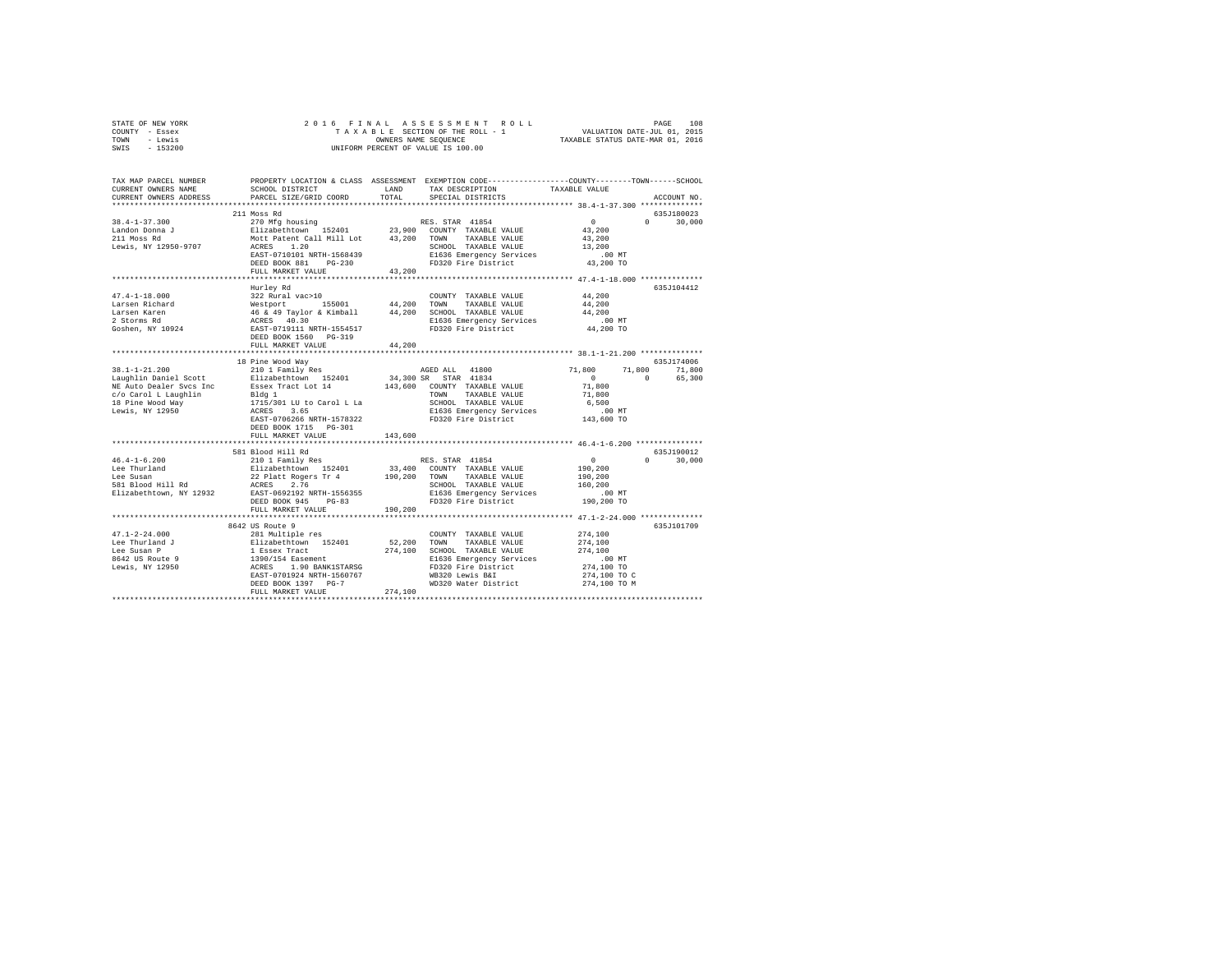| STATE OF NEW YORK                               | 2016 FINAL ASSESSMENT ROLL PAGE 108 PAGE 108 PAGE 108 PAGE SECTION OF THE ROLL TAXABLE STATE-VILL ON DATE PAGE 101, 2015                   |         |                                                                                                 |                     |                    |  |  |
|-------------------------------------------------|--------------------------------------------------------------------------------------------------------------------------------------------|---------|-------------------------------------------------------------------------------------------------|---------------------|--------------------|--|--|
| COUNTY - Essex                                  |                                                                                                                                            |         |                                                                                                 |                     |                    |  |  |
| TOWN - Lewis                                    | OWNERS NAME SEQUENCE<br>UNIFORM PERCENT OF VALUE IS 100.00                                                                                 |         |                                                                                                 |                     |                    |  |  |
| SWIS - 153200                                   |                                                                                                                                            |         |                                                                                                 |                     |                    |  |  |
|                                                 |                                                                                                                                            |         |                                                                                                 |                     |                    |  |  |
| TAX MAP PARCEL NUMBER                           |                                                                                                                                            |         | PROPERTY LOCATION & CLASS ASSESSMENT EXEMPTION CODE---------------COUNTY-------TOWN------SCHOOL |                     |                    |  |  |
| CURRENT OWNERS NAME                             | SCHOOL DISTRICT                                                                                                                            | LAND    | TAX DESCRIPTION TAXABLE VALUE                                                                   |                     |                    |  |  |
| CURRENT OWNERS ADDRESS                          | PARCEL SIZE/GRID COORD                                                                                                                     | TOTAL   | SPECIAL DISTRICTS                                                                               |                     | ACCOUNT NO.        |  |  |
|                                                 |                                                                                                                                            |         |                                                                                                 |                     |                    |  |  |
|                                                 | 211 Moss Rd                                                                                                                                |         |                                                                                                 |                     | 635J180023         |  |  |
| $38.4 - 1 - 37.300$                             | 270 Mfg housing                                                                                                                            |         | RES. STAR 41854                                                                                 | $\sim$ 0            | $0 \t 30.000$      |  |  |
| Landon Donna J<br>211 Moss Rd                   |                                                                                                                                            |         |                                                                                                 | 43,200              |                    |  |  |
|                                                 |                                                                                                                                            |         |                                                                                                 | 43,200              |                    |  |  |
| Lewis, NY 12950-9707                            | ACRES 1.20<br>MOLL FALLIL - 20<br>ACRES 1.20<br>EAST-0710101 NRTH-1568439                                                                  |         | SCHOOL TAXABLE VALUE                                                                            | 13,200              |                    |  |  |
|                                                 |                                                                                                                                            |         | E1636 Emergency Services                                                                        | .00MT               |                    |  |  |
|                                                 |                                                                                                                                            |         | FD320 Fire District                                                                             | 43,200 TO           |                    |  |  |
|                                                 | FULL MARKET VALUE                                                                                                                          | 43,200  |                                                                                                 |                     |                    |  |  |
|                                                 |                                                                                                                                            |         |                                                                                                 |                     |                    |  |  |
|                                                 | Hurley Rd                                                                                                                                  |         |                                                                                                 |                     | 635J104412         |  |  |
| $47.4 - 1 - 18.000$                             | 322 Rural vac>10                                                                                                                           |         | COUNTY TAXABLE VALUE                                                                            | 44,200              |                    |  |  |
| Larsen Richard                                  | Westport 155001 44,200 TOWN TAXABLE VALUE                                                                                                  |         |                                                                                                 | 44,200              |                    |  |  |
| Larsen Karen                                    | 46 & 49 Taylor & Kimball 44,200 SCHOOL TAXABLE VALUE<br>ACRES 40.30 BOR ENGINEERCY SESS MORE REST-0719111 NRTH-1554517 FD320 Fire District |         |                                                                                                 | 44,200              |                    |  |  |
| 2 Storms Rd                                     |                                                                                                                                            |         |                                                                                                 | $.00$ MT            |                    |  |  |
| Goshen, NY 10924                                |                                                                                                                                            |         |                                                                                                 | 44,200 TO           |                    |  |  |
|                                                 | DEED BOOK 1560 PG-319                                                                                                                      |         |                                                                                                 |                     |                    |  |  |
|                                                 | FULL MARKET VALUE                                                                                                                          | 44,200  |                                                                                                 |                     |                    |  |  |
|                                                 |                                                                                                                                            |         |                                                                                                 |                     |                    |  |  |
|                                                 | 18 Pine Wood Way<br>210 1 Family Res                                                                                                       |         |                                                                                                 |                     | 635J174006         |  |  |
| $38.1 - 1 - 21.200$                             |                                                                                                                                            |         | AGED ALL 41800                                                                                  | 71,800              | 71,800 71,800      |  |  |
| Laughlin Daniel Scott                           | Elizabethtown 152401                                                                                                                       |         | 34,300 SR STAR 41834                                                                            | $\sim$ 0            | $\sim$ 0<br>65,300 |  |  |
|                                                 | NE Auto Dealer Svcs Inc Essex Tract Lot 14 143,600 COUNTY TAXABLE VALUE                                                                    |         |                                                                                                 | 71,800              |                    |  |  |
| c/o Carol L Laughlin                            |                                                                                                                                            |         | TOWN TAXABLE VALUE                                                                              | 71,800              |                    |  |  |
| 18 Pine Wood Way                                | <br>1715/301 LU to Carol L La<br>ACRES 3.65<br>RAST-0706000                                                                                |         | SCHOOL TAXABLE VALUE                                                                            | 6,500               |                    |  |  |
| Lewis, NY 12950                                 |                                                                                                                                            |         | E1636 Emergency Services                                                                        | .00MT<br>143,600 TO |                    |  |  |
|                                                 | EAST-0706266 NRTH-1578322                                                                                                                  |         | FD320 Fire District                                                                             |                     |                    |  |  |
|                                                 | DEED BOOK 1715 PG-301                                                                                                                      |         |                                                                                                 |                     |                    |  |  |
|                                                 | FULL MARKET VALUE                                                                                                                          | 143,600 |                                                                                                 |                     |                    |  |  |
|                                                 |                                                                                                                                            |         |                                                                                                 |                     | 635J190012         |  |  |
| $46.4 - 1 - 6.200$                              | RES. STAR 41854<br>22 Platt Rogers Tr 4 190,200 COUNTY TAXABLE VALUE<br>ACRES 2.76 - 190,200 TOUNTY TAXABLE VALUE<br>RAST-0603102 ---      |         |                                                                                                 | $\sim$ 0            | $0 \t 30.000$      |  |  |
|                                                 |                                                                                                                                            |         |                                                                                                 | 190,200             |                    |  |  |
| Lee Thurland<br>Lee Susan                       |                                                                                                                                            |         |                                                                                                 | 190,200             |                    |  |  |
| 581 Blood Hill Rd                               |                                                                                                                                            |         |                                                                                                 | 160,200             |                    |  |  |
| Elizabethtown, NY 12932                         | EAST-0692192 NRTH-1556355                                                                                                                  |         | E1636 Emergency Services                                                                        | .00 MT              |                    |  |  |
|                                                 | DEED BOOK 945 PG-83                                                                                                                        |         | FD320 Fire District                                                                             | 190,200 TO          |                    |  |  |
|                                                 | FULL MARKET VALUE                                                                                                                          | 190,200 |                                                                                                 |                     |                    |  |  |
|                                                 |                                                                                                                                            |         |                                                                                                 |                     |                    |  |  |
|                                                 | 8642 US Route 9                                                                                                                            |         |                                                                                                 |                     | 635J101709         |  |  |
| $47.1 - 2 - 24.000$                             | 281 Multiple res                                                                                                                           |         | COUNTY TAXABLE VALUE                                                                            | 274,100             |                    |  |  |
|                                                 |                                                                                                                                            |         |                                                                                                 | 274,100             |                    |  |  |
|                                                 |                                                                                                                                            |         |                                                                                                 | 274,100             |                    |  |  |
|                                                 |                                                                                                                                            |         |                                                                                                 |                     |                    |  |  |
| Lee Thurland J<br>Lee Susan P                   |                                                                                                                                            |         |                                                                                                 |                     |                    |  |  |
|                                                 |                                                                                                                                            |         | E1636 Emergency Services                                                                        | $.00$ MT            |                    |  |  |
| Bee Susan<br>8642 US Route 9<br>Lewis, NY 12950 |                                                                                                                                            |         |                                                                                                 | 274,100 TO          |                    |  |  |
|                                                 |                                                                                                                                            |         |                                                                                                 | 274,100 TO C        |                    |  |  |
|                                                 |                                                                                                                                            |         |                                                                                                 | 274,100 TO M        |                    |  |  |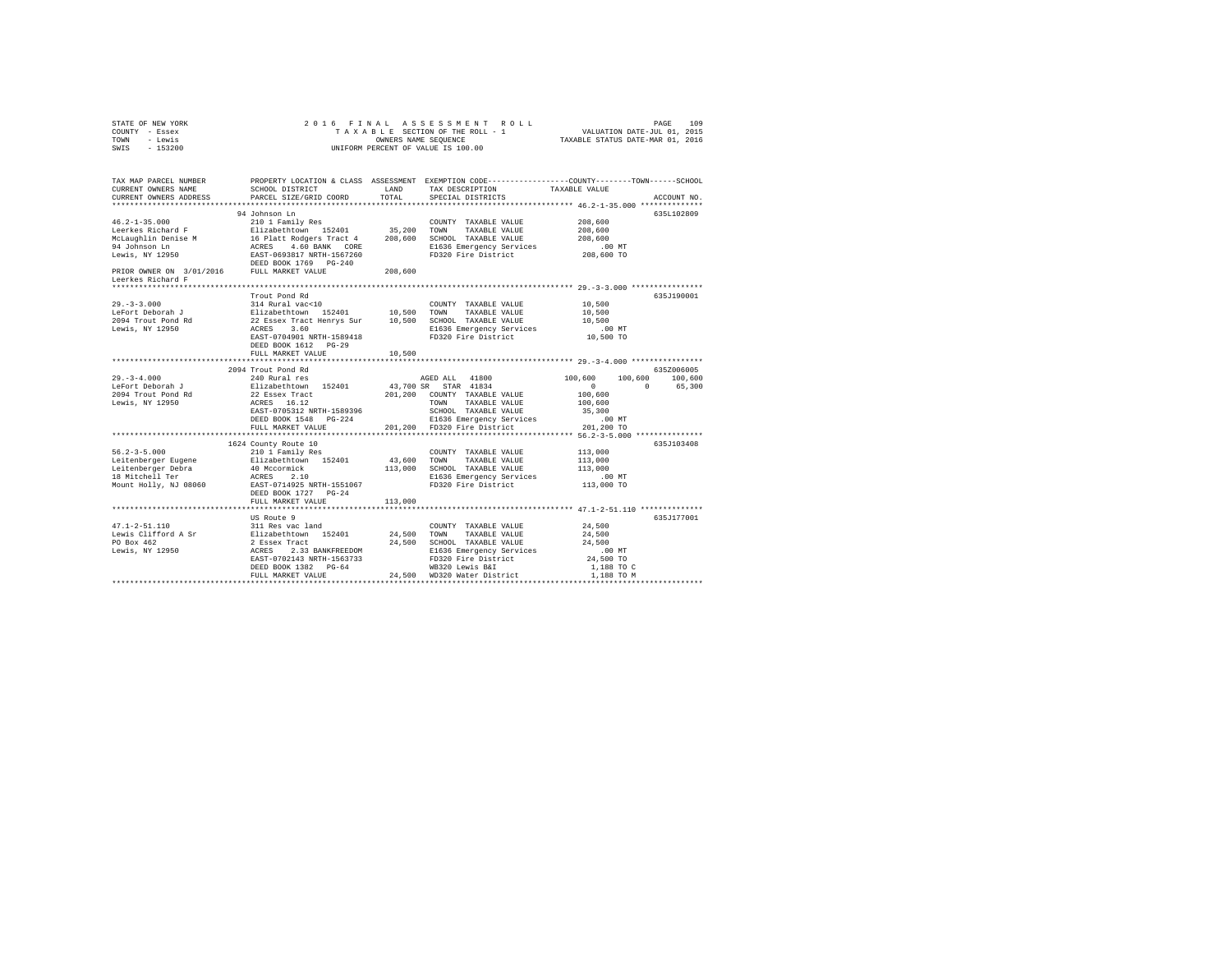| STATE OF NEW YORK<br>COUNTY - Essex<br>TOWN - Lewis<br>$-153200$<br>SWIS                                  | 2016 FINAL                                |               |                                                                                                                                                 |                          |             |
|-----------------------------------------------------------------------------------------------------------|-------------------------------------------|---------------|-------------------------------------------------------------------------------------------------------------------------------------------------|--------------------------|-------------|
|                                                                                                           |                                           |               |                                                                                                                                                 |                          |             |
| TAX MAP PARCEL NUMBER<br>CURRENT OWNERS NAME<br>CURRENT OWNERS ADDRESS                                    | SCHOOL DISTRICT<br>PARCEL SIZE/GRID COORD | LAND<br>TOTAL | PROPERTY LOCATION & CLASS ASSESSMENT EXEMPTION CODE---------------COUNTY-------TOWN-----SCHOOL<br>TAX DESCRIPTION<br>SPECIAL DISTRICTS          | TAXABLE VALUE            | ACCOUNT NO. |
|                                                                                                           |                                           |               |                                                                                                                                                 |                          |             |
|                                                                                                           | 94 Johnson Ln                             |               |                                                                                                                                                 |                          | 635L102809  |
| $46.2 - 1 - 35.000$                                                                                       |                                           |               | COUNTY TAXABLE VALUE                                                                                                                            | 208,600                  |             |
| Leerkes Richard F                                                                                         |                                           |               | TAXABLE VALUE                                                                                                                                   | 208,600                  |             |
|                                                                                                           |                                           |               |                                                                                                                                                 | 208,600                  |             |
|                                                                                                           |                                           |               | E1636 Emergency Services                                                                                                                        | $.00$ MT                 |             |
|                                                                                                           |                                           |               | FD320 Fire District                                                                                                                             | 208,600 TO               |             |
|                                                                                                           |                                           |               |                                                                                                                                                 |                          |             |
| Leerkes Richard F                                                                                         |                                           |               |                                                                                                                                                 |                          |             |
|                                                                                                           | Trout Pond Rd                             |               |                                                                                                                                                 |                          | 635J190001  |
| $29. - 3 - 3.000$                                                                                         | 314 Rural vac<10                          |               | COUNTY TAXABLE VALUE                                                                                                                            | 10,500                   |             |
| LeFort Deborah J                                                                                          |                                           |               |                                                                                                                                                 | 10,500                   |             |
| 2094 Trout Pond Rd<br>Lewis, NY 12950                                                                     |                                           |               | Elizabeth<br>Compared the Same Compared COMM TAXABLE VALUE 1988 Tract Henrys Sur 10,500 SCHOOL TAXABLE VALUE<br>ACRES 3.60 SCHOOL TAXABLE VALUE | 10,500                   |             |
|                                                                                                           |                                           |               |                                                                                                                                                 |                          |             |
|                                                                                                           | EAST-0704901 NRTH-1589418                 |               | FD320 Fire District                                                                                                                             | 00 MT.<br>10,500 TO      |             |
|                                                                                                           | DEED BOOK 1612 PG-29                      |               |                                                                                                                                                 |                          |             |
|                                                                                                           | FULL MARKET VALUE                         | 10,500        |                                                                                                                                                 |                          |             |
|                                                                                                           |                                           |               |                                                                                                                                                 |                          |             |
|                                                                                                           |                                           |               |                                                                                                                                                 |                          |             |
|                                                                                                           | 2094 Trout Pond Rd                        |               |                                                                                                                                                 |                          | 635Z006005  |
| $29. -3 - 4.000$                                                                                          | 240 Rural res                             |               |                                                                                                                                                 | 100,600<br>100,600       | 100,600     |
| LeFort Deborah J                                                                                          | Elizabethtown 152401                      |               | AGED ALL 41800<br>43,700 SR STAR 41834                                                                                                          | $\sim$ 0<br>$\sim$ 0     | 65,300      |
|                                                                                                           | 22 Essex Tract                            |               | 201,200 COUNTY TAXABLE VALUE                                                                                                                    | 100,600                  |             |
| 2094 Trout Pond Rd<br>Lewis, NY 12950                                                                     | ACRES 16.12                               |               | TOWN TAXABLE VALUE                                                                                                                              | 100,600                  |             |
|                                                                                                           | EAST-0705312 NRTH-1589396                 |               | SCHOOL TAXABLE VALUE                                                                                                                            | 35,300                   |             |
|                                                                                                           | DEED BOOK 1548 PG-224                     |               |                                                                                                                                                 | $.00$ MT                 |             |
|                                                                                                           | FULL MARKET VALUE                         |               | E1636 Emergency Services<br>201,200 FD320 Fire District                                                                                         | 201,200 TO               |             |
|                                                                                                           |                                           |               |                                                                                                                                                 |                          |             |
|                                                                                                           | 1624 County Route 10                      |               |                                                                                                                                                 |                          | 635J103408  |
| $56.2 - 3 - 5.000$                                                                                        | 210 1 Family Res                          |               | COUNTY TAXABLE VALUE                                                                                                                            | 113,000                  |             |
|                                                                                                           |                                           |               | TAXABLE VALUE<br>113,000 SCHOOL TAXABLE VALUE                                                                                                   | 113,000<br>113,000       |             |
| Leitenberger Eugene and Elizabethtown 152401 43,600 TOWN<br>Leitenberger Debra 40 Mccormick 113,000 SCHOC |                                           |               | E1636 Emergency Services                                                                                                                        | .00 MT                   |             |
|                                                                                                           |                                           |               |                                                                                                                                                 | 113,000 TO               |             |
|                                                                                                           | DEED BOOK 1727 PG-24                      |               | FD320 Fire District                                                                                                                             |                          |             |
|                                                                                                           | FULL MARKET VALUE                         | 113,000       |                                                                                                                                                 |                          |             |
|                                                                                                           |                                           |               |                                                                                                                                                 |                          |             |
|                                                                                                           |                                           |               |                                                                                                                                                 |                          | 635J177001  |
|                                                                                                           |                                           |               |                                                                                                                                                 | 24,500                   |             |
|                                                                                                           |                                           |               |                                                                                                                                                 | 24,500                   |             |
|                                                                                                           |                                           |               |                                                                                                                                                 | 24,500                   |             |
|                                                                                                           |                                           |               |                                                                                                                                                 | $.00$ MT                 |             |
|                                                                                                           |                                           |               |                                                                                                                                                 | 24,500 TO                |             |
|                                                                                                           | FULL MARKET VALUE                         |               | 24,500 WD320 Water District                                                                                                                     | 1,188 TO C<br>1,188 TO M |             |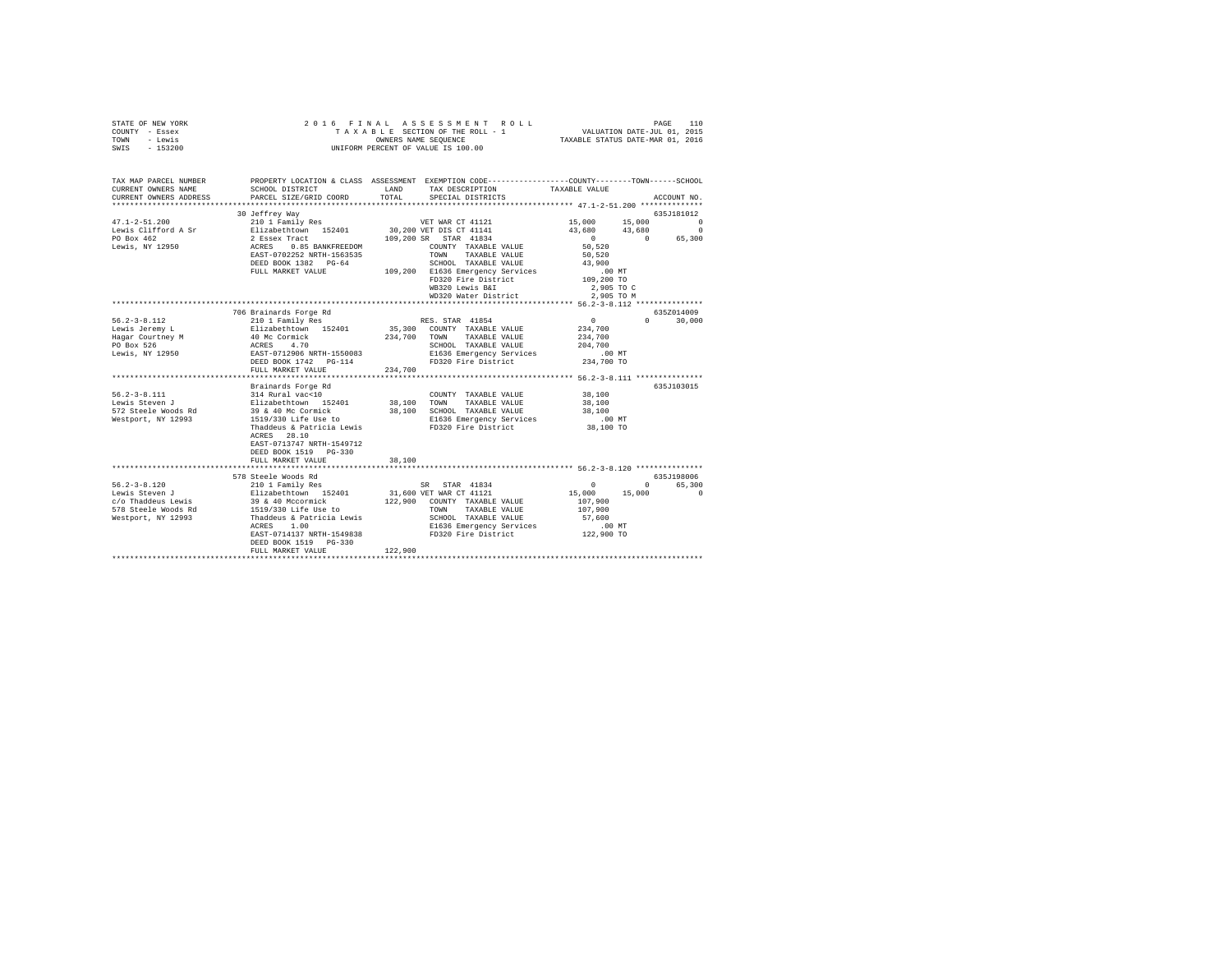| STATE OF NEW YORK<br>COUNTY - Essex<br>TOWN - Lewis<br>SWIS - 153200                                                                                                                                             | 2016 FINAL ASSESSMENT<br>TAXABLE SECTION OF THE ROLL -<br>UNIFORM PERCENT OF VALUE IS 100.00                                                  |         |                                                                         |                                                        |                                                                                                                                                                               |  |
|------------------------------------------------------------------------------------------------------------------------------------------------------------------------------------------------------------------|-----------------------------------------------------------------------------------------------------------------------------------------------|---------|-------------------------------------------------------------------------|--------------------------------------------------------|-------------------------------------------------------------------------------------------------------------------------------------------------------------------------------|--|
| TAX MAP PARCEL NUMBER<br>CURRENT OWNERS NAME<br>CURRENT OWNERS ADDRESS                                                                                                                                           | PROPERTY LOCATION & CLASS ASSESSMENT EXEMPTION CODE----------------COUNTY-------TOWN------SCHOOL<br>SCHOOL DISTRICT<br>PARCEL SIZE/GRID COORD | TOTAL   | LAND TAX DESCRIPTION TAXABLE VALUE<br>SPECIAL DISTRICTS                 |                                                        | ACCOUNT NO.                                                                                                                                                                   |  |
|                                                                                                                                                                                                                  |                                                                                                                                               |         |                                                                         |                                                        |                                                                                                                                                                               |  |
|                                                                                                                                                                                                                  | 30 Jeffrey Way                                                                                                                                |         |                                                                         |                                                        | 635J181012                                                                                                                                                                    |  |
|                                                                                                                                                                                                                  |                                                                                                                                               |         |                                                                         |                                                        | $\begin{array}{ccc} 15 \, , & 000 & \quad & 15 \, , & 000 \\ 43 \, , & 680 & \quad & 43 \, , & 680 \end{array} \qquad \qquad \begin{array}{ccc} 0 \\ 0 \\ 0 \\ 0 \end{array}$ |  |
|                                                                                                                                                                                                                  |                                                                                                                                               |         |                                                                         |                                                        |                                                                                                                                                                               |  |
|                                                                                                                                                                                                                  |                                                                                                                                               |         |                                                                         | 50,520                                                 | $\begin{array}{cccc} 0 & 0 & 65,300 \\ 50,520 & & & \end{array}$                                                                                                              |  |
|                                                                                                                                                                                                                  |                                                                                                                                               |         |                                                                         | 50.520                                                 |                                                                                                                                                                               |  |
|                                                                                                                                                                                                                  |                                                                                                                                               |         |                                                                         | 43,900                                                 |                                                                                                                                                                               |  |
|                                                                                                                                                                                                                  |                                                                                                                                               |         |                                                                         | $.00$ MT                                               |                                                                                                                                                                               |  |
|                                                                                                                                                                                                                  |                                                                                                                                               |         | FD320 Fire District                                                     | 109,200 TO                                             |                                                                                                                                                                               |  |
|                                                                                                                                                                                                                  |                                                                                                                                               |         | WB320 Lewis B&I 2,905 TO C<br>WD320 Water District 2,905 TO M           |                                                        |                                                                                                                                                                               |  |
|                                                                                                                                                                                                                  |                                                                                                                                               |         |                                                                         |                                                        |                                                                                                                                                                               |  |
|                                                                                                                                                                                                                  | 706 Brainards Forge Rd                                                                                                                        |         |                                                                         |                                                        | 635Z014009                                                                                                                                                                    |  |
| $56.2 - 3 - 8.112$                                                                                                                                                                                               | 210 1 Family Res                                                                                                                              |         | RES. STAR 41854                                                         | $\sim$ 0                                               | $0 \t 30,000$                                                                                                                                                                 |  |
|                                                                                                                                                                                                                  |                                                                                                                                               |         | 35,300 COUNTY TAXABLE VALUE                                             | 234,700                                                |                                                                                                                                                                               |  |
|                                                                                                                                                                                                                  |                                                                                                                                               |         | 234,700 TOWN TAXABLE VALUE                                              | 234,700                                                |                                                                                                                                                                               |  |
| Lewis Jeremy Law Markethrown 152401<br>Hagar Courtney M (40 Ko Cornick 170<br>Hagar Courtney M (40 Ko 470<br>Dewis , NY 12950 (2006 NRTH-1550083<br>Dewis , NY 12950 (2006 NRTH-1550083<br>DEED BOOK 1742 PG-114 |                                                                                                                                               |         | SCHOOL TAXABLE VALUE<br>E1636 Emergency Services<br>FD320 Fire District | 204,700<br>.00 MT                                      |                                                                                                                                                                               |  |
|                                                                                                                                                                                                                  |                                                                                                                                               |         |                                                                         | 234,700 TO                                             |                                                                                                                                                                               |  |
|                                                                                                                                                                                                                  | FULL MARKET VALUE                                                                                                                             | 234,700 |                                                                         |                                                        |                                                                                                                                                                               |  |
|                                                                                                                                                                                                                  |                                                                                                                                               |         |                                                                         |                                                        |                                                                                                                                                                               |  |
|                                                                                                                                                                                                                  | Brainards Forge Rd                                                                                                                            |         |                                                                         |                                                        | 635J103015                                                                                                                                                                    |  |
|                                                                                                                                                                                                                  |                                                                                                                                               |         | COUNTY TAXABLE VALUE 38,100<br>38,100 TOWN TAXABLE VALUE                | 38,100                                                 |                                                                                                                                                                               |  |
|                                                                                                                                                                                                                  |                                                                                                                                               |         |                                                                         | 38,100                                                 |                                                                                                                                                                               |  |
| Westport, NY 12993                                                                                                                                                                                               | 39 & 40 Mc Cormick 38,100 SCHOOL TAXABLE VALUE<br>1519/330 Life Use to B1636 Emergency Services                                               |         | E1636 Emergency Services                                                | $.00$ MT                                               |                                                                                                                                                                               |  |
|                                                                                                                                                                                                                  | Thaddeus & Patricia Lewis                                                                                                                     |         | FD320 Fire District                                                     | 38,100 TO                                              |                                                                                                                                                                               |  |
|                                                                                                                                                                                                                  | ACRES 28.10<br>EAST-0713747 NRTH-1549712<br>DEED BOOK 1519 PG-330                                                                             |         |                                                                         |                                                        |                                                                                                                                                                               |  |
|                                                                                                                                                                                                                  | FULL MARKET VALUE                                                                                                                             | 38,100  |                                                                         |                                                        |                                                                                                                                                                               |  |
|                                                                                                                                                                                                                  |                                                                                                                                               |         |                                                                         |                                                        |                                                                                                                                                                               |  |
|                                                                                                                                                                                                                  | 578 Steele Woods Rd                                                                                                                           |         |                                                                         |                                                        | 635J198006                                                                                                                                                                    |  |
|                                                                                                                                                                                                                  |                                                                                                                                               |         |                                                                         | $\begin{smallmatrix}&&&0\\1&5&,0&0&0\end{smallmatrix}$ | 0 65,300                                                                                                                                                                      |  |
|                                                                                                                                                                                                                  |                                                                                                                                               |         |                                                                         | 107,900                                                | 15,000<br>$\sim$ 0                                                                                                                                                            |  |
|                                                                                                                                                                                                                  |                                                                                                                                               |         |                                                                         | 107,900                                                |                                                                                                                                                                               |  |
|                                                                                                                                                                                                                  |                                                                                                                                               |         |                                                                         | 57,600                                                 |                                                                                                                                                                               |  |
|                                                                                                                                                                                                                  | ACRES 1.00                                                                                                                                    |         | E1636 Emergency Services                                                | .00 MT                                                 |                                                                                                                                                                               |  |
|                                                                                                                                                                                                                  | $\frac{1}{2000}$ EAST-0714137 NRTH-1549838<br>$\frac{1}{2000}$ FD320 Fire District                                                            |         |                                                                         | 122,900 TO                                             |                                                                                                                                                                               |  |
|                                                                                                                                                                                                                  | FULL MARKET VALUE                                                                                                                             | 122,900 |                                                                         |                                                        |                                                                                                                                                                               |  |
|                                                                                                                                                                                                                  |                                                                                                                                               |         |                                                                         |                                                        |                                                                                                                                                                               |  |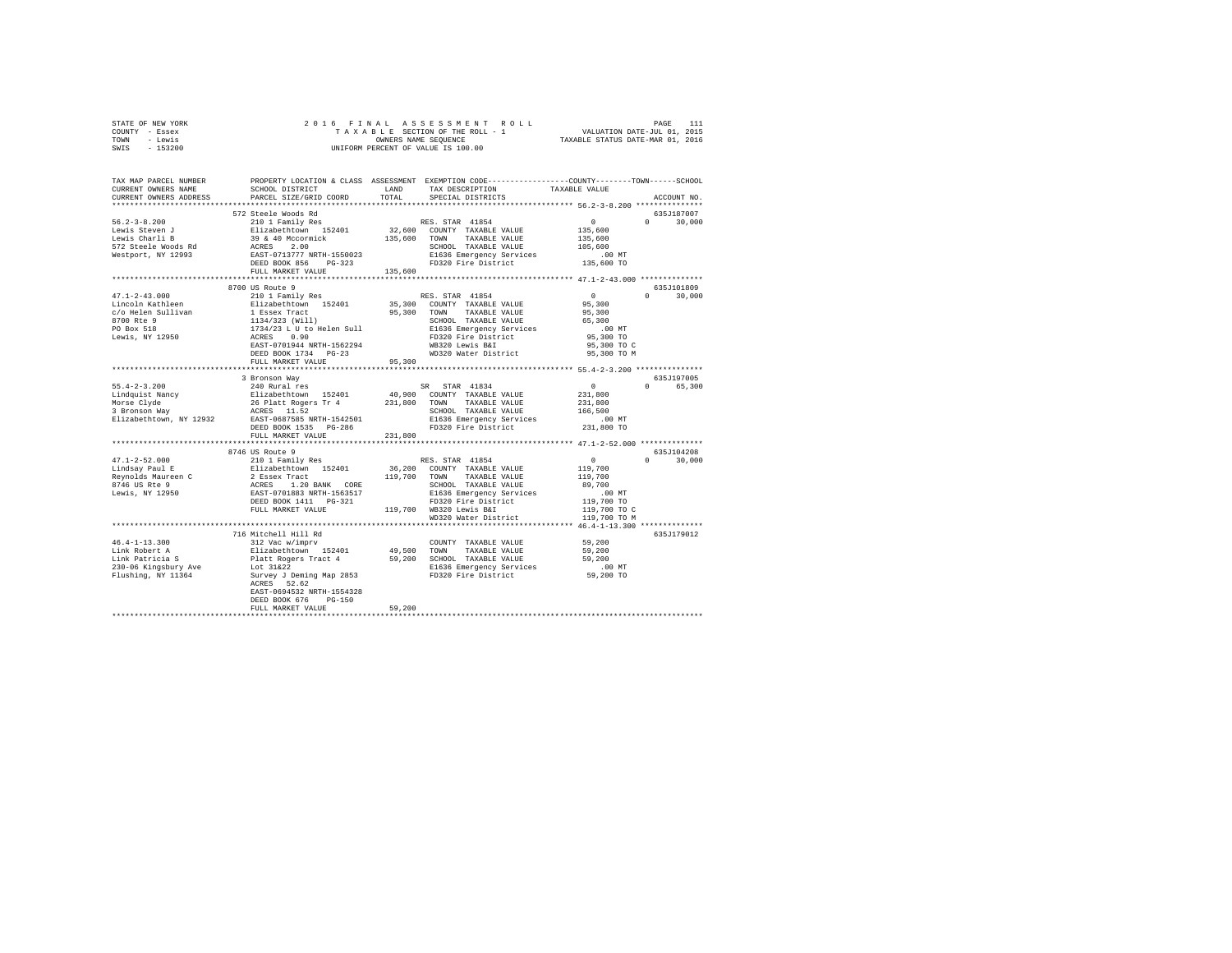| STATE OF NEW YORK |           |                      |  |  |  |  | 2016 FINAL ASSESSMENT ROLL         |                                  |                             | PAGE | 111 |
|-------------------|-----------|----------------------|--|--|--|--|------------------------------------|----------------------------------|-----------------------------|------|-----|
| COUNTY - Essex    |           |                      |  |  |  |  | TAXABLE SECTION OF THE ROLL - 1    |                                  | VALUATION DATE-JUL 01, 2015 |      |     |
| TOWN              | - Lewis   | OWNERS NAME SEOUENCE |  |  |  |  |                                    | TAXABLE STATUS DATE-MAR 01, 2016 |                             |      |     |
| SWIS              | $-153200$ |                      |  |  |  |  | UNIFORM PERCENT OF VALUE IS 100.00 |                                  |                             |      |     |

| TAX MAP PARCEL NUMBER<br>CURRENT OWNERS NAME                                                                                                                                                                                                                                                                                                                                                                             | SCHOOL DISTRICT                                        |         | PROPERTY LOCATION & CLASS ASSESSMENT EXEMPTION CODE----------------COUNTY-------TOWN------SCHOOL<br>LAND TAX DESCRIPTION | TAXABLE VALUE        |                             |
|--------------------------------------------------------------------------------------------------------------------------------------------------------------------------------------------------------------------------------------------------------------------------------------------------------------------------------------------------------------------------------------------------------------------------|--------------------------------------------------------|---------|--------------------------------------------------------------------------------------------------------------------------|----------------------|-----------------------------|
| CURRENT OWNERS ADDRESS                                                                                                                                                                                                                                                                                                                                                                                                   | PARCEL SIZE/GRID COORD<br>**************************** |         | TOTAL SPECIAL DISTRICTS                                                                                                  |                      | ACCOUNT NO.                 |
|                                                                                                                                                                                                                                                                                                                                                                                                                          |                                                        |         |                                                                                                                          |                      |                             |
|                                                                                                                                                                                                                                                                                                                                                                                                                          | 572 Steele Woods Rd                                    |         |                                                                                                                          |                      | 635J187007                  |
| $56.2 - 3 - 8.200$                                                                                                                                                                                                                                                                                                                                                                                                       | 210 1 Family Res                                       |         | RES. STAR 41854                                                                                                          | $\sim$ 0 $\sim$      | $0 \qquad \qquad$<br>30,000 |
|                                                                                                                                                                                                                                                                                                                                                                                                                          |                                                        |         | 32,600 COUNTY TAXABLE VALUE 135,600<br>135,600 TOWN TAXABLE VALUE 135,600                                                |                      |                             |
|                                                                                                                                                                                                                                                                                                                                                                                                                          |                                                        |         |                                                                                                                          |                      |                             |
|                                                                                                                                                                                                                                                                                                                                                                                                                          |                                                        |         |                                                                                                                          |                      |                             |
|                                                                                                                                                                                                                                                                                                                                                                                                                          |                                                        |         |                                                                                                                          |                      |                             |
|                                                                                                                                                                                                                                                                                                                                                                                                                          |                                                        |         |                                                                                                                          |                      |                             |
|                                                                                                                                                                                                                                                                                                                                                                                                                          | FULL MARKET VALUE                                      |         | CHOOL TAXABLE VALUE 105,600<br>E1636 Emergency Services 105,600<br>PD320 Fire District 135,600 TO 135,600                |                      |                             |
|                                                                                                                                                                                                                                                                                                                                                                                                                          |                                                        |         |                                                                                                                          |                      |                             |
|                                                                                                                                                                                                                                                                                                                                                                                                                          | 8700 US Route 9                                        |         |                                                                                                                          |                      | 635J101809                  |
| $\begin{tabular}{l c c c c} \multicolumn{3}{c}{\textbf{47.1-2-43.000}} & \multicolumn{3}{c}{\textbf{87.00 U S. Note $9$}} & \multicolumn{3}{c}{\textbf{57.00 U S. Note $9$}} & \multicolumn{3}{c}{\textbf{57.00 U S. Note $9$}} & \multicolumn{3}{c}{\textbf{67.00 U S. Note $9$}} & \multicolumn{3}{c}{\textbf{67.00 U S. Note $9$}} & \multicolumn{3}{c}{\textbf{67.00 U S. Note $9$}} & \multicolumn{3}{c}{\textbf{6$ |                                                        |         |                                                                                                                          |                      | $\Omega$<br>30,000          |
|                                                                                                                                                                                                                                                                                                                                                                                                                          |                                                        |         |                                                                                                                          |                      |                             |
|                                                                                                                                                                                                                                                                                                                                                                                                                          |                                                        |         |                                                                                                                          |                      |                             |
|                                                                                                                                                                                                                                                                                                                                                                                                                          |                                                        |         |                                                                                                                          |                      |                             |
|                                                                                                                                                                                                                                                                                                                                                                                                                          |                                                        |         |                                                                                                                          |                      |                             |
|                                                                                                                                                                                                                                                                                                                                                                                                                          |                                                        |         |                                                                                                                          |                      |                             |
|                                                                                                                                                                                                                                                                                                                                                                                                                          |                                                        |         |                                                                                                                          |                      |                             |
|                                                                                                                                                                                                                                                                                                                                                                                                                          | DEED BOOK 1734 PG-23                                   |         | WD320 Water District 95,300 TO M                                                                                         |                      |                             |
|                                                                                                                                                                                                                                                                                                                                                                                                                          | FULL MARKET VALUE                                      | 95,300  |                                                                                                                          |                      |                             |
|                                                                                                                                                                                                                                                                                                                                                                                                                          |                                                        |         |                                                                                                                          |                      |                             |
|                                                                                                                                                                                                                                                                                                                                                                                                                          | 3 Bronson Way                                          |         |                                                                                                                          |                      | 635J197005                  |
|                                                                                                                                                                                                                                                                                                                                                                                                                          |                                                        |         |                                                                                                                          | $\sim$ 0             | 0 65,300                    |
|                                                                                                                                                                                                                                                                                                                                                                                                                          |                                                        |         |                                                                                                                          | 231,800              |                             |
|                                                                                                                                                                                                                                                                                                                                                                                                                          |                                                        |         |                                                                                                                          |                      |                             |
|                                                                                                                                                                                                                                                                                                                                                                                                                          |                                                        |         |                                                                                                                          | 231,800<br>166,500   |                             |
|                                                                                                                                                                                                                                                                                                                                                                                                                          |                                                        |         |                                                                                                                          |                      |                             |
|                                                                                                                                                                                                                                                                                                                                                                                                                          |                                                        |         |                                                                                                                          | 00 MT.<br>231,800 TO |                             |
|                                                                                                                                                                                                                                                                                                                                                                                                                          | FULL MARKET VALUE                                      | 231,800 |                                                                                                                          |                      |                             |
|                                                                                                                                                                                                                                                                                                                                                                                                                          | *******************************                        |         |                                                                                                                          |                      |                             |
|                                                                                                                                                                                                                                                                                                                                                                                                                          | 8746 US Route 9                                        |         |                                                                                                                          |                      | 635J104208                  |
|                                                                                                                                                                                                                                                                                                                                                                                                                          |                                                        |         |                                                                                                                          |                      |                             |
|                                                                                                                                                                                                                                                                                                                                                                                                                          |                                                        |         |                                                                                                                          |                      |                             |
|                                                                                                                                                                                                                                                                                                                                                                                                                          |                                                        |         |                                                                                                                          |                      |                             |
|                                                                                                                                                                                                                                                                                                                                                                                                                          |                                                        |         |                                                                                                                          |                      |                             |
|                                                                                                                                                                                                                                                                                                                                                                                                                          |                                                        |         |                                                                                                                          |                      |                             |
|                                                                                                                                                                                                                                                                                                                                                                                                                          |                                                        |         |                                                                                                                          |                      |                             |
|                                                                                                                                                                                                                                                                                                                                                                                                                          |                                                        |         |                                                                                                                          |                      |                             |
|                                                                                                                                                                                                                                                                                                                                                                                                                          |                                                        |         |                                                                                                                          |                      |                             |
|                                                                                                                                                                                                                                                                                                                                                                                                                          |                                                        |         |                                                                                                                          |                      |                             |
|                                                                                                                                                                                                                                                                                                                                                                                                                          |                                                        |         |                                                                                                                          |                      |                             |
|                                                                                                                                                                                                                                                                                                                                                                                                                          | 716 Mitchell Hill Rd                                   |         |                                                                                                                          |                      | 635J179012                  |
| $46.4 - 1 - 13.300$                                                                                                                                                                                                                                                                                                                                                                                                      | 312 Vac w/imprv                                        |         | COUNTY TAXABLE VALUE                                                                                                     | 59,200               |                             |
| +e.v+-1-3.500<br>inik Robert A Blizabethrown 152401 49,500 TOWN TAXABLE VALUE<br>Link Robert A Blizabethrown 152401 49,500 TOWN TAXABLE VALUE<br>230-06 Kingsbury Ave Platt Rogers Tract 4 59,200 CCHOOL TAXABLE VALUE<br>230-06 Kin                                                                                                                                                                                     |                                                        |         |                                                                                                                          |                      |                             |
|                                                                                                                                                                                                                                                                                                                                                                                                                          |                                                        |         |                                                                                                                          |                      |                             |
|                                                                                                                                                                                                                                                                                                                                                                                                                          |                                                        |         |                                                                                                                          |                      |                             |
|                                                                                                                                                                                                                                                                                                                                                                                                                          |                                                        |         |                                                                                                                          |                      |                             |
|                                                                                                                                                                                                                                                                                                                                                                                                                          |                                                        |         |                                                                                                                          |                      |                             |
|                                                                                                                                                                                                                                                                                                                                                                                                                          | EAST-0694532 NRTH-1554328                              |         |                                                                                                                          |                      |                             |
|                                                                                                                                                                                                                                                                                                                                                                                                                          | DEED BOOK 676 PG-150                                   |         |                                                                                                                          |                      |                             |
|                                                                                                                                                                                                                                                                                                                                                                                                                          | FULL MARKET VALUE                                      | 59,200  |                                                                                                                          |                      |                             |
|                                                                                                                                                                                                                                                                                                                                                                                                                          |                                                        |         |                                                                                                                          |                      |                             |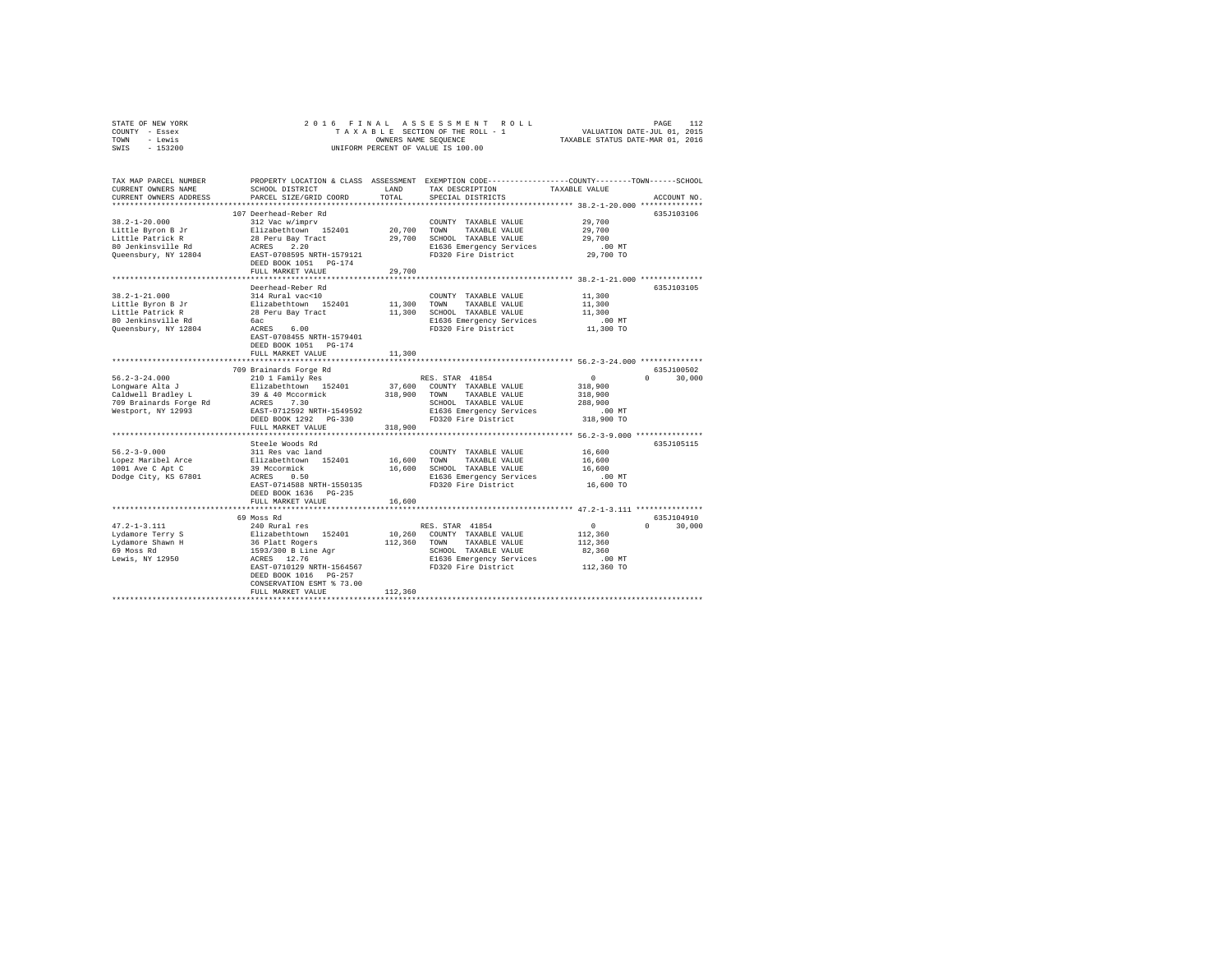| STATE OF NEW YORK | 2016 FINAL ASSESSMENT ROLL         | 112<br>PAGE                      |
|-------------------|------------------------------------|----------------------------------|
| COUNTY - Essex    | TAXABLE SECTION OF THE ROLL - 1    | VALUATION DATE-JUL 01, 2015      |
| TOWN<br>- Lewis   | OWNERS NAME SEOUENCE               | TAXABLE STATUS DATE-MAR 01, 2016 |
| $-153200$<br>SWIS | UNIFORM PERCENT OF VALUE IS 100.00 |                                  |

| TAX MAP PARCEL NUMBER<br>CURRENT OWNERS NAME<br>CURRENT OWNERS ADDRESS | SCHOOL DISTRICT<br>PARCEL SIZE/GRID COORD | <b>T.AND</b><br>TOTAL | PROPERTY LOCATION & CLASS ASSESSMENT EXEMPTION CODE---------------COUNTY-------TOWN-----SCHOOL<br>TAX DESCRIPTION<br>SPECIAL DISTRICTS | TAXABLE VALUE | ACCOUNT NO.        |
|------------------------------------------------------------------------|-------------------------------------------|-----------------------|----------------------------------------------------------------------------------------------------------------------------------------|---------------|--------------------|
| *********************                                                  | ***********************                   |                       |                                                                                                                                        |               |                    |
|                                                                        | 107 Deerhead-Reber Rd                     |                       |                                                                                                                                        |               | 635J103106         |
| $38.2 - 1 - 20.000$                                                    | 312 Vac w/imprv                           |                       | COUNTY TAXABLE VALUE                                                                                                                   | 29,700        |                    |
| Little Byron B Jr                                                      | Elizabethtown 152401                      | 20,700                | TOWN<br>TAXABLE VALUE                                                                                                                  | 29,700        |                    |
| Little Patrick R                                                       | 28 Peru Bay Tract                         | 29,700                | SCHOOL TAXABLE VALUE                                                                                                                   | 29,700        |                    |
| 80 Jenkinsville Rd                                                     | ACRES<br>2.20                             |                       | E1636 Emergency Services                                                                                                               | $.00$ MT      |                    |
| Queensbury, NY 12804                                                   | EAST-0708595 NRTH-1579121                 |                       | FD320 Fire District                                                                                                                    | 29,700 TO     |                    |
|                                                                        | DEED BOOK 1051    PG-174                  |                       |                                                                                                                                        |               |                    |
|                                                                        | FULL MARKET VALUE                         | 29,700                |                                                                                                                                        |               |                    |
|                                                                        |                                           |                       |                                                                                                                                        |               |                    |
|                                                                        | Deerhead-Reber Rd                         |                       |                                                                                                                                        |               | 635J103105         |
| $38.2 - 1 - 21.000$                                                    | 314 Rural vac<10                          |                       | COUNTY TAXABLE VALUE                                                                                                                   | 11,300        |                    |
| Little Byron B Jr                                                      | Elizabethtown 152401                      | 11,300                | TOWN<br>TAXABLE VALUE                                                                                                                  | 11,300        |                    |
| Little Patrick R                                                       | 28 Peru Bay Tract                         | 11,300                | SCHOOL TAXABLE VALUE                                                                                                                   | 11,300        |                    |
| 80 Jenkinsville Rd                                                     | бас                                       |                       | E1636 Emergency Services                                                                                                               | .00 MT        |                    |
| Queensbury, NY 12804                                                   | 6.00<br>ACRES                             |                       | FD320 Fire District                                                                                                                    | 11,300 TO     |                    |
|                                                                        | EAST-0708455 NRTH-1579401                 |                       |                                                                                                                                        |               |                    |
|                                                                        | DEED BOOK 1051 PG-174                     |                       |                                                                                                                                        |               |                    |
|                                                                        | FULL MARKET VALUE                         | 11,300                |                                                                                                                                        |               |                    |
|                                                                        |                                           |                       | *********************** 56.2-3-24.000 **************                                                                                   |               |                    |
|                                                                        | 709 Brainards Forge Rd                    |                       |                                                                                                                                        |               | 635J100502         |
| $56.2 - 3 - 24.000$                                                    | 210 1 Family Res                          |                       | RES. STAR 41854                                                                                                                        | $\circ$       | $\Omega$<br>30,000 |
| Lonqware Alta J                                                        | Elizabethtown 152401                      | 37,600                | COUNTY TAXABLE VALUE                                                                                                                   | 318,900       |                    |
| Caldwell Bradley L                                                     | 39 & 40 Mccormick                         | 318,900               | TOWN<br>TAXABLE VALUE                                                                                                                  | 318,900       |                    |
| 709 Brainards Forge Rd                                                 | 7.30<br>ACRES                             |                       | SCHOOL TAXABLE VALUE                                                                                                                   | 288,900       |                    |
| Westport, NY 12993                                                     | EAST-0712592 NRTH-1549592                 |                       | E1636 Emergency Services                                                                                                               | .00MT         |                    |
|                                                                        | DEED BOOK 1292 PG-330                     |                       | FD320 Fire District                                                                                                                    | 318,900 TO    |                    |
|                                                                        | FULL MARKET VALUE                         | 318,900               |                                                                                                                                        |               |                    |
|                                                                        | Steele Woods Rd                           |                       |                                                                                                                                        |               | 635J105115         |
| $56.2 - 3 - 9.000$                                                     | 311 Res vac land                          |                       | COUNTY TAXABLE VALUE                                                                                                                   | 16,600        |                    |
| Lopez Maribel Arce                                                     | Elizabethtown 152401                      | 16,600                | TOWN<br>TAXABLE VALUE                                                                                                                  | 16,600        |                    |
| 1001 Ave C Apt C                                                       | 39 Mccormick                              | 16,600                | SCHOOL TAXABLE VALUE                                                                                                                   | 16,600        |                    |
| Dodge City, KS 67801                                                   | ACRES<br>0.50                             |                       | E1636 Emergency Services                                                                                                               | $.00$ MT      |                    |
|                                                                        | EAST-0714588 NRTH-1550135                 |                       | FD320 Fire District                                                                                                                    | 16,600 TO     |                    |
|                                                                        | DEED BOOK 1636 PG-235                     |                       |                                                                                                                                        |               |                    |
|                                                                        | FULL MARKET VALUE                         | 16,600                |                                                                                                                                        |               |                    |
|                                                                        | ***********************                   |                       | ************************************** 47.2-1-3.111 ***************                                                                    |               |                    |
|                                                                        | 69 Moss Rd                                |                       |                                                                                                                                        |               | 635J104910         |
| $47.2 - 1 - 3.111$                                                     | 240 Rural res                             |                       | RES. STAR 41854                                                                                                                        | $\Omega$      | $\Omega$<br>30,000 |
| Lydamore Terry S                                                       | Elizabethtown 152401                      | 10,260                | COUNTY TAXABLE VALUE                                                                                                                   | 112,360       |                    |
| Lydamore Shawn H                                                       | 36 Platt Rogers                           | 112,360               | TOWN<br>TAXABLE VALUE                                                                                                                  | 112,360       |                    |
| 69 Moss Rd                                                             | 1593/300 B Line Agr                       |                       | SCHOOL TAXABLE VALUE                                                                                                                   | 82.360        |                    |
| Lewis, NY 12950                                                        | ACRES 12.76                               |                       | E1636 Emergency Services                                                                                                               | .00 MT        |                    |
|                                                                        | EAST-0710129 NRTH-1564567                 |                       | FD320 Fire District                                                                                                                    | 112,360 TO    |                    |
|                                                                        | DEED BOOK 1016 PG-257                     |                       |                                                                                                                                        |               |                    |
|                                                                        | CONSERVATION ESMT % 73.00                 |                       |                                                                                                                                        |               |                    |
|                                                                        | FULL MARKET VALUE                         | 112,360               |                                                                                                                                        |               |                    |
|                                                                        |                                           |                       |                                                                                                                                        |               |                    |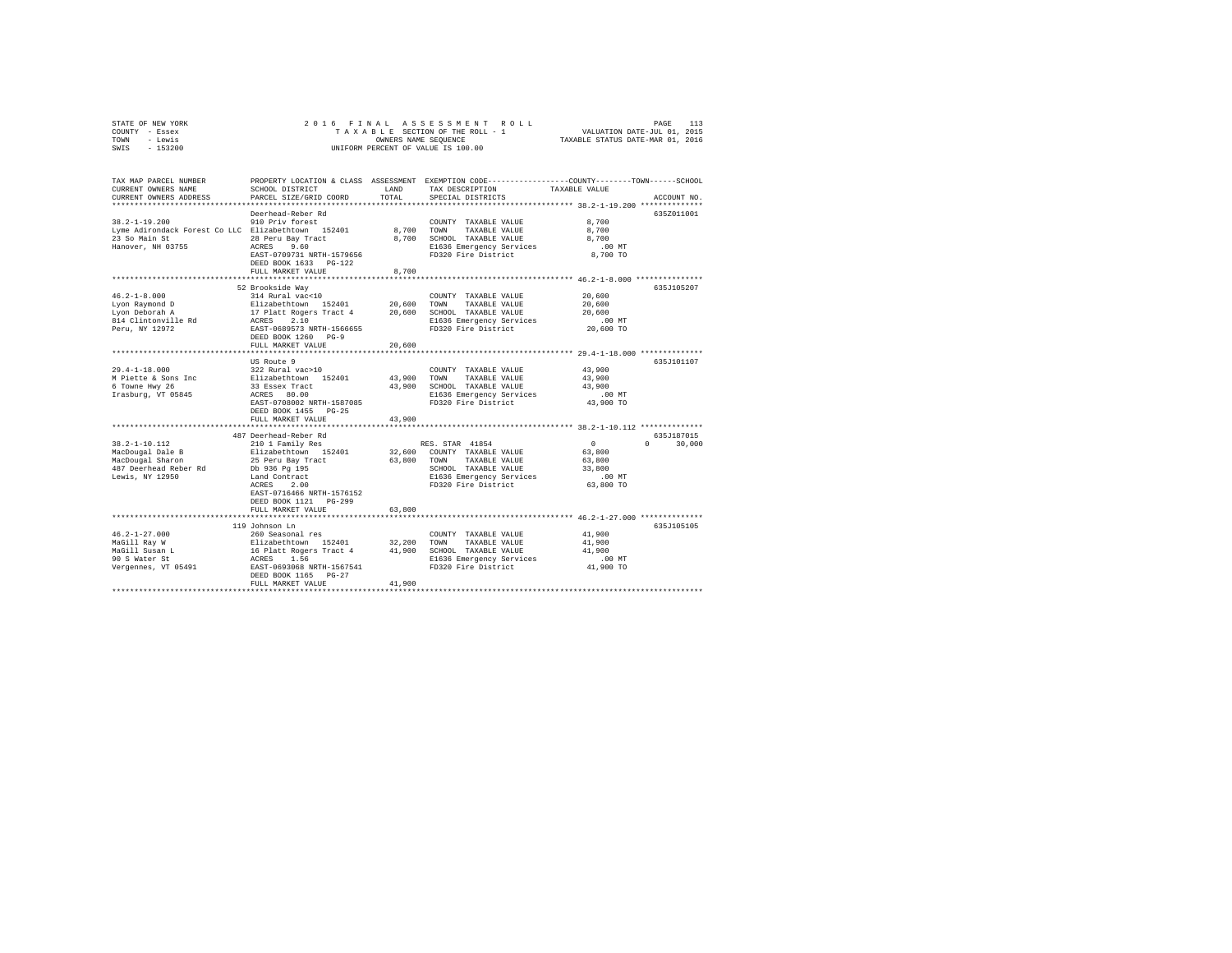|      | STATE OF NEW YORK |  | 2016 FINAL ASSESSMENT ROLL         |                                  | PAGE                        | 113 |
|------|-------------------|--|------------------------------------|----------------------------------|-----------------------------|-----|
|      | COUNTY - Essex    |  | TAXABLE SECTION OF THE ROLL - 1    |                                  | VALUATION DATE-JUL 01, 2015 |     |
| TOWN | - Lewis           |  | OWNERS NAME SEOUENCE               | TAXABLE STATUS DATE-MAR 01, 2016 |                             |     |
| SWIS | $-153200$         |  | UNIFORM PERCENT OF VALUE IS 100.00 |                                  |                             |     |

| TAX MAP PARCEL NUMBER<br>CURRENT OWNERS NAME<br>CURRENT OWNERS ADDRESS | SCHOOL DISTRICT<br>PARCEL SIZE/GRID COORD                                                             | LAND<br>TOTAL. | TAX DESCRIPTION<br>SPECIAL DISTRICTS            | PROPERTY LOCATION & CLASS ASSESSMENT EXEMPTION CODE---------------COUNTY-------TOWN-----SCHOOL<br>TAXABLE VALUE<br>ACCOUNT NO. |
|------------------------------------------------------------------------|-------------------------------------------------------------------------------------------------------|----------------|-------------------------------------------------|--------------------------------------------------------------------------------------------------------------------------------|
|                                                                        |                                                                                                       |                |                                                 |                                                                                                                                |
|                                                                        | Deerhead-Reber Rd                                                                                     |                |                                                 | 635Z011001                                                                                                                     |
| $38.2 - 1 - 19.200$                                                    | 910 Priv forest                                                                                       |                | COUNTY TAXABLE VALUE                            | 8,700                                                                                                                          |
| Lyme Adirondack Forest Co LLC Elizabethtown 152401                     |                                                                                                       | 8,700 TOWN     | TAXABLE VALUE                                   | 8,700                                                                                                                          |
| 23 So Main St                                                          | 28 Peru Bay Tract                                                                                     |                | 8,700 SCHOOL TAXABLE VALUE                      | 8,700                                                                                                                          |
| Hanover, NH 03755                                                      | ACRES 9.60                                                                                            |                | E1636 Emergency Services                        | $.00$ MT                                                                                                                       |
|                                                                        | EAST-0709731 NRTH-1579656                                                                             |                | FD320 Fire District                             | 8,700 TO                                                                                                                       |
|                                                                        | DEED BOOK 1633 PG-122                                                                                 |                |                                                 |                                                                                                                                |
|                                                                        | FULL MARKET VALUE                                                                                     | 8,700          |                                                 |                                                                                                                                |
|                                                                        | ********************************                                                                      |                |                                                 | ******************* 46.2-1-8.000 ****************                                                                              |
|                                                                        | 52 Brookside Way                                                                                      |                |                                                 | 635J105207                                                                                                                     |
| $46.2 - 1 - 8.000$                                                     | 314 Rural vac<10                                                                                      |                | COUNTY TAXABLE VALUE                            | 20,600                                                                                                                         |
| Lyon Raymond D<br>Lvon Deborah A                                       |                                                                                                       | 20,600         | TOWN<br>TAXABLE VALUE                           | 20,600                                                                                                                         |
| Lyon Deborah A                                                         |                                                                                                       | 20,600         | SCHOOL TAXABLE VALUE                            | 20,600                                                                                                                         |
| 814 Clintonville Rd                                                    | Elizabethtown 152401<br>17 Platt Rogers Tract 4<br>ACRES 2.10<br>EAST-0689573 NRTH-1566655            |                | E1636 Emergency Services                        | .00 MT                                                                                                                         |
| Peru, NY 12972                                                         |                                                                                                       |                | FD320 Fire District                             | 20,600 TO                                                                                                                      |
|                                                                        | DEED BOOK 1260 PG-9                                                                                   |                |                                                 |                                                                                                                                |
|                                                                        | FULL MARKET VALUE                                                                                     | 20,600         |                                                 |                                                                                                                                |
|                                                                        |                                                                                                       |                |                                                 |                                                                                                                                |
|                                                                        | US Route 9                                                                                            |                |                                                 | 635J101107                                                                                                                     |
| $29.4 - 1 - 18.000$                                                    | 322 Rural vac>10                                                                                      |                | COUNTY TAXABLE VALUE                            | 43,900                                                                                                                         |
| M Piette & Sons Inc                                                    | Elizabethtown 152401<br>33 Essex Tract                                                                | 43,900         | TOWN<br>TAXABLE VALUE                           | 43,900                                                                                                                         |
| 6 Towne Hwy 26                                                         |                                                                                                       |                | 43,900 SCHOOL TAXABLE VALUE                     | 43,900                                                                                                                         |
| Irasburg, VT 05845                                                     | ACRES 80.00                                                                                           |                | E1636 Emergency Services                        | $.00$ MT                                                                                                                       |
|                                                                        | EAST-0708002 NRTH-1587085                                                                             |                | FD320 Fire District                             | 43,900 TO                                                                                                                      |
|                                                                        | DEED BOOK 1455 PG-25                                                                                  |                |                                                 |                                                                                                                                |
|                                                                        | FULL MARKET VALUE                                                                                     | 43,900         |                                                 |                                                                                                                                |
|                                                                        |                                                                                                       |                |                                                 |                                                                                                                                |
|                                                                        | 487 Deerhead-Reber Rd                                                                                 |                |                                                 | 635J187015                                                                                                                     |
| $38.2 - 1 - 10.112$                                                    | 210 1 Family Res                                                                                      |                | RES. STAR 41854                                 | $\sim$ 0<br>$\cap$<br>30,000                                                                                                   |
| MacDougal Dale B                                                       | Elizabethtown 152401                                                                                  |                | 32,600 COUNTY TAXABLE VALUE                     | 63,800                                                                                                                         |
| MacDougal Sharon                                                       | 25 Peru Bay Tract                                                                                     | 63,800         | TAXABLE VALUE<br>TOWN                           | 63,800                                                                                                                         |
| 487 Deerhead Reber Rd                                                  | Db 936 Pg 195                                                                                         |                | SCHOOL TAXABLE VALUE                            | 33,800                                                                                                                         |
| Lewis, NY 12950                                                        | Land Contract                                                                                         |                | E1636 Emergency Services<br>FD320 Fire District | $.00$ MT                                                                                                                       |
|                                                                        | ACRES<br>2.00                                                                                         |                |                                                 | 63,800 TO                                                                                                                      |
|                                                                        | EAST-0716466 NRTH-1576152                                                                             |                |                                                 |                                                                                                                                |
|                                                                        | DEED BOOK 1121 PG-299                                                                                 |                |                                                 |                                                                                                                                |
|                                                                        | FULL MARKET VALUE                                                                                     | 63,800         |                                                 |                                                                                                                                |
|                                                                        |                                                                                                       |                |                                                 |                                                                                                                                |
|                                                                        | 119 Johnson Ln                                                                                        |                |                                                 | 635J105105                                                                                                                     |
| $46.2 - 1 - 27.000$                                                    | 260 Seasonal res                                                                                      |                | COUNTY TAXABLE VALUE                            | 41,900                                                                                                                         |
| MaGill Ray W                                                           | Elizabethtown 152401 32,200 TOWN TAXABLE VALUE<br>16 Platt Rogers Tract 4 41,900 SCHOOL TAXABLE VALUE |                |                                                 | 41,900                                                                                                                         |
| MaGill Susan L                                                         |                                                                                                       |                |                                                 | 41,900                                                                                                                         |
| 90 S Water St                                                          | ACRES<br>1.56                                                                                         |                | E1636 Emergency Services                        | $.00$ MT                                                                                                                       |
| Vergennes, VT 05491                                                    | EAST-0693068 NRTH-1567541                                                                             |                | FD320 Fire District                             | 41,900 TO                                                                                                                      |
|                                                                        | DEED BOOK 1165 PG-27                                                                                  |                |                                                 |                                                                                                                                |
|                                                                        | FULL MARKET VALUE                                                                                     | 41,900         |                                                 |                                                                                                                                |
|                                                                        |                                                                                                       |                |                                                 |                                                                                                                                |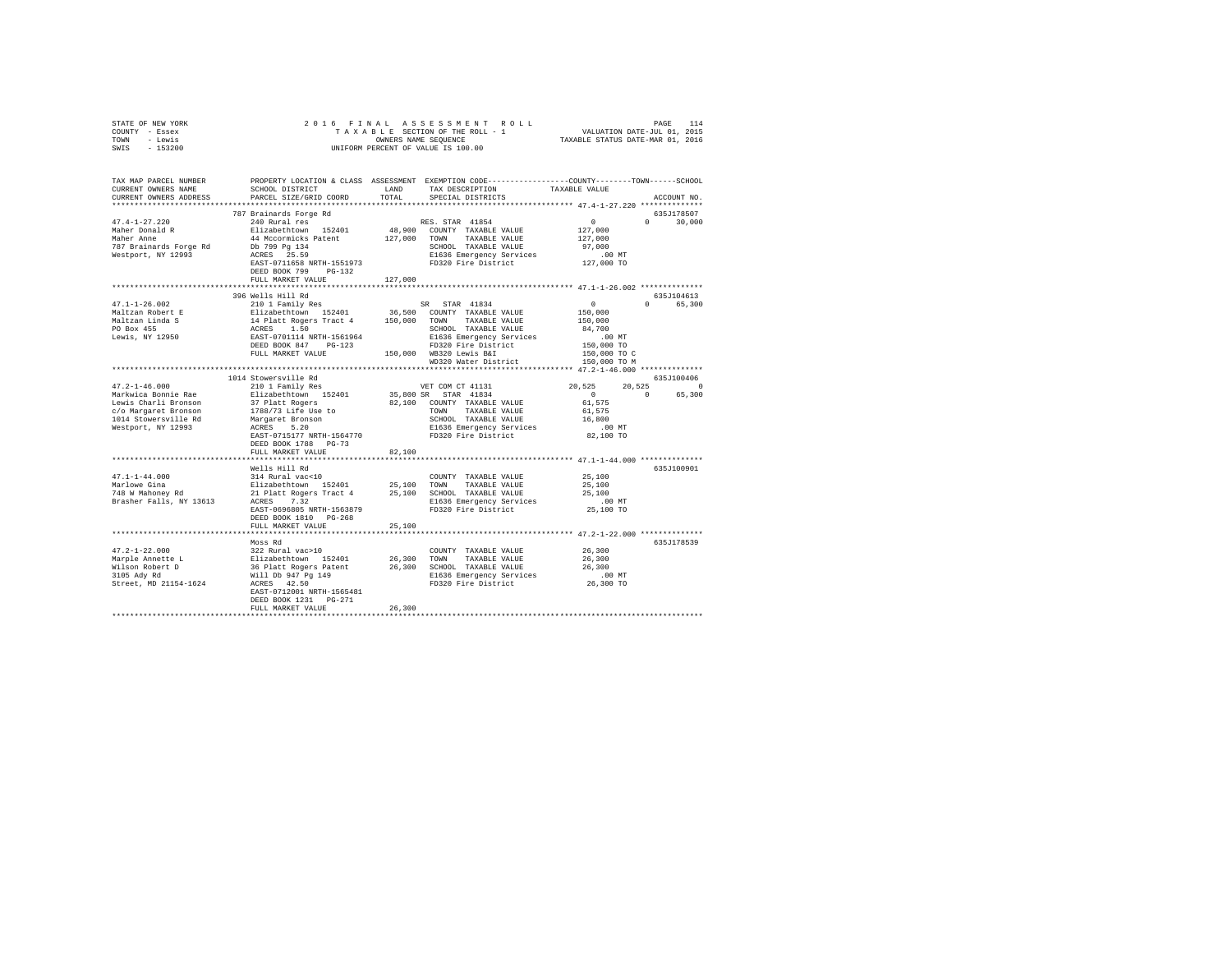| STATE OF NEW YORK                                                                                                                                                                                                                                                                                                                                                                                           |                           |         |                   |            |             |
|-------------------------------------------------------------------------------------------------------------------------------------------------------------------------------------------------------------------------------------------------------------------------------------------------------------------------------------------------------------------------------------------------------------|---------------------------|---------|-------------------|------------|-------------|
| COUNTY - Essex                                                                                                                                                                                                                                                                                                                                                                                              |                           |         |                   |            |             |
| TOWN - Lewis                                                                                                                                                                                                                                                                                                                                                                                                |                           |         |                   |            |             |
| SWIS - 153200                                                                                                                                                                                                                                                                                                                                                                                               |                           |         |                   |            |             |
|                                                                                                                                                                                                                                                                                                                                                                                                             |                           |         |                   |            |             |
|                                                                                                                                                                                                                                                                                                                                                                                                             |                           |         |                   |            |             |
|                                                                                                                                                                                                                                                                                                                                                                                                             |                           |         |                   |            |             |
| TAX MAP PARCEL NUMBER PROPERTY LOCATION & CLASS ASSESSMENT EXEMPTION CODE---------------COUNTY-------TOWN------SCHOOL<br>CURRENT OWNERS NAME SCHOOL DISTRICT LAND TAX DESCRIPTION TAXABLE VALUE                                                                                                                                                                                                             |                           |         |                   |            |             |
|                                                                                                                                                                                                                                                                                                                                                                                                             |                           |         |                   |            |             |
| CURRENT OWNERS ADDRESS PARCEL SIZE/GRID COORD                                                                                                                                                                                                                                                                                                                                                               |                           | TOTAL   | SPECIAL DISTRICTS |            | ACCOUNT NO. |
|                                                                                                                                                                                                                                                                                                                                                                                                             |                           |         |                   |            |             |
|                                                                                                                                                                                                                                                                                                                                                                                                             | 787 Brainards Forge Rd    |         |                   |            | 635J178507  |
|                                                                                                                                                                                                                                                                                                                                                                                                             |                           |         |                   |            |             |
|                                                                                                                                                                                                                                                                                                                                                                                                             |                           |         |                   |            |             |
|                                                                                                                                                                                                                                                                                                                                                                                                             |                           |         |                   |            |             |
|                                                                                                                                                                                                                                                                                                                                                                                                             |                           |         |                   |            |             |
|                                                                                                                                                                                                                                                                                                                                                                                                             |                           |         |                   |            |             |
|                                                                                                                                                                                                                                                                                                                                                                                                             |                           |         |                   |            |             |
|                                                                                                                                                                                                                                                                                                                                                                                                             |                           |         |                   |            |             |
|                                                                                                                                                                                                                                                                                                                                                                                                             | FULL MARKET VALUE         | 127,000 |                   |            |             |
|                                                                                                                                                                                                                                                                                                                                                                                                             |                           |         |                   |            |             |
|                                                                                                                                                                                                                                                                                                                                                                                                             | 396 Wells Hill Rd         |         |                   |            | 635J104613  |
|                                                                                                                                                                                                                                                                                                                                                                                                             |                           |         |                   |            | 0 65,300    |
|                                                                                                                                                                                                                                                                                                                                                                                                             |                           |         |                   |            |             |
|                                                                                                                                                                                                                                                                                                                                                                                                             |                           |         |                   |            |             |
|                                                                                                                                                                                                                                                                                                                                                                                                             |                           |         |                   |            |             |
|                                                                                                                                                                                                                                                                                                                                                                                                             |                           |         |                   |            |             |
|                                                                                                                                                                                                                                                                                                                                                                                                             |                           |         |                   |            |             |
|                                                                                                                                                                                                                                                                                                                                                                                                             |                           |         |                   |            |             |
|                                                                                                                                                                                                                                                                                                                                                                                                             |                           |         |                   |            |             |
| $\begin{tabular}{l c c c c c} \multicolumn{3}{c}{\textbf{47.1--1-26.002}} & \multicolumn{3}{c}{\textbf{39.69215}} & \multicolumn{3}{c}{\textbf{59.69215}} & \multicolumn{3}{c}{\textbf{59.69215}} & \multicolumn{3}{c}{\textbf{6.551}} & \multicolumn{3}{c}{\textbf{6.551}} & \multicolumn{3}{c}{\textbf{6.551}} & \multicolumn{3}{c}{\textbf{6.552}} & \multicolumn{3}{c}{\textbf{6.553}} & \multicolumn{$ |                           |         |                   |            |             |
|                                                                                                                                                                                                                                                                                                                                                                                                             |                           |         |                   |            |             |
|                                                                                                                                                                                                                                                                                                                                                                                                             | 1014 Stowersville Rd      |         |                   | 635J100406 |             |
|                                                                                                                                                                                                                                                                                                                                                                                                             |                           |         |                   |            |             |
|                                                                                                                                                                                                                                                                                                                                                                                                             |                           |         |                   |            |             |
|                                                                                                                                                                                                                                                                                                                                                                                                             |                           |         |                   |            |             |
|                                                                                                                                                                                                                                                                                                                                                                                                             |                           |         |                   |            |             |
|                                                                                                                                                                                                                                                                                                                                                                                                             |                           |         |                   |            |             |
|                                                                                                                                                                                                                                                                                                                                                                                                             |                           |         |                   |            |             |
|                                                                                                                                                                                                                                                                                                                                                                                                             |                           |         |                   |            |             |
|                                                                                                                                                                                                                                                                                                                                                                                                             | DEED BOOK 1788 PG-73      |         |                   |            |             |
|                                                                                                                                                                                                                                                                                                                                                                                                             | FULL MARKET VALUE         | 82,100  |                   |            |             |
|                                                                                                                                                                                                                                                                                                                                                                                                             |                           |         |                   |            |             |
|                                                                                                                                                                                                                                                                                                                                                                                                             |                           |         |                   |            | 635J100901  |
|                                                                                                                                                                                                                                                                                                                                                                                                             |                           |         |                   |            |             |
|                                                                                                                                                                                                                                                                                                                                                                                                             |                           |         |                   |            |             |
|                                                                                                                                                                                                                                                                                                                                                                                                             |                           |         |                   |            |             |
|                                                                                                                                                                                                                                                                                                                                                                                                             |                           |         |                   |            |             |
|                                                                                                                                                                                                                                                                                                                                                                                                             |                           |         |                   |            |             |
|                                                                                                                                                                                                                                                                                                                                                                                                             |                           |         |                   |            |             |
|                                                                                                                                                                                                                                                                                                                                                                                                             |                           |         |                   |            |             |
|                                                                                                                                                                                                                                                                                                                                                                                                             | FULL MARKET VALUE         | 25,100  |                   |            |             |
|                                                                                                                                                                                                                                                                                                                                                                                                             |                           |         |                   |            |             |
|                                                                                                                                                                                                                                                                                                                                                                                                             | Moss Rd                   |         |                   |            | 635J178539  |
|                                                                                                                                                                                                                                                                                                                                                                                                             |                           |         |                   |            |             |
|                                                                                                                                                                                                                                                                                                                                                                                                             |                           |         |                   |            |             |
|                                                                                                                                                                                                                                                                                                                                                                                                             |                           |         |                   |            |             |
|                                                                                                                                                                                                                                                                                                                                                                                                             |                           |         |                   |            |             |
|                                                                                                                                                                                                                                                                                                                                                                                                             |                           |         |                   |            |             |
|                                                                                                                                                                                                                                                                                                                                                                                                             | EAST-0712001 NRTH-1565481 |         |                   |            |             |
|                                                                                                                                                                                                                                                                                                                                                                                                             | DEED BOOK 1231 PG-271     |         |                   |            |             |
|                                                                                                                                                                                                                                                                                                                                                                                                             | FULL MARKET VALUE         | 26,300  |                   |            |             |
|                                                                                                                                                                                                                                                                                                                                                                                                             |                           |         |                   |            |             |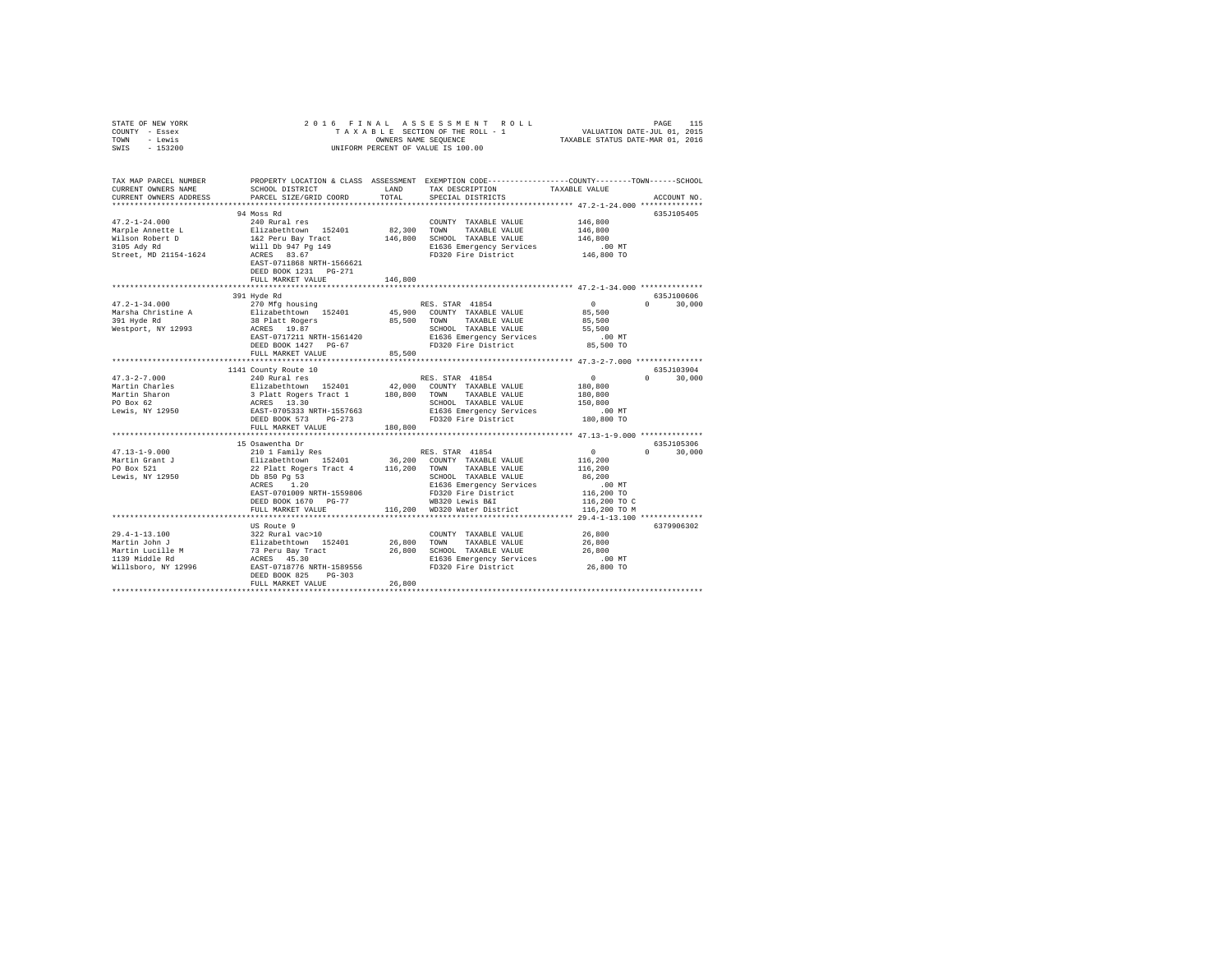| STATE OF NEW YORK<br>COUNTY - Essex<br>- Lewis<br>TOWN<br>$-153200$<br>SWIS | 2016 FINAL                                                                                                                                |               | UNIFORM PERCENT OF VALUE IS 100.00                                                              |                              |                      |
|-----------------------------------------------------------------------------|-------------------------------------------------------------------------------------------------------------------------------------------|---------------|-------------------------------------------------------------------------------------------------|------------------------------|----------------------|
| TAX MAP PARCEL NUMBER                                                       |                                                                                                                                           |               | PROPERTY LOCATION & CLASS ASSESSMENT EXEMPTION CODE---------------COUNTY-------TOWN------SCHOOL |                              |                      |
| CURRENT OWNERS NAME<br>CURRENT OWNERS ADDRESS                               | SCHOOL DISTRICT<br>PARCEL SIZE/GRID COORD                                                                                                 | LAND<br>TOTAL | TAX DESCRIPTION<br>SPECIAL DISTRICTS                                                            | TAXABLE VALUE                | ACCOUNT NO.          |
| *************************                                                   |                                                                                                                                           |               |                                                                                                 |                              |                      |
|                                                                             | 94 Moss Rd                                                                                                                                |               |                                                                                                 |                              | 635J105405           |
| $47.2 - 1 - 24.000$                                                         | 240 Rural res                                                                                                                             |               | COUNTY TAXABLE VALUE                                                                            | 146,800                      |                      |
| Marple Annette L                                                            | Elizabethtown 152401                                                                                                                      | 82,300        | TOWN<br>TAXABLE VALUE                                                                           | 146,800                      |                      |
| Wilson Robert D                                                             | 1&2 Peru Bay Tract                                                                                                                        | 146,800       | SCHOOL TAXABLE VALUE                                                                            | 146,800                      |                      |
| 3105 Ady Rd<br>Street, MD 21154-1624                                        | Will Db 947 Pg 149<br>ACRES 83.67                                                                                                         |               | E1636 Emergency Services<br>FD320 Fire District                                                 | $.00$ MT<br>146,800 TO       |                      |
|                                                                             | EAST-0711868 NRTH-1566621<br>DEED BOOK 1231 PG-271                                                                                        |               |                                                                                                 |                              |                      |
|                                                                             | FULL MARKET VALUE                                                                                                                         | 146,800       |                                                                                                 |                              |                      |
|                                                                             | 391 Hyde Rd                                                                                                                               |               |                                                                                                 |                              | 635J100606           |
| $47.2 - 1 - 34.000$                                                         | 270 Mfg housing                                                                                                                           |               | RES. STAR 41854                                                                                 | $\sim$ 0                     | $0 \t 30.000$        |
| Marsha Christine A                                                          | Elizabethtown 152401                                                                                                                      |               | 45,900 COUNTY TAXABLE VALUE                                                                     | 85,500                       |                      |
| 391 Hyde Rd                                                                 | 38 Platt Rogers                                                                                                                           | 85,500 TOWN   | TAXABLE VALUE                                                                                   | 85,500                       |                      |
| Westport, NY 12993                                                          | ACRES 19.87                                                                                                                               |               |                                                                                                 | 55,500                       |                      |
|                                                                             | EAST-0717211 NRTH-1561420<br>DEED BOOK 1427 PG-67                                                                                         |               |                                                                                                 | $.00$ MT<br>85,500 TO        |                      |
|                                                                             | FULL MARKET VALUE                                                                                                                         | 85,500        | SCHOOL IMANDER<br>E1636 Emergency Services<br>FD320 Fire District                               |                              |                      |
|                                                                             |                                                                                                                                           |               |                                                                                                 |                              |                      |
|                                                                             | 1141 County Route 10                                                                                                                      |               |                                                                                                 |                              | 635J103904           |
| $47.3 - 2 - 7.000$                                                          | 240 Rural res                                                                                                                             |               | RES. STAR 41854                                                                                 | $\sim$ 0                     | $0 \t 30.000$        |
| Martin Charles                                                              |                                                                                                                                           |               | 42,000 COUNTY TAXABLE VALUE<br>TAXABLE VALUE                                                    | 180,800<br>180,800           |                      |
| Martin Sharon<br>PO Box 62                                                  | Elizabethtown 152401 42,000 COUNT<br>3 Platt Rogers Tract 1 180,800 TOWN<br>ACRES 13.30 SECTOR SCHOOL<br>EXEST-0705333 NRTH-1557663 SI636 |               | SCHOOL TAXABLE VALUE                                                                            | 150,800                      |                      |
| Lewis, NY 12950                                                             |                                                                                                                                           |               | E1636 Emergency Services                                                                        | .00MT                        |                      |
|                                                                             | DEED BOOK 573 PG-273                                                                                                                      |               | FD320 Fire District                                                                             | 180,800 TO                   |                      |
|                                                                             | FULL MARKET VALUE                                                                                                                         | 180,800       |                                                                                                 |                              |                      |
|                                                                             | ***********************                                                                                                                   |               |                                                                                                 |                              |                      |
| $47.13 - 1 - 9.000$                                                         | 15 Osawentha Dr<br>210 1 Family Res                                                                                                       |               | RES. STAR 41854                                                                                 | $\sim$<br>$\Omega$           | 635J105306<br>30,000 |
| Martin Grant J                                                              |                                                                                                                                           |               | 36,200 COUNTY TAXABLE VALUE                                                                     | 116,200                      |                      |
| PO Box 521                                                                  | Elizabethtown 152401<br>22 Platt Rogers Tract 4                                                                                           | 116,200       | TAXABLE VALUE<br>TOWN                                                                           | 116,200                      |                      |
| Lewis, NY 12950                                                             | Db 850 Pg 53                                                                                                                              |               | SCHOOL TAXABLE VALUE                                                                            | 86,200                       |                      |
|                                                                             | ACRES 1.20                                                                                                                                |               | E1636 Emergency Services                                                                        | .00MT                        |                      |
|                                                                             | EAST-0701009 NRTH-1559806                                                                                                                 |               | FD320 Fire District                                                                             | 116,200 TO                   |                      |
|                                                                             | DEED BOOK 1670 PG-77<br>FULL MARKET VALUE                                                                                                 |               | WB320 Lewis B&I<br>116,200 WD320 Water District                                                 | 116,200 TO C<br>116,200 TO M |                      |
|                                                                             |                                                                                                                                           |               |                                                                                                 |                              |                      |
|                                                                             | US Route 9                                                                                                                                |               |                                                                                                 |                              | 6379906302           |
| 29.4-1-13.100                                                               | 322 Rural vac>10                                                                                                                          |               | COUNTY TAXABLE VALUE                                                                            | 26,800                       |                      |
| Martin John J                                                               |                                                                                                                                           | 26,800 TOWN   | TAXABLE VALUE                                                                                   | 26,800                       |                      |
| Martin Lucille M<br>1139 Middle Rd                                          |                                                                                                                                           |               | 26,800 SCHOOL TAXABLE VALUE                                                                     | 26,800                       |                      |
|                                                                             | 322 Rural vac>10<br>Elizabethtown 152401<br>73 Peru Bay Tract<br>ACRES 45.30<br>EAST-0718776 NRTH-1589556                                 |               | E1636 Emergency Services<br>FD320 Fire District                                                 | $.00$ MT<br>26,800 TO        |                      |
| Willsboro, NY 12996                                                         | DEED BOOK 825 PG-303                                                                                                                      |               |                                                                                                 |                              |                      |
|                                                                             | FULL MARKET VALUE                                                                                                                         | 26,800        |                                                                                                 |                              |                      |
|                                                                             |                                                                                                                                           |               |                                                                                                 |                              |                      |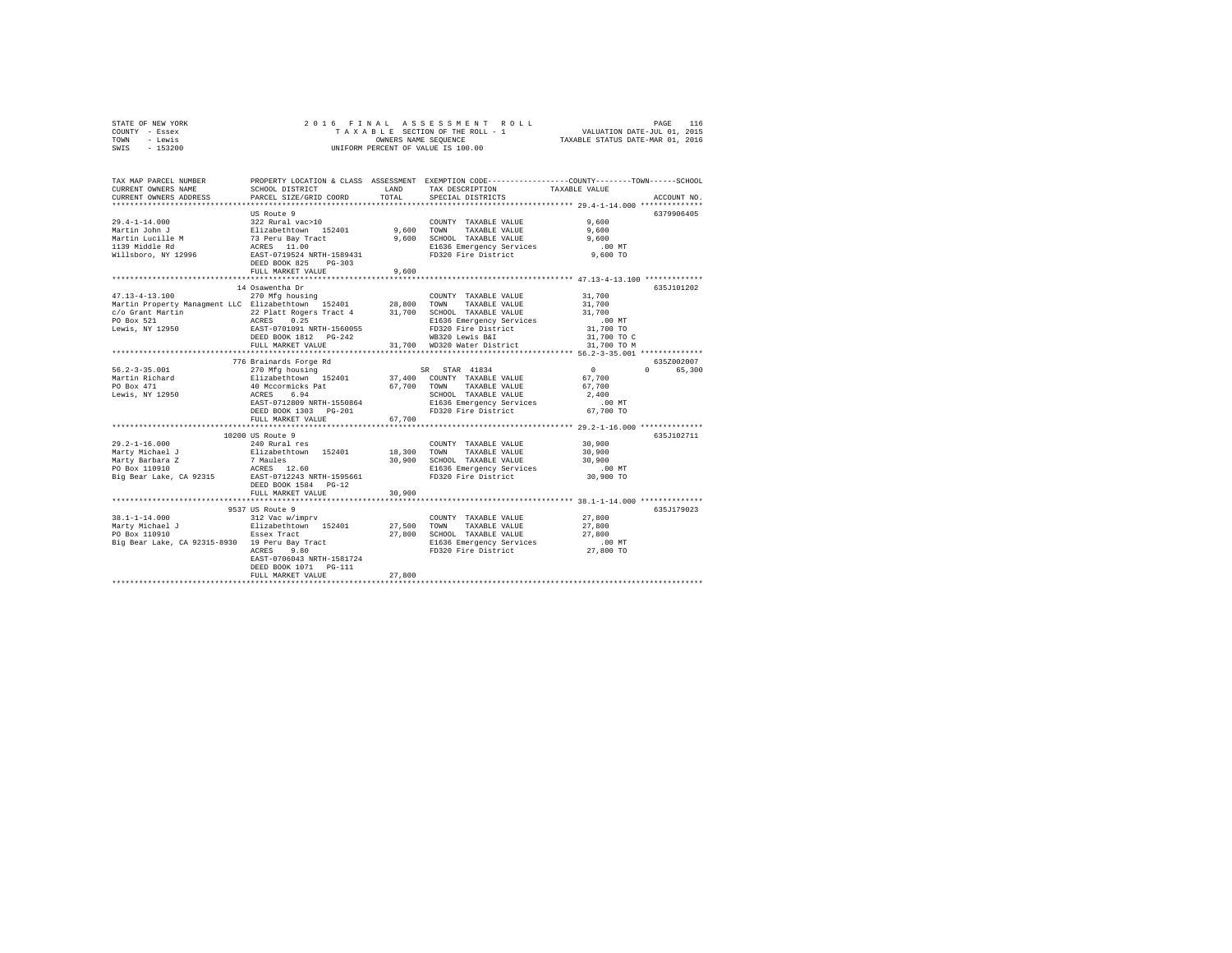| STATE OF NEW YORK | 2016 FINAL ASSESSMENT ROLL         | 116<br>PAGE                      |
|-------------------|------------------------------------|----------------------------------|
| COUNTY - Essex    | TAXABLE SECTION OF THE ROLL - 1    | VALUATION DATE-JUL 01, 2015      |
| TOWN<br>- Lewis   | OWNERS NAME SEOUENCE               | TAXABLE STATUS DATE-MAR 01, 2016 |
| $-153200$<br>SWIS | UNIFORM PERCENT OF VALUE IS 100.00 |                                  |

| TAX MAP PARCEL NUMBER<br>CURRENT OWNERS NAME<br>CURRENT OWNERS ADDRESS                                                                        | PROPERTY LOCATION & CLASS ASSESSMENT<br>SCHOOL DISTRICT<br>PARCEL SIZE/GRID COORD                                                                                                                             | LAND<br>TOTAL       | TAX DESCRIPTION<br>SPECIAL DISTRICTS                                                                                                                 | EXEMPTION CODE----------------COUNTY-------TOWN------SCHOOL<br>TAXABLE VALUE<br>ACCOUNT NO.    |        |
|-----------------------------------------------------------------------------------------------------------------------------------------------|---------------------------------------------------------------------------------------------------------------------------------------------------------------------------------------------------------------|---------------------|------------------------------------------------------------------------------------------------------------------------------------------------------|------------------------------------------------------------------------------------------------|--------|
| $29.4 - 1 - 14.000$<br>Martin John J<br>Martin Lucille M<br>1120 Middle Rd<br>Willsboro, NY 12996                                             | US Route 9<br>322 Rural vac>10<br>Elizabethtown 152401<br>73 Peru Bay Tract<br>ACRES 11.00<br>EAST-0719524 NRTH-1589431<br>DEED BOOK 825<br>$PG-303$<br>FULL MARKET VALUE                                     | 9,600 TOWN<br>9,600 | COUNTY TAXABLE VALUE<br>TAXABLE VALUE 9,600<br>9,600 SCHOOL TAXABLE VALUE<br>E1636 Emergency Services<br>FD320 Fire District                         | 6379906405<br>9.600<br>9,600<br>.00MT<br>9,600 TO                                              |        |
| $47.13 - 4 - 13.100$<br>COUNT 11-4-13.100 270 Mfg housing<br>Martin Property Managment LLC Elizabethtown 152401 28,800 TOWN                   | 14 Osawentha Dr<br>270 Mfg housing<br>DEED BOOK 1812    PG-242<br>FULL MARKET VALUE                                                                                                                           |                     | COUNTY TAXABLE VALUE<br>TAXABLE VALUE<br>FD320 Fire District<br>WB320 Lewis B&T<br>WB320 Lewis B&I<br>31,700 WD320 Water District                    | 635.7101202<br>31,700<br>31,700<br>31,700<br>.00 MT<br>31,700 TO<br>31,700 TO C<br>31,700 TO M |        |
| $56.2 - 3 - 35.001$<br>Martin Richard<br>PO Box 471<br>Lewis, NY 12950                                                                        | 776 Brainards Forge Rd<br>270 Mfg housing<br>Elizabethtown 152401<br>40 Necormicks Pat<br>ACRES 6.94<br>EAST-0712809 NRTH-1550864<br>DEED BOOK 1303 PG-201<br>FULL MARKET VALUE<br>************************** | 67,700              | SR STAR 41834<br>37,400 COUNTY TAXABLE VALUE<br>67.700 TOWN TAXABLE VALUE<br>SCHOOL TAXABLE VALUE<br>E1636 Emergency Services<br>FD320 Fire District | 635Z002007<br>$\sim$ 0<br>$\Omega$<br>67,700<br>67,700<br>2,400<br>.00MT<br>67,700 TO          | 65,300 |
| $29.2 - 1 - 16.000$<br>Marty Michael J<br>Marty Barbara Z<br>PO Box 110910<br>Big Bear Lake, CA 92315                                         | 10200 US Route 9<br>240 Rural res<br>Elizabethtown 152401 18,300 TOWN<br>7 Maules<br>ACRES 12.60<br>EAST-0712243 NRTH-1595661<br>DEED BOOK 1584 PG-12<br>FULL MARKET VALUE<br>***********************         | 30,900              | COUNTY TAXABLE VALUE<br>TAXABLE VALUE<br>30,900 SCHOOL TAXABLE VALUE<br>E1636 Emergency Services<br>FD320 Fire District                              | 635J102711<br>30,900<br>30,900<br>30,900<br>$.00$ MT<br>30,900 TO                              |        |
| $38.1 - 1 - 14.000$<br>Marty Michael J<br>PO Box 110910<br>PO Box 110910<br>Big Bear Lake, CA 92315-8930   19 Peru Bay Tract<br>Arope    9 80 | 9537 US Route 9<br>312 Vac w/imprv<br>Elizabethtown 152401<br>Essex Tract<br>EAST-0706043 NRTH-1581724<br>DEED BOOK 1071 PG-111<br>FULL MARKET VALUE                                                          | 27,800              | COUNTY TAXABLE VALUE<br>27,500 TOWN TAXABLE VALUE<br>27,800 SCHOOL TAXABLE VALUE 27,800<br>E1636 Emergency Services<br>FD320 Fire District 27,800 TO | *********** 38.1-1-14.000 ***********<br>635J179023<br>27,800<br>27,800<br>$.00$ MT            |        |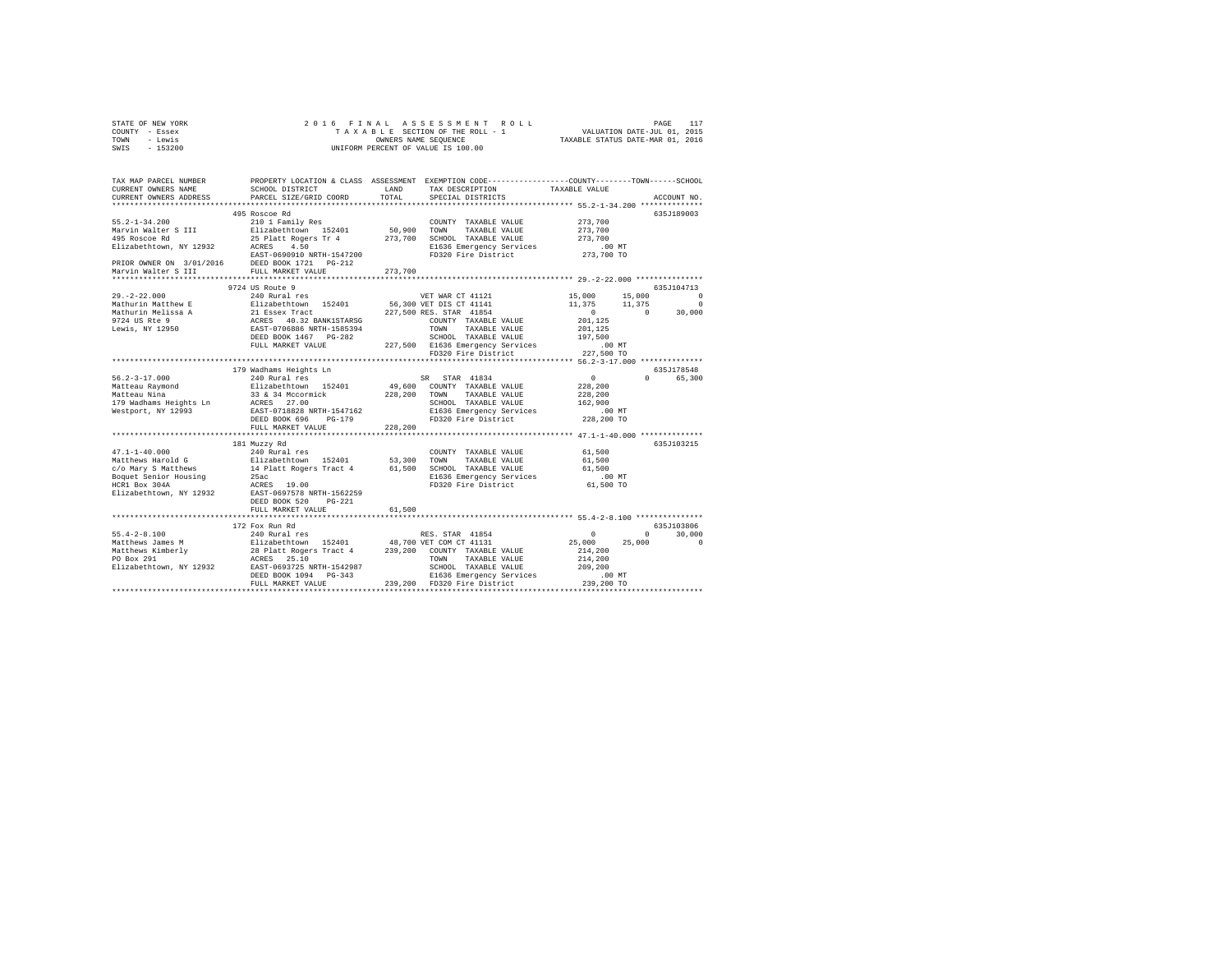| STATE OF NEW YORK |  |  | 2016 FINAL ASSESSMENT ROLL         |                                  | PAGE |  |
|-------------------|--|--|------------------------------------|----------------------------------|------|--|
| COUNTY - Essex    |  |  | TAXABLE SECTION OF THE ROLL - 1    | VALUATION DATE-JUL 01, 2015      |      |  |
| TOWN<br>siwe.T    |  |  | OWNERS NAME SEOUENCE               | TAXABLE STATUS DATE-MAR 01, 2016 |      |  |
| SWIS - 153200     |  |  | UNIFORM PERCENT OF VALUE IS 100.00 |                                  |      |  |

| TAX MAP PARCEL NUMBER<br>CURRENT OWNERS NAME | SCHOOL DISTRICT                                                                                                                                                                                                                              | LAND        | PROPERTY LOCATION & CLASS ASSESSMENT EXEMPTION CODE----------------COUNTY-------TOWN-----SCHOOL<br>TAX DESCRIPTION | TAXABLE VALUE               |                    |
|----------------------------------------------|----------------------------------------------------------------------------------------------------------------------------------------------------------------------------------------------------------------------------------------------|-------------|--------------------------------------------------------------------------------------------------------------------|-----------------------------|--------------------|
| CURRENT OWNERS ADDRESS                       | PARCEL SIZE/GRID COORD                                                                                                                                                                                                                       | TOTAL.      | SPECIAL DISTRICTS                                                                                                  |                             | ACCOUNT NO.        |
|                                              |                                                                                                                                                                                                                                              |             |                                                                                                                    |                             |                    |
|                                              | 495 Roscoe Rd                                                                                                                                                                                                                                |             |                                                                                                                    |                             | 635J189003         |
| $55.2 - 1 - 34.200$                          | 210 1 Family Res<br>Elizabethtown 152401                                                                                                                                                                                                     |             | COUNTY TAXABLE VALUE<br>50,900 TOWN TAXABLE VALUE                                                                  | 273,700<br>273,700          |                    |
| Marvin Walter S III<br>495 Roscoe Rd         | 25 Platt Rogers Tr 4                                                                                                                                                                                                                         |             | 273,700 SCHOOL TAXABLE VALUE                                                                                       | 273,700                     |                    |
|                                              |                                                                                                                                                                                                                                              |             | E1636 Emergency Services                                                                                           | $.00$ MT                    |                    |
|                                              |                                                                                                                                                                                                                                              |             | FD320 Fire District                                                                                                | 273,700 TO                  |                    |
|                                              |                                                                                                                                                                                                                                              |             |                                                                                                                    |                             |                    |
|                                              |                                                                                                                                                                                                                                              | 273,700     |                                                                                                                    |                             |                    |
|                                              | ***************************                                                                                                                                                                                                                  |             |                                                                                                                    |                             |                    |
|                                              | 9724 US Route 9                                                                                                                                                                                                                              |             |                                                                                                                    |                             | 635J104713         |
| $29. -2 - 22.000$                            | 240 Rural res                                                                                                                                                                                                                                |             | VET WAR CT 41121                                                                                                   | 15,000<br>15,000            | $^{\circ}$         |
|                                              |                                                                                                                                                                                                                                              |             |                                                                                                                    | 11,375 11,375               | $\circ$            |
|                                              |                                                                                                                                                                                                                                              |             |                                                                                                                    | $\sim$ 0 $\sim$<br>$\sim$ 0 | 30,000             |
|                                              | Nachurin Matthew English Christian (1924)<br>Mathurin Matthew English Christian (1922)<br>Mathurin Matthew English Christian (227,500 RES. STAR 41854<br>1974 US Res (2008)<br>The ACRES 40.32 BANK1STARSG COUNTY TAXABLE VALUE<br>Lewis, NY |             | COUNTY TAXABLE VALUE                                                                                               | 201.125                     |                    |
|                                              |                                                                                                                                                                                                                                              |             | TAXABLE VALUE                                                                                                      | 201,125                     |                    |
|                                              |                                                                                                                                                                                                                                              |             | SCHOOL TAXABLE VALUE                                                                                               | 197,500                     |                    |
|                                              | FULL MARKET VALUE                                                                                                                                                                                                                            |             | 227,500 E1636 Emergency Services                                                                                   | .00 MT                      |                    |
|                                              |                                                                                                                                                                                                                                              |             | FD320 Fire District                                                                                                | 227,500 TO                  |                    |
|                                              |                                                                                                                                                                                                                                              |             | ************************************** 56.2-3-17.000 **************                                                |                             |                    |
|                                              | 179 Wadhams Heights Ln                                                                                                                                                                                                                       |             |                                                                                                                    |                             | 635J178548         |
| $56.2 - 3 - 17.000$                          | 240 Rural res                                                                                                                                                                                                                                |             | SR STAR 41834                                                                                                      | $\sim$ 0                    | $\Omega$<br>65,300 |
|                                              |                                                                                                                                                                                                                                              |             |                                                                                                                    | 228,200                     |                    |
|                                              |                                                                                                                                                                                                                                              |             |                                                                                                                    | 228,200                     |                    |
|                                              |                                                                                                                                                                                                                                              |             |                                                                                                                    | 162,900                     |                    |
|                                              |                                                                                                                                                                                                                                              |             | E1636 Emergency Services                                                                                           | $.00$ MT                    |                    |
|                                              |                                                                                                                                                                                                                                              |             | FD320 Fire District                                                                                                | 228,200 TO                  |                    |
|                                              |                                                                                                                                                                                                                                              | 228,200     |                                                                                                                    |                             |                    |
|                                              | *****************************                                                                                                                                                                                                                |             |                                                                                                                    |                             |                    |
|                                              | 181 Muzzy Rd                                                                                                                                                                                                                                 |             |                                                                                                                    |                             | 635J103215         |
| 47.1-1-40.000<br>Matthews Harold G           | 240 Rural res<br>Elizabethtown 152401                                                                                                                                                                                                        |             | COUNTY TAXABLE VALUE                                                                                               | 61,500                      |                    |
|                                              |                                                                                                                                                                                                                                              | 53,300 TOWN | TAXABLE VALUE                                                                                                      | 61,500                      |                    |
| c/o Mary S Matthews                          | 14 Platt Rogers Tract 4 61,500 SCHOOL TAXABLE VALUE                                                                                                                                                                                          |             |                                                                                                                    | 61,500                      |                    |
| Boquet Senior Housing                        | 25ac                                                                                                                                                                                                                                         |             | E1636 Emergency Services .00 MT<br>FD320 Fire District  61,500 TO                                                  |                             |                    |
| HCR1 Box 304A                                | ACRES 19.00                                                                                                                                                                                                                                  |             |                                                                                                                    |                             |                    |
| Elizabethtown, NY 12932                      | EAST-0697578 NRTH-1562259                                                                                                                                                                                                                    |             |                                                                                                                    |                             |                    |
|                                              | DEED BOOK 520<br>$PG-221$                                                                                                                                                                                                                    |             |                                                                                                                    |                             |                    |
|                                              | FULL MARKET VALUE                                                                                                                                                                                                                            | 61,500      |                                                                                                                    |                             |                    |
|                                              |                                                                                                                                                                                                                                              |             |                                                                                                                    |                             |                    |
|                                              |                                                                                                                                                                                                                                              |             |                                                                                                                    |                             | 635J103806         |
|                                              |                                                                                                                                                                                                                                              |             |                                                                                                                    | $^{\circ}$                  | $\Omega$<br>30,000 |
|                                              |                                                                                                                                                                                                                                              |             |                                                                                                                    | 25,000 25,000               | $\circ$            |
|                                              |                                                                                                                                                                                                                                              |             |                                                                                                                    | 214,200                     |                    |
|                                              |                                                                                                                                                                                                                                              |             |                                                                                                                    | 214,200                     |                    |
|                                              |                                                                                                                                                                                                                                              |             |                                                                                                                    | 209,200                     |                    |
|                                              |                                                                                                                                                                                                                                              |             |                                                                                                                    |                             |                    |
|                                              |                                                                                                                                                                                                                                              |             |                                                                                                                    |                             |                    |
|                                              |                                                                                                                                                                                                                                              |             |                                                                                                                    |                             |                    |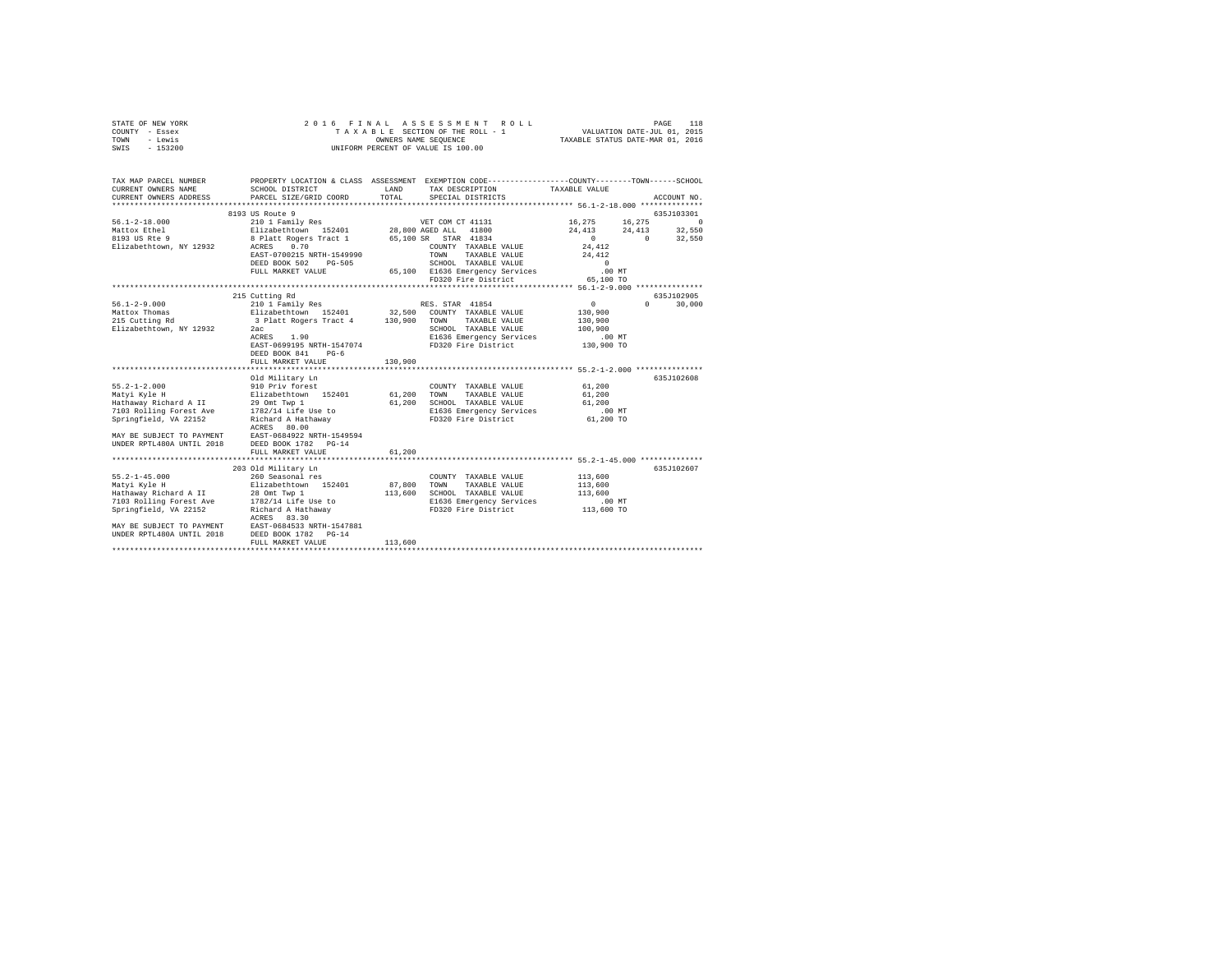|                | STATE OF NEW YORK |  |  | 2016 FINAL ASSESSMENT ROLL         |                                  | PAGE | 118 |
|----------------|-------------------|--|--|------------------------------------|----------------------------------|------|-----|
| COUNTY - Essex |                   |  |  | TAXABLE SECTION OF THE ROLL - 1    | VALUATION DATE-JUL 01, 2015      |      |     |
| TOWN           | - Lewis           |  |  | OWNERS NAME SEOUENCE               | TAXABLE STATUS DATE-MAR 01, 2016 |      |     |
| SWIS           | - 153200          |  |  | UNIFORM PERCENT OF VALUE IS 100.00 |                                  |      |     |
|                |                   |  |  |                                    |                                  |      |     |

| TAX MAP PARCEL NUMBER     |                                                                                                                                                                                                                                      |         | PROPERTY LOCATION & CLASS ASSESSMENT EXEMPTION CODE---------------COUNTY-------TOWN-----SCHOOL                                                   |                 |               |
|---------------------------|--------------------------------------------------------------------------------------------------------------------------------------------------------------------------------------------------------------------------------------|---------|--------------------------------------------------------------------------------------------------------------------------------------------------|-----------------|---------------|
| CURRENT OWNERS NAME       | SCHOOL DISTRICT                                                                                                                                                                                                                      | LAND    | TAX DESCRIPTION TAXABLE VALUE                                                                                                                    |                 |               |
| CURRENT OWNERS ADDRESS    | PARCEL SIZE/GRID COORD                                                                                                                                                                                                               | TOTAL   | SPECIAL DISTRICTS                                                                                                                                |                 | ACCOUNT NO.   |
|                           |                                                                                                                                                                                                                                      |         |                                                                                                                                                  |                 |               |
|                           |                                                                                                                                                                                                                                      |         |                                                                                                                                                  |                 |               |
|                           |                                                                                                                                                                                                                                      |         |                                                                                                                                                  |                 |               |
|                           |                                                                                                                                                                                                                                      |         |                                                                                                                                                  |                 |               |
|                           |                                                                                                                                                                                                                                      |         |                                                                                                                                                  |                 |               |
|                           | 1991 1201 1300<br>1991 1201 1201 1201 1202 1201 1202 1203 1204 1300<br>1991 1202 120301 1204 1204 1204 1205 1204 1206 1206 1207 1207 1300<br>1993 1303 1305 1202 1203 1204 1205 1206 1207 1208 1309 1309 1309 1309 1309 1309 1309 13 |         |                                                                                                                                                  |                 |               |
|                           | EAST-0700215 NRTH-1549990                                                                                                                                                                                                            |         | TOWN<br>TAXABLE VALUE 24, 412                                                                                                                    |                 |               |
|                           |                                                                                                                                                                                                                                      |         | ${\tt DEED\ BOOK\ 502}\ {\tt PG-505}\ {\tt SCHOOL\ 7AXABLE\ VALUE}\ 0\\ {\tt FUL\ MARKET\ VALUE}\ 65,100\ {\tt E1636\ Energy\ Services}\ 00\ MT$ |                 |               |
|                           |                                                                                                                                                                                                                                      |         |                                                                                                                                                  |                 |               |
|                           |                                                                                                                                                                                                                                      |         | FD320 Fire District 65,100 TO                                                                                                                    |                 |               |
|                           |                                                                                                                                                                                                                                      |         |                                                                                                                                                  |                 |               |
|                           | 215 Cutting Rd                                                                                                                                                                                                                       |         |                                                                                                                                                  |                 | 635J102905    |
| 56.1-2-9.000              |                                                                                                                                                                                                                                      |         |                                                                                                                                                  | $\sim$ 0 $\sim$ | $0 \t 30,000$ |
| Mattox Thomas             |                                                                                                                                                                                                                                      |         |                                                                                                                                                  | 130,900         |               |
|                           | 215 Cutting Rd 3 Platt Rogers Tract 4 130,900 TOWN TAXABLE VALUE                                                                                                                                                                     |         |                                                                                                                                                  | 130,900         |               |
| Elizabethtown, NY 12932   | 2ac                                                                                                                                                                                                                                  |         |                                                                                                                                                  | 100,900         |               |
|                           | 2ac<br>ACRES 1.90                                                                                                                                                                                                                    |         | SCHOOL TAXABLE VALUE<br>E1636 Emergency Services                                                                                                 | . 00 MT         |               |
|                           |                                                                                                                                                                                                                                      |         | EAST-0699195 NRTH-1547074 FD320 Fire District 130,900 TO                                                                                         |                 |               |
|                           | DEED BOOK 841 PG-6                                                                                                                                                                                                                   |         |                                                                                                                                                  |                 |               |
|                           | FULL MARKET VALUE                                                                                                                                                                                                                    | 130,900 |                                                                                                                                                  |                 |               |
|                           |                                                                                                                                                                                                                                      |         |                                                                                                                                                  |                 |               |
|                           | Old Military Ln                                                                                                                                                                                                                      |         |                                                                                                                                                  |                 | 635J102608    |
|                           |                                                                                                                                                                                                                                      |         | COUNTY TAXABLE VALUE                                                                                                                             | 61,200          |               |
|                           |                                                                                                                                                                                                                                      |         |                                                                                                                                                  | 61,200          |               |
|                           |                                                                                                                                                                                                                                      |         |                                                                                                                                                  | 61,200          |               |
|                           | 7103 Rolling Forest Ave 1782/14 Life Use to                                                                                                                                                                                          |         | E1636 Emergency Services .00 MT                                                                                                                  |                 |               |
| Springfield, VA 22152     | Richard A Hathaway                                                                                                                                                                                                                   |         | FD320 Fire District                                                                                                                              | 61,200 TO       |               |
|                           | ACRES 80.00                                                                                                                                                                                                                          |         |                                                                                                                                                  |                 |               |
| MAY BE SUBJECT TO PAYMENT |                                                                                                                                                                                                                                      |         |                                                                                                                                                  |                 |               |
| UNDER RPTL480A UNTIL 2018 | EAST-0684922 NRTH-1549594<br>DEED BOOK 1782 PG-14                                                                                                                                                                                    |         |                                                                                                                                                  |                 |               |
|                           | FULL MARKET VALUE                                                                                                                                                                                                                    | 61,200  |                                                                                                                                                  |                 |               |
|                           |                                                                                                                                                                                                                                      |         |                                                                                                                                                  |                 |               |
|                           | 203 Old Military Ln                                                                                                                                                                                                                  |         |                                                                                                                                                  |                 | 635J102607    |
|                           |                                                                                                                                                                                                                                      |         | COUNTY TAXABLE VALUE                                                                                                                             | 113,600         |               |
|                           |                                                                                                                                                                                                                                      |         | TOWN TAXABLE VALUE                                                                                                                               | 113,600         |               |
|                           |                                                                                                                                                                                                                                      |         | SCHOOL TAXABLE VALUE                                                                                                                             | 113,600         |               |
|                           |                                                                                                                                                                                                                                      |         |                                                                                                                                                  |                 |               |
|                           |                                                                                                                                                                                                                                      |         | E1636 Emergency Services .00 MT<br>FD320 Fire District  113,600 TO<br>FD320 Fire District                                                        |                 |               |
|                           | ACRES 83.30                                                                                                                                                                                                                          |         |                                                                                                                                                  |                 |               |
|                           |                                                                                                                                                                                                                                      |         |                                                                                                                                                  |                 |               |
|                           | MAY BE SUBJECT TO PAYMENT BAST-0684533 NRTH-1547881<br>UNDER RPTL480A UNTIL 2018 DEED BOOK 1782 PG-14                                                                                                                                |         |                                                                                                                                                  |                 |               |
|                           | FULL MARKET VALUE                                                                                                                                                                                                                    | 113,600 |                                                                                                                                                  |                 |               |
|                           |                                                                                                                                                                                                                                      |         |                                                                                                                                                  |                 |               |
|                           |                                                                                                                                                                                                                                      |         |                                                                                                                                                  |                 |               |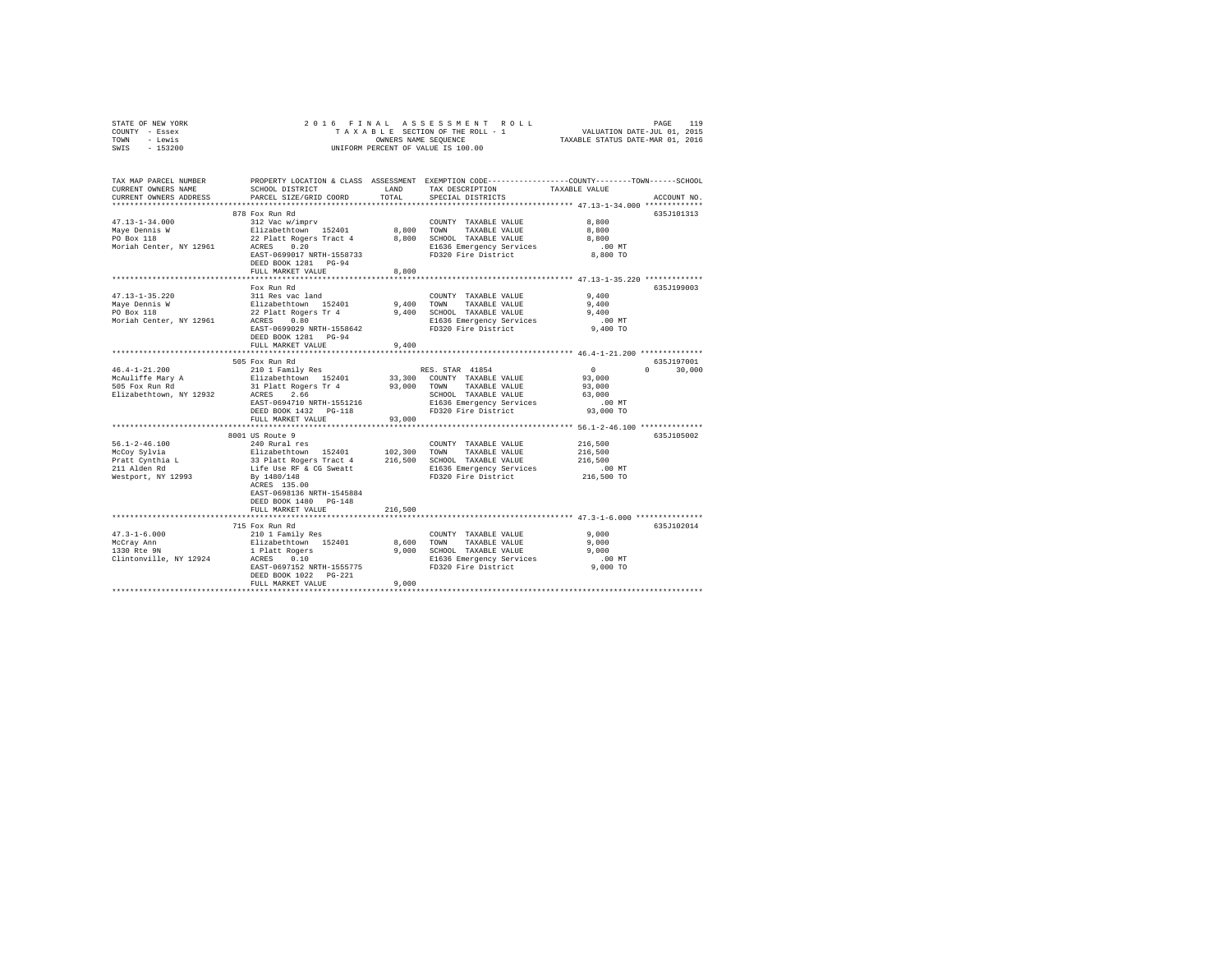| STATE OF NEW YORK | 2016 FINAL ASSESSMENT ROLL         | 119<br>PAGE                      |
|-------------------|------------------------------------|----------------------------------|
| COUNTY - Essex    | TAXABLE SECTION OF THE ROLL - 1    | VALUATION DATE-JUL 01, 2015      |
| TOWN<br>- Lewis   | OWNERS NAME SEOUENCE               | TAXABLE STATUS DATE-MAR 01, 2016 |
| $-153200$<br>SWIS | UNIFORM PERCENT OF VALUE IS 100.00 |                                  |

| TAX MAP PARCEL NUMBER<br>CURRENT OWNERS NAME<br>CURRENT OWNERS ADDRESS | SCHOOL DISTRICT<br>PARCEL SIZE/GRID COORD            | LAND<br>TOTAL. | TAX DESCRIPTION<br>SPECIAL DISTRICTS            | PROPERTY LOCATION & CLASS ASSESSMENT EXEMPTION CODE---------------COUNTY-------TOWN-----SCHOOL<br>TAXABLE VALUE<br>ACCOUNT NO. |  |
|------------------------------------------------------------------------|------------------------------------------------------|----------------|-------------------------------------------------|--------------------------------------------------------------------------------------------------------------------------------|--|
|                                                                        |                                                      |                |                                                 |                                                                                                                                |  |
|                                                                        | 878 Fox Run Rd                                       |                |                                                 | 635J101313                                                                                                                     |  |
| $47.13 - 1 - 34.000$                                                   | 312 Vac w/imprv                                      |                | COUNTY TAXABLE VALUE                            | 8,800                                                                                                                          |  |
| Maye Dennis W                                                          | Elizabethtown 152401                                 |                | 8,800 TOWN TAXABLE VALUE                        | 8,800                                                                                                                          |  |
| PO Box 118                                                             | 22 Platt Rogers Tract 4                              |                | 8,800 SCHOOL TAXABLE VALUE                      | 8,800                                                                                                                          |  |
| Moriah Center, NY 12961                                                | ACRES 0.20                                           |                | E1636 Emergency Services                        | $.00$ MT                                                                                                                       |  |
|                                                                        | EAST-0699017 NRTH-1558733                            |                | FD320 Fire District                             | 8,800 TO                                                                                                                       |  |
|                                                                        | DEED BOOK 1281 PG-94                                 |                |                                                 |                                                                                                                                |  |
|                                                                        | FULL MARKET VALUE                                    | 8,800          |                                                 |                                                                                                                                |  |
|                                                                        |                                                      |                |                                                 | ******************* 47.13-1-35.220 *************                                                                               |  |
|                                                                        | Fox Run Rd                                           |                |                                                 | 635J199003                                                                                                                     |  |
| $47.13 - 1 - 35.220$                                                   | 311 Res vac land                                     |                | COUNTY TAXABLE VALUE                            | 9,400                                                                                                                          |  |
| Maye Dennis W                                                          |                                                      | 9,400          | TOWN<br>TAXABLE VALUE                           | 9,400                                                                                                                          |  |
| PO Box 118                                                             | Elizabethtown 152401<br>22 Platt Rogers Tr 4         | 9.400          | SCHOOL TAXABLE VALUE                            | 9.400                                                                                                                          |  |
| Moriah Center, NY 12961                                                | ACRES 0.80                                           |                |                                                 | $.00$ MT                                                                                                                       |  |
|                                                                        | EAST-0699029 NRTH-1558642                            |                | E1636 Emergency Services<br>FD320 Fire District | 9,400 TO                                                                                                                       |  |
|                                                                        | DEED BOOK 1281 PG-94                                 |                |                                                 |                                                                                                                                |  |
|                                                                        | FULL MARKET VALUE                                    | 9.400          |                                                 |                                                                                                                                |  |
|                                                                        |                                                      |                |                                                 |                                                                                                                                |  |
|                                                                        | 505 Fox Run Rd                                       |                |                                                 | 635J197001                                                                                                                     |  |
| $46.4 - 1 - 21.200$                                                    | 210 1 Family Res                                     |                | RES. STAR 41854                                 | $\sim$ 0<br>$0 \t 30,000$                                                                                                      |  |
| McAuliffe Mary A                                                       | Elizabethtown 152401                                 |                | 33,300 COUNTY TAXABLE VALUE                     | 93,000                                                                                                                         |  |
| 505 Fox Run Rd                                                         | 31 Platt Rogers Tr 4                                 |                | 93,000 TOWN TAXABLE VALUE                       | 93,000                                                                                                                         |  |
| Elizabethtown, NY 12932                                                | ACRES 2.66                                           |                | SCHOOL TAXABLE VALUE                            | 63,000                                                                                                                         |  |
|                                                                        | EAST-0694710 NRTH-1551216                            |                | E1636 Emergency Services                        | .00 MT                                                                                                                         |  |
|                                                                        | DEED BOOK 1432   PG-118                              |                | FD320 Fire District                             | 93,000 TO                                                                                                                      |  |
|                                                                        |                                                      |                |                                                 |                                                                                                                                |  |
|                                                                        | FULL MARKET VALUE                                    | 93,000         |                                                 |                                                                                                                                |  |
|                                                                        |                                                      |                |                                                 |                                                                                                                                |  |
|                                                                        | 8001 US Route 9                                      |                |                                                 | 635J105002                                                                                                                     |  |
| $56.1 - 2 - 46.100$<br>McCoy Sylvia                                    | 240 Rural res                                        |                | COUNTY TAXABLE VALUE                            | 216,500                                                                                                                        |  |
|                                                                        |                                                      |                | TAXABLE VALUE                                   | 216,500                                                                                                                        |  |
| Pratt Cynthia L<br>211 Alden Rd                                        |                                                      |                | 216,500 SCHOOL TAXABLE VALUE                    | 216,500                                                                                                                        |  |
| 211 Alden Rd                                                           |                                                      |                | E1636 Emergency Services                        | $.00$ MT                                                                                                                       |  |
| Westport, NY 12993                                                     | By 1480/148                                          |                | FD320 Fire District                             | 216,500 TO                                                                                                                     |  |
|                                                                        | ACRES 135.00                                         |                |                                                 |                                                                                                                                |  |
|                                                                        | EAST-0698136 NRTH-1545884                            |                |                                                 |                                                                                                                                |  |
|                                                                        | DEED BOOK 1480 PG-148                                |                |                                                 |                                                                                                                                |  |
|                                                                        | FULL MARKET VALUE                                    | 216,500        |                                                 |                                                                                                                                |  |
|                                                                        |                                                      |                |                                                 |                                                                                                                                |  |
|                                                                        | 715 Fox Run Rd                                       |                |                                                 | 635J102014                                                                                                                     |  |
| $47.3 - 1 - 6.000$                                                     | 210 1 Family Res                                     |                | COUNTY TAXABLE VALUE                            | 9.000                                                                                                                          |  |
| McCray Ann                                                             | Elizabethtown 152401<br>1 Platt Rogers<br>ACRES 0.10 | 8,600 TOWN     | TAXABLE VALUE                                   | 9.000                                                                                                                          |  |
| 1330 Rte 9N                                                            |                                                      |                | 9,000 SCHOOL TAXABLE VALUE                      | 9.000                                                                                                                          |  |
| Clintonville, NY 12924                                                 | ACRES                                                |                | E1636 Emergency Services                        | $.00$ MT                                                                                                                       |  |
|                                                                        | EAST-0697152 NRTH-1555775                            |                | FD320 Fire District                             | $9.000$ TO                                                                                                                     |  |
|                                                                        | DEED BOOK 1022    PG-221                             |                |                                                 |                                                                                                                                |  |
|                                                                        | FULL MARKET VALUE                                    | 9.000          |                                                 |                                                                                                                                |  |
|                                                                        |                                                      |                |                                                 |                                                                                                                                |  |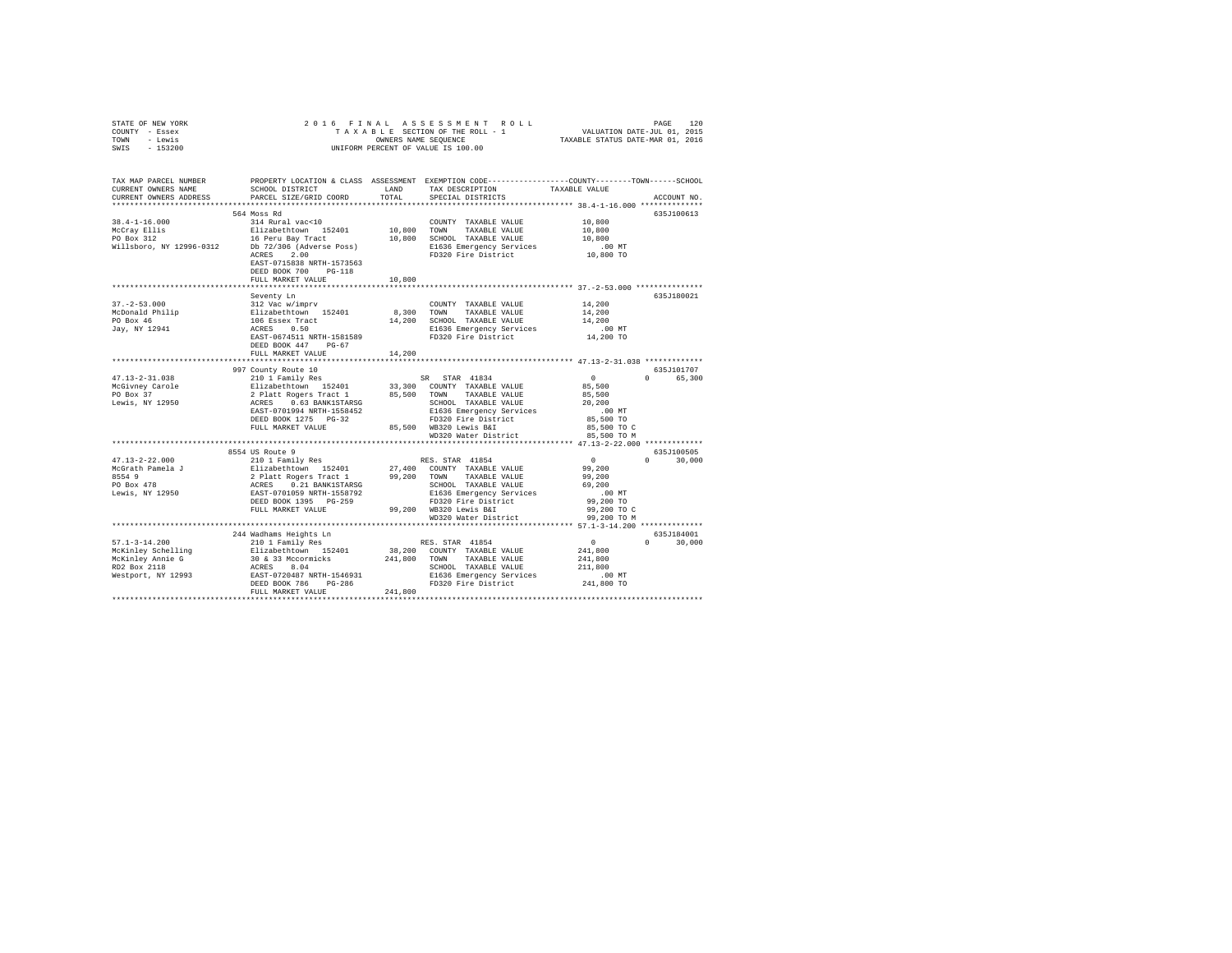|      | STATE OF NEW YORK |  |  | 2016 FINAL ASSESSMENT ROLL         |                                  | PAGE                        | 120 |
|------|-------------------|--|--|------------------------------------|----------------------------------|-----------------------------|-----|
|      | COUNTY - Essex    |  |  | TAXABLE SECTION OF THE ROLL - 1    |                                  | VALUATION DATE-JUL 01, 2015 |     |
| TOWN | - Lewis           |  |  | OWNERS NAME SEOUENCE               | TAXABLE STATUS DATE-MAR 01, 2016 |                             |     |
| SWIS | - 153200          |  |  | UNIFORM PERCENT OF VALUE IS 100.00 |                                  |                             |     |

| TAX MAP PARCEL NUMBER<br>CURRENT OWNERS NAME<br>CURRENT OWNERS ADDRESS                                                            | SCHOOL DISTRICT<br>PARCEL SIZE/GRID COORD                                                                                                                                              | LAND<br>TOTAL | PROPERTY LOCATION & CLASS ASSESSMENT EXEMPTION CODE---------------COUNTY-------TOWN-----SCHOOL<br>TAX DESCRIPTION<br>TAXABLE VALUE<br>SPECIAL DISTRICTS                                                                                                            |                        | ACCOUNT NO.        |
|-----------------------------------------------------------------------------------------------------------------------------------|----------------------------------------------------------------------------------------------------------------------------------------------------------------------------------------|---------------|--------------------------------------------------------------------------------------------------------------------------------------------------------------------------------------------------------------------------------------------------------------------|------------------------|--------------------|
|                                                                                                                                   |                                                                                                                                                                                        |               |                                                                                                                                                                                                                                                                    |                        |                    |
|                                                                                                                                   | 564 Moss Rd                                                                                                                                                                            |               |                                                                                                                                                                                                                                                                    |                        | 635J100613         |
|                                                                                                                                   |                                                                                                                                                                                        |               | COUNTY TAXABLE VALUE 10,800                                                                                                                                                                                                                                        |                        |                    |
|                                                                                                                                   |                                                                                                                                                                                        | 10,800 TOWN   | TAXABLE VALUE                                                                                                                                                                                                                                                      | 10,800                 |                    |
|                                                                                                                                   |                                                                                                                                                                                        |               | 10,800 SCHOOL TAXABLE VALUE                                                                                                                                                                                                                                        | 10,800                 |                    |
|                                                                                                                                   |                                                                                                                                                                                        |               | E1636 Emergency Services                                                                                                                                                                                                                                           | .00 MT                 |                    |
|                                                                                                                                   | ACRES<br>2.00                                                                                                                                                                          |               | FD320 Fire District 10,800 TO                                                                                                                                                                                                                                      |                        |                    |
|                                                                                                                                   | EAST-0715838 NRTH-1573563                                                                                                                                                              |               |                                                                                                                                                                                                                                                                    |                        |                    |
|                                                                                                                                   | DEED BOOK 700<br>$PG-118$                                                                                                                                                              |               |                                                                                                                                                                                                                                                                    |                        |                    |
|                                                                                                                                   | FULL MARKET VALUE                                                                                                                                                                      | 10,800        |                                                                                                                                                                                                                                                                    |                        |                    |
|                                                                                                                                   |                                                                                                                                                                                        |               |                                                                                                                                                                                                                                                                    |                        |                    |
|                                                                                                                                   | Seventy Ln                                                                                                                                                                             |               |                                                                                                                                                                                                                                                                    |                        | 635J180021         |
| $37. - 2 - 53.000$                                                                                                                | 312 Vac w/imprv                                                                                                                                                                        |               | COUNTY TAXABLE VALUE                                                                                                                                                                                                                                               | 14,200                 |                    |
|                                                                                                                                   |                                                                                                                                                                                        |               | 8,300 TOWN TAXABLE VALUE                                                                                                                                                                                                                                           | 14,200                 |                    |
|                                                                                                                                   |                                                                                                                                                                                        |               | 14,200 SCHOOL TAXABLE VALUE                                                                                                                                                                                                                                        | 14,200                 |                    |
|                                                                                                                                   |                                                                                                                                                                                        |               | E1636 Emergency Services                                                                                                                                                                                                                                           | $.00$ MT               |                    |
| McDonald Philip Blizabethtown 152401 8,<br>PO Box 46 106 ESsex Tract 14,<br>Jay, NY 12941 ACRES 0.50<br>EAST-0674511 NRTH-1581589 |                                                                                                                                                                                        |               | FD320 Fire District                                                                                                                                                                                                                                                | 14,200 TO              |                    |
|                                                                                                                                   | DEED BOOK 447 PG-67                                                                                                                                                                    |               |                                                                                                                                                                                                                                                                    |                        |                    |
|                                                                                                                                   | FULL MARKET VALUE                                                                                                                                                                      | 14,200        |                                                                                                                                                                                                                                                                    |                        |                    |
|                                                                                                                                   |                                                                                                                                                                                        |               |                                                                                                                                                                                                                                                                    |                        |                    |
|                                                                                                                                   | 997 County Route 10                                                                                                                                                                    |               |                                                                                                                                                                                                                                                                    |                        | 635J101707         |
| $47.13 - 2 - 31.038$                                                                                                              |                                                                                                                                                                                        |               |                                                                                                                                                                                                                                                                    | $\mathbf{0}$           | 0 65,300           |
| McGivney Carole                                                                                                                   |                                                                                                                                                                                        |               |                                                                                                                                                                                                                                                                    | 85,500                 |                    |
| PO Box 37                                                                                                                         |                                                                                                                                                                                        |               |                                                                                                                                                                                                                                                                    | 85,500                 |                    |
| Lewis, NY 12950                                                                                                                   | 210 1 Family Res SR STAR 41834<br>Elizabethrown 152401 33,000 CONNTY TAXABLE VALUE<br>2 Platt Rogers Tract 1 85,500 CONNT TAXABLE VALUE<br>ACRES 0.63 BANKISTARSG SCHOOL TAXABLE VALUE |               |                                                                                                                                                                                                                                                                    | 20,200                 |                    |
|                                                                                                                                   | EAST-0701994 NRTH-1558452                                                                                                                                                              |               | E1636 Emergency Services                                                                                                                                                                                                                                           | .00MT                  |                    |
|                                                                                                                                   | DEED BOOK 1275 PG-32                                                                                                                                                                   |               |                                                                                                                                                                                                                                                                    | 85,500 TO              |                    |
|                                                                                                                                   | FULL MARKET VALUE                                                                                                                                                                      |               | FD320 Fire District<br>85,500 WB320 Lewis B&I<br>WD320 Water District                                                                                                                                                                                              | 85,500 TO C            |                    |
|                                                                                                                                   |                                                                                                                                                                                        |               | WD320 Water District                                                                                                                                                                                                                                               | 85,500 TO M            |                    |
|                                                                                                                                   |                                                                                                                                                                                        |               |                                                                                                                                                                                                                                                                    |                        |                    |
|                                                                                                                                   | 8554 US Route 9                                                                                                                                                                        |               |                                                                                                                                                                                                                                                                    |                        | 635J100505         |
| 47.13-2-22.000                                                                                                                    | 210 1 Family Res                                                                                                                                                                       |               | RES. STAR 41854                                                                                                                                                                                                                                                    | $\mathbf{0}$           | $\cap$<br>30,000   |
| McGrath Pamela J                                                                                                                  |                                                                                                                                                                                        |               |                                                                                                                                                                                                                                                                    | 99,200                 |                    |
| 8554 9                                                                                                                            |                                                                                                                                                                                        |               |                                                                                                                                                                                                                                                                    | 99,200                 |                    |
| PO Box 478                                                                                                                        |                                                                                                                                                                                        |               | 211abeth.com 152401 27,400 COUNTY TAXABLE VALUE<br>2 Platt Rogers Tract 1 99,200 TOWN TAXABLE VALUE<br>ACRES 0.21 BANK1STARSG SCHOOL TAXABLE VALUE<br>EAST-0701059 NRTH-1558792 BL636 Emergency Services<br>DEED BOOK 1395 PG-259 PD320 Fi<br>SCHOOL TAXABLE VALUE | 69,200                 |                    |
| Lewis, NY 12950                                                                                                                   |                                                                                                                                                                                        |               | E1636 Emergency Services                                                                                                                                                                                                                                           | $.00$ MT               |                    |
|                                                                                                                                   |                                                                                                                                                                                        |               | FD320 Fire District                                                                                                                                                                                                                                                | 99,200 TO              |                    |
|                                                                                                                                   | FULL MARKET VALUE                                                                                                                                                                      |               | 99.200 WB320 Lewis B&I                                                                                                                                                                                                                                             | 99,200 TO C            |                    |
|                                                                                                                                   |                                                                                                                                                                                        |               | WD320 Water District                                                                                                                                                                                                                                               | 99,200 TO M            |                    |
|                                                                                                                                   |                                                                                                                                                                                        |               |                                                                                                                                                                                                                                                                    |                        |                    |
|                                                                                                                                   | 244 Wadhams Heights Ln                                                                                                                                                                 |               |                                                                                                                                                                                                                                                                    |                        | 635J184001         |
| $57.1 - 3 - 14.200$                                                                                                               | 210 1 Family Res                                                                                                                                                                       |               | RES. STAR 41854                                                                                                                                                                                                                                                    | $\sim$ 0               | 30,000<br>$\Omega$ |
|                                                                                                                                   |                                                                                                                                                                                        |               | 38,200 COUNTY TAXABLE VALUE                                                                                                                                                                                                                                        | 241,800                |                    |
|                                                                                                                                   |                                                                                                                                                                                        |               | TAXABLE VALUE                                                                                                                                                                                                                                                      | 241,800                |                    |
|                                                                                                                                   |                                                                                                                                                                                        |               | SCHOOL TAXABLE VALUE                                                                                                                                                                                                                                               | 211,800                |                    |
|                                                                                                                                   |                                                                                                                                                                                        |               | E1636 Emergency Services<br>FD320 Fire District                                                                                                                                                                                                                    | $.00$ MT<br>241,800 TO |                    |
|                                                                                                                                   | FULL MARKET VALUE                                                                                                                                                                      | 241,800       |                                                                                                                                                                                                                                                                    |                        |                    |
|                                                                                                                                   |                                                                                                                                                                                        |               |                                                                                                                                                                                                                                                                    |                        |                    |
|                                                                                                                                   |                                                                                                                                                                                        |               |                                                                                                                                                                                                                                                                    |                        |                    |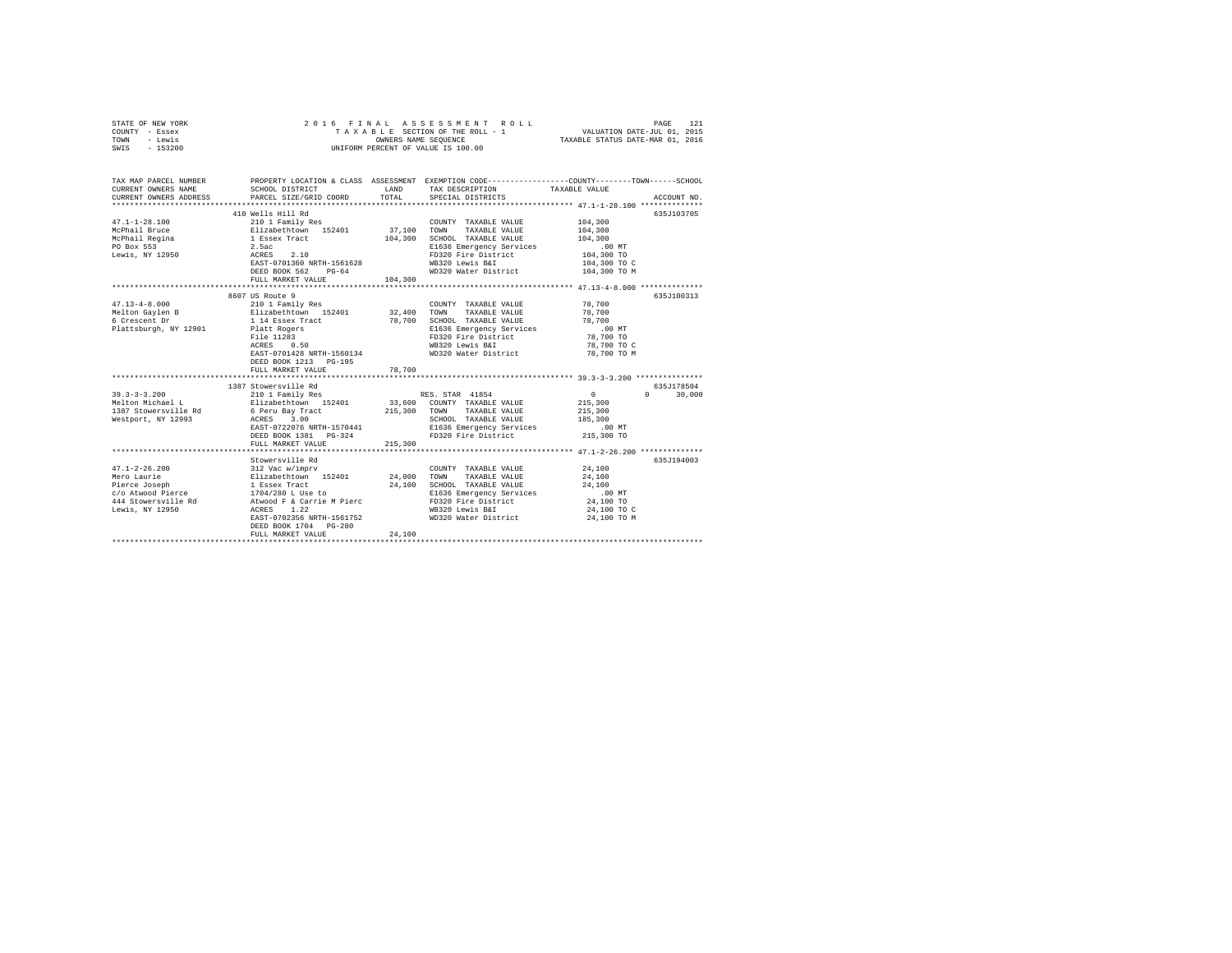| STATE OF NEW YORK<br>COUNTY - Essex<br>TOWN<br>- Lewis<br>SWIS - 153200                                            | 2016 FINAL                                                                                                                                                                                                                                               |                            | ASSESSMENT ROLL<br>TAXABLE SECTION OF THE ROLL - 1<br>OWNERS NAME SEOUENCE<br>UNIFORM PERCENT OF VALUE IS 100.00                                                            | PAGE<br>121<br>VALUATION DATE-JUL 01, 2015<br>TAXABLE STATUS DATE-MAR 01, 2016                                                                                       |
|--------------------------------------------------------------------------------------------------------------------|----------------------------------------------------------------------------------------------------------------------------------------------------------------------------------------------------------------------------------------------------------|----------------------------|-----------------------------------------------------------------------------------------------------------------------------------------------------------------------------|----------------------------------------------------------------------------------------------------------------------------------------------------------------------|
| TAX MAP PARCEL NUMBER<br>CURRENT OWNERS NAME<br>CURRENT OWNERS ADDRESS                                             | SCHOOL DISTRICT<br>PARCEL SIZE/GRID COORD                                                                                                                                                                                                                | LAND<br>TOTAL              | TAX DESCRIPTION<br>SPECIAL DISTRICTS                                                                                                                                        | PROPERTY LOCATION & CLASS ASSESSMENT EXEMPTION CODE----------------COUNTY-------TOWN-----SCHOOL<br>TAXABLE VALUE<br>ACCOUNT NO.                                      |
| $47.1 - 1 - 28.100$<br>McPhail Bruce<br>McPhail Regina<br>PO Box 553<br>Lewis, NY 12950                            | 410 Wells Hill Rd<br>210 1 Family Res<br>Elizabethtown 152401<br>1 Essex Tract<br>2.5ac<br>ACRES 2.10<br>EAST-0701360 NRTH-1561628<br>DEED BOOK 562 PG-64<br>FULL MARKET VALUE                                                                           | 37,100<br>104,300          | COUNTY TAXABLE VALUE<br>TOWN<br>TAXABLE VALUE<br>104,300 SCHOOL TAXABLE VALUE<br>E1636 Emergency Services<br>FD320 Fire District<br>WB320 Lewis B&I<br>WD320 Water District | 635J103705<br>104,300<br>104,300<br>104,300<br>.00 MT<br>104,300 TO<br>104,300 TO C<br>104,300 TO M                                                                  |
| $47.13 - 4 - 8.000$<br>Melton Gaylen B<br>6 Crescent Dr<br>Plattsburgh, NY 12901                                   | 8607 US Route 9<br>210 1 Family Res<br>Elizabethtown 152401<br>1 14 Essex Tract<br>Platt Rogers<br>File 11283<br>ACRES 0.50<br>EAST-0701428 NRTH-1560134<br>DEED BOOK 1213 PG-195<br>FULL MARKET VALUE                                                   | 32,400<br>78,700           | COUNTY TAXABLE VALUE<br>TOWN TAXABLE VALUE<br>78,700 SCHOOL TAXABLE VALUE<br>E1636 Emergency Services<br>FD320 Fire District<br>WB320 Lewis B&I<br>WD320 Water District     | 635J100313<br>78,700<br>78,700<br>78,700<br>$.00$ MT<br>78,700 TO<br>78,700 TO C<br>78,700 TO M                                                                      |
| $39.3 - 3 - 3.200$<br>Melton Michael L<br>1387 Stowersville Rd<br>Westport, NY 12993                               | 1387 Stowersville Rd<br>210 1 Family Res<br>Elizabethtown 152401<br>6 Peru Bay Tract<br>ACRES 3.00<br>EAST-0722076 NRTH-1570441<br>DEED BOOK 1381    PG-324<br>FULL MARKET VALUE                                                                         | *********<br>215,300       | RES. STAR 41854<br>33,600 COUNTY TAXABLE VALUE<br>215,300 TOWN TAXABLE VALUE<br>SCHOOL TAXABLE VALUE<br>E1636 Emergency Services<br>FD320 Fire District                     | ************ 39.3-3-3.200 ***************<br>635J178504<br>$\sim$ 0<br>$\Omega$<br>30,000<br>215,300<br>215,300<br>185,300<br>$.00$ MT<br>215,300 TO                 |
| $47.1 - 2 - 26.200$<br>Mero Laurie<br>Pierce Joseph<br>c/o Atwood Pierce<br>444 Stowersville Rd<br>Lewis, NY 12950 | ***************************<br>Stowersville Rd<br>312 Vac w/imprv<br>Elizabethtown 152401<br>1 Essex Tract<br>1704/280 L Use to<br>Atwood F & Carrie M Pierc<br>1.22<br>ACRES<br>EAST-0702356 NRTH-1561752<br>DEED BOOK 1704 PG-280<br>FULL MARKET VALUE | 24,000<br>24,100<br>24,100 | COUNTY TAXABLE VALUE<br>TOWN<br>TAXABLE VALUE<br>SCHOOL TAXABLE VALUE<br>E1636 Emergency Services<br>FD320 Fire District<br>WB320 Lewis B&I<br>WD320 Water District         | *********************************** 47.1-2-26.200 ***************<br>635J194003<br>24,100<br>24,100<br>24,100<br>$.00$ MT<br>24,100 TO<br>24,100 TO C<br>24,100 TO M |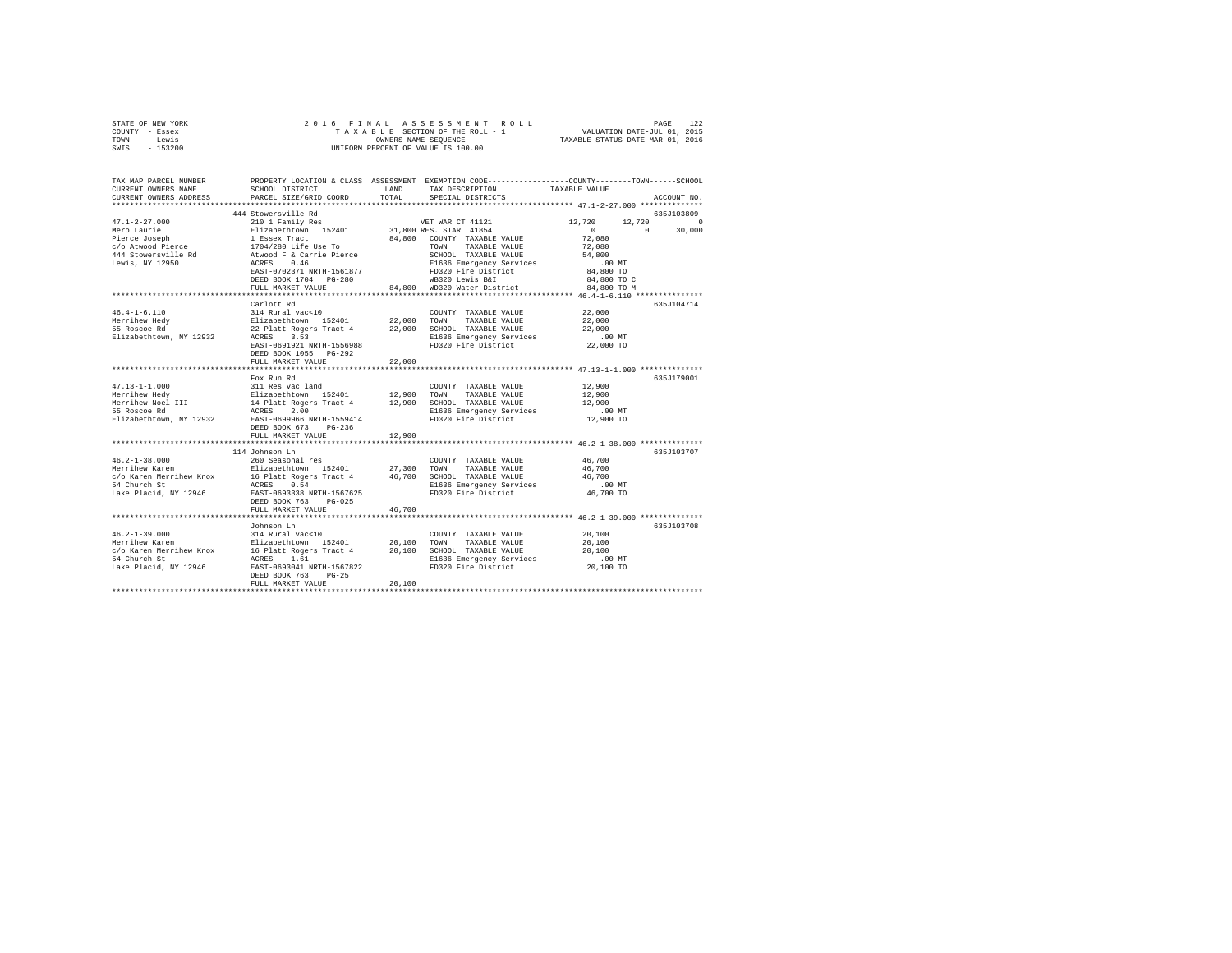| STATE OF NEW YORK | 2016 FINAL ASSESSMENT ROLL         | 122<br>PAGE                      |
|-------------------|------------------------------------|----------------------------------|
| COUNTY - Essex    | TAXABLE SECTION OF THE ROLL - 1    | VALUATION DATE-JUL 01, 2015      |
| TOWN<br>- Lewis   | OWNERS NAME SEOUENCE               | TAXABLE STATUS DATE-MAR 01, 2016 |
| $-153200$<br>SWIS | UNIFORM PERCENT OF VALUE IS 100.00 |                                  |

| TAX MAP PARCEL NUMBER<br>CURRENT OWNERS NAME<br>CURRENT OWNERS ADDRESS                                                                                                                 | SCHOOL DISTRICT<br>PARCEL SIZE/GRID COORD                                                                                                                                                                                                                            | LAND<br>TOTAL | PROPERTY LOCATION & CLASS ASSESSMENT EXEMPTION CODE----------------COUNTY-------TOWN------SCHOOL<br>TAX DESCRIPTION<br>SPECIAL DISTRICTS            | TAXABLE VALUE                                                                       | ACCOUNT NO.                    |
|----------------------------------------------------------------------------------------------------------------------------------------------------------------------------------------|----------------------------------------------------------------------------------------------------------------------------------------------------------------------------------------------------------------------------------------------------------------------|---------------|-----------------------------------------------------------------------------------------------------------------------------------------------------|-------------------------------------------------------------------------------------|--------------------------------|
| ***********************                                                                                                                                                                |                                                                                                                                                                                                                                                                      |               |                                                                                                                                                     |                                                                                     |                                |
|                                                                                                                                                                                        | 444 Stowersville Rd                                                                                                                                                                                                                                                  |               |                                                                                                                                                     |                                                                                     | 635J103809                     |
| $47.1 - 2 - 27.000$<br>Mero Laurie<br>Pierce Joseph<br>c/o Atwood Pierce<br>C70 Austour French (Barton Attwood F & Carrie Pierce<br>144 Stowersville Rd<br>Tewis, NY 12950 (BCRES 0.46 | 210 1 Family Res<br>Elizabethtown 152401 31,800 RES. STAR 41854<br>1 Essex Tract<br>1704/280 Life Use To<br>EAST-0702371 NRTH-1561877                                                                                                                                |               | VET WAR CT 41121<br>84,800 COUNTY TAXABLE VALUE<br>TOWN<br>TAXABLE VALUE<br>SCHOOL TAXABLE VALUE<br>E1636 Emergency Services<br>FD320 Fire District | 12,720<br>12,720<br>$\Omega$<br>72,080<br>72,080<br>54,800<br>$.00$ MT<br>84,800 TO | $\Omega$<br>$\Omega$<br>30,000 |
|                                                                                                                                                                                        | DEED BOOK 1704 PG-280<br>FULL MARKET VALUE                                                                                                                                                                                                                           |               | WB320 Lewis B&I<br>84,800 WD320 Water District                                                                                                      | 84,800 TO C<br>84,800 TO M                                                          |                                |
|                                                                                                                                                                                        |                                                                                                                                                                                                                                                                      |               |                                                                                                                                                     |                                                                                     |                                |
| $46.4 - 1 - 6.110$<br>Merrihew Hedy<br>55 Roscoe Rd<br>Elizabethtown, NY 12932                                                                                                         | Carlott Rd<br>314 Rural vac<10<br>Elizabethtown 152401               22,000   TOWN     TAXABLE VALUE<br>22 Platt Rogers Tract 4             22,000   SCHOOL   TAXABLE VALUE<br>ACRES 3.53<br>EAST-0691921 NRTH-1556988<br>DEED BOOK 1055 PG-292<br>FULL MARKET VALUE | 22,000        | COUNTY TAXABLE VALUE<br>E1636 Emergency Services<br>FD320 Fire District                                                                             | 22,000<br>22,000<br>22,000<br>$.00$ MT<br>22,000 TO                                 | 635J104714                     |
|                                                                                                                                                                                        |                                                                                                                                                                                                                                                                      |               |                                                                                                                                                     | ******************** 47.13-1-1.000 ***************                                  |                                |
| $47.13 - 1 - 1.000$                                                                                                                                                                    | Fox Run Rd                                                                                                                                                                                                                                                           |               | COUNTY TAXABLE VALUE                                                                                                                                | 12,900                                                                              | 635J179001                     |
| Merrihew Hedy<br>Merrihew Noel III<br>55 Roscoe Rd<br>Elizabethtown, NY 12932                                                                                                          | 311 Res vac land<br>Elizabethtown 152401<br>14 Platt Rogers Tract 4<br>ACRES 2.00<br>EAST-0699966 NRTH-1559414<br>DEED BOOK 673<br>$PG-236$                                                                                                                          | 12,900 TOWN   | TAXABLE VALUE<br>12,900 SCHOOL TAXABLE VALUE<br>E1636 Emergency Services<br>FD320 Fire District                                                     | 12,900<br>12,900<br>$.00$ MT<br>12,900 TO                                           |                                |
|                                                                                                                                                                                        | FULL MARKET VALUE                                                                                                                                                                                                                                                    | 12,900        |                                                                                                                                                     |                                                                                     |                                |
|                                                                                                                                                                                        | 114 Johnson Ln                                                                                                                                                                                                                                                       |               |                                                                                                                                                     |                                                                                     | 635J103707                     |
| $46.2 - 1 - 38.000$<br>Merrihew Karen<br>c/o Karen Merrihew Knox<br>54 Church St<br>Lake Placid, NY 12946                                                                              | 260 Seasonal res<br>Elizabethtown 152401 27,300 TOWN TAXABLE VALUE<br>16 Platt Rogers Tract 4 46,700 SCHOOL TAXABLE VALUE<br>ACRES 0.54<br>EAST-0693338 NRTH-1567625<br>DEED BOOK 763<br>$PG-0.25$<br>FULL MARKET VALUE                                              | 46,700        | COUNTY TAXABLE VALUE<br>46,700 SCHOOL TAXABLE VALUE<br>E1636 Emergency Services<br>FD320 Fire District                                              | 46,700<br>46,700<br>46,700<br>$.00$ MT<br>$46,700$ TO                               |                                |
|                                                                                                                                                                                        |                                                                                                                                                                                                                                                                      |               |                                                                                                                                                     |                                                                                     |                                |
| $46.2 - 1 - 39.000$<br>Merrihew Karen<br>c/o Karen Merrihew Knox<br>54 Church St<br>Lake Placid, NY 12946                                                                              | Johnson Ln<br>314 Rural vac<10<br>Elizabethtown 152401 20,100 TOWN<br>16 Platt Rogers Tract 4 20,100 SCHOOL TAXABLE VALUE<br>1.61<br>ACRES<br>EAST-0693041 NRTH-1567822<br>DEED BOOK 763<br>$PG-25$<br>FULL MARKET VALUE                                             | 20,100        | COUNTY TAXABLE VALUE<br>TAXABLE VALUE<br>E1636 Emergency Services<br>FD320 Fire District                                                            | 20,100<br>20,100<br>20,100<br>$.00$ MT<br>20,100 TO                                 | 635.7103708                    |
|                                                                                                                                                                                        |                                                                                                                                                                                                                                                                      |               |                                                                                                                                                     |                                                                                     |                                |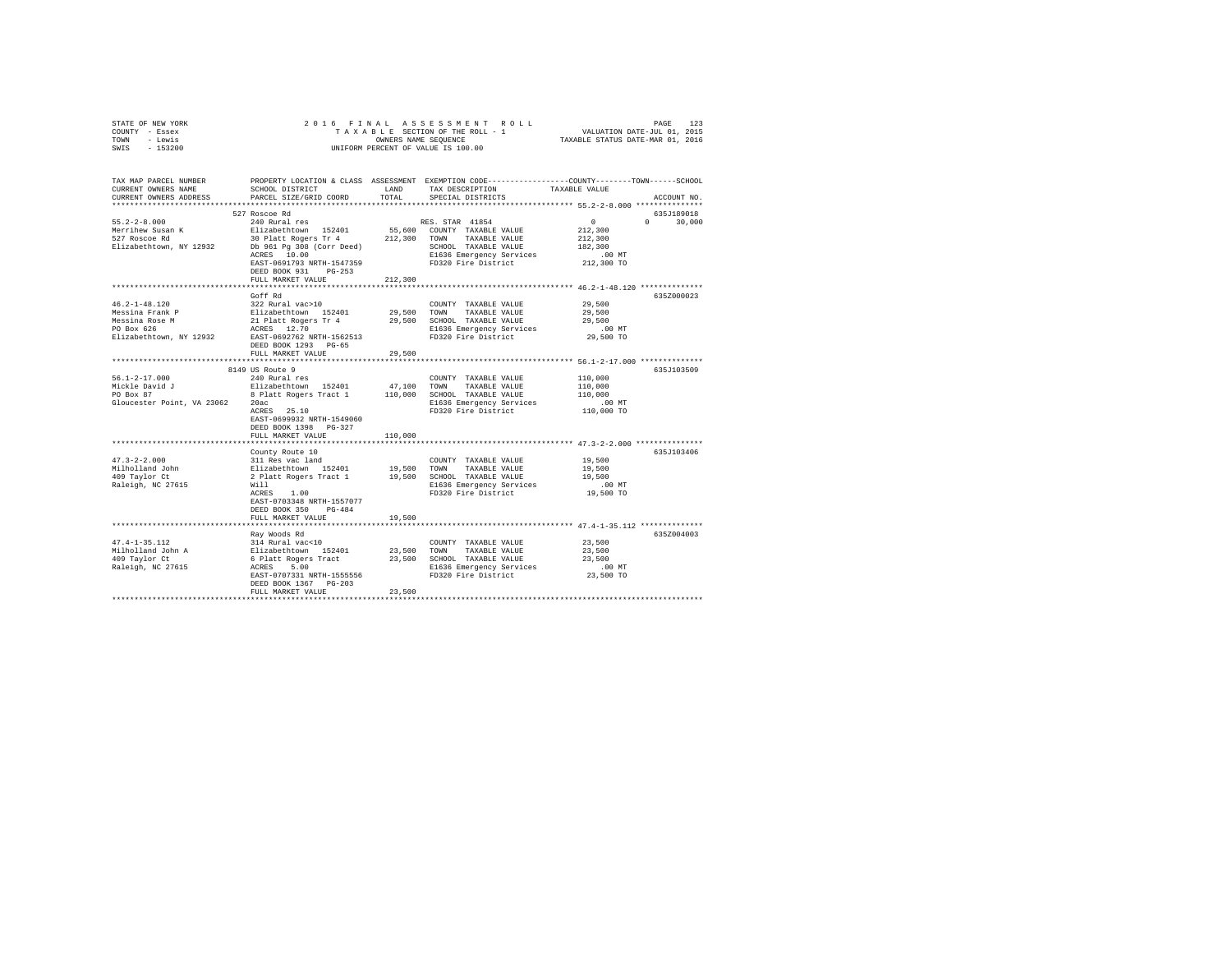| STATE OF NEW YORK                                                                                                                                                                                                                                        |                                                                                                                                                                                                                               |         |                                                                                                                                                                                                           |                                                                                                                     |  |  |  |
|----------------------------------------------------------------------------------------------------------------------------------------------------------------------------------------------------------------------------------------------------------|-------------------------------------------------------------------------------------------------------------------------------------------------------------------------------------------------------------------------------|---------|-----------------------------------------------------------------------------------------------------------------------------------------------------------------------------------------------------------|---------------------------------------------------------------------------------------------------------------------|--|--|--|
| COUNTY - Essex                                                                                                                                                                                                                                           |                                                                                                                                                                                                                               |         |                                                                                                                                                                                                           |                                                                                                                     |  |  |  |
| TOWN - Lewis                                                                                                                                                                                                                                             | OWNERS NAME SEQUENCE<br>UNIFORM PERCENT OF VALUE IS 100.00                                                                                                                                                                    |         |                                                                                                                                                                                                           |                                                                                                                     |  |  |  |
| SWIS - 153200                                                                                                                                                                                                                                            |                                                                                                                                                                                                                               |         |                                                                                                                                                                                                           |                                                                                                                     |  |  |  |
|                                                                                                                                                                                                                                                          |                                                                                                                                                                                                                               |         |                                                                                                                                                                                                           |                                                                                                                     |  |  |  |
|                                                                                                                                                                                                                                                          |                                                                                                                                                                                                                               |         |                                                                                                                                                                                                           |                                                                                                                     |  |  |  |
|                                                                                                                                                                                                                                                          |                                                                                                                                                                                                                               |         |                                                                                                                                                                                                           |                                                                                                                     |  |  |  |
|                                                                                                                                                                                                                                                          |                                                                                                                                                                                                                               |         |                                                                                                                                                                                                           | TAX MAP PARCEL NUMBER PROPERTY LOCATION & CLASS ASSESSMENT EXEMPTION CODE--------------COUNTY-------TOWN-----SCHOOL |  |  |  |
| CURRENT OWNERS NAME                                                                                                                                                                                                                                      | SCHOOL DISTRICT                                                                                                                                                                                                               | LAND    | TAX DESCRIPTION                                                                                                                                                                                           | TAXABLE VALUE                                                                                                       |  |  |  |
| CURRENT OWNERS ADDRESS                                                                                                                                                                                                                                   | PARCEL SIZE/GRID COORD                                                                                                                                                                                                        | TOTAL   | SPECIAL DISTRICTS                                                                                                                                                                                         | ACCOUNT NO.                                                                                                         |  |  |  |
|                                                                                                                                                                                                                                                          |                                                                                                                                                                                                                               |         |                                                                                                                                                                                                           |                                                                                                                     |  |  |  |
|                                                                                                                                                                                                                                                          | 527 Roscoe Rd                                                                                                                                                                                                                 |         |                                                                                                                                                                                                           | 635J189018                                                                                                          |  |  |  |
| $55.2 - 2 - 8.000$                                                                                                                                                                                                                                       | 240 Rural res                                                                                                                                                                                                                 |         | RES. STAR 41854                                                                                                                                                                                           | $\sim$ 0<br>$0 \t 30,000$                                                                                           |  |  |  |
| Merrihew Susan K<br>527 Roscoe Rd                                                                                                                                                                                                                        |                                                                                                                                                                                                                               |         |                                                                                                                                                                                                           | 212,300                                                                                                             |  |  |  |
|                                                                                                                                                                                                                                                          |                                                                                                                                                                                                                               |         |                                                                                                                                                                                                           | 212,300                                                                                                             |  |  |  |
| Elizabethtown, NY 12932                                                                                                                                                                                                                                  |                                                                                                                                                                                                                               |         |                                                                                                                                                                                                           | 182,300                                                                                                             |  |  |  |
|                                                                                                                                                                                                                                                          | 240 Rural res 152401 55,600 COUNTY TAXABLE VALUE RIGHT ROWN AND TAXABLE VALUE DELT RES 2010 COUNTY TAXABLE VALUE DELT AND RESS ENGLISHED SCHOOL TAXABLE VALUE THAT A RESERVANCE COUNTY SETTLE RESERVE COUNTY SETTLE RESERVE T |         | E1636 Emergency Services                                                                                                                                                                                  | $.00$ MT                                                                                                            |  |  |  |
|                                                                                                                                                                                                                                                          | EAST-0691793 NRTH-1547359                                                                                                                                                                                                     |         | FD320 Fire District                                                                                                                                                                                       | 212,300 TO                                                                                                          |  |  |  |
|                                                                                                                                                                                                                                                          | DEED BOOK 931 PG-253                                                                                                                                                                                                          |         |                                                                                                                                                                                                           |                                                                                                                     |  |  |  |
|                                                                                                                                                                                                                                                          | FULL MARKET VALUE                                                                                                                                                                                                             | 212,300 |                                                                                                                                                                                                           |                                                                                                                     |  |  |  |
|                                                                                                                                                                                                                                                          |                                                                                                                                                                                                                               |         |                                                                                                                                                                                                           |                                                                                                                     |  |  |  |
|                                                                                                                                                                                                                                                          | Goff Rd                                                                                                                                                                                                                       |         |                                                                                                                                                                                                           | 635Z000023                                                                                                          |  |  |  |
| $46.2 - 1 - 48.120$                                                                                                                                                                                                                                      | 322 Rural vac>10                                                                                                                                                                                                              |         | COUNTY TAXABLE VALUE 29,500                                                                                                                                                                               |                                                                                                                     |  |  |  |
|                                                                                                                                                                                                                                                          |                                                                                                                                                                                                                               |         |                                                                                                                                                                                                           | 29,500                                                                                                              |  |  |  |
|                                                                                                                                                                                                                                                          |                                                                                                                                                                                                                               |         |                                                                                                                                                                                                           | 29,500                                                                                                              |  |  |  |
|                                                                                                                                                                                                                                                          |                                                                                                                                                                                                                               |         |                                                                                                                                                                                                           | $.00$ MT                                                                                                            |  |  |  |
| Wessina Frank P<br>Messina Rome P<br>Messina Rome P<br>29,500 COMN TAXABLE VALUE<br>Messina Rome P<br>29,500 COMN TAXABLE VALUE<br>P<br>29,500 COMN TAXABLE VALUE<br>P<br>29,500 COMN TAXABLE VALUE<br>P<br>29,500 COMN TAXABLE VALUE<br>P<br>29,500 COM |                                                                                                                                                                                                                               |         |                                                                                                                                                                                                           | 29,500 TO                                                                                                           |  |  |  |
|                                                                                                                                                                                                                                                          | DEED BOOK 1293 PG-65                                                                                                                                                                                                          |         |                                                                                                                                                                                                           |                                                                                                                     |  |  |  |
|                                                                                                                                                                                                                                                          | FULL MARKET VALUE                                                                                                                                                                                                             | 29,500  |                                                                                                                                                                                                           |                                                                                                                     |  |  |  |
|                                                                                                                                                                                                                                                          |                                                                                                                                                                                                                               |         |                                                                                                                                                                                                           |                                                                                                                     |  |  |  |
|                                                                                                                                                                                                                                                          | 8149 US Route 9                                                                                                                                                                                                               |         |                                                                                                                                                                                                           | 635J103509                                                                                                          |  |  |  |
| $56.1 - 2 - 17.000$                                                                                                                                                                                                                                      | 240 Rural res                                                                                                                                                                                                                 |         | COUNTY TAXABLE VALUE                                                                                                                                                                                      | 110,000                                                                                                             |  |  |  |
|                                                                                                                                                                                                                                                          |                                                                                                                                                                                                                               |         |                                                                                                                                                                                                           |                                                                                                                     |  |  |  |
|                                                                                                                                                                                                                                                          |                                                                                                                                                                                                                               |         |                                                                                                                                                                                                           | 110,000<br>110,000                                                                                                  |  |  |  |
| Gloucester Point, VA 23062 20ac                                                                                                                                                                                                                          |                                                                                                                                                                                                                               |         | E1636 Emergency Services                                                                                                                                                                                  | .00 MT                                                                                                              |  |  |  |
|                                                                                                                                                                                                                                                          | $20ac$<br>ACRES $25.10$                                                                                                                                                                                                       |         | FD320 Fire District                                                                                                                                                                                       | 110,000 TO                                                                                                          |  |  |  |
|                                                                                                                                                                                                                                                          | EAST-0699932 NRTH-1549060                                                                                                                                                                                                     |         |                                                                                                                                                                                                           |                                                                                                                     |  |  |  |
|                                                                                                                                                                                                                                                          | DEED BOOK 1398 PG-327                                                                                                                                                                                                         |         |                                                                                                                                                                                                           |                                                                                                                     |  |  |  |
|                                                                                                                                                                                                                                                          | FULL MARKET VALUE                                                                                                                                                                                                             | 110,000 |                                                                                                                                                                                                           |                                                                                                                     |  |  |  |
|                                                                                                                                                                                                                                                          |                                                                                                                                                                                                                               |         |                                                                                                                                                                                                           |                                                                                                                     |  |  |  |
|                                                                                                                                                                                                                                                          |                                                                                                                                                                                                                               |         |                                                                                                                                                                                                           | 635J103406                                                                                                          |  |  |  |
| $47.3 - 2 - 2.000$                                                                                                                                                                                                                                       |                                                                                                                                                                                                                               |         | County Route 10<br>311 Res vac land<br>Elizabethcown 152401 19,500 TOWN TAXABLE VALUE<br>2 Platt Rogers Tract 1 19,500 SCHOOL TAXABLE VALUE<br>2 Platt Rogers Tract 1 19,500 SCHOOL TAXABLE VALUE<br>Will | 19,500                                                                                                              |  |  |  |
|                                                                                                                                                                                                                                                          |                                                                                                                                                                                                                               |         |                                                                                                                                                                                                           | 19,500                                                                                                              |  |  |  |
| Milholland John<br>409 Taylor Ct                                                                                                                                                                                                                         |                                                                                                                                                                                                                               |         |                                                                                                                                                                                                           | 19,500                                                                                                              |  |  |  |
| Raleigh, NC 27615                                                                                                                                                                                                                                        |                                                                                                                                                                                                                               |         |                                                                                                                                                                                                           | $.00$ MT                                                                                                            |  |  |  |
|                                                                                                                                                                                                                                                          | Will<br>ACRES 1.00                                                                                                                                                                                                            |         | FD320 Fire District                                                                                                                                                                                       | 19,500 TO                                                                                                           |  |  |  |
|                                                                                                                                                                                                                                                          | EAST-0703348 NRTH-1557077                                                                                                                                                                                                     |         |                                                                                                                                                                                                           |                                                                                                                     |  |  |  |
|                                                                                                                                                                                                                                                          | DEED BOOK 350 PG-484                                                                                                                                                                                                          |         |                                                                                                                                                                                                           |                                                                                                                     |  |  |  |
|                                                                                                                                                                                                                                                          | FULL MARKET VALUE                                                                                                                                                                                                             | 19,500  |                                                                                                                                                                                                           |                                                                                                                     |  |  |  |
|                                                                                                                                                                                                                                                          |                                                                                                                                                                                                                               |         |                                                                                                                                                                                                           |                                                                                                                     |  |  |  |
|                                                                                                                                                                                                                                                          | Ray Woods Rd                                                                                                                                                                                                                  |         |                                                                                                                                                                                                           | 635Z004003                                                                                                          |  |  |  |
| $47.4 - 1 - 35.112$                                                                                                                                                                                                                                      | 314 Rural vac<10                                                                                                                                                                                                              |         | COUNTY TAXABLE VALUE                                                                                                                                                                                      | 23,500                                                                                                              |  |  |  |
|                                                                                                                                                                                                                                                          |                                                                                                                                                                                                                               |         |                                                                                                                                                                                                           | 23,500                                                                                                              |  |  |  |
| 47.4-1-33.1.<br>Milholland John A<br>409 Taylor Ct                                                                                                                                                                                                       | 314 Rural vac<10<br>Elizabethtown 152401 23,500 TOWN TAXABLE VALUE<br>6 Platt Rogers Tract 23,500 SCHOOL TAXABLE VALUE<br>ACRES 5.00 2000 E1636 Emergency Services                                                            |         |                                                                                                                                                                                                           | 23,500                                                                                                              |  |  |  |
| Raleigh, NC 27615                                                                                                                                                                                                                                        |                                                                                                                                                                                                                               |         |                                                                                                                                                                                                           |                                                                                                                     |  |  |  |
|                                                                                                                                                                                                                                                          |                                                                                                                                                                                                                               |         | ACRES 5.00 E1636 Emergency Services<br>EAST-0707331 NRTH-1555556 FD320 Fire District                                                                                                                      | 00 MT.<br>23,500 TO                                                                                                 |  |  |  |
|                                                                                                                                                                                                                                                          | DEED BOOK 1367 PG-203                                                                                                                                                                                                         |         |                                                                                                                                                                                                           |                                                                                                                     |  |  |  |
|                                                                                                                                                                                                                                                          | FULL MARKET VALUE                                                                                                                                                                                                             | 23,500  |                                                                                                                                                                                                           |                                                                                                                     |  |  |  |
|                                                                                                                                                                                                                                                          |                                                                                                                                                                                                                               |         |                                                                                                                                                                                                           |                                                                                                                     |  |  |  |
|                                                                                                                                                                                                                                                          |                                                                                                                                                                                                                               |         |                                                                                                                                                                                                           |                                                                                                                     |  |  |  |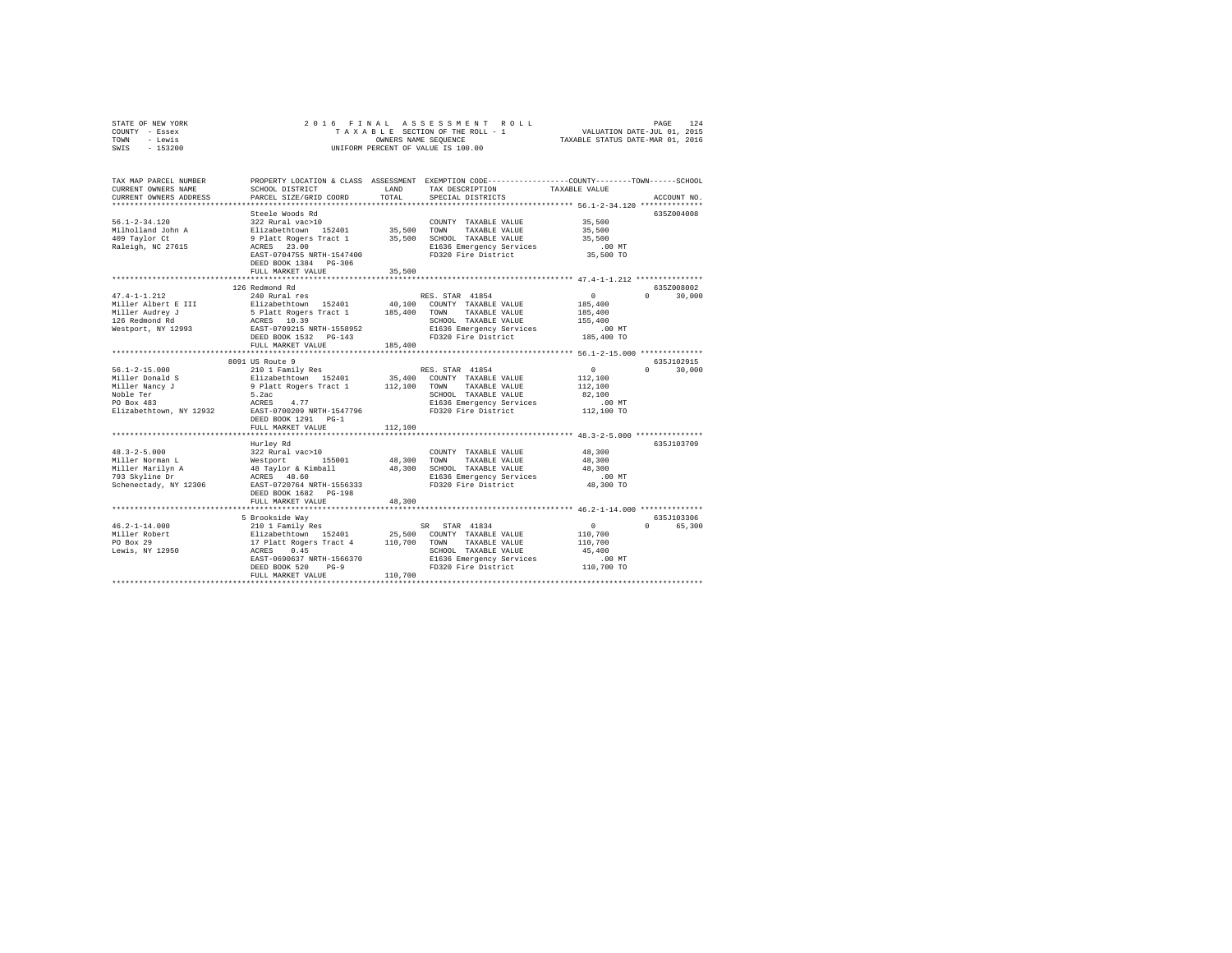| STATE OF NEW YORK<br>COUNTY - Essex                     | 2016 FINAL                                                                                                                                                                              |                      | ASSESSMENT ROLL<br>TAXABLE SECTION OF THE ROLL - 1                                             |                                                                 | 124<br>PAGE        |
|---------------------------------------------------------|-----------------------------------------------------------------------------------------------------------------------------------------------------------------------------------------|----------------------|------------------------------------------------------------------------------------------------|-----------------------------------------------------------------|--------------------|
| - Lewis<br>TOWN                                         |                                                                                                                                                                                         | OWNERS NAME SEQUENCE |                                                                                                | VALUATION DATE-JUL 01, 2015<br>TAXABLE STATUS DATE-MAR 01, 2016 |                    |
| SWIS<br>$-153200$                                       |                                                                                                                                                                                         |                      | UNIFORM PERCENT OF VALUE IS 100.00                                                             |                                                                 |                    |
|                                                         |                                                                                                                                                                                         |                      |                                                                                                |                                                                 |                    |
|                                                         |                                                                                                                                                                                         |                      |                                                                                                |                                                                 |                    |
| TAX MAP PARCEL NUMBER                                   |                                                                                                                                                                                         |                      | PROPERTY LOCATION & CLASS ASSESSMENT EXEMPTION CODE---------------COUNTY-------TOWN-----SCHOOL |                                                                 |                    |
| CURRENT OWNERS NAME                                     | SCHOOL DISTRICT                                                                                                                                                                         | LAND                 | TAX DESCRIPTION                                                                                | TAXABLE VALUE                                                   |                    |
| CURRENT OWNERS ADDRESS                                  | PARCEL SIZE/GRID COORD                                                                                                                                                                  | TOTAL                | SPECIAL DISTRICTS                                                                              |                                                                 | ACCOUNT NO.        |
|                                                         |                                                                                                                                                                                         |                      |                                                                                                |                                                                 |                    |
|                                                         | Steele Woods Rd                                                                                                                                                                         |                      |                                                                                                |                                                                 | 635Z004008         |
| $56.1 - 2 - 34.120$                                     | 322 Rural vac>10                                                                                                                                                                        |                      | COUNTY TAXABLE VALUE                                                                           | 35,500                                                          |                    |
| Milholland John A                                       |                                                                                                                                                                                         | 35,500               | TOWN<br>TAXABLE VALUE                                                                          | 35,500                                                          |                    |
| 409 Taylor Ct                                           | Elizabethtown 152401<br>9 Platt Rogers Tract 1                                                                                                                                          |                      | 35,500 SCHOOL TAXABLE VALUE                                                                    | 35,500                                                          |                    |
| Raleigh, NC 27615                                       | ACRES 23.00                                                                                                                                                                             |                      | E1636 Emergency Services                                                                       | $.00$ MT                                                        |                    |
|                                                         | EAST-0704755 NRTH-1547400                                                                                                                                                               |                      | FD320 Fire District                                                                            | 35,500 TO                                                       |                    |
|                                                         | DEED BOOK 1384 PG-306                                                                                                                                                                   |                      |                                                                                                |                                                                 |                    |
|                                                         | FULL MARKET VALUE                                                                                                                                                                       | 35,500               |                                                                                                |                                                                 |                    |
|                                                         |                                                                                                                                                                                         | *************        | ******************************** 47.4-1-1.212 ****************                                 |                                                                 |                    |
|                                                         | 126 Redmond Rd                                                                                                                                                                          |                      |                                                                                                |                                                                 | 635Z008002         |
| $47.4 - 1 - 1.212$                                      | 240 Rural res                                                                                                                                                                           |                      | RES. STAR 41854                                                                                | 0                                                               | $\Omega$<br>30,000 |
| Miller Albert E III                                     | Elizabethtown 152401                                                                                                                                                                    |                      | 40,100 COUNTY TAXABLE VALUE                                                                    | 185,400                                                         |                    |
|                                                         | 5 Platt Rogers Tract 1                                                                                                                                                                  | 185,400              | TOWN TAXABLE VALUE                                                                             | 185,400                                                         |                    |
|                                                         | ACRES 10.39                                                                                                                                                                             |                      | SCHOOL TAXABLE VALUE                                                                           | 155,400                                                         |                    |
| Miller Audrey J<br>126 Redmond Rd<br>Westport, NY 12993 | EAST-0709215 NRTH-1558952                                                                                                                                                               |                      | E1636 Emergency Services                                                                       | $.00$ MT                                                        |                    |
|                                                         | DEED BOOK 1532 PG-143                                                                                                                                                                   |                      | FD320 Fire District                                                                            | 185,400 TO                                                      |                    |
|                                                         | FULL MARKET VALUE                                                                                                                                                                       | 185,400              |                                                                                                |                                                                 |                    |
|                                                         |                                                                                                                                                                                         |                      |                                                                                                |                                                                 |                    |
|                                                         | 8091 US Route 9                                                                                                                                                                         |                      |                                                                                                |                                                                 | 635J102915         |
| $56.1 - 2 - 15.000$                                     | 210 1 Family Res                                                                                                                                                                        |                      | RES. STAR 41854                                                                                | $\Omega$                                                        | $\Omega$<br>30,000 |
| Miller Donald S                                         | Elizabethtown 152401                                                                                                                                                                    |                      | 35,400 COUNTY TAXABLE VALUE                                                                    | 112,100                                                         |                    |
| Miller Nancy J                                          | 9 Platt Rogers Tract 1                                                                                                                                                                  | 112,100 TOWN         | TAXABLE VALUE                                                                                  | 112,100                                                         |                    |
| Noble Ter                                               | 5.2ac                                                                                                                                                                                   |                      | SCHOOL TAXABLE VALUE                                                                           | 82,100                                                          |                    |
| PO Box 483                                              | ACRES 4.77                                                                                                                                                                              |                      | E1636 Emergency Services                                                                       | $.00$ MT                                                        |                    |
| Elizabethtown, NY 12932                                 | EAST-0700209 NRTH-1547796                                                                                                                                                               |                      | FD320 Fire District                                                                            | 112,100 TO                                                      |                    |
|                                                         | DEED BOOK 1291 PG-1                                                                                                                                                                     |                      |                                                                                                |                                                                 |                    |
|                                                         | FULL MARKET VALUE                                                                                                                                                                       | 112,100              |                                                                                                |                                                                 |                    |
|                                                         |                                                                                                                                                                                         |                      |                                                                                                |                                                                 |                    |
|                                                         | Hurley Rd                                                                                                                                                                               |                      |                                                                                                |                                                                 | 635J103709         |
| $48.3 - 2 - 5.000$                                      | 322 Rural vac>10                                                                                                                                                                        |                      | COUNTY TAXABLE VALUE                                                                           | 48,300                                                          |                    |
| Miller Norman L                                         |                                                                                                                                                                                         | 48,300               | TOWN<br>TAXABLE VALUE                                                                          | 48,300                                                          |                    |
| Miller Marilyn A                                        | Westport 155001<br>48 Taylor & Kimball                                                                                                                                                  |                      | 48,300 SCHOOL TAXABLE VALUE                                                                    | 48,300                                                          |                    |
| 793 Skyline Dr                                          | ACRES 48.60                                                                                                                                                                             |                      | E1636 Emergency Services                                                                       | $.00$ MT                                                        |                    |
| Schenectady, NY 12306                                   | EAST-0720764 NRTH-1556333                                                                                                                                                               |                      | FD320 Fire District                                                                            | 48,300 TO                                                       |                    |
|                                                         | DEED BOOK 1682 PG-198                                                                                                                                                                   |                      |                                                                                                |                                                                 |                    |
|                                                         | FULL MARKET VALUE                                                                                                                                                                       | 48,300               |                                                                                                |                                                                 |                    |
|                                                         |                                                                                                                                                                                         |                      |                                                                                                |                                                                 |                    |
|                                                         | 5 Brookside Way                                                                                                                                                                         |                      |                                                                                                |                                                                 | 635J103306         |
| $46.2 - 1 - 14.000$                                     | 210 1 Family Res                                                                                                                                                                        |                      | SR STAR 41834                                                                                  | 0                                                               | 0 65,300           |
| Miller Robert                                           | Elizabethtown 152401 25,500 COUNTY TAXABLE VALUE<br>17 Platt Rogers Tract 4 110,700 TOWN TAXABLE VALUE<br>20 ACHOOL TAXABLE VALUE<br>22 SCHOOL TAXABLE VALUE<br>22 SCHOOL TAXABLE VALUE |                      |                                                                                                | 110,700                                                         |                    |
| PO Box 29                                               |                                                                                                                                                                                         |                      |                                                                                                | 110,700                                                         |                    |
| Lewis, NY 12950                                         |                                                                                                                                                                                         |                      | SCHOOL TAXABLE VALUE                                                                           | 45,400                                                          |                    |
|                                                         |                                                                                                                                                                                         |                      | E1636 Emergency Services                                                                       | $.00$ MT                                                        |                    |
|                                                         | $PG-9$<br>DEED BOOK 520                                                                                                                                                                 |                      | FD320 Fire District                                                                            | 110,700 TO                                                      |                    |
|                                                         | FULL MARKET VALUE                                                                                                                                                                       | 110,700              |                                                                                                |                                                                 |                    |
|                                                         |                                                                                                                                                                                         |                      |                                                                                                |                                                                 |                    |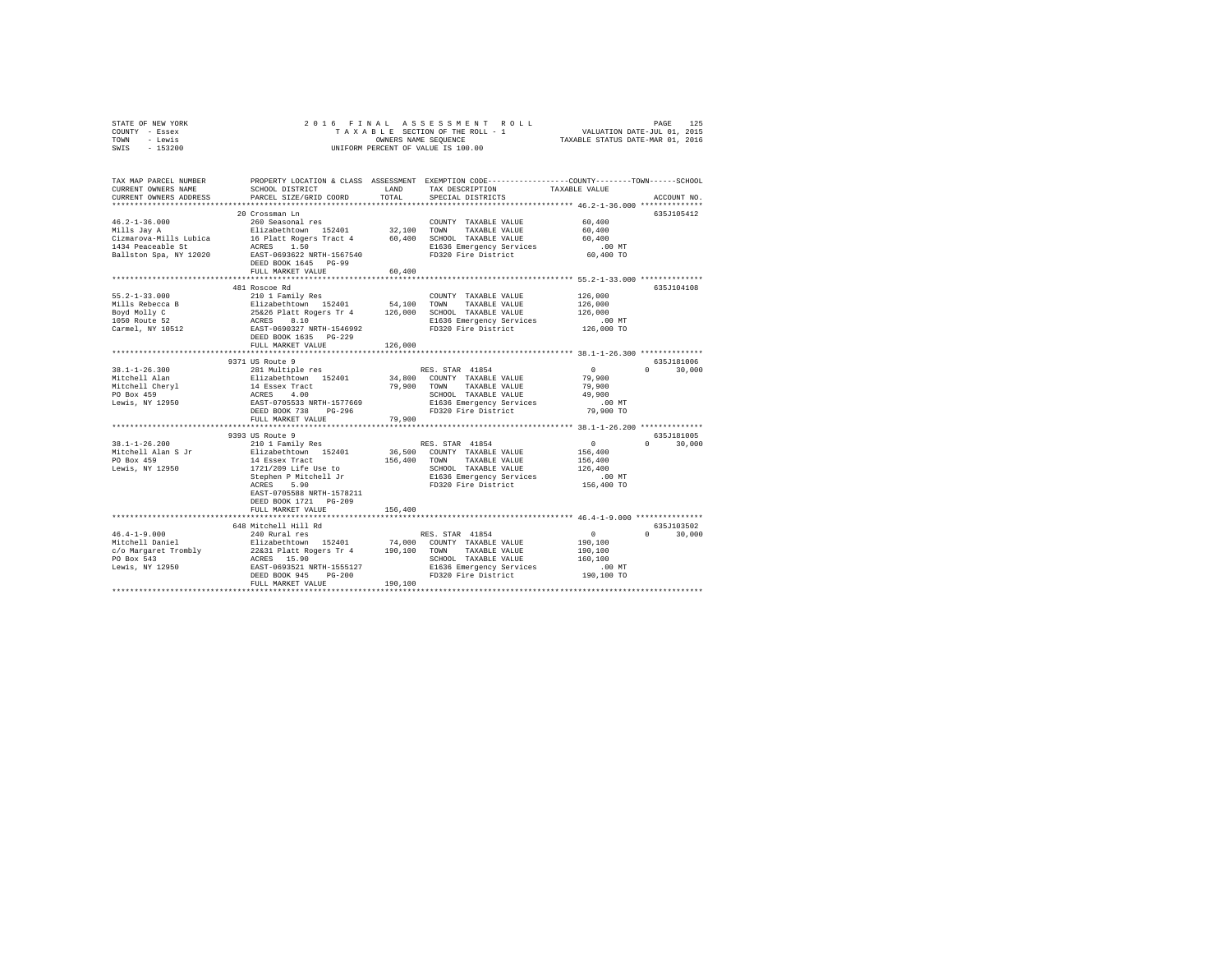|      | STATE OF NEW YORK |  |  |  | 2016 FINAL ASSESSMENT ROLL         |                                  | PAGE | 125 |
|------|-------------------|--|--|--|------------------------------------|----------------------------------|------|-----|
|      | COUNTY - Essex    |  |  |  | TAXABLE SECTION OF THE ROLL - 1    | VALUATION DATE-JUL 01, 2015      |      |     |
| TOWN | - Lewis           |  |  |  | OWNERS NAME SEOUENCE               | TAXABLE STATUS DATE-MAR 01, 2016 |      |     |
|      | SWIS - 153200     |  |  |  | UNIFORM PERCENT OF VALUE IS 100.00 |                                  |      |     |

| TAX MAP PARCEL NUMBER<br>CURRENT OWNERS NAME<br>CURRENT OWNERS ADDRESS                                                                                                                                                                         | SCHOOL DISTRICT<br>PARCEL SIZE/GRID COORD  | LAND<br>TOTAL | TAX DESCRIPTION<br>SPECIAL DISTRICTS                                  | PROPERTY LOCATION & CLASS ASSESSMENT EXEMPTION CODE---------------COUNTY-------TOWN-----SCHOOL<br>TAXABLE VALUE<br>ACCOUNT NO. |
|------------------------------------------------------------------------------------------------------------------------------------------------------------------------------------------------------------------------------------------------|--------------------------------------------|---------------|-----------------------------------------------------------------------|--------------------------------------------------------------------------------------------------------------------------------|
|                                                                                                                                                                                                                                                |                                            |               |                                                                       |                                                                                                                                |
|                                                                                                                                                                                                                                                | 20 Crossman Ln                             |               |                                                                       | 635.7105412                                                                                                                    |
|                                                                                                                                                                                                                                                |                                            |               |                                                                       |                                                                                                                                |
|                                                                                                                                                                                                                                                |                                            |               |                                                                       |                                                                                                                                |
|                                                                                                                                                                                                                                                |                                            |               |                                                                       |                                                                                                                                |
|                                                                                                                                                                                                                                                | FULL MARKET VALUE                          | 60,400        |                                                                       |                                                                                                                                |
|                                                                                                                                                                                                                                                |                                            |               |                                                                       |                                                                                                                                |
|                                                                                                                                                                                                                                                | 481 Roscoe Rd                              |               |                                                                       | 635J104108                                                                                                                     |
| $55.2 - 1 - 33.000$                                                                                                                                                                                                                            | 210 1 Family Res                           |               | COUNTY TAXABLE VALUE                                                  | 126,000                                                                                                                        |
| Solution and the state of the state of the state of the state of the state of the state of the state of the state of the state of the state of the state of the state of the state of the state of the control of the care of                  |                                            |               |                                                                       | 126,000                                                                                                                        |
|                                                                                                                                                                                                                                                |                                            |               |                                                                       | 126,000                                                                                                                        |
|                                                                                                                                                                                                                                                |                                            |               |                                                                       | $.00$ MT                                                                                                                       |
|                                                                                                                                                                                                                                                |                                            |               | E1636 Emergency Services<br>FD320 Fire District                       | 126,000 TO                                                                                                                     |
|                                                                                                                                                                                                                                                | DEED BOOK 1635 PG-229                      |               |                                                                       |                                                                                                                                |
|                                                                                                                                                                                                                                                | FULL MARKET VALUE                          | 126,000       |                                                                       |                                                                                                                                |
|                                                                                                                                                                                                                                                | ******************************             |               |                                                                       | ******************* 38.1-1-26.300 ***************                                                                              |
|                                                                                                                                                                                                                                                | 9371 US Route 9                            |               |                                                                       | 635J181006                                                                                                                     |
|                                                                                                                                                                                                                                                |                                            |               | RES. STAR 41854                                                       | $\sim$ 0<br>$0 \t 30,000$                                                                                                      |
|                                                                                                                                                                                                                                                |                                            |               | 34,800 COUNTY TAXABLE VALUE<br>79,900 TOWN TAXABLE VALUE              | 79,900<br>79,900                                                                                                               |
|                                                                                                                                                                                                                                                |                                            |               |                                                                       |                                                                                                                                |
|                                                                                                                                                                                                                                                |                                            |               |                                                                       |                                                                                                                                |
|                                                                                                                                                                                                                                                |                                            |               | FD320 Fire District                                                   | 79,900 TO                                                                                                                      |
|                                                                                                                                                                                                                                                | FULL MARKET VALUE                          | 79,900        |                                                                       |                                                                                                                                |
|                                                                                                                                                                                                                                                |                                            |               |                                                                       |                                                                                                                                |
|                                                                                                                                                                                                                                                | 9393 US Route 9                            |               |                                                                       | 635J181005                                                                                                                     |
|                                                                                                                                                                                                                                                |                                            |               | RES. STAR 41854                                                       | $\sim$ 0<br>$0 \t 30,000$                                                                                                      |
|                                                                                                                                                                                                                                                |                                            |               | 36,500 COUNTY TAXABLE VALUE                                           | 156,400<br>156,400                                                                                                             |
|                                                                                                                                                                                                                                                |                                            |               | 156,400 TOWN TAXABLE VALUE                                            |                                                                                                                                |
|                                                                                                                                                                                                                                                |                                            |               | SCHOOL TAXABLE VALUE                                                  | 126,400                                                                                                                        |
|                                                                                                                                                                                                                                                | Stephen P Mitchell Jr                      |               |                                                                       |                                                                                                                                |
|                                                                                                                                                                                                                                                | ACRES 5.90                                 |               |                                                                       |                                                                                                                                |
|                                                                                                                                                                                                                                                | EAST-0705588 NRTH-1578211                  |               |                                                                       |                                                                                                                                |
|                                                                                                                                                                                                                                                | DEED BOOK 1721 PG-209<br>FULL MARKET VALUE | 156,400       |                                                                       |                                                                                                                                |
|                                                                                                                                                                                                                                                |                                            |               |                                                                       |                                                                                                                                |
|                                                                                                                                                                                                                                                | 648 Mitchell Hill Rd                       |               |                                                                       | 635J103502                                                                                                                     |
| $46.4 - 1 - 9.000$                                                                                                                                                                                                                             | 240 Rural res                              |               | RES. STAR 41854                                                       | $\sim$ 0<br>$0 \t 30,000$                                                                                                      |
|                                                                                                                                                                                                                                                |                                            |               |                                                                       | 190,100                                                                                                                        |
|                                                                                                                                                                                                                                                |                                            |               |                                                                       | 190,100                                                                                                                        |
|                                                                                                                                                                                                                                                |                                            |               | SCHOOL TAXABLE VALUE                                                  | 160,100                                                                                                                        |
|                                                                                                                                                                                                                                                |                                            |               |                                                                       |                                                                                                                                |
| -v-1--->.vov 2001<br>Michell Daniel Bilzabeth<br>Commy 152401 74,000 COUNTY TAXABLE VALUE<br>Commy TAXABLE VALUE<br>Commy TAXABLE VALUE<br>Devis, NY 12950 22431 RET-1555127 2002<br>Devis, NY 12950 BASET-0693531 RETH-1555127 12050 BILS<br> | VIA-133312.<br>PG-200<br>LUE 190,100       |               | E1636 Emergency Services .00 MT<br>FD320 Fire District .00 190,100 TO |                                                                                                                                |
|                                                                                                                                                                                                                                                | FULL MARKET VALUE                          |               |                                                                       |                                                                                                                                |
|                                                                                                                                                                                                                                                |                                            |               |                                                                       |                                                                                                                                |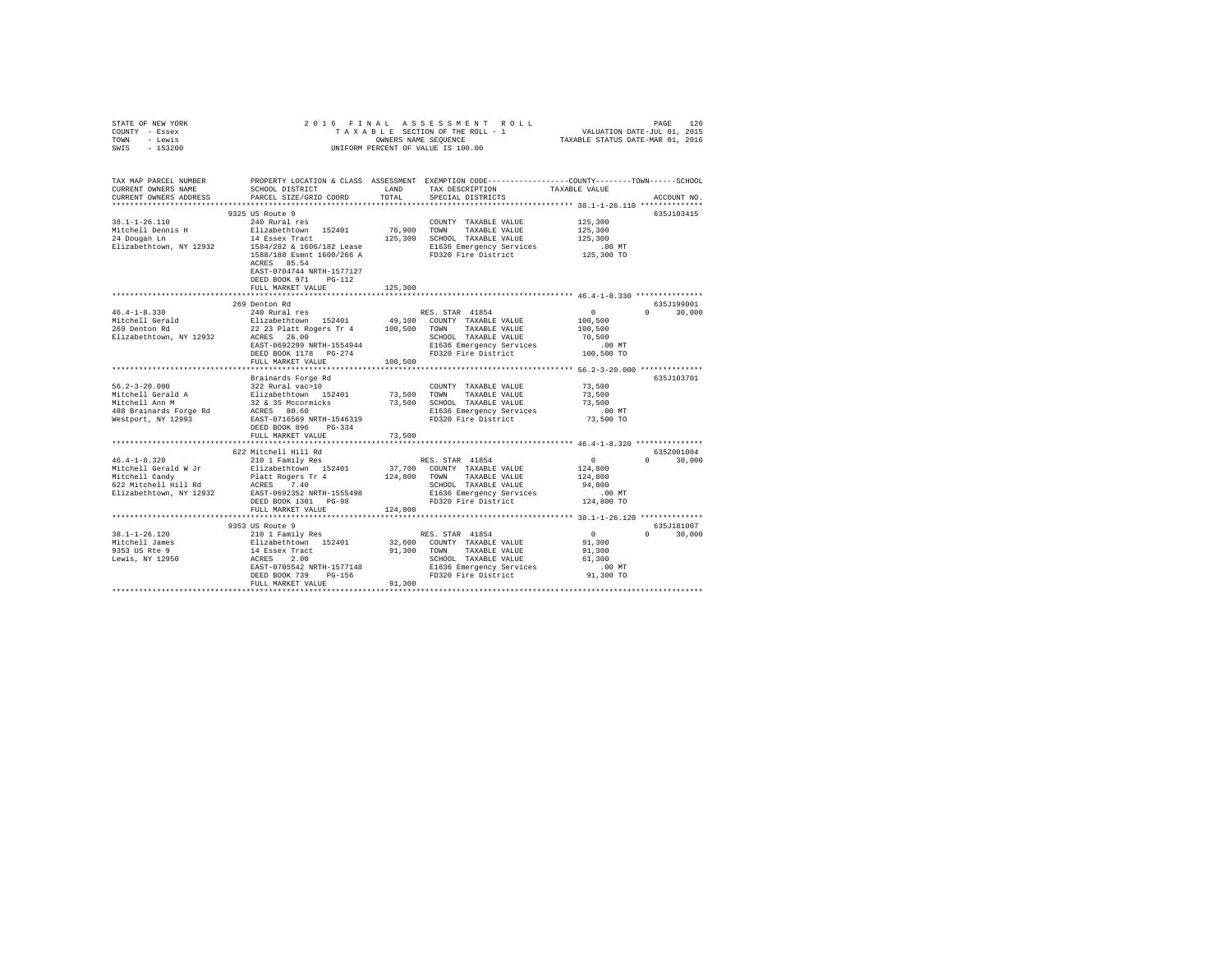| STATE OF NEW YORK |         |  |  |  | 2016 FINAL ASSESSMENT ROLL         |                                  | PAGE                        | 126 |
|-------------------|---------|--|--|--|------------------------------------|----------------------------------|-----------------------------|-----|
| COUNTY - Essex    |         |  |  |  | TAXABLE SECTION OF THE ROLL - 1    |                                  | VALUATION DATE-JUL 01, 2015 |     |
| TOWN              | - Lewis |  |  |  | OWNERS NAME SEOUENCE               | TAXABLE STATUS DATE-MAR 01, 2016 |                             |     |
| SWIS - 153200     |         |  |  |  | UNIFORM PERCENT OF VALUE IS 100.00 |                                  |                             |     |

| TAX MAP PARCEL NUMBER<br>CURRENT OWNERS NAME<br>CURRENT OWNERS ADDRESS | SCHOOL DISTRICT<br>PARCEL SIZE/GRID COORD                                                                               | LAND<br>TOTAL | PROPERTY LOCATION & CLASS ASSESSMENT EXEMPTION CODE---------------COUNTY-------TOWN-----SCHOOL<br>TAX DESCRIPTION<br>SPECIAL DISTRICTS | TAXABLE VALUE                | ACCOUNT NO.                      |
|------------------------------------------------------------------------|-------------------------------------------------------------------------------------------------------------------------|---------------|----------------------------------------------------------------------------------------------------------------------------------------|------------------------------|----------------------------------|
| $38.1 - 1 - 26.110$                                                    | 9325 US Route 9                                                                                                         |               | COUNTY TAXABLE VALUE                                                                                                                   | 125,300                      | 635J103415                       |
| Mitchell Dennis H<br>24 Dougan Ln<br>Elizabethtown, NY 12932           | 240 Rural res<br>Elizabethtown 152401 76,900<br>14 Essex Tract 125,300<br>1584/282 & 1606/182 Lease                     | 76,900 TOWN   | TAXABLE VALUE<br>125,300 SCHOOL TAXABLE VALUE<br>E1636 Emergency Services                                                              | 125,300<br>125,300<br>.00 MT |                                  |
|                                                                        | 1588/188 Esmnt 1600/266 A<br>ACRES 85.54<br>EAST-0704744 NRTH-1577127<br>DEED BOOK 971<br>$PG-112$<br>FULL MARKET VALUE | 125,300       | FD320 Fire District                                                                                                                    | 125,300 TO                   |                                  |
|                                                                        |                                                                                                                         |               |                                                                                                                                        |                              |                                  |
| $46.4 - 1 - 8.330$                                                     | 269 Denton Rd<br>240 Rural res                                                                                          |               | RES. STAR 41854                                                                                                                        | $\sim$ 0                     | 635J199001<br>$\Omega$<br>30,000 |
|                                                                        |                                                                                                                         |               |                                                                                                                                        | 100,500                      |                                  |
| Mitchell Gerald<br>269 Denton Rd                                       | Elizabethtown 152401 49,100 COUNTY TAXABLE VALUE<br>22 23 Platt Rogers Tr 4 100,500 TOWN TAXABLE VALUE                  |               |                                                                                                                                        | 100,500                      |                                  |
| Elizabethtown, NY 12932                                                | ACRES 26.00                                                                                                             |               | SCHOOL TAXABLE VALUE                                                                                                                   | 70,500                       |                                  |
|                                                                        | EAST-0692299 NRTH-1554944                                                                                               |               | E1636 Emergency Services                                                                                                               | $.00$ MT                     |                                  |
|                                                                        | DEED BOOK 1178 PG-274                                                                                                   |               | FD320 Fire District                                                                                                                    | 100,500 TO                   |                                  |
|                                                                        | FULL MARKET VALUE                                                                                                       | 100,500       |                                                                                                                                        |                              |                                  |
|                                                                        |                                                                                                                         |               |                                                                                                                                        |                              |                                  |
|                                                                        | Brainards Forge Rd                                                                                                      |               |                                                                                                                                        |                              | 635J103701                       |
| $56.2 - 3 - 20.000$                                                    | 322 Rural vac>10<br>Slizabethtown 152401<br>32 & 35 Mccormicks<br>ACRES 80.60<br>EAST-0716569 NRTH-1546319              |               | COUNTY TAXABLE VALUE                                                                                                                   | 73,500                       |                                  |
| ov.2 > --<br>Mitchell Gerald A<br>™itchell Ann M                       |                                                                                                                         | 73,500 TOWN   | TAXABLE VALUE<br>73,500 SCHOOL TAXABLE VALUE                                                                                           | 73,500<br>73,500             |                                  |
|                                                                        |                                                                                                                         |               |                                                                                                                                        | $.00$ MT                     |                                  |
| 488 Brainards Forge Rd<br>Westport, NY 12993                           |                                                                                                                         |               | E1636 Emergency Services<br>FD320 Fire District                                                                                        | 73,500 TO                    |                                  |
|                                                                        | DEED BOOK 896 PG-334                                                                                                    |               |                                                                                                                                        |                              |                                  |
|                                                                        | FULL MARKET VALUE                                                                                                       | 73,500        |                                                                                                                                        |                              |                                  |
|                                                                        |                                                                                                                         |               |                                                                                                                                        |                              |                                  |
|                                                                        | 622 Mitchell Hill Rd                                                                                                    |               |                                                                                                                                        |                              | 635Z001004                       |
| $46.4 - 1 - 8.320$                                                     | 210 1 Family Res                                                                                                        |               | RES. STAR 41854                                                                                                                        | $\sim$ 0                     | $0 \t 30,000$                    |
|                                                                        |                                                                                                                         |               | 37,700 COUNTY TAXABLE VALUE                                                                                                            | 124,800                      |                                  |
|                                                                        |                                                                                                                         |               | 124,800 TOWN TAXABLE VALUE                                                                                                             | 124,800                      |                                  |
|                                                                        |                                                                                                                         |               | SCHOOL TAXABLE VALUE                                                                                                                   | 94,800                       |                                  |
|                                                                        |                                                                                                                         |               | E1636 Emergency Services                                                                                                               | $.00$ MT                     |                                  |
|                                                                        | DEED BOOK 1301 PG-98<br>FULL MARKET VALUE                                                                               | 124,800       | FD320 Fire District                                                                                                                    | 124,800 TO                   |                                  |
|                                                                        |                                                                                                                         |               |                                                                                                                                        |                              |                                  |
|                                                                        | 9353 US Route 9                                                                                                         |               |                                                                                                                                        |                              | 635J181007                       |
| 38.1-1-26.120                                                          |                                                                                                                         |               | RES. STAR 41854                                                                                                                        | $\sim$ 0                     | $\Omega$<br>30,000               |
| Mitchell James                                                         |                                                                                                                         |               | 32,600 COUNTY TAXABLE VALUE                                                                                                            | 91,300                       |                                  |
| 9353 US Rte 9                                                          | 210 1 Family Res<br>Elizabethtown 152401<br>14 Essex Tract<br>ACRES 2.00                                                |               | 91.300 TOWN<br>TAXABLE VALUE                                                                                                           | 91,300                       |                                  |
| Lewis, NY 12950                                                        |                                                                                                                         |               | SCHOOL TAXABLE VALUE                                                                                                                   | 61,300                       |                                  |
|                                                                        | EAST-0705542 NRTH-1577148                                                                                               |               | E1636 Emergency Services<br>FD320 Fire District                                                                                        | .00MT                        |                                  |
|                                                                        | DEED BOOK 739<br>PG-156                                                                                                 |               |                                                                                                                                        | 91,300 TO                    |                                  |
|                                                                        | FULL MARKET VALUE                                                                                                       | 91,300        |                                                                                                                                        |                              |                                  |
|                                                                        |                                                                                                                         |               |                                                                                                                                        |                              |                                  |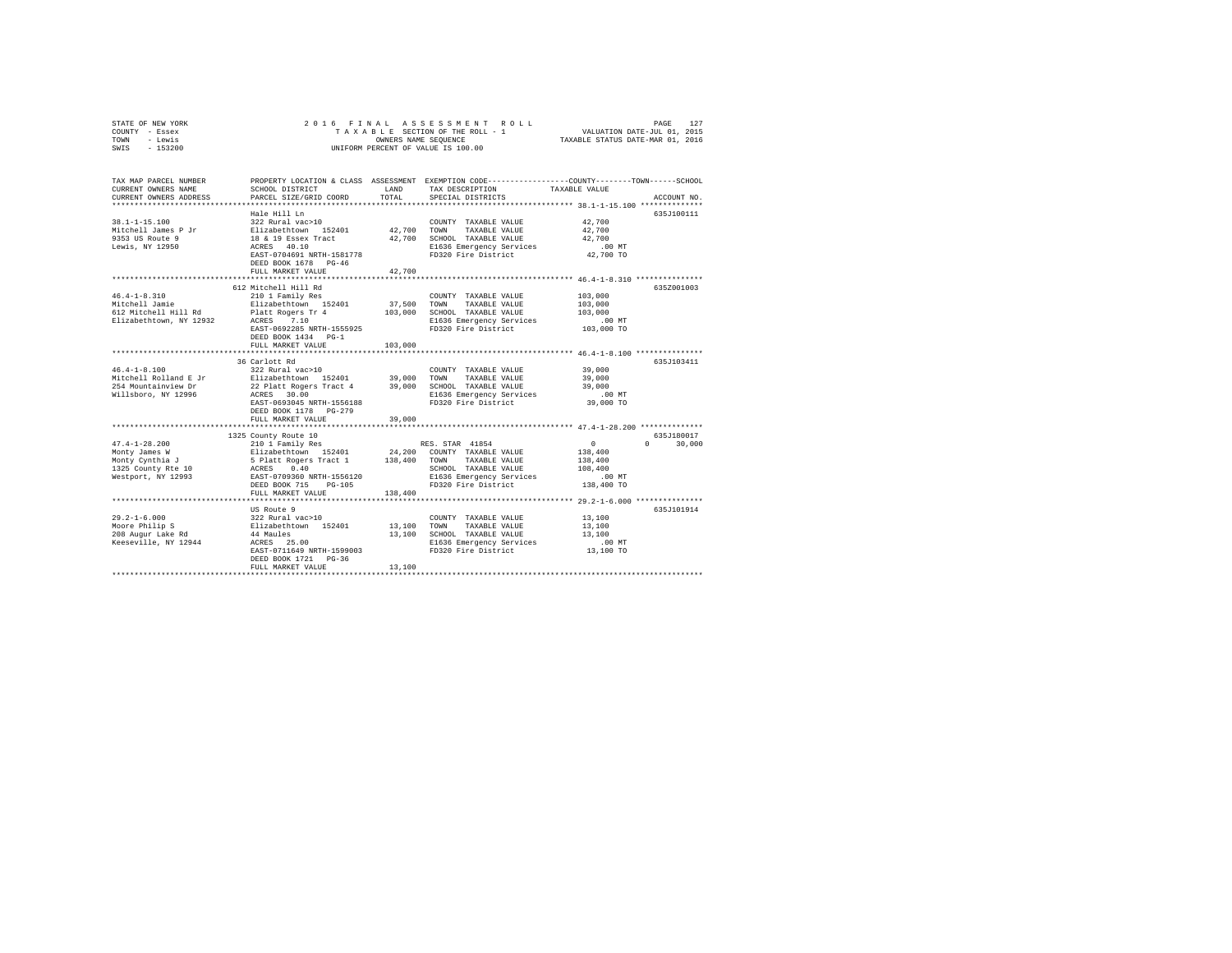|      | STATE OF NEW YORK |  |  |  | 2016 FINAL ASSESSMENT ROLL         |                                  | PAGE | 127 |
|------|-------------------|--|--|--|------------------------------------|----------------------------------|------|-----|
|      | COUNTY - Essex    |  |  |  | TAXABLE SECTION OF THE ROLL - 1    | VALUATION DATE-JUL 01, 2015      |      |     |
| TOWN | - Lewis           |  |  |  | OWNERS NAME SEOUENCE               | TAXABLE STATUS DATE-MAR 01, 2016 |      |     |
| SWIS | $-153200$         |  |  |  | UNIFORM PERCENT OF VALUE IS 100.00 |                                  |      |     |

| TAX MAP PARCEL NUMBER<br>CURRENT OWNERS NAME<br>CURRENT OWNERS ADDRESS | SCHOOL DISTRICT                             | LAND<br>TOTAL | PROPERTY LOCATION & CLASS ASSESSMENT EXEMPTION CODE----------------COUNTY-------TOWN------SCHOOL<br>TAX DESCRIPTION | TAXABLE VALUE                                    |                                 |
|------------------------------------------------------------------------|---------------------------------------------|---------------|---------------------------------------------------------------------------------------------------------------------|--------------------------------------------------|---------------------------------|
|                                                                        | PARCEL SIZE/GRID COORD                      |               | SPECIAL DISTRICTS                                                                                                   |                                                  | ACCOUNT NO.                     |
|                                                                        | Hale Hill Ln                                |               |                                                                                                                     |                                                  | 635J100111                      |
| $38.1 - 1 - 15.100$                                                    | 322 Rural vac>10                            |               | COUNTY TAXABLE VALUE 42.700                                                                                         |                                                  |                                 |
|                                                                        |                                             |               |                                                                                                                     |                                                  |                                 |
|                                                                        |                                             |               |                                                                                                                     | 42,700<br>42,700                                 |                                 |
| Lewis, NY 12950                                                        | ACRES 40.10                                 |               | E1636 Emergency Services .00 MT<br>FD320 Fire District 42,700 TO                                                    |                                                  |                                 |
|                                                                        | EAST-0704691 NRTH-1581778<br>DEED BOOK 1570 |               |                                                                                                                     |                                                  |                                 |
|                                                                        | DEED BOOK 1678 PG-46                        |               |                                                                                                                     |                                                  |                                 |
|                                                                        | FULL MARKET VALUE                           | 42,700<br>.   |                                                                                                                     | ****************** 46.4-1-8.310 **************** |                                 |
|                                                                        | 612 Mitchell Hill Rd                        |               |                                                                                                                     |                                                  | 635Z001003                      |
| $46.4 - 1 - 8.310$                                                     |                                             |               | COUNTY TAXABLE VALUE                                                                                                | 103,000                                          |                                 |
| Mitchell Jamie                                                         | 210 1 Family Res<br>Elizabethtown 152401    |               | 37,500 TOWN TAXABLE VALUE                                                                                           | 103,000                                          |                                 |
|                                                                        |                                             |               |                                                                                                                     |                                                  |                                 |
|                                                                        |                                             |               |                                                                                                                     | . 00 MT                                          |                                 |
|                                                                        | EAST-0692285 NRTH-1555925                   |               | FD320 Fire District                                                                                                 | 103,000 TO                                       |                                 |
|                                                                        | DEED BOOK 1434 PG-1                         |               |                                                                                                                     |                                                  |                                 |
|                                                                        | FULL MARKET VALUE                           | 103,000       |                                                                                                                     |                                                  |                                 |
|                                                                        |                                             |               |                                                                                                                     |                                                  |                                 |
|                                                                        | 36 Carlott Rd                               |               |                                                                                                                     |                                                  | 635J103411                      |
| $46.4 - 1 - 8.100$                                                     | 322 Rural vac>10                            |               |                                                                                                                     | 39,000                                           |                                 |
|                                                                        |                                             |               |                                                                                                                     |                                                  |                                 |
|                                                                        |                                             |               |                                                                                                                     |                                                  |                                 |
|                                                                        | EAST-0693045 NRTH-1556188                   |               | FD320 Fire District                                                                                                 | 39,000 TO                                        |                                 |
|                                                                        | DEED BOOK 1178 PG-279                       |               |                                                                                                                     |                                                  |                                 |
|                                                                        | FULL MARKET VALUE                           | 39,000        |                                                                                                                     |                                                  |                                 |
|                                                                        |                                             |               |                                                                                                                     |                                                  |                                 |
|                                                                        | 1325 County Route 10                        |               |                                                                                                                     |                                                  | 635J180017                      |
|                                                                        |                                             |               |                                                                                                                     |                                                  | $\Omega$ and $\Omega$<br>30,000 |
|                                                                        |                                             |               |                                                                                                                     |                                                  |                                 |
|                                                                        |                                             |               |                                                                                                                     |                                                  |                                 |
|                                                                        |                                             |               |                                                                                                                     |                                                  |                                 |
|                                                                        |                                             |               |                                                                                                                     |                                                  |                                 |
|                                                                        |                                             |               |                                                                                                                     |                                                  |                                 |
|                                                                        | FULL MARKET VALUE                           | 138,400       |                                                                                                                     |                                                  |                                 |
|                                                                        | US Route 9                                  |               |                                                                                                                     |                                                  | 635J101914                      |
| $29.2 - 1 - 6.000$                                                     |                                             |               | COUNTY TAXABLE VALUE                                                                                                | 13,100                                           |                                 |
|                                                                        |                                             |               | TAXABLE VALUE                                                                                                       | 13,100                                           |                                 |
| moore Philip S<br>208 Augur Lake Rd<br>                                |                                             |               | 13,100 SCHOOL TAXABLE VALUE                                                                                         | 13,100                                           |                                 |
|                                                                        |                                             |               | E1636 Emergency Services                                                                                            |                                                  |                                 |
|                                                                        | ACRES 25.00<br>EAST-0711649 NRTH-1599003    |               | FD320 Fire District                                                                                                 | .00 MT.<br>13,100 TO                             |                                 |
|                                                                        | DEED BOOK 1721 PG-36                        |               |                                                                                                                     |                                                  |                                 |
|                                                                        | FULL MARKET VALUE                           | 13,100        |                                                                                                                     |                                                  |                                 |
|                                                                        |                                             |               |                                                                                                                     |                                                  |                                 |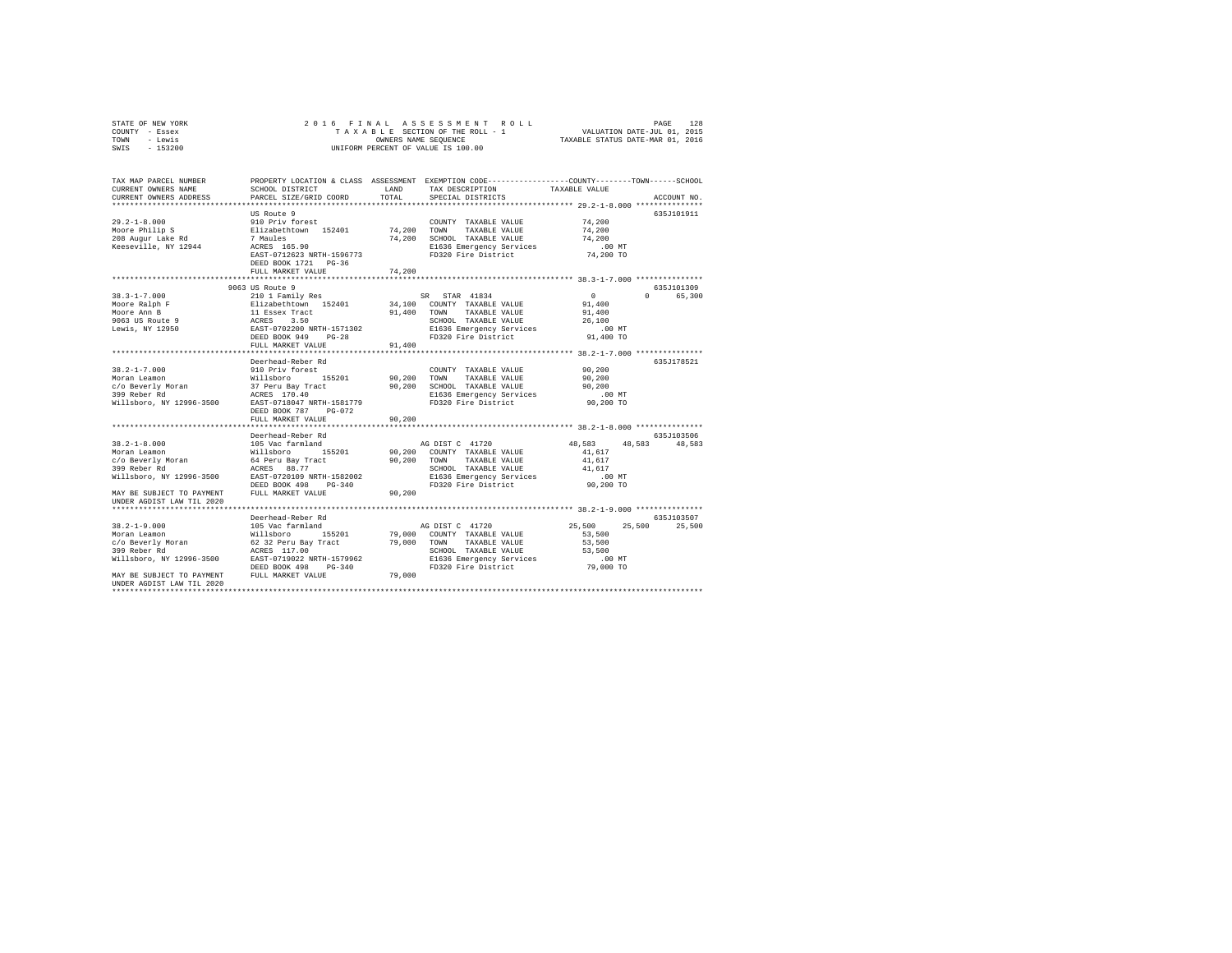| STATE OF NEW YORK |           |  |  | 2016 FINAL ASSESSMENT ROLL         |                                  | PAGE                        | 128 |
|-------------------|-----------|--|--|------------------------------------|----------------------------------|-----------------------------|-----|
| COUNTY - Essex    |           |  |  | TAXABLE SECTION OF THE ROLL - 1    |                                  | VALUATION DATE-JUL 01, 2015 |     |
| TOWN              | - Lewis   |  |  | OWNERS NAME SEOUENCE               | TAXABLE STATUS DATE-MAR 01, 2016 |                             |     |
| SWIS              | $-153200$ |  |  | UNIFORM PERCENT OF VALUE IS 100.00 |                                  |                             |     |

| TAX MAP PARCEL NUMBER                                  |                                        |        | PROPERTY LOCATION & CLASS ASSESSMENT EXEMPTION CODE---------------COUNTY-------TOWN-----SCHOOL |                |                                 |
|--------------------------------------------------------|----------------------------------------|--------|------------------------------------------------------------------------------------------------|----------------|---------------------------------|
| CURRENT OWNERS NAME                                    | SCHOOL DISTRICT                        | LAND   | TAX DESCRIPTION                                                                                | TAXABLE VALUE  |                                 |
| CURRENT OWNERS ADDRESS                                 | PARCEL SIZE/GRID COORD                 | TOTAL  | SPECIAL DISTRICTS                                                                              |                | ACCOUNT NO.                     |
|                                                        | *************************              |        |                                                                                                |                |                                 |
|                                                        | US Route 9                             |        |                                                                                                |                | 635J101911                      |
| $29.2 - 1 - 8.000$                                     | 910 Priv forest                        |        | COUNTY TAXABLE VALUE                                                                           | 74,200         |                                 |
| Moore Philip S                                         | Elizabethtown 152401<br>7 Maules       | 74,200 | TOWN<br>TAXABLE VALUE                                                                          | 74,200         |                                 |
| 208 Augur Lake Rd                                      |                                        |        | 74,200 SCHOOL TAXABLE VALUE                                                                    | 74,200         |                                 |
| Keeseville, NY 12944                                   | ACRES 165.90                           |        | E1636 Emergency Services                                                                       | .00 MT         |                                 |
|                                                        | EAST-0712623 NRTH-1596773              |        | FD320 Fire District                                                                            | 74,200 TO      |                                 |
|                                                        | DEED BOOK 1721 PG-36                   |        |                                                                                                |                |                                 |
|                                                        | FULL MARKET VALUE                      | 74,200 |                                                                                                |                |                                 |
|                                                        |                                        |        |                                                                                                |                |                                 |
|                                                        | 9063 US Route 9                        |        |                                                                                                |                | 635J101309                      |
| $38.3 - 1 - 7.000$                                     | 210 1 Family Res                       |        | SR STAR 41834                                                                                  | $\overline{0}$ | $\Omega$ and $\Omega$<br>65,300 |
| Moore Ralph F                                          |                                        |        | 34,100 COUNTY TAXABLE VALUE                                                                    | 91,400         |                                 |
| Moore Ann B                                            | Elizabethtown 152401<br>11 Essex Tract | 91,400 | TAXABLE VALUE<br>TOWN                                                                          | 91,400         |                                 |
| 9063 US Route 9                                        |                                        |        | SCHOOL TAXABLE VALUE                                                                           | 26,100         |                                 |
| Lewis, NY 12950                                        |                                        |        |                                                                                                | $.00$ MT       |                                 |
|                                                        | DEED BOOK 949<br>$PG-28$               |        | E1636 Emergency Services<br>FD320 Fire District                                                | 91,400 TO      |                                 |
|                                                        | FULL MARKET VALUE                      | 91,400 |                                                                                                |                |                                 |
|                                                        |                                        |        |                                                                                                |                |                                 |
|                                                        | Deerhead-Reber Rd                      |        |                                                                                                |                | 635J178521                      |
| $38.2 - 1 - 7.000$                                     | 910 Priv forest                        |        | COUNTY TAXABLE VALUE                                                                           | 90.200         |                                 |
| Moran Leamon                                           | Willsboro<br>155201                    | 90,200 | TOWN<br>TAXABLE VALUE                                                                          | 90,200         |                                 |
| c/o Beverly Moran                                      | 37 Peru Bay Tract                      |        | 90,200 SCHOOL TAXABLE VALUE                                                                    | 90,200         |                                 |
| 399 Reber Rd                                           | ACRES 170.40                           |        | E1636 Emergency Services                                                                       | $.00$ MT       |                                 |
| Willsboro, NY 12996-3500                               | EAST-0718047 NRTH-1581779              |        | FD320 Fire District                                                                            | 90,200 TO      |                                 |
|                                                        | DEED BOOK 787<br>PG-072                |        |                                                                                                |                |                                 |
|                                                        | FULL MARKET VALUE                      | 90.200 |                                                                                                |                |                                 |
|                                                        | ***********************                |        |                                                                                                |                |                                 |
|                                                        | Deerhead-Reber Rd                      |        |                                                                                                |                | 635J103506                      |
| $38.2 - 1 - 8.000$                                     | 105 Vac farmland                       |        | AG DIST C 41720                                                                                | 48,583 48,583  | 48.583                          |
| Moran Leamon                                           | Willsboro 155201                       |        | 90,200 COUNTY TAXABLE VALUE                                                                    | 41.617         |                                 |
|                                                        | 64 Peru Bay Tract                      | 90,200 | TOWN<br>TAXABLE VALUE                                                                          | 41,617         |                                 |
| C/O Beverly Moran<br>200 Beverly Moran<br>399 Reber Rd | ACRES 88.77                            |        | SCHOOL TAXABLE VALUE                                                                           | 41,617         |                                 |
| Willsboro, NY 12996-3500                               | EAST-0720109 NRTH-1582002              |        | E1636 Emergency Services                                                                       | .00 MT         |                                 |
|                                                        | DEED BOOK 498<br>$PG-340$              |        | FD320 Fire District                                                                            | 90,200 TO      |                                 |
| MAY BE SUBJECT TO PAYMENT                              | FULL MARKET VALUE                      | 90,200 |                                                                                                |                |                                 |
| UNDER AGDIST LAW TIL 2020                              |                                        |        |                                                                                                |                |                                 |
|                                                        |                                        |        |                                                                                                |                |                                 |
|                                                        | Deerhead-Reber Rd                      |        |                                                                                                |                | 635J103507                      |
| $38.2 - 1 - 9.000$                                     | 105 Vac farmland                       |        | AG DIST C 41720                                                                                | 25,500         | 25,500<br>25,500                |
| Moran Leamon                                           | 155201<br>Willsboro                    |        | 79,000 COUNTY TAXABLE VALUE                                                                    | 53,500         |                                 |
| c/o Beverly Moran                                      | 62 32 Peru Bay Tract                   |        | 79,000 TOWN TAXABLE VALUE                                                                      | 53,500         |                                 |
| 399 Reber Rd                                           | ACRES 117.00                           |        | SCHOOL TAXABLE VALUE                                                                           | 53,500         |                                 |
| Willsboro, NY 12996-3500                               | EAST-0719022 NRTH-1579962              |        | E1636 Emergency Services                                                                       | $.00$ MT       |                                 |
|                                                        | DEED BOOK 498<br>PG-340                |        | FD320 Fire District                                                                            | 79,000 TO      |                                 |
| MAY BE SUBJECT TO PAYMENT                              | FULL MARKET VALUE                      | 79,000 |                                                                                                |                |                                 |
| UNDER AGDIST LAW TIL 2020                              |                                        |        |                                                                                                |                |                                 |
|                                                        |                                        |        |                                                                                                |                |                                 |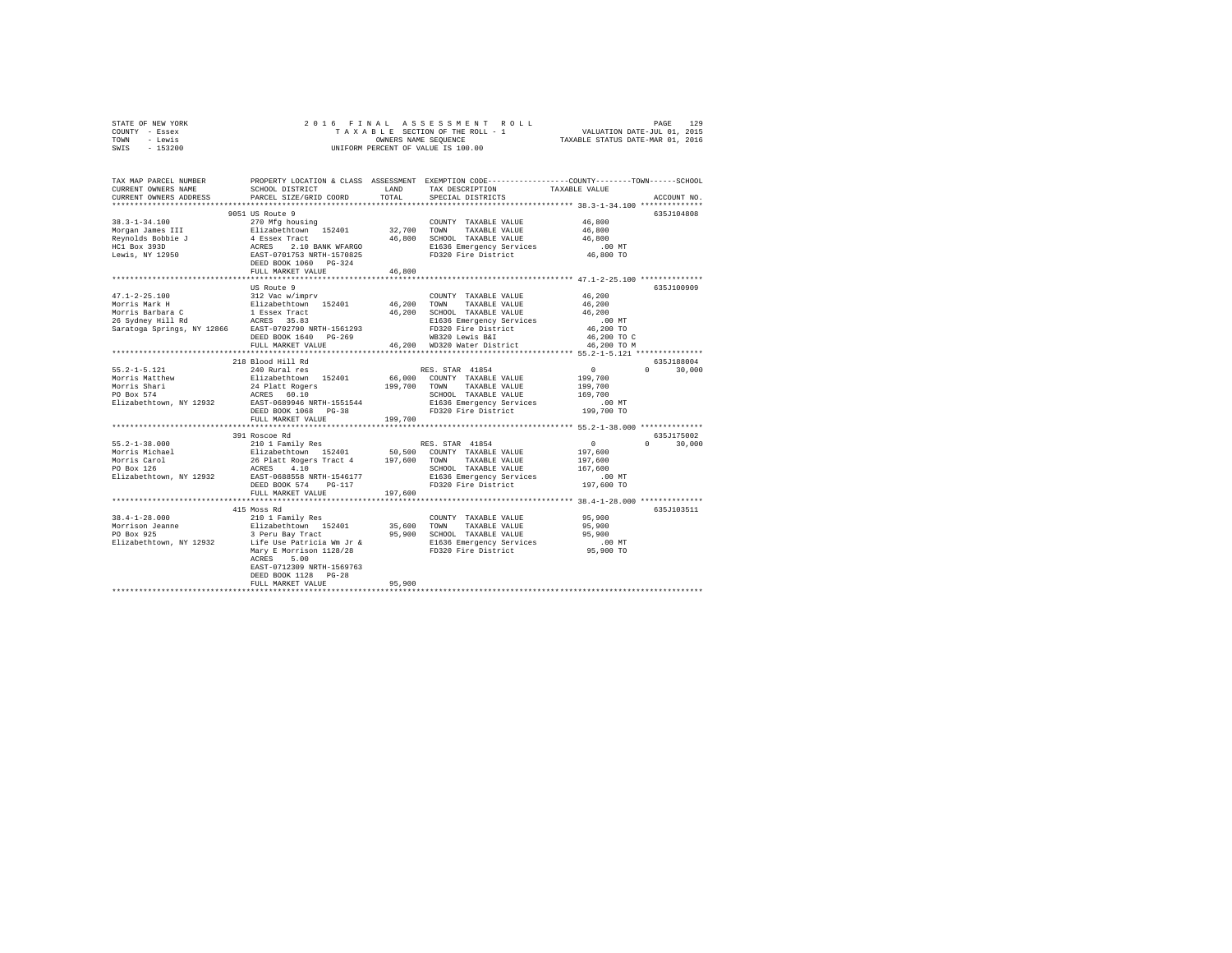| STATE OF NEW YORK | 2016 FINAL ASSESSMENT ROLL         | 129<br>PAGE                      |
|-------------------|------------------------------------|----------------------------------|
| COUNTY - Essex    | TAXABLE SECTION OF THE ROLL - 1    | VALUATION DATE-JUL 01, 2015      |
| TOWN<br>- Lewis   | OWNERS NAME SEOUENCE               | TAXABLE STATUS DATE-MAR 01, 2016 |
| $-153200$<br>SWIS | UNIFORM PERCENT OF VALUE IS 100.00 |                                  |

| TAX MAP PARCEL NUMBER<br>CURRENT OWNERS NAME<br>CURRENT OWNERS ADDRESS                                                                                               | SCHOOL DISTRICT<br>PARCEL SIZE/GRID COORD                                                                                                                                                                                              | LAND<br>TOTAL | PROPERTY LOCATION & CLASS ASSESSMENT EXEMPTION CODE----------------COUNTY-------TOWN------SCHOOL<br>TAX DESCRIPTION<br>SPECIAL DISTRICTS | TAXABLE VALUE    | ACCOUNT NO.        |
|----------------------------------------------------------------------------------------------------------------------------------------------------------------------|----------------------------------------------------------------------------------------------------------------------------------------------------------------------------------------------------------------------------------------|---------------|------------------------------------------------------------------------------------------------------------------------------------------|------------------|--------------------|
| ***********************                                                                                                                                              |                                                                                                                                                                                                                                        |               |                                                                                                                                          |                  |                    |
|                                                                                                                                                                      | 9051 US Route 9                                                                                                                                                                                                                        |               |                                                                                                                                          |                  | 635J104808         |
|                                                                                                                                                                      |                                                                                                                                                                                                                                        |               | COUNTY TAXABLE VALUE                                                                                                                     | 46,800           |                    |
|                                                                                                                                                                      |                                                                                                                                                                                                                                        | 32.700 TOWN   | TAXABLE VALUE                                                                                                                            | 46,800           |                    |
|                                                                                                                                                                      |                                                                                                                                                                                                                                        |               | 46,800 SCHOOL TAXABLE VALUE                                                                                                              | 46,800           |                    |
|                                                                                                                                                                      |                                                                                                                                                                                                                                        |               | E1636 Emergency Services                                                                                                                 | $.00$ MT         |                    |
|                                                                                                                                                                      |                                                                                                                                                                                                                                        |               | FD320 Fire District                                                                                                                      | 46,800 TO        |                    |
|                                                                                                                                                                      | DEED BOOK 1060 PG-324                                                                                                                                                                                                                  |               |                                                                                                                                          |                  |                    |
|                                                                                                                                                                      | FULL MARKET VALUE                                                                                                                                                                                                                      | 46,800        |                                                                                                                                          |                  |                    |
|                                                                                                                                                                      |                                                                                                                                                                                                                                        |               |                                                                                                                                          |                  |                    |
|                                                                                                                                                                      | US Route 9                                                                                                                                                                                                                             |               |                                                                                                                                          |                  | 635J100909         |
|                                                                                                                                                                      |                                                                                                                                                                                                                                        |               | COUNTY TAXABLE VALUE                                                                                                                     | 46,200           |                    |
|                                                                                                                                                                      |                                                                                                                                                                                                                                        | 46,200 TOWN   | TAXABLE VALUE                                                                                                                            | 46,200           |                    |
|                                                                                                                                                                      |                                                                                                                                                                                                                                        |               | 46,200 SCHOOL TAXABLE VALUE                                                                                                              | 46,200           |                    |
|                                                                                                                                                                      |                                                                                                                                                                                                                                        |               | E1636 Emergency Services                                                                                                                 | $.00$ MT         |                    |
|                                                                                                                                                                      |                                                                                                                                                                                                                                        |               | FD320 Fire District                                                                                                                      | 46,200 TO        |                    |
|                                                                                                                                                                      | DEED BOOK 1640 PG-269                                                                                                                                                                                                                  |               | WB320 Lewis B&I                                                                                                                          | 46,200 TO C      |                    |
|                                                                                                                                                                      | FULL MARKET VALUE                                                                                                                                                                                                                      |               | 46,200 WD320 Water District                                                                                                              | 46,200 TO M      |                    |
|                                                                                                                                                                      |                                                                                                                                                                                                                                        |               |                                                                                                                                          |                  |                    |
|                                                                                                                                                                      | 218 Blood Hill Rd                                                                                                                                                                                                                      |               |                                                                                                                                          |                  | 635J188004         |
| $55.2 - 1 - 5.121$                                                                                                                                                   | 240 Rural res                                                                                                                                                                                                                          |               | RES. STAR 41854                                                                                                                          | $\sim$ 0         | 30,000<br>$\Omega$ |
|                                                                                                                                                                      |                                                                                                                                                                                                                                        |               | 66,000 COUNTY TAXABLE VALUE                                                                                                              | 199,700          |                    |
|                                                                                                                                                                      |                                                                                                                                                                                                                                        |               | 199,700 TOWN TAXABLE VALUE                                                                                                               | 199,700          |                    |
|                                                                                                                                                                      |                                                                                                                                                                                                                                        |               | SCHOOL TAXABLE VALUE                                                                                                                     | 169,700          |                    |
| Morris Matthew 152401<br>Morris Shari 24 Platt Rogers<br>Morris Shari 24 Platt Rogers<br>20 Box 574 ACRES 60.10<br>Blizabethtown, NY 12932 EAST-0689946 NRTH-1551544 |                                                                                                                                                                                                                                        |               | E1636 Emergency Services                                                                                                                 | .00MT            |                    |
|                                                                                                                                                                      | DEED BOOK 1068 PG-38                                                                                                                                                                                                                   |               | FD320 Fire District                                                                                                                      | 199,700 TO       |                    |
|                                                                                                                                                                      | FULL MARKET VALUE                                                                                                                                                                                                                      | 199,700       |                                                                                                                                          |                  |                    |
|                                                                                                                                                                      |                                                                                                                                                                                                                                        |               |                                                                                                                                          |                  |                    |
|                                                                                                                                                                      | 391 Roscoe Rd                                                                                                                                                                                                                          |               |                                                                                                                                          |                  | 635J175002         |
| $55.2 - 1 - 38.000$                                                                                                                                                  | 210 1 Family Res                                                                                                                                                                                                                       |               | RES. STAR 41854                                                                                                                          | $\sim$ 0         | $\Omega$<br>30,000 |
| Morris Michael                                                                                                                                                       |                                                                                                                                                                                                                                        |               |                                                                                                                                          | 197,600          |                    |
| Morris Carol                                                                                                                                                         |                                                                                                                                                                                                                                        |               |                                                                                                                                          | 197,600          |                    |
| PO Box 126                                                                                                                                                           |                                                                                                                                                                                                                                        |               | SCHOOL TAXABLE VALUE                                                                                                                     | 167,600          |                    |
| Elizabethtown, NY 12932                                                                                                                                              | XIU I Family Res CONSTRUCT SALE VALUE<br>26 Platt Rogers Tract 4 197,600 TOWN TAXABLE VALUE<br>26 Platt Rogers Tract 4 197,600 TOWN TAXABLE VALUE<br>26 REST-0688558 NRTH-1546177 SCHOOL TAXABLE VALUE<br>EAST-0688558 NRTH-1546177 B1 |               | E1636 Emergency Services<br>FD320 Fire District                                                                                          | $.00 \text{ MT}$ |                    |
|                                                                                                                                                                      | DEED BOOK 574<br>$PG-117$                                                                                                                                                                                                              |               |                                                                                                                                          | 197,600 TO       |                    |
|                                                                                                                                                                      | FULL MARKET VALUE                                                                                                                                                                                                                      | 197,600       |                                                                                                                                          |                  |                    |
|                                                                                                                                                                      |                                                                                                                                                                                                                                        |               |                                                                                                                                          |                  |                    |
|                                                                                                                                                                      | 415 Moss Rd                                                                                                                                                                                                                            |               |                                                                                                                                          |                  | 635J103511         |
| $38.4 - 1 - 28.000$                                                                                                                                                  |                                                                                                                                                                                                                                        |               | COUNTY TAXABLE VALUE                                                                                                                     | 95,900           |                    |
| Morrison Jeanne                                                                                                                                                      |                                                                                                                                                                                                                                        | 35,600 TOWN   | TAXABLE VALUE                                                                                                                            | 95,900           |                    |
| PO Box 925                                                                                                                                                           |                                                                                                                                                                                                                                        |               | 95,900 SCHOOL TAXABLE VALUE                                                                                                              | 95,900           |                    |
| Elizabethtown, NY 12932                                                                                                                                              |                                                                                                                                                                                                                                        |               | E1636 Emergency Services                                                                                                                 | $.00$ MT         |                    |
|                                                                                                                                                                      | Mary E Morrison 1128/28                                                                                                                                                                                                                |               | FD320 Fire District                                                                                                                      | 95,900 TO        |                    |
|                                                                                                                                                                      | 5.00<br>ACRES                                                                                                                                                                                                                          |               |                                                                                                                                          |                  |                    |
|                                                                                                                                                                      | EAST-0712309 NRTH-1569763                                                                                                                                                                                                              |               |                                                                                                                                          |                  |                    |
|                                                                                                                                                                      | DEED BOOK 1128 PG-28                                                                                                                                                                                                                   |               |                                                                                                                                          |                  |                    |
|                                                                                                                                                                      | FULL MARKET VALUE                                                                                                                                                                                                                      | 95,900        |                                                                                                                                          |                  |                    |
|                                                                                                                                                                      |                                                                                                                                                                                                                                        |               |                                                                                                                                          |                  |                    |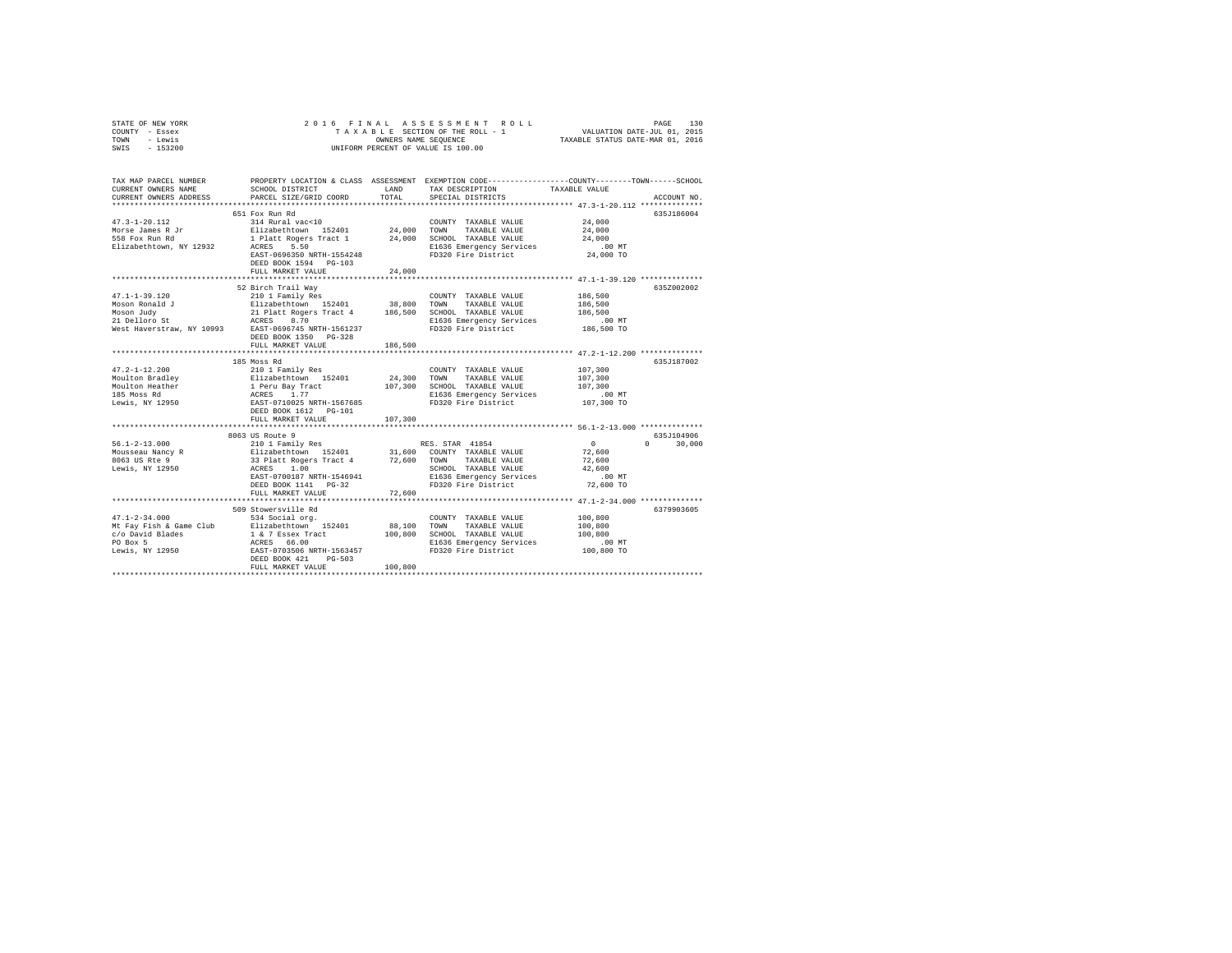| STATE OF NEW YORK | 2016 FINAL ASSESSMENT ROLL         | 130<br>PAGE                      |
|-------------------|------------------------------------|----------------------------------|
| COUNTY - Essex    | TAXABLE SECTION OF THE ROLL - 1    | VALUATION DATE-JUL 01, 2015      |
| TOWN<br>- Lewis   | OWNERS NAME SEOUENCE               | TAXABLE STATUS DATE-MAR 01, 2016 |
| $-153200$<br>SWIS | UNIFORM PERCENT OF VALUE IS 100.00 |                                  |

| TAX MAP PARCEL NUMBER<br>CURRENT OWNERS NAME<br>CURRENT OWNERS ADDRESS | SCHOOL DISTRICT<br>PARCEL SIZE/GRID COORD                                                                                                                                                                                                  | <b>T.AND</b><br>TOTAL. | PROPERTY LOCATION & CLASS ASSESSMENT EXEMPTION CODE----------------COUNTY-------TOWN------SCHOOL<br>TAX DESCRIPTION<br>SPECIAL DISTRICTS | TAXABLE VALUE        | ACCOUNT NO.                |
|------------------------------------------------------------------------|--------------------------------------------------------------------------------------------------------------------------------------------------------------------------------------------------------------------------------------------|------------------------|------------------------------------------------------------------------------------------------------------------------------------------|----------------------|----------------------------|
|                                                                        |                                                                                                                                                                                                                                            |                        |                                                                                                                                          |                      |                            |
|                                                                        | 651 Fox Run Rd                                                                                                                                                                                                                             |                        |                                                                                                                                          |                      | 635J186004                 |
| $47.3 - 1 - 20.112$                                                    | 314 Rural vac<10                                                                                                                                                                                                                           |                        | COUNTY TAXABLE VALUE                                                                                                                     | 24,000               |                            |
|                                                                        |                                                                                                                                                                                                                                            |                        |                                                                                                                                          | 24,000               |                            |
|                                                                        |                                                                                                                                                                                                                                            |                        |                                                                                                                                          | 24,000               |                            |
| Elizabethtown, NY 12932 ACRES 5.50                                     |                                                                                                                                                                                                                                            |                        |                                                                                                                                          |                      |                            |
|                                                                        | EAST-0696350 NRTH-1554248                                                                                                                                                                                                                  |                        | E1636 Emergency Services .00 MT<br>FD320 Fire District 24,000 TO                                                                         |                      |                            |
|                                                                        | DEED BOOK 1594 PG-103                                                                                                                                                                                                                      |                        |                                                                                                                                          |                      |                            |
|                                                                        | FULL MARKET VALUE                                                                                                                                                                                                                          | 24,000                 |                                                                                                                                          |                      |                            |
|                                                                        |                                                                                                                                                                                                                                            |                        |                                                                                                                                          |                      |                            |
|                                                                        | 52 Birch Trail Wav                                                                                                                                                                                                                         |                        |                                                                                                                                          |                      | 635Z002002                 |
| $47.1 - 1 - 39.120$                                                    |                                                                                                                                                                                                                                            |                        | COUNTY TAXABLE VALUE                                                                                                                     | 186,500              |                            |
|                                                                        |                                                                                                                                                                                                                                            |                        |                                                                                                                                          |                      |                            |
|                                                                        |                                                                                                                                                                                                                                            |                        |                                                                                                                                          |                      |                            |
|                                                                        |                                                                                                                                                                                                                                            |                        |                                                                                                                                          | 00 MT.<br>186,500 TO |                            |
|                                                                        | Moson Ronald J<br>Moson Judy J<br>Moson Judy Julat Rogers Tract 4 186,500 TOWN TAXABLE VALUE 186,500<br>Moson Judy Julat Rogers ACRES 8.70<br>21 Delloro St RCRES 8.70<br>West Haverstraw, NY 10993 EAST-0696745 NRTH-1561237<br>West Have |                        |                                                                                                                                          |                      |                            |
|                                                                        | DEED BOOK 1350 PG-328                                                                                                                                                                                                                      |                        |                                                                                                                                          |                      |                            |
|                                                                        | FULL MARKET VALUE                                                                                                                                                                                                                          | 186,500                |                                                                                                                                          |                      |                            |
|                                                                        |                                                                                                                                                                                                                                            |                        |                                                                                                                                          |                      |                            |
|                                                                        |                                                                                                                                                                                                                                            |                        |                                                                                                                                          |                      | 635J187002                 |
|                                                                        |                                                                                                                                                                                                                                            |                        |                                                                                                                                          |                      |                            |
|                                                                        |                                                                                                                                                                                                                                            |                        |                                                                                                                                          |                      |                            |
|                                                                        |                                                                                                                                                                                                                                            |                        |                                                                                                                                          |                      |                            |
|                                                                        |                                                                                                                                                                                                                                            |                        |                                                                                                                                          |                      |                            |
|                                                                        |                                                                                                                                                                                                                                            |                        |                                                                                                                                          |                      |                            |
|                                                                        | DEED BOOK 1612    PG-101                                                                                                                                                                                                                   |                        |                                                                                                                                          |                      |                            |
|                                                                        | FULL MARKET VALUE                                                                                                                                                                                                                          | 107,300                |                                                                                                                                          |                      |                            |
|                                                                        |                                                                                                                                                                                                                                            |                        |                                                                                                                                          |                      |                            |
|                                                                        | 8063 US Route 9                                                                                                                                                                                                                            |                        |                                                                                                                                          |                      | 635J104906<br>$\mathbf{0}$ |
|                                                                        |                                                                                                                                                                                                                                            |                        |                                                                                                                                          |                      | 30,000                     |
|                                                                        |                                                                                                                                                                                                                                            |                        |                                                                                                                                          |                      |                            |
|                                                                        |                                                                                                                                                                                                                                            |                        |                                                                                                                                          |                      |                            |
|                                                                        |                                                                                                                                                                                                                                            |                        |                                                                                                                                          |                      |                            |
|                                                                        | EAST-0700187 NRTH-1546941                                                                                                                                                                                                                  |                        |                                                                                                                                          |                      |                            |
|                                                                        | DEED BOOK 1141 PG-32<br>FULL MARKET VALUE                                                                                                                                                                                                  | 72,600                 |                                                                                                                                          |                      |                            |
|                                                                        |                                                                                                                                                                                                                                            |                        |                                                                                                                                          |                      |                            |
|                                                                        | 509 Stowersville Rd                                                                                                                                                                                                                        |                        |                                                                                                                                          |                      | 6379903605                 |
| $47.1 - 2 - 34.000$                                                    | 534 Social org.                                                                                                                                                                                                                            |                        | COUNTY TAXABLE VALUE                                                                                                                     | 100,800              |                            |
|                                                                        |                                                                                                                                                                                                                                            | 88,100 TOWN            | TAXABLE VALUE                                                                                                                            | 100,800              |                            |
|                                                                        |                                                                                                                                                                                                                                            |                        | 100,800 SCHOOL TAXABLE VALUE                                                                                                             | 100,800              |                            |
|                                                                        |                                                                                                                                                                                                                                            |                        |                                                                                                                                          |                      |                            |
|                                                                        |                                                                                                                                                                                                                                            |                        | E1636 Emergency Services .00 MT<br>FD320 Fire District  100,800 TO<br>FD320 Fire District                                                |                      |                            |
|                                                                        | $PG-503$<br>DEED BOOK 421                                                                                                                                                                                                                  |                        |                                                                                                                                          |                      |                            |
|                                                                        | FULL MARKET VALUE                                                                                                                                                                                                                          | 100,800                |                                                                                                                                          |                      |                            |
|                                                                        |                                                                                                                                                                                                                                            |                        |                                                                                                                                          |                      |                            |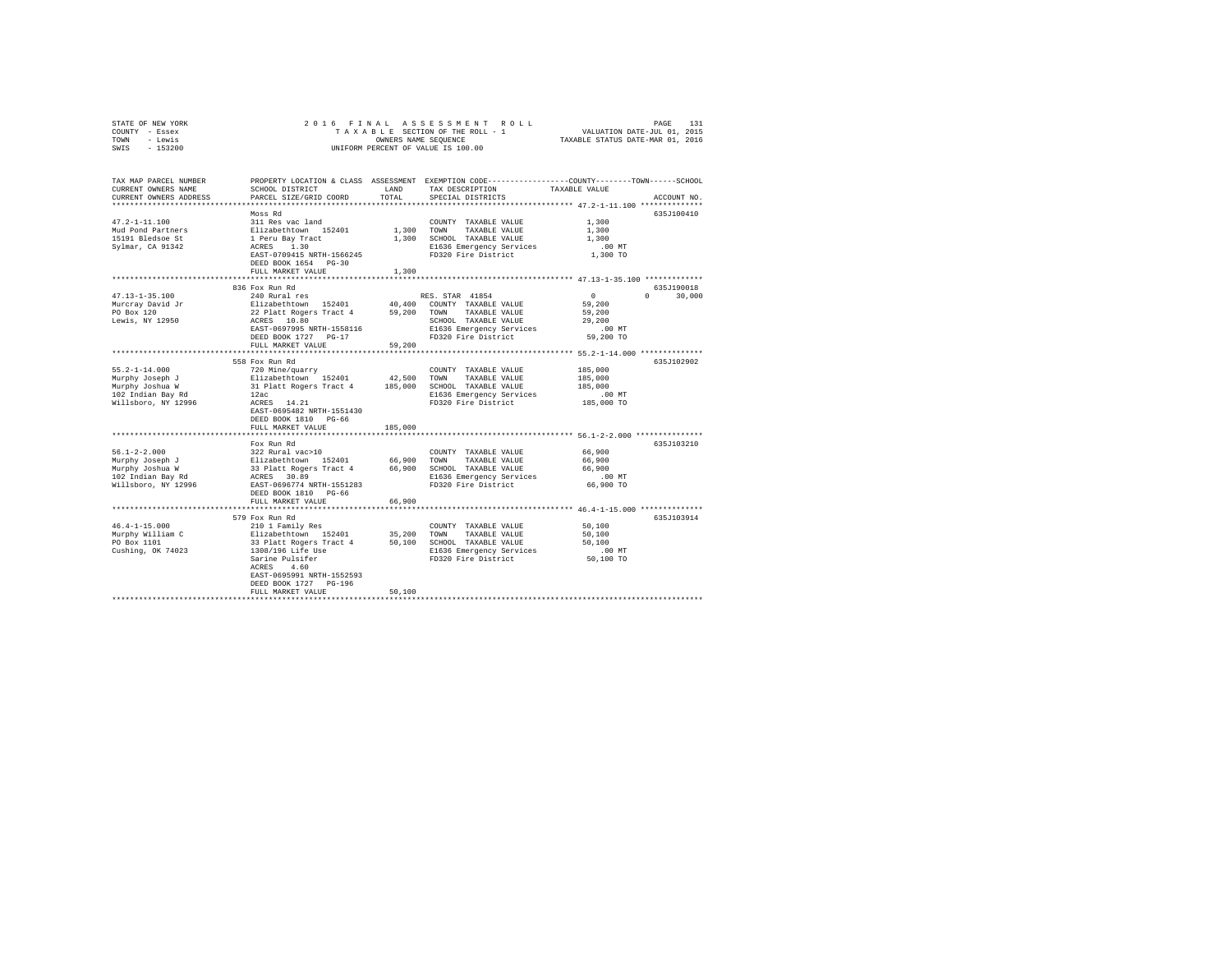| STATE OF NEW YORK<br>COUNTY - Essex<br>TOWN - Lewis<br>SWIS - 153200 | 2016 FINAL ASSESSMENT ROLL<br>TAXABLE SECTION OF THE ROLL - 1<br>UNIFORM PERCENT OF VALUE IS 100.00 | VALUATION DATE-JUL 01, 2015<br>TAXABLE STATUS DATE-MAR 01, 2016 | PAGE<br>131                                                                                                                     |                      |                  |
|----------------------------------------------------------------------|-----------------------------------------------------------------------------------------------------|-----------------------------------------------------------------|---------------------------------------------------------------------------------------------------------------------------------|----------------------|------------------|
| TAX MAP PARCEL NUMBER<br>CURRENT OWNERS NAME                         | SCHOOL DISTRICT                                                                                     | LAND                                                            | PROPERTY LOCATION & CLASS ASSESSMENT EXEMPTION CODE---------------COUNTY-------TOWN-----SCHOOL<br>TAX DESCRIPTION TAXABLE VALUE |                      |                  |
| CURRENT OWNERS ADDRESS                                               | PARCEL SIZE/GRID COORD                                                                              | TOTAL                                                           | SPECIAL DISTRICTS                                                                                                               |                      | ACCOUNT NO.      |
|                                                                      |                                                                                                     |                                                                 |                                                                                                                                 |                      |                  |
|                                                                      | Moss Rd                                                                                             |                                                                 |                                                                                                                                 |                      | 635J100410       |
| $47.2 - 1 - 11.100$                                                  | 311 Res vac land                                                                                    |                                                                 | COUNTY TAXABLE VALUE 1,300                                                                                                      |                      |                  |
| Mud Pond Partners                                                    | Elizabethtown 152401                                                                                | 1,300 TOWN                                                      | TAXABLE VALUE                                                                                                                   | 1,300                |                  |
| 15191 Bledsoe St                                                     | 1 Peru Bay Tract                                                                                    |                                                                 | 1,300 SCHOOL TAXABLE VALUE                                                                                                      | 1,300                |                  |
| Sylmar, CA 91342                                                     | ACRES 1.30<br>EAST-0709415 NRTH-1566245                                                             |                                                                 | E1636 Emergency Services<br>FD320 Fire District                                                                                 | $.00$ MT<br>1,300 TO |                  |
|                                                                      | DEED BOOK 1654 PG-30                                                                                |                                                                 |                                                                                                                                 |                      |                  |
|                                                                      | FULL MARKET VALUE                                                                                   | 1,300                                                           |                                                                                                                                 |                      |                  |
|                                                                      |                                                                                                     |                                                                 |                                                                                                                                 |                      |                  |
|                                                                      | 836 Fox Run Rd                                                                                      |                                                                 |                                                                                                                                 |                      | 635.T190018      |
| $47.13 - 1 - 35.100$                                                 | 240 Rural res                                                                                       |                                                                 | RES. STAR 41854                                                                                                                 | $\sim$ 0             | $\cap$<br>30,000 |
| Murcray David Jr                                                     | Elizabethtown 152401 40,400 COUNTY TAXABLE VALUE                                                    |                                                                 |                                                                                                                                 | 59,200               |                  |
| PO Box 120                                                           | 22 Platt Rogers Tract 4                                                                             | 59,200                                                          | TOWN<br>TAXABLE VALUE                                                                                                           | 59,200               |                  |
| Lewis, NY 12950                                                      | ACRES 10.80                                                                                         |                                                                 | SCHOOL TAXABLE VALUE                                                                                                            | 29,200               |                  |
|                                                                      | EAST-0697995 NRTH-1558116                                                                           |                                                                 | E1636 Emergency Services .00 MT<br>FD320 Fire District 59,200 TO                                                                |                      |                  |
|                                                                      | DEED BOOK 1727 PG-17                                                                                |                                                                 |                                                                                                                                 |                      |                  |
|                                                                      | FULL MARKET VALUE                                                                                   | 59,200                                                          |                                                                                                                                 |                      |                  |
|                                                                      | 558 Fox Run Rd                                                                                      |                                                                 |                                                                                                                                 |                      |                  |
| $55.2 - 1 - 14.000$                                                  | 720 Mine/quarry                                                                                     |                                                                 | COUNTY TAXABLE VALUE                                                                                                            | 185,000              | 635J102902       |
| Murphy Joseph J                                                      |                                                                                                     |                                                                 | TOWN<br>TAXABLE VALUE                                                                                                           | 185,000              |                  |
| Murphy Joshua W                                                      | Elizabethtown 152401 42,500<br>31 Platt Rogers Tract 4 185,000                                      |                                                                 | SCHOOL TAXABLE VALUE                                                                                                            | 185,000              |                  |
| 102 Indian Bay Rd                                                    | 12ac                                                                                                |                                                                 | E1636 Emergency Services                                                                                                        | .00 MT               |                  |
| Willsboro, NY 12996                                                  | ACRES 14.21                                                                                         |                                                                 | FD320 Fire District                                                                                                             | 185,000 TO           |                  |
|                                                                      | EAST-0695482 NRTH-1551430                                                                           |                                                                 |                                                                                                                                 |                      |                  |
|                                                                      | DEED BOOK 1810 PG-66                                                                                |                                                                 |                                                                                                                                 |                      |                  |
|                                                                      | FULL MARKET VALUE                                                                                   | 185,000                                                         |                                                                                                                                 |                      |                  |
|                                                                      |                                                                                                     |                                                                 |                                                                                                                                 |                      |                  |
|                                                                      | Fox Run Rd                                                                                          |                                                                 |                                                                                                                                 |                      | 635J103210       |
| $56.1 - 2 - 2.000$                                                   | 322 Rural vac>10<br>322 Rural vac>10<br>Elizabethtown 152401 66,900                                 |                                                                 | COUNTY TAXABLE VALUE                                                                                                            | 66,900               |                  |
| Murphy Joseph J                                                      |                                                                                                     |                                                                 | TOWN<br>TAXABLE VALUE                                                                                                           | 66,900<br>66,900     |                  |
| Murphy Joshua W<br>102 Indian Bay Rd                                 | 33 Platt Rogers Tract 4 66,900 SCHOOL TAXABLE VALUE<br>ACRES 30.89                                  |                                                                 | E1636 Emergency Services                                                                                                        | $.00$ MT             |                  |
| Willsboro, NY 12996                                                  | EAST-0696774 NRTH-1551283                                                                           |                                                                 | FD320 Fire District                                                                                                             | 66,900 TO            |                  |
|                                                                      | DEED BOOK 1810 PG-66                                                                                |                                                                 |                                                                                                                                 |                      |                  |
|                                                                      | FULL MARKET VALUE                                                                                   | 66,900                                                          |                                                                                                                                 |                      |                  |
|                                                                      |                                                                                                     |                                                                 |                                                                                                                                 |                      |                  |

579 Fox Run Rd 635J103914 46.4-1-15.000 210 1 Family Res COUNTY TAXABLE VALUE 50,100 Murphy William C Elizabethtown 152401 35,200 TOWN TAXABLE VALUE 50,100 PO Box 1101 33 Platt Rogers Tract 4 50,100 SCHOOL TAXABLE VALUE 50,100 Cushing, OK 74023 1308/196 Life Use E1636 Emergency Services .00 MT Sarine Pulsifer FD320 Fire District 50,100 TO ACRES 4.60 EAST-0695991 NRTH-1552593 DEED BOOK 1727 PG-196 FULL MARKET VALUE 50,100 \*\*\*\*\*\*\*\*\*\*\*\*\*\*\*\*\*\*\*\*\*\*\*\*\*\*\*\*\*\*\*\*\*\*\*\*\*\*\*\*\*\*\*\*\*\*\*\*\*\*\*\*\*\*\*\*\*\*\*\*\*\*\*\*\*\*\*\*\*\*\*\*\*\*\*\*\*\*\*\*\*\*\*\*\*\*\*\*\*\*\*\*\*\*\*\*\*\*\*\*\*\*\*\*\*\*\*\*\*\*\*\*\*\*\*\*\*\*\*\*\*\*\*\*\*\*\*\*\*\*\*\*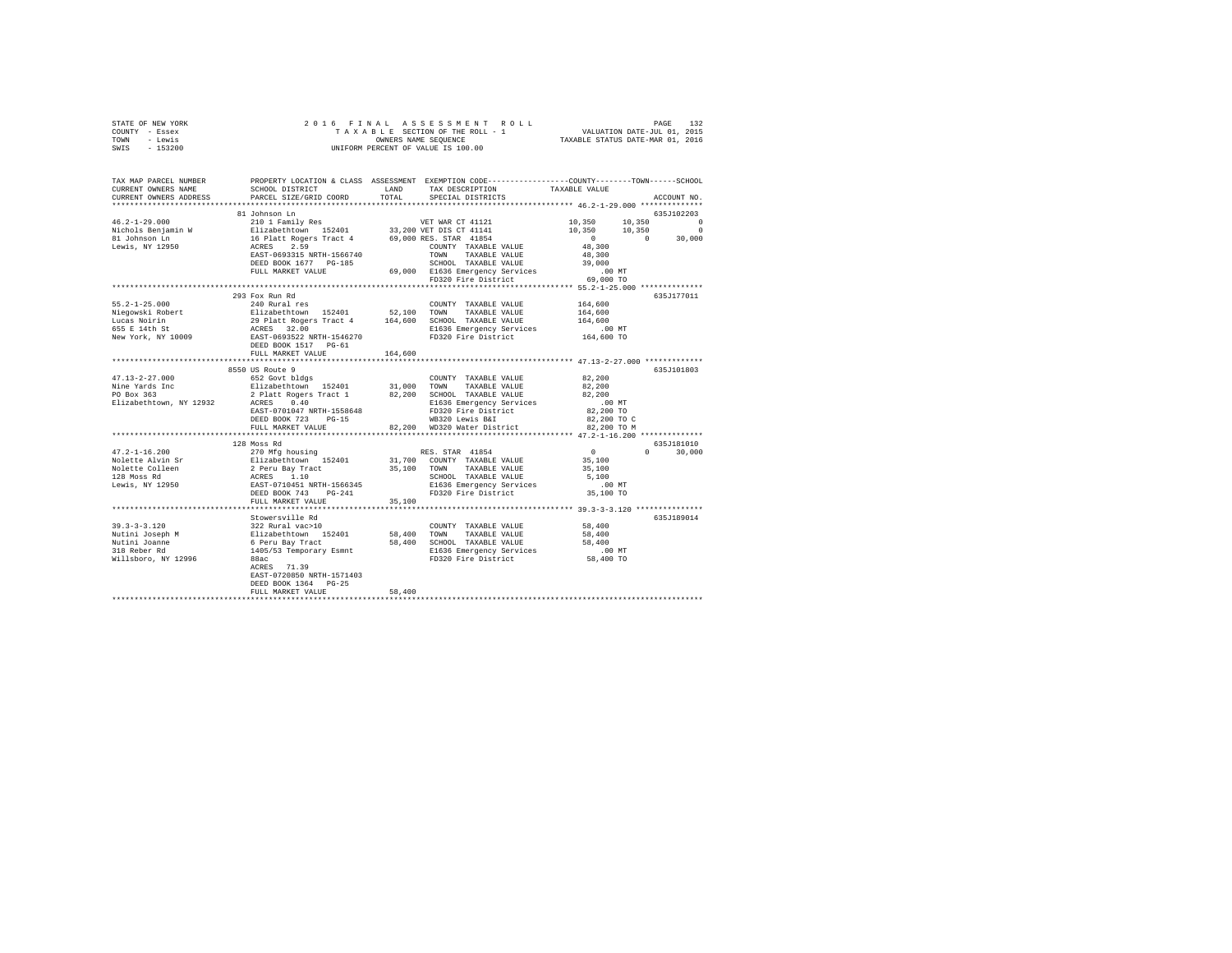| STATE OF NEW YORK<br>COUNTY - Essex<br>TOWN - Lewis<br>SWIS - 153200 |                                                                                                                                                                                                                                                                                                                                                                                                                           |        |                   |  |                                                                                                       |  |  |  |  |
|----------------------------------------------------------------------|---------------------------------------------------------------------------------------------------------------------------------------------------------------------------------------------------------------------------------------------------------------------------------------------------------------------------------------------------------------------------------------------------------------------------|--------|-------------------|--|-------------------------------------------------------------------------------------------------------|--|--|--|--|
| TAX MAP PARCEL NUMBER<br>CURRENT OWNERS NAME                         | PROPERTY LOCATION & CLASS ASSESSMENT EXEMPTION CODE---------------COUNTY-------TOWN------SCHOOL<br>SCHOOL DISTRICT           LAND     TAX DESCRIPTION         TAXABLE VALUE                                                                                                                                                                                                                                               |        |                   |  |                                                                                                       |  |  |  |  |
| CURRENT OWNERS ADDRESS                                               | PARCEL SIZE/GRID COORD                                                                                                                                                                                                                                                                                                                                                                                                    | TOTAL  | SPECIAL DISTRICTS |  | ACCOUNT NO.                                                                                           |  |  |  |  |
|                                                                      |                                                                                                                                                                                                                                                                                                                                                                                                                           |        |                   |  |                                                                                                       |  |  |  |  |
|                                                                      | 81 Johnson Ln<br>$\begin{tabular}{l c c c c} \multicolumn{3}{c c c c} \multicolumn{3}{c c c} \multicolumn{3}{c c c} \multicolumn{3}{c c c} \multicolumn{3}{c c c} \multicolumn{3}{c c c} \multicolumn{3}{c c c} \multicolumn{3}{c c c} \multicolumn{3}{c c c} \multicolumn{3}{c c c} \multicolumn{3}{c c c} \multicolumn{3}{c c c} \multicolumn{3}{c c c} \multicolumn{3}{c c c} \multicolumn{3}{c c c} \multicolumn{3}{$ |        |                   |  | 635J102203                                                                                            |  |  |  |  |
|                                                                      |                                                                                                                                                                                                                                                                                                                                                                                                                           |        |                   |  |                                                                                                       |  |  |  |  |
|                                                                      |                                                                                                                                                                                                                                                                                                                                                                                                                           |        |                   |  |                                                                                                       |  |  |  |  |
|                                                                      |                                                                                                                                                                                                                                                                                                                                                                                                                           |        |                   |  |                                                                                                       |  |  |  |  |
|                                                                      |                                                                                                                                                                                                                                                                                                                                                                                                                           |        |                   |  |                                                                                                       |  |  |  |  |
|                                                                      |                                                                                                                                                                                                                                                                                                                                                                                                                           |        |                   |  |                                                                                                       |  |  |  |  |
|                                                                      |                                                                                                                                                                                                                                                                                                                                                                                                                           |        |                   |  |                                                                                                       |  |  |  |  |
|                                                                      |                                                                                                                                                                                                                                                                                                                                                                                                                           |        |                   |  |                                                                                                       |  |  |  |  |
|                                                                      |                                                                                                                                                                                                                                                                                                                                                                                                                           |        |                   |  |                                                                                                       |  |  |  |  |
|                                                                      | 293 Fox Run Rd                                                                                                                                                                                                                                                                                                                                                                                                            |        |                   |  | 635J177011                                                                                            |  |  |  |  |
|                                                                      |                                                                                                                                                                                                                                                                                                                                                                                                                           |        |                   |  |                                                                                                       |  |  |  |  |
|                                                                      |                                                                                                                                                                                                                                                                                                                                                                                                                           |        |                   |  |                                                                                                       |  |  |  |  |
|                                                                      |                                                                                                                                                                                                                                                                                                                                                                                                                           |        |                   |  |                                                                                                       |  |  |  |  |
|                                                                      | $\begin{tabular}{lcccc} 55.2-1-25.000 & 293 \: \texttt{FOR} & 204 \: \texttt{Run} & 164,600 \\ \texttt{Niegowski Robert} & 240 \: \texttt{Rule} & 52,100 & 70\texttt{WWY} & 7\texttt{TXABLE VALUE} & 164,600 \\ \texttt{Niegowski Robert} & 29 \: \texttt{Mult} & 740 \: \texttt{PS} & 72401 & 52,100 & 70\texttt{WW} & 7\texttt{TXABLE VALUE} & 164,600 \\ \texttt{Local Noirin} & 29 \: \texttt{$                       |        |                   |  |                                                                                                       |  |  |  |  |
|                                                                      | DEED BOOK 1517 PG-61                                                                                                                                                                                                                                                                                                                                                                                                      |        |                   |  |                                                                                                       |  |  |  |  |
|                                                                      | FULL MARKET VALUE 164.600                                                                                                                                                                                                                                                                                                                                                                                                 |        |                   |  |                                                                                                       |  |  |  |  |
|                                                                      |                                                                                                                                                                                                                                                                                                                                                                                                                           |        |                   |  |                                                                                                       |  |  |  |  |
|                                                                      | 8550 US Route 9                                                                                                                                                                                                                                                                                                                                                                                                           |        |                   |  | 635J101803                                                                                            |  |  |  |  |
|                                                                      |                                                                                                                                                                                                                                                                                                                                                                                                                           |        |                   |  |                                                                                                       |  |  |  |  |
|                                                                      |                                                                                                                                                                                                                                                                                                                                                                                                                           |        |                   |  |                                                                                                       |  |  |  |  |
|                                                                      |                                                                                                                                                                                                                                                                                                                                                                                                                           |        |                   |  |                                                                                                       |  |  |  |  |
|                                                                      |                                                                                                                                                                                                                                                                                                                                                                                                                           |        |                   |  |                                                                                                       |  |  |  |  |
|                                                                      |                                                                                                                                                                                                                                                                                                                                                                                                                           |        |                   |  |                                                                                                       |  |  |  |  |
|                                                                      | $\begin{tabular}{lcccc} 47.13–2–27.000 & 6530\,\, \text{voy} & 652\,\, \text{Govt}\, \text{D} & 652\,\, \text{Govt}\, \text{D} & 652\,\, \text{Govt}\, \text{D} & 652\,\, \text{Govt}\, \text{D} & 652\,\, \text{Govt}\, \text{D} & 652\,\, \text{Govt}\, \text{D} & 652\,\, \text{Govt}\, \text{D} & 652\,\, \text{D} & 652\,\, \text{D} & 652\,\,$                                                                      |        |                   |  |                                                                                                       |  |  |  |  |
|                                                                      | 128 Moss Rd                                                                                                                                                                                                                                                                                                                                                                                                               |        |                   |  | 635J181010                                                                                            |  |  |  |  |
|                                                                      |                                                                                                                                                                                                                                                                                                                                                                                                                           |        |                   |  |                                                                                                       |  |  |  |  |
|                                                                      |                                                                                                                                                                                                                                                                                                                                                                                                                           |        |                   |  | $\begin{array}{cccc} & & & & 635 J181010 \\ & 0 & & & & 30\, ,000 \\ & 35\, ,100 & & & & \end{array}$ |  |  |  |  |
|                                                                      |                                                                                                                                                                                                                                                                                                                                                                                                                           |        |                   |  |                                                                                                       |  |  |  |  |
|                                                                      |                                                                                                                                                                                                                                                                                                                                                                                                                           |        |                   |  |                                                                                                       |  |  |  |  |
|                                                                      |                                                                                                                                                                                                                                                                                                                                                                                                                           |        |                   |  |                                                                                                       |  |  |  |  |
|                                                                      | $\begin{tabular}{lcccc} 47.2--1-16.200 & 426808876 & 8208876 & 8208876 & 8208876 & 8208876 & 8208876 & 8208876 & 8208876 & 8208876 & 8208876 & 8208876 & 8208876 & 8208876 & 8208876 & 8208876 & 8208876 & 8208876 & 8208876 & 8208876 & 8208876 & 8208876 & 8208$<br>FULL MARKET VALUE 35,100                                                                                                                            |        |                   |  |                                                                                                       |  |  |  |  |
|                                                                      |                                                                                                                                                                                                                                                                                                                                                                                                                           |        |                   |  |                                                                                                       |  |  |  |  |
|                                                                      |                                                                                                                                                                                                                                                                                                                                                                                                                           |        |                   |  | 635J189014                                                                                            |  |  |  |  |
|                                                                      |                                                                                                                                                                                                                                                                                                                                                                                                                           |        |                   |  |                                                                                                       |  |  |  |  |
|                                                                      |                                                                                                                                                                                                                                                                                                                                                                                                                           |        |                   |  |                                                                                                       |  |  |  |  |
|                                                                      |                                                                                                                                                                                                                                                                                                                                                                                                                           |        |                   |  |                                                                                                       |  |  |  |  |
|                                                                      |                                                                                                                                                                                                                                                                                                                                                                                                                           |        |                   |  |                                                                                                       |  |  |  |  |
|                                                                      |                                                                                                                                                                                                                                                                                                                                                                                                                           |        |                   |  |                                                                                                       |  |  |  |  |
|                                                                      | EAST-0720850 NRTH-1571403                                                                                                                                                                                                                                                                                                                                                                                                 |        |                   |  |                                                                                                       |  |  |  |  |
|                                                                      | DEED BOOK 1364 PG-25                                                                                                                                                                                                                                                                                                                                                                                                      |        |                   |  |                                                                                                       |  |  |  |  |
|                                                                      | FULL MARKET VALUE                                                                                                                                                                                                                                                                                                                                                                                                         | 58,400 |                   |  |                                                                                                       |  |  |  |  |
|                                                                      |                                                                                                                                                                                                                                                                                                                                                                                                                           |        |                   |  |                                                                                                       |  |  |  |  |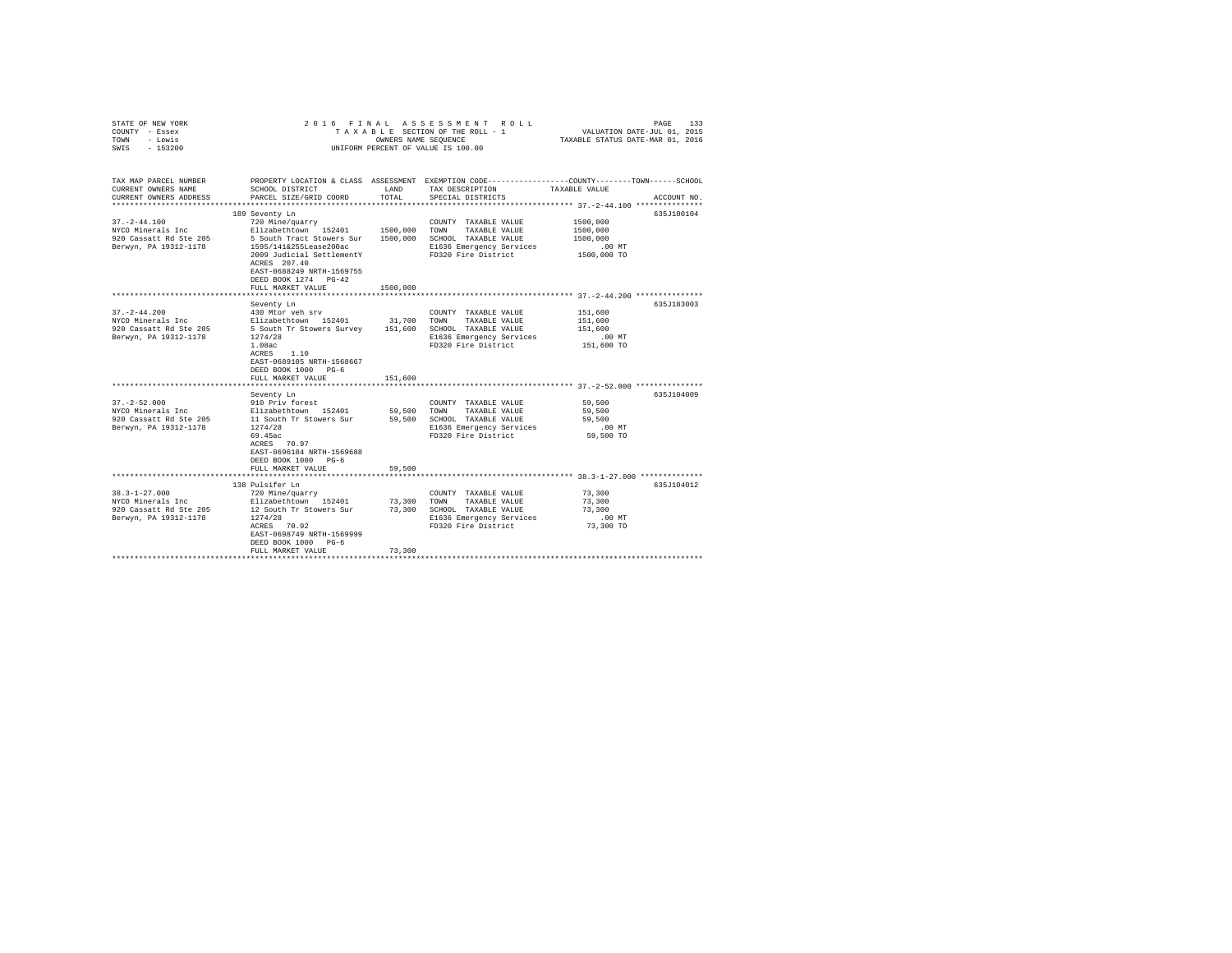| STATE OF NEW YORK<br>COUNTY - Essex<br>TOWN - Lewis<br>SWIS - 153200                                             |                                                                                                                                                                                                                                                                  |                        | 2016 FINAL ASSESSMENT ROLL<br>TAXABLE SECTION OF THE ROLL - 1<br>OWNERS NAME SEQUENCE<br>UNIFORM PERCENT OF VALUE IS 100.00             | PAGE<br>VALUATION DATE-JUL 01, 2015<br>TAXABLE STATUS DATE-MAR 01, 2016                                | 133                      |
|------------------------------------------------------------------------------------------------------------------|------------------------------------------------------------------------------------------------------------------------------------------------------------------------------------------------------------------------------------------------------------------|------------------------|-----------------------------------------------------------------------------------------------------------------------------------------|--------------------------------------------------------------------------------------------------------|--------------------------|
| TAX MAP PARCEL NUMBER<br>CURRENT OWNERS NAME<br>CURRENT OWNERS ADDRESS                                           | SCHOOL DISTRICT<br>PARCEL SIZE/GRID COORD                                                                                                                                                                                                                        | LAND<br>TOTAL          | PROPERTY LOCATION & CLASS ASSESSMENT EXEMPTION CODE---------------COUNTY-------TOWN------SCHOOL<br>TAX DESCRIPTION<br>SPECIAL DISTRICTS | TAXABLE VALUE                                                                                          | ACCOUNT NO.              |
|                                                                                                                  |                                                                                                                                                                                                                                                                  |                        |                                                                                                                                         |                                                                                                        | 635J100104               |
| $37. - 2 - 44.100$<br>NYCO Minerals Inc<br>920 Cassatt Rd Ste 205<br>Berwyn, PA 19312-1178                       | 189 Seventy Ln<br>720 Mine/quarry<br>Elizabethtown 152401 1500,000<br>5 South Tract Stowers Sur 1500,000<br>1595/141&255Lease200ac<br>2009 Judicial SettlementY<br>ACRES 207.40<br>EAST-0688249 NRTH-1569755<br>DEED BOOK 1274 PG-42                             |                        | COUNTY TAXABLE VALUE<br>TOWN<br>TAXABLE VALUE<br>SCHOOL TAXABLE VALUE<br>E1636 Emergency Services<br>FD320 Fire District                | 1500,000<br>1500,000<br>1500,000<br>$.00$ MT<br>1500,000 TO                                            |                          |
|                                                                                                                  | FULL MARKET VALUE                                                                                                                                                                                                                                                | 1500,000               |                                                                                                                                         |                                                                                                        |                          |
|                                                                                                                  |                                                                                                                                                                                                                                                                  |                        |                                                                                                                                         |                                                                                                        |                          |
| $37. - 2 - 44.200$<br>NYCO Minerals Inc<br>920 Cassatt Rd Ste 205<br>Berwyn, PA 19312-1178<br>$37. - 2 - 52.000$ | Seventy Ln<br>430 Mtor veh srv<br>Elizabethtown 152401<br>5 South Tr Stowers Survey 151,600 SCHOOL TAXABLE VALUE<br>1274/28<br>1.08ac<br>ACRES<br>1.10<br>EAST-0689105 NRTH-1568667<br>DEED BOOK 1000 PG-6<br>FULL MARKET VALUE<br>Seventy Ln<br>910 Priv forest | 31,700 TOWN<br>151,600 | COUNTY TAXABLE VALUE<br>TAXABLE VALUE<br>E1636 Emergency Services<br>FD320 Fire District<br>COUNTY TAXABLE VALUE                        | 151,600<br>151,600<br>151,600<br>.00 MT<br>151,600 TO<br>59,500                                        | 635J183003<br>635J104009 |
| NYCO Minerals Inc<br>920 Cassatt Rd Ste 205<br>Berwyn, PA 19312-1178                                             | Elizabethtown 152401<br>11 South Tr Stowers Sur<br>1274/28<br>69.45ac<br>ACRES 70.97<br>EAST-0696184 NRTH-1569688<br>DEED BOOK 1000 PG-6<br>FULL MARKET VALUE<br>**************************                                                                      | 59,500                 | 59,500 TOWN TAXABLE VALUE<br>59.500 SCHOOL TAXABLE VALUE<br>E1636 Emergency Services<br>FD320 Fire District                             | 59,500<br>59,500<br>$.00$ MT<br>59,500 TO<br>**************************** 38.3-1-27.000 ************** |                          |
|                                                                                                                  | 138 Pulsifer Ln                                                                                                                                                                                                                                                  |                        |                                                                                                                                         |                                                                                                        | 635J104012               |
| $38.3 - 1 - 27.000$<br>NYCO Minerals Inc<br>920 Cassatt Rd Ste 205<br>Berwyn, PA 19312-1178                      | 720 Mine/quarry<br>Elizabethtown 152401 73,300<br>12 South Tr Stowers Sur<br>1274/28<br>ACRES 70.92<br>EAST-0698749 NRTH-1569999<br>DEED BOOK 1000 PG-6<br>FULL MARKET VALUE                                                                                     | 73,300                 | COUNTY TAXABLE VALUE<br>TOWN<br>TAXABLE VALUE<br>73,300 SCHOOL TAXABLE VALUE<br>E1636 Emergency Services<br>FD320 Fire District         | 73,300<br>73,300<br>73,300<br>$.00$ MT<br>73,300 TO                                                    |                          |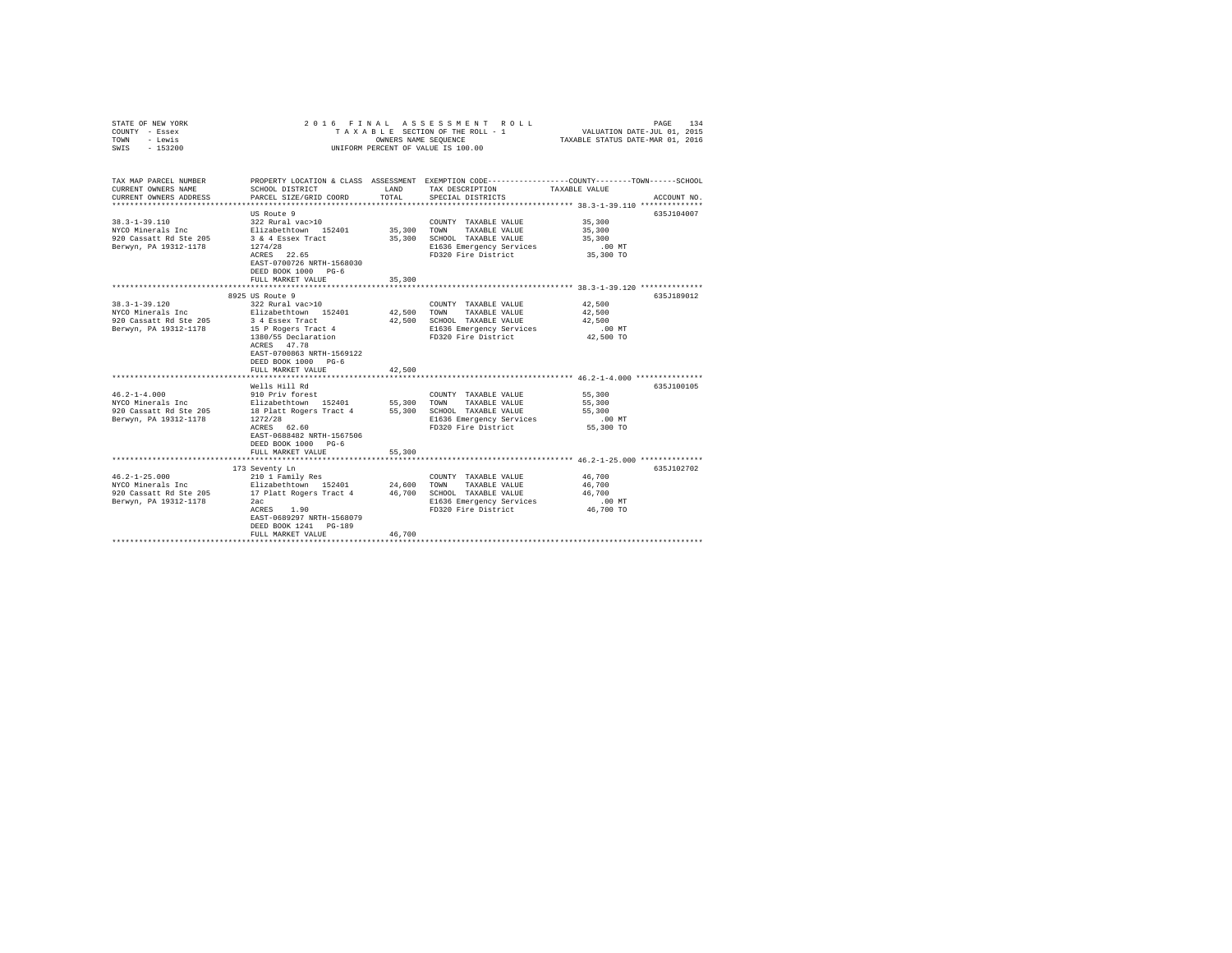| STATE OF NEW YORK<br>COUNTY - Essex<br>TOWN - Lewis<br>SWIS - 153200                                                                                                                                                                                                                                                                                     |                                                                                                                                                                                              |               | 2016 FINAL ASSESSMENT ROLL<br>UNIFORM PERCENT OF VALUE IS 100.00                                                                              | 134<br>PAGE                                                                                                                     |
|----------------------------------------------------------------------------------------------------------------------------------------------------------------------------------------------------------------------------------------------------------------------------------------------------------------------------------------------------------|----------------------------------------------------------------------------------------------------------------------------------------------------------------------------------------------|---------------|-----------------------------------------------------------------------------------------------------------------------------------------------|---------------------------------------------------------------------------------------------------------------------------------|
| TAX MAP PARCEL NUMBER<br>CURRENT OWNERS NAME<br>CURRENT OWNERS ADDRESS                                                                                                                                                                                                                                                                                   | SCHOOL DISTRICT<br>PARCEL SIZE/GRID COORD                                                                                                                                                    | LAND<br>TOTAL | TAX DESCRIPTION<br>SPECIAL DISTRICTS                                                                                                          | PROPERTY LOCATION & CLASS ASSESSMENT EXEMPTION CODE---------------COUNTY-------TOWN------SCHOOL<br>TAXABLE VALUE<br>ACCOUNT NO. |
| $38.3 - 1 - 39.110$<br>NYCO Minerals Inc $\overline{\text{Elizabeth}}$ 20 Cassatt Rd Ste 205 3 & 4 Essex Tract<br>Berwyn, PA 19312-1178                                                                                                                                                                                                                  | US Route 9<br>322 Rural vac>10<br>1274/28<br>ACRES 22.65<br>EAST-0700726 NRTH-1568030<br>DEED BOOK 1000 PG-6<br>FULL MARKET VALUE                                                            | 35,300        | COUNTY TAXABLE VALUE<br>35,300 TOWN TAXABLE VALUE<br>35,300 SCHOOL TAXABLE VALUE<br>E1636 Emergency Services<br>FD320 Fire District 35,300 TO | 635J104007<br>35,300<br>35,300<br>35,300<br>$.00$ MT                                                                            |
|                                                                                                                                                                                                                                                                                                                                                          |                                                                                                                                                                                              |               |                                                                                                                                               |                                                                                                                                 |
| $38.3 - 1 - 39.120$<br>NYCO Minerals Inc Blizabethtown 152401 42,500<br>920 Cassatt Rd Ste 205<br>Berwyn, PA 19312-1178                                                                                                                                                                                                                                  | 8925 US Route 9<br>322 Rural vac>10<br>3 4 Essex Tract<br>15 P Rogers Tract 4<br>1380/55 Declaration<br>ACRES 47.78<br>EAST-0700863 NRTH-1569122<br>DEED BOOK 1000 PG-6<br>FULL MARKET VALUE | 42,500        | COUNTY TAXABLE VALUE<br>TOWN<br>TAXABLE VALUE<br>42,500 SCHOOL TAXABLE VALUE<br>E1636 Emergency Services<br>FD320 Fire District               | 635J189012<br>42,500<br>42,500<br>42,500<br>$.00$ MT<br>42,500 TO                                                               |
| $46.2 - 1 - 4.000$<br>NYCO Minerals Inc<br>920 Cassatt Rd Ste 205 18 Platt Rogers Tract 4 55,300 SCHOOL TAXABLE VALUE<br>Berwyn, PA 19312-1178                                                                                                                                                                                                           | Wells Hill Rd<br>910 Priv forest<br>Elizabethtown 152401<br>1272/28<br>ACRES 62.60<br>EAST-0688482 NRTH-1567506<br>DEED BOOK 1000 PG-6<br>FULL MARKET VALUE                                  | 55,300        | COUNTY TAXABLE VALUE<br>55,300 TOWN TAXABLE VALUE<br>E1636 Emergency Services<br>FD320 Fire District                                          | 635J100105<br>55,300<br>55,300<br>55,300<br>$.00$ MT<br>55,300 TO                                                               |
| $46.2 - 1 - 25.000$<br>$\begin{array}{lllllll} \texttt{NYCO} & \texttt{Minerals Inc} & \texttt{Elizabethtown} & \texttt{152401} & \texttt{24,600} & \texttt{TONN} & \texttt{TAXABLE VAUIE} \\ \texttt{920 Cassatt Rd Ste 205} & \texttt{17 Platt Rogers Tract 4} & \texttt{46,700} & \texttt{SCHOOL TAXABLE VAUIE} \end{array}$<br>Berwyn, PA 19312-1178 | 173 Seventy Ln<br>210 1 Family Res<br>2ac<br>ACRES 1.90<br>EAST-0689297 NRTH-1568079<br>DEED BOOK 1241 PG-189<br>FULL MARKET VALUE                                                           | 46,700        | COUNTY TAXABLE VALUE<br>E1636 Emergency Services<br>FD320 Fire District                                                                       | 635J102702<br>46,700<br>46,700<br>46,700<br>$.00$ MT<br>46,700 TO                                                               |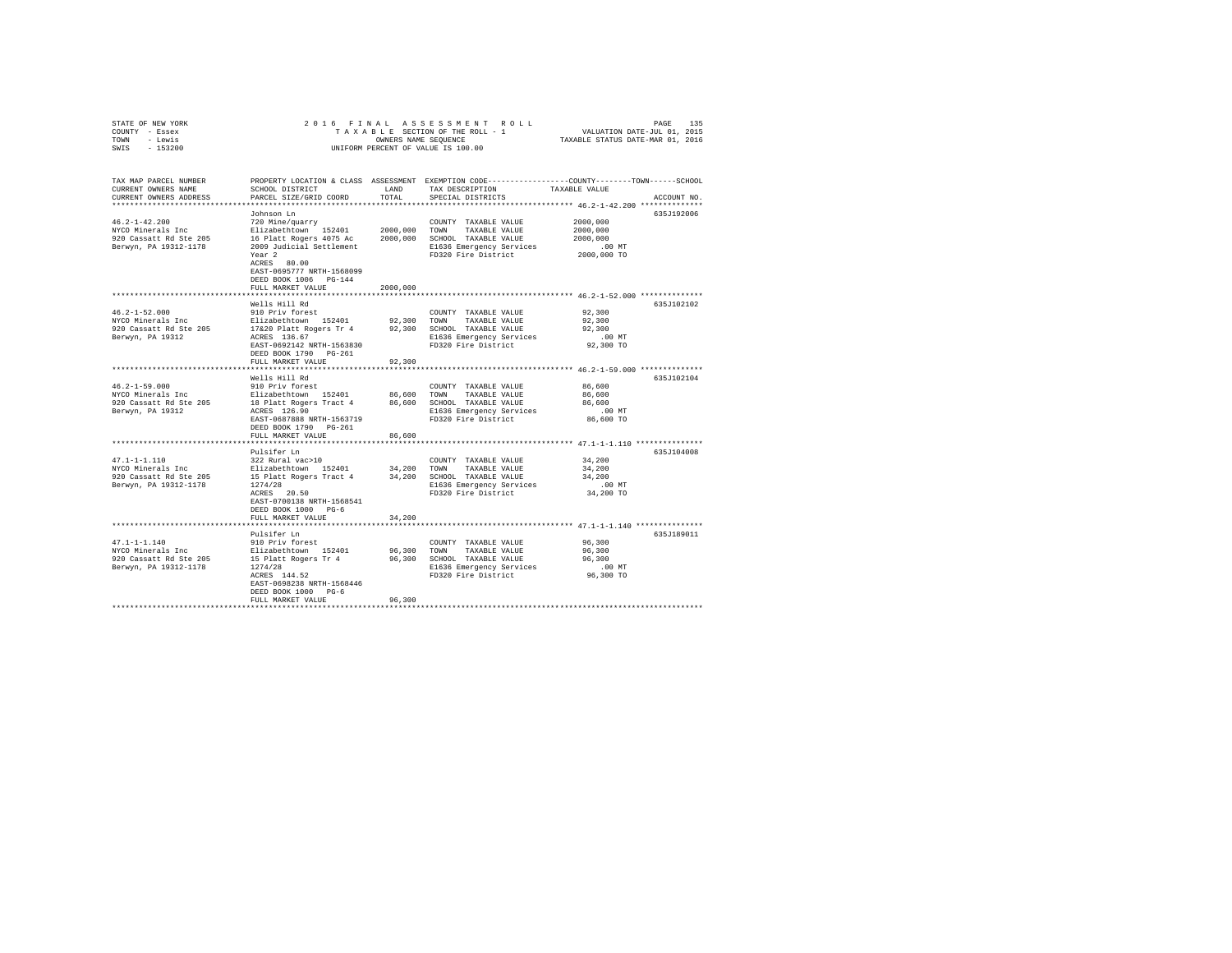| STATE OF NEW YORK                 | 2016 FINAL                                           |               | 16 FINAL ASSESSMENT ROLL 16 PAGE 135<br>TAXABLE SECTION OF THE ROLL - 1 VALUATION DATE-JUL 01, 2015<br>TAXABLE STATUS DATE-MAR 01, 2016 |                                                      |             |
|-----------------------------------|------------------------------------------------------|---------------|-----------------------------------------------------------------------------------------------------------------------------------------|------------------------------------------------------|-------------|
| COUNTY - Essex                    |                                                      |               |                                                                                                                                         |                                                      |             |
| TOWN - Lewis                      |                                                      |               |                                                                                                                                         |                                                      |             |
| SWIS - 153200                     |                                                      |               | UNIFORM PERCENT OF VALUE IS 100.00                                                                                                      |                                                      |             |
|                                   |                                                      |               |                                                                                                                                         |                                                      |             |
| TAX MAP PARCEL NUMBER             |                                                      |               | PROPERTY LOCATION & CLASS ASSESSMENT EXEMPTION CODE---------------COUNTY-------TOWN------SCHOOL                                         |                                                      |             |
| CURRENT OWNERS NAME               | SCHOOL DISTRICT                                      | LAND          | TAX DESCRIPTION                                                                                                                         | TAXABLE VALUE                                        |             |
| CURRENT OWNERS ADDRESS            | PARCEL SIZE/GRID COORD                               | TOTAL         | SPECIAL DISTRICTS                                                                                                                       |                                                      | ACCOUNT NO. |
|                                   |                                                      |               |                                                                                                                                         |                                                      |             |
|                                   | Johnson Ln                                           |               |                                                                                                                                         |                                                      | 635J192006  |
| $46.2 - 1 - 42.200$               | 720 Mine/quarry                                      |               | COUNTY TAXABLE VALUE                                                                                                                    | 2000,000                                             |             |
| NYCO Minerals Inc                 | Elizabethtown 152401                                 |               | 2000,000 TOWN TAXABLE VALUE                                                                                                             | 2000,000                                             |             |
| 920 Cassatt Rd Ste 205            |                                                      |               | 2000,000 SCHOOL TAXABLE VALUE                                                                                                           | 2000,000                                             |             |
| Berwyn, PA 19312-1178             | 16 Platt Rogers 4075 Ac<br>2009 Judicial Settlement  |               | E1636 Emergency Services                                                                                                                | .00 MT                                               |             |
|                                   | Year <sub>2</sub>                                    |               | FD320 Fire District                                                                                                                     | 2000,000 TO                                          |             |
|                                   | ACRES 80.00                                          |               |                                                                                                                                         |                                                      |             |
|                                   | EAST-0695777 NRTH-1568099                            |               |                                                                                                                                         |                                                      |             |
|                                   | DEED BOOK 1006 PG-144                                |               |                                                                                                                                         |                                                      |             |
|                                   | FULL MARKET VALUE                                    | 2000,000      |                                                                                                                                         |                                                      |             |
|                                   | ************************                             | ************* | ***************************** 46.2-1-52.000 **************                                                                              |                                                      |             |
|                                   | Wells Hill Rd                                        |               |                                                                                                                                         |                                                      | 635J102102  |
| $46.2 - 1 - 52.000$               | 910 Priv forest                                      |               |                                                                                                                                         | 92,300                                               |             |
| NYCO Minerals Inc                 | Elizabethtown 152401                                 |               | COUNTY TAXABLE VALUE                                                                                                                    |                                                      |             |
|                                   |                                                      |               | 92,300 TOWN TAXABLE VALUE                                                                                                               | 92,300                                               |             |
| 920 Cassatt Rd Ste 205            | 17&20 Platt Rogers Tr 4<br>ACRES 136.67              |               | 92,300 SCHOOL TAXABLE VALUE                                                                                                             | 92,300                                               |             |
| Berwyn, PA 19312                  |                                                      |               | E1636 Emergency Services                                                                                                                | $.00$ MT                                             |             |
|                                   | EAST-0692142 NRTH-1563830                            |               | FD320 Fire District                                                                                                                     | 92,300 TO                                            |             |
|                                   | DEED BOOK 1790 PG-261                                |               |                                                                                                                                         |                                                      |             |
|                                   | FULL MARKET VALUE                                    | 92,300        |                                                                                                                                         |                                                      |             |
|                                   |                                                      |               |                                                                                                                                         |                                                      |             |
|                                   | Wells Hill Rd                                        |               |                                                                                                                                         |                                                      | 635J102104  |
| $46.2 - 1 - 59.000$               | 910 Priv forest                                      |               | COUNTY TAXABLE VALUE                                                                                                                    | 86,600                                               |             |
| NYCO Minerals Inc                 | Elizabethtown 152401                                 |               | 86,600 TOWN TAXABLE VALUE                                                                                                               | 86,600                                               |             |
| 920 Cassatt Rd Ste 205            | 18 Platt Rogers Tract 4                              |               | 86,600 SCHOOL TAXABLE VALUE                                                                                                             | 86,600                                               |             |
| Berwyn, PA 19312                  | ACRES 126.90                                         |               | E1636 Emergency Services                                                                                                                | $.00$ MT                                             |             |
|                                   | EAST-0687888 NRTH-1563719                            |               | FD320 Fire District                                                                                                                     | 86,600 TO                                            |             |
|                                   | DEED BOOK 1790 PG-261                                |               |                                                                                                                                         |                                                      |             |
|                                   | FULL MARKET VALUE                                    | 86,600        |                                                                                                                                         |                                                      |             |
|                                   |                                                      | ********      |                                                                                                                                         | *********************** 47.1-1-1.110 *************** |             |
|                                   | Pulsifer Ln                                          |               |                                                                                                                                         |                                                      | 635J104008  |
| $47.1 - 1 - 1.110$                | 322 Rural vac>10                                     |               | COUNTY TAXABLE VALUE                                                                                                                    | 34,200                                               |             |
| NYCO Minerals Inc                 | Elizabethtown 152401                                 |               | 34,200 TOWN TAXABLE VALUE                                                                                                               | 34,200                                               |             |
| 920 Cassatt Rd Ste 205            | 15 Platt Rogers Tract 4 34, 200 SCHOOL TAXABLE VALUE |               |                                                                                                                                         | 34,200                                               |             |
| Berwyn, PA 19312-1178             | 1274/28<br>ACRES 20.50                               |               | E1636 Emergency Services                                                                                                                | .00MT                                                |             |
|                                   |                                                      |               | FD320 Fire District                                                                                                                     | 34,200 TO                                            |             |
|                                   | EAST-0700138 NRTH-1568541                            |               |                                                                                                                                         |                                                      |             |
|                                   | DEED BOOK 1000 PG-6                                  |               |                                                                                                                                         |                                                      |             |
|                                   | FULL MARKET VALUE                                    | 34,200        |                                                                                                                                         |                                                      |             |
|                                   |                                                      |               |                                                                                                                                         |                                                      |             |
|                                   | Pulsifer Ln                                          |               |                                                                                                                                         |                                                      | 635J189011  |
| 47.1-1-1.140<br>NYCO Minerals Inc | 910 Priv forest                                      |               | COUNTY TAXABLE VALUE                                                                                                                    | 96,300                                               |             |
|                                   | Elizabethtown 152401                                 |               | 96,300 TOWN TAXABLE VALUE                                                                                                               | 96,300                                               |             |
| 920 Cassatt Rd Ste 205            |                                                      |               | 96,300 SCHOOL TAXABLE VALUE                                                                                                             | 96,300                                               |             |
| Berwyn, PA 19312-1178             | 15 Platt Rogers Tr 4<br>1274/28                      |               | E1636 Emergency Services                                                                                                                | $.00$ MT                                             |             |
|                                   | ACRES 144.52                                         |               | FD320 Fire District                                                                                                                     | 96,300 TO                                            |             |
|                                   | EAST-0698238 NRTH-1568446                            |               |                                                                                                                                         |                                                      |             |
|                                   | DEED BOOK 1000 PG-6                                  |               |                                                                                                                                         |                                                      |             |
|                                   | FULL MARKET VALUE                                    | 96,300        |                                                                                                                                         |                                                      |             |
|                                   |                                                      |               |                                                                                                                                         |                                                      |             |
|                                   |                                                      |               |                                                                                                                                         |                                                      |             |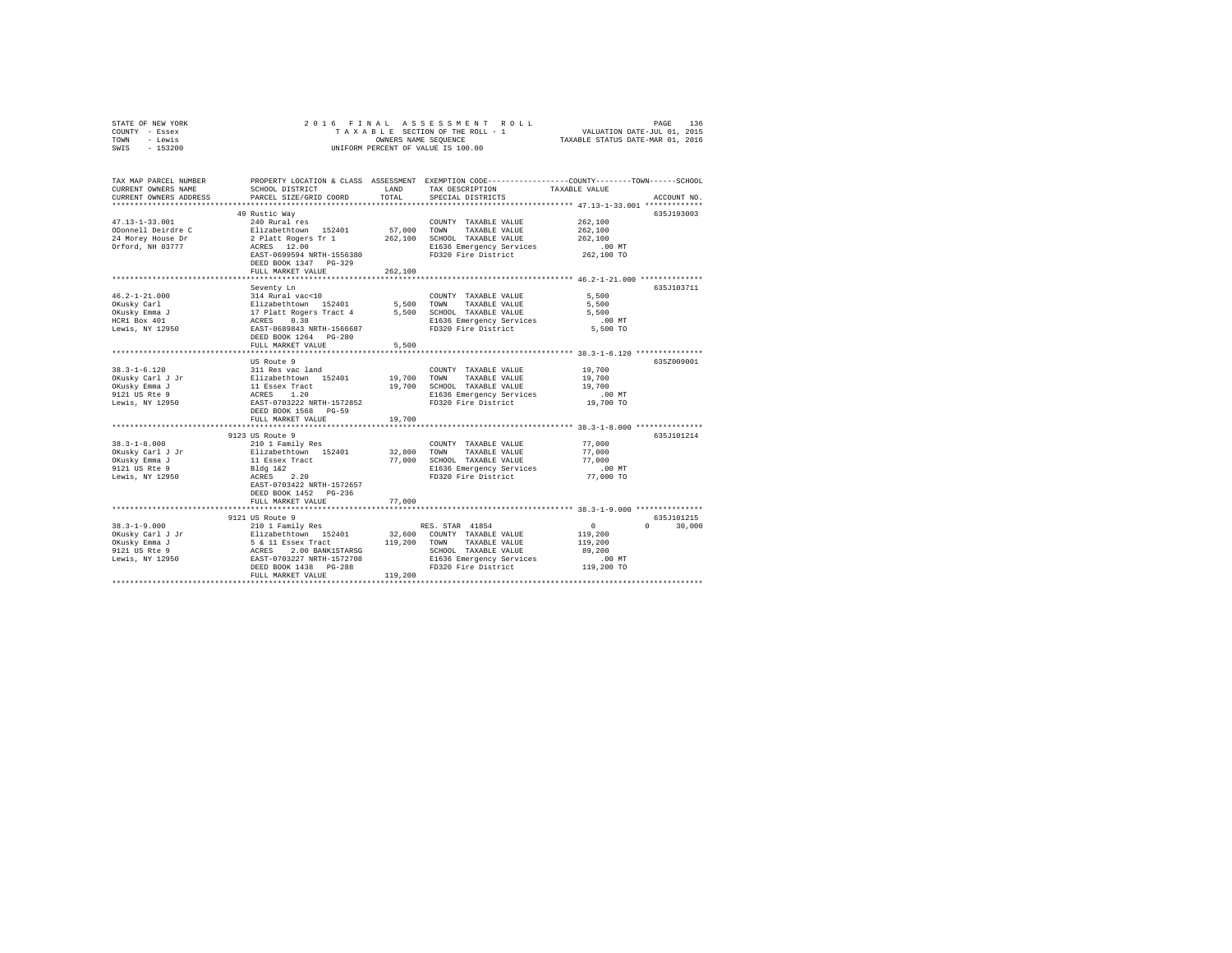| STATE OF NEW YORK<br>COUNTY - Essex<br>- Lewis<br>TOWN<br>SWIS<br>$-153200$ | $\begin{tabular}{ccccc} R & O & L & L \\ - & 1 & & \text{VALUATION DATE-JUL} & 01 \, , \, 2015 \\ - & & \text{TAXABLE STATUS DATE-MAR} & 01 \, , \, 2016 \\ \end{tabular}$<br>2016 FINAL<br>ASSESSMENT<br>TAXABLE SECTION OF THE ROLL - 1<br>OWNERS NAME SEQUENCE<br>UNIFORM PERCENT OF VALUE IS 100.00 |               |                                                                                                                                         |                                           |               |  |  |
|-----------------------------------------------------------------------------|---------------------------------------------------------------------------------------------------------------------------------------------------------------------------------------------------------------------------------------------------------------------------------------------------------|---------------|-----------------------------------------------------------------------------------------------------------------------------------------|-------------------------------------------|---------------|--|--|
| TAX MAP PARCEL NUMBER<br>CURRENT OWNERS NAME<br>CURRENT OWNERS ADDRESS      | SCHOOL DISTRICT<br>PARCEL SIZE/GRID COORD                                                                                                                                                                                                                                                               | LAND<br>TOTAL | PROPERTY LOCATION & CLASS ASSESSMENT EXEMPTION CODE----------------COUNTY-------TOWN-----SCHOOL<br>TAX DESCRIPTION<br>SPECIAL DISTRICTS | TAXABLE VALUE                             | ACCOUNT NO.   |  |  |
|                                                                             | 49 Rustic Way                                                                                                                                                                                                                                                                                           |               |                                                                                                                                         |                                           | 635J193003    |  |  |
| $47.13 - 1 - 33.001$                                                        | 240 Rural res                                                                                                                                                                                                                                                                                           |               | COUNTY TAXABLE VALUE                                                                                                                    | 262,100                                   |               |  |  |
| ODonnell Deirdre C                                                          | Elizabethtown 152401                                                                                                                                                                                                                                                                                    | 57,000 TOWN   | TAXABLE VALUE                                                                                                                           | 262,100                                   |               |  |  |
| 24 Morey House Dr                                                           | 2 Platt Rogers Tr 1<br>ACRES 12.00                                                                                                                                                                                                                                                                      |               | 262,100 SCHOOL TAXABLE VALUE                                                                                                            | 262,100                                   |               |  |  |
| Orford, NH 03777                                                            |                                                                                                                                                                                                                                                                                                         |               | E1636 Emergency Services                                                                                                                | $.00$ MT                                  |               |  |  |
|                                                                             | EAST-0699594 NRTH-1556380                                                                                                                                                                                                                                                                               |               | FD320 Fire District                                                                                                                     | 262,100 TO                                |               |  |  |
|                                                                             | DEED BOOK 1347 PG-329                                                                                                                                                                                                                                                                                   |               |                                                                                                                                         |                                           |               |  |  |
|                                                                             | FULL MARKET VALUE                                                                                                                                                                                                                                                                                       | 262,100       |                                                                                                                                         |                                           |               |  |  |
|                                                                             | ********************                                                                                                                                                                                                                                                                                    | ************  | ************************* 46.2-1-21.000 **************                                                                                  |                                           |               |  |  |
| $46.2 - 1 - 21.000$                                                         | Seventy Ln<br>314 Rural vac<10                                                                                                                                                                                                                                                                          |               | COUNTY TAXABLE VALUE                                                                                                                    | 5,500                                     | 635J103711    |  |  |
| OKusky Carl                                                                 |                                                                                                                                                                                                                                                                                                         | 5,500         | TOWN<br>TAXABLE VALUE                                                                                                                   | 5,500                                     |               |  |  |
|                                                                             |                                                                                                                                                                                                                                                                                                         |               | 5,500 SCHOOL TAXABLE VALUE                                                                                                              | 5,500                                     |               |  |  |
| OKusky Emma J<br>HCR1 Box 401                                               |                                                                                                                                                                                                                                                                                                         |               | E1636 Emergency Services                                                                                                                | $.00$ MT                                  |               |  |  |
| Lewis, NY 12950                                                             | 314 Rural vac<10<br>Elizabethtown 152401<br>17 Platt Rogers Tract 4<br>ACRES 0.38<br>EAST-0689843 NRTH-1566687                                                                                                                                                                                          |               | FD320 Fire District                                                                                                                     | 5,500 TO                                  |               |  |  |
|                                                                             | DEED BOOK 1264 PG-280                                                                                                                                                                                                                                                                                   |               |                                                                                                                                         |                                           |               |  |  |
|                                                                             | FULL MARKET VALUE                                                                                                                                                                                                                                                                                       | 5,500         |                                                                                                                                         |                                           |               |  |  |
|                                                                             |                                                                                                                                                                                                                                                                                                         | ************  | ********************************** 38.3-1-6.120 ***************                                                                         |                                           |               |  |  |
|                                                                             | US Route 9                                                                                                                                                                                                                                                                                              |               |                                                                                                                                         |                                           | 635Z009001    |  |  |
| 38.3-1-6.120                                                                | 311 Res vac land                                                                                                                                                                                                                                                                                        |               | COUNTY TAXABLE VALUE                                                                                                                    | 19,700                                    |               |  |  |
| OKusky Carl J Jr<br>OKusky Emma J                                           |                                                                                                                                                                                                                                                                                                         | 19,700        | TOWN<br>TAXABLE VALUE                                                                                                                   | 19,700                                    |               |  |  |
|                                                                             |                                                                                                                                                                                                                                                                                                         | 19,700        | SCHOOL TAXABLE VALUE                                                                                                                    | 19,700<br>$.00$ MT                        |               |  |  |
| 9121 US Rte 9<br>Lewis, NY 12950                                            | Elizabethtown 152401<br>11 Essex Tract<br>ACRES 1.20<br>EAST-0703222 NRTH-1572852<br>EAST-0703222 NRTH-1572852                                                                                                                                                                                          |               | E1636 Emergency Services<br>FD320 Fire District                                                                                         | 19,700 TO                                 |               |  |  |
|                                                                             | DEED BOOK 1568 PG-59                                                                                                                                                                                                                                                                                    |               |                                                                                                                                         |                                           |               |  |  |
|                                                                             | FULL MARKET VALUE                                                                                                                                                                                                                                                                                       | 19,700        |                                                                                                                                         |                                           |               |  |  |
|                                                                             |                                                                                                                                                                                                                                                                                                         |               |                                                                                                                                         | ************ 38.3-1-8.000 *************** |               |  |  |
|                                                                             | 9123 US Route 9                                                                                                                                                                                                                                                                                         |               |                                                                                                                                         |                                           | 635J101214    |  |  |
| $38.3 - 1 - 8.000$                                                          | 210 1 Family Res                                                                                                                                                                                                                                                                                        |               | COUNTY TAXABLE VALUE                                                                                                                    | 77,000                                    |               |  |  |
| OKusky Carl J Jr                                                            |                                                                                                                                                                                                                                                                                                         | 32,800        | TOWN<br>TAXABLE VALUE                                                                                                                   | 77,000                                    |               |  |  |
| OKusky Emma J                                                               | Elizabethtown 152401<br>11 Essex Tract                                                                                                                                                                                                                                                                  | 77,000        | SCHOOL TAXABLE VALUE                                                                                                                    | 77,000                                    |               |  |  |
| 9121 US Rte 9                                                               | Bldg 1&2                                                                                                                                                                                                                                                                                                |               | E1636 Emergency Services                                                                                                                | $.00$ MT                                  |               |  |  |
| Lewis, NY 12950                                                             | ACRES 2.20                                                                                                                                                                                                                                                                                              |               | FD320 Fire District                                                                                                                     | 77,000 TO                                 |               |  |  |
|                                                                             | EAST-0703422 NRTH-1572657                                                                                                                                                                                                                                                                               |               |                                                                                                                                         |                                           |               |  |  |
|                                                                             | DEED BOOK 1452 PG-236<br>FULL MARKET VALUE                                                                                                                                                                                                                                                              | 77,000        |                                                                                                                                         |                                           |               |  |  |
|                                                                             |                                                                                                                                                                                                                                                                                                         |               |                                                                                                                                         |                                           |               |  |  |
|                                                                             | 9121 US Route 9                                                                                                                                                                                                                                                                                         |               |                                                                                                                                         |                                           | 635J101215    |  |  |
| $38.3 - 1 - 9.000$                                                          | 210 1 Family Res                                                                                                                                                                                                                                                                                        |               | RES. STAR 41854                                                                                                                         | $\sim$ 0                                  | $0 \t 30,000$ |  |  |
| OKusky Carl J Jr                                                            |                                                                                                                                                                                                                                                                                                         |               | 32,600 COUNTY TAXABLE VALUE                                                                                                             | 119,200                                   |               |  |  |
| OKusky Emma J                                                               |                                                                                                                                                                                                                                                                                                         | 119,200       | TOWN<br>TAXABLE VALUE                                                                                                                   | 119,200                                   |               |  |  |
| 9121 US Rte 9                                                               |                                                                                                                                                                                                                                                                                                         |               | SCHOOL TAXABLE VALUE                                                                                                                    | 89,200                                    |               |  |  |
| Lewis, NY 12950                                                             |                                                                                                                                                                                                                                                                                                         |               | E1636 Emergency Services                                                                                                                | $.00$ MT                                  |               |  |  |
|                                                                             |                                                                                                                                                                                                                                                                                                         |               | FD320 Fire District                                                                                                                     | 119,200 TO                                |               |  |  |
|                                                                             | FULL MARKET VALUE                                                                                                                                                                                                                                                                                       | 119,200       |                                                                                                                                         |                                           |               |  |  |
|                                                                             |                                                                                                                                                                                                                                                                                                         |               |                                                                                                                                         |                                           |               |  |  |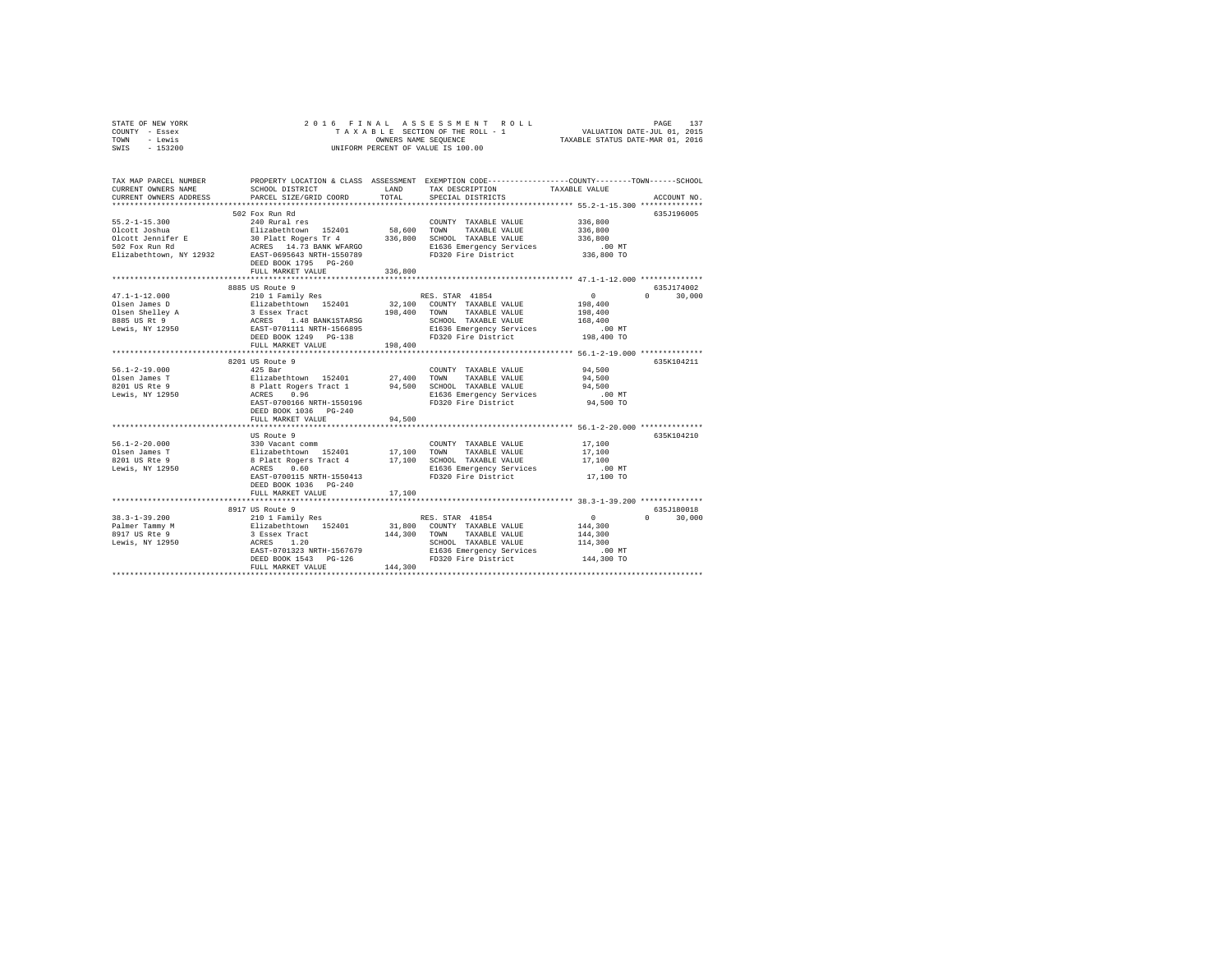| STATE OF NEW YORK | 2016 FINAL ASSESSMENT ROLL         | 137<br>PAGE                      |
|-------------------|------------------------------------|----------------------------------|
| COUNTY - Essex    | TAXABLE SECTION OF THE ROLL - 1    | VALUATION DATE-JUL 01, 2015      |
| TOWN<br>- Lewis   | OWNERS NAME SEOUENCE               | TAXABLE STATUS DATE-MAR 01, 2016 |
| $-153200$<br>SWIS | UNIFORM PERCENT OF VALUE IS 100.00 |                                  |

| TAX MAP PARCEL NUMBER<br>CURRENT OWNERS NAME<br>CURRENT OWNERS ADDRESS   | SCHOOL DISTRICT<br>PARCEL SIZE/GRID COORD                                                                                                                                                                                                       | LAND<br>TOTAL | PROPERTY LOCATION & CLASS ASSESSMENT EXEMPTION CODE---------------COUNTY-------TOWN-----SCHOOL<br>TAX DESCRIPTION<br>SPECIAL DISTRICTS | TAXABLE VALUE                                       | ACCOUNT NO.                                   |
|--------------------------------------------------------------------------|-------------------------------------------------------------------------------------------------------------------------------------------------------------------------------------------------------------------------------------------------|---------------|----------------------------------------------------------------------------------------------------------------------------------------|-----------------------------------------------------|-----------------------------------------------|
| $55.2 - 1 - 15.300$                                                      | 502 Fox Run Rd<br>240 Rural res<br>FULL MARKET VALUE                                                                                                                                                                                            | 336,800       | COUNTY TAXABLE VALUE 336,800                                                                                                           |                                                     | 635J196005                                    |
|                                                                          | 8885 US Route 9<br>FULL MARKET VALUE                                                                                                                                                                                                            | 198,400       | SCHOOL TAXABLE VALUE<br>FD320 Fire District 198,400 TO                                                                                 | $\sim$ 0<br>198,400<br>198,400<br>168,400<br>.00 MT | 635J174002<br>$\cap$<br>30,000                |
| $56.1 - 2 - 19.000$<br>Olsen James T<br>8201 US Rte 9<br>Lewis, NY 12950 | 8201 US Route 9<br>DEED BOOK 1036 PG-240<br>FULL MARKET VALUE                                                                                                                                                                                   | 94,500        |                                                                                                                                        |                                                     | 635K104211                                    |
| $56.1 - 2 - 20.000$<br>Olsen James T<br>8201 US Rte 9<br>Lewis, NY 12950 | US Route 9<br>EAST-0700115 NRTH-1550413<br>DEED BOOK 1036 PG-240<br>FULL MARKET VALUE                                                                                                                                                           | 17,100        | FD320 Fire District                                                                                                                    | 17,100 TO                                           | 635K104210                                    |
|                                                                          | 3917 US Route 9<br>3817 US Route 9<br>200 200 2010 I Family Res RES. STAR 41854<br>2017 US RES TAR 41854<br>2017 US RES TRE 144,300<br>2017 US RES TRE 144,300<br>2017 US RES TRE 144,300<br>2017 US RES 1.20<br>2017 US RES 144,300<br>2017 US |               |                                                                                                                                        |                                                     | 635J180018<br>$\Omega$ and $\Omega$<br>30,000 |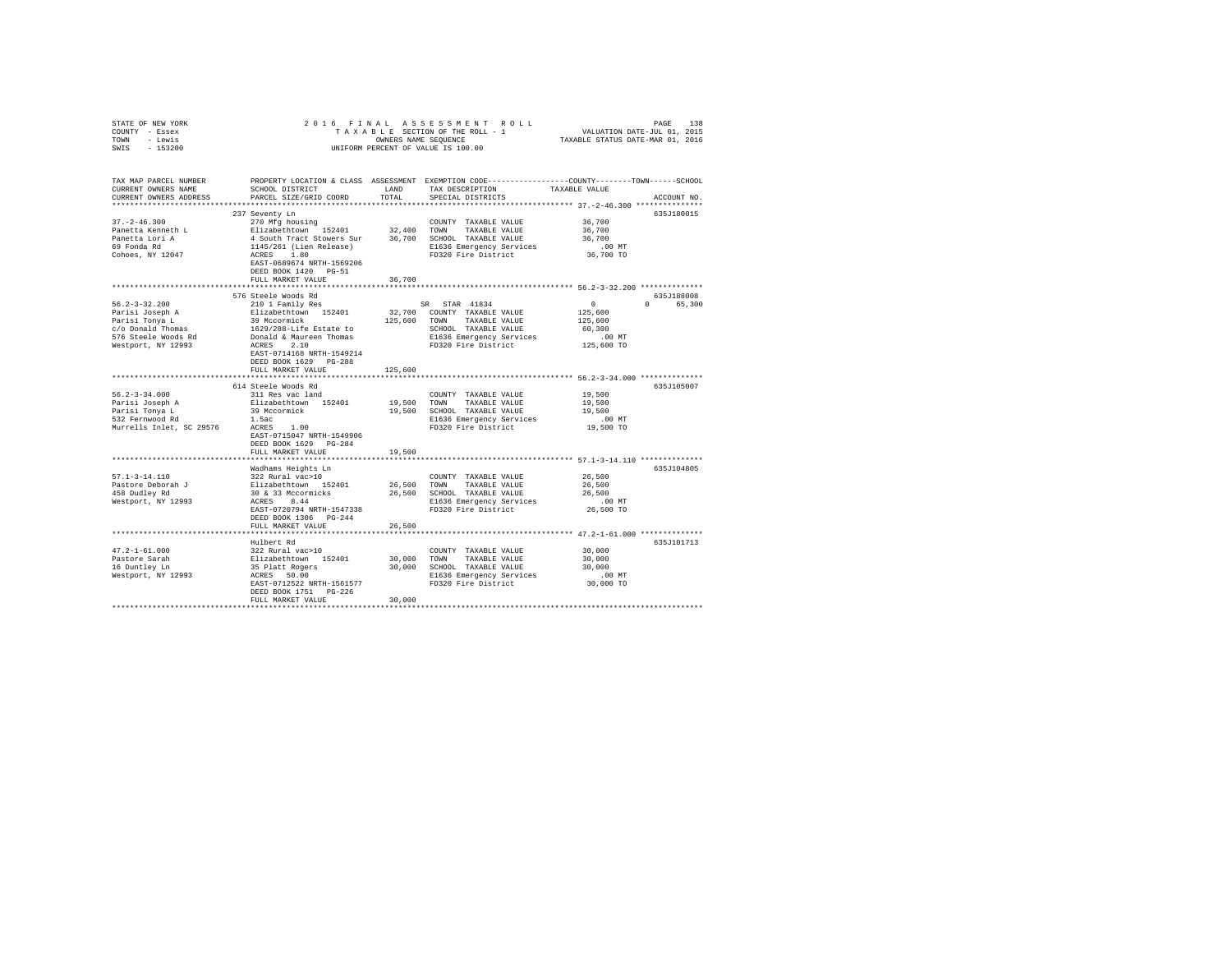| STATE OF NEW YORK                  | 2016 FINAL                                                                                                                                       |             |                                                                                                                                                                                                                       |                                            |             |
|------------------------------------|--------------------------------------------------------------------------------------------------------------------------------------------------|-------------|-----------------------------------------------------------------------------------------------------------------------------------------------------------------------------------------------------------------------|--------------------------------------------|-------------|
| COUNTY - Essex                     |                                                                                                                                                  |             |                                                                                                                                                                                                                       |                                            |             |
| TOWN - Lewis                       |                                                                                                                                                  |             | FRINAL ASSESSMENT ROLL (PAGE 138 PROFILE) SABLE SECTION OF THEROLL - 1<br>TAXABLE SECTION OF THEROLL - 1 VALUATION DATE-JULOI, 2015<br>OWNERS NAME SEQUENCE (TAXABLE STATUS DATE-MAR 01, 2016<br>OWNERS NAME SEQUENCE |                                            |             |
| SWIS - 153200                      |                                                                                                                                                  |             | UNIFORM PERCENT OF VALUE IS 100.00                                                                                                                                                                                    |                                            |             |
|                                    |                                                                                                                                                  |             |                                                                                                                                                                                                                       |                                            |             |
| TAX MAP PARCEL NUMBER              |                                                                                                                                                  |             | PROPERTY LOCATION & CLASS ASSESSMENT EXEMPTION CODE---------------COUNTY-------TOWN------SCHOOL                                                                                                                       |                                            |             |
| CURRENT OWNERS NAME                | SCHOOL DISTRICT                                                                                                                                  | LAND        | TAX DESCRIPTION                                                                                                                                                                                                       | TAXABLE VALUE                              |             |
| CURRENT OWNERS ADDRESS             | PARCEL SIZE/GRID COORD                                                                                                                           | TOTAL       | SPECIAL DISTRICTS                                                                                                                                                                                                     |                                            | ACCOUNT NO. |
|                                    |                                                                                                                                                  |             |                                                                                                                                                                                                                       |                                            |             |
|                                    | 237 Seventy Ln                                                                                                                                   |             |                                                                                                                                                                                                                       |                                            | 635J180015  |
| $37. - 2 - 46.300$                 | 270 Mfg housing                                                                                                                                  |             | COUNTY TAXABLE VALUE                                                                                                                                                                                                  | 36,700                                     |             |
| Panetta Kenneth L                  | Elizabethtown 152401                                                                                                                             | 32,400 TOWN | TAXABLE VALUE                                                                                                                                                                                                         | 36,700                                     |             |
| Panetta Lori A                     |                                                                                                                                                  |             |                                                                                                                                                                                                                       | 36,700                                     |             |
|                                    |                                                                                                                                                  |             |                                                                                                                                                                                                                       |                                            |             |
| 69 Fonda Rd                        | 4 South Tract Stowers Sur 36,700 SCHOOL TAXABLE VALUE<br>1145/261 (Lien Release) 81636 Emergency Services<br>ACRES 1.80 PIS36 Emergency Services |             | E1636 Emergency Services                                                                                                                                                                                              | $.00$ MT                                   |             |
| Cohoes, NY 12047                   |                                                                                                                                                  |             | FD320 Fire District                                                                                                                                                                                                   | 36,700 TO                                  |             |
|                                    | EAST-0689674 NRTH-1569206                                                                                                                        |             |                                                                                                                                                                                                                       |                                            |             |
|                                    | DEED BOOK 1420 PG-51                                                                                                                             |             |                                                                                                                                                                                                                       |                                            |             |
|                                    | FULL MARKET VALUE                                                                                                                                | 36,700      |                                                                                                                                                                                                                       |                                            |             |
|                                    |                                                                                                                                                  |             |                                                                                                                                                                                                                       |                                            |             |
|                                    | 576 Steele Woods Rd                                                                                                                              |             |                                                                                                                                                                                                                       |                                            | 635J188008  |
| $56.2 - 3 - 32.200$                | 210 1 Family Res                                                                                                                                 |             | SR STAR 41834                                                                                                                                                                                                         | $\sim$ 0                                   | 0 65,300    |
| Parisi Joseph A<br>Parisi Tonya L  | Elizabethtown 152401                                                                                                                             |             | 32,700 COUNTY TAXABLE VALUE                                                                                                                                                                                           | 125,600                                    |             |
|                                    | 39 Mccormick                                                                                                                                     |             | 125,600 TOWN TAXABLE VALUE                                                                                                                                                                                            | 125,600                                    |             |
| c/o Donald Thomas                  | 1629/288-Life Estate to                                                                                                                          |             | SCHOOL TAXABLE VALUE                                                                                                                                                                                                  | 60,300                                     |             |
| 576 Steele Woods Rd                | Donald & Maureen Thomas                                                                                                                          |             | E1636 Emergency Services                                                                                                                                                                                              | $.00$ MT                                   |             |
| Westport, NY 12993                 | ACRES 2.10                                                                                                                                       |             | FD320 Fire District                                                                                                                                                                                                   | 125,600 TO                                 |             |
|                                    | EAST-0714168 NRTH-1549214                                                                                                                        |             |                                                                                                                                                                                                                       |                                            |             |
|                                    | DEED BOOK 1629 PG-288                                                                                                                            |             |                                                                                                                                                                                                                       |                                            |             |
|                                    | FULL MARKET VALUE                                                                                                                                | 125,600     |                                                                                                                                                                                                                       |                                            |             |
|                                    |                                                                                                                                                  | *********   |                                                                                                                                                                                                                       | ************ 56.2-3-34.000 *************** |             |
|                                    | 614 Steele Woods Rd                                                                                                                              |             |                                                                                                                                                                                                                       |                                            | 635J105007  |
| $56.2 - 3 - 34.000$                | 311 Res vac land                                                                                                                                 |             | COUNTY TAXABLE VALUE                                                                                                                                                                                                  | 19,500                                     |             |
| Parisi Joseph A                    | Elizabethtown 152401                                                                                                                             | 19,500 TOWN | TAXABLE VALUE                                                                                                                                                                                                         | 19,500                                     |             |
| Parisi Tonya L                     |                                                                                                                                                  |             | 19,500 SCHOOL TAXABLE VALUE                                                                                                                                                                                           | 19,500                                     |             |
| 532 Fernwood Rd                    | 39 Mccormick<br>1.5ac                                                                                                                            |             | E1636 Emergency Services                                                                                                                                                                                              | $.00$ MT                                   |             |
|                                    | And the method of the school of the series of the Murrells Inlet, SC 29576 acres 1.00                                                            |             | FD320 Fire District                                                                                                                                                                                                   | 19,500 TO                                  |             |
|                                    | EAST-0715047 NRTH-1549906                                                                                                                        |             |                                                                                                                                                                                                                       |                                            |             |
|                                    | DEED BOOK 1629 PG-284                                                                                                                            |             |                                                                                                                                                                                                                       |                                            |             |
|                                    | FULL MARKET VALUE                                                                                                                                | 19,500      |                                                                                                                                                                                                                       |                                            |             |
|                                    | ******************************                                                                                                                   |             | ********************************** 57.1-3-14.110 **************                                                                                                                                                       |                                            |             |
|                                    | Wadhams Heights Ln                                                                                                                               |             |                                                                                                                                                                                                                       |                                            | 635J104805  |
| 57.1-3-14.110                      | 322 Rural vac>10                                                                                                                                 |             | COUNTY TAXABLE VALUE                                                                                                                                                                                                  | 26,500                                     |             |
|                                    |                                                                                                                                                  |             |                                                                                                                                                                                                                       |                                            |             |
| Pastore Deborah J<br>458 Dudley Rd |                                                                                                                                                  | 26,500 TOWN | TAXABLE VALUE                                                                                                                                                                                                         | 26,500                                     |             |
|                                    | Elizabethtown 152401<br>30 & 33 Mccormicks<br>ACRES 8.44                                                                                         |             | 26,500 SCHOOL TAXABLE VALUE                                                                                                                                                                                           | 26,500                                     |             |
| Westport, NY 12993                 |                                                                                                                                                  |             | E1636 Emergency Services<br>FD320 Fire District                                                                                                                                                                       | $.00$ MT                                   |             |
|                                    | EAST-0720794 NRTH-1547338                                                                                                                        |             |                                                                                                                                                                                                                       | 26,500 TO                                  |             |
|                                    | DEED BOOK 1306 PG-244                                                                                                                            |             |                                                                                                                                                                                                                       |                                            |             |
|                                    | FULL MARKET VALUE                                                                                                                                | 26,500      |                                                                                                                                                                                                                       |                                            |             |
|                                    |                                                                                                                                                  |             |                                                                                                                                                                                                                       |                                            |             |
|                                    | Hulbert Rd                                                                                                                                       |             |                                                                                                                                                                                                                       |                                            | 635J101713  |
| $47.2 - 1 - 61.000$                | 322 Rural vac>10                                                                                                                                 |             | COUNTY TAXABLE VALUE                                                                                                                                                                                                  | 30,000                                     |             |
| Pastore Sarah                      | Elizabethtown 152401                                                                                                                             | 30,000 TOWN | TAXABLE VALUE                                                                                                                                                                                                         | 30,000                                     |             |
| 16 Duntley Ln                      |                                                                                                                                                  |             | 30,000 SCHOOL TAXABLE VALUE                                                                                                                                                                                           | 30,000                                     |             |
| Westport, NY 12993                 | 35 Platt Rogers<br>ACRES 50.00                                                                                                                   |             | E1636 Emergency Services                                                                                                                                                                                              | $.00$ MT                                   |             |
|                                    | EAST-0712522 NRTH-1561577                                                                                                                        |             | FD320 Fire District                                                                                                                                                                                                   | 30,000 TO                                  |             |
|                                    | DEED BOOK 1751 PG-226                                                                                                                            |             |                                                                                                                                                                                                                       |                                            |             |
|                                    | FULL MARKET VALUE                                                                                                                                | 30,000      |                                                                                                                                                                                                                       |                                            |             |
|                                    |                                                                                                                                                  |             |                                                                                                                                                                                                                       |                                            |             |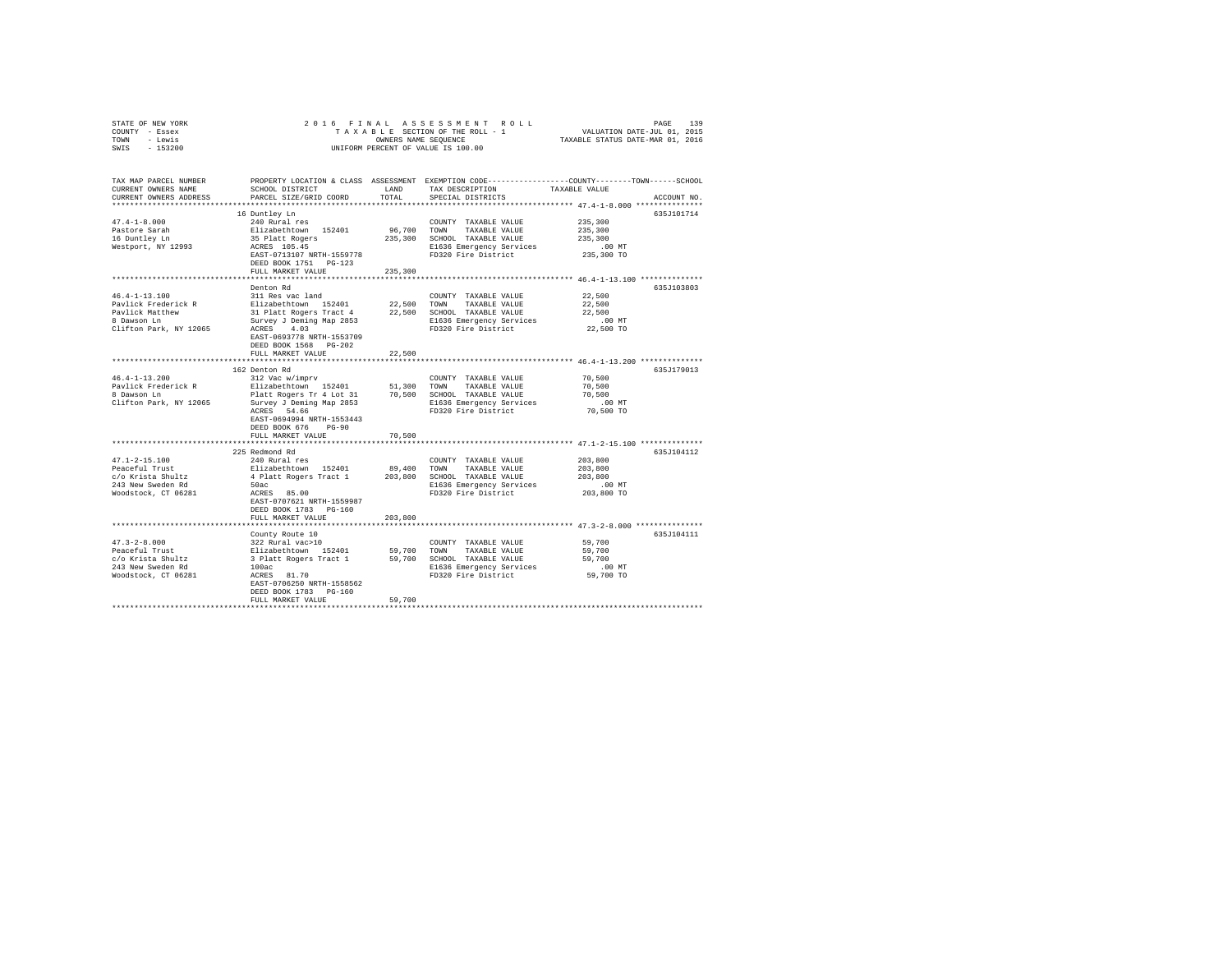| STATE OF NEW YORK                                    |                                                                                                                                                                                                                                                                                                                                                                                                                                      |          |                                                                                                 |                                                            |             |
|------------------------------------------------------|--------------------------------------------------------------------------------------------------------------------------------------------------------------------------------------------------------------------------------------------------------------------------------------------------------------------------------------------------------------------------------------------------------------------------------------|----------|-------------------------------------------------------------------------------------------------|------------------------------------------------------------|-------------|
| COUNTY - Essex                                       |                                                                                                                                                                                                                                                                                                                                                                                                                                      |          |                                                                                                 |                                                            |             |
| TOWN - Lewis                                         |                                                                                                                                                                                                                                                                                                                                                                                                                                      |          |                                                                                                 |                                                            |             |
| SWIS - 153200                                        |                                                                                                                                                                                                                                                                                                                                                                                                                                      |          | OWNERS NAME SEQUENCE<br>UNIFORM PERCENT OF VALUE IS 100.00                                      |                                                            |             |
|                                                      |                                                                                                                                                                                                                                                                                                                                                                                                                                      |          |                                                                                                 |                                                            |             |
| TAX MAP PARCEL NUMBER                                |                                                                                                                                                                                                                                                                                                                                                                                                                                      |          | PROPERTY LOCATION & CLASS ASSESSMENT EXEMPTION CODE---------------COUNTY-------TOWN------SCHOOL |                                                            |             |
| CURRENT OWNERS NAME                                  | SCHOOL DISTRICT                                                                                                                                                                                                                                                                                                                                                                                                                      |          | LAND TAX DESCRIPTION                                                                            | TAXABLE VALUE                                              |             |
| CURRENT OWNERS ADDRESS                               | PARCEL SIZE/GRID COORD                                                                                                                                                                                                                                                                                                                                                                                                               | TOTAL    | SPECIAL DISTRICTS                                                                               |                                                            | ACCOUNT NO. |
|                                                      |                                                                                                                                                                                                                                                                                                                                                                                                                                      |          |                                                                                                 |                                                            |             |
|                                                      | 16 Duntley Ln                                                                                                                                                                                                                                                                                                                                                                                                                        |          |                                                                                                 |                                                            | 635J101714  |
| $47.4 - 1 - 8.000$                                   | 240 Rural res                                                                                                                                                                                                                                                                                                                                                                                                                        |          | COUNTY TAXABLE VALUE                                                                            | 235,300                                                    |             |
|                                                      | Elizabethtown 152401<br>35 Platt Rogers                                                                                                                                                                                                                                                                                                                                                                                              |          | 96.700 TOWN TAXABLE VALUE                                                                       | 235,300                                                    |             |
| Pastore Sarah<br>16 Duntley Ln<br>Westport, NY 12993 |                                                                                                                                                                                                                                                                                                                                                                                                                                      |          | 235,300 SCHOOL TAXABLE VALUE                                                                    | 235,300                                                    |             |
|                                                      | ACRES 105.45                                                                                                                                                                                                                                                                                                                                                                                                                         |          | E1636 Emergency Services                                                                        | $.00$ MT                                                   |             |
|                                                      | EAST-0713107 NRTH-1559778 FD320 Fire District                                                                                                                                                                                                                                                                                                                                                                                        |          |                                                                                                 | 235,300 TO                                                 |             |
|                                                      | DEED BOOK 1751 PG-123                                                                                                                                                                                                                                                                                                                                                                                                                |          |                                                                                                 |                                                            |             |
|                                                      | FULL MARKET VALUE                                                                                                                                                                                                                                                                                                                                                                                                                    | 235,300  |                                                                                                 |                                                            |             |
|                                                      |                                                                                                                                                                                                                                                                                                                                                                                                                                      |          |                                                                                                 | ************************** 46.4-1-13.100 **************    |             |
|                                                      | Denton Rd                                                                                                                                                                                                                                                                                                                                                                                                                            |          |                                                                                                 |                                                            | 635J103803  |
| $46.4 - 1 - 13.100$                                  | 311 Res vac land                                                                                                                                                                                                                                                                                                                                                                                                                     |          | COUNTY TAXABLE VALUE                                                                            | 22,500                                                     |             |
| Pavlick Frederick R                                  |                                                                                                                                                                                                                                                                                                                                                                                                                                      |          |                                                                                                 | 22,500                                                     |             |
|                                                      |                                                                                                                                                                                                                                                                                                                                                                                                                                      |          |                                                                                                 | 22,500                                                     |             |
| Pavlick Matthew<br>8 Dawson Ln                       | Elizabethtown 152401 22,500 TOWN TAXABLE VALUE<br>31 Platt Rogers Tract 4 22,500 SCHOOL TAXABLE VALUE<br>Survey J Deming Map 2853 E1636 Emergency Services                                                                                                                                                                                                                                                                           |          |                                                                                                 | $.00$ MT                                                   |             |
| Clifton Park, NY 12065                               | ACRES 4.03                                                                                                                                                                                                                                                                                                                                                                                                                           |          | FD320 Fire District                                                                             | 22,500 TO                                                  |             |
|                                                      | EAST-0693778 NRTH-1553709                                                                                                                                                                                                                                                                                                                                                                                                            |          |                                                                                                 |                                                            |             |
|                                                      | DEED BOOK 1568 PG-202                                                                                                                                                                                                                                                                                                                                                                                                                |          |                                                                                                 |                                                            |             |
|                                                      | FULL MARKET VALUE                                                                                                                                                                                                                                                                                                                                                                                                                    | 22,500   |                                                                                                 |                                                            |             |
|                                                      | **************************                                                                                                                                                                                                                                                                                                                                                                                                           |          |                                                                                                 | ********************** 46.4-1-13.200 **************        |             |
|                                                      |                                                                                                                                                                                                                                                                                                                                                                                                                                      |          |                                                                                                 |                                                            | 635J179013  |
| $46.4 - 1 - 13.200$                                  | 162 Denton Rd                                                                                                                                                                                                                                                                                                                                                                                                                        |          | COUNTY TAXABLE VALUE                                                                            | 70,500                                                     |             |
| Pavlick Frederick R                                  | 312 Vac w/imprv<br>Elizabethtown 152401 51,300 TOWN TAXABLE VALUE                                                                                                                                                                                                                                                                                                                                                                    |          |                                                                                                 |                                                            |             |
|                                                      |                                                                                                                                                                                                                                                                                                                                                                                                                                      |          |                                                                                                 | 70,500                                                     |             |
| 8 Dawson Ln                                          | Platt Rogers Tr 4 Lot 31 70,500 SCHOOL TAXABLE VALUE<br>Survey J Deming Map 2853 E1636 Emergency Services                                                                                                                                                                                                                                                                                                                            |          |                                                                                                 | 70,500                                                     |             |
| Clifton Park, NY 12065                               |                                                                                                                                                                                                                                                                                                                                                                                                                                      |          | E1636 Emergency Services                                                                        | $.00$ MT                                                   |             |
|                                                      | ACRES 54.66                                                                                                                                                                                                                                                                                                                                                                                                                          |          | FD320 Fire District                                                                             | 70,500 TO                                                  |             |
|                                                      | EAST-0694994 NRTH-1553443                                                                                                                                                                                                                                                                                                                                                                                                            |          |                                                                                                 |                                                            |             |
|                                                      | DEED BOOK 676 PG-90                                                                                                                                                                                                                                                                                                                                                                                                                  |          |                                                                                                 |                                                            |             |
|                                                      | FULL MARKET VALUE                                                                                                                                                                                                                                                                                                                                                                                                                    | 70,500   |                                                                                                 |                                                            |             |
|                                                      | **************************                                                                                                                                                                                                                                                                                                                                                                                                           | ******** |                                                                                                 | **************************** 47.1-2-15.100 *************** |             |
|                                                      | 225 Redmond Rd                                                                                                                                                                                                                                                                                                                                                                                                                       |          |                                                                                                 |                                                            | 635J104112  |
| $47.1 - 2 - 15.100$                                  | 240 Rural res                                                                                                                                                                                                                                                                                                                                                                                                                        |          | COUNTY TAXABLE VALUE                                                                            | 203,800                                                    |             |
| Peaceful Trust                                       | Elizabethtown 152401                                                                                                                                                                                                                                                                                                                                                                                                                 |          | 89,400 TOWN TAXABLE VALUE                                                                       | 203,800                                                    |             |
| c/o Krista Shultz                                    | 4 Platt Rogers Tract 1 203,800 SCHOOL TAXABLE VALUE                                                                                                                                                                                                                                                                                                                                                                                  |          |                                                                                                 | 203,800                                                    |             |
| 243 New Sweden Rd                                    | 50ac<br>$ACRES$ 85.00                                                                                                                                                                                                                                                                                                                                                                                                                |          | E1636 Emergency Services                                                                        | .00 MT                                                     |             |
| Woodstock, CT 06281                                  |                                                                                                                                                                                                                                                                                                                                                                                                                                      |          | FD320 Fire District                                                                             | 203,800 TO                                                 |             |
|                                                      | EAST-0707621 NRTH-1559987                                                                                                                                                                                                                                                                                                                                                                                                            |          |                                                                                                 |                                                            |             |
|                                                      | DEED BOOK 1783 PG-160                                                                                                                                                                                                                                                                                                                                                                                                                |          |                                                                                                 |                                                            |             |
|                                                      | FULL MARKET VALUE                                                                                                                                                                                                                                                                                                                                                                                                                    | 203,800  |                                                                                                 |                                                            |             |
|                                                      |                                                                                                                                                                                                                                                                                                                                                                                                                                      |          |                                                                                                 |                                                            |             |
|                                                      |                                                                                                                                                                                                                                                                                                                                                                                                                                      |          |                                                                                                 |                                                            | 635J104111  |
|                                                      |                                                                                                                                                                                                                                                                                                                                                                                                                                      |          |                                                                                                 | 59,700                                                     |             |
|                                                      |                                                                                                                                                                                                                                                                                                                                                                                                                                      |          |                                                                                                 | 59,700                                                     |             |
|                                                      |                                                                                                                                                                                                                                                                                                                                                                                                                                      |          |                                                                                                 | 59,700                                                     |             |
|                                                      |                                                                                                                                                                                                                                                                                                                                                                                                                                      |          |                                                                                                 | $.00$ MT                                                   |             |
|                                                      | $\begin{tabular}{lcccc} \bf 47.3-2-8.000 & \tt \tt \tt \color{red}{\tt \color{black} 59.700} & \tt \color{red}{\tt \color{black} 59.700} & \tt \color{red}{\tt \color{black} 59.700} & \tt \color{red}{\tt \color{black} 59.700} & \tt \color{red}{\tt \color{black} 59.700} & \tt \color{red}{\tt \color{black} 59.700} & \tt \color{red}{\tt \color{black} 59.700} & \tt \color{red}{\tt \color{black} 59.700} & \tt \color{red}{$ |          | E1636 Emergency Services<br>FD320 Fire District                                                 | 59,700 TO                                                  |             |
|                                                      |                                                                                                                                                                                                                                                                                                                                                                                                                                      |          |                                                                                                 |                                                            |             |
|                                                      | DEED BOOK 1783 PG-160                                                                                                                                                                                                                                                                                                                                                                                                                |          |                                                                                                 |                                                            |             |
|                                                      | FULL MARKET VALUE                                                                                                                                                                                                                                                                                                                                                                                                                    | 59,700   |                                                                                                 |                                                            |             |
|                                                      |                                                                                                                                                                                                                                                                                                                                                                                                                                      |          |                                                                                                 |                                                            |             |
|                                                      |                                                                                                                                                                                                                                                                                                                                                                                                                                      |          |                                                                                                 |                                                            |             |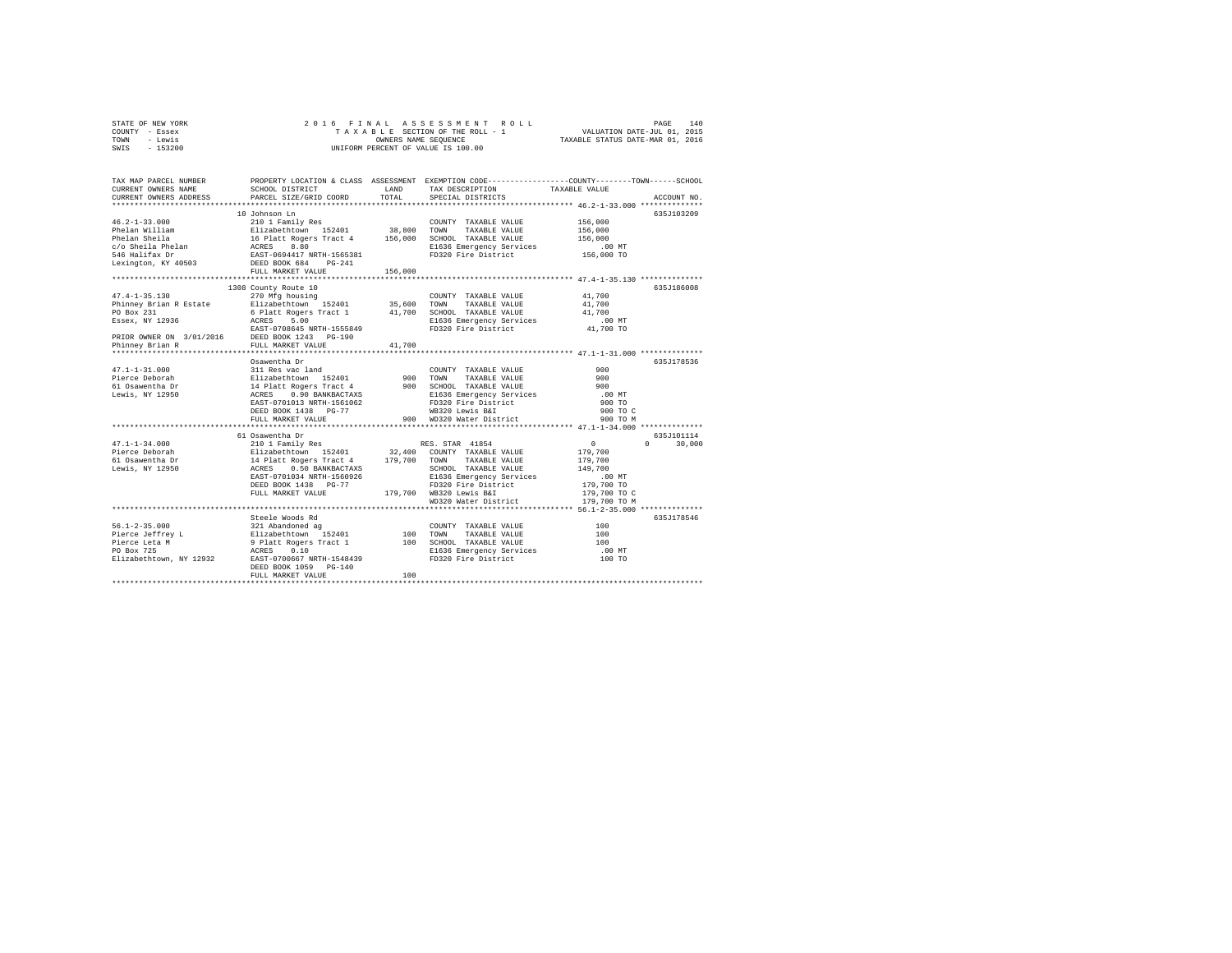| STATE OF NEW YORK |                      |  |  |  |  | 2016 FINAL ASSESSMENT ROLL         |                             | PAGE | 140 |
|-------------------|----------------------|--|--|--|--|------------------------------------|-----------------------------|------|-----|
| COUNTY - Essex    |                      |  |  |  |  | TAXABLE SECTION OF THE ROLL - 1    | VALUATION DATE-JUL 01, 2015 |      |     |
| TOWN<br>siwe.T    | OWNERS NAME SEOUENCE |  |  |  |  | TAXABLE STATUS DATE-MAR 01, 2016   |                             |      |     |
| SWIS - 153200     |                      |  |  |  |  | UNIFORM PERCENT OF VALUE IS 100.00 |                             |      |     |

| TAX MAP PARCEL NUMBER<br>CURRENT OWNERS NAME<br>CURRENT OWNERS ADDRESS                                                                                                                                                                                                                                                                                                                                                                                                                    | SCHOOL DISTRICT<br>PARCEL SIZE/GRID COORD | LAND<br>TOTAL | PROPERTY LOCATION & CLASS ASSESSMENT EXEMPTION CODE---------------COUNTY-------TOWN-----SCHOOL<br>TAX DESCRIPTION<br>SPECIAL DISTRICTS | TAXABLE VALUE        | ACCOUNT NO.            |
|-------------------------------------------------------------------------------------------------------------------------------------------------------------------------------------------------------------------------------------------------------------------------------------------------------------------------------------------------------------------------------------------------------------------------------------------------------------------------------------------|-------------------------------------------|---------------|----------------------------------------------------------------------------------------------------------------------------------------|----------------------|------------------------|
|                                                                                                                                                                                                                                                                                                                                                                                                                                                                                           |                                           |               |                                                                                                                                        |                      |                        |
|                                                                                                                                                                                                                                                                                                                                                                                                                                                                                           | 10 Johnson Ln                             |               |                                                                                                                                        |                      | 635J103209             |
| $46.2 - 1 - 33.000$                                                                                                                                                                                                                                                                                                                                                                                                                                                                       | 210 1 Family Res                          |               | COUNTY TAXABLE VALUE                                                                                                                   | 156,000              |                        |
|                                                                                                                                                                                                                                                                                                                                                                                                                                                                                           |                                           |               |                                                                                                                                        | 156,000              |                        |
|                                                                                                                                                                                                                                                                                                                                                                                                                                                                                           |                                           |               |                                                                                                                                        | 156,000              |                        |
|                                                                                                                                                                                                                                                                                                                                                                                                                                                                                           |                                           |               |                                                                                                                                        | 00 MT.<br>156,000 TO |                        |
| Phelan Nilliam and a suitabethtown 152401 38,800 TOWN TAXABLE VALUE<br>Phelan Shida 16 Platt Rogers Tract 4 156,000 SCROOL TAXABLE VALUE<br>Phelan a 16 Platt Rogers Tract 4 156,000 SCROOL TAXABLE VALUE<br>Phelan ACRES 8.80 Bl536                                                                                                                                                                                                                                                      |                                           |               |                                                                                                                                        |                      |                        |
| Lexington, KY 40503 DEED BOOK 684                                                                                                                                                                                                                                                                                                                                                                                                                                                         | $PG-241$                                  |               |                                                                                                                                        |                      |                        |
|                                                                                                                                                                                                                                                                                                                                                                                                                                                                                           | FULL MARKET VALUE                         | 156,000       |                                                                                                                                        |                      |                        |
|                                                                                                                                                                                                                                                                                                                                                                                                                                                                                           |                                           |               |                                                                                                                                        |                      |                        |
| $\begin{tabular}{l c c c c c} \multicolumn{1}{c}{\textbf{Phinney Brian R } Estate} & \multicolumn{1}{c}{270 Mfg housing} & \multicolumn{1}{c}{\textbf{Chinney Brian R } Estate} & \multicolumn{1}{c}{270 Mfg housing} & \multicolumn{1}{c}{\textbf{COMNT} } TAXABLE \text{ VALUE} & 41,700\\ \multicolumn{1}{c}{\textbf{P0 Box 231} } & \multicolumn{1}{c}{\textbf{E}} state & \multicolumn{1}{c}{\textbf{E}} state & \multicolumn{1}{c}{\textbf{E}} state & \multicolumn{1}{c}{\textbf{$ |                                           |               |                                                                                                                                        |                      | 635.T186008            |
|                                                                                                                                                                                                                                                                                                                                                                                                                                                                                           |                                           |               |                                                                                                                                        |                      |                        |
|                                                                                                                                                                                                                                                                                                                                                                                                                                                                                           |                                           |               |                                                                                                                                        |                      |                        |
|                                                                                                                                                                                                                                                                                                                                                                                                                                                                                           |                                           |               |                                                                                                                                        |                      |                        |
|                                                                                                                                                                                                                                                                                                                                                                                                                                                                                           |                                           |               |                                                                                                                                        |                      |                        |
|                                                                                                                                                                                                                                                                                                                                                                                                                                                                                           |                                           |               |                                                                                                                                        |                      |                        |
|                                                                                                                                                                                                                                                                                                                                                                                                                                                                                           |                                           |               |                                                                                                                                        |                      |                        |
|                                                                                                                                                                                                                                                                                                                                                                                                                                                                                           |                                           |               |                                                                                                                                        |                      |                        |
|                                                                                                                                                                                                                                                                                                                                                                                                                                                                                           |                                           |               |                                                                                                                                        |                      |                        |
|                                                                                                                                                                                                                                                                                                                                                                                                                                                                                           | Osawentha Dr                              |               |                                                                                                                                        |                      | 635J178536             |
|                                                                                                                                                                                                                                                                                                                                                                                                                                                                                           |                                           |               |                                                                                                                                        | 900                  |                        |
|                                                                                                                                                                                                                                                                                                                                                                                                                                                                                           |                                           |               |                                                                                                                                        | 900                  |                        |
|                                                                                                                                                                                                                                                                                                                                                                                                                                                                                           |                                           |               |                                                                                                                                        | 900                  |                        |
|                                                                                                                                                                                                                                                                                                                                                                                                                                                                                           |                                           |               | E1636 Emergency Services<br>FD320 Fire District                                                                                        | .00 MT               |                        |
|                                                                                                                                                                                                                                                                                                                                                                                                                                                                                           | EAST-0701013 NRTH-1561062                 |               |                                                                                                                                        | 900 TO               |                        |
|                                                                                                                                                                                                                                                                                                                                                                                                                                                                                           | DEED BOOK 1438 PG-77                      |               | WB320 Lewis B&I                                                                                                                        | 900 TO C             |                        |
|                                                                                                                                                                                                                                                                                                                                                                                                                                                                                           | FULL MARKET VALUE                         |               | 900 WD320 Water District                                                                                                               | 900 TO M             |                        |
|                                                                                                                                                                                                                                                                                                                                                                                                                                                                                           |                                           |               |                                                                                                                                        |                      |                        |
|                                                                                                                                                                                                                                                                                                                                                                                                                                                                                           | 61 Osawentha Dr                           |               |                                                                                                                                        |                      | 635J101114             |
| $47.1 - 1 - 34.000$                                                                                                                                                                                                                                                                                                                                                                                                                                                                       | 210 1 Family Res                          |               | RES. STAR 41854                                                                                                                        | $\sim$ 0             | $\mathsf{n}$<br>30,000 |
|                                                                                                                                                                                                                                                                                                                                                                                                                                                                                           |                                           |               |                                                                                                                                        | 179,700              |                        |
|                                                                                                                                                                                                                                                                                                                                                                                                                                                                                           |                                           |               |                                                                                                                                        | 179,700              |                        |
|                                                                                                                                                                                                                                                                                                                                                                                                                                                                                           | 0.50 BANKBACTAXS                          |               | SCHOOL TAXABLE VALUE 149,700                                                                                                           |                      |                        |
|                                                                                                                                                                                                                                                                                                                                                                                                                                                                                           | EAST-0701034 NRTH-1560926                 |               | E1636 Emergency Services                                                                                                               | .00 MT               |                        |
|                                                                                                                                                                                                                                                                                                                                                                                                                                                                                           | DEED BOOK 1438 PG-77                      |               | FD320 Fire District                                                                                                                    | 179,700 TO           |                        |
|                                                                                                                                                                                                                                                                                                                                                                                                                                                                                           | FULL MARKET VALUE                         |               | 179,700 WB320 Lewis B&I                                                                                                                | 179,700 TO C         |                        |
|                                                                                                                                                                                                                                                                                                                                                                                                                                                                                           |                                           |               | WD320 Water District                                                                                                                   | 179,700 TO M         |                        |
|                                                                                                                                                                                                                                                                                                                                                                                                                                                                                           |                                           |               | ************************** 56.1-2-35.000 ************                                                                                  |                      |                        |
|                                                                                                                                                                                                                                                                                                                                                                                                                                                                                           | Steele Woods Rd                           |               |                                                                                                                                        |                      | 635J178546             |
|                                                                                                                                                                                                                                                                                                                                                                                                                                                                                           |                                           |               | COUNTY TAXABLE VALUE                                                                                                                   | 100                  |                        |
|                                                                                                                                                                                                                                                                                                                                                                                                                                                                                           |                                           |               | TAXABLE VALUE                                                                                                                          | 100                  |                        |
|                                                                                                                                                                                                                                                                                                                                                                                                                                                                                           |                                           |               | 100 SCHOOL TAXABLE VALUE                                                                                                               | 100                  |                        |
|                                                                                                                                                                                                                                                                                                                                                                                                                                                                                           |                                           |               | E1636 Emergency Services                                                                                                               | .00 MT               |                        |
|                                                                                                                                                                                                                                                                                                                                                                                                                                                                                           |                                           |               | FD320 Fire District                                                                                                                    | 100 TO               |                        |
|                                                                                                                                                                                                                                                                                                                                                                                                                                                                                           | DEED BOOK 1059 PG-140                     |               |                                                                                                                                        |                      |                        |
|                                                                                                                                                                                                                                                                                                                                                                                                                                                                                           | FULL MARKET VALUE                         | 100           |                                                                                                                                        |                      |                        |
|                                                                                                                                                                                                                                                                                                                                                                                                                                                                                           |                                           |               |                                                                                                                                        |                      |                        |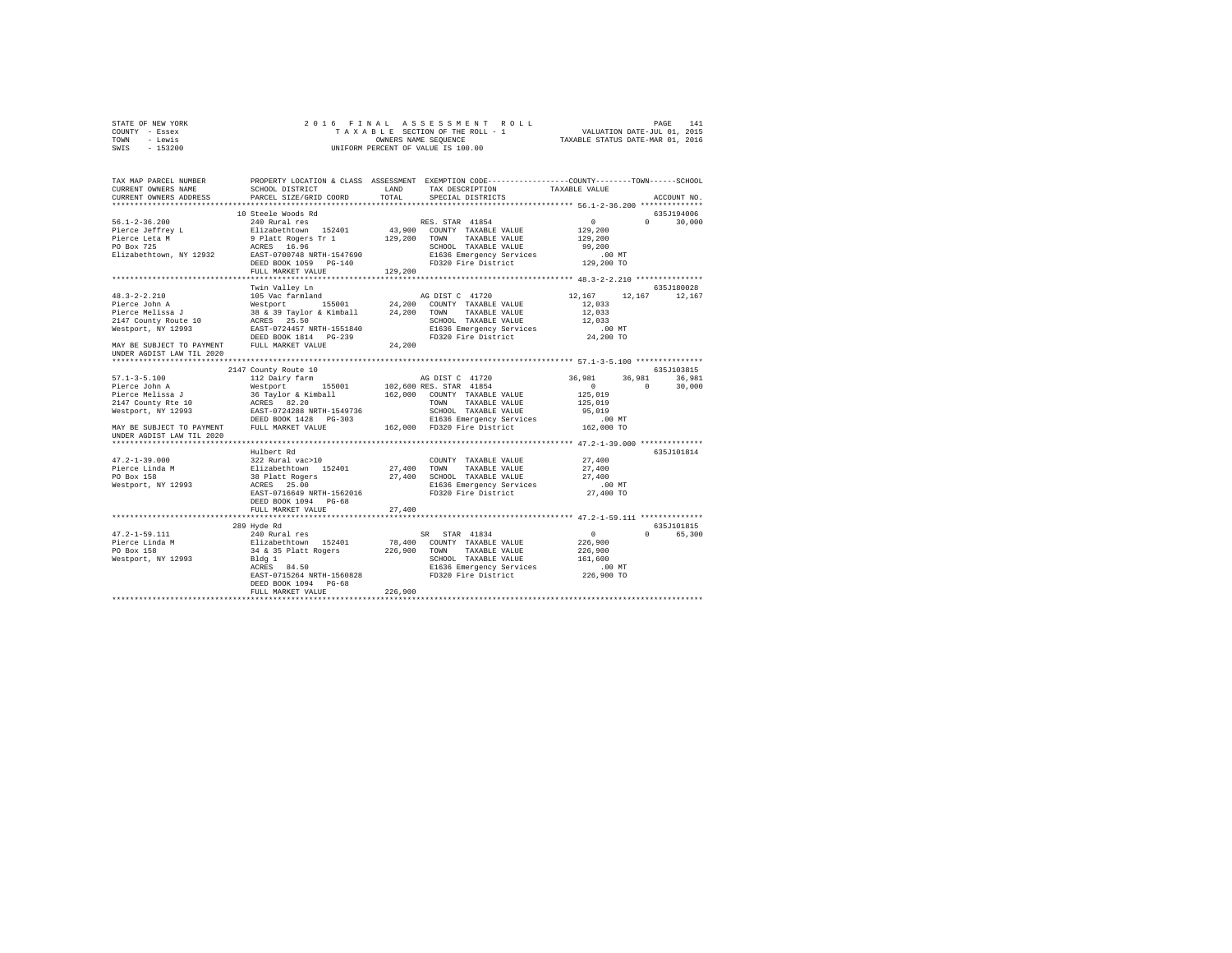|      | STATE OF NEW YORK |  | 2016 FINAL ASSESSMENT ROLL         |                                  | PAGE | 141 |
|------|-------------------|--|------------------------------------|----------------------------------|------|-----|
|      | COUNTY - Essex    |  | TAXABLE SECTION OF THE ROLL - 1    | VALUATION DATE-JUL 01, 2015      |      |     |
| TOWN | - Lewis           |  | OWNERS NAME SEOUENCE               | TAXABLE STATUS DATE-MAR 01, 2016 |      |     |
| SWIS | $-153200$         |  | UNIFORM PERCENT OF VALUE IS 100.00 |                                  |      |     |

| TAX MAP PARCEL NUMBER<br>CURRENT OWNERS NAME<br>CURRENT OWNERS ADDRESS | SCHOOL DISTRICT<br>PARCEL SIZE/GRID COORD | LAND<br>TOTAL | PROPERTY LOCATION & CLASS ASSESSMENT EXEMPTION CODE----------------COUNTY-------TOWN------SCHOOL<br>TAX DESCRIPTION<br>SPECIAL DISTRICTS | TAXABLE VALUE        | ACCOUNT NO.            |
|------------------------------------------------------------------------|-------------------------------------------|---------------|------------------------------------------------------------------------------------------------------------------------------------------|----------------------|------------------------|
| ***************************                                            |                                           |               |                                                                                                                                          |                      |                        |
|                                                                        | 10 Steele Woods Rd                        |               |                                                                                                                                          |                      | 635J194006             |
| $56.1 - 2 - 36.200$                                                    | 240 Rural res                             |               | RES. STAR 41854                                                                                                                          | 0<br>$\Omega$        | 30,000                 |
| Pierce Jeffrey L                                                       | Elizabethtown 152401                      |               | 43,900 COUNTY TAXABLE VALUE                                                                                                              | 129,200              |                        |
| Pierce Leta M                                                          | 9 Platt Rogers Tr 1 129,200               |               | TOWN<br>TAXABLE VALUE                                                                                                                    | 129,200              |                        |
| PO Box 725                                                             | ACRES 16.96                               |               | SCHOOL TAXABLE VALUE                                                                                                                     | 99,200               |                        |
| Elizabethtown, NY 12932                                                | EAST-0700748 NRTH-1547690                 |               |                                                                                                                                          | .00 MT               |                        |
|                                                                        | DEED BOOK 1059 PG-140                     |               | E1636 Emergency Services<br>FD320 Fire District                                                                                          | 129,200 TO           |                        |
|                                                                        | FULL MARKET VALUE                         | 129,200       |                                                                                                                                          |                      |                        |
|                                                                        |                                           |               |                                                                                                                                          |                      |                        |
|                                                                        | Twin Valley Ln                            |               |                                                                                                                                          |                      | 635J180028             |
| $48.3 - 2 - 2.210$                                                     | 105 Vac farmland                          |               | AG DIST C 41720                                                                                                                          | 12,167<br>12,167     | 12,167                 |
| Pierce John A                                                          | Westport 155001                           | 24,200        | COUNTY TAXABLE VALUE                                                                                                                     | 12,033               |                        |
| Pierce Melissa J                                                       | 38 & 39 Taylor & Kimball 24,200           |               | TOWN TAXABLE VALUE                                                                                                                       | 12,033               |                        |
| 2147 County Route 10                                                   | ACRES 25.50                               |               | SCHOOL TAXABLE VALUE                                                                                                                     | 12,033               |                        |
| Westport, NY 12993                                                     | EAST-0724457 NRTH-1551840                 |               | E1636 Emergency Services                                                                                                                 | $.00$ MT             |                        |
|                                                                        | DEED BOOK 1814 PG-239                     |               | FD320 Fire District                                                                                                                      | 24,200 TO            |                        |
| MAY BE SUBJECT TO PAYMENT                                              | FULL MARKET VALUE                         | 24,200        |                                                                                                                                          |                      |                        |
| UNDER AGDIST LAW TIL 2020                                              |                                           |               |                                                                                                                                          |                      |                        |
|                                                                        |                                           |               |                                                                                                                                          |                      |                        |
|                                                                        | 2147 County Route 10                      |               |                                                                                                                                          |                      | 635J103815             |
| $57.1 - 3 - 5.100$                                                     | 112 Dairy farm                            |               | AG DIST C 41720                                                                                                                          | 36,981<br>36,981     | 36,981                 |
| Pierce John A<br>Pierce Melissa J                                      | Westport 155001                           |               | 102,600 RES. STAR 41854                                                                                                                  | $\Omega$<br>$\Omega$ | 30,000                 |
|                                                                        | 36 Taylor & Kimball                       |               | 162,000 COUNTY TAXABLE VALUE                                                                                                             | 125,019              |                        |
| 2147 County Rte 10<br>Westport, NY 12993                               | ACRES 82.20<br>EAST-0724288 NRTH-1549736  |               | TAXABLE VALUE<br>TOWN<br>SCHOOL TAXABLE VALUE                                                                                            | 125,019<br>95,019    |                        |
|                                                                        | DEED BOOK 1428 PG-303                     |               |                                                                                                                                          | $.00$ MT             |                        |
| MAY BE SUBJECT TO PAYMENT                                              | FULL MARKET VALUE                         |               | E1636 Emergency Services<br>162.000 FD320 Fire District                                                                                  | 162,000 TO           |                        |
| UNDER AGDIST LAW TIL 2020                                              |                                           |               |                                                                                                                                          |                      |                        |
|                                                                        |                                           |               |                                                                                                                                          |                      |                        |
|                                                                        | Hulbert Rd                                |               |                                                                                                                                          |                      | 635J101814             |
| $47.2 - 1 - 39.000$                                                    | 322 Rural vac>10                          |               | COUNTY TAXABLE VALUE                                                                                                                     | 27,400               |                        |
| Pierce Linda M                                                         | Elizabethtown 152401                      | 27,400 TOWN   | TAXABLE VALUE                                                                                                                            | 27,400               |                        |
| PO Box 158                                                             |                                           |               | 27,400 SCHOOL TAXABLE VALUE                                                                                                              | 27,400               |                        |
| Westport, NY 12993                                                     | 38 Platt Rogers<br>ACRES 25.00            |               | E1636 Emergency Services                                                                                                                 | $.00$ MT             |                        |
|                                                                        | EAST-0716649 NRTH-1562016                 |               | FD320 Fire District                                                                                                                      | 27,400 TO            |                        |
|                                                                        | DEED BOOK 1094 PG-68                      |               |                                                                                                                                          |                      |                        |
|                                                                        | FULL MARKET VALUE                         | 27,400        |                                                                                                                                          |                      |                        |
|                                                                        |                                           |               |                                                                                                                                          |                      |                        |
|                                                                        | 289 Hyde Rd                               |               |                                                                                                                                          |                      | 635J101815             |
| $47.2 - 1 - 59.111$                                                    | 240 Rural res                             |               | SR STAR 41834                                                                                                                            | $\sim$ 0             | $\mathbf{0}$<br>65,300 |
| Pierce Linda M                                                         | Elizabethtown 152401                      | 78,400        | COUNTY TAXABLE VALUE                                                                                                                     | 226,900              |                        |
| PO Box 158                                                             | 34 & 35 Platt Rogers                      | 226,900       | TOWN TAXABLE VALUE                                                                                                                       | 226,900              |                        |
| Westport, NY 12993                                                     | Bldg 1                                    |               | SCHOOL TAXABLE VALUE                                                                                                                     | 161,600              |                        |
|                                                                        | ACRES 84.50                               |               | E1636 Emergency Services                                                                                                                 | $.00$ MT             |                        |
|                                                                        | EAST-0715264 NRTH-1560828                 |               | FD320 Fire District                                                                                                                      | 226,900 TO           |                        |
|                                                                        | DEED BOOK 1094 PG-68                      |               |                                                                                                                                          |                      |                        |
|                                                                        | FULL MARKET VALUE                         | 226,900       |                                                                                                                                          |                      |                        |
|                                                                        |                                           |               |                                                                                                                                          |                      |                        |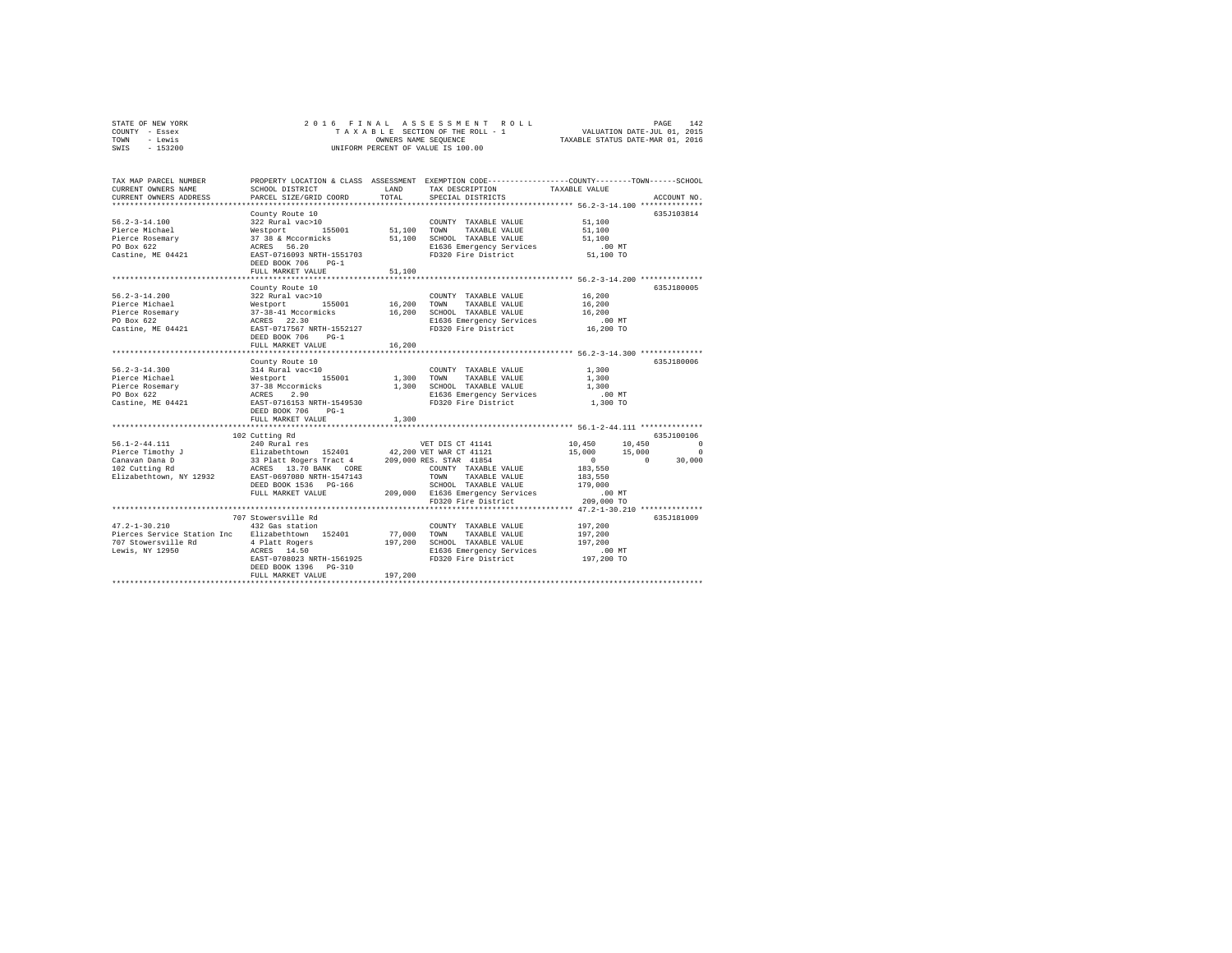| STATE OF NEW YORK | 2016 FINAL ASSESSMENT ROLL         | 142<br>PAGE                      |
|-------------------|------------------------------------|----------------------------------|
| COUNTY - Essex    | TAXABLE SECTION OF THE ROLL - 1    | VALUATION DATE-JUL 01, 2015      |
| TOWN<br>- Lewis   | OWNERS NAME SEOUENCE               | TAXABLE STATUS DATE-MAR 01, 2016 |
| $-153200$<br>SWIS | UNIFORM PERCENT OF VALUE IS 100.00 |                                  |

| TAX MAP PARCEL NUMBER<br>CURRENT OWNERS NAME<br>CURRENT OWNERS ADDRESS                                                                                                                                                                                               | SCHOOL DISTRICT<br>PARCEL SIZE/GRID COORD                                                                                                                                                                                             | T.AND<br>TOTAL          | PROPERTY LOCATION & CLASS ASSESSMENT EXEMPTION CODE---------------COUNTY-------TOWN-----SCHOOL<br>TAX DESCRIPTION TAXABLE VALUE<br>SPECIAL DISTRICTS                                       |                                                                                                      | ACCOUNT NO.                                  |
|----------------------------------------------------------------------------------------------------------------------------------------------------------------------------------------------------------------------------------------------------------------------|---------------------------------------------------------------------------------------------------------------------------------------------------------------------------------------------------------------------------------------|-------------------------|--------------------------------------------------------------------------------------------------------------------------------------------------------------------------------------------|------------------------------------------------------------------------------------------------------|----------------------------------------------|
| $56.2 - 3 - 14.100$<br>Pierce Michael<br>Pierce Rosemary<br>PO Box 622<br>Castine, ME 04421                                                                                                                                                                          | County Route 10<br>322 Rural vac>10<br>Westport 155001 51,100 TOWN<br>37 38 & Mccormicks 51,100 SCHOOR<br>ACRES 56.20 B1636 EAST-0716093 NRTH-1551703 FD320<br>DEED BOOK 706<br>$PG-1$<br>FULL MARKET VALUE<br>********************** | 51,100<br>.             | COUNTY TAXABLE VALUE<br>TAXABLE VALUE<br>51,100 SCHOOL TAXABLE VALUE<br>E1636 Emergency Services<br>FD320 Fire District                                                                    | 51,100<br>51,100<br>51,100<br>.00MT<br>51,100 TO<br>***************** 56.2-3-14.200 **************   | 635J103814                                   |
|                                                                                                                                                                                                                                                                      | County Route 10<br>DEED BOOK 706 PG-1<br>FULL MARKET VALUE                                                                                                                                                                            | 16,200                  |                                                                                                                                                                                            |                                                                                                      | 635J180005                                   |
| $56.2 - 3 - 14.300$<br>Pierce Michael<br>Pierce Rosemary<br>PO Box 622<br>Castine, ME 04421                                                                                                                                                                          | County Route 10<br>314 Rural vaccio<br>Westport 155001<br>37-38 Mccormicks<br>ACRES 2.90<br>EAST-0716153 NRTH-1549530<br>DEED BOOK 706 PG-1<br>FULL MARKET VALUE                                                                      | 1,300<br>1,300<br>1,300 | COUNTY TAXABLE VALUE<br>TOWN<br>TAXABLE VALUE<br>SCHOOL TAXABLE VALUE<br>E1636 Emergency Services<br>FD320 Fire District                                                                   | 1,300<br>1,300<br>1,300<br>.00 MT<br>1,300 TO                                                        | 635J180006                                   |
| $56.1 - 2 - 44.111$<br>Pierce Timothy J<br>Pierce Timothy J<br>Canavan Dana D<br>33 Platt Rogers Tract 4<br>102 Cutting Rd<br>209,000 RES. STAR 41854<br>2012 COREY 13.70 BANK CORE<br>209,000 RES. STAR 41854<br>2018 TOWN TAXABLE VALUE<br>2012 TOWN TAXABLE VALUE | ***************************<br>102 Cutting Rd<br>240 Rural res<br>DEED BOOK 1536 PG-166<br>FULL MARKET VALUE                                                                                                                          |                         | VET DIS CT 41141<br>SCHOOL TAXABLE VALUE 179,000<br>209,000 E1636 Emergency Services<br>FD320 Fire District                                                                                | 10,450 10,450<br>15,000 15,000<br>$\sim$ 0<br>$\sim$ 0<br>183,550<br>183,550<br>.00 MT<br>209,000 TO | 635J100106<br>$\Omega$<br>$\Omega$<br>30,000 |
| $47.2 - 1 - 30.210$<br>Pierces Service Station Inc Elizabethtown 152401                                                                                                                                                                                              | 707 Stowersville Rd<br>432 Gas station<br>EAST-0708023 NRTH-1561925<br>DEED BOOK 1396    PG-310<br>FULL MARKET VALUE                                                                                                                  | 77,000 TOWN<br>197,200  | ********************************** 47.2-1-30.210 *************<br>COUNTY TAXABLE VALUE<br>TAXABLE VALUE<br>197,200 SCHOOL TAXABLE VALUE<br>E1636 Emergency Services<br>FD320 Fire District | 197.200<br>197,200<br>197.200<br>.00 MT<br>197,200 TO                                                | 635J181009                                   |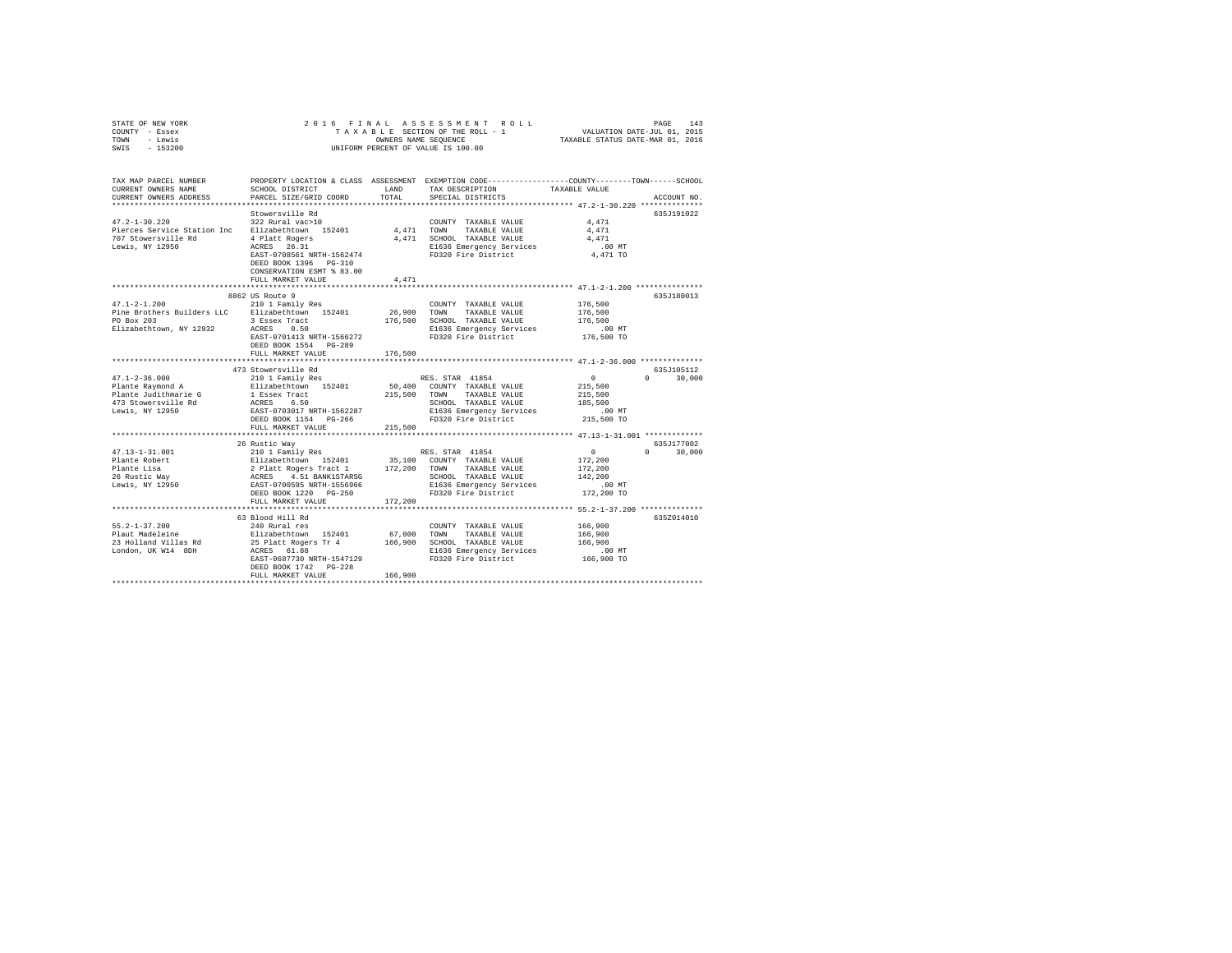| SWIS<br>$-153200$<br>UNIFORM PERCENT OF VALUE IS 100.00<br>TAX MAP PARCEL NUMBER<br>PROPERTY LOCATION & CLASS ASSESSMENT EXEMPTION CODE---------------COUNTY-------TOWN-----SCHOOL<br>LAND<br>CURRENT OWNERS NAME<br>SCHOOL DISTRICT<br>TAX DESCRIPTION<br>TAXABLE VALUE<br>TOTAL<br>CURRENT OWNERS ADDRESS<br>PARCEL SIZE/GRID COORD<br>SPECIAL DISTRICTS<br>ACCOUNT NO.<br>Stowersville Rd<br>635J191022<br>322 Rural vac>10<br>$47.2 - 1 - 30.220$<br>4.471<br>COUNTY TAXABLE VALUE<br>4,471<br>Pierces Service Station Inc Elizabethtown 152401<br>TOWN<br>4.471<br>TAXABLE VALUE<br>707 Stowersville Rd<br>4 Platt Rogers<br>ACRES 26.31<br>4,471 SCHOOL TAXABLE VALUE<br>4.471<br>Lewis, NY 12950<br>E1636 Emergency Services<br>$.00$ MT<br>FD320 Fire District<br>EAST-0708561 NRTH-1562474<br>4,471 TO<br>DEED BOOK 1396 PG-310<br>CONSERVATION ESMT % 83.00<br>FULL MARKET VALUE<br>4,471<br>********************** 47.1-2-1.200 ****************<br>*************************<br>8862 US Route 9<br>635J180013<br>$47.1 - 2 - 1.200$<br>210 1 Family Res<br>COUNTY TAXABLE VALUE<br>176,500<br>Pine Brothers Builders LLC Elizabethtown 152401<br>26,900<br>176,500<br>TOWN<br>TAXABLE VALUE<br>PO Box 203<br>3 Essex Tract<br>176,500<br>SCHOOL TAXABLE VALUE<br>176,500<br>Elizabethtown, NY 12932<br>ACRES 0.50<br>E1636 Emergency Services<br>$.00$ MT<br>176,500 TO<br>FD320 Fire District<br>EAST-0701413 NRTH-1566272<br>DEED BOOK 1554 PG-289<br>176,500<br>FULL MARKET VALUE<br>473 Stowersville Rd<br>635J105112<br>$47.1 - 2 - 36.000$<br>$\overline{0}$<br>30,000<br>210 1 Family Res<br>RES. STAR 41854<br>$\Omega$<br>50,400 COUNTY TAXABLE VALUE<br>Plante Raymond A<br>Elizabethtown 152401<br>215,500<br>Plante Judithmarie G<br>215,500 TOWN<br>1 Essex Tract<br>TAXABLE VALUE<br>215,500<br>473 Stowersville Rd<br>ACRES 6.50<br>SCHOOL TAXABLE VALUE<br>185,500<br>EAST-0703017 NRTH-1562287<br>Lewis, NY 12950<br>E1636 Emergency Services<br>$.00$ MT<br>DEED BOOK 1154 PG-266<br>FD320 Fire District<br>215,500 TO<br>FULL MARKET VALUE<br>215,500<br>26 Rustic Way<br>635J177002<br>$\mathbf{0}$<br>$47.13 - 1 - 31.001$<br>210 1 Family Res<br>RES. STAR 41854<br>$\Omega$<br>30,000<br>Elizabethtown 152401 35,100 COUNTY TAXABLE VALUE<br>2 Platt Rogers Tract 1 172,200 TOWN TAXABLE VALUE<br>ACRES 4.51 BANK1STARSG 5 SCHOOL TAXABLE VALUE<br>ERST-0700595 NRTH-1556966 SIGOOL TAXABLE VALUE<br>Plante Robert<br>172,200<br>Plante Lisa<br>26 Rustic Way<br>Lewis, NY 12950<br>172,200<br>SCHOOL TAXABLE VALUE<br>142,200<br>E1636 Emergency Services<br>$.00$ MT<br>FD320 Fire District<br>172,200 TO<br>DEED BOOK 1220 PG-250<br>FULL MARKET VALUE<br>172,200<br>63 Blood Hill Rd<br>635Z014010<br>$55.2 - 1 - 37.200$<br>166,900<br>240 Rural res<br>COUNTY TAXABLE VALUE<br>Plaut Madeleine<br>Elizabethtown 152401<br>67,000<br>166,900<br>TOWN<br>TAXABLE VALUE<br>23 Holland Villas Rd<br>25 Platt Rogers Tr 4<br>166,900<br>SCHOOL TAXABLE VALUE<br>166,900<br>London, UK W14 8DH<br>ACRES 61.88<br>E1636 Emergency Services<br>$.00$ MT<br>166,900 TO<br>EAST-0687730 NRTH-1547129<br>FD320 Fire District<br>DEED BOOK 1742 PG-228<br>166,900<br>FULL MARKET VALUE | STATE OF NEW YORK<br>COUNTY - Essex<br>- Lewis<br>TOWN | 2016 FINAL | OWNERS NAME SEQUENCE | ASSESSMENT ROLL<br>TAXABLE SECTION OF THE ROLL - 1 | VALUATION DATE-JUL 01, 2015<br>TAXABLE STATUS DATE-MAR 01, 2016 | PAGE<br>143 |
|---------------------------------------------------------------------------------------------------------------------------------------------------------------------------------------------------------------------------------------------------------------------------------------------------------------------------------------------------------------------------------------------------------------------------------------------------------------------------------------------------------------------------------------------------------------------------------------------------------------------------------------------------------------------------------------------------------------------------------------------------------------------------------------------------------------------------------------------------------------------------------------------------------------------------------------------------------------------------------------------------------------------------------------------------------------------------------------------------------------------------------------------------------------------------------------------------------------------------------------------------------------------------------------------------------------------------------------------------------------------------------------------------------------------------------------------------------------------------------------------------------------------------------------------------------------------------------------------------------------------------------------------------------------------------------------------------------------------------------------------------------------------------------------------------------------------------------------------------------------------------------------------------------------------------------------------------------------------------------------------------------------------------------------------------------------------------------------------------------------------------------------------------------------------------------------------------------------------------------------------------------------------------------------------------------------------------------------------------------------------------------------------------------------------------------------------------------------------------------------------------------------------------------------------------------------------------------------------------------------------------------------------------------------------------------------------------------------------------------------------------------------------------------------------------------------------------------------------------------------------------------------------------------------------------------------------------------------------------------------------------------------------------------------------------------------------------------------------------------------------------------------------------------------------------------------------------------------------|--------------------------------------------------------|------------|----------------------|----------------------------------------------------|-----------------------------------------------------------------|-------------|
|                                                                                                                                                                                                                                                                                                                                                                                                                                                                                                                                                                                                                                                                                                                                                                                                                                                                                                                                                                                                                                                                                                                                                                                                                                                                                                                                                                                                                                                                                                                                                                                                                                                                                                                                                                                                                                                                                                                                                                                                                                                                                                                                                                                                                                                                                                                                                                                                                                                                                                                                                                                                                                                                                                                                                                                                                                                                                                                                                                                                                                                                                                                                                                                                                     |                                                        |            |                      |                                                    |                                                                 |             |
|                                                                                                                                                                                                                                                                                                                                                                                                                                                                                                                                                                                                                                                                                                                                                                                                                                                                                                                                                                                                                                                                                                                                                                                                                                                                                                                                                                                                                                                                                                                                                                                                                                                                                                                                                                                                                                                                                                                                                                                                                                                                                                                                                                                                                                                                                                                                                                                                                                                                                                                                                                                                                                                                                                                                                                                                                                                                                                                                                                                                                                                                                                                                                                                                                     |                                                        |            |                      |                                                    |                                                                 |             |
|                                                                                                                                                                                                                                                                                                                                                                                                                                                                                                                                                                                                                                                                                                                                                                                                                                                                                                                                                                                                                                                                                                                                                                                                                                                                                                                                                                                                                                                                                                                                                                                                                                                                                                                                                                                                                                                                                                                                                                                                                                                                                                                                                                                                                                                                                                                                                                                                                                                                                                                                                                                                                                                                                                                                                                                                                                                                                                                                                                                                                                                                                                                                                                                                                     |                                                        |            |                      |                                                    |                                                                 |             |
|                                                                                                                                                                                                                                                                                                                                                                                                                                                                                                                                                                                                                                                                                                                                                                                                                                                                                                                                                                                                                                                                                                                                                                                                                                                                                                                                                                                                                                                                                                                                                                                                                                                                                                                                                                                                                                                                                                                                                                                                                                                                                                                                                                                                                                                                                                                                                                                                                                                                                                                                                                                                                                                                                                                                                                                                                                                                                                                                                                                                                                                                                                                                                                                                                     |                                                        |            |                      |                                                    |                                                                 |             |
|                                                                                                                                                                                                                                                                                                                                                                                                                                                                                                                                                                                                                                                                                                                                                                                                                                                                                                                                                                                                                                                                                                                                                                                                                                                                                                                                                                                                                                                                                                                                                                                                                                                                                                                                                                                                                                                                                                                                                                                                                                                                                                                                                                                                                                                                                                                                                                                                                                                                                                                                                                                                                                                                                                                                                                                                                                                                                                                                                                                                                                                                                                                                                                                                                     |                                                        |            |                      |                                                    |                                                                 |             |
|                                                                                                                                                                                                                                                                                                                                                                                                                                                                                                                                                                                                                                                                                                                                                                                                                                                                                                                                                                                                                                                                                                                                                                                                                                                                                                                                                                                                                                                                                                                                                                                                                                                                                                                                                                                                                                                                                                                                                                                                                                                                                                                                                                                                                                                                                                                                                                                                                                                                                                                                                                                                                                                                                                                                                                                                                                                                                                                                                                                                                                                                                                                                                                                                                     |                                                        |            |                      |                                                    |                                                                 |             |
|                                                                                                                                                                                                                                                                                                                                                                                                                                                                                                                                                                                                                                                                                                                                                                                                                                                                                                                                                                                                                                                                                                                                                                                                                                                                                                                                                                                                                                                                                                                                                                                                                                                                                                                                                                                                                                                                                                                                                                                                                                                                                                                                                                                                                                                                                                                                                                                                                                                                                                                                                                                                                                                                                                                                                                                                                                                                                                                                                                                                                                                                                                                                                                                                                     |                                                        |            |                      |                                                    |                                                                 |             |
|                                                                                                                                                                                                                                                                                                                                                                                                                                                                                                                                                                                                                                                                                                                                                                                                                                                                                                                                                                                                                                                                                                                                                                                                                                                                                                                                                                                                                                                                                                                                                                                                                                                                                                                                                                                                                                                                                                                                                                                                                                                                                                                                                                                                                                                                                                                                                                                                                                                                                                                                                                                                                                                                                                                                                                                                                                                                                                                                                                                                                                                                                                                                                                                                                     |                                                        |            |                      |                                                    |                                                                 |             |
|                                                                                                                                                                                                                                                                                                                                                                                                                                                                                                                                                                                                                                                                                                                                                                                                                                                                                                                                                                                                                                                                                                                                                                                                                                                                                                                                                                                                                                                                                                                                                                                                                                                                                                                                                                                                                                                                                                                                                                                                                                                                                                                                                                                                                                                                                                                                                                                                                                                                                                                                                                                                                                                                                                                                                                                                                                                                                                                                                                                                                                                                                                                                                                                                                     |                                                        |            |                      |                                                    |                                                                 |             |
|                                                                                                                                                                                                                                                                                                                                                                                                                                                                                                                                                                                                                                                                                                                                                                                                                                                                                                                                                                                                                                                                                                                                                                                                                                                                                                                                                                                                                                                                                                                                                                                                                                                                                                                                                                                                                                                                                                                                                                                                                                                                                                                                                                                                                                                                                                                                                                                                                                                                                                                                                                                                                                                                                                                                                                                                                                                                                                                                                                                                                                                                                                                                                                                                                     |                                                        |            |                      |                                                    |                                                                 |             |
|                                                                                                                                                                                                                                                                                                                                                                                                                                                                                                                                                                                                                                                                                                                                                                                                                                                                                                                                                                                                                                                                                                                                                                                                                                                                                                                                                                                                                                                                                                                                                                                                                                                                                                                                                                                                                                                                                                                                                                                                                                                                                                                                                                                                                                                                                                                                                                                                                                                                                                                                                                                                                                                                                                                                                                                                                                                                                                                                                                                                                                                                                                                                                                                                                     |                                                        |            |                      |                                                    |                                                                 |             |
|                                                                                                                                                                                                                                                                                                                                                                                                                                                                                                                                                                                                                                                                                                                                                                                                                                                                                                                                                                                                                                                                                                                                                                                                                                                                                                                                                                                                                                                                                                                                                                                                                                                                                                                                                                                                                                                                                                                                                                                                                                                                                                                                                                                                                                                                                                                                                                                                                                                                                                                                                                                                                                                                                                                                                                                                                                                                                                                                                                                                                                                                                                                                                                                                                     |                                                        |            |                      |                                                    |                                                                 |             |
|                                                                                                                                                                                                                                                                                                                                                                                                                                                                                                                                                                                                                                                                                                                                                                                                                                                                                                                                                                                                                                                                                                                                                                                                                                                                                                                                                                                                                                                                                                                                                                                                                                                                                                                                                                                                                                                                                                                                                                                                                                                                                                                                                                                                                                                                                                                                                                                                                                                                                                                                                                                                                                                                                                                                                                                                                                                                                                                                                                                                                                                                                                                                                                                                                     |                                                        |            |                      |                                                    |                                                                 |             |
|                                                                                                                                                                                                                                                                                                                                                                                                                                                                                                                                                                                                                                                                                                                                                                                                                                                                                                                                                                                                                                                                                                                                                                                                                                                                                                                                                                                                                                                                                                                                                                                                                                                                                                                                                                                                                                                                                                                                                                                                                                                                                                                                                                                                                                                                                                                                                                                                                                                                                                                                                                                                                                                                                                                                                                                                                                                                                                                                                                                                                                                                                                                                                                                                                     |                                                        |            |                      |                                                    |                                                                 |             |
|                                                                                                                                                                                                                                                                                                                                                                                                                                                                                                                                                                                                                                                                                                                                                                                                                                                                                                                                                                                                                                                                                                                                                                                                                                                                                                                                                                                                                                                                                                                                                                                                                                                                                                                                                                                                                                                                                                                                                                                                                                                                                                                                                                                                                                                                                                                                                                                                                                                                                                                                                                                                                                                                                                                                                                                                                                                                                                                                                                                                                                                                                                                                                                                                                     |                                                        |            |                      |                                                    |                                                                 |             |
|                                                                                                                                                                                                                                                                                                                                                                                                                                                                                                                                                                                                                                                                                                                                                                                                                                                                                                                                                                                                                                                                                                                                                                                                                                                                                                                                                                                                                                                                                                                                                                                                                                                                                                                                                                                                                                                                                                                                                                                                                                                                                                                                                                                                                                                                                                                                                                                                                                                                                                                                                                                                                                                                                                                                                                                                                                                                                                                                                                                                                                                                                                                                                                                                                     |                                                        |            |                      |                                                    |                                                                 |             |
|                                                                                                                                                                                                                                                                                                                                                                                                                                                                                                                                                                                                                                                                                                                                                                                                                                                                                                                                                                                                                                                                                                                                                                                                                                                                                                                                                                                                                                                                                                                                                                                                                                                                                                                                                                                                                                                                                                                                                                                                                                                                                                                                                                                                                                                                                                                                                                                                                                                                                                                                                                                                                                                                                                                                                                                                                                                                                                                                                                                                                                                                                                                                                                                                                     |                                                        |            |                      |                                                    |                                                                 |             |
|                                                                                                                                                                                                                                                                                                                                                                                                                                                                                                                                                                                                                                                                                                                                                                                                                                                                                                                                                                                                                                                                                                                                                                                                                                                                                                                                                                                                                                                                                                                                                                                                                                                                                                                                                                                                                                                                                                                                                                                                                                                                                                                                                                                                                                                                                                                                                                                                                                                                                                                                                                                                                                                                                                                                                                                                                                                                                                                                                                                                                                                                                                                                                                                                                     |                                                        |            |                      |                                                    |                                                                 |             |
|                                                                                                                                                                                                                                                                                                                                                                                                                                                                                                                                                                                                                                                                                                                                                                                                                                                                                                                                                                                                                                                                                                                                                                                                                                                                                                                                                                                                                                                                                                                                                                                                                                                                                                                                                                                                                                                                                                                                                                                                                                                                                                                                                                                                                                                                                                                                                                                                                                                                                                                                                                                                                                                                                                                                                                                                                                                                                                                                                                                                                                                                                                                                                                                                                     |                                                        |            |                      |                                                    |                                                                 |             |
|                                                                                                                                                                                                                                                                                                                                                                                                                                                                                                                                                                                                                                                                                                                                                                                                                                                                                                                                                                                                                                                                                                                                                                                                                                                                                                                                                                                                                                                                                                                                                                                                                                                                                                                                                                                                                                                                                                                                                                                                                                                                                                                                                                                                                                                                                                                                                                                                                                                                                                                                                                                                                                                                                                                                                                                                                                                                                                                                                                                                                                                                                                                                                                                                                     |                                                        |            |                      |                                                    |                                                                 |             |
|                                                                                                                                                                                                                                                                                                                                                                                                                                                                                                                                                                                                                                                                                                                                                                                                                                                                                                                                                                                                                                                                                                                                                                                                                                                                                                                                                                                                                                                                                                                                                                                                                                                                                                                                                                                                                                                                                                                                                                                                                                                                                                                                                                                                                                                                                                                                                                                                                                                                                                                                                                                                                                                                                                                                                                                                                                                                                                                                                                                                                                                                                                                                                                                                                     |                                                        |            |                      |                                                    |                                                                 |             |
|                                                                                                                                                                                                                                                                                                                                                                                                                                                                                                                                                                                                                                                                                                                                                                                                                                                                                                                                                                                                                                                                                                                                                                                                                                                                                                                                                                                                                                                                                                                                                                                                                                                                                                                                                                                                                                                                                                                                                                                                                                                                                                                                                                                                                                                                                                                                                                                                                                                                                                                                                                                                                                                                                                                                                                                                                                                                                                                                                                                                                                                                                                                                                                                                                     |                                                        |            |                      |                                                    |                                                                 |             |
|                                                                                                                                                                                                                                                                                                                                                                                                                                                                                                                                                                                                                                                                                                                                                                                                                                                                                                                                                                                                                                                                                                                                                                                                                                                                                                                                                                                                                                                                                                                                                                                                                                                                                                                                                                                                                                                                                                                                                                                                                                                                                                                                                                                                                                                                                                                                                                                                                                                                                                                                                                                                                                                                                                                                                                                                                                                                                                                                                                                                                                                                                                                                                                                                                     |                                                        |            |                      |                                                    |                                                                 |             |
|                                                                                                                                                                                                                                                                                                                                                                                                                                                                                                                                                                                                                                                                                                                                                                                                                                                                                                                                                                                                                                                                                                                                                                                                                                                                                                                                                                                                                                                                                                                                                                                                                                                                                                                                                                                                                                                                                                                                                                                                                                                                                                                                                                                                                                                                                                                                                                                                                                                                                                                                                                                                                                                                                                                                                                                                                                                                                                                                                                                                                                                                                                                                                                                                                     |                                                        |            |                      |                                                    |                                                                 |             |
|                                                                                                                                                                                                                                                                                                                                                                                                                                                                                                                                                                                                                                                                                                                                                                                                                                                                                                                                                                                                                                                                                                                                                                                                                                                                                                                                                                                                                                                                                                                                                                                                                                                                                                                                                                                                                                                                                                                                                                                                                                                                                                                                                                                                                                                                                                                                                                                                                                                                                                                                                                                                                                                                                                                                                                                                                                                                                                                                                                                                                                                                                                                                                                                                                     |                                                        |            |                      |                                                    |                                                                 |             |
|                                                                                                                                                                                                                                                                                                                                                                                                                                                                                                                                                                                                                                                                                                                                                                                                                                                                                                                                                                                                                                                                                                                                                                                                                                                                                                                                                                                                                                                                                                                                                                                                                                                                                                                                                                                                                                                                                                                                                                                                                                                                                                                                                                                                                                                                                                                                                                                                                                                                                                                                                                                                                                                                                                                                                                                                                                                                                                                                                                                                                                                                                                                                                                                                                     |                                                        |            |                      |                                                    |                                                                 |             |
|                                                                                                                                                                                                                                                                                                                                                                                                                                                                                                                                                                                                                                                                                                                                                                                                                                                                                                                                                                                                                                                                                                                                                                                                                                                                                                                                                                                                                                                                                                                                                                                                                                                                                                                                                                                                                                                                                                                                                                                                                                                                                                                                                                                                                                                                                                                                                                                                                                                                                                                                                                                                                                                                                                                                                                                                                                                                                                                                                                                                                                                                                                                                                                                                                     |                                                        |            |                      |                                                    |                                                                 |             |
|                                                                                                                                                                                                                                                                                                                                                                                                                                                                                                                                                                                                                                                                                                                                                                                                                                                                                                                                                                                                                                                                                                                                                                                                                                                                                                                                                                                                                                                                                                                                                                                                                                                                                                                                                                                                                                                                                                                                                                                                                                                                                                                                                                                                                                                                                                                                                                                                                                                                                                                                                                                                                                                                                                                                                                                                                                                                                                                                                                                                                                                                                                                                                                                                                     |                                                        |            |                      |                                                    |                                                                 |             |
|                                                                                                                                                                                                                                                                                                                                                                                                                                                                                                                                                                                                                                                                                                                                                                                                                                                                                                                                                                                                                                                                                                                                                                                                                                                                                                                                                                                                                                                                                                                                                                                                                                                                                                                                                                                                                                                                                                                                                                                                                                                                                                                                                                                                                                                                                                                                                                                                                                                                                                                                                                                                                                                                                                                                                                                                                                                                                                                                                                                                                                                                                                                                                                                                                     |                                                        |            |                      |                                                    |                                                                 |             |
|                                                                                                                                                                                                                                                                                                                                                                                                                                                                                                                                                                                                                                                                                                                                                                                                                                                                                                                                                                                                                                                                                                                                                                                                                                                                                                                                                                                                                                                                                                                                                                                                                                                                                                                                                                                                                                                                                                                                                                                                                                                                                                                                                                                                                                                                                                                                                                                                                                                                                                                                                                                                                                                                                                                                                                                                                                                                                                                                                                                                                                                                                                                                                                                                                     |                                                        |            |                      |                                                    |                                                                 |             |
|                                                                                                                                                                                                                                                                                                                                                                                                                                                                                                                                                                                                                                                                                                                                                                                                                                                                                                                                                                                                                                                                                                                                                                                                                                                                                                                                                                                                                                                                                                                                                                                                                                                                                                                                                                                                                                                                                                                                                                                                                                                                                                                                                                                                                                                                                                                                                                                                                                                                                                                                                                                                                                                                                                                                                                                                                                                                                                                                                                                                                                                                                                                                                                                                                     |                                                        |            |                      |                                                    |                                                                 |             |
|                                                                                                                                                                                                                                                                                                                                                                                                                                                                                                                                                                                                                                                                                                                                                                                                                                                                                                                                                                                                                                                                                                                                                                                                                                                                                                                                                                                                                                                                                                                                                                                                                                                                                                                                                                                                                                                                                                                                                                                                                                                                                                                                                                                                                                                                                                                                                                                                                                                                                                                                                                                                                                                                                                                                                                                                                                                                                                                                                                                                                                                                                                                                                                                                                     |                                                        |            |                      |                                                    |                                                                 |             |
|                                                                                                                                                                                                                                                                                                                                                                                                                                                                                                                                                                                                                                                                                                                                                                                                                                                                                                                                                                                                                                                                                                                                                                                                                                                                                                                                                                                                                                                                                                                                                                                                                                                                                                                                                                                                                                                                                                                                                                                                                                                                                                                                                                                                                                                                                                                                                                                                                                                                                                                                                                                                                                                                                                                                                                                                                                                                                                                                                                                                                                                                                                                                                                                                                     |                                                        |            |                      |                                                    |                                                                 |             |
|                                                                                                                                                                                                                                                                                                                                                                                                                                                                                                                                                                                                                                                                                                                                                                                                                                                                                                                                                                                                                                                                                                                                                                                                                                                                                                                                                                                                                                                                                                                                                                                                                                                                                                                                                                                                                                                                                                                                                                                                                                                                                                                                                                                                                                                                                                                                                                                                                                                                                                                                                                                                                                                                                                                                                                                                                                                                                                                                                                                                                                                                                                                                                                                                                     |                                                        |            |                      |                                                    |                                                                 |             |
|                                                                                                                                                                                                                                                                                                                                                                                                                                                                                                                                                                                                                                                                                                                                                                                                                                                                                                                                                                                                                                                                                                                                                                                                                                                                                                                                                                                                                                                                                                                                                                                                                                                                                                                                                                                                                                                                                                                                                                                                                                                                                                                                                                                                                                                                                                                                                                                                                                                                                                                                                                                                                                                                                                                                                                                                                                                                                                                                                                                                                                                                                                                                                                                                                     |                                                        |            |                      |                                                    |                                                                 |             |
|                                                                                                                                                                                                                                                                                                                                                                                                                                                                                                                                                                                                                                                                                                                                                                                                                                                                                                                                                                                                                                                                                                                                                                                                                                                                                                                                                                                                                                                                                                                                                                                                                                                                                                                                                                                                                                                                                                                                                                                                                                                                                                                                                                                                                                                                                                                                                                                                                                                                                                                                                                                                                                                                                                                                                                                                                                                                                                                                                                                                                                                                                                                                                                                                                     |                                                        |            |                      |                                                    |                                                                 |             |
|                                                                                                                                                                                                                                                                                                                                                                                                                                                                                                                                                                                                                                                                                                                                                                                                                                                                                                                                                                                                                                                                                                                                                                                                                                                                                                                                                                                                                                                                                                                                                                                                                                                                                                                                                                                                                                                                                                                                                                                                                                                                                                                                                                                                                                                                                                                                                                                                                                                                                                                                                                                                                                                                                                                                                                                                                                                                                                                                                                                                                                                                                                                                                                                                                     |                                                        |            |                      |                                                    |                                                                 |             |
|                                                                                                                                                                                                                                                                                                                                                                                                                                                                                                                                                                                                                                                                                                                                                                                                                                                                                                                                                                                                                                                                                                                                                                                                                                                                                                                                                                                                                                                                                                                                                                                                                                                                                                                                                                                                                                                                                                                                                                                                                                                                                                                                                                                                                                                                                                                                                                                                                                                                                                                                                                                                                                                                                                                                                                                                                                                                                                                                                                                                                                                                                                                                                                                                                     |                                                        |            |                      |                                                    |                                                                 |             |
|                                                                                                                                                                                                                                                                                                                                                                                                                                                                                                                                                                                                                                                                                                                                                                                                                                                                                                                                                                                                                                                                                                                                                                                                                                                                                                                                                                                                                                                                                                                                                                                                                                                                                                                                                                                                                                                                                                                                                                                                                                                                                                                                                                                                                                                                                                                                                                                                                                                                                                                                                                                                                                                                                                                                                                                                                                                                                                                                                                                                                                                                                                                                                                                                                     |                                                        |            |                      |                                                    |                                                                 |             |
|                                                                                                                                                                                                                                                                                                                                                                                                                                                                                                                                                                                                                                                                                                                                                                                                                                                                                                                                                                                                                                                                                                                                                                                                                                                                                                                                                                                                                                                                                                                                                                                                                                                                                                                                                                                                                                                                                                                                                                                                                                                                                                                                                                                                                                                                                                                                                                                                                                                                                                                                                                                                                                                                                                                                                                                                                                                                                                                                                                                                                                                                                                                                                                                                                     |                                                        |            |                      |                                                    |                                                                 |             |
|                                                                                                                                                                                                                                                                                                                                                                                                                                                                                                                                                                                                                                                                                                                                                                                                                                                                                                                                                                                                                                                                                                                                                                                                                                                                                                                                                                                                                                                                                                                                                                                                                                                                                                                                                                                                                                                                                                                                                                                                                                                                                                                                                                                                                                                                                                                                                                                                                                                                                                                                                                                                                                                                                                                                                                                                                                                                                                                                                                                                                                                                                                                                                                                                                     |                                                        |            |                      |                                                    |                                                                 |             |
|                                                                                                                                                                                                                                                                                                                                                                                                                                                                                                                                                                                                                                                                                                                                                                                                                                                                                                                                                                                                                                                                                                                                                                                                                                                                                                                                                                                                                                                                                                                                                                                                                                                                                                                                                                                                                                                                                                                                                                                                                                                                                                                                                                                                                                                                                                                                                                                                                                                                                                                                                                                                                                                                                                                                                                                                                                                                                                                                                                                                                                                                                                                                                                                                                     |                                                        |            |                      |                                                    |                                                                 |             |
|                                                                                                                                                                                                                                                                                                                                                                                                                                                                                                                                                                                                                                                                                                                                                                                                                                                                                                                                                                                                                                                                                                                                                                                                                                                                                                                                                                                                                                                                                                                                                                                                                                                                                                                                                                                                                                                                                                                                                                                                                                                                                                                                                                                                                                                                                                                                                                                                                                                                                                                                                                                                                                                                                                                                                                                                                                                                                                                                                                                                                                                                                                                                                                                                                     |                                                        |            |                      |                                                    |                                                                 |             |
|                                                                                                                                                                                                                                                                                                                                                                                                                                                                                                                                                                                                                                                                                                                                                                                                                                                                                                                                                                                                                                                                                                                                                                                                                                                                                                                                                                                                                                                                                                                                                                                                                                                                                                                                                                                                                                                                                                                                                                                                                                                                                                                                                                                                                                                                                                                                                                                                                                                                                                                                                                                                                                                                                                                                                                                                                                                                                                                                                                                                                                                                                                                                                                                                                     |                                                        |            |                      |                                                    |                                                                 |             |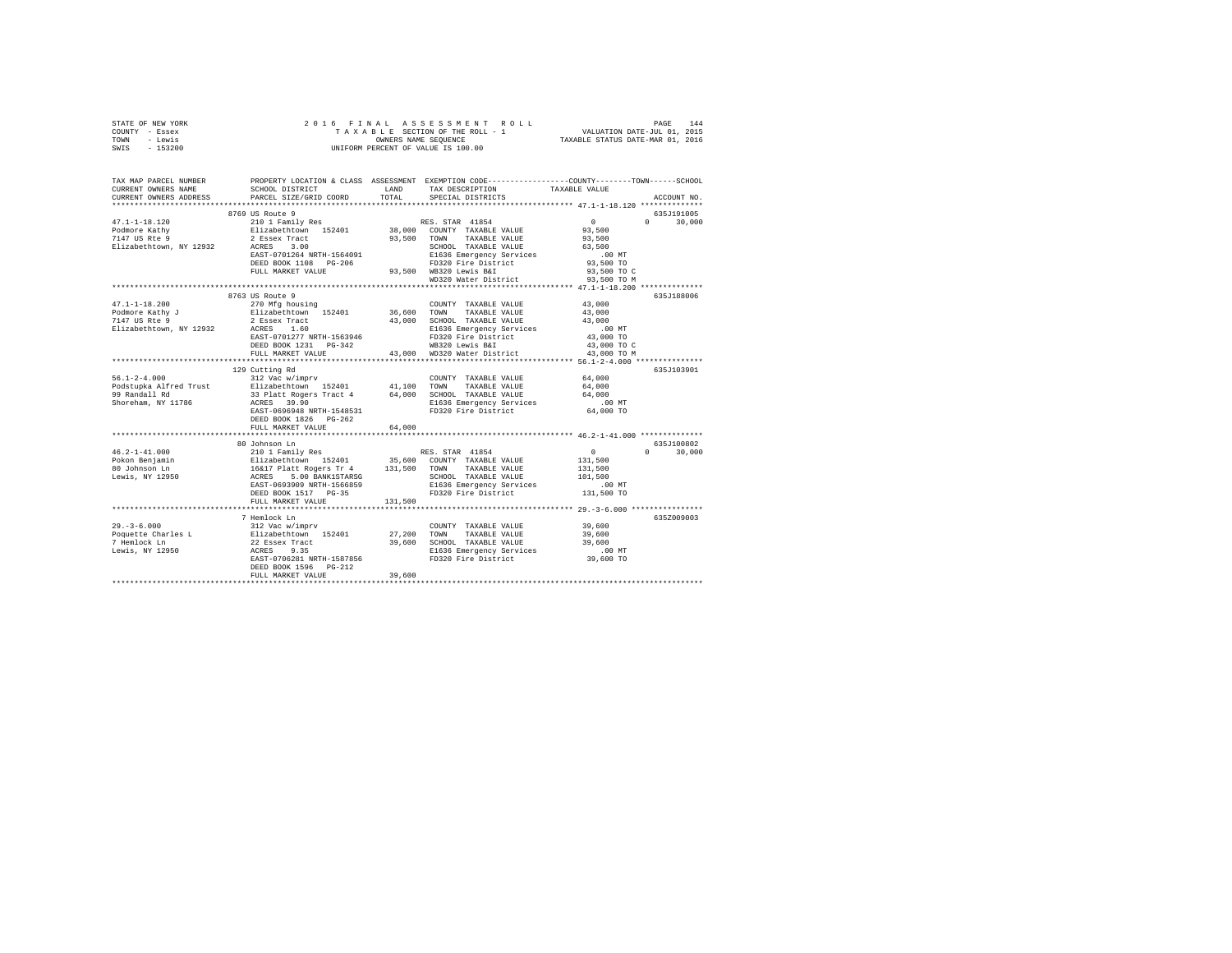| STATE OF NEW YORK<br>COUNTY - Essex<br>- Lewis<br>TOWN<br>SWIS<br>$-153200$ | 2016 FINAL                                                                                                                                  |               | OWNERS NAME SEQUENCE<br>UNIFORM PERCENT OF VALUE IS 100.00                             | FRINAL ASSESSMENT ROLL PAGE 144<br>TAXABLE SECTION OF THEROLL - 1 VALUATION DATE-JUL 01, 2015<br>OWNERS NAME SEQUENCE TAXABLE STATUS DATE-MAR 01, 2016 |               |
|-----------------------------------------------------------------------------|---------------------------------------------------------------------------------------------------------------------------------------------|---------------|----------------------------------------------------------------------------------------|--------------------------------------------------------------------------------------------------------------------------------------------------------|---------------|
| TAX MAP PARCEL NUMBER<br>CURRENT OWNERS NAME<br>CURRENT OWNERS ADDRESS      | PROPERTY LOCATION & CLASS ASSESSMENT EXEMPTION CODE---------------COUNTY-------TOWN-----SCHOOL<br>SCHOOL DISTRICT<br>PARCEL SIZE/GRID COORD | LAND<br>TOTAL | TAX DESCRIPTION<br>SPECIAL DISTRICTS                                                   | TAXABLE VALUE                                                                                                                                          | ACCOUNT NO.   |
|                                                                             | 8769 US Route 9                                                                                                                             |               |                                                                                        |                                                                                                                                                        | 635J191005    |
| $47.1 - 1 - 18.120$                                                         | 210 1 Family Res                                                                                                                            |               | RES. STAR 41854                                                                        | $\sim$ 0<br>$\Omega$                                                                                                                                   | 30,000        |
| Podmore Kathy                                                               | Elizabethtown 152401                                                                                                                        |               | $38,000$ COUNTY TAXABLE VALUE                                                          | 93,500                                                                                                                                                 |               |
| 7147 US Rte 9                                                               |                                                                                                                                             |               | 93,500 TOWN TAXABLE VALUE                                                              | 93,500                                                                                                                                                 |               |
| Elizabethtown, NY 12932 ACRES 3.00                                          | 2 Essex Tract<br>ACRES 3.00                                                                                                                 |               | SCHOOL TAXABLE VALUE                                                                   | 63,500                                                                                                                                                 |               |
|                                                                             | EAST-0701264 NRTH-1564091                                                                                                                   |               | SCHOOL IMAMODE<br>E1636 Emergency Services<br>FD320 Fire District<br>--- - --- --- --- | $.00$ MT                                                                                                                                               |               |
|                                                                             | DEED BOOK 1108 PG-206                                                                                                                       |               |                                                                                        | 93,500 TO                                                                                                                                              |               |
|                                                                             | FULL MARKET VALUE                                                                                                                           |               | 93,500 WB320 Lewis B&I                                                                 | 93,500 TO C                                                                                                                                            |               |
|                                                                             |                                                                                                                                             |               | WD320 Water District                                                                   | 93,500 TO M                                                                                                                                            |               |
|                                                                             |                                                                                                                                             |               |                                                                                        |                                                                                                                                                        |               |
|                                                                             | 8763 US Route 9                                                                                                                             |               |                                                                                        |                                                                                                                                                        | 635J188006    |
| $47.1 - 1 - 18.200$                                                         | 270 Mfg housing                                                                                                                             |               | COUNTY TAXABLE VALUE                                                                   | 43,000                                                                                                                                                 |               |
| Podmore Kathy J<br>7147 US Rte 9                                            | Elizabethtown 152401                                                                                                                        |               | 36,600 TOWN TAXABLE VALUE                                                              | 43,000                                                                                                                                                 |               |
|                                                                             | 2 Essex Tract<br>ACRES 1.60                                                                                                                 |               | 43,000 SCHOOL TAXABLE VALUE<br>E1636 Emergency Services                                | 43,000                                                                                                                                                 |               |
| Elizabethtown, NY 12932 ACRES 1.60                                          |                                                                                                                                             |               |                                                                                        | $.00$ MT                                                                                                                                               |               |
|                                                                             | EAST-0701277 NRTH-1563946                                                                                                                   |               | FD320 Fire District                                                                    | 43,000 TO                                                                                                                                              |               |
|                                                                             | DEED BOOK 1231 PG-342                                                                                                                       |               | WB320 Lewis B&I                                                                        | 43,000 TO C                                                                                                                                            |               |
|                                                                             | FULL MARKET VALUE                                                                                                                           |               | 43,000 WD320 Water District                                                            | 43,000 TO M                                                                                                                                            |               |
|                                                                             |                                                                                                                                             |               |                                                                                        |                                                                                                                                                        |               |
| $56.1 - 2 - 4.000$                                                          | 129 Cutting Rd                                                                                                                              |               |                                                                                        |                                                                                                                                                        | 635J103901    |
| Podstupka Alfred Trust                                                      | 312 Vac w/imprv                                                                                                                             |               | COUNTY TAXABLE VALUE                                                                   | 64,000<br>64,000                                                                                                                                       |               |
| 99 Randall Rd                                                               | Elizabethtown 152401 41,100 TOWN TAXABLE VALUE<br>33 Platt Rogers Tract 4 64,000 SCHOOL TAXABLE VALUE                                       |               |                                                                                        | 64,000                                                                                                                                                 |               |
| Shoreham, NY 11786                                                          | ACRES 39.90                                                                                                                                 |               | E1636 Emergency Services                                                               | $.00$ MT                                                                                                                                               |               |
|                                                                             | EAST-0696948 NRTH-1548531                                                                                                                   |               | FD320 Fire District                                                                    | 64,000 TO                                                                                                                                              |               |
|                                                                             | DEED BOOK 1826 PG-262                                                                                                                       |               |                                                                                        |                                                                                                                                                        |               |
|                                                                             | FULL MARKET VALUE                                                                                                                           | 64,000        |                                                                                        |                                                                                                                                                        |               |
|                                                                             |                                                                                                                                             |               |                                                                                        |                                                                                                                                                        |               |
|                                                                             | 80 Johnson Ln                                                                                                                               |               |                                                                                        |                                                                                                                                                        | 635J100802    |
| $46.2 - 1 - 41.000$                                                         |                                                                                                                                             |               |                                                                                        | $\Omega$                                                                                                                                               | $0 \t 30,000$ |
| Pokon Benjamin                                                              |                                                                                                                                             |               |                                                                                        | 131,500                                                                                                                                                |               |
| 80 Johnson Ln                                                               |                                                                                                                                             |               |                                                                                        | 131,500                                                                                                                                                |               |
| Lewis, NY 12950                                                             |                                                                                                                                             |               |                                                                                        | 101,500                                                                                                                                                |               |
|                                                                             |                                                                                                                                             |               |                                                                                        | .00MT                                                                                                                                                  |               |
|                                                                             |                                                                                                                                             |               |                                                                                        | 131,500 TO                                                                                                                                             |               |
|                                                                             | FULL MARKET VALUE                                                                                                                           | 131,500       |                                                                                        |                                                                                                                                                        |               |
|                                                                             |                                                                                                                                             |               |                                                                                        |                                                                                                                                                        |               |
|                                                                             | 7 Hemlock Ln                                                                                                                                |               |                                                                                        |                                                                                                                                                        | 635Z009003    |
|                                                                             |                                                                                                                                             |               |                                                                                        | 39,600                                                                                                                                                 |               |
|                                                                             |                                                                                                                                             |               |                                                                                        | 39,600                                                                                                                                                 |               |
|                                                                             |                                                                                                                                             |               |                                                                                        | 39,600                                                                                                                                                 |               |
|                                                                             |                                                                                                                                             |               | E1636 Emergency Services .00 MT<br>FD320 Fire District 39,600 TO                       |                                                                                                                                                        |               |
|                                                                             |                                                                                                                                             |               |                                                                                        |                                                                                                                                                        |               |
|                                                                             |                                                                                                                                             |               |                                                                                        |                                                                                                                                                        |               |
|                                                                             | FULL MARKET VALUE                                                                                                                           | 39,600        |                                                                                        |                                                                                                                                                        |               |
|                                                                             |                                                                                                                                             |               |                                                                                        |                                                                                                                                                        |               |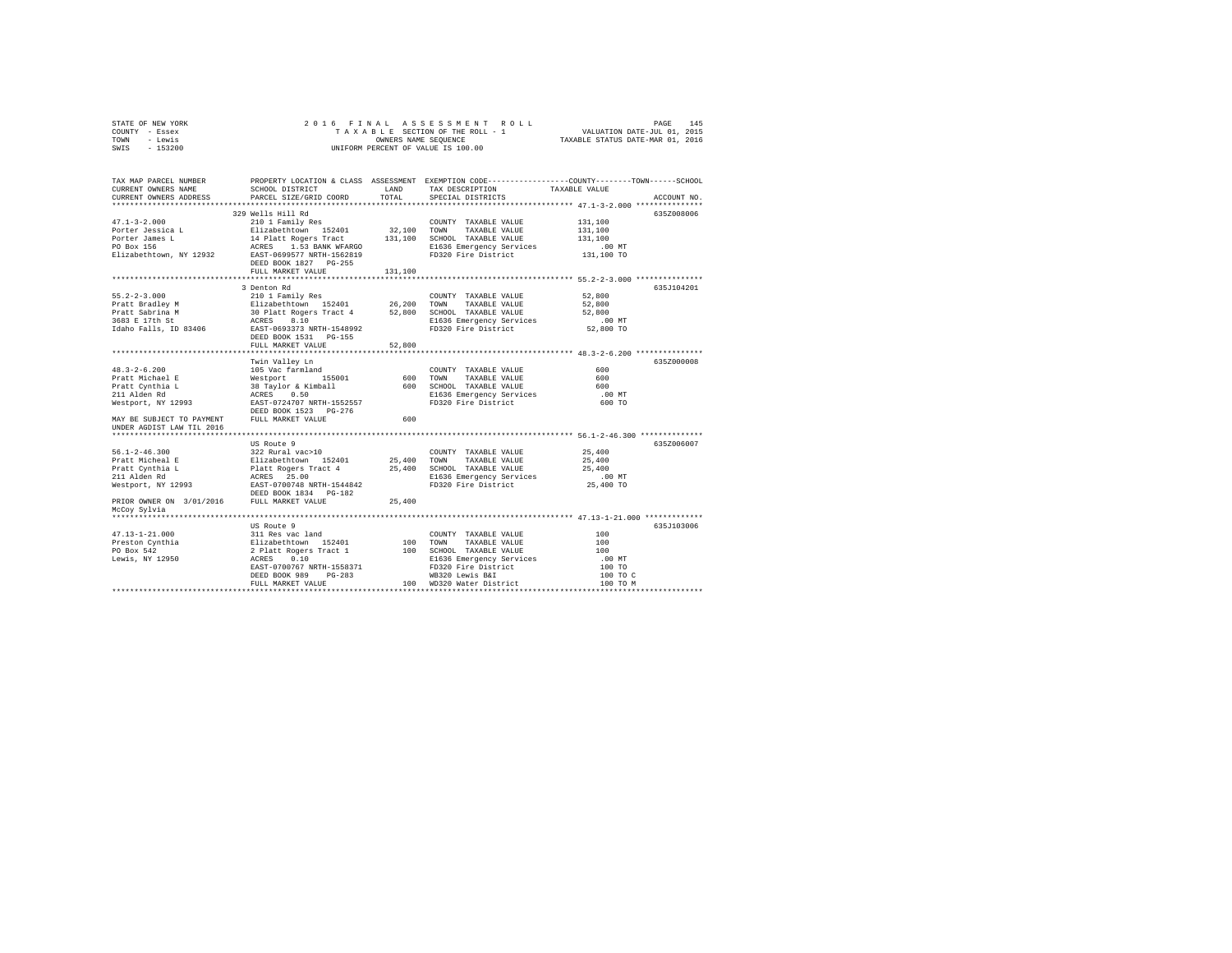| STATE OF NEW YORK | 2016 FINAL ASSESSMENT ROLL         | 145<br>PAGE                      |
|-------------------|------------------------------------|----------------------------------|
| COUNTY - Essex    | TAXABLE SECTION OF THE ROLL - 1    | VALUATION DATE-JUL 01, 2015      |
| - Lewis<br>TOWN   | OWNERS NAME SEOUENCE               | TAXABLE STATUS DATE-MAR 01, 2016 |
| $-153200$<br>SWIS | UNIFORM PERCENT OF VALUE IS 100.00 |                                  |
|                   |                                    |                                  |

| TAX MAP PARCEL NUMBER<br>CURRENT OWNERS NAME                                                                                                                                                                                                                                                                                                                                |                       |         | PROPERTY LOCATION & CLASS ASSESSMENT EXEMPTION CODE---------------COUNTY-------TOWN------SCHOOL<br>SCHOOL DISTRICT LAND TAX DESCRIPTION TAXABLE VALUE |
|-----------------------------------------------------------------------------------------------------------------------------------------------------------------------------------------------------------------------------------------------------------------------------------------------------------------------------------------------------------------------------|-----------------------|---------|-------------------------------------------------------------------------------------------------------------------------------------------------------|
| CURRENT OWNERS ADDRESS PARCEL SIZE/GRID COORD TOTAL SPECIAL DISTRICTS                                                                                                                                                                                                                                                                                                       |                       |         | ACCOUNT NO.                                                                                                                                           |
|                                                                                                                                                                                                                                                                                                                                                                             |                       |         |                                                                                                                                                       |
|                                                                                                                                                                                                                                                                                                                                                                             | 329 Wells Hill Rd     |         | 635Z008006                                                                                                                                            |
|                                                                                                                                                                                                                                                                                                                                                                             |                       |         |                                                                                                                                                       |
|                                                                                                                                                                                                                                                                                                                                                                             |                       |         |                                                                                                                                                       |
|                                                                                                                                                                                                                                                                                                                                                                             |                       |         |                                                                                                                                                       |
|                                                                                                                                                                                                                                                                                                                                                                             |                       |         |                                                                                                                                                       |
|                                                                                                                                                                                                                                                                                                                                                                             | DEED BOOK 1827 PG-255 |         |                                                                                                                                                       |
|                                                                                                                                                                                                                                                                                                                                                                             | FULL MARKET VALUE     | 131,100 |                                                                                                                                                       |
|                                                                                                                                                                                                                                                                                                                                                                             |                       |         |                                                                                                                                                       |
|                                                                                                                                                                                                                                                                                                                                                                             | 3 Denton Rd           |         | 635J104201                                                                                                                                            |
|                                                                                                                                                                                                                                                                                                                                                                             |                       |         |                                                                                                                                                       |
|                                                                                                                                                                                                                                                                                                                                                                             |                       |         |                                                                                                                                                       |
|                                                                                                                                                                                                                                                                                                                                                                             |                       |         |                                                                                                                                                       |
|                                                                                                                                                                                                                                                                                                                                                                             |                       |         |                                                                                                                                                       |
|                                                                                                                                                                                                                                                                                                                                                                             |                       |         |                                                                                                                                                       |
|                                                                                                                                                                                                                                                                                                                                                                             |                       |         |                                                                                                                                                       |
| 55.2-2-3.000<br>Pratt Bradley M 210 1 Family Res COUNTY TAXABLE VALUE 52,800<br>Pratt Sabrina M 30 Platt Rogers Tract 4 52,800 TOWN TAXABLE VALUE 52,800<br>Pratt Sabrina M 30 Platt Rogers Tract 4 52,800 TCHOOL TAXABLE VALUE 52,8                                                                                                                                        |                       |         |                                                                                                                                                       |
|                                                                                                                                                                                                                                                                                                                                                                             |                       |         |                                                                                                                                                       |
|                                                                                                                                                                                                                                                                                                                                                                             |                       |         | 635Z000008                                                                                                                                            |
|                                                                                                                                                                                                                                                                                                                                                                             |                       |         |                                                                                                                                                       |
|                                                                                                                                                                                                                                                                                                                                                                             |                       |         |                                                                                                                                                       |
|                                                                                                                                                                                                                                                                                                                                                                             |                       |         |                                                                                                                                                       |
|                                                                                                                                                                                                                                                                                                                                                                             |                       |         |                                                                                                                                                       |
|                                                                                                                                                                                                                                                                                                                                                                             |                       |         |                                                                                                                                                       |
|                                                                                                                                                                                                                                                                                                                                                                             |                       |         |                                                                                                                                                       |
|                                                                                                                                                                                                                                                                                                                                                                             |                       |         |                                                                                                                                                       |
| UNDER AGDIST LAW TIL 2016                                                                                                                                                                                                                                                                                                                                                   |                       |         |                                                                                                                                                       |
|                                                                                                                                                                                                                                                                                                                                                                             | US Route 9            |         | 635Z006007                                                                                                                                            |
| 36.1-2-46.300<br>36.1-2-46.300<br>Pratt Micheal E<br>Pratt Cynthia L Platt Rogers Tract 4 25,400 TOWN TAXABLE VALUE 25,400<br>Pratt Cynthia L Platt Rogers Tract 4 25,400 TOWN TAXABLE VALUE 25,400<br>21 Alden Rd RCRES 25.00<br>21 Al                                                                                                                                     |                       |         |                                                                                                                                                       |
|                                                                                                                                                                                                                                                                                                                                                                             |                       |         |                                                                                                                                                       |
|                                                                                                                                                                                                                                                                                                                                                                             |                       |         |                                                                                                                                                       |
|                                                                                                                                                                                                                                                                                                                                                                             |                       |         |                                                                                                                                                       |
|                                                                                                                                                                                                                                                                                                                                                                             |                       |         |                                                                                                                                                       |
|                                                                                                                                                                                                                                                                                                                                                                             |                       |         |                                                                                                                                                       |
|                                                                                                                                                                                                                                                                                                                                                                             |                       |         |                                                                                                                                                       |
| McCoy Sylvia                                                                                                                                                                                                                                                                                                                                                                |                       |         |                                                                                                                                                       |
|                                                                                                                                                                                                                                                                                                                                                                             |                       |         |                                                                                                                                                       |
|                                                                                                                                                                                                                                                                                                                                                                             | US Route 9            |         | 635J103006                                                                                                                                            |
|                                                                                                                                                                                                                                                                                                                                                                             |                       |         | 100                                                                                                                                                   |
|                                                                                                                                                                                                                                                                                                                                                                             |                       |         | 100                                                                                                                                                   |
|                                                                                                                                                                                                                                                                                                                                                                             |                       |         | 100                                                                                                                                                   |
|                                                                                                                                                                                                                                                                                                                                                                             |                       |         | $.00$ MT                                                                                                                                              |
|                                                                                                                                                                                                                                                                                                                                                                             |                       |         | 100 TO                                                                                                                                                |
| $\begin{tabular}{ccccc} 47.13-1-21.000 & 311\hspace{0.1cm} \text{Res}\hspace{0.1cm} & 311\hspace{0.1cm} \text{Res}\hspace{0.1cm} & 311\hspace{0.1cm} \text{Res}\hspace{0.1cm} & 311\hspace{0.1cm} \text{Res}\hspace{0.1cm} & 311\hspace{0.1cm} \text{Res}\hspace{0.1cm} & 311\hspace{0.1cm} \text{Res}\hspace{0.1cm} & 311\hspace{0.1cm} \text{Res}\hspace{0.1cm} & 311\hs$ |                       |         | 100 TO C<br>100 TO M                                                                                                                                  |
|                                                                                                                                                                                                                                                                                                                                                                             |                       |         |                                                                                                                                                       |
|                                                                                                                                                                                                                                                                                                                                                                             |                       |         |                                                                                                                                                       |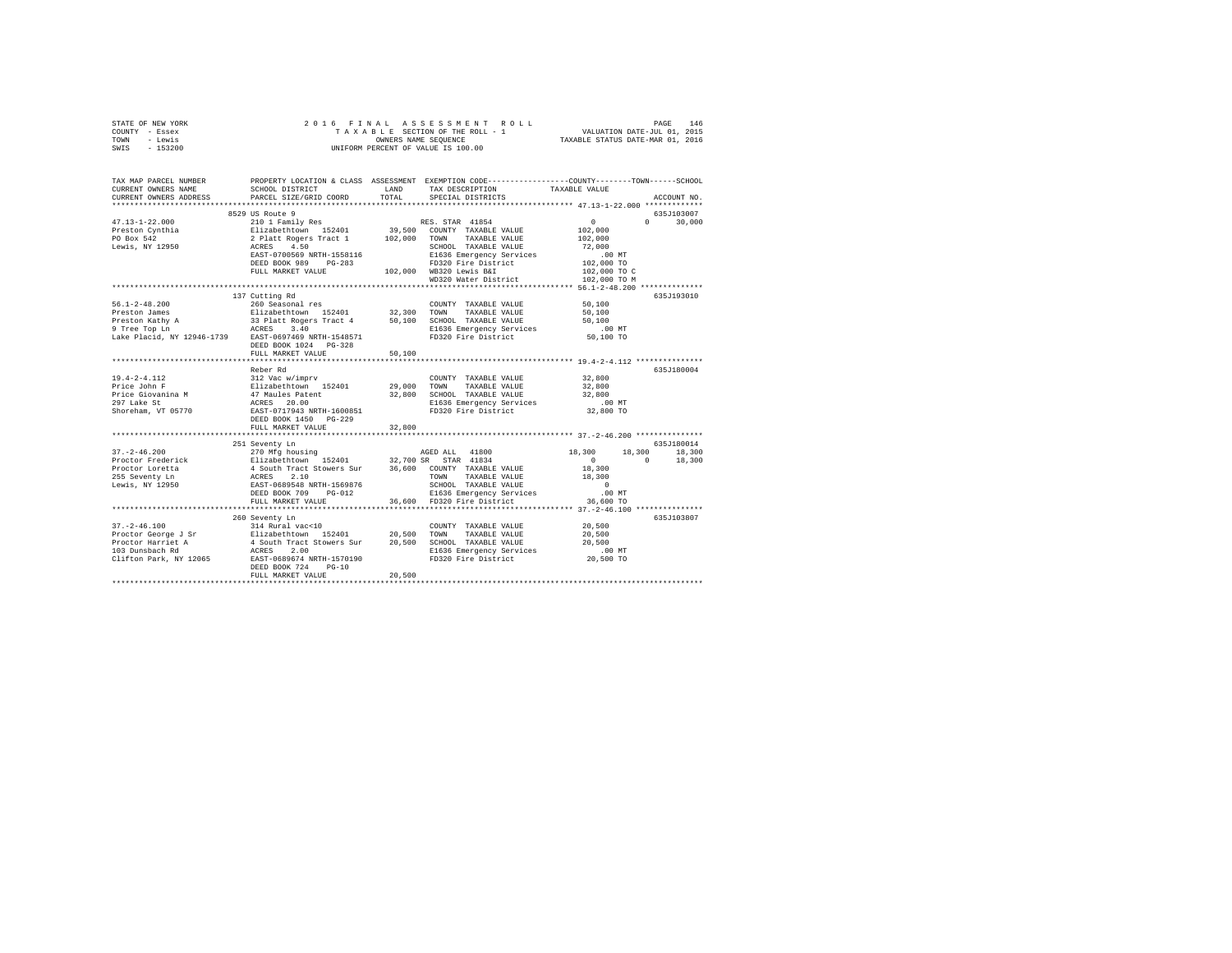| STATE OF NEW YORK                                      | 2016 FINAL                                                                                              |             |                                                                                                 |                      |               |
|--------------------------------------------------------|---------------------------------------------------------------------------------------------------------|-------------|-------------------------------------------------------------------------------------------------|----------------------|---------------|
| COUNTY - Essex                                         |                                                                                                         |             |                                                                                                 |                      |               |
| - Lewis<br>TOWN                                        | OWNERS NAME SEQUENCE<br>UNIFORM PERCENT OF VALUE IS 100.00                                              |             |                                                                                                 |                      |               |
| SWIS<br>$-153200$                                      |                                                                                                         |             |                                                                                                 |                      |               |
|                                                        |                                                                                                         |             |                                                                                                 |                      |               |
|                                                        |                                                                                                         |             |                                                                                                 |                      |               |
| TAX MAP PARCEL NUMBER                                  |                                                                                                         |             | PROPERTY LOCATION & CLASS ASSESSMENT EXEMPTION CODE---------------COUNTY-------TOWN------SCHOOL |                      |               |
| CURRENT OWNERS NAME                                    | SCHOOL DISTRICT                                                                                         | LAND        | TAX DESCRIPTION                                                                                 | TAXABLE VALUE        |               |
| CURRENT OWNERS ADDRESS                                 | PARCEL SIZE/GRID COORD                                                                                  | TOTAL       | SPECIAL DISTRICTS                                                                               |                      | ACCOUNT NO.   |
|                                                        |                                                                                                         |             |                                                                                                 |                      |               |
|                                                        | 8529 US Route 9                                                                                         |             |                                                                                                 |                      | 635J103007    |
| $47.13 - 1 - 22.000$                                   |                                                                                                         |             |                                                                                                 | $\sim$ 0<br>$\Omega$ | 30,000        |
| Preston Cynthia                                        |                                                                                                         |             |                                                                                                 | 102,000              |               |
| PO Box 542                                             |                                                                                                         |             |                                                                                                 | 102,000              |               |
| Lewis, NY 12950                                        |                                                                                                         |             |                                                                                                 | 72,000               |               |
|                                                        |                                                                                                         |             | SCHOOL TAXABLE VALUE<br>E1636 Emergency Services<br>--------------------                        | $.00$ MT             |               |
|                                                        | DEED BOOK 989 PG-283                                                                                    |             | FD320 Fire District                                                                             | 102,000 TO           |               |
|                                                        | FULL MARKET VALUE                                                                                       |             | 102,000 WB320 Lewis B&I                                                                         | 102,000 TO C         |               |
|                                                        |                                                                                                         |             | WD320 Water District                                                                            | 102,000 TO M         |               |
|                                                        |                                                                                                         |             |                                                                                                 |                      |               |
|                                                        | 137 Cutting Rd                                                                                          |             |                                                                                                 |                      | 635J193010    |
| $56.1 - 2 - 48.200$                                    | 260 Seasonal res                                                                                        |             | COUNTY TAXABLE VALUE                                                                            | 50,100               |               |
|                                                        |                                                                                                         |             |                                                                                                 | 50,100               |               |
|                                                        |                                                                                                         |             |                                                                                                 | 50,100               |               |
|                                                        |                                                                                                         |             |                                                                                                 | 00 MT.<br>50,100 TO  |               |
| Lake Placid, NY 12946-1739 EAST-0697469 NRTH-1548571   |                                                                                                         |             | FD320 Fire District                                                                             |                      |               |
|                                                        | DEED BOOK 1024 PG-328                                                                                   |             |                                                                                                 |                      |               |
|                                                        | FULL MARKET VALUE                                                                                       | 50,100      |                                                                                                 |                      |               |
|                                                        |                                                                                                         |             |                                                                                                 |                      |               |
|                                                        | Reber Rd                                                                                                |             |                                                                                                 |                      | 635J180004    |
| 19.4-2-4.112<br>Price John F                           |                                                                                                         |             | COUNTY TAXABLE VALUE                                                                            | 32,800               |               |
|                                                        |                                                                                                         | 29,000 TOWN | TAXABLE VALUE                                                                                   | 32,800               |               |
| Price Giovanina M<br>297 Lake St<br>Shoreham, VT 05770 | 312 Vac w/imprv<br>Elizabethtown 152401<br>47 Maules Fatent<br>ACRES 20.00<br>EAST-0717943 NRTH-1600851 |             | 32,800 SCHOOL TAXABLE VALUE                                                                     | 32,800               |               |
|                                                        |                                                                                                         |             | E1636 Emergency Services                                                                        | $.00$ MT             |               |
|                                                        |                                                                                                         |             | FD320 Fire District                                                                             | 32,800 TO            |               |
|                                                        | DEED BOOK 1450 PG-229                                                                                   |             |                                                                                                 |                      |               |
|                                                        | FULL MARKET VALUE                                                                                       | 32,800      |                                                                                                 |                      |               |
|                                                        |                                                                                                         |             |                                                                                                 |                      |               |
|                                                        | 251 Seventy Ln                                                                                          |             |                                                                                                 |                      | 635J180014    |
| $37. - 2 - 46.200$                                     | 270 Mfg housing                                                                                         |             | AGED ALL 41800                                                                                  | 18,300               | 18,300 18,300 |
| Proctor Frederick                                      |                                                                                                         |             |                                                                                                 | $\sim$ 0<br>$\sim$ 0 | 18,300        |
| Proctor Loretta                                        |                                                                                                         |             |                                                                                                 | 18,300               |               |
| 255 Seventy Ln<br>Lewis, NY 12950                      |                                                                                                         |             | TAXABLE VALUE                                                                                   | 18,300               |               |
|                                                        |                                                                                                         |             | SCHOOL TAXABLE VALUE                                                                            | $\sim$ 0             |               |
|                                                        | DEED BOOK 709 PG-012                                                                                    |             | E1636 Emergency Services<br>36,600 FD320 Fire District                                          | .00MT                |               |
|                                                        | FULL MARKET VALUE                                                                                       |             |                                                                                                 | 36,600 TO            |               |
|                                                        |                                                                                                         |             |                                                                                                 |                      |               |
|                                                        | 260 Seventy Ln                                                                                          |             |                                                                                                 |                      | 635J103807    |
| $37. - 2 - 46.100$                                     | 314 Rural vac<10                                                                                        |             | COUNTY TAXABLE VALUE                                                                            | 20,500               |               |
|                                                        |                                                                                                         |             |                                                                                                 | 20,500               |               |
|                                                        |                                                                                                         |             |                                                                                                 | 20,500               |               |
|                                                        |                                                                                                         |             | E1636 Emergency Services<br>FD320 Fire District                                                 | $.00$ MT             |               |
|                                                        |                                                                                                         |             |                                                                                                 | 20,500 TO            |               |
|                                                        | $PG-10$<br>DEED BOOK 724<br>FULL MARKET VALUE                                                           | 20,500      |                                                                                                 |                      |               |
|                                                        |                                                                                                         |             |                                                                                                 |                      |               |
|                                                        |                                                                                                         |             |                                                                                                 |                      |               |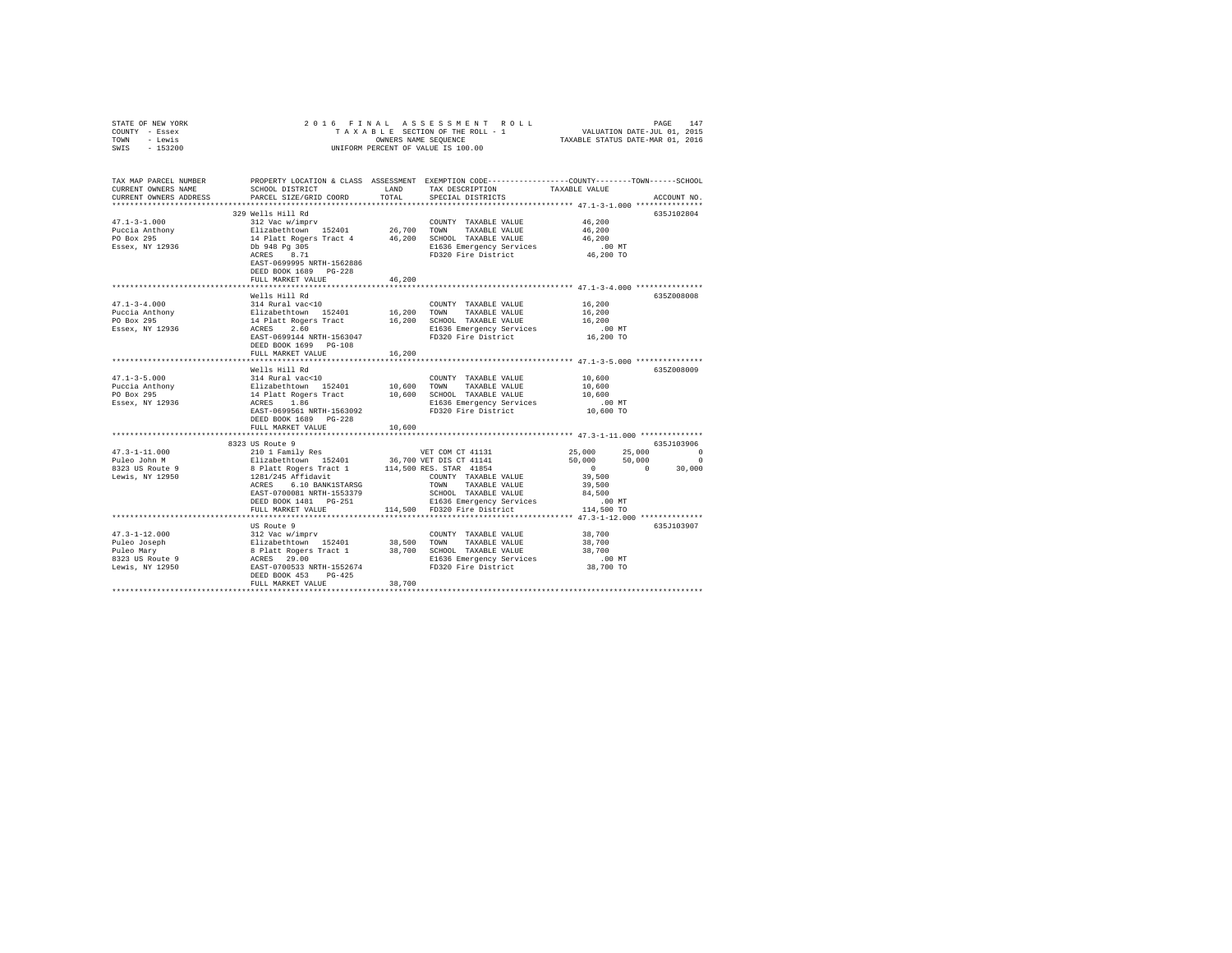| STATE OF NEW YORK<br>COUNTY - Essex<br>TOWN - Lewis<br>SWIS - 153200                                                                                                                                                                                                                                                                                                                                           | 2016 FINAL ASSESSMENT ROI<br>TAXABLE SECTION OF THE ROLL - 1<br>ONNERS NAME SEQUENCE<br>UNIFORM PERCENT OF VALUE IS 100.00                                                                                                                                                                                                         |        |                                                                                                                                                                                                                                                                                     |                                                                                          |             |
|----------------------------------------------------------------------------------------------------------------------------------------------------------------------------------------------------------------------------------------------------------------------------------------------------------------------------------------------------------------------------------------------------------------|------------------------------------------------------------------------------------------------------------------------------------------------------------------------------------------------------------------------------------------------------------------------------------------------------------------------------------|--------|-------------------------------------------------------------------------------------------------------------------------------------------------------------------------------------------------------------------------------------------------------------------------------------|------------------------------------------------------------------------------------------|-------------|
| TAX MAP PARCEL NUMBER PROPERTY LOCATION & CLASS ASSESSMENT EXEMPTION CODE---------------COUNTY-------TOWN------SCHOOL<br>CURRENT OWNERS NAME<br>CURRENT OWNERS ADDRESS                                                                                                                                                                                                                                         | SCHOOL DISTRICT LAND<br>PARCEL SIZE/GRID COORD                                                                                                                                                                                                                                                                                     | TOTAL  | TAX DESCRIPTION<br>SPECIAL DISTRICTS                                                                                                                                                                                                                                                | TAXABLE VALUE                                                                            | ACCOUNT NO. |
| $47.1 - 3 - 1.000$<br>Puccia Anthony<br>PO Box 295<br>Essex, NY 12936                                                                                                                                                                                                                                                                                                                                          | 329 Wells Hill Rd<br>312 Vac w/imprv<br>312 Vac w/imprv<br>26,700 TOWN TAXABLE VALUE<br>14 Platt Rogers Tract 4 46,200 SCROD TAXABLE VALUE<br>26,700 TOWN TAXABLE VALUE<br>20 DE PASS PRESS BREET PRESS BREET PRESS BREET PRESS BREET PRESS BREET PRESS<br>EAST-0699995 NRTH-1562886<br>DEED BOOK 1689 PG-228<br>FULL MARKET VALUE | 46.200 | COUNTY TAXABLE VALUE<br>E1636 Emergency Services<br>FD320 Fire District                                                                                                                                                                                                             | 46,200<br>46,200<br>46,200<br>$.00$ MT<br>46,200 TO                                      | 635J102804  |
|                                                                                                                                                                                                                                                                                                                                                                                                                |                                                                                                                                                                                                                                                                                                                                    |        | ********************************** 47.1-3-4.000 ****************                                                                                                                                                                                                                    |                                                                                          |             |
| $47.1 - 3 - 4.000$<br>Puccia Anthony<br>Puccia Anthony<br>Puccia Anthony<br>PO Box 295<br>2008 - 14 Platt Rogers Tract<br>PO Box 295<br>2008 - 14 Platt Rogers Tract<br>2.60<br>2008 - 14 Platt Rogers (2008 - 14 Platt Rogers Packers 2.60<br>2008 - 2010 - 1630441<br>                                                                                                                                       | Wells Hill Rd<br>314 Rural vac<10                                                                                                                                                                                                                                                                                                  |        | COUNTY TAXABLE VALUE                                                                                                                                                                                                                                                                | 16,200<br>16,200<br>16,200<br>$.00$ MT<br>16,200 TO                                      | 635Z008008  |
|                                                                                                                                                                                                                                                                                                                                                                                                                | FULL MARKET VALUE                                                                                                                                                                                                                                                                                                                  | 16,200 |                                                                                                                                                                                                                                                                                     |                                                                                          |             |
| $47.1 - 3 - 5.000$                                                                                                                                                                                                                                                                                                                                                                                             | Wells Hill Rd<br>314 Rural vac<10<br>EAST-0699561 NRTH-1563092<br>DEED BOOK 1689 PG-228                                                                                                                                                                                                                                            |        | COUNTY TAXABLE VALUE 10,600<br>E1636 Emergency Services<br>FD320 Fire District                                                                                                                                                                                                      | 10,600<br>10,600<br>.00 MT<br>10,600 TO                                                  | 635Z008009  |
|                                                                                                                                                                                                                                                                                                                                                                                                                | FULL MARKET VALUE                                                                                                                                                                                                                                                                                                                  | 10,600 |                                                                                                                                                                                                                                                                                     |                                                                                          |             |
|                                                                                                                                                                                                                                                                                                                                                                                                                |                                                                                                                                                                                                                                                                                                                                    |        |                                                                                                                                                                                                                                                                                     |                                                                                          |             |
| $47.3 - 1 - 11.000$<br>Puleo John M<br>8323 US Route 9<br>Lewis, NY 12950                                                                                                                                                                                                                                                                                                                                      | 8323 US Route 9<br>ACRES 6.10 BANK1STARSG<br>EAST-0700081 NRTH-1553379<br>DEED BOOK 1481 PG-251                                                                                                                                                                                                                                    |        | 210 1 Family Res<br>210 1 Family Res<br>210 1 Family Res<br>21240 12401 236,700 VET DIS CT 41141<br>8 Platt Rogers Tract 1 114,500 RES. STAR 41854<br>1281/245 Affidavit COUNTY TAXABLE VALUE<br>2012 6 10 DANIT COUNTY TAXABLE VALUE<br>TOWN TAXABLE VALUE<br>SCHOOL TAXABLE VALUE | $25,000$ $25,000$ 0<br>$50,000$ $50,000$ 0<br>$0$ 0 30,000<br>39,500<br>39,500<br>84,500 | 635J103906  |
|                                                                                                                                                                                                                                                                                                                                                                                                                | FULL MARKET VALUE                                                                                                                                                                                                                                                                                                                  |        | שבי ב-1.<br>E1636 Emergency Services .00 MT<br>114,500 TO Phase District 114,500 TO                                                                                                                                                                                                 |                                                                                          |             |
|                                                                                                                                                                                                                                                                                                                                                                                                                |                                                                                                                                                                                                                                                                                                                                    |        |                                                                                                                                                                                                                                                                                     |                                                                                          |             |
| $\begin{array}{cccc} 47.3-1-12.000 & 312 \text{ Vac} \text{ W/imprv} & \text{COUNT TAXABLE VALUE} & 38,700 \\ \text{Pulec Joseph} & \text{E1izabethtown} & 152401 & 38,500 \text{ TANABLE VALUE} & 38,700 \\ \text{Pulec George} & \text{E1izabethtown} & 152401 & 38,700 \text{ SCHOOL TAXABLE VALUE} & 38,700 \\ \text{R32 Usc Us and Usc U} & \text{ACRSS-} & 29.00 \\ \text{R332 Usc Usc U} & \text{RMS-}$ | US Route 9<br>DEED BOOK 453 PG-425<br>FULL MARKET VALUE                                                                                                                                                                                                                                                                            | 38,700 |                                                                                                                                                                                                                                                                                     |                                                                                          | 635J103907  |
|                                                                                                                                                                                                                                                                                                                                                                                                                |                                                                                                                                                                                                                                                                                                                                    |        |                                                                                                                                                                                                                                                                                     |                                                                                          |             |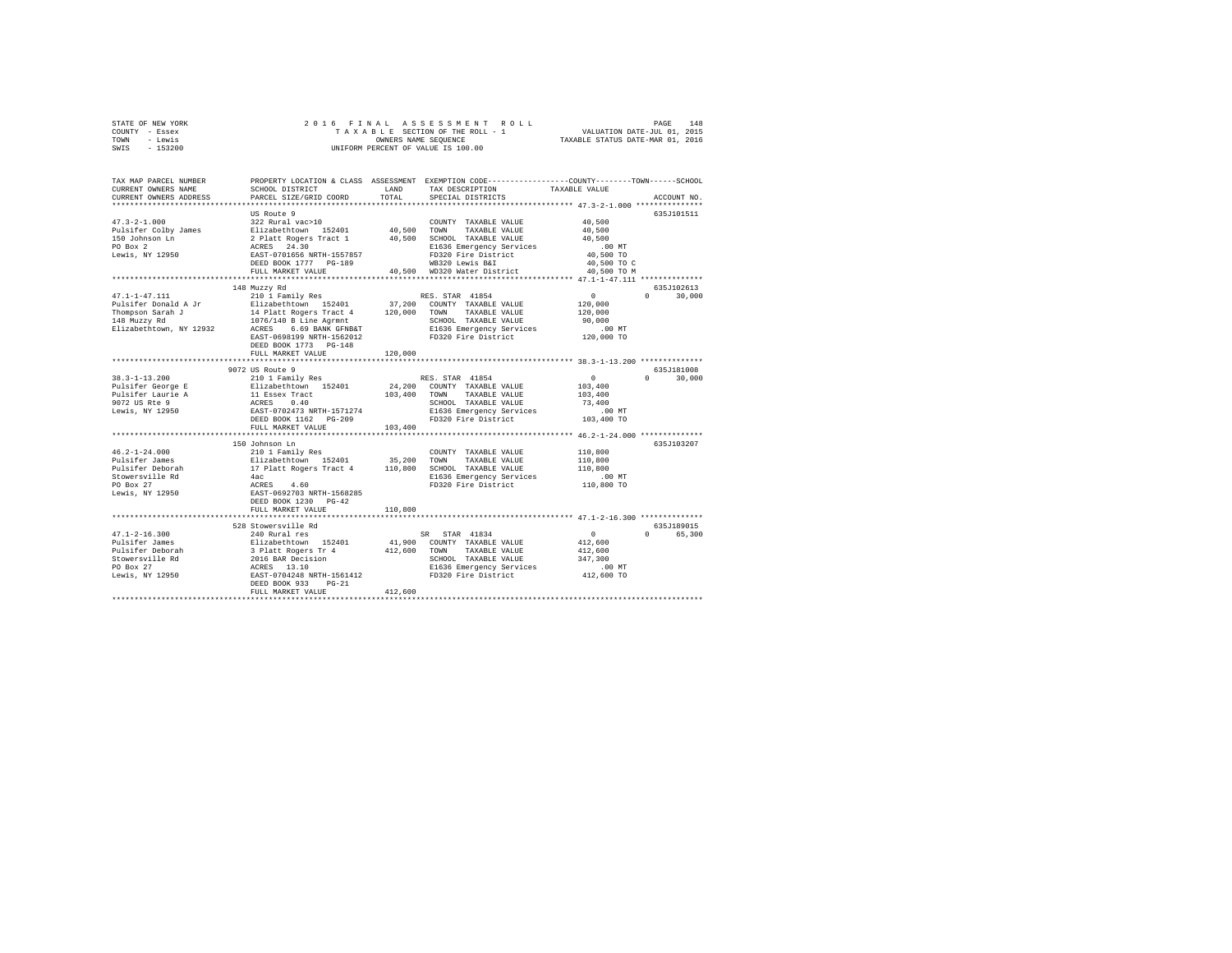|      | STATE OF NEW YORK |  |  | 2016 FINAL ASSESSMENT ROLL         | PAGE                             | 148 |
|------|-------------------|--|--|------------------------------------|----------------------------------|-----|
|      | COUNTY - Essex    |  |  | TAXABLE SECTION OF THE ROLL - 1    | VALUATION DATE-JUL 01, 2015      |     |
| TOWN | - Lewis           |  |  | OWNERS NAME SEOUENCE               | TAXABLE STATUS DATE-MAR 01, 2016 |     |
| SWIS | $-153200$         |  |  | UNIFORM PERCENT OF VALUE IS 100.00 |                                  |     |

| TAX MAP PARCEL NUMBER<br>CURRENT OWNERS NAME<br>CURRENT OWNERS ADDRESS | SCHOOL DISTRICT<br>PARCEL SIZE/GRID COORD                                                                                    | <b>T.AND</b><br>TOTAL | PROPERTY LOCATION & CLASS ASSESSMENT EXEMPTION CODE---------------COUNTY-------TOWN-----SCHOOL<br>TAX DESCRIPTION<br>SPECIAL DISTRICTS | TAXABLE VALUE                   | ACCOUNT NO.                 |
|------------------------------------------------------------------------|------------------------------------------------------------------------------------------------------------------------------|-----------------------|----------------------------------------------------------------------------------------------------------------------------------------|---------------------------------|-----------------------------|
|                                                                        | *************************                                                                                                    |                       |                                                                                                                                        |                                 |                             |
| $47.3 - 2 - 1.000$<br>Pulsifer Colby James                             | US Route 9<br>322 Rural vac>10<br>Elizabethtown 152401                                                                       | 40.500 TOWN           | COUNTY TAXABLE VALUE<br>TAXABLE VALUE                                                                                                  | 40,500<br>40,500                | 635J101511                  |
| 150 Johnson Ln<br>PO Box 2<br>Lewis, NY 12950                          | 2 Platt Rogers Tract 1<br>ACRES 24.30<br>EAST-0701656 NRTH-1557857                                                           | 40,500                | SCHOOL TAXABLE VALUE<br>E1636 Emergency Services<br>FD320 Fire District                                                                | 40,500<br>$.00$ MT<br>40,500 TO |                             |
|                                                                        | DEED BOOK 1777 PG-189<br>FULL MARKET VALUE                                                                                   |                       | WB320 Lewis B&I<br>40,500 WD320 Water District                                                                                         | 40,500 TO C<br>40,500 TO M      |                             |
|                                                                        | 148 Muzzy Rd                                                                                                                 |                       |                                                                                                                                        |                                 | 635J102613                  |
| $47.1 - 1 - 47.111$                                                    | 210 1 Family Res                                                                                                             |                       | RES. STAR 41854                                                                                                                        | 0                               | 30,000<br>$\Omega$          |
| Pulsifer Donald A Jr                                                   | Elizabethtown 152401                                                                                                         | 37,200                | COUNTY TAXABLE VALUE                                                                                                                   | 120,000                         |                             |
| Thompson Sarah J                                                       | 14 Platt Rogers Tract 4                                                                                                      | 120,000               | TOWN<br>TAXABLE VALUE                                                                                                                  | 120,000                         |                             |
| 148 Muzzy Rd                                                           | 1076/140 B Line Agrmnt                                                                                                       |                       | SCHOOL TAXABLE VALUE                                                                                                                   | 90,000                          |                             |
| Elizabethtown, NY 12932                                                | ACRES 6.69 BANK GFNB&T                                                                                                       |                       | E1636 Emergency Services                                                                                                               | .00MT                           |                             |
|                                                                        | EAST-0698199 NRTH-1562012                                                                                                    |                       | FD320 Fire District                                                                                                                    | 120,000 TO                      |                             |
|                                                                        | DEED BOOK 1773 PG-148                                                                                                        |                       |                                                                                                                                        |                                 |                             |
|                                                                        | FULL MARKET VALUE                                                                                                            | 120,000               |                                                                                                                                        |                                 |                             |
|                                                                        |                                                                                                                              |                       | ********************************** 38.3-1-13.200 **************                                                                        |                                 |                             |
|                                                                        | 9072 US Route 9                                                                                                              |                       |                                                                                                                                        |                                 | 635J181008                  |
| $38.3 - 1 - 13.200$                                                    | 210 1 Family Res                                                                                                             |                       | RES. STAR 41854                                                                                                                        | $\circ$                         | $0 \qquad \qquad$<br>30,000 |
| Pulsifer George E                                                      | Elizabethtown 152401                                                                                                         | 24,200                | COUNTY TAXABLE VALUE                                                                                                                   | 103,400                         |                             |
| Pulsifer Laurie A                                                      | 11 Essex Tract                                                                                                               | 103,400               | TOWN<br>TAXABLE VALUE                                                                                                                  | 103,400                         |                             |
| 9072 US Rte 9                                                          | ACRES<br>0.40                                                                                                                |                       | SCHOOL TAXABLE VALUE                                                                                                                   | 73,400                          |                             |
| Lewis, NY 12950                                                        | EAST-0702473 NRTH-1571274                                                                                                    |                       | E1636 Emergency Services                                                                                                               | .00MT                           |                             |
|                                                                        | DEED BOOK 1162 PG-209                                                                                                        |                       | FD320 Fire District                                                                                                                    | 103,400 TO                      |                             |
|                                                                        | FULL MARKET VALUE                                                                                                            | 103,400               |                                                                                                                                        |                                 |                             |
|                                                                        | 150 Johnson Ln                                                                                                               |                       | ************************************* 46.2-1-24.000 **************                                                                     |                                 | 635J103207                  |
| $46.2 - 1 - 24.000$                                                    | 210 1 Family Res                                                                                                             |                       | COUNTY TAXABLE VALUE                                                                                                                   | 110,800                         |                             |
| Pulsifer James                                                         | Elizabethtown 152401                                                                                                         | 35,200                | TOWN<br>TAXABLE VALUE                                                                                                                  | 110,800                         |                             |
| Pulsifer Deborah                                                       | 17 Platt Rogers Tract 4                                                                                                      | 110,800               | SCHOOL TAXABLE VALUE                                                                                                                   | 110,800                         |                             |
| Stowersville Rd                                                        | 4ac                                                                                                                          |                       | E1636 Emergency Services                                                                                                               | .00MT                           |                             |
| PO Box 27                                                              |                                                                                                                              |                       | FD320 Fire District                                                                                                                    | 110,800 TO                      |                             |
| Lewis, NY 12950                                                        | ACRES 4.60<br>EAST-0692703 NRTH-1568285                                                                                      |                       |                                                                                                                                        |                                 |                             |
|                                                                        | DEED BOOK 1230 PG-42                                                                                                         |                       |                                                                                                                                        |                                 |                             |
|                                                                        | FULL MARKET VALUE                                                                                                            | 110,800               |                                                                                                                                        |                                 |                             |
|                                                                        |                                                                                                                              |                       |                                                                                                                                        |                                 |                             |
|                                                                        | 528 Stowersville Rd                                                                                                          |                       |                                                                                                                                        |                                 | 635.T189015                 |
| $47.1 - 2 - 16.300$                                                    | 240 Rural res                                                                                                                |                       | SR STAR 41834                                                                                                                          | $^{\circ}$                      | 65,300<br>$\Omega$          |
| Pulsifer James                                                         |                                                                                                                              | 41,900                | COUNTY TAXABLE VALUE                                                                                                                   | 412,600                         |                             |
| Pulsifer Deborah                                                       |                                                                                                                              | 412,600               | TOWN<br>TAXABLE VALUE                                                                                                                  | 412,600                         |                             |
| Stowersville Rd                                                        | Filizabeth<br>Silizabeth Iown 152401<br>3 Platt Rogers Tr 4<br>2016 BAR Decision<br>ACRES 13.10<br>EAST-0704248 NRTH-1561412 |                       | SCHOOL TAXABLE VALUE                                                                                                                   | 347,300                         |                             |
| PO Box 27                                                              |                                                                                                                              |                       | E1636 Emergency Services                                                                                                               | $.00$ MT                        |                             |
| Lewis, NY 12950                                                        |                                                                                                                              |                       | FD320 Fire District                                                                                                                    | 412,600 TO                      |                             |
|                                                                        | DEED BOOK 933<br>$PG-21$                                                                                                     |                       |                                                                                                                                        |                                 |                             |
|                                                                        | FULL MARKET VALUE                                                                                                            | 412,600               |                                                                                                                                        |                                 |                             |
|                                                                        |                                                                                                                              |                       |                                                                                                                                        |                                 |                             |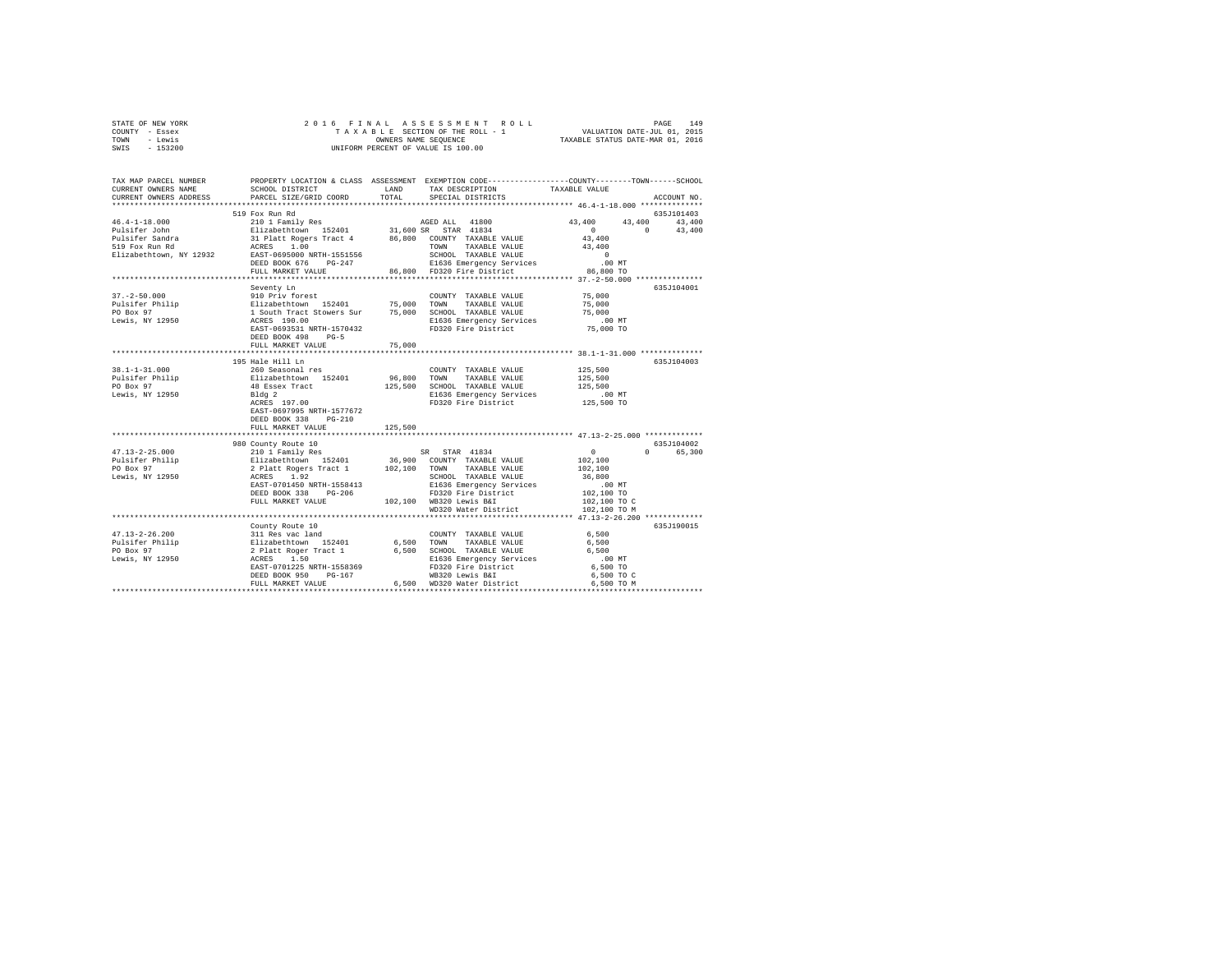| STATE OF NEW YORK | 2016 FINAL ASSESSMENT ROLL         | 149<br>PAGE                      |
|-------------------|------------------------------------|----------------------------------|
| COUNTY - Essex    | TAXABLE SECTION OF THE ROLL - 1    | VALUATION DATE-JUL 01, 2015      |
| TOWN<br>- Lewis   | OWNERS NAME SEOUENCE               | TAXABLE STATUS DATE-MAR 01, 2016 |
| $-153200$<br>SWIS | UNIFORM PERCENT OF VALUE IS 100.00 |                                  |

| TAX MAP PARCEL NUMBER<br>CURRENT OWNERS NAME      | SCHOOL DISTRICT                         | <b>T.AND</b> | PROPERTY LOCATION & CLASS ASSESSMENT EXEMPTION CODE----------------COUNTY-------TOWN------SCHOOL<br>TAX DESCRIPTION                                                                                                                       | TAXABLE VALUE                                  |             |
|---------------------------------------------------|-----------------------------------------|--------------|-------------------------------------------------------------------------------------------------------------------------------------------------------------------------------------------------------------------------------------------|------------------------------------------------|-------------|
| CURRENT OWNERS ADDRESS                            | PARCEL SIZE/GRID COORD                  | TOTAL        | SPECIAL DISTRICTS                                                                                                                                                                                                                         |                                                | ACCOUNT NO. |
|                                                   | 519 Fox Run Rd                          |              |                                                                                                                                                                                                                                           |                                                | 635J101403  |
|                                                   |                                         |              |                                                                                                                                                                                                                                           |                                                |             |
| Elizabethtown, NY 12932 EAST-0695000 NRTH-1551556 | DEED BOOK 676 PG-247                    |              |                                                                                                                                                                                                                                           |                                                |             |
|                                                   |                                         |              |                                                                                                                                                                                                                                           |                                                |             |
|                                                   |                                         |              |                                                                                                                                                                                                                                           |                                                |             |
| $37. - 2 - 50.000$                                | Seventy Ln<br>910 Priv forest           |              | COUNTY TAXABLE VALUE                                                                                                                                                                                                                      | 75,000<br>75,000                               | 635J104001  |
|                                                   | EAST-0693531 NRTH-1570432               |              | E1636 Emergency Services<br>FD320 Fire District 75,000 TO                                                                                                                                                                                 | 75,000                                         |             |
|                                                   | DEED BOOK 498 PG-5<br>FULL MARKET VALUE | 75,000       |                                                                                                                                                                                                                                           |                                                |             |
|                                                   |                                         |              |                                                                                                                                                                                                                                           |                                                |             |
| $38.1 - 1 - 31.000$                               | 195 Hale Hill Ln<br>260 Seasonal res    |              |                                                                                                                                                                                                                                           | 125,500                                        | 635J104003  |
|                                                   |                                         |              | COUNTY TAXABLE VALUE                                                                                                                                                                                                                      |                                                |             |
|                                                   |                                         |              |                                                                                                                                                                                                                                           |                                                |             |
| Lewis, NY 12950                                   | Bldg <sub>2</sub>                       |              |                                                                                                                                                                                                                                           |                                                |             |
|                                                   | Bldg 2<br>ACRES 197.00                  |              | E1636 Emergency Services<br>FD320 Fire District                                                                                                                                                                                           | .00 MT.<br>125,500 TO                          |             |
|                                                   | EAST-0697995 NRTH-1577672               |              |                                                                                                                                                                                                                                           |                                                |             |
|                                                   | DEED BOOK 338 PG-210                    |              |                                                                                                                                                                                                                                           |                                                |             |
|                                                   | FULL MARKET VALUE                       | 125,500      |                                                                                                                                                                                                                                           |                                                |             |
|                                                   | 980 County Route 10                     |              |                                                                                                                                                                                                                                           |                                                | 635J104002  |
|                                                   |                                         |              |                                                                                                                                                                                                                                           | $\sim$ 0                                       | 0 65,300    |
|                                                   |                                         |              |                                                                                                                                                                                                                                           |                                                |             |
|                                                   |                                         |              |                                                                                                                                                                                                                                           | 102,100<br>102,100                             |             |
|                                                   |                                         |              |                                                                                                                                                                                                                                           | 36,800                                         |             |
|                                                   |                                         |              |                                                                                                                                                                                                                                           | $102,100$ MT<br>$102,100$ TO<br>$102,100$ TO C |             |
|                                                   | DEED BOOK 338 PG-206                    |              | DEED BOOK 338 PG-206 FD320 Fire District<br>FULL MARKET VALUE 102,100 WB320 Lewis B&I                                                                                                                                                     |                                                |             |
|                                                   |                                         |              |                                                                                                                                                                                                                                           |                                                |             |
|                                                   |                                         |              | WD320 Water District                                                                                                                                                                                                                      | 102,100 TO M                                   |             |
|                                                   |                                         |              |                                                                                                                                                                                                                                           |                                                |             |
|                                                   | County Route 10                         |              |                                                                                                                                                                                                                                           |                                                | 635J190015  |
| $47.13 - 2 - 26.200$                              |                                         |              |                                                                                                                                                                                                                                           |                                                |             |
| ruisiter Philip<br>PO Box 97<br>Lewis, NY 12950   |                                         |              |                                                                                                                                                                                                                                           |                                                |             |
|                                                   |                                         |              |                                                                                                                                                                                                                                           |                                                |             |
|                                                   |                                         |              |                                                                                                                                                                                                                                           |                                                |             |
|                                                   |                                         |              |                                                                                                                                                                                                                                           |                                                |             |
|                                                   |                                         |              | 00001Y TAXABLE VALUE 6,500<br>211 Res vac land<br>211 Res vac land<br>212 Res Tract 1 6,500 TOWN TAXABLE VALUE 6 6,500<br>212 Res Tract 1 6,500 SCHOOL TAXABLE VALUE 6 6,500<br>2220 REST-0701225 NRTH-1558369<br>2220 RES 202 POSE PD320 |                                                |             |
|                                                   |                                         |              |                                                                                                                                                                                                                                           |                                                |             |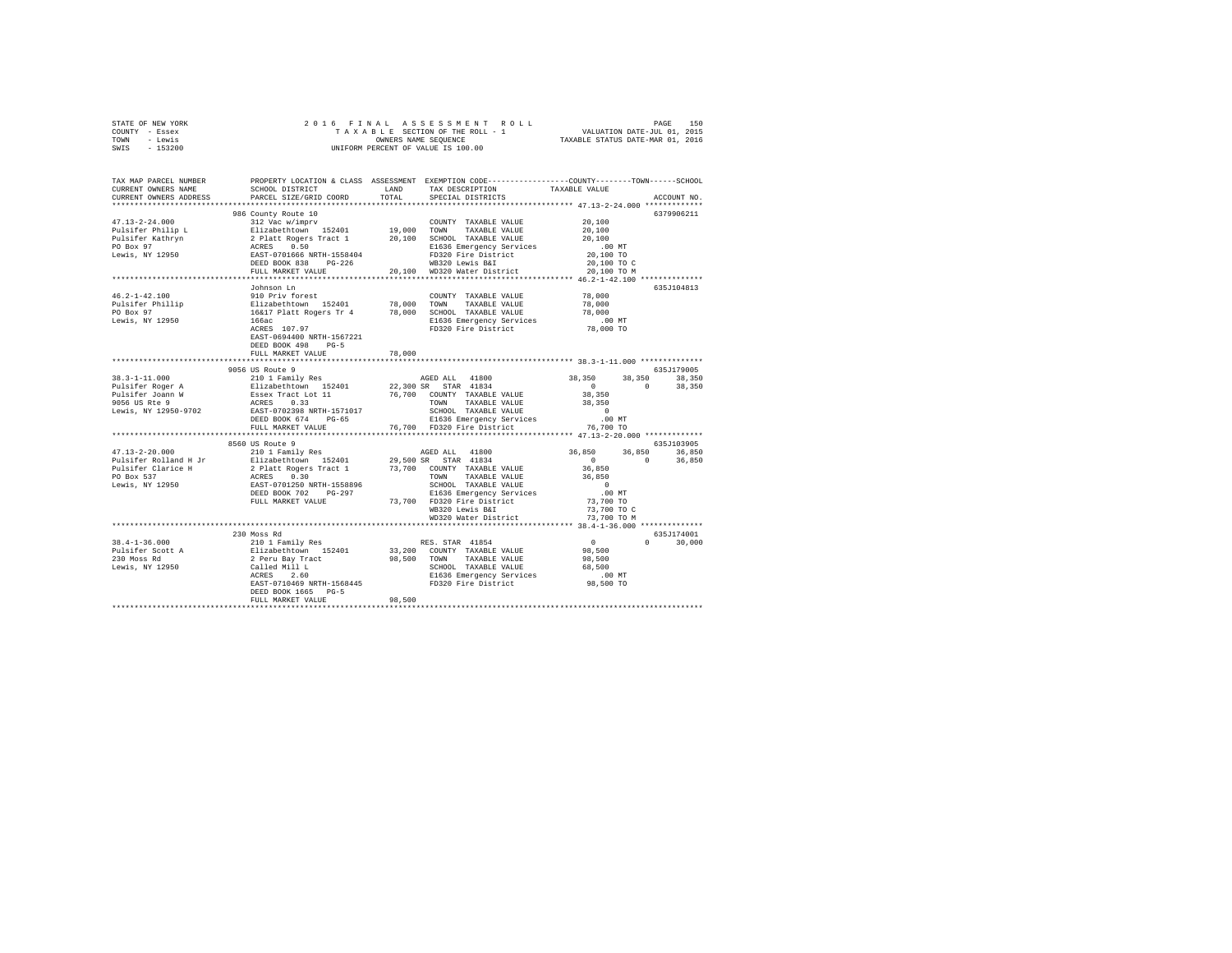| STATE OF NEW YORK | 2016 FINAL ASSESSMENT ROLL         | 150<br>PAGE                      |
|-------------------|------------------------------------|----------------------------------|
| - Essex<br>COUNTY | TAXABLE SECTION OF THE ROLL - 1    | VALUATION DATE-JUL 01, 2015      |
| - Lewis<br>TOWN   | OWNERS NAME SEOUENCE               | TAXABLE STATUS DATE-MAR 01, 2016 |
| $-153200$<br>SWIS | UNIFORM PERCENT OF VALUE IS 100.00 |                                  |

| TAX MAP PARCEL NUMBER<br>CURRENT OWNERS NAME<br>CURRENT OWNERS ADDRESS                                                                                                                                                               | SCHOOL DISTRICT<br>PARCEL SIZE/GRID COORD                                                                 | LAND<br>TOTAL | PROPERTY LOCATION & CLASS ASSESSMENT EXEMPTION CODE----------------COUNTY-------TOWN------SCHOOL<br>TAX DESCRIPTION<br>SPECIAL DISTRICTS                                                                                                                                                                 | TAXABLE VALUE                                                                                          | ACCOUNT NO.                                              |
|--------------------------------------------------------------------------------------------------------------------------------------------------------------------------------------------------------------------------------------|-----------------------------------------------------------------------------------------------------------|---------------|----------------------------------------------------------------------------------------------------------------------------------------------------------------------------------------------------------------------------------------------------------------------------------------------------------|--------------------------------------------------------------------------------------------------------|----------------------------------------------------------|
| *******************                                                                                                                                                                                                                  | **************************                                                                                |               |                                                                                                                                                                                                                                                                                                          |                                                                                                        |                                                          |
|                                                                                                                                                                                                                                      |                                                                                                           |               | COUNTY TAXABLE VALUE<br>E1636 Emergency Services<br>FD320 Fire District<br>$\begin{array}{cccc}\texttt{WB320} & \texttt{Lewis} & \texttt{B&I} & \texttt{20,100} & \texttt{TO} & \texttt{C}\\ 20,100 & \texttt{WD320} & \texttt{Water District} & \texttt{20,100} & \texttt{TO} & \texttt{M} \end{array}$ | 20,100<br>20,100<br>20,100<br>$.00$ MT<br>20,100 TO                                                    | 6379906211                                               |
|                                                                                                                                                                                                                                      |                                                                                                           |               | ******************************* 46.2-1-42.100 *************                                                                                                                                                                                                                                              |                                                                                                        |                                                          |
| $46.2 - 1 - 42.100$<br>Pulsifer Phillip Elizabethtown 152401 78,000 TOWN TAXABLE VALUE PO Box 97<br>PO Box 97 16617 Platt Rogers Tr 4 78,000 SCROOL TAXABLE VALUE<br>Lewis, NY 12950 166ac on and Elisabeth Bio36 Emergency Services | Johnson Ln<br>910 Priv forest<br>166ac<br>ACRES 107.97<br>EAST-0694400 NRTH-1567221<br>DEED BOOK 498 PG-5 |               | COUNTY TAXABLE VALUE<br>SCHOOL TAXABLE VALUE<br>El636 Emergency Services 78,000<br>FD320 Fire District 78,000 TO<br>PD320 Fire District 78,000 TO                                                                                                                                                        | 78,000<br>78,000                                                                                       | 635J104813                                               |
|                                                                                                                                                                                                                                      | FULL MARKET VALUE                                                                                         | 78,000        |                                                                                                                                                                                                                                                                                                          |                                                                                                        |                                                          |
| $38.3 - 1 - 11.000$                                                                                                                                                                                                                  | 9056 US Route 9<br>210 1 Family Res<br>DEED BOOK 674 PG-65<br>FULL MARKET VALUE<br>*********************  |               | AGED ALL 41800<br>22,300 SR STAR 41834<br>76,700 COUNTY TAXABLE VALUE<br>TOWN TAXABLE VALUE<br>SCHOOL TAXABLE VALUE<br>בשים:<br>E1636 Emergency Services 1636 OD MT<br>Philos Fire District 16,700 TO<br>76,700 FD320 Fire District                                                                      | 38,350<br>$\begin{array}{c} 0 \\ 38,350 \end{array}$<br>38,350<br>0                                    | 635J179005<br>38,350<br>38,350<br>$\mathbf{0}$<br>38,350 |
| $47.13 - 2 - 20.000$                                                                                                                                                                                                                 | 8560 US Route 9<br>210 1 Family Res<br>FULL MARKET VALUE                                                  |               | AGED ALL 41800<br>SCHOOL TAXABLE VALUE<br>E1636 Emergency Services<br>73,700 FD320 Fire District<br>WB320 Lewis B&I<br>WD320 Water District                                                                                                                                                              | 36,850 36,850<br>$\sim$ 0<br>36,850<br>36,850<br>$0$ .00 MT<br>73,700 TO<br>73,700 TO C<br>73,700 TO M | 635J103905<br>36,850<br>36,850<br>$\Omega$               |
|                                                                                                                                                                                                                                      |                                                                                                           |               |                                                                                                                                                                                                                                                                                                          | ****************** 38.4-1-36.000 *********                                                             |                                                          |
|                                                                                                                                                                                                                                      | 230 Moss Rd<br>DEED BOOK 1665 PG-5<br>FULL MARKET VALUE                                                   | 98,500        | -vow - communications - communications<br>SCHOOL TAXABLE VALUE - 68,500<br>R1636 Emergency Services - 00 MT<br>EAST-0710469 NRTH-1568445 FD320 Fire District                                                                                                                                             | 98,500 TO                                                                                              | 635J174001<br>30,000<br>$\Omega$ and $\Omega$            |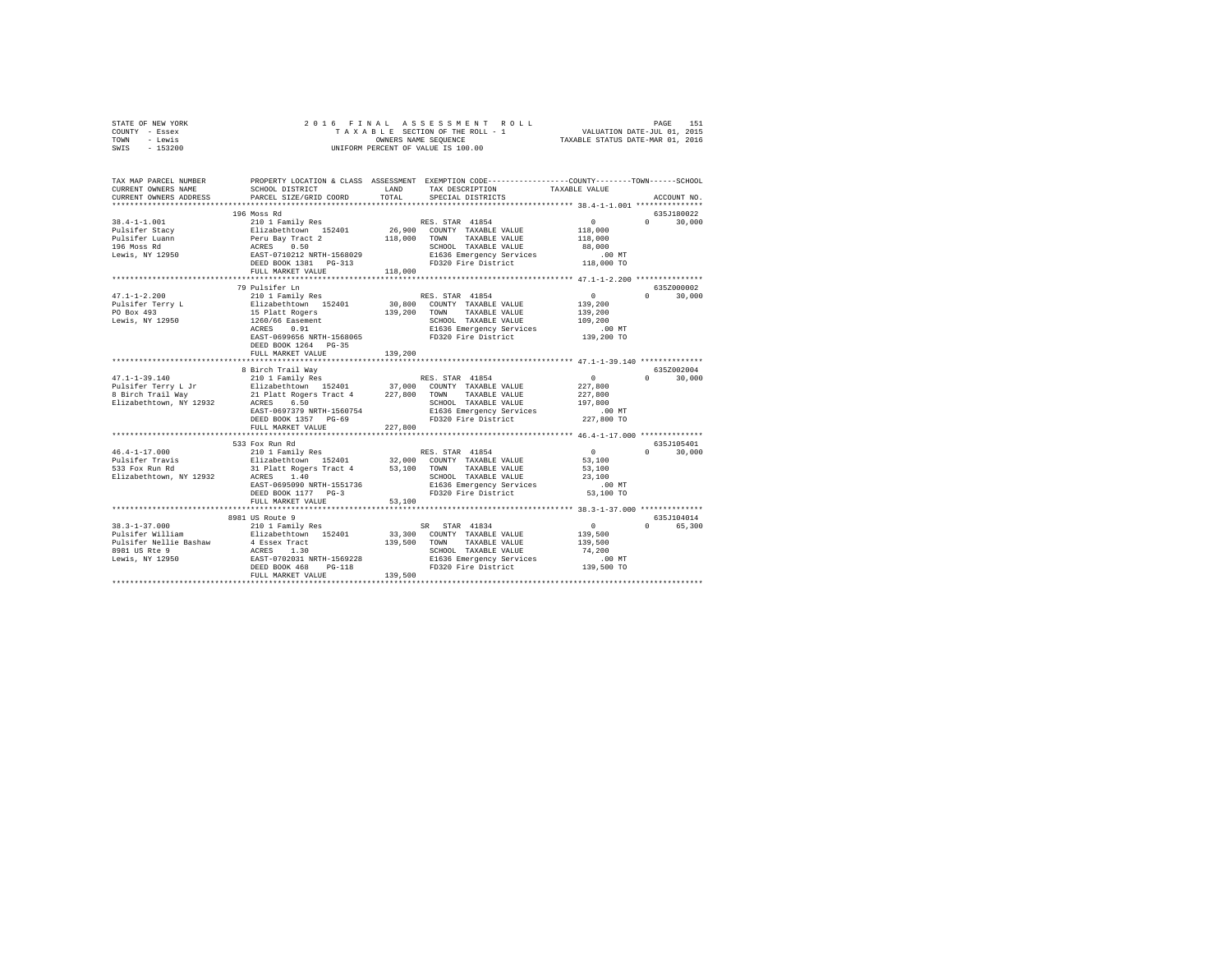| STATE OF NEW YORK | 2016 FINAL ASSESSMENT ROLL         | 151<br>PAGE                      |
|-------------------|------------------------------------|----------------------------------|
| COUNTY - Essex    | TAXABLE SECTION OF THE ROLL - 1    | VALUATION DATE-JUL 01, 2015      |
| TOWN<br>- Lewis   | OWNERS NAME SEOUENCE               | TAXABLE STATUS DATE-MAR 01, 2016 |
| $-153200$<br>SWIS | UNIFORM PERCENT OF VALUE IS 100.00 |                                  |

| TAX MAP PARCEL NUMBER<br>CURRENT OWNERS NAME<br>CURRENT OWNERS ADDRESS                                | SCHOOL DISTRICT<br>PARCEL SIZE/GRID COORD                                                                                                                                                                                                                               | LAND<br>TOTAL           | PROPERTY LOCATION & CLASS ASSESSMENT EXEMPTION CODE----------------COUNTY-------TOWN-----SCHOOL<br>TAX DESCRIPTION<br>SPECIAL DISTRICTS                       | TAXABLE VALUE                                                       | ACCOUNT NO.                      |
|-------------------------------------------------------------------------------------------------------|-------------------------------------------------------------------------------------------------------------------------------------------------------------------------------------------------------------------------------------------------------------------------|-------------------------|---------------------------------------------------------------------------------------------------------------------------------------------------------------|---------------------------------------------------------------------|----------------------------------|
|                                                                                                       |                                                                                                                                                                                                                                                                         |                         |                                                                                                                                                               |                                                                     |                                  |
| $38.4 - 1 - 1.001$<br>Pulsifer Stacy<br>Pulsifer Luann<br>196 Moss Rd<br>Lewis, NY 12950              | 196 Moss Rd<br>210 1 Family Res<br>210 1 Family Res<br>Peru Bay Tract 2<br>ACRES 0.50<br>EAST-0710212 NRTH-1568029<br>212 NRTH-1568029<br>DEED BOOK 1381   PG-313<br>FULL MARKET VALUE                                                                                  | 118,000<br>118,000      | RES. STAR 41854<br>26,900 COUNTY TAXABLE VALUE<br>TAXABLE VALUE<br>TOWN<br>SCHOOL TAXABLE VALUE<br>E1636 Emergency Services<br>FD320 Fire District 118,000 TO | $\sim$ 0<br>118,000<br>118,000<br>88,000<br>.00 MT                  | 635J180022<br>$0 \t 30,000$      |
|                                                                                                       |                                                                                                                                                                                                                                                                         |                         |                                                                                                                                                               |                                                                     |                                  |
| $47.1 - 1 - 2.200$<br>Pulsifer Terry L<br>PO Box 493<br>Lewis, $NY$ 12950                             | 79 Pulsifer Ln<br>210 1 Family Res<br>Elizabethtown 152401 30,800 COUNTY TAXABLE VALUE<br>15 Platt Rogers<br>1260/66 Easement<br>ACRES 0.91<br>EAST-0699656 NRTH-1568065<br>DEED BOOK 1264 PG-35<br>FULL MARKET VALUE                                                   | 139,200 TOWN<br>139,200 | RES. STAR 41854<br>TAXABLE VALUE<br>SCHOOL TAXABLE VALUE<br>E1636 Emergency Services<br>FD320 Fire District                                                   | $\sim$<br>139,200<br>139,200<br>109,200<br>$.00$ MT<br>139,200 TO   | 635Z000002<br>$\Omega$<br>30,000 |
|                                                                                                       |                                                                                                                                                                                                                                                                         |                         |                                                                                                                                                               |                                                                     |                                  |
| $47.1 - 1 - 39.140$<br>Elizabethtown, NY 12932                                                        | 8 Birch Trail Wav<br>210 1 Family Res<br>ACRES 6.50<br>EAST-0697379 NRTH-1560754<br>DEED BOOK 1357 PG-69<br>FULL MARKET VALUE                                                                                                                                           | 227,800                 | RES. STAR 41854<br>SCHOOL TAXABLE VALUE<br>E1636 Emergency Services<br>FD320 Fire District                                                                    | $\sim$ 0<br>227,800<br>227,800<br>197.800<br>$.00$ MT<br>227,800 TO | 635Z002004<br>$0 \t 30,000$      |
|                                                                                                       | ****************************                                                                                                                                                                                                                                            |                         |                                                                                                                                                               |                                                                     |                                  |
| $46.4 - 1 - 17.000$<br>Pulsifer Travis<br>"33 For Run Rd<br>Elizabethtown, NY 12932                   | 533 Fox Run Rd<br>210 1 Family Res<br>210 1 Family Res (RES. STAR 41854<br>Elizabethtown 152401 (2000 COUNTY TAXABLE VALUE<br>31 Platt Rogers Tract 4 (53,100 TOWN TAXABLE VALUE<br>ACRES 1.40<br>EAST-0695090 NRTH-1551736<br>DEED BOOK 1177 PG-3<br>FULL MARKET VALUE | 53,100                  | TAXABLE VALUE<br>SCHOOL TAXABLE VALUE<br>E1636 Emergency Services .00 MT<br>FD320 Fire District                                                               | $\mathbf{0}$<br>53,100<br>53,100<br>23,100<br>53,100 TO             | 635J105401<br>$\Omega$<br>30,000 |
|                                                                                                       | ********************                                                                                                                                                                                                                                                    |                         |                                                                                                                                                               |                                                                     |                                  |
| $38.3 - 1 - 37.000$<br>Pulsifer William<br>Pulsifer Nellie Bashaw<br>8981 US Rte 9<br>Lewis, NY 12950 | 8981 US Route 9<br>210 1 Family Res<br>Elizabethtown 152401<br>4 Essex Tract<br>ACRES 1.30<br>EAST-0702031 NRTH-1569228<br>DEED BOOK 468<br>$PG-118$<br>FULL MARKET VALUE                                                                                               | 139,500 TOWN<br>139,500 | SR STAR 41834<br>33,300 COUNTY TAXABLE VALUE<br>TAXABLE VALUE<br>SCHOOL TAXABLE VALUE<br>E1636 Emergency Services .00 MT<br>FD320 Fire District .139,500 TO   | $\sim$ 0<br>139,500<br>139,500<br>74,200                            | 635J104014<br>0 65,300           |
|                                                                                                       |                                                                                                                                                                                                                                                                         |                         |                                                                                                                                                               |                                                                     |                                  |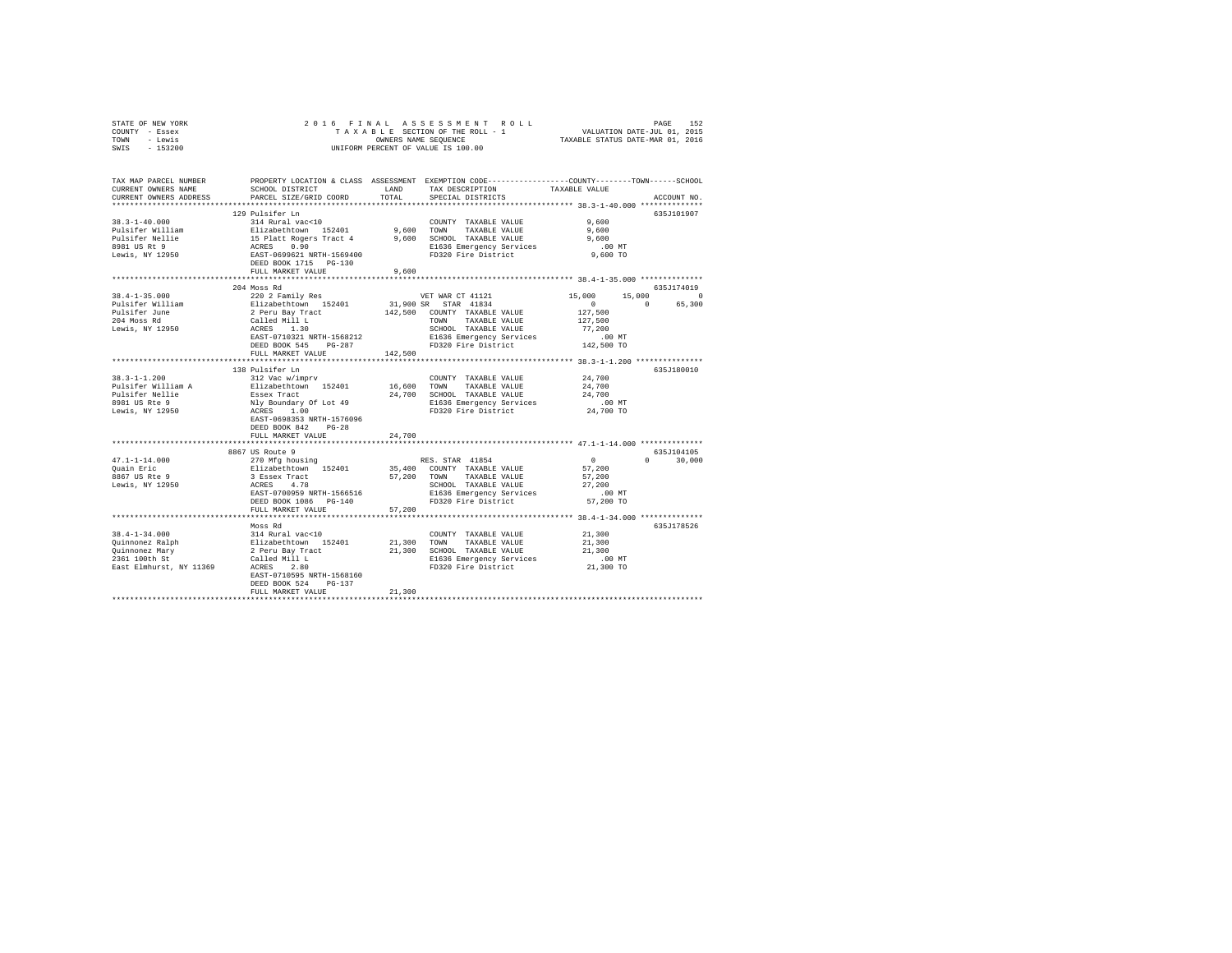| STATE OF NEW YORK |  |  |  |  | 2016 FINAL ASSESSMENT ROLL         |                                  | PAGE                        | 152 |
|-------------------|--|--|--|--|------------------------------------|----------------------------------|-----------------------------|-----|
| COUNTY - Essex    |  |  |  |  | TAXABLE SECTION OF THE ROLL - 1    |                                  | VALUATION DATE-JUL 01, 2015 |     |
| TOWN<br>- Lewis   |  |  |  |  | OWNERS NAME SEOUENCE               | TAXABLE STATUS DATE-MAR 01, 2016 |                             |     |
| $-153200$<br>SWIS |  |  |  |  | UNIFORM PERCENT OF VALUE IS 100.00 |                                  |                             |     |

| TAX MAP PARCEL NUMBER<br>CURRENT OWNERS NAME<br>CURRENT OWNERS ADDRESS | SCHOOL DISTRICT<br>PARCEL SIZE/GRID COORD                                                         | T.AND<br>TOTAL                | PROPERTY LOCATION & CLASS ASSESSMENT EXEMPTION CODE----------------COUNTY-------TOWN-----SCHOOL<br>TAX DESCRIPTION<br>SPECIAL DISTRICTS                                                                                                        | TAXABLE VALUE                              | ACCOUNT NO.                     |
|------------------------------------------------------------------------|---------------------------------------------------------------------------------------------------|-------------------------------|------------------------------------------------------------------------------------------------------------------------------------------------------------------------------------------------------------------------------------------------|--------------------------------------------|---------------------------------|
| ***********************                                                |                                                                                                   |                               |                                                                                                                                                                                                                                                |                                            |                                 |
|                                                                        | 129 Pulsifer Ln                                                                                   |                               |                                                                                                                                                                                                                                                |                                            | 635J101907                      |
| $38.3 - 1 - 40.000$                                                    |                                                                                                   |                               |                                                                                                                                                                                                                                                | 9,600                                      |                                 |
| Pulsifer William                                                       |                                                                                                   |                               |                                                                                                                                                                                                                                                | 9,600                                      |                                 |
| Pulsifer Nellie                                                        |                                                                                                   |                               |                                                                                                                                                                                                                                                | 9,600                                      |                                 |
| 8981 US Rt 9                                                           |                                                                                                   |                               |                                                                                                                                                                                                                                                | $.00$ MT                                   |                                 |
| Lewis, NY 12950                                                        |                                                                                                   |                               |                                                                                                                                                                                                                                                | 9,600 TO                                   |                                 |
|                                                                        |                                                                                                   |                               | 129 POISITET LIMIT 2001<br>214 Rural Vac<10<br>215 Platabelthcwn 152401<br>215 Platt Rogers Tract 4<br>216 Platt Rogers Tract 4<br>2000 DECHOOL TAXABLE VALUE<br>2008 RAST-0699621 RETH-1569400<br>2008 PD320 Fire District<br>2008 PD320 Pire |                                            |                                 |
|                                                                        | FULL MARKET VALUE                                                                                 | 9,600                         |                                                                                                                                                                                                                                                |                                            |                                 |
|                                                                        |                                                                                                   |                               |                                                                                                                                                                                                                                                |                                            |                                 |
|                                                                        | 204 Moss Rd                                                                                       |                               |                                                                                                                                                                                                                                                |                                            | 635J174019                      |
| $38.4 - 1 - 35.000$                                                    |                                                                                                   |                               |                                                                                                                                                                                                                                                |                                            |                                 |
|                                                                        | 220 2 Family Res<br>Elizabethtown 152401                                                          |                               | VET WAR CT 41121<br>31,900 SR STAR 41834                                                                                                                                                                                                       | 15,000                                     | $15,000$ 0<br>0 65,300          |
| Pulsifer William                                                       |                                                                                                   |                               |                                                                                                                                                                                                                                                | $\sim$                                     |                                 |
| Pulsifer June                                                          | 2 Peru Bay Tract 142,500 COUNTY TAXABLE VALUE<br>Called Mill L<br>ACRES 1.30 SCHOOL TAXABLE VALUE |                               |                                                                                                                                                                                                                                                | 127,500                                    |                                 |
| 204 Moss Rd                                                            |                                                                                                   |                               | TOWN HAADLE VALUE<br>SCHOOL TAXABLE VALUE 77,200<br>E1636 Emergency Services .00 MT<br>First Literature 142,500 TO                                                                                                                             | 127,500                                    |                                 |
| Lewis, NY 12950                                                        |                                                                                                   |                               |                                                                                                                                                                                                                                                |                                            |                                 |
|                                                                        | EAST-0710321 NRTH-1568212                                                                         |                               |                                                                                                                                                                                                                                                |                                            |                                 |
|                                                                        | DEED BOOK 545 PG-287                                                                              |                               |                                                                                                                                                                                                                                                |                                            |                                 |
|                                                                        | FULL MARKET VALUE                                                                                 | 142,500                       |                                                                                                                                                                                                                                                |                                            |                                 |
|                                                                        | ***********************                                                                           | ***************************** |                                                                                                                                                                                                                                                | *************** 38.3-1-1.200 ************* |                                 |
|                                                                        | 138 Pulsifer Ln                                                                                   |                               |                                                                                                                                                                                                                                                |                                            | 635J180010                      |
| $38.3 - 1 - 1.200$                                                     | 312 Vac w/imprv                                                                                   |                               | COUNTY TAXABLE VALUE                                                                                                                                                                                                                           | 24,700                                     |                                 |
|                                                                        |                                                                                                   |                               | 16,600 TOWN TAXABLE VALUE                                                                                                                                                                                                                      | 24,700                                     |                                 |
| Pulsifer William A<br>Pulsifer Nellie                                  | Elizabethtown 152401<br>Essex Tract<br>Nly Boundary Of Lot 49<br>ACRES 1.00                       |                               | 24,700 SCHOOL TAXABLE VALUE                                                                                                                                                                                                                    | 24,700                                     |                                 |
| 8981 US Rte 9                                                          |                                                                                                   |                               |                                                                                                                                                                                                                                                |                                            |                                 |
| Lewis, NY 12950                                                        |                                                                                                   |                               | E1636 Emergency Services .00 MT<br>FD320 Fire District 24,700 TO                                                                                                                                                                               |                                            |                                 |
|                                                                        | EAST-0698353 NRTH-1576096                                                                         |                               |                                                                                                                                                                                                                                                |                                            |                                 |
|                                                                        | DEED BOOK 842<br>$PG-28$                                                                          |                               |                                                                                                                                                                                                                                                |                                            |                                 |
|                                                                        | FULL MARKET VALUE                                                                                 | 24,700                        |                                                                                                                                                                                                                                                |                                            |                                 |
|                                                                        |                                                                                                   |                               |                                                                                                                                                                                                                                                |                                            |                                 |
|                                                                        | 8867 US Route 9                                                                                   |                               |                                                                                                                                                                                                                                                |                                            | 635J104105                      |
| $47.1 - 1 - 14.000$                                                    | 270 Mfg housing                                                                                   |                               | RES. STAR 41854                                                                                                                                                                                                                                | $\sim$ 0                                   | $\Omega$ and $\Omega$<br>30,000 |
| Ouain Eric                                                             |                                                                                                   |                               |                                                                                                                                                                                                                                                | 57,200                                     |                                 |
| 8867 US Rte 9                                                          |                                                                                                   |                               |                                                                                                                                                                                                                                                |                                            |                                 |
|                                                                        |                                                                                                   |                               | 21 East Pack 152401 157,400 COUNTY TAXABLE VALUE<br>3 Essex Tract 152401 57,200 TOWN TAXABLE VALUE<br>3 ESSEX TRACT 57,200 TOWN TAXABLE VALUE                                                                                                  | 57,200                                     |                                 |
| Lewis, NY 12950                                                        |                                                                                                   |                               | SCHOOL TAXABLE VALUE                                                                                                                                                                                                                           | 27,200                                     |                                 |
|                                                                        | EAST-0700959 NRTH-1566516                                                                         |                               | E1636 Emergency Services                                                                                                                                                                                                                       | $.00$ MT                                   |                                 |
|                                                                        | DEED BOOK 1086 PG-140                                                                             |                               | FD320 Fire District                                                                                                                                                                                                                            | 57,200 TO                                  |                                 |
|                                                                        | FULL MARKET VALUE                                                                                 | 57,200                        |                                                                                                                                                                                                                                                |                                            |                                 |
|                                                                        |                                                                                                   |                               |                                                                                                                                                                                                                                                |                                            |                                 |
|                                                                        | hf asoM                                                                                           |                               |                                                                                                                                                                                                                                                |                                            | 635J178526                      |
|                                                                        |                                                                                                   |                               | COUNTY TAXABLE VALUE                                                                                                                                                                                                                           | 21,300                                     |                                 |
|                                                                        |                                                                                                   |                               | 21,300 TOWN TAXABLE VALUE                                                                                                                                                                                                                      | 21,300<br>21,300                           |                                 |
|                                                                        |                                                                                                   |                               | 21,300 SCHOOL TAXABLE VALUE                                                                                                                                                                                                                    |                                            |                                 |
|                                                                        |                                                                                                   |                               | E1636 Emergency Services<br>FD320 Fire District                                                                                                                                                                                                | $.00$ MT                                   |                                 |
|                                                                        |                                                                                                   |                               |                                                                                                                                                                                                                                                | $21,300$ TO                                |                                 |
|                                                                        | EAST-0710595 NRTH-1568160                                                                         |                               |                                                                                                                                                                                                                                                |                                            |                                 |
|                                                                        | $PG-137$<br>DEED BOOK 524                                                                         |                               |                                                                                                                                                                                                                                                |                                            |                                 |
|                                                                        | FULL MARKET VALUE                                                                                 | 21,300                        |                                                                                                                                                                                                                                                |                                            |                                 |
|                                                                        |                                                                                                   |                               |                                                                                                                                                                                                                                                |                                            |                                 |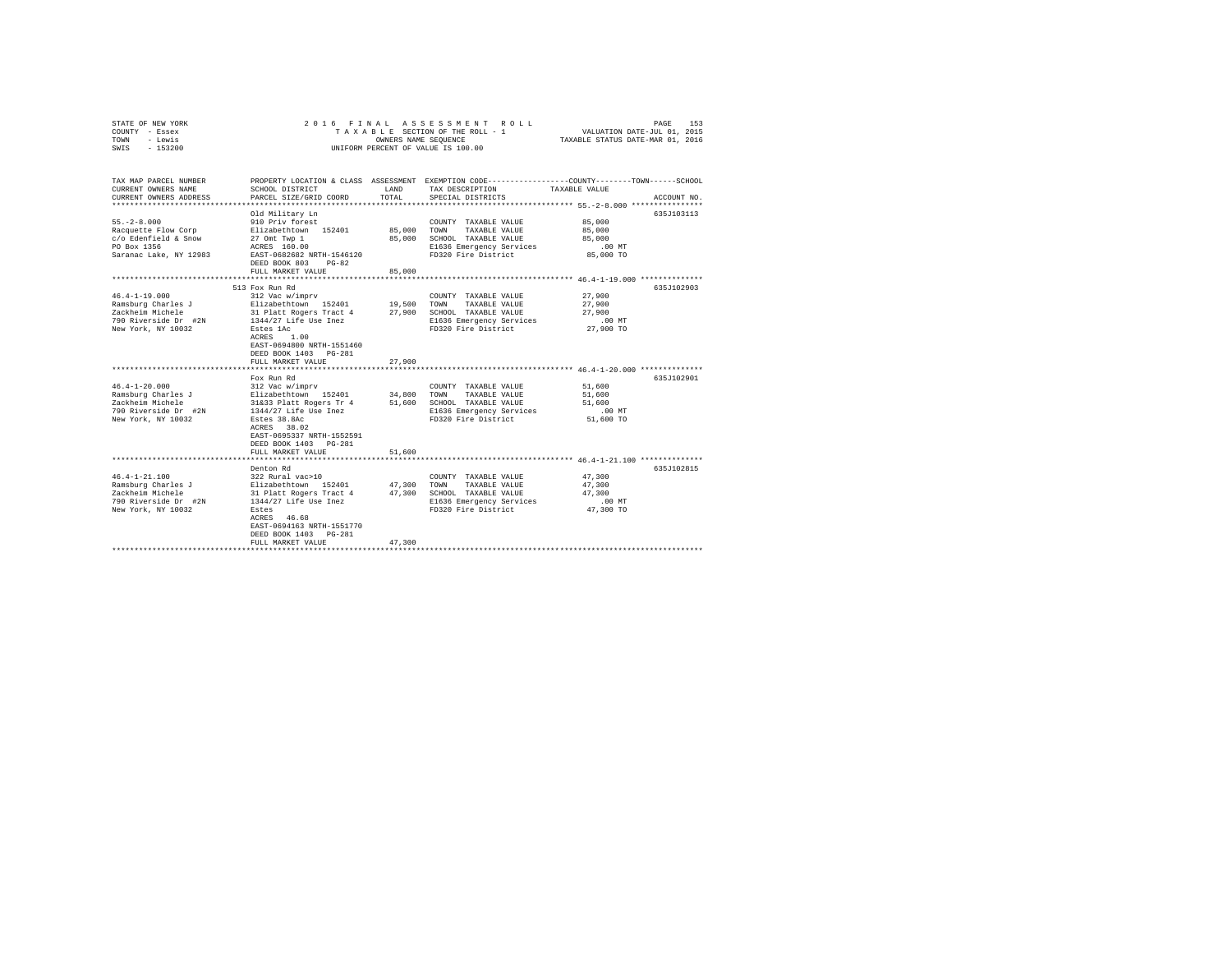| STATE OF NEW YORK<br>COUNTY - Essex<br>- Lewis<br>TOWN<br>$-153200$<br>SWIS                                 |                                                                                                                                                                                                                        | OWNERS NAME SEQUENCE                        | 2016 FINAL ASSESSMENT ROLL<br>TAXABLE SECTION OF THE ROLL - 1<br>UNIFORM PERCENT OF VALUE IS 100.00                             | 153<br>PAGE<br>VALUATION DATE-JUL 01, 2015<br>TAXABLE STATUS DATE-MAR 01, 2016                                                  |
|-------------------------------------------------------------------------------------------------------------|------------------------------------------------------------------------------------------------------------------------------------------------------------------------------------------------------------------------|---------------------------------------------|---------------------------------------------------------------------------------------------------------------------------------|---------------------------------------------------------------------------------------------------------------------------------|
| TAX MAP PARCEL NUMBER<br>CURRENT OWNERS NAME<br>CURRENT OWNERS ADDRESS                                      | SCHOOL DISTRICT<br>PARCEL SIZE/GRID COORD                                                                                                                                                                              | LAND<br>TOTAL                               | TAX DESCRIPTION<br>SPECIAL DISTRICTS                                                                                            | PROPERTY LOCATION & CLASS ASSESSMENT EXEMPTION CODE---------------COUNTY-------TOWN------SCHOOL<br>TAXABLE VALUE<br>ACCOUNT NO. |
| $55. - 2 - 8.000$<br>Racquette Flow Corp<br>c/o Edenfield & Snow<br>PO Box 1356<br>Saranac Lake, NY 12983   | Old Military Ln<br>910 Priv forest<br>Elizabethtown 152401<br>27 Omt Twp 1<br>ACRES 160.00<br>EAST-0682682 NRTH-1546120<br>DEED BOOK 803<br>$PG-82$<br>FULL MARKET VALUE                                               | 85,000<br>85,000<br>85,000                  | COUNTY TAXABLE VALUE<br>TOWN<br>TAXABLE VALUE<br>SCHOOL TAXABLE VALUE<br>E1636 Emergency Services<br>FD320 Fire District        | 635J103113<br>85,000<br>85,000<br>85,000<br>$.00$ MT<br>85,000 TO                                                               |
|                                                                                                             |                                                                                                                                                                                                                        |                                             |                                                                                                                                 |                                                                                                                                 |
| $46.4 - 1 - 19.000$<br>Ramsburg Charles J<br>Zackheim Michele<br>790 Riverside Dr #2N<br>New York, NY 10032 | 513 Fox Run Rd<br>312 Vac w/imprv<br>Elizabethtown 152401<br>31 Platt Rogers Tract 4<br>1344/27 Life Use Inez<br>Estes 1Ac<br>ACRES<br>1.00<br>EAST-0694800 NRTH-1551460<br>DEED BOOK 1403 PG-281<br>FULL MARKET VALUE | 19,500<br>27,900<br>27,900<br>************* | COUNTY TAXABLE VALUE<br>TOWN<br>TAXABLE VALUE<br>SCHOOL TAXABLE VALUE<br>E1636 Emergency Services<br>FD320 Fire District        | 635J102903<br>27,900<br>27,900<br>27,900<br>$.00$ MT<br>27,900 TO<br>***************************** 46.4-1-20.000 ************** |
| $46.4 - 1 - 20.000$<br>Ramsburg Charles J<br>Zackheim Michele<br>790 Riverside Dr #2N<br>New York, NY 10032 | Fox Run Rd<br>312 Vac w/imprv<br>Elizabethtown 152401<br>31&33 Platt Rogers Tr 4<br>1344/27 Life Use Inez<br>Estes 38.8Ac<br>ACRES 38.02<br>EAST-0695337 NRTH-1552591<br>DEED BOOK 1403 PG-281<br>FULL MARKET VALUE    | 34,800<br>51,600                            | COUNTY TAXABLE VALUE<br>TOWN<br>TAXABLE VALUE<br>51,600 SCHOOL TAXABLE VALUE<br>E1636 Emergency Services<br>FD320 Fire District | 635J102901<br>51,600<br>51,600<br>51,600<br>.00 MT<br>51,600 TO                                                                 |
|                                                                                                             |                                                                                                                                                                                                                        |                                             |                                                                                                                                 |                                                                                                                                 |
| $46.4 - 1 - 21.100$<br>Ramsburg Charles J<br>Zackheim Michele<br>790 Riverside Dr #2N<br>New York, NY 10032 | Denton Rd<br>322 Rural vac>10<br>Elizabethtown 152401<br>31 Platt Rogers Tract 4<br>1344/27 Life Use Inez<br>Estes<br>ACRES 46.68<br>EAST-0694163 NRTH-1551770<br>DEED BOOK 1403 PG-281<br>FULL MARKET VALUE           | 47,300<br>47,300<br>47.300                  | COUNTY TAXABLE VALUE<br>TOWN<br>TAXABLE VALUE<br>SCHOOL TAXABLE VALUE<br>E1636 Emergency Services<br>FD320 Fire District        | 635J102815<br>47,300<br>47,300<br>47,300<br>$.00$ MT<br>47,300 TO                                                               |
|                                                                                                             |                                                                                                                                                                                                                        |                                             |                                                                                                                                 |                                                                                                                                 |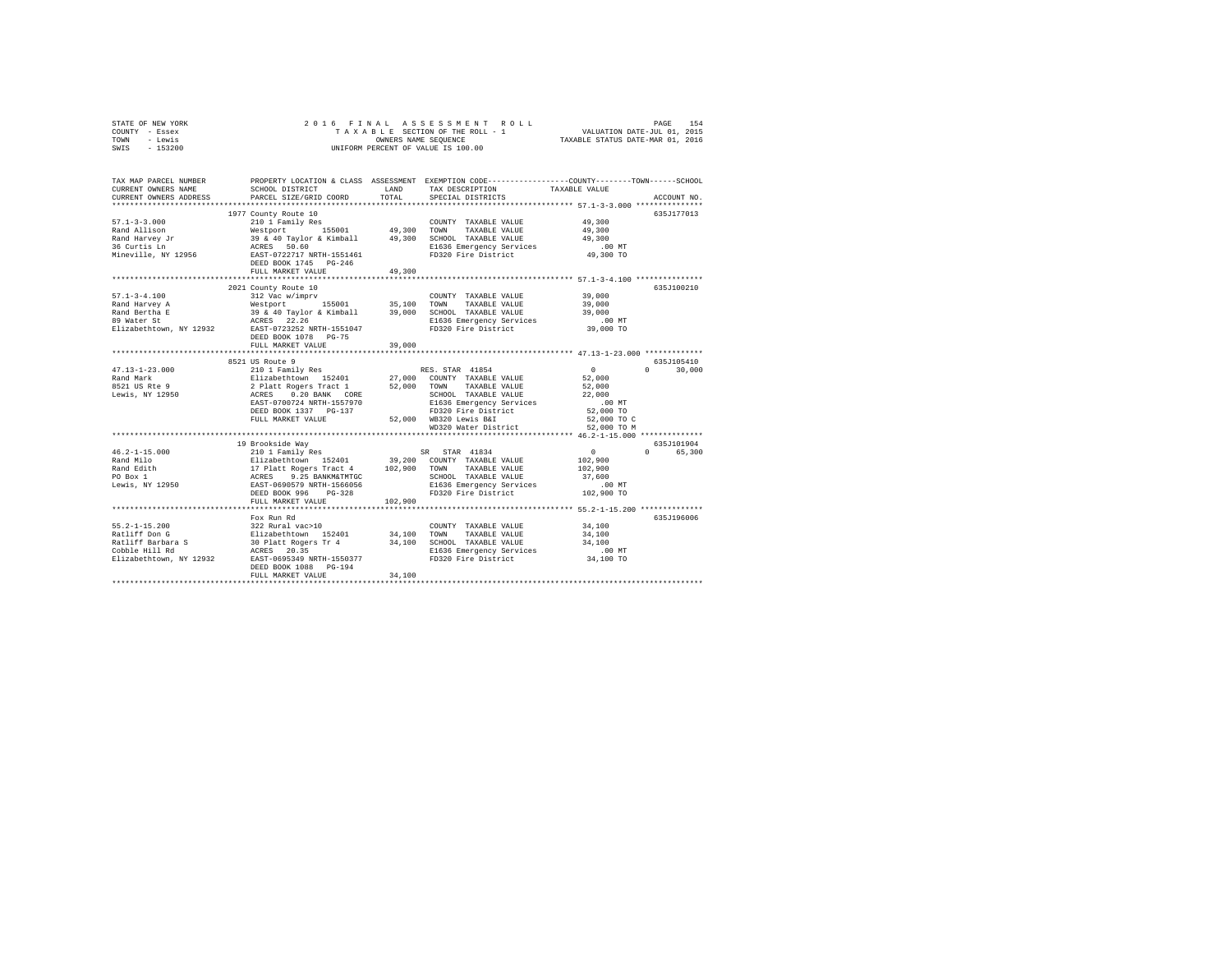| COUNTY<br>- Essex      |                                      |               | TAXABLE SECTION OF THE ROLL - 1                | VALUATION DATE-JUL 01, 2015                                  |
|------------------------|--------------------------------------|---------------|------------------------------------------------|--------------------------------------------------------------|
| - Lewis<br>TOWN        |                                      |               | OWNERS NAME SEOUENCE                           | TAXABLE STATUS DATE-MAR 01, 2016                             |
| $-153200$<br>SWIS      |                                      |               | UNIFORM PERCENT OF VALUE IS 100.00             |                                                              |
|                        |                                      |               |                                                |                                                              |
|                        |                                      |               |                                                |                                                              |
|                        |                                      |               |                                                |                                                              |
| TAX MAP PARCEL NUMBER  | PROPERTY LOCATION & CLASS ASSESSMENT |               |                                                | EXEMPTION CODE-----------------COUNTY-------TOWN------SCHOOL |
| CURRENT OWNERS NAME    | SCHOOL DISTRICT                      | LAND          | TAX DESCRIPTION                                | TAXABLE VALUE                                                |
| CURRENT OWNERS ADDRESS |                                      |               | PARCEL SIZE/GRID COORD TOTAL SPECIAL DISTRICTS | ACCOUNT NO.                                                  |
|                        |                                      |               |                                                |                                                              |
|                        | 1977 County Route 10                 |               |                                                | 635J177013                                                   |
| $57.1 - 3 - 3.000$     | 210 1 Family Res                     |               | COUNTY<br>TAXABLE VALUE                        | 49,300                                                       |
| Rand Allison           | Westport 155001 49,300               |               | TOWN<br>TAXABLE VALUE                          | 49,300                                                       |
| Rand Harvey Jr         | 39 & 40 Taylor & Kimball 49,300      |               | SCHOOL TAXABLE VALUE 49.300                    |                                                              |
| 36 Curtis Ln           | ACRES 50.60                          |               | E1636 Emergency Services .00 MT                |                                                              |
| Mineville, NY 12956    | EAST-0722717 NRTH-1551461            |               | FD320 Fire District                            | 49,300 TO                                                    |
|                        | DEED BOOK 1745 PG-246                |               |                                                |                                                              |
|                        | FULL MARKET VALUE                    | 49.300        |                                                |                                                              |
|                        |                                      |               |                                                |                                                              |
|                        | 2021 County Route 10                 |               |                                                | 635J100210                                                   |
| $57.1 - 3 - 4.100$     | 312 Vac w/imprv                      |               | COUNTY TAXABLE VALUE                           | 39,000                                                       |
| Dand Uaryson A         | Meetnert 155001                      | $25.100$ TOMM | סוז הגזו סופג אחד                              | 39 000                                                       |

STATE OF NEW YORK 2016 FINAL ASSESSMENT ROLL PAGE 154

| 57.1-3-4.100<br>Rand Harvey A<br>Rand Bertha E<br>89 Water St | 312 Vac w/imprv<br>Westport 155001 35,100<br>$39 \times 40$ Taylor & Kimball $39,000$<br>ACRES 22.26<br>Elizabethtown, NY 12932 EAST-0723252 NRTH-1551047<br>DEED BOOK 1078 PG-75<br>FULL MARKET VALUE 39,000 | COUNTY TAXABLE VALUE<br>TOWN<br>TAXABLE VALUE<br>SCHOOL TAXABLE VALUE<br>E1636 Emergency Services .00 MT<br>FD320 Fire District | 39,000<br>39,000<br>39,000<br>39,000 TO       |                        |
|---------------------------------------------------------------|---------------------------------------------------------------------------------------------------------------------------------------------------------------------------------------------------------------|---------------------------------------------------------------------------------------------------------------------------------|-----------------------------------------------|------------------------|
|                                                               | 8521 US Route 9                                                                                                                                                                                               |                                                                                                                                 |                                               | 635.7105410            |
| $47.13 - 1 - 23.000$<br>Rand Mark                             | 210 1 Family Res<br>8521 US Rte 9 2 Platt Rogers Tract 1 52,000 TOWN                                                                                                                                          | RES. STAR 41854<br>Elizabethtown 152401 27,000 COUNTY TAXABLE VALUE<br>TAXABLE VALUE<br>SCHOOL TAXABLE VALUE                    | $\sim$ 0 $\sim$<br>52,000<br>52,000<br>22,000 | 30,000<br>$\mathbf{a}$ |
|                                                               | EAST-0700724 NRTH-1557970<br>DEED BOOK 1337 PG-137                                                                                                                                                            | FULL MARKET VALUE 52,000 WB320 Lewis B&I<br>WD320 Water District 52,000 TO M                                                    | 52,000 TO C                                   |                        |
|                                                               |                                                                                                                                                                                                               |                                                                                                                                 |                                               |                        |
|                                                               | 19 Brookside Way                                                                                                                                                                                              |                                                                                                                                 |                                               | 635J101904             |
| $46.2 - 1 - 15.000$<br>Rand Milo                              |                                                                                                                                                                                                               | Elizabethtown 152401 39,200 COUNTY TAXABLE VALUE 102,900                                                                        |                                               | $\Omega$<br>65,300     |
|                                                               |                                                                                                                                                                                                               | Rand Edith 102,900 17 Platt Rogers Tract 4 102,900 TOWN TAXABLE VALUE 102,900                                                   |                                               |                        |
| PO Box 1                                                      | ACRES 9.25 BANKM&TMTGC                                                                                                                                                                                        | SCHOOL TAXABLE VALUE                                                                                                            | 37,600                                        |                        |
|                                                               | Lewis, NY 12950 EAST-0690579 NRTH-1566056                                                                                                                                                                     | E1636 Emergency Services .00 MT                                                                                                 |                                               |                        |
|                                                               | DEED BOOK 996 PG-328<br>FULL MARKET VALUE 102,900                                                                                                                                                             | FD320 Fire District 102,900 TO                                                                                                  |                                               |                        |
|                                                               |                                                                                                                                                                                                               |                                                                                                                                 |                                               |                        |
|                                                               | Fox Run Rd                                                                                                                                                                                                    |                                                                                                                                 |                                               | 635J196006             |
|                                                               | 55.2-1-15.200 322 Rural vac>10                                                                                                                                                                                | COUNTY TAXABLE VALUE 34.100                                                                                                     |                                               |                        |
| Ratliff Don G                                                 | Elizabethtown 152401 34,100 TOWN                                                                                                                                                                              | TAXABLE VALUE 34,100                                                                                                            |                                               |                        |
|                                                               | Ratliff Barbara S 30 Platt Rogers Tr 4 34,100                                                                                                                                                                 | SCHOOL TAXABLE VALUE 34,100                                                                                                     |                                               |                        |
| Cobble Hill Rd                                                | ACRES 20.35<br>Elizabethtown, NY 12932 EAST-0695349 NRTH-1550377<br>DEED BOOK 1088 PG-194                                                                                                                     | E1636 Emergency Services .00 MT<br>FD320 Fire District 34,100 TO                                                                |                                               |                        |
|                                                               | FULL MARKET VALUE                                                                                                                                                                                             | 34,100                                                                                                                          |                                               |                        |
|                                                               |                                                                                                                                                                                                               |                                                                                                                                 |                                               |                        |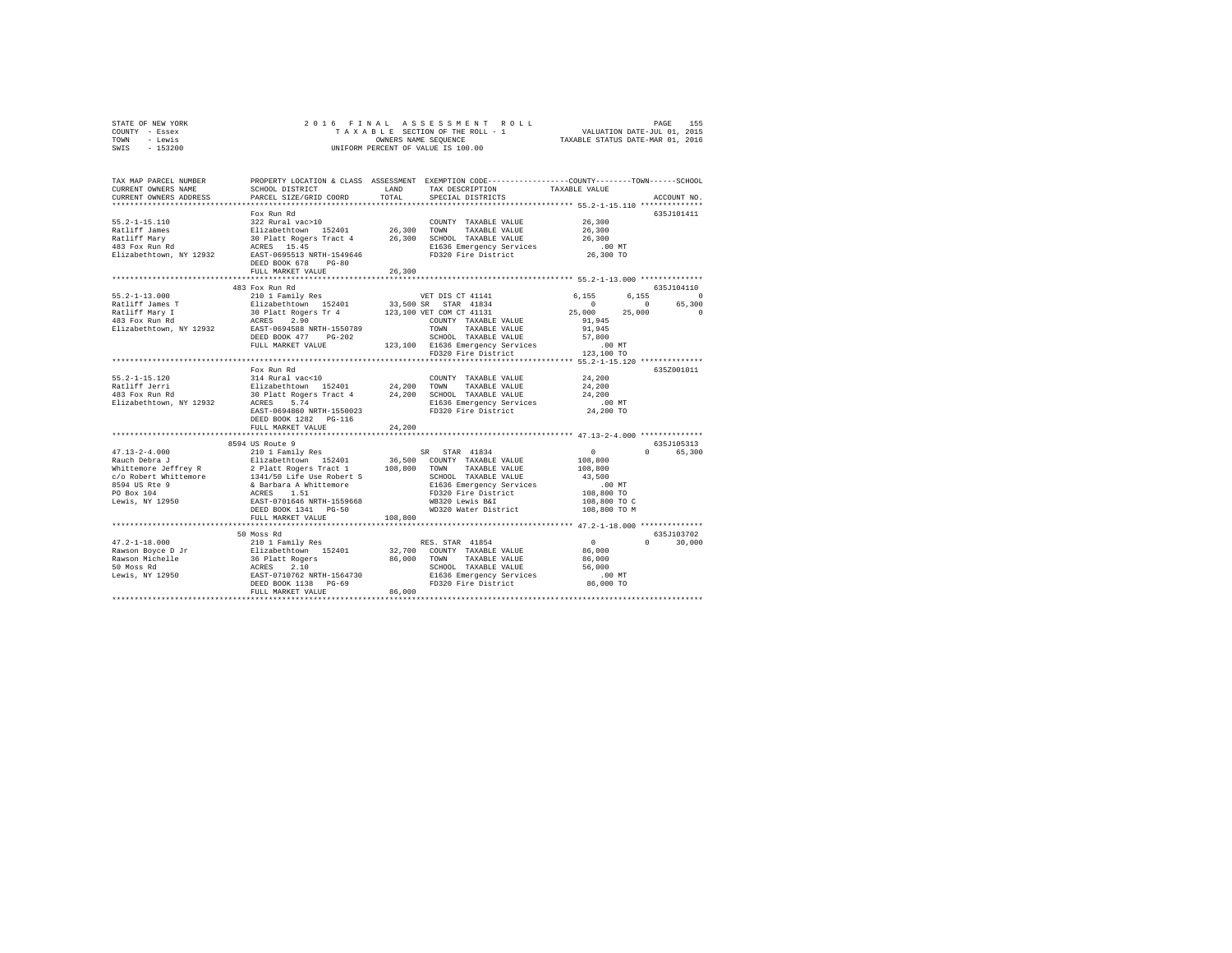| STATE OF NEW YORK | 2016 FINAL ASSESSMENT ROLL         | 155<br>PAGE                      |
|-------------------|------------------------------------|----------------------------------|
| COUNTY - Essex    | TAXABLE SECTION OF THE ROLL - 1    | VALUATION DATE-JUL 01, 2015      |
| TOWN<br>- Lewis   | OWNERS NAME SEOUENCE               | TAXABLE STATUS DATE-MAR 01, 2016 |
| $-153200$<br>SWIS | UNIFORM PERCENT OF VALUE IS 100.00 |                                  |

| TAX MAP PARCEL NUMBER<br>CURRENT OWNERS NAME         | SCHOOL DISTRICT                                                                                                                       | LAND    | PROPERTY LOCATION & CLASS ASSESSMENT EXEMPTION CODE----------------COUNTY-------TOWN-----SCHOOL<br>TAX DESCRIPTION | TAXABLE VALUE        |                    |
|------------------------------------------------------|---------------------------------------------------------------------------------------------------------------------------------------|---------|--------------------------------------------------------------------------------------------------------------------|----------------------|--------------------|
| CURRENT OWNERS ADDRESS                               | PARCEL SIZE/GRID COORD                                                                                                                | TOTAL   | SPECIAL DISTRICTS                                                                                                  |                      | ACCOUNT NO.        |
|                                                      | ****************************                                                                                                          |         |                                                                                                                    |                      |                    |
|                                                      | Fox Run Rd                                                                                                                            |         |                                                                                                                    |                      | 635J101411         |
| $55.2 - 1 - 15.110$                                  | 322 Rural vac>10                                                                                                                      |         | COUNTY TAXABLE VALUE                                                                                               | 26,300               |                    |
| Ratliff James                                        | Elizabethtown 152401 – 26,300 TOWN TAXABLE-VALUE<br>30 Platt-Rogers-Tract 4 – 26,300 SCHOOL TAXABLE-VALUE<br>ACRES 15.45 –            |         |                                                                                                                    | 26,300               |                    |
| Ratliff Mary                                         |                                                                                                                                       |         |                                                                                                                    | 26,300               |                    |
| katilif mary<br>483 Fox Run Rd                       |                                                                                                                                       |         | E1636 Emergency Services                                                                                           | $.00$ MT             |                    |
| Elizabethtown, NY 12932                              | EAST-0695513 NRTH-1549646<br>DEED BOOK 678 PG-80                                                                                      |         | FD320 Fire District                                                                                                | 26,300 TO            |                    |
|                                                      | FULL MARKET VALUE                                                                                                                     | 26,300  |                                                                                                                    |                      |                    |
|                                                      |                                                                                                                                       |         |                                                                                                                    |                      |                    |
|                                                      | 483 Fox Run Rd                                                                                                                        |         |                                                                                                                    |                      | 635J104110         |
| $55.2 - 1 - 13.000$                                  | 210 1 Family Res                                                                                                                      |         | VET DIS CT 41141                                                                                                   | 6.155<br>6.155       | $\Omega$           |
| Ratliff James T                                      |                                                                                                                                       |         | 33,500 SR STAR 41834                                                                                               | $\Omega$             | 65,300<br>$\circ$  |
| Ratliff Mary I                                       | Elizabethtown 152401            33,500 SR STAR 41834<br>30 Platt Rogers Tr 4               123,100 VET COM CT 41131<br>ACRES     2.90 |         |                                                                                                                    | 25,000 25,000        | $\Omega$           |
| 483 Fox Run Rd                                       |                                                                                                                                       |         |                                                                                                                    | 91,945               |                    |
| Elizabethtown, NY 12932                              | EAST-0694588 NRTH-1550789                                                                                                             |         | TOWN<br>TAXABLE VALUE                                                                                              | 91,945               |                    |
|                                                      | DEED BOOK 477 PG-202<br>FULL MARKET VALUE                                                                                             |         | SCHOOL TAXABLE VALUE                                                                                               | 57,800               |                    |
|                                                      |                                                                                                                                       |         | 123,100 E1636 Emergency Services<br>FD320 Fire District                                                            | .00 MT<br>123,100 TO |                    |
|                                                      |                                                                                                                                       |         | ************************************* 55.2-1-15.120 ************                                                   |                      |                    |
|                                                      | Fox Run Rd                                                                                                                            |         |                                                                                                                    |                      | 635Z001011         |
| $55.2 - 1 - 15.120$                                  |                                                                                                                                       |         | COUNTY TAXABLE VALUE                                                                                               | 24,200               |                    |
|                                                      |                                                                                                                                       |         | TAXABLE VALUE                                                                                                      | 24,200               |                    |
|                                                      | COUNT 24,200 COUNT 214 Rural vac<10<br>Elizabethtown 152401 24,200 TOWN<br>30 Platt Rogers Tract 4 24,200 SCHOC                       |         | 24,200 SCHOOL TAXABLE VALUE                                                                                        | 24,200               |                    |
| Elizabethtown, NY 12932                              | ACRES 5.74                                                                                                                            |         |                                                                                                                    | $.00$ MT             |                    |
|                                                      | EAST-0694860 NRTH-1550023                                                                                                             |         | E1636 Emergency Services<br>FD320 Fire District                                                                    | 24,200 TO            |                    |
|                                                      | DEED BOOK 1282 PG-116                                                                                                                 |         |                                                                                                                    |                      |                    |
|                                                      | FULL MARKET VALUE                                                                                                                     | 24,200  |                                                                                                                    |                      |                    |
|                                                      |                                                                                                                                       |         |                                                                                                                    |                      |                    |
|                                                      | 8594 US Route 9                                                                                                                       |         |                                                                                                                    |                      | 635J105313         |
| $47.13 - 2 - 4.000$                                  | 210 1 Family Res                                                                                                                      |         | SR STAR 41834                                                                                                      | $\sim$ 0             | 0 65,300           |
| Rauch Debra J<br>Whittemore Jeffrey R                | Elizabethtown 152401 36,500 COUNTY TAXABLE VALUE<br>2 Platt Rogers Tract 1 108,800 TOWN TAXABLE VALUE                                 |         |                                                                                                                    | 108,800              |                    |
|                                                      |                                                                                                                                       |         |                                                                                                                    | 108,800              |                    |
|                                                      |                                                                                                                                       |         | SCHOOL TAXABLE VALUE                                                                                               | 43.500               |                    |
| c/o Robert Whittemore<br>8594 US Rte 9<br>DO Devel04 | 1341/50 Life Use Robert S<br>& Barbara A Whittemore<br>ACRES 1.51                                                                     |         | E1636 Emergency Services                                                                                           | $.00$ MT             |                    |
| PO Box 104                                           |                                                                                                                                       |         | FD320 Fire District                                                                                                | 108,800 TO           |                    |
| Lewis, NY 12950                                      | EAST-0701646 NRTH-1559668                                                                                                             |         | WB320 Lewis B&I                                                                                                    | 108,800 TO C         |                    |
|                                                      | DEED BOOK 1341 PG-50                                                                                                                  |         | WD320 Water District                                                                                               | 108,800 TO M         |                    |
|                                                      | FULL MARKET VALUE                                                                                                                     | 108,800 |                                                                                                                    |                      |                    |
|                                                      |                                                                                                                                       |         |                                                                                                                    |                      |                    |
|                                                      | 50 Moss Rd                                                                                                                            |         |                                                                                                                    |                      | 635J103702         |
| $47.2 - 1 - 18.000$                                  | 210 1 Family Res                                                                                                                      |         | RES. STAR 41854                                                                                                    | $\sim$ 0             | $\Omega$<br>30,000 |
|                                                      |                                                                                                                                       |         | 32,700 COUNTY TAXABLE VALUE                                                                                        | 86,000               |                    |
|                                                      |                                                                                                                                       |         | 86,000 TOWN TAXABLE VALUE                                                                                          | 86,000               |                    |
|                                                      |                                                                                                                                       |         | SCHOOL TAXABLE VALUE                                                                                               | 56,000               |                    |
|                                                      |                                                                                                                                       |         | E1636 Emergency Services<br>FD320 Fire District                                                                    | .00MT                |                    |
|                                                      |                                                                                                                                       |         |                                                                                                                    | 86,000 TO            |                    |
| *********************************                    | FULL MARKET VALUE                                                                                                                     | 86,000  |                                                                                                                    |                      |                    |
|                                                      |                                                                                                                                       |         |                                                                                                                    |                      |                    |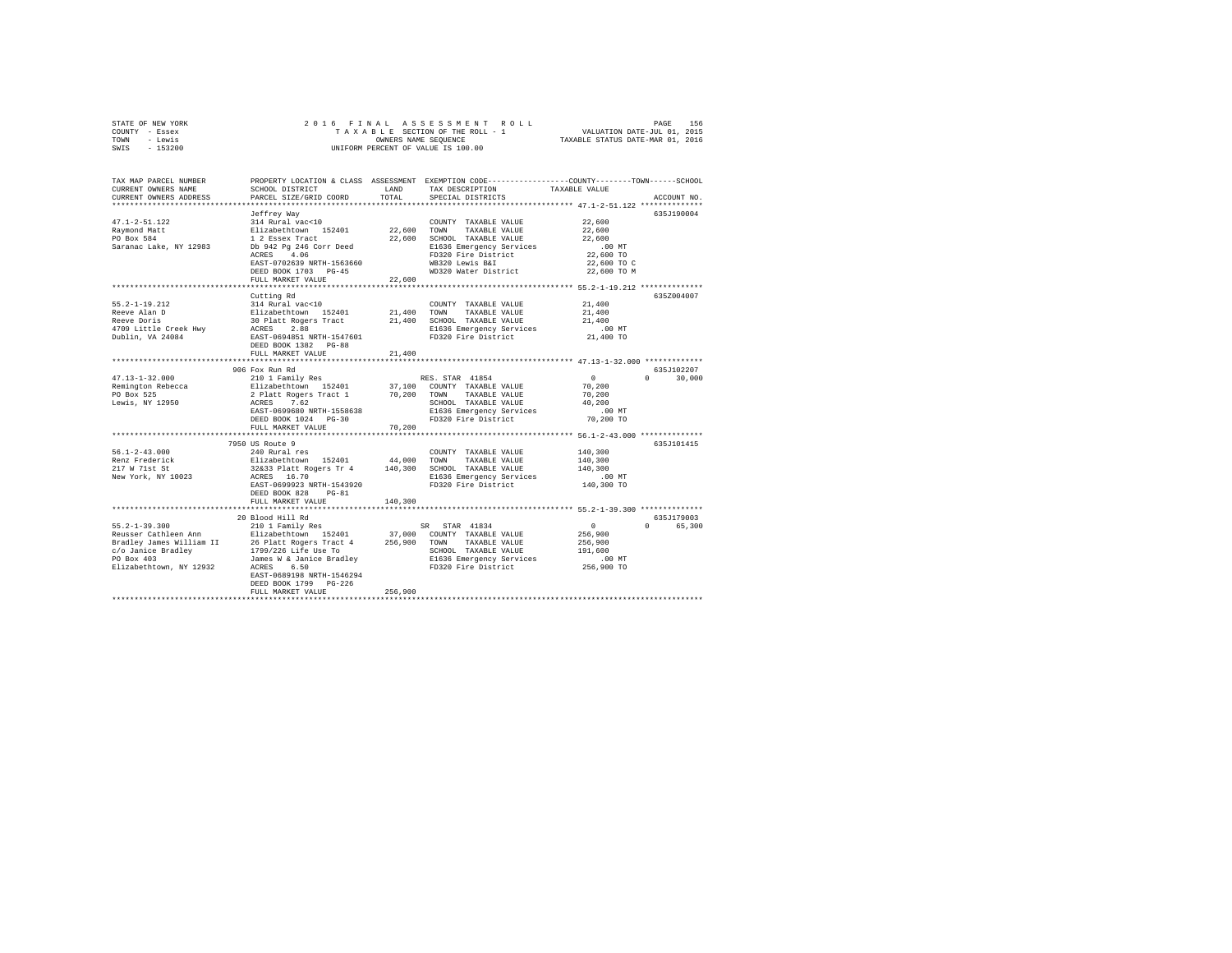| STATE OF NEW YORK | 2016 FINAL ASSESSMENT ROLL         | 156<br>PAGE                      |
|-------------------|------------------------------------|----------------------------------|
| COUNTY - Essex    | TAXABLE SECTION OF THE ROLL - 1    | VALUATION DATE-JUL 01, 2015      |
| TOWN<br>- Lewis   | OWNERS NAME SEOUENCE               | TAXABLE STATUS DATE-MAR 01, 2016 |
| $-153200$<br>SWIS | UNIFORM PERCENT OF VALUE IS 100.00 |                                  |

| TAX MAP PARCEL NUMBER<br>CURRENT OWNERS NAME<br>CURRENT OWNERS ADDRESS | SCHOOL DISTRICT<br>PARCEL SIZE/GRID COORD                                                            | LAND<br>TOTAL | PROPERTY LOCATION & CLASS ASSESSMENT EXEMPTION CODE---------------COUNTY-------TOWN-----SCHOOL<br>TAX DESCRIPTION<br>SPECIAL DISTRICTS | TAXABLE VALUE         | ACCOUNT NO.                     |
|------------------------------------------------------------------------|------------------------------------------------------------------------------------------------------|---------------|----------------------------------------------------------------------------------------------------------------------------------------|-----------------------|---------------------------------|
|                                                                        |                                                                                                      |               |                                                                                                                                        |                       |                                 |
|                                                                        | Jeffrey Way                                                                                          |               |                                                                                                                                        |                       | 635J190004                      |
| $47.1 - 2 - 51.122$                                                    | 314 Rural vac<10                                                                                     |               | COUNTY TAXABLE VALUE                                                                                                                   | 22,600                |                                 |
| Raymond Matt                                                           | Elizabethtown 152401                                                                                 | 22,600 TOWN   | TAXABLE VALUE                                                                                                                          | 22,600                |                                 |
| PO Box 584                                                             | 1 2 Essex Tract                                                                                      | 22,600        | SCHOOL TAXABLE VALUE                                                                                                                   | 22,600                |                                 |
| Saranac Lake, NY 12983                                                 | Db 942 Pg 246 Corr Deed<br>4.06                                                                      |               | E1636 Emergency Services<br>FD320 Fire District                                                                                        | $.00$ MT<br>22,600 TO |                                 |
|                                                                        | ACRES<br>EAST-0702639 NRTH-1563660                                                                   |               | WB320 Lewis B&I                                                                                                                        | 22,600 TO C           |                                 |
|                                                                        | DEED BOOK 1703 PG-45                                                                                 |               | WD320 Water District                                                                                                                   | 22,600 TO M           |                                 |
|                                                                        | FULL MARKET VALUE                                                                                    | 22,600        |                                                                                                                                        |                       |                                 |
|                                                                        |                                                                                                      |               |                                                                                                                                        |                       |                                 |
|                                                                        | Cutting Rd                                                                                           |               |                                                                                                                                        |                       | 635Z004007                      |
| $55.2 - 1 - 19.212$                                                    | 314 Rural vac<10                                                                                     |               | COUNTY TAXABLE VALUE                                                                                                                   | 21,400                |                                 |
| Reeve Alan D                                                           |                                                                                                      | 21,400        | TOWN<br>TAXABLE VALUE                                                                                                                  | 21,400                |                                 |
| Reeve Doris                                                            | Elizabethtown 152401<br>30 Platt Rogers Tract                                                        |               | 21,400 SCHOOL TAXABLE VALUE                                                                                                            | 21,400                |                                 |
| 4709 Little Creek Hwy                                                  |                                                                                                      |               | E1636 Emergency Services                                                                                                               | .00 MT                |                                 |
| Dublin, VA 24084                                                       | ACRES 2.88<br>EAST-0694851 NRTH-1547601                                                              |               | FD320 Fire District                                                                                                                    | 21,400 TO             |                                 |
|                                                                        | DEED BOOK 1382 PG-88                                                                                 |               |                                                                                                                                        |                       |                                 |
|                                                                        | FULL MARKET VALUE                                                                                    | 21,400        |                                                                                                                                        |                       |                                 |
|                                                                        | **********************                                                                               |               |                                                                                                                                        |                       |                                 |
|                                                                        | 906 Fox Run Rd                                                                                       |               |                                                                                                                                        |                       | 635J102207                      |
| $47.13 - 1 - 32.000$                                                   | 210 1 Family Res                                                                                     |               | RES. STAR 41854                                                                                                                        | $\sim$ 0              | $\Omega$<br>30,000              |
| Remington Rebecca                                                      | Elizabethtown 152401 37,100 COUNTY TAXABLE VALUE<br>2 Platt Rogers Tract 1 70,200 TOWN TAXABLE VALUE |               | 37,100 COUNTY TAXABLE VALUE                                                                                                            | 70,200                |                                 |
| PO Box 525                                                             |                                                                                                      |               |                                                                                                                                        | 70,200                |                                 |
| Lewis, NY 12950                                                        | ACRES 7.62                                                                                           |               | SCHOOL TAXABLE VALUE                                                                                                                   | 40.200                |                                 |
|                                                                        | EAST-0699680 NRTH-1558638                                                                            |               | E1636 Emergency Services                                                                                                               | $.00$ MT              |                                 |
|                                                                        | DEED BOOK 1024 PG-30                                                                                 |               | FD320 Fire District                                                                                                                    | 70,200 TO             |                                 |
|                                                                        | FULL MARKET VALUE                                                                                    | 70,200        |                                                                                                                                        |                       |                                 |
|                                                                        |                                                                                                      |               |                                                                                                                                        |                       |                                 |
|                                                                        | 7950 US Route 9                                                                                      |               |                                                                                                                                        |                       | 635J101415                      |
| $56.1 - 2 - 43.000$                                                    | 240 Rural res                                                                                        |               | COUNTY TAXABLE VALUE                                                                                                                   | 140,300               |                                 |
| Renz Frederick                                                         | Elizabethtown 152401                                                                                 |               | 44,000 TOWN TAXABLE VALUE                                                                                                              | 140,300               |                                 |
| 217 W 71st St                                                          | 32&33 Platt Rogers Tr 4 140,300                                                                      |               | SCHOOL TAXABLE VALUE                                                                                                                   | 140,300               |                                 |
| New York, NY 10023                                                     | ACRES 16.70                                                                                          |               | E1636 Emergency Services                                                                                                               | $.00$ MT              |                                 |
|                                                                        | EAST-0699923 NRTH-1543920<br>DEED BOOK 828 PG-81                                                     |               | FD320 Fire District                                                                                                                    | 140,300 TO            |                                 |
|                                                                        | FULL MARKET VALUE                                                                                    | 140,300       |                                                                                                                                        |                       |                                 |
|                                                                        |                                                                                                      |               | *********************************** 55.2-1-39.300 *************                                                                        |                       |                                 |
|                                                                        | 20 Blood Hill Rd                                                                                     |               |                                                                                                                                        |                       | 635J179003                      |
| $55.2 - 1 - 39.300$                                                    | 210 1 Family Res                                                                                     |               | STAR 41834<br>SR -                                                                                                                     | $\circ$               | $\Omega$ and $\Omega$<br>65,300 |
| Reusser Cathleen Ann                                                   | Elizabethtown 152401                                                                                 |               | 37,000 COUNTY TAXABLE VALUE                                                                                                            | 256,900               |                                 |
|                                                                        |                                                                                                      |               |                                                                                                                                        | 256,900               |                                 |
|                                                                        |                                                                                                      |               | SCHOOL TAXABLE VALUE                                                                                                                   | 191,600               |                                 |
| PO Box 403                                                             | James W & Janice Bradlev                                                                             |               | E1636 Emergency Services                                                                                                               | .00 MT                |                                 |
| Elizabethtown, NY 12932                                                | ACRES<br>6.50                                                                                        |               | FD320 Fire District                                                                                                                    | 256,900 TO            |                                 |
|                                                                        | EAST-0689198 NRTH-1546294                                                                            |               |                                                                                                                                        |                       |                                 |
|                                                                        | DEED BOOK 1799 PG-226                                                                                |               |                                                                                                                                        |                       |                                 |
|                                                                        | FULL MARKET VALUE                                                                                    | 256,900       |                                                                                                                                        |                       |                                 |
|                                                                        |                                                                                                      |               |                                                                                                                                        |                       |                                 |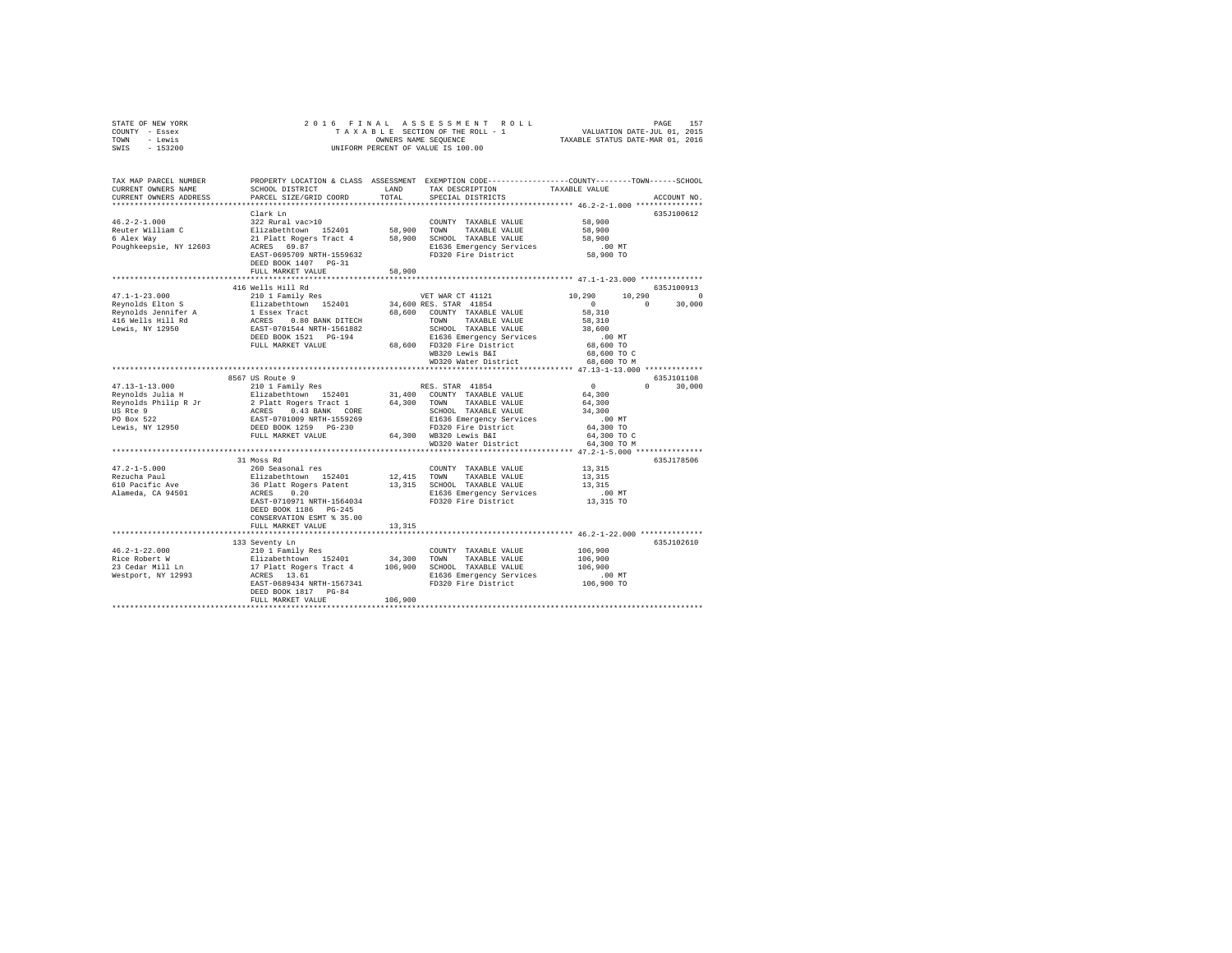| STATE OF NEW YORK | 2016 FINAL ASSESSMENT ROLL         | 157<br>PAGE                      |
|-------------------|------------------------------------|----------------------------------|
| COUNTY - Essex    | TAXABLE SECTION OF THE ROLL - 1    | VALUATION DATE-JUL 01, 2015      |
| TOWN<br>- Lewis   | OWNERS NAME SEOUENCE               | TAXABLE STATUS DATE-MAR 01, 2016 |
| $-153200$<br>SWIS | UNIFORM PERCENT OF VALUE IS 100.00 |                                  |

| TAX MAP PARCEL NUMBER<br>CURRENT OWNERS NAME<br>CURRENT OWNERS ADDRESS<br>*************************           | SCHOOL DISTRICT<br>PARCEL SIZE/GRID COORD                                                                                                                                              | LAND<br>TOTAL                | PROPERTY LOCATION & CLASS ASSESSMENT EXEMPTION CODE---------------COUNTY-------TOWN-----SCHOOL<br>TAX DESCRIPTION<br>SPECIAL DISTRICTS                                                                                   | TAXABLE VALUE                                                                                                 | ACCOUNT NO.                      |
|---------------------------------------------------------------------------------------------------------------|----------------------------------------------------------------------------------------------------------------------------------------------------------------------------------------|------------------------------|--------------------------------------------------------------------------------------------------------------------------------------------------------------------------------------------------------------------------|---------------------------------------------------------------------------------------------------------------|----------------------------------|
| $46.2 - 2 - 1.000$<br>Reuter William C<br>6 Alex Way<br>Poughkeepsie, NY 12603                                | Clark Ln<br>322 Rural vac>10<br>Elizabethtown 152401<br>21 Platt Rogers Tract 4<br>69.87<br>ACRES<br>EAST-0695709 NRTH-1559632<br>DEED BOOK 1407 PG-31<br>FULL MARKET VALUE            | 58,900<br>58,900<br>58,900   | COUNTY TAXABLE VALUE<br>TOWN<br>TAXABLE VALUE<br>SCHOOL TAXABLE VALUE<br>E1636 Emergency Services<br>FD320 Fire District                                                                                                 | 58,900<br>58,900<br>58,900<br>$.00$ MT<br>58,900 TO                                                           | 635.T100612                      |
|                                                                                                               | 416 Wells Hill Rd                                                                                                                                                                      |                              |                                                                                                                                                                                                                          |                                                                                                               | 635J100913                       |
| $47.1 - 1 - 23.000$<br>Reynolds Elton S<br>Reynolds Jennifer A<br>416 Wells Hill Rd<br>Lewis, NY 12950        | 210 1 Family Res<br>Elizabethtown 152401<br>1 Essex Tract<br>ACRES 0.80 BANK DITECH<br>EAST-0701544 NRTH-1561882<br>DEED BOOK 1521 PG-194<br>FULL MARKET VALUE                         | 68,600                       | VET WAR CT 41121<br>34,600 RES. STAR 41854<br>COUNTY TAXABLE VALUE<br>TAXABLE VALUE<br>TOWN<br>SCHOOL TAXABLE VALUE<br>E1636 Emergency Services<br>68,600 FD320 Fire District<br>WB320 Lewis B&I<br>WD320 Water District | 10,290<br>10,290<br>$\circ$<br>58,310<br>58,310<br>38,600<br>.00MT<br>68,600 TO<br>68,600 TO C<br>68,600 TO M | $\Omega$<br>30,000<br>$\Omega$   |
|                                                                                                               |                                                                                                                                                                                        |                              | ************************************** 47.13-1-13.000 *************                                                                                                                                                      |                                                                                                               |                                  |
| $47.13 - 1 - 13.000$<br>Reynolds Julia H<br>Reynolds Philip R Jr<br>US Rte 9<br>PO Box 522<br>Lewis, NY 12950 | 8567 US Route 9<br>210 1 Family Res<br>Elizabethtown 152401<br>2 Platt Rogers Tract<br>ACRES 0.43 BANK CORE<br>EAST-0701009 NRTH-1559269<br>DEED BOOK 1259 PG-230<br>FULL MARKET VALUE | 64,300                       | RES. STAR 41854<br>31,400 COUNTY TAXABLE VALUE<br>TAXABLE VALUE<br>TOWN<br>SCHOOL TAXABLE VALUE<br>E1636 Emergency Services<br>FD320 Fire District<br>64,300 WB320 Lewis B&I<br>WD320 Water District                     | $\sim$ 0<br>64,300<br>64,300<br>34,300<br>$.00$ MT<br>64,300 TO<br>64,300 TO C<br>64,300 TO M                 | 635J101108<br>$\Omega$<br>30,000 |
|                                                                                                               |                                                                                                                                                                                        |                              |                                                                                                                                                                                                                          |                                                                                                               |                                  |
| $47.2 - 1 - 5.000$<br>Rezucha Paul<br>Rezucha .u<br>610 Pacific Ave<br>Alameda, CA 94501                      | 31 Moss Rd<br>260 Seasonal res<br>Elizabethtown 152401<br>36 Platt Rogers Patent<br>0.20<br>ACRES<br>EAST-0710971 NRTH-1564034<br>DEED BOOK 1186 PG-245<br>CONSERVATION ESMT % 35.00   | 12,415                       | COUNTY TAXABLE VALUE<br>TOWN<br>TAXABLE VALUE<br>13,315 SCHOOL TAXABLE VALUE<br>E1636 Emergency Services<br>FD320 Fire District                                                                                          | 13,315<br>13,315<br>13,315<br>$.00$ MT<br>13,315 TO                                                           | 635J178506                       |
|                                                                                                               | FULL MARKET VALUE                                                                                                                                                                      | 13,315                       |                                                                                                                                                                                                                          |                                                                                                               |                                  |
| $46.2 - 1 - 22.000$<br>Rice Robert W<br>23 Cedar Mill Ln<br>Westport, NY 12993                                | 133 Seventy Ln<br>210 1 Family Res<br>Elizabethtown 152401<br>17 Platt Rogers Tract 4<br>ACRES 13.61<br>EAST-0689434 NRTH-1567341<br>DEED BOOK 1817 PG-84<br>FULL MARKET VALUE         | 34,300<br>106,900<br>106,900 | COUNTY TAXABLE VALUE<br>TOWN<br>TAXABLE VALUE<br>SCHOOL TAXABLE VALUE<br>E1636 Emergency Services<br>FD320 Fire District                                                                                                 | 106,900<br>106,900<br>106,900<br>.00MT<br>106,900 TO                                                          | 635J102610                       |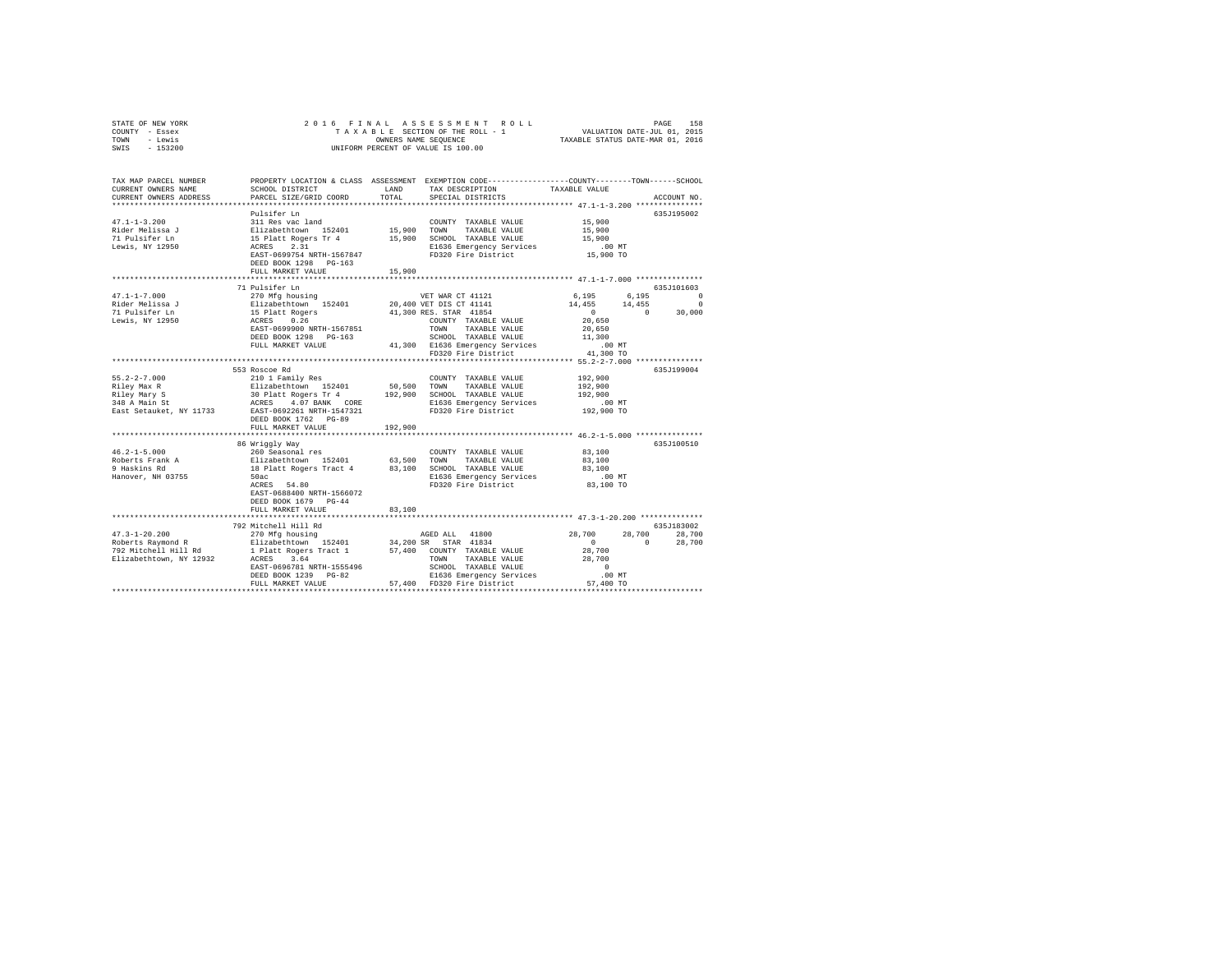| TOWN<br>- Lewis<br>SWIS<br>$-153200$                                                          | OWNERS NAME SEQUENCE<br>TAXABLE STATUS DATE-MAR 01, 2016<br>UNIFORM PERCENT OF VALUE IS 100.00                                                                                                                                                                                                                                       |                         |                                                                                                                                                                                                       |                                                                      |                                                                                                                                       |  |  |
|-----------------------------------------------------------------------------------------------|--------------------------------------------------------------------------------------------------------------------------------------------------------------------------------------------------------------------------------------------------------------------------------------------------------------------------------------|-------------------------|-------------------------------------------------------------------------------------------------------------------------------------------------------------------------------------------------------|----------------------------------------------------------------------|---------------------------------------------------------------------------------------------------------------------------------------|--|--|
| TAX MAP PARCEL NUMBER<br>CURRENT OWNERS NAME                                                  | PROPERTY LOCATION & CLASS ASSESSMENT EXEMPTION CODE---------------COUNTY-------TOWN------SCHOOL<br>SCHOOL DISTRICT                                                                                                                                                                                                                   |                         | LAND TAX DESCRIPTION                                                                                                                                                                                  | TAXABLE VALUE                                                        |                                                                                                                                       |  |  |
| CURRENT OWNERS ADDRESS                                                                        | PARCEL SIZE/GRID COORD                                                                                                                                                                                                                                                                                                               | TOTAL                   | SPECIAL DISTRICTS                                                                                                                                                                                     |                                                                      | ACCOUNT NO.                                                                                                                           |  |  |
| $47.1 - 1 - 3.200$<br>Rider Melissa J<br>71 Pulsifer Ln<br>Lewis, NY 12950                    | Pulsifer Ln<br>311 Res vac land<br>Elizabethtown 152401 15,900<br>15 Platt Rogers Tr 4 15,900<br>ACRES 2.31<br>EAST-0699754.0RTTH-1557847<br>EAST-0699754.0RTTH-1577847<br>DEED BOOK 1298 PG-163<br>FULL MARKET VALUE                                                                                                                | $15,900$ TOWN<br>15,900 | COUNTY TAXABLE VALUE<br>TAXABLE VALUE<br>15,900 SCHOOL TAXABLE VALUE<br>E1636 Emergency Services<br>FD320 Fire District                                                                               | 15,900<br>15,900<br>15,900<br>$.00$ MT<br>15,900 TO                  | 635J195002                                                                                                                            |  |  |
|                                                                                               |                                                                                                                                                                                                                                                                                                                                      | ***********             |                                                                                                                                                                                                       | *************** 47.1-1-7.000 ***************                         |                                                                                                                                       |  |  |
| $47.1 - 1 - 7.000$<br>Rider Melissa J<br>71 Pulsifer Ln<br>Lewis, NY 12950                    | 71 Pulsifer Ln<br>270 Mfg housing<br>Elizabethtown 152401<br>15 Platt Rogers<br>ACRES 0.26<br>EAST-0699900 NRTH-1567851<br>DEED BOOK 1298 PG-163<br>FULL MARKET VALUE                                                                                                                                                                |                         | VET WAR CT 41121<br>20,400 VET DIS CT 41141<br>41,300 RES. STAR 41854<br>COUNTY TAXABLE VALUE<br>TOWN TAXABLE VALUE<br>SCHOOL TAXABLE VALUE<br>41,300 E1636 Emergency Services<br>FD320 Fire District | 6,195<br>20,650<br>20,650<br>11,300<br>$.00$ MT<br>41,300 TO         | 635.7101603<br>6,195<br>$\begin{array}{cccc} 14\,,455 & \quad & 14\,,455 & \quad & 0 \\ 0 & \quad & 0 & \quad & 30\,,000 \end{array}$ |  |  |
|                                                                                               |                                                                                                                                                                                                                                                                                                                                      |                         | ************************************* 55.2-2-7.000 **************                                                                                                                                     |                                                                      |                                                                                                                                       |  |  |
| $55.2 - 2 - 7.000$<br>Riley Max R<br>Riley Mary S<br>348 A Main St<br>East Setauket, NY 11733 | 553 Roscoe Rd<br>NOTION TRIP (2010) IT ANNEL VALUE ELIZABLE VALUE AND TRIP (2010) TRIP (2010) TRIP (2010) IT AN INCIDENT (2010) IT ALLOWS (2010) IT AN INCIDENTIAL ACTION (2010) IT ALLOWS (2010) IT ALLOWS (2010) IT ALLOWS THAT THE BASING TH<br>DEED BOOK 1762 PG-89<br>FULL MARKET VALUE                                         | 192,900                 | E1636 Emergency Services<br>FD320 Fire District                                                                                                                                                       | 192,900<br>192,900<br>192,900<br>00 MT.<br>192,900 TO                | 635J199004                                                                                                                            |  |  |
|                                                                                               | 86 Wriggly Way                                                                                                                                                                                                                                                                                                                       |                         |                                                                                                                                                                                                       |                                                                      | 635J100510                                                                                                                            |  |  |
| $46.2 - 1 - 5.000$<br>Roberts Frank A<br>9 Haskins Rd<br>Hanover, NH 03755                    | 260 Seasonal res (COUNTY TAXABLE VALUE Elizabethtown 152401 63,500 TOWN TAXABLE VALUE 18 Platt Rogers Tract 4 83,100 SCHOOL TAXABLE VALUE 50ac<br>b0ac<br>ACRES 54.80<br>EAST-0688400 NRTH-1566072<br>DEED BOOK 1679 PG-44<br>FULL MARKET VALUE                                                                                      | 83,100                  | COUNTY TAXABLE VALUE 83,100<br>E1636 Emergency Services<br>FD320 Fire District                                                                                                                        | 83,100<br>83,100<br>.00MT<br>83,100 TO                               |                                                                                                                                       |  |  |
|                                                                                               |                                                                                                                                                                                                                                                                                                                                      |                         | ***************************** 47.3-1-20.200 *************                                                                                                                                             |                                                                      |                                                                                                                                       |  |  |
| $47.3 - 1 - 20.200$                                                                           | 792 Mitchell Hill Rd<br>270 Mfg housing<br>Roberts Raymond R 211 - 2008<br>2012 Michael Roberts Raymond R 211 - 2012 11: 2012 11: 2013 2014<br>2012 Michael Michael Raymond R 2112 2014<br>2012 Michael Roberts S.64 7000 7000 7000 78XABLE VALUE<br>1 Platt Rogers Tract<br>ACRES 3.64<br>EAST-0696781 NRTH-1555496<br>- 223 100-82 |                         | AGED ALL 41800<br>SCHOOL TAXABLE VALUE<br>E1636 Emergency Services                                                                                                                                    | 28,700<br>$\sim$ 0 $\sim$ 0<br>28,700<br>28,700<br>$\sim$ 0<br>.00MT | 635J183002<br>28,700<br>28,700<br>$\sim$ 0<br>28,700                                                                                  |  |  |
|                                                                                               | FULL MARKET VALUE                                                                                                                                                                                                                                                                                                                    |                         | 57,400 FD320 Fire District                                                                                                                                                                            | 57,400 TO                                                            |                                                                                                                                       |  |  |

STATE OF NEW YORK 2 0 1 6 F I N A L A S S E S S M E N T R O L L PAGE 158 COUNTY - Essex T A X A B L E SECTION OF THE ROLL - 1 VALUATION DATE-JUL 01, 2015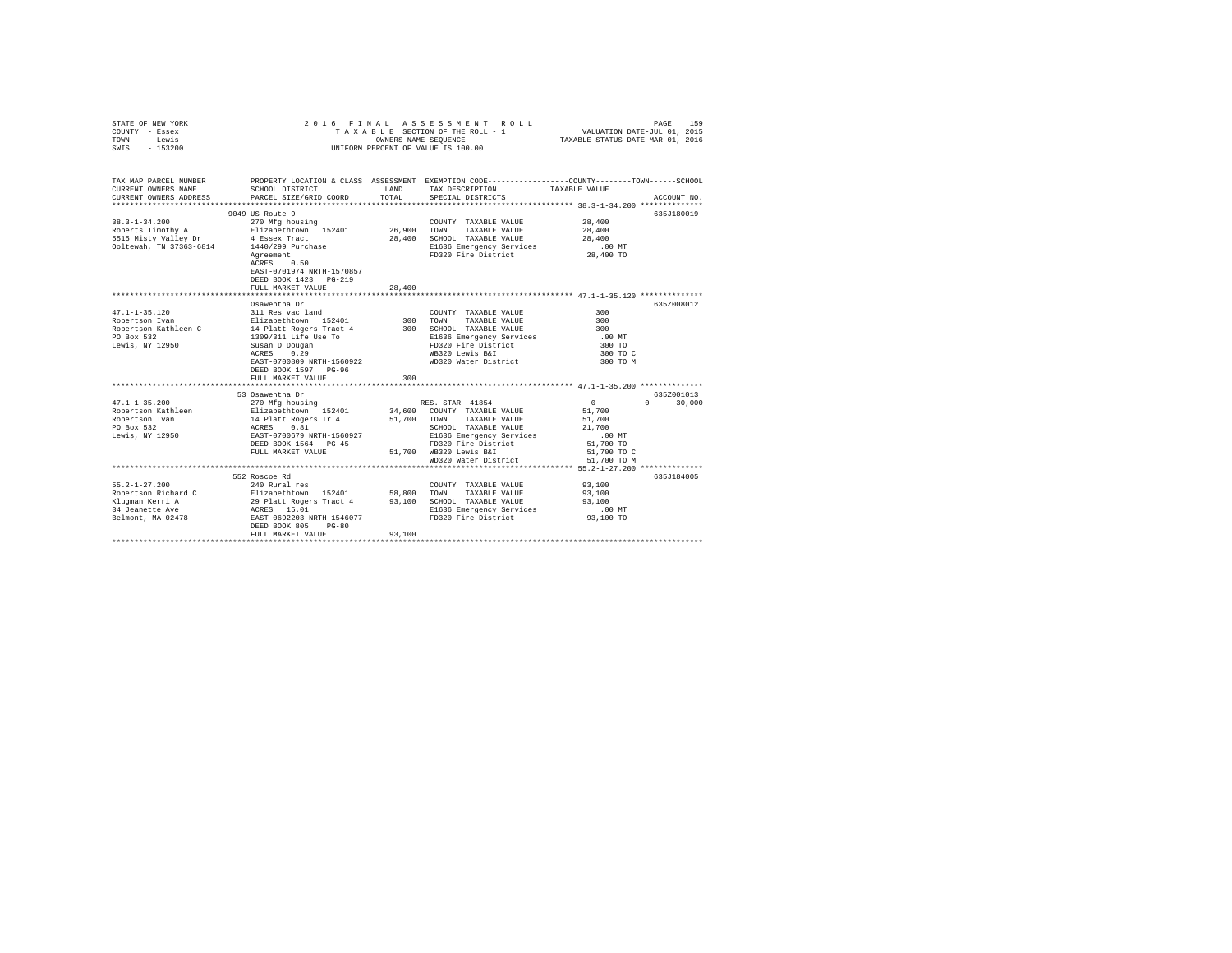| STATE OF NEW YORK<br>COUNTY - Essex<br>TOWN<br>- Lewis<br>SWIS - 153200 |                                                                                                                                   | OWNERS NAME SEOUENCE | 2016 FINAL ASSESSMENT ROLL<br>TAXABLE SECTION OF THE ROLL - 1<br>UNIFORM PERCENT OF VALUE IS 100.00 | PAGE<br>VALUATION DATE-JUL 01, 2015<br>TAXABLE STATUS DATE-MAR 01, 2016                                                               | 159 |
|-------------------------------------------------------------------------|-----------------------------------------------------------------------------------------------------------------------------------|----------------------|-----------------------------------------------------------------------------------------------------|---------------------------------------------------------------------------------------------------------------------------------------|-----|
| CURRENT OWNERS NAME                                                     | SCHOOL DISTRICT                                                                                                                   | LAND                 | TAX DESCRIPTION                                                                                     | TAX MAP PARCEL NUMBER PROPERTY LOCATION & CLASS ASSESSMENT EXEMPTION CODE--------------COUNTY-------TOWN------SCHOOL<br>TAXABLE VALUE |     |
| CURRENT OWNERS ADDRESS                                                  | PARCEL SIZE/GRID COORD                                                                                                            | TOTAL                | SPECIAL DISTRICTS                                                                                   | ACCOUNT NO.                                                                                                                           |     |
|                                                                         |                                                                                                                                   |                      |                                                                                                     |                                                                                                                                       |     |
|                                                                         | 9049 US Route 9                                                                                                                   |                      |                                                                                                     | 635J180019                                                                                                                            |     |
| $38.3 - 1 - 34.200$                                                     | 270 Mfg housing                                                                                                                   |                      | COUNTY TAXABLE VALUE                                                                                | 28,400                                                                                                                                |     |
| Roberts Timothy A Elizabethtown 152401                                  |                                                                                                                                   | 26,900               | TOWN<br>TAXABLE VALUE                                                                               | 28,400                                                                                                                                |     |
| 5515 Misty Valley Dr                                                    | 4 Essex Tract<br>1440/299 Purchase                                                                                                |                      | 28,400 SCHOOL TAXABLE VALUE                                                                         | 28,400                                                                                                                                |     |
| Ooltewah, TN 37363-6814                                                 |                                                                                                                                   |                      | E1636 Emergency Services                                                                            | $.00$ MT                                                                                                                              |     |
|                                                                         | Agreement<br>Agreement<br>ACRES 0.50<br>EAST-0701974 NRTH-1570857<br>DEED BOOK 1423 PG-219<br>FULL MARKET VALUE                   | 28,400               | FD320 Fire District                                                                                 | 28,400 TO                                                                                                                             |     |
|                                                                         |                                                                                                                                   |                      |                                                                                                     |                                                                                                                                       |     |
|                                                                         | Osawentha Dr                                                                                                                      |                      |                                                                                                     | 635Z008012                                                                                                                            |     |
| $47.1 - 1 - 35.120$                                                     | 311 Res vac land                                                                                                                  |                      | COUNTY TAXABLE VALUE                                                                                | 300                                                                                                                                   |     |
| Robertson Ivan                                                          | Elizabethtown 152401<br>14 Platt Rogers Tract 4                                                                                   | 300 TOWN             | TAXABLE VALUE                                                                                       | 300                                                                                                                                   |     |
| Robertson Kathleen C                                                    |                                                                                                                                   |                      | 300 SCHOOL TAXABLE VALUE                                                                            | 300                                                                                                                                   |     |
| PO Box 532                                                              | 1309/311 Life Use To                                                                                                              |                      | E1636 Emergency Services<br>FD320 Fire District                                                     | $.00$ MT                                                                                                                              |     |
| Lewis, NY 12950                                                         | Susan D Dougan                                                                                                                    |                      |                                                                                                     | 300 TO                                                                                                                                |     |
|                                                                         | ACRES 0.29                                                                                                                        |                      | WB320 Lewis B&I                                                                                     | 300 TO C                                                                                                                              |     |
|                                                                         | EAST-0700809 NRTH-1560922                                                                                                         |                      | WD320 Water District                                                                                | 300 TO M                                                                                                                              |     |
|                                                                         | DEED BOOK 1597 PG-96<br>FULL MARKET VALUE                                                                                         | 300                  |                                                                                                     |                                                                                                                                       |     |
|                                                                         |                                                                                                                                   |                      |                                                                                                     |                                                                                                                                       |     |
|                                                                         | 53 Osawentha Dr                                                                                                                   |                      |                                                                                                     | 6357001013                                                                                                                            |     |
| $47.1 - 1 - 35.200$                                                     | 270 Mfg housing                                                                                                                   |                      | RES. STAR 41854                                                                                     | $\sim$ 0<br>$0 \t 30.000$                                                                                                             |     |
| Robertson Kathleen                                                      | Elizabethtown 152401                                                                                                              |                      | 34,600 COUNTY TAXABLE VALUE                                                                         | 51,700                                                                                                                                |     |
| Robertson Ivan                                                          | 14 Platt Rogers Tr 4                                                                                                              |                      | 51,700 TOWN TAXABLE VALUE                                                                           | 51,700                                                                                                                                |     |
| PO Box 532                                                              | ACRES 0.81                                                                                                                        |                      | SCHOOL TAXABLE VALUE                                                                                | 21,700                                                                                                                                |     |
| Lewis, NY 12950                                                         | EAST-0700679 NRTH-1560927                                                                                                         |                      | E1636 Emergency Services                                                                            | $.00$ MT                                                                                                                              |     |
|                                                                         | DEED BOOK 1564 PG-45                                                                                                              |                      | FD320 Fire District                                                                                 | 51,700 TO                                                                                                                             |     |
|                                                                         | FULL MARKET VALUE                                                                                                                 |                      | 51,700 WB320 Lewis B&I                                                                              | 51,700 TO C                                                                                                                           |     |
|                                                                         |                                                                                                                                   |                      | WD320 Water District                                                                                | 51,700 TO M                                                                                                                           |     |
|                                                                         |                                                                                                                                   |                      |                                                                                                     |                                                                                                                                       |     |
|                                                                         | 552 Roscoe Rd                                                                                                                     |                      |                                                                                                     | 635J184005                                                                                                                            |     |
| $55.2 - 1 - 27.200$<br>Robertson Richard C                              | 240 Rural res                                                                                                                     |                      | COUNTY TAXABLE VALUE<br>TAXABLE VALUE                                                               | 93,100<br>93,100                                                                                                                      |     |
| Kluqman Kerri A                                                         | Elizabethtown 152401 58,800 TOWN<br>29 Platt Rogers Tract 4 93,100 SCHOOL<br>ACRES 15.01 BI636<br>EAST-0692203 NRTH-1546077 FD320 |                      | 93,100 SCHOOL TAXABLE VALUE                                                                         | 93,100                                                                                                                                |     |
| 34 Jeanette Ave                                                         |                                                                                                                                   |                      | E1636 Emergency Services                                                                            | $.00$ MT                                                                                                                              |     |
| Belmont, MA 02478                                                       |                                                                                                                                   |                      | FD320 Fire District                                                                                 | 93,100 TO                                                                                                                             |     |
|                                                                         | DEED BOOK 805<br>$PG - 80$                                                                                                        |                      |                                                                                                     |                                                                                                                                       |     |
|                                                                         | FULL MARKET VALUE                                                                                                                 | 93,100               |                                                                                                     |                                                                                                                                       |     |
|                                                                         |                                                                                                                                   |                      |                                                                                                     |                                                                                                                                       |     |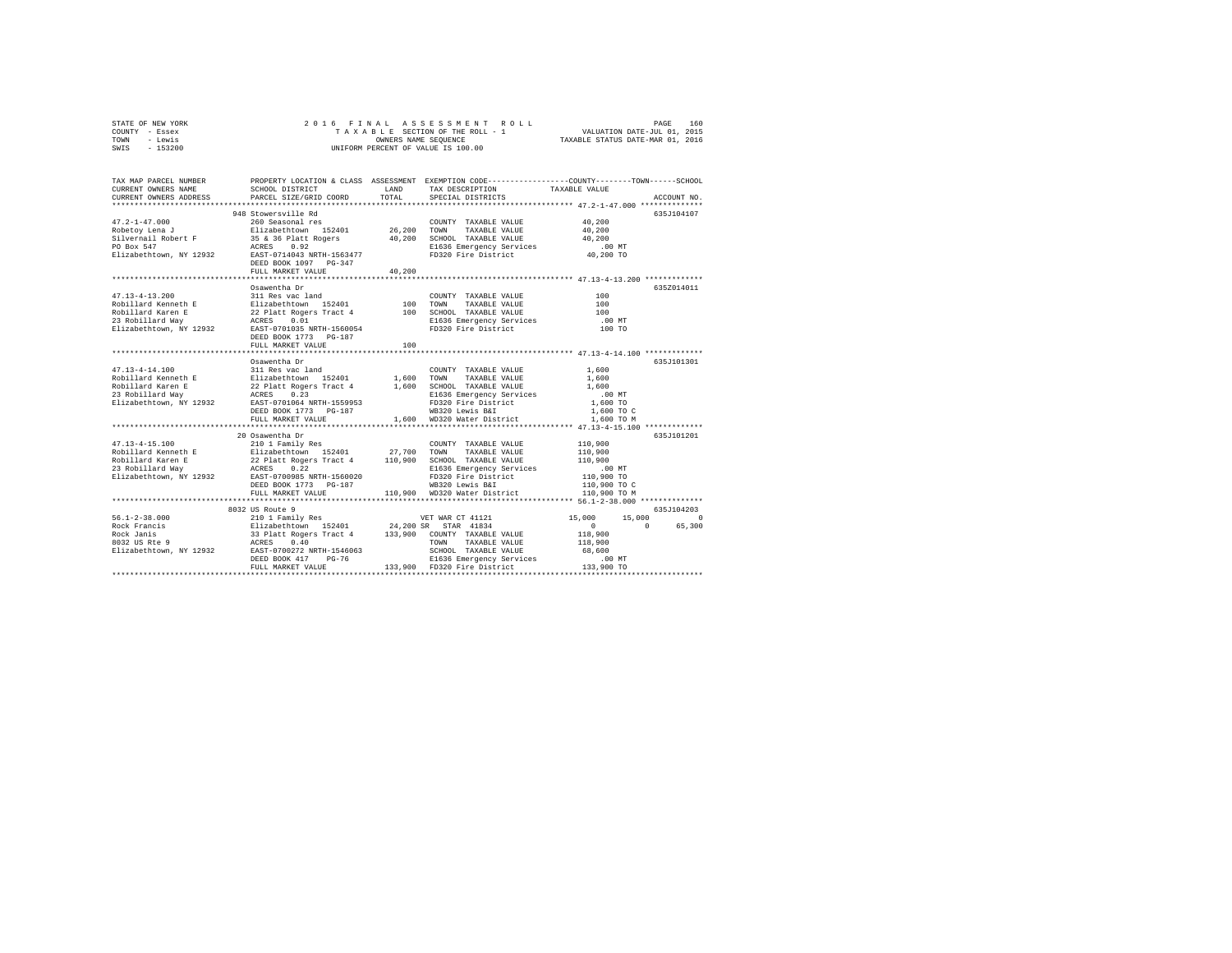| STATE OF NEW YORK | 2016 FINAL ASSESSMENT ROLL         | 160<br>PAGE                      |
|-------------------|------------------------------------|----------------------------------|
| COUNTY - Essex    | TAXABLE SECTION OF THE ROLL - 1    | VALUATION DATE-JUL 01, 2015      |
| TOWN<br>- Lewis   | OWNERS NAME SEOUENCE               | TAXABLE STATUS DATE-MAR 01, 2016 |
| $-153200$<br>SWIS | UNIFORM PERCENT OF VALUE IS 100.00 |                                  |

| TAX MAP PARCEL NUMBER<br>CURRENT OWNERS NAME<br>CURRENT OWNERS ADDRESS | SCHOOL DISTRICT<br>PARCEL SIZE/GRID COORD                                                                                                                                                                                               | LAND<br>TOTAL | TAX DESCRIPTION<br>SPECIAL DISTRICTS                                                                         | PROPERTY LOCATION & CLASS ASSESSMENT EXEMPTION CODE----------------COUNTY-------TOWN-----SCHOOL<br>TAXABLE VALUE<br>ACCOUNT NO. |
|------------------------------------------------------------------------|-----------------------------------------------------------------------------------------------------------------------------------------------------------------------------------------------------------------------------------------|---------------|--------------------------------------------------------------------------------------------------------------|---------------------------------------------------------------------------------------------------------------------------------|
|                                                                        |                                                                                                                                                                                                                                         |               |                                                                                                              |                                                                                                                                 |
|                                                                        | 948 Stowersville Rd                                                                                                                                                                                                                     |               |                                                                                                              | 635J104107                                                                                                                      |
|                                                                        |                                                                                                                                                                                                                                         |               | COUNTY TAXABLE VALUE                                                                                         | 40,200                                                                                                                          |
|                                                                        |                                                                                                                                                                                                                                         |               | TAXABLE VALUE 40,200                                                                                         |                                                                                                                                 |
|                                                                        |                                                                                                                                                                                                                                         |               |                                                                                                              | 40,200                                                                                                                          |
|                                                                        |                                                                                                                                                                                                                                         |               |                                                                                                              | $.00$ MT                                                                                                                        |
|                                                                        |                                                                                                                                                                                                                                         |               | 20,200 - DOM TAXABLE VALUE<br>40,200 SCHOOL TAXABLE VALUE<br>E1636 Emergency Services<br>FD320 Fire District | 40,200 TO                                                                                                                       |
|                                                                        |                                                                                                                                                                                                                                         |               |                                                                                                              |                                                                                                                                 |
|                                                                        | FULL MARKET VALUE                                                                                                                                                                                                                       | 40,200        |                                                                                                              |                                                                                                                                 |
|                                                                        |                                                                                                                                                                                                                                         |               |                                                                                                              |                                                                                                                                 |
|                                                                        | Osawentha Dr                                                                                                                                                                                                                            |               |                                                                                                              | 635Z014011                                                                                                                      |
|                                                                        |                                                                                                                                                                                                                                         |               |                                                                                                              |                                                                                                                                 |
|                                                                        |                                                                                                                                                                                                                                         |               |                                                                                                              |                                                                                                                                 |
|                                                                        |                                                                                                                                                                                                                                         |               |                                                                                                              |                                                                                                                                 |
|                                                                        |                                                                                                                                                                                                                                         |               |                                                                                                              | .00 MT                                                                                                                          |
|                                                                        |                                                                                                                                                                                                                                         |               |                                                                                                              | 100 TO                                                                                                                          |
|                                                                        | DEED BOOK 1773 PG-187                                                                                                                                                                                                                   |               |                                                                                                              |                                                                                                                                 |
|                                                                        | FULL MARKET VALUE                                                                                                                                                                                                                       | 100           |                                                                                                              |                                                                                                                                 |
|                                                                        |                                                                                                                                                                                                                                         |               |                                                                                                              |                                                                                                                                 |
|                                                                        |                                                                                                                                                                                                                                         |               |                                                                                                              | 635J101301                                                                                                                      |
|                                                                        |                                                                                                                                                                                                                                         |               |                                                                                                              |                                                                                                                                 |
|                                                                        |                                                                                                                                                                                                                                         |               |                                                                                                              |                                                                                                                                 |
|                                                                        |                                                                                                                                                                                                                                         |               |                                                                                                              |                                                                                                                                 |
|                                                                        |                                                                                                                                                                                                                                         |               |                                                                                                              |                                                                                                                                 |
|                                                                        |                                                                                                                                                                                                                                         |               |                                                                                                              |                                                                                                                                 |
|                                                                        |                                                                                                                                                                                                                                         |               |                                                                                                              | 1,600 TO C                                                                                                                      |
|                                                                        | FULL MARKET VALUE                                                                                                                                                                                                                       |               | 1,600 WD320 Water District                                                                                   | 1,600 TO M                                                                                                                      |
|                                                                        |                                                                                                                                                                                                                                         |               |                                                                                                              |                                                                                                                                 |
|                                                                        | 20 Osawentha Dr                                                                                                                                                                                                                         |               |                                                                                                              | 635J101201                                                                                                                      |
|                                                                        | 47.13-4-15.100<br>Rabillard Kenenth E 210 1 Family Res<br>Robillard Kenenth E 22 Platt Rogers Tract 4 110,900 SCHOOL TAXABLE VALUE<br>Robillard Karen E 22 Platt Rogers Tract 4 110,900 SCHOOL TAXABLE VALUE<br>23 Robillard Way<br>Riz |               |                                                                                                              | 110,900                                                                                                                         |
|                                                                        |                                                                                                                                                                                                                                         |               |                                                                                                              | 110,900                                                                                                                         |
|                                                                        |                                                                                                                                                                                                                                         |               |                                                                                                              | 110,900                                                                                                                         |
|                                                                        |                                                                                                                                                                                                                                         |               |                                                                                                              |                                                                                                                                 |
|                                                                        |                                                                                                                                                                                                                                         |               |                                                                                                              | 00 MT.<br>110,900 TO                                                                                                            |
|                                                                        |                                                                                                                                                                                                                                         |               |                                                                                                              | 110,900 TO C                                                                                                                    |
|                                                                        | FULL MARKET VALUE                                                                                                                                                                                                                       |               | 110,900 WD320 Water District                                                                                 | 110,900 TO M                                                                                                                    |
|                                                                        |                                                                                                                                                                                                                                         |               |                                                                                                              |                                                                                                                                 |
|                                                                        |                                                                                                                                                                                                                                         |               |                                                                                                              | 635J104203                                                                                                                      |
|                                                                        |                                                                                                                                                                                                                                         |               |                                                                                                              | 15,000<br>15,000<br>$\circ$                                                                                                     |
|                                                                        |                                                                                                                                                                                                                                         |               |                                                                                                              | 65,300<br>$\sim$<br>$\sim$ 0                                                                                                    |
|                                                                        |                                                                                                                                                                                                                                         |               |                                                                                                              | 118,900                                                                                                                         |
|                                                                        |                                                                                                                                                                                                                                         |               |                                                                                                              | 118,900                                                                                                                         |
|                                                                        |                                                                                                                                                                                                                                         |               |                                                                                                              | 68,600                                                                                                                          |
|                                                                        |                                                                                                                                                                                                                                         |               |                                                                                                              |                                                                                                                                 |
|                                                                        |                                                                                                                                                                                                                                         |               | E1636 Emergency Services 133,900 TD<br>FD320 Fire District 133,900 TO                                        |                                                                                                                                 |
|                                                                        |                                                                                                                                                                                                                                         |               |                                                                                                              |                                                                                                                                 |
|                                                                        |                                                                                                                                                                                                                                         |               |                                                                                                              |                                                                                                                                 |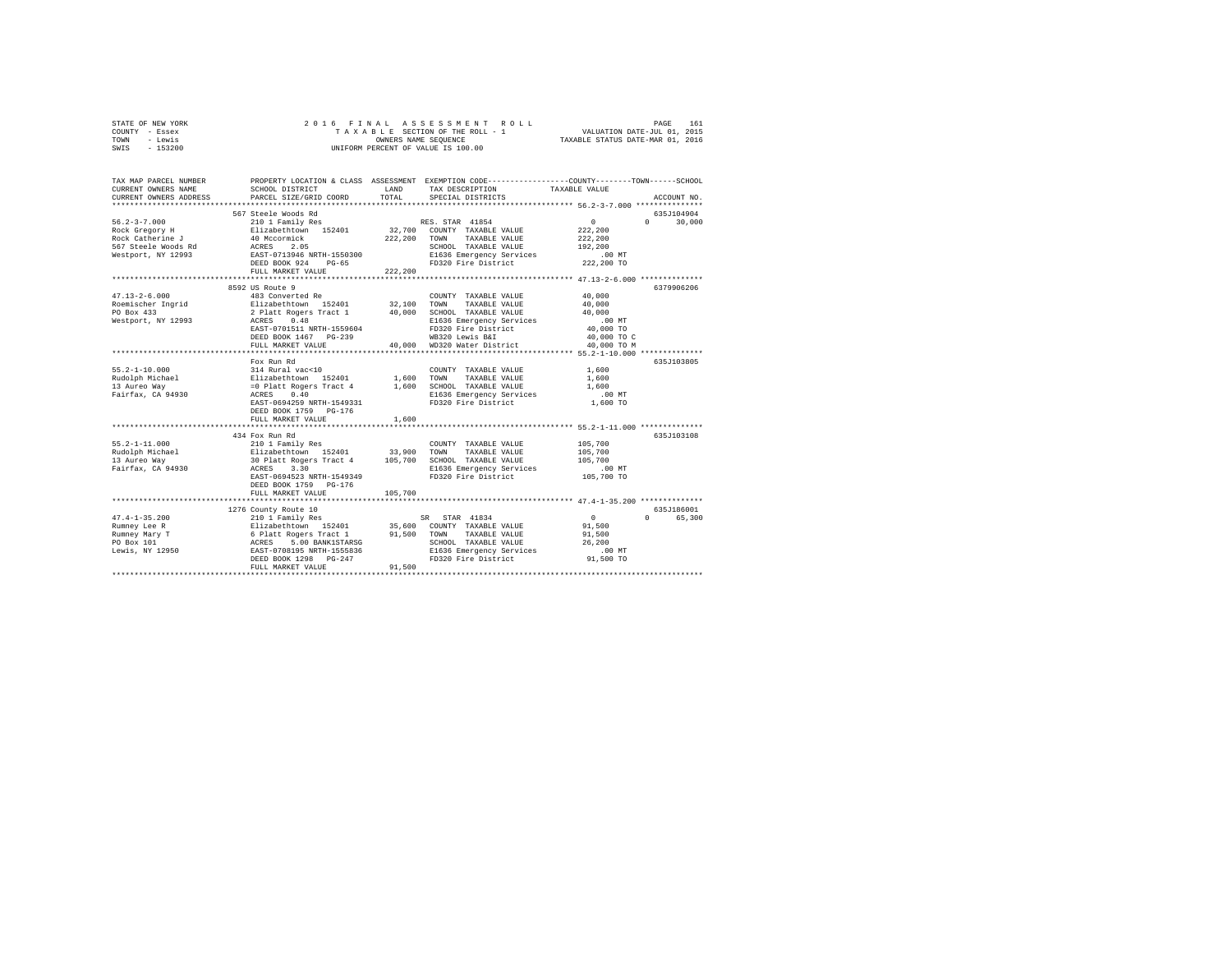| STATE OF NEW YORK | 2016 FINAL ASSESSMENT ROLL         | 161<br>PAGE                      |
|-------------------|------------------------------------|----------------------------------|
| COUNTY - Essex    | TAXABLE SECTION OF THE ROLL - 1    | VALUATION DATE-JUL 01, 2015      |
| - Lewis<br>TOWN   | OWNERS NAME SEOUENCE               | TAXABLE STATUS DATE-MAR 01, 2016 |
| $-153200$<br>SWIS | UNIFORM PERCENT OF VALUE IS 100.00 |                                  |
|                   |                                    |                                  |

| TAX MAP PARCEL NUMBER<br>CURRENT OWNERS NAME<br>CURRENT OWNERS ADDRESS | SCHOOL DISTRICT<br>PARCEL SIZE/GRID COORD | LAND<br>TOTAL | PROPERTY LOCATION & CLASS ASSESSMENT EXEMPTION CODE---------------COUNTY-------TOWN-----SCHOOL<br>TAX DESCRIPTION<br>SPECIAL DISTRICTS | TAXABLE VALUE                                         | ACCOUNT NO.        |
|------------------------------------------------------------------------|-------------------------------------------|---------------|----------------------------------------------------------------------------------------------------------------------------------------|-------------------------------------------------------|--------------------|
|                                                                        |                                           |               |                                                                                                                                        |                                                       |                    |
|                                                                        | 567 Steele Woods Rd                       |               |                                                                                                                                        |                                                       | 635J104904         |
| $56.2 - 3 - 7.000$                                                     | 210 1 Family Res                          |               | RES. STAR 41854                                                                                                                        | $\overline{0}$                                        | $\Omega$<br>30,000 |
| Rock Gregory H                                                         | Elizabethtown 152401                      | 32,700        | COUNTY TAXABLE VALUE                                                                                                                   | 222,200                                               |                    |
| Rock Catherine J                                                       | 40 Mccormick                              | 222,200       | TOWN<br>TAXABLE VALUE                                                                                                                  | 222,200                                               |                    |
| 567 Steele Woods Rd                                                    | 2.05<br>ACRES                             |               | SCHOOL TAXABLE VALUE                                                                                                                   | 192,200                                               |                    |
| Westport, NY 12993                                                     | EAST-0713946 NRTH-1550300                 |               | E1636 Emergency Services                                                                                                               | $.00$ MT                                              |                    |
|                                                                        | DEED BOOK 924<br>$PG-65$                  |               | FD320 Fire District                                                                                                                    | 222,200 TO                                            |                    |
|                                                                        | FULL MARKET VALUE                         | 222,200       |                                                                                                                                        |                                                       |                    |
|                                                                        | ************************                  |               |                                                                                                                                        | *********************** 47.13-2-6.000 ************    |                    |
|                                                                        | 8592 US Route 9                           |               |                                                                                                                                        |                                                       | 6379906206         |
| $47.13 - 2 - 6.000$                                                    | 483 Converted Re                          |               | COUNTY TAXABLE VALUE                                                                                                                   | 40,000                                                |                    |
| Roemischer Ingrid                                                      | Elizabethtown 152401                      | 32,100        | TOWN<br>TAXABLE VALUE                                                                                                                  | 40,000                                                |                    |
| PO Box 433                                                             | 2 Platt Rogers Tract 1                    | 40,000        | SCHOOL TAXABLE VALUE                                                                                                                   | 40,000                                                |                    |
| Westport, NY 12993                                                     | 0.48<br>ACRES                             |               | E1636 Emergency Services                                                                                                               | .00MT                                                 |                    |
|                                                                        | EAST-0701511 NRTH-1559604                 |               | FD320 Fire District                                                                                                                    | 40,000 TO                                             |                    |
|                                                                        | DEED BOOK 1467 PG-239                     |               | WB320 Lewis B&I                                                                                                                        | 40,000 TO C                                           |                    |
|                                                                        | FULL MARKET VALUE                         | 40,000        | WD320 Water District                                                                                                                   | 40,000 TO M                                           |                    |
|                                                                        |                                           |               |                                                                                                                                        | *************************** 55.2-1-10.000 *********** |                    |
|                                                                        | Fox Run Rd                                |               |                                                                                                                                        |                                                       | 635J103805         |
| $55.2 - 1 - 10.000$                                                    | 314 Rural vac<10                          |               | COUNTY TAXABLE VALUE                                                                                                                   | 1,600                                                 |                    |
| Rudolph Michael                                                        | Elizabethtown 152401                      | 1,600 TOWN    | TAXABLE VALUE                                                                                                                          | 1,600                                                 |                    |
| 13 Aureo Way                                                           | =0 Platt Rogers Tract 4<br>ACRES 0.40     | 1,600         | SCHOOL TAXABLE VALUE                                                                                                                   | 1,600                                                 |                    |
| Fairfax, CA 94930                                                      |                                           |               | E1636 Emergency Services                                                                                                               | $.00$ MT                                              |                    |
|                                                                        | EAST-0694259 NRTH-1549331                 |               | FD320 Fire District                                                                                                                    | 1,600 TO                                              |                    |
|                                                                        | DEED BOOK 1759 PG-176                     |               |                                                                                                                                        |                                                       |                    |
|                                                                        | FULL MARKET VALUE                         | 1,600         |                                                                                                                                        |                                                       |                    |
|                                                                        |                                           |               |                                                                                                                                        |                                                       |                    |
|                                                                        | 434 Fox Run Rd                            |               |                                                                                                                                        |                                                       | 635J103108         |
| $55.2 - 1 - 11.000$                                                    | 210 1 Family Res                          |               | COUNTY TAXABLE VALUE                                                                                                                   | 105,700                                               |                    |
| Rudolph Michael                                                        | Elizabethtown 152401                      | 33,900        | TOWN<br>TAXABLE VALUE                                                                                                                  | 105,700                                               |                    |
| 13 Aureo Way                                                           | 30 Platt Rogers Tract 4                   | 105,700       | SCHOOL TAXABLE VALUE                                                                                                                   | 105,700                                               |                    |
| Fairfax, CA 94930                                                      | 3.30<br>ACRES                             |               | E1636 Emergency Services                                                                                                               | $.00$ MT                                              |                    |
|                                                                        | EAST-0694523 NRTH-1549349                 |               | FD320 Fire District                                                                                                                    | 105,700 TO                                            |                    |
|                                                                        | DEED BOOK 1759 PG-176                     |               |                                                                                                                                        |                                                       |                    |
|                                                                        | FULL MARKET VALUE                         | 105,700       |                                                                                                                                        |                                                       |                    |
|                                                                        |                                           |               |                                                                                                                                        |                                                       |                    |
|                                                                        | 1276 County Route 10                      |               |                                                                                                                                        |                                                       | 635J186001         |
| $47.4 - 1 - 35.200$                                                    | 210 1 Family Res                          |               | STAR 41834<br>SR.                                                                                                                      | $\circ$                                               | 65,300<br>$\cap$   |
| Rumney Lee R                                                           |                                           |               | 35,600 COUNTY TAXABLE VALUE                                                                                                            | 91,500                                                |                    |
| Rumney Mary T                                                          |                                           | 91,500        | TAXABLE VALUE<br>TOWN                                                                                                                  | 91,500                                                |                    |
| PO Box 101                                                             |                                           |               | SCHOOL TAXABLE VALUE                                                                                                                   | 26,200                                                |                    |
| Lewis, NY 12950                                                        |                                           |               | E1636 Emergency Services                                                                                                               | $.00$ MT                                              |                    |
|                                                                        | DEED BOOK 1298 PG-247                     |               | FD320 Fire District                                                                                                                    | 91,500 TO                                             |                    |
|                                                                        | FULL MARKET VALUE                         | 91,500        |                                                                                                                                        |                                                       |                    |
|                                                                        |                                           |               |                                                                                                                                        |                                                       |                    |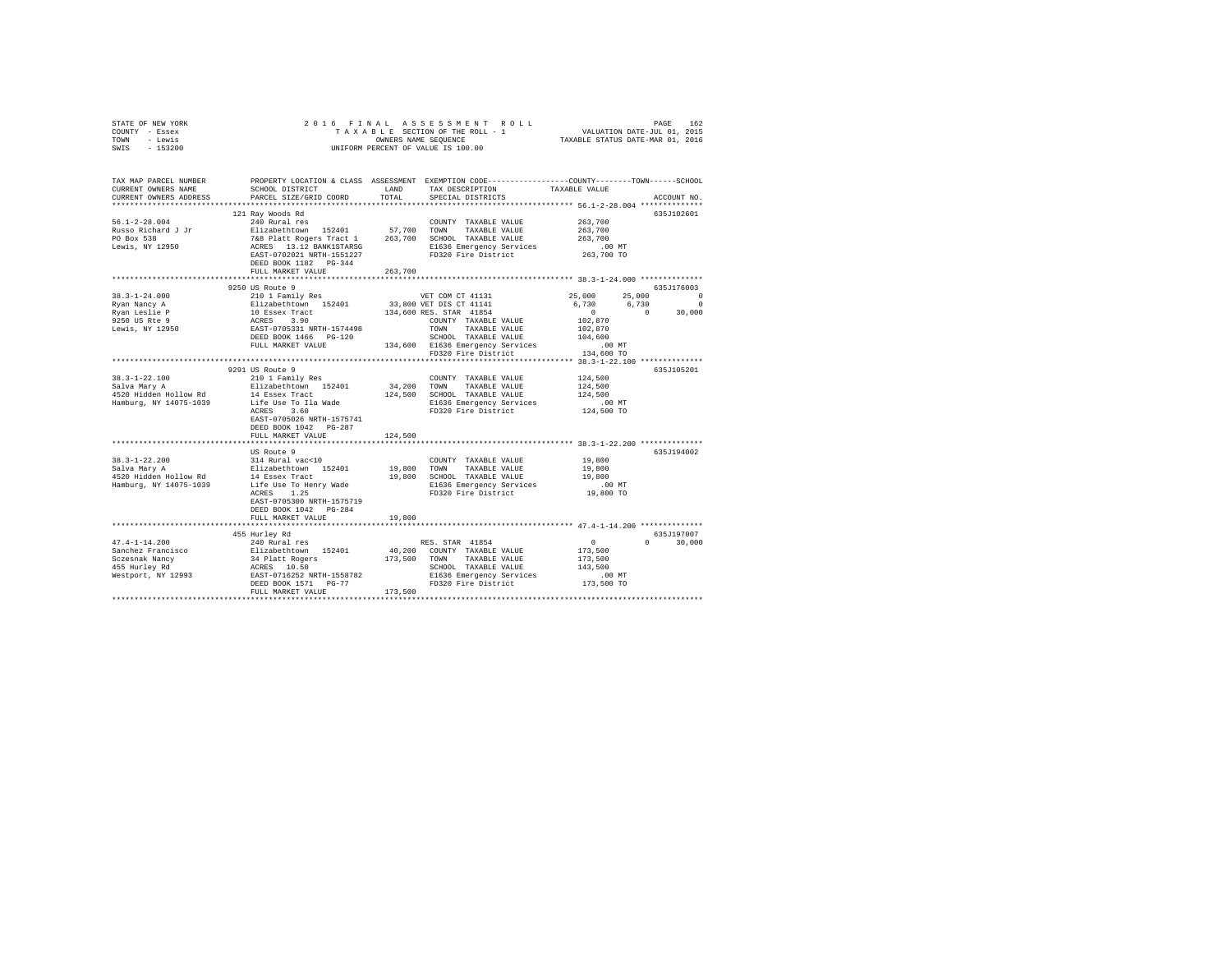| STATE OF NEW YORK<br>COUNTY - Essex<br>TOWN - Lewis<br>SWIS - 153200                                                                        |                                                                                                                                                                                                                                                                                                                                                                                                                          |         | OWNERS NAME SEQUENCE<br>UNIFORM PERCENT OF VALUE IS 100.00 |                                                          |                             |
|---------------------------------------------------------------------------------------------------------------------------------------------|--------------------------------------------------------------------------------------------------------------------------------------------------------------------------------------------------------------------------------------------------------------------------------------------------------------------------------------------------------------------------------------------------------------------------|---------|------------------------------------------------------------|----------------------------------------------------------|-----------------------------|
|                                                                                                                                             |                                                                                                                                                                                                                                                                                                                                                                                                                          |         |                                                            |                                                          |                             |
| TAX MAP PARCEL NUMBER PROPERTY LOCATION & CLASS ASSESSMENT EXEMPTION CODE--------------COUNTY-------TOWN------SCHOOL<br>CURRENT OWNERS NAME | SCHOOL DISTRICT                                                                                                                                                                                                                                                                                                                                                                                                          | LAND    | TAX DESCRIPTION                                            | TAXABLE VALUE                                            |                             |
| CURRENT OWNERS ADDRESS                                                                                                                      | PARCEL SIZE/GRID COORD                                                                                                                                                                                                                                                                                                                                                                                                   | TOTAL   | SPECIAL DISTRICTS                                          |                                                          | ACCOUNT NO.                 |
|                                                                                                                                             |                                                                                                                                                                                                                                                                                                                                                                                                                          |         |                                                            |                                                          |                             |
|                                                                                                                                             | 121 Ray Woods Rd                                                                                                                                                                                                                                                                                                                                                                                                         |         |                                                            |                                                          | 635J102601                  |
| $56.1 - 2 - 28.004$                                                                                                                         | 240 Rural res                                                                                                                                                                                                                                                                                                                                                                                                            |         | COUNTY TAXABLE VALUE                                       | 263,700                                                  |                             |
|                                                                                                                                             |                                                                                                                                                                                                                                                                                                                                                                                                                          |         |                                                            | 263,700                                                  |                             |
| Russo Richard J Jr<br>PO Box 538<br>Lewis, NY 12950                                                                                         |                                                                                                                                                                                                                                                                                                                                                                                                                          |         |                                                            | 263,700                                                  |                             |
|                                                                                                                                             |                                                                                                                                                                                                                                                                                                                                                                                                                          |         | FD320 Fire District                                        | 00 MT.<br>263,700 TO                                     |                             |
|                                                                                                                                             | DEED BOOK 1182    PG-344                                                                                                                                                                                                                                                                                                                                                                                                 |         |                                                            |                                                          |                             |
|                                                                                                                                             | FULL MARKET VALUE 263.700                                                                                                                                                                                                                                                                                                                                                                                                |         |                                                            |                                                          |                             |
|                                                                                                                                             |                                                                                                                                                                                                                                                                                                                                                                                                                          |         |                                                            |                                                          |                             |
|                                                                                                                                             | 9250 US Route 9                                                                                                                                                                                                                                                                                                                                                                                                          |         |                                                            |                                                          | 635J176003                  |
| $38.3 - 1 - 24.000$                                                                                                                         | 210 1 Family Res                                                                                                                                                                                                                                                                                                                                                                                                         |         | VET COM CT 41131                                           | 25,000                                                   | 25,000 0                    |
| Ryan Nancy A                                                                                                                                |                                                                                                                                                                                                                                                                                                                                                                                                                          |         |                                                            |                                                          | 6,730 6,730 0               |
| Ryan Leslie P<br>9250 US Rte 9                                                                                                              |                                                                                                                                                                                                                                                                                                                                                                                                                          |         |                                                            | 102,870                                                  | $0 \t 0 \t 30,000$          |
| Lewis, NY 12950                                                                                                                             |                                                                                                                                                                                                                                                                                                                                                                                                                          |         |                                                            | 102,870                                                  |                             |
|                                                                                                                                             | $\begin{tabular}{c c c} \multicolumn{1}{c}{E11} \multicolumn{1}{c}{E11} \multicolumn{1}{c}{E11} \multicolumn{1}{c}{E11} \multicolumn{1}{c}{E11} \multicolumn{1}{c}{E11} \multicolumn{1}{c}{E11} \multicolumn{1}{c}{E11} \multicolumn{1}{c}{E11} \multicolumn{1}{c}{E11} \multicolumn{1}{c}{E11} \multicolumn{1}{c}{E11} \multicolumn{1}{c}{E11} \multicolumn{1}{c}{E11} \multicolumn{1}{c}{E11} \multicolumn{1}{c}{E11}$ |         |                                                            | 104,600                                                  |                             |
|                                                                                                                                             | FULL MARKET VALUE                                                                                                                                                                                                                                                                                                                                                                                                        |         |                                                            |                                                          |                             |
|                                                                                                                                             |                                                                                                                                                                                                                                                                                                                                                                                                                          |         | 134,600 E1636 Emergency Services<br>FD320 Fire District    | .00 MT<br>134,600 TO                                     |                             |
|                                                                                                                                             |                                                                                                                                                                                                                                                                                                                                                                                                                          |         |                                                            |                                                          |                             |
|                                                                                                                                             | 9291 US Route 9                                                                                                                                                                                                                                                                                                                                                                                                          |         |                                                            |                                                          | 635J105201                  |
| 38.3-1-22.100                                                                                                                               | 210 1 Family Res                                                                                                                                                                                                                                                                                                                                                                                                         |         | COUNTY TAXABLE VALUE                                       | 124,500                                                  |                             |
| Salva Mary A<br>4520 Hidden Hollow Rd                                                                                                       | Elizabethtown 152401<br>14 Essex Tract                                                                                                                                                                                                                                                                                                                                                                                   |         | 34,200 TOWN TAXABLE VALUE<br>124,500 SCHOOL TAXABLE VALUE  | 124,500<br>124,500                                       |                             |
| Hamburg, NY 14075-1039                                                                                                                      | Life Use To Ila Wade                                                                                                                                                                                                                                                                                                                                                                                                     |         | E1636 Emergency Services                                   | .00 MT                                                   |                             |
|                                                                                                                                             | ACRES 3.60                                                                                                                                                                                                                                                                                                                                                                                                               |         | FD320 Fire District                                        | 124,500 TO                                               |                             |
|                                                                                                                                             | EAST-0705026 NRTH-1575741                                                                                                                                                                                                                                                                                                                                                                                                |         |                                                            |                                                          |                             |
|                                                                                                                                             | DEED BOOK 1042    PG-287                                                                                                                                                                                                                                                                                                                                                                                                 |         |                                                            |                                                          |                             |
|                                                                                                                                             | FULL MARKET VALUE                                                                                                                                                                                                                                                                                                                                                                                                        | 124,500 |                                                            |                                                          |                             |
|                                                                                                                                             |                                                                                                                                                                                                                                                                                                                                                                                                                          |         |                                                            |                                                          |                             |
|                                                                                                                                             | US Route 9                                                                                                                                                                                                                                                                                                                                                                                                               |         |                                                            | 19,800                                                   | 635J194002                  |
|                                                                                                                                             |                                                                                                                                                                                                                                                                                                                                                                                                                          |         |                                                            | 19,800                                                   |                             |
|                                                                                                                                             |                                                                                                                                                                                                                                                                                                                                                                                                                          |         |                                                            | 19,800                                                   |                             |
|                                                                                                                                             |                                                                                                                                                                                                                                                                                                                                                                                                                          |         |                                                            | .00MT                                                    |                             |
|                                                                                                                                             | ACRES 1.25                                                                                                                                                                                                                                                                                                                                                                                                               |         | FD320 Fire District                                        | 19,800 TO                                                |                             |
|                                                                                                                                             | EAST-0705300 NRTH-1575719                                                                                                                                                                                                                                                                                                                                                                                                |         |                                                            |                                                          |                             |
|                                                                                                                                             | DEED BOOK 1042 PG-284                                                                                                                                                                                                                                                                                                                                                                                                    |         |                                                            |                                                          |                             |
|                                                                                                                                             | FULL MARKET VALUE                                                                                                                                                                                                                                                                                                                                                                                                        | 19,800  |                                                            |                                                          |                             |
|                                                                                                                                             |                                                                                                                                                                                                                                                                                                                                                                                                                          |         |                                                            |                                                          |                             |
| $47.4 - 1 - 14.200$                                                                                                                         | 455 Hurley Rd<br>240 Rural res                                                                                                                                                                                                                                                                                                                                                                                           |         | RES. STAR 41854                                            |                                                          | 635J197007<br>$0 \t 30.000$ |
|                                                                                                                                             |                                                                                                                                                                                                                                                                                                                                                                                                                          |         |                                                            | $\begin{smallmatrix}&&0\\&&173\,,\,500\end{smallmatrix}$ |                             |
|                                                                                                                                             |                                                                                                                                                                                                                                                                                                                                                                                                                          |         |                                                            | 173,500                                                  |                             |
|                                                                                                                                             |                                                                                                                                                                                                                                                                                                                                                                                                                          |         | SCHOOL TAXABLE VALUE                                       | 143,500                                                  |                             |
|                                                                                                                                             |                                                                                                                                                                                                                                                                                                                                                                                                                          |         |                                                            | .00 MT                                                   |                             |
|                                                                                                                                             |                                                                                                                                                                                                                                                                                                                                                                                                                          |         |                                                            | 173,500 TO                                               |                             |
|                                                                                                                                             | FULL MARKET VALUE                                                                                                                                                                                                                                                                                                                                                                                                        | 173,500 |                                                            |                                                          |                             |
|                                                                                                                                             |                                                                                                                                                                                                                                                                                                                                                                                                                          |         |                                                            |                                                          |                             |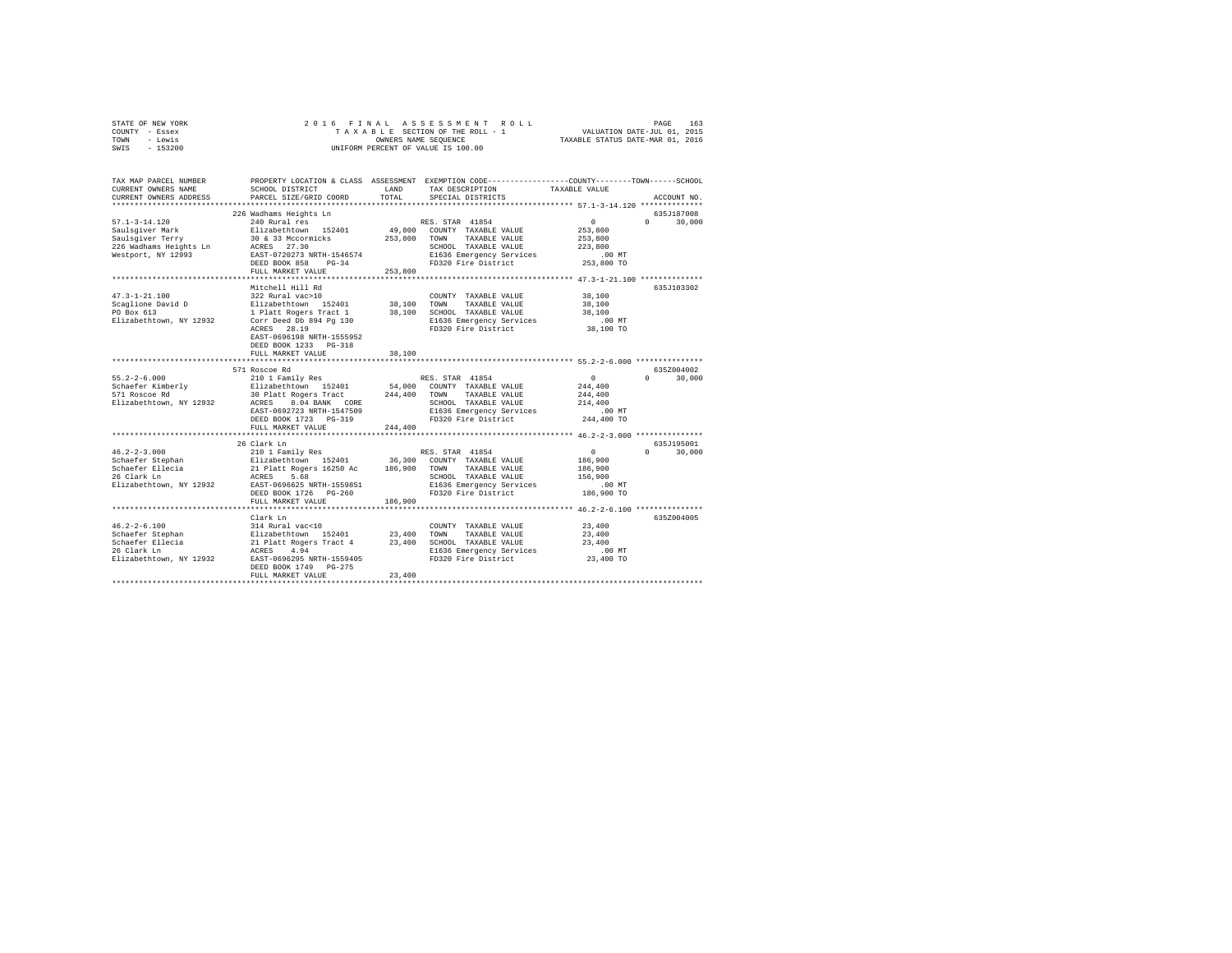| STATE OF NEW YORK | 2016 FINAL ASSESSMENT ROLL         | 163<br>PAGE                      |
|-------------------|------------------------------------|----------------------------------|
| COUNTY - Essex    | TAXABLE SECTION OF THE ROLL - 1    | VALUATION DATE-JUL 01, 2015      |
| TOWN<br>- Lewis   | OWNERS NAME SEOUENCE               | TAXABLE STATUS DATE-MAR 01, 2016 |
| $-153200$<br>SWIS | UNIFORM PERCENT OF VALUE IS 100.00 |                                  |

| TAX MAP PARCEL NUMBER<br>CURRENT OWNERS NAME<br>CURRENT OWNERS ADDRESS                                                                                                                                                                                                                                                                                                                                                                    | SCHOOL DISTRICT<br>PARCEL SIZE/GRID COORD                                                                      | LAND<br>TOTAL | PROPERTY LOCATION & CLASS ASSESSMENT EXEMPTION CODE----------------COUNTY-------TOWN-----SCHOOL<br>TAX DESCRIPTION<br>SPECIAL DISTRICTS | TAXABLE VALUE                             | ACCOUNT NO.                     |
|-------------------------------------------------------------------------------------------------------------------------------------------------------------------------------------------------------------------------------------------------------------------------------------------------------------------------------------------------------------------------------------------------------------------------------------------|----------------------------------------------------------------------------------------------------------------|---------------|-----------------------------------------------------------------------------------------------------------------------------------------|-------------------------------------------|---------------------------------|
|                                                                                                                                                                                                                                                                                                                                                                                                                                           |                                                                                                                |               |                                                                                                                                         |                                           |                                 |
|                                                                                                                                                                                                                                                                                                                                                                                                                                           | 226 Wadhams Heights Ln                                                                                         |               |                                                                                                                                         |                                           | 635J187008                      |
| $57.1 - 3 - 14.120$                                                                                                                                                                                                                                                                                                                                                                                                                       | 240 Rural res                                                                                                  |               | RES. STAR 41854                                                                                                                         | $\sim$ 0                                  | $\Omega$ and $\Omega$<br>30,000 |
|                                                                                                                                                                                                                                                                                                                                                                                                                                           |                                                                                                                |               | 49,800 COUNTY TAXABLE VALUE                                                                                                             | 253,800                                   |                                 |
|                                                                                                                                                                                                                                                                                                                                                                                                                                           |                                                                                                                | 253,800       | TAXABLE VALUE<br>TOWN                                                                                                                   | 253,800                                   |                                 |
| 226 Wadhams Heights Ln                                                                                                                                                                                                                                                                                                                                                                                                                    | ACRES 27.30<br>EAST-0720273 NRTH-1546574                                                                       |               | SCHOOL TAXABLE VALUE                                                                                                                    | 223,800                                   |                                 |
| Westport, NY 12993                                                                                                                                                                                                                                                                                                                                                                                                                        |                                                                                                                |               | E1636 Emergency Services                                                                                                                | .00 MT                                    |                                 |
|                                                                                                                                                                                                                                                                                                                                                                                                                                           | DEED BOOK 858<br>$PG-34$                                                                                       |               | FD320 Fire District                                                                                                                     | 253,800 TO                                |                                 |
|                                                                                                                                                                                                                                                                                                                                                                                                                                           | FULL MARKET VALUE                                                                                              | 253,800       |                                                                                                                                         |                                           |                                 |
|                                                                                                                                                                                                                                                                                                                                                                                                                                           |                                                                                                                |               |                                                                                                                                         |                                           |                                 |
|                                                                                                                                                                                                                                                                                                                                                                                                                                           | Mitchell Hill Rd                                                                                               |               |                                                                                                                                         |                                           | 635J103302                      |
| $47.3 - 1 - 21.100$                                                                                                                                                                                                                                                                                                                                                                                                                       | 322 Rural vac>10<br>Elizabethtown 152401 38,100                                                                |               | COUNTY TAXABLE VALUE                                                                                                                    | 38,100                                    |                                 |
| Scaglione David D                                                                                                                                                                                                                                                                                                                                                                                                                         |                                                                                                                |               | TOWN<br>TAXABLE VALUE                                                                                                                   | 38,100                                    |                                 |
| PO Box 613                                                                                                                                                                                                                                                                                                                                                                                                                                | 1 Platt Rogers Tract 1 38,100<br>Corr Deed Db 894 Pg 130                                                       |               | SCHOOL TAXABLE VALUE                                                                                                                    | 38,100                                    |                                 |
| Elizabethtown, NY 12932                                                                                                                                                                                                                                                                                                                                                                                                                   | ACRES 28.19                                                                                                    |               | E1636 Emergency Services<br>FD320 Fire District                                                                                         | $.00$ MT<br>38,100 TO                     |                                 |
|                                                                                                                                                                                                                                                                                                                                                                                                                                           | EAST-0696198 NRTH-1555952                                                                                      |               |                                                                                                                                         |                                           |                                 |
|                                                                                                                                                                                                                                                                                                                                                                                                                                           | DEED BOOK 1233 PG-318                                                                                          |               |                                                                                                                                         |                                           |                                 |
|                                                                                                                                                                                                                                                                                                                                                                                                                                           | FULL MARKET VALUE                                                                                              | 38,100        |                                                                                                                                         |                                           |                                 |
|                                                                                                                                                                                                                                                                                                                                                                                                                                           |                                                                                                                |               |                                                                                                                                         |                                           |                                 |
|                                                                                                                                                                                                                                                                                                                                                                                                                                           | 571 Roscoe Rd                                                                                                  |               |                                                                                                                                         |                                           | 635Z004002                      |
| $55.2 - 2 - 6.000$                                                                                                                                                                                                                                                                                                                                                                                                                        | 210 1 Family Res                                                                                               |               | RES. STAR 41854                                                                                                                         | $\Omega$                                  | $\Omega$ and $\Omega$<br>30,000 |
| Schaefer Kimberly                                                                                                                                                                                                                                                                                                                                                                                                                         | Elizabethtown 152401                                                                                           |               | 54,000 COUNTY TAXABLE VALUE                                                                                                             | 244,400                                   |                                 |
| 571 Roscoe Rd                                                                                                                                                                                                                                                                                                                                                                                                                             | 30 Platt Rogers Tract 244,400                                                                                  |               | TOWN TAXABLE VALUE                                                                                                                      | 244,400                                   |                                 |
| Elizabethtown, NY 12932                                                                                                                                                                                                                                                                                                                                                                                                                   | <b>ACRES</b><br>8.04 BANK CORE                                                                                 |               | SCHOOL TAXABLE VALUE                                                                                                                    | 214,400                                   |                                 |
|                                                                                                                                                                                                                                                                                                                                                                                                                                           | EAST-0692723 NRTH-1547509                                                                                      |               | E1636 Emergency Services                                                                                                                | $.00$ MT                                  |                                 |
|                                                                                                                                                                                                                                                                                                                                                                                                                                           | DEED BOOK 1723 PG-319                                                                                          |               | FD320 Fire District                                                                                                                     | 244,400 TO                                |                                 |
|                                                                                                                                                                                                                                                                                                                                                                                                                                           | FULL MARKET VALUE                                                                                              | 244,400       |                                                                                                                                         |                                           |                                 |
|                                                                                                                                                                                                                                                                                                                                                                                                                                           | 26 Clark Ln                                                                                                    |               |                                                                                                                                         |                                           | 635J195001                      |
| $46.2 - 2 - 3.000$                                                                                                                                                                                                                                                                                                                                                                                                                        | 210 1 Family Res                                                                                               |               | RES. STAR 41854                                                                                                                         | 0                                         | $\Omega$<br>30,000              |
|                                                                                                                                                                                                                                                                                                                                                                                                                                           |                                                                                                                |               | 36,300 COUNTY TAXABLE VALUE                                                                                                             | 186,900                                   |                                 |
|                                                                                                                                                                                                                                                                                                                                                                                                                                           |                                                                                                                |               | TAXABLE VALUE<br>TOWN                                                                                                                   | 186,900                                   |                                 |
| Schaefer Stephan<br>Schaefer Ellecia<br>26 Clark Ln                                                                                                                                                                                                                                                                                                                                                                                       | Elizabethtown 152401 36,300<br>21 Platt Rogers 16250 Ac 186,900<br>ACRES 5.68                                  |               | SCHOOL TAXABLE VALUE                                                                                                                    | 156,900                                   |                                 |
| Elizabethtown, NY 12932                                                                                                                                                                                                                                                                                                                                                                                                                   | EAST-0696625 NRTH-1559851                                                                                      |               | E1636 Emergency Services                                                                                                                | $.00$ MT                                  |                                 |
|                                                                                                                                                                                                                                                                                                                                                                                                                                           | DEED BOOK 1726 PG-260                                                                                          |               | FD320 Fire District                                                                                                                     | 186,900 TO                                |                                 |
|                                                                                                                                                                                                                                                                                                                                                                                                                                           | FULL MARKET VALUE                                                                                              | 186,900       |                                                                                                                                         |                                           |                                 |
|                                                                                                                                                                                                                                                                                                                                                                                                                                           |                                                                                                                |               |                                                                                                                                         | ************* 46.2-2-6.100 ************** |                                 |
|                                                                                                                                                                                                                                                                                                                                                                                                                                           | Clark Ln                                                                                                       |               |                                                                                                                                         |                                           | 635Z004005                      |
| $46.2 - 2 - 6.100$                                                                                                                                                                                                                                                                                                                                                                                                                        |                                                                                                                |               | COUNTY TAXABLE VALUE                                                                                                                    | 23,400                                    |                                 |
| Schaefer Stephan                                                                                                                                                                                                                                                                                                                                                                                                                          |                                                                                                                | 23,400        | TOWN<br>TAXABLE VALUE                                                                                                                   | 23,400                                    |                                 |
| Schaefer Ellecia<br>$\mathbb{E}[\mathbf{a}^{\top}]=\mathbb{E}[\mathbf{a}^{\top}]=\mathbb{E}[\mathbf{a}^{\top}]=\mathbb{E}[\mathbf{a}^{\top}]=\mathbb{E}[\mathbf{a}^{\top}]=\mathbb{E}[\mathbf{a}^{\top}]=\mathbb{E}[\mathbf{a}^{\top}]=\mathbb{E}[\mathbf{a}^{\top}]=\mathbb{E}[\mathbf{a}^{\top}]=\mathbb{E}[\mathbf{a}^{\top}]=\mathbb{E}[\mathbf{a}^{\top}]=\mathbb{E}[\mathbf{a}^{\top}]=\mathbb{E}[\mathbf{a}^{\top}$<br>26 Clark Ln |                                                                                                                | 23,400        | SCHOOL TAXABLE VALUE<br>E1636 Emergency Services                                                                                        | 23,400                                    |                                 |
| Elizabethtown, NY 12932                                                                                                                                                                                                                                                                                                                                                                                                                   | 314 Rural vac<10<br>Elizabethtown 152401<br>21 Platt Rogers Tract 4<br>ACRES 4.94<br>EAST-0696295 NRTH-1559405 |               | FD320 Fire District                                                                                                                     | $.00$ MT<br>23,400 TO                     |                                 |
|                                                                                                                                                                                                                                                                                                                                                                                                                                           | DEED BOOK 1749 PG-275                                                                                          |               |                                                                                                                                         |                                           |                                 |
|                                                                                                                                                                                                                                                                                                                                                                                                                                           | FULL MARKET VALUE                                                                                              | 23,400        |                                                                                                                                         |                                           |                                 |
|                                                                                                                                                                                                                                                                                                                                                                                                                                           |                                                                                                                |               |                                                                                                                                         |                                           |                                 |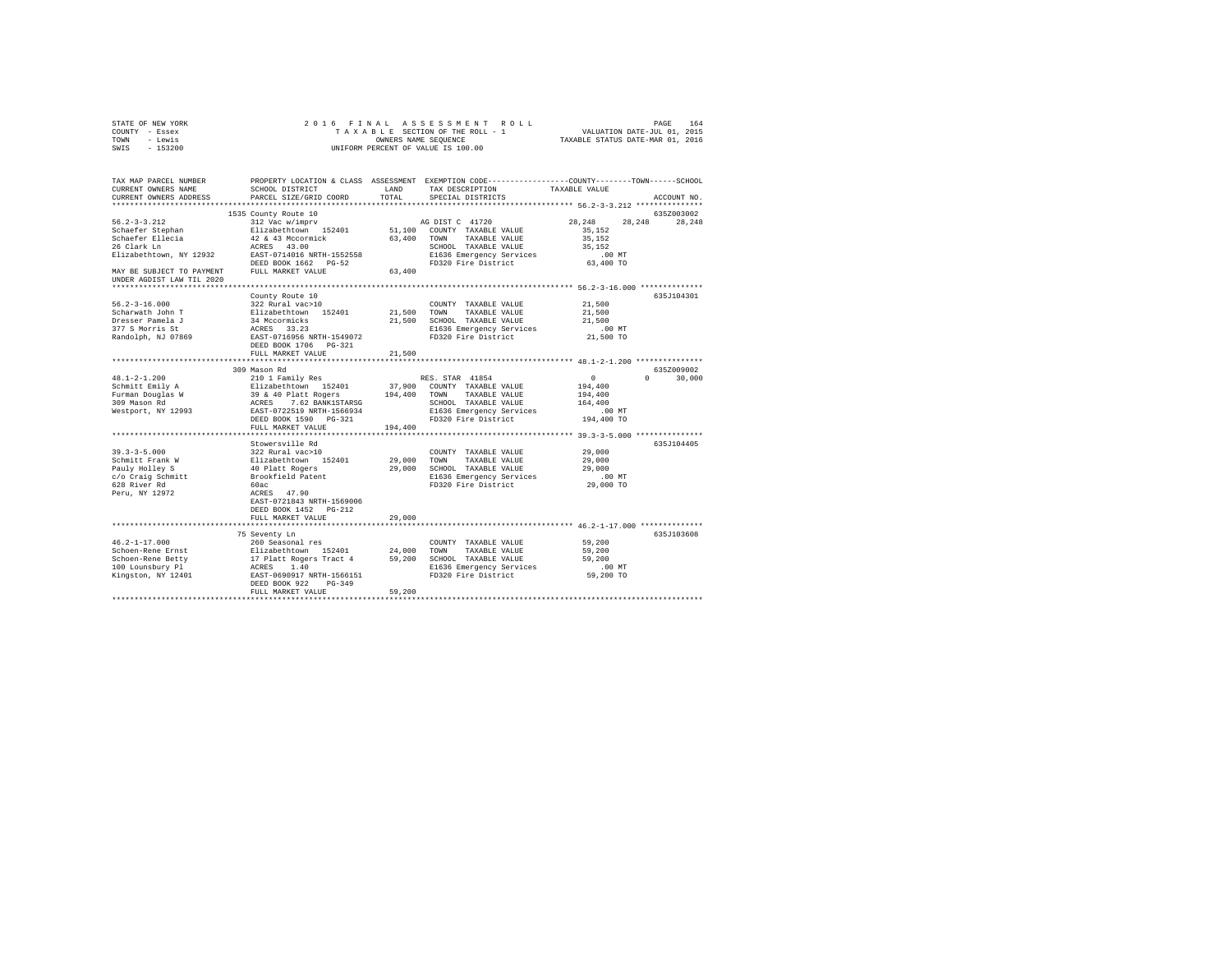| STATE OF NEW YORK                                                                                                    | 2016 FINAL                                                                        |         |                                                                                                                                                                                                                                   |                     |                  |
|----------------------------------------------------------------------------------------------------------------------|-----------------------------------------------------------------------------------|---------|-----------------------------------------------------------------------------------------------------------------------------------------------------------------------------------------------------------------------------------|---------------------|------------------|
| COUNTY - Essex                                                                                                       |                                                                                   |         |                                                                                                                                                                                                                                   |                     |                  |
| TOWN - Lewis                                                                                                         |                                                                                   |         | OWNERS NAME SEQUENCE                                                                                                                                                                                                              |                     |                  |
| SWIS - 153200                                                                                                        |                                                                                   |         | UNIFORM PERCENT OF VALUE IS 100.00                                                                                                                                                                                                |                     |                  |
|                                                                                                                      |                                                                                   |         |                                                                                                                                                                                                                                   |                     |                  |
| TAX MAP PARCEL NUMBER PROPERTY LOCATION & CLASS ASSESSMENT EXEMPTION CODE--------------COUNTY-------TOWN------SCHOOL |                                                                                   |         |                                                                                                                                                                                                                                   |                     |                  |
| CURRENT OWNERS NAME                                                                                                  | SCHOOL DISTRICT LAND                                                              |         | TAX DESCRIPTION TAXABLE VALUE                                                                                                                                                                                                     |                     |                  |
|                                                                                                                      |                                                                                   | TOTAL   |                                                                                                                                                                                                                                   |                     |                  |
| CURRENT OWNERS ADDRESS                                                                                               | PARCEL SIZE/GRID COORD                                                            |         | SPECIAL DISTRICTS                                                                                                                                                                                                                 |                     | ACCOUNT NO.      |
|                                                                                                                      |                                                                                   |         |                                                                                                                                                                                                                                   |                     |                  |
|                                                                                                                      | 1535 County Route 10                                                              |         |                                                                                                                                                                                                                                   |                     | 635Z003002       |
| $56.2 - 3 - 3.212$                                                                                                   | 312 Vac w/imprv                                                                   |         | AG DIST C 41720                                                                                                                                                                                                                   | 28,248              | 28,248<br>28,248 |
|                                                                                                                      | Elizabethtown 152401                                                              |         | 51,100 COUNTY TAXABLE VALUE                                                                                                                                                                                                       | 35,152              |                  |
|                                                                                                                      |                                                                                   |         |                                                                                                                                                                                                                                   | 35.152              |                  |
| Schaefer Stephan<br>Schaefer Ellecia<br>26 Clark Ln                                                                  |                                                                                   |         |                                                                                                                                                                                                                                   | 35,152              |                  |
|                                                                                                                      |                                                                                   |         | E1636 Emergency Services<br>FD320 Fire District                                                                                                                                                                                   | $.00$ MT            |                  |
|                                                                                                                      |                                                                                   |         |                                                                                                                                                                                                                                   | 63,400 TO           |                  |
|                                                                                                                      |                                                                                   |         |                                                                                                                                                                                                                                   |                     |                  |
| UNDER AGDIST LAW TIL 2020                                                                                            |                                                                                   |         |                                                                                                                                                                                                                                   |                     |                  |
|                                                                                                                      |                                                                                   |         |                                                                                                                                                                                                                                   |                     |                  |
|                                                                                                                      | County Route 10                                                                   |         |                                                                                                                                                                                                                                   |                     | 635J104301       |
| $56.2 - 3 - 16.000$                                                                                                  | 322 Rural vac>10                                                                  |         | COUNTY TAXABLE VALUE 21,500                                                                                                                                                                                                       |                     |                  |
|                                                                                                                      |                                                                                   |         |                                                                                                                                                                                                                                   |                     |                  |
| Scharwath John T                                                                                                     |                                                                                   |         | 21,500 TOWN TAXABLE VALUE                                                                                                                                                                                                         | 21,500              |                  |
|                                                                                                                      |                                                                                   |         | 21,500 SCHOOL TAXABLE VALUE<br>E1636 Emergency Services                                                                                                                                                                           | 21,500              |                  |
| Scharwath John T<br>Dresser Pamela J<br>377 S Morris St<br>Randolph, NJ 07869                                        | Elizabethtown 152401<br>34 Mccormicks<br>ACRES 33.23<br>EAST-0716956 NRTH-1549072 |         |                                                                                                                                                                                                                                   | $.00$ MT            |                  |
|                                                                                                                      |                                                                                   |         | FD320 Fire District                                                                                                                                                                                                               | 21,500 TO           |                  |
|                                                                                                                      | DEED BOOK 1706 PG-321                                                             |         |                                                                                                                                                                                                                                   |                     |                  |
|                                                                                                                      | FULL MARKET VALUE                                                                 | 21,500  |                                                                                                                                                                                                                                   |                     |                  |
|                                                                                                                      |                                                                                   |         |                                                                                                                                                                                                                                   |                     |                  |
|                                                                                                                      | 309 Mason Rd                                                                      |         |                                                                                                                                                                                                                                   |                     | 635Z009002       |
| $48.1 - 2 - 1.200$                                                                                                   | 210 1 Family Res                                                                  |         | RES. STAR 41854                                                                                                                                                                                                                   | $\sim$ 0            | $0 \t 30,000$    |
|                                                                                                                      |                                                                                   |         |                                                                                                                                                                                                                                   | 194,400             |                  |
|                                                                                                                      |                                                                                   |         |                                                                                                                                                                                                                                   | 194,400             |                  |
|                                                                                                                      |                                                                                   |         |                                                                                                                                                                                                                                   | 164,400             |                  |
| Schmitt Emily A<br>Furman Douglas W<br>309 Mason Rd<br>Westport, NY 12993                                            |                                                                                   |         | E1636 Emergency Services                                                                                                                                                                                                          | $.00$ MT            |                  |
|                                                                                                                      | DEED BOOK 1590 PG-321                                                             |         | FD320 Fire District                                                                                                                                                                                                               | 194,400 TO          |                  |
|                                                                                                                      | FULL MARKET VALUE                                                                 | 194,400 |                                                                                                                                                                                                                                   |                     |                  |
|                                                                                                                      |                                                                                   |         |                                                                                                                                                                                                                                   |                     |                  |
|                                                                                                                      | Stowersville Rd                                                                   |         |                                                                                                                                                                                                                                   |                     | 635J104405       |
|                                                                                                                      |                                                                                   |         | COUNTY TAXABLE VALUE                                                                                                                                                                                                              | 29,000              |                  |
|                                                                                                                      |                                                                                   |         | 29,000 TOWN TAXABLE VALUE                                                                                                                                                                                                         | 29,000              |                  |
|                                                                                                                      |                                                                                   |         | 29,000 SCHOOL TAXABLE VALUE                                                                                                                                                                                                       | 29,000              |                  |
|                                                                                                                      |                                                                                   |         |                                                                                                                                                                                                                                   |                     |                  |
|                                                                                                                      |                                                                                   |         | E1636 Emergency Services<br>FD320 Fire District                                                                                                                                                                                   | 00 MT.<br>29,000 TO |                  |
|                                                                                                                      |                                                                                   |         |                                                                                                                                                                                                                                   |                     |                  |
|                                                                                                                      |                                                                                   |         |                                                                                                                                                                                                                                   |                     |                  |
|                                                                                                                      |                                                                                   |         |                                                                                                                                                                                                                                   |                     |                  |
|                                                                                                                      | DEED BOOK 1452 PG-212                                                             |         |                                                                                                                                                                                                                                   |                     |                  |
|                                                                                                                      | FULL MARKET VALUE                                                                 | 29,000  |                                                                                                                                                                                                                                   |                     |                  |
|                                                                                                                      |                                                                                   |         |                                                                                                                                                                                                                                   |                     |                  |
|                                                                                                                      | 75 Seventy Ln                                                                     |         |                                                                                                                                                                                                                                   |                     | 635J103608       |
| $46.2 - 1 - 17.000$                                                                                                  |                                                                                   |         | 260 Seasonal res<br>Elizabethcown 152401 24,000 TOWN TAXABLE VALUE<br>17 Platt Rogers Tract 4 59,200 SCHOOL TAXABLE VALUE<br>17 Platt Rogers Tract 4 59,200 SCHOOL TAXABLE VALUE<br>EAST-0690917 NRTH-1566151 FD320 Fire District | 59,200              |                  |
| Schoen-Rene Ernst                                                                                                    |                                                                                   |         |                                                                                                                                                                                                                                   | 59,200              |                  |
|                                                                                                                      |                                                                                   |         |                                                                                                                                                                                                                                   | 59,200              |                  |
| Schoen-Rene Betty<br>100 Lounsbury Pl<br>Kingston, NY 12401                                                          |                                                                                   |         |                                                                                                                                                                                                                                   |                     |                  |
|                                                                                                                      |                                                                                   |         |                                                                                                                                                                                                                                   | 00 MT.<br>59,200 TO |                  |
|                                                                                                                      | DEED BOOK 922 PG-349                                                              |         |                                                                                                                                                                                                                                   |                     |                  |
|                                                                                                                      | FULL MARKET VALUE                                                                 | 59,200  |                                                                                                                                                                                                                                   |                     |                  |
|                                                                                                                      |                                                                                   |         |                                                                                                                                                                                                                                   |                     |                  |
|                                                                                                                      |                                                                                   |         |                                                                                                                                                                                                                                   |                     |                  |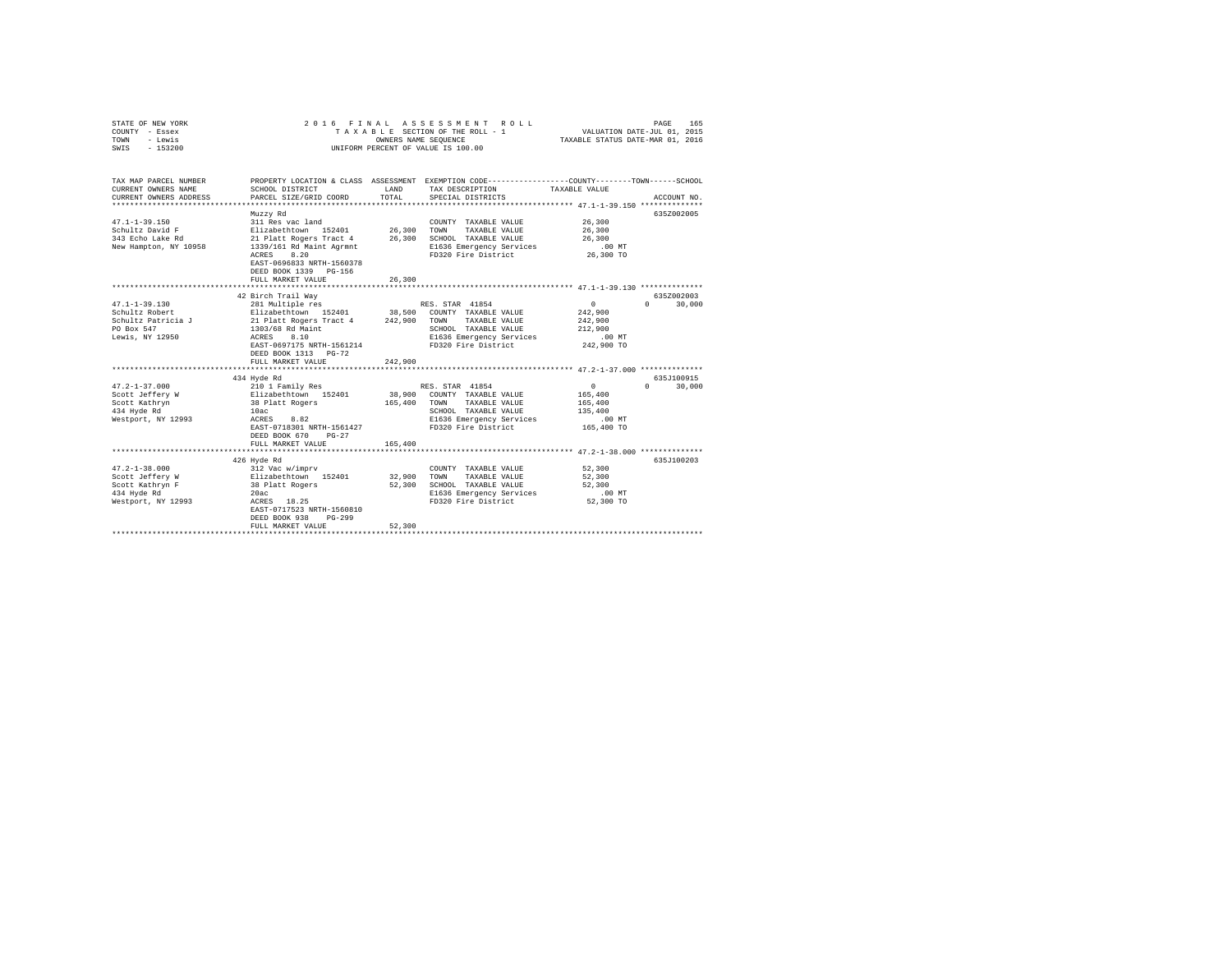| STATE OF NEW YORK<br>COUNTY - Essex<br>- Lewis<br>TOWN<br>$-153200$<br>SWIS | 2 0 1 6<br>FINAL                                                                         | OWNERS NAME SEQUENCE | ASSESSMENT ROLL<br>TAXABLE SECTION OF THE ROLL - 1<br>UNIFORM PERCENT OF VALUE IS 100.00                           | VALUATION DATE-JUL 01, 2015<br>TAXABLE STATUS DATE-MAR 01, 2016 | 165<br>PAGE            |
|-----------------------------------------------------------------------------|------------------------------------------------------------------------------------------|----------------------|--------------------------------------------------------------------------------------------------------------------|-----------------------------------------------------------------|------------------------|
| TAX MAP PARCEL NUMBER<br>CURRENT OWNERS NAME                                | SCHOOL DISTRICT                                                                          | LAND                 | PROPERTY LOCATION & CLASS ASSESSMENT EXEMPTION CODE---------------COUNTY-------TOWN------SCHOOL<br>TAX DESCRIPTION | TAXABLE VALUE                                                   |                        |
| CURRENT OWNERS ADDRESS                                                      | PARCEL SIZE/GRID COORD                                                                   | TOTAL                | SPECIAL DISTRICTS                                                                                                  |                                                                 | ACCOUNT NO.            |
|                                                                             |                                                                                          |                      |                                                                                                                    |                                                                 |                        |
|                                                                             | Muzzy Rd                                                                                 |                      |                                                                                                                    |                                                                 | 635Z002005             |
| $47.1 - 1 - 39.150$                                                         | 311 Res vac land                                                                         |                      | COUNTY TAXABLE VALUE                                                                                               | 26,300                                                          |                        |
| Schultz David F                                                             | Elizabethtown 152401                                                                     | 26,300               | TAXABLE VALUE<br>TOWN                                                                                              | 26,300                                                          |                        |
| 343 Echo Lake Rd                                                            | 21 Platt Rogers Tract 4                                                                  | 26,300               | SCHOOL TAXABLE VALUE                                                                                               | 26,300                                                          |                        |
| New Hampton, NY 10958                                                       | 1339/161 Rd Maint Agrmnt                                                                 |                      | E1636 Emergency Services                                                                                           | $.00$ MT                                                        |                        |
|                                                                             | 8.20<br>ACRES<br>EAST-0696833 NRTH-1560378<br>DEED BOOK 1339 PG-156<br>FULL MARKET VALUE | 26,300               | FD320 Fire District                                                                                                | 26,300 TO                                                       |                        |
|                                                                             |                                                                                          |                      |                                                                                                                    |                                                                 |                        |
|                                                                             | 42 Birch Trail Way                                                                       |                      |                                                                                                                    |                                                                 | 635Z002003             |
| 47.1-1-39.130                                                               | 281 Multiple res                                                                         |                      | RES. STAR 41854                                                                                                    | $\overline{0}$                                                  | 30,000<br>$\cap$       |
| Schultz Robert                                                              | Elizabethtown 152401 38,500 COUNTY TAXABLE VALUE                                         |                      |                                                                                                                    | 242,900                                                         |                        |
| Schultz Patricia J                                                          | 21 Platt Rogers Tract 4                                                                  | 242,900              | TOWN TAXABLE VALUE                                                                                                 | 242,900                                                         |                        |
| PO Box 547                                                                  | 1303/68 Rd Maint                                                                         |                      | SCHOOL TAXABLE VALUE                                                                                               | 212,900                                                         |                        |
| Lewis, NY 12950                                                             | ACRES 8.10                                                                               |                      | E1636 Emergency Services                                                                                           | $.00$ MT                                                        |                        |
|                                                                             | EAST-0697175 NRTH-1561214                                                                |                      | FD320 Fire District                                                                                                | 242,900 TO                                                      |                        |
|                                                                             | DEED BOOK 1313 PG-72<br>FULL MARKET VALUE                                                | 242,900              |                                                                                                                    |                                                                 |                        |
|                                                                             |                                                                                          |                      |                                                                                                                    |                                                                 |                        |
|                                                                             | 434 Hyde Rd                                                                              |                      |                                                                                                                    |                                                                 | 635J100915             |
| $47.2 - 1 - 37.000$                                                         | 210 1 Family Res                                                                         |                      | RES. STAR 41854                                                                                                    | 0                                                               | 30,000<br>$\mathbf{0}$ |
| Scott Jeffery W                                                             |                                                                                          |                      | 38,900 COUNTY TAXABLE VALUE                                                                                        | 165,400                                                         |                        |
| Scott Kathryn                                                               | Elizabethtown 152401<br>38 Platt Rogers                                                  | 165,400 TOWN         | TAXABLE VALUE                                                                                                      | 165,400                                                         |                        |
| 434 Hyde Rd                                                                 | 10ac                                                                                     |                      | SCHOOL TAXABLE VALUE                                                                                               | 135,400                                                         |                        |
| Westport, NY 12993                                                          | ACRES<br>8.82                                                                            |                      | E1636 Emergency Services                                                                                           | $.00$ MT                                                        |                        |
|                                                                             | EAST-0718301 NRTH-1561427                                                                |                      | FD320 Fire District                                                                                                | 165,400 TO                                                      |                        |
|                                                                             | DEED BOOK 670<br>$PG-27$                                                                 |                      |                                                                                                                    |                                                                 |                        |
|                                                                             | FULL MARKET VALUE                                                                        | 165,400              |                                                                                                                    |                                                                 |                        |
|                                                                             |                                                                                          |                      |                                                                                                                    |                                                                 |                        |
| $47.2 - 1 - 38.000$                                                         | 426 Hyde Rd<br>312 Vac w/imprv                                                           |                      |                                                                                                                    | 52,300                                                          | 635J100203             |
| Scott Jeffery W                                                             | Elizabethtown 152401                                                                     | 32,900               | COUNTY TAXABLE VALUE<br>TOWN                                                                                       | 52,300                                                          |                        |
| Scott Kathryn F                                                             | 38 Platt Rogers                                                                          | 52,300               | TAXABLE VALUE<br>SCHOOL TAXABLE VALUE                                                                              | 52,300                                                          |                        |
| 434 Hyde Rd                                                                 | 20ac                                                                                     |                      | E1636 Emergency Services                                                                                           | $.00$ MT                                                        |                        |
| Westport, NY 12993                                                          | ACRES 18.25                                                                              |                      | FD320 Fire District                                                                                                | 52,300 TO                                                       |                        |
|                                                                             | EAST-0717523 NRTH-1560810                                                                |                      |                                                                                                                    |                                                                 |                        |
|                                                                             | DEED BOOK 938<br>$PG-299$                                                                |                      |                                                                                                                    |                                                                 |                        |
|                                                                             | FULL MARKET VALUE                                                                        | 52,300               |                                                                                                                    |                                                                 |                        |
|                                                                             |                                                                                          |                      |                                                                                                                    |                                                                 |                        |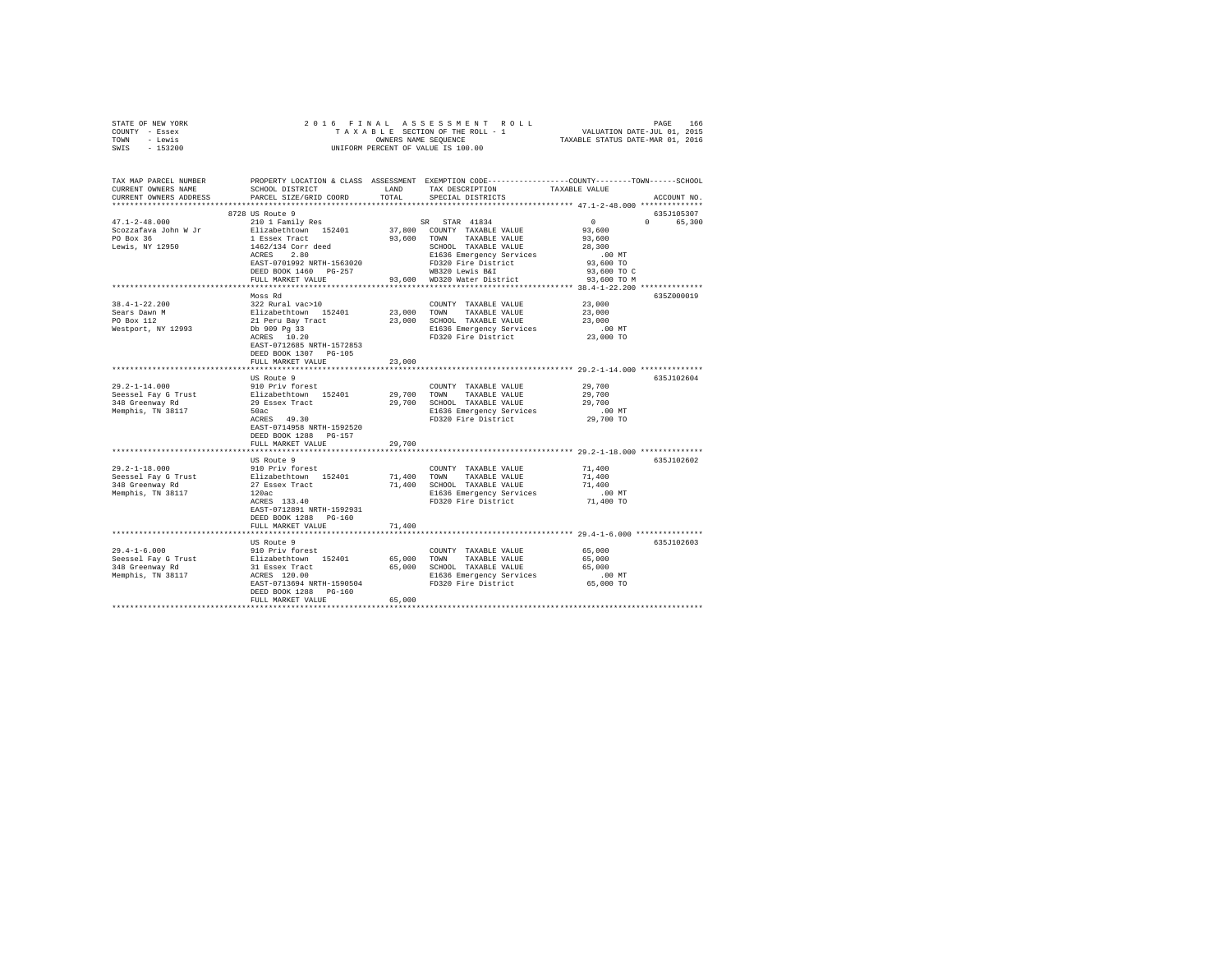| STATE OF NEW YORK                      |                                                                                                      |        |                                                   |                                                                                                 |
|----------------------------------------|------------------------------------------------------------------------------------------------------|--------|---------------------------------------------------|-------------------------------------------------------------------------------------------------|
| COUNTY - Essex                         |                                                                                                      |        |                                                   |                                                                                                 |
| TOWN - Lewis                           |                                                                                                      |        |                                                   |                                                                                                 |
| SWIS - 153200                          |                                                                                                      |        |                                                   |                                                                                                 |
|                                        |                                                                                                      |        |                                                   |                                                                                                 |
| TAX MAP PARCEL NUMBER                  |                                                                                                      |        |                                                   | PROPERTY LOCATION & CLASS ASSESSMENT EXEMPTION CODE---------------COUNTY-------TOWN------SCHOOL |
| CURRENT OWNERS NAME                    | SCHOOL DISTRICT                                                                                      | LAND   | TAX DESCRIPTION                                   | TAXABLE VALUE                                                                                   |
| CURRENT OWNERS ADDRESS                 | PARCEL SIZE/GRID COORD                                                                               | TOTAL  | SPECIAL DISTRICTS                                 | ACCOUNT NO.                                                                                     |
|                                        |                                                                                                      |        |                                                   |                                                                                                 |
|                                        | 8728 US Route 9                                                                                      |        |                                                   | 635J105307                                                                                      |
| $47.1 - 2 - 48.000$                    | 210 1 Family Res                                                                                     |        | SR STAR 41834                                     | $\sim$ 0<br>0 65,300                                                                            |
| 47.1-2-40.000.<br>Scozzafava John W Jr |                                                                                                      |        | 37,800 COUNTY TAXABLE VALUE                       | 93,600                                                                                          |
| PO Box 36                              | Elizabethtown 152401<br>1 Essex Tract<br>1462/134 Corr deed<br>ACRES 2.80                            |        | 93,600 TOWN TAXABLE VALUE                         | 93,600                                                                                          |
| Lewis, NY 12950                        |                                                                                                      |        | SCHOOL TAXABLE VALUE                              | 28,300                                                                                          |
|                                        |                                                                                                      |        | E1636 Emergency Services                          | $.00$ MT                                                                                        |
|                                        | EAST-0701992 NRTH-1563020                                                                            |        | FD320 Fire District                               | 93,600 TO                                                                                       |
|                                        |                                                                                                      |        |                                                   |                                                                                                 |
|                                        | DEED BOOK 1460 PG-257                                                                                |        | WB320 Lewis B&I                                   | 93,600 TO C                                                                                     |
|                                        | FULL MARKET VALUE                                                                                    |        | 93,600 WD320 Water District                       | 93,600 TO M                                                                                     |
|                                        |                                                                                                      |        |                                                   |                                                                                                 |
|                                        | Moss Rd                                                                                              |        |                                                   | 635Z000019                                                                                      |
| $38.4 - 1 - 22.200$                    | 322 Rural vac>10                                                                                     |        | COUNTY TAXABLE VALUE                              | 23,000                                                                                          |
| Sears Dawn M<br>PO Box 112             |                                                                                                      |        | 23,000 TOWN TAXABLE VALUE                         | 23,000                                                                                          |
|                                        | Flizabethtown 152401<br>21 Peru Bay Tract<br>Db 909 Pg 33<br>ACRES 10.20                             |        | 23,000 SCHOOL TAXABLE VALUE                       | 23,000                                                                                          |
| Westport, NY 12993                     |                                                                                                      |        |                                                   | $.00$ MT                                                                                        |
|                                        |                                                                                                      |        | E1636 Emergency Services<br>FD320 Fire District   | 23,000 TO                                                                                       |
|                                        | EAST-0712685 NRTH-1572853                                                                            |        |                                                   |                                                                                                 |
|                                        | DEED BOOK 1307 PG-105                                                                                |        |                                                   |                                                                                                 |
|                                        | FULL MARKET VALUE                                                                                    | 23,000 |                                                   |                                                                                                 |
|                                        |                                                                                                      |        |                                                   |                                                                                                 |
|                                        | US Route 9                                                                                           |        |                                                   | 635J102604                                                                                      |
| $29.2 - 1 - 14.000$                    | 910 Priv forest                                                                                      |        | COUNTY TAXABLE VALUE                              | 29,700                                                                                          |
|                                        |                                                                                                      |        | 29.700 TOWN TAXABLE VALUE                         | 29,700                                                                                          |
| Seessel Fay G Trust<br>348 Greenway Rd | Elizabethtown 152401<br>29 Essex Tract                                                               |        | 29,700 SCHOOL TAXABLE VALUE                       | 29,700                                                                                          |
| Memphis, TN 38117                      | 50ac and 100                                                                                         |        | E1636 Emergency Services                          | $.00$ MT                                                                                        |
|                                        | $ACRES$ 49.30                                                                                        |        | FD320 Fire District                               | 29,700 TO                                                                                       |
|                                        | EAST-0714958 NRTH-1592520                                                                            |        |                                                   |                                                                                                 |
|                                        | DEED BOOK 1288 PG-157                                                                                |        |                                                   |                                                                                                 |
|                                        | FULL MARKET VALUE                                                                                    | 29,700 |                                                   |                                                                                                 |
|                                        |                                                                                                      |        |                                                   |                                                                                                 |
|                                        | US Route 9                                                                                           |        |                                                   | 635J102602                                                                                      |
| $29.2 - 1 - 18.000$                    | 910 Priv forest                                                                                      |        | COUNTY TAXABLE VALUE                              | 71,400                                                                                          |
|                                        |                                                                                                      |        | 71,400 TOWN TAXABLE VALUE                         | 71,400                                                                                          |
|                                        |                                                                                                      |        | 71,400 SCHOOL TAXABLE VALUE                       | 71,400                                                                                          |
|                                        | 29.2-1-18.000<br>Seessel Fay G Trust<br>348 Greenway Rd<br>37 Essex Tract<br>Memphis, TN 38117 120ac |        | E1636 Emergency Services                          | $.00$ MT                                                                                        |
|                                        | 120ac<br>ACRES 133.40                                                                                |        | FD320 Fire District                               | 71,400 TO                                                                                       |
|                                        | EAST-0712891 NRTH-1592931                                                                            |        |                                                   |                                                                                                 |
|                                        | DEED BOOK 1288 PG-160                                                                                |        |                                                   |                                                                                                 |
|                                        | FULL MARKET VALUE                                                                                    | 71,400 |                                                   |                                                                                                 |
|                                        |                                                                                                      |        |                                                   |                                                                                                 |
|                                        |                                                                                                      |        |                                                   | 635J102603                                                                                      |
| $29.4 - 1 - 6.000$                     | US Route 9<br>910 Priv forest                                                                        |        |                                                   | 65,000                                                                                          |
|                                        |                                                                                                      |        | COUNTY TAXABLE VALUE<br>65,000 TOWN TAXABLE VALUE |                                                                                                 |
|                                        |                                                                                                      |        |                                                   | 65,000                                                                                          |
|                                        |                                                                                                      |        | 65,000 SCHOOL TAXABLE VALUE                       | 65,000                                                                                          |
|                                        |                                                                                                      |        | E1636 Emergency Services                          | .00 MT                                                                                          |
|                                        | EAST-0713694 NRTH-1590504                                                                            |        | FD320 Fire District                               | 65,000 TO                                                                                       |
|                                        | DEED BOOK 1288 PG-160                                                                                |        |                                                   |                                                                                                 |
|                                        | FULL MARKET VALUE                                                                                    | 65,000 |                                                   |                                                                                                 |
|                                        |                                                                                                      |        |                                                   |                                                                                                 |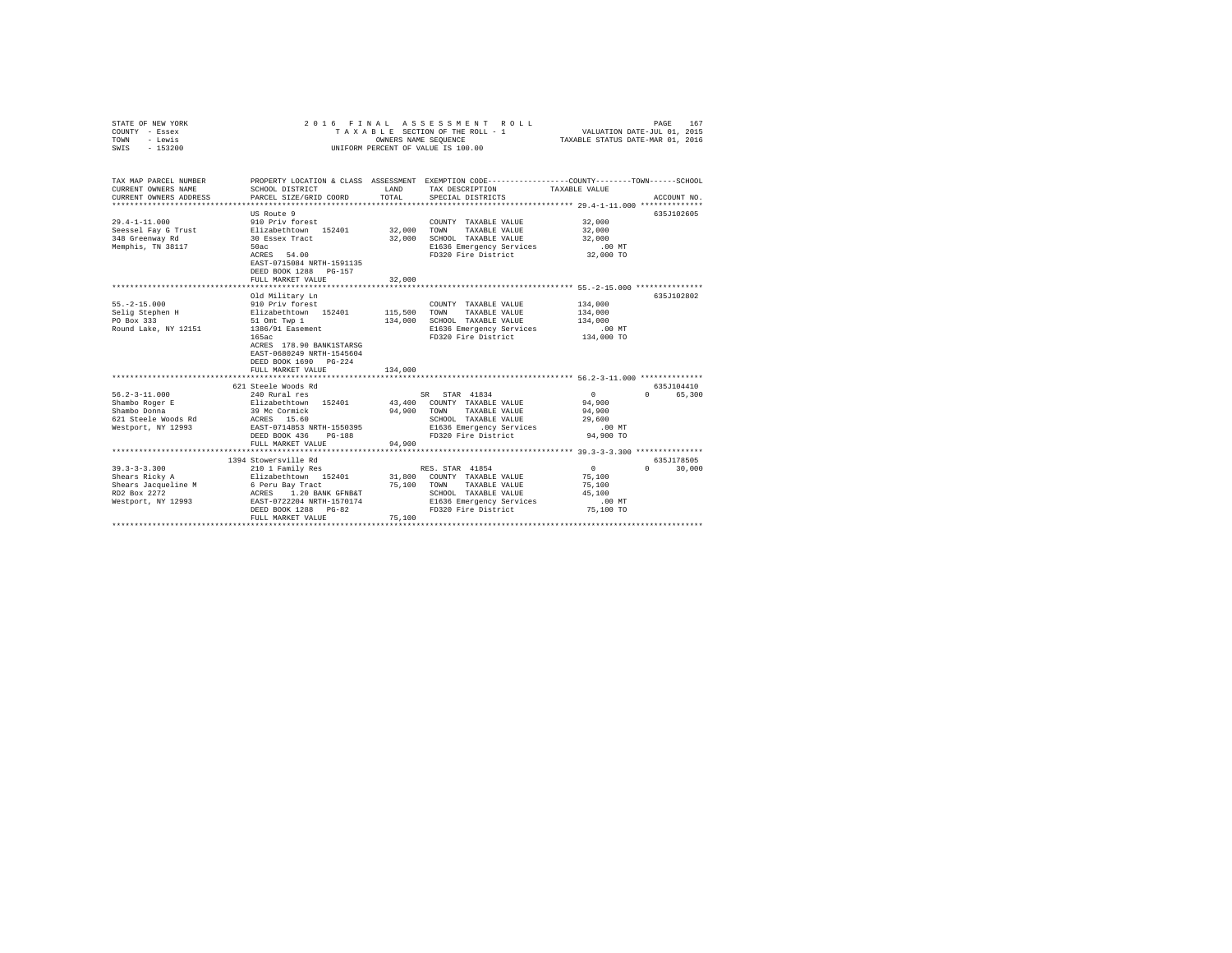| COUNTY - Essex<br>TOWN<br>- Lewis<br>$-153200$<br>SWTS                                                         |                                                  | OWNERS NAME SEQUENCE | TAXABLE SECTION OF THE ROLL - 1<br>UNIFORM PERCENT OF VALUE IS 100.00                                              | VALUATION DATE-JUL 01, 2015<br>TAXABLE STATUS DATE-MAR 01, 2016 |                                 |
|----------------------------------------------------------------------------------------------------------------|--------------------------------------------------|----------------------|--------------------------------------------------------------------------------------------------------------------|-----------------------------------------------------------------|---------------------------------|
|                                                                                                                |                                                  |                      |                                                                                                                    |                                                                 |                                 |
| TAX MAP PARCEL NUMBER<br>CURRENT OWNERS NAME                                                                   | SCHOOL DISTRICT                                  | LAND                 | PROPERTY LOCATION & CLASS ASSESSMENT EXEMPTION CODE----------------COUNTY-------TOWN-----SCHOOL<br>TAX DESCRIPTION | TAXABLE VALUE                                                   |                                 |
| CURRENT OWNERS ADDRESS                                                                                         | PARCEL SIZE/GRID COORD                           | TOTAL                | SPECIAL DISTRICTS                                                                                                  |                                                                 | ACCOUNT NO.                     |
| .                                                                                                              |                                                  |                      |                                                                                                                    |                                                                 |                                 |
|                                                                                                                | US Route 9                                       |                      |                                                                                                                    |                                                                 | 635J102605                      |
| $29.4 - 1 - 11.000$                                                                                            | 910 Priv forest                                  |                      | COUNTY TAXABLE VALUE                                                                                               | 32,000                                                          |                                 |
| Seessel Fay G Trust                                                                                            | Elizabethtown 152401<br>30 Essex Tract           | 32,000               | TAXABLE VALUE<br>TOWN                                                                                              | 32,000                                                          |                                 |
| 348 Greenway Rd                                                                                                |                                                  | 32,000               | SCHOOL TAXABLE VALUE                                                                                               | 32,000                                                          |                                 |
| Memphis, TN 38117                                                                                              | 50ac<br>ACRES 54.00                              |                      | E1636 Emergency Services<br>FD320 Fire District                                                                    | .00 MT<br>32,000 TO                                             |                                 |
|                                                                                                                | EAST-0715084 NRTH-1591135                        |                      |                                                                                                                    |                                                                 |                                 |
|                                                                                                                | DEED BOOK 1288 PG-157                            |                      |                                                                                                                    |                                                                 |                                 |
|                                                                                                                | FULL MARKET VALUE                                | 32,000               |                                                                                                                    |                                                                 |                                 |
|                                                                                                                |                                                  |                      |                                                                                                                    |                                                                 |                                 |
|                                                                                                                | Old Military Ln                                  |                      |                                                                                                                    |                                                                 | 635J102802                      |
| $55. -2 - 15.000$                                                                                              | 910 Priv forest                                  |                      | COUNTY TAXABLE VALUE                                                                                               | 134,000                                                         |                                 |
| Selig Stephen H                                                                                                | Elizabethtown 152401                             | 115,500              | TOWN<br>TAXABLE VALUE                                                                                              | 134,000                                                         |                                 |
| PO Box 333                                                                                                     | 51 Omt Twp 1                                     | 134,000              | SCHOOL TAXABLE VALUE                                                                                               | 134,000                                                         |                                 |
| Round Lake, NY 12151 1386/91 Easement                                                                          |                                                  |                      | E1636 Emergency Services                                                                                           | .00 MT                                                          |                                 |
|                                                                                                                | 165ac<br>ACRES 178.90 BANK1STARSG                |                      | FD320 Fire District                                                                                                | 134,000 TO                                                      |                                 |
|                                                                                                                | EAST-0680249 NRTH-1545604                        |                      |                                                                                                                    |                                                                 |                                 |
|                                                                                                                | DEED BOOK 1690 PG-224                            |                      |                                                                                                                    |                                                                 |                                 |
|                                                                                                                | FULL MARKET VALUE                                | 134,000              |                                                                                                                    |                                                                 |                                 |
|                                                                                                                |                                                  |                      |                                                                                                                    |                                                                 |                                 |
|                                                                                                                | 621 Steele Woods Rd                              |                      |                                                                                                                    |                                                                 | 635J104410                      |
| $56.2 - 3 - 11.000$                                                                                            | 240 Rural res                                    |                      | SR STAR 41834                                                                                                      | $\mathbf{0}$                                                    | 0 65,300                        |
| Shambo Roger E                                                                                                 | Elizabethtown 152401<br>39 Mc Cormick            |                      | 43,400 COUNTY TAXABLE VALUE                                                                                        | 94,900                                                          |                                 |
| Shambo Donna                                                                                                   |                                                  | 94,900               | TAXABLE VALUE<br>TOWN                                                                                              | 94,900                                                          |                                 |
| 621 Steele Woods Rd                                                                                            | ACRES 15.60<br>EAST-0714853 NRTH-1550395         |                      | SCHOOL TAXABLE VALUE                                                                                               | 29,600                                                          |                                 |
| Westport, NY 12993                                                                                             |                                                  |                      |                                                                                                                    |                                                                 |                                 |
|                                                                                                                | DEED BOOK 436<br>$PG-188$<br>FULL MARKET VALUE   | 94,900               |                                                                                                                    |                                                                 |                                 |
|                                                                                                                |                                                  |                      |                                                                                                                    |                                                                 |                                 |
|                                                                                                                | 1394 Stowersville Rd                             |                      |                                                                                                                    |                                                                 | 635J178505                      |
| $39.3 - 3 - 3.300$                                                                                             | 210 1 Family Res                                 |                      | RES. STAR 41854                                                                                                    | $\sim$ 0 $\sim$                                                 | $\Omega$ and $\Omega$<br>30,000 |
| Shears Ricky A                                                                                                 | Elizabethtown 152401 31,800 COUNTY TAXABLE VALUE |                      |                                                                                                                    | 75,100                                                          |                                 |
| Shears Jacqueline M<br>EPS And The Barrier March 1.20 BANK GPRES<br>RD2 Box 2272<br>RESPT-0722204 RKTH-1570174 |                                                  | 75,100               | TOWN<br>TAXABLE VALUE                                                                                              | 75,100                                                          |                                 |
|                                                                                                                |                                                  |                      | SCHOOL TAXABLE VALUE                                                                                               | 45,100                                                          |                                 |
|                                                                                                                |                                                  |                      | E1636 Emergency Services                                                                                           | $.00$ MT                                                        |                                 |
|                                                                                                                | DEED BOOK 1288 PG-82                             |                      | FD320 Fire District                                                                                                | 75,100 TO                                                       |                                 |
|                                                                                                                | FULL MARKET VALUE                                | 75,100               |                                                                                                                    |                                                                 |                                 |
|                                                                                                                |                                                  |                      |                                                                                                                    |                                                                 |                                 |

STATE OF NEW YORK 2016 FINAL ASSESSMENT ROLL PAGE 167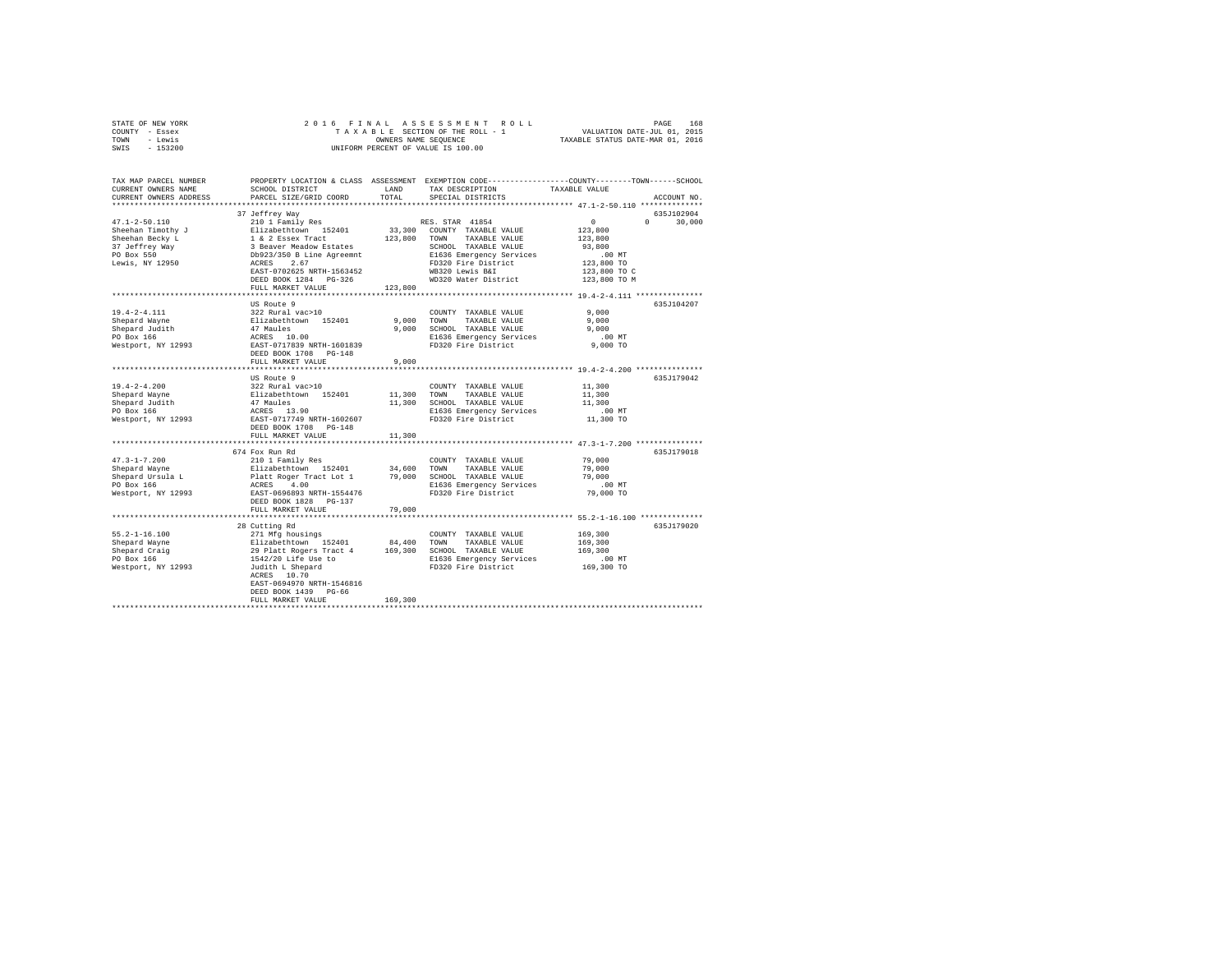| STATE OF NEW YORK | 2016 FINAL ASSESSMENT ROLL         | 168<br>PAGE                      |
|-------------------|------------------------------------|----------------------------------|
| COUNTY - Essex    | TAXABLE SECTION OF THE ROLL - 1    | VALUATION DATE-JUL 01, 2015      |
| TOWN<br>- Lewis   | OWNERS NAME SEOUENCE               | TAXABLE STATUS DATE-MAR 01, 2016 |
| $-153200$<br>SWIS | UNIFORM PERCENT OF VALUE IS 100.00 |                                  |

| TAX MAP PARCEL NUMBER<br>CURRENT OWNERS NAME                                                                                                                                                                                                                                                                                                                                                 | SCHOOL DISTRICT                                                                                                                                                                                                                                | LAND<br>TOTAL  | TAX DESCRIPTION                                                    | PROPERTY LOCATION & CLASS ASSESSMENT EXEMPTION CODE---------------COUNTY-------TOWN------SCHOOL<br>TAXABLE VALUE |             |
|----------------------------------------------------------------------------------------------------------------------------------------------------------------------------------------------------------------------------------------------------------------------------------------------------------------------------------------------------------------------------------------------|------------------------------------------------------------------------------------------------------------------------------------------------------------------------------------------------------------------------------------------------|----------------|--------------------------------------------------------------------|------------------------------------------------------------------------------------------------------------------|-------------|
| CURRENT OWNERS ADDRESS<br>********************                                                                                                                                                                                                                                                                                                                                               | PARCEL SIZE/GRID COORD                                                                                                                                                                                                                         |                | SPECIAL DISTRICTS                                                  |                                                                                                                  | ACCOUNT NO. |
|                                                                                                                                                                                                                                                                                                                                                                                              | 37 Jeffrey Way                                                                                                                                                                                                                                 |                |                                                                    |                                                                                                                  | 635J102904  |
| 47.1-2-50.110<br>Sheehan Temothy J<br>Sheehan Becky L<br>Sheehan Becky L<br>$\begin{array}{ccc}\n & 2101 & 1 & \text{Family Res} \\  & 2101 & 1 & \text{Finally Res} \\  \text{Shelen} & \text{Beaker} & \text{Meas} \\  \text{Theorem 14} & \text{the 2-1} & \text{the 3-1} \\  \text{Theorem 24} & \text{The 4-1} & \text{The 5} \\  \text{P0 Box 550} & \text{Meas} & \text{The 6-1} & \$ |                                                                                                                                                                                                                                                |                | RES. STAR 41854                                                    | 0<br>$\Omega$                                                                                                    | 30,000      |
|                                                                                                                                                                                                                                                                                                                                                                                              |                                                                                                                                                                                                                                                |                | 33,300 COUNTY TAXABLE VALUE                                        | 123,800                                                                                                          |             |
|                                                                                                                                                                                                                                                                                                                                                                                              |                                                                                                                                                                                                                                                | 123,800        | TOWN TAXABLE VALUE                                                 | 123,800                                                                                                          |             |
|                                                                                                                                                                                                                                                                                                                                                                                              |                                                                                                                                                                                                                                                |                | SCHOOL TAXABLE VALUE                                               | 93,800                                                                                                           |             |
|                                                                                                                                                                                                                                                                                                                                                                                              |                                                                                                                                                                                                                                                |                |                                                                    | $.00$ MT                                                                                                         |             |
|                                                                                                                                                                                                                                                                                                                                                                                              |                                                                                                                                                                                                                                                |                | E1636 Emergency Services<br>FD320 Fire District<br>WB320 Lewis B&I | 123,800 TO                                                                                                       |             |
|                                                                                                                                                                                                                                                                                                                                                                                              | EAST-0702625 NRTH-1563452                                                                                                                                                                                                                      |                |                                                                    | 123,800 TO C                                                                                                     |             |
|                                                                                                                                                                                                                                                                                                                                                                                              | DEED BOOK 1284 PG-326                                                                                                                                                                                                                          |                | WD320 Water District                                               | 123,800 TO M                                                                                                     |             |
|                                                                                                                                                                                                                                                                                                                                                                                              | FULL MARKET VALUE                                                                                                                                                                                                                              | 123,800        |                                                                    |                                                                                                                  |             |
|                                                                                                                                                                                                                                                                                                                                                                                              |                                                                                                                                                                                                                                                |                |                                                                    |                                                                                                                  |             |
|                                                                                                                                                                                                                                                                                                                                                                                              | US Route 9                                                                                                                                                                                                                                     |                |                                                                    |                                                                                                                  | 635J104207  |
|                                                                                                                                                                                                                                                                                                                                                                                              |                                                                                                                                                                                                                                                |                | COUNTY TAXABLE VALUE                                               | 9.000                                                                                                            |             |
|                                                                                                                                                                                                                                                                                                                                                                                              |                                                                                                                                                                                                                                                | 9,000<br>9.000 | TOWN<br>TAXABLE VALUE                                              | 9,000<br>9.000                                                                                                   |             |
|                                                                                                                                                                                                                                                                                                                                                                                              |                                                                                                                                                                                                                                                |                | SCHOOL TAXABLE VALUE                                               | .00 MT                                                                                                           |             |
| $\begin{tabular}{lllllllllll} 19.4-2-4.111 & 322 {\rm~Rural~vac}>10 \\ \hline {\rm Shepared~Wame} & 322 {\rm~Rural~vac}>10 \\ \hline {\rm Shepared~Judith} & 47 {\rm~Mules} \\ \hline \text{PO Box 166} & \text{ACRES} & 10.00 \\ \hline \text{Restoprt, NY 12993} & \text{ERAST} & 0.7039 {\rm~RRTH-1601839} \\ \hline \text{NEED BOOR 17089} & \text{P6--148} \\ \end{tabular}$            |                                                                                                                                                                                                                                                |                | E1636 Emergency Services<br>FD320 Fire District                    | 9,000 TO                                                                                                         |             |
|                                                                                                                                                                                                                                                                                                                                                                                              |                                                                                                                                                                                                                                                |                |                                                                    |                                                                                                                  |             |
|                                                                                                                                                                                                                                                                                                                                                                                              | FULL MARKET VALUE                                                                                                                                                                                                                              | 9.000          |                                                                    |                                                                                                                  |             |
|                                                                                                                                                                                                                                                                                                                                                                                              |                                                                                                                                                                                                                                                |                |                                                                    |                                                                                                                  |             |
|                                                                                                                                                                                                                                                                                                                                                                                              | US Route 9                                                                                                                                                                                                                                     |                |                                                                    |                                                                                                                  | 635J179042  |
| $19.4 - 2 - 4.200$                                                                                                                                                                                                                                                                                                                                                                           |                                                                                                                                                                                                                                                |                | COUNTY TAXABLE VALUE                                               | 11,300                                                                                                           |             |
| Shepard Wayne                                                                                                                                                                                                                                                                                                                                                                                |                                                                                                                                                                                                                                                | 11,300 TOWN    | TAXABLE VALUE                                                      | 11,300                                                                                                           |             |
| Shepard Judith<br>PO Box 166                                                                                                                                                                                                                                                                                                                                                                 |                                                                                                                                                                                                                                                |                | 11,300 SCHOOL TAXABLE VALUE                                        | 11,300                                                                                                           |             |
| PO Box 166                                                                                                                                                                                                                                                                                                                                                                                   |                                                                                                                                                                                                                                                |                | E1636 Emergency Services                                           | $.00$ MT                                                                                                         |             |
| Westport, NY 12993                                                                                                                                                                                                                                                                                                                                                                           |                                                                                                                                                                                                                                                |                | FD320 Fire District                                                | 11,300 TO                                                                                                        |             |
|                                                                                                                                                                                                                                                                                                                                                                                              | DEED BOOK 1708 PG-148                                                                                                                                                                                                                          |                |                                                                    |                                                                                                                  |             |
|                                                                                                                                                                                                                                                                                                                                                                                              | FULL MARKET VALUE                                                                                                                                                                                                                              | 11,300         |                                                                    |                                                                                                                  |             |
|                                                                                                                                                                                                                                                                                                                                                                                              |                                                                                                                                                                                                                                                |                |                                                                    |                                                                                                                  |             |
|                                                                                                                                                                                                                                                                                                                                                                                              | 674 Fox Run Rd                                                                                                                                                                                                                                 |                |                                                                    |                                                                                                                  | 635J179018  |
| $47.3 - 1 - 7.200$                                                                                                                                                                                                                                                                                                                                                                           | 210 1 Family Res                                                                                                                                                                                                                               |                | COUNTY TAXABLE VALUE                                               | 79,000                                                                                                           |             |
|                                                                                                                                                                                                                                                                                                                                                                                              |                                                                                                                                                                                                                                                |                | TOWN TAXABLE VALUE                                                 | 79,000                                                                                                           |             |
|                                                                                                                                                                                                                                                                                                                                                                                              |                                                                                                                                                                                                                                                |                | 79,000 SCHOOL TAXABLE VALUE                                        | 79,000                                                                                                           |             |
| % + 2.000 2.100 2.100 2.100 2.100 2.100 2.100 2.100 2.100 2.100 2.100 2.100 2.100 2.100 2.100 2.100 2.100 2.100 2.100 2.100 2.100 2.100 2.100 2.100 2.100 2.100 2.100 2.100 2.100 2.100 2.100 2.100 2.100 2.100 2.100 2.100 2.                                                                                                                                                               |                                                                                                                                                                                                                                                |                | E1636 Emergency Services<br>FD320 Fire District                    | $.00$ MT<br>79,000 TO                                                                                            |             |
|                                                                                                                                                                                                                                                                                                                                                                                              | DEED BOOK 1828 PG-137                                                                                                                                                                                                                          |                |                                                                    |                                                                                                                  |             |
|                                                                                                                                                                                                                                                                                                                                                                                              | FULL MARKET VALUE                                                                                                                                                                                                                              | 79,000         |                                                                    |                                                                                                                  |             |
|                                                                                                                                                                                                                                                                                                                                                                                              |                                                                                                                                                                                                                                                |                |                                                                    |                                                                                                                  |             |
|                                                                                                                                                                                                                                                                                                                                                                                              | 28 Cutting Rd                                                                                                                                                                                                                                  |                |                                                                    |                                                                                                                  | 635J179020  |
| $55.2 - 1 - 16.100$                                                                                                                                                                                                                                                                                                                                                                          |                                                                                                                                                                                                                                                |                |                                                                    | 169,300                                                                                                          |             |
|                                                                                                                                                                                                                                                                                                                                                                                              |                                                                                                                                                                                                                                                |                |                                                                    | 169,300                                                                                                          |             |
| Shepard Wayne<br>Shepard Craig                                                                                                                                                                                                                                                                                                                                                               |                                                                                                                                                                                                                                                |                |                                                                    | 169,300                                                                                                          |             |
| PO Box 166                                                                                                                                                                                                                                                                                                                                                                                   |                                                                                                                                                                                                                                                |                |                                                                    |                                                                                                                  |             |
| Westport, NY 12993                                                                                                                                                                                                                                                                                                                                                                           |                                                                                                                                                                                                                                                |                | E1636 Emergency Services .00 MT<br>FD320 Fire District 169,300 TO  |                                                                                                                  |             |
|                                                                                                                                                                                                                                                                                                                                                                                              | 271 Mfg housings<br>271 Mfg housings<br>29 Platt Rogers Tract 4<br>29 Platt Rogers Tract 4<br>169,300 SCHOOL TAXABLE VALUE<br>29 Platt Rogers Tract 4<br>364,400 SCHOOL TAXABLE VALUE<br>320 Platt Rogers PD320 Fire District<br>20 RESS 10.70 |                |                                                                    |                                                                                                                  |             |
|                                                                                                                                                                                                                                                                                                                                                                                              | EAST-0694970 NRTH-1546816                                                                                                                                                                                                                      |                |                                                                    |                                                                                                                  |             |
|                                                                                                                                                                                                                                                                                                                                                                                              | DEED BOOK 1439 PG-66                                                                                                                                                                                                                           |                |                                                                    |                                                                                                                  |             |
|                                                                                                                                                                                                                                                                                                                                                                                              | FULL MARKET VALUE                                                                                                                                                                                                                              | 169,300        |                                                                    |                                                                                                                  |             |
|                                                                                                                                                                                                                                                                                                                                                                                              |                                                                                                                                                                                                                                                |                |                                                                    |                                                                                                                  |             |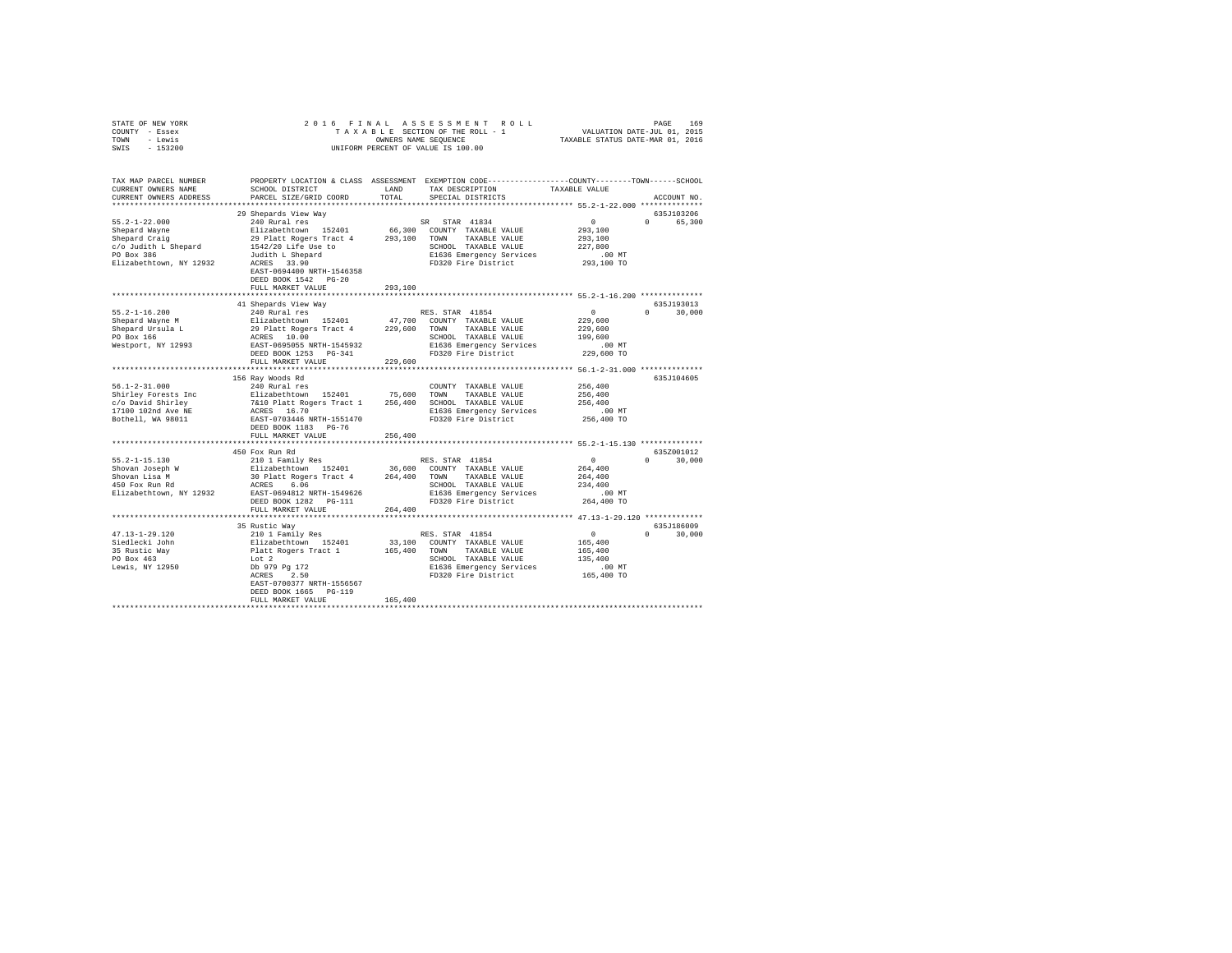| STATE OF NEW YORK      |                                                                                                                                                                                                                                                                                                                                                                                                                                               |         |                                                                                              |                                                       |               |
|------------------------|-----------------------------------------------------------------------------------------------------------------------------------------------------------------------------------------------------------------------------------------------------------------------------------------------------------------------------------------------------------------------------------------------------------------------------------------------|---------|----------------------------------------------------------------------------------------------|-------------------------------------------------------|---------------|
| COUNTY - Essex         |                                                                                                                                                                                                                                                                                                                                                                                                                                               |         |                                                                                              |                                                       |               |
| TOWN - Lewis           |                                                                                                                                                                                                                                                                                                                                                                                                                                               |         |                                                                                              |                                                       |               |
| SWIS - 153200          |                                                                                                                                                                                                                                                                                                                                                                                                                                               |         |                                                                                              |                                                       |               |
|                        |                                                                                                                                                                                                                                                                                                                                                                                                                                               |         |                                                                                              |                                                       |               |
|                        | TAX MAP PARCEL NUMBER PROPERTY LOCATION & CLASS ASSESSMENT EXEMPTION CODE--------------COUNTY-------TOWN------SCHOOL                                                                                                                                                                                                                                                                                                                          |         |                                                                                              |                                                       |               |
| CURRENT OWNERS NAME    | SCHOOL DISTRICT                                                                                                                                                                                                                                                                                                                                                                                                                               |         | LAND TAX DESCRIPTION TAXABLE VALUE                                                           |                                                       |               |
| CURRENT OWNERS ADDRESS | PARCEL SIZE/GRID COORD                                                                                                                                                                                                                                                                                                                                                                                                                        | TOTAL   | SPECIAL DISTRICTS                                                                            |                                                       | ACCOUNT NO.   |
|                        |                                                                                                                                                                                                                                                                                                                                                                                                                                               |         |                                                                                              |                                                       |               |
|                        | 29 Shepards View Way                                                                                                                                                                                                                                                                                                                                                                                                                          |         |                                                                                              |                                                       | 635J103206    |
|                        |                                                                                                                                                                                                                                                                                                                                                                                                                                               |         |                                                                                              |                                                       | 0 65,300      |
|                        |                                                                                                                                                                                                                                                                                                                                                                                                                                               |         |                                                                                              |                                                       |               |
|                        |                                                                                                                                                                                                                                                                                                                                                                                                                                               |         |                                                                                              |                                                       |               |
|                        |                                                                                                                                                                                                                                                                                                                                                                                                                                               |         |                                                                                              |                                                       |               |
|                        |                                                                                                                                                                                                                                                                                                                                                                                                                                               |         |                                                                                              |                                                       |               |
|                        |                                                                                                                                                                                                                                                                                                                                                                                                                                               |         |                                                                                              |                                                       |               |
|                        | EAST-0694400 NRTH-1546358                                                                                                                                                                                                                                                                                                                                                                                                                     |         |                                                                                              |                                                       |               |
|                        | DEED BOOK 1542 PG-20                                                                                                                                                                                                                                                                                                                                                                                                                          |         |                                                                                              |                                                       |               |
|                        | FULL MARKET VALUE                                                                                                                                                                                                                                                                                                                                                                                                                             | 293,100 |                                                                                              |                                                       |               |
|                        |                                                                                                                                                                                                                                                                                                                                                                                                                                               |         |                                                                                              |                                                       |               |
|                        | 41 Shepards View Way                                                                                                                                                                                                                                                                                                                                                                                                                          |         |                                                                                              |                                                       | 635J193013    |
| $55.2 - 1 - 16.200$    | 240 Rural res                                                                                                                                                                                                                                                                                                                                                                                                                                 |         | RES. STAR 41854                                                                              |                                                       | $0 \t 30,000$ |
|                        |                                                                                                                                                                                                                                                                                                                                                                                                                                               |         |                                                                                              | $\begin{smallmatrix}&&0\0&229\,,600\end{smallmatrix}$ |               |
|                        |                                                                                                                                                                                                                                                                                                                                                                                                                                               |         |                                                                                              |                                                       |               |
|                        |                                                                                                                                                                                                                                                                                                                                                                                                                                               |         |                                                                                              | 229,600                                               |               |
|                        |                                                                                                                                                                                                                                                                                                                                                                                                                                               |         |                                                                                              | 199,600                                               |               |
|                        |                                                                                                                                                                                                                                                                                                                                                                                                                                               |         |                                                                                              | .00 MT                                                |               |
|                        |                                                                                                                                                                                                                                                                                                                                                                                                                                               |         |                                                                                              | 229,600 TO                                            |               |
|                        |                                                                                                                                                                                                                                                                                                                                                                                                                                               |         |                                                                                              |                                                       |               |
|                        |                                                                                                                                                                                                                                                                                                                                                                                                                                               |         |                                                                                              |                                                       |               |
|                        | 156 Ray Woods Rd                                                                                                                                                                                                                                                                                                                                                                                                                              |         |                                                                                              |                                                       | 635J104605    |
|                        |                                                                                                                                                                                                                                                                                                                                                                                                                                               |         | $\texttt{COUNTY} \quad \texttt{TAXABLE} \quad \texttt{VALUE} \qquad \qquad \texttt{256,400}$ |                                                       |               |
|                        |                                                                                                                                                                                                                                                                                                                                                                                                                                               |         |                                                                                              | 256,400                                               |               |
|                        |                                                                                                                                                                                                                                                                                                                                                                                                                                               |         |                                                                                              | 256,400                                               |               |
|                        | $\begin{tabular}{l l l l l} \texttt{56.1-2-31.000} & \texttt{156 ray Noods } \texttt{Rd} & \texttt{3608 Rd} & \texttt{COUNITY} & \texttt{TAXABLE VALUE} \\ \texttt{Shifts} & \texttt{Peress} & \texttt{E1} & \texttt{E1} & \texttt{E2} & \texttt{P1} \\ \texttt{C/O} & \texttt{David Shifts} & \texttt{E1} & \texttt{P1} & \texttt{P1} & \texttt{P1} & \texttt{P1} & \texttt{P1} \\ \texttt{C/O} & \texttt{David Shifts } & \texttt{ACRES} &$ |         |                                                                                              | .00 MT                                                |               |
|                        |                                                                                                                                                                                                                                                                                                                                                                                                                                               |         |                                                                                              | 256,400 TO                                            |               |
|                        |                                                                                                                                                                                                                                                                                                                                                                                                                                               |         |                                                                                              |                                                       |               |
|                        | FULL MARKET VALUE                                                                                                                                                                                                                                                                                                                                                                                                                             | 256,400 |                                                                                              |                                                       |               |
|                        |                                                                                                                                                                                                                                                                                                                                                                                                                                               |         |                                                                                              |                                                       |               |
|                        |                                                                                                                                                                                                                                                                                                                                                                                                                                               |         |                                                                                              |                                                       | 635Z001012    |
|                        |                                                                                                                                                                                                                                                                                                                                                                                                                                               |         |                                                                                              |                                                       | $0 \t 30,000$ |
|                        |                                                                                                                                                                                                                                                                                                                                                                                                                                               |         |                                                                                              | $0$<br>264,400                                        |               |
|                        | ${\small \begin{tabular}{lcccc} \texttt{N-1111} & \texttt{36,00} & \texttt{RIS. STAR} & \texttt{41854} \\ \texttt{S1111} & \texttt{36,00} & \texttt{2111} & \texttt{36,600} & \texttt{CONTY} & \texttt{TXABLE VALUE} \\ \texttt{Shovan Lisa M} & \texttt{211} & \texttt{211} & \texttt{36,600} & \texttt{CONTY} & \texttt{TXABLE VALUE} \\ \texttt{Shovan has A} & \texttt{30 21} & \texttt{36,600} & \texttt{CONTY} & \texttt{TX$            |         |                                                                                              |                                                       |               |
|                        |                                                                                                                                                                                                                                                                                                                                                                                                                                               |         |                                                                                              | 264,400<br>234,400                                    |               |
|                        |                                                                                                                                                                                                                                                                                                                                                                                                                                               |         |                                                                                              |                                                       |               |
|                        |                                                                                                                                                                                                                                                                                                                                                                                                                                               |         |                                                                                              | .00 MT<br>264,400 TO                                  |               |
|                        | FULL MARKET VALUE 264,400                                                                                                                                                                                                                                                                                                                                                                                                                     |         |                                                                                              |                                                       |               |
|                        |                                                                                                                                                                                                                                                                                                                                                                                                                                               |         |                                                                                              |                                                       |               |
|                        |                                                                                                                                                                                                                                                                                                                                                                                                                                               |         |                                                                                              |                                                       |               |
|                        | 35 Rustic Way                                                                                                                                                                                                                                                                                                                                                                                                                                 |         |                                                                                              |                                                       | 635J186009    |
|                        |                                                                                                                                                                                                                                                                                                                                                                                                                                               |         |                                                                                              |                                                       | $0 \t 30,000$ |
|                        |                                                                                                                                                                                                                                                                                                                                                                                                                                               |         |                                                                                              |                                                       |               |
|                        |                                                                                                                                                                                                                                                                                                                                                                                                                                               |         |                                                                                              |                                                       |               |
|                        |                                                                                                                                                                                                                                                                                                                                                                                                                                               |         |                                                                                              |                                                       |               |
|                        |                                                                                                                                                                                                                                                                                                                                                                                                                                               |         |                                                                                              |                                                       |               |
|                        |                                                                                                                                                                                                                                                                                                                                                                                                                                               |         |                                                                                              |                                                       |               |
|                        | EAST-0700377 NRTH-1556567                                                                                                                                                                                                                                                                                                                                                                                                                     |         |                                                                                              |                                                       |               |
|                        | DEED BOOK 1665 PG-119                                                                                                                                                                                                                                                                                                                                                                                                                         |         |                                                                                              |                                                       |               |
|                        | FULL MARKET VALUE                                                                                                                                                                                                                                                                                                                                                                                                                             | 165,400 |                                                                                              |                                                       |               |
|                        |                                                                                                                                                                                                                                                                                                                                                                                                                                               |         |                                                                                              |                                                       |               |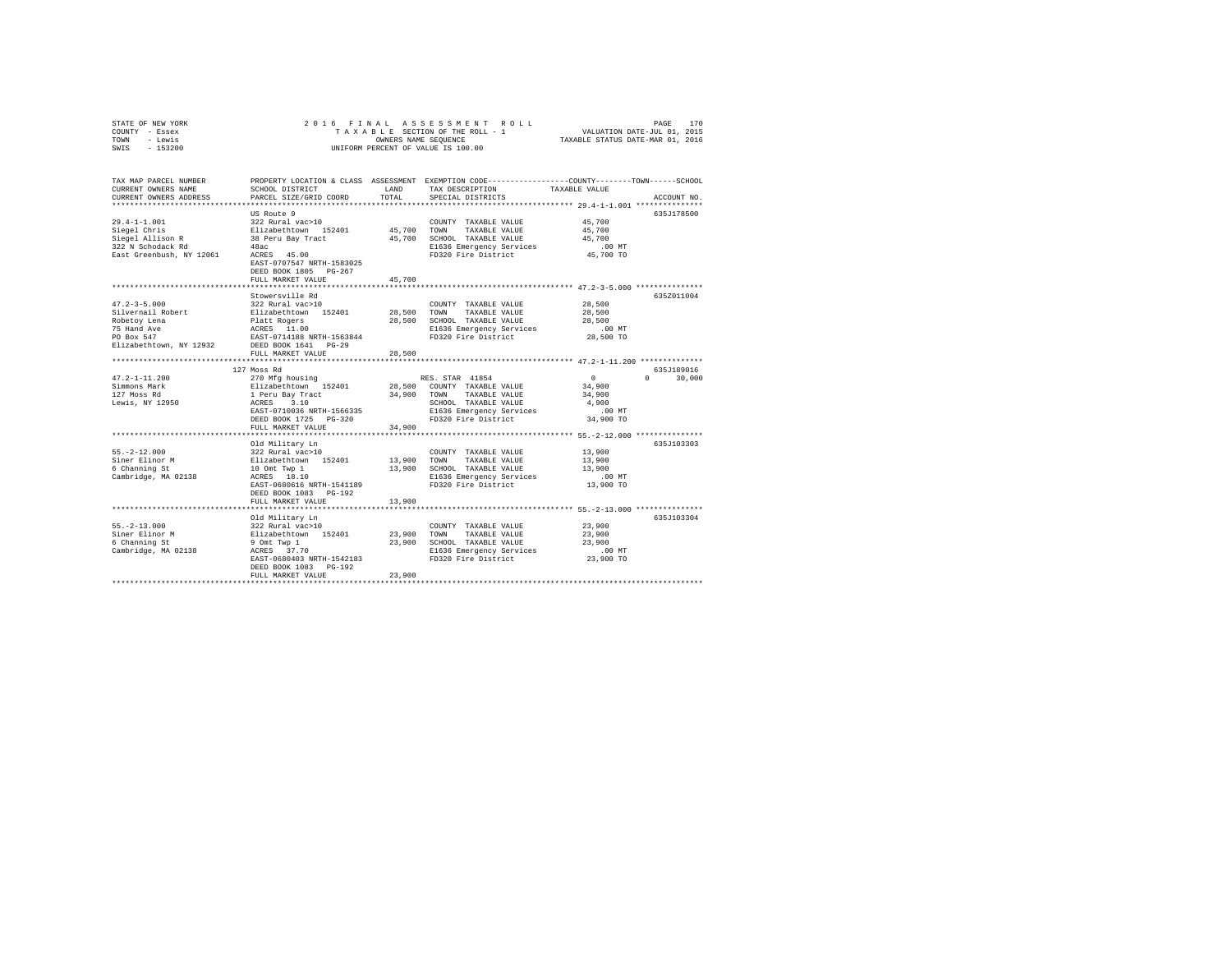| STATE OF NEW YORK                            | 2016 FINAL                                               |                      | ASSESSMENT ROLL                                                                                | VALUATION DATE-JUL 01, 2015      | 170<br>PAGE        |
|----------------------------------------------|----------------------------------------------------------|----------------------|------------------------------------------------------------------------------------------------|----------------------------------|--------------------|
| COUNTY - Essex                               |                                                          |                      | TAXABLE SECTION OF THE ROLL - 1                                                                | TAXABLE STATUS DATE-MAR 01, 2016 |                    |
| - Lewis<br>TOWN                              |                                                          | OWNERS NAME SEQUENCE |                                                                                                |                                  |                    |
| SWIS<br>$-153200$                            |                                                          |                      | UNIFORM PERCENT OF VALUE IS 100.00                                                             |                                  |                    |
|                                              |                                                          |                      |                                                                                                |                                  |                    |
| TAX MAP PARCEL NUMBER                        |                                                          |                      | PROPERTY LOCATION & CLASS ASSESSMENT EXEMPTION CODE---------------COUNTY-------TOWN-----SCHOOL |                                  |                    |
| CURRENT OWNERS NAME                          | SCHOOL DISTRICT                                          | LAND                 | TAX DESCRIPTION                                                                                | TAXABLE VALUE                    |                    |
| CURRENT OWNERS ADDRESS                       | PARCEL SIZE/GRID COORD                                   | TOTAL                | SPECIAL DISTRICTS                                                                              |                                  | ACCOUNT NO.        |
|                                              |                                                          |                      |                                                                                                |                                  |                    |
|                                              | US Route 9                                               |                      |                                                                                                |                                  | 635J178500         |
| $29.4 - 1 - 1.001$                           | 322 Rural vac>10                                         |                      | COUNTY TAXABLE VALUE                                                                           | 45,700                           |                    |
| Siegel Chris                                 | Elizabethtown 152401                                     | 45,700               | TOWN<br>TAXABLE VALUE                                                                          | 45,700                           |                    |
| Siegel Allison R                             | 38 Peru Bay Tract                                        |                      | 45,700 SCHOOL TAXABLE VALUE                                                                    | 45,700                           |                    |
| 322 N Schodack Rd                            | 48ac                                                     |                      | E1636 Emergency Services                                                                       | $.00$ MT                         |                    |
| East Greenbush, NY 12061                     | ACRES 45.00                                              |                      | FD320 Fire District                                                                            | 45,700 TO                        |                    |
|                                              | EAST-0707547 NRTH-1583025                                |                      |                                                                                                |                                  |                    |
|                                              | DEED BOOK 1805 PG-267                                    |                      |                                                                                                |                                  |                    |
|                                              | FULL MARKET VALUE                                        | 45,700               |                                                                                                |                                  |                    |
|                                              |                                                          |                      | ********************************** 47.2-3-5.000 ****************                               |                                  |                    |
|                                              | Stowersville Rd                                          |                      |                                                                                                |                                  | 635Z011004         |
| $47.2 - 3 - 5.000$                           | 322 Rural vac>10                                         |                      | COUNTY TAXABLE VALUE                                                                           | 28,500                           |                    |
| Silvernail Robert                            | Elizabethtown 152401                                     | 28,500               | TOWN<br>TAXABLE VALUE                                                                          | 28,500                           |                    |
| Robetoy Lena                                 |                                                          | 28,500               | SCHOOL TAXABLE VALUE                                                                           | 28,500                           |                    |
| 75 Hand Ave                                  | Platt Rogers<br>ACRES 11.00<br>EAST-0714188 NRTH-1563844 |                      | E1636 Emergency Services                                                                       | $.00$ MT                         |                    |
| PO Box 547                                   |                                                          |                      | FD320 Fire District                                                                            | 28,500 TO                        |                    |
| Elizabethtown, NY 12932 DEED BOOK 1641 PG-29 |                                                          |                      |                                                                                                |                                  |                    |
|                                              | FULL MARKET VALUE                                        | 28,500               |                                                                                                |                                  |                    |
|                                              |                                                          |                      |                                                                                                |                                  |                    |
|                                              | 127 Moss Rd                                              |                      |                                                                                                |                                  | 635J189016         |
| $47.2 - 1 - 11.200$                          | 270 Mfg housing                                          |                      | RES. STAR 41854                                                                                | 0                                | 30,000<br>$\Omega$ |
| Simmons Mark                                 | Elizabethtown 152401                                     |                      | 28,500 COUNTY TAXABLE VALUE                                                                    | 34,900                           |                    |
| 127 Moss Rd                                  | 1 Peru Bay Tract                                         | 34,900 TOWN          | TAXABLE VALUE                                                                                  | 34,900                           |                    |
| Lewis, NY 12950                              | ACRES 3.10                                               |                      | SCHOOL TAXABLE VALUE                                                                           | 4,900                            |                    |
|                                              | EAST-0710036 NRTH-1566335                                |                      | E1636 Emergency Services                                                                       | $.00$ MT                         |                    |
|                                              | DEED BOOK 1725 PG-320                                    |                      | FD320 Fire District                                                                            | 34,900 TO                        |                    |
|                                              | FULL MARKET VALUE                                        | 34,900               |                                                                                                |                                  |                    |
|                                              |                                                          |                      |                                                                                                |                                  |                    |
|                                              | Old Military Ln                                          |                      |                                                                                                |                                  | 635J103303         |
| $55. -2 - 12.000$                            | 322 Rural vac>10                                         |                      | COUNTY TAXABLE VALUE                                                                           | 13,900                           |                    |
| Siner Elinor M                               | Elizabethtown 152401                                     | 13,900               | TOWN<br>TAXABLE VALUE                                                                          | 13,900                           |                    |
| 6 Channing St                                | 10 Omt Twp 1                                             |                      | 13,900 SCHOOL TAXABLE VALUE                                                                    | 13,900                           |                    |
| Cambridge, MA 02138                          | ACRES 18.10                                              |                      | E1636 Emergency Services                                                                       | $.00$ MT                         |                    |
|                                              | EAST-0680616 NRTH-1541189                                |                      | FD320 Fire District                                                                            | 13,900 TO                        |                    |
|                                              | DEED BOOK 1083 PG-192                                    |                      |                                                                                                |                                  |                    |
|                                              | FULL MARKET VALUE                                        | 13,900               |                                                                                                |                                  |                    |
|                                              |                                                          |                      |                                                                                                |                                  |                    |
|                                              | Old Military Ln                                          |                      |                                                                                                |                                  | 635J103304         |
| $55. -2 - 13.000$                            | 322 Rural vac>10                                         |                      | COUNTY TAXABLE VALUE                                                                           | 23,900                           |                    |
| Siner Elinor M                               | Elizabethtown 152401                                     | 23,900               | TOWN<br>TAXABLE VALUE                                                                          | 23,900                           |                    |
| 6 Channing St                                | 9 Omt Twp 1                                              |                      | 23,900 SCHOOL TAXABLE VALUE                                                                    | 23,900                           |                    |
| Cambridge, MA 02138                          | ACRES 37.70                                              |                      | E1636 Emergency Services                                                                       | $.00$ MT                         |                    |
|                                              | EAST-0680403 NRTH-1542183                                |                      | FD320 Fire District                                                                            | 23,900 TO                        |                    |
|                                              | DEED BOOK 1083 PG-192                                    |                      |                                                                                                |                                  |                    |
|                                              | FULL MARKET VALUE                                        | 23,900               |                                                                                                |                                  |                    |
|                                              |                                                          |                      |                                                                                                |                                  |                    |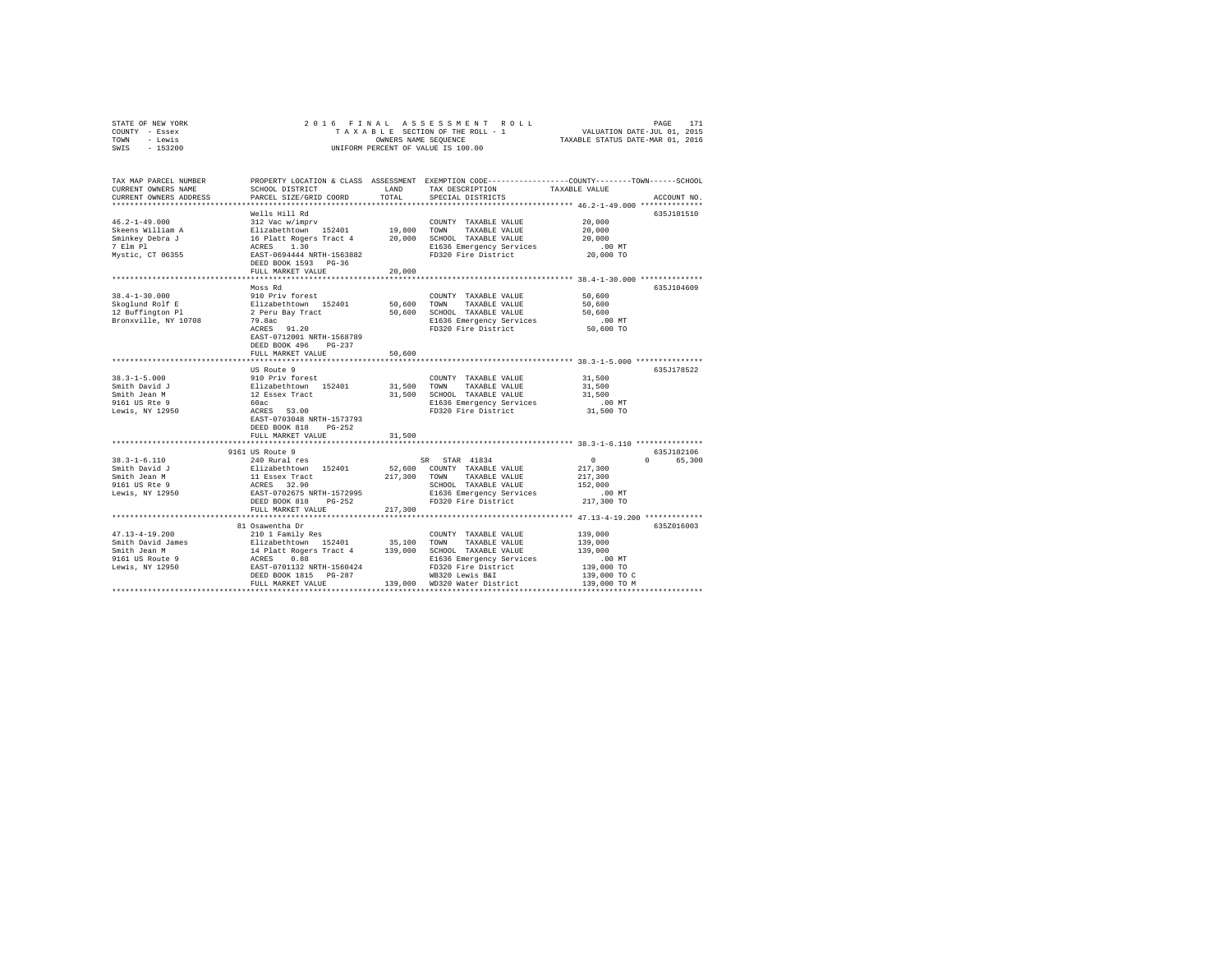| STATE OF NEW YORK |                      |  |  |  |  |  |  | 2016 FINAL ASSESSMENT ROLL         |                                  |  | PAGE                        | 171 |
|-------------------|----------------------|--|--|--|--|--|--|------------------------------------|----------------------------------|--|-----------------------------|-----|
| COUNTY - Essex    |                      |  |  |  |  |  |  | TAXABLE SECTION OF THE ROLL - 1    |                                  |  | VALUATION DATE-JUL 01, 2015 |     |
| TOWN<br>- Lewis   | OWNERS NAME SEOUENCE |  |  |  |  |  |  |                                    | TAXABLE STATUS DATE-MAR 01, 2016 |  |                             |     |
| $-153200$<br>SWIS |                      |  |  |  |  |  |  | UNIFORM PERCENT OF VALUE IS 100.00 |                                  |  |                             |     |

| TAX MAP PARCEL NUMBER<br>CURRENT OWNERS NAME                                               | SCHOOL DISTRICT                                                                                               | LAND        | TAX DESCRIPTION                                                                                                         | PROPERTY LOCATION & CLASS ASSESSMENT EXEMPTION CODE---------------COUNTY-------TOWN------SCHOOL<br>TAXABLE VALUE |
|--------------------------------------------------------------------------------------------|---------------------------------------------------------------------------------------------------------------|-------------|-------------------------------------------------------------------------------------------------------------------------|------------------------------------------------------------------------------------------------------------------|
| CURRENT OWNERS ADDRESS<br>**************************                                       | PARCEL SIZE/GRID COORD                                                                                        | TOTAL       | SPECIAL DISTRICTS                                                                                                       | ACCOUNT NO.                                                                                                      |
|                                                                                            | Wells Hill Rd                                                                                                 |             |                                                                                                                         | 635J101510                                                                                                       |
| $46.2 - 1 - 49.000$<br>Skeens William A<br>Sminkey Debra J<br>7 Elm Pl<br>Mystic, CT 06355 | 312 Vac w/imprv<br>Elizabethtown 152401<br>16 Platt Rogers Tract 4<br>ACRES 1.30<br>EAST-0694444 NRTH-1563882 | 19,800 TOWN | COUNTY TAXABLE VALUE<br>TAXABLE VALUE<br>20,000 SCHOOL TAXABLE VALUE<br>E1636 Emergency Services<br>FD320 Fire District | 20,000<br>20,000<br>20,000<br>$.00$ MT<br>20,000 TO                                                              |
|                                                                                            | DEED BOOK 1593 PG-36                                                                                          |             |                                                                                                                         |                                                                                                                  |
|                                                                                            | FULL MARKET VALUE                                                                                             | 20,000      |                                                                                                                         |                                                                                                                  |
|                                                                                            |                                                                                                               |             |                                                                                                                         | **************** 38.4-1-30.000 **************                                                                    |
|                                                                                            | Moss Rd                                                                                                       |             |                                                                                                                         | 635J104609                                                                                                       |
| $38.4 - 1 - 30.000$                                                                        | 910 Priv forest                                                                                               |             | COUNTY TAXABLE VALUE                                                                                                    | 50,600                                                                                                           |
| Skoglund Rolf E                                                                            | Elizabethtown 152401<br>2 Peru Bay Tract                                                                      | 50,600      | TOWN<br>TAXABLE VALUE                                                                                                   | 50,600                                                                                                           |
| 12 Buffington Pl                                                                           |                                                                                                               | 50,600      | SCHOOL TAXABLE VALUE                                                                                                    | 50,600                                                                                                           |
| Bronxville, NY 10708                                                                       | 79.8ac                                                                                                        |             | E1636 Emergency Services                                                                                                | .00 MT                                                                                                           |
|                                                                                            | ACRES 91.20<br>EAST-0712001 NRTH-1568789<br>DEED BOOK 496<br>$PG-237$                                         |             | FD320 Fire District                                                                                                     | 50,600 TO                                                                                                        |
|                                                                                            | FULL MARKET VALUE<br>*****************************                                                            | 50,600      |                                                                                                                         | **************************** 38.3-1-5.000 ***************                                                        |
|                                                                                            | US Route 9                                                                                                    |             |                                                                                                                         | 635J178522                                                                                                       |
| $38.3 - 1 - 5.000$                                                                         | 910 Priv forest                                                                                               |             | COUNTY TAXABLE VALUE                                                                                                    | 31,500                                                                                                           |
| Smith David J                                                                              | Elizabethtown 152401                                                                                          | 31,500 TOWN | TAXABLE VALUE                                                                                                           | 31,500                                                                                                           |
| Smith Jean M                                                                               |                                                                                                               |             | 31,500 SCHOOL TAXABLE VALUE                                                                                             | 31,500                                                                                                           |
| 9161 US Rte 9                                                                              | 12 Essex Tract<br>60ac                                                                                        |             | E1636 Emergency Services                                                                                                | $.00$ MT                                                                                                         |
| Lewis, NY 12950                                                                            | ACRES 53.00                                                                                                   |             | FD320 Fire District                                                                                                     | 31,500 TO                                                                                                        |
|                                                                                            | EAST-0703048 NRTH-1573793<br>DEED BOOK 818<br>$PG-252$                                                        |             |                                                                                                                         |                                                                                                                  |
|                                                                                            | FULL MARKET VALUE                                                                                             | 31,500      |                                                                                                                         |                                                                                                                  |
|                                                                                            | 9161 US Route 9                                                                                               |             |                                                                                                                         | 635J102106                                                                                                       |
| $38.3 - 1 - 6.110$                                                                         | 240 Rural res                                                                                                 |             | SR STAR 41834                                                                                                           | $\circ$<br>0 65,300                                                                                              |
| Smith David J                                                                              | Elizabethtown 152401                                                                                          |             | 52,600 COUNTY TAXABLE VALUE                                                                                             | 217,300                                                                                                          |
| Smith Jean M                                                                               | 11 Essex Tract                                                                                                |             | 217,300 TOWN TAXABLE VALUE                                                                                              | 217,300                                                                                                          |
| 9161 US Rte 9                                                                              | ACRES 32.90<br>EAST-0702675 NRTH-1572995                                                                      |             | SCHOOL TAXABLE VALUE                                                                                                    | 152,000                                                                                                          |
| Lewis, NY 12950                                                                            |                                                                                                               |             | E1636 Emergency Services                                                                                                | $.00$ MT                                                                                                         |
|                                                                                            | DEED BOOK 818<br>$PG-252$                                                                                     |             | FD320 Fire District                                                                                                     | 217,300 TO                                                                                                       |
|                                                                                            | FULL MARKET VALUE                                                                                             | 217,300     |                                                                                                                         |                                                                                                                  |
|                                                                                            |                                                                                                               |             |                                                                                                                         |                                                                                                                  |
| $47.13 - 4 - 19.200$                                                                       | 81 Osawentha Dr<br>210 1 Family Res                                                                           |             | COUNTY TAXABLE VALUE                                                                                                    | 635Z016003<br>139,000                                                                                            |
| Smith David James                                                                          | Elizabethtown 152401                                                                                          | 35,100      | TOWN<br>TAXABLE VALUE                                                                                                   | 139,000                                                                                                          |
| Smith Jean M                                                                               |                                                                                                               |             | SCHOOL TAXABLE VALUE                                                                                                    | 139,000                                                                                                          |
| 9161 US Route 9                                                                            | 14 Platt Rogers Tract 4 139,000<br>ACRES 0.88                                                                 |             | E1636 Emergency Services                                                                                                | $.00$ MT                                                                                                         |
| Lewis, NY 12950                                                                            | EAST-0701132 NRTH-1560424                                                                                     |             | FD320 Fire District                                                                                                     | 139,000 TO                                                                                                       |
|                                                                                            | DEED BOOK 1815 PG-287                                                                                         |             | WB320 Lewis B&I                                                                                                         | 139,000 TO C                                                                                                     |
|                                                                                            | FULL MARKET VALUE                                                                                             |             | 139,000 WD320 Water District                                                                                            | 139,000 TO M                                                                                                     |
|                                                                                            |                                                                                                               |             | **************************************                                                                                  |                                                                                                                  |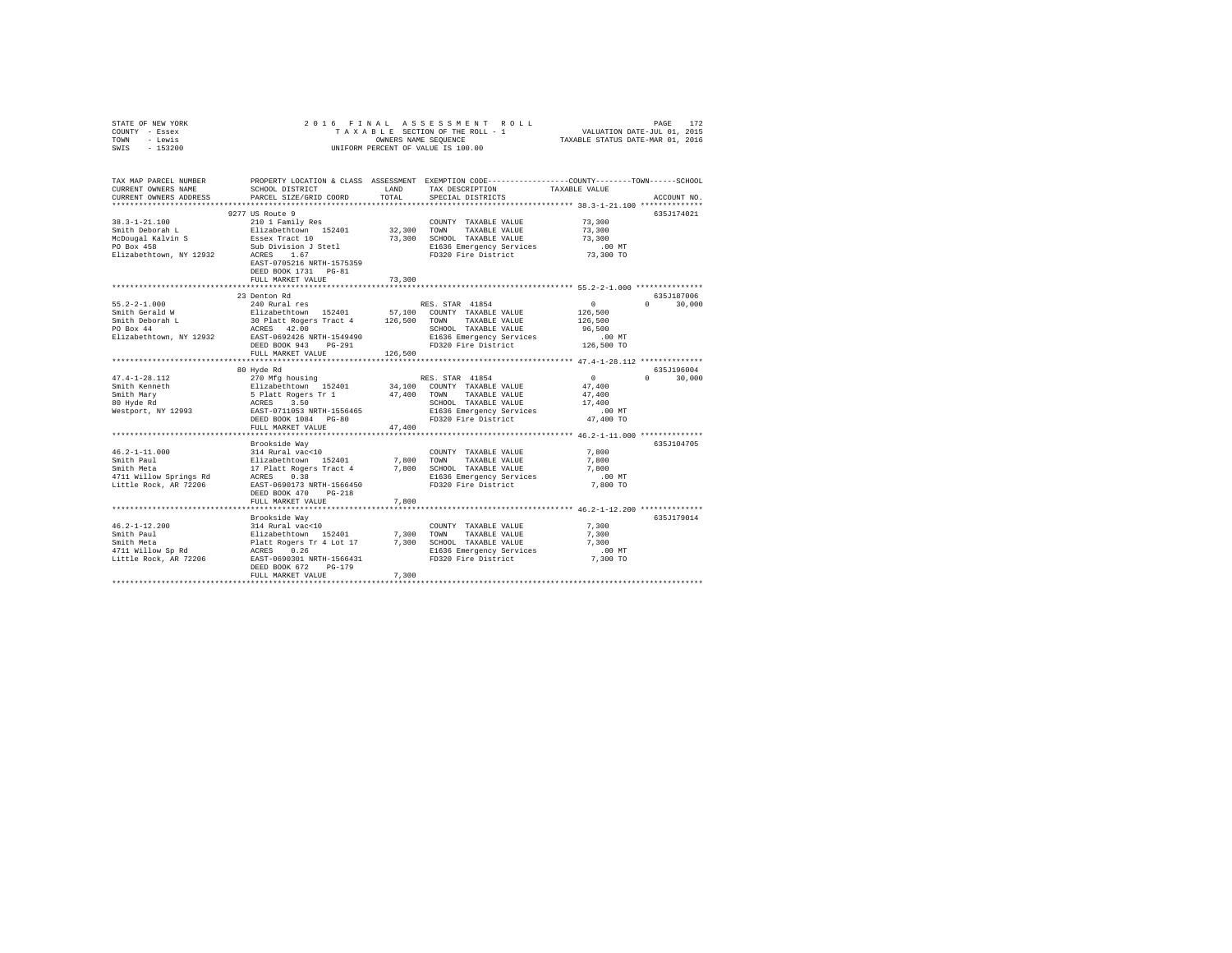|                | STATE OF NEW YORK |  |  |  | 2016 FINAL ASSESSMENT ROLL         |  |                                  | PAGE | 172 |
|----------------|-------------------|--|--|--|------------------------------------|--|----------------------------------|------|-----|
| COUNTY - Essex |                   |  |  |  | TAXABLE SECTION OF THE ROLL - 1    |  | VALUATION DATE-JUL 01, 2015      |      |     |
| TOWN           | - Lewis           |  |  |  | OWNERS NAME SEOUENCE               |  | TAXABLE STATUS DATE-MAR 01, 2016 |      |     |
| SWIS           | - 153200          |  |  |  | UNIFORM PERCENT OF VALUE IS 100.00 |  |                                  |      |     |
|                |                   |  |  |  |                                    |  |                                  |      |     |

| TAX MAP PARCEL NUMBER                                                     |                                                                                                                                                                                                                                                                                                                                    |         | PROPERTY LOCATION & CLASS ASSESSMENT EXEMPTION CODE---------------COUNTY------TOWN-----SCHOOL |                      |                                 |
|---------------------------------------------------------------------------|------------------------------------------------------------------------------------------------------------------------------------------------------------------------------------------------------------------------------------------------------------------------------------------------------------------------------------|---------|-----------------------------------------------------------------------------------------------|----------------------|---------------------------------|
| CURRENT OWNERS NAME                                                       | SCHOOL DISTRICT                                                                                                                                                                                                                                                                                                                    | LAND    | TAX DESCRIPTION                                                                               | TAXABLE VALUE        |                                 |
| CURRENT OWNERS ADDRESS                                                    | PARCEL SIZE/GRID COORD                                                                                                                                                                                                                                                                                                             | TOTAL   | SPECIAL DISTRICTS                                                                             |                      | ACCOUNT NO.                     |
|                                                                           |                                                                                                                                                                                                                                                                                                                                    |         |                                                                                               |                      |                                 |
|                                                                           | 9277 US Route 9                                                                                                                                                                                                                                                                                                                    |         |                                                                                               |                      | 635J174021                      |
| 38.3-1-21.100                                                             | 210 1 Family Res                                                                                                                                                                                                                                                                                                                   |         | COUNTY TAXABLE VALUE                                                                          | 73,300               |                                 |
| Smith Deborah L                                                           | Elizabethtown 152401 32,300 TOWN                                                                                                                                                                                                                                                                                                   |         | TAXABLE VALUE                                                                                 | 73,300               |                                 |
|                                                                           |                                                                                                                                                                                                                                                                                                                                    |         | 73,300 SCHOOL TAXABLE VALUE                                                                   | 73,300               |                                 |
| McDougal Kalvin S<br>PO Box 458                                           | Essex Tract 10<br>Sub Division J Stetl                                                                                                                                                                                                                                                                                             |         | E1636 Emergency Services                                                                      | $.00$ MT             |                                 |
| Elizabethtown, NY 12932                                                   | ACRES 1.67                                                                                                                                                                                                                                                                                                                         |         | FD320 Fire District                                                                           | 73,300 TO            |                                 |
|                                                                           | EAST-0705216 NRTH-1575359                                                                                                                                                                                                                                                                                                          |         |                                                                                               |                      |                                 |
|                                                                           | DEED BOOK 1731 PG-81                                                                                                                                                                                                                                                                                                               |         |                                                                                               |                      |                                 |
|                                                                           | FULL MARKET VALUE                                                                                                                                                                                                                                                                                                                  | 73,300  |                                                                                               |                      |                                 |
|                                                                           |                                                                                                                                                                                                                                                                                                                                    |         |                                                                                               |                      |                                 |
|                                                                           | 23 Denton Rd                                                                                                                                                                                                                                                                                                                       |         |                                                                                               |                      | 635J187006                      |
| 55.2-2-1.000                                                              | 240 Rural res                                                                                                                                                                                                                                                                                                                      |         | RES. STAR 41854                                                                               | $\mathbf{0}$         | $0 \t 30,000$                   |
| Smith Gerald W                                                            | Elizabethtown 152401 57,100 COUNTY TAXABLE VALUE                                                                                                                                                                                                                                                                                   |         |                                                                                               | 126,500              |                                 |
| Smith Deborah L                                                           |                                                                                                                                                                                                                                                                                                                                    |         |                                                                                               | 126,500              |                                 |
| PO Box 44                                                                 |                                                                                                                                                                                                                                                                                                                                    |         |                                                                                               | 96,500               |                                 |
|                                                                           |                                                                                                                                                                                                                                                                                                                                    |         |                                                                                               |                      |                                 |
| Elizabethtown, NY 12932 EAST-0692426 NRTH-1549490<br>DEED BOOK 943 PG-291 |                                                                                                                                                                                                                                                                                                                                    |         | E1636 Emergency Services<br>FD320 Fire District                                               | .00 MT<br>126,500 TO |                                 |
|                                                                           |                                                                                                                                                                                                                                                                                                                                    |         |                                                                                               |                      |                                 |
|                                                                           | FULL MARKET VALUE                                                                                                                                                                                                                                                                                                                  | 126,500 |                                                                                               |                      |                                 |
|                                                                           |                                                                                                                                                                                                                                                                                                                                    |         |                                                                                               |                      |                                 |
|                                                                           | 80 Hyde Rd                                                                                                                                                                                                                                                                                                                         |         |                                                                                               |                      | 635J196004<br>$0 \qquad \qquad$ |
|                                                                           |                                                                                                                                                                                                                                                                                                                                    |         |                                                                                               | $\sim$ 0             | 30,000                          |
|                                                                           |                                                                                                                                                                                                                                                                                                                                    |         |                                                                                               | 47,400               |                                 |
|                                                                           |                                                                                                                                                                                                                                                                                                                                    |         |                                                                                               | 47,400               |                                 |
|                                                                           |                                                                                                                                                                                                                                                                                                                                    |         |                                                                                               | 17,400               |                                 |
|                                                                           |                                                                                                                                                                                                                                                                                                                                    |         |                                                                                               | $.00$ MT             |                                 |
|                                                                           | DEED BOOK 1084 PG-80                                                                                                                                                                                                                                                                                                               |         | FD320 Fire District 47,400 TO                                                                 |                      |                                 |
|                                                                           | FULL MARKET VALUE                                                                                                                                                                                                                                                                                                                  | 47,400  |                                                                                               |                      |                                 |
|                                                                           |                                                                                                                                                                                                                                                                                                                                    |         |                                                                                               |                      |                                 |
|                                                                           | Brookside Wav                                                                                                                                                                                                                                                                                                                      |         |                                                                                               |                      | 635J104705                      |
| $46.2 - 1 - 11.000$                                                       |                                                                                                                                                                                                                                                                                                                                    |         |                                                                                               | 7,800                |                                 |
| Smith Paul                                                                |                                                                                                                                                                                                                                                                                                                                    |         |                                                                                               | 7,800                |                                 |
| Smith Meta                                                                |                                                                                                                                                                                                                                                                                                                                    |         |                                                                                               | 7.800                |                                 |
| 4711 Willow Springs Rd                                                    |                                                                                                                                                                                                                                                                                                                                    |         |                                                                                               | .00MT                |                                 |
| Little Rock, AR 72206                                                     | EAST-0690173 NRTH-1566450                                                                                                                                                                                                                                                                                                          |         | FD320 Fire District                                                                           | 7,800 TO             |                                 |
|                                                                           | DEED BOOK 470 PG-218                                                                                                                                                                                                                                                                                                               |         |                                                                                               |                      |                                 |
|                                                                           | FULL MARKET VALUE                                                                                                                                                                                                                                                                                                                  | 7,800   |                                                                                               |                      |                                 |
|                                                                           |                                                                                                                                                                                                                                                                                                                                    |         |                                                                                               |                      |                                 |
|                                                                           |                                                                                                                                                                                                                                                                                                                                    |         |                                                                                               |                      | 635J179014                      |
| 46.2-1-12.200                                                             |                                                                                                                                                                                                                                                                                                                                    |         | COUNTY TAXABLE VALUE                                                                          | 7.300                |                                 |
| Smith Paul                                                                |                                                                                                                                                                                                                                                                                                                                    |         | TAXABLE VALUE                                                                                 | 7,300                |                                 |
| Smith Meta                                                                |                                                                                                                                                                                                                                                                                                                                    |         | 7,300 SCHOOL TAXABLE VALUE                                                                    | 7,300                |                                 |
| 4711 Willow Sp Rd                                                         |                                                                                                                                                                                                                                                                                                                                    |         | E1636 Emergency Services                                                                      | $.00$ MT             |                                 |
| Little Rock, AR 72206                                                     | $\begin{tabular}{llllllll} \textsc{Brookside May} & & & \textsc{COUNT} \\ 314 \textsc{Rural vac} & 10 & & & \textsc{COUNT} \\ \textsc{Elizabeth, Roger Tr 4 Lot1} & & 7,300 & \textsc{TONT} \\ \textsc{Puct. Rogers & 0.26 & & 1000 & \textsc{SE1636} \\ \textsc{RAST-0690301 NRTH-1566431} & & & \textsc{F0320} \\ \end{tabular}$ |         | FD320 Fire District                                                                           | 7,300 TO             |                                 |
|                                                                           | DEED BOOK 672<br>PG-179                                                                                                                                                                                                                                                                                                            |         |                                                                                               |                      |                                 |
|                                                                           |                                                                                                                                                                                                                                                                                                                                    |         |                                                                                               |                      |                                 |
|                                                                           |                                                                                                                                                                                                                                                                                                                                    |         |                                                                                               |                      |                                 |
|                                                                           |                                                                                                                                                                                                                                                                                                                                    |         |                                                                                               |                      |                                 |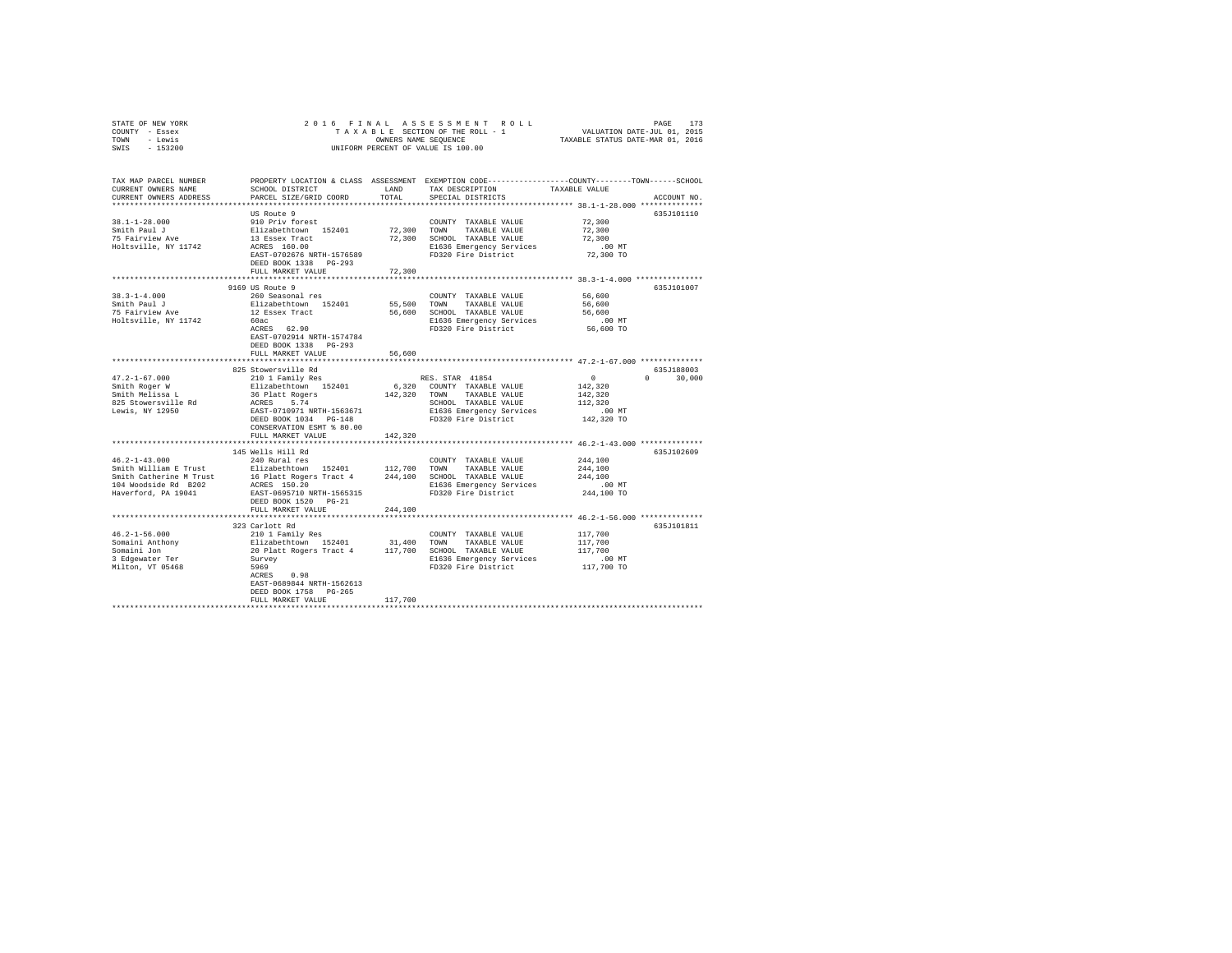| STATE OF NEW YORK                                 |                                                                                                                                                         |              |                                                               |                                                     |               |
|---------------------------------------------------|---------------------------------------------------------------------------------------------------------------------------------------------------------|--------------|---------------------------------------------------------------|-----------------------------------------------------|---------------|
| COUNTY - Essex                                    |                                                                                                                                                         |              |                                                               |                                                     |               |
| TOWN - Lewis                                      |                                                                                                                                                         |              |                                                               |                                                     |               |
| SWIS - 153200                                     |                                                                                                                                                         |              |                                                               |                                                     |               |
|                                                   |                                                                                                                                                         |              |                                                               |                                                     |               |
|                                                   |                                                                                                                                                         |              |                                                               |                                                     |               |
| TAX MAP PARCEL NUMBER                             | PROPERTY LOCATION & CLASS ASSESSMENT EXEMPTION CODE---------------COUNTY-------TOWN------SCHOOL                                                         |              |                                                               |                                                     |               |
| CURRENT OWNERS NAME                               | SCHOOL DISTRICT                                                                                                                                         | LAND         | TAX DESCRIPTION                                               | TAXABLE VALUE                                       |               |
| CURRENT OWNERS ADDRESS                            | PARCEL SIZE/GRID COORD                                                                                                                                  | TOTAL        | SPECIAL DISTRICTS                                             |                                                     | ACCOUNT NO.   |
|                                                   |                                                                                                                                                         |              |                                                               |                                                     |               |
|                                                   | US Route 9                                                                                                                                              |              |                                                               |                                                     | 635J101110    |
| $38.1 - 1 - 28.000$                               | 910 Priv forest                                                                                                                                         |              | COUNTY TAXABLE VALUE                                          | 72,300                                              |               |
| Smith Paul J                                      | Elizabethtown 152401<br>13 Essex Tract                                                                                                                  |              | 72,300 TOWN TAXABLE VALUE                                     | 72,300                                              |               |
| 75 Fairview Ave                                   |                                                                                                                                                         |              | 72,300 SCHOOL TAXABLE VALUE                                   | 72,300                                              |               |
| Holtsville, NY 11742                              | ACRES 160.00                                                                                                                                            |              |                                                               | $.00$ MT                                            |               |
|                                                   |                                                                                                                                                         |              |                                                               | 72,300 TO                                           |               |
|                                                   | DEED BOOK 1338 PG-293                                                                                                                                   |              |                                                               |                                                     |               |
|                                                   | FULL MARKET VALUE                                                                                                                                       | 72,300       |                                                               |                                                     |               |
|                                                   |                                                                                                                                                         |              |                                                               |                                                     |               |
|                                                   | 9169 US Route 9<br>260 Seasonal res                                                                                                                     |              |                                                               | 56,600                                              | 635J101007    |
| $38.3 - 1 - 4.000$<br>Smith Paul J                |                                                                                                                                                         | 55,500 TOWN  | COUNTY TAXABLE VALUE                                          | 56,600                                              |               |
| 75 Fairview Ave                                   | Elizabethtown 152401                                                                                                                                    |              | TAXABLE VALUE<br>56,600 SCHOOL TAXABLE VALUE                  |                                                     |               |
|                                                   | 12 Essex Tract<br>60ac                                                                                                                                  |              |                                                               | 56,600                                              |               |
| Holtsville, NY 11742                              | 60ac<br>ACRES 62.90                                                                                                                                     |              | E1636 Emergency Services<br>FD320 Fire District               | $.00$ MT<br>56,600 TO                               |               |
|                                                   | EAST-0702914 NRTH-1574784                                                                                                                               |              |                                                               |                                                     |               |
|                                                   | DEED BOOK 1338 PG-293                                                                                                                                   |              |                                                               |                                                     |               |
|                                                   | FULL MARKET VALUE                                                                                                                                       | 56,600       |                                                               |                                                     |               |
|                                                   | ****************************                                                                                                                            |              |                                                               | ********************** 47.2-1-67.000 ************** |               |
|                                                   | 825 Stowersville Rd                                                                                                                                     |              |                                                               |                                                     | 635J188003    |
|                                                   | 210 1 Family Res                                                                                                                                        |              | RES. STAR 41854                                               | $\sim$ 0                                            | $0 \t 30.000$ |
| 47.2-1-67.000<br>Smith Roger W<br>Smith Melissa L | Elizabethtown 152401                                                                                                                                    |              | 6,320 COUNTY TAXABLE VALUE                                    | 142,320                                             |               |
|                                                   | 36 Platt Rogers                                                                                                                                         |              | 142,320 TOWN TAXABLE VALUE                                    | 142,320                                             |               |
| 825 Stowersville Rd                               |                                                                                                                                                         |              | SCHOOL TAXABLE VALUE                                          | 112,320                                             |               |
| Lewis, NY 12950                                   | ACRES 5.74<br>EAST-0710971 NRTH-1563671                                                                                                                 |              | E1636 Emergency Services                                      | $.00$ MT                                            |               |
|                                                   | DEED BOOK 1034 PG-148                                                                                                                                   |              | FD320 Fire District                                           | 142,320 TO                                          |               |
|                                                   | CONSERVATION ESMT % 80.00                                                                                                                               |              |                                                               |                                                     |               |
|                                                   | FULL MARKET VALUE                                                                                                                                       | 142,320      |                                                               |                                                     |               |
|                                                   |                                                                                                                                                         | ************ | ******************************** 46.2-1-43.000 ************** |                                                     |               |
|                                                   | 145 Wells Hill Rd                                                                                                                                       |              |                                                               |                                                     | 635J102609    |
| $46.2 - 1 - 43.000$                               | 240 Rural res                                                                                                                                           |              | COUNTY TAXABLE VALUE                                          | 244,100                                             |               |
| Smith William E Trust                             |                                                                                                                                                         |              |                                                               | 244,100                                             |               |
| Smith Catherine M Trust                           | Elizabethtown 152401 112,700 TOWN TAXABLE VALUE<br>16 Flatt Rogers Tract 4 244,100 SCHOOL TAXABLE VALUE<br>ACRES 150.20 SCHOOL RIG36 Emergency Services |              |                                                               | 244,100                                             |               |
| 104 Woodside Rd B202                              |                                                                                                                                                         |              |                                                               | .00MT                                               |               |
| Haverford, PA 19041                               | EAST-0695710 NRTH-1565315                                                                                                                               |              | FD320 Fire District                                           | 244,100 TO                                          |               |
|                                                   | DEED BOOK 1520 PG-21                                                                                                                                    |              |                                                               |                                                     |               |
|                                                   | FULL MARKET VALUE                                                                                                                                       | 244,100      |                                                               |                                                     |               |
|                                                   |                                                                                                                                                         |              |                                                               |                                                     |               |
|                                                   | 323 Carlott Rd                                                                                                                                          |              |                                                               |                                                     | 635J101811    |
| $46.2 - 1 - 56.000$                               | 210 1 Family Res                                                                                                                                        |              | COUNTY TAXABLE VALUE                                          | 117,700                                             |               |
| Somaini Anthony<br>Somaini Jon                    | Elizabethtown 152401 31,400 TOWN TAXABLE VALUE<br>20 Platt Rogers Tract 4 117,700 SCHOOL TAXABLE VALUE                                                  |              |                                                               | 117,700                                             |               |
|                                                   |                                                                                                                                                         |              |                                                               | 117,700                                             |               |
| 3 Edgewater Ter                                   | Survey                                                                                                                                                  |              | E1636 Emergency Services                                      | 00 MT.<br>117,700 TO                                |               |
| Milton, VT 05468                                  | 5969                                                                                                                                                    |              | FD320 Fire District                                           |                                                     |               |
|                                                   | ACRES 0.98                                                                                                                                              |              |                                                               |                                                     |               |
|                                                   | EAST-0689844 NRTH-1562613                                                                                                                               |              |                                                               |                                                     |               |
|                                                   | DEED BOOK 1758 PG-265                                                                                                                                   |              |                                                               |                                                     |               |
|                                                   | FULL MARKET VALUE                                                                                                                                       | 117,700      |                                                               |                                                     |               |
|                                                   |                                                                                                                                                         |              |                                                               |                                                     |               |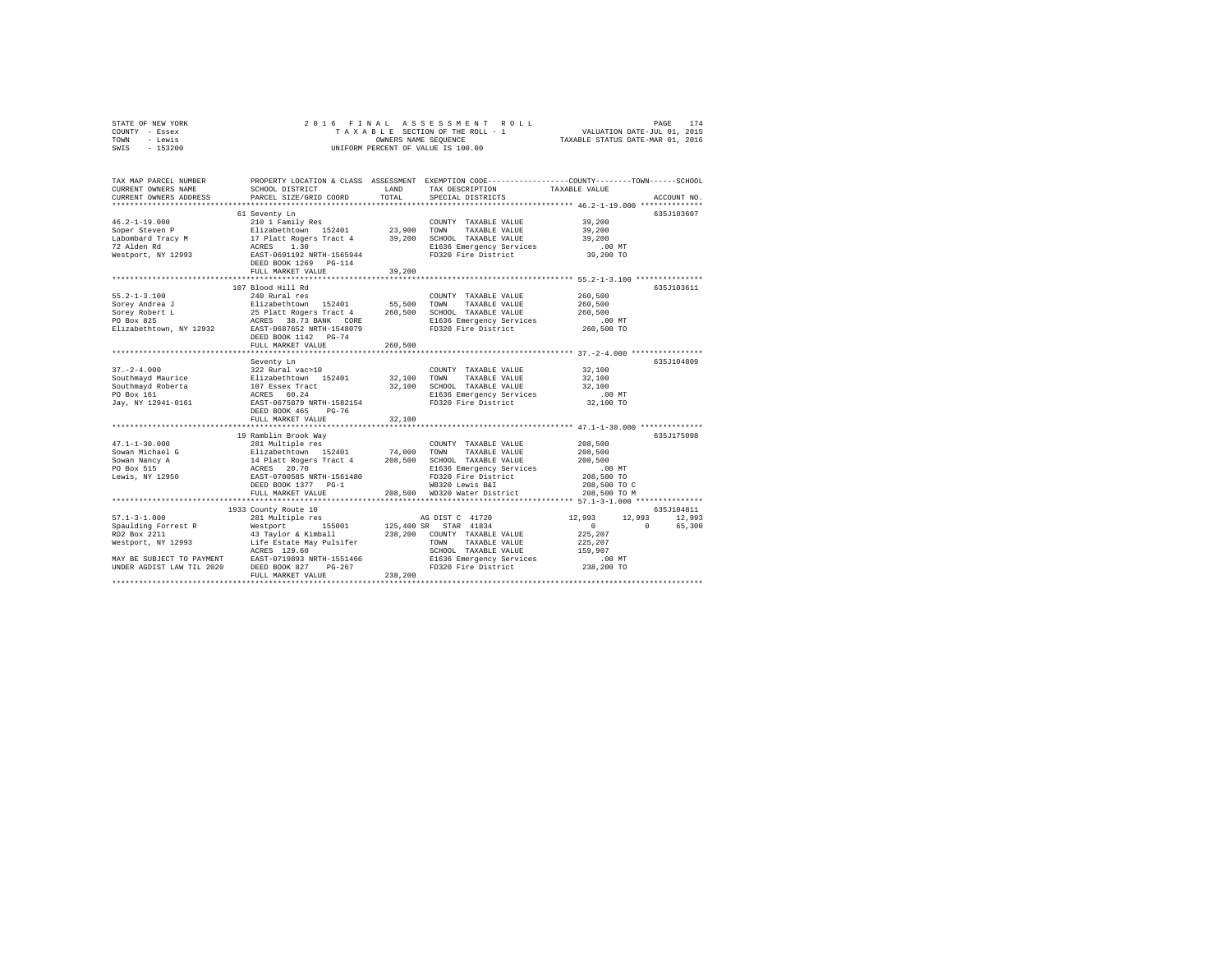|      | STATE OF NEW YORK |  |  | 2016 FINAL ASSESSMENT ROLL         | 174<br>PAGE                      |  |
|------|-------------------|--|--|------------------------------------|----------------------------------|--|
|      | COUNTY - Essex    |  |  | TAXABLE SECTION OF THE ROLL - 1    | VALUATION DATE-JUL 01, 2015      |  |
| TOWN | - Lewis           |  |  | OWNERS NAME SEOUENCE               | TAXABLE STATUS DATE-MAR 01, 2016 |  |
| SWIS | $-153200$         |  |  | UNIFORM PERCENT OF VALUE IS 100.00 |                                  |  |

| TAX MAP PARCEL NUMBER<br>CURRENT OWNERS NAME<br>CURRENT OWNERS ADDRESS | SCHOOL DISTRICT<br>PARCEL SIZE/GRID COORD               | LAND<br>TOTAL | TAX DESCRIPTION<br>SPECIAL DISTRICTS | PROPERTY LOCATION & CLASS ASSESSMENT EXEMPTION CODE----------------COUNTY-------TOWN-----SCHOOL<br>TAXABLE VALUE<br>ACCOUNT NO. |
|------------------------------------------------------------------------|---------------------------------------------------------|---------------|--------------------------------------|---------------------------------------------------------------------------------------------------------------------------------|
|                                                                        |                                                         |               |                                      |                                                                                                                                 |
|                                                                        | 61 Seventy Ln                                           |               |                                      | 635J103607                                                                                                                      |
| $46.2 - 1 - 19.000$                                                    | 210 1 Family Res                                        |               | COUNTY TAXABLE VALUE                 | 39,200                                                                                                                          |
| Soper Steven P                                                         | Elizabethtown 152401<br>17 Platt Rogers Tract 4         | 23,900        | TOWN<br>TAXABLE VALUE                | 39,200                                                                                                                          |
| Labombard Tracy M                                                      |                                                         | 39,200        | SCHOOL TAXABLE VALUE                 | 39,200                                                                                                                          |
| 72 Alden Rd                                                            | ACRES<br>1.30                                           |               | E1636 Emergency Services             | $.00$ MT                                                                                                                        |
| Westport, NY 12993                                                     | EAST-0691192 NRTH-1565944<br>DEED BOOK 1269<br>$PG-114$ |               | FD320 Fire District                  | 39,200 TO                                                                                                                       |
|                                                                        | FULL MARKET VALUE                                       | 39,200        |                                      |                                                                                                                                 |
|                                                                        |                                                         |               |                                      |                                                                                                                                 |
|                                                                        | 107 Blood Hill Rd                                       |               |                                      | 635.T103611                                                                                                                     |
| $55.2 - 1 - 3.100$                                                     | 240 Rural res                                           |               | COUNTY TAXABLE VALUE                 | 260,500                                                                                                                         |
| Sorey Andrea J                                                         | Elizabethtown 152401                                    | 55,500        | TOWN<br>TAXABLE VALUE                | 260,500                                                                                                                         |
| Sorev Robert L                                                         | 25 Platt Rogers Tract 4                                 | 260,500       | SCHOOL TAXABLE VALUE                 | 260,500                                                                                                                         |
| PO Box 825                                                             | ACRES 38.73 BANK CORE                                   |               | E1636 Emergency Services             | $.00$ MT                                                                                                                        |
| Elizabethtown, NY 12932                                                | EAST-0687652 NRTH-1548079                               |               | FD320 Fire District                  | 260,500 TO                                                                                                                      |
|                                                                        | DEED BOOK 1142 PG-74                                    |               |                                      |                                                                                                                                 |
|                                                                        | FULL MARKET VALUE                                       | 260,500       |                                      |                                                                                                                                 |
|                                                                        |                                                         |               |                                      | 635J104809                                                                                                                      |
| $37. - 2 - 4.000$                                                      | Seventy Ln<br>322 Rural vac>10                          |               | COUNTY TAXABLE VALUE                 | 32,100                                                                                                                          |
| Southmayd Maurice                                                      |                                                         | 32,100        | TAXABLE VALUE<br>TOWN                | 32,100                                                                                                                          |
| Southmayd Roberta                                                      | Elizabethtown 152401<br>107 Essex Tract                 | 32,100        | SCHOOL TAXABLE VALUE                 | 32,100                                                                                                                          |
| PO Box 161                                                             | ACRES 60.24                                             |               | E1636 Emergency Services             | $.00$ MT                                                                                                                        |
| Jay, NY 12941-0161                                                     | EAST-0675879 NRTH-1582154                               |               | FD320 Fire District                  | 32,100 TO                                                                                                                       |
|                                                                        | DEED BOOK 465<br>$PG-76$                                |               |                                      |                                                                                                                                 |
|                                                                        | FULL MARKET VALUE                                       | 32,100        |                                      |                                                                                                                                 |
|                                                                        |                                                         |               |                                      |                                                                                                                                 |
|                                                                        | 19 Ramblin Brook Way                                    |               |                                      | 635J175008                                                                                                                      |
| $47.1 - 1 - 30.000$                                                    | 281 Multiple res                                        |               | COUNTY TAXABLE VALUE                 | 208,500                                                                                                                         |
| Sowan Michael G                                                        | Elizabethtown 152401                                    | 74,000        | TOWN<br>TAXABLE VALUE                | 208,500                                                                                                                         |
| Sowan Nancy A                                                          |                                                         | 208,500       | SCHOOL TAXABLE VALUE                 | 208,500                                                                                                                         |
| PO Box 515                                                             | 14 Platt Rogers Tract 4<br>ACRES 20.70                  |               | E1636 Emergency Services             | $.00$ MT                                                                                                                        |
| Lewis, NY 12950                                                        | EAST-0700585 NRTH-1561480                               |               | FD320 Fire District                  | 208,500 TO                                                                                                                      |
|                                                                        | DEED BOOK 1377 PG-1                                     |               | WB320 Lewis B&I                      | 208,500 TO C                                                                                                                    |
|                                                                        | FULL MARKET VALUE                                       |               | 208,500 WD320 Water District         | 208,500 TO M                                                                                                                    |
|                                                                        | *******************************                         |               |                                      |                                                                                                                                 |
|                                                                        | 1933 County Route 10                                    |               |                                      | 635J104811                                                                                                                      |
| $57.1 - 3 - 1.000$                                                     | 281 Multiple res                                        |               | AG DIST C 41720                      | 12,993<br>12,993<br>12,993                                                                                                      |
| Spaulding Forrest R                                                    | 155001<br>Westport                                      | 125,400 SR    | STAR 41834                           | 65,300<br>$^{\circ}$<br>$\Omega$                                                                                                |
| RD2 Box 2211                                                           | 43 Taylor & Kimball                                     | 238,200       | COUNTY TAXABLE VALUE                 | 225,207                                                                                                                         |
| Westport, NY 12993                                                     | Life Estate May Pulsifer                                |               | TAXABLE VALUE<br>TOWN                | 225,207                                                                                                                         |
|                                                                        | ACRES 129.60                                            |               | SCHOOL TAXABLE VALUE                 | 159,907                                                                                                                         |
| MAY BE SUBJECT TO PAYMENT                                              | EAST-0719893 NRTH-1551466                               |               | E1636 Emergency Services             | .00MT                                                                                                                           |
| UNDER AGDIST LAW TIL 2020                                              | DEED BOOK 827<br>PG-267                                 |               | FD320 Fire District                  | 238,200 TO                                                                                                                      |
|                                                                        | FULL MARKET VALUE                                       | 238,200       |                                      |                                                                                                                                 |
|                                                                        |                                                         |               |                                      |                                                                                                                                 |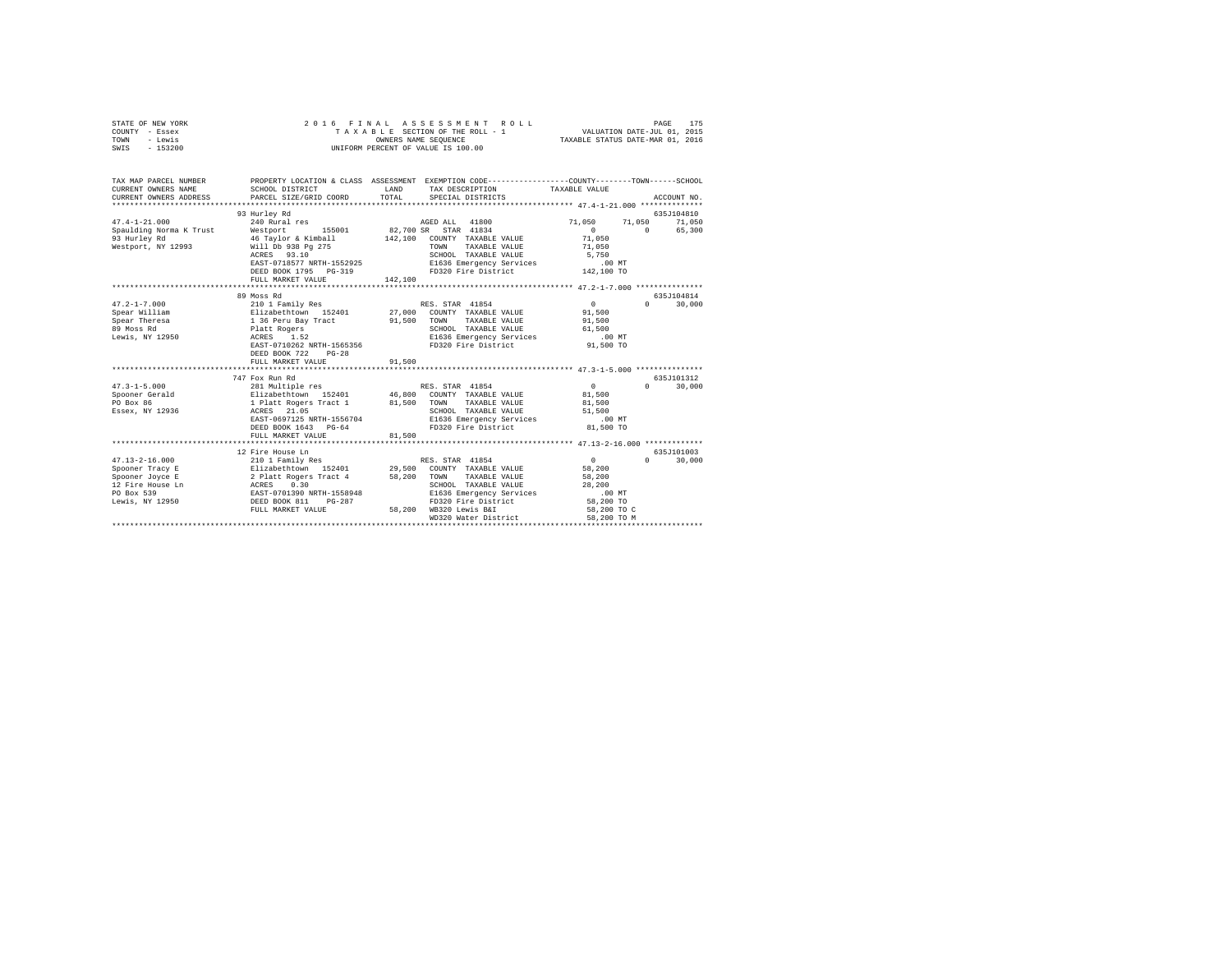|      | STATE OF NEW YORK |  |  | 2016 FINAL ASSESSMENT ROLL         | 175<br>PAGE                      |  |
|------|-------------------|--|--|------------------------------------|----------------------------------|--|
|      | COUNTY - Essex    |  |  | TAXABLE SECTION OF THE ROLL - 1    | VALUATION DATE-JUL 01, 2015      |  |
| TOWN | - Lewis           |  |  | OWNERS NAME SEOUENCE               | TAXABLE STATUS DATE-MAR 01, 2016 |  |
| SWIS | $-153200$         |  |  | UNIFORM PERCENT OF VALUE IS 100.00 |                                  |  |

| TAX MAP PARCEL NUMBER<br>CURRENT OWNERS NAME<br>CURRENT OWNERS ADDRESS | PROPERTY LOCATION & CLASS ASSESSMENT EXEMPTION CODE----------------COUNTY-------TOWN-----SCHOOL<br>SCHOOL DISTRICT<br>PARCEL SIZE/GRID COORD | <b>T.AND</b><br>TOTAL | TAX DESCRIPTION TAXABLE VALUE<br>SPECIAL DISTRICTS |             |          | ACCOUNT NO. |
|------------------------------------------------------------------------|----------------------------------------------------------------------------------------------------------------------------------------------|-----------------------|----------------------------------------------------|-------------|----------|-------------|
|                                                                        | 93 Hurley Rd                                                                                                                                 |                       |                                                    |             |          | 635J104810  |
| $47.4 - 1 - 21.000$                                                    | 240 Rural res                                                                                                                                |                       | AGED ALL 41800                                     | 71,050      | 71,050   | $71\,, 050$ |
| Spaulding Norma K Trust                                                | Westport 155001 82,700 SR STAR 41834                                                                                                         |                       |                                                    | $\Omega$    | $\Omega$ | 65,300      |
| 93 Hurley Rd                                                           | 46 Taylor & Kimball 142.100                                                                                                                  |                       | COUNTY TAXABLE VALUE                               | 71,050      |          |             |
| Westport, NY 12993                                                     | Will Db 938 Pg 275                                                                                                                           |                       | TAXABLE VALUE<br>TOWN                              | 71,050      |          |             |
|                                                                        | ACRES 93.10                                                                                                                                  |                       | SCHOOL TAXABLE VALUE                               | 5,750       |          |             |
|                                                                        | EAST-0718577 NRTH-1552925                                                                                                                    |                       | E1636 Emergency Services                           | .00MT       |          |             |
|                                                                        | DEED BOOK 1795 PG-319                                                                                                                        |                       | FD320 Fire District 142,100 TO                     |             |          |             |
|                                                                        | FULL MARKET VALUE                                                                                                                            | 142,100               |                                                    |             |          |             |
|                                                                        | ***************************                                                                                                                  |                       |                                                    |             |          |             |
|                                                                        | 89 Moss Rd                                                                                                                                   |                       |                                                    |             |          | 635.7104814 |
| $47.2 - 1 - 7.000$                                                     | 210 1 Family Res                                                                                                                             |                       | RES. STAR 41854                                    | $\sim$      | $\Omega$ | 30,000      |
| Spear William                                                          | Elizabethtown 152401<br>1 36 Peru Bay Tract                                                                                                  |                       | 27,000 COUNTY TAXABLE VALUE                        | 91,500      |          |             |
| Spear Theresa                                                          |                                                                                                                                              | 91,500                | TAXABLE VALUE<br>TOWN                              | 91,500      |          |             |
| 89 Moss Rd                                                             | Platt Rogers                                                                                                                                 |                       | SCHOOL TAXABLE VALUE                               | 61,500      |          |             |
| Lewis, NY 12950                                                        | ACRES<br>1.52                                                                                                                                |                       | E1636 Emergency Services                           | $.00$ MT    |          |             |
|                                                                        | EAST-0710262 NRTH-1565356                                                                                                                    |                       | FD320 Fire District                                | 91,500 TO   |          |             |
|                                                                        | $PG-28$<br>DEED BOOK 722                                                                                                                     |                       |                                                    |             |          |             |
|                                                                        | FULL MARKET VALUE                                                                                                                            | 91,500                |                                                    |             |          |             |
|                                                                        | 747 Fox Run Rd                                                                                                                               |                       |                                                    |             |          | 635J101312  |
| $47.3 - 1 - 5.000$                                                     | 281 Multiple res RES. STAR 41854                                                                                                             |                       |                                                    | $\sim$ 0    | $\Omega$ | 30,000      |
| Spooner Gerald                                                         | Elizabethtown 152401 46,800 COUNTY TAXABLE VALUE                                                                                             |                       |                                                    | 81,500      |          |             |
| PO Box 86                                                              | 1 Platt Rogers Tract 1 81,500 TOWN TAXABLE VALUE                                                                                             |                       |                                                    | 81,500      |          |             |
| Essex, NY 12936                                                        | ACRES 21.05                                                                                                                                  |                       | SCHOOL TAXABLE VALUE                               | 51,500      |          |             |
|                                                                        | EAST-0697125 NRTH-1556704                                                                                                                    |                       | E1636 Emergency Services                           | $.00$ MT    |          |             |
|                                                                        | DEED BOOK 1643 PG-64                                                                                                                         |                       | FD320 Fire District 81.500 TO                      |             |          |             |
|                                                                        | FULL MARKET VALUE                                                                                                                            | 81,500                |                                                    |             |          |             |
|                                                                        |                                                                                                                                              |                       |                                                    |             |          |             |
|                                                                        | 12 Fire House Ln                                                                                                                             |                       |                                                    |             |          | 635J101003  |
| $47.13 - 2 - 16.000$                                                   | 210 1 Family Res                                                                                                                             |                       | RES. STAR 41854                                    | 0           | $\Omega$ | 30,000      |
| Spooner Tracy E                                                        | Elizabethtown 152401                                                                                                                         |                       | 29.500 COUNTY TAXABLE VALUE                        | 58,200      |          |             |
| Spooner Joyce E                                                        | 2 Platt Rogers Tract 4                                                                                                                       | 58,200                | TOWN<br>TAXABLE VALUE                              | 58,200      |          |             |
| 12 Fire House Ln ACRES                                                 | 0.30                                                                                                                                         |                       | SCHOOL TAXABLE VALUE                               | 28,200      |          |             |
| PO Box 539                                                             | EAST-0701390 NRTH-1558948<br>DEED BOOK 811 PG-287                                                                                            |                       | E1636 Emergency Services                           | $.00$ MT    |          |             |
| Lewis, NY 12950                                                        |                                                                                                                                              |                       | FD320 Fire District                                | 58,200 TO   |          |             |
|                                                                        | FULL MARKET VALUE                                                                                                                            | 58,200                | WB320 Lewis B&I                                    | 58,200 TO C |          |             |
|                                                                        |                                                                                                                                              |                       | WD320 Water District                               | 58,200 TO M |          |             |
|                                                                        |                                                                                                                                              |                       |                                                    |             |          |             |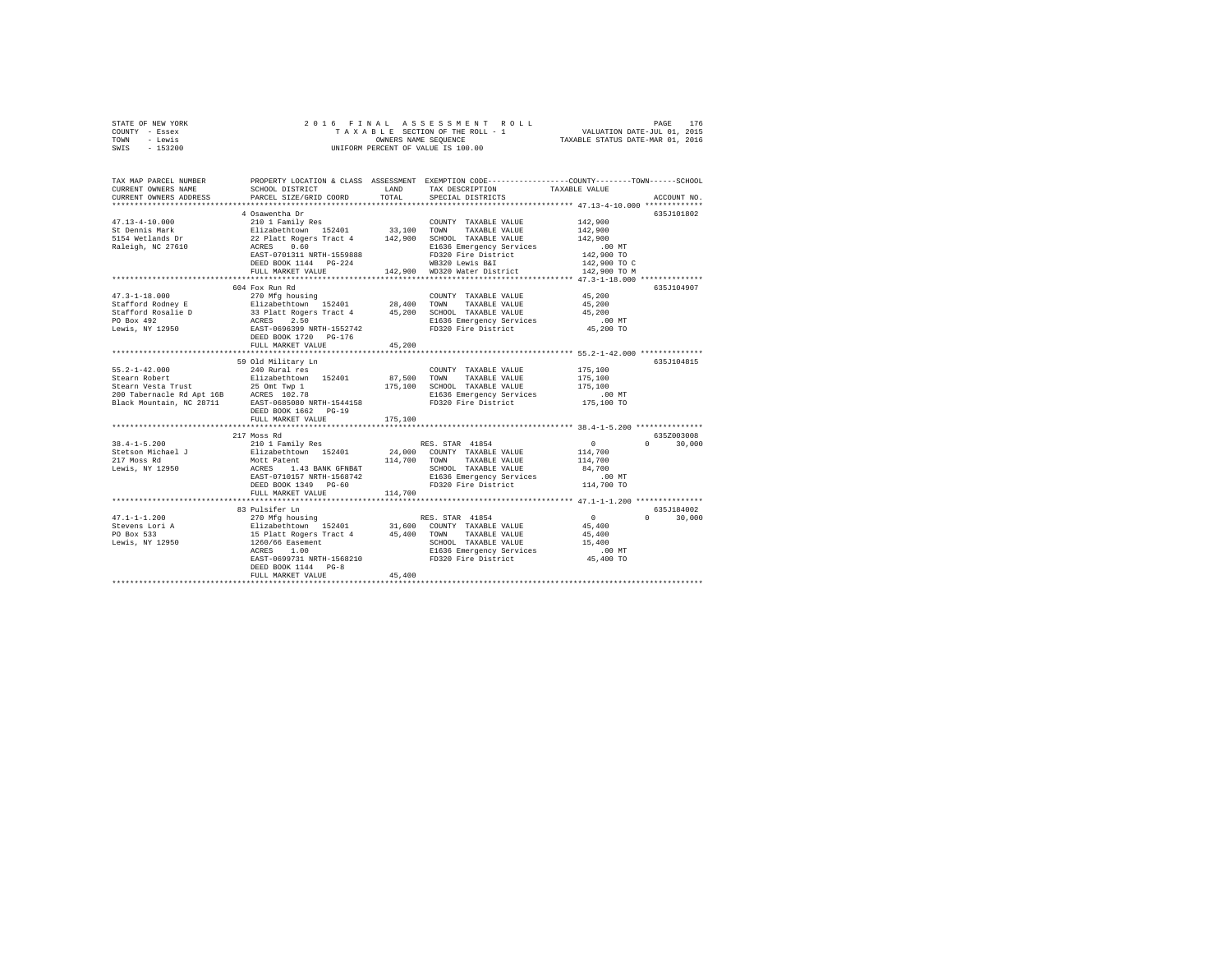| STATE OF NEW YORK<br>COUNTY<br>- Essex<br>- Lewis<br>TOWN<br>$-153200$<br>SWIS |                                              | OWNERS NAME SEQUENCE | 2016 FINAL ASSESSMENT ROLL<br>TAXABLE SECTION OF THE ROLL - 1<br>INIFORM PERCENT OF VALUE IS 100.00 | TAXABLE STATUS DATE-MAR 01, 2016 | 176<br>PAGE<br>VALUATION DATE-JUL 01, 2015 |
|--------------------------------------------------------------------------------|----------------------------------------------|----------------------|-----------------------------------------------------------------------------------------------------|----------------------------------|--------------------------------------------|
| TAX MAP PARCEL NUMBER<br>CURRENT OWNERS NAME                                   | PROPERTY LOCATION & CLASS<br>SCHOOL DISTRICT | ASSESSMENT<br>LAND   | EXEMPTION CODE-----------------COUNTY-------TOWN------SCHOOL<br>TAX DESCRIPTION                     | TAXABLE VALUE                    |                                            |
| CURRENT OWNERS ADDRESS                                                         | PARCEL SIZE/GRID COORD                       | TOTAL                | SPECIAL DISTRICTS                                                                                   |                                  | ACCOUNT NO.                                |
|                                                                                | 4 Osawentha Dr                               |                      |                                                                                                     |                                  | 635.7101802                                |
| $47.13 - 4 - 10.000$                                                           | 210 1 Family Res                             |                      | TAXABLE VALUE<br>COUNTY                                                                             | 142,900                          |                                            |
| St Dennis Mark                                                                 | Elizabethtown<br>152401                      | 33,100               | TAXABLE VALUE<br>TOWN                                                                               | 142,900                          |                                            |

| 5154 Wetlands Dr          | 22 Platt Rogers Tract 4 142,900 |              | SCHOOL TAXABLE VALUE         | 142,900                    |             |
|---------------------------|---------------------------------|--------------|------------------------------|----------------------------|-------------|
| Raleigh, NC 27610         | ACRES<br>0.60                   |              | E1636 Emergency Services     | .00 MT                     |             |
|                           | EAST-0701311 NRTH-1559888       |              | FD320 Fire District          | 142,900 TO                 |             |
|                           | DEED BOOK 1144 PG-224           |              | WB320 Lewis B&I              | 142,900 TO C               |             |
|                           | FULL MARKET VALUE               |              | 142,900 WD320 Water District | 142,900 TO M               |             |
|                           | *********************           |              |                              |                            |             |
|                           | 604 Fox Run Rd                  |              |                              |                            | 635J104907  |
| $47.3 - 1 - 18.000$       | 270 Mfg housing                 |              | COUNTY TAXABLE VALUE         | 45,200                     |             |
| Stafford Rodney E         | Elizabethtown 152401            | 28,400       | TOWN<br>TAXABLE VALUE        | 45,200                     |             |
| Stafford Rosalie D        | 33 Platt Rogers Tract 4         | 45,200       | SCHOOL TAXABLE VALUE         | 45,200                     |             |
| PO Box 492                | ACRES<br>2.50                   |              | E1636 Emergency Services     | $.00$ MT                   |             |
| Lewis, NY 12950           | EAST-0696399 NRTH-1552742       |              | FD320 Fire District          | 45,200 TO                  |             |
|                           | DEED BOOK 1720 PG-176           |              |                              |                            |             |
|                           | FULL MARKET VALUE               | 45,200       |                              |                            |             |
|                           |                                 |              |                              |                            |             |
|                           | 59 Old Military Ln              |              |                              |                            | 635.T104815 |
| $55.2 - 1 - 42.000$       | 240 Rural res                   |              | COUNTY TAXABLE VALUE         | 175,100                    |             |
| Stearn Robert             | Elizabethtown 152401            | 87,500       | TOWN<br>TAXABLE VALUE        | 175,100                    |             |
| Stearn Vesta Trust        | 25 Omt Twp 1                    | 175,100      | SCHOOL TAXABLE VALUE         | 175,100                    |             |
| 200 Tabernacle Rd Apt 16B | ACRES 102.78                    |              | E1636 Emergency Services     | $.00$ MT                   |             |
| Black Mountain, NC 28711  | EAST-0685080 NRTH-1544158       |              | FD320 Fire District          | 175,100 TO                 |             |
|                           | DEED BOOK 1662 PG-19            |              |                              |                            |             |
|                           | FULL MARKET VALUE               | 175,100      |                              |                            |             |
|                           |                                 |              |                              |                            |             |
|                           | 217 Moss Rd                     |              |                              |                            | 635Z003008  |
| $38.4 - 1 - 5.200$        | 210 1 Family Res                |              | RES. STAR 41854              | $\circ$<br>$\cap$          | 30,000      |
| Stetson Michael J         | Elizabethtown 152401            |              | 24,000 COUNTY TAXABLE VALUE  | 114,700                    |             |
| 217 Moss Rd               | Mott Patent                     | 114,700 TOWN | TAXABLE VALUE                | 114,700                    |             |
| Lewis, NY 12950           | ACRES<br>1.43 BANK GFNB&T       |              | SCHOOL TAXABLE VALUE         | 84,700                     |             |
|                           | EAST-0710157 NRTH-1568742       |              | E1636 Emergency Services     | $.00$ MT                   |             |
|                           | DEED BOOK 1349 PG-60            |              | FD320 Fire District          | 114,700 TO                 |             |
|                           | FULL MARKET VALUE               | 114,700      |                              |                            |             |
|                           |                                 |              |                              |                            |             |
|                           | 83 Pulsifer Ln                  |              |                              |                            | 635J184002  |
| $47.1 - 1 - 1.200$        | 270 Mfg housing                 |              | RES. STAR 41854              | $\overline{0}$<br>$\Omega$ | 30,000      |
| Stevens Lori A            | Elizabethtown 152401            |              | 31,600 COUNTY TAXABLE VALUE  | 45,400                     |             |
| PO Box 533                | 15 Platt Rogers Tract 4         | 45,400       | TAXABLE VALUE<br>TOWN        | 45,400                     |             |
| Lewis, NY 12950           | 1260/66 Easement                |              | SCHOOL TAXABLE VALUE         | 15,400                     |             |
|                           | ACRES<br>1.00                   |              | E1636 Emergency Services     | $.00$ MT                   |             |
|                           | EAST-0699731 NRTH-1568210       |              | FD320 Fire District          | 45,400 TO                  |             |
|                           | DEED BOOK 1144 PG-8             | 45,400       |                              |                            |             |
|                           | FULL MARKET VALUE               |              |                              |                            |             |
|                           |                                 |              |                              |                            |             |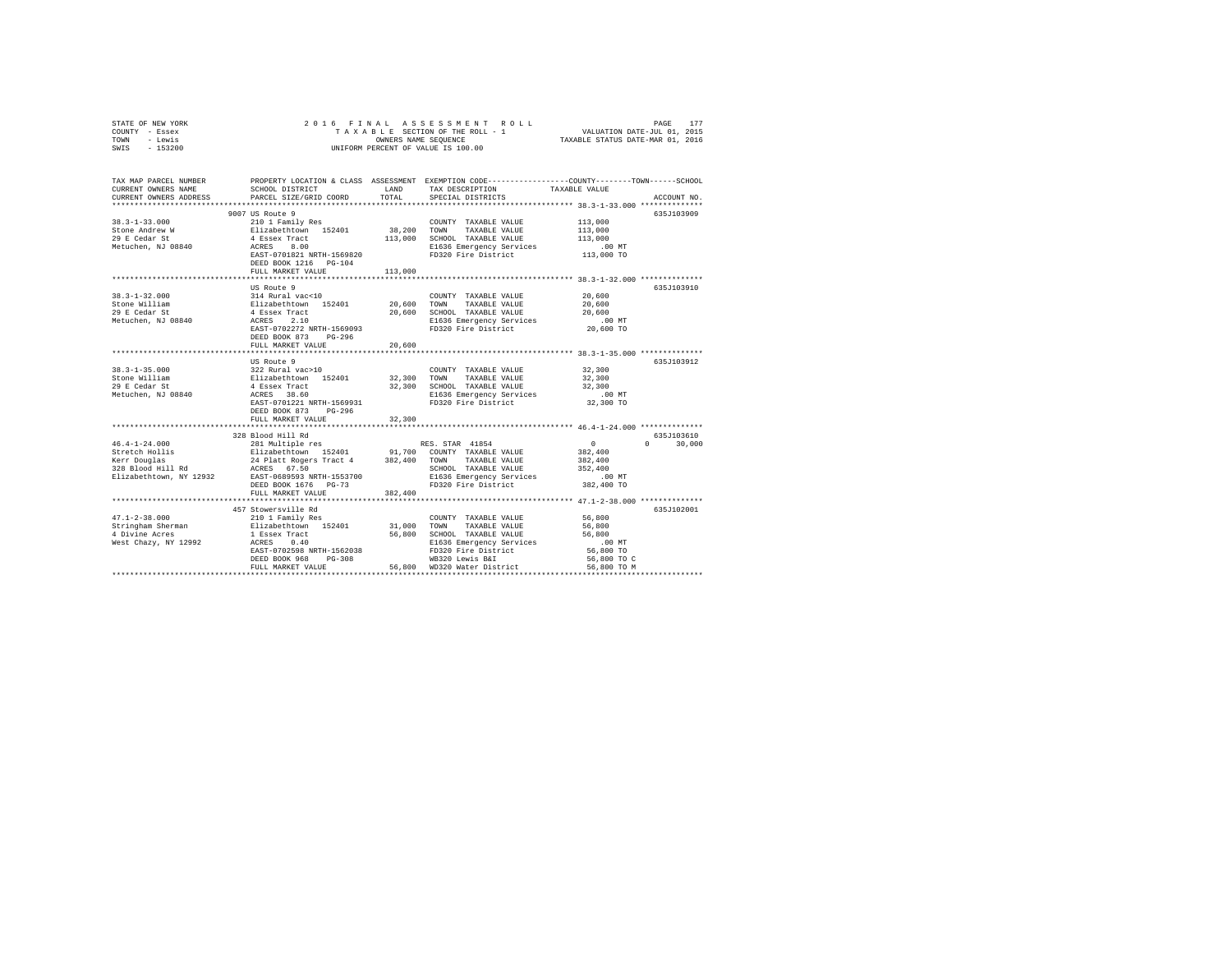| STATE OF NEW YORK                                 |                                                                                                                                                                                                                                                              |         |                                                                                                                                                                                                                                                                                                                                                                                                                                                                              |             |               |
|---------------------------------------------------|--------------------------------------------------------------------------------------------------------------------------------------------------------------------------------------------------------------------------------------------------------------|---------|------------------------------------------------------------------------------------------------------------------------------------------------------------------------------------------------------------------------------------------------------------------------------------------------------------------------------------------------------------------------------------------------------------------------------------------------------------------------------|-------------|---------------|
| COUNTY - Essex                                    |                                                                                                                                                                                                                                                              |         |                                                                                                                                                                                                                                                                                                                                                                                                                                                                              |             |               |
| TOWN - Lewis                                      |                                                                                                                                                                                                                                                              |         |                                                                                                                                                                                                                                                                                                                                                                                                                                                                              |             |               |
| SWIS - 153200                                     |                                                                                                                                                                                                                                                              |         |                                                                                                                                                                                                                                                                                                                                                                                                                                                                              |             |               |
|                                                   |                                                                                                                                                                                                                                                              |         |                                                                                                                                                                                                                                                                                                                                                                                                                                                                              |             |               |
|                                                   |                                                                                                                                                                                                                                                              |         |                                                                                                                                                                                                                                                                                                                                                                                                                                                                              |             |               |
| TAX MAP PARCEL NUMBER                             |                                                                                                                                                                                                                                                              |         | PROPERTY LOCATION & CLASS ASSESSMENT EXEMPTION CODE---------------COUNTY-------TOWN------SCHOOL                                                                                                                                                                                                                                                                                                                                                                              |             |               |
| CURRENT OWNERS NAME                               |                                                                                                                                                                                                                                                              |         |                                                                                                                                                                                                                                                                                                                                                                                                                                                                              |             |               |
| CURRENT OWNERS ADDRESS                            | PARCEL SIZE/GRID COORD                                                                                                                                                                                                                                       |         |                                                                                                                                                                                                                                                                                                                                                                                                                                                                              |             | ACCOUNT NO.   |
|                                                   |                                                                                                                                                                                                                                                              |         |                                                                                                                                                                                                                                                                                                                                                                                                                                                                              |             |               |
|                                                   | 9007 US Route 9                                                                                                                                                                                                                                              |         |                                                                                                                                                                                                                                                                                                                                                                                                                                                                              |             | 635J103909    |
| $38.3 - 1 - 33.000$                               |                                                                                                                                                                                                                                                              |         |                                                                                                                                                                                                                                                                                                                                                                                                                                                                              |             |               |
| Stone Andrew W<br>Stone Andrew w<br>29 E Cedar St |                                                                                                                                                                                                                                                              |         |                                                                                                                                                                                                                                                                                                                                                                                                                                                                              |             |               |
|                                                   |                                                                                                                                                                                                                                                              |         |                                                                                                                                                                                                                                                                                                                                                                                                                                                                              |             |               |
| Metuchen, NJ 08840                                |                                                                                                                                                                                                                                                              |         |                                                                                                                                                                                                                                                                                                                                                                                                                                                                              |             |               |
|                                                   |                                                                                                                                                                                                                                                              |         |                                                                                                                                                                                                                                                                                                                                                                                                                                                                              |             |               |
|                                                   |                                                                                                                                                                                                                                                              |         |                                                                                                                                                                                                                                                                                                                                                                                                                                                                              |             |               |
|                                                   | FULL MARKET VALUE                                                                                                                                                                                                                                            | 113,000 |                                                                                                                                                                                                                                                                                                                                                                                                                                                                              |             |               |
|                                                   |                                                                                                                                                                                                                                                              |         |                                                                                                                                                                                                                                                                                                                                                                                                                                                                              |             |               |
|                                                   | US Route 9                                                                                                                                                                                                                                                   |         | $\begin{tabular}{lllllll} \multicolumn{2}{c}{\textbf{COUNTY}} & \textbf{TAXABLE VALUE} & & & & 20,600 \\ & \multicolumn{2}{c}{\textbf{COUNITY}} & \multicolumn{2}{c}{\textbf{TAXABLE}} & \multicolumn{2}{c}{\textbf{VALUE}} & & & 20,600 \\ \multicolumn{2}{c}{\textbf{COWITY}} & \multicolumn{2}{c}{\textbf{STNING}} & \multicolumn{2}{c}{\textbf{VALUE}} & & & \multicolumn{2}{c}{\textbf{VALUE}} & & & \multicolumn{2}{c}{\textbf{VALUE}} & & & \multicolumn{2}{c}{\text$ |             | 635J103910    |
| $38.3 - 1 - 32.000$                               | US Route 9<br>314 Rural vac<10                                                                                                                                                                                                                               |         |                                                                                                                                                                                                                                                                                                                                                                                                                                                                              |             |               |
| Stone William                                     | 314 Ruids (1920)<br>Filizabeth town 152401 20,600 TOWN TAXABLE VALUE 20,600<br>4 Essex Tract 20,600 SOMN TAXABLE VALUE 20,600<br>ACRES 2.10 20,600 E1636 Emergency Services .00 MT<br>EAST-0702272 RETH-1569093 FD320 Fire District 20                       |         |                                                                                                                                                                                                                                                                                                                                                                                                                                                                              |             |               |
| 29 E Cedar St                                     |                                                                                                                                                                                                                                                              |         |                                                                                                                                                                                                                                                                                                                                                                                                                                                                              |             |               |
| Metuchen, NJ 08840                                |                                                                                                                                                                                                                                                              |         |                                                                                                                                                                                                                                                                                                                                                                                                                                                                              |             |               |
|                                                   |                                                                                                                                                                                                                                                              |         |                                                                                                                                                                                                                                                                                                                                                                                                                                                                              |             |               |
|                                                   | DEED BOOK 873 PG-296                                                                                                                                                                                                                                         |         |                                                                                                                                                                                                                                                                                                                                                                                                                                                                              |             |               |
|                                                   | FULL MARKET VALUE                                                                                                                                                                                                                                            | 20,600  |                                                                                                                                                                                                                                                                                                                                                                                                                                                                              |             |               |
|                                                   |                                                                                                                                                                                                                                                              |         |                                                                                                                                                                                                                                                                                                                                                                                                                                                                              |             |               |
|                                                   | US Route 9<br>US Route 9<br>32, Rural vac>10<br>21 Example 152401<br>22, 300 TOWN TAXABLE VALUE 32, 300<br>4 Essex Track 159401<br>22, 300 SCHOOD TAXABLE VALUE 32, 300<br>4 EXST-0701221 RTH-1569931<br>EXST-0701221 RTH-1569931<br>PD320 Fire District 32, |         |                                                                                                                                                                                                                                                                                                                                                                                                                                                                              |             | 635J103912    |
| $38.3 - 1 - 35.000$                               |                                                                                                                                                                                                                                                              |         |                                                                                                                                                                                                                                                                                                                                                                                                                                                                              |             |               |
| Stone William                                     |                                                                                                                                                                                                                                                              |         |                                                                                                                                                                                                                                                                                                                                                                                                                                                                              |             |               |
| 29 E Cedar St                                     |                                                                                                                                                                                                                                                              |         |                                                                                                                                                                                                                                                                                                                                                                                                                                                                              |             |               |
| Metuchen, NJ 08840                                |                                                                                                                                                                                                                                                              |         |                                                                                                                                                                                                                                                                                                                                                                                                                                                                              |             |               |
|                                                   |                                                                                                                                                                                                                                                              |         |                                                                                                                                                                                                                                                                                                                                                                                                                                                                              |             |               |
|                                                   | DEED BOOK 873 PG-296                                                                                                                                                                                                                                         |         |                                                                                                                                                                                                                                                                                                                                                                                                                                                                              |             |               |
|                                                   | FULL MARKET VALUE                                                                                                                                                                                                                                            | 32,300  |                                                                                                                                                                                                                                                                                                                                                                                                                                                                              |             |               |
|                                                   |                                                                                                                                                                                                                                                              |         |                                                                                                                                                                                                                                                                                                                                                                                                                                                                              |             |               |
|                                                   |                                                                                                                                                                                                                                                              |         |                                                                                                                                                                                                                                                                                                                                                                                                                                                                              |             | 635J103610    |
|                                                   |                                                                                                                                                                                                                                                              |         |                                                                                                                                                                                                                                                                                                                                                                                                                                                                              |             | $0 \t 30,000$ |
|                                                   |                                                                                                                                                                                                                                                              |         |                                                                                                                                                                                                                                                                                                                                                                                                                                                                              |             |               |
|                                                   | 199381000 Hill Rd (4-1-24.000)<br>238 Blood Hill Rd (4-1-24.000)<br>239 Blood Hill Rd (4-1-24.000)<br>239 Blood Hill Rd (4-1-24.000)<br>239 Blood Hill Rd (4-1-24.000)<br>239 Blood Hill Rd (4-1-24.000)<br>24 Platt Rogers Tract 4 382,40                   |         |                                                                                                                                                                                                                                                                                                                                                                                                                                                                              |             |               |
|                                                   |                                                                                                                                                                                                                                                              |         |                                                                                                                                                                                                                                                                                                                                                                                                                                                                              |             |               |
|                                                   |                                                                                                                                                                                                                                                              |         |                                                                                                                                                                                                                                                                                                                                                                                                                                                                              |             |               |
|                                                   |                                                                                                                                                                                                                                                              |         |                                                                                                                                                                                                                                                                                                                                                                                                                                                                              |             |               |
|                                                   | FULL MARKET VALUE                                                                                                                                                                                                                                            | 382,400 |                                                                                                                                                                                                                                                                                                                                                                                                                                                                              |             |               |
|                                                   |                                                                                                                                                                                                                                                              |         |                                                                                                                                                                                                                                                                                                                                                                                                                                                                              |             |               |
|                                                   | 457 Stowersville Rd<br>210 1 Family Res                                                                                                                                                                                                                      |         |                                                                                                                                                                                                                                                                                                                                                                                                                                                                              |             | 635J102001    |
| $47.1 - 2 - 38.000$                               |                                                                                                                                                                                                                                                              |         | COUNTY TAXABLE VALUE                                                                                                                                                                                                                                                                                                                                                                                                                                                         | 56,800      |               |
|                                                   |                                                                                                                                                                                                                                                              |         |                                                                                                                                                                                                                                                                                                                                                                                                                                                                              |             |               |
|                                                   |                                                                                                                                                                                                                                                              |         |                                                                                                                                                                                                                                                                                                                                                                                                                                                                              |             |               |
|                                                   |                                                                                                                                                                                                                                                              |         |                                                                                                                                                                                                                                                                                                                                                                                                                                                                              | $.00$ MT    |               |
|                                                   |                                                                                                                                                                                                                                                              |         |                                                                                                                                                                                                                                                                                                                                                                                                                                                                              | 56,800 TO   |               |
|                                                   |                                                                                                                                                                                                                                                              |         | FULL MARKET VALUE 56,800 WD320 Water District                                                                                                                                                                                                                                                                                                                                                                                                                                | 56,800 TO C |               |
|                                                   |                                                                                                                                                                                                                                                              |         |                                                                                                                                                                                                                                                                                                                                                                                                                                                                              | 56,800 TO M |               |
|                                                   |                                                                                                                                                                                                                                                              |         |                                                                                                                                                                                                                                                                                                                                                                                                                                                                              |             |               |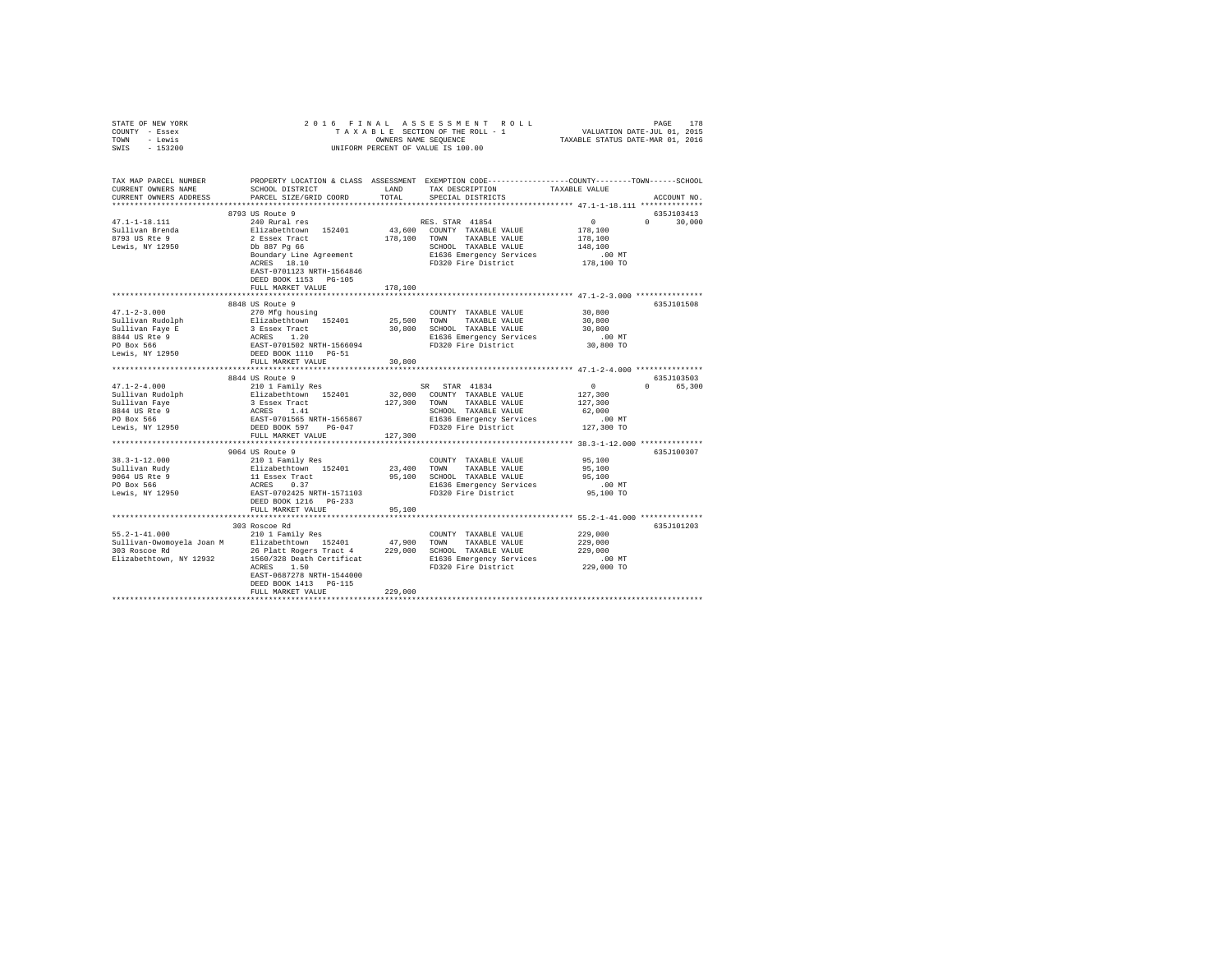| STATE OF NEW YORK                                                                     |                                                                                                                                                                                                                                                                                               |             |                                                                         |                     |               |
|---------------------------------------------------------------------------------------|-----------------------------------------------------------------------------------------------------------------------------------------------------------------------------------------------------------------------------------------------------------------------------------------------|-------------|-------------------------------------------------------------------------|---------------------|---------------|
| COUNTY - Essex                                                                        | 2016 FINAL ASSESSMENT ROIT AXABLE SECTION OF THE ROLL - 1<br>TAXABLE SECTION OF THE ROLL - 1<br>UNIFORM PERCENT OF VALUE IS 100.00<br>FRINAL ASSESSMENT ROLL PAGE 178<br>TAXABLE SECTION OF THEROLL - 1 VALUATION DATE-JUL 01, 2015<br>OWNERS NAME SEQUENCE TRIARBLE STATUS DATE-MAR 01, 2016 |             |                                                                         |                     |               |
| TOWN - Lewis                                                                          |                                                                                                                                                                                                                                                                                               |             |                                                                         |                     |               |
| SWIS - 153200                                                                         |                                                                                                                                                                                                                                                                                               |             |                                                                         |                     |               |
|                                                                                       |                                                                                                                                                                                                                                                                                               |             |                                                                         |                     |               |
|                                                                                       |                                                                                                                                                                                                                                                                                               |             |                                                                         |                     |               |
|                                                                                       |                                                                                                                                                                                                                                                                                               |             |                                                                         |                     |               |
|                                                                                       | TAX MAP PARCEL NUMBER PROPERTY LOCATION & CLASS ASSESSMENT EXEMPTION CODE----------------COUNTY--------TOWN-----SCHOOL                                                                                                                                                                        |             |                                                                         |                     |               |
| CURRENT OWNERS NAME                                                                   | SCHOOL DISTRICT LAND                                                                                                                                                                                                                                                                          |             | TAX DESCRIPTION TAXABLE VALUE                                           |                     |               |
| CURRENT OWNERS ADDRESS                                                                | PARCEL SIZE/GRID COORD                                                                                                                                                                                                                                                                        | TOTAL       | SPECIAL DISTRICTS                                                       |                     | ACCOUNT NO.   |
|                                                                                       |                                                                                                                                                                                                                                                                                               |             |                                                                         |                     |               |
|                                                                                       | 8793 US Route 9                                                                                                                                                                                                                                                                               |             |                                                                         |                     | 635J103413    |
|                                                                                       |                                                                                                                                                                                                                                                                                               |             |                                                                         |                     |               |
| 47.1-1-18.111                                                                         |                                                                                                                                                                                                                                                                                               |             |                                                                         | $\sim$ 0            | $0 \t 30,000$ |
| Sullivan Brenda                                                                       |                                                                                                                                                                                                                                                                                               |             |                                                                         | 178,100             |               |
| 8793 US Rte 9                                                                         |                                                                                                                                                                                                                                                                                               |             |                                                                         | 178,100             |               |
| Lewis, NY 12950                                                                       |                                                                                                                                                                                                                                                                                               |             |                                                                         | 148,100             |               |
|                                                                                       | 8793 GRoute 9<br>240 Rural res<br>Elizabethcown 152401 (19.100 COUNTY TAXABLE VALUE 2<br>2 Essex Tract<br>2 Essex Tact<br>2 Essex Tact<br>2 Essex Tact<br>2 Essex Tact<br>2 Essex Tact<br>2 Essex Tact<br>2 Essex Tact<br>2 Essex Tact<br>2 Essex Tact                                        |             |                                                                         | .00 MT              |               |
|                                                                                       |                                                                                                                                                                                                                                                                                               |             |                                                                         | 178,100 TO          |               |
|                                                                                       | EAST-0701123 NRTH-1564846                                                                                                                                                                                                                                                                     |             |                                                                         |                     |               |
|                                                                                       | DEED BOOK 1153 PG-105                                                                                                                                                                                                                                                                         |             |                                                                         |                     |               |
|                                                                                       | FULL MARKET VALUE                                                                                                                                                                                                                                                                             | 178,100     |                                                                         |                     |               |
|                                                                                       |                                                                                                                                                                                                                                                                                               |             |                                                                         |                     |               |
|                                                                                       | 8848 US Route 9                                                                                                                                                                                                                                                                               |             |                                                                         |                     | 635J101508    |
| $47.1 - 2 - 3.000$                                                                    |                                                                                                                                                                                                                                                                                               |             | COUNTY TAXABLE VALUE                                                    | 30,800              |               |
|                                                                                       | 270 Mfg housing<br>270 Mfg housing<br>Elizabethrown 152401<br>3 Essex Tract<br>ACRES 1.20<br>EAST-0701502 NRTH-1566094<br>DEED BOOK 1110 PG-51                                                                                                                                                | 25,500 TOWN | TAXABLE VALUE                                                           | 30,800              |               |
|                                                                                       |                                                                                                                                                                                                                                                                                               |             | 30,800 SCHOOL TAXABLE VALUE                                             | 30,800              |               |
| Sullivan Rudolph<br>Sullivan Faye E<br>8844 US Rte 9<br>PO Box 566<br>Lewis, NY 12950 |                                                                                                                                                                                                                                                                                               |             | E1636 Emergency Services                                                |                     |               |
|                                                                                       |                                                                                                                                                                                                                                                                                               |             |                                                                         | 00 MT.<br>30,800 TO |               |
|                                                                                       |                                                                                                                                                                                                                                                                                               |             | FD320 Fire District                                                     |                     |               |
|                                                                                       |                                                                                                                                                                                                                                                                                               |             |                                                                         |                     |               |
|                                                                                       | FULL MARKET VALUE                                                                                                                                                                                                                                                                             | 30,800      |                                                                         |                     |               |
|                                                                                       |                                                                                                                                                                                                                                                                                               |             |                                                                         |                     |               |
|                                                                                       | 8844 US Route 9                                                                                                                                                                                                                                                                               |             |                                                                         |                     | 635J103503    |
| $47.1 - 2 - 4.000$                                                                    | 210 1 Family Res                                                                                                                                                                                                                                                                              |             |                                                                         | $\sim$ 0            | 0 65,300      |
| Sullivan Rudolph                                                                      |                                                                                                                                                                                                                                                                                               |             |                                                                         | 127,300             |               |
| Sullivan Faye                                                                         |                                                                                                                                                                                                                                                                                               |             |                                                                         | 127,300             |               |
| 8844 US Rte 9<br>PO Box 566<br>Lewis, NY 12950                                        |                                                                                                                                                                                                                                                                                               |             | SCHOOL TAXABLE VALUE<br>E1636 Emergency Services<br>FD320 Fire District | 62,000              |               |
|                                                                                       |                                                                                                                                                                                                                                                                                               |             |                                                                         | .00 MT              |               |
|                                                                                       |                                                                                                                                                                                                                                                                                               |             |                                                                         | 127,300 TO          |               |
|                                                                                       | FULL MARKET VALUE                                                                                                                                                                                                                                                                             | 127,300     |                                                                         |                     |               |
|                                                                                       |                                                                                                                                                                                                                                                                                               |             |                                                                         |                     |               |
|                                                                                       | 9064 US Route 9                                                                                                                                                                                                                                                                               |             |                                                                         |                     | 635J100307    |
|                                                                                       |                                                                                                                                                                                                                                                                                               |             | COUNTY TAXABLE VALUE                                                    | 95,100              |               |
|                                                                                       |                                                                                                                                                                                                                                                                                               | 23,400 TOWN | TAXABLE VALUE                                                           | 95,100              |               |
|                                                                                       |                                                                                                                                                                                                                                                                                               |             | 95,100 SCHOOL TAXABLE VALUE                                             | 95,100              |               |
|                                                                                       |                                                                                                                                                                                                                                                                                               |             | E1636 Emergency Services                                                | $.00$ MT            |               |
|                                                                                       |                                                                                                                                                                                                                                                                                               |             | FD320 Fire District                                                     | 95,100 TO           |               |
|                                                                                       |                                                                                                                                                                                                                                                                                               |             |                                                                         |                     |               |
|                                                                                       | FULL MARKET VALUE                                                                                                                                                                                                                                                                             | 95,100      |                                                                         |                     |               |
|                                                                                       |                                                                                                                                                                                                                                                                                               |             |                                                                         |                     |               |
|                                                                                       |                                                                                                                                                                                                                                                                                               |             |                                                                         |                     |               |
|                                                                                       | 303 Roscoe Rd                                                                                                                                                                                                                                                                                 |             |                                                                         |                     | 635J101203    |
|                                                                                       | 55.2-1-41.000<br>Sulligably Res (200MYY TAXABLE VALUE Sulligably - 210 1 Family Res (200MYY TAXABLE VALUE Sulligably - 210 1 Family Res<br>303 Roscoe Rd (26 Platt Rogers Tract 4 229,000 SCHOOL TAXABLE VALUE                                                                                |             |                                                                         | 229,000             |               |
|                                                                                       |                                                                                                                                                                                                                                                                                               |             |                                                                         | 229,000             |               |
|                                                                                       |                                                                                                                                                                                                                                                                                               |             |                                                                         | 229,000             |               |
|                                                                                       | Elizabethtown, NY 12932<br>Elizabethtown, NY 12932<br>ACRES 1.50 CRES 1.50 FD320 Fire District                                                                                                                                                                                                |             |                                                                         | $.00$ MT            |               |
|                                                                                       |                                                                                                                                                                                                                                                                                               |             |                                                                         | 229,000 TO          |               |
|                                                                                       | EAST-0687278 NRTH-1544000                                                                                                                                                                                                                                                                     |             |                                                                         |                     |               |
|                                                                                       |                                                                                                                                                                                                                                                                                               |             |                                                                         |                     |               |
|                                                                                       | DEED BOOK 1413 PG-115                                                                                                                                                                                                                                                                         |             |                                                                         |                     |               |
|                                                                                       | FULL MARKET VALUE                                                                                                                                                                                                                                                                             | 229,000     |                                                                         |                     |               |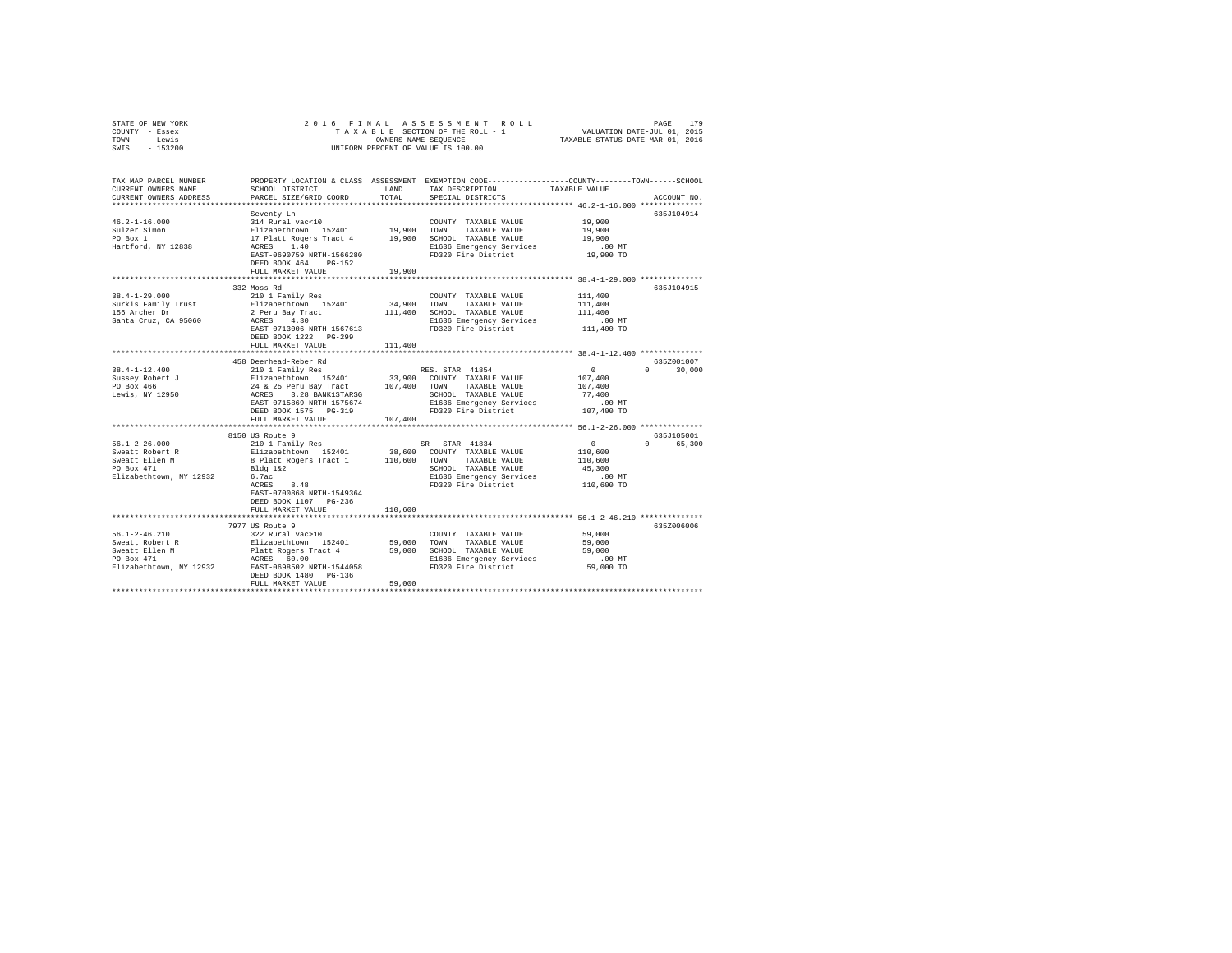| STATE OF NEW YORK | 2016 FINAL ASSESSMENT ROLL         | 179<br>PAGE                      |
|-------------------|------------------------------------|----------------------------------|
| COUNTY - Essex    | TAXABLE SECTION OF THE ROLL - 1    | VALUATION DATE-JUL 01, 2015      |
| TOWN<br>- Lewis   | OWNERS NAME SEOUENCE               | TAXABLE STATUS DATE-MAR 01, 2016 |
| $-153200$<br>SWIS | UNIFORM PERCENT OF VALUE IS 100.00 |                                  |

| TAX MAP PARCEL NUMBER<br>CURRENT OWNERS NAME<br>CURRENT OWNERS ADDRESS | SCHOOL DISTRICT<br>PARCEL SIZE/GRID COORD                                                                                 | LAND<br>TOTAL | PROPERTY LOCATION & CLASS ASSESSMENT EXEMPTION CODE----------------COUNTY-------TOWN-----SCHOOL<br>TAX DESCRIPTION<br>SPECIAL DISTRICTS | TAXABLE VALUE                                  | ACCOUNT NO.        |
|------------------------------------------------------------------------|---------------------------------------------------------------------------------------------------------------------------|---------------|-----------------------------------------------------------------------------------------------------------------------------------------|------------------------------------------------|--------------------|
|                                                                        | Seventy Ln                                                                                                                |               |                                                                                                                                         |                                                | 635J104914         |
| $46.2 - 1 - 16.000$                                                    | 314 Rural vac<10<br>Elizabethtown 152401 19,900 TOWN TAXABLE VALUE<br>17 Platt Rogers Tract 4 19,900 SCHOOL TAXABLE VALUE |               | COUNTY TAXABLE VALUE                                                                                                                    | 19,900                                         |                    |
| Sulzer Simon                                                           |                                                                                                                           |               |                                                                                                                                         | 19,900                                         |                    |
| PO Box 1                                                               |                                                                                                                           |               |                                                                                                                                         | 19,900                                         |                    |
| Hartford, NY 12838                                                     | ACRES 1.40                                                                                                                |               | E1636 Emergency Services                                                                                                                | $.00$ MT                                       |                    |
|                                                                        | EAST-0690759 NRTH-1566280                                                                                                 |               | FD320 Fire District                                                                                                                     | 19,900 TO                                      |                    |
|                                                                        | DEED BOOK 464 PG-152                                                                                                      |               |                                                                                                                                         |                                                |                    |
|                                                                        | FULL MARKET VALUE                                                                                                         | 19,900        |                                                                                                                                         |                                                |                    |
|                                                                        |                                                                                                                           |               |                                                                                                                                         |                                                |                    |
|                                                                        | 332 Moss Rd                                                                                                               |               |                                                                                                                                         |                                                | 635J104915         |
| $38.4 - 1 - 29.000$                                                    | 210 1 Family Res                                                                                                          |               | COUNTY TAXABLE VALUE                                                                                                                    | 111,400                                        |                    |
|                                                                        |                                                                                                                           |               | 34,900 TOWN TAXABLE VALUE                                                                                                               | 111,400                                        |                    |
|                                                                        | Surkis Family Trust<br>156 Archer Dr. 21 and 1918 Archer Dr. 21 and Trust<br>Santa Cruz, CA 95060 21 ACRES 4.30           |               | 111,400 SCHOOL TAXABLE VALUE                                                                                                            | 111,400                                        |                    |
|                                                                        |                                                                                                                           |               | E1636 Emergency Services                                                                                                                | .00 MT.<br>111,400 TO                          |                    |
|                                                                        | EAST-0713006 NRTH-1567613                                                                                                 |               | FD320 Fire District                                                                                                                     |                                                |                    |
|                                                                        | DEED BOOK 1222 PG-299                                                                                                     |               |                                                                                                                                         |                                                |                    |
|                                                                        | FULL MARKET VALUE                                                                                                         | 111,400       |                                                                                                                                         |                                                |                    |
|                                                                        |                                                                                                                           |               |                                                                                                                                         |                                                |                    |
|                                                                        | 458 Deerhead-Reber Rd                                                                                                     |               |                                                                                                                                         |                                                | 635Z001007         |
| $38.4 - 1 - 12.400$                                                    | 210 1 Family Res                                                                                                          |               | RES. STAR 41854                                                                                                                         | $\mathbf{0}$                                   | $0 \t 30.000$      |
|                                                                        | Sussey Robert J<br>Elizabethtown 152401 33,900 COUNTY TAXABLE VALUE                                                       |               |                                                                                                                                         | 107,400                                        |                    |
| PO Box 466                                                             | 24 & 25 Peru Bay Tract 107,400 TOWN TAXABLE VALUE<br>ACRES 3.28 BANK1STARSG SCHOOL TAXABLE VALUE                          |               |                                                                                                                                         | 107,400                                        |                    |
| Lewis, NY 12950                                                        |                                                                                                                           |               | SCHOOL TAXABLE VALUE                                                                                                                    | 77,400                                         |                    |
|                                                                        | EAST-0715869 NRTH-1575674                                                                                                 |               | E1636 Emergency Services                                                                                                                | .00 MT                                         |                    |
|                                                                        | DEED BOOK 1575 PG-319                                                                                                     |               | FD320 Fire District 107,400 TO                                                                                                          |                                                |                    |
|                                                                        | FULL MARKET VALUE<br>***********************                                                                              | 107,400       |                                                                                                                                         | **************** 56.1-2-26.000 *************** |                    |
|                                                                        | 8150 US Route 9                                                                                                           |               |                                                                                                                                         |                                                | 635J105001         |
| $56.1 - 2 - 26.000$                                                    |                                                                                                                           |               |                                                                                                                                         | $\sim$ 0                                       | 65,300<br>$\Omega$ |
| Sweatt Robert R                                                        | 210 1 Family Res (5R STAR 41834)<br>Elizabethtown 152401 38,600 COUNTY TAXABLE VALUE                                      |               |                                                                                                                                         | 110,600                                        |                    |
|                                                                        | 8 Platt Rogers Tract 1 110,600 TOWN TAXABLE VALUE                                                                         |               |                                                                                                                                         | 110,600                                        |                    |
| Sweatt Ellen M<br>PO Box 471                                           | Bldg 1&2                                                                                                                  |               | SCHOOL TAXABLE VALUE                                                                                                                    | 45,300                                         |                    |
| Elizabethtown, NY 12932                                                | 6.7ac                                                                                                                     |               |                                                                                                                                         |                                                |                    |
|                                                                        | 8.48<br>ACRES                                                                                                             |               | E1636 Emergency Services<br>FD320 Fire District                                                                                         | 00 MT.<br>110,600 TO                           |                    |
|                                                                        | EAST-0700868 NRTH-1549364                                                                                                 |               |                                                                                                                                         |                                                |                    |
|                                                                        | DEED BOOK 1107 PG-236                                                                                                     |               |                                                                                                                                         |                                                |                    |
|                                                                        | FULL MARKET VALUE                                                                                                         | 110,600       |                                                                                                                                         |                                                |                    |
|                                                                        |                                                                                                                           |               | ****************************** 56.1-2-46.210 **************                                                                             |                                                |                    |
|                                                                        | 7977 US Route 9                                                                                                           |               |                                                                                                                                         |                                                | 635Z006006         |
|                                                                        |                                                                                                                           |               |                                                                                                                                         | 59,000                                         |                    |
|                                                                        |                                                                                                                           |               |                                                                                                                                         | 59,000                                         |                    |
|                                                                        |                                                                                                                           |               |                                                                                                                                         | 59,000                                         |                    |
|                                                                        |                                                                                                                           |               |                                                                                                                                         | $.00$ MT                                       |                    |
|                                                                        | Elizabethtown, NY 12932 EAST-0698502 NRTH-1544058                                                                         |               | FD320 Fire District                                                                                                                     | 59,000 TO                                      |                    |
|                                                                        | DEED BOOK 1480 PG-136                                                                                                     |               |                                                                                                                                         |                                                |                    |
|                                                                        | FULL MARKET VALUE                                                                                                         | 59,000        |                                                                                                                                         |                                                |                    |
|                                                                        |                                                                                                                           |               |                                                                                                                                         |                                                |                    |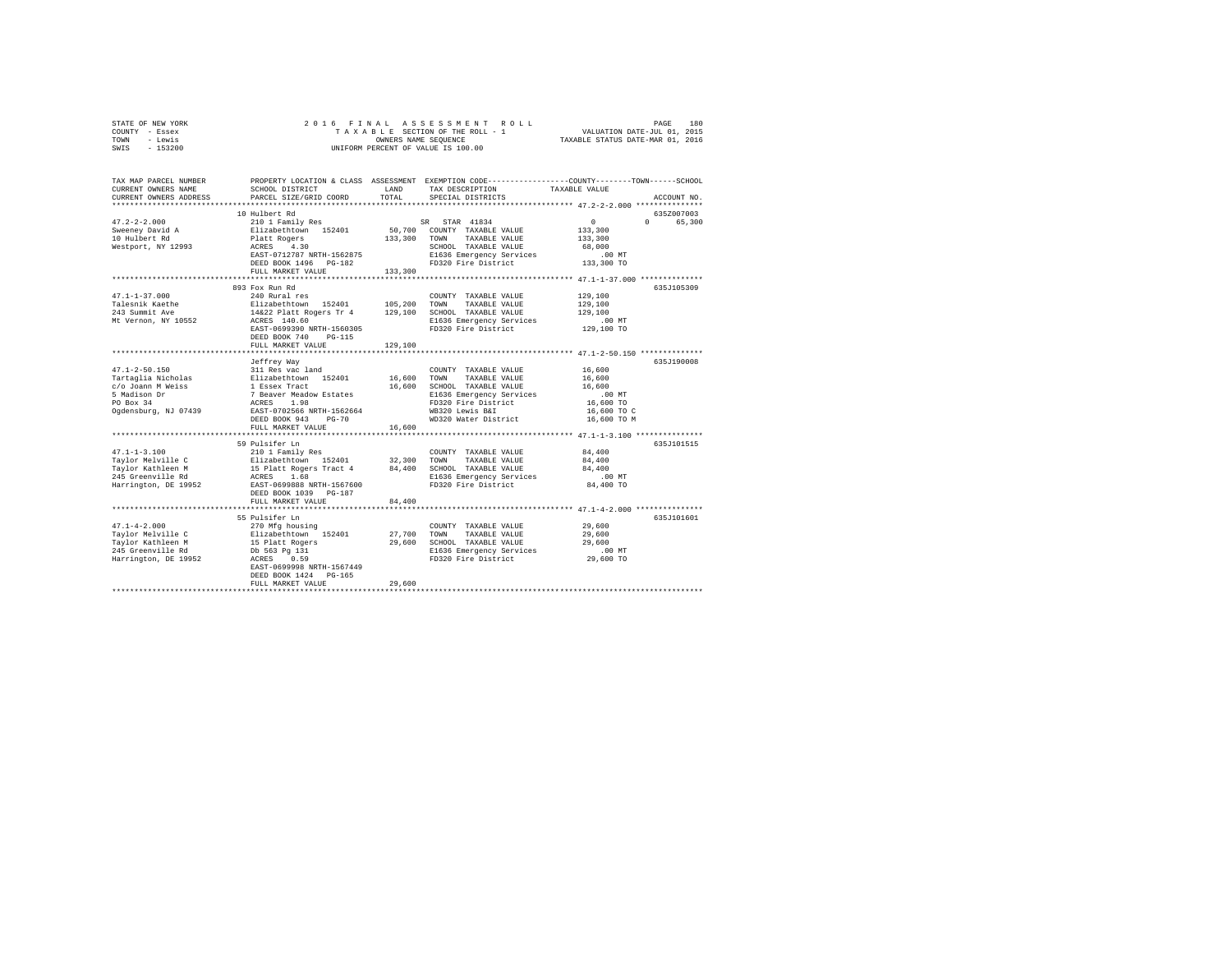| STATE OF NEW YORK<br>COUNTY - Essex<br>TOWN<br>- Lewis<br>$-153200$<br>SWIS | 2016 FINAL                                                           |              | ASSESSMENT ROLL<br>TAXABLE SECTION OF THE ROLL - 1<br>OWNERS NAME SEQUENCE<br>UNIFORM PERCENT OF VALUE IS 100.00 | PAGE 180<br>VALUATION DATE-JUL 01, 2015<br>TAXABLE STATUS DATE-MAR 01, 2016 |             |
|-----------------------------------------------------------------------------|----------------------------------------------------------------------|--------------|------------------------------------------------------------------------------------------------------------------|-----------------------------------------------------------------------------|-------------|
|                                                                             |                                                                      |              |                                                                                                                  |                                                                             |             |
| TAX MAP PARCEL NUMBER                                                       |                                                                      |              | PROPERTY LOCATION & CLASS ASSESSMENT EXEMPTION CODE---------------COUNTY-------TOWN-----SCHOOL                   |                                                                             |             |
| CURRENT OWNERS NAME                                                         | SCHOOL DISTRICT                                                      | LAND         | TAX DESCRIPTION                                                                                                  | TAXABLE VALUE                                                               |             |
| CURRENT OWNERS ADDRESS<br>**************************                        | PARCEL SIZE/GRID COORD                                               | TOTAL        | SPECIAL DISTRICTS                                                                                                |                                                                             | ACCOUNT NO. |
|                                                                             | 10 Hulbert Rd                                                        |              |                                                                                                                  |                                                                             | 635Z007003  |
| $47.2 - 2 - 2.000$                                                          | 210 1 Family Res                                                     |              | SR STAR 41834                                                                                                    | $\Omega$                                                                    | 0 65,300    |
| Sweeney David A                                                             | Elizabethtown 152401                                                 |              | 50,700 COUNTY TAXABLE VALUE                                                                                      | 133,300                                                                     |             |
| 10 Hulbert Rd                                                               |                                                                      | 133,300 TOWN | TAXABLE VALUE                                                                                                    | 133,300                                                                     |             |
| Westport, NY 12993                                                          | Platt Rogers<br>ACRES 4.30                                           |              | SCHOOL TAXABLE VALUE                                                                                             | 68,000                                                                      |             |
|                                                                             | EAST-0712787 NRTH-1562875                                            |              | E1636 Emergency Services                                                                                         | $.00$ MT                                                                    |             |
|                                                                             | DEED BOOK 1496 PG-182                                                |              | FD320 Fire District                                                                                              | 133,300 TO                                                                  |             |
|                                                                             | FULL MARKET VALUE                                                    | 133,300      |                                                                                                                  |                                                                             |             |
|                                                                             |                                                                      |              |                                                                                                                  |                                                                             |             |
|                                                                             | 893 Fox Run Rd                                                       |              |                                                                                                                  |                                                                             | 635J105309  |
| $47.1 - 1 - 37.000$<br>Talesnik Kaethe                                      | 240 Rural res                                                        | 105,200      | COUNTY TAXABLE VALUE<br>TOWN<br>TAXABLE VALUE                                                                    | 129,100<br>129,100                                                          |             |
| 243 Summit Ave                                                              | Elizabethtown 152401<br>14&22 Platt Rogers Tr 4 129,100              |              | SCHOOL TAXABLE VALUE                                                                                             | 129,100                                                                     |             |
| Mt Vernon, NY 10552                                                         | ACRES 140.60                                                         |              | E1636 Emergency Services                                                                                         | $.00$ MT                                                                    |             |
|                                                                             | EAST-0699390 NRTH-1560305                                            |              | FD320 Fire District                                                                                              | 129,100 TO                                                                  |             |
|                                                                             | DEED BOOK 740 PG-115                                                 |              |                                                                                                                  |                                                                             |             |
|                                                                             | FULL MARKET VALUE                                                    | 129,100      |                                                                                                                  |                                                                             |             |
|                                                                             |                                                                      |              | ******************************** 47.1-2-50.150 ***************                                                   |                                                                             |             |
|                                                                             | Jeffrey Way                                                          |              |                                                                                                                  |                                                                             | 635J190008  |
| $47.1 - 2 - 50.150$                                                         | 311 Res vac land                                                     |              | COUNTY TAXABLE VALUE                                                                                             | 16,600                                                                      |             |
| Tartaglia Nicholas                                                          |                                                                      | 16,600       | TAXABLE VALUE<br>TOWN                                                                                            | 16,600                                                                      |             |
| c/o Joann M Weiss                                                           | Elizabethtown 152401<br>1 Essex Tract<br>7 Beaver Meadow Estates     | 16,600       | SCHOOL TAXABLE VALUE                                                                                             | 16,600                                                                      |             |
| 5 Madison Dr<br>PO Box 34                                                   | ACRES 1.98                                                           |              | E1636 Emergency Services<br>FD320 Fire District                                                                  | .00MT<br>16,600 TO                                                          |             |
| Ogdensburg, NJ 07439                                                        | EAST-0702566 NRTH-1562664                                            |              | WB320 Lewis B&I                                                                                                  | 16,600 TO C                                                                 |             |
|                                                                             | DEED BOOK 943 PG-70                                                  |              | WD320 Water District                                                                                             | 16,600 TO M                                                                 |             |
|                                                                             | FULL MARKET VALUE                                                    | 16,600       |                                                                                                                  |                                                                             |             |
|                                                                             | ***************************                                          |              |                                                                                                                  |                                                                             |             |
|                                                                             | 59 Pulsifer Ln                                                       |              |                                                                                                                  |                                                                             | 635J101515  |
| $47.1 - 1 - 3.100$                                                          | 210 1 Family Res                                                     |              | COUNTY TAXABLE VALUE                                                                                             | 84,400                                                                      |             |
| Taylor Melville C                                                           | Elizabethtown 152401                                                 | 32,300       | TOWN<br>TAXABLE VALUE                                                                                            | 84,400                                                                      |             |
| Tavlor Kathleen M                                                           | 15 Platt Rogers Tract 4<br>ACRES 1.68                                | 84,400       | SCHOOL TAXABLE VALUE                                                                                             | 84,400                                                                      |             |
| 245 Greenville Rd                                                           |                                                                      |              | E1636 Emergency Services                                                                                         | $.00$ MT                                                                    |             |
| Harrington, DE 19952                                                        | EAST-0699888 NRTH-1567600<br>DEED BOOK 1039 PG-187                   |              | FD320 Fire District                                                                                              | 84,400 TO                                                                   |             |
|                                                                             | FULL MARKET VALUE                                                    | 84,400       |                                                                                                                  |                                                                             |             |
|                                                                             | ************************                                             |              |                                                                                                                  | *************************** 47.1-4-2.000 ***************                    |             |
|                                                                             | 55 Pulsifer Ln                                                       |              |                                                                                                                  |                                                                             | 635.T101601 |
| $47.1 - 4 - 2.000$                                                          | 270 Mfg housing                                                      |              | COUNTY TAXABLE VALUE                                                                                             | 29,600                                                                      |             |
| Taylor Melville C                                                           | Elizabethown 152401<br>15 Platt Rogers<br>Db 563 Pg 131<br>acprs 054 | 27,700       | TOWN<br>TAXABLE VALUE                                                                                            | 29,600                                                                      |             |
| Taylor Kathleen M                                                           |                                                                      | 29,600       | SCHOOL TAXABLE VALUE                                                                                             | 29,600                                                                      |             |
| 245 Greenville Rd                                                           |                                                                      |              | E1636 Emergency Services                                                                                         | $.00$ MT                                                                    |             |
| Harrington, DE 19952                                                        | ACRES 0.59                                                           |              | FD320 Fire District                                                                                              | 29,600 TO                                                                   |             |
|                                                                             | EAST-0699998 NRTH-1567449                                            |              |                                                                                                                  |                                                                             |             |
|                                                                             | DEED BOOK 1424 PG-165<br>FULL MARKET VALUE                           | 29,600       |                                                                                                                  |                                                                             |             |
|                                                                             |                                                                      |              |                                                                                                                  |                                                                             |             |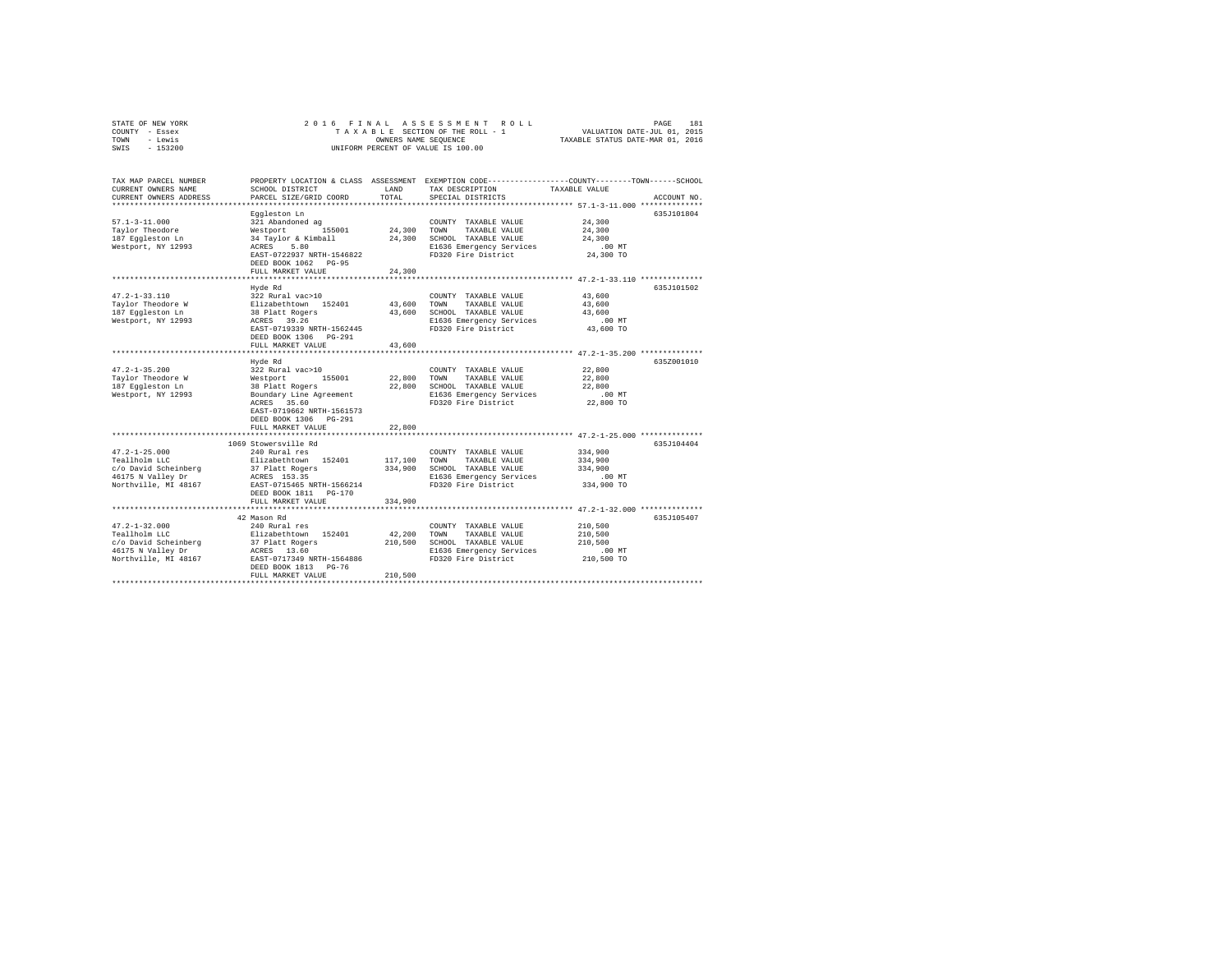| STATE OF NEW YORK<br>COUNTY - Essex<br>- Lewis<br>TOWN                 | 2016 FINAL                                 | OWNERS NAME SEQUENCE | ASSESSMENT ROLL<br>TAXABLE SECTION OF THE ROLL - 1 | 181<br>PAGE<br>VALUATION DATE-JUL 01, 2015<br>TAXABLE STATUS DATE-MAR 01, 2016                                                  |  |
|------------------------------------------------------------------------|--------------------------------------------|----------------------|----------------------------------------------------|---------------------------------------------------------------------------------------------------------------------------------|--|
| SWIS<br>$-153200$                                                      |                                            |                      | UNIFORM PERCENT OF VALUE IS 100.00                 |                                                                                                                                 |  |
| TAX MAP PARCEL NUMBER<br>CURRENT OWNERS NAME<br>CURRENT OWNERS ADDRESS | SCHOOL DISTRICT<br>PARCEL SIZE/GRID COORD  | LAND<br>TOTAL        | TAX DESCRIPTION<br>SPECIAL DISTRICTS               | PROPERTY LOCATION & CLASS ASSESSMENT EXEMPTION CODE---------------COUNTY-------TOWN------SCHOOL<br>TAXABLE VALUE<br>ACCOUNT NO. |  |
|                                                                        | Eqqleston Ln                               |                      |                                                    | 635J101804                                                                                                                      |  |
| $57.1 - 3 - 11.000$                                                    | 321 Abandoned ag                           |                      | COUNTY TAXABLE VALUE                               | 24,300                                                                                                                          |  |
| Taylor Theodore                                                        | 155001<br>Westport                         | 24,300               | TOWN<br>TAXABLE VALUE                              | 24,300                                                                                                                          |  |
| 187 Eqqleston Ln                                                       | 34 Taylor & Kimball                        | 24,300               | SCHOOL TAXABLE VALUE                               | 24,300                                                                                                                          |  |
| Westport, NY 12993                                                     | ACRES<br>5.80                              |                      | E1636 Emergency Services                           | .00MT                                                                                                                           |  |
|                                                                        | EAST-0722937 NRTH-1546822                  |                      | FD320 Fire District                                | 24,300 TO                                                                                                                       |  |
|                                                                        | DEED BOOK 1062 PG-95                       |                      |                                                    |                                                                                                                                 |  |
|                                                                        | FULL MARKET VALUE<br>*******************   | 24,300               |                                                    | ********************** 47.2-1-33.110 **************                                                                             |  |
|                                                                        | Hvde Rd                                    |                      |                                                    | 635J101502                                                                                                                      |  |
| $47.2 - 1 - 33.110$                                                    | 322 Rural vac>10                           |                      | COUNTY TAXABLE VALUE                               | 43,600                                                                                                                          |  |
| Taylor Theodore W                                                      | Elizabethtown 152401                       | 43,600               | TOWN<br>TAXABLE VALUE                              | 43,600                                                                                                                          |  |
| 187 Eqqleston Ln                                                       | 38 Platt Rogers                            | 43,600               | SCHOOL TAXABLE VALUE                               | 43,600                                                                                                                          |  |
| Westport, NY 12993                                                     | ACRES 39.26                                |                      | E1636 Emergency Services                           | $.00$ MT                                                                                                                        |  |
|                                                                        | EAST-0719339 NRTH-1562445                  |                      | FD320 Fire District                                | 43,600 TO                                                                                                                       |  |
|                                                                        | DEED BOOK 1306 PG-291<br>FULL MARKET VALUE | 43,600               |                                                    |                                                                                                                                 |  |
|                                                                        | ************************                   |                      |                                                    |                                                                                                                                 |  |
|                                                                        | Hyde Rd                                    |                      |                                                    | 635Z001010                                                                                                                      |  |
| $47.2 - 1 - 35.200$                                                    | 322 Rural vac>10                           |                      | COUNTY TAXABLE VALUE                               | 22,800                                                                                                                          |  |
| Taylor Theodore W                                                      | 155001<br>Westport                         | 22,800               | TAXABLE VALUE<br>TOWN                              | 22,800                                                                                                                          |  |
| 187 Eqqleston Ln                                                       | 38 Platt Rogers                            | 22,800               | SCHOOL TAXABLE VALUE                               | 22,800                                                                                                                          |  |
| Westport, NY 12993                                                     | Boundary Line Agreement<br>ACRES 35.60     |                      | E1636 Emergency Services<br>FD320 Fire District    | .00MT<br>22,800 TO                                                                                                              |  |
|                                                                        | EAST-0719662 NRTH-1561573                  |                      |                                                    |                                                                                                                                 |  |
|                                                                        | DEED BOOK 1306 PG-291                      |                      |                                                    |                                                                                                                                 |  |
|                                                                        | FULL MARKET VALUE                          | 22,800               |                                                    |                                                                                                                                 |  |
|                                                                        |                                            |                      |                                                    |                                                                                                                                 |  |
|                                                                        | 1069 Stowersville Rd                       |                      |                                                    | 635J104404                                                                                                                      |  |
| $47.2 - 1 - 25.000$                                                    | 240 Rural res                              |                      | COUNTY TAXABLE VALUE                               | 334,900                                                                                                                         |  |
| Teallholm LLC<br>c/o David Scheinberg                                  | Elizabethtown 152401<br>37 Platt Rogers    | 117,100<br>334,900   | TAXABLE VALUE<br>TOWN<br>SCHOOL TAXABLE VALUE      | 334,900<br>334,900                                                                                                              |  |
| 46175 N Valley Dr                                                      | ACRES 153.35                               |                      | E1636 Emergency Services                           | $.00$ MT                                                                                                                        |  |
| Northville, MI 48167                                                   | EAST-0715465 NRTH-1566214                  |                      | FD320 Fire District                                | 334,900 TO                                                                                                                      |  |
|                                                                        | DEED BOOK 1811 PG-170                      |                      |                                                    |                                                                                                                                 |  |
|                                                                        | FULL MARKET VALUE                          | 334,900              |                                                    |                                                                                                                                 |  |
|                                                                        | ************************                   |                      |                                                    |                                                                                                                                 |  |
| $47.2 - 1 - 32.000$                                                    | 42 Mason Rd<br>240 Rural res               |                      | COUNTY TAXABLE VALUE                               | 635J105407<br>210,500                                                                                                           |  |
| Teallholm LLC                                                          | Elizabethtown 152401                       | 42.200               | TOWN<br>TAXABLE VALUE                              | 210,500                                                                                                                         |  |
| c/o David Scheinberg                                                   | 37 Platt Rogers                            | 210,500              | SCHOOL TAXABLE VALUE                               | 210,500                                                                                                                         |  |
| 46175 N Valley Dr                                                      | ACRES 13.60                                |                      | E1636 Emergency Services                           | $.00$ MT                                                                                                                        |  |
| Northville, MI 48167                                                   | EAST-0717349 NRTH-1564886                  |                      | FD320 Fire District                                | 210,500 TO                                                                                                                      |  |
|                                                                        | DEED BOOK 1813 PG-76                       |                      |                                                    |                                                                                                                                 |  |
|                                                                        | FULL MARKET VALUE                          | 210,500              |                                                    |                                                                                                                                 |  |
|                                                                        |                                            |                      |                                                    |                                                                                                                                 |  |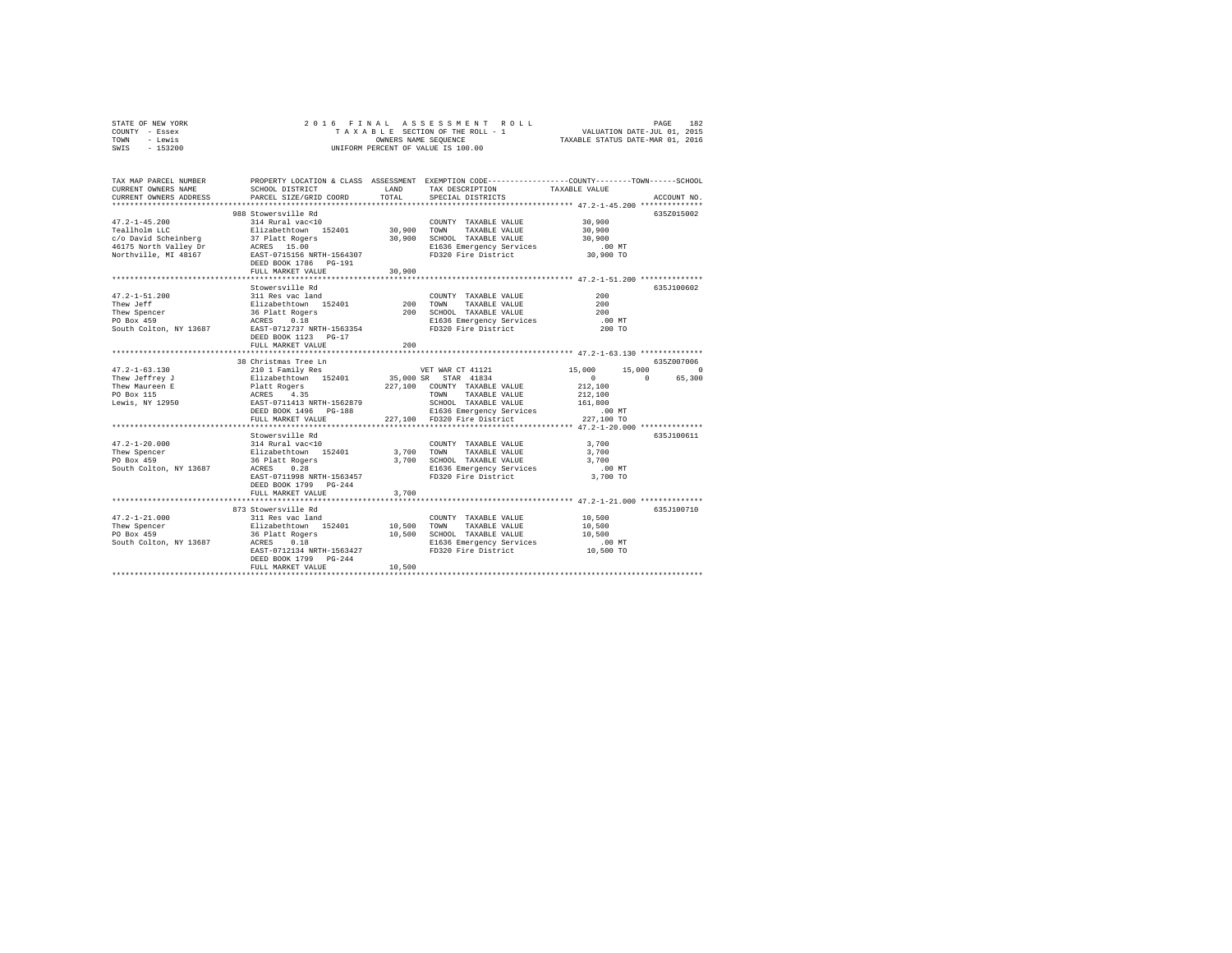| STATE OF NEW YORK | 2016 FINAL ASSESSMENT ROLL         | 182<br>PAGE                      |
|-------------------|------------------------------------|----------------------------------|
| COUNTY - Essex    | TAXABLE SECTION OF THE ROLL - 1    | VALUATION DATE-JUL 01, 2015      |
| TOWN<br>- Lewis   | OWNERS NAME SEOUENCE               | TAXABLE STATUS DATE-MAR 01, 2016 |
| $-153200$<br>SWIS | UNIFORM PERCENT OF VALUE IS 100.00 |                                  |

| TAX MAP PARCEL NUMBER<br>CURRENT OWNERS NAME<br>CURRENT OWNERS ADDRESS                                                                        | SCHOOL DISTRICT<br>PARCEL SIZE/GRID COORD                                                                                                                                                                                              | LAND<br>TOTAL               | PROPERTY LOCATION & CLASS ASSESSMENT EXEMPTION CODE---------------COUNTY-------TOWN------SCHOOL<br>TAX DESCRIPTION<br>SPECIAL DISTRICTS                                                                                                                                                 | TAXABLE VALUE                                                                                                                | ACCOUNT NO.                     |
|-----------------------------------------------------------------------------------------------------------------------------------------------|----------------------------------------------------------------------------------------------------------------------------------------------------------------------------------------------------------------------------------------|-----------------------------|-----------------------------------------------------------------------------------------------------------------------------------------------------------------------------------------------------------------------------------------------------------------------------------------|------------------------------------------------------------------------------------------------------------------------------|---------------------------------|
| $47.2 - 1 - 45.200$<br>Teallholm LLC<br>Northville, MI 48167                                                                                  | 988 Stowersville Rd<br>314 Rural vac<10<br>Elizabethtown 152401 30,900 TOWN<br>EAST-0715156 NRTH-1564307<br>DEED BOOK 1786 PG-191<br>FULL MARKET VALUE<br>****************************                                                 | 30,900                      | COUNTY TAXABLE VALUE<br>TAXABLE VALUE<br>30,900 SCHOOL TAXABLE VALUE<br>E1636 Emergency Services<br>FD320 Fire District<br>************************************ 47.2-1-51.200 **************                                                                                            | 30,900<br>30,900<br>30,900<br>$.00$ MT<br>30,900 TO                                                                          | 635Z015002                      |
| $47.2 - 1 - 51.200$<br>Thew Jeff<br>Thew Spencer<br>PO Box 459<br>South Colton, NY 13687                                                      | Stowersville Rd<br>311 Res vac land<br>Elizabethtown 152401<br>36 Platt Rogers<br>ACRES 0.18<br>EAST-0712737 NRTH-1563354<br>DEED BOOK 1123 PG-17<br>FULL MARKET VALUE                                                                 | 200<br>200<br>************* | COUNTY TAXABLE VALUE<br>TOWN<br>TAXABLE VALUE<br>200 SCHOOL TAXABLE VALUE<br>E1636 Emergency Services<br>FD320 Fire District<br>********************************** 47.2-1-63.130 **************                                                                                         | 200<br>200<br>200<br>$.00$ MT<br>200 TO                                                                                      | 635J100602                      |
|                                                                                                                                               | 38 Christmas Tree Ln                                                                                                                                                                                                                   |                             |                                                                                                                                                                                                                                                                                         |                                                                                                                              | 635Z007006                      |
| $47.2 - 1 - 63.130$<br>Thew Jeffrey J<br>Thew Maureen E<br>PO Box 115<br>Lewis, NY 12950<br>$47.2 - 1 - 20.000$<br>Thew Spencer<br>PO Box 459 | 210 1 Family Res<br>Elizabethtown 152401<br>Platt Rogers<br>ACRES 4.35<br>EAST-0711413 NRTH-1562879<br>DEED BOOK 1496    PG-188<br>FULL MARKET VALUE<br>Stowersville Rd<br>314 Rural vac<10<br>Elizabethtown 152401<br>36 Platt Rogers | 3,700 TOWN                  | VET WAR CT 41121<br>35,000 SR STAR 41834<br>227,100 COUNTY TAXABLE VALUE<br>TAXABLE VALUE<br>TOWN<br>SCHOOL TAXABLE VALUE<br>E1636 Emergency Services<br>227,100 FD320 Fire District<br>COUNTY TAXABLE VALUE<br>TAXABLE VALUE<br>3,700 SCHOOL TAXABLE VALUE<br>E1636 Emergency Services | 15,000<br>15,000<br>$\sim$ 0<br>$\sim$<br>212,100<br>212,100<br>161,800<br>$.00$ MT<br>227,100 TO<br>3,700<br>3,700<br>3,700 | $\circ$<br>65,300<br>635J100611 |
| South Colton, NY 13687 ACRES                                                                                                                  | 0.28<br>EAST-0711998 NRTH-1563457<br>DEED BOOK 1799 PG-244<br>FULL MARKET VALUE                                                                                                                                                        | 3,700                       | FD320 Fire District                                                                                                                                                                                                                                                                     | $.00$ MT<br>3,700 TO                                                                                                         |                                 |
| $47.2 - 1 - 21.000$<br>Thew Spencer<br>PO Box 459<br>South Colton, NY 13687 ACRES 0.18                                                        | 873 Stowersville Rd<br>311 Res vac land<br>Elizabethtown 152401<br>36 Platt Rogers<br>ACRES 0.18<br>EAST-0712134 NRTH-1563427<br>DEED BOOK 1799 PG-244<br>FULL MARKET VALUE                                                            | 10,500<br>10,500<br>10,500  | COUNTY TAXABLE VALUE<br>TOWN<br>TAXABLE VALUE<br>SCHOOL TAXABLE VALUE<br>E1636 Emergency Services<br>FD320 Fire District                                                                                                                                                                | 10,500<br>10,500<br>10,500<br>$.00$ MT<br>10,500 TO                                                                          | 635J100710                      |
|                                                                                                                                               |                                                                                                                                                                                                                                        |                             |                                                                                                                                                                                                                                                                                         |                                                                                                                              |                                 |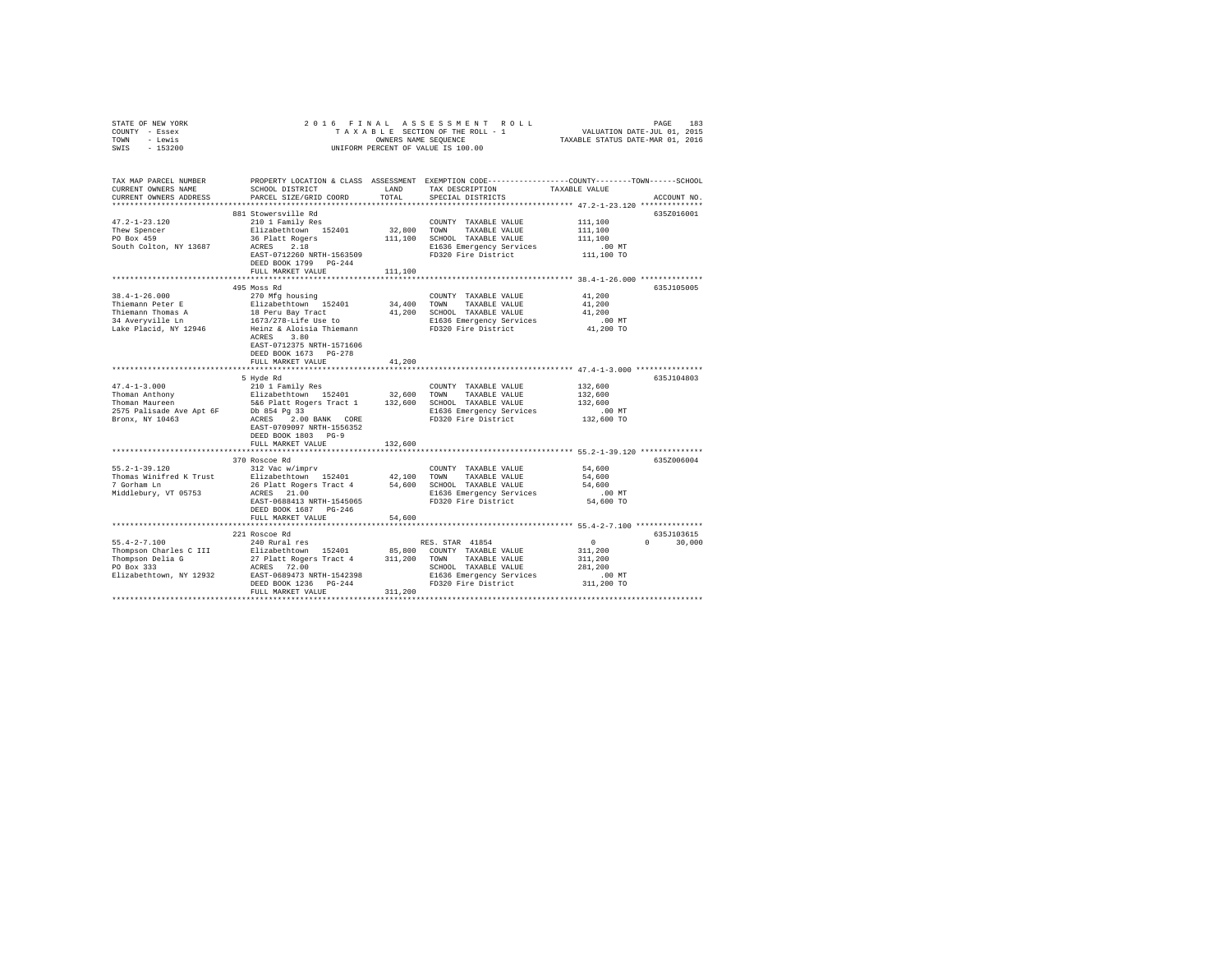| STATE OF NEW YORK<br>COUNTY - Essex<br>TOWN - Lewis<br>SWIS - 153200   | 2016 FINAL                                                               |               | UNIFORM PERCENT OF VALUE IS 100.00              | 5 FINAL ASSESSMENT ROLL (1975)<br>TAXABLE SECTION OF THE ROLL - 1 VALUATION DATE-JUL 01, 2015<br>OWNERS NAME SEQUENCE  TAXABLE STATUS DATE-MAR 01, 2016 |  |
|------------------------------------------------------------------------|--------------------------------------------------------------------------|---------------|-------------------------------------------------|---------------------------------------------------------------------------------------------------------------------------------------------------------|--|
| TAX MAP PARCEL NUMBER<br>CURRENT OWNERS NAME<br>CURRENT OWNERS ADDRESS | SCHOOL DISTRICT<br>PARCEL SIZE/GRID COORD                                | LAND<br>TOTAL | TAX DESCRIPTION<br>SPECIAL DISTRICTS            | PROPERTY LOCATION & CLASS ASSESSMENT EXEMPTION CODE----------------COUNTY-------TOWN-----SCHOOL<br>TAXABLE VALUE<br>ACCOUNT NO.                         |  |
|                                                                        |                                                                          |               |                                                 |                                                                                                                                                         |  |
|                                                                        | 881 Stowersville Rd                                                      |               |                                                 | 635Z016001                                                                                                                                              |  |
| $47.2 - 1 - 23.120$                                                    | 210 1 Family Res                                                         |               | COUNTY TAXABLE VALUE                            | 111,100                                                                                                                                                 |  |
| Thew Spencer                                                           | Elizabethtown 152401                                                     |               | 32,800 TOWN TAXABLE VALUE                       | 111,100                                                                                                                                                 |  |
| PO Box 459                                                             | 36 Platt Rogers                                                          |               | 111,100 SCHOOL TAXABLE VALUE                    | 111,100                                                                                                                                                 |  |
| South Colton, NY 13687                                                 | ACRES 2.18<br>EAST-0712260 NRTH-1563509<br>DEED BOOK 1799 PG-244         |               | E1636 Emergency Services<br>FD320 Fire District | $.00$ MT<br>111,100 TO                                                                                                                                  |  |
|                                                                        | FULL MARKET VALUE                                                        | 111,100       |                                                 |                                                                                                                                                         |  |
|                                                                        |                                                                          |               |                                                 |                                                                                                                                                         |  |
| 38.4-1-26.000                                                          | 495 Moss Rd                                                              |               | COUNTY TAXABLE VALUE                            | 635J105005<br>41,200                                                                                                                                    |  |
| Thiemann Peter E                                                       | 270 Mfg housing<br>Elizabethtown 152401                                  |               | 34,400 TOWN TAXABLE VALUE                       | 41,200                                                                                                                                                  |  |
| Thiemann Thomas A                                                      | 18 Peru Bay Tract                                                        |               | 41,200 SCHOOL TAXABLE VALUE                     | 41,200                                                                                                                                                  |  |
| 34 Averyville Ln                                                       | 1673/278-Life Use to                                                     |               | E1636 Emergency Services                        | $.00$ MT                                                                                                                                                |  |
| Lake Placid, NY 12946                                                  | Heinz & Aloisia Thiemann<br>ACRES 3.80<br>EAST-0712375 NRTH-1571606      |               | FD320 Fire District                             | 41,200 TO                                                                                                                                               |  |
|                                                                        | DEED BOOK 1673 PG-278                                                    |               |                                                 |                                                                                                                                                         |  |
|                                                                        | FULL MARKET VALUE                                                        | 41,200        |                                                 |                                                                                                                                                         |  |
|                                                                        |                                                                          |               |                                                 |                                                                                                                                                         |  |
| $47.4 - 1 - 3.000$                                                     | 5 Hyde Rd<br>210 1 Family Res                                            |               | COUNTY TAXABLE VALUE                            | 635J104803<br>132,600                                                                                                                                   |  |
|                                                                        | Elizabethtown 152401 32,600 TOWN TAXABLE VALUE                           |               |                                                 | 132,600                                                                                                                                                 |  |
| Thoman Anthony<br>Thoman Maureen                                       | 5&6 Platt Rogers Tract 1                                                 |               | 132,600 SCHOOL TAXABLE VALUE                    | 132,600                                                                                                                                                 |  |
|                                                                        | 2575 Palisade Ave Apt 6F Db 854 Pg 33                                    |               | E1636 Emergency Services                        | $.00$ MT                                                                                                                                                |  |
| Bronx, NY 10463                                                        | ACRES 2.00 BANK CORE<br>EAST-0709097 NRTH-1556352<br>DEED BOOK 1803 PG-9 |               | FD320 Fire District                             | 132,600 TO                                                                                                                                              |  |
|                                                                        | FULL MARKET VALUE                                                        | 132,600       |                                                 |                                                                                                                                                         |  |
|                                                                        |                                                                          |               |                                                 |                                                                                                                                                         |  |
| 55.2-1-39.120                                                          | 370 Roscoe Rd<br>312 Vac w/imprv                                         |               | COUNTY TAXABLE VALUE                            | 635Z006004<br>54,600                                                                                                                                    |  |
| Thomas Winifred K Trust                                                | Elizabethtown 152401                                                     | 42,100        | TOWN TAXABLE VALUE                              | 54,600                                                                                                                                                  |  |
| 7 Gorham Ln                                                            | 26 Platt Rogers Tract 4 54,600 SCHOOL TAXABLE VALUE                      |               |                                                 | 54,600                                                                                                                                                  |  |
| Middlebury, VT 05753                                                   | ACRES 21.00                                                              |               | E1636 Emergency Services                        | $.00$ MT                                                                                                                                                |  |
|                                                                        | EAST-0688413 NRTH-1545065                                                |               | FD320 Fire District                             | 54,600 TO                                                                                                                                               |  |
|                                                                        | DEED BOOK 1687 PG-246                                                    |               |                                                 |                                                                                                                                                         |  |
|                                                                        | FULL MARKET VALUE                                                        | 54,600        |                                                 |                                                                                                                                                         |  |
|                                                                        |                                                                          |               |                                                 |                                                                                                                                                         |  |
| $55.4 - 2 - 7.100$                                                     | 221 Roscoe Rd<br>240 Rural res                                           |               | RES. STAR 41854                                 | 635J103615<br>$\sim$ 0<br>$0 \t 30.000$                                                                                                                 |  |
| Thompson Charles C III                                                 | Elizabethtown 152401                                                     |               | 85,800 COUNTY TAXABLE VALUE                     | 311,200                                                                                                                                                 |  |
| Thompson Delia G                                                       | 27 Platt Rogers Tract 4 311, 200 TOWN                                    |               | TAXABLE VALUE                                   | 311,200                                                                                                                                                 |  |
| PO Box 333                                                             | ACRES 72.00                                                              |               | SCHOOL TAXABLE VALUE                            | 281,200                                                                                                                                                 |  |
| Elizabethtown, NY 12932                                                | EAST-0689473 NRTH-1542398                                                |               | E1636 Emergency Services                        | $.00$ MT                                                                                                                                                |  |
|                                                                        | DEED BOOK 1236 PG-244                                                    |               | FD320 Fire District                             | 311,200 TO                                                                                                                                              |  |
|                                                                        | FULL MARKET VALUE                                                        | 311,200       |                                                 |                                                                                                                                                         |  |
|                                                                        |                                                                          |               |                                                 |                                                                                                                                                         |  |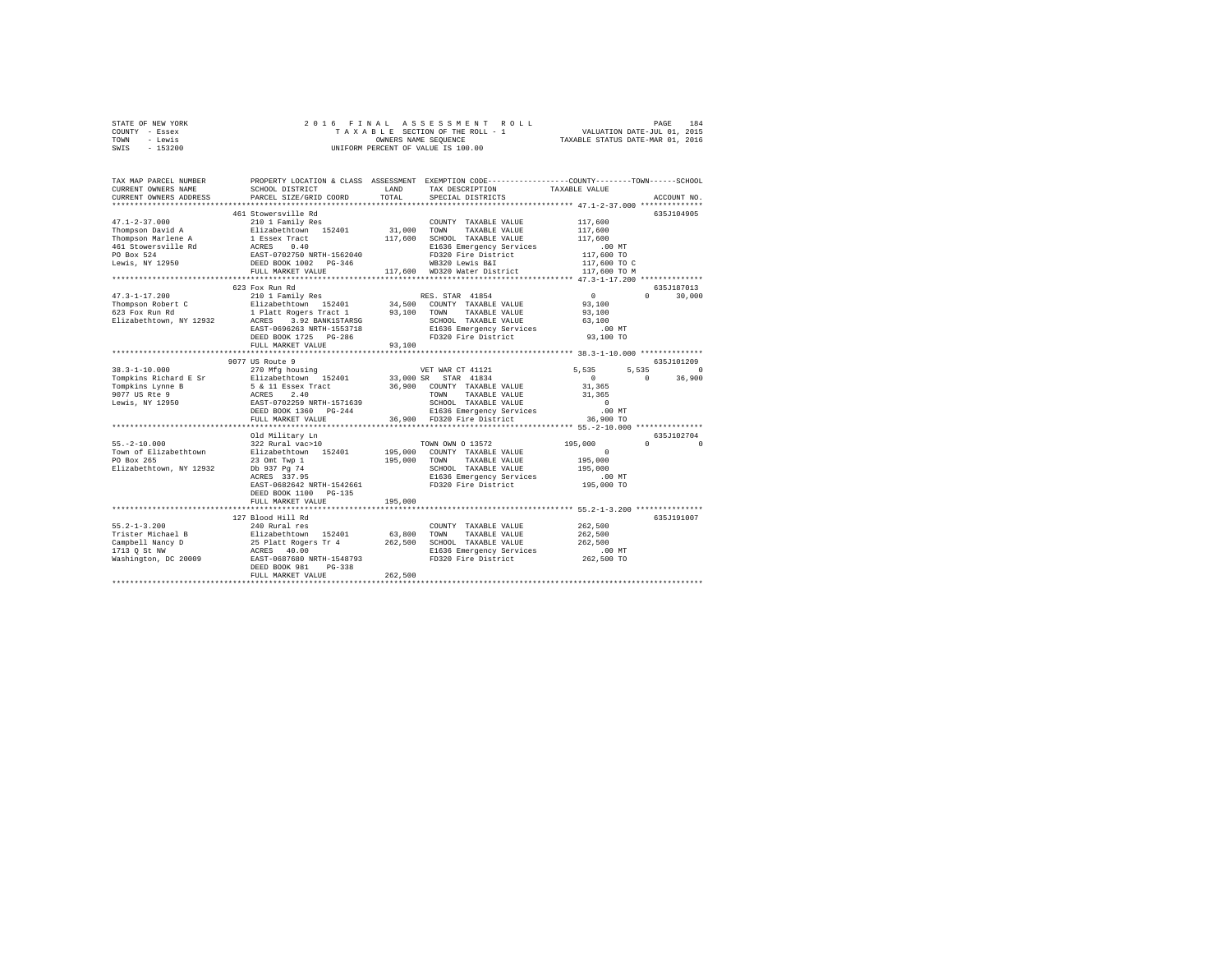|      | STATE OF NEW YORK |  | 2016 FINAL ASSESSMENT ROLL         |                                  | PAGE                        | 184 |
|------|-------------------|--|------------------------------------|----------------------------------|-----------------------------|-----|
|      | COUNTY - Essex    |  | TAXABLE SECTION OF THE ROLL - 1    |                                  | VALUATION DATE-JUL 01, 2015 |     |
| TOWN | - Lewis           |  | OWNERS NAME SEOUENCE               | TAXABLE STATUS DATE-MAR 01, 2016 |                             |     |
| SWIS | $-153200$         |  | UNIFORM PERCENT OF VALUE IS 100.00 |                                  |                             |     |

| TAX MAP PARCEL NUMBER<br>CURRENT OWNERS NAME<br>CURRENT OWNERS ADDRESS                | SCHOOL DISTRICT<br>PARCEL SIZE/GRID COORD<br>**************************                                                                                                                                                                                                                          | LAND<br>TOTAL                | TAX DESCRIPTION<br>SPECIAL DISTRICTS                                                                                                                                               | PROPERTY LOCATION & CLASS ASSESSMENT EXEMPTION CODE---------------COUNTY-------TOWN-----SCHOOL<br>TAXABLE VALUE<br>ACCOUNT NO |          |
|---------------------------------------------------------------------------------------|--------------------------------------------------------------------------------------------------------------------------------------------------------------------------------------------------------------------------------------------------------------------------------------------------|------------------------------|------------------------------------------------------------------------------------------------------------------------------------------------------------------------------------|-------------------------------------------------------------------------------------------------------------------------------|----------|
| $47.1 - 2 - 37.000$                                                                   | 461 Stowersville Rd<br>210 1 Family Res<br>FULL MARKET VALUE                                                                                                                                                                                                                                     | 31,000<br>117,600            | COUNTY TAXABLE VALUE<br>TOWN<br>TAXABLE VALUE<br>SCHOOL TAXABLE VALUE<br>E1636 Emergency Services<br>FD320 Fire District<br>WB320 Lewis B&I<br>117,600 WD320 Water District        | 635J104905<br>117,600<br>117,600<br>117,600<br>$.00$ MT<br>00 MT.<br>117,600 TO<br>117,600 TO C<br>117,600 TO M               |          |
| $47.3 - 1 - 17.200$<br>Thompson Robert C<br>623 Fox Run Rd<br>Elizabethtown, NY 12932 | 623 Fox Run Rd<br>210 1 Family Res<br>Elizabethtown 152401<br>1 Platt Rogers Tract 1 93,100<br>ACRES 3.92 BANK1STARSG<br>EAST-0696263 NRTH-1553718<br>DEED BOOK 1725 PG-286<br>FULL MARKET VALUE                                                                                                 | 93,100                       | RES. STAR 41854<br>34,500 COUNTY TAXABLE VALUE<br>TAXABLE VALUE<br>TOWN<br>SCHOOL TAXABLE VALUE<br>E1636 Emergency Services<br>FD320 Fire District                                 | 635.T187013<br>0<br>30,000<br>$\Omega$<br>93,100<br>93,100<br>63,100<br>.00 MT<br>93,100 TO                                   |          |
| $38.3 - 1 - 10.000$<br>9077 US Rte 9<br>Lewis, NY 12950                               | 9077 US Route 9<br>270 Mfg housing<br>Tompkins Richard E Sr           Elizabethtown   152401<br>Tompkins Lynne B                    5 & 11 Essex Tract<br>ACRES<br>2.40<br>EAST-0702259 NRTH-1571639<br>DEED BOOK 1360 PG-244<br>FULL MARKET VALUE                                               |                              | VET WAR CT 41121<br>33,000 SR STAR 41834<br>36,900 COUNTY TAXABLE VALUE<br>TOWN<br>TAXABLE VALUE<br>SCHOOL TAXABLE VALUE<br>E1636 Emergency Services<br>36,900 FD320 Fire District | 635J101209<br>5.535<br>5.535<br>$\Omega$<br>36,900<br>$^{\circ}$<br>31,365<br>31,365<br>$\sim$ 0<br>$.00$ MT<br>36,900 TO     | $\Omega$ |
| $55. -2 - 10.000$<br>Town of Elizabethtown<br>PO Box 265<br>Elizabethtown, NY 12932   | Old Military Ln<br>322 Rural vac>10<br>Elizabethtown 152401<br>23 Omt Twp 1<br>Db 937 Pg 74<br>ACRES 337.95<br>EAST-0682642 NRTH-1542661<br>DEED BOOK 1100 PG-135<br>FULL MARKET VALUE                                                                                                           | 195,000                      | TOWN OWN 0 13572<br>195,000 COUNTY TAXABLE VALUE<br>195,000 TOWN TAXABLE VALUE<br>SCHOOL TAXABLE VALUE<br>E1636 Emergency Services<br>FD320 Fire District                          | 635J102704<br>$\Omega$<br>195,000<br>$\Omega$<br>195,000<br>195,000<br>$.00$ MT<br>195,000 TO                                 | $\Omega$ |
| $55.2 - 1 - 3.200$                                                                    | **************************<br>127 Blood Hill Rd<br>240 Rural res<br>Trister Michael B<br>Trister Michael B<br>Campbell Mancy D<br>1713 Q St NW 25 Platt Rogers Tr 4<br>1713 Q St NW 20009<br>Mashington, DC 20009<br>EAST-0687680 NRTH-1548793<br>DEED BOOK 981<br>$PG-338$<br>FULL MARKET VALUE | 63,800<br>262,500<br>262,500 | COUNTY TAXABLE VALUE<br>TOWN<br>TAXABLE VALUE<br>SCHOOL TAXABLE VALUE<br>E1636 Emergency Services<br>FD320 Fire District                                                           | 635J191007<br>262,500<br>262,500<br>262,500<br>$.00$ MT<br>262,500 TO                                                         |          |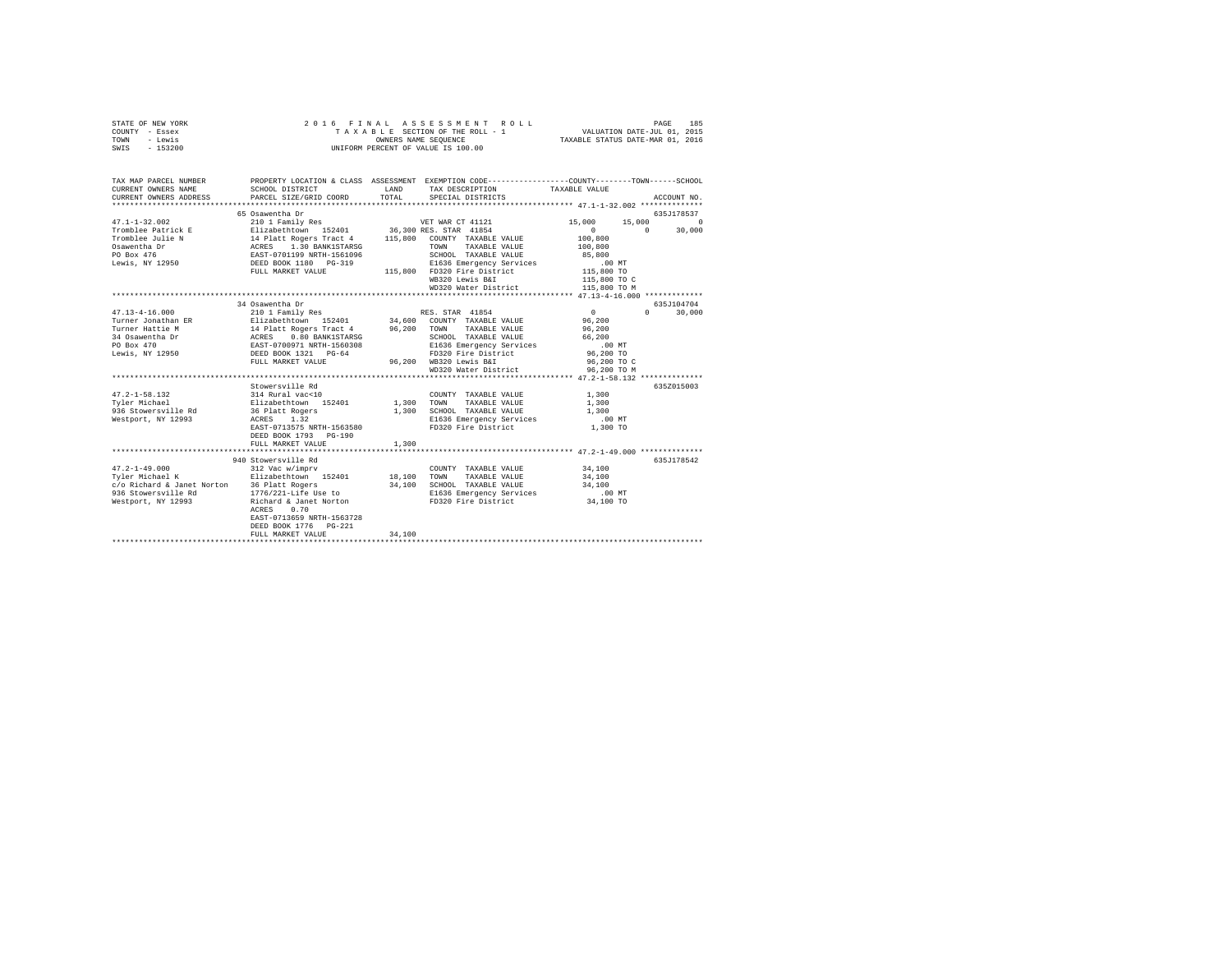| STATE OF NEW YORK | 2016 FINAL ASSESSMENT ROLL         | 185<br>PAGE                      |
|-------------------|------------------------------------|----------------------------------|
| COUNTY - Essex    | TAXABLE SECTION OF THE ROLL - 1    | VALUATION DATE-JUL 01, 2015      |
| TOWN<br>- Lewis   | OWNERS NAME SEOUENCE               | TAXABLE STATUS DATE-MAR 01, 2016 |
| $-153200$<br>SWIS | UNIFORM PERCENT OF VALUE IS 100.00 |                                  |

| TAX MAP PARCEL NUMBER<br>CURRENT OWNERS NAME                                                                                                                                                                                                 | PROPERTY LOCATION & CLASS ASSESSMENT EXEMPTION CODE----------------COUNTY-------TOWN------SCHOOL<br>SCHOOL DISTRICT |        | LAND TAX DESCRIPTION                                                           | TAXABLE VALUE                                                |                    |
|----------------------------------------------------------------------------------------------------------------------------------------------------------------------------------------------------------------------------------------------|---------------------------------------------------------------------------------------------------------------------|--------|--------------------------------------------------------------------------------|--------------------------------------------------------------|--------------------|
| CURRENT OWNERS ADDRESS                                                                                                                                                                                                                       | PARCEL SIZE/GRID COORD                                                                                              | TOTAL  | SPECIAL DISTRICTS                                                              |                                                              | ACCOUNT NO.        |
|                                                                                                                                                                                                                                              | 65 Osawentha Dr                                                                                                     |        |                                                                                |                                                              | 635J178537         |
| $47.1 - 1 - 32.002$                                                                                                                                                                                                                          | 210 1 Family Res                                                                                                    |        | VET WAR CT 41121                                                               | 15,000 15,000                                                | $\sim$ 0           |
| Tromblee Patrick Engines and Millelmond 152401 36,300 RES. STAR 41854<br>Tromblee Julie N 14 Platt Rogers Tract 4 15,800 CONTY TAXABLE VALUE<br>Conservation Desert ACRES 1.30 BANK1STARSG<br>COR TOWN TAXABLE VALUE<br>De Box 476 EAST-07   |                                                                                                                     |        |                                                                                | $\begin{smallmatrix}&&0\\&&20&0\\1&0&0&0&0\end{smallmatrix}$ | $0 \t 30,000$      |
|                                                                                                                                                                                                                                              |                                                                                                                     |        |                                                                                |                                                              |                    |
|                                                                                                                                                                                                                                              |                                                                                                                     |        | TAXABLE VALUE                                                                  | 100,800                                                      |                    |
|                                                                                                                                                                                                                                              |                                                                                                                     |        | SCHOOL TAXABLE VALUE<br>E1636 Emergency Services                               | 85,800                                                       |                    |
|                                                                                                                                                                                                                                              |                                                                                                                     |        |                                                                                | .00MT                                                        |                    |
|                                                                                                                                                                                                                                              | FULL MARKET VALUE                                                                                                   |        | 115,800 FD320 Fire District 115,800 TO                                         |                                                              |                    |
|                                                                                                                                                                                                                                              |                                                                                                                     |        | WB320 Lewis B&I                                                                | 115,800 TO C                                                 |                    |
|                                                                                                                                                                                                                                              |                                                                                                                     |        | WD320 Water District                                                           | 115,800 TO M                                                 |                    |
|                                                                                                                                                                                                                                              |                                                                                                                     |        |                                                                                |                                                              |                    |
|                                                                                                                                                                                                                                              | 34 Osawentha Dr                                                                                                     |        |                                                                                |                                                              | 635J104704         |
| $47.13 - 4 - 16.000$                                                                                                                                                                                                                         | 210 1 Family Res                                                                                                    |        | RES. STAR 41854                                                                | $\sim$ 0                                                     | $\Omega$<br>30,000 |
|                                                                                                                                                                                                                                              |                                                                                                                     |        |                                                                                |                                                              |                    |
|                                                                                                                                                                                                                                              |                                                                                                                     |        |                                                                                |                                                              |                    |
|                                                                                                                                                                                                                                              |                                                                                                                     |        |                                                                                |                                                              |                    |
|                                                                                                                                                                                                                                              |                                                                                                                     |        |                                                                                |                                                              |                    |
|                                                                                                                                                                                                                                              |                                                                                                                     |        |                                                                                |                                                              |                    |
|                                                                                                                                                                                                                                              |                                                                                                                     |        | 3-64 FD320 Fire District<br>96,200 WB320 Lewis B&I                             | 96,200 TO C                                                  |                    |
|                                                                                                                                                                                                                                              |                                                                                                                     |        | WD320 Water District 96,200 TO M                                               |                                                              |                    |
|                                                                                                                                                                                                                                              |                                                                                                                     |        |                                                                                |                                                              |                    |
|                                                                                                                                                                                                                                              | Stowersville Rd                                                                                                     |        |                                                                                |                                                              | 635Z015003         |
|                                                                                                                                                                                                                                              |                                                                                                                     |        | COUNTY TAXABLE VALUE<br>1,300 TOWN TAXABLE VALUE<br>COUNTY TAXABLE VALUE 1,300 |                                                              |                    |
|                                                                                                                                                                                                                                              |                                                                                                                     |        |                                                                                | 1,300                                                        |                    |
|                                                                                                                                                                                                                                              |                                                                                                                     |        | 1,300 SCHOOL TAXABLE VALUE 1,300                                               |                                                              |                    |
| Westport, NY 12993 ACRES 1.32                                                                                                                                                                                                                |                                                                                                                     |        | E1636 Emergency Services                                                       | $.00$ MT                                                     |                    |
|                                                                                                                                                                                                                                              | EAST-0713575 NRTH-1563580                                                                                           |        | FD320 Fire District                                                            | 1,300 TO                                                     |                    |
|                                                                                                                                                                                                                                              | DEED BOOK 1793 PG-190                                                                                               |        |                                                                                |                                                              |                    |
|                                                                                                                                                                                                                                              | FULL MARKET VALUE                                                                                                   | 1,300  |                                                                                |                                                              |                    |
|                                                                                                                                                                                                                                              |                                                                                                                     |        |                                                                                |                                                              |                    |
|                                                                                                                                                                                                                                              | 940 Stowersville Rd                                                                                                 |        |                                                                                |                                                              | 635J178542         |
| $\begin{array}{cccccc} 47.2\text{--}1\text{--}49.000 & & & 312\text{ Vac w/imprv} & & & \text{COUNTY TAXABLE VALUE} \\ \text{Tyler Michael K} & & & \text{Elizabethtown} & 152401 & & 18,100\text{ TOWN} & \text{TAXABLE VALUE} \end{array}$ |                                                                                                                     |        | COUNTY TAXABLE VALUE                                                           | 34,100                                                       |                    |
|                                                                                                                                                                                                                                              |                                                                                                                     |        |                                                                                | 34,100                                                       |                    |
| c/o Richard & Janet Norton 36 Platt Rogers                                                                                                                                                                                                   |                                                                                                                     |        | 34,100 SCHOOL TAXABLE VALUE 34,100                                             |                                                              |                    |
|                                                                                                                                                                                                                                              |                                                                                                                     |        | E1636 Emergency Services 6.00 MT<br>FD320 Fire District 34,100 TO              |                                                              |                    |
|                                                                                                                                                                                                                                              | 0.70                                                                                                                |        |                                                                                |                                                              |                    |
|                                                                                                                                                                                                                                              | ACRES                                                                                                               |        |                                                                                |                                                              |                    |
|                                                                                                                                                                                                                                              | EAST-0713659 NRTH-1563728                                                                                           |        |                                                                                |                                                              |                    |
|                                                                                                                                                                                                                                              | DEED BOOK 1776   PG-221                                                                                             |        |                                                                                |                                                              |                    |
|                                                                                                                                                                                                                                              | FULL MARKET VALUE                                                                                                   | 34,100 |                                                                                |                                                              |                    |
|                                                                                                                                                                                                                                              |                                                                                                                     |        |                                                                                |                                                              |                    |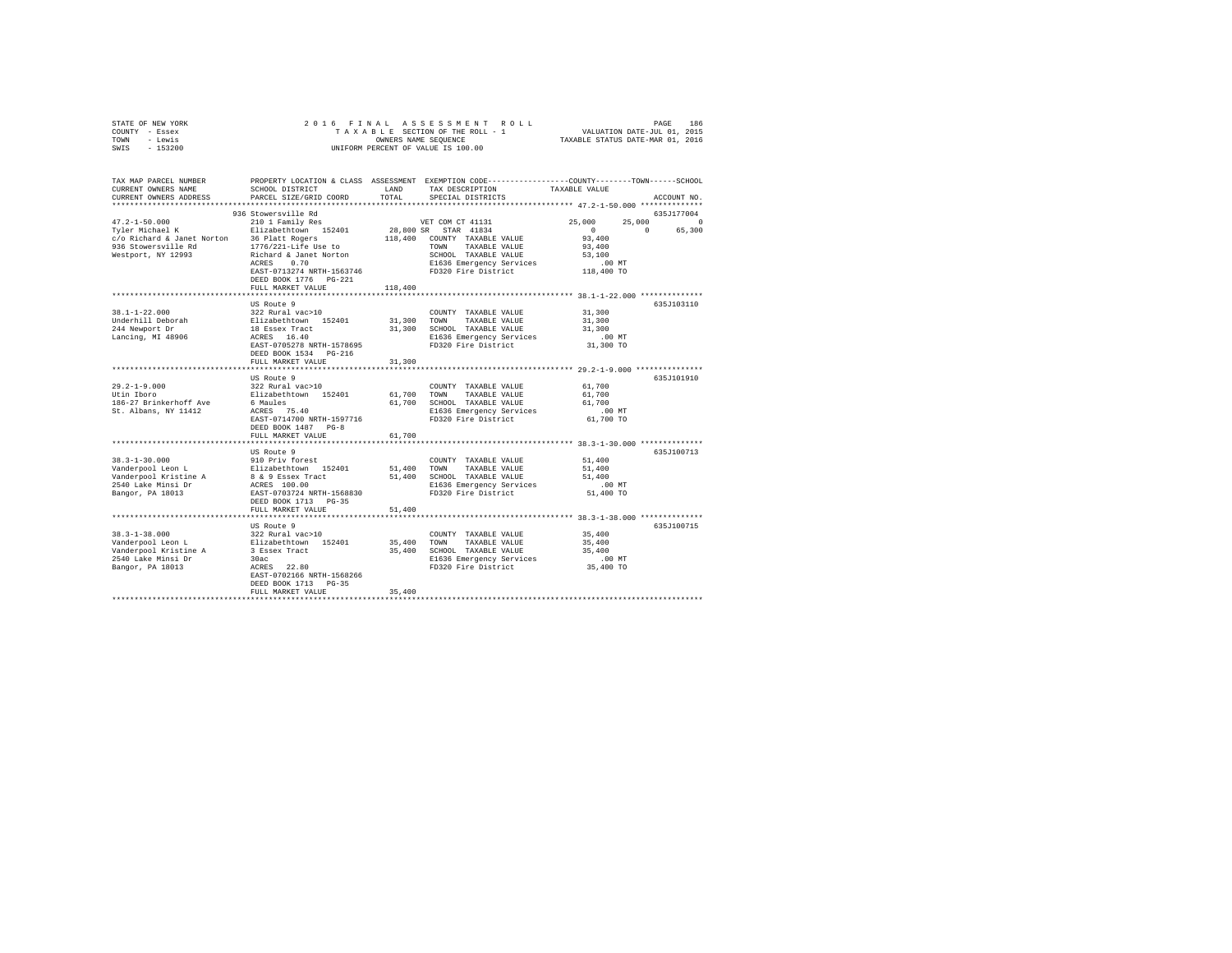| STATE OF NEW YORK | 2016 FINAL ASSESSMENT ROLL         | 186<br>PAGE                      |
|-------------------|------------------------------------|----------------------------------|
| COUNTY - Essex    | TAXABLE SECTION OF THE ROLL - 1    | VALUATION DATE-JUL 01, 2015      |
| TOWN<br>- Lewis   | OWNERS NAME SEOUENCE               | TAXABLE STATUS DATE-MAR 01, 2016 |
| $-153200$<br>SWIS | UNIFORM PERCENT OF VALUE IS 100.00 |                                  |

| TAX MAP PARCEL NUMBER<br>CURRENT OWNERS NAME                                                                                     | SCHOOL DISTRICT                                                                                                                                                               | LAND<br>TOTAL | PROPERTY LOCATION & CLASS ASSESSMENT EXEMPTION CODE---------------COUNTY-------TOWN-----SCHOOL<br>TAX DESCRIPTION                   | TAXABLE VALUE                                       |                                  |
|----------------------------------------------------------------------------------------------------------------------------------|-------------------------------------------------------------------------------------------------------------------------------------------------------------------------------|---------------|-------------------------------------------------------------------------------------------------------------------------------------|-----------------------------------------------------|----------------------------------|
| CURRENT OWNERS ADDRESS                                                                                                           | PARCEL SIZE/GRID COORD                                                                                                                                                        |               | SPECIAL DISTRICTS                                                                                                                   |                                                     | ACCOUNT NO.                      |
|                                                                                                                                  | 936 Stowersville Rd                                                                                                                                                           |               |                                                                                                                                     |                                                     | 635J177004                       |
| $47.2 - 1 - 50.000$<br>Tyler Michael K<br>c/o Richard & Janet Norton 36 Platt Rogers<br>936 Stowersville Rd 1776/221-Life Use to | 210 1 Family Res<br>Elizabethtown 152401                                                                                                                                      |               | VET COM CT 41131<br>28,800 SR STAR 41834<br>118,400 COUNTY TAXABLE VALUE                                                            | 25,000<br>25,000<br>$\sim$ 0<br>93,400              | $^{\circ}$<br>$\Omega$<br>65,300 |
| Westport, NY 12993                                                                                                               | Richard & Janet Norton<br>0.70<br>ACRES<br>EAST-0713274 NRTH-1563746<br>DEED BOOK 1776   PG-221<br>FULL MARKET VALUE                                                          | 118,400       | TOWN TAXABLE VALUE<br>SCHOOL TAXABLE VALUE<br>E1636 Emergency Services<br>FD320 Fire District                                       | 93,400<br>53,100<br>$.00$ MT<br>118,400 TO          |                                  |
|                                                                                                                                  |                                                                                                                                                                               |               |                                                                                                                                     |                                                     |                                  |
| $38.1 - 1 - 22.000$<br>Underhill Deborah<br>244 Newport Dr<br>Lancing, MI 48906                                                  | US Route 9<br>322 Rural vac>10<br>Elizabethtown 152401<br>18 Essex Tract<br>ACRES 16.40<br>EAST-0705278 NRTH-1578695<br>DEED BOOK 1534 PG-216                                 | 31,300 TOWN   | COUNTY TAXABLE VALUE<br>TAXABLE VALUE<br>31,300 SCHOOL TAXABLE VALUE<br>E1636 Emergency Services<br>FD320 Fire District             | 31,300<br>31,300<br>31,300<br>$.00$ MT<br>31,300 TO | 635J103110                       |
|                                                                                                                                  | FULL MARKET VALUE                                                                                                                                                             | 31,300        |                                                                                                                                     |                                                     |                                  |
|                                                                                                                                  | US Route 9                                                                                                                                                                    |               |                                                                                                                                     |                                                     | 635J101910                       |
| $29.2 - 1 - 9.000$<br>Utin Iboro<br>186-27 Brinkerhoff Ave<br>St. Albans, NY 11412                                               | 322 Rural vac>10<br>Elizabethtown 152401 61,700 TOWN TAXABLE VALUE<br>6 Maules 61,700 SCHOOL TAXABLE VALUE<br>ACRES 75.40<br>EAST-0714700 NRTH-1597716<br>DEED BOOK 1487 PG-8 |               | COUNTY TAXABLE VALUE<br>61,700 SCHOOL TAXABLE VALUE<br>E1636 Emergency Services<br>FD320 Fire District                              | 61,700<br>61,700<br>61,700<br>.00 MT<br>61,700 TO   |                                  |
|                                                                                                                                  | FULL MARKET VALUE                                                                                                                                                             | 61,700        |                                                                                                                                     |                                                     |                                  |
|                                                                                                                                  |                                                                                                                                                                               |               |                                                                                                                                     |                                                     |                                  |
| $38.3 - 1 - 30.000$<br>Vanderpool Leon L<br>Vanderpool Kristine A<br>2540 Lake Minsi Dr<br>Bangor, PA 18013                      | US Route 9<br>910 Priv forest<br>Elizabethtown 152401<br>8 & 9 Essex Tract<br>ACRES 100.00<br>EAST-0703724 NRTH-1568830<br>DEED BOOK 1713 PG-35                               | 51,400        | COUNTY TAXABLE VALUE<br>TOWN<br>TAXABLE VALUE<br>51,400 SCHOOL TAXABLE VALUE<br>E1636 Emergency Services<br>FD320 Fire District     | 51,400<br>51,400<br>51,400<br>.00 MT<br>51,400 TO   | 635J100713                       |
|                                                                                                                                  | FULL MARKET VALUE                                                                                                                                                             | 51,400        |                                                                                                                                     |                                                     |                                  |
|                                                                                                                                  |                                                                                                                                                                               |               |                                                                                                                                     |                                                     |                                  |
| $38.3 - 1 - 38.000$<br>Vanderpool Leon L<br>Vanderpool Kristine A<br>2540 Lake Minsi Dr<br>Bangor, PA 18013                      | US Route 9<br>322 Rural vac>10<br>Elizabethtown 152401<br>3 Essex Tract<br>30ac<br>ACRES 22.80<br>EAST-0702166 NRTH-1568266<br>DEED BOOK 1713 PG-35<br>FULL MARKET VALUE      | 35,400        | COUNTY TAXABLE VALUE<br>35,400 TOWN TAXABLE VALUE<br>35,400 SCHOOL TAXABLE VALUE<br>E1636 Emergency Services<br>FD320 Fire District | 35,400<br>35,400<br>35,400<br>$.00$ MT<br>35,400 TO | 635J100715                       |
|                                                                                                                                  |                                                                                                                                                                               |               |                                                                                                                                     |                                                     |                                  |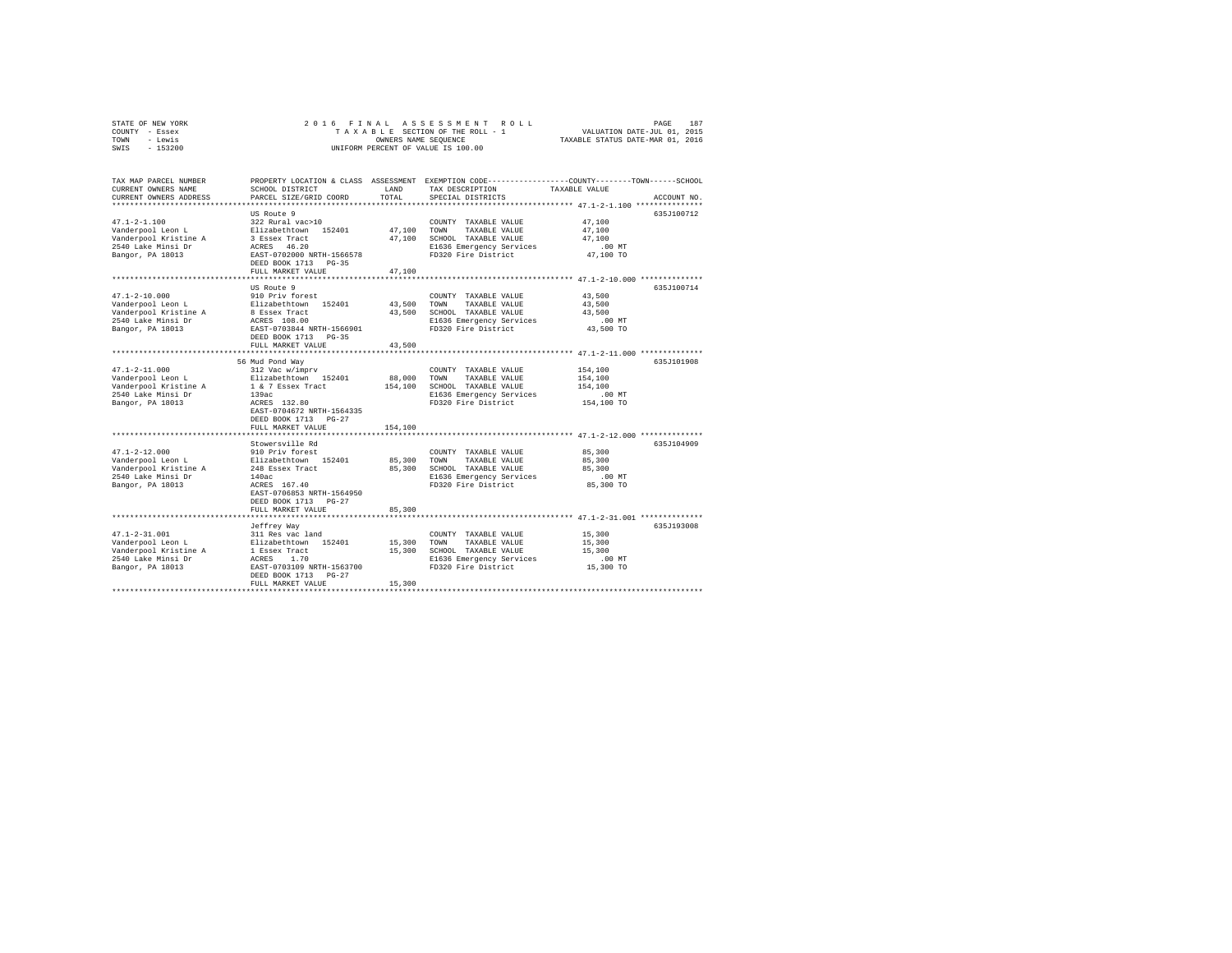| STATE OF NEW YORK<br>COUNTY - Essex | 2016 FINAL                |         | ASSESSMENT ROLL<br>TAXABLE SECTION OF THE ROLL - 1 | PAGE<br>187<br>VALUATION DATE-JUL 01, 2015                                                     |
|-------------------------------------|---------------------------|---------|----------------------------------------------------|------------------------------------------------------------------------------------------------|
| - Lewis<br>TOWN                     |                           |         | OWNERS NAME SEQUENCE                               | TAXABLE STATUS DATE-MAR 01, 2016                                                               |
| $-153200$<br>SWIS                   |                           |         | UNIFORM PERCENT OF VALUE IS 100.00                 |                                                                                                |
|                                     |                           |         |                                                    |                                                                                                |
| TAX MAP PARCEL NUMBER               |                           |         |                                                    | PROPERTY LOCATION & CLASS ASSESSMENT EXEMPTION CODE---------------COUNTY-------TOWN-----SCHOOL |
| CURRENT OWNERS NAME                 | SCHOOL DISTRICT           | LAND    | TAX DESCRIPTION                                    | TAXABLE VALUE                                                                                  |
| CURRENT OWNERS ADDRESS              | PARCEL SIZE/GRID COORD    | TOTAL   | SPECIAL DISTRICTS                                  | ACCOUNT NO.                                                                                    |
| **************************          |                           |         |                                                    |                                                                                                |
|                                     | US Route 9                |         |                                                    | 635J100712                                                                                     |
| $47.1 - 2 - 1.100$                  | 322 Rural vac>10          |         | COUNTY TAXABLE VALUE                               | 47,100                                                                                         |
| Vanderpool Leon L                   | Elizabethtown 152401      | 47,100  | TOWN<br>TAXABLE VALUE                              | 47,100                                                                                         |
| Vanderpool Kristine A               | 3 Essex Tract             | 47,100  | SCHOOL TAXABLE VALUE                               | 47.100                                                                                         |
| 2540 Lake Minsi Dr                  | ACRES 46.20               |         | E1636 Emergency Services                           | .00MT                                                                                          |
| Bangor, PA 18013                    | EAST-0702000 NRTH-1566578 |         | FD320 Fire District                                | 47,100 TO                                                                                      |
|                                     | DEED BOOK 1713 PG-35      |         |                                                    |                                                                                                |
|                                     | FULL MARKET VALUE         | 47,100  |                                                    |                                                                                                |
|                                     |                           |         |                                                    |                                                                                                |
|                                     | US Route 9                |         |                                                    | 635J100714                                                                                     |
| $47.1 - 2 - 10.000$                 | 910 Priv forest           |         | COUNTY TAXABLE VALUE                               | 43,500                                                                                         |
| Vanderpool Leon L                   | Elizabethtown 152401      | 43.500  | TOWN<br>TAXABLE VALUE                              | 43,500                                                                                         |
| Vanderpool Kristine A               | 8 Essex Tract             | 43,500  | SCHOOL TAXABLE VALUE                               | 43,500                                                                                         |
| 2540 Lake Minsi Dr                  | ACRES 108.00              |         | E1636 Emergency Services                           | $.00$ MT                                                                                       |
| Bangor, PA 18013                    | EAST-0703844 NRTH-1566901 |         | FD320 Fire District                                | 43,500 TO                                                                                      |
|                                     | DEED BOOK 1713 PG-35      |         |                                                    |                                                                                                |
|                                     | FULL MARKET VALUE         | 43,500  |                                                    |                                                                                                |
|                                     | ********************      |         |                                                    | ************************ 47.1-2-11.000 ***************                                         |
|                                     | 56 Mud Pond Way           |         |                                                    | 635J101908                                                                                     |
| $47.1 - 2 - 11.000$                 | 312 Vac w/imprv           |         | COUNTY TAXABLE VALUE                               | 154,100                                                                                        |
| Vanderpool Leon L                   | Elizabethtown 152401      | 88,000  | TAXABLE VALUE<br>TOWN                              | 154,100                                                                                        |
| Vanderpool Kristine A               | 1 & 7 Essex Tract         | 154,100 | SCHOOL TAXABLE VALUE                               | 154,100                                                                                        |
| 2540 Lake Minsi Dr                  | 139ac<br>ACRES 132.80     |         | E1636 Emergency Services<br>FD320 Fire District    | $.00$ MT<br>154,100 TO                                                                         |
| Bangor, PA 18013                    | EAST-0704672 NRTH-1564335 |         |                                                    |                                                                                                |
|                                     | DEED BOOK 1713 PG-27      |         |                                                    |                                                                                                |
|                                     | FULL MARKET VALUE         | 154,100 |                                                    |                                                                                                |
|                                     |                           |         |                                                    | ***************************** 47.1-2-12.000 **************                                     |
|                                     | Stowersville Rd           |         |                                                    | 635.T104909                                                                                    |
| $47.1 - 2 - 12.000$                 | 910 Priv forest           |         | COUNTY TAXABLE VALUE                               | 85,300                                                                                         |
| Vanderpool Leon L                   | Elizabethtown 152401      | 85,300  | TOWN<br>TAXABLE VALUE                              | 85,300                                                                                         |
| Vanderpool Kristine A               | 248 Essex Tract           | 85,300  | SCHOOL TAXABLE VALUE                               | 85,300                                                                                         |
| 2540 Lake Minsi Dr                  | 140ac                     |         | E1636 Emergency Services                           | $.00$ MT                                                                                       |
| Bangor, PA 18013                    | ACRES 167.40              |         | FD320 Fire District                                | 85,300 TO                                                                                      |
|                                     | EAST-0706853 NRTH-1564950 |         |                                                    |                                                                                                |
|                                     | DEED BOOK 1713 PG-27      |         |                                                    |                                                                                                |
|                                     | FULL MARKET VALUE         | 85,300  |                                                    |                                                                                                |
|                                     |                           |         |                                                    |                                                                                                |
|                                     | Jeffrey Way               |         |                                                    | 635J193008                                                                                     |
| $47.1 - 2 - 31.001$                 | 311 Res vac land          |         | COUNTY TAXABLE VALUE                               | 15,300                                                                                         |
| Vanderpool Leon L                   | Elizabethtown 152401      | 15,300  | TOWN<br>TAXABLE VALUE                              | 15,300                                                                                         |
| Vanderpool Kristine A               | 1 Essex Tract             | 15,300  | SCHOOL TAXABLE VALUE                               | 15,300                                                                                         |
| 2540 Lake Minsi Dr                  | ACRES 1.70                |         | E1636 Emergency Services                           | $.00$ MT                                                                                       |
| Bangor, PA 18013                    | EAST-0703109 NRTH-1563700 |         | FD320 Fire District                                | 15,300 TO                                                                                      |
|                                     | DEED BOOK 1713 PG-27      |         |                                                    |                                                                                                |
|                                     | FULL MARKET VALUE         | 15,300  |                                                    |                                                                                                |
|                                     |                           |         |                                                    |                                                                                                |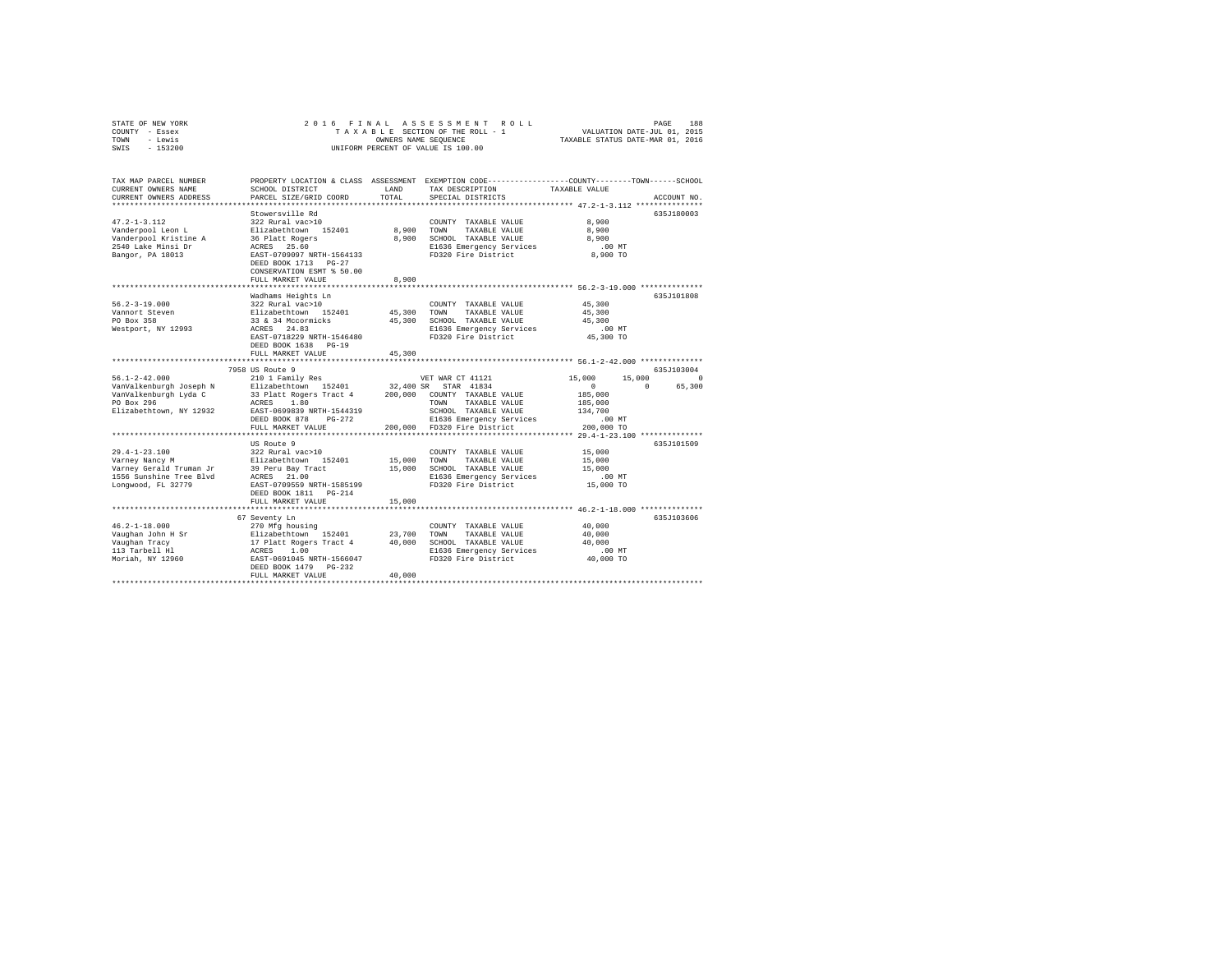| TAX MAP PARCEL NUMBER<br>PROPERTY LOCATION & CLASS ASSESSMENT EXEMPTION CODE---------------COUNTY-------TOWN-----SCHOOL<br>CURRENT OWNERS NAME<br>SCHOOL DISTRICT<br>LAND<br>TAX DESCRIPTION<br>TAXABLE VALUE<br>TOTAL<br>CURRENT OWNERS ADDRESS<br>PARCEL SIZE/GRID COORD<br>SPECIAL DISTRICTS<br>ACCOUNT NO.<br>Stowersville Rd<br>635J180003<br>$47.2 - 1 - 3.112$<br>8,900<br>322 Rural vac>10<br>COUNTY TAXABLE VALUE<br>8,900<br>8,900<br>Vanderpool Leon L<br>Elizabethtown 152401<br>TOWN<br>TAXABLE VALUE<br>Vanderpool Kristine A<br>36 Platt Rogers<br>8,900<br>SCHOOL TAXABLE VALUE<br>8,900<br>2540 Lake Minsi Dr<br>ACRES 25.60<br>E1636 Emergency Services<br>$.00$ MT<br>Bangor, PA 18013<br>EAST-0709097 NRTH-1564133<br>FD320 Fire District<br>8,900 TO<br>DEED BOOK 1713 PG-27<br>CONSERVATION ESMT % 50.00<br>FULL MARKET VALUE<br>8,900<br>****************************** 56.2-3-19.000 **************<br>**************************<br>Wadhams Heights Ln<br>635J101808<br>$56.2 - 3 - 19.000$<br>322 Rural vac>10<br>45,300<br>COUNTY TAXABLE VALUE<br>Elizabethtown 152401<br>45,300<br>45,300<br>Vannort Steven<br>TOWN<br>TAXABLE VALUE<br>45,300<br>33 & 34 Mccormicks<br>45,300<br>PO Box 358<br>SCHOOL TAXABLE VALUE<br>Westport, NY 12993<br>ACRES 24.83<br>E1636 Emergency Services<br>$.00$ MT<br>FD320 Fire District<br>45,300 TO<br>EAST-0718229 NRTH-1546480<br>DEED BOOK 1638 PG-19<br>45,300<br>FULL MARKET VALUE<br>7958 US Route 9<br>635J103004<br>$56.1 - 2 - 42.000$<br>$\sim$ 0<br>210 1 Family Res<br>15,000<br>15,000<br>VET WAR CT 41121<br>32,400 SR<br>$\Omega$<br>VanValkenburgh Joseph N<br>Elizabethtown 152401<br>STAR 41834<br>$\Omega$<br>65,300<br>VanValkenburgh Lyda C<br>200,000 COUNTY TAXABLE VALUE<br>33 Platt Rogers Tract 4<br>185,000<br>PO Box 296<br>ACRES 1.80<br>TOWN<br>TAXABLE VALUE<br>185,000<br>Elizabethtown, NY 12932<br>EAST-0699839 NRTH-1544319<br>SCHOOL TAXABLE VALUE<br>134,700<br>DEED BOOK 878 PG-272<br>E1636 Emergency Services<br>.00MT<br>FULL MARKET VALUE<br>200.000 FD320 Fire District<br>200,000 TO<br>US Route 9<br>635J101509<br>$29.4 - 1 - 23.100$<br>322 Rural vac>10<br>15,000<br>COUNTY TAXABLE VALUE<br>Varney Nancy M<br>Elizabethtown 152401<br>15,000<br>TOWN<br>TAXABLE VALUE<br>15,000<br>Varney Gerald Truman Jr<br>39 Peru Bay Tract<br>15,000<br>SCHOOL TAXABLE VALUE<br>15,000<br>1556 Sunshine Tree Blvd<br>ACRES 21.00<br>E1636 Emergency Services<br>$.00$ MT<br>FD320 Fire District<br>15,000 TO<br>Longwood, FL 32779<br>EAST-0709559 NRTH-1585199<br>DEED BOOK 1811 PG-214<br>15,000<br>FULL MARKET VALUE<br>635J103606<br>67 Seventy Ln<br>$46.2 - 1 - 18.000$<br>40,000<br>270 Mfg housing<br>COUNTY TAXABLE VALUE<br>23,700<br>Vaughan John H Sr<br>Elizabethtown 152401<br>40,000<br>TOWN<br>TAXABLE VALUE<br>Vaughan Tracy<br>17 Platt Rogers Tract 4<br>ACRES 1.00<br>40,000<br>SCHOOL TAXABLE VALUE<br>40,000<br>113 Tarbell Hl<br>E1636 Emergency Services<br>$.00$ MT<br>EAST-0691045 NRTH-1566047<br>Moriah, NY 12960<br>FD320 Fire District<br>40,000 TO<br>DEED BOOK 1479 PG-232<br>40,000<br>FULL MARKET VALUE | STATE OF NEW YORK<br>COUNTY - Essex<br>- Lewis<br>TOWN<br>SWIS<br>$-153200$ | 2016 FINAL | OWNERS NAME SEQUENCE | ASSESSMENT ROLL<br>TAXABLE SECTION OF THE ROLL - 1<br>UNIFORM PERCENT OF VALUE IS 100.00 | VALUATION DATE-JUL 01, 2015<br>TAXABLE STATUS DATE-MAR 01, 2016 | 188<br>PAGE |
|------------------------------------------------------------------------------------------------------------------------------------------------------------------------------------------------------------------------------------------------------------------------------------------------------------------------------------------------------------------------------------------------------------------------------------------------------------------------------------------------------------------------------------------------------------------------------------------------------------------------------------------------------------------------------------------------------------------------------------------------------------------------------------------------------------------------------------------------------------------------------------------------------------------------------------------------------------------------------------------------------------------------------------------------------------------------------------------------------------------------------------------------------------------------------------------------------------------------------------------------------------------------------------------------------------------------------------------------------------------------------------------------------------------------------------------------------------------------------------------------------------------------------------------------------------------------------------------------------------------------------------------------------------------------------------------------------------------------------------------------------------------------------------------------------------------------------------------------------------------------------------------------------------------------------------------------------------------------------------------------------------------------------------------------------------------------------------------------------------------------------------------------------------------------------------------------------------------------------------------------------------------------------------------------------------------------------------------------------------------------------------------------------------------------------------------------------------------------------------------------------------------------------------------------------------------------------------------------------------------------------------------------------------------------------------------------------------------------------------------------------------------------------------------------------------------------------------------------------------------------------------------------------------------------------------------------------------------------------------------------------------------------------------------------------------------------------------------------------------------------------------------------|-----------------------------------------------------------------------------|------------|----------------------|------------------------------------------------------------------------------------------|-----------------------------------------------------------------|-------------|
|                                                                                                                                                                                                                                                                                                                                                                                                                                                                                                                                                                                                                                                                                                                                                                                                                                                                                                                                                                                                                                                                                                                                                                                                                                                                                                                                                                                                                                                                                                                                                                                                                                                                                                                                                                                                                                                                                                                                                                                                                                                                                                                                                                                                                                                                                                                                                                                                                                                                                                                                                                                                                                                                                                                                                                                                                                                                                                                                                                                                                                                                                                                                                |                                                                             |            |                      |                                                                                          |                                                                 |             |
|                                                                                                                                                                                                                                                                                                                                                                                                                                                                                                                                                                                                                                                                                                                                                                                                                                                                                                                                                                                                                                                                                                                                                                                                                                                                                                                                                                                                                                                                                                                                                                                                                                                                                                                                                                                                                                                                                                                                                                                                                                                                                                                                                                                                                                                                                                                                                                                                                                                                                                                                                                                                                                                                                                                                                                                                                                                                                                                                                                                                                                                                                                                                                |                                                                             |            |                      |                                                                                          |                                                                 |             |
|                                                                                                                                                                                                                                                                                                                                                                                                                                                                                                                                                                                                                                                                                                                                                                                                                                                                                                                                                                                                                                                                                                                                                                                                                                                                                                                                                                                                                                                                                                                                                                                                                                                                                                                                                                                                                                                                                                                                                                                                                                                                                                                                                                                                                                                                                                                                                                                                                                                                                                                                                                                                                                                                                                                                                                                                                                                                                                                                                                                                                                                                                                                                                |                                                                             |            |                      |                                                                                          |                                                                 |             |
|                                                                                                                                                                                                                                                                                                                                                                                                                                                                                                                                                                                                                                                                                                                                                                                                                                                                                                                                                                                                                                                                                                                                                                                                                                                                                                                                                                                                                                                                                                                                                                                                                                                                                                                                                                                                                                                                                                                                                                                                                                                                                                                                                                                                                                                                                                                                                                                                                                                                                                                                                                                                                                                                                                                                                                                                                                                                                                                                                                                                                                                                                                                                                |                                                                             |            |                      |                                                                                          |                                                                 |             |
|                                                                                                                                                                                                                                                                                                                                                                                                                                                                                                                                                                                                                                                                                                                                                                                                                                                                                                                                                                                                                                                                                                                                                                                                                                                                                                                                                                                                                                                                                                                                                                                                                                                                                                                                                                                                                                                                                                                                                                                                                                                                                                                                                                                                                                                                                                                                                                                                                                                                                                                                                                                                                                                                                                                                                                                                                                                                                                                                                                                                                                                                                                                                                |                                                                             |            |                      |                                                                                          |                                                                 |             |
|                                                                                                                                                                                                                                                                                                                                                                                                                                                                                                                                                                                                                                                                                                                                                                                                                                                                                                                                                                                                                                                                                                                                                                                                                                                                                                                                                                                                                                                                                                                                                                                                                                                                                                                                                                                                                                                                                                                                                                                                                                                                                                                                                                                                                                                                                                                                                                                                                                                                                                                                                                                                                                                                                                                                                                                                                                                                                                                                                                                                                                                                                                                                                |                                                                             |            |                      |                                                                                          |                                                                 |             |
|                                                                                                                                                                                                                                                                                                                                                                                                                                                                                                                                                                                                                                                                                                                                                                                                                                                                                                                                                                                                                                                                                                                                                                                                                                                                                                                                                                                                                                                                                                                                                                                                                                                                                                                                                                                                                                                                                                                                                                                                                                                                                                                                                                                                                                                                                                                                                                                                                                                                                                                                                                                                                                                                                                                                                                                                                                                                                                                                                                                                                                                                                                                                                |                                                                             |            |                      |                                                                                          |                                                                 |             |
|                                                                                                                                                                                                                                                                                                                                                                                                                                                                                                                                                                                                                                                                                                                                                                                                                                                                                                                                                                                                                                                                                                                                                                                                                                                                                                                                                                                                                                                                                                                                                                                                                                                                                                                                                                                                                                                                                                                                                                                                                                                                                                                                                                                                                                                                                                                                                                                                                                                                                                                                                                                                                                                                                                                                                                                                                                                                                                                                                                                                                                                                                                                                                |                                                                             |            |                      |                                                                                          |                                                                 |             |
|                                                                                                                                                                                                                                                                                                                                                                                                                                                                                                                                                                                                                                                                                                                                                                                                                                                                                                                                                                                                                                                                                                                                                                                                                                                                                                                                                                                                                                                                                                                                                                                                                                                                                                                                                                                                                                                                                                                                                                                                                                                                                                                                                                                                                                                                                                                                                                                                                                                                                                                                                                                                                                                                                                                                                                                                                                                                                                                                                                                                                                                                                                                                                |                                                                             |            |                      |                                                                                          |                                                                 |             |
|                                                                                                                                                                                                                                                                                                                                                                                                                                                                                                                                                                                                                                                                                                                                                                                                                                                                                                                                                                                                                                                                                                                                                                                                                                                                                                                                                                                                                                                                                                                                                                                                                                                                                                                                                                                                                                                                                                                                                                                                                                                                                                                                                                                                                                                                                                                                                                                                                                                                                                                                                                                                                                                                                                                                                                                                                                                                                                                                                                                                                                                                                                                                                |                                                                             |            |                      |                                                                                          |                                                                 |             |
|                                                                                                                                                                                                                                                                                                                                                                                                                                                                                                                                                                                                                                                                                                                                                                                                                                                                                                                                                                                                                                                                                                                                                                                                                                                                                                                                                                                                                                                                                                                                                                                                                                                                                                                                                                                                                                                                                                                                                                                                                                                                                                                                                                                                                                                                                                                                                                                                                                                                                                                                                                                                                                                                                                                                                                                                                                                                                                                                                                                                                                                                                                                                                |                                                                             |            |                      |                                                                                          |                                                                 |             |
|                                                                                                                                                                                                                                                                                                                                                                                                                                                                                                                                                                                                                                                                                                                                                                                                                                                                                                                                                                                                                                                                                                                                                                                                                                                                                                                                                                                                                                                                                                                                                                                                                                                                                                                                                                                                                                                                                                                                                                                                                                                                                                                                                                                                                                                                                                                                                                                                                                                                                                                                                                                                                                                                                                                                                                                                                                                                                                                                                                                                                                                                                                                                                |                                                                             |            |                      |                                                                                          |                                                                 |             |
|                                                                                                                                                                                                                                                                                                                                                                                                                                                                                                                                                                                                                                                                                                                                                                                                                                                                                                                                                                                                                                                                                                                                                                                                                                                                                                                                                                                                                                                                                                                                                                                                                                                                                                                                                                                                                                                                                                                                                                                                                                                                                                                                                                                                                                                                                                                                                                                                                                                                                                                                                                                                                                                                                                                                                                                                                                                                                                                                                                                                                                                                                                                                                |                                                                             |            |                      |                                                                                          |                                                                 |             |
|                                                                                                                                                                                                                                                                                                                                                                                                                                                                                                                                                                                                                                                                                                                                                                                                                                                                                                                                                                                                                                                                                                                                                                                                                                                                                                                                                                                                                                                                                                                                                                                                                                                                                                                                                                                                                                                                                                                                                                                                                                                                                                                                                                                                                                                                                                                                                                                                                                                                                                                                                                                                                                                                                                                                                                                                                                                                                                                                                                                                                                                                                                                                                |                                                                             |            |                      |                                                                                          |                                                                 |             |
|                                                                                                                                                                                                                                                                                                                                                                                                                                                                                                                                                                                                                                                                                                                                                                                                                                                                                                                                                                                                                                                                                                                                                                                                                                                                                                                                                                                                                                                                                                                                                                                                                                                                                                                                                                                                                                                                                                                                                                                                                                                                                                                                                                                                                                                                                                                                                                                                                                                                                                                                                                                                                                                                                                                                                                                                                                                                                                                                                                                                                                                                                                                                                |                                                                             |            |                      |                                                                                          |                                                                 |             |
|                                                                                                                                                                                                                                                                                                                                                                                                                                                                                                                                                                                                                                                                                                                                                                                                                                                                                                                                                                                                                                                                                                                                                                                                                                                                                                                                                                                                                                                                                                                                                                                                                                                                                                                                                                                                                                                                                                                                                                                                                                                                                                                                                                                                                                                                                                                                                                                                                                                                                                                                                                                                                                                                                                                                                                                                                                                                                                                                                                                                                                                                                                                                                |                                                                             |            |                      |                                                                                          |                                                                 |             |
|                                                                                                                                                                                                                                                                                                                                                                                                                                                                                                                                                                                                                                                                                                                                                                                                                                                                                                                                                                                                                                                                                                                                                                                                                                                                                                                                                                                                                                                                                                                                                                                                                                                                                                                                                                                                                                                                                                                                                                                                                                                                                                                                                                                                                                                                                                                                                                                                                                                                                                                                                                                                                                                                                                                                                                                                                                                                                                                                                                                                                                                                                                                                                |                                                                             |            |                      |                                                                                          |                                                                 |             |
|                                                                                                                                                                                                                                                                                                                                                                                                                                                                                                                                                                                                                                                                                                                                                                                                                                                                                                                                                                                                                                                                                                                                                                                                                                                                                                                                                                                                                                                                                                                                                                                                                                                                                                                                                                                                                                                                                                                                                                                                                                                                                                                                                                                                                                                                                                                                                                                                                                                                                                                                                                                                                                                                                                                                                                                                                                                                                                                                                                                                                                                                                                                                                |                                                                             |            |                      |                                                                                          |                                                                 |             |
|                                                                                                                                                                                                                                                                                                                                                                                                                                                                                                                                                                                                                                                                                                                                                                                                                                                                                                                                                                                                                                                                                                                                                                                                                                                                                                                                                                                                                                                                                                                                                                                                                                                                                                                                                                                                                                                                                                                                                                                                                                                                                                                                                                                                                                                                                                                                                                                                                                                                                                                                                                                                                                                                                                                                                                                                                                                                                                                                                                                                                                                                                                                                                |                                                                             |            |                      |                                                                                          |                                                                 |             |
|                                                                                                                                                                                                                                                                                                                                                                                                                                                                                                                                                                                                                                                                                                                                                                                                                                                                                                                                                                                                                                                                                                                                                                                                                                                                                                                                                                                                                                                                                                                                                                                                                                                                                                                                                                                                                                                                                                                                                                                                                                                                                                                                                                                                                                                                                                                                                                                                                                                                                                                                                                                                                                                                                                                                                                                                                                                                                                                                                                                                                                                                                                                                                |                                                                             |            |                      |                                                                                          |                                                                 |             |
|                                                                                                                                                                                                                                                                                                                                                                                                                                                                                                                                                                                                                                                                                                                                                                                                                                                                                                                                                                                                                                                                                                                                                                                                                                                                                                                                                                                                                                                                                                                                                                                                                                                                                                                                                                                                                                                                                                                                                                                                                                                                                                                                                                                                                                                                                                                                                                                                                                                                                                                                                                                                                                                                                                                                                                                                                                                                                                                                                                                                                                                                                                                                                |                                                                             |            |                      |                                                                                          |                                                                 |             |
|                                                                                                                                                                                                                                                                                                                                                                                                                                                                                                                                                                                                                                                                                                                                                                                                                                                                                                                                                                                                                                                                                                                                                                                                                                                                                                                                                                                                                                                                                                                                                                                                                                                                                                                                                                                                                                                                                                                                                                                                                                                                                                                                                                                                                                                                                                                                                                                                                                                                                                                                                                                                                                                                                                                                                                                                                                                                                                                                                                                                                                                                                                                                                |                                                                             |            |                      |                                                                                          |                                                                 |             |
|                                                                                                                                                                                                                                                                                                                                                                                                                                                                                                                                                                                                                                                                                                                                                                                                                                                                                                                                                                                                                                                                                                                                                                                                                                                                                                                                                                                                                                                                                                                                                                                                                                                                                                                                                                                                                                                                                                                                                                                                                                                                                                                                                                                                                                                                                                                                                                                                                                                                                                                                                                                                                                                                                                                                                                                                                                                                                                                                                                                                                                                                                                                                                |                                                                             |            |                      |                                                                                          |                                                                 |             |
|                                                                                                                                                                                                                                                                                                                                                                                                                                                                                                                                                                                                                                                                                                                                                                                                                                                                                                                                                                                                                                                                                                                                                                                                                                                                                                                                                                                                                                                                                                                                                                                                                                                                                                                                                                                                                                                                                                                                                                                                                                                                                                                                                                                                                                                                                                                                                                                                                                                                                                                                                                                                                                                                                                                                                                                                                                                                                                                                                                                                                                                                                                                                                |                                                                             |            |                      |                                                                                          |                                                                 |             |
|                                                                                                                                                                                                                                                                                                                                                                                                                                                                                                                                                                                                                                                                                                                                                                                                                                                                                                                                                                                                                                                                                                                                                                                                                                                                                                                                                                                                                                                                                                                                                                                                                                                                                                                                                                                                                                                                                                                                                                                                                                                                                                                                                                                                                                                                                                                                                                                                                                                                                                                                                                                                                                                                                                                                                                                                                                                                                                                                                                                                                                                                                                                                                |                                                                             |            |                      |                                                                                          |                                                                 |             |
|                                                                                                                                                                                                                                                                                                                                                                                                                                                                                                                                                                                                                                                                                                                                                                                                                                                                                                                                                                                                                                                                                                                                                                                                                                                                                                                                                                                                                                                                                                                                                                                                                                                                                                                                                                                                                                                                                                                                                                                                                                                                                                                                                                                                                                                                                                                                                                                                                                                                                                                                                                                                                                                                                                                                                                                                                                                                                                                                                                                                                                                                                                                                                |                                                                             |            |                      |                                                                                          |                                                                 |             |
|                                                                                                                                                                                                                                                                                                                                                                                                                                                                                                                                                                                                                                                                                                                                                                                                                                                                                                                                                                                                                                                                                                                                                                                                                                                                                                                                                                                                                                                                                                                                                                                                                                                                                                                                                                                                                                                                                                                                                                                                                                                                                                                                                                                                                                                                                                                                                                                                                                                                                                                                                                                                                                                                                                                                                                                                                                                                                                                                                                                                                                                                                                                                                |                                                                             |            |                      |                                                                                          |                                                                 |             |
|                                                                                                                                                                                                                                                                                                                                                                                                                                                                                                                                                                                                                                                                                                                                                                                                                                                                                                                                                                                                                                                                                                                                                                                                                                                                                                                                                                                                                                                                                                                                                                                                                                                                                                                                                                                                                                                                                                                                                                                                                                                                                                                                                                                                                                                                                                                                                                                                                                                                                                                                                                                                                                                                                                                                                                                                                                                                                                                                                                                                                                                                                                                                                |                                                                             |            |                      |                                                                                          |                                                                 |             |
|                                                                                                                                                                                                                                                                                                                                                                                                                                                                                                                                                                                                                                                                                                                                                                                                                                                                                                                                                                                                                                                                                                                                                                                                                                                                                                                                                                                                                                                                                                                                                                                                                                                                                                                                                                                                                                                                                                                                                                                                                                                                                                                                                                                                                                                                                                                                                                                                                                                                                                                                                                                                                                                                                                                                                                                                                                                                                                                                                                                                                                                                                                                                                |                                                                             |            |                      |                                                                                          |                                                                 |             |
|                                                                                                                                                                                                                                                                                                                                                                                                                                                                                                                                                                                                                                                                                                                                                                                                                                                                                                                                                                                                                                                                                                                                                                                                                                                                                                                                                                                                                                                                                                                                                                                                                                                                                                                                                                                                                                                                                                                                                                                                                                                                                                                                                                                                                                                                                                                                                                                                                                                                                                                                                                                                                                                                                                                                                                                                                                                                                                                                                                                                                                                                                                                                                |                                                                             |            |                      |                                                                                          |                                                                 |             |
|                                                                                                                                                                                                                                                                                                                                                                                                                                                                                                                                                                                                                                                                                                                                                                                                                                                                                                                                                                                                                                                                                                                                                                                                                                                                                                                                                                                                                                                                                                                                                                                                                                                                                                                                                                                                                                                                                                                                                                                                                                                                                                                                                                                                                                                                                                                                                                                                                                                                                                                                                                                                                                                                                                                                                                                                                                                                                                                                                                                                                                                                                                                                                |                                                                             |            |                      |                                                                                          |                                                                 |             |
|                                                                                                                                                                                                                                                                                                                                                                                                                                                                                                                                                                                                                                                                                                                                                                                                                                                                                                                                                                                                                                                                                                                                                                                                                                                                                                                                                                                                                                                                                                                                                                                                                                                                                                                                                                                                                                                                                                                                                                                                                                                                                                                                                                                                                                                                                                                                                                                                                                                                                                                                                                                                                                                                                                                                                                                                                                                                                                                                                                                                                                                                                                                                                |                                                                             |            |                      |                                                                                          |                                                                 |             |
|                                                                                                                                                                                                                                                                                                                                                                                                                                                                                                                                                                                                                                                                                                                                                                                                                                                                                                                                                                                                                                                                                                                                                                                                                                                                                                                                                                                                                                                                                                                                                                                                                                                                                                                                                                                                                                                                                                                                                                                                                                                                                                                                                                                                                                                                                                                                                                                                                                                                                                                                                                                                                                                                                                                                                                                                                                                                                                                                                                                                                                                                                                                                                |                                                                             |            |                      |                                                                                          |                                                                 |             |
|                                                                                                                                                                                                                                                                                                                                                                                                                                                                                                                                                                                                                                                                                                                                                                                                                                                                                                                                                                                                                                                                                                                                                                                                                                                                                                                                                                                                                                                                                                                                                                                                                                                                                                                                                                                                                                                                                                                                                                                                                                                                                                                                                                                                                                                                                                                                                                                                                                                                                                                                                                                                                                                                                                                                                                                                                                                                                                                                                                                                                                                                                                                                                |                                                                             |            |                      |                                                                                          |                                                                 |             |
|                                                                                                                                                                                                                                                                                                                                                                                                                                                                                                                                                                                                                                                                                                                                                                                                                                                                                                                                                                                                                                                                                                                                                                                                                                                                                                                                                                                                                                                                                                                                                                                                                                                                                                                                                                                                                                                                                                                                                                                                                                                                                                                                                                                                                                                                                                                                                                                                                                                                                                                                                                                                                                                                                                                                                                                                                                                                                                                                                                                                                                                                                                                                                |                                                                             |            |                      |                                                                                          |                                                                 |             |
|                                                                                                                                                                                                                                                                                                                                                                                                                                                                                                                                                                                                                                                                                                                                                                                                                                                                                                                                                                                                                                                                                                                                                                                                                                                                                                                                                                                                                                                                                                                                                                                                                                                                                                                                                                                                                                                                                                                                                                                                                                                                                                                                                                                                                                                                                                                                                                                                                                                                                                                                                                                                                                                                                                                                                                                                                                                                                                                                                                                                                                                                                                                                                |                                                                             |            |                      |                                                                                          |                                                                 |             |
|                                                                                                                                                                                                                                                                                                                                                                                                                                                                                                                                                                                                                                                                                                                                                                                                                                                                                                                                                                                                                                                                                                                                                                                                                                                                                                                                                                                                                                                                                                                                                                                                                                                                                                                                                                                                                                                                                                                                                                                                                                                                                                                                                                                                                                                                                                                                                                                                                                                                                                                                                                                                                                                                                                                                                                                                                                                                                                                                                                                                                                                                                                                                                |                                                                             |            |                      |                                                                                          |                                                                 |             |
|                                                                                                                                                                                                                                                                                                                                                                                                                                                                                                                                                                                                                                                                                                                                                                                                                                                                                                                                                                                                                                                                                                                                                                                                                                                                                                                                                                                                                                                                                                                                                                                                                                                                                                                                                                                                                                                                                                                                                                                                                                                                                                                                                                                                                                                                                                                                                                                                                                                                                                                                                                                                                                                                                                                                                                                                                                                                                                                                                                                                                                                                                                                                                |                                                                             |            |                      |                                                                                          |                                                                 |             |
|                                                                                                                                                                                                                                                                                                                                                                                                                                                                                                                                                                                                                                                                                                                                                                                                                                                                                                                                                                                                                                                                                                                                                                                                                                                                                                                                                                                                                                                                                                                                                                                                                                                                                                                                                                                                                                                                                                                                                                                                                                                                                                                                                                                                                                                                                                                                                                                                                                                                                                                                                                                                                                                                                                                                                                                                                                                                                                                                                                                                                                                                                                                                                |                                                                             |            |                      |                                                                                          |                                                                 |             |
|                                                                                                                                                                                                                                                                                                                                                                                                                                                                                                                                                                                                                                                                                                                                                                                                                                                                                                                                                                                                                                                                                                                                                                                                                                                                                                                                                                                                                                                                                                                                                                                                                                                                                                                                                                                                                                                                                                                                                                                                                                                                                                                                                                                                                                                                                                                                                                                                                                                                                                                                                                                                                                                                                                                                                                                                                                                                                                                                                                                                                                                                                                                                                |                                                                             |            |                      |                                                                                          |                                                                 |             |
|                                                                                                                                                                                                                                                                                                                                                                                                                                                                                                                                                                                                                                                                                                                                                                                                                                                                                                                                                                                                                                                                                                                                                                                                                                                                                                                                                                                                                                                                                                                                                                                                                                                                                                                                                                                                                                                                                                                                                                                                                                                                                                                                                                                                                                                                                                                                                                                                                                                                                                                                                                                                                                                                                                                                                                                                                                                                                                                                                                                                                                                                                                                                                |                                                                             |            |                      |                                                                                          |                                                                 |             |
|                                                                                                                                                                                                                                                                                                                                                                                                                                                                                                                                                                                                                                                                                                                                                                                                                                                                                                                                                                                                                                                                                                                                                                                                                                                                                                                                                                                                                                                                                                                                                                                                                                                                                                                                                                                                                                                                                                                                                                                                                                                                                                                                                                                                                                                                                                                                                                                                                                                                                                                                                                                                                                                                                                                                                                                                                                                                                                                                                                                                                                                                                                                                                |                                                                             |            |                      |                                                                                          |                                                                 |             |
|                                                                                                                                                                                                                                                                                                                                                                                                                                                                                                                                                                                                                                                                                                                                                                                                                                                                                                                                                                                                                                                                                                                                                                                                                                                                                                                                                                                                                                                                                                                                                                                                                                                                                                                                                                                                                                                                                                                                                                                                                                                                                                                                                                                                                                                                                                                                                                                                                                                                                                                                                                                                                                                                                                                                                                                                                                                                                                                                                                                                                                                                                                                                                |                                                                             |            |                      |                                                                                          |                                                                 |             |
|                                                                                                                                                                                                                                                                                                                                                                                                                                                                                                                                                                                                                                                                                                                                                                                                                                                                                                                                                                                                                                                                                                                                                                                                                                                                                                                                                                                                                                                                                                                                                                                                                                                                                                                                                                                                                                                                                                                                                                                                                                                                                                                                                                                                                                                                                                                                                                                                                                                                                                                                                                                                                                                                                                                                                                                                                                                                                                                                                                                                                                                                                                                                                |                                                                             |            |                      |                                                                                          |                                                                 |             |
|                                                                                                                                                                                                                                                                                                                                                                                                                                                                                                                                                                                                                                                                                                                                                                                                                                                                                                                                                                                                                                                                                                                                                                                                                                                                                                                                                                                                                                                                                                                                                                                                                                                                                                                                                                                                                                                                                                                                                                                                                                                                                                                                                                                                                                                                                                                                                                                                                                                                                                                                                                                                                                                                                                                                                                                                                                                                                                                                                                                                                                                                                                                                                |                                                                             |            |                      |                                                                                          |                                                                 |             |
|                                                                                                                                                                                                                                                                                                                                                                                                                                                                                                                                                                                                                                                                                                                                                                                                                                                                                                                                                                                                                                                                                                                                                                                                                                                                                                                                                                                                                                                                                                                                                                                                                                                                                                                                                                                                                                                                                                                                                                                                                                                                                                                                                                                                                                                                                                                                                                                                                                                                                                                                                                                                                                                                                                                                                                                                                                                                                                                                                                                                                                                                                                                                                |                                                                             |            |                      |                                                                                          |                                                                 |             |
|                                                                                                                                                                                                                                                                                                                                                                                                                                                                                                                                                                                                                                                                                                                                                                                                                                                                                                                                                                                                                                                                                                                                                                                                                                                                                                                                                                                                                                                                                                                                                                                                                                                                                                                                                                                                                                                                                                                                                                                                                                                                                                                                                                                                                                                                                                                                                                                                                                                                                                                                                                                                                                                                                                                                                                                                                                                                                                                                                                                                                                                                                                                                                |                                                                             |            |                      |                                                                                          |                                                                 |             |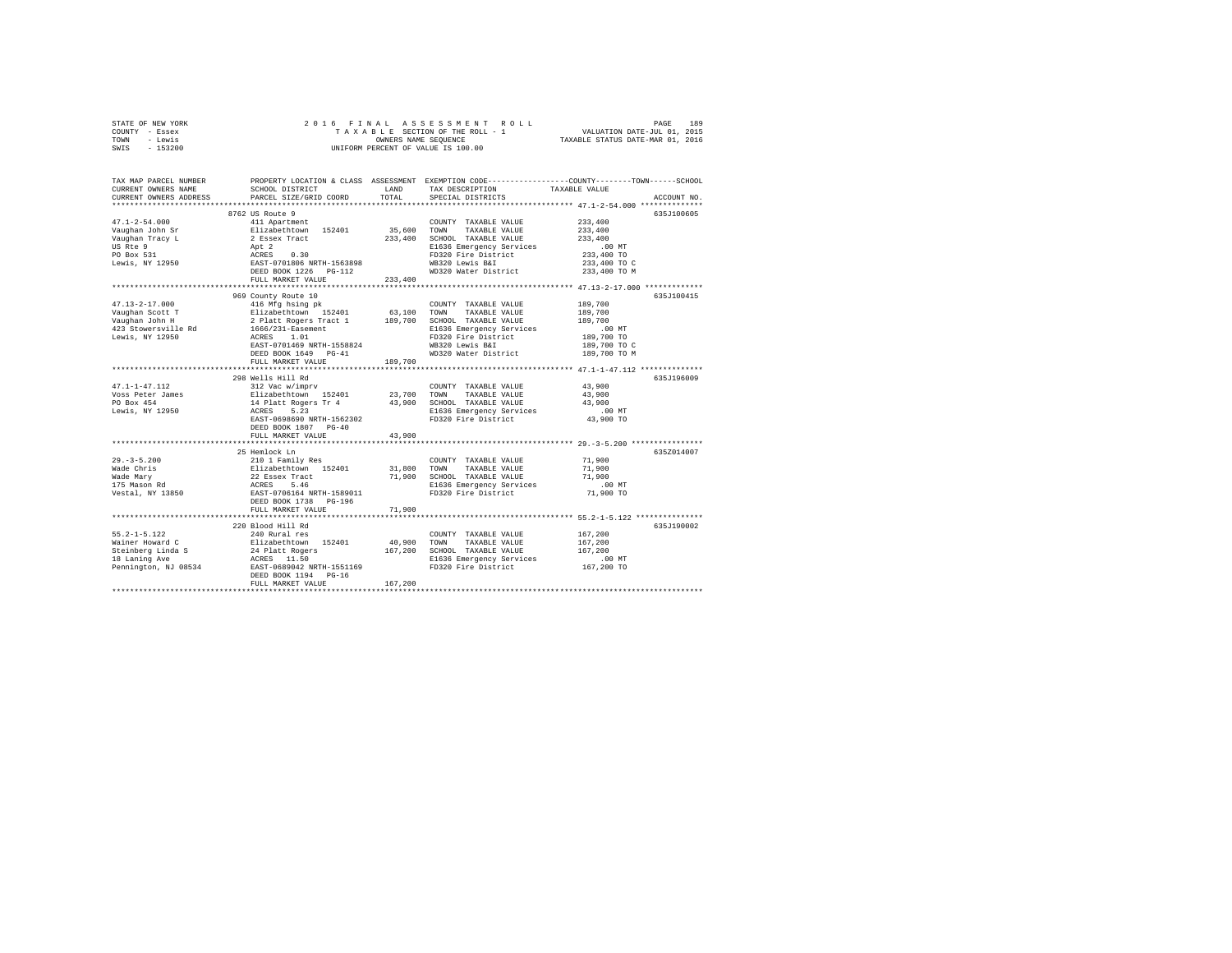|      | STATE OF NEW YORK |  |  | 2016 FINAL ASSESSMENT ROLL         | PAGE                             | 189 |
|------|-------------------|--|--|------------------------------------|----------------------------------|-----|
|      | COUNTY - Essex    |  |  | TAXABLE SECTION OF THE ROLL - 1    | VALUATION DATE-JUL 01, 2015      |     |
| TOWN | - Lewis           |  |  | OWNERS NAME SEOUENCE               | TAXABLE STATUS DATE-MAR 01, 2016 |     |
| SWIS | $-153200$         |  |  | UNIFORM PERCENT OF VALUE IS 100.00 |                                  |     |

| TAX MAP PARCEL NUMBER<br>CURRENT OWNERS NAME<br>CURRENT OWNERS ADDRESS | SCHOOL DISTRICT<br>PARCEL SIZE/GRID COORD                                           | LAND<br>TOTAL | TAX DESCRIPTION<br>SPECIAL DISTRICTS                     | PROPERTY LOCATION & CLASS ASSESSMENT EXEMPTION CODE---------------COUNTY-------TOWN-----SCHOOL<br>TAXABLE VALUE<br>ACCOUNT NO. |
|------------------------------------------------------------------------|-------------------------------------------------------------------------------------|---------------|----------------------------------------------------------|--------------------------------------------------------------------------------------------------------------------------------|
|                                                                        |                                                                                     |               |                                                          |                                                                                                                                |
|                                                                        | 8762 US Route 9                                                                     |               |                                                          | 635J100605                                                                                                                     |
| $47.1 - 2 - 54.000$                                                    | 411 Apartment                                                                       |               | COUNTY TAXABLE VALUE                                     | 233,400                                                                                                                        |
| Vaughan John Sr                                                        | Elizabethtown 152401                                                                | 35,600        | TOWN<br>TAXABLE VALUE                                    | 233,400                                                                                                                        |
| Vaughan Tracy L                                                        | 2 Essex Tract                                                                       | 233,400       | SCHOOL TAXABLE VALUE                                     | 233,400                                                                                                                        |
| US Rte 9                                                               | Apt 2                                                                               |               | E1636 Emergency Services                                 | $.00$ MT                                                                                                                       |
| PO Box 531                                                             |                                                                                     |               | FD320 Fire District                                      | 233,400 TO                                                                                                                     |
| Lewis, NY 12950                                                        | ACRES 0.30<br>EAST-0701806 NRTH-1563898                                             |               | WB320 Lewis B&I                                          | 233,400 TO C                                                                                                                   |
|                                                                        | DEED BOOK 1226 PG-112                                                               |               | WD320 Water District 233,400 TO M                        |                                                                                                                                |
|                                                                        | FULL MARKET VALUE                                                                   | 233,400       |                                                          |                                                                                                                                |
|                                                                        |                                                                                     |               |                                                          |                                                                                                                                |
|                                                                        | 969 County Route 10                                                                 |               |                                                          | 635J100415                                                                                                                     |
| $47.13 - 2 - 17.000$                                                   | 416 Mfg hsing pk                                                                    |               | COUNTY TAXABLE VALUE                                     | 189,700                                                                                                                        |
| Vaughan Scott T                                                        | Elizabethtown 152401                                                                | 63,100        | TOWN<br>TAXABLE VALUE                                    | 189,700                                                                                                                        |
| Vaughan John H                                                         | 2 Platt Rogers Tract 1                                                              | 189,700       | SCHOOL TAXABLE VALUE                                     | 189,700                                                                                                                        |
| 423 Stowersville Rd                                                    | 1666/231-Easement                                                                   |               | E1636 Emergency Services                                 | $.00$ MT                                                                                                                       |
| Lewis, NY 12950                                                        | ACRES 1.01                                                                          |               | FD320 Fire District                                      | 189,700 TO                                                                                                                     |
|                                                                        | EAST-0701469 NRTH-1558824                                                           |               | WB320 Lewis B&I                                          | 189,700 TO C                                                                                                                   |
|                                                                        | DEED BOOK 1649 PG-41                                                                |               | WD320 Water District                                     | 189,700 TO M                                                                                                                   |
|                                                                        | FULL MARKET VALUE                                                                   | 189,700       |                                                          | ******************** 47.1-1-47.112 ***************                                                                             |
|                                                                        | 298 Wells Hill Rd                                                                   |               |                                                          | 635J196009                                                                                                                     |
| $47.1 - 1 - 47.112$                                                    | 312 Vac w/imprv                                                                     |               | COUNTY TAXABLE VALUE                                     | 43,900                                                                                                                         |
| Voss Peter James                                                       |                                                                                     | 23,700        | TOWN<br>TAXABLE VALUE                                    | 43,900                                                                                                                         |
| PO Box 454                                                             | Elizabethtown 152401<br>14 Platt Rogers Tr 4<br>ACRES 5.23                          | 43,900        | SCHOOL TAXABLE VALUE                                     | 43,900                                                                                                                         |
| Lewis, NY 12950                                                        |                                                                                     |               |                                                          | $.00$ MT                                                                                                                       |
|                                                                        | EAST-0698690 NRTH-1562302                                                           |               | E1636 Emergency Services<br>FD320 Fire District          | 43,900 TO                                                                                                                      |
|                                                                        | DEED BOOK 1807 PG-40                                                                |               |                                                          |                                                                                                                                |
|                                                                        | FULL MARKET VALUE                                                                   | 43,900        |                                                          |                                                                                                                                |
|                                                                        |                                                                                     |               |                                                          |                                                                                                                                |
|                                                                        | 25 Hemlock Ln                                                                       |               |                                                          | 635Z014007                                                                                                                     |
| $29. - 3 - 5.200$                                                      | 210 1 Family Res                                                                    |               | COUNTY TAXABLE VALUE                                     | 71,900                                                                                                                         |
| Wade Chris                                                             |                                                                                     | 31,800        | TOWN TAXABLE VALUE                                       | 71,900                                                                                                                         |
| Wade Mary                                                              |                                                                                     |               | 71,900 SCHOOL TAXABLE VALUE                              | 71,900                                                                                                                         |
| 175 Mason Rd                                                           | Elizabethtown 152401<br>22 Essex Tract<br>ACRES 5.46<br>EAST-0706164 NRTH-1589011   |               | E1636 Emergency Services                                 | 00 MT.<br>71,900 TO                                                                                                            |
| Vestal, NY 13850                                                       |                                                                                     |               | FD320 Fire District                                      |                                                                                                                                |
|                                                                        | DEED BOOK 1738 PG-196                                                               |               |                                                          |                                                                                                                                |
|                                                                        | FULL MARKET VALUE                                                                   | 71,900        |                                                          |                                                                                                                                |
|                                                                        |                                                                                     |               |                                                          |                                                                                                                                |
|                                                                        | 220 Blood Hill Rd                                                                   |               |                                                          | 635J190002                                                                                                                     |
| $55.2 - 1 - 5.122$                                                     | 240 Rural res                                                                       |               | COUNTY TAXABLE VALUE                                     | 167,200                                                                                                                        |
| Wainer Howard C                                                        |                                                                                     | 40,900        | TOWN<br>TAXABLE VALUE                                    | 167.200                                                                                                                        |
| Steinberg Linda S<br>18 Laning Ave<br>18 Laning Ave                    |                                                                                     |               | 167,200 SCHOOL TAXABLE VALUE<br>E1636 Emergency Services | 167,200<br>$.00$ MT                                                                                                            |
| Pennington, NJ 08534                                                   | Elizabethtown 152401<br>24 Platt Rogers<br>ACRES 11.50<br>EAST-0689042 NRTH-1551169 |               | FD320 Fire District                                      | 167,200 TO                                                                                                                     |
|                                                                        | DEED BOOK 1194 PG-16                                                                |               |                                                          |                                                                                                                                |
|                                                                        | FULL MARKET VALUE                                                                   | 167,200       |                                                          |                                                                                                                                |
|                                                                        |                                                                                     |               |                                                          |                                                                                                                                |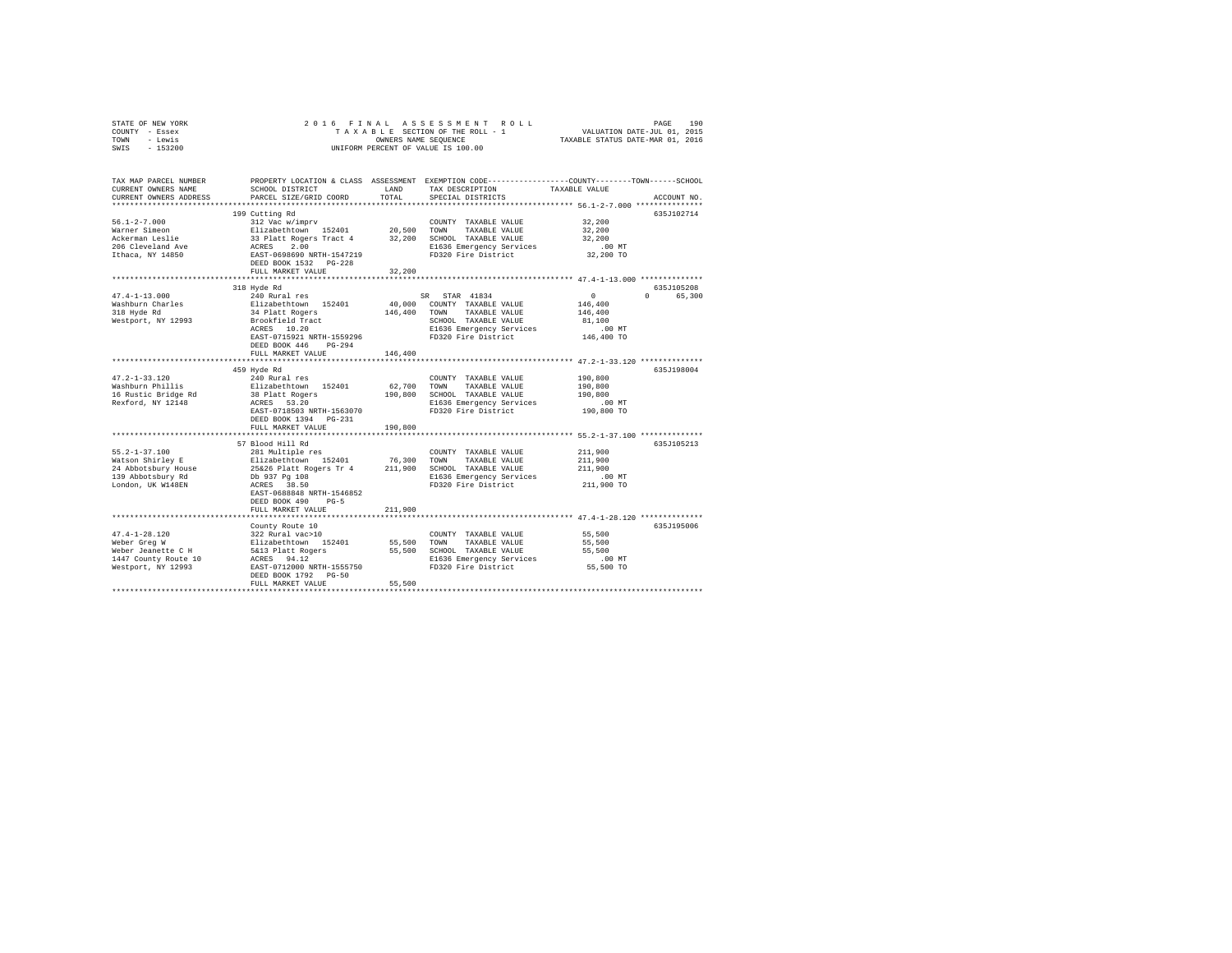| STATE OF NEW YORK<br>COUNTY - Essex<br>TOWN - Lewis<br>$-153200$<br>SWIS                                                                                                                                                                                                                                                                                                                      | 2016 FINAL<br>UNIFORM PERCENT OF VALUE IS 100.00                                                                                                                                                                                               | FRINAL ASSESSMENT ROLL (PAGE 190<br>TAXABLE SECTION OF THEROLL - 1 VALUATION DATE-JUL 01, 2015<br>OWNERS NAME SEQUENCE (TAXABLE STATUS DATE-MAR 01, 2016 |                                                 |                                                                                                                                        |  |
|-----------------------------------------------------------------------------------------------------------------------------------------------------------------------------------------------------------------------------------------------------------------------------------------------------------------------------------------------------------------------------------------------|------------------------------------------------------------------------------------------------------------------------------------------------------------------------------------------------------------------------------------------------|----------------------------------------------------------------------------------------------------------------------------------------------------------|-------------------------------------------------|----------------------------------------------------------------------------------------------------------------------------------------|--|
| CURRENT OWNERS NAME                                                                                                                                                                                                                                                                                                                                                                           | SCHOOL DISTRICT                                                                                                                                                                                                                                | LAND                                                                                                                                                     | TAX DESCRIPTION                                 | TAX MAP PARCEL NUMBER PROPERTY LOCATION & CLASS ASSESSMENT EXEMPTION CODE---------------COUNTY-------TOWN------SCHOOL<br>TAXABLE VALUE |  |
| CURRENT OWNERS ADDRESS<br>*************************                                                                                                                                                                                                                                                                                                                                           | PARCEL SIZE/GRID COORD                                                                                                                                                                                                                         | TOTAL                                                                                                                                                    | SPECIAL DISTRICTS                               | ACCOUNT NO.                                                                                                                            |  |
|                                                                                                                                                                                                                                                                                                                                                                                               | 199 Cutting Rd                                                                                                                                                                                                                                 |                                                                                                                                                          |                                                 | 635J102714                                                                                                                             |  |
| $56.1 - 2 - 7.000$                                                                                                                                                                                                                                                                                                                                                                            | 312 Vac w/imprv                                                                                                                                                                                                                                |                                                                                                                                                          | COUNTY TAXABLE VALUE                            | 32,200                                                                                                                                 |  |
| Warner Simeon                                                                                                                                                                                                                                                                                                                                                                                 |                                                                                                                                                                                                                                                |                                                                                                                                                          |                                                 | 32,200                                                                                                                                 |  |
| Ackerman Leslie                                                                                                                                                                                                                                                                                                                                                                               |                                                                                                                                                                                                                                                |                                                                                                                                                          |                                                 | 32,200                                                                                                                                 |  |
|                                                                                                                                                                                                                                                                                                                                                                                               | Elizabeth.com 152401 20,500 TOWN TAXABLE VALUE<br>33 Platt Rogers Tract 4 32,200 SCHOOL TAXABLE VALUE<br>33 Platt Rogers Tract 4 32,200 E1636 Emergency Services                                                                               |                                                                                                                                                          |                                                 | $.00$ MT                                                                                                                               |  |
| 206 Cleveland Ave<br>Ithaca, NY 14850                                                                                                                                                                                                                                                                                                                                                         | EAST-0698690 NRTH-1547219                                                                                                                                                                                                                      |                                                                                                                                                          | E1636 Emergency Services<br>FD320 Fire District | 32,200 TO                                                                                                                              |  |
|                                                                                                                                                                                                                                                                                                                                                                                               | DEED BOOK 1532    PG-228                                                                                                                                                                                                                       |                                                                                                                                                          |                                                 |                                                                                                                                        |  |
|                                                                                                                                                                                                                                                                                                                                                                                               | FULL MARKET VALUE                                                                                                                                                                                                                              | 32,200                                                                                                                                                   |                                                 |                                                                                                                                        |  |
|                                                                                                                                                                                                                                                                                                                                                                                               |                                                                                                                                                                                                                                                |                                                                                                                                                          |                                                 | 635J105208                                                                                                                             |  |
| $47.4 - 1 - 13.000$                                                                                                                                                                                                                                                                                                                                                                           | 318 Hyde Rd<br>240 Rural res                                                                                                                                                                                                                   |                                                                                                                                                          | SR STAR 41834                                   | $\sim$ 0<br>0 65,300                                                                                                                   |  |
| Washburn Charles                                                                                                                                                                                                                                                                                                                                                                              |                                                                                                                                                                                                                                                |                                                                                                                                                          | 40,000 COUNTY TAXABLE VALUE                     | 146,400                                                                                                                                |  |
| 318 Hyde Rd                                                                                                                                                                                                                                                                                                                                                                                   |                                                                                                                                                                                                                                                |                                                                                                                                                          | 146,400 TOWN TAXABLE VALUE                      | 146,400                                                                                                                                |  |
| Westport, NY 12993                                                                                                                                                                                                                                                                                                                                                                            |                                                                                                                                                                                                                                                |                                                                                                                                                          | SCHOOL TAXABLE VALUE                            | 81,100                                                                                                                                 |  |
|                                                                                                                                                                                                                                                                                                                                                                                               | Elizabethtown 152401<br>34 Platt Rogers<br>Brookfield Tract<br>ACRES 10.20                                                                                                                                                                     |                                                                                                                                                          | E1636 Emergency Services                        | .00MT                                                                                                                                  |  |
|                                                                                                                                                                                                                                                                                                                                                                                               | EAST-0715921 NRTH-1559296                                                                                                                                                                                                                      |                                                                                                                                                          | FD320 Fire District                             | 146,400 TO                                                                                                                             |  |
|                                                                                                                                                                                                                                                                                                                                                                                               | DEED BOOK 446 PG-294                                                                                                                                                                                                                           |                                                                                                                                                          |                                                 |                                                                                                                                        |  |
|                                                                                                                                                                                                                                                                                                                                                                                               | FULL MARKET VALUE                                                                                                                                                                                                                              | 146,400                                                                                                                                                  |                                                 |                                                                                                                                        |  |
|                                                                                                                                                                                                                                                                                                                                                                                               | 459 Hyde Rd                                                                                                                                                                                                                                    |                                                                                                                                                          |                                                 | 635J198004                                                                                                                             |  |
| $47.2 - 1 - 33.120$                                                                                                                                                                                                                                                                                                                                                                           | 240 Rural res                                                                                                                                                                                                                                  |                                                                                                                                                          | COUNTY TAXABLE VALUE                            | 190,800                                                                                                                                |  |
| Washburn Phillis                                                                                                                                                                                                                                                                                                                                                                              | Elizabethtown 152401                                                                                                                                                                                                                           | 62,700                                                                                                                                                   | TOWN<br>TAXABLE VALUE                           | 190,800                                                                                                                                |  |
| wasnburn Phillis<br>16 Rustic Bridge Rd                                                                                                                                                                                                                                                                                                                                                       |                                                                                                                                                                                                                                                |                                                                                                                                                          | 190,800 SCHOOL TAXABLE VALUE                    | 190,800                                                                                                                                |  |
| Rexford, NY 12148                                                                                                                                                                                                                                                                                                                                                                             | 38 Platt Rogers<br>ACRES 53.20                                                                                                                                                                                                                 |                                                                                                                                                          | E1636 Emergency Services                        | .00 MT                                                                                                                                 |  |
|                                                                                                                                                                                                                                                                                                                                                                                               | EAST-0718503 NRTH-1563070                                                                                                                                                                                                                      |                                                                                                                                                          | FD320 Fire District                             | 190,800 TO                                                                                                                             |  |
|                                                                                                                                                                                                                                                                                                                                                                                               | DEED BOOK 1394 PG-231                                                                                                                                                                                                                          |                                                                                                                                                          |                                                 |                                                                                                                                        |  |
|                                                                                                                                                                                                                                                                                                                                                                                               | FULL MARKET VALUE<br>**************************                                                                                                                                                                                                | 190,800                                                                                                                                                  |                                                 |                                                                                                                                        |  |
|                                                                                                                                                                                                                                                                                                                                                                                               | 57 Blood Hill Rd                                                                                                                                                                                                                               |                                                                                                                                                          |                                                 | ************************ 55.2-1-37.100 **************<br>635J105213                                                                    |  |
| $55.2 - 1 - 37.100$                                                                                                                                                                                                                                                                                                                                                                           |                                                                                                                                                                                                                                                |                                                                                                                                                          |                                                 | 211,900                                                                                                                                |  |
| Watson Shirley E                                                                                                                                                                                                                                                                                                                                                                              |                                                                                                                                                                                                                                                |                                                                                                                                                          |                                                 | 211,900                                                                                                                                |  |
| 24 Abbotsbury House                                                                                                                                                                                                                                                                                                                                                                           |                                                                                                                                                                                                                                                |                                                                                                                                                          |                                                 | 211,900                                                                                                                                |  |
| 139 Abbotsbury Rd                                                                                                                                                                                                                                                                                                                                                                             |                                                                                                                                                                                                                                                |                                                                                                                                                          | E1636 Emergency Services                        | $.00$ MT                                                                                                                               |  |
| London, UK W148EN                                                                                                                                                                                                                                                                                                                                                                             | 2011 Multiple res<br>2011 Multiple res<br>211,900 SCHOOL TAXABLE VALUE<br>25236 Platt Rogers Tr 4<br>211,900 SCHOOL TAXABLE VALUE<br>2016 2937 Pg 108<br>2016 2018 ET330 Fire District<br>2016 ET330 Fire District<br>2016 ET330 Fire District |                                                                                                                                                          | FD320 Fire District                             | 211,900 TO                                                                                                                             |  |
|                                                                                                                                                                                                                                                                                                                                                                                               | EAST-0688848 NRTH-1546852                                                                                                                                                                                                                      |                                                                                                                                                          |                                                 |                                                                                                                                        |  |
|                                                                                                                                                                                                                                                                                                                                                                                               | DEED BOOK 490 PG-5                                                                                                                                                                                                                             |                                                                                                                                                          |                                                 |                                                                                                                                        |  |
|                                                                                                                                                                                                                                                                                                                                                                                               | FULL MARKET VALUE                                                                                                                                                                                                                              | 211,900                                                                                                                                                  |                                                 |                                                                                                                                        |  |
|                                                                                                                                                                                                                                                                                                                                                                                               |                                                                                                                                                                                                                                                |                                                                                                                                                          |                                                 | 635J195006                                                                                                                             |  |
|                                                                                                                                                                                                                                                                                                                                                                                               | County Route 10                                                                                                                                                                                                                                |                                                                                                                                                          | COUNTY TAXABLE VALUE                            | 55,500                                                                                                                                 |  |
|                                                                                                                                                                                                                                                                                                                                                                                               |                                                                                                                                                                                                                                                | 55,500 TOWN                                                                                                                                              | TAXABLE VALUE                                   | 55,500                                                                                                                                 |  |
|                                                                                                                                                                                                                                                                                                                                                                                               |                                                                                                                                                                                                                                                |                                                                                                                                                          | 55,500 SCHOOL TAXABLE VALUE                     | 55,500                                                                                                                                 |  |
|                                                                                                                                                                                                                                                                                                                                                                                               |                                                                                                                                                                                                                                                |                                                                                                                                                          | E1636 Emergency Services                        | $.00$ MT                                                                                                                               |  |
| $\begin{tabular}{lllllllllll} 47.4\!-\!1\!-\!28.120 & 322. \texttt{Rural vac} & 10 \\ \texttt{WebPer Green} & & & & \texttt{E1zabethtown} & 152401 \\ \texttt{WebPer Jeanette C H} & & & & \texttt{S413 Platt Roger} & 152401 \\ \texttt{147 Contoury Rovute 10} & & & & \texttt{ACRES} & 94.12 \\ \texttt{Nestport, NT U2993} & & & & \texttt{SAST} & 7012000 NRTH-1555750 \\ \end{tabular}$ |                                                                                                                                                                                                                                                |                                                                                                                                                          | FD320 Fire District                             | 55,500 TO                                                                                                                              |  |
|                                                                                                                                                                                                                                                                                                                                                                                               | DEED BOOK 1792 PG-50                                                                                                                                                                                                                           |                                                                                                                                                          |                                                 |                                                                                                                                        |  |
|                                                                                                                                                                                                                                                                                                                                                                                               | FULL MARKET VALUE                                                                                                                                                                                                                              | 55,500                                                                                                                                                   |                                                 |                                                                                                                                        |  |
|                                                                                                                                                                                                                                                                                                                                                                                               |                                                                                                                                                                                                                                                |                                                                                                                                                          |                                                 |                                                                                                                                        |  |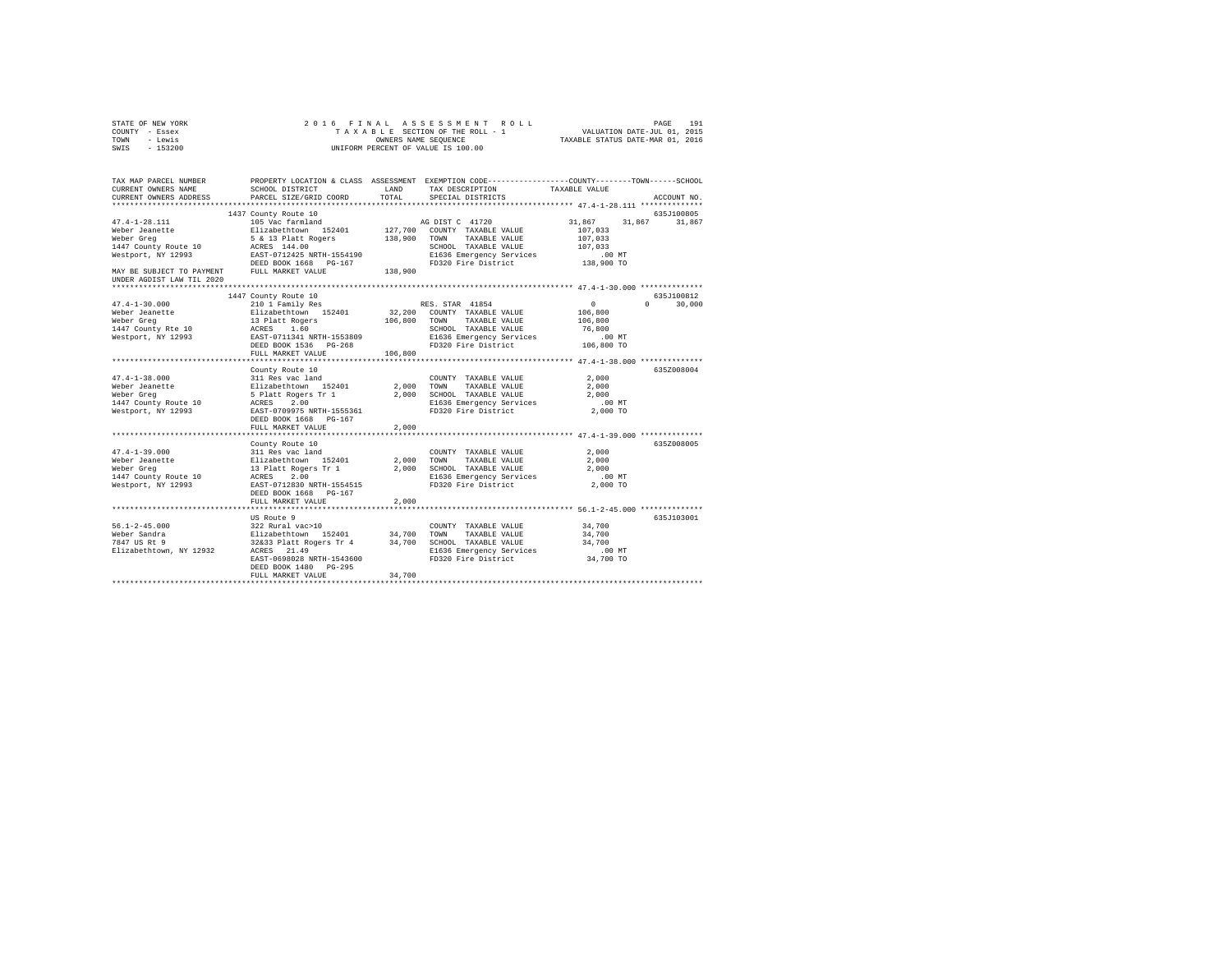| STATE OF NEW YORK<br>COUNTY - Essex                                    | 2016 FINAL                                          |                      | ASSESSMENT ROLL<br>TAXABLE SECTION OF THE ROLL - 1                                                                                    | VALUATION DATE-JUL 01, 2015      | 191<br>PAGE          |
|------------------------------------------------------------------------|-----------------------------------------------------|----------------------|---------------------------------------------------------------------------------------------------------------------------------------|----------------------------------|----------------------|
| - Lewis<br>TOWN<br>SWIS<br>$-153200$                                   |                                                     | OWNERS NAME SEQUENCE | UNIFORM PERCENT OF VALUE IS 100.00                                                                                                    | TAXABLE STATUS DATE-MAR 01, 2016 |                      |
| TAX MAP PARCEL NUMBER<br>CURRENT OWNERS NAME<br>CURRENT OWNERS ADDRESS | SCHOOL DISTRICT<br>PARCEL SIZE/GRID COORD           | LAND<br>TOTAL        | PROPERTY LOCATION & CLASS ASSESSMENT EXEMPTION CODE---------------COUNTY------TOWN-----SCHOOL<br>TAX DESCRIPTION<br>SPECIAL DISTRICTS | TAXABLE VALUE                    | ACCOUNT NO.          |
|                                                                        |                                                     |                      |                                                                                                                                       |                                  |                      |
| $47.4 - 1 - 28.111$                                                    | 1437 County Route 10<br>105 Vac farmland            |                      | AG DIST C 41720                                                                                                                       | 31,867<br>31,867                 | 635J100805<br>31,867 |
| Weber Jeanette                                                         | Elizabethtown 152401                                |                      | 127,700 COUNTY TAXABLE VALUE                                                                                                          | 107,033                          |                      |
| Weber Greg                                                             |                                                     | 138,900              | TOWN<br>TAXABLE VALUE                                                                                                                 | 107,033                          |                      |
| 1447 County Route 10                                                   | 5 & 13 Platt Rogers<br>ACRES 144.00<br>ACRES 144.00 |                      | SCHOOL TAXABLE VALUE                                                                                                                  | 107,033                          |                      |
| Westport, NY 12993                                                     | EAST-0712425 NRTH-1554190                           |                      | E1636 Emergency Services                                                                                                              | $.00$ MT                         |                      |
|                                                                        | DEED BOOK 1668 PG-167                               |                      | FD320 Fire District                                                                                                                   | 138,900 TO                       |                      |
| MAY BE SUBJECT TO PAYMENT<br>UNDER AGDIST LAW TIL 2020                 | FULL MARKET VALUE                                   | 138,900              |                                                                                                                                       |                                  |                      |
|                                                                        |                                                     |                      |                                                                                                                                       |                                  |                      |
|                                                                        | 1447 County Route 10                                |                      |                                                                                                                                       |                                  | 635J100812           |
| $47.4 - 1 - 30.000$                                                    | 210 1 Family Res                                    |                      | RES. STAR 41854                                                                                                                       | $\mathbf{0}$                     | 30,000               |
| Weber Jeanette                                                         | Elizabethtown 152401                                |                      | 32,200 COUNTY TAXABLE VALUE                                                                                                           | 106,800                          |                      |
| Weber Greg                                                             | 13 Platt Rogers<br>ACRES 1.60                       | 106,800              | TOWN<br>TAXABLE VALUE                                                                                                                 | 106,800                          |                      |
| 1447 County Rte 10                                                     |                                                     |                      | SCHOOL TAXABLE VALUE                                                                                                                  | 76,800                           |                      |
| Westport, NY 12993                                                     | EAST-0711341 NRTH-1553809                           |                      | E1636 Emergency Services                                                                                                              | $.00$ MT                         |                      |
|                                                                        | DEED BOOK 1536 PG-268                               |                      | FD320 Fire District                                                                                                                   | 106,800 TO                       |                      |
|                                                                        | FULL MARKET VALUE                                   | 106,800              |                                                                                                                                       |                                  |                      |
|                                                                        |                                                     |                      |                                                                                                                                       |                                  |                      |
|                                                                        | County Route 10                                     |                      |                                                                                                                                       |                                  | 635Z008004           |
| $47.4 - 1 - 38.000$<br>Weber Jeanette                                  | 311 Res vac land                                    | 2,000                | COUNTY TAXABLE VALUE<br>TAXABLE VALUE<br>TOWN                                                                                         | 2,000<br>2,000                   |                      |
| Weber Greg                                                             | Elizabethtown 152401<br>5 Platt Rogers Tr 1         | 2,000                | SCHOOL TAXABLE VALUE                                                                                                                  | 2,000                            |                      |
| 1447 County Route 10                                                   |                                                     |                      | E1636 Emergency Services                                                                                                              | $.00$ MT                         |                      |
| Westport, NY 12993                                                     | ACRES 2.00<br>EAST-0709975 NRTH-1555361             |                      | FD320 Fire District                                                                                                                   | 2,000 TO                         |                      |
|                                                                        | DEED BOOK 1668 PG-167                               |                      |                                                                                                                                       |                                  |                      |
|                                                                        | FULL MARKET VALUE                                   | 2,000                |                                                                                                                                       |                                  |                      |
|                                                                        |                                                     |                      |                                                                                                                                       |                                  |                      |
|                                                                        | County Route 10                                     |                      |                                                                                                                                       |                                  | 635Z008005           |
| $47.4 - 1 - 39.000$                                                    | 311 Res vac land                                    |                      | COUNTY TAXABLE VALUE                                                                                                                  | 2,000                            |                      |
| Weber Jeanette                                                         |                                                     | 2,000                | TOWN<br>TAXABLE VALUE                                                                                                                 | 2,000                            |                      |
| Weber Greg                                                             | Elizabethtown 152401<br>13 Platt Rogers Tr 1        | 2,000                | SCHOOL TAXABLE VALUE                                                                                                                  | 2,000                            |                      |
| 1447 County Route 10                                                   | ACRES 2.00                                          |                      | E1636 Emergency Services                                                                                                              | .00 MT                           |                      |
| Westport, NY 12993                                                     | EAST-0712830 NRTH-1554515                           |                      | FD320 Fire District                                                                                                                   | 2,000 TO                         |                      |
|                                                                        | DEED BOOK 1668 PG-167                               |                      |                                                                                                                                       |                                  |                      |
|                                                                        | FULL MARKET VALUE                                   | 2,000                |                                                                                                                                       |                                  |                      |
|                                                                        |                                                     |                      |                                                                                                                                       |                                  |                      |
|                                                                        | US Route 9                                          |                      |                                                                                                                                       |                                  | 635J103001           |
| $56.1 - 2 - 45.000$                                                    | 322 Rural vac>10                                    |                      | COUNTY TAXABLE VALUE                                                                                                                  | 34,700                           |                      |
| Weber Sandra                                                           | Elizabethtown 152401 34.700                         |                      | TOWN<br>TAXABLE VALUE                                                                                                                 | 34,700                           |                      |
| 7847 US Rt 9                                                           | 32&33 Platt Rogers Tr 4                             | 34,700               | SCHOOL TAXABLE VALUE                                                                                                                  | 34,700                           |                      |
| Elizabethtown, NY 12932                                                | ACRES 21.49                                         |                      | E1636 Emergency Services<br>FD320 Fire District                                                                                       | $.00$ MT<br>34,700 TO            |                      |
|                                                                        | EAST-0698028 NRTH-1543600                           |                      |                                                                                                                                       |                                  |                      |
|                                                                        | DEED BOOK 1480 PG-295<br>FULL MARKET VALUE          | 34,700               |                                                                                                                                       |                                  |                      |
|                                                                        |                                                     |                      |                                                                                                                                       |                                  |                      |
|                                                                        |                                                     |                      |                                                                                                                                       |                                  |                      |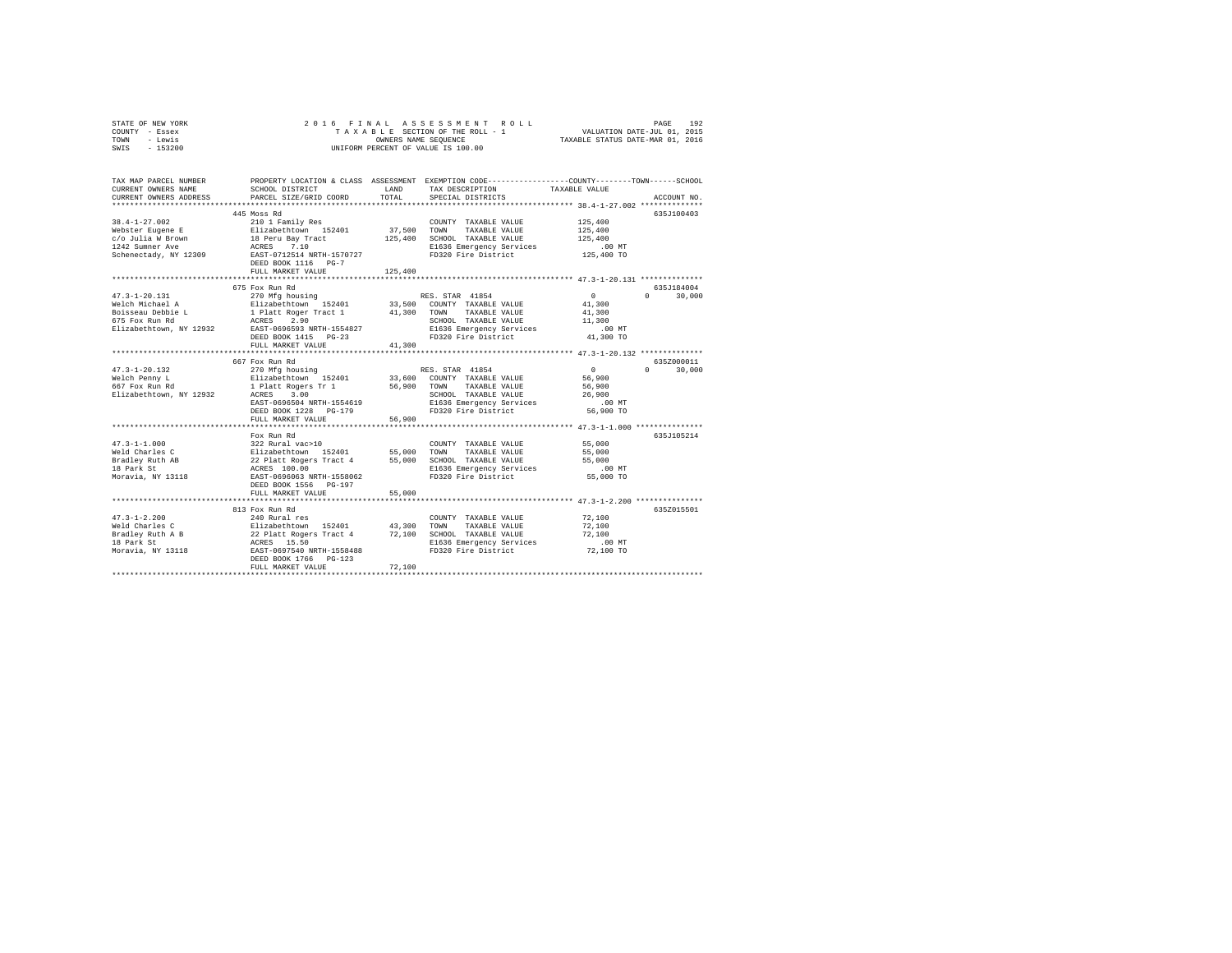|      | STATE OF NEW YORK |  |  | 2016 FINAL ASSESSMENT ROLL         | PAGE                             | 192 |
|------|-------------------|--|--|------------------------------------|----------------------------------|-----|
|      | COUNTY - Essex    |  |  | TAXABLE SECTION OF THE ROLL - 1    | VALUATION DATE-JUL 01, 2015      |     |
| TOWN | - Lewis           |  |  | OWNERS NAME SEOUENCE               | TAXABLE STATUS DATE-MAR 01, 2016 |     |
| SWIS | $-153200$         |  |  | UNIFORM PERCENT OF VALUE IS 100.00 |                                  |     |

| TAX MAP PARCEL NUMBER<br>CURRENT OWNERS NAME<br>CURRENT OWNERS ADDRESS                                   | SCHOOL DISTRICT<br>PARCEL SIZE/GRID COORD                                                                                                                                                                                             | LAND<br>TOTAL                     | PROPERTY LOCATION & CLASS ASSESSMENT EXEMPTION CODE----------------COUNTY-------TOWN------SCHOOL<br>TAX DESCRIPTION<br>SPECIAL DISTRICTS   | TAXABLE VALUE                                                   | ACCOUNT NO.                       |
|----------------------------------------------------------------------------------------------------------|---------------------------------------------------------------------------------------------------------------------------------------------------------------------------------------------------------------------------------------|-----------------------------------|--------------------------------------------------------------------------------------------------------------------------------------------|-----------------------------------------------------------------|-----------------------------------|
| $38.4 - 1 - 27.002$<br>Webster Eugene E<br>C/O Julia W Brown<br>1242 Summer Ave<br>Schenectady, NY 12309 | 445 Moss Rd<br>210 1 Family Res<br>Elizabethtown 152401<br>18 Peru Bay Tract<br>ACRES 7.10<br>EAST-0712514 NRTH-1570727<br>DEED BOOK 1116 PG-7<br>FULL MARKET VALUE                                                                   | 37,500 TOWN<br>125,400<br>125,400 | COUNTY TAXABLE VALUE<br>TAXABLE VALUE<br>SCHOOL TAXABLE VALUE<br>E1636 Emergency Services<br>FD320 Fire District                           | 125,400<br>125,400<br>125,400<br>$.00$ MT<br>125,400 TO         | 635J100403                        |
| $47.3 - 1 - 20.131$<br>Welch Michael A<br>Boisseau Debbie L<br>675 Fox Run Rd<br>Elizabethtown, NY 12932 | 675 Fox Run Rd<br>270 Mfg housing<br>Elizabethtown 152401 33,500 COUNTY TAXABLE VALUE<br>L 1 Platt Roger Tract 1 41,300 TOWN TAXABLE VALUE<br>ACRES<br>2.90<br>EAST-0696593 NRTH-1554827<br>DEED BOOK 1415 PG-23<br>FULL MARKET VALUE | 41,300                            | RES. STAR 41854<br>SCHOOL TAXABLE VALUE<br>E1636 Emergency Services<br>FD320 Fire District                                                 | $\sim$ 0<br>41,300<br>41,300<br>11,300<br>$.00$ MT<br>41,300 TO | 635.7184004<br>30,000<br>$\Omega$ |
|                                                                                                          | 667 Fox Run Rd                                                                                                                                                                                                                        |                                   |                                                                                                                                            |                                                                 | 6357000011                        |
| $47.3 - 1 - 20.132$<br>Welch Penny L<br>667 Fox Run Rd<br>Elizabethtown, NY 12932                        | 270 Mfg housing<br>Elizabethtown 152401<br>1 Platt Boxess = $\frac{1}{2}$<br>ACRES 3.00<br>EAST-0696504 NRTH-1554619<br>DEED BOOK 1228 PG-179                                                                                         | 56,900 TOWN                       | RES. STAR 41854<br>33,600 COUNTY TAXABLE VALUE<br>TAXABLE VALUE<br>SCHOOL TAXABLE VALUE<br>E1636 Emergency Services<br>FD320 Fire District | $\Omega$<br>56,900<br>56,900<br>26,900<br>$.00$ MT<br>56,900 TO | $\Omega$<br>30,000                |
|                                                                                                          | FULL MARKET VALUE                                                                                                                                                                                                                     | 56,900                            |                                                                                                                                            |                                                                 |                                   |
| $47.3 - 1 - 1.000$<br>Weld Charles C<br>Bradley Ruth AB<br>18 Park St<br>Moravia, NY 13118               | Fox Run Rd<br>322 Rural vac>10<br>Elizabethtown 152401 55,000 TOWN<br>22 Platt Rogers Tract 4 55,000 SCHOOL TAXABLE VALUE<br>ACRES 100.00 E1636 Emergency Services<br>EAST-0696063 NRTH-1558062<br>DEED BOOK 1556 PG-197              |                                   | COUNTY TAXABLE VALUE<br>TAXABLE VALUE<br>FD320 Fire District                                                                               | 55,000<br>55,000<br>55,000<br>$.00$ MT<br>55,000 TO             | 635.T105214                       |
|                                                                                                          | FULL MARKET VALUE                                                                                                                                                                                                                     | 55,000                            |                                                                                                                                            |                                                                 |                                   |
| $47.3 - 1 - 2.200$<br>Weld Charles C<br>Bradley Ruth A B<br>18 Park St<br>Moravia, NY 13118              | 813 Fox Run Rd<br>240 Rural res<br>Elizabethtown 152401 43,300<br>22 Platt Rogers Tract 4 72,100<br>ACRES 15.50<br>EAST-0697540 NRTH-1558488<br>DEED BOOK 1766 PG-123<br>FULL MARKET VALUE                                            | 72,100                            | COUNTY TAXABLE VALUE<br>TAXABLE VALUE<br>TOWN<br>SCHOOL TAXABLE VALUE<br>E1636 Emergency Services<br>FD320 Fire District                   | 72,100<br>72,100<br>72,100<br>.00MT<br>72,100 TO                | 635Z015501                        |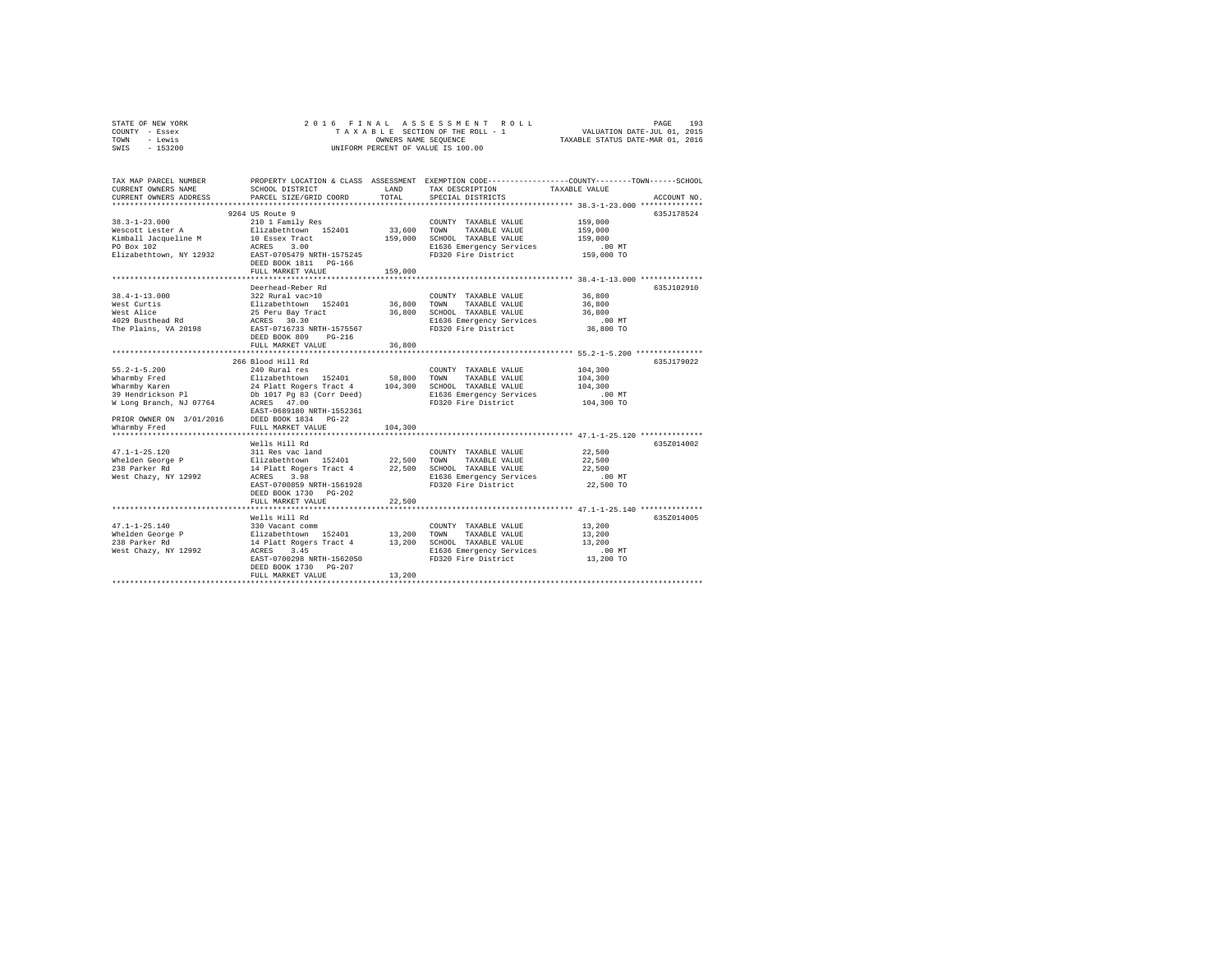| STATE OF NEW YORK | 2016 FINAL ASSESSMENT ROLL         | 193<br>PAGE                      |
|-------------------|------------------------------------|----------------------------------|
| COUNTY - Essex    | TAXABLE SECTION OF THE ROLL - 1    | VALUATION DATE-JUL 01, 2015      |
| TOWN<br>- Lewis   | OWNERS NAME SEOUENCE               | TAXABLE STATUS DATE-MAR 01, 2016 |
| $-153200$<br>SWIS | UNIFORM PERCENT OF VALUE IS 100.00 |                                  |

| TAX MAP PARCEL NUMBER<br>CURRENT OWNERS NAME<br>CURRENT OWNERS ADDRESS | SCHOOL DISTRICT<br>PARCEL SIZE/GRID COORD                                                                                                                                                                     | LAND<br>TOTAL | TAX DESCRIPTION<br>SPECIAL DISTRICTS            | PROPERTY LOCATION & CLASS ASSESSMENT EXEMPTION CODE----------------COUNTY-------TOWN------SCHOOL<br>TAXABLE VALUE<br>ACCOUNT NO. |
|------------------------------------------------------------------------|---------------------------------------------------------------------------------------------------------------------------------------------------------------------------------------------------------------|---------------|-------------------------------------------------|----------------------------------------------------------------------------------------------------------------------------------|
| ***********************                                                |                                                                                                                                                                                                               |               |                                                 |                                                                                                                                  |
|                                                                        | 9264 US Route 9                                                                                                                                                                                               |               |                                                 | 635J178524                                                                                                                       |
| $38.3 - 1 - 23.000$                                                    | 210 1 Family Res                                                                                                                                                                                              |               | COUNTY TAXABLE VALUE                            | 159,000                                                                                                                          |
| Wescott Lester A Elizabethtown 152401                                  |                                                                                                                                                                                                               | 33,600        | TOWN<br>TAXABLE VALUE                           | 159,000                                                                                                                          |
| Kimball Jacqueline M                                                   | 10 Essex Tract                                                                                                                                                                                                | 159,000       | SCHOOL TAXABLE VALUE                            | 159,000                                                                                                                          |
| PO Box 102                                                             | ACRES 3.00<br>EAST-0705479 NRTH-1575245                                                                                                                                                                       |               | E1636 Emergency Services                        | .00MT<br>س 00.<br>159,000 TO                                                                                                     |
| Elizabethtown, NY 12932                                                |                                                                                                                                                                                                               |               | FD320 Fire District                             |                                                                                                                                  |
|                                                                        | DEED BOOK 1811 PG-166                                                                                                                                                                                         |               |                                                 |                                                                                                                                  |
|                                                                        | FULL MARKET VALUE                                                                                                                                                                                             | 159,000       |                                                 |                                                                                                                                  |
|                                                                        | Deerhead-Reber Rd                                                                                                                                                                                             |               |                                                 | 635.T102910                                                                                                                      |
| $38.4 - 1 - 13.000$                                                    | 322 Rural vac>10                                                                                                                                                                                              |               | COUNTY TAXABLE VALUE                            | 36,800                                                                                                                           |
| West Curtis                                                            | Elizabethtown 152401 36,800 TOWN<br>25 Peru Bay Tract 36,800 SCHOC<br>ACRES 30.30 B1636                                                                                                                       |               | TAXABLE VALUE                                   | 36,800                                                                                                                           |
| West Alice                                                             |                                                                                                                                                                                                               |               | 36,800 SCHOOL TAXABLE VALUE                     | 36,800                                                                                                                           |
| west Alice<br>4029 Busthead Rd                                         |                                                                                                                                                                                                               |               | E1636 Emergency Services                        | .00 MT                                                                                                                           |
| The Plains, VA 20198 EAST-0716733 NRTH-1575567                         |                                                                                                                                                                                                               |               | FD320 Fire District                             | 36,800 TO                                                                                                                        |
|                                                                        | DEED BOOK 809 PG-216                                                                                                                                                                                          |               |                                                 |                                                                                                                                  |
|                                                                        | FULL MARKET VALUE                                                                                                                                                                                             | 36,800        |                                                 |                                                                                                                                  |
|                                                                        |                                                                                                                                                                                                               |               |                                                 |                                                                                                                                  |
|                                                                        | 266 Blood Hill Rd                                                                                                                                                                                             |               |                                                 | 635J179022                                                                                                                       |
| $55.2 - 1 - 5.200$                                                     | 240 Rural res                                                                                                                                                                                                 |               | COUNTY TAXABLE VALUE                            | 104,300                                                                                                                          |
| Wharmby Fred                                                           | Elizabethtown 152401 58,800<br>24 Platt Rogers Tract 4 104,300<br>Db 1017 Pg 83 (Corr Deed)                                                                                                                   | 58,800 TOWN   | TAXABLE VALUE                                   | 104,300                                                                                                                          |
| Wharmby Karen                                                          |                                                                                                                                                                                                               |               | SCHOOL TAXABLE VALUE                            | 104,300                                                                                                                          |
| 39 Hendrickson Pl                                                      |                                                                                                                                                                                                               |               | E1636 Emergency Services<br>FD320 Fire District | .00 MT                                                                                                                           |
| W Long Branch, NJ 07764 ACRES 47.00                                    |                                                                                                                                                                                                               |               |                                                 | 104,300 TO                                                                                                                       |
|                                                                        | EAST-0689180 NRTH-1552361                                                                                                                                                                                     |               |                                                 |                                                                                                                                  |
| PRIOR OWNER ON 3/01/2016 DEED BOOK 1834 PG-22                          |                                                                                                                                                                                                               |               |                                                 |                                                                                                                                  |
| Wharmby Fred                                                           | FULL MARKET VALUE                                                                                                                                                                                             | 104,300       |                                                 |                                                                                                                                  |
| *********************                                                  | *******************************                                                                                                                                                                               | ************* |                                                 |                                                                                                                                  |
|                                                                        | Wells Hill Rd<br>11 Res vac land<br>22,500 TOWN TAXABLE VALUE<br>11 Res vac land<br>14 Platt Rogers Tract 4 22,500 TOWN TAXABLE VALUE<br>14 Platt Rogers Tract 4 22,500 SCHOOL TAXABLE VALUE<br>16 RCRES 3.98 |               |                                                 | 635Z014002                                                                                                                       |
| $47.1 - 1 - 25.120$                                                    |                                                                                                                                                                                                               |               |                                                 | 22,500                                                                                                                           |
| Whelden George P<br>238 Parker Rd                                      |                                                                                                                                                                                                               |               |                                                 | 22,500<br>22,500                                                                                                                 |
| West Chazy, NY 12992                                                   |                                                                                                                                                                                                               |               |                                                 | $.00$ MT                                                                                                                         |
|                                                                        | EAST-0700859 NRTH-1561928                                                                                                                                                                                     |               | FD320 Fire District                             | 22,500 TO                                                                                                                        |
|                                                                        | DEED BOOK 1730 PG-202                                                                                                                                                                                         |               |                                                 |                                                                                                                                  |
|                                                                        | FULL MARKET VALUE                                                                                                                                                                                             | 22,500        |                                                 |                                                                                                                                  |
|                                                                        |                                                                                                                                                                                                               |               |                                                 | ********************************* 47.1-1-25.140 *************                                                                    |
|                                                                        | Wells Hill Rd                                                                                                                                                                                                 |               |                                                 | 635Z014005                                                                                                                       |
|                                                                        |                                                                                                                                                                                                               |               | COUNTY TAXABLE VALUE                            | 13,200                                                                                                                           |
|                                                                        |                                                                                                                                                                                                               |               | TOWN<br>TAXABLE VALUE                           | 13,200                                                                                                                           |
|                                                                        |                                                                                                                                                                                                               |               | 13,200 SCHOOL TAXABLE VALUE                     | 13,200                                                                                                                           |
| ACRES<br>West Chazy, NY 12992                                          | 3.45                                                                                                                                                                                                          |               | E1636 Emergency Services                        | .00 MT                                                                                                                           |
|                                                                        | EAST-0700298 NRTH-1562050                                                                                                                                                                                     |               | FD320 Fire District                             | 13,200 TO                                                                                                                        |
|                                                                        | DEED BOOK 1730 PG-207                                                                                                                                                                                         |               |                                                 |                                                                                                                                  |
|                                                                        | FULL MARKET VALUE                                                                                                                                                                                             | 13,200        |                                                 |                                                                                                                                  |
|                                                                        |                                                                                                                                                                                                               |               |                                                 |                                                                                                                                  |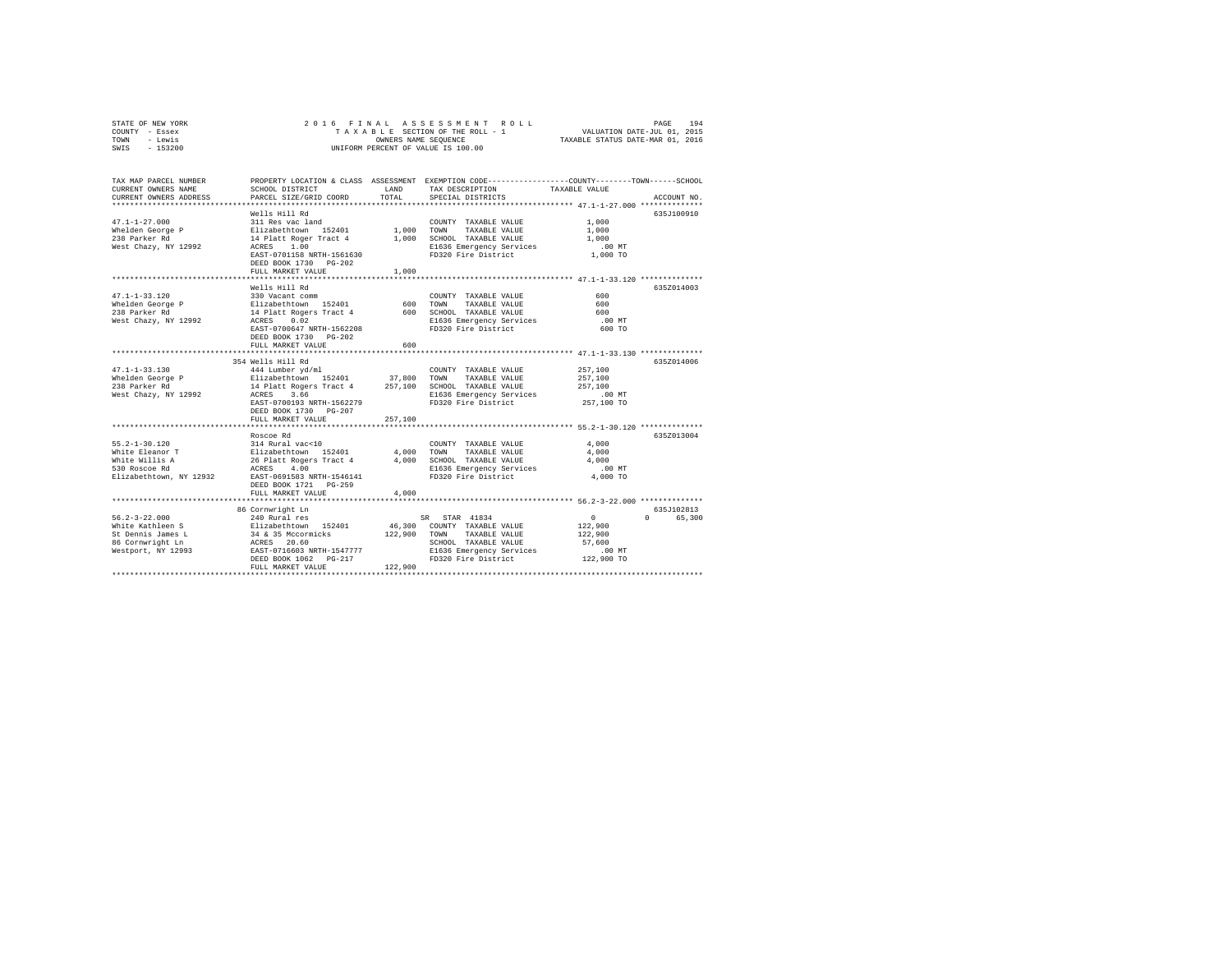| STATE OF NEW YORK | 2016 FINAL ASSESSMENT ROLL         | 194<br>PAGE                      |
|-------------------|------------------------------------|----------------------------------|
| COUNTY - Essex    | TAXABLE SECTION OF THE ROLL - 1    | VALUATION DATE-JUL 01, 2015      |
| TOWN<br>- Lewis   | OWNERS NAME SEOUENCE               | TAXABLE STATUS DATE-MAR 01, 2016 |
| $-153200$<br>SWIS | UNIFORM PERCENT OF VALUE IS 100.00 |                                  |

| TAX MAP PARCEL NUMBER<br>CURRENT OWNERS NAME<br>CURRENT OWNERS ADDRESS                                 | SCHOOL DISTRICT<br>PARCEL SIZE/GRID COORD                                                                                                                                                                                                   | LAND<br>TOTAL                      | PROPERTY LOCATION & CLASS ASSESSMENT EXEMPTION CODE---------------COUNTY-------TOWN-----SCHOOL<br>TAX DESCRIPTION<br>SPECIAL DISTRICTS                                                     | TAXABLE VALUE                                                                                       | ACCOUNT NO.                    |
|--------------------------------------------------------------------------------------------------------|---------------------------------------------------------------------------------------------------------------------------------------------------------------------------------------------------------------------------------------------|------------------------------------|--------------------------------------------------------------------------------------------------------------------------------------------------------------------------------------------|-----------------------------------------------------------------------------------------------------|--------------------------------|
| $47.1 - 1 - 27.000$<br>Whelden George P<br>238 Parker Rd<br>West Chazy, NY 12992                       | Wells Hill Rd<br>311 Res vac land<br>Elizabethtown 152401<br>14 Platt Roger Tract 4<br>1.00<br>ACRES<br>EAST-0701158 NRTH-1561630<br>DEED BOOK 1730 PG-202<br>FULL MARKET VALUE<br>************************                                 | 1,000 TOWN<br>1,000<br>1,000       | COUNTY TAXABLE VALUE<br>TAXABLE VALUE<br>SCHOOL TAXABLE VALUE<br>E1636 Emergency Services<br>FD320 Fire District                                                                           | 1,000<br>1,000<br>1,000<br>$.00$ MT<br>1,000 TO<br>******************** 47.1-1-33.120 ************* | 635J100910                     |
| $47.1 - 1 - 33.120$<br>Whelden George P<br>238 Parker Rd<br>West Chazy, NY 12992                       | Wells Hill Rd<br>330 Vacant comm<br>Elizabethtown 152401<br>14 Platt Rogers Tract 4<br>ACRES<br>0.02<br>EAST-0700647 NRTH-1562208<br>DEED BOOK 1730 PG-202<br>FULL MARKET VALUE                                                             | 600<br>600<br>600                  | COUNTY TAXABLE VALUE<br>TOWN<br>TAXABLE VALUE<br>SCHOOL TAXABLE VALUE<br>E1636 Emergency Services<br>FD320 Fire District                                                                   | 600<br>600<br>600<br>$.00$ MT<br>600 TO<br>**************** 47.1-1-33.130 *************             | 635Z014003                     |
| $47.1 - 1 - 33.130$<br>Whelden George P<br>238 Parker Rd<br>West Chazy, NY 12992                       | 354 Wells Hill Rd<br>444 Lumber yd/ml<br>Elizabethtown 152401<br>14 Platt Rogers Tract 4<br>ACRES 3.66<br>EAST-0700193 NRTH-1562279<br>DEED BOOK 1730 PG-207                                                                                | 37,800<br>257,100                  | COUNTY TAXABLE VALUE<br>TOWN<br>TAXABLE VALUE<br>SCHOOL TAXABLE VALUE<br>E1636 Emergency Services<br>FD320 Fire District                                                                   | 257,100<br>257,100<br>257,100<br>$.00$ MT<br>257,100 TO                                             | 635Z014006                     |
| $55.2 - 1 - 30.120$<br>White Eleanor T<br>White Willis A<br>530 Roscoe Rd<br>Elizabethtown, NY 12932   | FULL MARKET VALUE<br>Roscoe Rd<br>314 Rural vac<10<br>Elizabethtown 152401<br>26 Platt Rogers Tract 4<br>4.00<br>ACRES<br>EAST-0691583 NRTH-1546141<br>DEED BOOK 1721 PG-259<br>FULL MARKET VALUE<br>************************************** | 257,100<br>4,000<br>4,000<br>4,000 | COUNTY TAXABLE VALUE<br>TOWN<br>TAXABLE VALUE<br>SCHOOL TAXABLE VALUE<br>E1636 Emergency Services<br>FD320 Fire District<br>********************************* 56.2-3-22.000 ************** | 4,000<br>4,000<br>4,000<br>$.00$ MT<br>4,000 TO                                                     | 635Z013004                     |
| $56.2 - 3 - 22.000$<br>White Kathleen S<br>St Dennis James L<br>86 Cornwright Ln<br>Westport, NY 12993 | 86 Cornwright Ln<br>240 Rural res<br>Elizabethtown 152401<br>34 & 35 Mccormicks<br>ACRES 20.60<br>EAST-0716603 NRTH-1547777<br>DEED BOOK 1062 PG-217<br>FULL MARKET VALUE                                                                   | 122,900<br>122,900                 | STAR 41834<br>SR<br>46,300 COUNTY TAXABLE VALUE<br>TAXABLE VALUE<br>TOWN<br>SCHOOL TAXABLE VALUE<br>E1636 Emergency Services<br>FD320 Fire District                                        | $\circ$<br>122,900<br>122,900<br>57,600<br>$.00$ MT<br>122,900 TO                                   | 635J102813<br>65,300<br>$\cap$ |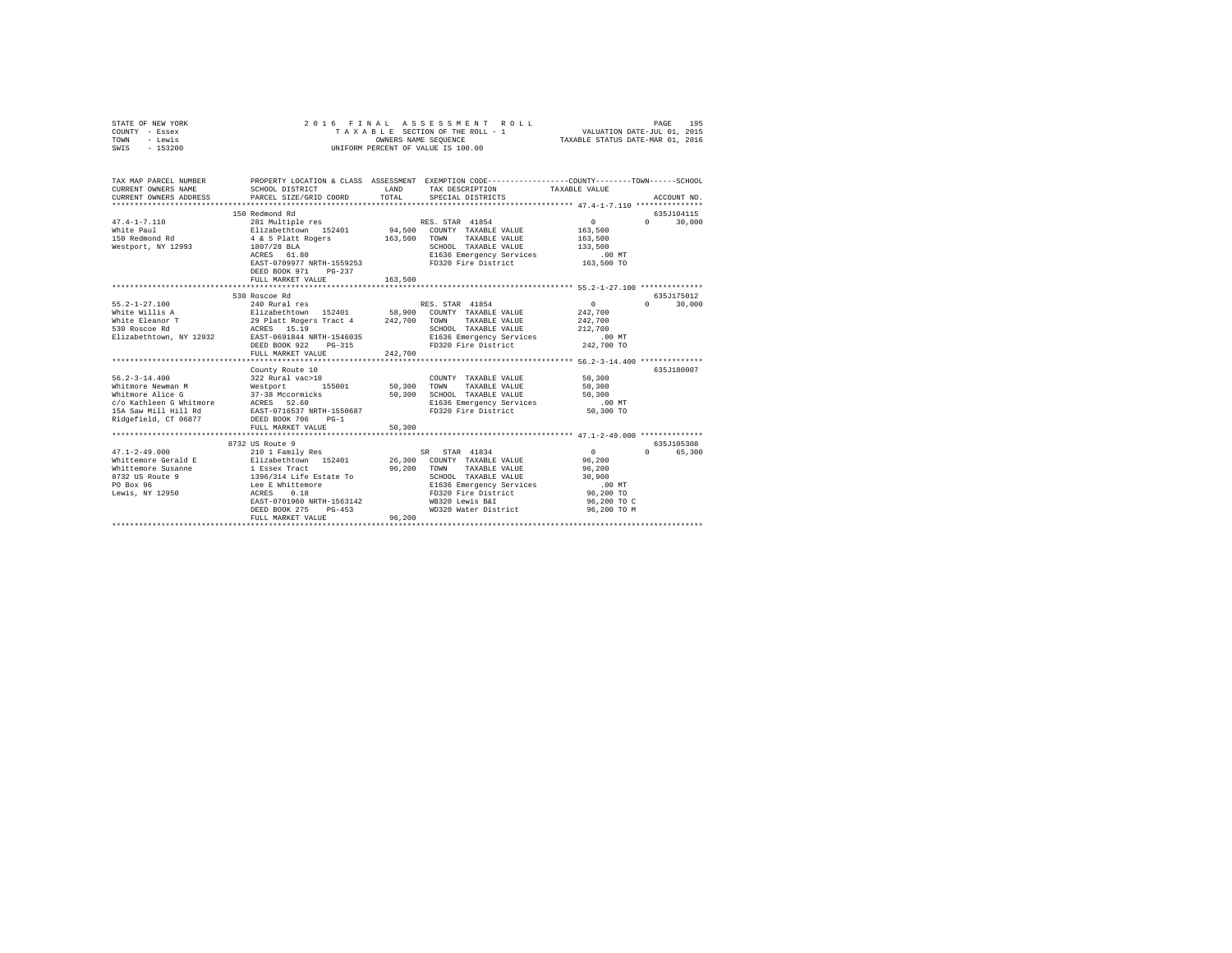| STATE OF NEW YORK<br>COUNTY - Essex<br>TOWN<br>- Lewis<br>$-153200$<br>SWIS | 2016<br>FINAL<br>TAXABLE SECTION OF THE ROLL - 1<br>UNIFORM PERCENT OF VALUE IS 100.00                                                                    | 195<br>PAGE<br>VALUATION DATE-JUL 01, 2015<br>TAXABLE STATUS DATE-MAR 01, 2016 |                                                                                                                                                    |                                                                     |                                  |
|-----------------------------------------------------------------------------|-----------------------------------------------------------------------------------------------------------------------------------------------------------|--------------------------------------------------------------------------------|----------------------------------------------------------------------------------------------------------------------------------------------------|---------------------------------------------------------------------|----------------------------------|
| TAX MAP PARCEL NUMBER<br>CURRENT OWNERS NAME<br>CURRENT OWNERS ADDRESS      | SCHOOL DISTRICT<br>PARCEL SIZE/GRID COORD                                                                                                                 | LAND<br>TOTAL                                                                  | PROPERTY LOCATION & CLASS ASSESSMENT EXEMPTION CODE---------------COUNTY-------TOWN-----SCHOOL<br>TAX DESCRIPTION<br>SPECIAL DISTRICTS             | TAXABLE VALUE                                                       | ACCOUNT NO.                      |
|                                                                             | 150 Redmond Rd                                                                                                                                            |                                                                                |                                                                                                                                                    |                                                                     | 635J104115                       |
| $47.4 - 1 - 7.110$<br>White Paul<br>150 Redmond Rd<br>Westport, NY 12993    | 281 Multiple res<br>Elizabethtown 152401<br>Elizabethtown<br>4 & 5 Platt Rogers<br>1807/28 BLA<br>1807/28 BLA<br>ACRES 61.80<br>EAST-0709977 NRTH-1559253 | 163,500                                                                        | RES. STAR 41854<br>94.500 COUNTY TAXABLE VALUE<br>TAXABLE VALUE<br>TOWN<br>SCHOOL TAXABLE VALUE<br>E1636 Emergency Services<br>FD320 Fire District | $\sim$ 0<br>163,500<br>163.500<br>133,500<br>$.00$ MT<br>163,500 TO | $0 \t 30.000$                    |
|                                                                             | DEED BOOK 971 PG-237<br>FULL MARKET VALUE                                                                                                                 | 163,500                                                                        |                                                                                                                                                    |                                                                     |                                  |
|                                                                             |                                                                                                                                                           |                                                                                |                                                                                                                                                    |                                                                     |                                  |
|                                                                             | 530 Roscoe Rd                                                                                                                                             |                                                                                |                                                                                                                                                    |                                                                     | 635J175012                       |
| $55.2 - 1 - 27.100$                                                         | 240 Rural res                                                                                                                                             |                                                                                | RES. STAR 41854                                                                                                                                    | $\overline{0}$                                                      | 30,000<br>$\Omega$               |
| White Willis A                                                              | Elizabethtown 152401<br>29 Platt Rogers Tract 4                                                                                                           |                                                                                | 58,900 COUNTY TAXABLE VALUE<br>242,700 TOWN TAXABLE VALUE                                                                                          | 242,700                                                             |                                  |
| White Eleanor T<br>530 Roscoe Rd                                            | ACRES 15.19                                                                                                                                               |                                                                                | SCHOOL TAXABLE VALUE                                                                                                                               | 242,700<br>212,700                                                  |                                  |
| Elizabethtown, NY 12932                                                     | EAST-0691844 NRTH-1546035                                                                                                                                 |                                                                                | E1636 Emergency Services                                                                                                                           | .00 MT                                                              |                                  |
|                                                                             | DEED BOOK 922 PG-315                                                                                                                                      |                                                                                | FD320 Fire District 242,700 TO                                                                                                                     |                                                                     |                                  |
|                                                                             | FULL MARKET VALUE                                                                                                                                         | 242,700                                                                        |                                                                                                                                                    |                                                                     |                                  |
|                                                                             |                                                                                                                                                           |                                                                                |                                                                                                                                                    |                                                                     |                                  |
|                                                                             | County Route 10                                                                                                                                           |                                                                                |                                                                                                                                                    |                                                                     | 635J180007                       |
| $56.2 - 3 - 14.400$                                                         | 322 Rural vac>10                                                                                                                                          |                                                                                | COUNTY TAXABLE VALUE                                                                                                                               | 50,300                                                              |                                  |
| Whitmore Newman M                                                           | Sex Number 155001<br>37-38 Mccormicks<br>ACRES 52.60<br>TRAT 0714527 Number 1550687                                                                       | 50,300                                                                         | TAXABLE VALUE<br>TOWN                                                                                                                              | 50,300                                                              |                                  |
| Whitmore Alice G<br>c/o Kathleen G Whitmore                                 |                                                                                                                                                           | 50,300                                                                         | SCHOOL TAXABLE VALUE                                                                                                                               | 50,300                                                              |                                  |
|                                                                             |                                                                                                                                                           |                                                                                | E1636 Emergency Services                                                                                                                           | $.00$ MT                                                            |                                  |
| 15A Saw Mill Hill Rd                                                        | EAST-0716537 NRTH-1550687<br>DEED BOOK 706 PG-1                                                                                                           |                                                                                | FD320 Fire District                                                                                                                                | 50,300 TO                                                           |                                  |
| Ridgefield, CT 06877                                                        |                                                                                                                                                           |                                                                                |                                                                                                                                                    |                                                                     |                                  |
|                                                                             | FULL MARKET VALUE                                                                                                                                         | 50,300                                                                         |                                                                                                                                                    |                                                                     |                                  |
|                                                                             |                                                                                                                                                           |                                                                                |                                                                                                                                                    |                                                                     |                                  |
| $47.1 - 2 - 49.000$                                                         | 8732 US Route 9<br>210 1 Family Res                                                                                                                       |                                                                                | SR STAR 41834                                                                                                                                      | $\sim$ 0                                                            | 635J105308<br>65,300<br>$\Omega$ |
| Whittemore Gerald E                                                         |                                                                                                                                                           |                                                                                | 26,300 COUNTY TAXABLE VALUE                                                                                                                        | 96,200                                                              |                                  |
| Whittemore Susanne                                                          | Elizabethtown 152401<br>1 Essex Tract                                                                                                                     | 96,200                                                                         | TOWN<br>TAXABLE VALUE                                                                                                                              | 96,200                                                              |                                  |
| 8732 US Route 9                                                             |                                                                                                                                                           |                                                                                | SCHOOL TAXABLE VALUE                                                                                                                               | 30,900                                                              |                                  |
| PO Box 96                                                                   |                                                                                                                                                           |                                                                                | E1636 Emergency Services                                                                                                                           | .00MT                                                               |                                  |
| Lewis, NY 12950                                                             | -------<br>1396/314 Life Estate To<br>Lee E Whittemore<br>ACRES 0.18                                                                                      |                                                                                | FD320 Fire District                                                                                                                                | 96,200 TO                                                           |                                  |
|                                                                             | EAST-0701960 NRTH-1563142                                                                                                                                 |                                                                                | WB320 Lewis B&I                                                                                                                                    | 96,200 TO C                                                         |                                  |
|                                                                             | DEED BOOK 275<br>$PG-453$                                                                                                                                 |                                                                                | WD320 Water District                                                                                                                               | 96,200 TO M                                                         |                                  |
|                                                                             | FULL MARKET VALUE                                                                                                                                         | 96,200                                                                         |                                                                                                                                                    |                                                                     |                                  |
|                                                                             |                                                                                                                                                           |                                                                                |                                                                                                                                                    |                                                                     |                                  |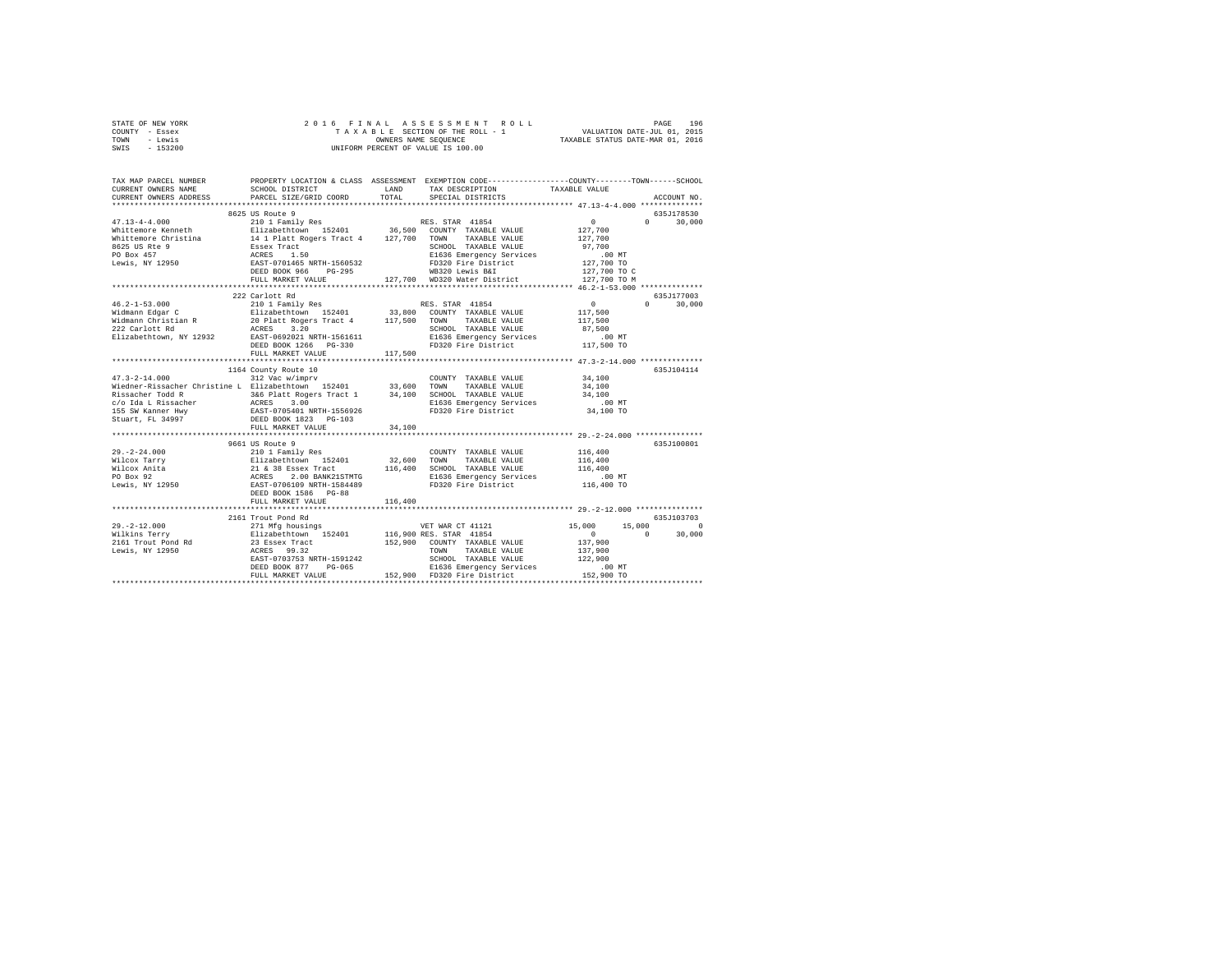| STATE OF NEW YORK<br>COUNTY - Essex<br>TOWN - Lewis                                                                                                                                                                                                                                                                                                                                     |                      |        |                                                                                                |             |
|-----------------------------------------------------------------------------------------------------------------------------------------------------------------------------------------------------------------------------------------------------------------------------------------------------------------------------------------------------------------------------------------|----------------------|--------|------------------------------------------------------------------------------------------------|-------------|
| SWIS - 153200                                                                                                                                                                                                                                                                                                                                                                           |                      |        |                                                                                                |             |
| TAX MAP PARCEL NUMBER                                                                                                                                                                                                                                                                                                                                                                   |                      |        | PROPERTY LOCATION & CLASS ASSESSMENT EXEMPTION CODE---------------COUNTY-------TOWN-----SCHOOL |             |
| CURRENT OWNERS NAME<br>CURRENT OWNERS ADDRESS PARCEL SIZE/GRID COORD TOTAL                                                                                                                                                                                                                                                                                                              |                      |        |                                                                                                | ACCOUNT NO. |
|                                                                                                                                                                                                                                                                                                                                                                                         |                      |        |                                                                                                |             |
|                                                                                                                                                                                                                                                                                                                                                                                         | 8625 US Route 9      |        |                                                                                                | 635J178530  |
| $\begin{tabular}{l c c c c} \multicolumn{3}{c}{\textbf{47.13--4-4.000}} & \multicolumn{3}{c}{\textbf{85.8.500178530}} & \multicolumn{3}{c}{\textbf{85.8.500188530}} & \multicolumn{3}{c}{\textbf{85.8.500188530}} & \multicolumn{3}{c}{\textbf{85.8.500188530}} & \multicolumn{3}{c}{\textbf{85.8.500178530}} & \multicolumn{3}{c}{\textbf{85.8.500178530}} & \mult$                    |                      |        |                                                                                                |             |
|                                                                                                                                                                                                                                                                                                                                                                                         |                      |        |                                                                                                |             |
|                                                                                                                                                                                                                                                                                                                                                                                         |                      |        |                                                                                                |             |
|                                                                                                                                                                                                                                                                                                                                                                                         |                      |        |                                                                                                |             |
|                                                                                                                                                                                                                                                                                                                                                                                         |                      |        |                                                                                                |             |
|                                                                                                                                                                                                                                                                                                                                                                                         |                      |        |                                                                                                |             |
|                                                                                                                                                                                                                                                                                                                                                                                         |                      |        |                                                                                                |             |
|                                                                                                                                                                                                                                                                                                                                                                                         |                      |        |                                                                                                |             |
| $\begin{tabular}{l cccc} $46.2-1-53.000$ & $424$ cannot R4 & $88.5TRR$ & $41854$ & $40.2-1-53.000$ & $40.2-1-53.000$ & $40.2-1-53.000$ & $40.2-1-53.000$ & $40.2-1-53.000$ & $40.2-1-53.000$ & $40.2-1-53.000$ & $40.2-1-53.000$ & $40.2-1-53.000$ & $40.2-1-53.000$ & $40.2-1-$                                                                                                        |                      |        |                                                                                                |             |
|                                                                                                                                                                                                                                                                                                                                                                                         |                      |        |                                                                                                |             |
|                                                                                                                                                                                                                                                                                                                                                                                         |                      |        |                                                                                                |             |
|                                                                                                                                                                                                                                                                                                                                                                                         |                      |        |                                                                                                |             |
|                                                                                                                                                                                                                                                                                                                                                                                         |                      |        |                                                                                                |             |
|                                                                                                                                                                                                                                                                                                                                                                                         |                      |        |                                                                                                |             |
|                                                                                                                                                                                                                                                                                                                                                                                         |                      |        |                                                                                                |             |
|                                                                                                                                                                                                                                                                                                                                                                                         |                      |        |                                                                                                |             |
|                                                                                                                                                                                                                                                                                                                                                                                         |                      |        |                                                                                                |             |
|                                                                                                                                                                                                                                                                                                                                                                                         | 1164 County Route 10 |        |                                                                                                | 635J104114  |
| $47.3 - 2 - 14.000$                                                                                                                                                                                                                                                                                                                                                                     | 312 Vac w/imprv      |        | COUNTY TAXABLE VALUE 34,100                                                                    |             |
|                                                                                                                                                                                                                                                                                                                                                                                         |                      |        |                                                                                                |             |
|                                                                                                                                                                                                                                                                                                                                                                                         |                      |        |                                                                                                |             |
|                                                                                                                                                                                                                                                                                                                                                                                         |                      |        |                                                                                                |             |
|                                                                                                                                                                                                                                                                                                                                                                                         |                      |        |                                                                                                |             |
|                                                                                                                                                                                                                                                                                                                                                                                         | FULL MARKET VALUE    | 34,100 |                                                                                                |             |
|                                                                                                                                                                                                                                                                                                                                                                                         |                      |        |                                                                                                |             |
|                                                                                                                                                                                                                                                                                                                                                                                         | 9661 US Route 9      |        |                                                                                                | 635J100801  |
|                                                                                                                                                                                                                                                                                                                                                                                         |                      |        |                                                                                                |             |
|                                                                                                                                                                                                                                                                                                                                                                                         |                      |        |                                                                                                |             |
|                                                                                                                                                                                                                                                                                                                                                                                         |                      |        |                                                                                                |             |
|                                                                                                                                                                                                                                                                                                                                                                                         |                      |        |                                                                                                |             |
|                                                                                                                                                                                                                                                                                                                                                                                         |                      |        |                                                                                                |             |
|                                                                                                                                                                                                                                                                                                                                                                                         |                      |        |                                                                                                |             |
|                                                                                                                                                                                                                                                                                                                                                                                         |                      |        |                                                                                                |             |
|                                                                                                                                                                                                                                                                                                                                                                                         |                      |        |                                                                                                | 635J103703  |
| $\begin{tabular}{ccccc} 29. -2-12.000 & 2161 {\small\texttt{Total Red}} & 55.000 & 55.000 \\ & 271 \text{ Mg} \text{ business} & 15.000 & 15.000 & 15.000 \\ \text{Wilkins Terry} & \texttt{Elizabeth} \text{own} & 15.001 & 15.000 & 15.000 & 15.000 \\ & 211 \text{ Mg} \text{ business} & 152401 & 16.900 \text{ RES} & \texttt{STRR} & 41854 \\ & 2161 \text{ Trout Pond Rd} & 238$ | 2161 Trout Pond Rd   |        |                                                                                                |             |
|                                                                                                                                                                                                                                                                                                                                                                                         |                      |        |                                                                                                |             |
|                                                                                                                                                                                                                                                                                                                                                                                         |                      |        |                                                                                                |             |
|                                                                                                                                                                                                                                                                                                                                                                                         |                      |        |                                                                                                |             |
|                                                                                                                                                                                                                                                                                                                                                                                         |                      |        |                                                                                                |             |
|                                                                                                                                                                                                                                                                                                                                                                                         |                      |        |                                                                                                |             |
|                                                                                                                                                                                                                                                                                                                                                                                         |                      |        |                                                                                                |             |
|                                                                                                                                                                                                                                                                                                                                                                                         |                      |        |                                                                                                |             |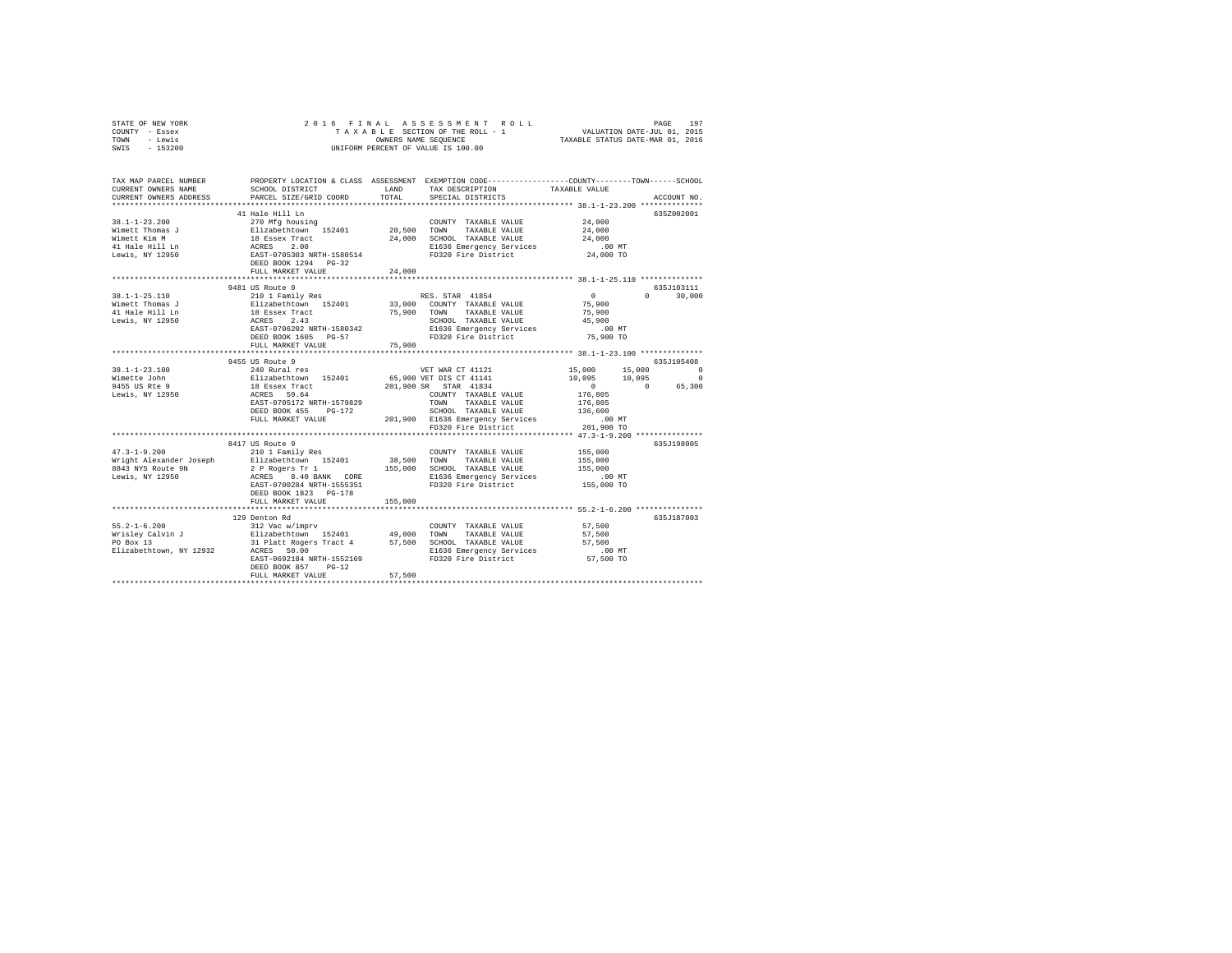| STATE OF NEW YORK<br>- Essex<br>COUNTY<br>- Lewis<br>TOWN<br>$-153200$<br>SWIS | TAXABLE                                                                | 2016 FINAL ASSESSMENT ROLL<br>SECTION OF THE ROLL - 1<br>OWNERS NAME SEOUENCE<br>INIFORM PERCENT OF VALUE IS 100.00 | 197<br>PAGE<br>VALUATION DATE-JUL 01, 2015<br>TAXABLE STATUS DATE-MAR 01, 2016               |
|--------------------------------------------------------------------------------|------------------------------------------------------------------------|---------------------------------------------------------------------------------------------------------------------|----------------------------------------------------------------------------------------------|
| TAX MAP PARCEL NUMBER<br>CURRENT OWNERS NAME<br>CURRENT OWNERS ADDRESS         | PROPERTY LOCATION & CLASS<br>SCHOOL DISTRICT<br>PARCEL SIZE/GRID COORD | ASSESSMENT<br>LAND<br>TAX DESCRIPTION<br>TOTAL<br>SPECIAL DISTRICTS                                                 | EXEMPTION CODE-----------------COUNTY-------TOWN------SCHOOL<br>TAXABLE VALUE<br>ACCOUNT NO. |
| $38.1 - 1 - 23.200$                                                            | 41 Hale Hill Ln<br>270 Mfg housing                                     | TAXABLE VALUE<br>COUNTY                                                                                             | 6352002001<br>24,000                                                                         |

| Wimett Thomas J<br>Wimett Kim M<br>41 Hale Hill Ln<br>Lewis, NY 12950            | Elizabethtown 152401<br>18 Essex Tract<br>ACRES 2.00<br>EAST-0705303 NRTH-1580514<br>DEED BOOK 1294 PG-32 | 20,500<br>TOWN<br>TAXABLE VALUE<br>24,000 SCHOOL TAXABLE VALUE<br>E1636 Emergency Services .00 MT<br>FD320 Fire District 24,000 TO                                                                                                                                                                                                                                                  | 24,000<br>24,000                                                                     |
|----------------------------------------------------------------------------------|-----------------------------------------------------------------------------------------------------------|-------------------------------------------------------------------------------------------------------------------------------------------------------------------------------------------------------------------------------------------------------------------------------------------------------------------------------------------------------------------------------------|--------------------------------------------------------------------------------------|
|                                                                                  | FULL MARKET VALUE                                                                                         | 24,000                                                                                                                                                                                                                                                                                                                                                                              |                                                                                      |
|                                                                                  |                                                                                                           |                                                                                                                                                                                                                                                                                                                                                                                     |                                                                                      |
|                                                                                  | 9481 US Route 9                                                                                           |                                                                                                                                                                                                                                                                                                                                                                                     | 635J103111                                                                           |
| $38.1 - 1 - 25.110$                                                              |                                                                                                           |                                                                                                                                                                                                                                                                                                                                                                                     | $\sim$ 0<br>$\cap$<br>30,000                                                         |
| Wimett Thomas J                                                                  |                                                                                                           |                                                                                                                                                                                                                                                                                                                                                                                     | 75,900                                                                               |
| 41 Hale Hill Ln                                                                  |                                                                                                           | Elizabethrown 152401 33,000 COUNTY TAXABLE VALUE<br>18 Essex Tract 152401 75,900 TOUNTY TAXABLE VALUE<br>ACRES 2.43 SCHOOL TAXABLE VALUE                                                                                                                                                                                                                                            | 75,900<br>45,900                                                                     |
| Lewis, NY 12950                                                                  |                                                                                                           | SCHOOL TAXABLE VALUE                                                                                                                                                                                                                                                                                                                                                                |                                                                                      |
|                                                                                  | EAST-0706202 NRTH-1580342                                                                                 | E1636 Emergency Services .00 MT                                                                                                                                                                                                                                                                                                                                                     |                                                                                      |
|                                                                                  |                                                                                                           | FD320 Fire District 75,900 TO                                                                                                                                                                                                                                                                                                                                                       |                                                                                      |
|                                                                                  |                                                                                                           |                                                                                                                                                                                                                                                                                                                                                                                     |                                                                                      |
|                                                                                  |                                                                                                           |                                                                                                                                                                                                                                                                                                                                                                                     |                                                                                      |
|                                                                                  | 9455 US Route 9                                                                                           |                                                                                                                                                                                                                                                                                                                                                                                     | 635J105408                                                                           |
| $38.1 - 1 - 23.100$                                                              | 240 Rural res                                                                                             | VET WAR CT 41121                                                                                                                                                                                                                                                                                                                                                                    | 15,000 15,000<br>$\sim$ 0                                                            |
|                                                                                  |                                                                                                           | -<br>Silizabeth town 152401 65,900 VET DIS CT 41141 10,095 10,095                                                                                                                                                                                                                                                                                                                   | $^{\circ}$                                                                           |
| williecte ooi<br>9455 US Rite 9 18 Essex Tract<br>Lewis. NY 12950 20 ACRES 59.64 |                                                                                                           | 201,900 SR STAR 41834                                                                                                                                                                                                                                                                                                                                                               | $\begin{smallmatrix}&&0\\&&2\\176,805\end{smallmatrix}$<br>$\sim$ 0 $\sim$<br>65,300 |
|                                                                                  |                                                                                                           | COUNTY TAXABLE VALUE                                                                                                                                                                                                                                                                                                                                                                |                                                                                      |
|                                                                                  | EAST-0705172 NRTH-1579829                                                                                 | TOWN TAXABLE VALUE                                                                                                                                                                                                                                                                                                                                                                  | 176,805                                                                              |
|                                                                                  | DEED BOOK 455<br>$PG-172$                                                                                 | SCHOOL TAXABLE VALUE 136,600                                                                                                                                                                                                                                                                                                                                                        |                                                                                      |
|                                                                                  |                                                                                                           |                                                                                                                                                                                                                                                                                                                                                                                     |                                                                                      |
|                                                                                  |                                                                                                           |                                                                                                                                                                                                                                                                                                                                                                                     |                                                                                      |
|                                                                                  |                                                                                                           |                                                                                                                                                                                                                                                                                                                                                                                     |                                                                                      |
|                                                                                  | 8417 US Route 9                                                                                           |                                                                                                                                                                                                                                                                                                                                                                                     | 635J198005                                                                           |
| $47.3 - 1 - 9.200$                                                               | 210 1 Family Res                                                                                          | COUNTY TAXABLE VALUE                                                                                                                                                                                                                                                                                                                                                                | 155,000                                                                              |
|                                                                                  |                                                                                                           | Wright Alexander Joseph Blizabethtown 152401 38,500 TOWN TAXABLE VALUE                                                                                                                                                                                                                                                                                                              | 155,000                                                                              |
|                                                                                  |                                                                                                           |                                                                                                                                                                                                                                                                                                                                                                                     |                                                                                      |
|                                                                                  |                                                                                                           | 8843 NYS Route 9N 2 PRogers Tr 1 2 = 155,000 SCHOOL TAXABLE VALUE 155,000<br>Lewis, NY 12950 19.40 BAST 8.400 BANK CORE 1636 EMergency Services<br>2000 155,000 EAST-0700284 NRTH-1555351 PD320 Fire District 155,000                                                                                                                                                               |                                                                                      |
|                                                                                  |                                                                                                           |                                                                                                                                                                                                                                                                                                                                                                                     |                                                                                      |
|                                                                                  | DEED BOOK 1823 PG-178                                                                                     |                                                                                                                                                                                                                                                                                                                                                                                     |                                                                                      |
|                                                                                  | FULL MARKET VALUE                                                                                         | 155,000                                                                                                                                                                                                                                                                                                                                                                             |                                                                                      |
|                                                                                  |                                                                                                           |                                                                                                                                                                                                                                                                                                                                                                                     |                                                                                      |
|                                                                                  | 129 Denton Rd                                                                                             |                                                                                                                                                                                                                                                                                                                                                                                     | 635J187003                                                                           |
|                                                                                  |                                                                                                           |                                                                                                                                                                                                                                                                                                                                                                                     |                                                                                      |
|                                                                                  |                                                                                                           | $\begin{array}{lcccccc} 55.2\texttt{-}1\texttt{-}6.200 && 312 \text{ Vac w/imprv} & 152.401 && 27.500 \\ \texttt{Wrisley CaIvin J} && 152.500 && 152401 && 49,000 & \texttt{TONN} & \texttt{TXABLE VALUE} && 57,500 \\ \texttt{Wrisley CaIvin J} && 152.500 && 152401 && 49,000 & \texttt{SCHOOL TAXABLE VALUE} && 57,500 \\ \texttt{PO Box 13} && 13.12 \texttt{Valt Regers Tract$ |                                                                                      |
|                                                                                  |                                                                                                           |                                                                                                                                                                                                                                                                                                                                                                                     |                                                                                      |
| Elizabethtown, NY 12932                                                          | ACRES 50.00                                                                                               | E1636 Emergency Services .00 MT                                                                                                                                                                                                                                                                                                                                                     | 57,500 TO                                                                            |
|                                                                                  | EAST-0692184 NRTH-1552169<br>DEED BOOK 857 PG-12<br>FULL MARKET VALUE                                     | FD320 Fire District<br>57.500                                                                                                                                                                                                                                                                                                                                                       |                                                                                      |
|                                                                                  |                                                                                                           | ***********************                                                                                                                                                                                                                                                                                                                                                             |                                                                                      |
|                                                                                  |                                                                                                           |                                                                                                                                                                                                                                                                                                                                                                                     |                                                                                      |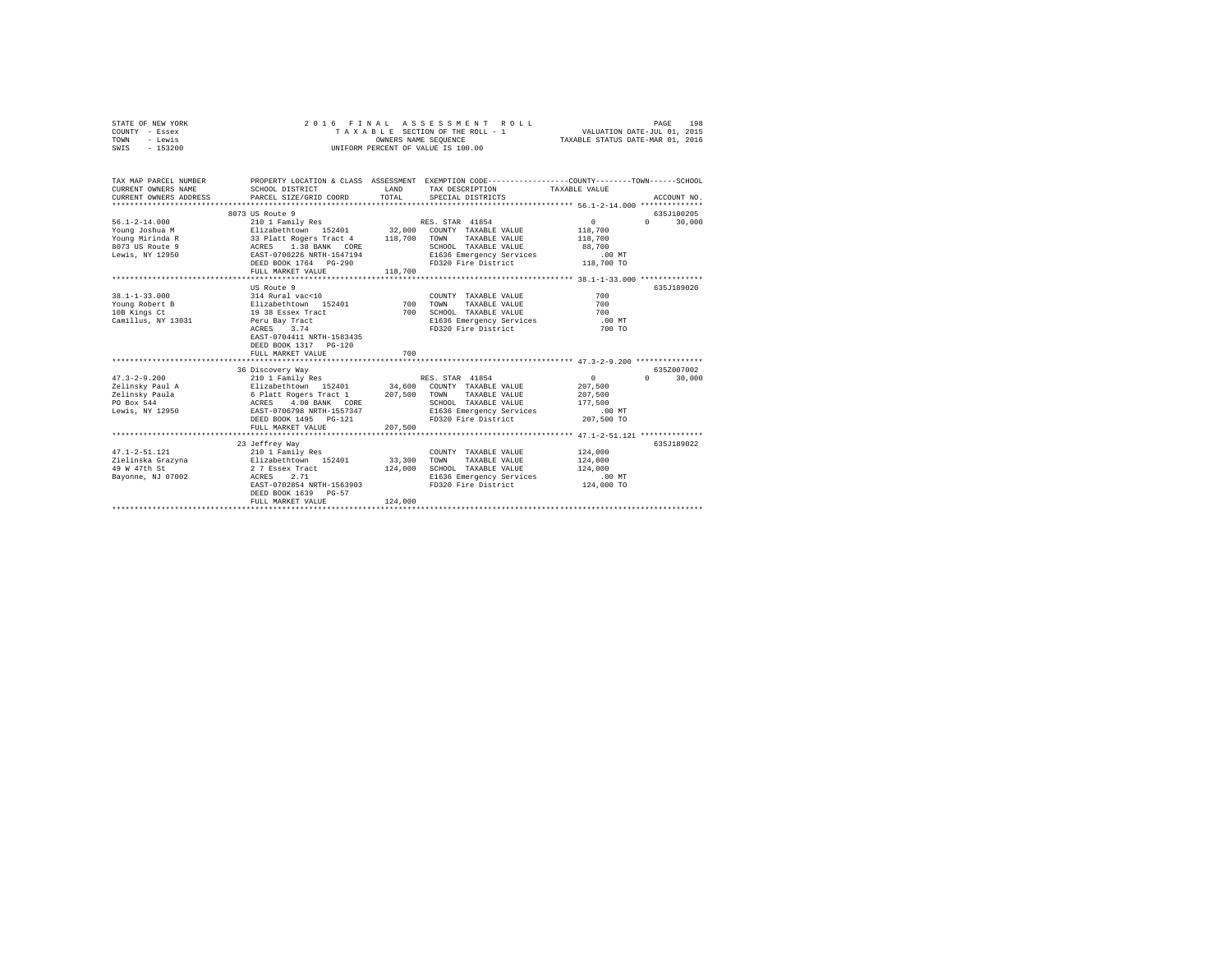| STATE OF NEW YORK | 2016 FINAL ASSESSMENT ROLL         | 198<br>PAGE                      |
|-------------------|------------------------------------|----------------------------------|
| COUNTY - Essex    | TAXABLE SECTION OF THE ROLL - 1    | VALUATION DATE-JUL 01, 2015      |
| TOWN<br>- Lewis   | OWNERS NAME SEOUENCE               | TAXABLE STATUS DATE-MAR 01, 2016 |
| $-153200$<br>SWIS | UNIFORM PERCENT OF VALUE IS 100.00 |                                  |

| TAX MAP PARCEL NUMBER<br>CURRENT OWNERS NAME<br>CURRENT OWNERS ADDRESS                                                              | SCHOOL DISTRICT<br>PARCEL SIZE/GRID COORD                                                                                                                                                                                                                                     | LAND               | PROPERTY LOCATION & CLASS ASSESSMENT EXEMPTION CODE---------------COUNTY-------TOWN------SCHOOL<br>TAX DESCRIPTION TAXABLE VALUE<br>TOTAL SPECIAL DISTRICTS |                                                      | ACCOUNT NO.                          |
|-------------------------------------------------------------------------------------------------------------------------------------|-------------------------------------------------------------------------------------------------------------------------------------------------------------------------------------------------------------------------------------------------------------------------------|--------------------|-------------------------------------------------------------------------------------------------------------------------------------------------------------|------------------------------------------------------|--------------------------------------|
| $56.1 - 2 - 14.000$<br>Young Joshua M<br>Young Mirinda R<br>8073 US Route 9<br>Lewis, NY 12950                                      | 8073 US Route 9<br>Elizabethtown 152401 32,000 COUNTY TAXABLE VALUE<br>33 Platt Rogers Tract 4 118,700 TOWN TAXABLE VALUE<br>ACRES 1.38 BANK CORE 18 SCHOOL TAXABLE VALUE<br>EAST-0700226 NRTH-1547194 B1636 Emergency Services<br>DEED BOOK 1764 PG-290<br>FULL MARKET VALUE | 118,700            | SCHOOL TAXABLE VALUE                                                                                                                                        | $0 \qquad \qquad$<br>118,700<br>118,700<br>88,700    | 635J100205<br>30,000<br>$\Omega$     |
| $38.1 - 1 - 33.000$<br>Young Robert B<br>10B Kings Ct<br>Camillus, NY 13031 Peru Bay Tract                                          | US Route 9<br>314 Rural vac<10<br>Elizabethtown 152401 700 TOWN<br>19 38 Essex Tract<br>ACRES 3.74<br>EAST-0704411 NRTH-1583435<br>DEED BOOK 1317 PG-120<br>FULL MARKET VALUE                                                                                                 | 700<br>700         | COUNTY TAXABLE VALUE<br>TAXABLE VALUE<br>SCHOOL TAXABLE VALUE<br>E1636 Emergency Services<br>FD320 Fire District                                            | 700<br>700<br>700<br>$.00$ MT<br>700 TO              | 635J189020                           |
| $47.3 - 2 - 9.200$<br>Zelinsky Paul A<br>Zelinsky Paula<br>PO Box 544<br>Lewis, NY 12950                                            | 36 Discovery Way<br>210 1 Family Res<br>Elizabethtown 152401 34,600 COUNTY TAXABLE VALUE<br>6 Platt Rogers Tract 1 207,500 TOWN TAXABLE VALUE<br>ACRES 4.00 BANK CORE<br>EAST-0706798 NRTH-1557347<br>DEED BOOK 1495 PG-121<br>FULL MARKET VALUE                              | 207,500            | RES. STAR 41854<br>SCHOOL TAXABLE VALUE<br>E1636 Emergency Services .00 MT<br>FD320 Fire District 207.500 TO                                                | $\Omega$<br>207,500<br>207.500<br>177.500            | 6357007002<br>$\mathbf{a}$<br>30,000 |
| $47.1 - 2 - 51.121$<br>Zielinska Grazyna               Elizabethtown   152401           33,300<br>49 W 47th St<br>Bayonne, NJ 07002 | 23 Jeffrey Way<br>210 1 Family Res<br>2 7 Essex Tract<br>ACRES 2.71<br>EAST-0702854 NRTH-1563903<br>DEED BOOK 1639 PG-57<br>FULL MARKET VALUE                                                                                                                                 | 124,000<br>124,000 | COUNTY TAXABLE VALUE<br>TOWN<br>TAXABLE VALUE<br>SCHOOL TAXABLE VALUE<br>E1636 Emergency Services<br>FD320 Fire District                                    | 124,000<br>124,000<br>124,000<br>.00MT<br>124,000 TO | 635J189022                           |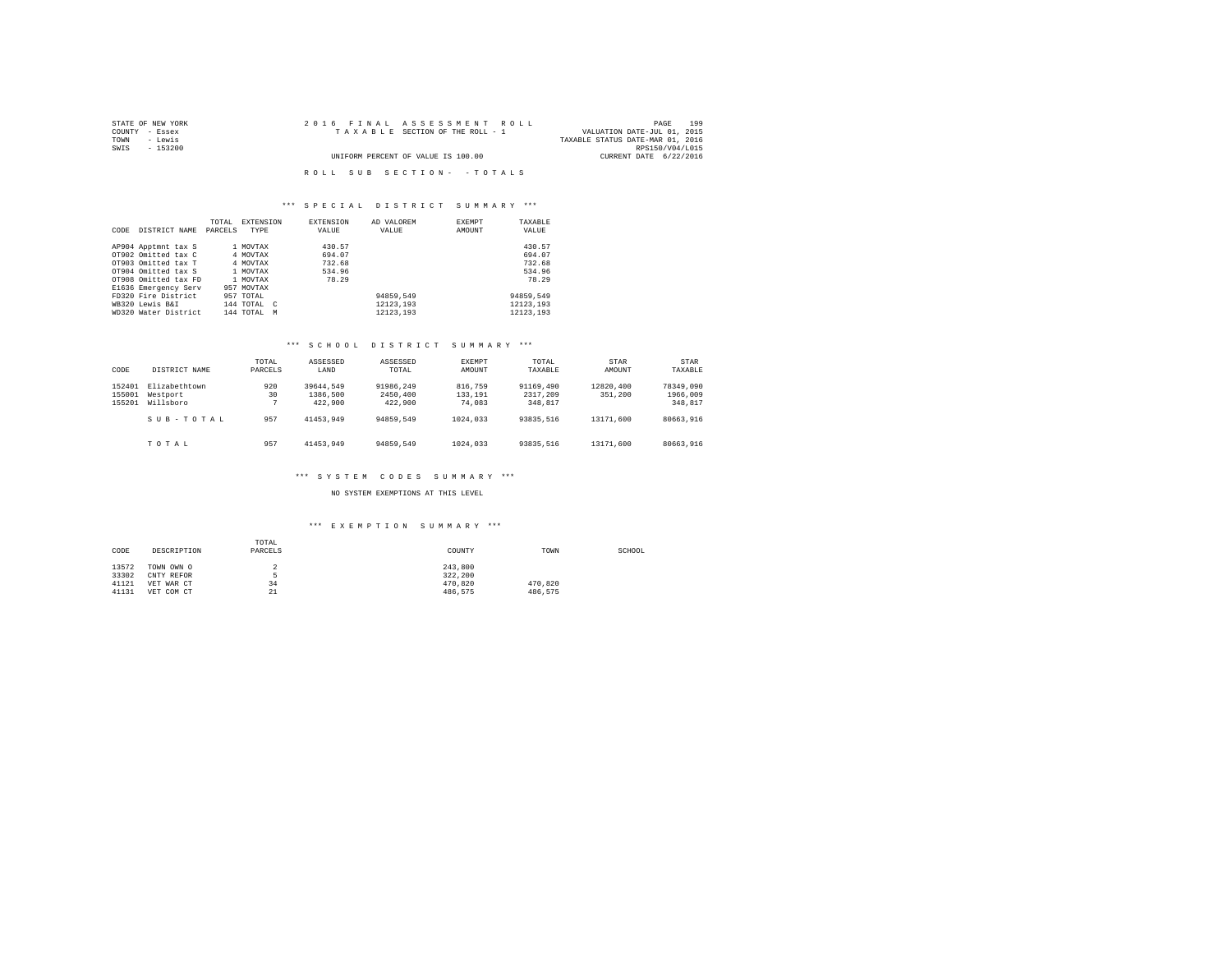| STATE OF NEW YORK | 2016 FINAL ASSESSMENT ROLL         | 199<br>PAGE                      |
|-------------------|------------------------------------|----------------------------------|
| COUNTY - Essex    | TAXABLE SECTION OF THE ROLL - 1    | VALUATION DATE-JUL 01, 2015      |
| TOWN<br>- Lewis   |                                    | TAXABLE STATUS DATE-MAR 01, 2016 |
| SWIS<br>- 153200  |                                    | RPS150/V04/L015                  |
|                   | UNIFORM PERCENT OF VALUE IS 100.00 | CURRENT DATE 6/22/2016           |
|                   |                                    |                                  |
|                   | ROLL SUB SECTION- - TOTALS         |                                  |

### \*\*\* S P E C I A L D I S T R I C T S U M M A R Y \*\*\*

| CODE | DISTRICT NAME        | TOTAL<br>PARCELS | <b>EXTENSION</b><br>TYPE | <b>EXTENSION</b><br>VALUE | AD VALOREM<br>VALUE | EXEMPT<br>AMOUNT | TAXARLE<br>VALUE |
|------|----------------------|------------------|--------------------------|---------------------------|---------------------|------------------|------------------|
|      | AP904 Apptmnt tax S  |                  | 1 MOVTAX                 | 430.57                    |                     |                  | 430.57           |
|      | OT902 Omitted tax C  |                  | 4 MOVTAX                 | 694.07                    |                     |                  | 694.07           |
|      | OT903 Omitted tax T  |                  | 4 MOVTAX                 | 732.68                    |                     |                  | 732.68           |
|      | OT904 Omitted tax S  |                  | 1 MOVTAX                 | 534.96                    |                     |                  | 534.96           |
|      | OT908 Omitted tax FD |                  | 1 MOVTAX                 | 78.29                     |                     |                  | 78.29            |
|      | E1636 Emergency Serv |                  | 957 MOVTAX               |                           |                     |                  |                  |
|      | FD320 Fire District  |                  | 957 TOTAL                |                           | 94859.549           |                  | 94859.549        |
|      | WR320 Lewis B&T      |                  | 144 TOTAL C              |                           | 12123.193           |                  | 12123.193        |
|      | WD320 Water District |                  | $144$ TOTAL<br>M         |                           | 12123.193           |                  | 12123.193        |

### \*\*\* S C H O O L D I S T R I C T S U M M A R Y \*\*\*

| CODE                       | DISTRICT NAME                          | TOTAL<br>PARCELS | ASSESSED<br>LAND                 | ASSESSED<br>TOTAL                | EXEMPT<br>AMOUNT             | TOTAL<br>TAXABLE                 | STAR<br>AMOUNT       | STAR<br>TAXABLE                  |
|----------------------------|----------------------------------------|------------------|----------------------------------|----------------------------------|------------------------------|----------------------------------|----------------------|----------------------------------|
| 152401<br>155001<br>155201 | Elizabethtown<br>Westport<br>Willsboro | 920<br>30<br>n   | 39644.549<br>1386,500<br>422,900 | 91986,249<br>2450,400<br>422,900 | 816,759<br>133,191<br>74,083 | 91169,490<br>2317.209<br>348,817 | 12820,400<br>351,200 | 78349,090<br>1966,009<br>348.817 |
|                            | SUB-TOTAL                              | 957              | 41453.949                        | 94859.549                        | 1024,033                     | 93835.516                        | 13171,600            | 80663.916                        |
|                            | TOTAL                                  | 957              | 41453.949                        | 94859.549                        | 1024.033                     | 93835.516                        | 13171.600            | 80663.916                        |

#### \*\*\* S Y S T E M C O D E S S U M M A R Y \*\*\*

NO SYSTEM EXEMPTIONS AT THIS LEVEL

## \*\*\* E X E M P T I O N S U M M A R Y \*\*\*

| CODE  | DESCRIPTION | TOTAL<br>PARCELS | COUNTY  | TOWN    | SCHOOL |
|-------|-------------|------------------|---------|---------|--------|
| 13572 | TOWN OWN O  | ∡                | 243,800 |         |        |
| 33302 | CNTY REFOR  | ю                | 322.200 |         |        |
| 41121 | VET WAR CT  | 34               | 470.820 | 470.820 |        |
| 41131 | VET COM CT  | 21               | 486.575 | 486.575 |        |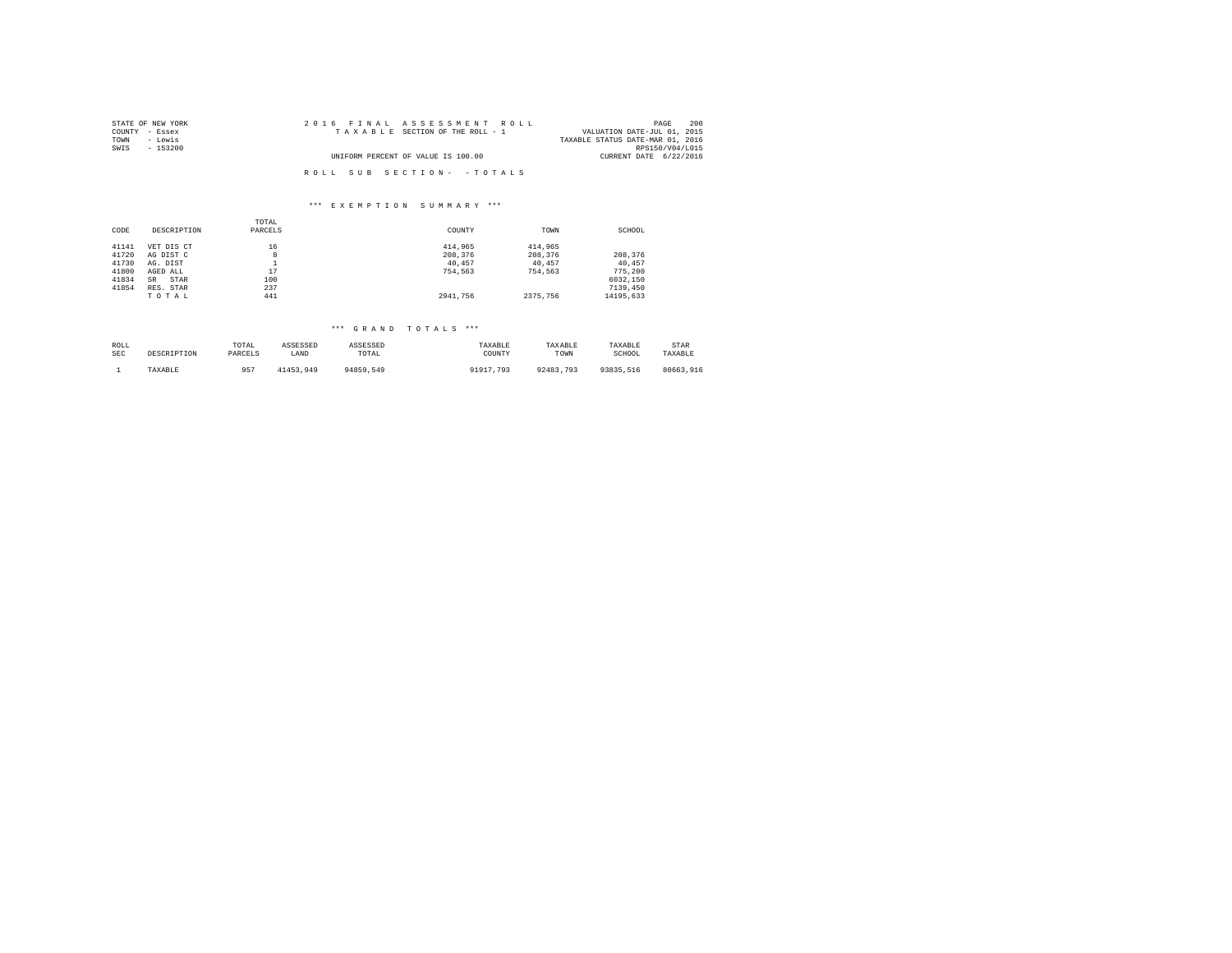| STATE OF NEW YORK | 2016 FINAL ASSESSMENT ROLL         | 200<br>PAGE                      |
|-------------------|------------------------------------|----------------------------------|
| COUNTY - Essex    | TAXABLE SECTION OF THE ROLL - 1    | VALUATION DATE-JUL 01, 2015      |
| TOWN<br>- Lewis   |                                    | TAXABLE STATUS DATE-MAR 01, 2016 |
| SWIS<br>$-153200$ |                                    | RPS150/V04/L015                  |
|                   | UNIFORM PERCENT OF VALUE IS 100.00 | CURRENT DATE 6/22/2016           |
|                   |                                    |                                  |
|                   | ROLL SUB SECTION- - TOTALS         |                                  |

### \*\*\* E X E M P T I O N S U M M A R Y \*\*\*

|       |                   | TOTAL   |          |          |           |
|-------|-------------------|---------|----------|----------|-----------|
| CODE  | DESCRIPTION       | PARCELS | COUNTY   | TOWN     | SCHOOL    |
| 41141 | VET DIS CT        | 16      | 414,965  | 414,965  |           |
| 41720 | AG DIST C         | 8       | 208,376  | 208,376  | 208,376   |
| 41730 | AG. DIST          |         | 40.457   | 40.457   | 40.457    |
| 41800 | AGED ALL          | 17      | 754.563  | 754.563  | 775,200   |
| 41834 | STAR<br><b>SR</b> | 100     |          |          | 6032.150  |
| 41854 | RES. STAR         | 237     |          |          | 7139,450  |
|       | TOTAL             | 441     | 2941.756 | 2375,756 | 14195.633 |

## \*\*\* G R A N D T O T A L S \*\*\*

| ROLL | DESCRIPTION | TOTAL   | ASSESSED  | ASSESSED  | TAXABLE   | TAXABLE   | TAXABLE   | <b>STAR</b> |
|------|-------------|---------|-----------|-----------|-----------|-----------|-----------|-------------|
| SEC  |             | PARCELS | LAND      | TOTAL     | COUNTY    | TOWN      | SCHOOL    | TAXABLE     |
|      | TAXABLE     | $QE^T$  | 41453.949 | 94859.549 | 91917.793 | 92483.793 | 93835.516 | 80663.916   |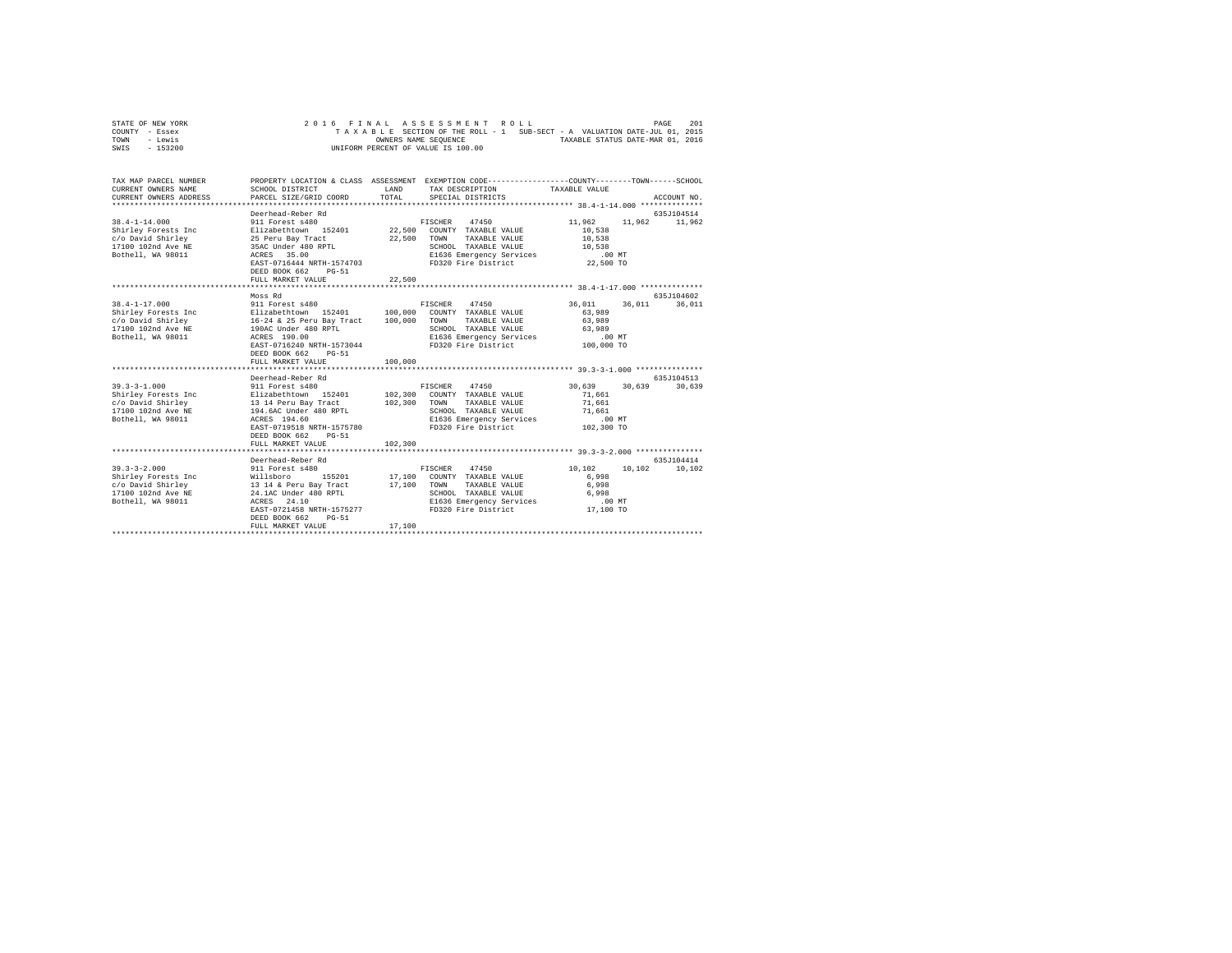| STATE OF NEW YORK | 2016 FINAL ASSESSMENT ROLL                                               | 201<br>PAGE                      |
|-------------------|--------------------------------------------------------------------------|----------------------------------|
| COUNTY - Essex    | TAXABLE SECTION OF THE ROLL - 1 SUB-SECT - A VALUATION DATE-JUL 01, 2015 |                                  |
| TOWN<br>- Lewis   | OWNERS NAME SEOUENCE                                                     | TAXABLE STATUS DATE-MAR 01, 2016 |
| - 153200<br>SWIS  | UNIFORM PERCENT OF VALUE IS 100.00                                       |                                  |

| TAX MAP PARCEL NUMBER<br>CURRENT OWNERS NAME<br>CURRENT OWNERS ADDRESS                                                                                                                                | SCHOOL DISTRICT<br>PARCEL SIZE/GRID COORD                                                                                                                                                                                         | <b>T.AND</b><br>TOTAL.        | PROPERTY LOCATION & CLASS ASSESSMENT EXEMPTION CODE----------------COUNTY-------TOWN-----SCHOOL<br>TAX DESCRIPTION TAXABLE VALUE<br>SPECIAL DISTRICTS |                                                                      | ACCOUNT NO.           |
|-------------------------------------------------------------------------------------------------------------------------------------------------------------------------------------------------------|-----------------------------------------------------------------------------------------------------------------------------------------------------------------------------------------------------------------------------------|-------------------------------|-------------------------------------------------------------------------------------------------------------------------------------------------------|----------------------------------------------------------------------|-----------------------|
| $38.4 - 1 - 14.000$<br>Shirley Forests Inc<br>c/o David Shirley<br>17100 102nd Ave NE<br>Bothell, WA 98011                                                                                            | Deerhead-Reber Rd<br>911 Forest s480<br>Elizabethtown 152401 22,500 COUNTY TAXABLE VALUE<br>25 Peru Bay Tract<br>35AC Under 480 RPTL<br>ACRES 35.00<br>EAST-0716444 NRTH-1574703<br>DEED BOOK 662<br>$PG-51$<br>FULL MARKET VALUE | 22,500<br>22,500              | FISCHER 47450<br>TOWN<br>TAXABLE VALUE<br>SCHOOL TAXABLE VALUE<br>E1636 Emergency Services<br>FD320 Fire District 22,500 TO                           | 11,962<br>11,962<br>10,538<br>10,538<br>10,538<br>.00 MT             | 635J104514<br>11,962  |
|                                                                                                                                                                                                       |                                                                                                                                                                                                                                   |                               |                                                                                                                                                       |                                                                      |                       |
| $38.4 - 1 - 17.000$<br>Shirley Forests Inc<br>c/o David Shirley<br>16-24 & 25 Peru Bay Tract<br>17100 102nd Ave NE<br>190AC Under 480 RPTL<br>Bothell, WA 98011                                       | Moss Rd<br>911 Forest s480<br>Elizabethtown 152401<br>ACRES 190.00<br>EAST-0716240 NRTH-1573044<br>DEED BOOK 662<br>$PG - 51$<br>FULL MARKET VALUE                                                                                | 100,000<br>100,000<br>100,000 | FISCHER 47450<br>COUNTY TAXABLE VALUE<br>TOWN<br>TAXABLE VALUE<br>SCHOOL TAXABLE VALUE<br>E1636 Emergency Services<br>FD320 Fire District 100,000 TO  | 36,011<br>36,011<br>63,989<br>63,989<br>63,989<br>.00 MT             | 635.7104602<br>36,011 |
|                                                                                                                                                                                                       |                                                                                                                                                                                                                                   |                               |                                                                                                                                                       |                                                                      |                       |
| $39.3 - 3 - 1.000$<br>Shirley Forests Inc Blizabethtown 152401 102,300<br>Shirley Forests Inc $c/o$ Baricano<br>$c/o$ Bavid Shirley 13 14 Peru Bay Tract<br>17100 102nd Ave NE 194.6AC Under 480 RPTL | Deerhead-Reber Rd<br>911 Forest s480<br>EAST-0719518 NRTH-1575780<br>DEED BOOK 662<br>$PG-51$<br>FULL MARKET VALUE                                                                                                                | 102,300<br>102,300            | FISCHER 47450<br>COUNTY TAXABLE VALUE<br>TOWN<br>TAXABLE VALUE<br>SCHOOL TAXABLE VALUE<br>E1636 Emergency Services<br>FD320 Fire District 102,300 TO  | 30.639<br>30.639<br>71.661<br>71,661<br>71,661<br>.00MT              | 635J104513<br>30,639  |
| $39.3 - 3 - 2.000$<br>Shirley Forests Inc<br>c/o David Shirley<br>17100 102nd Ave NE<br>Bothell, WA 98011                                                                                             | Deerhead-Reber Rd<br>911 Forest s480<br>Willsboro 155201<br>13 14 & Peru Bay Tract<br>24.1AC Under 480 RPTL<br>ACRES 24.10<br>EAST-0721458 NRTH-1575277<br>DEED BOOK 662<br>$PG-51$<br>FULL MARKET VALUE                          | 17,100 TOWN<br>17,100         | 47450<br>FISCHER<br>155201 17,100 COUNTY TAXABLE VALUE<br>TAXABLE VALUE<br>SCHOOL TAXABLE VALUE<br>E1636 Emergency Services<br>FD320 Fire District    | 10,102<br>10,102<br>6,998<br>6,998<br>6,998<br>$.00$ MT<br>17,100 TO | 635J104414<br>10,102  |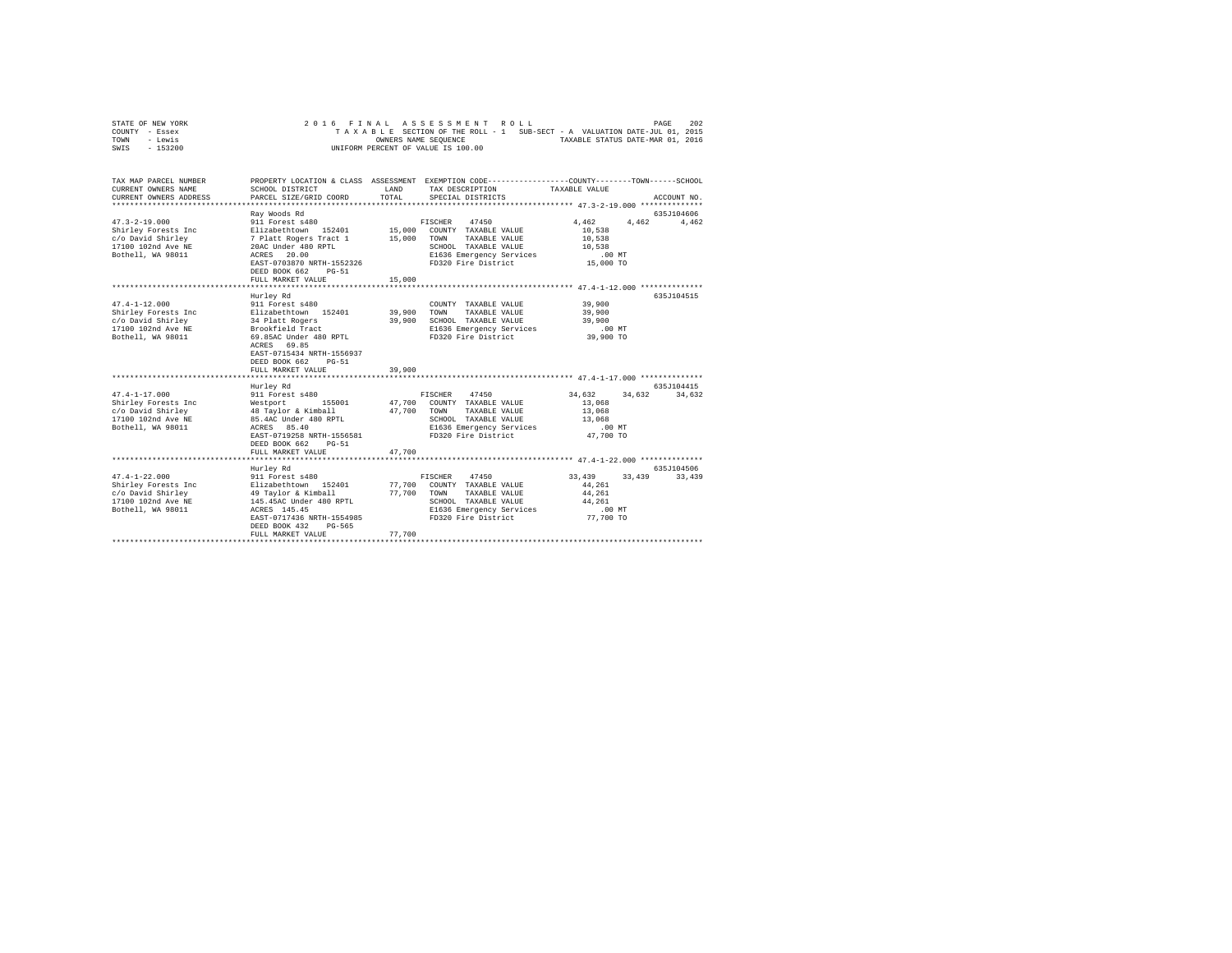|      | STATE OF NEW YORK | 2016 FINAL ASSESSMENT ROLL                                               | PAGE | 202 |
|------|-------------------|--------------------------------------------------------------------------|------|-----|
|      | COUNTY - Essex    | TAXABLE SECTION OF THE ROLL - 1 SUB-SECT - A VALUATION DATE-JUL 01, 2015 |      |     |
| TOWN | - Lewis           | TAXABLE STATUS DATE-MAR 01, 2016<br>OWNERS NAME SEOUENCE                 |      |     |
| SWIS | - 153200          | UNIFORM PERCENT OF VALUE IS 100.00                                       |      |     |
|      |                   |                                                                          |      |     |

| TAX MAP PARCEL NUMBER<br>CURRENT OWNERS NAME                                                                           | SCHOOL DISTRICT                                      | LAND   | PROPERTY LOCATION & CLASS ASSESSMENT EXEMPTION CODE---------------COUNTY-------TOWN-----SCHOOL<br>TAX DESCRIPTION | TAXABLE VALUE        |             |
|------------------------------------------------------------------------------------------------------------------------|------------------------------------------------------|--------|-------------------------------------------------------------------------------------------------------------------|----------------------|-------------|
| CURRENT OWNERS ADDRESS                                                                                                 | PARCEL SIZE/GRID COORD                               | TOTAL  | SPECIAL DISTRICTS                                                                                                 |                      | ACCOUNT NO. |
|                                                                                                                        | Ray Woods Rd                                         |        |                                                                                                                   |                      | 635J104606  |
|                                                                                                                        |                                                      |        |                                                                                                                   | 4,462 4,462 4,462    |             |
|                                                                                                                        |                                                      |        |                                                                                                                   | 10,538               |             |
|                                                                                                                        |                                                      |        |                                                                                                                   | 10,538               |             |
|                                                                                                                        |                                                      |        | SCHOOL TAXABLE VALUE                                                                                              | 10,538               |             |
| Bothell, WA 98011                                                                                                      | ACRES 20.00                                          |        | ACRES 20.00 E1636 Emergency Services .00 MT<br>EAST-0703870 NRTH-1552326 FD320 Fire District 15,000 TO            |                      |             |
|                                                                                                                        |                                                      |        |                                                                                                                   |                      |             |
|                                                                                                                        | DEED BOOK 662<br>$PG-51$                             |        |                                                                                                                   |                      |             |
|                                                                                                                        | FULL MARKET VALUE                                    | 15,000 |                                                                                                                   |                      |             |
|                                                                                                                        | Hurley Rd                                            |        |                                                                                                                   |                      | 635J104515  |
| $47.4 - 1 - 12.000$                                                                                                    | 911 Forest s480                                      |        | COUNTY TAXABLE VALUE                                                                                              | 39,900               |             |
| Shirley Forests Inc Blizabethtown 152401 39,900 TOWN                                                                   |                                                      |        | TAXABLE VALUE                                                                                                     | 39,900               |             |
|                                                                                                                        |                                                      | 39,900 | SCHOOL TAXABLE VALUE                                                                                              | 39,900               |             |
|                                                                                                                        |                                                      |        | E1636 Emergency Services                                                                                          | .00 MT               |             |
| c/o David Shirley and Balact Rogers<br>17100 102nd Ave ME Brookfield Tract<br>Bothell, WA 98011 69.85AC Under 480 RPTL |                                                      |        | FD320 Fire District 39,900 TO                                                                                     |                      |             |
|                                                                                                                        | ACRES 69.85                                          |        |                                                                                                                   |                      |             |
|                                                                                                                        | EAST-0715434 NRTH-1556937                            |        |                                                                                                                   |                      |             |
|                                                                                                                        | DEED BOOK 662<br>$PG-51$                             |        |                                                                                                                   |                      |             |
|                                                                                                                        | FULL MARKET VALUE                                    | 39,900 |                                                                                                                   |                      |             |
|                                                                                                                        |                                                      |        |                                                                                                                   |                      |             |
|                                                                                                                        | Hurley Rd                                            |        |                                                                                                                   |                      | 635J104415  |
|                                                                                                                        |                                                      |        | FISCHER 47450                                                                                                     | 34,632 34,632 34,632 |             |
|                                                                                                                        |                                                      |        | 47,700 COUNTY TAXABLE VALUE<br>TAXABLE VALUE                                                                      | 13,068<br>13,068     |             |
| 17100 102nd Ave NE 85.4AC Under 480 RPTL                                                                               |                                                      |        | SCHOOL TAXABLE VALUE                                                                                              | $13\,,\,068$         |             |
| Bothell, WA 98011                                                                                                      | ACRES 85.40                                          |        | E1636 Emergency Services                                                                                          | .00 MT               |             |
|                                                                                                                        |                                                      |        | EAST-0719258 NRTH-1556581 FD320 Fire District 47,700 TO                                                           |                      |             |
|                                                                                                                        | DEED BOOK 662<br>$PG-51$                             |        |                                                                                                                   |                      |             |
|                                                                                                                        | FULL MARKET VALUE                                    | 47.700 |                                                                                                                   |                      |             |
|                                                                                                                        |                                                      |        |                                                                                                                   |                      |             |
|                                                                                                                        | Hurley Rd                                            |        |                                                                                                                   |                      | 635.7104506 |
| $47.4 - 1 - 22.000$                                                                                                    | 911 Forest s480                                      |        | FISCHER 47450                                                                                                     | 33.439 33.439        | 33,439      |
|                                                                                                                        |                                                      |        |                                                                                                                   | 44,261               |             |
|                                                                                                                        |                                                      |        |                                                                                                                   | 44,261               |             |
|                                                                                                                        |                                                      |        |                                                                                                                   | 44,261               |             |
| Bothell, WA 98011 ACRES 145.45                                                                                         |                                                      |        | E1636 Emergency Services .00 MT                                                                                   |                      |             |
|                                                                                                                        | EAST-0717436 NRTH-1554985<br>DEED BOOK 432<br>PG-565 |        | FD320 Fire District 77,700 TO                                                                                     |                      |             |
|                                                                                                                        | FULL MARKET VALUE                                    | 77.700 |                                                                                                                   |                      |             |
|                                                                                                                        |                                                      |        | **************************                                                                                        |                      |             |
|                                                                                                                        |                                                      |        |                                                                                                                   |                      |             |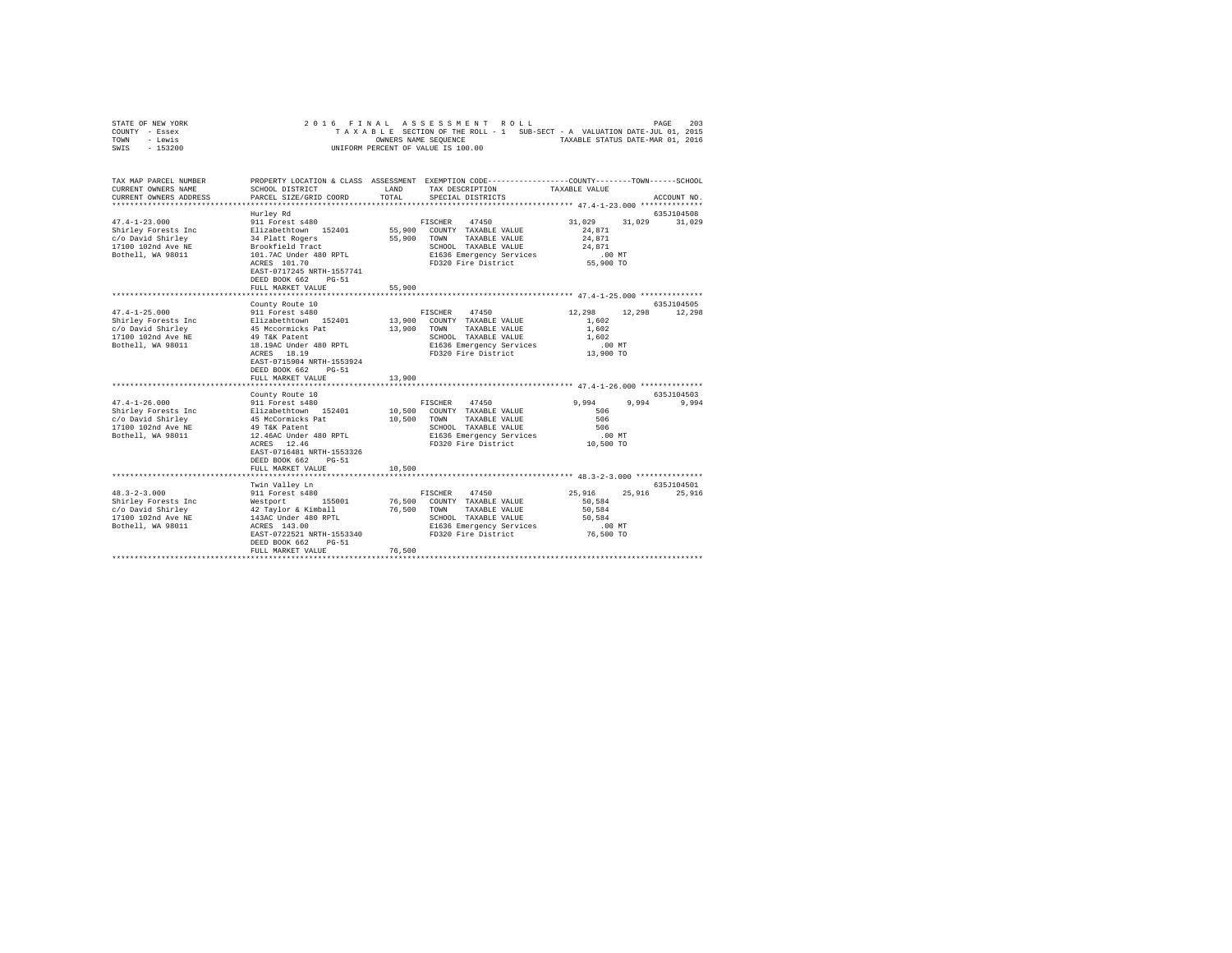| STATE OF NEW YORK | 2016 FINAL ASSESSMENT ROLL                                               | 203<br>PAGE                      |
|-------------------|--------------------------------------------------------------------------|----------------------------------|
| COUNTY - Essex    | TAXABLE SECTION OF THE ROLL - 1 SUB-SECT - A VALUATION DATE-JUL 01, 2015 |                                  |
| TOWN<br>- Lewis   | OWNERS NAME SEOUENCE                                                     | TAXABLE STATUS DATE-MAR 01, 2016 |
| - 153200<br>SWIS  | UNIFORM PERCENT OF VALUE IS 100.00                                       |                                  |

| TAX MAP PARCEL NUMBER<br>CURRENT OWNERS NAME                                                                                                                                                                                                                | SCHOOL DISTRICT                                                                                         | LAND                  | PROPERTY LOCATION & CLASS ASSESSMENT EXEMPTION CODE----------------COUNTY-------TOWN------SCHOOL<br>TAX DESCRIPTION | TAXABLE VALUE                                                             |             |
|-------------------------------------------------------------------------------------------------------------------------------------------------------------------------------------------------------------------------------------------------------------|---------------------------------------------------------------------------------------------------------|-----------------------|---------------------------------------------------------------------------------------------------------------------|---------------------------------------------------------------------------|-------------|
| CURRENT OWNERS ADDRESS                                                                                                                                                                                                                                      | PARCEL SIZE/GRID COORD                                                                                  | TOTAL                 | SPECIAL DISTRICTS                                                                                                   |                                                                           | ACCOUNT NO. |
| 47.4-1-23.000<br>Shirley Forest and Siliabeth (1918)<br>Shirley Forest Inc and Siliabeth (1918)<br>S5,900 COMNT TAXABLE VALUE<br>1710010204 AVe NE BOOKTEL (1920)<br>Shirley Stringer (1918)<br>Shirley Shirley Stringer (1918)<br>Shirley S                | Hurley Rd<br>ACRES 101.70<br>EAST-0717245 NRTH-1557741<br>DEED BOOK 662<br>$PG-51$<br>FULL MARKET VALUE | 55,900                | 55,900 TOWN TAXABLE VALUE<br>E1636 Emergency Services<br>FD320 Fire District                                        | 31,029 31,029 31,029<br>24,871<br>24,871<br>24,871<br>.00 MT<br>55,900 TO | 635J104508  |
|                                                                                                                                                                                                                                                             | ************************                                                                                | **********            |                                                                                                                     | *********************************** 47.4-1-25.000 ***************         |             |
|                                                                                                                                                                                                                                                             | County Route 10                                                                                         |                       |                                                                                                                     |                                                                           | 635J104505  |
| $47.4 - 1 - 25.000$<br>-Control Country TAXABLE VALUE<br>Shirley Forests Inc = 11 and the state of the state of the state of the state of the state of the 1910<br>17100 102nd Ave NE = 49 TKK Fatent = 13,900 TAXABLE VALUE<br>17100 102nd Ave NE = 49 TKK | 911 Forest s480<br>EAST-0715904 NRTH-1553924<br>DEED BOOK 662 PG-51                                     |                       | FISCHER 47450<br>SCHOOL TAXABLE VALUE<br>E1636 Emergency Services 13,900 MT<br>FD320 Fire District 13,900 TO        | 12,298 12,298<br>1,602<br>1,602<br>1,602                                  | 12,298      |
|                                                                                                                                                                                                                                                             | FULL MARKET VALUE                                                                                       | 13,900                |                                                                                                                     |                                                                           |             |
|                                                                                                                                                                                                                                                             |                                                                                                         |                       |                                                                                                                     |                                                                           |             |
|                                                                                                                                                                                                                                                             | County Route 10                                                                                         |                       |                                                                                                                     |                                                                           | 635J104503  |
| 47.4-1-26.000         911 Forest s480               FISCHER   47450<br>Shirley Forests Inc       Elizabethtown  152401      10,500  COUNTY TAXABLE VALUE<br>Bothell, WA 98011 12.46AC Under 480 RPTL                                                        | ACRES 12.46<br>EAST-0716481 NRTH-1553326<br>DEED BOOK 662 PG-51<br>FULL MARKET VALUE                    | 10,500                | TAXABLE VALUE<br>SCHOOL TAXABLE VALUE<br>E1636 Emergency Services<br>FD320 Fire District                            | 9,994<br>9,994<br>506<br>506<br>506<br>$.00$ MT<br>10,500 TO              | 9,994       |
|                                                                                                                                                                                                                                                             | Twin Vallev Ln                                                                                          |                       |                                                                                                                     |                                                                           | 635J104501  |
| $48.3 - 2 - 3.000$<br>Bothell, WA 98011                                                                                                                                                                                                                     | 911 Forest s480<br>DEED BOOK 662 PG-51<br>FULL MARKET VALUE                                             | 76,500 TOWN<br>76,500 | 47450<br>FISCHER<br>76,500 COUNTY TAXABLE VALUE<br>TAXABLE VALUE<br>SCHOOL TAXABLE VALUE 50,584                     | 25,916 25,916<br>50,584<br>50,584                                         | 25,916      |
|                                                                                                                                                                                                                                                             |                                                                                                         |                       |                                                                                                                     |                                                                           |             |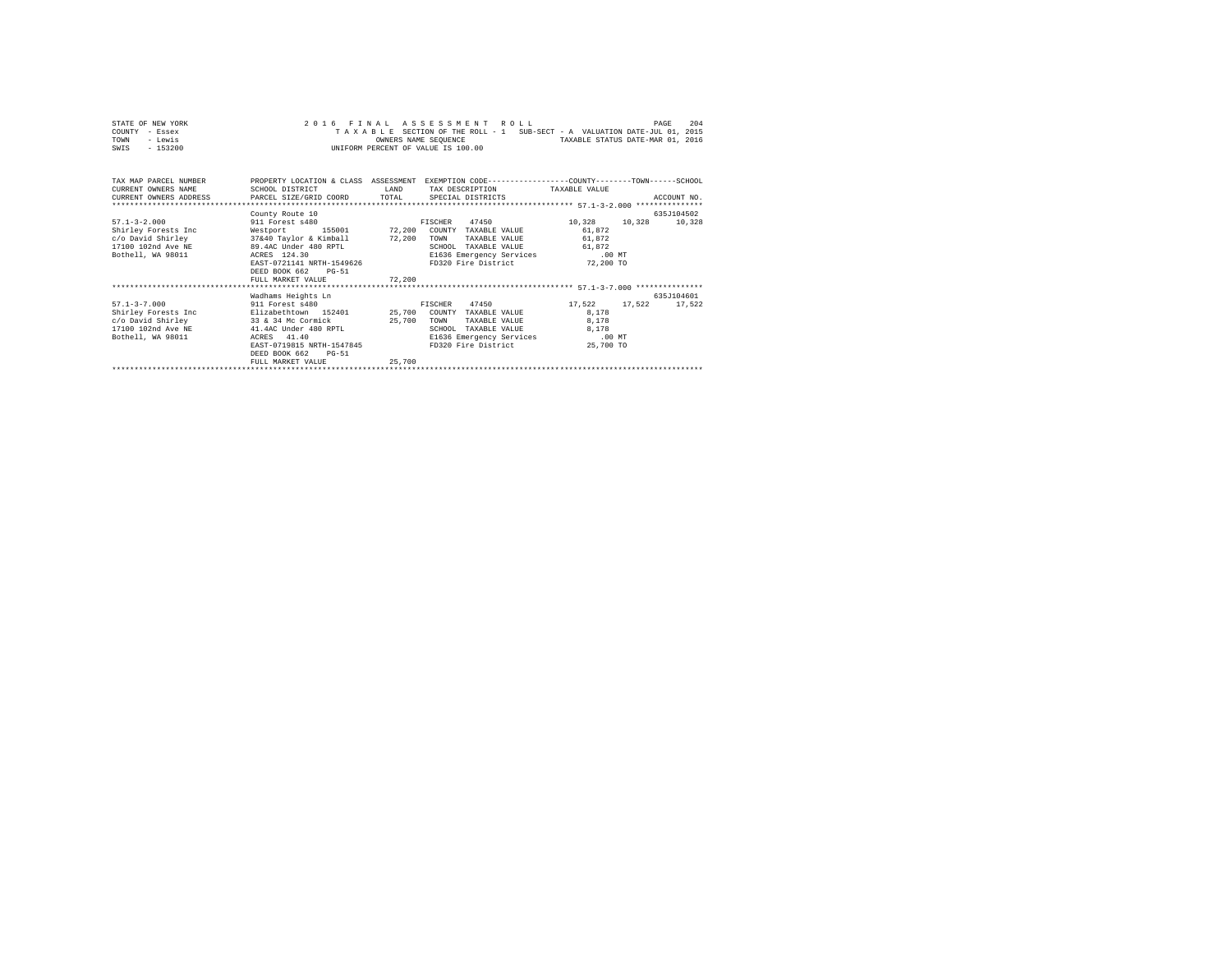| STATE OF NEW YORK | 2016 FINAL ASSESSMENT ROLL                                               | PAGE | 204 |
|-------------------|--------------------------------------------------------------------------|------|-----|
| COUNTY - Essex    | TAXABLE SECTION OF THE ROLL - 1 SUB-SECT - A VALUATION DATE-JUL 01, 2015 |      |     |
| TOWN<br>- Lewis   | TAXABLE STATUS DATE-MAR 01, 2016<br>OWNERS NAME SEOUENCE                 |      |     |
| - 153200<br>SWIS  | UNIFORM PERCENT OF VALUE IS 100.00                                       |      |     |

| TAX MAP PARCEL NUMBER<br>CURRENT OWNERS NAME<br>CURRENT OWNERS ADDRESS PARCEL SIZE/GRID COORD TOTAL                                              | SCHOOL DISTRICT                                                                                                                                                                                                                         | LAND                       | PROPERTY LOCATION & CLASS ASSESSMENT EXEMPTION CODE----------------COUNTY-------TOWN------SCHOOL<br>TAX DESCRIPTION TAXABLE VALUE<br>SPECIAL DISTRICTS |                                                                      | ACCOUNT NO.          |
|--------------------------------------------------------------------------------------------------------------------------------------------------|-----------------------------------------------------------------------------------------------------------------------------------------------------------------------------------------------------------------------------------------|----------------------------|--------------------------------------------------------------------------------------------------------------------------------------------------------|----------------------------------------------------------------------|----------------------|
| $57.1 - 3 - 2.000$<br>Shirley Forests Inc<br>c/o David Shirley<br>17100 102nd Ave NE<br>Bothell, WA 98011                                        | County Route 10<br>911 Forest s480<br>155001 72,200<br>Westport<br>37&40 Taylor & Kimball 72,200<br>89.4AC Under 480 RPTL<br>ACRES 124.30<br>ACRES 124.30<br>EAST-0721141 NRTH-1549626<br>DEED BOOK 662<br>$PG-51$<br>FULL MARKET VALUE | 72,200                     | 47450<br>FISCHER<br>COUNTY TAXABLE VALUE<br>TOWN<br>TAXABLE VALUE<br>SCHOOL<br>TAXABLE VALUE<br>E1636 Emergency Services<br>FD320 Fire District        | 10,328<br>10,328<br>61,872<br>61.872<br>61.872<br>.00MT<br>72,200 TO | 635J104502<br>10,328 |
| $57.1 - 3 - 7.000$<br>911 Forest \$480<br>Shirley Forests Inc<br>c/o David Shirley 33 & 34 Mc Cormick<br>17100 102nd Ave NE<br>Bothell, WA 98011 | Wadhams Heights Ln<br>Elizabethtown 152401<br>41.4AC Under 480 RPTL<br>ACRES 41.40<br>EAST-0719815 NRTH-1547845<br>DEED BOOK 662<br>$PG-51$<br>FULL MARKET VALUE                                                                        | 25,700<br>25,700<br>25,700 | 47450<br>FISCHER<br>COUNTY TAXABLE VALUE<br>TOWN<br>TAXABLE VALUE<br>SCHOOL<br>TAXABLE VALUE<br>E1636 Emergency Services<br>FD320 Fire District        | 17.522<br>17.522<br>8,178<br>8,178<br>8,178<br>.00MT<br>25,700 TO    | 635J104601<br>17.522 |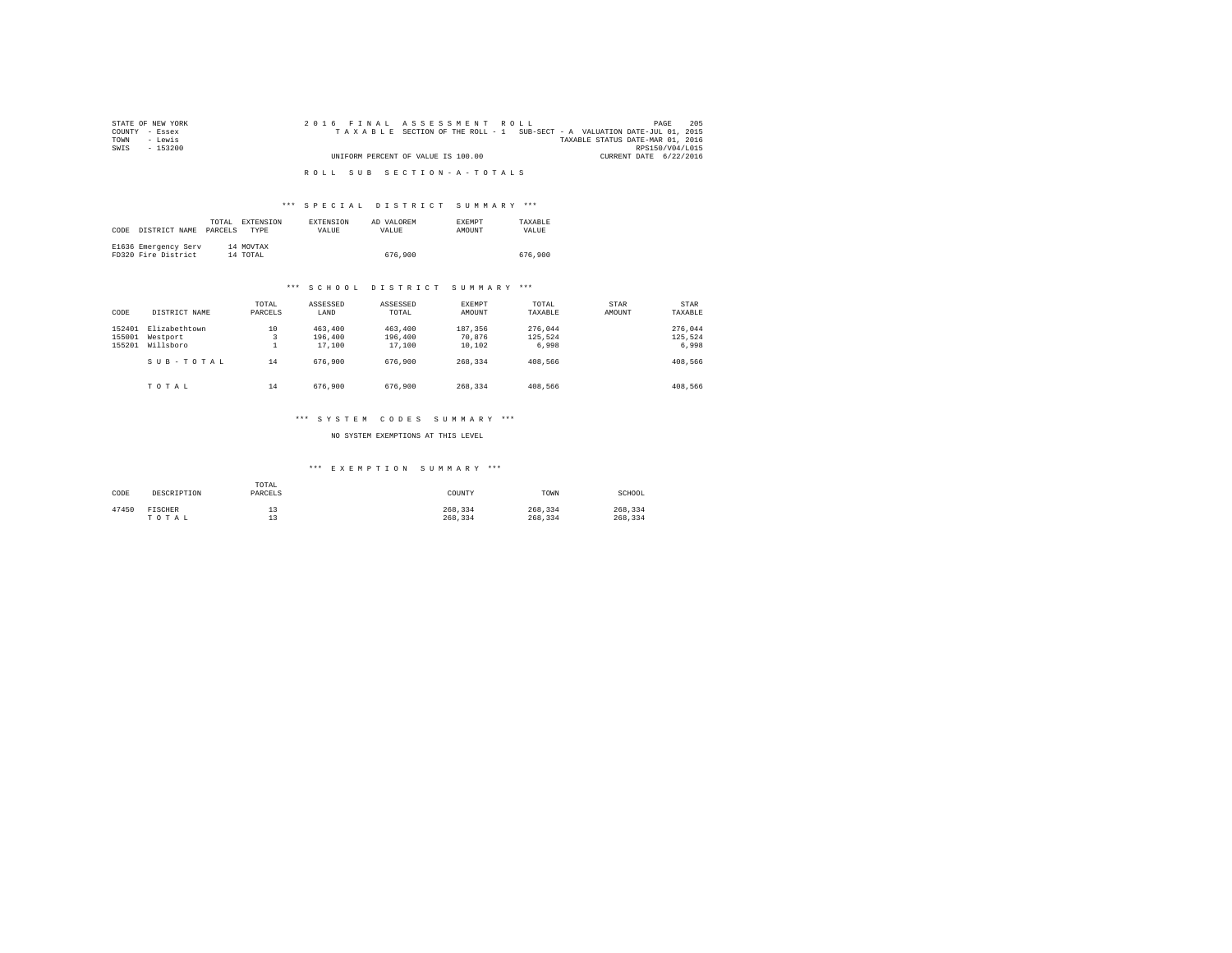| STATE OF NEW YORK | 205<br>2016 FINAL ASSESSMENT ROLL<br>PAGE                                |  |
|-------------------|--------------------------------------------------------------------------|--|
| COUNTY - Essex    | TAXABLE SECTION OF THE ROLL - 1 SUB-SECT - A VALUATION DATE-JUL 01, 2015 |  |
| TOWN<br>siwe.T    | TAXABLE STATUS DATE-MAR 01, 2016                                         |  |
| SWIS<br>$-153200$ | RPS150/V04/L015                                                          |  |
|                   | UNIFORM PERCENT OF VALUE IS 100.00<br>CURRENT DATE 6/22/2016             |  |
|                   |                                                                          |  |
|                   | ROLL SUB SECTION-A-TOTALS                                                |  |

# \*\*\* S P E C I A L D I S T R I C T S U M M A R Y \*\*\*

| CODE | DISTRICT NAME                               | TOTAL.<br>PARCELS | EXTENSION<br><b>TYPE</b> | EXTENSION<br>VALUE | AD VALOREM<br>VALUE | <b>EXEMPT</b><br>AMOUNT | TAXARLE<br>VALUE |
|------|---------------------------------------------|-------------------|--------------------------|--------------------|---------------------|-------------------------|------------------|
|      | E1636 Emergency Serv<br>FD320 Fire District |                   | 14 MOVTAX<br>14 TOTAL    |                    | 676,900             |                         | 676,900          |

### \*\*\* S C H O O L D I S T R I C T S U M M A R Y \*\*\*

| CODE                       | DISTRICT NAME                          | TOTAL<br>PARCELS | ASSESSED<br>LAND             | ASSESSED<br>TOTAL            | EXEMPT<br>AMOUNT            | TOTAL<br>TAXABLE            | STAR<br>AMOUNT | STAR<br>TAXABLE             |
|----------------------------|----------------------------------------|------------------|------------------------------|------------------------------|-----------------------------|-----------------------------|----------------|-----------------------------|
| 152401<br>155001<br>155201 | Elizabethtown<br>Westport<br>Willsboro | 10<br>3          | 463,400<br>196,400<br>17,100 | 463,400<br>196,400<br>17,100 | 187.356<br>70.876<br>10,102 | 276,044<br>125.524<br>6,998 |                | 276,044<br>125.524<br>6.998 |
|                            | SUB-TOTAL                              | 14               | 676,900                      | 676,900                      | 268.334                     | 408,566                     |                | 408,566                     |
|                            | TOTAL                                  | 14               | 676,900                      | 676,900                      | 268.334                     | 408,566                     |                | 408,566                     |

## \*\*\* S Y S T E M C O D E S S U M M A R Y \*\*\*

### NO SYSTEM EXEMPTIONS AT THIS LEVEL

## \*\*\* E X E M P T I O N S U M M A R Y \*\*\*

| CODE  | DESCRIPTION | TOTAL<br>PARCELS | COUNTY  | TOWN    | SCHOOL  |
|-------|-------------|------------------|---------|---------|---------|
| 47450 | FISCHER     | --               | 268.334 | 268.334 | 268.334 |
|       | TOTAL       | --               | 268.334 | 268.334 | 268.334 |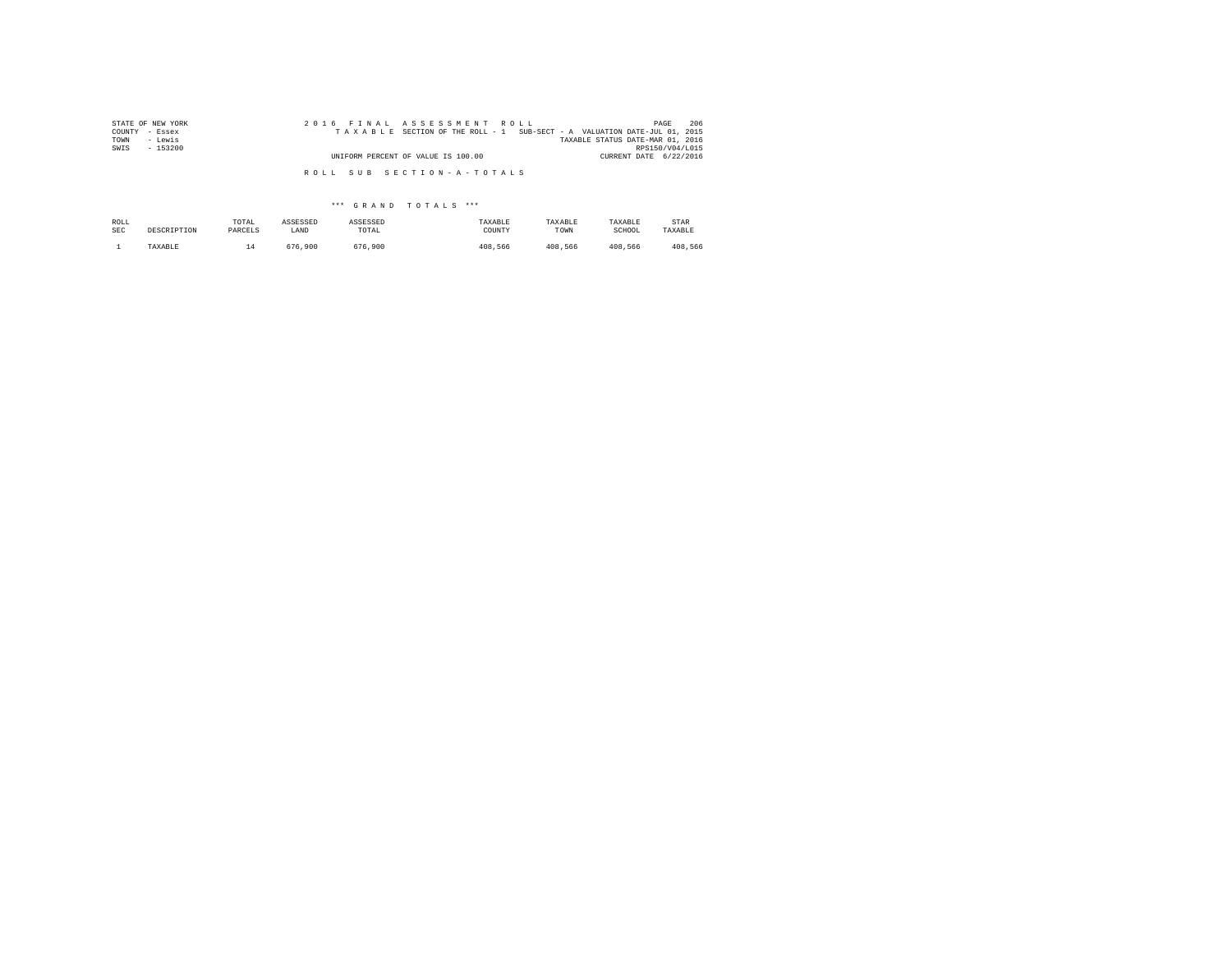| STATE OF NEW YORK | 2016 FINAL ASSESSMENT ROLL                                               | 206<br>PAGE                      |
|-------------------|--------------------------------------------------------------------------|----------------------------------|
| COUNTY - Essex    | TAXABLE SECTION OF THE ROLL - 1 SUB-SECT - A VALUATION DATE-JUL 01, 2015 |                                  |
| - Lewis<br>TOWN   |                                                                          | TAXABLE STATUS DATE-MAR 01, 2016 |
| SWIS<br>$-153200$ |                                                                          | RPS150/V04/L015                  |
|                   | UNIFORM PERCENT OF VALUE IS 100.00                                       | CURRENT DATE 6/22/2016           |
|                   | ROLL SUB SECTION-A-TOTALS                                                |                                  |

\*\*\* G R A N D T O T A L S \*\*\*

| ROLL | DESCRIPTION | TOTAL   | ASSESSED | ASSESSED | TAXABLE | TAXABLE | TAXABLE | <b>STAR</b> |
|------|-------------|---------|----------|----------|---------|---------|---------|-------------|
| SEC  |             | PARCELS | LAND     | TOTAL    | COUNTY  | TOWN    | SCHOOL  | TAXABLE     |
|      | TAXABLE     | ∸       | 676.900  | 676.900  | 408,566 | 408.566 | 408.566 | 408.566     |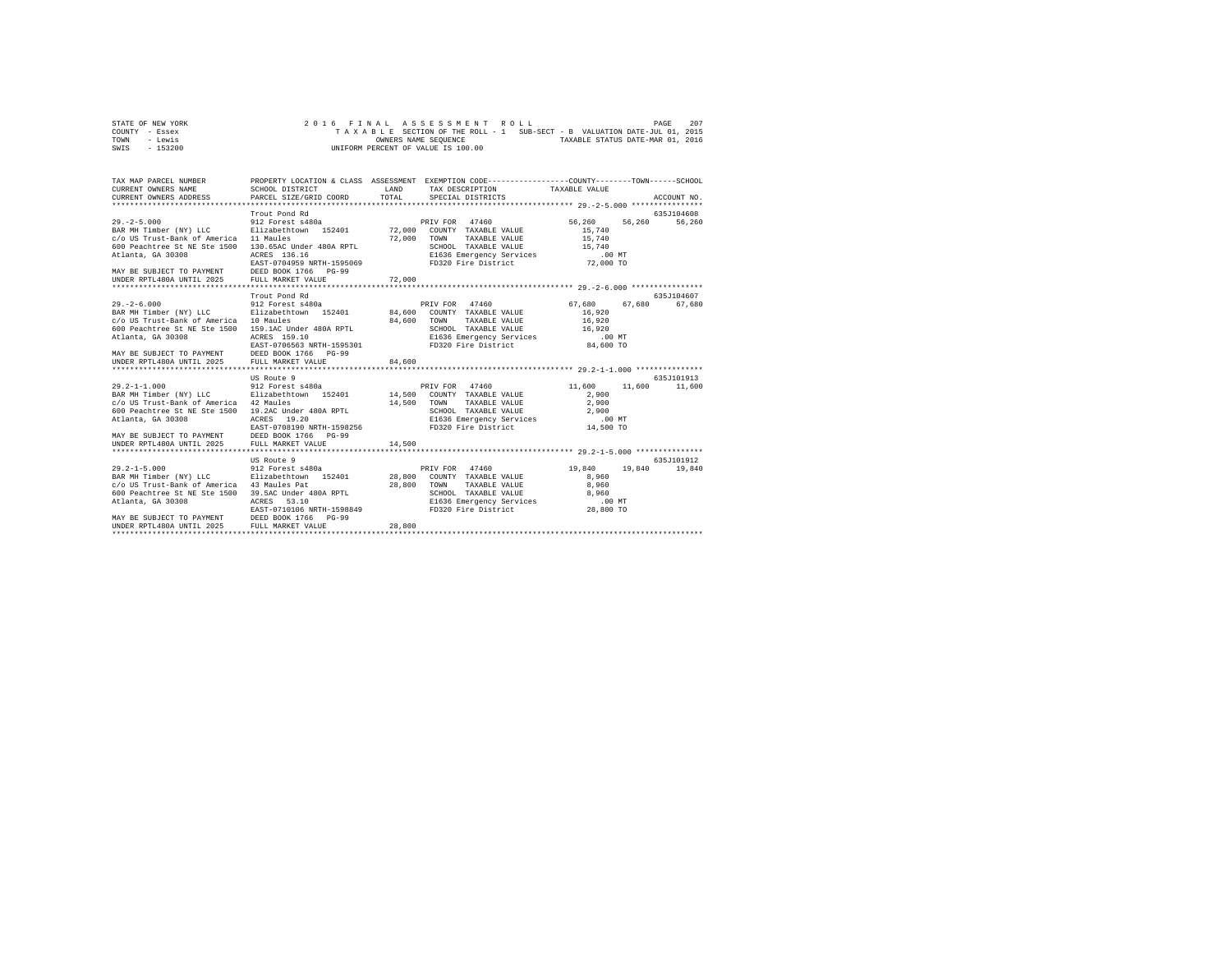| STATE OF NEW YORK | 2016 FINAL ASSESSMENT ROLL                                               | 207<br>PAGE                      |
|-------------------|--------------------------------------------------------------------------|----------------------------------|
| COUNTY - Essex    | TAXABLE SECTION OF THE ROLL - 1 SUB-SECT - B VALUATION DATE-JUL 01, 2015 |                                  |
| TOWN<br>- Lewis   | OWNERS NAME SEOUENCE                                                     | TAXABLE STATUS DATE-MAR 01, 2016 |
| - 153200<br>SWIS  | UNIFORM PERCENT OF VALUE IS 100.00                                       |                                  |

| SCHOOL DISTRICT                                                                | LAND<br>TOTAL                                                                                                                                                                                                                                                                                                                                                                                                                                                                                                                                                                                                                                                                                                                                                                                                      | SPECIAL DISTRICTS                                                                                       |                                                                                                                                                                                                                                                                       | ACCOUNT NO.                                                                                                                                                                                                                                                                                                                                                                                                                                                       |
|--------------------------------------------------------------------------------|--------------------------------------------------------------------------------------------------------------------------------------------------------------------------------------------------------------------------------------------------------------------------------------------------------------------------------------------------------------------------------------------------------------------------------------------------------------------------------------------------------------------------------------------------------------------------------------------------------------------------------------------------------------------------------------------------------------------------------------------------------------------------------------------------------------------|---------------------------------------------------------------------------------------------------------|-----------------------------------------------------------------------------------------------------------------------------------------------------------------------------------------------------------------------------------------------------------------------|-------------------------------------------------------------------------------------------------------------------------------------------------------------------------------------------------------------------------------------------------------------------------------------------------------------------------------------------------------------------------------------------------------------------------------------------------------------------|
| Trout Pond Rd<br>ACRES 136.16                                                  | 72,000                                                                                                                                                                                                                                                                                                                                                                                                                                                                                                                                                                                                                                                                                                                                                                                                             | TOWN<br>TAXABLE VALUE                                                                                   | 56,260<br>56,260<br>15,740<br>15,740                                                                                                                                                                                                                                  | 635J104608<br>56.260                                                                                                                                                                                                                                                                                                                                                                                                                                              |
|                                                                                |                                                                                                                                                                                                                                                                                                                                                                                                                                                                                                                                                                                                                                                                                                                                                                                                                    |                                                                                                         |                                                                                                                                                                                                                                                                       |                                                                                                                                                                                                                                                                                                                                                                                                                                                                   |
| ACRES 159.10<br>DEED BOOK 1766 PG-99                                           | 84,600                                                                                                                                                                                                                                                                                                                                                                                                                                                                                                                                                                                                                                                                                                                                                                                                             | COUNTY TAXABLE VALUE<br>TOWN<br>TAXABLE VALUE                                                           | 67.680<br>16,920<br>16,920<br>16,920                                                                                                                                                                                                                                  | 635J104607<br>67,680 67,680                                                                                                                                                                                                                                                                                                                                                                                                                                       |
| 19.20<br>ACRES<br>DEED BOOK 1766<br>$PG-99$<br>FULL MARKET VALUE               | 14,500                                                                                                                                                                                                                                                                                                                                                                                                                                                                                                                                                                                                                                                                                                                                                                                                             | COUNTY TAXABLE VALUE<br>TAXABLE VALUE<br>TOWN<br>SCHOOL TAXABLE VALUE                                   | 11,600<br>11,600<br>2,900<br>2,900<br>2,900<br>$.00$ MT<br>14,500 TO                                                                                                                                                                                                  | 635J101913<br>11,600                                                                                                                                                                                                                                                                                                                                                                                                                                              |
| US Route 9<br>ACRES<br>53.10<br>EAST-0710106 NRTH-1598849<br>FULL MARKET VALUE | 28,800                                                                                                                                                                                                                                                                                                                                                                                                                                                                                                                                                                                                                                                                                                                                                                                                             | COUNTY TAXABLE VALUE<br>TOWN<br>TAXABLE VALUE                                                           | 19,840<br>19,840<br>8,960<br>8,960                                                                                                                                                                                                                                    | 635.T101912<br>19,840                                                                                                                                                                                                                                                                                                                                                                                                                                             |
|                                                                                | CURRENT OWNERS ADDRESS PARCEL SIZE/GRID COORD<br>912 Forest s480a<br>Elizabethtown 152401<br>c/o US Trust-Bank of America 11 Maules<br>130.65AC Under 480A RPTL<br>MAY BE SUBJECT TO PAYMENT DEED BOOK 1766 PG-99<br>UNDER RPTL480A UNTIL 2025 FULL MARKET VALUE<br>Trout Pond Rd<br>912 Forest s480a<br>c/o US Trust-Bank of America 10 Maules<br>600 Peachtree St NE Ste 1500 159.1AC Under 480A RPTL<br>MAY BE SUBJECT TO PAYMENT DEED BOOK 1766 I<br>UNDER RPTL480A UNTIL 2025 FULL MARKET VALUE<br>US Route 9<br>912 Forest s480a<br>c/o US Trust-Bank of America 42 Maules<br>19.2AC Under 480A RPTL<br>MAY BE SUBJECT TO PAYMENT<br>912 Forest s480a<br>c/o US Trust-Bank of America 43 Maules Pat<br>600 Peachtree St NE Ste 1500 39.5AC Under 480A RPTL<br>MAY BE SUBJECT TO PAYMENT DEED BOOK 1766 PG-99 | Elizabethtown 152401 14,500<br>EAST-0708190 NRTH-1598256<br>BAR MH Timber (NY) LLC Elizabethtown 152401 | PRIV FOR 47460<br>72,000 COUNTY TAXABLE VALUE<br>72,000<br>EAST-0704959 NRTH-1595069<br>PRIV FOR 47460<br>BAR MH Timber (NY) LLC Blizabethtown 152401 84,600<br>84,600<br>EAST-0706563 NRTH-1595301<br>PRIV FOR 47460<br>14,500<br>PRIV FOR 47460<br>28,800<br>28,800 | PROPERTY LOCATION & CLASS ASSESSMENT EXEMPTION CODE----------------COUNTY-------TOWN------SCHOOL<br>TAX DESCRIPTION TAXABLE VALUE<br>TOWN Innovaria (1976)<br>SCHOOL TAXABLE VALUE<br>E1636 Emergency Services (1972,000 TO<br>200 Time District (22,000 TO<br>SCHOOL TAXABLE VALUE 16,920<br>E1636 Emergency Services .00 MT<br>FD320 Fire District 84,600 TO<br>SCHOOL TAXABLE VALUE<br>E1636 Emergency Services<br>FD320 Fire District<br>SCHOOL TAXABLE VALUE |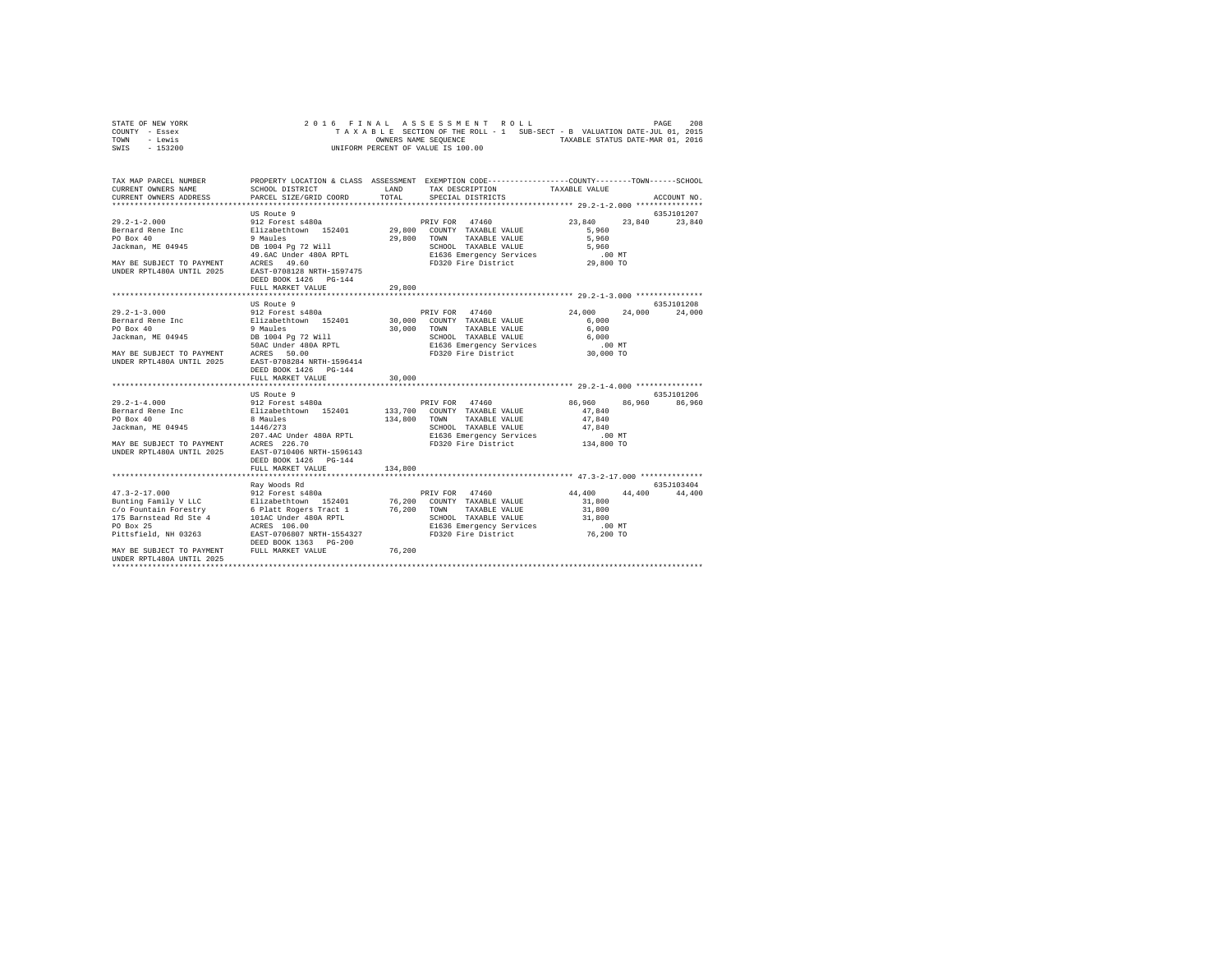| STATE OF NEW YORK |  |  | 2016 FINAL ASSESSMENT ROLL                                               |  |  |                                  | PAGE | 208 |
|-------------------|--|--|--------------------------------------------------------------------------|--|--|----------------------------------|------|-----|
| COUNTY - Essex    |  |  | TAXABLE SECTION OF THE ROLL - 1 SUB-SECT - B VALUATION DATE-JUL 01, 2015 |  |  |                                  |      |     |
| TOWN<br>- Lewis   |  |  | OWNERS NAME SEOUENCE                                                     |  |  | TAXABLE STATUS DATE-MAR 01, 2016 |      |     |
| $-153200$<br>SWIS |  |  | UNIFORM PERCENT OF VALUE IS 100.00                                       |  |  |                                  |      |     |

| TAX MAP PARCEL NUMBER<br>CURRENT OWNERS NAME<br>CURRENT OWNERS ADDRESS                                                                                                                                                                                                                                                   | SCHOOL DISTRICT<br>PARCEL SIZE/GRID COORD                                        | TOTAL   | PROPERTY LOCATION & CLASS ASSESSMENT EXEMPTION CODE---------------COUNTY-------TOWN-----SCHOOL<br>LAND TAX DESCRIPTION<br>SPECIAL DISTRICTS | TAXABLE VALUE                                                                          | ACCOUNT NO.          |
|--------------------------------------------------------------------------------------------------------------------------------------------------------------------------------------------------------------------------------------------------------------------------------------------------------------------------|----------------------------------------------------------------------------------|---------|---------------------------------------------------------------------------------------------------------------------------------------------|----------------------------------------------------------------------------------------|----------------------|
| UNDER RPTL480A UNTIL 2025 EAST-0708128 NRTH-1597475                                                                                                                                                                                                                                                                      | US Route 9<br>DEED BOOK 1426 PG-144<br>FULL MARKET VALUE                         | 29,800  | 29,800 TOWN TAXABLE VALUE<br>SCROOL TAAADLE VILLES<br>E1636 Emergency Services (1992) 79320 Fire District (29,800 TO                        | 23,840 23,840 23,840<br>5,960<br>5,960<br>5,960                                        | 635J101207           |
|                                                                                                                                                                                                                                                                                                                          | US Route 9<br>DEED BOOK 1426 PG-144<br>FULL MARKET VALUE                         | 30,000  |                                                                                                                                             | 24,000                                                                                 | 635J101208<br>24,000 |
| $29.2 - 1 - 4.000$<br>Bernard Rene Inc<br>PO Box 40<br>Jackman, ME 04945                                                                                                                                                                                                                                                 | US Route 9<br>8 Maules<br>1446/273<br>DEED BOOK 1426 PG-144<br>FULL MARKET VALUE | 134,800 | 134,800 TOWN TAXABLE VALUE<br>SCHOOL TAXABLE VALUE<br>E1636 Emergency Services<br>FD320 Fire District                                       | 86,960 86,960 86,960<br>47.840<br>47.840<br>47.840<br>$.00$ MT<br>00 MT.<br>134,800 TO | 635J101206           |
| 47.3-2-17.000<br>Bunting Pamily V LLC<br>Bunting Pamily V LLC Elizabeth Construct 1980<br>Bunting Pamily V LLC Elizabeth C Platt Rogers Tract 1<br>176,200 TOWN TAXABLE VALUE<br>175 Barnstead Rd Ste 4<br>10100 UNRTH-1554327<br>PO Box 2<br>MAY BE SUBJECT TO PAYMENT FULL MARKET VALUE<br>IINDER RPTL480A IINTIL 2025 | Rav Woods Rd                                                                     | 76,200  |                                                                                                                                             | 44,400 44,400 44,400<br>31,800<br>31,800<br>76,200 TO                                  | 635.7103404          |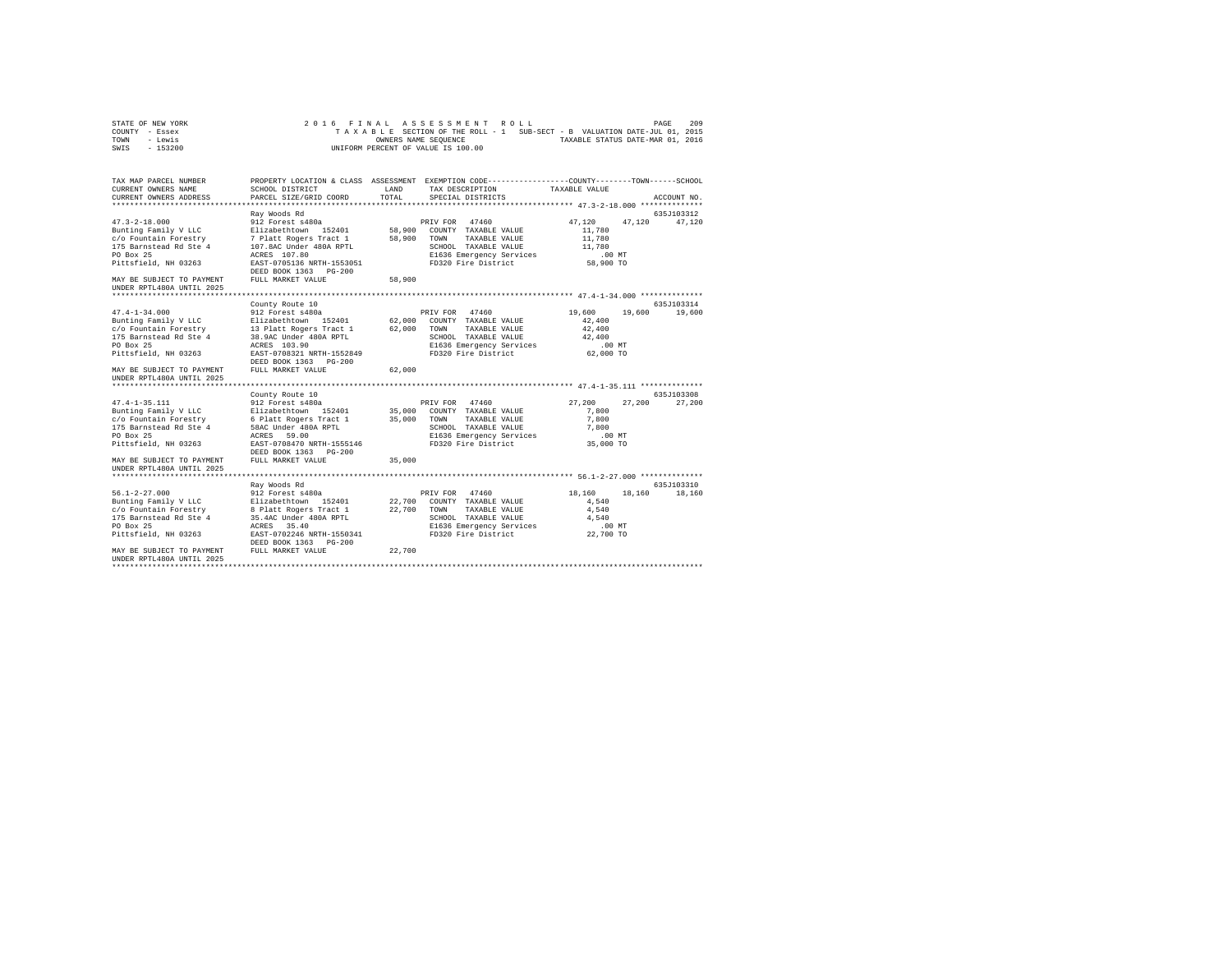| STATE OF NEW YORK | 2016 FINAL ASSESSMENT ROLL                                               | PAGE | 209 |
|-------------------|--------------------------------------------------------------------------|------|-----|
| COUNTY - Essex    | TAXABLE SECTION OF THE ROLL - 1 SUB-SECT - B VALUATION DATE-JUL 01, 2015 |      |     |
| TOWN<br>- Lewis   | TAXABLE STATUS DATE-MAR 01, 2016<br>OWNERS NAME SEOUENCE                 |      |     |
| - 153200<br>SWIS  | UNIFORM PERCENT OF VALUE IS 100.00                                       |      |     |

| TAX MAP PARCEL NUMBER<br>CURRENT OWNERS NAME<br>CURRENT OWNERS ADDRESS                                                                                                                          | SCHOOL DISTRICT<br>PARCEL SIZE/GRID COORD                                                                                                                                                                   | LAND<br>TOTAL              | PROPERTY LOCATION & CLASS ASSESSMENT EXEMPTION CODE----------------COUNTY-------TOWN------SCHOOL<br>TAX DESCRIPTION<br>SPECIAL DISTRICTS      | TAXABLE VALUE                                                           | ACCOUNT NO.           |
|-------------------------------------------------------------------------------------------------------------------------------------------------------------------------------------------------|-------------------------------------------------------------------------------------------------------------------------------------------------------------------------------------------------------------|----------------------------|-----------------------------------------------------------------------------------------------------------------------------------------------|-------------------------------------------------------------------------|-----------------------|
| $47.3 - 2 - 18.000$<br>Bunting Family V LLC<br>c/o Fountain Forestry<br>175 Barnstead Rd Ste 4<br>PO Box 25<br>Pittsfield, NH 03263<br>MAY BE SUBJECT TO PAYMENT<br>UNDER RPTL480A UNTIL 2025   | Rav Woods Rd<br>912 Forest s480a<br>Elizabethtown 152401<br>7 Platt Rogers Tract 1<br>107.8AC Under 480A RPTL<br>ACRES 107.80<br>EAST-0705136 NRTH-1553051<br>DEED BOOK 1363 PG-200<br>FULL MARKET VALUE    | 58,900<br>58,900<br>58,900 | PRIV FOR 47460<br>COUNTY TAXABLE VALUE<br>TOWN<br>TAXABLE VALUE<br>SCHOOL TAXABLE VALUE<br>E1636 Emergency Services<br>FD320 Fire District    | 47.120<br>47.120<br>11,780<br>11,780<br>11,780<br>$.00$ MT<br>58,900 TO | 635J103312<br>47,120  |
| $47.4 - 1 - 34.000$<br>Bunting Family V LLC<br>c/o Fountain Forestry<br>175 Barnstead Rd Ste 4<br>PO Box 25<br>Pittsfield, NH 03263<br>MAY BE SUBJECT TO PAYMENT<br>UNDER RPTL480A UNTIL 2025   | County Route 10<br>912 Forest s480a<br>Elizabethtown 152401<br>13 Platt Rogers Tract 1<br>38.9AC Under 480A RPTL<br>ACRES 103.90<br>EAST-0708321 NRTH-1552849<br>DEED BOOK 1363 PG-200<br>FULL MARKET VALUE | 62,000<br>62,000<br>62,000 | PRIV FOR 47460<br>COUNTY TAXABLE VALUE<br>TOWN<br>TAXABLE VALUE<br>SCHOOL TAXABLE VALUE<br>E1636 Emergency Services<br>FD320 Fire District    | 19,600<br>19,600<br>42,400<br>42,400<br>42,400<br>$.00$ MT<br>62,000 TO | 635J103314<br>19,600  |
| $47.4 - 1 - 35.111$<br>Bunting Family V LLC<br>c/o Fountain Forestry<br>175 Barnstead Rd Ste 4<br>PO Box 25<br>Pittsfield, NH 03263<br>MAY BE SUBJECT TO PAYMENT<br>UNDER RPTL480A UNTIL 2025   | County Route 10<br>912 Forest s480a<br>Elizabethtown 152401<br>6 Platt Rogers Tract 1<br>58AC Under 480A RPTL<br>59.00<br>ACRES<br>EAST-0708470 NRTH-1555146<br>DEED BOOK 1363 PG-200<br>FULL MARKET VALUE  | 35,000<br>35,000<br>35,000 | PRIV FOR 47460<br>COUNTY TAXABLE VALUE<br>TAXABLE VALUE<br>TOWN<br>SCHOOL TAXABLE VALUE<br>E1636 Emergency Services<br>FD320 Fire District    | 27,200<br>27,200<br>7,800<br>7,800<br>7,800<br>.00MT<br>35,000 TO       | 635J103308<br>27,200  |
| $56.1 - 2 - 27.000$<br>Bunting Family V LLC<br>c/o Fountain Forestry<br>175 Barnstead Rd Ste 4<br>PO Box 25<br>Pittsfield, NH 03263<br>MAY BE SUBJECT TO PAYMENT<br>IINDER RPTL480A IINTIL 2025 | Ray Woods Rd<br>912 Forest s480a<br>Elizabethtown 152401<br>8 Platt Rogers Tract 1<br>35.4AC Under 480A RPTL<br>35.40<br>ACRES<br>EAST-0702246 NRTH-1550341<br>DEED BOOK 1363 PG-200<br>FULL MARKET VALUE   | 22,700<br>22,700<br>22,700 | 47460<br>PRIV FOR<br>COUNTY TAXABLE VALUE<br>TAXABLE VALUE<br>TOWN<br>SCHOOL TAXABLE VALUE<br>E1636 Emergency Services<br>FD320 Fire District | 18,160<br>18,160<br>4.540<br>4.540<br>4.540<br>$.00$ MT<br>22,700 TO    | 635.7103310<br>18,160 |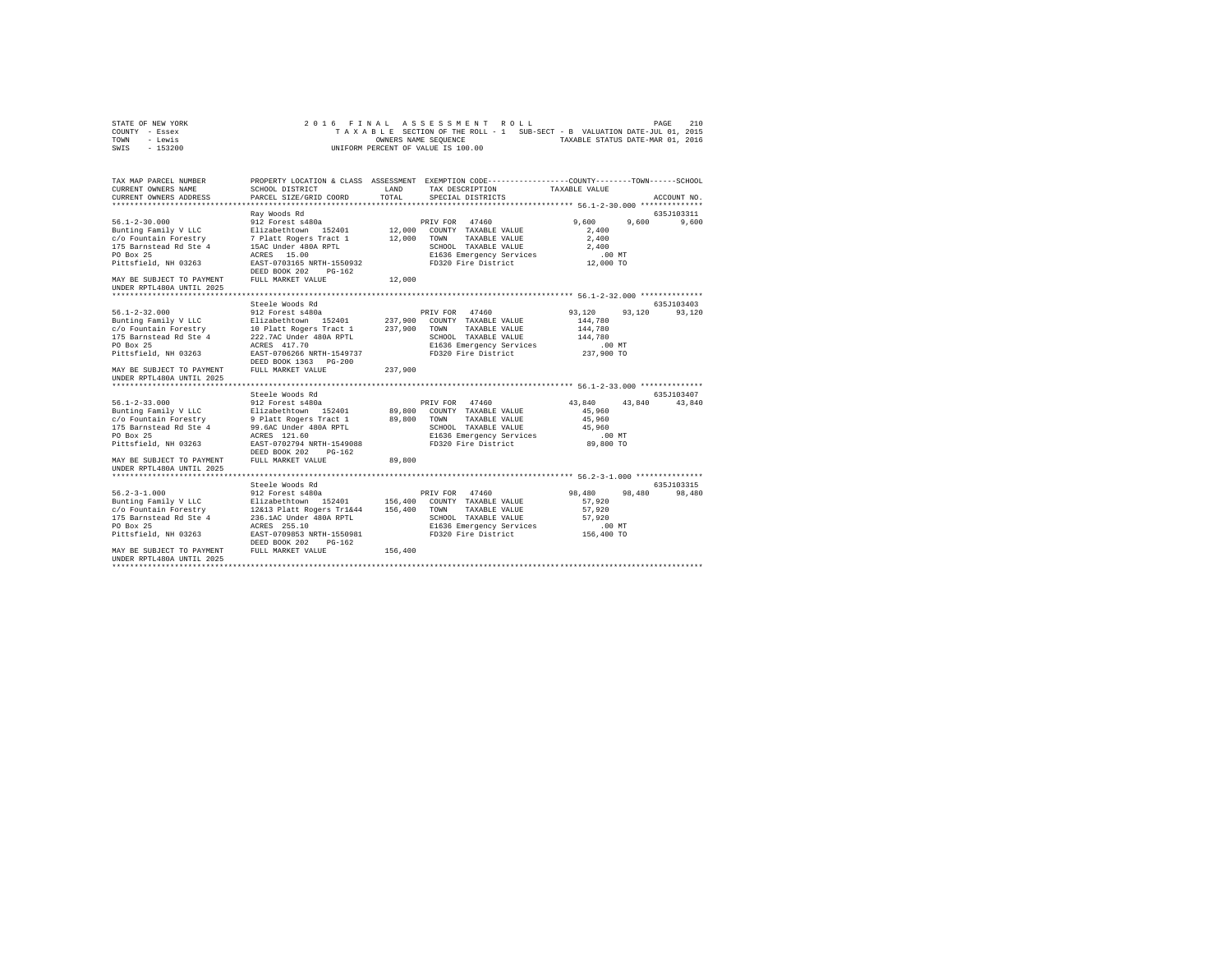| STATE OF NEW YORK | 2016 FINAL ASSESSMENT ROLL                                               | PAGE | 210 |
|-------------------|--------------------------------------------------------------------------|------|-----|
| COUNTY - Essex    | TAXABLE SECTION OF THE ROLL - 1 SUB-SECT - B VALUATION DATE-JUL 01, 2015 |      |     |
| TOWN<br>- Lewis   | TAXABLE STATUS DATE-MAR 01, 2016<br>OWNERS NAME SEOUENCE                 |      |     |
| - 153200<br>SWIS  | UNIFORM PERCENT OF VALUE IS 100.00                                       |      |     |

| TAX MAP PARCEL NUMBER<br>CURRENT OWNERS NAME<br>CURRENT OWNERS ADDRESS                                                                                                                         | SCHOOL DISTRICT<br>PARCEL SIZE/GRID COORD                                                                                                                                                                          | LAND<br>TOTAL                 | PROPERTY LOCATION & CLASS ASSESSMENT EXEMPTION CODE---------------COUNTY-------TOWN-----SCHOOL<br>TAX DESCRIPTION<br>SPECIAL DISTRICTS     | TAXABLE VALUE                                                               | ACCOUNT NO.           |
|------------------------------------------------------------------------------------------------------------------------------------------------------------------------------------------------|--------------------------------------------------------------------------------------------------------------------------------------------------------------------------------------------------------------------|-------------------------------|--------------------------------------------------------------------------------------------------------------------------------------------|-----------------------------------------------------------------------------|-----------------------|
| $56.1 - 2 - 30.000$<br>Bunting Family V LLC<br>c/o Fountain Forestry<br>175 Barnstead Rd Ste 4<br>PO Box 25<br>Pittsfield, NH 03263<br>MAY BE SUBJECT TO PAYMENT<br>UNDER RPTL480A UNTIL 2025  | Rav Woods Rd<br>912 Forest s480a<br>Elizabethtown 152401<br>7 Platt Rogers Tract 1<br>15AC Under 480A RPTL<br>ACRES 15.00<br>EAST-0703165 NRTH-1550932<br>DEED BOOK 202<br>$PG-162$<br>FULL MARKET VALUE           | 12,000<br>12,000<br>12,000    | PRIV FOR 47460<br>COUNTY TAXABLE VALUE<br>TOWN<br>TAXABLE VALUE<br>SCHOOL TAXABLE VALUE<br>E1636 Emergency Services<br>FD320 Fire District | 9.600<br>9.600<br>2,400<br>2,400<br>2,400<br>$.00$ MT<br>12,000 TO          | 635J103311<br>9,600   |
| $56.1 - 2 - 32.000$<br>Bunting Family V LLC<br>c/o Fountain Forestry<br>175 Barnstead Rd Ste 4<br>PO Box 25<br>Pittsfield, NH 03263<br>MAY BE SUBJECT TO PAYMENT<br>UNDER RPTL480A UNTIL 2025  | Steele Woods Rd<br>912 Forest s480a<br>Elizabethtown 152401<br>10 Platt Rogers Tract 1<br>222.7AC Under 480A RPTL<br>ACRES 417.70<br>EAST-0706266 NRTH-1549737<br>DEED BOOK 1363 PG-200<br>FULL MARKET VALUE       | 237,900<br>237,900<br>237,900 | PRIV FOR 47460<br>COUNTY TAXABLE VALUE<br>TOWN<br>TAXABLE VALUE<br>SCHOOL TAXABLE VALUE<br>E1636 Emergency Services<br>FD320 Fire District | 93,120<br>93,120<br>144,780<br>144,780<br>144,780<br>$.00$ MT<br>237,900 TO | 635J103403<br>93,120  |
| $56.1 - 2 - 33.000$<br>Bunting Family V LLC<br>c/o Fountain Forestry<br>175 Barnstead Rd Ste 4<br>PO Box 25<br>Pittsfield, NH 03263<br>MAY BE SUBJECT TO PAYMENT<br>UNDER RPTL480A UNTIL 2025  | Steele Woods Rd<br>912 Forest s480a<br>Elizabethtown 152401<br>9 Platt Rogers Tract 1<br>99.6AC Under 480A RPTL<br>ACRES 121.60<br>EAST-0702794 NRTH-1549088<br>DEED BOOK 202<br>$PG-162$<br>FULL MARKET VALUE     | 89,800<br>89,800<br>89,800    | PRIV FOR 47460<br>COUNTY TAXABLE VALUE<br>TOWN<br>TAXABLE VALUE<br>SCHOOL TAXABLE VALUE<br>E1636 Emergency Services<br>FD320 Fire District | 43,840<br>43,840<br>45,960<br>45,960<br>45,960<br>.00MT<br>89,800 TO        | 635J103407<br>43,840  |
| $56.2 - 3 - 1.000$<br>Bunting Family V LLC<br>c/o Fountain Forestry<br>175 Barnstead Rd Ste 4<br>PO Box 25<br>Pittsfield, NH 03263<br>MAY BE SUBJECT TO PAYMENT<br>IINDER RPTL480A IINTIL 2025 | Steele Woods Rd<br>912 Forest s480a<br>Elizabethtown 152401<br>12&13 Platt Rogers Tr1&44<br>236.1AC Under 480A RPTL<br>ACRES 255.10<br>EAST-0709853 NRTH-1550981<br>DEED BOOK 202<br>$PG-162$<br>FULL MARKET VALUE | 156,400<br>156,400<br>156,400 | PRIV FOR 47460<br>COUNTY TAXABLE VALUE<br>TAXABLE VALUE<br>TOWN<br>SCHOOL TAXABLE VALUE<br>E1636 Emergency Services<br>FD320 Fire District | 98,480<br>98,480<br>57.920<br>57.920<br>57.920<br>$.00$ MT<br>156,400 TO    | 635.7103315<br>98,480 |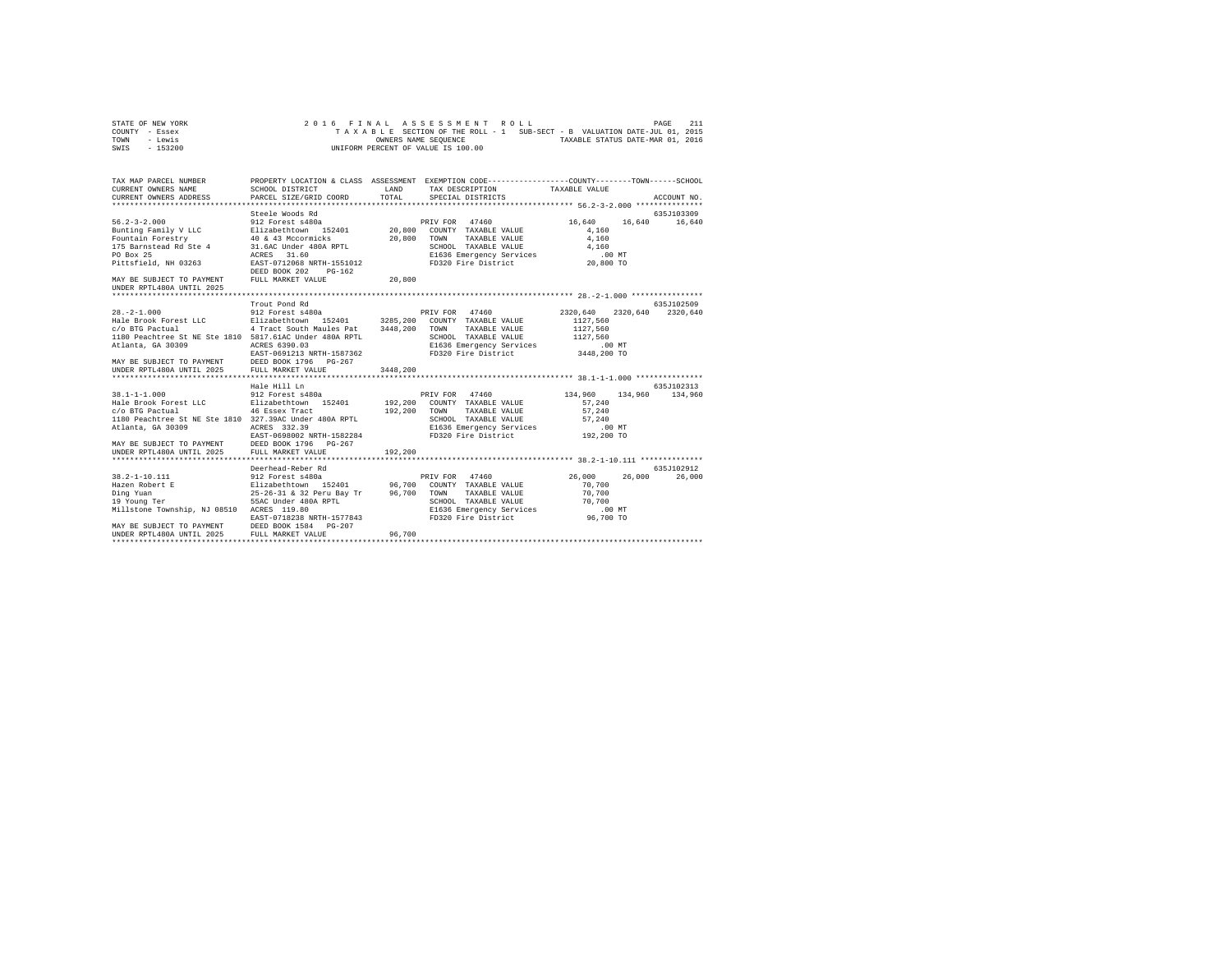| STATE OF NEW YORK | 2016 FINAL ASSESSMENT ROLL                                               | 2.1.1<br>PAGE                    |
|-------------------|--------------------------------------------------------------------------|----------------------------------|
| COUNTY - Essex    | TAXABLE SECTION OF THE ROLL - 1 SUB-SECT - B VALUATION DATE-JUL 01, 2015 |                                  |
| TOWN<br>- Lewis   | OWNERS NAME SEOUENCE                                                     | TAXABLE STATUS DATE-MAR 01, 2016 |
| - 153200<br>SWIS  | UNIFORM PERCENT OF VALUE IS 100.00                                       |                                  |

| TAX MAP PARCEL NUMBER<br>CURRENT OWNERS NAME                                                                                                                                                                                                   |                                                                                                                                                                                                                                            | <b>T.AND</b> | PROPERTY LOCATION & CLASS ASSESSMENT EXEMPTION CODE----------------COUNTY-------TOWN-----SCHOOL<br>TAX DESCRIPTION TAXABLE VALUE |                  |                   |
|------------------------------------------------------------------------------------------------------------------------------------------------------------------------------------------------------------------------------------------------|--------------------------------------------------------------------------------------------------------------------------------------------------------------------------------------------------------------------------------------------|--------------|----------------------------------------------------------------------------------------------------------------------------------|------------------|-------------------|
|                                                                                                                                                                                                                                                |                                                                                                                                                                                                                                            |              |                                                                                                                                  |                  |                   |
|                                                                                                                                                                                                                                                | Steele Woods Rd                                                                                                                                                                                                                            |              |                                                                                                                                  |                  | 635J103309        |
| $56.2 - 3 - 2.000$                                                                                                                                                                                                                             | 912 Forest s480a                                                                                                                                                                                                                           |              | PRIV FOR 47460                                                                                                                   | 16,640           | 16,640 16,640     |
|                                                                                                                                                                                                                                                |                                                                                                                                                                                                                                            |              |                                                                                                                                  | 4,160            |                   |
|                                                                                                                                                                                                                                                |                                                                                                                                                                                                                                            |              |                                                                                                                                  | 4,160            |                   |
|                                                                                                                                                                                                                                                |                                                                                                                                                                                                                                            |              |                                                                                                                                  | 4,160            |                   |
| 901.4-3-21000<br>Elizabeth (1940)<br>Fountain Power Parameter (1940)<br>1918 - Alixabeth (1940)<br>20,800 COUNTY TAXABLE VALUE<br>PO Box 25 (1940)<br>20,800 TOUNTY TAXABLE VALUE<br>175 Barnsted Rd Ste 4 31,64C Under 480A RPTL<br>PO Box 25 |                                                                                                                                                                                                                                            |              | E1636 Emergency Services 1999<br>FD320 Fire District 20,800 TO                                                                   |                  |                   |
| Pittsfield, NH 03263                                                                                                                                                                                                                           | EAST-0712068 NRTH-1551012<br>DEED BOOK 202<br>$PG-162$                                                                                                                                                                                     |              |                                                                                                                                  |                  |                   |
| MAY BE SUBJECT TO PAYMENT<br>UNDER RPTL480A UNTIL 2025                                                                                                                                                                                         | FULL MARKET VALUE                                                                                                                                                                                                                          | 20,800       |                                                                                                                                  |                  |                   |
|                                                                                                                                                                                                                                                |                                                                                                                                                                                                                                            |              |                                                                                                                                  |                  |                   |
|                                                                                                                                                                                                                                                |                                                                                                                                                                                                                                            |              |                                                                                                                                  |                  | 635J102509        |
|                                                                                                                                                                                                                                                |                                                                                                                                                                                                                                            |              |                                                                                                                                  | 2320.640         | 2320.640 2320.640 |
|                                                                                                                                                                                                                                                |                                                                                                                                                                                                                                            |              |                                                                                                                                  | 1127.560         |                   |
|                                                                                                                                                                                                                                                |                                                                                                                                                                                                                                            |              | TAXABLE VALUE                                                                                                                    | 1127,560         |                   |
| 1180 Peachtree St NE Ste 1810 5817.61AC Under 480A RPTL                                                                                                                                                                                        |                                                                                                                                                                                                                                            |              | SCHOOL TAXABLE VALUE 1127,560<br>E1636 Emergency Services 00 MT                                                                  |                  |                   |
| Atlanta, GA 30309                                                                                                                                                                                                                              | ACRES 6390.03                                                                                                                                                                                                                              |              |                                                                                                                                  |                  |                   |
|                                                                                                                                                                                                                                                |                                                                                                                                                                                                                                            |              | FD320 Fire District 3448,200 TO                                                                                                  |                  |                   |
| EAST-0691213 NRTH-1587362<br>UNDER RPEL480A UNTEL DEED BOOK 1796 PG-267<br>UNDER RPEL480A UNTEL 2025 FULL MARKET VALUE                                                                                                                         |                                                                                                                                                                                                                                            |              |                                                                                                                                  |                  |                   |
|                                                                                                                                                                                                                                                |                                                                                                                                                                                                                                            | 3448.200     |                                                                                                                                  |                  |                   |
|                                                                                                                                                                                                                                                |                                                                                                                                                                                                                                            |              |                                                                                                                                  |                  |                   |
|                                                                                                                                                                                                                                                | Hale Hill Ln                                                                                                                                                                                                                               |              |                                                                                                                                  |                  | 635J102313        |
| $38.1 - 1 - 1.000$                                                                                                                                                                                                                             |                                                                                                                                                                                                                                            |              | 912 Forest s480a <b>134,960</b> PRIV FOR 47460 134,960 134,960                                                                   |                  | 134,960           |
|                                                                                                                                                                                                                                                |                                                                                                                                                                                                                                            |              | TAXABLE VALUE                                                                                                                    | 57.240<br>57,240 |                   |
| 1180 Peachtree St NE Ste 1810 327.39AC Under 480A RPTL                                                                                                                                                                                         |                                                                                                                                                                                                                                            |              |                                                                                                                                  |                  |                   |
| Atlanta, GA 30309                                                                                                                                                                                                                              | ACRES 332.39                                                                                                                                                                                                                               |              | SCHOOL TAXABLE VALUE 57,240                                                                                                      |                  |                   |
|                                                                                                                                                                                                                                                | EAST-0698002 NRTH-1582284                                                                                                                                                                                                                  |              |                                                                                                                                  |                  |                   |
|                                                                                                                                                                                                                                                |                                                                                                                                                                                                                                            |              |                                                                                                                                  |                  |                   |
| MAY BE SUBJECT TO PAYMENT DEED BOOK 1796 PG-267<br>UNDER RPTL480A UNTIL 2025 FULL MARKET VALUE                                                                                                                                                 |                                                                                                                                                                                                                                            | 192,200      |                                                                                                                                  |                  |                   |
|                                                                                                                                                                                                                                                | Deerhead-Reber Rd                                                                                                                                                                                                                          |              |                                                                                                                                  |                  | 635J102912        |
| 38.2-1-10.111                                                                                                                                                                                                                                  | 912 Forest s480a                                                                                                                                                                                                                           |              | PRIV FOR 47460                                                                                                                   | 26,000<br>26,000 | 26,000            |
| Hazen Robert E                                                                                                                                                                                                                                 |                                                                                                                                                                                                                                            |              |                                                                                                                                  | 70,700           |                   |
| Ding Yuan                                                                                                                                                                                                                                      |                                                                                                                                                                                                                                            |              | TAXABLE VALUE                                                                                                                    | 70,700           |                   |
| 19 Young Ter                                                                                                                                                                                                                                   | L Place Sous Space 152401<br>E Elizabethtown 152401 96,700 COUNTY TAXABLE VALUE<br>25-26-31 & 32 Peru Bay Tr 96,700 TOWN TAXABLE VALUE<br>SSEC Under 480A RPTL STARBLE VALUE<br>SCHOOL TAXABLE VALUE<br>SCHOOL TAXABLE VALUE<br>SCHOOL TAX |              |                                                                                                                                  | 70,700           |                   |
| Millstone Township, NJ 08510 ACRES 119.80                                                                                                                                                                                                      |                                                                                                                                                                                                                                            |              | SCHOOL TAXABLE VALUE 70,700<br>E1636 Emergency Services .00 MT                                                                   |                  |                   |
|                                                                                                                                                                                                                                                | EAST-0718238 NRTH-1577843                                                                                                                                                                                                                  |              | FD320 Fire District 96,700 TO                                                                                                    |                  |                   |
| MAY BE SUBJECT TO PAYMENT DEED BOOK 1584 PG-207                                                                                                                                                                                                |                                                                                                                                                                                                                                            |              |                                                                                                                                  |                  |                   |
| UNDER RPTL480A UNTIL 2025 FULL MARKET VALUE                                                                                                                                                                                                    |                                                                                                                                                                                                                                            | 96,700       |                                                                                                                                  |                  |                   |
|                                                                                                                                                                                                                                                |                                                                                                                                                                                                                                            |              |                                                                                                                                  |                  |                   |
|                                                                                                                                                                                                                                                |                                                                                                                                                                                                                                            |              |                                                                                                                                  |                  |                   |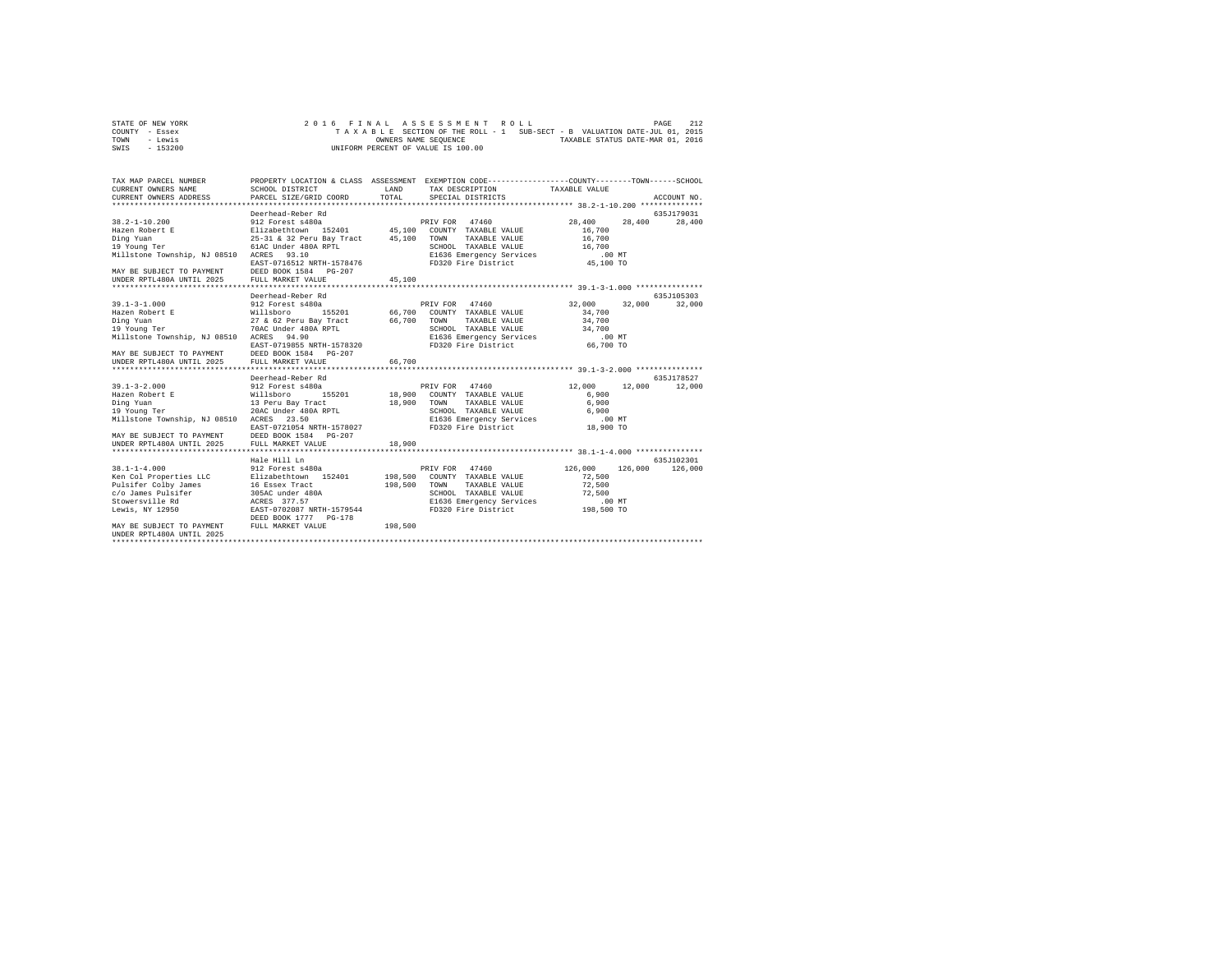| STATE OF NEW YORK | 2016 FINAL ASSESSMENT ROLL                                               | 212<br>PAGE                      |
|-------------------|--------------------------------------------------------------------------|----------------------------------|
| COUNTY - Essex    | TAXABLE SECTION OF THE ROLL - 1 SUB-SECT - B VALUATION DATE-JUL 01, 2015 |                                  |
| TOWN<br>- Lewis   | OWNERS NAME SEOUENCE                                                     | TAXABLE STATUS DATE-MAR 01, 2016 |
| $-153200$<br>SWIS | UNIFORM PERCENT OF VALUE IS 100.00                                       |                                  |

| TAX MAP PARCEL NUMBER<br>CURRENT OWNERS NAME<br>CURRENT OWNERS ADDRESS                                                                                                                                                                       | SCHOOL DISTRICT<br>PARCEL SIZE/GRID COORD                                                                                                                                                   | LAND<br>TOTAL         | PROPERTY LOCATION & CLASS ASSESSMENT EXEMPTION CODE---------------COUNTY-------TOWN------SCHOOL<br>TAX DESCRIPTION<br>SPECIAL DISTRICTS                            | TAXABLE VALUE                                                         | ACCOUNT NO.            |
|----------------------------------------------------------------------------------------------------------------------------------------------------------------------------------------------------------------------------------------------|---------------------------------------------------------------------------------------------------------------------------------------------------------------------------------------------|-----------------------|--------------------------------------------------------------------------------------------------------------------------------------------------------------------|-----------------------------------------------------------------------|------------------------|
| $38.2 - 1 - 10.200$<br>Hazen Robert E<br>Ding Yuan<br>19 Young Ter<br>Millstone Township, NJ 08510 ACRES<br>MAY BE SUBJECT TO PAYMENT DEED BOOK 1584 PG-207<br>UNDER RPTL480A UNTIL 2025 FULL MARKET VALUE                                   | Deerhead-Reber Rd<br>912 Forest s480a<br>Elizabethtown 152401 45,100 COUNTY TAXABLE VALUE<br>25-31 & 32 Peru Bay Tract 45,100<br>61AC Under 480A RPTL<br>93.10<br>EAST-0716512 NRTH-1578476 | 45,100                | PRIV FOR 47460<br>TOWN<br>TAXABLE VALUE<br>SCHOOL TAXABLE VALUE<br>E1636 Emergency Services<br>FD320 Fire District                                                 | 28,400<br>28,400<br>16,700<br>16,700<br>16,700<br>.00 MT<br>45,100 TO | 635J179031<br>28,400   |
| $39.1 - 3 - 1.000$<br>Hazen Robert E<br>Ding Yuan<br>19 Young Ter<br>Millstone Township, NJ 08510 ACRES 94.90<br>MAY BE SUBJECT TO PAYMENT DEED BOOK 1584 PG-207<br>UNDER RPTL480A UNTIL 2025 FULL MARKET VALUE<br>UNDER RPTL480A UNTIL 2025 | Deerhead-Reber Rd<br>912 Forest s480a<br>E $\frac{1.5201}{27.62}$ Millsboro 155201<br>27.6.62 Peru Bay Tract<br>70AC Imdex 400 -<br>EAST-0719855 NRTH-1578320<br>FULL MARKET VALUE          | 66,700<br>66,700      | PRIV FOR 47460<br>66.700 COUNTY TAXABLE VALUE<br>TAXABLE VALUE<br>TOWN<br>SCHOOL TAXABLE VALUE<br>E1636 Emergency Services .00 MT<br>FD320 Fire District 66,700 TO | 32,000<br>32,000<br>34,700<br>34,700<br>34,700                        | 635.T105303<br>32,000  |
| $39.1 - 3 - 2.000$<br>Hazen Robert E<br>Ding Yuan<br>19 Young Ter<br>Millstone Township, NJ 08510 ACRES<br>MAY BE SUBJECT TO PAYMENT<br>UNDER RPTL480A UNTIL 2025                                                                            | Deerhead-Reber Rd<br>912 Forest s480a<br>Willsboro<br>13 Peru Bay Tract<br>20AC Under 480A RPTL<br>23.50<br>EAST-0721054 NRTH-1578027<br>DEED BOOK 1584 PG-207<br>FULL MARKET VALUE         | 18,900 TOWN<br>18,900 | PRIV FOR 47460<br>155201 18,900 COUNTY TAXABLE VALUE<br>TAXABLE VALUE<br>SCHOOL TAXABLE VALUE<br>E1636 Emergency Services<br>FD320 Fire District                   | 12,000<br>12,000<br>6,900<br>6,900<br>6,900<br>.00 MT<br>18,900 TO    | 635.T178527<br>12,000  |
| $38.1 - 1 - 4.000$<br>Ken Col Properties LLC<br>Pulsifer Colby James<br>c/o James Pulsifer<br>Stowersville Rd<br>Lewis, NY 12950<br>MAY BE SUBJECT TO PAYMENT<br>UNDER RPTL480A UNTIL 2025                                                   | Hale Hill Ln<br>912 Forest s480a<br>Elizabethtown 152401<br>16 Essex Tract<br>305AC under 480A<br>ACRES 377.57<br>EAST-0702087 NRTH-1579544<br>DEED BOOK 1777 PG-178<br>FULL MARKET VALUE   | 198,500<br>198,500    | 47460<br>PRIV FOR<br>198,500 COUNTY TAXABLE VALUE<br>TOWN<br>TAXABLE VALUE<br>SCHOOL TAXABLE VALUE<br>E1636 Emergency Services<br>FD320 Fire District 198,500 TO   | 126,000<br>126,000<br>72,500<br>72,500<br>72.500<br>$.00$ MT          | 635.T102301<br>126,000 |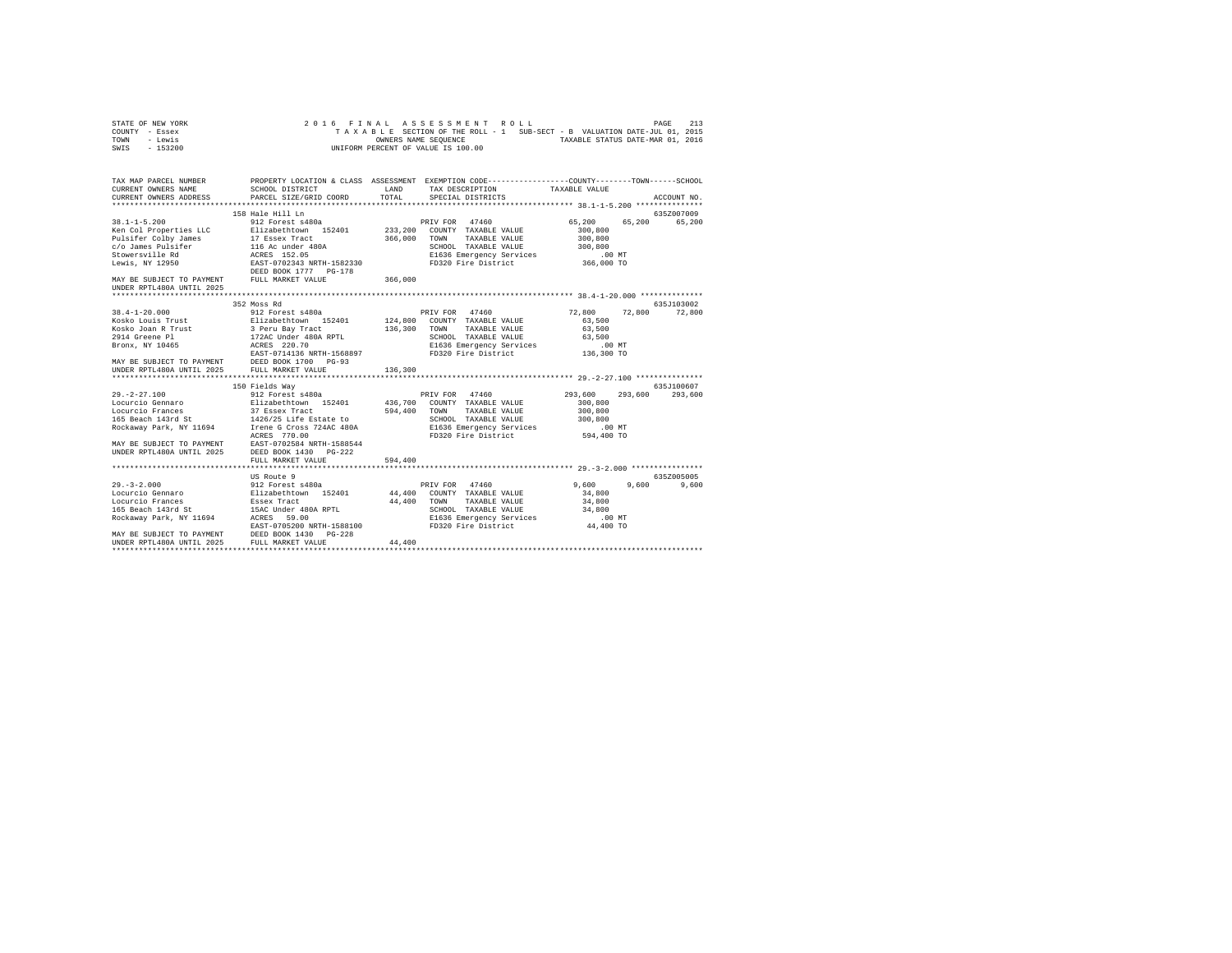| STATE OF NEW YORK |                      | 2016 FINAL ASSESSMENT ROLL                                               |  |  | PAGE | 213 |
|-------------------|----------------------|--------------------------------------------------------------------------|--|--|------|-----|
| COUNTY - Essex    |                      | TAXABLE SECTION OF THE ROLL - 1 SUB-SECT - B VALUATION DATE-JUL 01, 2015 |  |  |      |     |
| TOWN<br>- Lewis   | OWNERS NAME SEOUENCE | TAXABLE STATUS DATE-MAR 01, 2016                                         |  |  |      |     |
| - 153200<br>SWIS  |                      | UNIFORM PERCENT OF VALUE IS 100.00                                       |  |  |      |     |

| TAX MAP PARCEL NUMBER     | PROPERTY LOCATION & CLASS ASSESSMENT EXEMPTION CODE-----------------COUNTY-------TOWN------SCHOOL                                                                                                                                                                                                             |         |                 |            |
|---------------------------|---------------------------------------------------------------------------------------------------------------------------------------------------------------------------------------------------------------------------------------------------------------------------------------------------------------|---------|-----------------|------------|
|                           |                                                                                                                                                                                                                                                                                                               |         |                 |            |
|                           |                                                                                                                                                                                                                                                                                                               |         |                 | 635Z007009 |
|                           |                                                                                                                                                                                                                                                                                                               |         |                 | 65,200     |
|                           |                                                                                                                                                                                                                                                                                                               |         |                 |            |
|                           |                                                                                                                                                                                                                                                                                                               |         |                 |            |
|                           |                                                                                                                                                                                                                                                                                                               |         |                 |            |
|                           |                                                                                                                                                                                                                                                                                                               |         |                 |            |
|                           |                                                                                                                                                                                                                                                                                                               |         |                 |            |
| UNDER RPTL480A UNTIL 2025 | 38.1-1-5.200<br>Xen Col Properties LLC 9121 and the Hill Ln (1920)<br>Xen Col Properties LLC Elizabethtown 152401 233,200 COUNTY TAXABLE VALUE 65,200<br>Pulsifer Colby James 17 Essex Tract 366,000 TOWN TAXABLE VALUE 300,800<br>Sto                                                                        |         |                 |            |
|                           |                                                                                                                                                                                                                                                                                                               |         |                 |            |
|                           | 352 Moss Rd                                                                                                                                                                                                                                                                                                   |         |                 | 635J103002 |
|                           |                                                                                                                                                                                                                                                                                                               |         | 72,800 72,800   | 72,800     |
|                           |                                                                                                                                                                                                                                                                                                               |         |                 |            |
|                           |                                                                                                                                                                                                                                                                                                               |         |                 |            |
|                           |                                                                                                                                                                                                                                                                                                               |         |                 |            |
|                           |                                                                                                                                                                                                                                                                                                               |         |                 |            |
|                           | $\begin{tabular}{cccc} 38.4-1-20.000 & & 352.8088 & & & 9688 & & & 976 & & 976 & & 986 & & 976 & & 986 & & 996 & & 996 & & 996 & & 996 & & 996 & & 996 & & 996 & & 996 & & 996 & & 996 & & 996 & & 996 & & 996 & & 996 & & 996 & & 996 & & 996 & & 996 & & 996 & & 996 & & 996 & & 996 & & 996 & & 996 & & 9$ |         |                 |            |
|                           |                                                                                                                                                                                                                                                                                                               |         |                 |            |
|                           |                                                                                                                                                                                                                                                                                                               |         |                 |            |
|                           |                                                                                                                                                                                                                                                                                                               |         |                 | 635J100607 |
|                           |                                                                                                                                                                                                                                                                                                               |         | 293,600         | 293,600    |
|                           |                                                                                                                                                                                                                                                                                                               |         |                 |            |
|                           |                                                                                                                                                                                                                                                                                                               |         |                 |            |
|                           |                                                                                                                                                                                                                                                                                                               |         |                 |            |
|                           |                                                                                                                                                                                                                                                                                                               |         |                 |            |
|                           |                                                                                                                                                                                                                                                                                                               |         |                 |            |
|                           | MAY BE SUBJECT TO PAYMENT EAST-0702584 NRTH-1588544<br>UNDER RPTL480A UNTIL 2025 DEED BOOK 1430 PG-222                                                                                                                                                                                                        |         |                 |            |
|                           |                                                                                                                                                                                                                                                                                                               |         |                 |            |
|                           | FULL MARKET VALUE                                                                                                                                                                                                                                                                                             | 594,400 |                 |            |
|                           |                                                                                                                                                                                                                                                                                                               |         |                 |            |
|                           | US Route 9                                                                                                                                                                                                                                                                                                    |         |                 | 635Z005005 |
|                           |                                                                                                                                                                                                                                                                                                               |         | $9,600$ $9,600$ | 9,600      |
|                           |                                                                                                                                                                                                                                                                                                               |         |                 |            |
|                           |                                                                                                                                                                                                                                                                                                               |         |                 |            |
|                           |                                                                                                                                                                                                                                                                                                               |         |                 |            |
|                           |                                                                                                                                                                                                                                                                                                               |         |                 |            |
|                           |                                                                                                                                                                                                                                                                                                               |         |                 |            |
|                           |                                                                                                                                                                                                                                                                                                               |         |                 |            |
|                           |                                                                                                                                                                                                                                                                                                               |         |                 |            |
|                           |                                                                                                                                                                                                                                                                                                               |         |                 |            |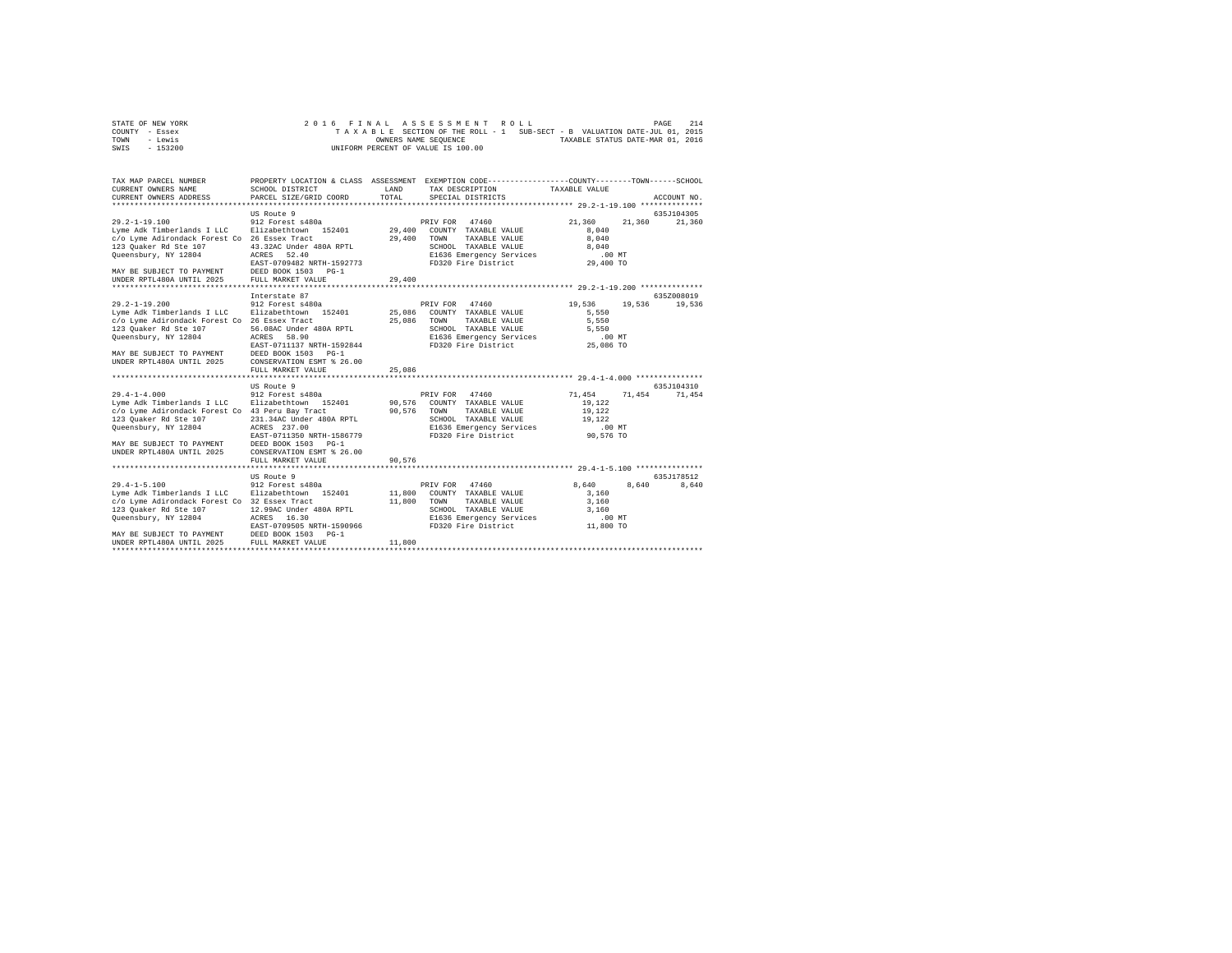| STATE OF NEW YORK |  |  |  | 2016 FINAL ASSESSMENT ROLL         |  |  |  |                                                                          | PAGE | 214 |
|-------------------|--|--|--|------------------------------------|--|--|--|--------------------------------------------------------------------------|------|-----|
| COUNTY - Essex    |  |  |  |                                    |  |  |  | TAXABLE SECTION OF THE ROLL - 1 SUB-SECT - B VALUATION DATE-JUL 01, 2015 |      |     |
| TOWN<br>- Lewis   |  |  |  | OWNERS NAME SEOUENCE               |  |  |  | TAXABLE STATUS DATE-MAR 01, 2016                                         |      |     |
| - 153200<br>SWIS  |  |  |  | UNIFORM PERCENT OF VALUE IS 100.00 |  |  |  |                                                                          |      |     |

| PROPERTY LOCATION & CLASS ASSESSMENT EXEMPTION CODE-----------------COUNTY-------TOWN------SCHOOL<br>TAX MAP PARCEL NUMBER<br>CURRENT OWNERS NAME<br>SCHOOL DISTRICT<br>LAND<br>TAX DESCRIPTION TAXABLE VALUE<br>TOTAL<br>CURRENT OWNERS ADDRESS<br>PARCEL SIZE/GRID COORD<br>SPECIAL DISTRICTS<br>ACCOUNT NO.<br>635J104305<br>US Route 9<br>912 Forest s480a<br>PRIV FOR 47460<br>21,360<br>21,360<br>21,360<br>8.040<br>29,400 TOWN<br>TAXABLE VALUE<br>8,040<br>SCHOOL TAXABLE VALUE<br>43.32AC Under 480A RPTL<br>8,040<br>E1636 Emergency Services<br>FD320 Fire District<br>ACRES 52.40<br>$.00$ MT<br>EAST-0709482 NRTH-1592773<br>29,400 TO<br>DEED BOOK 1503 PG-1<br>29,400<br>635Z008019<br>Interstate 87<br>19,536<br>912 Forest s480a<br>PRIV FOR 47460<br>19,536<br>19,536<br>5,550<br>25,086<br>TOWN<br>TAXABLE VALUE<br>5,550<br>56.08AC Under 480A RPTL<br>SCHOOL TAXABLE VALUE<br>5.550<br>E1636 Emergency Services<br>FD320 Fire District 25,086 TO<br>ACRES 58.90<br>EAST-0711137 NRTH-1592844<br>DEED BOOK 1503 PG-1<br>CONSERVATION ESMT % 26.00<br>25,086<br>FULL MARKET VALUE<br>************************************ 29.4-1-4.000 ****************<br>635J104310<br>US Route 9<br>PRIV FOR 47460<br>71,454<br>912 Forest s480a<br>71,454 71,454<br>19,122<br>90.576 TOWN<br>TAXABLE VALUE<br>19,122<br>231.34AC Under 480A RPTL |
|----------------------------------------------------------------------------------------------------------------------------------------------------------------------------------------------------------------------------------------------------------------------------------------------------------------------------------------------------------------------------------------------------------------------------------------------------------------------------------------------------------------------------------------------------------------------------------------------------------------------------------------------------------------------------------------------------------------------------------------------------------------------------------------------------------------------------------------------------------------------------------------------------------------------------------------------------------------------------------------------------------------------------------------------------------------------------------------------------------------------------------------------------------------------------------------------------------------------------------------------------------------------------------------------------------------------------------------------------------|
| $29.2 - 1 - 19.100$<br>Lyme Adk Timberlands I LLC Blizabethtown 152401 29,400 COUNTY TAXABLE VALUE<br>c/o Lyme Adirondack Forest Co 26 Essex Tract<br>123 Quaker Rd Ste 107<br>Queensbury, NY 12804<br>MAY BE SUBJECT TO PAYMENT<br>UNDER RPTL480A UNTIL 2025 FULL MARKET VALUE<br>$29.2 - 1 - 19.200$<br>Lyme Adk Timberlands I LLC Blizabethtown 152401 25.086 COUNTY TAXABLE VALUE<br>c/o Lyme Adirondack Forest Co 26 Essex Tract<br>123 Quaker Rd Ste 107<br>Queensbury, NY 12804<br>MAY BE SUBJECT TO PAYMENT<br>UNDER RPTL480A UNTIL 2025<br>$29.4 - 1 - 4.000$<br>Lyme Adk Timberlands I LLC     Elizabethtown   152401         90,576   COUNTY   TAXABLE VALUE<br>c/o Lyme Adirondack Forest Co 43 Peru Bay Tract<br>123 Quaker Rd Ste 107                                                                                                                                                                                                                                                                                                                                                                                                                                                                                                                                                                                                      |
|                                                                                                                                                                                                                                                                                                                                                                                                                                                                                                                                                                                                                                                                                                                                                                                                                                                                                                                                                                                                                                                                                                                                                                                                                                                                                                                                                          |
|                                                                                                                                                                                                                                                                                                                                                                                                                                                                                                                                                                                                                                                                                                                                                                                                                                                                                                                                                                                                                                                                                                                                                                                                                                                                                                                                                          |
|                                                                                                                                                                                                                                                                                                                                                                                                                                                                                                                                                                                                                                                                                                                                                                                                                                                                                                                                                                                                                                                                                                                                                                                                                                                                                                                                                          |
|                                                                                                                                                                                                                                                                                                                                                                                                                                                                                                                                                                                                                                                                                                                                                                                                                                                                                                                                                                                                                                                                                                                                                                                                                                                                                                                                                          |
|                                                                                                                                                                                                                                                                                                                                                                                                                                                                                                                                                                                                                                                                                                                                                                                                                                                                                                                                                                                                                                                                                                                                                                                                                                                                                                                                                          |
|                                                                                                                                                                                                                                                                                                                                                                                                                                                                                                                                                                                                                                                                                                                                                                                                                                                                                                                                                                                                                                                                                                                                                                                                                                                                                                                                                          |
| SCHOOL TAXABLE VALUE 19,122<br>Oueensbury, NY 12804<br>E1636 Emergency Services<br>FD320 Fire District<br>ACRES 237.00<br>$.00$ MT<br>90,576 TO<br>EAST-0711350 NRTH-1586779<br>MAY BE SUBJECT TO PAYMENT<br>DEED BOOK 1503 PG-1<br>CONSERVATION ESMT \$ 26.00<br>UNDER RPTL480A UNTIL 2025                                                                                                                                                                                                                                                                                                                                                                                                                                                                                                                                                                                                                                                                                                                                                                                                                                                                                                                                                                                                                                                              |
| 90,576<br>FULL MARKET VALUE                                                                                                                                                                                                                                                                                                                                                                                                                                                                                                                                                                                                                                                                                                                                                                                                                                                                                                                                                                                                                                                                                                                                                                                                                                                                                                                              |
|                                                                                                                                                                                                                                                                                                                                                                                                                                                                                                                                                                                                                                                                                                                                                                                                                                                                                                                                                                                                                                                                                                                                                                                                                                                                                                                                                          |
| US Route 9<br>635.T178512                                                                                                                                                                                                                                                                                                                                                                                                                                                                                                                                                                                                                                                                                                                                                                                                                                                                                                                                                                                                                                                                                                                                                                                                                                                                                                                                |
| 912 Forest s480a<br>$29.4 - 1 - 5.100$<br>PRIV FOR 47460<br>8,640<br>8,640<br>8,640<br>Lyme Adk Timberlands I LLC Blizabethtown 152401<br>11,800 COUNTY TAXABLE VALUE<br>3,160<br>c/o Lyme Adirondack Forest Co 32 Essex Tract<br>11,800 TOWN<br>TAXABLE VALUE<br>3,160<br>123 Quaker Rd Ste 107 12.99AC Under 480A RPTL<br>SCHOOL TAXABLE VALUE 3,160<br>E1636 Emergency Services .00 MT<br>FD320 Fire District 11,800 TO<br>Queensbury, NY 12804<br>ACRES 16.30<br>EAST-0709505 NRTH-1590966<br>MAY BE SUBJECT TO PAYMENT DEED BOOK 1503 PG-1<br>UNDER RPTL480A UNTIL 2025 FULL MARKET VALUE<br>11,800                                                                                                                                                                                                                                                                                                                                                                                                                                                                                                                                                                                                                                                                                                                                                 |
|                                                                                                                                                                                                                                                                                                                                                                                                                                                                                                                                                                                                                                                                                                                                                                                                                                                                                                                                                                                                                                                                                                                                                                                                                                                                                                                                                          |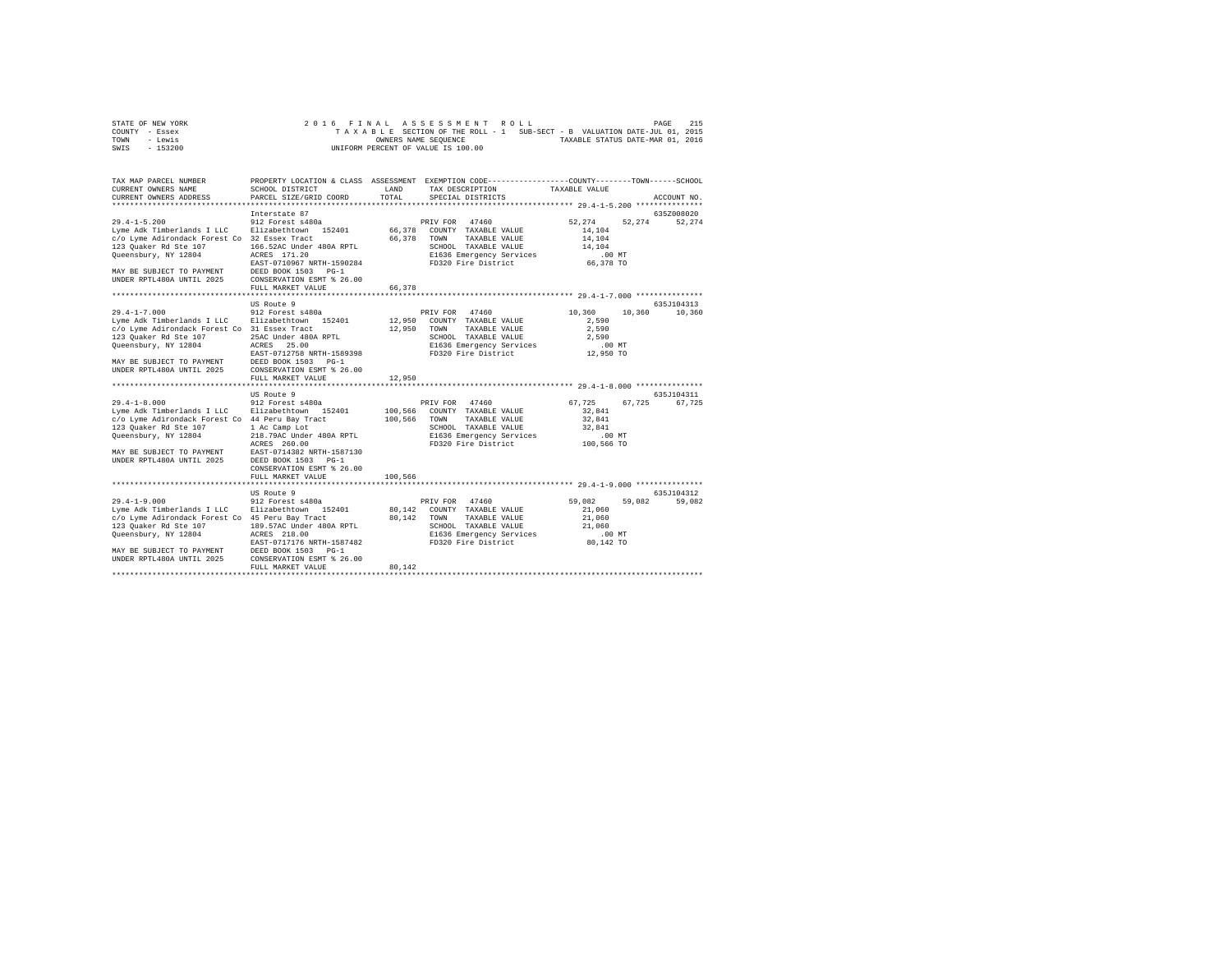| STATE OF NEW YORK | 2016 FINAL ASSESSMENT ROLL                                               | 215<br>PAGE                      |
|-------------------|--------------------------------------------------------------------------|----------------------------------|
| COUNTY - Essex    | TAXABLE SECTION OF THE ROLL - 1 SUB-SECT - B VALUATION DATE-JUL 01, 2015 |                                  |
| TOWN<br>- Lewis   | OWNERS NAME SEOUENCE                                                     | TAXABLE STATUS DATE-MAR 01, 2016 |
| $-153200$<br>SWIS | UNIFORM PERCENT OF VALUE IS 100.00                                       |                                  |

| TAX MAP PARCEL NUMBER<br>CURRENT OWNERS NAME                                                                                                                                                                                                            | SCHOOL DISTRICT                                                                                                                                                                                   | LAND                          | PROPERTY LOCATION & CLASS ASSESSMENT EXEMPTION CODE----------------COUNTY-------TOWN------SCHOOL<br>TAX DESCRIPTION                               | TAXABLE VALUE                                                              |                      |
|---------------------------------------------------------------------------------------------------------------------------------------------------------------------------------------------------------------------------------------------------------|---------------------------------------------------------------------------------------------------------------------------------------------------------------------------------------------------|-------------------------------|---------------------------------------------------------------------------------------------------------------------------------------------------|----------------------------------------------------------------------------|----------------------|
| CURRENT OWNERS ADDRESS                                                                                                                                                                                                                                  | PARCEL SIZE/GRID COORD                                                                                                                                                                            | TOTAL                         | SPECIAL DISTRICTS                                                                                                                                 |                                                                            | ACCOUNT NO.          |
|                                                                                                                                                                                                                                                         | Interstate 87                                                                                                                                                                                     |                               |                                                                                                                                                   |                                                                            | 635Z008020           |
| $29.4 - 1 - 5.200$<br>Lyme Adk Timberlands I LLC Elizabethtown 152401<br>c/o Lyme Adirondack Forest Co 32 Essex Tract<br>123 Ouaker Rd Ste 107<br>Queensbury, NY 12804<br>MAY BE SUBJECT TO PAYMENT<br>UNDER RPTL480A UNTIL 2025                        | 912 Forest s480a<br>166.52AC Under 480A RPTL<br>ACRES 171.20<br>EAST-0710967 NRTH-1590284<br>DEED BOOK 1503 PG-1<br>CONSERVATION ESMT % 26.00                                                     | 66,378 TOWN                   | PRIV FOR 47460<br>66,378 COUNTY TAXABLE VALUE<br>TAXABLE VALUE<br>SCHOOL TAXABLE VALUE<br>E1636 Emergency Services<br>FD320 Fire District         | 52,274<br>52.274<br>14,104<br>14,104<br>14,104<br>$.00$ MT<br>66,378 TO    | 52,274               |
|                                                                                                                                                                                                                                                         | FULL MARKET VALUE                                                                                                                                                                                 | 66,378                        |                                                                                                                                                   |                                                                            |                      |
| $29.4 - 1 - 7.000$<br>Lyme Adk Timberlands I LLC Elizabethtown 152401<br>c/o Lyme Adirondack Forest Co 31 Essex Tract<br>123 Ouaker Rd Ste 107<br>Queensbury, NY 12804                                                                                  | US Route 9<br>912 Forest s480a<br>25AC Under 480A RPTL<br>ACRES 25.00<br>EAST-0712758 NRTH-1589398                                                                                                | 12,950<br>12,950              | PRIV FOR 47460<br>COUNTY TAXABLE VALUE<br>TOWN<br>TAXABLE VALUE<br>SCHOOL TAXABLE VALUE<br>E1636 Emergency Services<br>FD320 Fire District        | 10,360<br>10,360<br>2,590<br>2,590<br>2,590<br>.00MT<br>12,950 TO          | 635J104313<br>10,360 |
| MAY BE SUBJECT TO PAYMENT<br>UNDER RPTL480A UNTIL 2025                                                                                                                                                                                                  | DEED BOOK 1503 PG-1<br>CONSERVATION ESMT % 26.00<br>FULL MARKET VALUE                                                                                                                             | 12,950                        |                                                                                                                                                   |                                                                            |                      |
|                                                                                                                                                                                                                                                         |                                                                                                                                                                                                   |                               |                                                                                                                                                   |                                                                            |                      |
| $29.4 - 1 - 8.000$<br>Lyme Adk Timberlands I LLC Blizabethtown 152401<br>c/o Lyme Adirondack Forest Co 44 Peru Bay Tract<br>123 Quaker Rd Ste 107<br>Queensbury, NY 12804<br>MAY BE SUBJECT TO PAYMENT<br>UNDER RPTL480A UNTIL 2025                     | US Route 9<br>912 Forest s480a<br>1 Ac Camp Lot<br>218.79AC Under 480A RPTL<br>ACRES 260.00<br>EAST-0714382 NRTH-1587130<br>DEED BOOK 1503 PG-1<br>CONSERVATION ESMT % 26.00<br>FULL MARKET VALUE | 100,566<br>100,566<br>100,566 | PRIV FOR 47460<br>COUNTY TAXABLE VALUE<br>TOWN<br>TAXABLE VALUE<br>SCHOOL TAXABLE VALUE<br>E1636 Emergency Services<br>FD320 Fire District        | 67,725<br>67,725<br>32,841<br>32.841<br>32.841<br>$.00$ $MT$<br>100,566 TO | 635J104311<br>67,725 |
|                                                                                                                                                                                                                                                         | US Route 9                                                                                                                                                                                        |                               |                                                                                                                                                   |                                                                            | 635J104312           |
| $29.4 - 1 - 9.000$<br>Lyme Adk Timberlands I LLC Blizabethtown 152401<br>c/o Lyme Adirondack Forest Co 45 Peru Bay Tract<br>123 Quaker Rd Ste 107<br>Queensbury, NY 12804<br>MAY BE SUBJECT TO PAYMENT DEED BOOK 1503 PG-1<br>UNDER RPTL480A UNTIL 2025 | 912 Forest s480a<br>189.57AC Under 480A RPTL<br>ACRES 218.00<br>EAST-0717176 NRTH-1587482<br>CONSERVATION ESMT % 26.00<br>FULL MARKET VALUE                                                       | 80.142<br>80,142              | PRIV FOR 47460<br>80.142 COUNTY TAXABLE VALUE<br>TAXABLE VALUE<br>TOWN<br>SCHOOL TAXABLE VALUE<br>E1636 Emergency Services<br>FD320 Fire District | 59,082<br>59,082<br>21,060<br>21,060<br>21,060<br>$.00$ MT<br>80,142 TO    | 59,082               |
|                                                                                                                                                                                                                                                         |                                                                                                                                                                                                   |                               |                                                                                                                                                   |                                                                            |                      |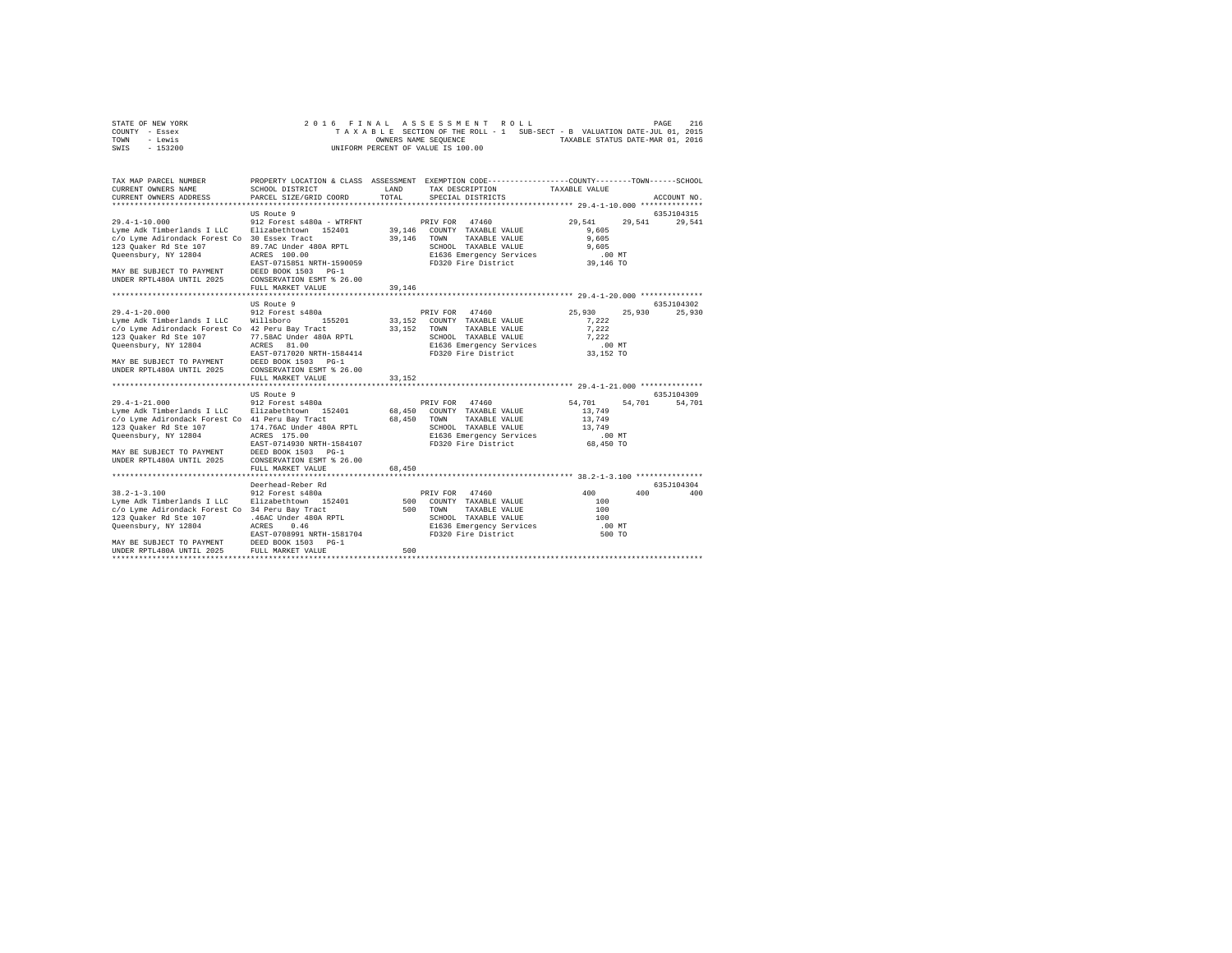| STATE OF NEW YORK | 2016 FINAL ASSESSMENT ROLL         |                                                                          | 216<br>PAGE                      |
|-------------------|------------------------------------|--------------------------------------------------------------------------|----------------------------------|
| COUNTY - Essex    |                                    | TAXABLE SECTION OF THE ROLL - 1 SUB-SECT - B VALUATION DATE-JUL 01, 2015 |                                  |
| TOWN<br>- Lewis   | OWNERS NAME SEOUENCE               |                                                                          | TAXABLE STATUS DATE-MAR 01, 2016 |
| $-153200$<br>SWIS | UNIFORM PERCENT OF VALUE IS 100.00 |                                                                          |                                  |

| TAX MAP PARCEL NUMBER<br>CURRENT OWNERS NAME<br>CURRENT OWNERS ADDRESS                               | SCHOOL DISTRICT<br>PARCEL SIZE/GRID COORD | LAND<br>TOTAL | PROPERTY LOCATION & CLASS ASSESSMENT EXEMPTION CODE---------------COUNTY-------TOWN------SCHOOL<br>TAX DESCRIPTION<br>SPECIAL DISTRICTS | TAXABLE VALUE                                                   | ACCOUNT NO. |
|------------------------------------------------------------------------------------------------------|-------------------------------------------|---------------|-----------------------------------------------------------------------------------------------------------------------------------------|-----------------------------------------------------------------|-------------|
|                                                                                                      |                                           |               |                                                                                                                                         |                                                                 |             |
|                                                                                                      | US Route 9                                |               |                                                                                                                                         |                                                                 | 635J104315  |
| $29.4 - 1 - 10.000$                                                                                  | 912 Forest s480a - WTRFNT                 |               | 47460<br>PRIV FOR                                                                                                                       | 29.541<br>29.541                                                | 29,541      |
| Lyme Adk Timberlands I LLC                                                                           | Elizabethtown 152401                      | 39,146        | COUNTY TAXABLE VALUE                                                                                                                    | 9,605                                                           |             |
| c/o Lyme Adirondack Forest Co 30 Essex Tract                                                         |                                           | 39,146        | TOWN<br>TAXABLE VALUE                                                                                                                   | 9,605                                                           |             |
| 123 Quaker Rd Ste 107                                                                                | 89.7AC Under 480A RPTL                    |               | SCHOOL TAXABLE VALUE                                                                                                                    | 9,605                                                           |             |
| Oueensbury, NY 12804                                                                                 | ACRES 100.00                              |               | E1636 Emergency Services                                                                                                                | .00 MT                                                          |             |
|                                                                                                      | EAST-0715851 NRTH-1590059                 |               | FD320 Fire District                                                                                                                     | 39,146 TO                                                       |             |
| MAY BE SUBJECT TO PAYMENT                                                                            | DEED BOOK 1503 PG-1                       |               |                                                                                                                                         |                                                                 |             |
| UNDER RPTL480A UNTIL 2025                                                                            | CONSERVATION ESMT % 26.00                 |               |                                                                                                                                         |                                                                 |             |
|                                                                                                      | FULL MARKET VALUE                         | 39,146        |                                                                                                                                         |                                                                 |             |
|                                                                                                      |                                           |               |                                                                                                                                         |                                                                 |             |
|                                                                                                      | US Route 9                                |               |                                                                                                                                         |                                                                 | 635J104302  |
| $29.4 - 1 - 20.000$                                                                                  | 912 Forest s480a                          |               | PRIV FOR 47460                                                                                                                          | 25,930<br>25,930                                                | 25,930      |
| Lyme Adk Timberlands I LLC Willsboro                                                                 | 155201                                    | 33,152        | COUNTY TAXABLE VALUE                                                                                                                    | 7.222                                                           |             |
|                                                                                                      |                                           |               | TOWN<br>TAXABLE VALUE                                                                                                                   |                                                                 |             |
| c/o Lyme Adirondack Forest Co 42 Peru Bay Tract                                                      |                                           | 33,152        |                                                                                                                                         | 7,222                                                           |             |
| 123 Quaker Rd Ste 107                                                                                | 77.58AC Under 480A RPTL                   |               | SCHOOL TAXABLE VALUE                                                                                                                    | 7.222                                                           |             |
| Queensbury, NY 12804                                                                                 | ACRES 81.00                               |               | E1636 Emergency Services                                                                                                                | .00 MT                                                          |             |
|                                                                                                      | EAST-0717020 NRTH-1584414                 |               | FD320 Fire District                                                                                                                     | 33,152 TO                                                       |             |
| MAY BE SUBJECT TO PAYMENT DEED BOOK 1503 PG-1<br>UNDER RPTL480A UNTIL 2025 CONSERVATION ESMT % 26.00 |                                           |               |                                                                                                                                         |                                                                 |             |
|                                                                                                      |                                           |               |                                                                                                                                         |                                                                 |             |
|                                                                                                      | FULL MARKET VALUE                         | 33,152        |                                                                                                                                         |                                                                 |             |
|                                                                                                      |                                           |               |                                                                                                                                         |                                                                 |             |
|                                                                                                      | US Route 9                                |               |                                                                                                                                         |                                                                 | 635J104309  |
| $29.4 - 1 - 21.000$                                                                                  | 912 Forest s480a                          |               | PRIV FOR 47460                                                                                                                          | 54,701<br>54,701                                                | 54,701      |
| Lyme Adk Timberlands I LLC Elizabethtown 152401                                                      |                                           | 68,450        | COUNTY TAXABLE VALUE                                                                                                                    | 13,749                                                          |             |
| c/o Lyme Adirondack Forest Co 41 Peru Bay Tract                                                      |                                           | 68,450        | TOWN<br>TAXABLE VALUE                                                                                                                   | 13,749                                                          |             |
| 123 Quaker Rd Ste 107                                                                                | 174.76AC Under 480A RPTL                  |               | SCHOOL TAXABLE VALUE                                                                                                                    | 13,749                                                          |             |
| Queensbury, NY 12804                                                                                 | ACRES 175.00                              |               | E1636 Emergency Services                                                                                                                | .00MT                                                           |             |
|                                                                                                      | EAST-0714930 NRTH-1584107                 |               | FD320 Fire District                                                                                                                     | 68,450 TO                                                       |             |
| MAY BE SUBJECT TO PAYMENT                                                                            | DEED BOOK 1503 PG-1                       |               |                                                                                                                                         |                                                                 |             |
| UNDER RPTL480A UNTIL 2025                                                                            | CONSERVATION ESMT % 26.00                 |               |                                                                                                                                         |                                                                 |             |
|                                                                                                      | FULL MARKET VALUE                         | 68,450        |                                                                                                                                         |                                                                 |             |
|                                                                                                      | ***********************                   |               |                                                                                                                                         | ********************************* 38.2-1-3.100 **************** |             |
|                                                                                                      | Deerhead-Reber Rd                         |               |                                                                                                                                         |                                                                 | 635.7104304 |
| $38.2 - 1 - 3.100$                                                                                   | 912 Forest s480a                          |               | 47460<br>PRIV FOR                                                                                                                       | 400<br>400                                                      | 400         |
| Lyme Adk Timberlands I LLC                                                                           | Elizabethtown 152401                      |               | 500 COUNTY TAXABLE VALUE                                                                                                                | 100                                                             |             |
| c/o Lyme Adirondack Forest Co 34 Peru Bay Tract                                                      |                                           | 500           | TOWN<br>TAXABLE VALUE                                                                                                                   | 100                                                             |             |
| 123 Ouaker Rd Ste 107                                                                                | .46AC Under 480A RPTL                     |               | SCHOOL TAXABLE VALUE                                                                                                                    | 100                                                             |             |
| Queensbury, NY 12804                                                                                 | ACRES<br>0.46                             |               | E1636 Emergency Services                                                                                                                | $.00$ MT                                                        |             |
|                                                                                                      | EAST-0708991 NRTH-1581704                 |               | FD320 Fire District                                                                                                                     | 500 TO                                                          |             |
|                                                                                                      |                                           |               |                                                                                                                                         |                                                                 |             |
| MAY BE SUBJECT TO PAYMENT DEED BOOK 1503 PG-1<br>UNDER RPTL480A UNTIL 2025 FULL MARKET VALUE         |                                           | 500           |                                                                                                                                         |                                                                 |             |
|                                                                                                      |                                           |               |                                                                                                                                         |                                                                 |             |
|                                                                                                      |                                           |               |                                                                                                                                         |                                                                 |             |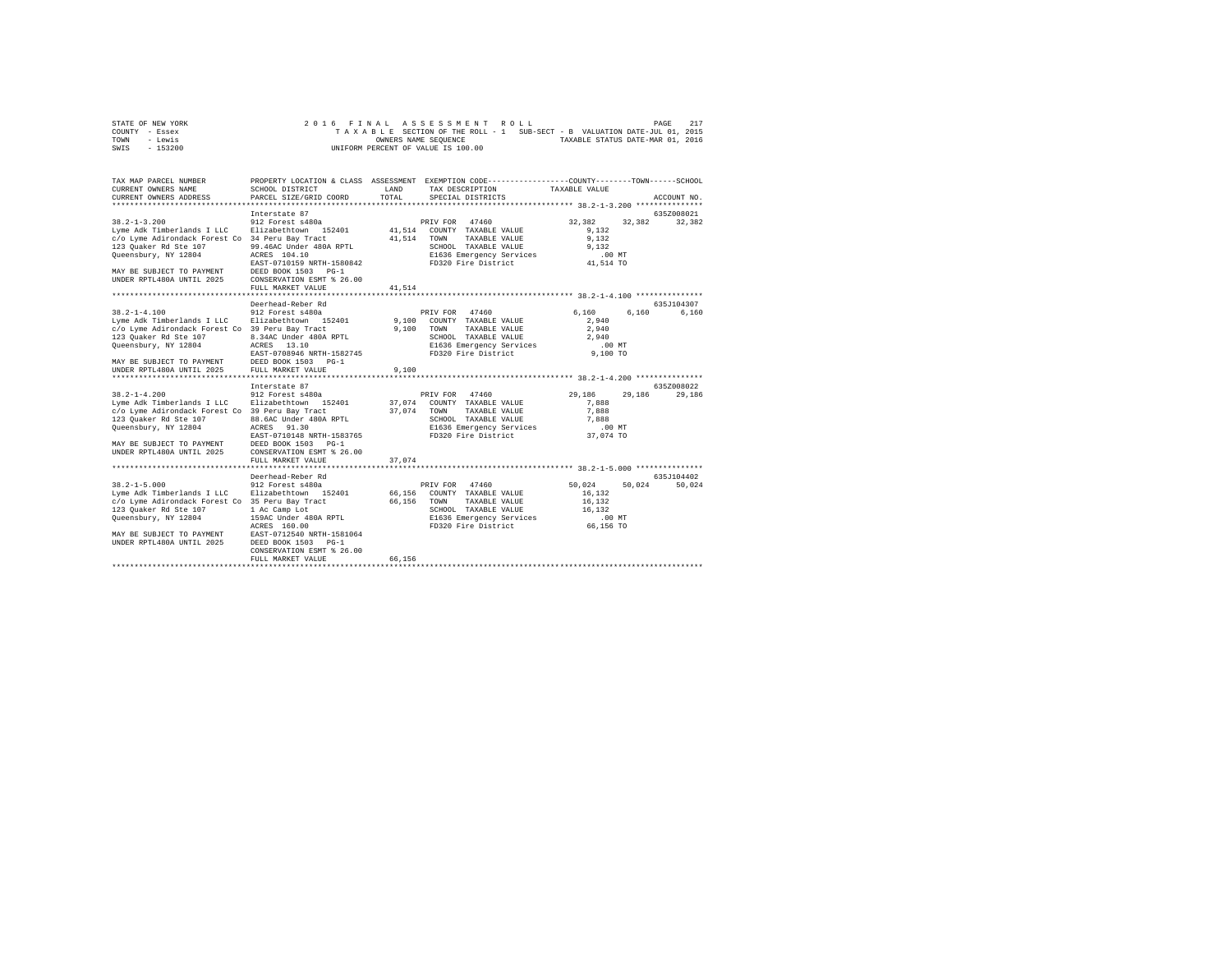| STATE OF NEW YORK |  | 2016 FINAL ASSESSMENT ROLL         | PAGE                                                                     | 217 |
|-------------------|--|------------------------------------|--------------------------------------------------------------------------|-----|
| COUNTY - Essex    |  |                                    | TAXABLE SECTION OF THE ROLL - 1 SUB-SECT - B VALUATION DATE-JUL 01, 2015 |     |
| TOWN<br>- Lewis   |  | OWNERS NAME SEOUENCE               | TAXABLE STATUS DATE-MAR 01, 2016                                         |     |
| - 153200<br>SWIS  |  | UNIFORM PERCENT OF VALUE IS 100.00 |                                                                          |     |

| TAX MAP PARCEL NUMBER<br>CURRENT OWNERS NAME<br>CURRENT OWNERS ADDRESS                                                                                                                                                              | SCHOOL DISTRICT<br>PARCEL SIZE/GRID COORD                                                                                                                                                                                             | LAND<br>TOTAL                   | PROPERTY LOCATION & CLASS ASSESSMENT EXEMPTION CODE---------------COUNTY-------TOWN-----SCHOOL<br>TAX DESCRIPTION<br>SPECIAL DISTRICTS     | TAXABLE VALUE                                                           | ACCOUNT NO.          |
|-------------------------------------------------------------------------------------------------------------------------------------------------------------------------------------------------------------------------------------|---------------------------------------------------------------------------------------------------------------------------------------------------------------------------------------------------------------------------------------|---------------------------------|--------------------------------------------------------------------------------------------------------------------------------------------|-------------------------------------------------------------------------|----------------------|
| $38.2 - 1 - 3.200$<br>Lyme Adk Timberlands I LLC<br>c/o Lyme Adirondack Forest Co 34 Peru Bay Tract<br>123 Quaker Rd Ste 107<br>Queensbury, NY 12804<br>MAY BE SUBJECT TO PAYMENT<br>UNDER RPTL480A UNTIL 2025                      | Interstate 87<br>912 Forest s480a<br>Elizabethtown 152401<br>99.46AC Under 480A RPTL<br>ACRES 104.10<br>EAST-0710159 NRTH-1580842<br>DEED BOOK 1503 PG-1<br>CONSERVATION ESMT % 26.00<br>FULL MARKET VALUE<br>*********************** | 41,514<br>41,514<br>41.514      | PRIV FOR 47460<br>COUNTY TAXABLE VALUE<br>TOWN<br>TAXABLE VALUE<br>SCHOOL TAXABLE VALUE<br>E1636 Emergency Services<br>FD320 Fire District | 32,382<br>32,382<br>9.132<br>9,132<br>9.132<br>$.00$ MT<br>41,514 TO    | 635Z008021<br>32,382 |
| $38.2 - 1 - 4.100$<br>Lyme Adk Timberlands I LLC Elizabethtown 152401<br>c/o Lyme Adirondack Forest Co 39 Peru Bay Tract<br>123 Ouaker Rd Ste 107<br>Queensbury, NY 12804<br>MAY BE SUBJECT TO PAYMENT<br>UNDER RPTL480A UNTIL 2025 | Deerhead-Reber Rd<br>912 Forest s480a<br>8.34AC Under 480A RPTL<br>ACRES<br>13.10<br>EAST-0708946 NRTH-1582745<br>DEED BOOK 1503 PG-1<br>FULL MARKET VALUE                                                                            | 9,100<br>9.100<br>9,100         | PRIV FOR 47460<br>COUNTY TAXABLE VALUE<br>TOWN<br>TAXABLE VALUE<br>SCHOOL TAXABLE VALUE<br>E1636 Emergency Services<br>FD320 Fire District | 6.160<br>6,160<br>2,940<br>2,940<br>2.940<br>.00 MT<br>9,100 TO         | 635J104307<br>6,160  |
| $38.2 - 1 - 4.200$<br>Lyme Adk Timberlands I LLC<br>c/o Lyme Adirondack Forest Co 39 Peru Bay Tract<br>123 Ouaker Rd Ste 107<br>Queensbury, NY 12804<br>MAY BE SUBJECT TO PAYMENT<br>UNDER RPTL480A UNTIL 2025                      | Interstate 87<br>912 Forest s480a<br>Elizabethtown 152401<br>88.6AC Under 480A RPTL<br>ACRES 91.30<br>EAST-0710148 NRTH-1583765<br>DEED BOOK 1503 PG-1<br>CONSERVATION ESMT % 26.00<br>FULL MARKET VALUE                              | 37,074<br>37,074<br>37.074      | PRIV FOR 47460<br>COUNTY TAXABLE VALUE<br>TOWN<br>TAXABLE VALUE<br>SCHOOL TAXABLE VALUE<br>E1636 Emergency Services<br>FD320 Fire District | 29,186<br>29,186<br>7.888<br>7,888<br>7,888<br>$.00$ MT<br>37.074 TO    | 635Z008022<br>29,186 |
| $38.2 - 1 - 5.000$<br>Lyme Adk Timberlands I LLC<br>c/o Lyme Adirondack Forest Co 35 Peru Bay Tract<br>123 Ouaker Rd Ste 107<br>Queensbury, NY 12804<br>MAY BE SUBJECT TO PAYMENT<br>UNDER RPTL480A UNTIL 2025                      | Deerhead-Reber Rd<br>912 Forest s480a<br>Elizabethtown 152401<br>1 Ac Camp Lot<br>159AC Under 480A RPTL<br>ACRES 160.00<br>EAST-0712540 NRTH-1581064<br>DEED BOOK 1503 PG-1<br>CONSERVATION ESMT % 26.00<br>FULL MARKET VALUE         | 66,156<br>66,156 TOWN<br>66.156 | PRIV FOR 47460<br>COUNTY TAXABLE VALUE<br>TAXABLE VALUE<br>SCHOOL TAXABLE VALUE<br>E1636 Emergency Services<br>FD320 Fire District         | 50.024<br>50.024<br>16.132<br>16,132<br>16.132<br>$.00$ MT<br>66,156 TO | 635J104402<br>50,024 |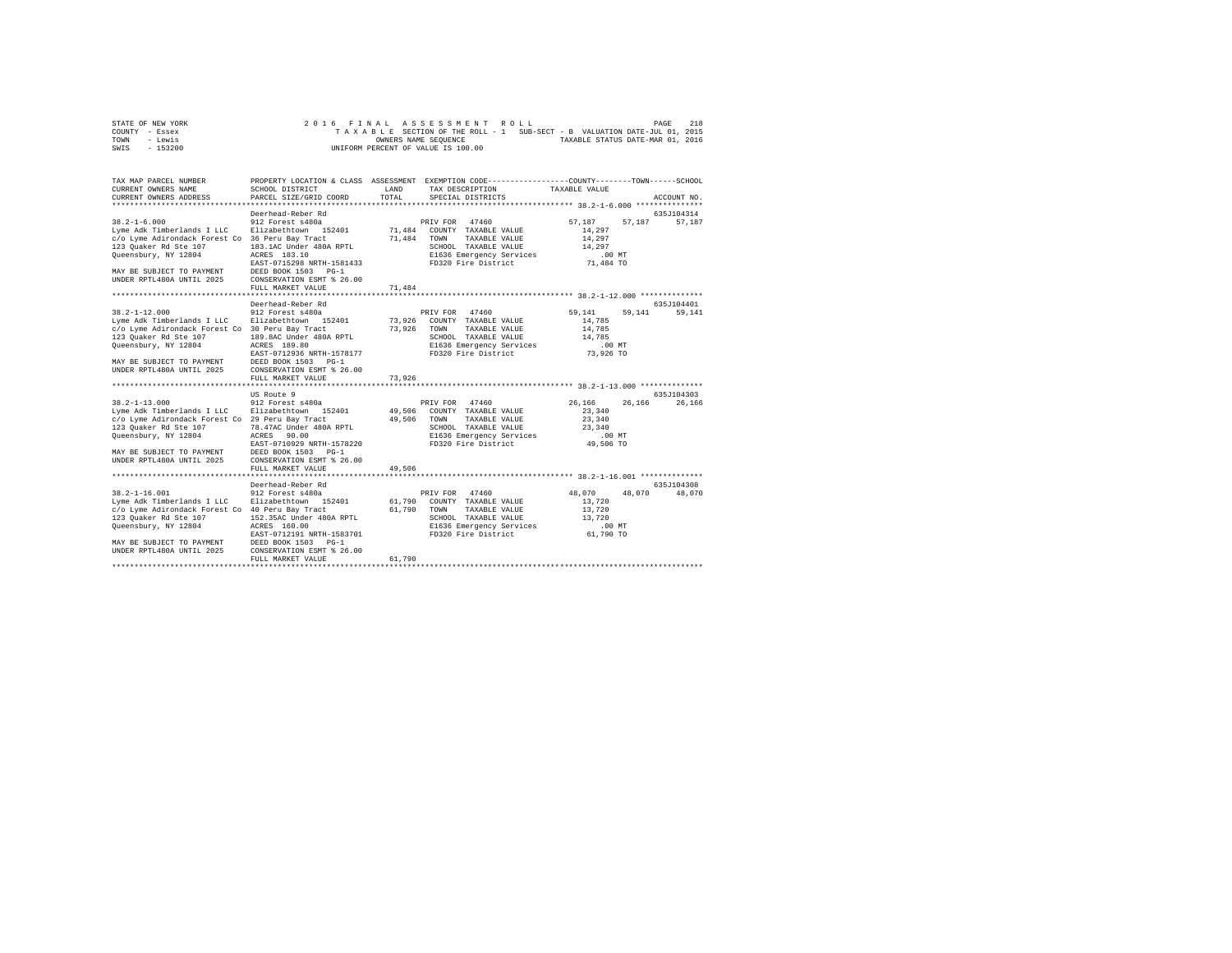| STATE OF NEW YORK | 2016 FINAL ASSESSMENT ROLL                                               | 218<br>PAGE                      |
|-------------------|--------------------------------------------------------------------------|----------------------------------|
| COUNTY - Essex    | TAXABLE SECTION OF THE ROLL - 1 SUB-SECT - B VALUATION DATE-JUL 01, 2015 |                                  |
| TOWN<br>- Lewis   | OWNERS NAME SEOUENCE                                                     | TAXABLE STATUS DATE-MAR 01, 2016 |
| $-153200$<br>SWIS | UNIFORM PERCENT OF VALUE IS 100.00                                       |                                  |

| TAX MAP PARCEL NUMBER<br>CURRENT OWNERS NAME<br>CURRENT OWNERS ADDRESS                                                                                                                                          | SCHOOL DISTRICT<br>PARCEL SIZE/GRID COORD                                                                                                                                                                       | LAND<br>TOTAL              | PROPERTY LOCATION & CLASS ASSESSMENT EXEMPTION CODE----------------COUNTY-------TOWN------SCHOOL<br>TAX DESCRIPTION<br>SPECIAL DISTRICTS   | TAXABLE VALUE                                                             | ACCOUNT NO.           |
|-----------------------------------------------------------------------------------------------------------------------------------------------------------------------------------------------------------------|-----------------------------------------------------------------------------------------------------------------------------------------------------------------------------------------------------------------|----------------------------|--------------------------------------------------------------------------------------------------------------------------------------------|---------------------------------------------------------------------------|-----------------------|
| $38.2 - 1 - 6.000$<br>Lyme Adk Timberlands I LLC<br>c/o Lyme Adirondack Forest Co 36 Peru Bay Tract<br>123 Ouaker Rd Ste 107<br>Queensbury, NY 12804<br>MAY BE SUBJECT TO PAYMENT<br>UNDER RPTL480A UNTIL 2025  | Deerhead-Reber Rd<br>912 Forest s480a<br>Elizabethtown 152401<br>183.1AC Under 480A RPTL<br>ACRES 183.10<br>EAST-0715298 NRTH-1581433<br>DEED BOOK 1503 PG-1<br>CONSERVATION ESMT % 26.00<br>FULL MARKET VALUE  | 71,484<br>71,484<br>71,484 | PRIV FOR 47460<br>COUNTY TAXABLE VALUE<br>TOWN<br>TAXABLE VALUE<br>SCHOOL TAXABLE VALUE<br>E1636 Emergency Services<br>FD320 Fire District | 57.187<br>57,187<br>14,297<br>14,297<br>14,297<br>$.00$ MT<br>71,484 TO   | 635J104314<br>57,187  |
| $38.2 - 1 - 12.000$<br>Lyme Adk Timberlands I LLC<br>c/o Lyme Adirondack Forest Co 30 Peru Bay Tract<br>123 Quaker Rd Ste 107<br>Queensbury, NY 12804<br>MAY BE SUBJECT TO PAYMENT<br>UNDER RPTL480A UNTIL 2025 | Deerhead-Reber Rd<br>912 Forest s480a<br>Elizabethtown 152401<br>189.8AC Under 480A RPTL<br>ACRES 189.80<br>EAST-0712936 NRTH-1578177<br>DEED BOOK 1503 PG-1<br>CONSERVATION ESMT % 26.00<br>FULL MARKET VALUE  | 73,926<br>73.926<br>73,926 | PRIV FOR 47460<br>COUNTY TAXABLE VALUE<br>TOWN<br>TAXABLE VALUE<br>SCHOOL TAXABLE VALUE<br>E1636 Emergency Services<br>FD320 Fire District | 59,141<br>59.141<br>14,785<br>14,785<br>14,785<br>.00MT<br>73,926 TO      | 635J104401<br>59.141  |
| $38.2 - 1 - 13.000$<br>Lyme Adk Timberlands I LLC<br>c/o Lyme Adirondack Forest Co 29 Peru Bay Tract<br>123 Quaker Rd Ste 107<br>Queensbury, NY 12804<br>MAY BE SUBJECT TO PAYMENT<br>UNDER RPTL480A UNTIL 2025 | US Route 9<br>912 Forest s480a<br>Elizabethtown 152401<br>78.47AC Under 480A RPTL<br>90.00<br>ACRES<br>EAST-0710929 NRTH-1578220<br>DEED BOOK 1503 PG-1<br>CONSERVATION ESMT % 26.00<br>FULL MARKET VALUE       | 49,506<br>49,506<br>49,506 | PRIV FOR 47460<br>COUNTY TAXABLE VALUE<br>TAXABLE VALUE<br>TOWN<br>SCHOOL TAXABLE VALUE<br>E1636 Emergency Services<br>FD320 Fire District | 26.166<br>26.166<br>23,340<br>23,340<br>23,340<br>$.00$ MT<br>49,506 TO   | 635J104303<br>26,166  |
| $38.2 - 1 - 16.001$<br>Lyme Adk Timberlands I LLC<br>c/o Lyme Adirondack Forest Co 40 Peru Bay Tract<br>123 Quaker Rd Ste 107<br>Queensbury, NY 12804<br>MAY BE SUBJECT TO PAYMENT<br>UNDER RPTL480A UNTIL 2025 | Deerhead-Reber Rd<br>912 Forest s480a<br>Elizabethtown 152401<br>152.35AC Under 480A RPTL<br>ACRES 160.00<br>EAST-0712191 NRTH-1583701<br>DEED BOOK 1503 PG-1<br>CONSERVATION ESMT % 26.00<br>FULL MARKET VALUE | 61,790<br>61,790<br>61,790 | PRIV FOR 47460<br>COUNTY TAXABLE VALUE<br>TAXABLE VALUE<br>TOWN<br>SCHOOL TAXABLE VALUE<br>E1636 Emergency Services<br>FD320 Fire District | 48,070<br>48,070<br>13,720<br>13,720<br>13,720<br>$.00$ $MT$<br>61,790 TO | 635.7104308<br>48,070 |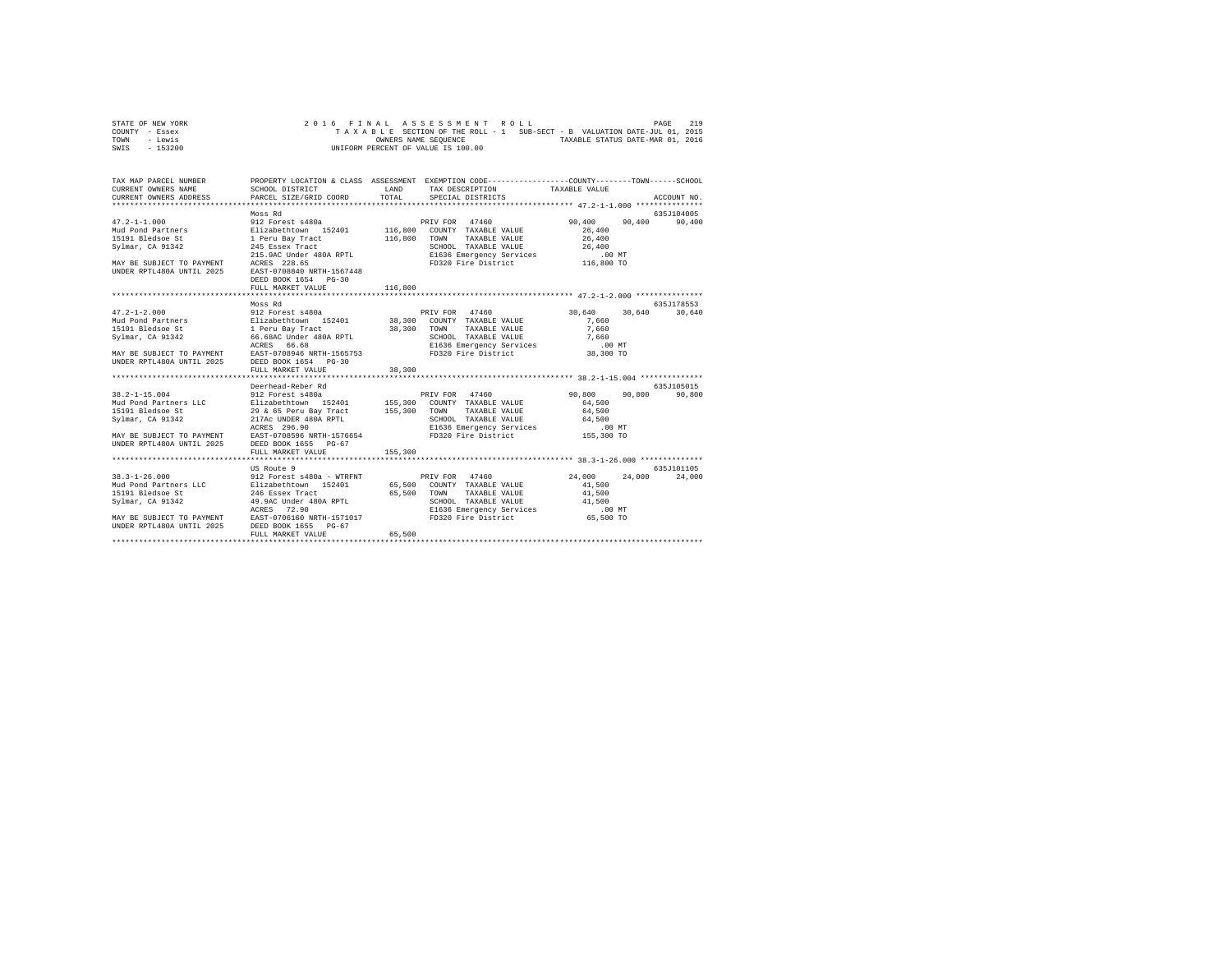| STATE OF NEW YORK | 2016 FINAL ASSESSMENT ROLL                                               | PAGE | 219 |
|-------------------|--------------------------------------------------------------------------|------|-----|
| COUNTY - Essex    | TAXABLE SECTION OF THE ROLL - 1 SUB-SECT - B VALUATION DATE-JUL 01, 2015 |      |     |
| TOWN<br>- Lewis   | TAXABLE STATUS DATE-MAR 01, 2016<br>OWNERS NAME SEOUENCE                 |      |     |
| $-153200$<br>SWIS | UNIFORM PERCENT OF VALUE IS 100.00                                       |      |     |

| TAX MAP PARCEL NUMBER | PROPERTY LOCATION & CLASS ASSESSMENT EXEMPTION CODE----------------COUNTY-------TOWN------SCHOOL                                                                                                                                                       |         |  |             |
|-----------------------|--------------------------------------------------------------------------------------------------------------------------------------------------------------------------------------------------------------------------------------------------------|---------|--|-------------|
|                       |                                                                                                                                                                                                                                                        |         |  |             |
|                       | Moss Rd                                                                                                                                                                                                                                                |         |  | 635J104005  |
|                       |                                                                                                                                                                                                                                                        |         |  |             |
|                       |                                                                                                                                                                                                                                                        |         |  |             |
|                       | Moss Rd                                                                                                                                                                                                                                                |         |  | 635J178553  |
|                       | 47.2-1-2.000 $\,$ 90388881 $\,$ 90288881 $\,$ 912 Forest 8480a<br>Mud Pontiners and Elizabethrown 152401 38,300 COUNTY TAXABLE VALUE 7660 70081<br>Sylmar, CA 91342 66.680 Under 480A RPTL 38,300 COUNTY TAXABLE VALUE 7,660<br>Sylm                   |         |  |             |
|                       |                                                                                                                                                                                                                                                        |         |  |             |
|                       | Deerhead-Reber Rd                                                                                                                                                                                                                                      |         |  | 635.7105015 |
|                       | 38.2-1-15.004<br>90,800<br>MAD PORT RESERVIBLE VALUE OF THE SAME SERVICE SERVICE SERVICE SERVICE SERVICE SERVICE SERVICE SERVICE SERVICE<br>1919 Bedsoe Street Services (1968) 29 & 65 Peru Bay Tract 155,300 TOWNY TAXABLE VALUE<br>FULL MARKET VALUE | 155,300 |  |             |
|                       |                                                                                                                                                                                                                                                        |         |  |             |
|                       | 13.3-1-26.000 US Route 9<br>38.3-1-26.000 US Route 9<br>39.3-1-26.000 COUNTAINE VALUE 24,000 24,000 24,000 24,000 24,000 24,000 24,000 24,000 24,000 24,000 24,000 24<br>39.3-1-26.000 COUNTAINE VALUE 2000 24,000 24,000 24,000 24,                   |         |  |             |
|                       |                                                                                                                                                                                                                                                        |         |  |             |
|                       |                                                                                                                                                                                                                                                        |         |  |             |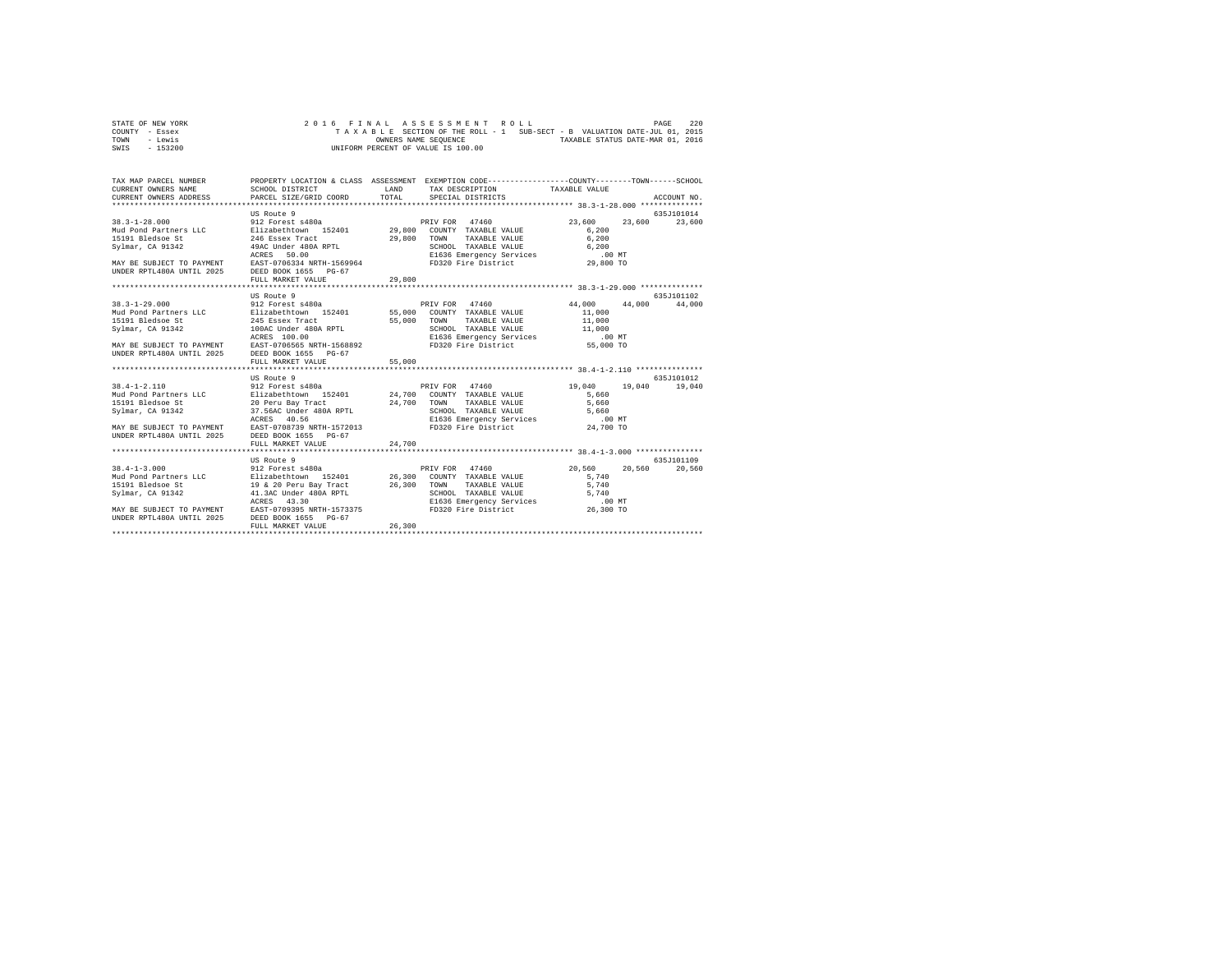| STATE OF NEW YORK |  |  |  |  | 2016 FINAL ASSESSMENT ROLL         |  |  |  |  |                                                                          | PAGE | 220 |
|-------------------|--|--|--|--|------------------------------------|--|--|--|--|--------------------------------------------------------------------------|------|-----|
| COUNTY - Essex    |  |  |  |  |                                    |  |  |  |  | TAXABLE SECTION OF THE ROLL - 1 SUB-SECT - B VALUATION DATE-JUL 01, 2015 |      |     |
| TOWN<br>- Lewis   |  |  |  |  | OWNERS NAME SEOUENCE               |  |  |  |  | TAXABLE STATUS DATE-MAR 01, 2016                                         |      |     |
| $-153200$<br>SWIS |  |  |  |  | UNIFORM PERCENT OF VALUE IS 100.00 |  |  |  |  |                                                                          |      |     |

| TAX MAP PARCEL NUMBER<br>CURRENT OWNERS NAME<br>CURRENT OWNERS ADDRESS PARCEL SIZE/GRID COORD                                                                                                                                                                                                                                                                                                                                                                                                                          | SCHOOL DISTRICT                                                                                                                                                                                                                                                                         | LAND<br>TOTAL | PROPERTY LOCATION & CLASS ASSESSMENT EXEMPTION CODE----------------COUNTY-------TOWN------SCHOOL<br>TAX DESCRIPTION TAXABLE VALUE<br>SPECIAL DISTRICTS |                                                   | ACCOUNT NO.                    |
|------------------------------------------------------------------------------------------------------------------------------------------------------------------------------------------------------------------------------------------------------------------------------------------------------------------------------------------------------------------------------------------------------------------------------------------------------------------------------------------------------------------------|-----------------------------------------------------------------------------------------------------------------------------------------------------------------------------------------------------------------------------------------------------------------------------------------|---------------|--------------------------------------------------------------------------------------------------------------------------------------------------------|---------------------------------------------------|--------------------------------|
| 2000 - 2000 - 2000 - 2000 - 2000 - 2000 - 2000 - 2000 - 2000 - 2000 - 2000 - 2000 - 2000 - 2000 - 2000 - 2000<br>  2000 - 2000 - 2000 - 2000 - 2000 - 2000 - 2000 - 2000 - 2000 - 2000 - 2000 - 2000 - 2000 - 2000 - 2000 - 20<br> <br>UNDER RPTL480A UNTIL 2025 DEED BOOK 1655 PG-67                                                                                                                                                                                                                                  | US Route 9                                                                                                                                                                                                                                                                              | 29,800        | TAXABLE VALUE 6.200                                                                                                                                    | 23,600<br>6.200                                   | 635J101014<br>23,600<br>23,600 |
|                                                                                                                                                                                                                                                                                                                                                                                                                                                                                                                        | FULL MARKET VALUE                                                                                                                                                                                                                                                                       |               |                                                                                                                                                        |                                                   |                                |
|                                                                                                                                                                                                                                                                                                                                                                                                                                                                                                                        | US Route 9                                                                                                                                                                                                                                                                              |               |                                                                                                                                                        |                                                   | 635J101102                     |
| $38.3 - 1 - 29.000$<br>Nud Pond Partners LLC<br>215 Sizabethtown 152401 55,000 COUNTY TAXABLE VALUE<br>15191 Bledsoe St 245 Essex Tract 55,000 TOWN TAXABLE VALUE<br>Sylmar, CA 91342<br>ACRES 100.00<br>MAY BE SUBJECT TO PAYMENT EAST-0706565 NRTH-1568892<br>UNDER RPTL480A UNTIL 2025<br>$38.4 - 1 - 2.110$<br>Mud Pond Partners LLC Blizabethtown 152401 24,700 COUNTY TAXABLE VALUE<br>15191 Bledsoe St<br>Svlmar, CA 91342<br>MAY BE SUBJECT TO PAYMENT EAST-0708739 NRTH-1572013 FD320 Fire District 24,700 TO | 912 Forest s480a<br>100AC Under 480A RPTL (SCHOOL TAXABLE VALUE 11,000 MT<br>ACRES 100.00 MTM = 20536 ENGER PORT 25 PLYICES (STATED)<br>EAST-0706565 NRTH-1568892 FD320 Fire District (STATED) 55,000 TO<br>DEED BOOK 1655 PG-67<br>FULL MARKET VALUE<br>US Route 9<br>912 Forest s480a | 55,000        | PRIV FOR 47460<br>TAXABLE VALUE 11,000<br>PRIV FOR 47460                                                                                               | 44,000 44,000 44,000<br>11,000<br>19,040<br>5.660 | 635.7101012<br>19,040 19,040   |
| UNDER RPTL480A UNTIL 2025                                                                                                                                                                                                                                                                                                                                                                                                                                                                                              | DEED BOOK 1655 PG-67<br>FULL MARKET VALUE                                                                                                                                                                                                                                               | 24,700        |                                                                                                                                                        |                                                   |                                |
|                                                                                                                                                                                                                                                                                                                                                                                                                                                                                                                        | ************************                                                                                                                                                                                                                                                                |               |                                                                                                                                                        |                                                   |                                |
| $38.4 - 1 - 3.000$<br>MAY BE SUBJECT TO PAYMENT EAST-0709395 NRTH-1573375<br>UNDER RPTL480A UNTIL 2025 DEED BOOK 1655 PG-67                                                                                                                                                                                                                                                                                                                                                                                            | US Route 9<br>912 Forest s480a<br>ACRES<br>43.30<br>FULL MARKET VALUE                                                                                                                                                                                                                   | 26,300        | PRIV FOR 47460<br>10WM TAXABLE VALUE<br>SCHOOL TAXABLE VALUE<br>E1636 Emergency Services 5,740<br>FD320 Fire District 26,300 TO                        | 20,560<br>20,560<br>5,740<br>5,740                | 635J101109<br>20,560           |
|                                                                                                                                                                                                                                                                                                                                                                                                                                                                                                                        | **************************                                                                                                                                                                                                                                                              |               |                                                                                                                                                        |                                                   |                                |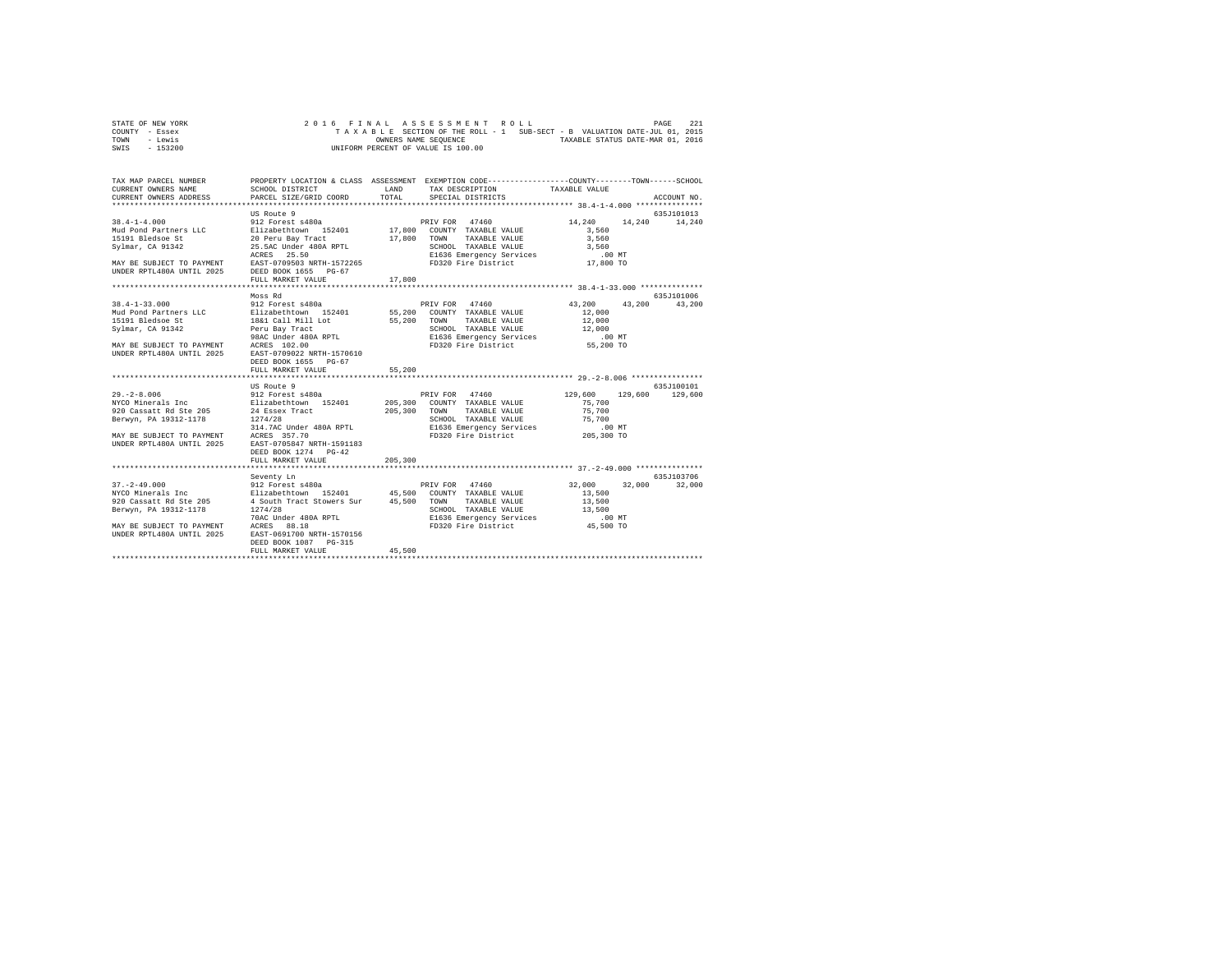| STATE OF NEW YORK | 2016 FINAL ASSESSMENT ROLL |  |  |                                    |  |  |                                                                          |                                  | PAGE | 221 |
|-------------------|----------------------------|--|--|------------------------------------|--|--|--------------------------------------------------------------------------|----------------------------------|------|-----|
| COUNTY - Essex    |                            |  |  |                                    |  |  | TAXABLE SECTION OF THE ROLL - 1 SUB-SECT - B VALUATION DATE-JUL 01, 2015 |                                  |      |     |
| TOWN<br>- Lewis   |                            |  |  | OWNERS NAME SEOUENCE               |  |  |                                                                          | TAXABLE STATUS DATE-MAR 01, 2016 |      |     |
| - 153200<br>SWIS  |                            |  |  | UNIFORM PERCENT OF VALUE IS 100.00 |  |  |                                                                          |                                  |      |     |

| TAX MAP PARCEL NUMBER<br>CURRENT OWNERS NAME        | SCHOOL DISTRICT                                                                                                                                                                                        | <b>T.AND</b> | PROPERTY LOCATION & CLASS ASSESSMENT EXEMPTION CODE---------------COUNTY-------TOWN------SCHOOL<br>TAX DESCRIPTION TAXABLE VALUE |                      |               |
|-----------------------------------------------------|--------------------------------------------------------------------------------------------------------------------------------------------------------------------------------------------------------|--------------|----------------------------------------------------------------------------------------------------------------------------------|----------------------|---------------|
| CURRENT OWNERS ADDRESS                              | PARCEL SIZE/GRID COORD                                                                                                                                                                                 | TOTAL        | SPECIAL DISTRICTS                                                                                                                |                      | ACCOUNT NO.   |
|                                                     |                                                                                                                                                                                                        |              |                                                                                                                                  |                      |               |
|                                                     | US Route 9                                                                                                                                                                                             |              |                                                                                                                                  |                      | 635J101013    |
| $38.4 - 1 - 4.000$                                  | 912 Forest s480a                                                                                                                                                                                       |              | PRIV FOR 47460                                                                                                                   | 14,240               | 14,240 14,240 |
|                                                     |                                                                                                                                                                                                        |              |                                                                                                                                  | 3,560<br>3,560       |               |
|                                                     |                                                                                                                                                                                                        |              |                                                                                                                                  |                      |               |
|                                                     |                                                                                                                                                                                                        |              |                                                                                                                                  |                      |               |
|                                                     |                                                                                                                                                                                                        |              |                                                                                                                                  |                      |               |
|                                                     |                                                                                                                                                                                                        |              |                                                                                                                                  |                      |               |
|                                                     |                                                                                                                                                                                                        |              |                                                                                                                                  |                      |               |
|                                                     |                                                                                                                                                                                                        |              |                                                                                                                                  |                      |               |
|                                                     | Moss Rd                                                                                                                                                                                                |              |                                                                                                                                  |                      | 635J101006    |
|                                                     |                                                                                                                                                                                                        |              |                                                                                                                                  | 43,200 43,200 43,200 |               |
|                                                     |                                                                                                                                                                                                        |              |                                                                                                                                  | 12,000               |               |
|                                                     |                                                                                                                                                                                                        |              |                                                                                                                                  | 12,000               |               |
| Sylmar, CA 91342                                    |                                                                                                                                                                                                        |              |                                                                                                                                  |                      |               |
|                                                     |                                                                                                                                                                                                        |              |                                                                                                                                  |                      |               |
|                                                     | MAY BE SUBJECT TO PAYMENT ACRES 102.00<br>UNDER RPTL480A UNTIL 2025 EAST-0709022 NRTH-1570610                                                                                                          |              |                                                                                                                                  |                      |               |
|                                                     |                                                                                                                                                                                                        |              |                                                                                                                                  |                      |               |
|                                                     | DEED BOOK 1655 PG-67                                                                                                                                                                                   |              |                                                                                                                                  |                      |               |
|                                                     | FULL MARKET VALUE                                                                                                                                                                                      | 55,200       |                                                                                                                                  |                      |               |
|                                                     | US Route 9                                                                                                                                                                                             |              |                                                                                                                                  |                      | 635J100101    |
|                                                     | 99.-2-8.006<br>MYCO Minerals Inc 312 Forest s480a (PRIV FOR 47460)<br>MYCO Minerals Inc 812 Forest s480a (PRIV 205,300 COUNTY TAXABLE VALUE<br>MINER IN THE 205 24 Essex Tract (PRIVING TAYABLE VALUE) |              | PRIV FOR 47460 129,600 129,600                                                                                                   |                      | 129,600       |
|                                                     |                                                                                                                                                                                                        |              |                                                                                                                                  | 75,700               |               |
|                                                     |                                                                                                                                                                                                        |              |                                                                                                                                  | 75,700               |               |
|                                                     |                                                                                                                                                                                                        |              |                                                                                                                                  |                      |               |
|                                                     |                                                                                                                                                                                                        |              | SCHOOL TAXABLE VALUE<br>ELG36 Emergency Services 75,700<br>FD320 Fire District 205,300 TO 70320                                  |                      |               |
| MAY BE SUBJECT TO PAYMENT ACRES 357.70              |                                                                                                                                                                                                        |              |                                                                                                                                  |                      |               |
| UNDER RPTL480A UNTIL 2025 EAST-0705847 NRTH-1591183 |                                                                                                                                                                                                        |              |                                                                                                                                  |                      |               |
|                                                     | DEED BOOK 1274 PG-42                                                                                                                                                                                   |              |                                                                                                                                  |                      |               |
|                                                     | FULL MARKET VALUE                                                                                                                                                                                      | 205,300      |                                                                                                                                  |                      |               |
|                                                     |                                                                                                                                                                                                        |              |                                                                                                                                  |                      |               |
|                                                     | Seventy Ln                                                                                                                                                                                             |              |                                                                                                                                  |                      | 635.7103706   |
|                                                     | $\begin{array}{cccccc} 37.-2-49.000 & 912 & \text{Forests480a} & \text{PRIV FOR} & 47460 \\ \text{NYCO Minerals Inc} & & & & & \text{Elizablecht} \\ \end{array}$                                      |              |                                                                                                                                  | 32,000               | 32,000 32,000 |
|                                                     |                                                                                                                                                                                                        |              |                                                                                                                                  | 13,500               |               |
| 920 Cassatt Rd Ste 205                              | 4 South Tract Stowers Sur 45,500 TOWN<br>1274/28 SCHOC                                                                                                                                                 |              | TAXABLE VALUE                                                                                                                    | 13,500               |               |
| Berwyn, PA 19312-1178                               |                                                                                                                                                                                                        |              | SCHOOL TAXABLE VALUE                                                                                                             | 13,500               |               |
|                                                     |                                                                                                                                                                                                        |              |                                                                                                                                  |                      |               |
|                                                     | EAST-0691700 NRTH-1570156                                                                                                                                                                              |              |                                                                                                                                  |                      |               |
| UNDER RPTL480A UNTIL 2025                           | DEED BOOK 1087 PG-315                                                                                                                                                                                  |              |                                                                                                                                  |                      |               |
|                                                     | FULL MARKET VALUE                                                                                                                                                                                      | 45,500       |                                                                                                                                  |                      |               |
|                                                     |                                                                                                                                                                                                        |              |                                                                                                                                  |                      |               |
|                                                     |                                                                                                                                                                                                        |              |                                                                                                                                  |                      |               |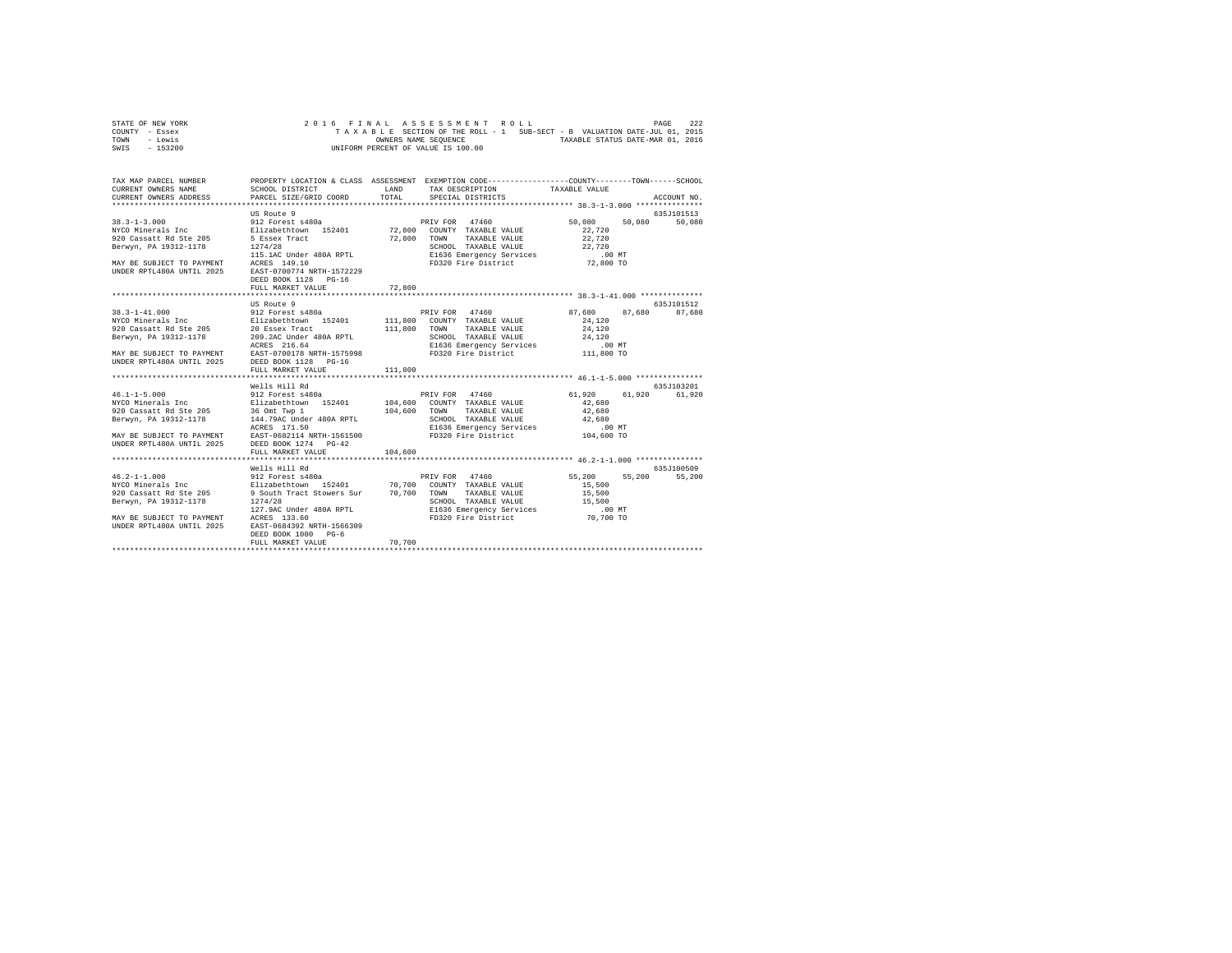| STATE OF NEW YORK | 2016 FINAL ASSESSMENT ROLL                                               |                                  | PAGE | 222 |
|-------------------|--------------------------------------------------------------------------|----------------------------------|------|-----|
| COUNTY - Essex    | TAXABLE SECTION OF THE ROLL - 1 SUB-SECT - B VALUATION DATE-JUL 01, 2015 |                                  |      |     |
| TOWN<br>- Lewis   | OWNERS NAME SEOUENCE                                                     | TAXABLE STATUS DATE-MAR 01, 2016 |      |     |
| - 153200<br>SWIS  | UNIFORM PERCENT OF VALUE IS 100.00                                       |                                  |      |     |

| TAX MAP PARCEL NUMBER<br>CURRENT OWNERS NAME<br>CURRENT OWNERS ADDRESS PARCEL SIZE/GRID COORD                                                                                                        | SCHOOL DISTRICT                                                                                                                                                          | LAND<br>TOTAL      | PROPERTY LOCATION & CLASS ASSESSMENT EXEMPTION CODE---------------COUNTY-------TOWN------SCHOOL<br>TAX DESCRIPTION TAXABLE VALUE<br>SPECIAL DISTRICTS                         |                                                | ACCOUNT NO.           |
|------------------------------------------------------------------------------------------------------------------------------------------------------------------------------------------------------|--------------------------------------------------------------------------------------------------------------------------------------------------------------------------|--------------------|-------------------------------------------------------------------------------------------------------------------------------------------------------------------------------|------------------------------------------------|-----------------------|
| $38.3 - 1 - 3.000$<br>NYCO Minerals Inc<br>920 Cassatt Rd Ste 205<br>Berwyn, PA 19312-1178<br>MAY BE SUBJECT TO PAYMENT ACRES 149.10<br>UNDER RPTL480A UNTIL 2025 EAST-0700774 NRTH-1572229          | US Route 9<br>912 Forest s480a<br>Elizabethtown 152401 72,800<br>5 Essex Tract 72,800<br>1274/28<br>115.1AC Under 480A RPTL<br>DEED BOOK 1128 PG-16<br>FULL MARKET VALUE | 72,800             | PRIV FOR<br>47460<br>COUNTY TAXABLE VALUE<br>TOWN<br>TAXABLE VALUE<br>SCHOOL TAXABLE VALUE                                                                                    | 50,080<br>50,080<br>22,720<br>22,720<br>22,720 | 635.7101513<br>50,080 |
|                                                                                                                                                                                                      |                                                                                                                                                                          |                    |                                                                                                                                                                               |                                                |                       |
| $38.3 - 1 - 41.000$<br>NYCO Minerals Inc<br>920 Cassatt Rd Ste 205<br>Berwyn, PA 19312-1178<br>MAY BE SUBJECT TO PAYMENT EAST-0700178 NRTH-1575998<br>UNDER RPTL480A UNTIL 2025 DEED BOOK 1128 PG-16 | US Route 9<br>912 Forest s480a<br>Elizabethtown 152401<br>20 Essex Tract<br>209.2AC Under 480A RPTL<br>ACRES 216.64<br>FULL MARKET VALUE                                 | 111,800<br>111,800 | PRIV FOR 47460<br>111,800 COUNTY TAXABLE VALUE<br>TOWN<br>TAXABLE VALUE<br>SCHOOL TAXABLE VALUE $24,120$<br>E1636 Emergency Services .00 MT<br>FD320 Fire District 111,800 TO | 87,680<br>87.680<br>24,120<br>24,120           | 635J101512<br>87,680  |
|                                                                                                                                                                                                      |                                                                                                                                                                          |                    |                                                                                                                                                                               |                                                |                       |
| $46.1 - 1 - 5.000$<br>NYCO Minerals Inc<br>920 Cassatt Rd Ste 205<br>Berwyn, PA 19312-1178<br>MAY BE SUBJECT TO PAYMENT EAST-0682114 NRTH-1561500 FD320 Fire District<br>UNDER RPTL480A UNTIL 2025   | Wells Hill Rd<br>36 Omt Twp 1<br>144.79AC Under 480A RPTL<br>ACRES 171.50<br>DEED BOOK 1274 PG-42                                                                        | 104,600            | TOWN<br>TAXABLE VALUE<br>SCHOOL TAXABLE VALUE 42,680<br>E1636 Emergency Services .00 MT<br>E1636 Emergency Services .00 MT                                                    | 61,920<br>61,920<br>42,680<br>42,680           | 635J103201<br>61,920  |
|                                                                                                                                                                                                      | FULL MARKET VALUE                                                                                                                                                        | 104,600            |                                                                                                                                                                               |                                                |                       |
| $46.2 - 1 - 1.000$<br>NYCO Minerals Inc<br>920 Cassatt Rd Ste 205<br>Berwyn, PA 19312-1178<br>MAY BE SUBJECT TO PAYMENT ACRES 133.60<br>UNDER RPTL480A UNTIL 2025                                    | Wells Hill Rd<br>912 Forest s480a<br>Elizabethtown 152401 70,700<br>9 South Tract Stowers Sur 70,700<br>1274/28<br>127.9AC Under 480A RPTL<br>EAST-0684392 NRTH-1566309  |                    | PRIV FOR<br>47460<br>COUNTY TAXABLE VALUE<br>TOWN<br>TAXABLE VALUE<br>SCHOOL TAXABLE VALUE 15,500<br>E1636 Emergency Services 100 MT<br>FD320 Fire District 70,700 TO         | 55,200<br>55,200<br>15,500<br>15,500           | 635J100509<br>55,200  |
|                                                                                                                                                                                                      | DEED BOOK 1000<br>$PG-6$<br>FULL MARKET VALUE                                                                                                                            | 70,700             |                                                                                                                                                                               |                                                |                       |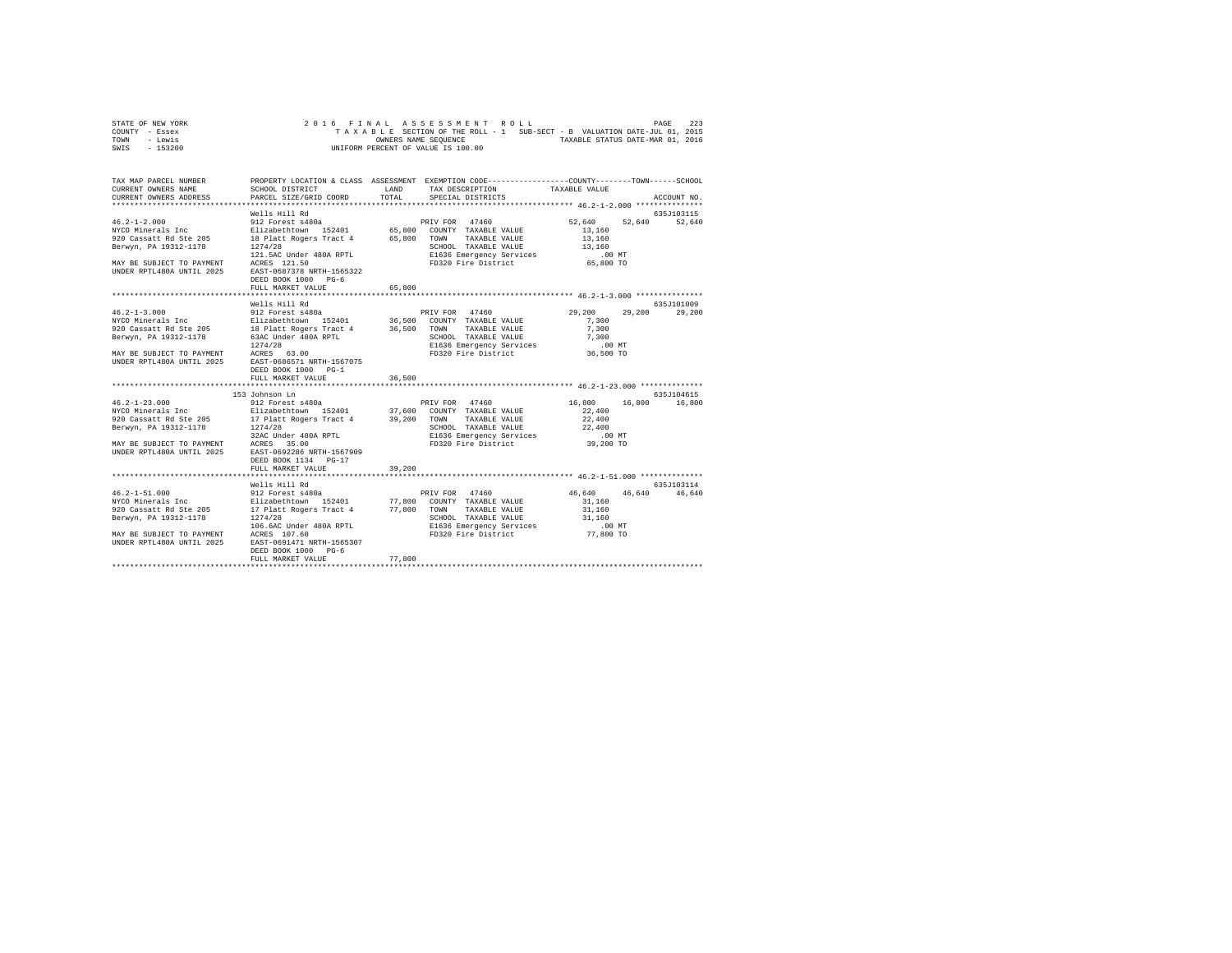| STATE OF NEW YORK | 2016 FINAL ASSESSMENT ROLL                                               | 223<br>PAGE                      |
|-------------------|--------------------------------------------------------------------------|----------------------------------|
| COUNTY - Essex    | TAXABLE SECTION OF THE ROLL - 1 SUB-SECT - B VALUATION DATE-JUL 01, 2015 |                                  |
| TOWN<br>- Lewis   | OWNERS NAME SEOUENCE                                                     | TAXABLE STATUS DATE-MAR 01, 2016 |
| - 153200<br>SWIS  | UNIFORM PERCENT OF VALUE IS 100.00                                       |                                  |

| TAX MAP PARCEL NUMBER<br>CURRENT OWNERS NAME<br>CURRENT OWNERS ADDRESS | SCHOOL DISTRICT<br>PARCEL SIZE/GRID COORD                                                                                                                                                                                                                                                                                                                                                                                                                                                                                                               | <b>T.AND</b><br>TOTAL | PROPERTY LOCATION & CLASS ASSESSMENT EXEMPTION CODE----------------COUNTY-------TOWN------SCHOOL<br>TAX DESCRIPTION<br>SPECIAL DISTRICTS | TAXABLE VALUE                                                                         | ACCOUNT NO.                 |
|------------------------------------------------------------------------|---------------------------------------------------------------------------------------------------------------------------------------------------------------------------------------------------------------------------------------------------------------------------------------------------------------------------------------------------------------------------------------------------------------------------------------------------------------------------------------------------------------------------------------------------------|-----------------------|------------------------------------------------------------------------------------------------------------------------------------------|---------------------------------------------------------------------------------------|-----------------------------|
| UNDER RPTL480A UNTIL 2025 EAST-0687378 NRTH-1565322                    | 46.2-1-2.000<br>Wells Hill Rd<br>212 Porest s480a<br>22 Porest s480a<br>22 Porest s480a<br>220 Cassatt Rd Ste 205<br>220 Cassatt Rd Ste 205<br>22 Party Party Proper State 4<br>227/28<br>227/28<br>227/28<br>227/28<br>227/28<br>227/28<br>227/28<br>228 CE<br>121.5AC Under 480A RPTL<br>MAY BE SUBJECT TO PAYMENT ACRES 121.50<br>DEED BOOK 1000 PG-6<br>FULL MARKET VALUE                                                                                                                                                                           | 65,800                | SCHOOL TAXABLE VALUE<br>E1636 Emergency Services<br>FD320 Fire District                                                                  | 52,640 52,640 52,640<br>13,160<br>13,160<br>13,160<br>$.00$ MT<br>⊥س ∪ں.<br>65,800 TO | 635J103115                  |
|                                                                        | Wells Hill Rd<br>DEED BOOK 1000 PG-1<br>FULL MARKET VALUE                                                                                                                                                                                                                                                                                                                                                                                                                                                                                               | 36,500                | SCHOOL TAXABLE VALUE 7,300<br>E1636 Emergency Services 6.00 MT<br>FD320 Fire District 36,500 TO                                          | 29,200<br>7.300<br>7,300                                                              | 635J101009<br>29,200 29,200 |
|                                                                        | 153 Johnson Ln<br>$\begin{array}{lllllllll} 46.2\text{--}1\text{--}23.000 & & & & 912\text{ Forest s480a} & & & & \text{PRIV FOR} & 47460 \\ \text{NYCO Minerals Inc} & & & \text{Eilizabethttown} & 152401 & & & 37,600 & \text{COUNTY TAXABLE VAUUE} \end{array}$<br>230 Cassatt Rd Ste 205 17 Platt Rogers Tract 4 29, 200 TOWN TAXABLE VALUE<br>Berwyn, PA 19312-1178 1274/28 Under 480A RPTL SCROOL TAXABLE VALUE<br>BETWYN, BE SUBJECT TO PAYMENT ACRES 35.00 200 E1636 Emergency Services<br>MAY BE<br>DEED BOOK 1134 PG-17<br>FULL MARKET VALUE | 39,200                | E1636 Emergency Services<br>FD320 Fire District                                                                                          | 16,800 16,800 16,800<br>22,400<br>22,400<br>22,400<br>$.00$ MT<br>39,200 TO           | 635J104615                  |
| 46.2-1-51.000<br>NYCO Minerals Inc                                     | Wells Hill Rd<br>ACCO CARRIER AND TOWER 17 PLACE RESERVE THAT A 19312-1178<br>SERVING TO PASSE AND TO A 19312-1178<br>BETWYN, PA 19312-1178<br>MAY BE SUBSICT TO PAYMENT ACRES 107.60<br>MAY BE SUBSICT TO PAYMENT ACRES 107.60<br>MORE RETLAGOA UNTIL 20<br>DEED BOOK 1000 PG-6                                                                                                                                                                                                                                                                        | 77,800                |                                                                                                                                          | 46,640 46,640 46,640<br>31,160<br>31,160<br>31,160<br>.00MT<br>77,800 TO              | 635J103114                  |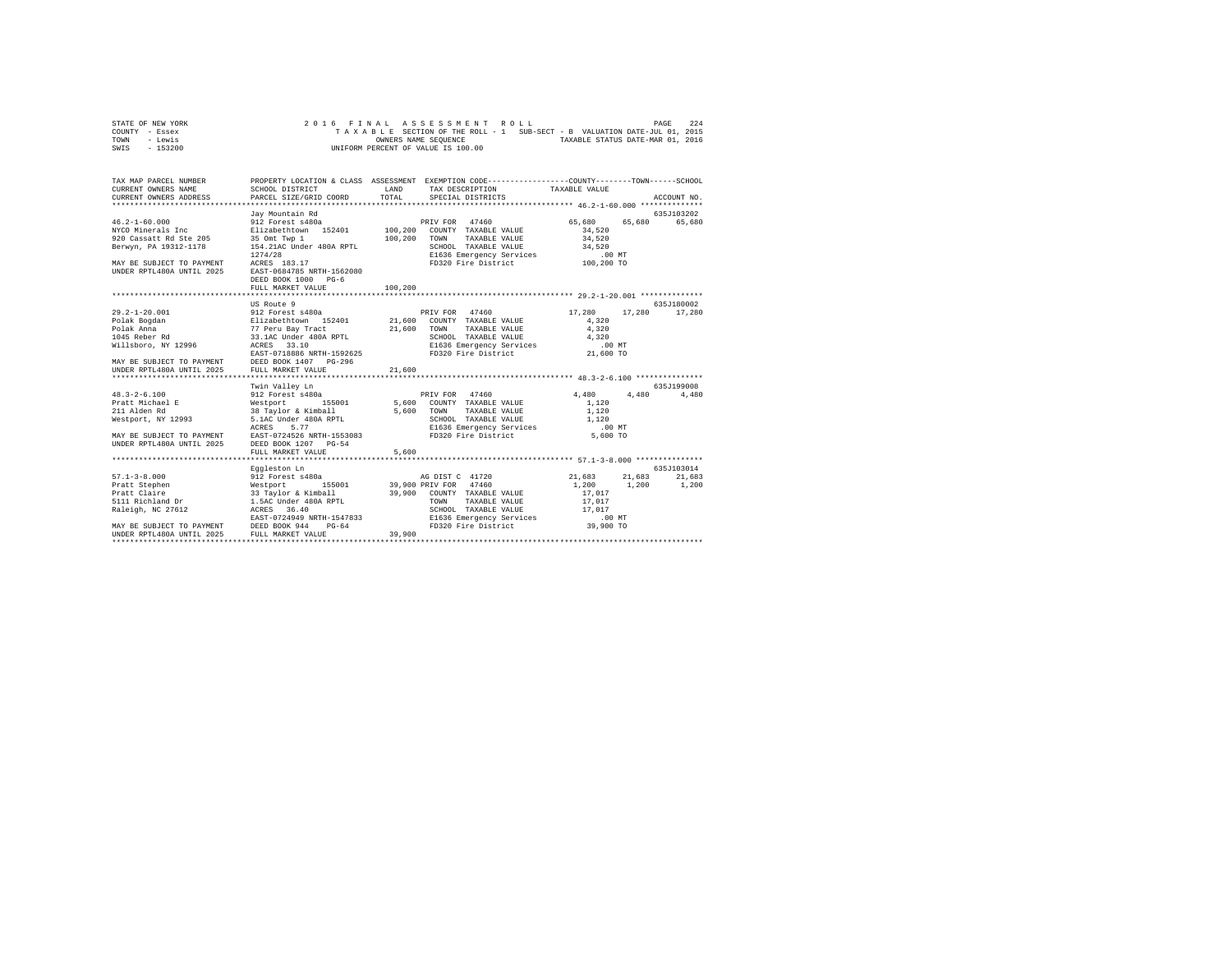| STATE OF NEW YORK |  |  | 2016 FINAL ASSESSMENT ROLL                                               |  | PAGE                             | 2.2.4 |
|-------------------|--|--|--------------------------------------------------------------------------|--|----------------------------------|-------|
| COUNTY - Essex    |  |  | TAXABLE SECTION OF THE ROLL - 1 SUB-SECT - B VALUATION DATE-JUL 01, 2015 |  |                                  |       |
| TOWN<br>- Lewis   |  |  | OWNERS NAME SEOUENCE                                                     |  | TAXABLE STATUS DATE-MAR 01, 2016 |       |
| - 153200<br>SWIS  |  |  | UNIFORM PERCENT OF VALUE IS 100.00                                       |  |                                  |       |

| PROPERTY LOCATION & CLASS ASSESSMENT EXEMPTION CODE----------------COUNTY-------TOWN------SCHOOL<br>LAND<br>TAX DESCRIPTION TAXABLE VALUE<br>SCHOOL DISTRICT<br>PARCEL SIZE/GRID COORD<br>TOTAL<br>SPECIAL DISTRICTS<br>ACCOUNT NO.<br>635J103202<br>Jav Mountain Rd<br>65,680<br>912 Forest s480a<br>PRIV FOR 47460<br>65,680<br>65,680<br>NYCO Minerals Inc 5 21 Elizabethtown 152401 100,200 COUNTY TAXABLE VALUE<br>34,520<br>100,200<br>34,520<br>920 Cassatt Rd Ste 205 35 Omt Twp 1<br>TOWN<br>TAXABLE VALUE<br>154.21AC Under 480A RPTL<br>SCHOOL TAXABLE VALUE<br>34,520<br>E1636 Emergency Services<br>$.00$ MT<br>FD320 Fire District 100,200 TO<br>DEED BOOK 1000 PG-6<br>100,200<br>FULL MARKET VALUE<br>635J180002<br>17,280<br>17,280<br>17,280<br>4.320<br>Polak Anna 1988 - 1988 - 1989 - 1989 - 1989 - 1989 - 1989 - 1989 - 1989 - 1989 - 1989 - 1989 - 1989 - 1989 - 1<br>1045 Reber Rd 1999 - 1988 - 1988 - 1989 - 1989 - 1989 - 1989 - 1989 - 1989 - 1989 - 1989 - 1989 - 1989 - 1989<br>N<br>TAXABLE VALUE<br>4.320<br>SCHOOL TAXABLE VALUE 4,320<br>E1636 Emergency Services .00 MT<br>635J199008<br>$48.3 - 2 - 6.100$<br>PRIV FOR 47460<br>4,480 4,480<br>4,480<br>1,120<br>1,120<br>SCHOOL TAXABLE VALUE 1,120<br>E1636 Emergency Services<br>FD320 Fire District<br>$.00$ MT<br>MAY BE SUBJECT TO PAYMENT EAST-0724526 NRTH-1553083<br>5,600 TO<br>DEED BOOK 1207 PG-54<br>5,600<br>FULL MARKET VALUE<br>635J103014<br>Eggleston Ln<br>-33-0000 mm<br>912 Forest s480a<br>21,683 21,683<br>AG DIST C 41720<br>21,683<br>1,200<br>1,200<br>1,200<br>17,017<br>17,017<br>SCHOOL TAXABLE VALUE 17.017<br>EN ELEST-0724949 NRTH-1547833<br>MAY BE SUBJECT TO PAYMENT DEED BOOK 944 PG-64 PO-64 PD320 Fire District (39,900 TO<br>FD320 Fire District<br>UNDER RPTL480A UNTIL 2025 FULL MARKET VALUE<br>39,900 |                                                                        |  |  |  |
|--------------------------------------------------------------------------------------------------------------------------------------------------------------------------------------------------------------------------------------------------------------------------------------------------------------------------------------------------------------------------------------------------------------------------------------------------------------------------------------------------------------------------------------------------------------------------------------------------------------------------------------------------------------------------------------------------------------------------------------------------------------------------------------------------------------------------------------------------------------------------------------------------------------------------------------------------------------------------------------------------------------------------------------------------------------------------------------------------------------------------------------------------------------------------------------------------------------------------------------------------------------------------------------------------------------------------------------------------------------------------------------------------------------------------------------------------------------------------------------------------------------------------------------------------------------------------------------------------------------------------------------------------------------------------------------------------------------------------------------------------------------------------------------------------------------------------------------|------------------------------------------------------------------------|--|--|--|
|                                                                                                                                                                                                                                                                                                                                                                                                                                                                                                                                                                                                                                                                                                                                                                                                                                                                                                                                                                                                                                                                                                                                                                                                                                                                                                                                                                                                                                                                                                                                                                                                                                                                                                                                                                                                                                      | TAX MAP PARCEL NUMBER<br>CURRENT OWNERS NAME<br>CURRENT OWNERS ADDRESS |  |  |  |
|                                                                                                                                                                                                                                                                                                                                                                                                                                                                                                                                                                                                                                                                                                                                                                                                                                                                                                                                                                                                                                                                                                                                                                                                                                                                                                                                                                                                                                                                                                                                                                                                                                                                                                                                                                                                                                      | $46.2 - 1 - 60.000$<br>Berwyn, PA 19312-1178                           |  |  |  |
|                                                                                                                                                                                                                                                                                                                                                                                                                                                                                                                                                                                                                                                                                                                                                                                                                                                                                                                                                                                                                                                                                                                                                                                                                                                                                                                                                                                                                                                                                                                                                                                                                                                                                                                                                                                                                                      |                                                                        |  |  |  |
|                                                                                                                                                                                                                                                                                                                                                                                                                                                                                                                                                                                                                                                                                                                                                                                                                                                                                                                                                                                                                                                                                                                                                                                                                                                                                                                                                                                                                                                                                                                                                                                                                                                                                                                                                                                                                                      |                                                                        |  |  |  |
|                                                                                                                                                                                                                                                                                                                                                                                                                                                                                                                                                                                                                                                                                                                                                                                                                                                                                                                                                                                                                                                                                                                                                                                                                                                                                                                                                                                                                                                                                                                                                                                                                                                                                                                                                                                                                                      |                                                                        |  |  |  |
|                                                                                                                                                                                                                                                                                                                                                                                                                                                                                                                                                                                                                                                                                                                                                                                                                                                                                                                                                                                                                                                                                                                                                                                                                                                                                                                                                                                                                                                                                                                                                                                                                                                                                                                                                                                                                                      |                                                                        |  |  |  |
|                                                                                                                                                                                                                                                                                                                                                                                                                                                                                                                                                                                                                                                                                                                                                                                                                                                                                                                                                                                                                                                                                                                                                                                                                                                                                                                                                                                                                                                                                                                                                                                                                                                                                                                                                                                                                                      |                                                                        |  |  |  |
|                                                                                                                                                                                                                                                                                                                                                                                                                                                                                                                                                                                                                                                                                                                                                                                                                                                                                                                                                                                                                                                                                                                                                                                                                                                                                                                                                                                                                                                                                                                                                                                                                                                                                                                                                                                                                                      | UNDER RPTL480A UNTIL 2025                                              |  |  |  |
|                                                                                                                                                                                                                                                                                                                                                                                                                                                                                                                                                                                                                                                                                                                                                                                                                                                                                                                                                                                                                                                                                                                                                                                                                                                                                                                                                                                                                                                                                                                                                                                                                                                                                                                                                                                                                                      |                                                                        |  |  |  |
|                                                                                                                                                                                                                                                                                                                                                                                                                                                                                                                                                                                                                                                                                                                                                                                                                                                                                                                                                                                                                                                                                                                                                                                                                                                                                                                                                                                                                                                                                                                                                                                                                                                                                                                                                                                                                                      |                                                                        |  |  |  |
|                                                                                                                                                                                                                                                                                                                                                                                                                                                                                                                                                                                                                                                                                                                                                                                                                                                                                                                                                                                                                                                                                                                                                                                                                                                                                                                                                                                                                                                                                                                                                                                                                                                                                                                                                                                                                                      | $57.1 - 3 - 8.000$                                                     |  |  |  |
|                                                                                                                                                                                                                                                                                                                                                                                                                                                                                                                                                                                                                                                                                                                                                                                                                                                                                                                                                                                                                                                                                                                                                                                                                                                                                                                                                                                                                                                                                                                                                                                                                                                                                                                                                                                                                                      |                                                                        |  |  |  |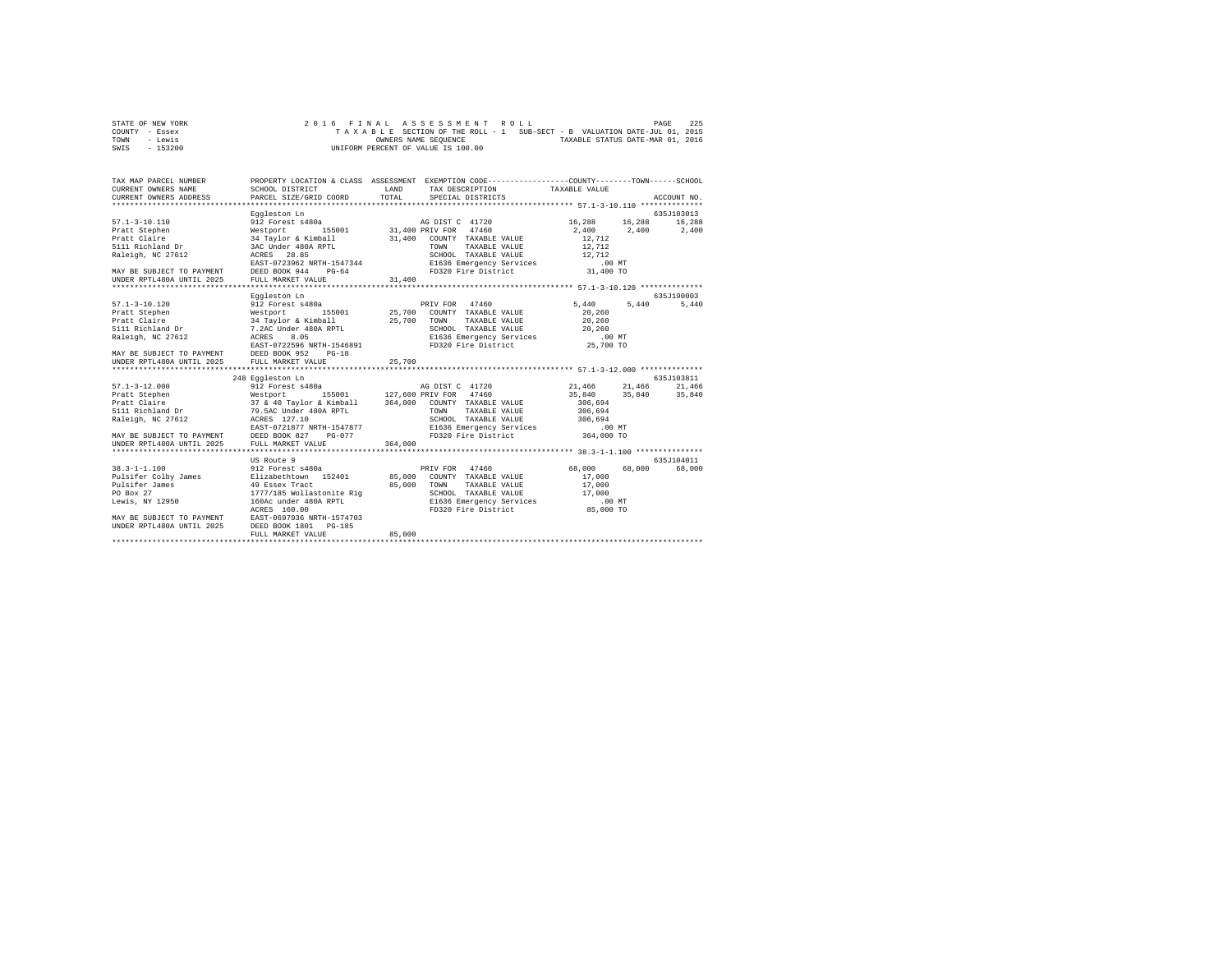| STATE OF NEW YORK |  | 2016 FINAL ASSESSMENT ROLL         | PAGE                                                                     | 225 |
|-------------------|--|------------------------------------|--------------------------------------------------------------------------|-----|
| COUNTY - Essex    |  |                                    | TAXABLE SECTION OF THE ROLL - 1 SUB-SECT - B VALUATION DATE-JUL 01, 2015 |     |
| TOWN<br>- Lewis   |  | OWNERS NAME SEOUENCE               | TAXABLE STATUS DATE-MAR 01, 2016                                         |     |
| - 153200<br>SWIS  |  | UNIFORM PERCENT OF VALUE IS 100.00 |                                                                          |     |

| TAX MAP PARCEL NUMBER                                                                                                                                                                                                                |                                                                                                                                                                                                                                      |              | PROPERTY LOCATION & CLASS ASSESSMENT EXEMPTION CODE---------------COUNTY-------TOWN------SCHOOL |                      |        |             |
|--------------------------------------------------------------------------------------------------------------------------------------------------------------------------------------------------------------------------------------|--------------------------------------------------------------------------------------------------------------------------------------------------------------------------------------------------------------------------------------|--------------|-------------------------------------------------------------------------------------------------|----------------------|--------|-------------|
| CURRENT OWNERS NAME                                                                                                                                                                                                                  | SCHOOL DISTRICT                                                                                                                                                                                                                      | <b>T.AND</b> | TAX DESCRIPTION TAXABLE VALUE                                                                   |                      |        |             |
| CURRENT OWNERS ADDRESS                                                                                                                                                                                                               | PARCEL SIZE/GRID COORD                                                                                                                                                                                                               | TOTAL        | SPECIAL DISTRICTS                                                                               |                      |        | ACCOUNT NO. |
|                                                                                                                                                                                                                                      |                                                                                                                                                                                                                                      |              |                                                                                                 |                      |        |             |
|                                                                                                                                                                                                                                      | Eggleston Ln                                                                                                                                                                                                                         |              |                                                                                                 |                      |        | 635J103013  |
| $57.1 - 3 - 10.110$                                                                                                                                                                                                                  | 912 Forest s480a                                                                                                                                                                                                                     |              | AG DIST C 41720                                                                                 | 16,288 16,288 16,288 |        |             |
| Pratt Stephen Westport                                                                                                                                                                                                               |                                                                                                                                                                                                                                      |              | 155001 31,400 PRIV FOR 47460                                                                    | 2,400 2,400 2,400    |        |             |
| Pratt Claire<br>5111 Richland Dr                                                                                                                                                                                                     |                                                                                                                                                                                                                                      |              | 31,400 COUNTY TAXABLE VALUE                                                                     | 12,712               |        |             |
|                                                                                                                                                                                                                                      | 34 Taylor & Kimball<br>3AC Under 480A RPTL                                                                                                                                                                                           |              | TOWN<br>TAXABLE VALUE                                                                           | 12,712               |        |             |
| Raleigh, NC 27612                                                                                                                                                                                                                    | ---- ----- - --- --- ---<br>ACRES 28.85<br>EAST-0723962 NRTH-1547344<br>ACRES 28.85                                                                                                                                                  |              | SCHOOL TAXABLE VALUE 12,712                                                                     |                      |        |             |
| EAST-0723962 NRTH-1547344 E1636 Emergency Services .00 NT<br>MAY BE SUBJECT TO PAYMENT DEED BOOK 944 PG-64 FD320 Fire District .01,400 TO                                                                                            |                                                                                                                                                                                                                                      |              |                                                                                                 |                      |        |             |
|                                                                                                                                                                                                                                      |                                                                                                                                                                                                                                      |              |                                                                                                 |                      |        |             |
|                                                                                                                                                                                                                                      |                                                                                                                                                                                                                                      |              |                                                                                                 |                      |        |             |
|                                                                                                                                                                                                                                      |                                                                                                                                                                                                                                      |              |                                                                                                 |                      |        |             |
|                                                                                                                                                                                                                                      | Eggleston Ln                                                                                                                                                                                                                         |              |                                                                                                 |                      |        | 635J190003  |
| $57.1 - 3 - 10.120$                                                                                                                                                                                                                  | 912 Forest s480a                                                                                                                                                                                                                     |              | PRIV FOR 47460                                                                                  | 5,440                | 5,440  | 5,440       |
| Pratt Stephen<br>Pratt Claire                                                                                                                                                                                                        |                                                                                                                                                                                                                                      |              |                                                                                                 |                      |        |             |
|                                                                                                                                                                                                                                      |                                                                                                                                                                                                                                      |              |                                                                                                 |                      |        |             |
|                                                                                                                                                                                                                                      |                                                                                                                                                                                                                                      |              |                                                                                                 |                      |        |             |
|                                                                                                                                                                                                                                      |                                                                                                                                                                                                                                      |              |                                                                                                 |                      |        |             |
| 911 Pract Stephen Meetport (155001 25,700 COUNTY TAXABLE VALUE 20,260<br>1921 Pract Claire (160 AT TRIVITY 200 25,700 TOWN TAXABLE VALUE 20,260 FOR SALUE 20,260 FOR SALUE 20,260 FOR S<br>1921 Richland Dr (1.2AC Under 480A RPTL 2 |                                                                                                                                                                                                                                      |              |                                                                                                 |                      |        |             |
| MAY BE SUBJECT TO PAYMENT DEED BOOK 952<br>UNDER RPTL480A UNTIL 2025 FULL MARKET VA                                                                                                                                                  | $PG-18$                                                                                                                                                                                                                              |              |                                                                                                 |                      |        |             |
|                                                                                                                                                                                                                                      | FULL MARKET VALUE                                                                                                                                                                                                                    | 25,700       |                                                                                                 |                      |        |             |
|                                                                                                                                                                                                                                      |                                                                                                                                                                                                                                      |              |                                                                                                 |                      |        |             |
|                                                                                                                                                                                                                                      | 248 Eggleston Ln                                                                                                                                                                                                                     |              |                                                                                                 |                      |        | 635J103811  |
| $57.1 - 3 - 12.000$                                                                                                                                                                                                                  | $912$ Forest $s480a$                                                                                                                                                                                                                 |              | AG DIST C 41720 21,466 21,466                                                                   |                      |        | 21,466      |
|                                                                                                                                                                                                                                      |                                                                                                                                                                                                                                      |              |                                                                                                 | 35,840 35,840 35,840 |        |             |
|                                                                                                                                                                                                                                      |                                                                                                                                                                                                                                      |              |                                                                                                 | 306,694              |        |             |
|                                                                                                                                                                                                                                      |                                                                                                                                                                                                                                      |              |                                                                                                 | 306,694              |        |             |
| Raleigh, NC 27612 ACRES 127.10                                                                                                                                                                                                       |                                                                                                                                                                                                                                      |              | SCHOOL TAXABLE VALUE 306,694                                                                    |                      |        |             |
|                                                                                                                                                                                                                                      | EAST-0721877 NRTH-1547877                                                                                                                                                                                                            |              | RTH-1547877 E1636 Emergency Services<br>PG-077 FD320 Fire District                              | $.00$ MT             |        |             |
| MAY BE SUBJECT TO PAYMENT DEED BOOK 827                                                                                                                                                                                              |                                                                                                                                                                                                                                      |              |                                                                                                 | 364,000 TO           |        |             |
|                                                                                                                                                                                                                                      |                                                                                                                                                                                                                                      |              |                                                                                                 |                      |        |             |
|                                                                                                                                                                                                                                      |                                                                                                                                                                                                                                      |              |                                                                                                 |                      |        |             |
|                                                                                                                                                                                                                                      | US Route 9                                                                                                                                                                                                                           |              |                                                                                                 |                      |        | 635J104011  |
| $38.3 - 1 - 1.100$                                                                                                                                                                                                                   |                                                                                                                                                                                                                                      |              | 47460<br>PRIV FOR                                                                               | 68,000               | 68,000 | 68,000      |
| Pulsifer Colby James                                                                                                                                                                                                                 |                                                                                                                                                                                                                                      |              | COUNTY TAXABLE VALUE                                                                            | 17,000               |        |             |
| Pulsifer James                                                                                                                                                                                                                       |                                                                                                                                                                                                                                      |              | TOWN<br>TAXABLE VALUE                                                                           | 17,000               |        |             |
| PO Box 27                                                                                                                                                                                                                            |                                                                                                                                                                                                                                      |              |                                                                                                 |                      |        |             |
| Lewis, NY 12950                                                                                                                                                                                                                      | 17/7/185 Wollastonite Rig 2010000 SCHOOL TAXABLE VALUE 17,000<br>160Ac under 480A RPTL 201636 Express Services 20100 201606 160Ac 160Ac 160Ac 160Ac 160Ac 160Ac 17.000 EXPLEMEN<br>2010 20170 20170 20161 20161 20161 20161 20161 20 |              |                                                                                                 |                      |        |             |
|                                                                                                                                                                                                                                      |                                                                                                                                                                                                                                      |              |                                                                                                 |                      |        |             |
| MAY BE SUBJECT TO PAYMENT BAST-0697936 NRTH-1574703<br>UNDER RPTL480A UNTIL 2025 DEED BOOK 1801 PG-185                                                                                                                               |                                                                                                                                                                                                                                      |              |                                                                                                 |                      |        |             |
|                                                                                                                                                                                                                                      |                                                                                                                                                                                                                                      |              |                                                                                                 |                      |        |             |
|                                                                                                                                                                                                                                      | FULL MARKET VALUE                                                                                                                                                                                                                    | 85,000       |                                                                                                 |                      |        |             |
|                                                                                                                                                                                                                                      |                                                                                                                                                                                                                                      |              |                                                                                                 |                      |        |             |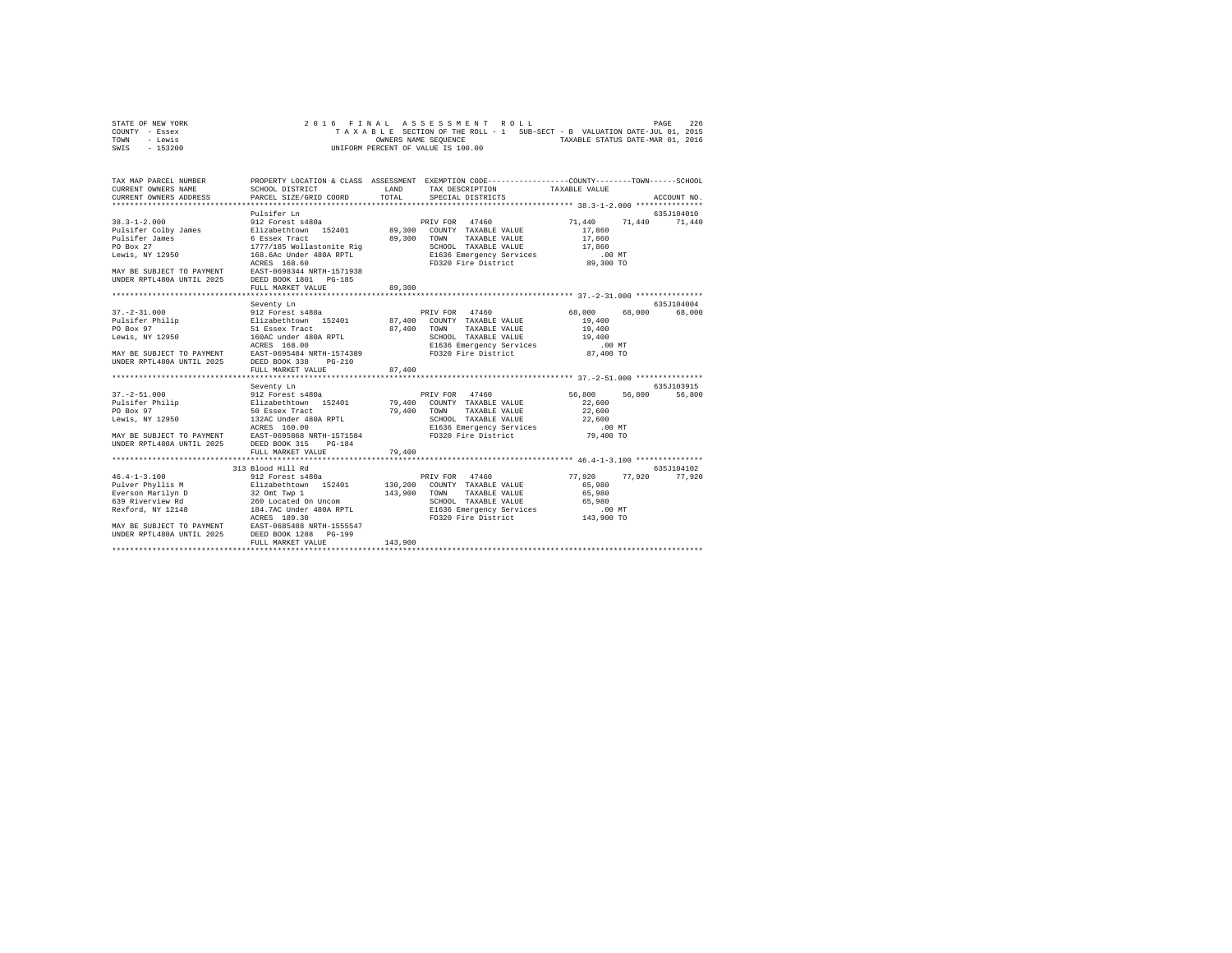| STATE OF NEW YORK | 2016 FINAL ASSESSMENT ROLL                                               | 226<br>PAGE                      |
|-------------------|--------------------------------------------------------------------------|----------------------------------|
| COUNTY - Essex    | TAXABLE SECTION OF THE ROLL - 1 SUB-SECT - B VALUATION DATE-JUL 01, 2015 |                                  |
| TOWN<br>- Lewis   | OWNERS NAME SEOUENCE                                                     | TAXABLE STATUS DATE-MAR 01, 2016 |
| - 153200<br>SWIS  | UNIFORM PERCENT OF VALUE IS 100.00                                       |                                  |

| TAX MAP PARCEL NUMBER                                                                                                                                                                                                                     |                   |         | PROPERTY LOCATION & CLASS ASSESSMENT EXEMPTION CODE---------------COUNTY-------TOWN------SCHOOL |                         |               |
|-------------------------------------------------------------------------------------------------------------------------------------------------------------------------------------------------------------------------------------------|-------------------|---------|-------------------------------------------------------------------------------------------------|-------------------------|---------------|
|                                                                                                                                                                                                                                           |                   |         |                                                                                                 |                         |               |
|                                                                                                                                                                                                                                           |                   |         |                                                                                                 |                         |               |
|                                                                                                                                                                                                                                           |                   |         |                                                                                                 |                         |               |
|                                                                                                                                                                                                                                           | Pulsifer Ln       |         |                                                                                                 |                         | 635J104010    |
| $38.3 - 1 - 2.000$                                                                                                                                                                                                                        | 912 Forest s480a  |         | PRIV FOR 47460                                                                                  | 71,440 71,440 71,440    |               |
|                                                                                                                                                                                                                                           |                   |         |                                                                                                 |                         |               |
|                                                                                                                                                                                                                                           |                   |         |                                                                                                 |                         |               |
|                                                                                                                                                                                                                                           |                   |         |                                                                                                 |                         |               |
|                                                                                                                                                                                                                                           |                   |         |                                                                                                 |                         |               |
|                                                                                                                                                                                                                                           |                   |         |                                                                                                 |                         |               |
| MAY BE SUBJECT TO PAYMENT EAST-0698344 NRTH-1571938<br>UNDER RPTL480A UNTIL 2025 DEED BOOK 1801 PG-185                                                                                                                                    |                   |         |                                                                                                 |                         |               |
|                                                                                                                                                                                                                                           | FULL MARKET VALUE | 89,300  |                                                                                                 |                         |               |
|                                                                                                                                                                                                                                           |                   |         |                                                                                                 |                         |               |
|                                                                                                                                                                                                                                           | Seventy Ln        |         |                                                                                                 |                         | 635J104004    |
|                                                                                                                                                                                                                                           |                   |         |                                                                                                 | 68,000 68,000 68,000    |               |
|                                                                                                                                                                                                                                           |                   |         |                                                                                                 |                         |               |
|                                                                                                                                                                                                                                           |                   |         |                                                                                                 |                         |               |
|                                                                                                                                                                                                                                           |                   |         |                                                                                                 |                         |               |
|                                                                                                                                                                                                                                           |                   |         |                                                                                                 |                         |               |
|                                                                                                                                                                                                                                           |                   |         |                                                                                                 |                         |               |
|                                                                                                                                                                                                                                           |                   |         |                                                                                                 |                         |               |
|                                                                                                                                                                                                                                           | FULL MARKET VALUE | 87,400  |                                                                                                 |                         |               |
|                                                                                                                                                                                                                                           |                   |         |                                                                                                 |                         |               |
| 37.-2-51.000<br>PRIV FOR 1796 212 Forest s480a<br>Pulsifer Philip Elizabethcwn 152401 79,400 COUNTY TAXABLE VALUE<br>PO Box 97<br>De SO Essex Tract 190A RPTL 79,400 TOWN TAXABLE VALUE<br>Lewis, NY 12950 132AC Under 480A RPTL<br>Lewis |                   |         |                                                                                                 |                         | 635J103915    |
|                                                                                                                                                                                                                                           |                   |         | PRIV FOR 47460                                                                                  | 56,800 56,800<br>22,600 | 56,800        |
|                                                                                                                                                                                                                                           |                   |         |                                                                                                 | 22,600                  |               |
|                                                                                                                                                                                                                                           |                   |         |                                                                                                 |                         |               |
|                                                                                                                                                                                                                                           |                   |         |                                                                                                 |                         |               |
|                                                                                                                                                                                                                                           |                   |         |                                                                                                 |                         |               |
| UNDER RPTL480A UNTIL 2025 DEED BOOK 315 PG-184                                                                                                                                                                                            |                   |         |                                                                                                 |                         |               |
|                                                                                                                                                                                                                                           |                   | 79,400  |                                                                                                 |                         |               |
|                                                                                                                                                                                                                                           |                   |         |                                                                                                 |                         |               |
|                                                                                                                                                                                                                                           |                   |         |                                                                                                 |                         | 635J104102    |
|                                                                                                                                                                                                                                           |                   |         |                                                                                                 | 77.920                  | 77,920 77,920 |
|                                                                                                                                                                                                                                           |                   |         |                                                                                                 | 65,980                  |               |
|                                                                                                                                                                                                                                           |                   |         |                                                                                                 | 65,980                  |               |
|                                                                                                                                                                                                                                           |                   |         | SCHOOL TAXABLE VALUE 65,980                                                                     |                         |               |
|                                                                                                                                                                                                                                           |                   |         | E1636 Emergency Services .00 MT<br>FD320 Fire District  143,900 TO                              |                         |               |
|                                                                                                                                                                                                                                           |                   |         |                                                                                                 |                         |               |
|                                                                                                                                                                                                                                           |                   |         |                                                                                                 |                         |               |
|                                                                                                                                                                                                                                           |                   |         |                                                                                                 |                         |               |
|                                                                                                                                                                                                                                           | FULL MARKET VALUE | 143,900 |                                                                                                 |                         |               |
|                                                                                                                                                                                                                                           |                   |         |                                                                                                 |                         |               |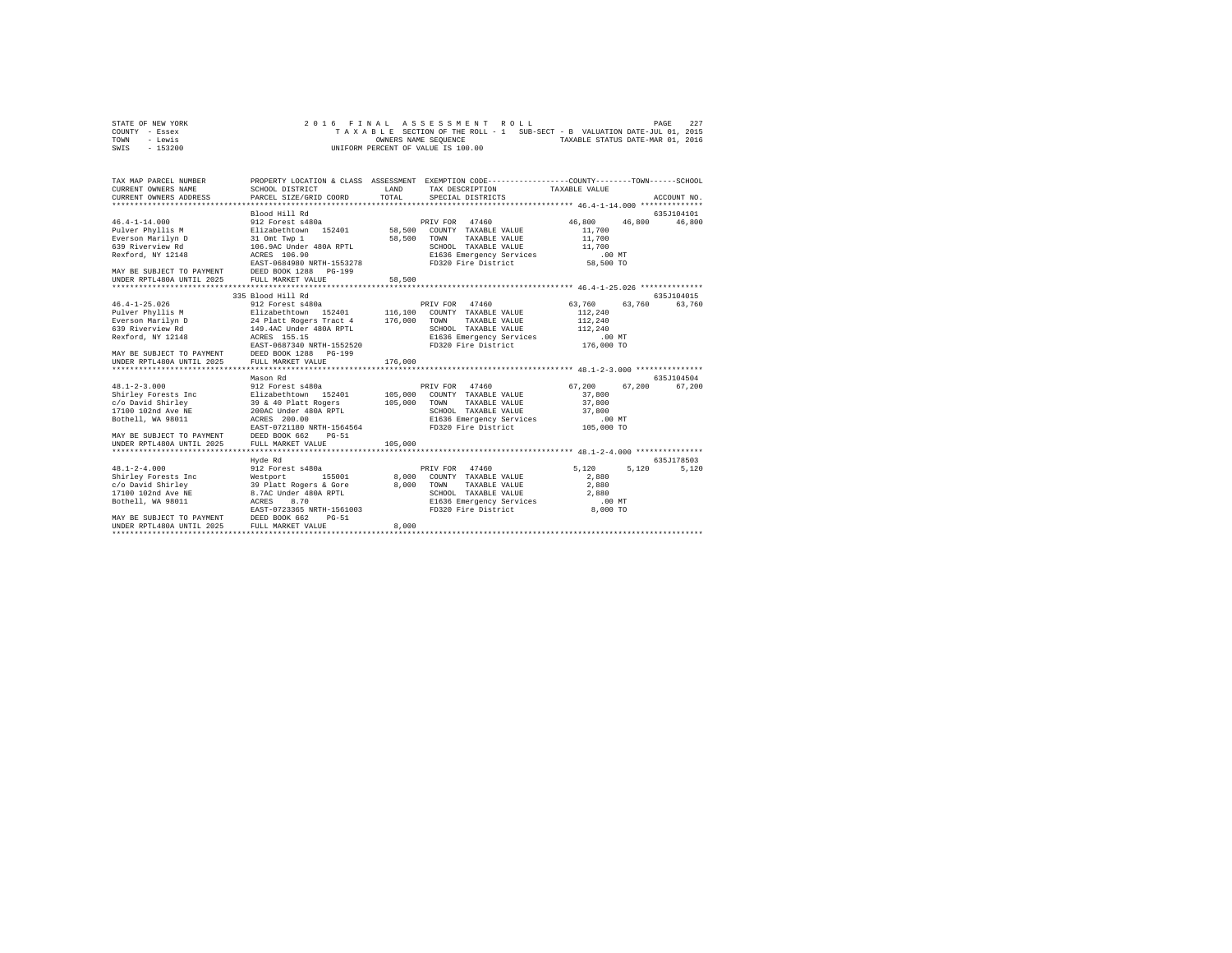| STATE OF NEW YORK |  |  |  | 2016 FINAL ASSESSMENT ROLL         |  |  |  |                                                                          | PAGE | 227 |
|-------------------|--|--|--|------------------------------------|--|--|--|--------------------------------------------------------------------------|------|-----|
| COUNTY - Essex    |  |  |  |                                    |  |  |  | TAXABLE SECTION OF THE ROLL - 1 SUB-SECT - B VALUATION DATE-JUL 01, 2015 |      |     |
| TOWN<br>- Lewis   |  |  |  | OWNERS NAME SEOUENCE               |  |  |  | TAXABLE STATUS DATE-MAR 01, 2016                                         |      |     |
| - 153200<br>SWIS  |  |  |  | UNIFORM PERCENT OF VALUE IS 100.00 |  |  |  |                                                                          |      |     |

| TAX MAP PARCEL NUMBER<br>CURRENT OWNERS NAME<br>CURRENT OWNERS ADDRESS                                                                                                                                                                                                       | SCHOOL DISTRICT<br>PARCEL SIZE/GRID COORD                                                                                                                                                                                                                                                                                                       | LAND<br>TOTAL                                       | PROPERTY LOCATION & CLASS ASSESSMENT EXEMPTION CODE----------------COUNTY-------TOWN------SCHOOL<br>TAX DESCRIPTION<br>SPECIAL DISTRICTS                                                                                                                                                 | TAXABLE VALUE                                                                                                                                             | ACCOUNT NO.                    |
|------------------------------------------------------------------------------------------------------------------------------------------------------------------------------------------------------------------------------------------------------------------------------|-------------------------------------------------------------------------------------------------------------------------------------------------------------------------------------------------------------------------------------------------------------------------------------------------------------------------------------------------|-----------------------------------------------------|------------------------------------------------------------------------------------------------------------------------------------------------------------------------------------------------------------------------------------------------------------------------------------------|-----------------------------------------------------------------------------------------------------------------------------------------------------------|--------------------------------|
| $46.4 - 1 - 14.000$<br>Pulver Phyllis M<br>Everson Marilyn D<br>639 Riverview Rd<br>Rexford, NY 12148<br>MAY BE SUBJECT TO PAYMENT DEED BOOK 1288                                                                                                                            | Blood Hill Rd<br>912 Forest s480a<br>Elizabethtown 152401<br>31 Omt Twp 1<br>106.9AC Under 480A RPTL<br>ACRES 106.90<br>EAST-0684980 NRTH-1553278<br>$PG-199$                                                                                                                                                                                   | 58,500<br>58,500                                    | PRIV FOR<br>47460<br>COUNTY TAXABLE VALUE<br>TOWN<br>TAXABLE VALUE<br>SCHOOL TAXABLE VALUE<br>E1636 Emergency Services<br>FD320 Fire District                                                                                                                                            | 46,800<br>46,800<br>11,700<br>11,700<br>11,700<br>$.00$ MT<br>58,500 TO                                                                                   | 635J104101<br>46,800           |
| UNDER RPTL480A UNTIL 2025                                                                                                                                                                                                                                                    | FULL MARKET VALUE                                                                                                                                                                                                                                                                                                                               | 58,500                                              |                                                                                                                                                                                                                                                                                          |                                                                                                                                                           |                                |
|                                                                                                                                                                                                                                                                              |                                                                                                                                                                                                                                                                                                                                                 |                                                     |                                                                                                                                                                                                                                                                                          |                                                                                                                                                           |                                |
|                                                                                                                                                                                                                                                                              | 335 Blood Hill Rd                                                                                                                                                                                                                                                                                                                               |                                                     |                                                                                                                                                                                                                                                                                          |                                                                                                                                                           | 635.T104015                    |
| $46.4 - 1 - 25.026$<br>Pulver Phyllis M<br>Everson Marilyn D<br>639 Riverview Rd<br>Rexford, NY 12148<br>MAY BE SUBJECT TO PAYMENT<br>UNDER RPTL480A UNTIL 2025<br>$48.1 - 2 - 3.000$<br>Shirley Forests Inc<br>c/o David Shirley<br>17100 102nd Ave NE<br>Bothell, WA 98011 | 912 Forest s480a<br>Elizabethtown 152401<br>24 Platt Rogers Tract 4<br>149.4AC Under 480A RPTL<br>ACRES 155.15<br>EAST-0687340 NRTH-1552520<br>DEED BOOK 1288 PG-199<br>FULL MARKET VALUE<br>Mason Rd<br>912 Forest s480a<br>Elizabethtown 152401<br>39 & 40 Platt Rogers<br>200AC Under 480A RPTL<br>ACRES 200.00<br>EAST-0721180 NRTH-1564564 | 116,100<br>176,000<br>176,000<br>105,000<br>105,000 | PRIV FOR 47460<br>COUNTY TAXABLE VALUE<br>TOWN<br>TAXABLE VALUE<br>SCHOOL TAXABLE VALUE<br>E1636 Emergency Services<br>FD320 Fire District<br>PRIV FOR 47460<br>COUNTY TAXABLE VALUE<br>TAXABLE VALUE<br>TOWN<br>SCHOOL TAXABLE VALUE<br>E1636 Emergency Services<br>FD320 Fire District | 63,760<br>63,760<br>112,240<br>112,240<br>112,240<br>$.00$ MT<br>176,000 TO<br>67.200<br>67.200<br>37,800<br>37,800<br>37,800<br>$.00$ $MT$<br>105,000 TO | 63,760<br>635J104504<br>67,200 |
| MAY BE SUBJECT TO PAYMENT<br>UNDER RPTL480A UNTIL 2025<br>*************************                                                                                                                                                                                          | DEED BOOK 662<br>$PG-51$<br>FULL MARKET VALUE<br>************************                                                                                                                                                                                                                                                                       | 105,000                                             |                                                                                                                                                                                                                                                                                          |                                                                                                                                                           |                                |
|                                                                                                                                                                                                                                                                              | Hyde Rd                                                                                                                                                                                                                                                                                                                                         |                                                     |                                                                                                                                                                                                                                                                                          |                                                                                                                                                           | 635.T178503                    |
| $48.1 - 2 - 4.000$<br>Shirley Forests Inc<br>c/o David Shirley<br>17100 102nd Ave NE<br>Bothell, WA 98011<br>MAY BE SUBJECT TO PAYMENT                                                                                                                                       | 912 Forest s480a<br>155001<br>Westport<br>39 Platt Rogers & Gore<br>8.7AC Under 480A RPTL<br>ACRES<br>8.70<br>EAST-0723365 NRTH-1561003<br>DEED BOOK 662<br>$PG-51$                                                                                                                                                                             | 8,000<br>8,000                                      | 47460<br>PRIV FOR<br>COUNTY TAXABLE VALUE<br>TOWN<br>TAXABLE VALUE<br>SCHOOL TAXABLE VALUE<br>E1636 Emergency Services<br>FD320 Fire District                                                                                                                                            | 5,120<br>5.120<br>2,880<br>2,880<br>2,880<br>.00 MT<br>8,000 TO                                                                                           | 5,120                          |
| UNDER RPTL480A UNTIL 2025                                                                                                                                                                                                                                                    | FULL MARKET VALUE                                                                                                                                                                                                                                                                                                                               | 8,000                                               |                                                                                                                                                                                                                                                                                          |                                                                                                                                                           |                                |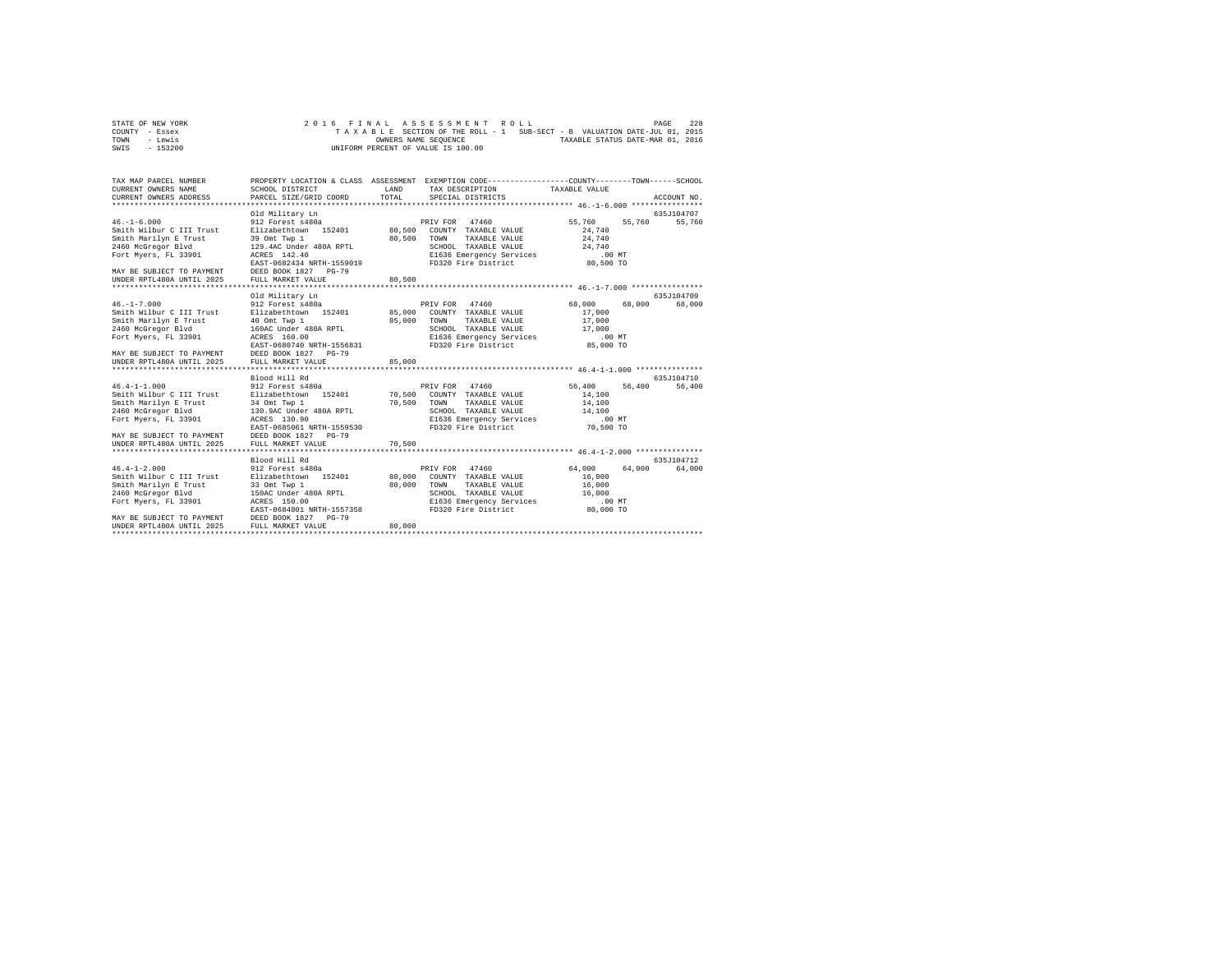| STATE OF NEW YORK | 2016 FINAL ASSESSMENT ROLL                                               |                      |  |                                  | PAGE | 228 |
|-------------------|--------------------------------------------------------------------------|----------------------|--|----------------------------------|------|-----|
| COUNTY - Essex    | TAXABLE SECTION OF THE ROLL - 1 SUB-SECT - B VALUATION DATE-JUL 01, 2015 |                      |  |                                  |      |     |
| TOWN<br>- Lewis   |                                                                          | OWNERS NAME SEOUENCE |  | TAXABLE STATUS DATE-MAR 01, 2016 |      |     |
| - 153200<br>SWIS  | UNIFORM PERCENT OF VALUE IS 100.00                                       |                      |  |                                  |      |     |

| TAX MAP PARCEL NUMBER<br>CURRENT OWNERS NAME<br>CURRENT OWNERS ADDRESS                                                                                                                              | SCHOOL DISTRICT<br>PARCEL SIZE/GRID COORD                                                                                                                                                                                           | LAND<br>TOTAL              | PROPERTY LOCATION & CLASS ASSESSMENT EXEMPTION CODE----------------COUNTY-------TOWN------SCHOOL<br>TAX DESCRIPTION<br>SPECIAL DISTRICTS                     | TAXABLE VALUE                                                                               | ACCOUNT NO.                                  |
|-----------------------------------------------------------------------------------------------------------------------------------------------------------------------------------------------------|-------------------------------------------------------------------------------------------------------------------------------------------------------------------------------------------------------------------------------------|----------------------------|--------------------------------------------------------------------------------------------------------------------------------------------------------------|---------------------------------------------------------------------------------------------|----------------------------------------------|
| $46. -1 - 6.000$<br>Smith Wilbur C III Trust<br>Smith Marilyn E Trust<br>2460 McGregor Blvd<br>Fort Myers, FL 33901<br>MAY BE SUBJECT TO PAYMENT<br>UNDER RPTL480A UNTIL 2025                       | Old Military Ln<br>912 Forest s480a<br>Elizabethtown 152401<br>39 Omt Twp 1<br>129.4AC Under 480A RPTL<br>ACRES 142.40<br>EAST-0682434 NRTH-1559019<br>DEED BOOK 1827 PG-79<br>FULL MARKET VALUE                                    | 80,500<br>80,500<br>80,500 | PRIV FOR 47460<br>COUNTY TAXABLE VALUE<br>TOWN<br>TAXABLE VALUE<br>SCHOOL TAXABLE VALUE<br>E1636 Emergency Services<br>FD320 Fire District                   | 55,760<br>55,760<br>24,740<br>24,740<br>24,740<br>$.00$ MT<br>80,500 TO                     | 635J104707<br>55,760                         |
|                                                                                                                                                                                                     |                                                                                                                                                                                                                                     |                            |                                                                                                                                                              |                                                                                             |                                              |
| $46. -1 - 7.000$<br>Smith Wilbur C III Trust<br>Smith Marilyn E Trust<br>2460 McGregor Blvd<br>Fort Myers, FL 33901<br>MAY BE SUBJECT TO PAYMENT<br>UNDER RPTL480A UNTIL 2025<br>$46.4 - 1 - 1.000$ | Old Military Ln<br>912 Forest s480a<br>Elizabethtown 152401<br>40 Omt Twp 1<br>160AC Under 480A RPTL<br>ACRES 160.00<br>EAST-0680740 NRTH-1556831<br>DEED BOOK 1827 PG-79<br>FULL MARKET VALUE<br>Blood Hill Rd<br>912 Forest s480a | 85,000<br>85,000<br>85,000 | PRIV FOR 47460<br>COUNTY TAXABLE VALUE<br>TAXABLE VALUE<br>TOWN<br>SCHOOL TAXABLE VALUE<br>E1636 Emergency Services<br>FD320 Fire District<br>PRIV FOR 47460 | 68,000<br>68,000<br>17,000<br>17,000<br>17,000<br>$.00$ MT<br>85,000 TO<br>56,400<br>56,400 | 635J104709<br>68,000<br>635J104710<br>56,400 |
| Smith Wilbur C III Trust<br>Smith Marilyn E Trust<br>2460 McGregor Blvd<br>Fort Myers, FL 33901<br>MAY BE SUBJECT TO PAYMENT<br>UNDER RPTL480A UNTIL 2025                                           | Elizabethtown 152401 70,500<br>34 Omt Twp 1<br>130.9AC Under 480A RPTL<br>ACRES 130.90<br>EAST-0685061 NRTH-1559530<br>DEED BOOK 1827 PG-79<br>FULL MARKET VALUE                                                                    | 70,500<br>70,500           | COUNTY TAXABLE VALUE<br>TAXABLE VALUE<br>TOWN<br>SCHOOL TAXABLE VALUE<br>E1636 Emergency Services<br>FD320 Fire District                                     | 14,100<br>14,100<br>14,100<br>$.00$ MT<br>70,500 TO                                         |                                              |
| $46.4 - 1 - 2.000$<br>Smith Wilbur C III Trust<br>Smith Marilyn E Trust<br>2460 McGregor Blvd<br>Fort Myers, FL 33901<br>MAY BE SUBJECT TO PAYMENT<br>UNDER RPTL480A UNTIL 2025                     | Blood Hill Rd<br>912 Forest s480a<br>Elizabethtown 152401<br>33 Omt Twp 1<br>150AC Under 480A RPTL<br>ACRES 150.00<br>EAST-0684801 NRTH-1557358<br>DEED BOOK 1827 PG-79<br>FULL MARKET VALUE                                        | 80,000<br>80,000<br>80,000 | 47460<br>PRIV FOR<br>COUNTY TAXABLE VALUE<br>TOWN<br>TAXABLE VALUE<br>SCHOOL TAXABLE VALUE<br>E1636 Emergency Services<br>FD320 Fire District                | 64,000<br>64,000<br>16,000<br>16,000<br>16,000<br>$.00$ MT<br>80,000 TO                     | 635.T104712<br>64,000                        |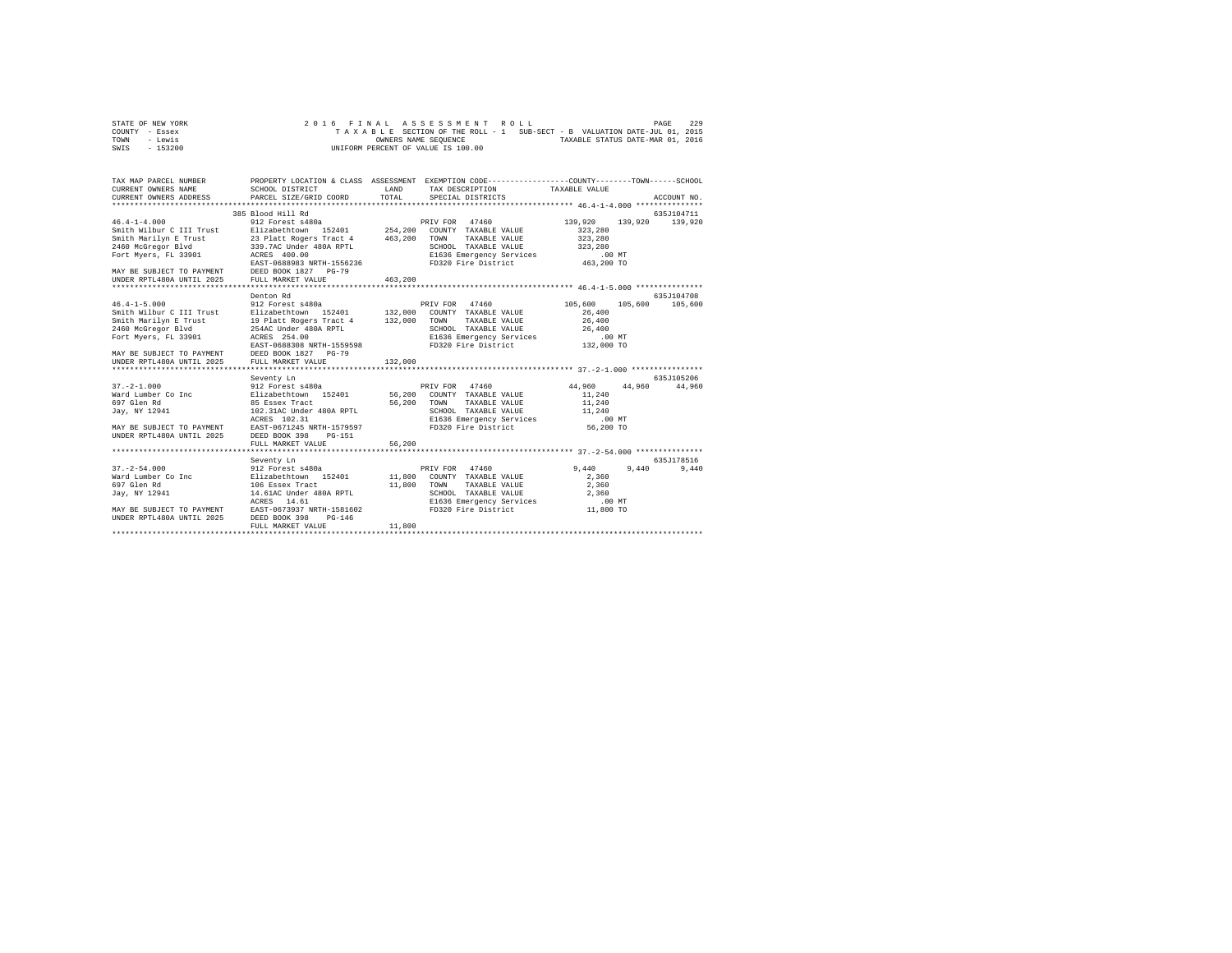| STATE OF NEW YORK |          |  |  |  | 2016 FINAL ASSESSMENT ROLL         |  |  |  |                                                                          | PAGE | 229 |
|-------------------|----------|--|--|--|------------------------------------|--|--|--|--------------------------------------------------------------------------|------|-----|
| COUNTY - Essex    |          |  |  |  |                                    |  |  |  | TAXABLE SECTION OF THE ROLL - 1 SUB-SECT - B VALUATION DATE-JUL 01, 2015 |      |     |
| TOWN              | - Lewis  |  |  |  | OWNERS NAME SEOUENCE               |  |  |  | TAXABLE STATUS DATE-MAR 01, 2016                                         |      |     |
| SWIS              | - 153200 |  |  |  | UNIFORM PERCENT OF VALUE IS 100.00 |  |  |  |                                                                          |      |     |

| TAX MAP PARCEL NUMBER<br>CURRENT OWNERS NAME<br>CURRENT OWNERS ADDRESS PARCEL SIZE/GRID COORD | SCHOOL DISTRICT                                     | LAND<br>TOTAL | PROPERTY LOCATION & CLASS ASSESSMENT EXEMPTION CODE---------------COUNTY-------TOWN------SCHOOL<br>TAX DESCRIPTION TAXABLE VALUE<br>SPECIAL DISTRICTS |                    | ACCOUNT NO.           |
|-----------------------------------------------------------------------------------------------|-----------------------------------------------------|---------------|-------------------------------------------------------------------------------------------------------------------------------------------------------|--------------------|-----------------------|
|                                                                                               |                                                     |               |                                                                                                                                                       |                    |                       |
| $46.4 - 1 - 4.000$                                                                            | 385 Blood Hill Rd<br>912 Forest s480a               |               | PRIV FOR 47460                                                                                                                                        | 139,920<br>139,920 | 635J104711<br>139,920 |
|                                                                                               | Smith Wilbur C III Trust<br>Elizabethtown 152401    |               | 254.200 COUNTY TAXABLE VALUE                                                                                                                          | 323,280            |                       |
|                                                                                               | Smith Marilyn E Trust 23 Platt Rogers Tract 4       | 463,200       | TOWN<br>TAXABLE VALUE                                                                                                                                 | 323,280            |                       |
| 2460 McGregor Blvd                                                                            | 339.7AC Under 480A RPTL ACRES 400.00                |               | SCHOOL TAXABLE VALUE                                                                                                                                  | 323,280            |                       |
| Fort Myers, FL 33901                                                                          |                                                     |               | E1636 Emergency Services                                                                                                                              | .00MT              |                       |
|                                                                                               | EAST-0688983 NRTH-1556236                           |               | FD320 Fire District                                                                                                                                   | 463,200 TO         |                       |
|                                                                                               |                                                     |               |                                                                                                                                                       |                    |                       |
| MAY BE SUBJECT TO PAYMENT DEED BOOK 1827 PG-79<br>UNDER RPTL480A UNTIL 2025 FULL MARKET VALUE |                                                     | 463,200       |                                                                                                                                                       |                    |                       |
|                                                                                               |                                                     |               |                                                                                                                                                       |                    |                       |
|                                                                                               | Denton Rd                                           |               |                                                                                                                                                       |                    | 635J104708            |
| $46.4 - 1 - 5.000$                                                                            | 912 Forest s480a                                    |               | PRIV FOR 47460                                                                                                                                        | 105,600<br>105,600 | 105,600               |
| Smith Wilbur C III Trust                                                                      | Elizabethtown 152401                                |               | 132,000 COUNTY TAXABLE VALUE                                                                                                                          | 26,400             |                       |
| Smith Marilyn E Trust                                                                         | 19 Platt Rogers Tract 4                             | 132,000       | TOWN<br>TAXABLE VALUE                                                                                                                                 | 26,400             |                       |
| 2460 McGregor Blvd                                                                            | 254AC Under 480A RPTL                               |               |                                                                                                                                                       |                    |                       |
| Fort Myers, FL 33901                                                                          | ACRES 254.00                                        |               | SCHOOL TAXABLE VALUE 26,400<br>E1636 Emergency Services .00 MT<br>FD320 Fire District 132,000 TO                                                      |                    |                       |
|                                                                                               | EAST-0688308 NRTH-1559598                           |               |                                                                                                                                                       |                    |                       |
| MAY BE SUBJECT TO PAYMENT DEED BOOK 1827 PG-79<br>UNDER RPTL480A UNTIL 2025 FULL MARKET VALUE |                                                     |               |                                                                                                                                                       |                    |                       |
|                                                                                               |                                                     | 132,000       |                                                                                                                                                       |                    |                       |
|                                                                                               |                                                     |               |                                                                                                                                                       |                    |                       |
|                                                                                               | Seventy Ln                                          |               |                                                                                                                                                       |                    | 635J105206            |
| $37. - 2 - 1.000$                                                                             | 912 Forest s480a                                    |               | PRIV FOR 47460                                                                                                                                        | 44,960<br>44,960   | 44,960                |
|                                                                                               | Ward Lumber Co Inc and Elizabethtown 152401 56,200  |               | COUNTY TAXABLE VALUE                                                                                                                                  | 11,240             |                       |
| 697 Glen Rd                                                                                   | 85 Essex Tract                                      | 56,200        | TAXABLE VALUE<br>TOWN                                                                                                                                 | 11,240             |                       |
| Jav. NY 12941                                                                                 | 102.31AC Under 480A RPTL                            |               | SCHOOL TAXABLE VALUE                                                                                                                                  | 11,240             |                       |
|                                                                                               | ACRES 102.31                                        |               | E1636 Emergency Services                                                                                                                              | $.00$ MT           |                       |
|                                                                                               | MAY BE SUBJECT TO PAYMENT EAST-0671245 NRTH-1579597 |               | FD320 Fire District                                                                                                                                   | 56,200 TO          |                       |
| UNDER RPTL480A UNTIL 2025                                                                     | DEED BOOK 398 PG-151                                |               |                                                                                                                                                       |                    |                       |
|                                                                                               | FULL MARKET VALUE                                   | 56,200        |                                                                                                                                                       |                    |                       |
|                                                                                               | *************************                           |               |                                                                                                                                                       |                    |                       |
|                                                                                               | Seventy Ln                                          |               |                                                                                                                                                       |                    | 635.7178516           |
| $37. - 2 - 54.000$                                                                            | 912 Forest s480a                                    |               | PRIV FOR 47460                                                                                                                                        | 9.440<br>9,440     | 9,440                 |
| Ward Lumber Co Inc                                                                            | Elizabethtown 152401 11,800 COUNTY TAXABLE VALUE    |               |                                                                                                                                                       | 2,360              |                       |
| 697 Glen Rd                                                                                   | 106 Essex Tract                                     |               | 11,800 TOWN<br>TAXABLE VALUE                                                                                                                          | 2,360              |                       |
| Jay, NY 12941                                                                                 | 14.61AC Under 480A RPTL                             |               | SCHOOL TAXABLE VALUE                                                                                                                                  | 2,360              |                       |
|                                                                                               | ACRES<br>14.61                                      |               | E1636 Emergency Services                                                                                                                              | .00 MT             |                       |
| MAY BE SUBJECT TO PAYMENT                                                                     | EAST-0673937 NRTH-1581602                           |               | FD320 Fire District                                                                                                                                   | 11,800 TO          |                       |
| UNDER RPTL480A UNTIL 2025                                                                     | DEED BOOK 398<br>$PG-146$                           |               |                                                                                                                                                       |                    |                       |
|                                                                                               | FULL MARKET VALUE                                   | 11,800        |                                                                                                                                                       |                    |                       |
|                                                                                               |                                                     |               |                                                                                                                                                       |                    |                       |
|                                                                                               |                                                     |               |                                                                                                                                                       |                    |                       |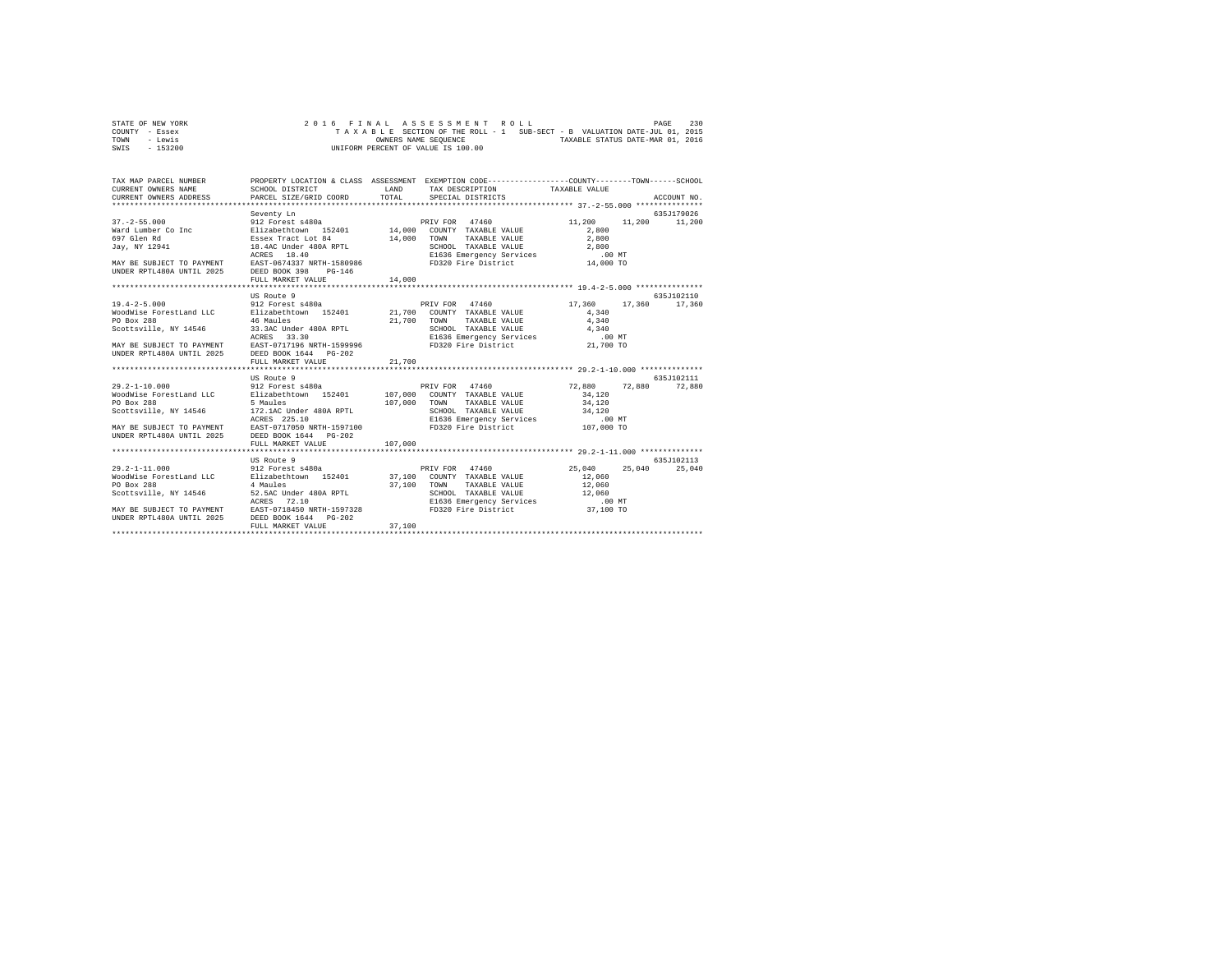| STATE OF NEW YORK |  |  |  |  | 2016 FINAL ASSESSMENT ROLL         |  |  |  |  |                                                                          | PAGE | 230 |
|-------------------|--|--|--|--|------------------------------------|--|--|--|--|--------------------------------------------------------------------------|------|-----|
| COUNTY - Essex    |  |  |  |  |                                    |  |  |  |  | TAXABLE SECTION OF THE ROLL - 1 SUB-SECT - B VALUATION DATE-JUL 01, 2015 |      |     |
| TOWN<br>- Lewis   |  |  |  |  | OWNERS NAME SEOUENCE               |  |  |  |  | TAXABLE STATUS DATE-MAR 01, 2016                                         |      |     |
| $-153200$<br>SWIS |  |  |  |  | UNIFORM PERCENT OF VALUE IS 100.00 |  |  |  |  |                                                                          |      |     |

| TAX MAP PARCEL NUMBER<br>CURRENT OWNERS NAME<br>$\texttt{CURRENT}\ \texttt{OWNERS}\ \texttt{ADDRESS}\qquad\qquad \texttt{PARCH}\ \texttt{SIZE/GRID}\ \texttt{COORD}\qquad\qquad \texttt{TOTAL}$                                                                                   | SCHOOL DISTRICT                                                                      | LAND                                  | PROPERTY LOCATION & CLASS ASSESSMENT EXEMPTION CODE----------------COUNTY-------TOWN------SCHOOL<br>TAX DESCRIPTION TAXABLE VALUE<br>SPECIAL DISTRICTS                                             |                                                                                               | ACCOUNT NO.                  |
|-----------------------------------------------------------------------------------------------------------------------------------------------------------------------------------------------------------------------------------------------------------------------------------|--------------------------------------------------------------------------------------|---------------------------------------|----------------------------------------------------------------------------------------------------------------------------------------------------------------------------------------------------|-----------------------------------------------------------------------------------------------|------------------------------|
| $\frac{37. - 2 - 55.000}{312}$ = 912 Forest s480a = 914,000 PRIV FOR 47460<br>Ward Lumber Co Inc = Elizabethtown 152401 = 14,000 COUNTY TAXABLE VALUE<br>697 Glen Rd = Essex Tract Lot 84 = 14,000 TOWN TAXABLE VALUE<br>UNDER RPTL480A UNTIL 2025 DEED BOOK 398 PG-146           | Seventy Ln<br>FULL MARKET VALUE                                                      | 14,000                                | PRIV FOR 47460<br>TAXABLE VALUE 2.800                                                                                                                                                              | 11,200<br>2,800                                                                               | 635J179026<br>11,200 11,200  |
|                                                                                                                                                                                                                                                                                   |                                                                                      |                                       |                                                                                                                                                                                                    |                                                                                               |                              |
|                                                                                                                                                                                                                                                                                   | US Route 9                                                                           |                                       |                                                                                                                                                                                                    |                                                                                               | 635J102110                   |
| $19.4 - 2 - 5.000$<br>WoodWise ForestLand LLC Blizabethtown 152401 21,700 COUNTY TAXABLE VALUE<br>PO Box 288<br>UNDER RPTL480A UNTIL 2025 DEED BOOK 1644 PG-202<br>$29.2 - 1 - 10.000$<br>WoodWise ForestLand LLC Blizabethtown 152401 107,000 COUNTY TAXABLE VALUE<br>PO Box 288 | 912 Forest s480a<br>46 Maules<br>FULL MARKET VALUE<br>US Route 9<br>912 Forest s480a | 21,700 TOWN<br>21,700<br>107,000 TOWN | PRIV FOR 47460<br>TAXABLE VALUE<br>PRIV FOR 47460                                                                                                                                                  | 17,360 17,360 17,360<br>4.340<br>4,340<br>$.00$ MT<br>21,700 TO<br>72,880<br>34,120<br>34,120 | 635.7102111<br>72,880 72,880 |
| Scottsville, NY 14546<br>MAY BE SUBJECT TO PAYMENT EAST-0717050 NRTH-1597100<br>UNDER RPTL480A UNTIL 2025                                                                                                                                                                         | DEED BOOK 1644 PG-202<br>FULL MARKET VALUE<br>**************************             | 107,000                               | TAXABLE VALUE<br>SCHOOL TAXABLE VALUE<br>E1636 Emergency Services<br>FD320 Fire District 107,000 TO                                                                                                | 34,120<br>$.00$ MT                                                                            |                              |
| $29.2 - 1 - 11.000$<br>WoodWise ForestLand LLC Blizabethtown 152401 37,100 COUNTY TAXABLE VALUE 12,060<br>PO Box 288<br>Scottsville, NY 14546 52.5AC Under 480A RPTL<br>MAY BE SUBJECT TO PAYMENT EAST-0718450 NRTH-1597328<br>UNDER RPTL480A UNTIL 2025 DEED BOOK 1644 PG-202    | US Route 9<br>912 Forest s480a<br>4 Maules<br>ACRES<br>72.10<br>FULL MARKET VALUE    | 37,100                                | PRIV FOR 47460<br>37,100 TOWN TAXABLE VALUE<br>SCHOOL TAXABLE VALUE<br>E1636 Emergency Services<br>SCHOOL TAXABLE VALUE 12,060<br>E1636 Emergency Services .00 MT<br>FD320 Fire District 37,100 TO | 25,040<br>25,040<br>12,060                                                                    | 635J102113<br>25,040         |
|                                                                                                                                                                                                                                                                                   |                                                                                      |                                       |                                                                                                                                                                                                    |                                                                                               |                              |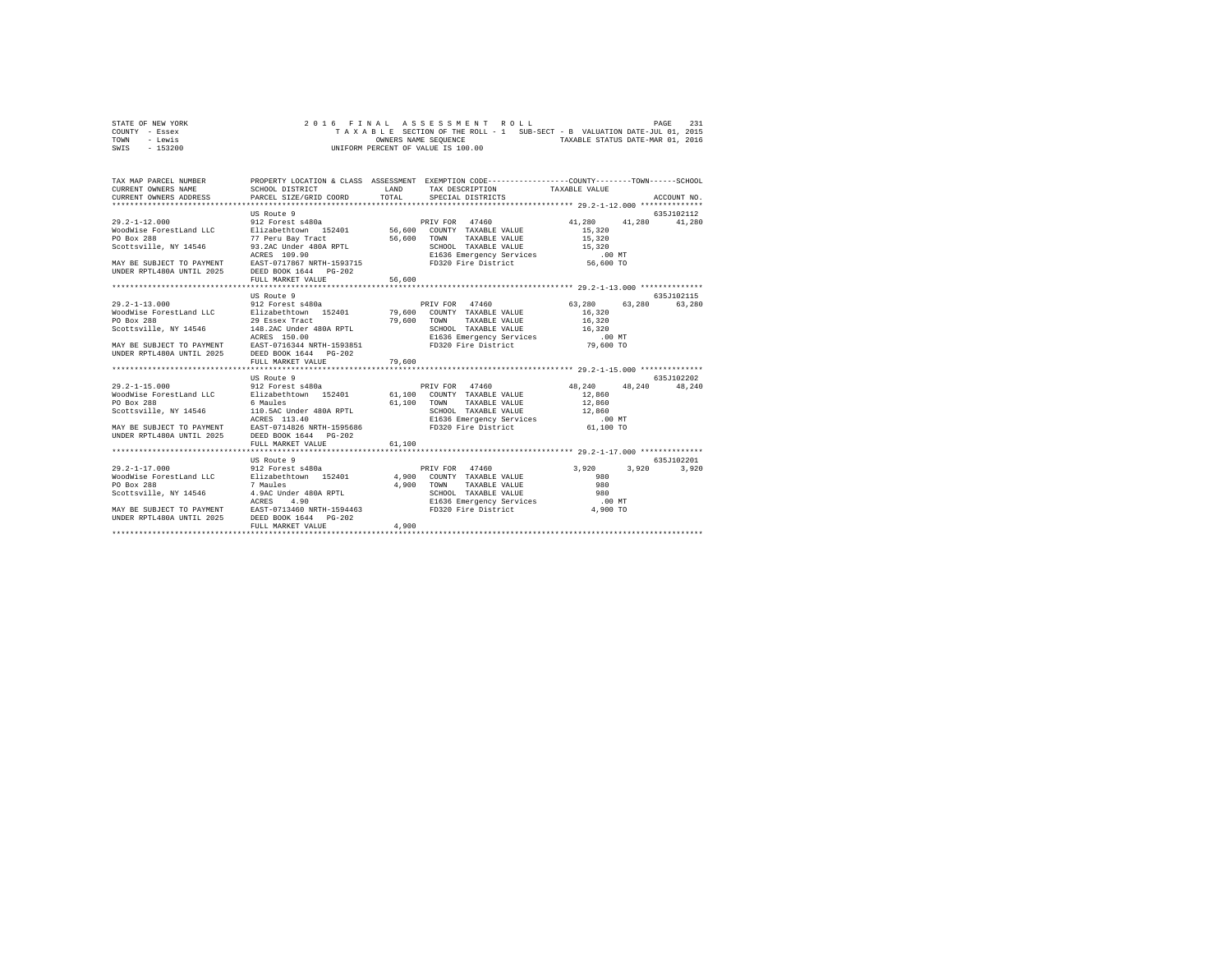| STATE OF NEW YORK |  |  |  |  | 2016 FINAL ASSESSMENT ROLL         |  |  |  |  |                                                                          | PAGE | 231 |
|-------------------|--|--|--|--|------------------------------------|--|--|--|--|--------------------------------------------------------------------------|------|-----|
| COUNTY - Essex    |  |  |  |  |                                    |  |  |  |  | TAXABLE SECTION OF THE ROLL - 1 SUB-SECT - B VALUATION DATE-JUL 01, 2015 |      |     |
| TOWN<br>- Lewis   |  |  |  |  | OWNERS NAME SEOUENCE               |  |  |  |  | TAXABLE STATUS DATE-MAR 01, 2016                                         |      |     |
| $-153200$<br>SWIS |  |  |  |  | UNIFORM PERCENT OF VALUE IS 100.00 |  |  |  |  |                                                                          |      |     |

| TAX MAP PARCEL NUMBER<br>CURRENT OWNERS NAME<br>CURRENT OWNERS ADDRESS PARCEL SIZE/GRID COORD                                                                                                                                        | PROPERTY LOCATION & CLASS ASSESSMENT EXEMPTION CODE-----------------COUNTY-------TOWN------SCHOOL<br>SCHOOL DISTRICT | LAND<br>TOTAL | TAX DESCRIPTION TAXABLE VALUE<br>SPECIAL DISTRICTS             |                            | ACCOUNT NO.           |
|--------------------------------------------------------------------------------------------------------------------------------------------------------------------------------------------------------------------------------------|----------------------------------------------------------------------------------------------------------------------|---------------|----------------------------------------------------------------|----------------------------|-----------------------|
|                                                                                                                                                                                                                                      |                                                                                                                      |               |                                                                |                            |                       |
| $29.2 - 1 - 12.000$<br>WoodWise ForestLand LLC                                                                                                                                                                                       | US Route 9                                                                                                           |               | PRIV FOR 47460                                                 | 41,280<br>41,280<br>15,320 | 635.7102112<br>41,280 |
| PO Box 288                                                                                                                                                                                                                           | 77 Peru Bay Tract                                                                                                    | 56,600 TOWN   |                                                                | TAXABLE VALUE 15,320       |                       |
|                                                                                                                                                                                                                                      |                                                                                                                      |               |                                                                |                            |                       |
|                                                                                                                                                                                                                                      |                                                                                                                      |               |                                                                |                            |                       |
|                                                                                                                                                                                                                                      |                                                                                                                      |               |                                                                |                            |                       |
| UNDER RPTL480A UNTIL 2025 DEED BOOK 1644 PG-202                                                                                                                                                                                      |                                                                                                                      |               |                                                                |                            |                       |
|                                                                                                                                                                                                                                      | FULL MARKET VALUE                                                                                                    | 56,600        |                                                                |                            |                       |
|                                                                                                                                                                                                                                      |                                                                                                                      |               |                                                                |                            |                       |
|                                                                                                                                                                                                                                      | US Route 9                                                                                                           |               |                                                                |                            | 635J102115            |
| $29.2 - 1 - 13.000$                                                                                                                                                                                                                  | 912 Forest s480a                                                                                                     |               | PRIV FOR 47460                                                 | 63,280 63,280 63,280       |                       |
| WoodWise ForestLand LLC                                                                                                                                                                                                              | Elizabethtown 152401 79,600 COUNTY TAXABLE VALUE                                                                     |               |                                                                | 16,320                     |                       |
| PO Box 288                                                                                                                                                                                                                           | 29 Essex Tract                                                                                                       | 79,600 TOWN   |                                                                | TAXABLE VALUE 16,320       |                       |
|                                                                                                                                                                                                                                      |                                                                                                                      |               |                                                                |                            |                       |
| SCOTT (18, 200 1997) SCHOOL TAXABLE VALUE (18, 200 16, 201)<br>200 1: ACRES 150.00 16, 200 16, 11:00 16, 200 17:00 17:00 17:00 17:00 17:00 17:00 17:00 17:00 17:00 17:00 17:0<br>200 10: 19:00 10:00 10:00 10:00 10:00 10:00 10:00 1 |                                                                                                                      |               |                                                                |                            |                       |
|                                                                                                                                                                                                                                      |                                                                                                                      |               |                                                                |                            |                       |
| UNDER RPTL480A UNTIL 2025                                                                                                                                                                                                            | DEED BOOK 1644 PG-202                                                                                                |               |                                                                |                            |                       |
|                                                                                                                                                                                                                                      | FULL MARKET VALUE                                                                                                    | 79,600        |                                                                |                            |                       |
|                                                                                                                                                                                                                                      |                                                                                                                      |               |                                                                |                            |                       |
|                                                                                                                                                                                                                                      | US Route 9                                                                                                           |               |                                                                |                            | 635.7102202           |
| $29.2 - 1 - 15.000$                                                                                                                                                                                                                  | 912 Forest s480a                                                                                                     |               | PRIV FOR 47460                                                 | 48,240                     | 48,240 48,240         |
| WoodWise ForestLand LLC Blizabethtown 152401 61,100 COUNTY TAXABLE VALUE                                                                                                                                                             |                                                                                                                      |               |                                                                | 12,860                     |                       |
| PO Box 288                                                                                                                                                                                                                           | 6 Maules                                                                                                             | 61,100 TOWN   | TAXABLE VALUE                                                  | 12,860                     |                       |
| Scottsville, NY 14546                                                                                                                                                                                                                | 110.5AC Under 480A RPTL                                                                                              |               |                                                                |                            |                       |
|                                                                                                                                                                                                                                      | ACRES 113.40                                                                                                         |               | SCHOOL TAXABLE VALUE 12,860<br>E1636 Emergency Services .00 MT |                            |                       |
| MAY BE SUBJECT TO PAYMENT EAST-0714826 NRTH-1595686                                                                                                                                                                                  |                                                                                                                      |               | FD320 Fire District 61,100 TO                                  |                            |                       |
| UNDER RPTL480A UNTIL 2025                                                                                                                                                                                                            | DEED BOOK 1644 PG-202                                                                                                |               |                                                                |                            |                       |
|                                                                                                                                                                                                                                      | FULL MARKET VALUE                                                                                                    | 61,100        |                                                                |                            |                       |
|                                                                                                                                                                                                                                      | ************************                                                                                             |               |                                                                |                            |                       |
|                                                                                                                                                                                                                                      | US Route 9                                                                                                           |               |                                                                |                            | 635J102201            |
| $29.2 - 1 - 17.000$                                                                                                                                                                                                                  | 912 Forest s480a                                                                                                     |               | PRIV FOR 47460                                                 | 3,920 3,920                | 3,920                 |
| WoodWise ForestLand LLC Blizabethtown 152401 4,900 COUNTY TAXABLE VALUE                                                                                                                                                              |                                                                                                                      |               |                                                                | 980                        |                       |
| PO Box 288                                                                                                                                                                                                                           | 7 Maules                                                                                                             |               | 4,900 TOWN<br>TAXABLE VALUE                                    | 980                        |                       |
| Scottsville, NY 14546 4.9AC Under 480A RPTL                                                                                                                                                                                          |                                                                                                                      |               | SCHOOL TAXABLE VALUE                                           | 980                        |                       |
|                                                                                                                                                                                                                                      | ACRES<br>4.90                                                                                                        |               | E1636 Emergency Services                                       | $.00$ MT                   |                       |
|                                                                                                                                                                                                                                      |                                                                                                                      |               | FD320 Fire District                                            | 4,900 TO                   |                       |
| MAY BE SUBJECT TO PAYMENT EAST-0713460 NRTH-1594463<br>UNDER RPTL480A UNTIL 2025 DEED BOOK 1644 PG-202                                                                                                                               |                                                                                                                      |               |                                                                |                            |                       |
|                                                                                                                                                                                                                                      | FULL MARKET VALUE                                                                                                    | 4.900         |                                                                |                            |                       |
|                                                                                                                                                                                                                                      |                                                                                                                      |               |                                                                |                            |                       |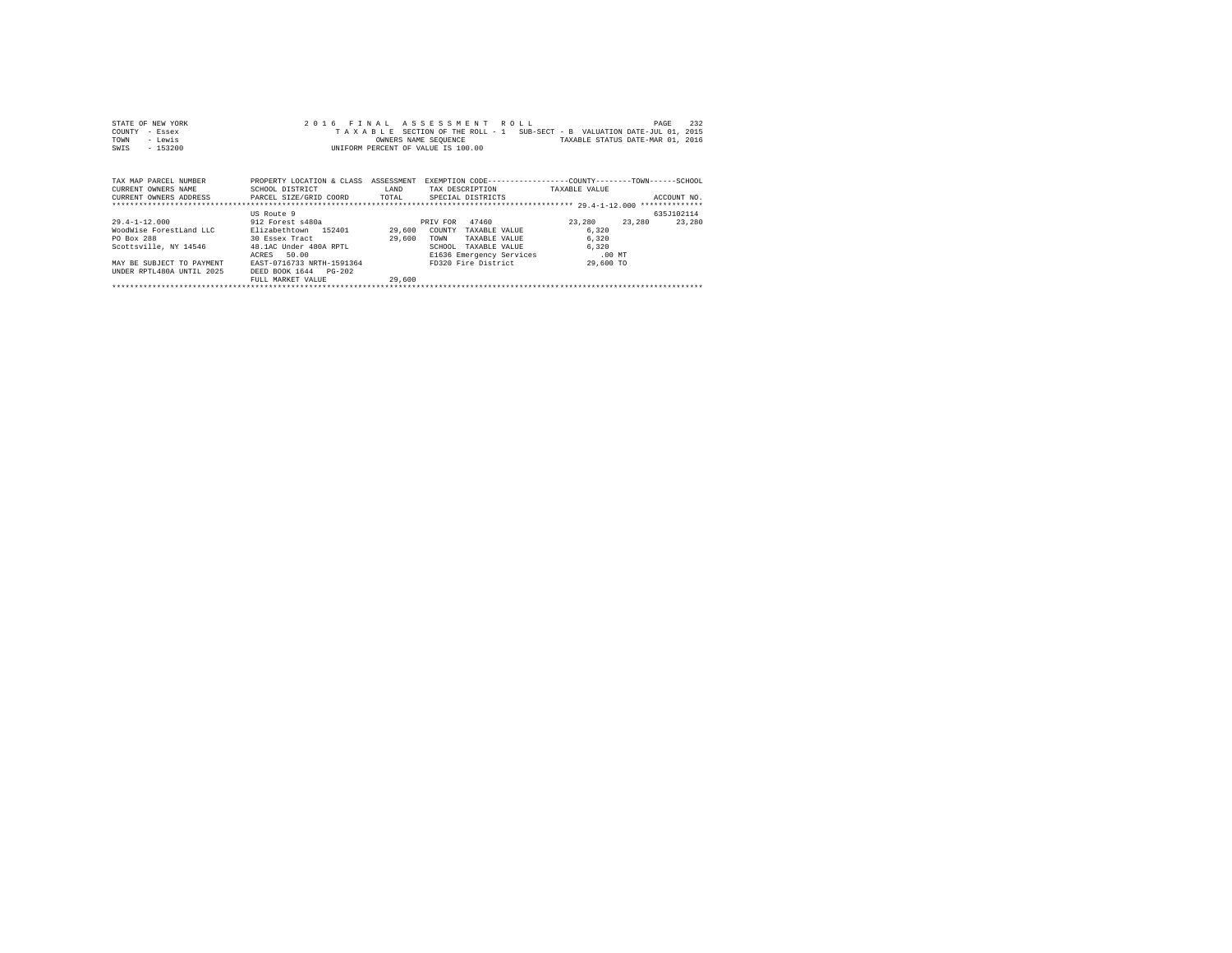| STATE OF NEW YORK<br>COUNTY<br>- Essex<br>- Lewis<br>TOWN<br>$-153200$<br>SWIS                                                                                                           |                                                                                                                                                                                    |        | 2016 FINAL ASSESSMENT ROLL<br>TAXABLE SECTION OF THE ROLL - 1 SUB-SECT - B VALUATION DATE-JUL 01, 2015<br>OWNERS NAME SEQUENCE TAXABLE STATUS DATE-MAR 01, 2016<br>INIFORM PERCENT OF VALUE IS 100.00 |                         | 232<br>PAGE |
|------------------------------------------------------------------------------------------------------------------------------------------------------------------------------------------|------------------------------------------------------------------------------------------------------------------------------------------------------------------------------------|--------|-------------------------------------------------------------------------------------------------------------------------------------------------------------------------------------------------------|-------------------------|-------------|
| TAX MAP PARCEL NUMBER<br>CURRENT OWNERS NAME<br>CURRENT OWNERS ADDRESS PARCEL SIZE/GRID COORD TOTAL SPECIAL DISTRICTS                                                                    | PROPERTY LOCATION & CLASS ASSESSMENT EXEMPTION CODE-----------------COUNTY-------TOWN------SCHOOL<br>SCHOOL DISTRICT                                                               | LAND   | TAX DESCRIPTION TAXABLE VALUE                                                                                                                                                                         |                         | ACCOUNT NO. |
|                                                                                                                                                                                          | US Route 9                                                                                                                                                                         |        |                                                                                                                                                                                                       |                         | 635J102114  |
| 29.4-1-12.000 912 Forest s480a<br>WoodWise ForestLand LLC<br><b>PO Box 288</b><br>Scottsville, NY 14546 48.1AC Under 480A RPTL<br>MAY BE SUBJECT TO PAYMENT<br>UNDER RPTL480A UNTIL 2025 | Elizabethtown 152401 29,600<br>30 Essex Tract<br>29.600<br>50.00<br>ACRES<br>EAST-0716733 NRTH-1591364 FD320 Fire District 29,600 TO<br>DEED BOOK 1644 PG-202<br>FULL MARKET VALUE | 29.600 | PRIV FOR 47460 23,280 23,280<br>COUNTY<br>TAXABLE VALUE<br>TOWN<br>TAXABLE VALUE<br>SCHOOL<br>TAXABLE VALUE<br>E1636 Emergency Services .00 MT                                                        | 6.320<br>6.320<br>6.320 | 23,280      |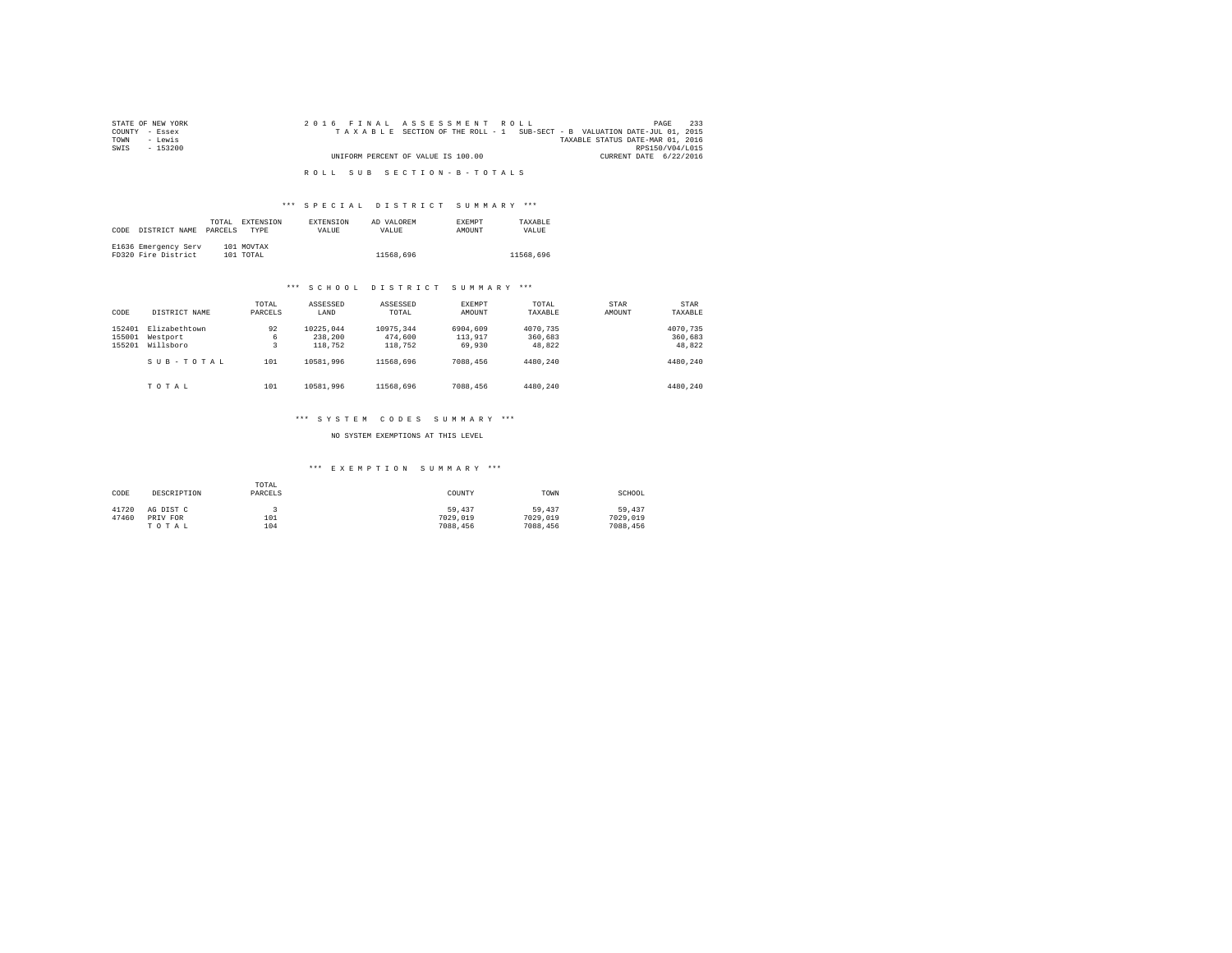| STATE OF NEW YORK | 233<br>2016 FINAL ASSESSMENT ROLL<br>PAGE                                |  |
|-------------------|--------------------------------------------------------------------------|--|
| COUNTY - Essex    | TAXABLE SECTION OF THE ROLL - 1 SUB-SECT - B VALUATION DATE-JUL 01, 2015 |  |
| TOWN<br>siwe.T    | TAXABLE STATUS DATE-MAR 01, 2016                                         |  |
| SWIS<br>$-153200$ | RPS150/V04/L015                                                          |  |
|                   | UNIFORM PERCENT OF VALUE IS 100.00<br>CURRENT DATE 6/22/2016             |  |
|                   |                                                                          |  |
|                   | ROLL SUB SECTION-B-TOTALS                                                |  |

# \*\*\* S P E C I A L D I S T R I C T S U M M A R Y \*\*\*

| CODE | DISTRICT NAME                               | TOTAL<br>PARCELS | <b>EXTENSION</b><br><b>TYPE</b> | <b>EXTENSION</b><br><b>VALUE</b> | AD VALOREM<br>VALUE | <b>EXEMPT</b><br>AMOUNT | TAXARLE<br>VALUE |
|------|---------------------------------------------|------------------|---------------------------------|----------------------------------|---------------------|-------------------------|------------------|
|      | E1636 Emergency Serv<br>FD320 Fire District |                  | 101 MOVTAX<br>101 TOTAL         |                                  | 11568.696           |                         | 11568.696        |

## \*\*\* S C H O O L D I S T R I C T S U M M A R Y \*\*\*

| CODE                       | DISTRICT NAME                          | TOTAL<br>PARCELS | ASSESSED<br>LAND                | ASSESSED<br>TOTAL               | <b>EXEMPT</b><br><b>AMOUNT</b> | TOTAL<br>TAXABLE              | STAR<br>AMOUNT | STAR<br>TAXABLE               |
|----------------------------|----------------------------------------|------------------|---------------------------------|---------------------------------|--------------------------------|-------------------------------|----------------|-------------------------------|
| 152401<br>155001<br>155201 | Elizabethtown<br>Westport<br>Willsboro | 92<br>6<br>3     | 10225.044<br>238,200<br>118,752 | 10975.344<br>474,600<br>118,752 | 6904,609<br>113,917<br>69,930  | 4070.735<br>360,683<br>48,822 |                | 4070.735<br>360,683<br>48,822 |
|                            | SUB-TOTAL                              | 101              | 10581.996                       | 11568.696                       | 7088,456                       | 4480.240                      |                | 4480.240                      |
|                            | TOTAL                                  | 101              | 10581.996                       | 11568,696                       | 7088,456                       | 4480.240                      |                | 4480.240                      |

## \*\*\* S Y S T E M C O D E S S U M M A R Y \*\*\*

## NO SYSTEM EXEMPTIONS AT THIS LEVEL

## \*\*\* E X E M P T I O N S U M M A R Y \*\*\*

| CODE  | DESCRIPTION | TOTAL<br>PARCELS | COUNTY   | TOWN     | SCHOOL   |
|-------|-------------|------------------|----------|----------|----------|
| 41720 | AG DIST C   |                  | 59,437   | 59,437   | 59,437   |
| 47460 | PRIV FOR    | 101              | 7029.019 | 7029,019 | 7029,019 |
|       | TOTAL       | 104              | 7088.456 | 7088,456 | 7088.456 |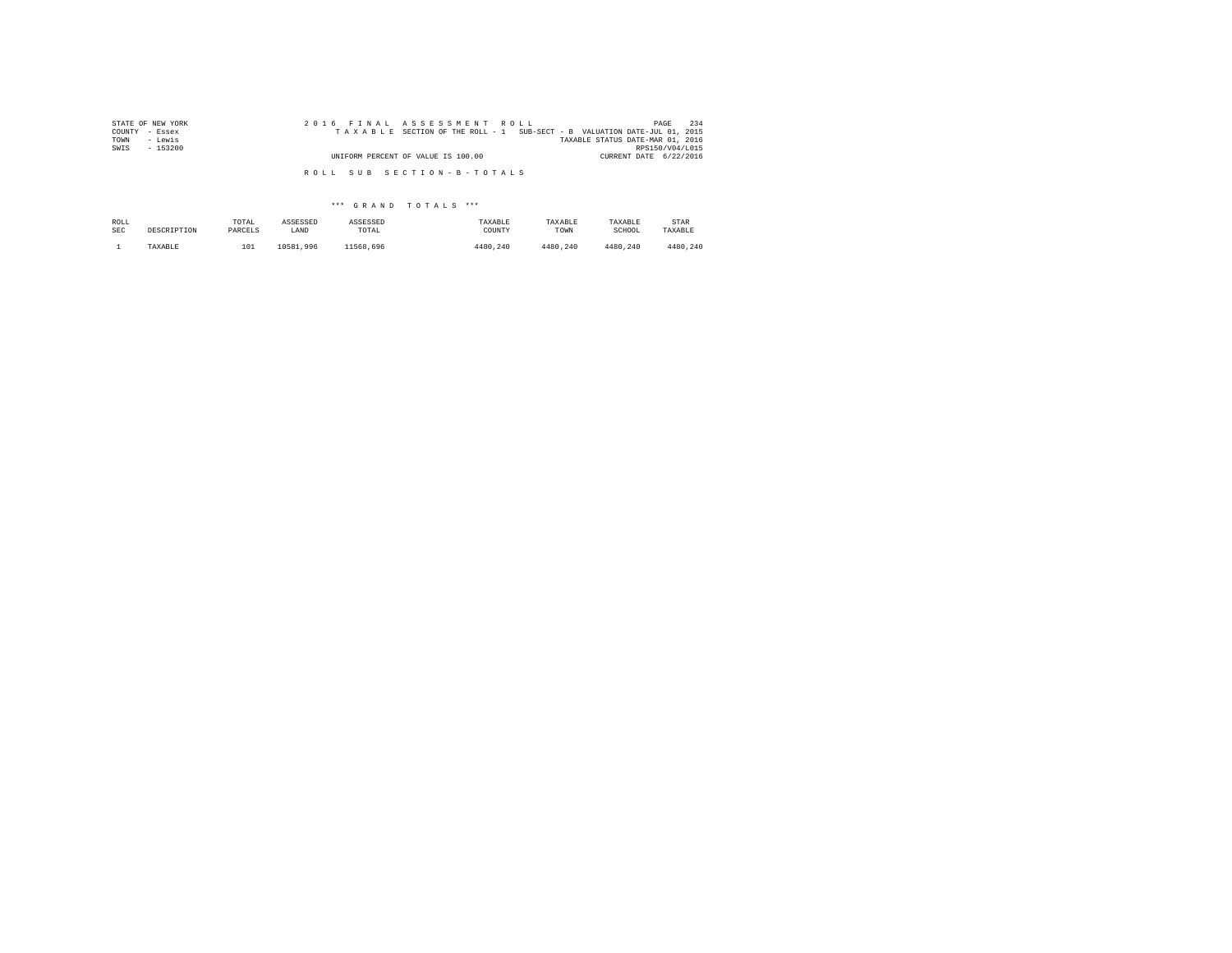| STATE OF NEW YORK | 2016 FINAL ASSESSMENT ROLL                                               | 234<br>PAGE            |
|-------------------|--------------------------------------------------------------------------|------------------------|
| COUNTY - Essex    | TAXABLE SECTION OF THE ROLL - 1 SUB-SECT - B VALUATION DATE-JUL 01, 2015 |                        |
| TOWN<br>- Lewis   | TAXABLE STATUS DATE-MAR 01, 2016                                         |                        |
| SWIS<br>- 153200  |                                                                          | RPS150/V04/L015        |
|                   | UNIFORM PERCENT OF VALUE IS 100.00                                       | CURRENT DATE 6/22/2016 |
|                   |                                                                          |                        |
|                   | ROLL SUB SECTION-B-TOTALS                                                |                        |

| ROLL | DESCRIPTION | TOTAL   | ASSESSED  | ASSESSED  | TAXABLE  | TAXABLE  | TAXABLE  | STAR     |
|------|-------------|---------|-----------|-----------|----------|----------|----------|----------|
| SEC  |             | PARCELS | LAND      | TOTAL     | COUNTY   | TOWN     | SCHOOL   | TAXABLE  |
|      | TAXABLE     | 101     | 10581,996 | 11568.696 | 4480.240 | 4480.240 | 4480.240 | 4480.240 |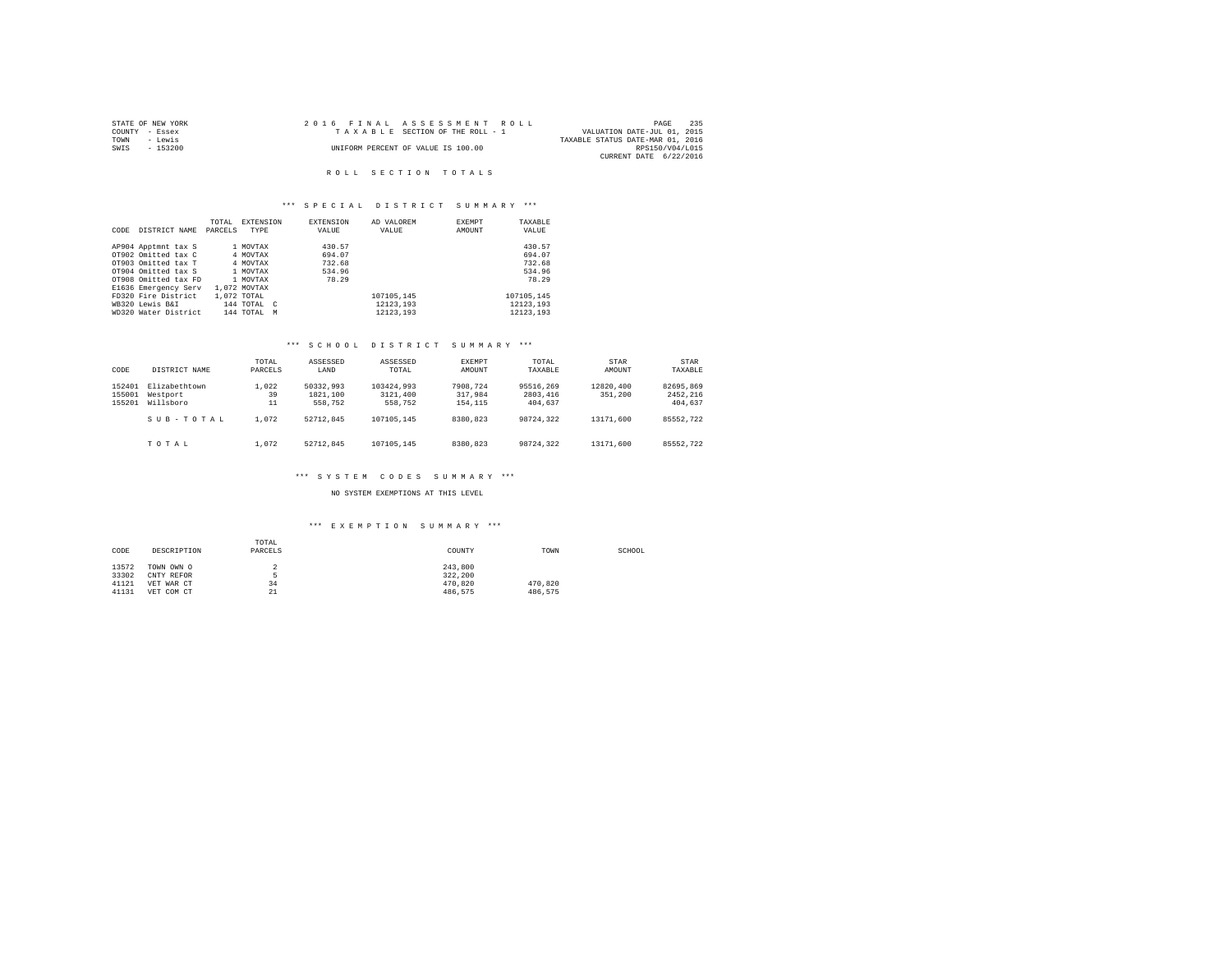|                | STATE OF NEW YORK | 2016 FINAL ASSESSMENT ROLL         |                                  | PAGE            | 235 |
|----------------|-------------------|------------------------------------|----------------------------------|-----------------|-----|
| COUNTY - Essex |                   | TAXABLE SECTION OF THE ROLL - 1    | VALUATION DATE-JUL 01, 2015      |                 |     |
| TOWN           | - Lewis           |                                    | TAXABLE STATUS DATE-MAR 01, 2016 |                 |     |
| SWIS           | - 153200          | UNIFORM PERCENT OF VALUE IS 100.00 |                                  | RPS150/V04/L015 |     |
|                |                   |                                    | CURRENT DATE 6/22/2016           |                 |     |

## R O L L S E C T I O N T O T A L S

## \*\*\* S P E C I A L D I S T R I C T S U M M A R Y \*\*\*

|      |                      | TOTAL   | EXTENSION      | <b>EXTENSION</b> | AD VALOREM | EXEMPT | TAXABLE    |
|------|----------------------|---------|----------------|------------------|------------|--------|------------|
| CODE | DISTRICT NAME        | PARCELS | TYPE           | VALUE            | VALUE      | AMOUNT | VALUE      |
|      |                      |         |                |                  |            |        |            |
|      | AP904 Apptmnt tax S  |         | 1 MOVTAX       | 430.57           |            |        | 430.57     |
|      | OT902 Omitted tax C  |         | 4 MOVTAX       | 694.07           |            |        | 694.07     |
|      | OT903 Omitted tax T  |         | 4 MOVTAX       | 732.68           |            |        | 732.68     |
|      | OT904 Omitted tax S  |         | 1 MOVTAX       | 534.96           |            |        | 534.96     |
|      | OT908 Omitted tax FD |         | 1 MOVTAX       | 78.29            |            |        | 78.29      |
|      | E1636 Emergency Serv |         | 1,072 MOVTAX   |                  |            |        |            |
|      | FD320 Fire District  |         | 1,072 TOTAL    |                  | 107105.145 |        | 107105.145 |
|      | WB320 Lewis B&I      |         | 144 TOTAL C    |                  | 12123,193  |        | 12123.193  |
|      | WD320 Water District |         | 144 TOTAL<br>M |                  | 12123.193  |        | 12123.193  |

## \*\*\* S C H O O L D I S T R I C T S U M M A R Y \*\*\*

| CODE                       | DISTRICT NAME                          | TOTAL<br>PARCELS  | ASSESSED<br>LAND                 | ASSESSED<br>TOTAL                 | <b>EXEMPT</b><br>AMOUNT        | TOTAL<br>TAXABLE                 | STAR<br>AMOUNT       | STAR<br>TAXABLE                  |
|----------------------------|----------------------------------------|-------------------|----------------------------------|-----------------------------------|--------------------------------|----------------------------------|----------------------|----------------------------------|
| 152401<br>155001<br>155201 | Elizabethtown<br>Westport<br>Willsboro | 1,022<br>39<br>11 | 50332.993<br>1821,100<br>558,752 | 103424.993<br>3121,400<br>558,752 | 7908.724<br>317,984<br>154.115 | 95516.269<br>2803,416<br>404.637 | 12820,400<br>351,200 | 82695.869<br>2452.216<br>404,637 |
|                            | SUB-TOTAL                              | 1,072             | 52712.845                        | 107105.145                        | 8380.823                       | 98724.322                        | 13171,600            | 85552.722                        |
|                            | TOTAL                                  | 1,072             | 52712.845                        | 107105.145                        | 8380.823                       | 98724.322                        | 13171.600            | 85552.722                        |

## \*\*\* S Y S T E M C O D E S S U M M A R Y \*\*\*

NO SYSTEM EXEMPTIONS AT THIS LEVEL

## \*\*\* E X E M P T I O N S U M M A R Y \*\*\*

| CODE  | TOTAL<br>PARCELS<br>DESCRIPTION |    | COUNTY  | TOWN    | SCHOOL |
|-------|---------------------------------|----|---------|---------|--------|
| 13572 | TOWN OWN O                      |    | 243,800 |         |        |
| 33302 | CNTY REFOR                      | к  | 322.200 |         |        |
| 41121 | VET WAR CT                      | 34 | 470.820 | 470.820 |        |
| 41131 | VET COM CT                      | 21 | 486.575 | 486.575 |        |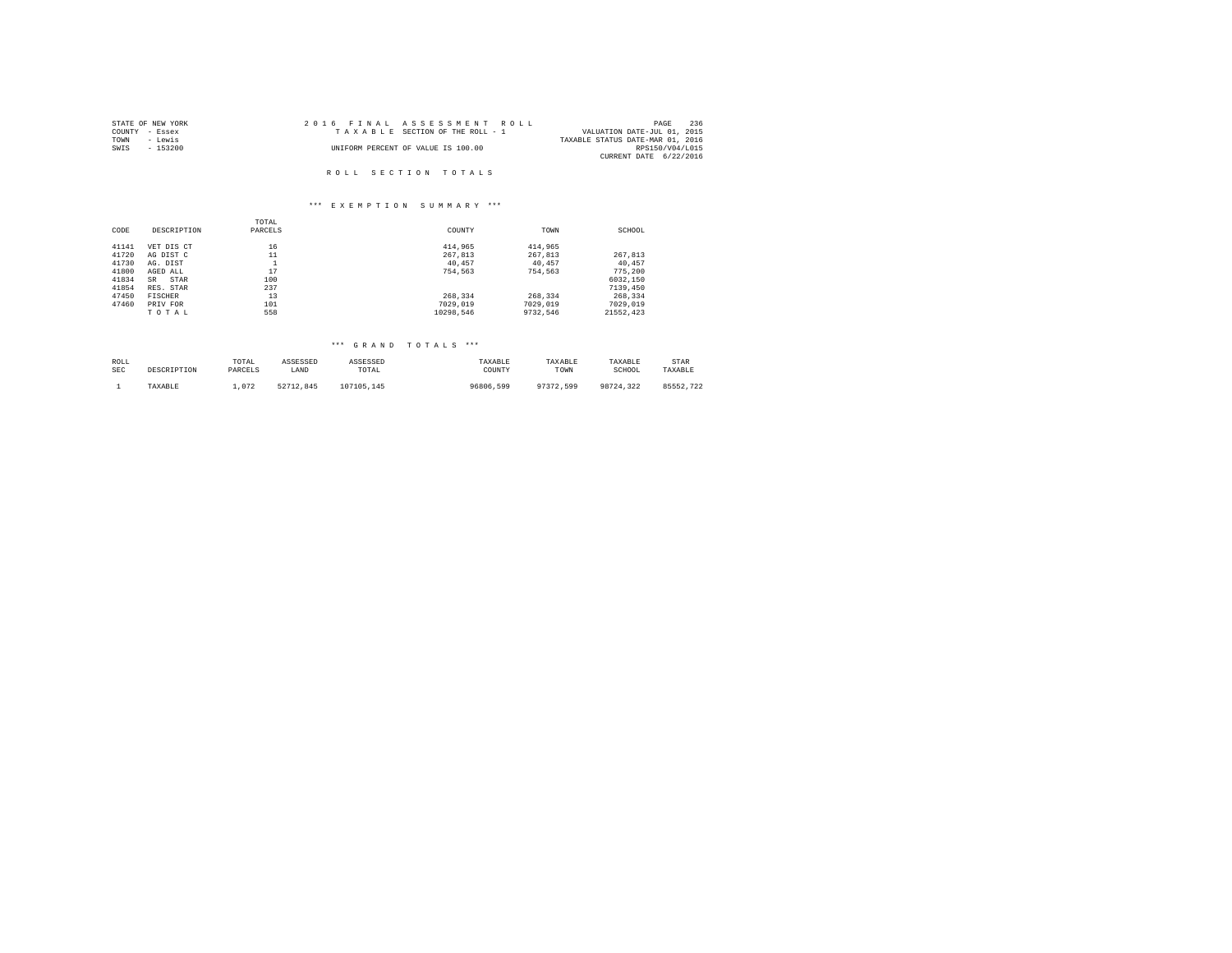| STATE OF NEW YORK | 2016 FINAL ASSESSMENT ROLL         | 236<br>PAGE                      |
|-------------------|------------------------------------|----------------------------------|
| COUNTY - Essex    | TAXABLE SECTION OF THE ROLL - 1    | VALUATION DATE-JUL 01, 2015      |
| TOWN<br>- Lewis   |                                    | TAXABLE STATUS DATE-MAR 01, 2016 |
| SWIS<br>- 153200  | UNIFORM PERCENT OF VALUE IS 100.00 | RPS150/V04/L015                  |
|                   |                                    | CURRENT DATE 6/22/2016           |
|                   |                                    |                                  |
|                   | ROLL SECTION TOTALS                |                                  |

#### \*\*\* E X E M P T I O N S U M M A R Y \*\*\*

|       |             | TOTAL   |           |          |           |
|-------|-------------|---------|-----------|----------|-----------|
| CODE  | DESCRIPTION | PARCELS | COUNTY    | TOWN     | SCHOOL    |
| 41141 | VET DIS CT  | 16      | 414,965   | 414,965  |           |
| 41720 | AG DIST C   | 11      | 267.813   | 267.813  | 267,813   |
| 41730 | AG. DIST    |         | 40.457    | 40.457   | 40.457    |
| 41800 | AGED ALL    | 17      | 754.563   | 754.563  | 775,200   |
| 41834 | STAR<br>SR  | 100     |           |          | 6032,150  |
| 41854 | RES. STAR   | 237     |           |          | 7139,450  |
| 47450 | FISCHER     | 13      | 268.334   | 268.334  | 268.334   |
| 47460 | PRIV FOR    | 101     | 7029.019  | 7029.019 | 7029,019  |
|       | TOTAL       | 558     | 10298.546 | 9732.546 | 21552.423 |

| ROLL       | DESCRIPTION | TOTAL   | ASSESSED  | ASSESSED   | TAXABLE   | TAXABLE   | TAXABLE   | STAR      |
|------------|-------------|---------|-----------|------------|-----------|-----------|-----------|-----------|
| <b>SEC</b> |             | PARCELS | LAND      | TOTAL      | COUNTY    | TOWN      | SCHOOL    | TAXABLE   |
|            | TAXABLE     | .072    | 52712.845 | 107105.145 | 96806,599 | 97372.599 | 98724.322 | 85552.722 |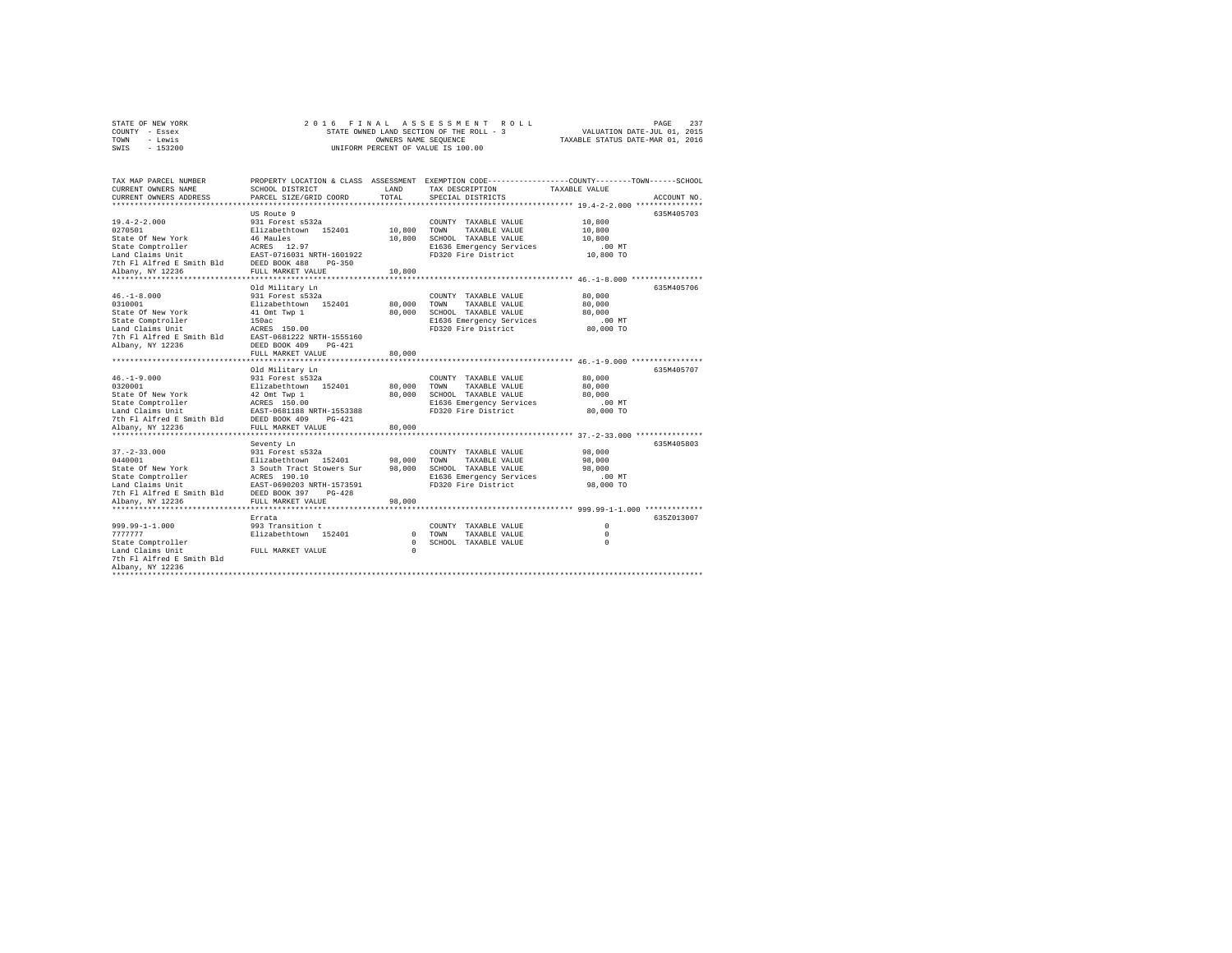| STATE OF NEW YORK | 2016 FINAL ASSESSMENT ROLL               | 237<br>PAGE                      |
|-------------------|------------------------------------------|----------------------------------|
| COUNTY - Essex    | STATE OWNED LAND SECTION OF THE ROLL - 3 | VALUATION DATE-JUL 01, 2015      |
| TOWN<br>- Lewis   | OWNERS NAME SEOUENCE                     | TAXABLE STATUS DATE-MAR 01, 2016 |
| SWIS - 153200     | UNIFORM PERCENT OF VALUE IS 100.00       |                                  |

| TAX MAP PARCEL NUMBER<br>CURRENT OWNERS NAME<br>CURRENT OWNERS ADDRESS                                                                                            | SCHOOL DISTRICT<br>PARCEL SIZE/GRID COORD                                                                                                                                                       | LAND<br>TOTAL                    | TAX DESCRIPTION<br>SPECIAL DISTRICTS                                                                                            | PROPERTY LOCATION & CLASS ASSESSMENT EXEMPTION CODE---------------COUNTY-------TOWN-----SCHOOL<br>TAXABLE VALUE<br>ACCOUNT NO. |
|-------------------------------------------------------------------------------------------------------------------------------------------------------------------|-------------------------------------------------------------------------------------------------------------------------------------------------------------------------------------------------|----------------------------------|---------------------------------------------------------------------------------------------------------------------------------|--------------------------------------------------------------------------------------------------------------------------------|
| $19.4 - 2 - 2.000$<br>0270501<br>State Of New York<br>Albany, NY 12236                                                                                            | US Route 9<br>931 Forest s532a<br>Elizabethtown 152401<br>46 Maules<br>FULL MARKET VALUE                                                                                                        | 10,800 TOWN<br>10,800<br>10,800  | COUNTY TAXABLE VALUE<br>TAXABLE VALUE<br>SCHOOL TAXABLE VALUE<br>E1636 Emergency Services<br>FD320 Fire District                | 635M405703<br>10,800<br>10,800<br>10,800<br>$.00$ MT<br>10,800 TO                                                              |
| $46. - 1 - 8.000$<br>0310001<br>State Of New York<br>State Comptroller<br>Land Claims Unit<br>7th Fl Alfred E Smith Bld<br>Albany, NY 12236                       | Old Military Ln<br>931 Forest s532a<br>Elizabethtown 152401<br>41 Omt Twp 1<br>150ac<br>ACRES 150.00<br>EAST-0681222 NRTH-1555160<br>DEED BOOK 409<br>PG-421<br>FULL MARKET VALUE               | 80,000<br>80,000<br>80,000       | COUNTY TAXABLE VALUE<br>TOWN<br>TAXABLE VALUE<br>SCHOOL TAXABLE VALUE<br>E1636 Emergency Services<br>FD320 Fire District        | 635M405706<br>80,000<br>80,000<br>80,000<br>$.00$ MT<br>80,000 TO                                                              |
| $46. - 1 - 9.000$<br>0320001<br>State Of New York<br>State Comptroller<br>Land Claims Unit<br>7th F1 Alfred E Smith Bld DEED BOOK 409 PG-421<br>Albany, NY 12236  | Old Military Ln<br>931 Forest s532a<br>Elizabethtown 152401<br>42 Omt Twp 1<br>ACRES 150.00<br>EAST-0681188 NRTH-1553388<br>FULL MARKET VALUE                                                   | 80,000<br>80,000                 | COUNTY TAXABLE VALUE<br>TOWN<br>TAXABLE VALUE<br>80,000 SCHOOL TAXABLE VALUE<br>E1636 Emergency Services<br>FD320 Fire District | 635M405707<br>80,000<br>80,000<br>80,000<br>$.00$ MT<br>80,000 TO                                                              |
| $37. - 2 - 33.000$<br>0440001<br>State Of New York<br>State Comptroller<br>Land Claims Unit<br>7th Fl Alfred E Smith Bld DEED BOOK 397<br>Albany, NY 12236        | Seventy Ln<br>931 Forest s532a<br>Elizabethtown - 152401<br>3 South Tract Stowers Sur<br>ACRES 190.10<br>EAST-0690203 NRTH-1573591<br>$PG-428$<br>FULL MARKET VALUE<br>************************ | 98,000<br>98,000                 | COUNTY TAXABLE VALUE<br>TAXABLE VALUE<br>TOWN<br>98,000 SCHOOL TAXABLE VALUE<br>E1636 Emergency Services<br>FD320 Fire District | 635M405803<br>98,000<br>98,000<br>98,000<br>$.00$ MT<br>98,000 TO<br>*********************** 999.99-1-1.000 ************       |
| $999.99 - 1 - 1.000$<br>7777777<br>State Comptroller<br>Land Claims Unit<br>7th Fl Alfred E Smith Bld<br>Albany, NY 12236<br>************************************ | Errata<br>993 Transition t<br>Elizabethtown 152401<br>FULL MARKET VALUE                                                                                                                         | $\Omega$<br>$\Omega$<br>$\Omega$ | COUNTY TAXABLE VALUE<br>TAXABLE VALUE<br>TOWN<br>SCHOOL TAXABLE VALUE                                                           | 635Z013007<br>$\Omega$<br>$^{\circ}$<br>$\Omega$                                                                               |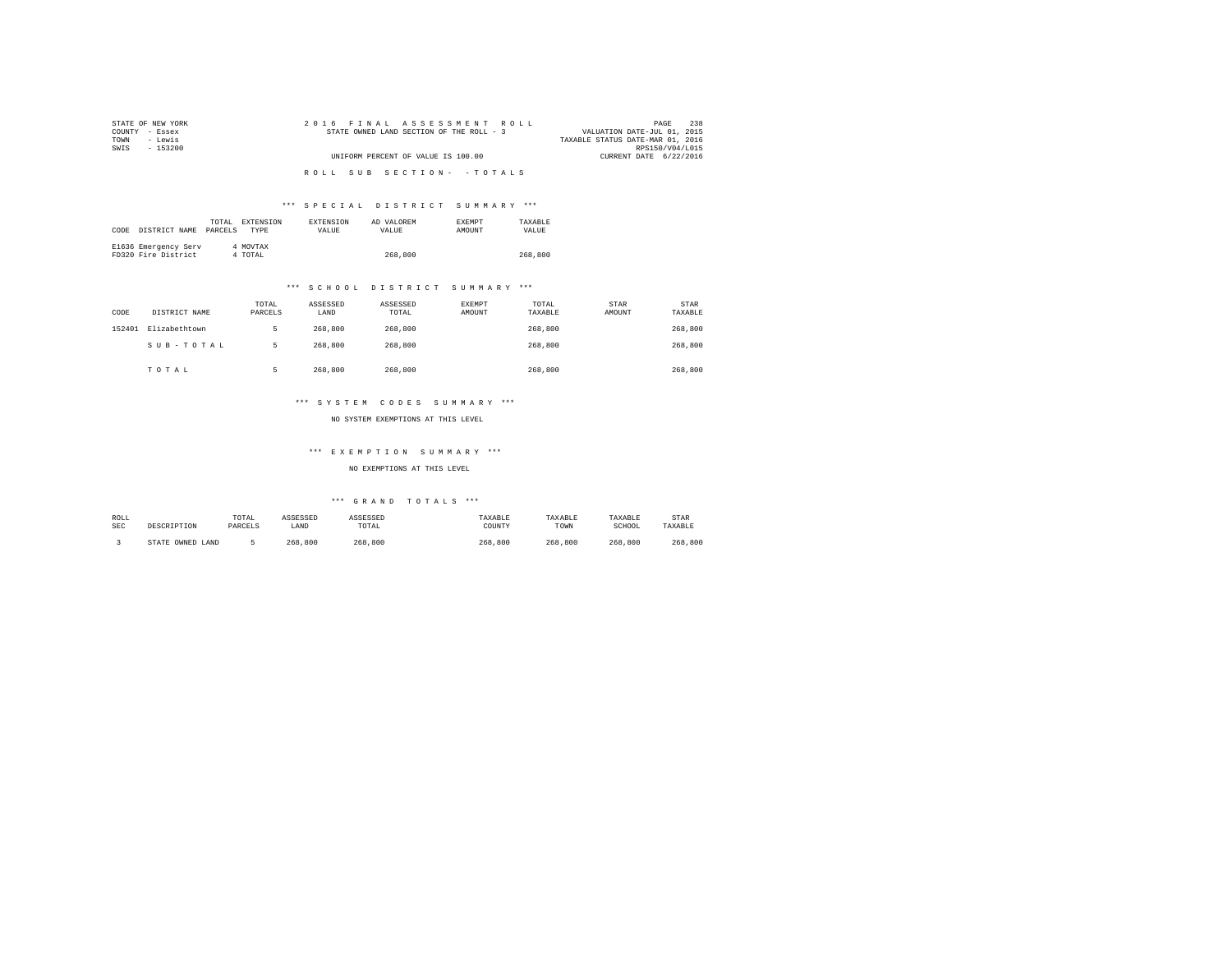| STATE OF NEW YORK | 2016 FINAL ASSESSMENT ROLL               | 238<br>PAGE                      |
|-------------------|------------------------------------------|----------------------------------|
| COUNTY - Essex    | STATE OWNED LAND SECTION OF THE ROLL - 3 | VALUATION DATE-JUL 01, 2015      |
| - Lewis<br>TOWN   |                                          | TAXABLE STATUS DATE-MAR 01, 2016 |
| SWTS<br>$-153200$ |                                          | RPS150/V04/L015                  |
|                   | UNIFORM PERCENT OF VALUE IS 100.00       | CURRENT DATE 6/22/2016           |
|                   |                                          |                                  |
|                   | ROLL SUB SECTION- - TOTALS               |                                  |

## \*\*\* S P E C I A L D I S T R I C T S U M M A R Y \*\*\*

| CODE | DISTRICT NAME                               | TOTAL.<br>PARCELS | EXTENSION<br><b>TYPE</b> | <b>EXTENSION</b><br>VALUE | AD VALOREM<br>VALUE | <b>EXEMPT</b><br>AMOUNT | TAXARLE<br>VALUE |
|------|---------------------------------------------|-------------------|--------------------------|---------------------------|---------------------|-------------------------|------------------|
|      | E1636 Emergency Serv<br>FD320 Fire District |                   | 4 MOVTAX<br>4 TOTAL      |                           | 268,800             |                         | 268,800          |

## \*\*\* S C H O O L D I S T R I C T S U M M A R Y \*\*\*

| CODE   | DISTRICT NAME | TOTAL<br>PARCELS | ASSESSED<br>LAND | ASSESSED<br>TOTAL | EXEMPT<br>AMOUNT | TOTAL<br>TAXABLE | STAR<br>AMOUNT | <b>STAR</b><br>TAXABLE |
|--------|---------------|------------------|------------------|-------------------|------------------|------------------|----------------|------------------------|
| 152401 | Elizabethtown |                  | 268,800          | 268,800           |                  | 268,800          |                | 268,800                |
|        | SUB-TOTAL     | ь                | 268,800          | 268,800           |                  | 268,800          |                | 268,800                |
|        | TOTAL         |                  | 268,800          | 268,800           |                  | 268,800          |                | 268,800                |

## \*\*\* S Y S T E M C O D E S S U M M A R Y \*\*\*

NO SYSTEM EXEMPTIONS AT THIS LEVEL

### \*\*\* E X E M P T I O N S U M M A R Y \*\*\*

NO EXEMPTIONS AT THIS LEVEL

| ROLL | DESCRIPTION      | TOTAL   | ASSESSED | ASSESSED | TAXABLE | TAXABLE | TAXABLE | STAR    |
|------|------------------|---------|----------|----------|---------|---------|---------|---------|
| SEC  |                  | PARCELS | LAND     | TOTAL    | COUNTY  | TOWN    | SCHOOL  | TAXABLE |
|      | STATE OWNED LAND |         | 268,800  | 268,800  | 268,800 | 268,800 | 268,800 | 268,800 |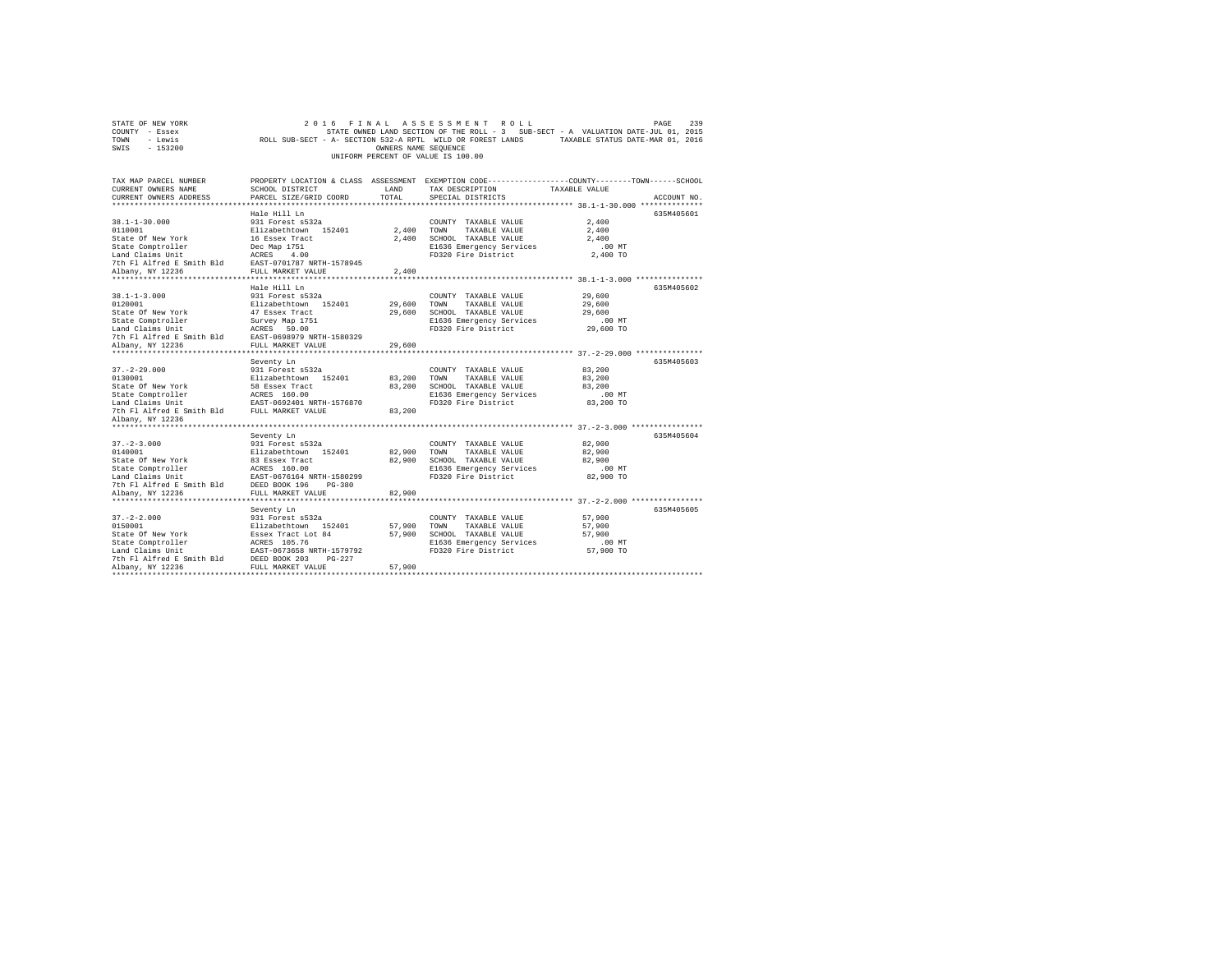| STATE OF NEW YORK                                                                                                                                                                                                              | 2 0 1 6                                      |                      | FINAL ASSESSMENT ROLL              | 239<br>PAGE                                                                                    |
|--------------------------------------------------------------------------------------------------------------------------------------------------------------------------------------------------------------------------------|----------------------------------------------|----------------------|------------------------------------|------------------------------------------------------------------------------------------------|
| COUNTY - Essex                                                                                                                                                                                                                 |                                              |                      |                                    | STATE OWNED LAND SECTION OF THE ROLL - 3 SUB-SECT - A VALUATION DATE-JUL 01, 2015              |
| TOWN<br>- Lewis                                                                                                                                                                                                                |                                              |                      |                                    | ROLL SUB-SECT - A- SECTION 532-A RPTL WILD OR FOREST LANDS TAXABLE STATUS DATE-MAR 01, 2016    |
| SWIS<br>$-153200$                                                                                                                                                                                                              |                                              | OWNERS NAME SEQUENCE |                                    |                                                                                                |
|                                                                                                                                                                                                                                |                                              |                      | UNIFORM PERCENT OF VALUE IS 100.00 |                                                                                                |
|                                                                                                                                                                                                                                |                                              |                      |                                    |                                                                                                |
|                                                                                                                                                                                                                                |                                              |                      |                                    |                                                                                                |
| TAX MAP PARCEL NUMBER                                                                                                                                                                                                          |                                              |                      |                                    | PROPERTY LOCATION & CLASS ASSESSMENT EXEMPTION CODE---------------COUNTY-------TOWN-----SCHOOL |
| CURRENT OWNERS NAME                                                                                                                                                                                                            | SCHOOL DISTRICT                              | LAND                 | TAX DESCRIPTION                    | TAXABLE VALUE                                                                                  |
| CURRENT OWNERS ADDRESS                                                                                                                                                                                                         | PARCEL SIZE/GRID COORD                       | TOTAL                | SPECIAL DISTRICTS                  | ACCOUNT NO.                                                                                    |
|                                                                                                                                                                                                                                |                                              |                      |                                    |                                                                                                |
|                                                                                                                                                                                                                                | Hale Hill Ln                                 |                      |                                    | 635M405601                                                                                     |
| $38.1 - 1 - 30.000$                                                                                                                                                                                                            | 931 Forest s532a                             |                      | COUNTY TAXABLE VALUE               | 2,400                                                                                          |
| 0110001                                                                                                                                                                                                                        | Elizabethtown 152401                         | 2,400 TOWN           | TAXABLE VALUE                      | 2,400                                                                                          |
| State Of New York                                                                                                                                                                                                              |                                              |                      | 2,400 SCHOOL TAXABLE VALUE         | 2,400                                                                                          |
| State Comptroller                                                                                                                                                                                                              | 16 Essex Tract<br>Dec Map 1751<br>ACRES 4.00 |                      | E1636 Emergency Services           | $.00$ MT                                                                                       |
| Land Claims Unit                                                                                                                                                                                                               |                                              |                      | FD320 Fire District                | 2,400 TO                                                                                       |
| 7th Fl Alfred E Smith Bld EAST-0701787 NRTH-1578945                                                                                                                                                                            |                                              |                      |                                    |                                                                                                |
| Albany, NY 12236                                                                                                                                                                                                               | FULL MARKET VALUE                            | 2,400                |                                    |                                                                                                |
|                                                                                                                                                                                                                                |                                              |                      |                                    |                                                                                                |
|                                                                                                                                                                                                                                | Hale Hill Ln                                 |                      |                                    | 635M405602                                                                                     |
| $38.1 - 1 - 3.000$                                                                                                                                                                                                             | 931 Forest s532a                             |                      | COUNTY TAXABLE VALUE               | 29,600                                                                                         |
| 0120001                                                                                                                                                                                                                        | Elizabethtown 152401                         | 29,600               | TOWN<br>TAXABLE VALUE              | 29,600                                                                                         |
| State Of New York                                                                                                                                                                                                              | 47 Essex Tract                               |                      | 29,600 SCHOOL TAXABLE VALUE        | 29,600                                                                                         |
|                                                                                                                                                                                                                                |                                              |                      | E1636 Emergency Services           | $.00$ MT                                                                                       |
|                                                                                                                                                                                                                                |                                              |                      | FD320 Fire District                | 29,600 TO                                                                                      |
| 7th Fl Alfred E Smith Bld                                                                                                                                                                                                      | EAST-0698979 NRTH-1580329                    |                      |                                    |                                                                                                |
| Albany, NY 12236                                                                                                                                                                                                               | FULL MARKET VALUE                            | 29,600               |                                    |                                                                                                |
|                                                                                                                                                                                                                                |                                              |                      |                                    |                                                                                                |
|                                                                                                                                                                                                                                | Seventy Ln                                   |                      |                                    | 635M405603                                                                                     |
| $37. - 2 - 29.000$                                                                                                                                                                                                             | 931 Forest s532a                             |                      | COUNTY TAXABLE VALUE               | 83,200                                                                                         |
| 0130001                                                                                                                                                                                                                        | Elizabethtown 152401                         | 83,200               | TOWN<br>TAXABLE VALUE              | 83,200                                                                                         |
| State Of New York 58 Essex Tract<br>State Comptroller 2 ACRES 160.00<br>Land Claims Unit 2 EAST-0692401 NRT                                                                                                                    |                                              |                      | 83,200 SCHOOL TAXABLE VALUE        | 83,200                                                                                         |
|                                                                                                                                                                                                                                |                                              |                      | E1636 Emergency Services           | $.00$ MT                                                                                       |
|                                                                                                                                                                                                                                | EAST-0692401 NRTH-1576870                    |                      | FD320 Fire District                | 83,200 TO                                                                                      |
| 7th F1 Alfred E Smith Bld FULL MARKET VALUE                                                                                                                                                                                    |                                              | 83,200               |                                    |                                                                                                |
| Albany, NY 12236                                                                                                                                                                                                               |                                              |                      |                                    |                                                                                                |
|                                                                                                                                                                                                                                |                                              |                      |                                    |                                                                                                |
|                                                                                                                                                                                                                                | Seventy Ln                                   |                      |                                    | 635M405604                                                                                     |
| $37. - 2 - 3.000$                                                                                                                                                                                                              | 931 Forest s532a                             |                      | COUNTY TAXABLE VALUE               | 82,900                                                                                         |
| 0140001                                                                                                                                                                                                                        | Elizabethtown 152401                         | 82,900               | TOWN<br>TAXABLE VALUE              | 82,900                                                                                         |
| State Of New York                                                                                                                                                                                                              | 83 Essex Tract                               |                      | 82,900 SCHOOL TAXABLE VALUE        | 82,900                                                                                         |
| State Comptroller                                                                                                                                                                                                              | ACRES 160.00                                 |                      | E1636 Emergency Services           | $.00$ MT                                                                                       |
| State computering the control of the control of the state control of the control of the control of the control of the control of the control of the control of the control of the control of the control of the control of the |                                              |                      | FD320 Fire District                | 82,900 TO                                                                                      |
|                                                                                                                                                                                                                                |                                              |                      |                                    |                                                                                                |
| Albany, NY 12236                                                                                                                                                                                                               | FULL MARKET VALUE                            | 82,900               |                                    |                                                                                                |
|                                                                                                                                                                                                                                |                                              |                      |                                    |                                                                                                |
|                                                                                                                                                                                                                                | Seventy Ln                                   |                      |                                    | 635M405605                                                                                     |
| $37. - 2 - 2.000$                                                                                                                                                                                                              | 931 Forest s532a                             |                      | COUNTY TAXABLE VALUE               | 57,900                                                                                         |
| 0150001                                                                                                                                                                                                                        | Elizabethtown 152401                         | 57,900               | TOWN<br>TAXABLE VALUE              | 57,900                                                                                         |
| State Of New York                                                                                                                                                                                                              | Essex Tract Lot 84                           |                      | 57,900 SCHOOL TAXABLE VALUE        | 57,900                                                                                         |
| State Comptroller                                                                                                                                                                                                              | ACRES 105.76                                 |                      | E1636 Emergency Services           | .00 MT                                                                                         |
|                                                                                                                                                                                                                                | EAST-0673658 NRTH-1579792                    |                      | FD320 Fire District                | 57,900 TO                                                                                      |
| Land Claims Unit<br>The EAST-0673658 NRTH-157975<br>7th Fl Alfred E Smith Bld<br>DEED BOOK 203                                                                                                                                 |                                              |                      |                                    |                                                                                                |
| Albany, NY 12236                                                                                                                                                                                                               | FULL MARKET VALUE                            | 57,900               |                                    |                                                                                                |
|                                                                                                                                                                                                                                |                                              |                      |                                    |                                                                                                |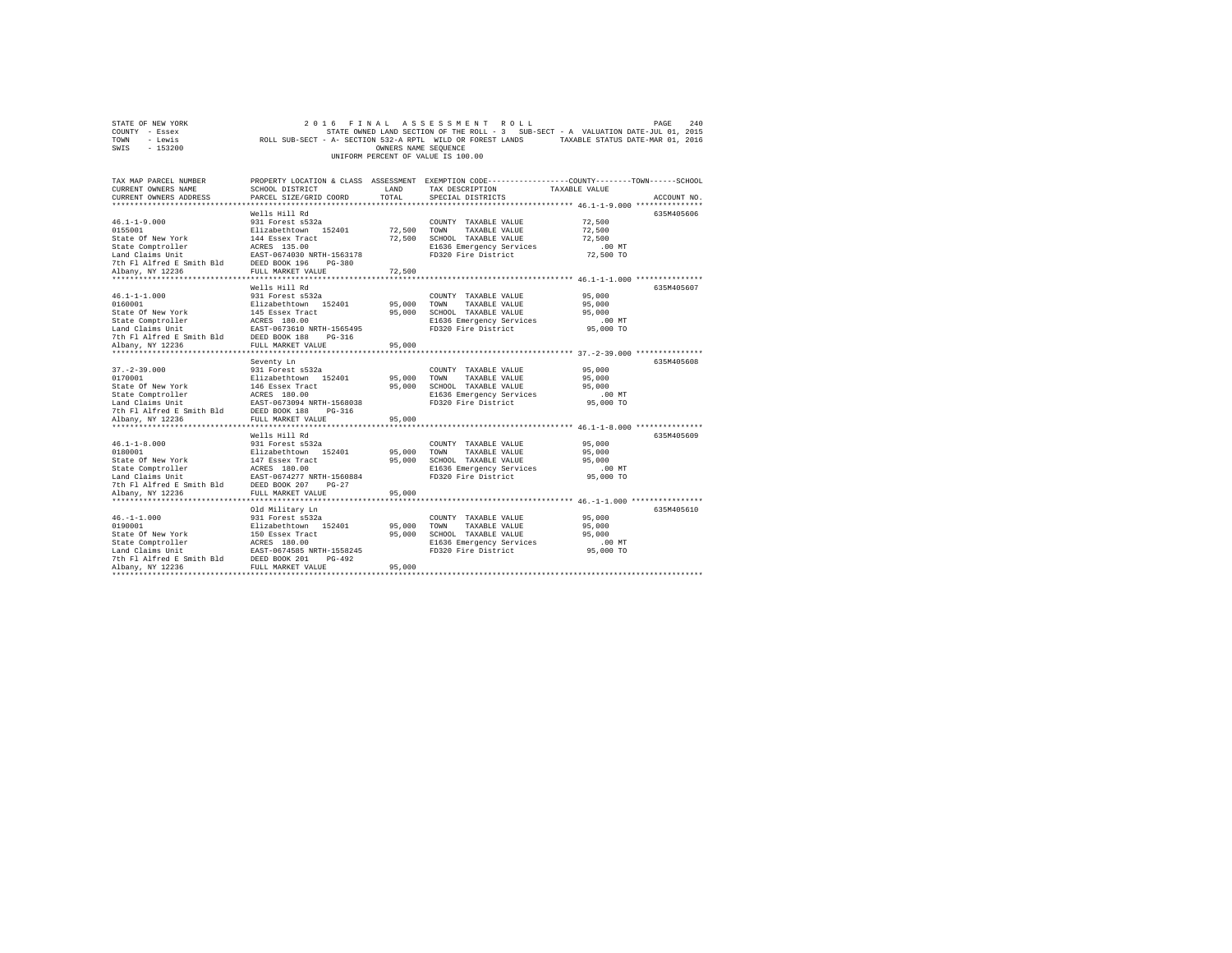| STATE OF NEW YORK |          |  |  |  |  |                                    |  | 2016 FINAL ASSESSMENT ROLL |                                                                                   |  |                                  | PAGE | 2.40 |
|-------------------|----------|--|--|--|--|------------------------------------|--|----------------------------|-----------------------------------------------------------------------------------|--|----------------------------------|------|------|
| COUNTY - Essex    |          |  |  |  |  |                                    |  |                            | STATE OWNED LAND SECTION OF THE ROLL - 3 SUB-SECT - A VALUATION DATE-JUL 01, 2015 |  |                                  |      |      |
| TOWN              | - Lewis  |  |  |  |  |                                    |  |                            | ROLL SUB-SECT - A- SECTION 532-A RPTL WILD OR FOREST LANDS                        |  | TAXABLE STATUS DATE-MAR 01, 2016 |      |      |
| SWIS              | - 153200 |  |  |  |  | OWNERS NAME SEOUENCE               |  |                            |                                                                                   |  |                                  |      |      |
|                   |          |  |  |  |  | UNIFORM PERCENT OF VALUE IS 100.00 |  |                            |                                                                                   |  |                                  |      |      |

| TAX MAP PARCEL NUMBER<br>CURRENT OWNERS NAME<br>CURRENT OWNERS ADDRESS                                                                                                                                                                                                                                                                        | SCHOOL DISTRICT<br>PARCEL SIZE/GRID COORD | LAND<br>TOTAL | PROPERTY LOCATION & CLASS ASSESSMENT EXEMPTION CODE---------------COUNTY-------TOWN------SCHOOL<br>TAX DESCRIPTION<br>SPECIAL DISTRICTS | TAXABLE VALUE         | ACCOUNT NO. |
|-----------------------------------------------------------------------------------------------------------------------------------------------------------------------------------------------------------------------------------------------------------------------------------------------------------------------------------------------|-------------------------------------------|---------------|-----------------------------------------------------------------------------------------------------------------------------------------|-----------------------|-------------|
|                                                                                                                                                                                                                                                                                                                                               | Wells Hill Rd                             |               |                                                                                                                                         | 72,500                | 635M405606  |
| 46.1-1-9.000<br>931 Forest s532a<br>0155001<br>0155001<br>216 Forest 152401<br>27,500 SCHOOL TAXABLE VALUE<br>State Comptroller ACRES 135.00<br>27,500 SCHOOL TAXABLE VALUE<br>27,500 SCHOOL TAXABLE VALUE<br>27,500 SCHOOL TAXABLE VALUE<br>                                                                                                 |                                           |               |                                                                                                                                         | 72,500<br>72.500      |             |
|                                                                                                                                                                                                                                                                                                                                               |                                           |               |                                                                                                                                         | $.00$ MT<br>72,500 TO |             |
| Albany, NY 12236                                                                                                                                                                                                                                                                                                                              | FULL MARKET VALUE                         | 72,500        |                                                                                                                                         |                       |             |
|                                                                                                                                                                                                                                                                                                                                               |                                           |               |                                                                                                                                         |                       |             |
|                                                                                                                                                                                                                                                                                                                                               | Wells Hill Rd                             |               |                                                                                                                                         |                       | 635M405607  |
|                                                                                                                                                                                                                                                                                                                                               |                                           |               | COUNTY TAXABLE VALUE 95,000                                                                                                             | 95,000                |             |
|                                                                                                                                                                                                                                                                                                                                               |                                           |               |                                                                                                                                         | 95,000                |             |
|                                                                                                                                                                                                                                                                                                                                               |                                           |               |                                                                                                                                         | $.00$ MT              |             |
| State Comptroller<br>Land Claims Unit<br>Land Claims Unit<br>The Alfred E Smith Bld<br>2018 PLATE ALSER PORT 1880<br>2018 PLATE ALSER PORT 1880<br>2018 PLATE PORT 1891<br>2018 PLATE PORT 1891<br>2018 PLATE PORT 1891<br>2018 PLATE PLATE PORT                                                                                              |                                           |               | E1636 Emergency Services<br>FD320 Fire District                                                                                         | $95,000$ TO           |             |
|                                                                                                                                                                                                                                                                                                                                               |                                           |               |                                                                                                                                         |                       |             |
| Albany, NY 12236                                                                                                                                                                                                                                                                                                                              | FULL MARKET VALUE                         | 95,000        |                                                                                                                                         |                       |             |
|                                                                                                                                                                                                                                                                                                                                               |                                           |               |                                                                                                                                         |                       |             |
|                                                                                                                                                                                                                                                                                                                                               | Seventy Ln                                |               |                                                                                                                                         |                       | 635M405608  |
| $37. - 2 - 39.000$                                                                                                                                                                                                                                                                                                                            |                                           |               | COUNTY TAXABLE VALUE                                                                                                                    | 95,000                |             |
| 0170001                                                                                                                                                                                                                                                                                                                                       |                                           |               |                                                                                                                                         | 95,000                |             |
|                                                                                                                                                                                                                                                                                                                                               |                                           |               |                                                                                                                                         |                       |             |
|                                                                                                                                                                                                                                                                                                                                               |                                           |               |                                                                                                                                         | $.00$ MT              |             |
|                                                                                                                                                                                                                                                                                                                                               |                                           |               |                                                                                                                                         | 95,000 TO             |             |
| 01/0001 12001 12002 12002 12002 12002 12002 12002 12002 12002 12002 12002 12002 12002 12002 12002 12002 12002 1<br>State Omptroller ACRES 180.00<br>TATA CRES 180.00 ELG36 Emergency Services .00<br>ELG36 Emergency Services .00<br>T                                                                                                        |                                           |               |                                                                                                                                         |                       |             |
|                                                                                                                                                                                                                                                                                                                                               |                                           |               |                                                                                                                                         |                       |             |
|                                                                                                                                                                                                                                                                                                                                               | Wells Hill Rd                             |               |                                                                                                                                         |                       | 635M405609  |
|                                                                                                                                                                                                                                                                                                                                               |                                           |               | COUNTY TAXABLE VALUE                                                                                                                    | 95,000                |             |
|                                                                                                                                                                                                                                                                                                                                               |                                           |               | TAXABLE VALUE                                                                                                                           | 95,000                |             |
|                                                                                                                                                                                                                                                                                                                                               |                                           |               |                                                                                                                                         |                       |             |
|                                                                                                                                                                                                                                                                                                                                               |                                           |               | 95,000 SCHOOL TAXABLE VALUE 95,000<br>E1636 Emergency Services .00 MT                                                                   |                       |             |
|                                                                                                                                                                                                                                                                                                                                               |                                           |               | FD320 Fire District                                                                                                                     | 95,000 TO             |             |
|                                                                                                                                                                                                                                                                                                                                               |                                           |               |                                                                                                                                         |                       |             |
| $\begin{tabular}{l c c c c} \hline 46.1-1-8.000 & 911 Forest & 5322 & 500WNTY \\ 0180001 & 1211a5bethrbwn & 152401 & 95,000 SC00NTY \\ State 05 Kew York & 147 Eseex tract & 95,000 SC000L \\ State Computer & 147 Eseex 180.00 & 95,000 SC000L \\ Land Claim 01it & 0.0087 2017 & 1007-156084 & 11508.500 \\ Land Claim 01it & 0.0087 207 2$ |                                           |               |                                                                                                                                         |                       |             |
|                                                                                                                                                                                                                                                                                                                                               |                                           |               |                                                                                                                                         |                       |             |
|                                                                                                                                                                                                                                                                                                                                               | Old Military Ln                           |               |                                                                                                                                         |                       | 635M405610  |
|                                                                                                                                                                                                                                                                                                                                               |                                           |               | COUNTY TAXABLE VALUE                                                                                                                    | 95,000                |             |
|                                                                                                                                                                                                                                                                                                                                               |                                           | 95,000 TOWN   | TAXABLE VALUE                                                                                                                           | 95,000                |             |
| 46.-1-1.000<br>1931 Forest and 231 Apple 11:00001<br>1931 Forest and 1512401<br>195,000<br>195,000<br>195,000<br>195,000<br>195,000<br>196,000<br>196,000<br>197,000<br>197,000<br>197,000<br>198,000<br>198,000<br>198,000<br>198,000<br>198,000<br>198,000<br>198,                                                                          |                                           | 95,000        | SCHOOL TAXABLE VALUE                                                                                                                    | 95,000                |             |
|                                                                                                                                                                                                                                                                                                                                               |                                           |               | E1636 Emergency Services .00 MT<br>FD320 Fire District  95,000 TO                                                                       |                       |             |
|                                                                                                                                                                                                                                                                                                                                               |                                           |               |                                                                                                                                         |                       |             |
| 7th F1 Alfred E Smith Bld DEED BOOK 201                                                                                                                                                                                                                                                                                                       | PG-492                                    |               |                                                                                                                                         |                       |             |
| Albany, NY 12236                                                                                                                                                                                                                                                                                                                              | FULL MARKET VALUE                         | 95,000        |                                                                                                                                         |                       |             |
|                                                                                                                                                                                                                                                                                                                                               |                                           |               |                                                                                                                                         |                       |             |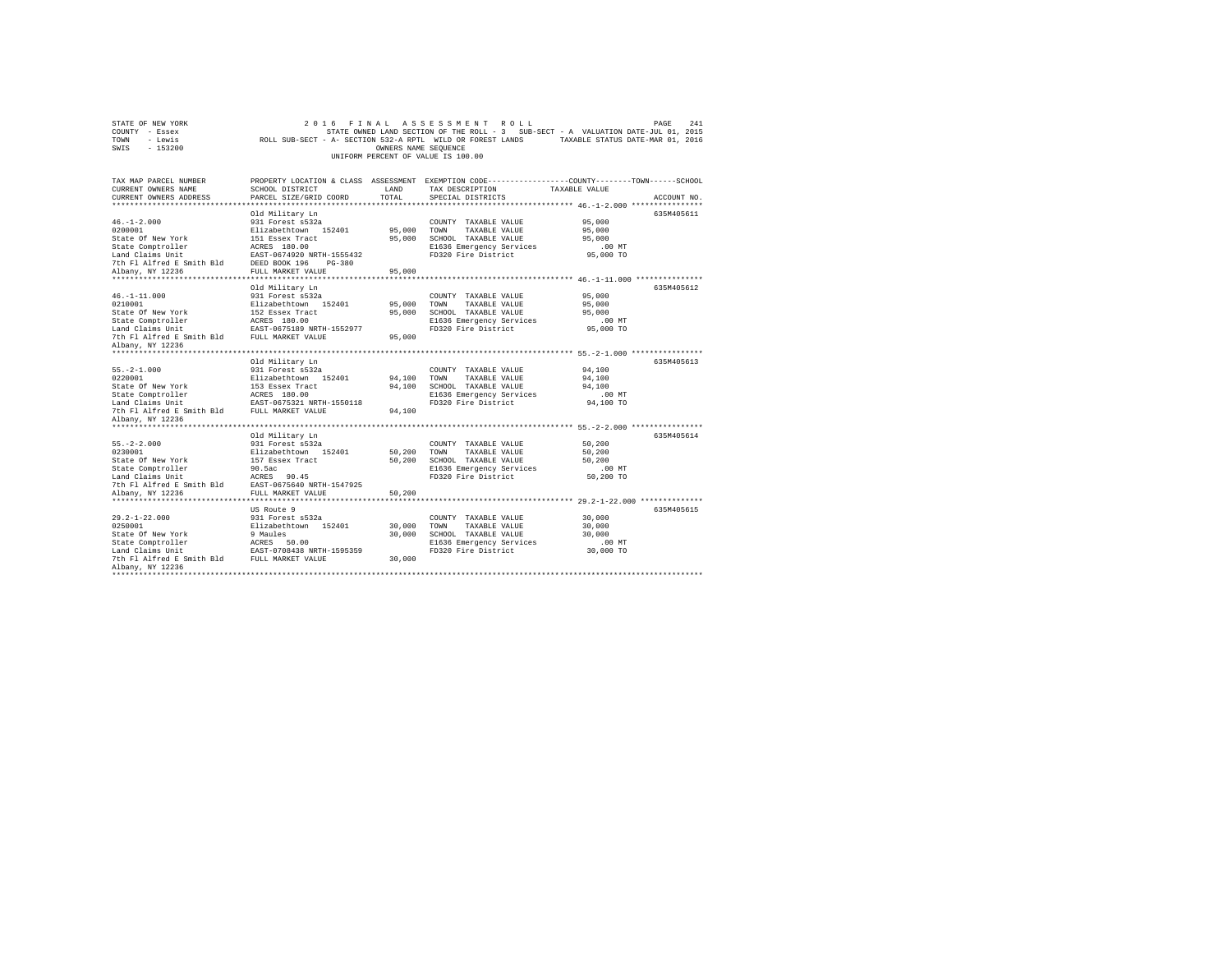| TOWN<br>- Lewis<br>ROLL SUB-SECT - A- SECTION 532-A RPTL WILD OR FOREST LANDS<br>$-153200$<br>SWIS<br>OWNERS NAME SEQUENCE<br>UNIFORM PERCENT OF VALUE IS 100.00                              |  |                                                                                                                                                                               |                            |                                                                                                                          |                                                                                                                                                 | TAXABLE STATUS DATE-MAR 01, 2016 |
|-----------------------------------------------------------------------------------------------------------------------------------------------------------------------------------------------|--|-------------------------------------------------------------------------------------------------------------------------------------------------------------------------------|----------------------------|--------------------------------------------------------------------------------------------------------------------------|-------------------------------------------------------------------------------------------------------------------------------------------------|----------------------------------|
| TAX MAP PARCEL NUMBER<br>CURRENT OWNERS NAME<br>CURRENT OWNERS ADDRESS                                                                                                                        |  | PROPERTY LOCATION & CLASS ASSESSMENT EXEMPTION CODE---------------COUNTY-------TOWN-----SCHOOL<br>SCHOOL DISTRICT<br>PARCEL SIZE/GRID COORD                                   | LAND<br>TOTAL              | TAX DESCRIPTION<br>SPECIAL DISTRICTS                                                                                     | TAXABLE VALUE                                                                                                                                   | ACCOUNT NO.                      |
| $46. -1 - 2.000$<br>0200001<br>State Of New York<br>State Comptroller<br>Land Claims Unit<br>7th Fl Alfred E Smith Bld<br>Albany, NY 12236                                                    |  | Old Military Ln<br>931 Forest s532a<br>Elizabethtown 152401<br>151 Essex Tract<br>ACRES 180.00<br>EAST-0674920 NRTH-1555432<br>$PG-380$<br>DEED BOOK 196<br>FULL MARKET VALUE | 95,000<br>95,000<br>95,000 | COUNTY TAXABLE VALUE<br>TOWN<br>TAXABLE VALUE<br>SCHOOL TAXABLE VALUE<br>E1636 Emergency Services<br>FD320 Fire District | 95,000<br>95,000<br>95,000<br>$.00$ MT<br>95,000 TO                                                                                             | 635M405611                       |
| *************************<br>$46. -1 - 11.000$<br>0210001<br>State Of New York<br>State Comptroller<br>Land Claims Unit<br>7th Fl Alfred E Smith Bld<br>Albany, NY 12236<br>***************** |  | Old Military Ln<br>931 Forest s532a<br>Elizabethtown 152401<br>152 Essex Tract<br>ACRES 180.00<br>EAST-0675189 NRTH-1552977<br>FULL MARKET VALUE                              | 95,000<br>95,000<br>95,000 | COUNTY TAXABLE VALUE<br>TOWN<br>TAXABLE VALUE<br>SCHOOL TAXABLE VALUE<br>E1636 Emergency Services<br>FD320 Fire District | 95,000<br>95,000<br>95,000<br>.00 MT<br>95,000 TO                                                                                               | 635M405612                       |
| $55. -2 - 1.000$<br>0220001<br>State Of New York<br>State Comptroller<br>Land Claims Unit<br>7th Fl Alfred E Smith Bld<br>Albany, NY 12236                                                    |  | Old Military Ln<br>931 Forest s532a<br>Elizabethtown 152401<br>153 Essex Tract<br>ACRES 180.00<br>EAST-0675321 NRTH-1550118<br>FULL MARKET VALUE                              | 94,100<br>94,100<br>94,100 | COUNTY TAXABLE VALUE<br>TOWN<br>TAXABLE VALUE<br>SCHOOL TAXABLE VALUE<br>E1636 Emergency Services<br>FD320 Fire District | 94,100<br>94,100<br>94,100<br>$.00$ MT<br>94,100 TO                                                                                             | 635M405613                       |
| ****************<br>$55. -2 - 2.000$<br>0230001<br>State Of New York<br>State Comptroller<br>Land Claims Unit<br>7th Fl Alfred E Smith Bld<br>Albany, NY 12236                                |  | Old Military Ln<br>931 Forest s532a<br>Elizabethtown 152401<br>157 Essex Tract<br>90.5ac<br>ACRES 90.45<br>EAST-0675640 NRTH-1547925<br>FULL MARKET VALUE<br>.                | 50,200<br>50,200<br>50,200 | COUNTY TAXABLE VALUE<br>TOWN<br>TAXABLE VALUE<br>SCHOOL TAXABLE VALUE<br>E1636 Emergency Services<br>FD320 Fire District | ********* 55. -2-2.000 ***************<br>50,200<br>50,200<br>50,200<br>.00 MT<br>50,200 TO<br>******************* 29.2-1-22.000 ************** | 635M405614                       |
| $29.2 - 1 - 22.000$<br>0250001<br>State Of New York<br>State Comptroller<br>Land Claims Unit<br>7th Fl Alfred E Smith Bld<br>Albany, NY 12236                                                 |  | US Route 9<br>931 Forest s532a<br>Elizabethtown 152401<br>9 Maules<br>ACRES 50.00<br>EAST-0708438 NRTH-1595359<br>FULL MARKET VALUE                                           | 30,000<br>30,000<br>30,000 | COUNTY TAXABLE VALUE<br>TOWN<br>TAXABLE VALUE<br>SCHOOL TAXABLE VALUE<br>E1636 Emergency Services<br>FD320 Fire District | 30,000<br>30,000<br>30,000<br>$.00$ MT<br>30,000 TO                                                                                             | 635M405615                       |

STATE OF NEW YORK<br>COUNTY - Essex STATE ON A STATE OWNED LAND SECTION OF THE ROLL - 3 SUB-SECT - A VALUATION DATE-JUL 01, 2015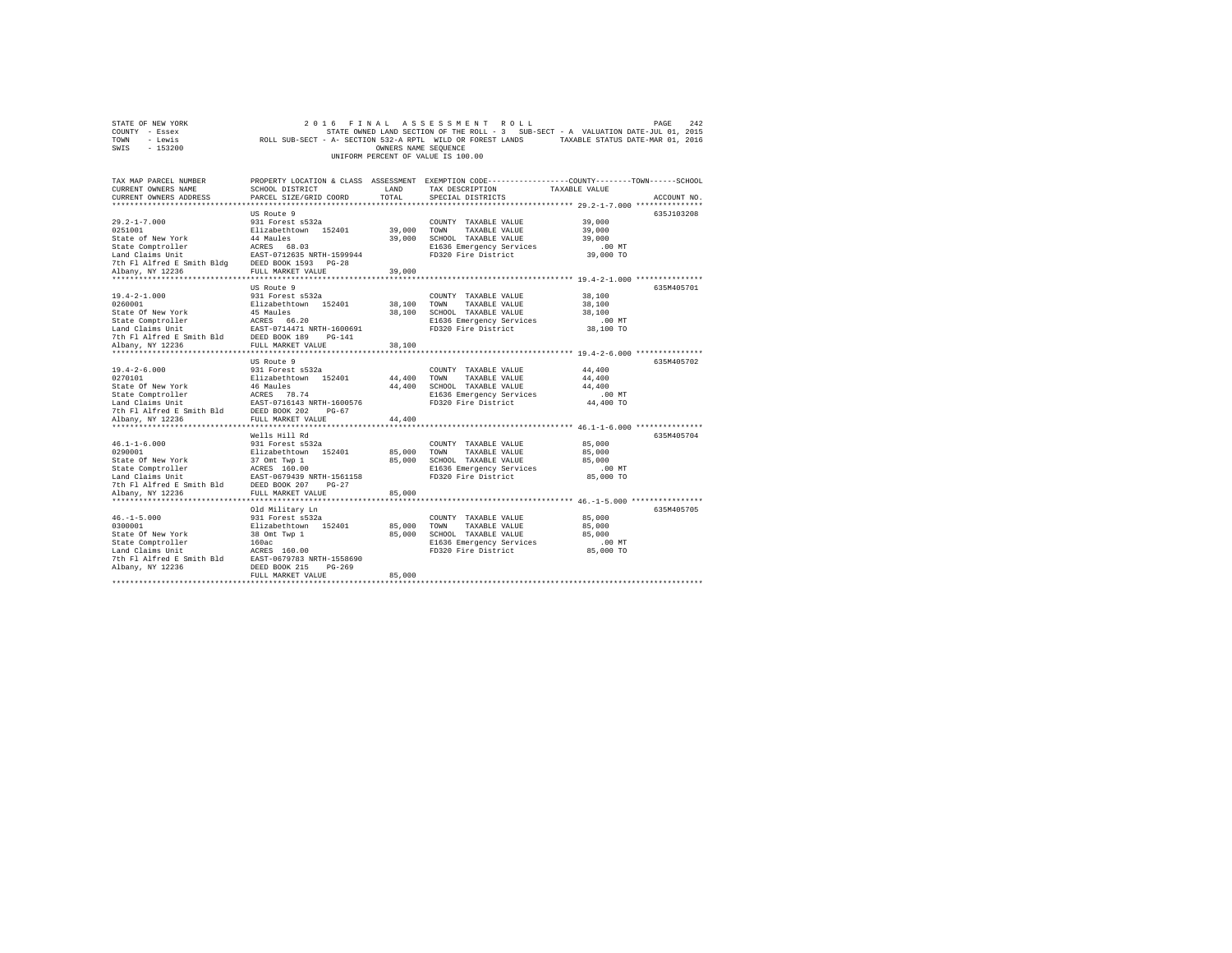|                                    | STATE OF NEW YORK |                                                            |  |  |  |                      |  | 2016 FINAL ASSESSMENT ROLL |                                                                                   | PAGE | 2.42 |
|------------------------------------|-------------------|------------------------------------------------------------|--|--|--|----------------------|--|----------------------------|-----------------------------------------------------------------------------------|------|------|
|                                    | COUNTY - Essex    |                                                            |  |  |  |                      |  |                            | STATE OWNED LAND SECTION OF THE ROLL - 3 SUB-SECT - A VALUATION DATE-JUL 01, 2015 |      |      |
| TOWN                               | - Lewis           | ROLL SUB-SECT - A- SECTION 532-A RPTL WILD OR FOREST LANDS |  |  |  |                      |  |                            | TAXABLE STATUS DATE-MAR 01, 2016                                                  |      |      |
| SWIS                               | - 153200          |                                                            |  |  |  | OWNERS NAME SEOUENCE |  |                            |                                                                                   |      |      |
| UNIFORM PERCENT OF VALUE IS 100.00 |                   |                                                            |  |  |  |                      |  |                            |                                                                                   |      |      |

| TAX MAP PARCEL NUMBER<br>CURRENT OWNERS NAME<br>CURRENT OWNERS ADDRESS                                                                                                                                                                   | SCHOOL DISTRICT<br>PARCEL SIZE/GRID COORD        | LAND<br>TOTAL         | PROPERTY LOCATION & CLASS ASSESSMENT EXEMPTION CODE---------------COUNTY-------TOWN------SCHOOL<br>TAX DESCRIPTION<br>SPECIAL DISTRICTS | TAXABLE VALUE                                   | ACCOUNT NO. |
|------------------------------------------------------------------------------------------------------------------------------------------------------------------------------------------------------------------------------------------|--------------------------------------------------|-----------------------|-----------------------------------------------------------------------------------------------------------------------------------------|-------------------------------------------------|-------------|
|                                                                                                                                                                                                                                          |                                                  |                       |                                                                                                                                         |                                                 |             |
|                                                                                                                                                                                                                                          | US Route 9                                       |                       |                                                                                                                                         |                                                 | 635J103208  |
|                                                                                                                                                                                                                                          |                                                  |                       | COUNTY TAXABLE VALUE 39,000                                                                                                             |                                                 |             |
|                                                                                                                                                                                                                                          |                                                  |                       |                                                                                                                                         | 39,000                                          |             |
|                                                                                                                                                                                                                                          |                                                  |                       |                                                                                                                                         | 39,000                                          |             |
|                                                                                                                                                                                                                                          |                                                  |                       |                                                                                                                                         | $39,000$ TO                                     |             |
|                                                                                                                                                                                                                                          |                                                  |                       |                                                                                                                                         |                                                 |             |
|                                                                                                                                                                                                                                          |                                                  |                       |                                                                                                                                         |                                                 |             |
|                                                                                                                                                                                                                                          |                                                  |                       |                                                                                                                                         |                                                 |             |
|                                                                                                                                                                                                                                          |                                                  |                       |                                                                                                                                         |                                                 |             |
|                                                                                                                                                                                                                                          | US Route 9                                       |                       |                                                                                                                                         |                                                 | 635M405701  |
| 19.4-2-1.000                                                                                                                                                                                                                             |                                                  |                       |                                                                                                                                         | 38,100<br>38,100                                |             |
| 0260001                                                                                                                                                                                                                                  |                                                  |                       |                                                                                                                                         |                                                 |             |
|                                                                                                                                                                                                                                          |                                                  |                       | 38,100 SCHOOL TAXABLE VALUE                                                                                                             | 38,100                                          |             |
|                                                                                                                                                                                                                                          |                                                  |                       | E1636 Emergency Services                                                                                                                | $.00$ MT                                        |             |
|                                                                                                                                                                                                                                          |                                                  |                       | FD320 Fire District                                                                                                                     | 38,100 TO                                       |             |
| State of New York and the Maules of New York 15 Maules<br>State Compiroller and Mark 14471 NRTH-1600691<br>Land Claims Unit<br>The Alfred B Smith Bld DEED BOOK 189 PG-141<br>Albany, NY 12236 PULL MARKET VALUE                         |                                                  | 38,100                |                                                                                                                                         |                                                 |             |
|                                                                                                                                                                                                                                          |                                                  |                       |                                                                                                                                         |                                                 |             |
|                                                                                                                                                                                                                                          | US Route 9                                       |                       |                                                                                                                                         |                                                 | 635M405702  |
| $19.4 - 2 - 6.000$                                                                                                                                                                                                                       |                                                  |                       | COUNTY TAXABLE VALUE                                                                                                                    | 44,400                                          |             |
| 0270101                                                                                                                                                                                                                                  |                                                  |                       | TAXABLE VALUE                                                                                                                           | 44,400                                          |             |
|                                                                                                                                                                                                                                          |                                                  |                       | SCHOOL TAXABLE VALUE                                                                                                                    | 44,400                                          |             |
|                                                                                                                                                                                                                                          |                                                  |                       |                                                                                                                                         | $.00$ MT                                        |             |
|                                                                                                                                                                                                                                          |                                                  |                       | E1636 Emergency Services<br>FD320 Fire District                                                                                         | 44,400 TO                                       |             |
|                                                                                                                                                                                                                                          |                                                  |                       |                                                                                                                                         |                                                 |             |
|                                                                                                                                                                                                                                          |                                                  | 44,400                |                                                                                                                                         |                                                 |             |
| Scate Of Rew York and the Maules<br>State Comptroller and Tax and Care and Tax and Claims Unit<br>Land Claims Unit EAST-0716143 NRTH-1600576<br>7th Fl Alfred E Smith Bld DEED BOOK 202 PG-67<br>Albany, NY 12236<br>******************* |                                                  |                       |                                                                                                                                         |                                                 |             |
|                                                                                                                                                                                                                                          | Wells Hill Rd                                    |                       |                                                                                                                                         |                                                 | 635M405704  |
|                                                                                                                                                                                                                                          |                                                  |                       |                                                                                                                                         | 85,000                                          |             |
|                                                                                                                                                                                                                                          |                                                  |                       |                                                                                                                                         | 85,000                                          |             |
|                                                                                                                                                                                                                                          |                                                  |                       |                                                                                                                                         | 85,000                                          |             |
|                                                                                                                                                                                                                                          |                                                  |                       |                                                                                                                                         | $.00$ MT                                        |             |
|                                                                                                                                                                                                                                          |                                                  |                       | FD320 Fire District                                                                                                                     | 85,000 TO                                       |             |
|                                                                                                                                                                                                                                          |                                                  |                       |                                                                                                                                         |                                                 |             |
| Albany, NY 12236                                                                                                                                                                                                                         | FULL MARKET VALUE<br>*************************** | 85,000<br>*********** |                                                                                                                                         | ******************* 46.-1-5.000 *************** |             |
|                                                                                                                                                                                                                                          | Old Military Ln                                  |                       |                                                                                                                                         |                                                 | 635M405705  |
| $46. -1 - 5.000$                                                                                                                                                                                                                         |                                                  |                       | COUNTY TAXABLE VALUE 85,000                                                                                                             |                                                 |             |
| 0300001                                                                                                                                                                                                                                  | 931 Forest s532a<br>Elizabethtown 152401         |                       | 85,000 TOWN TAXABLE VALUE                                                                                                               | 85,000                                          |             |
| State Of New York                                                                                                                                                                                                                        |                                                  |                       | 85,000 SCHOOL TAXABLE VALUE 85,000                                                                                                      |                                                 |             |
| State Comptroller                                                                                                                                                                                                                        | 38 Omt Twp 1<br>160ac                            |                       | E1636 Emergency Services                                                                                                                | .00 MT                                          |             |
|                                                                                                                                                                                                                                          |                                                  |                       | FD320 Fire District 85,000 TO                                                                                                           |                                                 |             |
| Conce Competenting The Constant of Default of The Mark 2016<br>Jand Claims Unit The ACRES 160.00<br>The Fl Alfred E Smith Bld EAST-0679783 NRTH-1558690<br>Albany, NY 12236                                                              |                                                  |                       |                                                                                                                                         |                                                 |             |
|                                                                                                                                                                                                                                          |                                                  |                       |                                                                                                                                         |                                                 |             |
|                                                                                                                                                                                                                                          | FULL MARKET VALUE                                | 85,000                |                                                                                                                                         |                                                 |             |
|                                                                                                                                                                                                                                          |                                                  |                       |                                                                                                                                         |                                                 |             |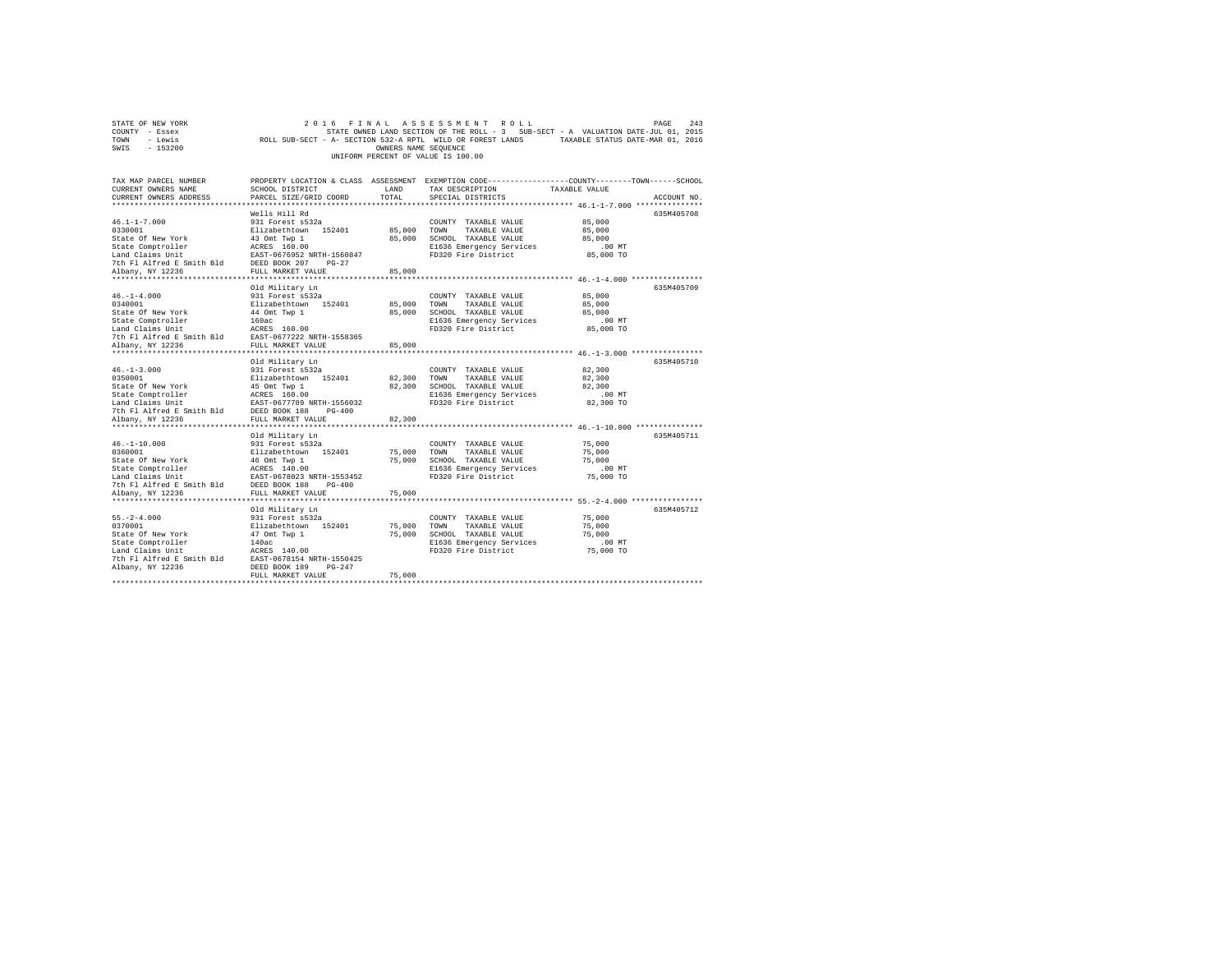|                                    | STATE OF NEW YORK |                                                            |  |  |  |                      |  |  | 2016 FINAL ASSESSMENT ROLL |                                                                                   | PAGE | 2.43 |
|------------------------------------|-------------------|------------------------------------------------------------|--|--|--|----------------------|--|--|----------------------------|-----------------------------------------------------------------------------------|------|------|
| COUNTY - Essex                     |                   |                                                            |  |  |  |                      |  |  |                            | STATE OWNED LAND SECTION OF THE ROLL - 3 SUB-SECT - A VALUATION DATE-JUL 01, 2015 |      |      |
| TOWN                               | - Lewis           | ROLL SUB-SECT - A- SECTION 532-A RPTL WILD OR FOREST LANDS |  |  |  |                      |  |  |                            | TAXABLE STATUS DATE-MAR 01, 2016                                                  |      |      |
| SWIS                               | $-153200$         |                                                            |  |  |  | OWNERS NAME SEOUENCE |  |  |                            |                                                                                   |      |      |
| UNIFORM PERCENT OF VALUE IS 100.00 |                   |                                                            |  |  |  |                      |  |  |                            |                                                                                   |      |      |

| TAX MAP PARCEL NUMBER<br>CURRENT OWNERS NAME                                                                                                       | SCHOOL DISTRICT                                | LAND                 | PROPERTY LOCATION & CLASS ASSESSMENT EXEMPTION CODE---------------COUNTY-------TOWN-----SCHOOL<br>TAX DESCRIPTION | TAXABLE VALUE                                         |             |
|----------------------------------------------------------------------------------------------------------------------------------------------------|------------------------------------------------|----------------------|-------------------------------------------------------------------------------------------------------------------|-------------------------------------------------------|-------------|
| CURRENT OWNERS ADDRESS                                                                                                                             | PARCEL SIZE/GRID COORD                         | TOTAL                | SPECIAL DISTRICTS                                                                                                 |                                                       | ACCOUNT NO. |
|                                                                                                                                                    |                                                |                      |                                                                                                                   |                                                       |             |
|                                                                                                                                                    | Wells Hill Rd                                  |                      |                                                                                                                   |                                                       | 635M405708  |
| $46.1 - 1 - 7.000$                                                                                                                                 | 931 Forest s532a                               |                      | COUNTY TAXABLE VALUE                                                                                              | 85,000                                                |             |
| 0330001                                                                                                                                            | Elizabethtown 152401<br>43 Omt Twp 1           |                      | 85,000 TOWN TAXABLE VALUE                                                                                         | 85,000                                                |             |
| State Of New York                                                                                                                                  |                                                |                      | 85,000 SCHOOL TAXABLE VALUE                                                                                       | 85,000                                                |             |
|                                                                                                                                                    |                                                |                      | E1636 Emergency Services                                                                                          | .00 MT                                                |             |
| State Comptroller acress 160.00<br>Land Claims Unit EAST-0676952 NRTH-1560847<br>7th Fl Alfred E Smith Bld DEED BOOK 207 PG-27<br>Albany, NY 12236 |                                                |                      | FD320 Fire District                                                                                               | 85,000 TO                                             |             |
|                                                                                                                                                    |                                                |                      |                                                                                                                   |                                                       |             |
| Albany, NY 12236                                                                                                                                   | FULL MARKET VALUE                              | 85,000               |                                                                                                                   |                                                       |             |
| ***************                                                                                                                                    |                                                |                      |                                                                                                                   |                                                       |             |
|                                                                                                                                                    | Old Military Ln                                |                      |                                                                                                                   |                                                       | 635M405709  |
| $46. - 1 - 4.000$                                                                                                                                  | 931 Forest s532a                               |                      | COUNTY TAXABLE VALUE                                                                                              | 85,000                                                |             |
| 0340001                                                                                                                                            | Elizabethtown 152401                           | 85,000               | TOWN<br>TAXABLE VALUE                                                                                             | 85,000                                                |             |
| State Of New York                                                                                                                                  | 44 Omt Twp 1<br>160ac                          | 85,000               | SCHOOL TAXABLE VALUE                                                                                              | 85,000                                                |             |
| State Comptroller                                                                                                                                  |                                                |                      | E1636 Emergency Services                                                                                          | $.00$ MT                                              |             |
| Land Claims Unit                                                                                                                                   | ACRES 160.00                                   |                      | FD320 Fire District                                                                                               | 85,000 TO                                             |             |
| The Fig. 11 March 2010.00<br>The Fl Alfred E Smith Bld EAST-0677222 NRTH-1558365                                                                   |                                                |                      |                                                                                                                   |                                                       |             |
| Albany, NY 12236                                                                                                                                   | FULL MARKET VALUE                              | 85,000               |                                                                                                                   |                                                       |             |
|                                                                                                                                                    |                                                |                      |                                                                                                                   |                                                       |             |
|                                                                                                                                                    | Old Military Ln                                |                      |                                                                                                                   |                                                       | 635M405710  |
| $46. - 1 - 3.000$                                                                                                                                  | 931 Forest s532a                               |                      | COUNTY TAXABLE VALUE                                                                                              | 82,300                                                |             |
| 0350001                                                                                                                                            | Elizabethtown 152401                           | 82,300 TOWN          | TAXABLE VALUE                                                                                                     | 82,300                                                |             |
| State Of New York                                                                                                                                  | 45 Omt Twp 1                                   | 82,300               | SCHOOL TAXABLE VALUE                                                                                              | 82,300                                                |             |
| State Comptroller                                                                                                                                  | ACRES 160.00                                   |                      | E1636 Emergency Services                                                                                          | $.00$ MT                                              |             |
|                                                                                                                                                    |                                                |                      | FD320 Fire District                                                                                               | 82,300 TO                                             |             |
|                                                                                                                                                    |                                                |                      |                                                                                                                   |                                                       |             |
| Albany, NY 12236                                                                                                                                   | FULL MARKET VALUE                              | 82,300               |                                                                                                                   |                                                       |             |
|                                                                                                                                                    |                                                |                      |                                                                                                                   |                                                       |             |
|                                                                                                                                                    | Old Military Ln                                |                      |                                                                                                                   |                                                       | 635M405711  |
| $46. - 1 - 10.000$                                                                                                                                 | 931 Forest s532a                               |                      | COUNTY TAXABLE VALUE                                                                                              | 75,000                                                |             |
| 0360001                                                                                                                                            | Elizabethtown 152401<br>46 Omt Twp 1           | 75,000 TOWN          | TAXABLE VALUE                                                                                                     | 75,000                                                |             |
| State Of New York                                                                                                                                  |                                                | 75,000               | SCHOOL TAXABLE VALUE                                                                                              | 75,000                                                |             |
| State Comptroller                                                                                                                                  | ACRES 140.00<br>EAST-0678023 NRTH-1553452      |                      | E1636 Emergency Services                                                                                          | $.00$ MT                                              |             |
| Land Claims Unit                                                                                                                                   |                                                |                      | FD320 Fire District                                                                                               | 75,000 TO                                             |             |
| 7th Fl Alfred E Smith Bld DEED BOOK 188                                                                                                            | $PG-400$                                       |                      |                                                                                                                   |                                                       |             |
| Albany, NY 12236                                                                                                                                   | FULL MARKET VALUE<br>***********************   | 75,000<br>********** |                                                                                                                   | *********************** 55.-2-4.000 ***************** |             |
|                                                                                                                                                    |                                                |                      |                                                                                                                   |                                                       |             |
|                                                                                                                                                    | Old Military Ln                                |                      |                                                                                                                   |                                                       | 635M405712  |
| $55. - 2 - 4.000$                                                                                                                                  | 931 Forest s532a                               |                      | COUNTY TAXABLE VALUE                                                                                              | 75,000                                                |             |
| 0370001                                                                                                                                            | Elizabethtown 152401                           |                      | 75,000 TOWN<br>TAXABLE VALUE                                                                                      | 75,000                                                |             |
| State Of New York                                                                                                                                  | 47 Omt Twp 1                                   | 75,000               | SCHOOL TAXABLE VALUE                                                                                              | 75,000                                                |             |
| State Comptroller                                                                                                                                  | 140ac                                          |                      | E1636 Emergency Services<br>FD320 Fire District                                                                   | $.00$ MT                                              |             |
| Land Claims Unit<br>The Flat and East 190.00<br>The Flatfred E Smith Bld EAST-0678154 NRTH-1550425                                                 | ACRES 140.00                                   |                      |                                                                                                                   | 75,000 TO                                             |             |
|                                                                                                                                                    |                                                |                      |                                                                                                                   |                                                       |             |
| Albany, NY 12236                                                                                                                                   | DEED BOOK 189<br>$PG-247$<br>FULL MARKET VALUE | 75,000               |                                                                                                                   |                                                       |             |
|                                                                                                                                                    |                                                |                      |                                                                                                                   |                                                       |             |
|                                                                                                                                                    |                                                |                      |                                                                                                                   |                                                       |             |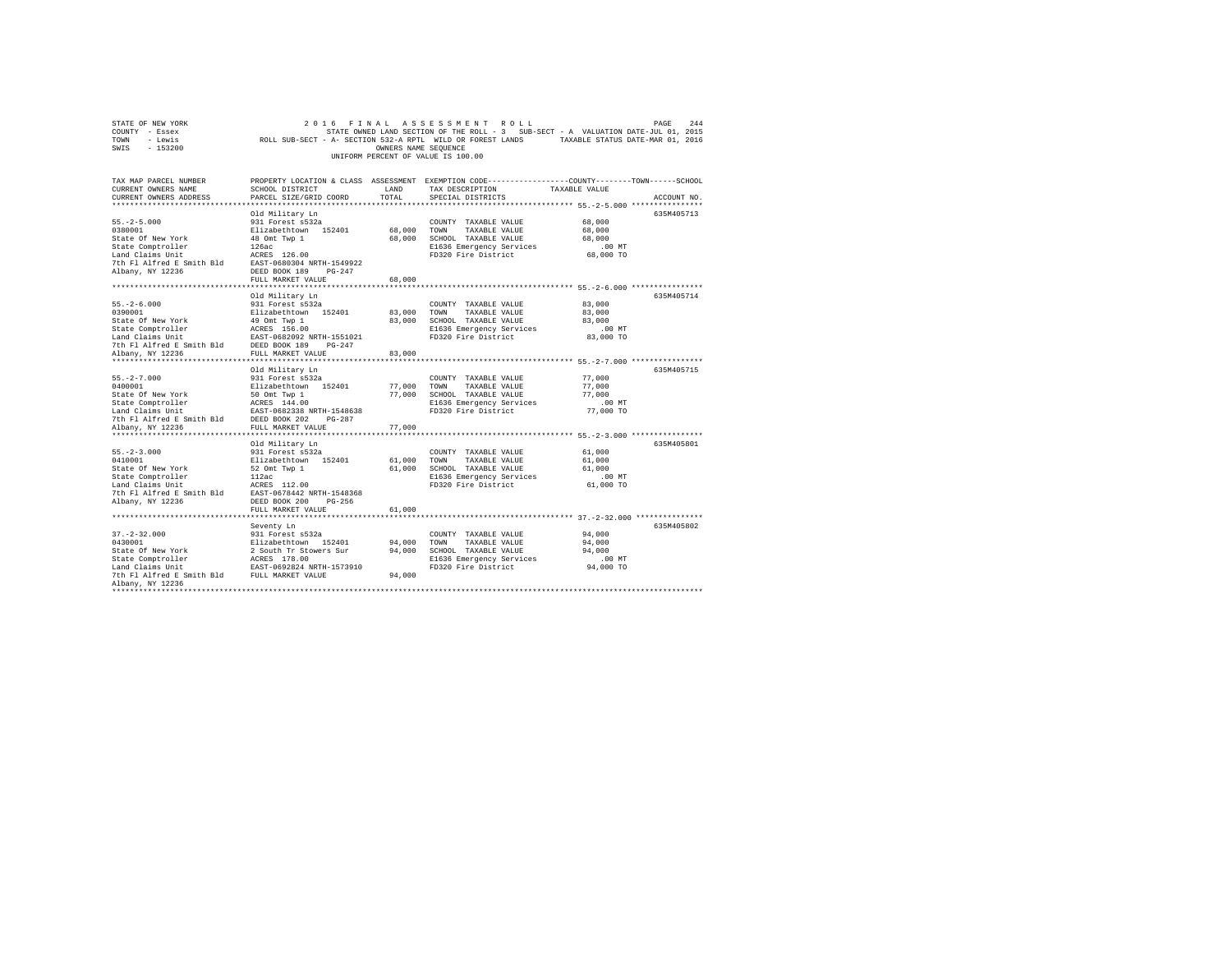| STATE OF NEW YORK<br>COUNTY - Essex<br>TOWN<br>- Lewis<br>SWIS<br>$-153200$                                                                                                                                                                                                                         | 2 0 1 6<br>ROLL SUB-SECT - A- SECTION 532-A RPTL WILD OR FOREST LANDS TAXABLE STATUS DATE-MAR 01, 2016                                                | OWNERS NAME SEQUENCE       | FINAL ASSESSMENT ROLL<br>STATE OWNED LAND SECTION OF THE ROLL - 3 SUB-SECT - A VALUATION DATE-JUL 01, 2015<br>UNIFORM PERCENT OF VALUE IS 100.00 |                                                                                                               | PAGE<br>244 |
|-----------------------------------------------------------------------------------------------------------------------------------------------------------------------------------------------------------------------------------------------------------------------------------------------------|-------------------------------------------------------------------------------------------------------------------------------------------------------|----------------------------|--------------------------------------------------------------------------------------------------------------------------------------------------|---------------------------------------------------------------------------------------------------------------|-------------|
| TAX MAP PARCEL NUMBER<br>CURRENT OWNERS NAME<br>CURRENT OWNERS ADDRESS<br>*************************                                                                                                                                                                                                 | SCHOOL DISTRICT<br>PARCEL SIZE/GRID COORD                                                                                                             | LAND<br>TOTAL              | PROPERTY LOCATION & CLASS ASSESSMENT EXEMPTION CODE---------------COUNTY-------TOWN------SCHOOL<br>TAX DESCRIPTION<br>SPECIAL DISTRICTS          | TAXABLE VALUE                                                                                                 | ACCOUNT NO. |
| $55. -2 - 5.000$<br>0380001<br>State Of New York<br>State Comptroller<br>Land Claims Unit<br>The Fl Alfred E Smith Bld<br>EAST-0680304 NRTH-1549922<br>Albany, NY 12236                                                                                                                             | Old Military Ln<br>931 Forest s532a<br>Elizabethtown 152401<br>48 Omt Twp 1<br>126ac<br>126ac<br>DEED BOOK 189 PG-247<br>FULL MARKET VALUE            | 68,000<br>68,000<br>68,000 | COUNTY TAXABLE VALUE<br>TOWN<br>TAXABLE VALUE<br>SCHOOL TAXABLE VALUE<br>E1636 Emergency Services<br>FD320 Fire District                         | 68,000<br>68,000<br>68,000<br>$.00$ MT<br>68,000 TO                                                           | 635M405713  |
|                                                                                                                                                                                                                                                                                                     |                                                                                                                                                       |                            | ******************************* 55.-2-6.000 ***************                                                                                      |                                                                                                               |             |
| $55. - 2 - 6.000$                                                                                                                                                                                                                                                                                   | Old Military Ln<br>931 Forest s532a                                                                                                                   | 83,000                     | COUNTY TAXABLE VALUE<br>TOWN<br>TAXABLE VALUE<br>83,000 SCHOOL TAXABLE VALUE<br>E1636 Emergency Services<br>FD320 Fire District                  | 83,000<br>83,000<br>83,000<br>.00MT<br>83,000 TO                                                              | 635M405714  |
|                                                                                                                                                                                                                                                                                                     |                                                                                                                                                       | 83,000                     |                                                                                                                                                  |                                                                                                               |             |
| $55. -2 - 7.000$<br>0400001<br>State Of New York<br>State Comptroller<br>Land Claims Unit<br>7th Fl Alfred E Smith Bld                                                                                                                                                                              | Old Military Ln<br>931 Forest s532a<br>Elizabethtown 152401<br>50 Omt Twp 1<br>ACRES 144.00<br>EAST-0682338 NRTH-1548638<br>DEED BOOK 202<br>$PG-287$ | 77,000                     | COUNTY TAXABLE VALUE<br>TOWN<br>TAXABLE VALUE<br>77,000 SCHOOL TAXABLE VALUE<br>E1636 Emergency Services<br>FD320 Fire District                  | 77,000<br>77,000<br>77,000<br>$.00$ MT<br>77,000 TO                                                           | 635M405715  |
| Albany, NY 12236                                                                                                                                                                                                                                                                                    | FULL MARKET VALUE                                                                                                                                     | 77,000                     |                                                                                                                                                  |                                                                                                               |             |
| $55. -2 - 3.000$<br>0410001<br>State Of New York<br>$\begin{tabular}{lllllllllll} \texttt{State Comptroller} & & & & 112ac \\ \texttt{Land Calins Unit} & & & & \texttt{ACRES} & 112.00 \\ \texttt{Total IIAFred E Smith Bld} & & & & \texttt{ACRES} & 112.00 \\ \end{tabular}$<br>Albany, NY 12236 | Old Military Ln<br>931 Forest s532a<br>Elizabethtown 152401<br>$52$ Omt Twp $1$<br>DEED BOOK 200 PG-256                                               | 61,000                     | COUNTY TAXABLE VALUE<br>TOWN<br>TAXABLE VALUE<br>61,000 SCHOOL TAXABLE VALUE<br>E1636 Emergency Services<br>FD320 Fire District                  | ************************ 55. -2-3.000 ****************<br>61,000<br>61,000<br>61,000<br>$.00$ MT<br>61,000 TO | 635M405801  |
|                                                                                                                                                                                                                                                                                                     | FULL MARKET VALUE                                                                                                                                     | 61,000                     |                                                                                                                                                  |                                                                                                               |             |
| $37. - 2 - 32.000$                                                                                                                                                                                                                                                                                  | Seventy Ln<br>931 Forest s532a                                                                                                                        | 94,000<br>94,000<br>94,000 | COUNTY TAXABLE VALUE<br>TAXABLE VALUE<br>TOWN<br>SCHOOL TAXABLE VALUE<br>E1636 Emergency Services<br>FD320 Fire District                         | 94,000<br>94,000<br>94,000<br>.00MT<br>94,000 TO                                                              | 635M405802  |
| Albany, NY 12236                                                                                                                                                                                                                                                                                    |                                                                                                                                                       |                            |                                                                                                                                                  |                                                                                                               |             |
|                                                                                                                                                                                                                                                                                                     |                                                                                                                                                       |                            |                                                                                                                                                  |                                                                                                               |             |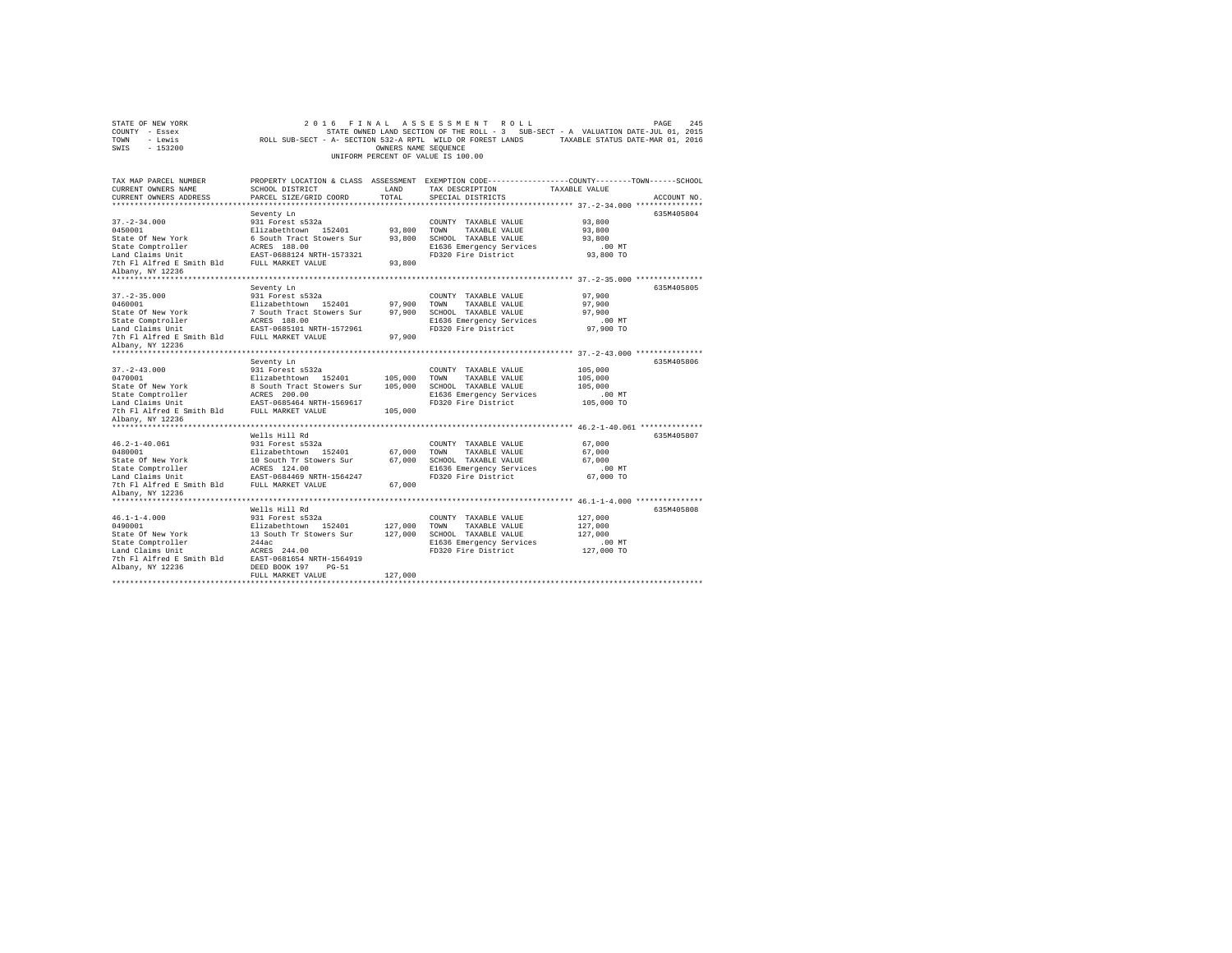| STATE OF NEW YORK<br>COUNTY - Essex<br>TOWN<br>- Lewis<br>SWIS - 153200                                                                                              |                                                                                                                                                                                        | OWNERS NAME SEQUENCE          | 2016 FINAL ASSESSMENT ROLL<br>UNIFORM PERCENT OF VALUE IS 100.00                                                         | PAGE<br>245<br>STATE OWNED LAND SECTION OF THE ROLL - 3 SUB-SECT - A VALUATION DATE-JUL 01, 2015<br>ROLL SUB-SECT - A- SECTION 532-A RPTL WILD OR FOREST LANDS TAXABLE STATUS DATE-MAR 01, 2016 |
|----------------------------------------------------------------------------------------------------------------------------------------------------------------------|----------------------------------------------------------------------------------------------------------------------------------------------------------------------------------------|-------------------------------|--------------------------------------------------------------------------------------------------------------------------|-------------------------------------------------------------------------------------------------------------------------------------------------------------------------------------------------|
| TAX MAP PARCEL NUMBER<br>CURRENT OWNERS NAME<br>CURRENT OWNERS ADDRESS                                                                                               | SCHOOL DISTRICT<br>PARCEL SIZE/GRID COORD                                                                                                                                              | LAND<br>TOTAL                 | TAX DESCRIPTION<br>SPECIAL DISTRICTS                                                                                     | PROPERTY LOCATION & CLASS ASSESSMENT EXEMPTION CODE---------------COUNTY-------TOWN------SCHOOL<br>TAXABLE VALUE<br>ACCOUNT NO.                                                                 |
| $37. - 2 - 34.000$<br>0450001<br>State Of New York<br>State Comptroller<br>Land Claims Unit<br>7th F1 Alfred E Smith Bld FULL MARKET VALUE<br>Albany, NY 12236       | Seventy Ln<br>931 Forest s532a<br>Elizabethtown 152401<br>6 South Tract Stowers Sur<br>ACRES 188.00<br>EAST-0688124 NRTH-1573321                                                       | 93,800<br>93,800<br>93,800    | COUNTY TAXABLE VALUE<br>TOWN<br>TAXABLE VALUE<br>SCHOOL TAXABLE VALUE<br>E1636 Emergency Services<br>FD320 Fire District | 635M405804<br>93,800<br>93,800<br>93,800<br>.00 MT<br>93,800 TO                                                                                                                                 |
| $37. - 2 - 35.000$<br>0460001<br>State Of New York<br>State Comptroller<br>Land Claims Unit<br>7th Fl Alfred E Smith Bld FULL MARKET VALUE<br>Albany, NY 12236       | Seventy Ln<br>931 Forest s532a<br>Elizabethtown 152401<br>7 South Tract Stowers Sur<br>ACRES 188.00<br>EAST-0685101 NRTH-1572961                                                       | 97,900<br>97,900<br>97,900    | COUNTY TAXABLE VALUE<br>TOWN<br>TAXABLE VALUE<br>SCHOOL TAXABLE VALUE<br>E1636 Emergency Services<br>FD320 Fire District | 635M405805<br>97,900<br>97,900<br>97,900<br>.00 MT<br>97,900 TO                                                                                                                                 |
| $37. - 2 - 43.000$<br>0470001<br>State Of New York<br>State Comptroller<br>State Comptroller<br>Land Claims Unit<br>7th Fl Alfred E Smith Bld                        | Seventy Ln<br>931 Forest s532a<br>Elizabethtown 152401<br>8 South Tract Stowers Sur<br>ACRES 200.00<br>EAST-0685464 NRTH-1569617<br>FULL MARKET VALUE                                  | 105,000<br>105,000<br>105,000 | COUNTY TAXABLE VALUE<br>TOWN TAXABLE VALUE<br>SCHOOL TAXABLE VALUE<br>E1636 Emergency Services<br>FD320 Fire District    | 635M405806<br>105,000<br>105,000<br>105,000<br>.00MT<br>105,000 TO                                                                                                                              |
| Albany, NY 12236<br>$46.2 - 1 - 40.061$<br>0480001<br>State Of New York<br>State Comptroller<br>Land Claims Unit<br>7th Fl Alfred E Smith Bld<br>Albany, NY 12236    | Wells Hill Rd<br>931 Forest s532a<br>Elizabethtown 152401<br>10 South Tr Stowers Sur<br>ACRES 124.00<br>EAST-0684469 NRTH-1564247<br>FULL MARKET VALUE                                 | 67,000<br>67,000<br>67,000    | COUNTY TAXABLE VALUE<br>TOWN<br>TAXABLE VALUE<br>SCHOOL TAXABLE VALUE<br>E1636 Emergency Services<br>FD320 Fire District | 635M405807<br>67,000<br>67,000<br>67.000<br>$.00$ MT<br>67,000 TO                                                                                                                               |
| ********************<br>$46.1 - 1 - 4.000$<br>0490001<br>State Of New York<br>State Comptroller<br>Land Claims Unit<br>7th Fl Alfred E Smith Bld<br>Albany, NY 12236 | Wells Hill Rd<br>931 Forest s532a<br>Elizabethtown 152401<br>13 South Tr Stowers Sur<br>244ac<br>ACRES 244.00<br>EAST-0681654 NRTH-1564919<br>DEED BOOK 197 PG-51<br>FULL MARKET VALUE | 127,000<br>127,000<br>127,000 | COUNTY TAXABLE VALUE<br>TOWN<br>TAXABLE VALUE<br>SCHOOL TAXABLE VALUE<br>E1636 Emergency Services<br>FD320 Fire District | 635M405808<br>127,000<br>127,000<br>127,000<br>.00MT<br>127,000 TO                                                                                                                              |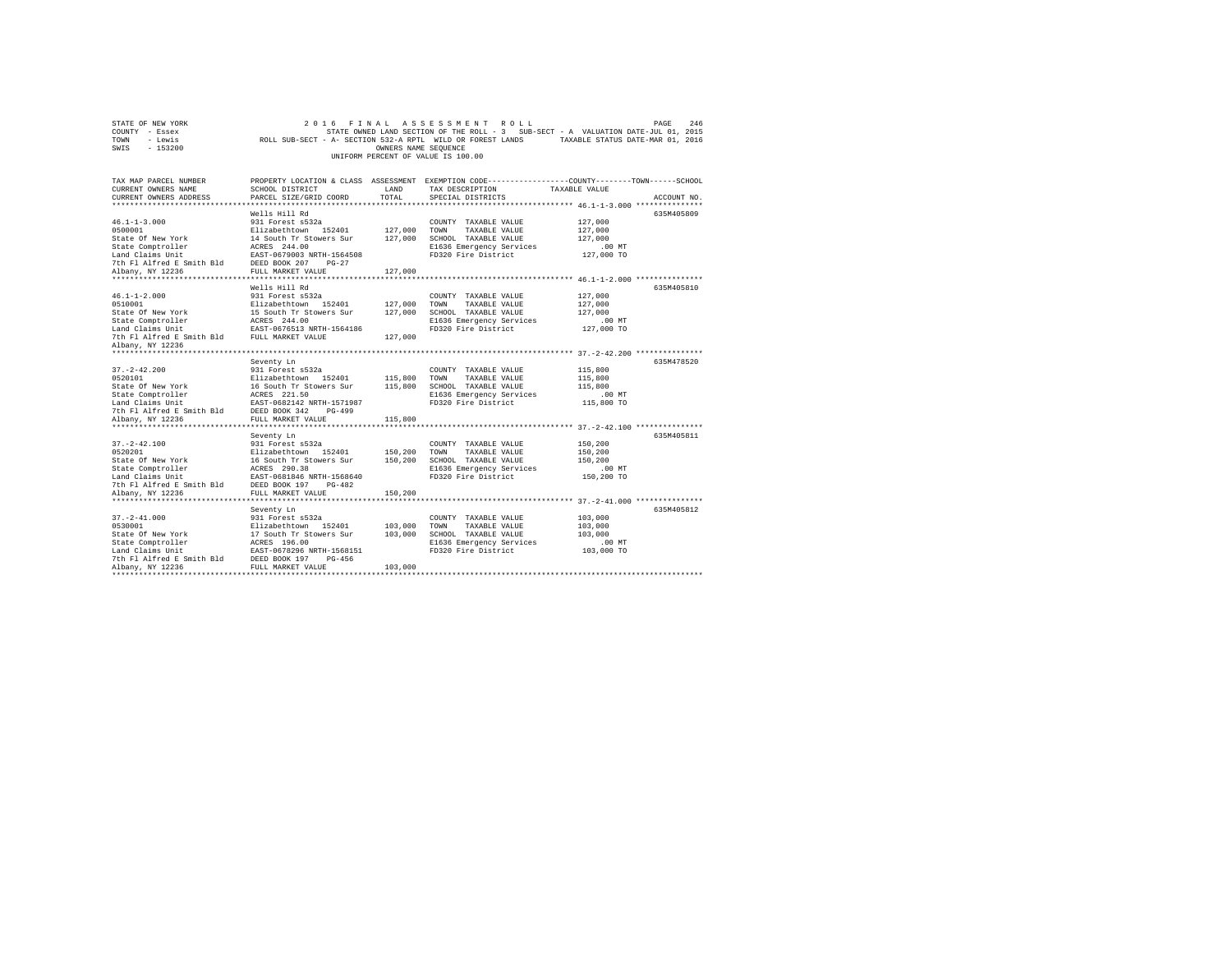| TOWN<br>ROLL SUB-SECT - A- SECTION 532-A RPTL WILD OR FOREST LANDS<br>TAXABLE STATUS DATE-MAR 01, 2016<br>- Lewis<br>$-153200$<br>SWIS<br>OWNERS NAME SEQUENCE<br>UNIFORM PERCENT OF VALUE IS 100.00 |                                                                                                                                                                                                                  |                               |                                                                                                                                                                                       |                                                                                                 |             |  |
|------------------------------------------------------------------------------------------------------------------------------------------------------------------------------------------------------|------------------------------------------------------------------------------------------------------------------------------------------------------------------------------------------------------------------|-------------------------------|---------------------------------------------------------------------------------------------------------------------------------------------------------------------------------------|-------------------------------------------------------------------------------------------------|-------------|--|
| TAX MAP PARCEL NUMBER<br>CURRENT OWNERS NAME<br>CURRENT OWNERS ADDRESS                                                                                                                               | SCHOOL DISTRICT<br>PARCEL SIZE/GRID COORD                                                                                                                                                                        | LAND<br>TOTAL                 | PROPERTY LOCATION & CLASS ASSESSMENT EXEMPTION CODE---------------COUNTY-------TOWN-----SCHOOL<br>TAX DESCRIPTION<br>SPECIAL DISTRICTS                                                | TAXABLE VALUE                                                                                   | ACCOUNT NO. |  |
| $46.1 - 1 - 3.000$<br>0500001<br>State Of New York<br>State Comptroller<br>Land Claims Unit<br>7th Fl Alfred E Smith Bld<br>Albany, NY 12236                                                         | Wells Hill Rd<br>931 Forest s532a<br>Elizabethtown 152401<br>14 South Tr Stowers Sur<br>ACRES 244.00<br>EAST-0679003 NRTH-1564508<br>DEED BOOK 207<br>$PG-27$<br>FULL MARKET VALUE                               | 127,000<br>127,000<br>127,000 | COUNTY TAXABLE VALUE<br>TOWN<br>TAXABLE VALUE<br>SCHOOL TAXABLE VALUE<br>E1636 Emergency Services<br>FD320 Fire District                                                              | 127,000<br>127,000<br>127,000<br>$.00$ MT<br>127,000 TO                                         | 635M405809  |  |
| $46.1 - 1 - 2.000$<br>0510001<br>State Of New York<br>State Comptroller<br>Land Claims Unit<br>7th Fl Alfred E Smith Bld<br>Albany, NY 12236<br>*******************                                  | Wells Hill Rd<br>931 Forest s532a<br>Elizabethtown 152401<br>15 South Tr Stowers Sur<br>ACRES 244.00<br>EAST-0676513 NRTH-1564186<br>FULL MARKET VALUE                                                           | 127,000<br>127,000<br>127,000 | COUNTY TAXABLE VALUE<br>TOWN<br>TAXABLE VALUE<br>SCHOOL TAXABLE VALUE<br>E1636 Emergency Services<br>FD320 Fire District                                                              | 127,000<br>127,000<br>127,000<br>$.00$ MT<br>127,000 TO                                         | 635M405810  |  |
| $37. - 2 - 42.200$<br>0520101<br>State Of New York<br>State Comptroller<br>Land Claims Unit<br>7th Fl Alfred E Smith Bld<br>Albany, NY 12236                                                         | Seventy Ln<br>931 Forest s532a<br>Elizabethtown 152401<br>16 South Tr Stowers Sur<br>ACRES 221.50<br>EAST-0682142 NRTH-1571987<br>DEED BOOK 342<br>$PG-499$<br>FULL MARKET VALUE                                 | 115,800<br>115,800<br>115,800 | COUNTY TAXABLE VALUE<br>TOWN<br>TAXABLE VALUE<br>SCHOOL TAXABLE VALUE<br>E1636 Emergency Services<br>FD320 Fire District                                                              | 115,800<br>115,800<br>115,800<br>$.00$ MT<br>115,800 TO                                         | 635M478520  |  |
| ******************<br>$37. - 2 - 42.100$<br>0520201<br>State Of New York<br>State Comptroller<br>Land Claims Unit<br>7th Fl Alfred E Smith Bld<br>Albany, NY 12236                                   | .<br>Seventy Ln<br>931 Forest s532a<br>Elizabethtown 152401<br>16 South Tr Stowers Sur<br>ACRES 290.38<br>EAST-0681846 NRTH-1568640<br>DEED BOOK 197<br>$PG-482$<br>FULL MARKET VALUE<br>*********************** | 150,200<br>150,200<br>150,200 | COUNTY TAXABLE VALUE<br>TOWN<br>TAXABLE VALUE<br>SCHOOL TAXABLE VALUE<br>E1636 Emergency Services<br>FD320 Fire District<br>**************************** 37.-2-41.000 *************** | ********** 37.-2-42.100 ***************<br>150,200<br>150,200<br>150,200<br>.00MT<br>150,200 TO | 635M405811  |  |
| $37. - 2 - 41.000$<br>0530001<br>State Of New York<br>State Comptroller<br>Land Claims Unit<br>7th Fl Alfred E Smith Bld<br>Albany, NY 12236                                                         | Seventy Ln<br>931 Forest s532a<br>Elizabethtown 152401<br>17 South Tr Stowers Sur<br>ACRES 196.00<br>EAST-0678296 NRTH-1568151<br>DEED BOOK 197<br>$PG-456$<br>FULL MARKET VALUE                                 | 103,000<br>103,000<br>103,000 | COUNTY TAXABLE VALUE<br>TOWN<br>TAXABLE VALUE<br>SCHOOL TAXABLE VALUE<br>E1636 Emergency Services<br>FD320 Fire District                                                              | 103,000<br>103,000<br>103,000<br>.00MT<br>103,000 TO                                            | 635M405812  |  |

STATE OF NEW YORK<br>COUNTY - Essex SAGE 246 STATE OWNED LAND SECTION OF THE ROLL - 3 SUB-SECT - A VALUATION DATE-JUL 01, 2015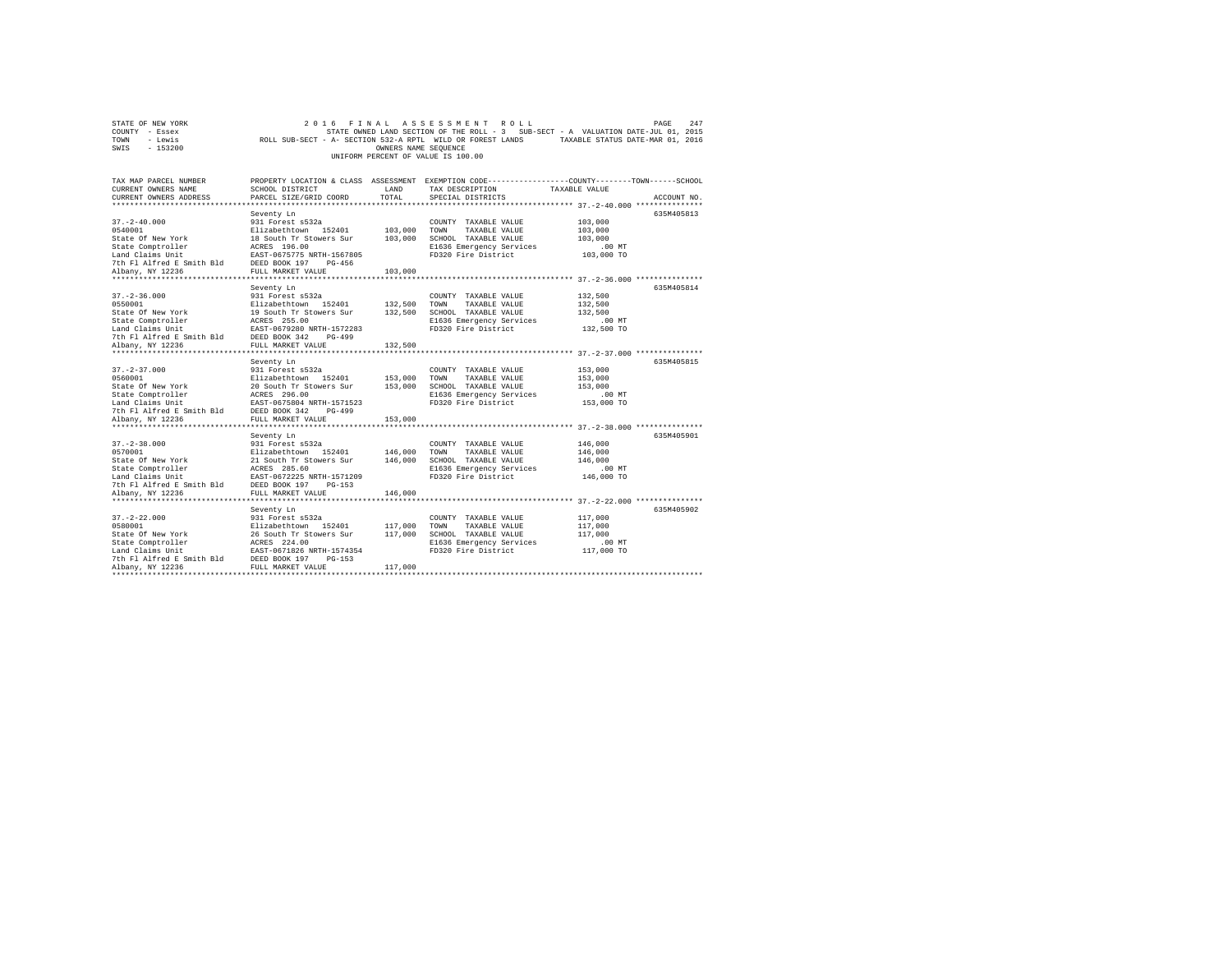|      | STATE OF NEW YORK |                                                            | 2016 FINAL ASSESSMENT ROLL         |                      |  |                                                                                   | PAGE | 247 |
|------|-------------------|------------------------------------------------------------|------------------------------------|----------------------|--|-----------------------------------------------------------------------------------|------|-----|
|      | COUNTY - Essex    |                                                            |                                    |                      |  | STATE OWNED LAND SECTION OF THE ROLL - 3 SUB-SECT - A VALUATION DATE-JUL 01, 2015 |      |     |
| TOWN | - Lewis           | ROLL SUB-SECT - A- SECTION 532-A RPTL WILD OR FOREST LANDS |                                    |                      |  | TAXABLE STATUS DATE-MAR 01, 2016                                                  |      |     |
| SWIS | - 153200          |                                                            |                                    | OWNERS NAME SEOUENCE |  |                                                                                   |      |     |
|      |                   |                                                            | UNIFORM PERCENT OF VALUE IS 100.00 |                      |  |                                                                                   |      |     |

| TAX MAP PARCEL NUMBER<br>CURRENT OWNERS NAME<br>CURRENT OWNERS ADDRESS                                                                                                                                                                               | SCHOOL DISTRICT<br>PARCEL SIZE/GRID COORD                                                                                        | LAND<br>TOTAL | PROPERTY LOCATION & CLASS ASSESSMENT EXEMPTION CODE---------------COUNTY-------TOWN-----SCHOOL<br>TAX DESCRIPTION<br>SPECIAL DISTRICTS | TAXABLE VALUE      | ACCOUNT NO. |
|------------------------------------------------------------------------------------------------------------------------------------------------------------------------------------------------------------------------------------------------------|----------------------------------------------------------------------------------------------------------------------------------|---------------|----------------------------------------------------------------------------------------------------------------------------------------|--------------------|-------------|
|                                                                                                                                                                                                                                                      |                                                                                                                                  |               |                                                                                                                                        |                    |             |
|                                                                                                                                                                                                                                                      | Seventy Ln                                                                                                                       |               |                                                                                                                                        |                    | 635M405813  |
| $37. - 2 - 40.000$                                                                                                                                                                                                                                   | 931 Forest s532a                                                                                                                 |               | COUNTY TAXABLE VALUE                                                                                                                   | 103,000            |             |
| 0540001                                                                                                                                                                                                                                              | Elizabethtown 152401                                                                                                             | 103,000 TOWN  | TAXABLE VALUE                                                                                                                          | 103,000            |             |
| State Of New York                                                                                                                                                                                                                                    | 18 South Tr Stowers Sur                                                                                                          |               | 103,000 SCHOOL TAXABLE VALUE                                                                                                           | 103,000            |             |
| State Comptroller                                                                                                                                                                                                                                    |                                                                                                                                  |               | E1636 Emergency Services                                                                                                               | .00 MT             |             |
| Land Claims Unit                                                                                                                                                                                                                                     | ACRES 196.00<br>EAST-0675775 NRTH-1567805                                                                                        |               | FD320 Fire District                                                                                                                    | 103,000 TO         |             |
| 7th Fl Alfred E Smith Bld DEED BOOK 197                                                                                                                                                                                                              | PG-456                                                                                                                           |               |                                                                                                                                        |                    |             |
| Albany, NY 12236                                                                                                                                                                                                                                     | FULL MARKET VALUE                                                                                                                | 103,000       |                                                                                                                                        |                    |             |
| ******************                                                                                                                                                                                                                                   | ***********************                                                                                                          | ************  | ********************************** 37.-2-36.000 ****************                                                                       |                    |             |
|                                                                                                                                                                                                                                                      | Seventy Ln                                                                                                                       |               |                                                                                                                                        |                    | 635M405814  |
| $37. - 2 - 36.000$                                                                                                                                                                                                                                   | 931 Forest s532a                                                                                                                 |               | COUNTY TAXABLE VALUE                                                                                                                   | 132,500            |             |
| 0550001                                                                                                                                                                                                                                              | Elizabethtown 152401                                                                                                             |               | 132,500 TOWN<br>TAXABLE VALUE                                                                                                          | 132,500            |             |
|                                                                                                                                                                                                                                                      |                                                                                                                                  |               | 132,500 SCHOOL TAXABLE VALUE                                                                                                           | 132,500            |             |
|                                                                                                                                                                                                                                                      |                                                                                                                                  |               | E1636 Emergency Services                                                                                                               | $.00$ MT           |             |
|                                                                                                                                                                                                                                                      |                                                                                                                                  |               | FD320 Fire District                                                                                                                    | 132,500 TO         |             |
| 030001<br>State Of New York<br>State Comptroller<br>State Comptroller<br>19 South Tr Stowers Sur<br>Land Claims Unit<br>Land Claims Unit Name (1978)<br>7th Fl Alfred E Smith Bld<br>DEED BOOK 342<br>7th PG-499<br>20 PULL MARKET VALUE<br>19000142 |                                                                                                                                  |               |                                                                                                                                        |                    |             |
|                                                                                                                                                                                                                                                      |                                                                                                                                  | 132,500       |                                                                                                                                        |                    |             |
|                                                                                                                                                                                                                                                      |                                                                                                                                  |               |                                                                                                                                        |                    |             |
|                                                                                                                                                                                                                                                      | Seventy Ln                                                                                                                       |               |                                                                                                                                        |                    | 635M405815  |
| $37. - 2 - 37.000$                                                                                                                                                                                                                                   | 931 Forest s532a<br>Elizabethtown 152401 153,000                                                                                 |               | COUNTY TAXABLE VALUE                                                                                                                   | 153,000            |             |
| 0560001                                                                                                                                                                                                                                              |                                                                                                                                  |               | TOWN<br>TAXABLE VALUE<br>SCHOOL TAXABLE VALUE                                                                                          | 153,000<br>153,000 |             |
| State Of New York<br>State Comptroller                                                                                                                                                                                                               | 20 South Tr Stowers Sur 153,000<br>ACRES 296.00                                                                                  |               | E1636 Emergency Services                                                                                                               | $.00$ MT           |             |
|                                                                                                                                                                                                                                                      |                                                                                                                                  |               | FD320 Fire District                                                                                                                    | 153,000 TO         |             |
| Land Claims Unit FAST-0675804 NRTH-1571523<br>7th Fl Alfred E Smith Bld DEED BOOK 342 PG-499                                                                                                                                                         |                                                                                                                                  |               |                                                                                                                                        |                    |             |
| Albany, NY 12236                                                                                                                                                                                                                                     | FULL MARKET VALUE                                                                                                                | 153,000       |                                                                                                                                        |                    |             |
|                                                                                                                                                                                                                                                      |                                                                                                                                  |               |                                                                                                                                        |                    |             |
|                                                                                                                                                                                                                                                      | Seventy Ln                                                                                                                       |               |                                                                                                                                        |                    | 635M405901  |
| $37. - 2 - 38.000$                                                                                                                                                                                                                                   |                                                                                                                                  |               | COUNTY TAXABLE VALUE                                                                                                                   | 146,000            |             |
| 0570001                                                                                                                                                                                                                                              |                                                                                                                                  |               | TOWN<br>TAXABLE VALUE                                                                                                                  | 146,000            |             |
| State Of New York                                                                                                                                                                                                                                    |                                                                                                                                  |               | SCHOOL TAXABLE VALUE                                                                                                                   | 146,000            |             |
| State Comptroller                                                                                                                                                                                                                                    |                                                                                                                                  |               | E1636 Emergency Services                                                                                                               | $.00$ MT           |             |
| Land Claims Unit                                                                                                                                                                                                                                     | 931 Forest s532a<br>Elizabethtown 152401 146,000<br>21 South Tr Stowers Sur 146,000<br>ACRES 285.60<br>EAST-0672225 NRTH-1571209 |               | FD320 Fire District                                                                                                                    | 146,000 TO         |             |
|                                                                                                                                                                                                                                                      |                                                                                                                                  |               |                                                                                                                                        |                    |             |
| 7th F1 Alfred E Smith Bld BEED BOOK 197 PG-153<br>Albany, NY 12236 Rose BOOK 197 PG-153                                                                                                                                                              |                                                                                                                                  | 146,000       |                                                                                                                                        |                    |             |
|                                                                                                                                                                                                                                                      |                                                                                                                                  |               |                                                                                                                                        |                    |             |
|                                                                                                                                                                                                                                                      | Seventy Ln                                                                                                                       |               |                                                                                                                                        |                    | 635M405902  |
| $37. - 2 - 22.000$                                                                                                                                                                                                                                   | 931 Forest s532a<br>Elizabethtown 152401                                                                                         |               | COUNTY TAXABLE VALUE                                                                                                                   | 117,000            |             |
| 0580001                                                                                                                                                                                                                                              |                                                                                                                                  | 117,000       | TOWN<br>TAXABLE VALUE                                                                                                                  | 117,000            |             |
| State Of New York                                                                                                                                                                                                                                    | 26 South Tr Stowers Sur                                                                                                          | 117,000       | SCHOOL TAXABLE VALUE                                                                                                                   | 117,000            |             |
| State Comptroller                                                                                                                                                                                                                                    | ACRES 224.00<br>EAST-0671826 NRTH-1574354                                                                                        |               | E1636 Emergency Services                                                                                                               | $.00$ MT           |             |
| Land Claims Unit                                                                                                                                                                                                                                     |                                                                                                                                  |               | FD320 Fire District                                                                                                                    | 117,000 TO         |             |
| 7th Fl Alfred E Smith Bld DEED BOOK 197                                                                                                                                                                                                              | $PG-153$                                                                                                                         |               |                                                                                                                                        |                    |             |
| Albany, NY 12236                                                                                                                                                                                                                                     | FULL MARKET VALUE                                                                                                                | 117,000       |                                                                                                                                        |                    |             |
|                                                                                                                                                                                                                                                      |                                                                                                                                  |               |                                                                                                                                        |                    |             |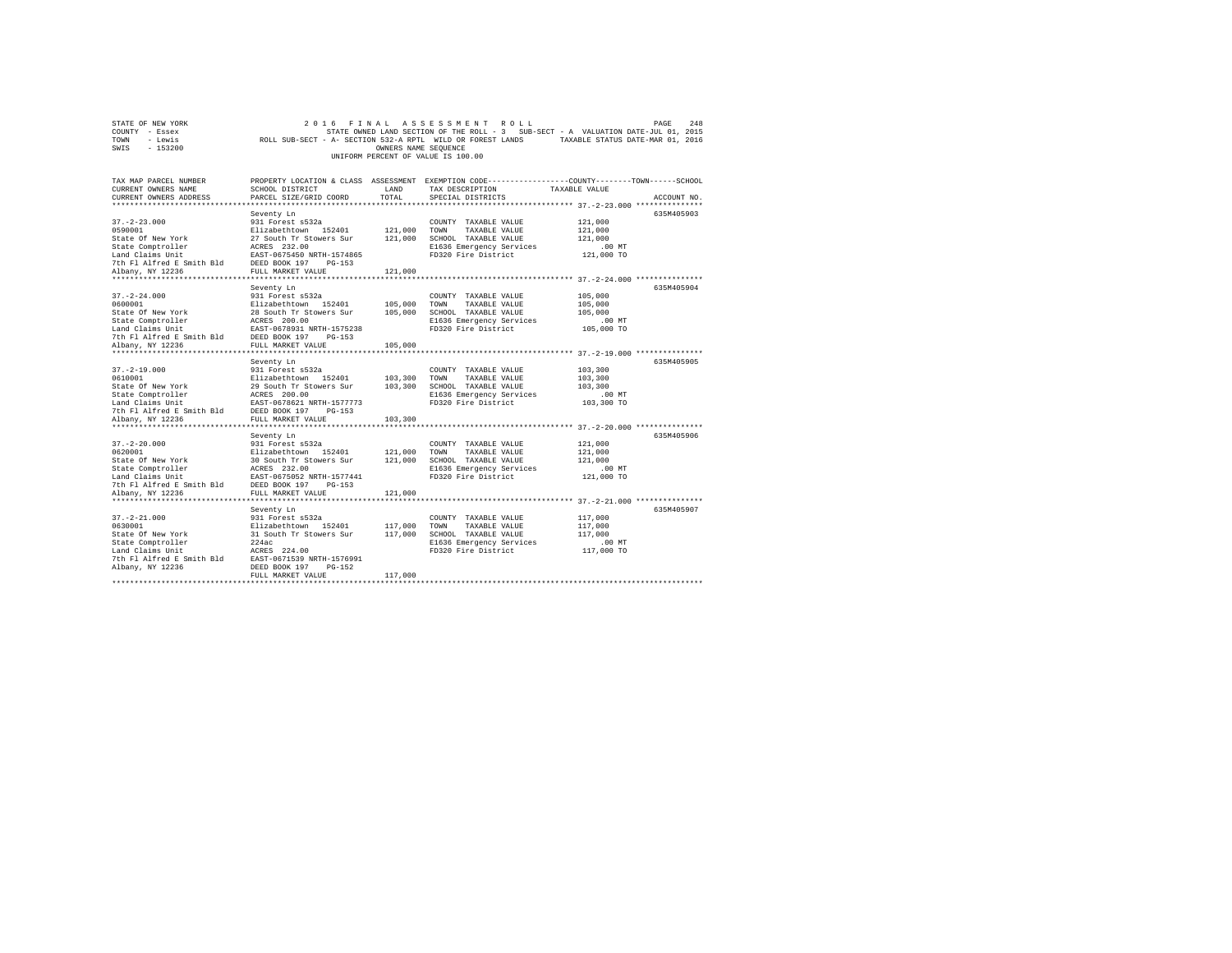|                | STATE OF NEW YORK |                                                            |  |                                    |  | 2016 FINAL ASSESSMENT ROLL |                                                                                   | PAGE | 2.48 |
|----------------|-------------------|------------------------------------------------------------|--|------------------------------------|--|----------------------------|-----------------------------------------------------------------------------------|------|------|
| COUNTY - Essex |                   |                                                            |  |                                    |  |                            | STATE OWNED LAND SECTION OF THE ROLL - 3 SUB-SECT - A VALUATION DATE-JUL 01, 2015 |      |      |
| TOWN           | - Lewis           | ROLL SUB-SECT - A- SECTION 532-A RPTL WILD OR FOREST LANDS |  |                                    |  |                            | TAXABLE STATUS DATE-MAR 01, 2016                                                  |      |      |
| SWIS           | $-153200$         |                                                            |  | OWNERS NAME SEOUENCE               |  |                            |                                                                                   |      |      |
|                |                   |                                                            |  | UNIFORM PERCENT OF VALUE IS 100.00 |  |                            |                                                                                   |      |      |

| TAX MAP PARCEL NUMBER                                                                                                                                                                                                       |                                                                                                 |              |                          | PROPERTY LOCATION & CLASS ASSESSMENT EXEMPTION CODE---------------COUNTY-------TOWN-----SCHOOL |  |
|-----------------------------------------------------------------------------------------------------------------------------------------------------------------------------------------------------------------------------|-------------------------------------------------------------------------------------------------|--------------|--------------------------|------------------------------------------------------------------------------------------------|--|
| CURRENT OWNERS NAME                                                                                                                                                                                                         | SCHOOL DISTRICT                                                                                 | LAND         | TAX DESCRIPTION          | TAXABLE VALUE                                                                                  |  |
| CURRENT OWNERS ADDRESS                                                                                                                                                                                                      | PARCEL SIZE/GRID COORD                                                                          | TOTAL        | SPECIAL DISTRICTS        | ACCOUNT NO.                                                                                    |  |
|                                                                                                                                                                                                                             |                                                                                                 |              |                          |                                                                                                |  |
|                                                                                                                                                                                                                             | Seventy Ln                                                                                      |              |                          | 635M405903                                                                                     |  |
| $37. - 2 - 23.000$                                                                                                                                                                                                          | 931 Forest s532a                                                                                |              | COUNTY TAXABLE VALUE     | 121,000                                                                                        |  |
| 0590001                                                                                                                                                                                                                     | Elizabethtown 152401                                                                            | 121,000 TOWN | TAXABLE VALUE            | 121,000                                                                                        |  |
| State Of New York                                                                                                                                                                                                           | 27 South Tr Stowers Sur<br>27 South Tr St<br>ACRES 232.00                                       | 121,000      | SCHOOL TAXABLE VALUE     | 121,000                                                                                        |  |
| State Comptroller                                                                                                                                                                                                           |                                                                                                 |              | E1636 Emergency Services | $.00$ MT                                                                                       |  |
|                                                                                                                                                                                                                             |                                                                                                 |              | FD320 Fire District      | 121,000 TO                                                                                     |  |
|                                                                                                                                                                                                                             |                                                                                                 |              |                          |                                                                                                |  |
|                                                                                                                                                                                                                             |                                                                                                 | 121,000      |                          |                                                                                                |  |
| *************                                                                                                                                                                                                               |                                                                                                 |              |                          |                                                                                                |  |
|                                                                                                                                                                                                                             | Seventy Ln                                                                                      |              |                          | 635M405904                                                                                     |  |
| $37. - 2 - 24.000$                                                                                                                                                                                                          | 931 Forest s532a                                                                                |              | COUNTY TAXABLE VALUE     | 105,000                                                                                        |  |
| 0600001                                                                                                                                                                                                                     | Elizabethtown 152401<br>28 South Tr Stowers Sur                                                 | 105,000      | TAXABLE VALUE<br>TOWN    | 105,000                                                                                        |  |
| State Of New York                                                                                                                                                                                                           |                                                                                                 | 105,000      | SCHOOL TAXABLE VALUE     | 105,000                                                                                        |  |
| State Comptroller                                                                                                                                                                                                           | ACRES 200.00<br>EAST-0678931 NRTH-1575238                                                       |              | E1636 Emergency Services | $.00$ MT                                                                                       |  |
| Land Claims Unit                                                                                                                                                                                                            |                                                                                                 |              | FD320 Fire District      | 105,000 TO                                                                                     |  |
| 7th Fl Alfred E Smith Bld DEED BOOK 197                                                                                                                                                                                     | $PG-153$                                                                                        |              |                          |                                                                                                |  |
| Albany, NY 12236                                                                                                                                                                                                            | FULL MARKET VALUE                                                                               | 105,000      |                          |                                                                                                |  |
|                                                                                                                                                                                                                             |                                                                                                 |              |                          |                                                                                                |  |
|                                                                                                                                                                                                                             | Seventy Ln                                                                                      |              |                          | 635M405905                                                                                     |  |
| $37. - 2 - 19.000$                                                                                                                                                                                                          | 931 Forest s532a                                                                                |              | COUNTY TAXABLE VALUE     | 103,300                                                                                        |  |
| 0610001                                                                                                                                                                                                                     | Elizabethtown 152401                                                                            | 103,300 TOWN | TAXABLE VALUE            | 103,300                                                                                        |  |
|                                                                                                                                                                                                                             |                                                                                                 |              |                          | 103,300                                                                                        |  |
|                                                                                                                                                                                                                             |                                                                                                 |              | E1636 Emergency Services | .00 MT                                                                                         |  |
|                                                                                                                                                                                                                             |                                                                                                 |              | FD320 Fire District      | 103,300 TO                                                                                     |  |
| State Of New York 29 South Tr Stowers Sur 103,300 SCHOOL TAXABLE VALUE<br>State Comptroller ACRES 200.00<br>Land Claims Unit EAST-0678621 NRTH-1577773 PD320 Fire District<br>The Flatfred E Smith Bld DEED BOOK 197 PG-153 |                                                                                                 |              |                          |                                                                                                |  |
| Albany, NY 12236                                                                                                                                                                                                            | FULL MARKET VALUE                                                                               | 103,300      |                          |                                                                                                |  |
|                                                                                                                                                                                                                             | ***************************                                                                     |              |                          | *********************** 37.-2-20.000 ***************                                           |  |
|                                                                                                                                                                                                                             | Seventy Ln                                                                                      |              |                          | 635M405906                                                                                     |  |
| $37. - 2 - 20.000$                                                                                                                                                                                                          |                                                                                                 |              | COUNTY TAXABLE VALUE     | 121,000                                                                                        |  |
| 0620001                                                                                                                                                                                                                     | 931 Forest s532a<br>Elizabethtown 152401 121,000 TOWN<br>30 South Tr Stowers Sur 121,000 SCHOOL |              | TAXABLE VALUE            | 121,000                                                                                        |  |
| State Of New York                                                                                                                                                                                                           |                                                                                                 |              | SCHOOL TAXABLE VALUE     | 121,000                                                                                        |  |
|                                                                                                                                                                                                                             |                                                                                                 |              | E1636 Emergency Services | .00 MT                                                                                         |  |
| State Comptroller<br>Exate Comptroller<br>Land Claims Unit<br>The Fl Alfred E Smith Bld<br>DEED BOOK 197 PG-153                                                                                                             |                                                                                                 |              | FD320 Fire District      | 121,000 TO                                                                                     |  |
|                                                                                                                                                                                                                             |                                                                                                 |              |                          |                                                                                                |  |
| Albany, NY 12236                                                                                                                                                                                                            | FULL MARKET VALUE                                                                               | 121,000      |                          |                                                                                                |  |
|                                                                                                                                                                                                                             |                                                                                                 |              |                          |                                                                                                |  |
|                                                                                                                                                                                                                             | Seventy Ln                                                                                      |              |                          | 635M405907                                                                                     |  |
| $37. - 2 - 21.000$                                                                                                                                                                                                          | 931 Forest s532a                                                                                |              | COUNTY TAXABLE VALUE     | 117,000                                                                                        |  |
| 0630001                                                                                                                                                                                                                     | Elizabethtown 152401                                                                            | 117,000      | TOWN<br>TAXABLE VALUE    | 117,000                                                                                        |  |
| State Of New York                                                                                                                                                                                                           | 31 South Tr Stowers Sur 117,000                                                                 |              | SCHOOL TAXABLE VALUE     | 117,000                                                                                        |  |
| State Comptroller                                                                                                                                                                                                           | 224ac                                                                                           |              | E1636 Emergency Services | .00 MT                                                                                         |  |
| Land Claims Unit                                                                                                                                                                                                            | ACRES 224.00                                                                                    |              | FD320 Fire District      | 117,000 TO                                                                                     |  |
|                                                                                                                                                                                                                             |                                                                                                 |              |                          |                                                                                                |  |
| Albany, NY 12236                                                                                                                                                                                                            | DEED BOOK 197<br>PG-152                                                                         |              |                          |                                                                                                |  |
|                                                                                                                                                                                                                             | FULL MARKET VALUE                                                                               | 117,000      |                          |                                                                                                |  |
|                                                                                                                                                                                                                             |                                                                                                 |              |                          |                                                                                                |  |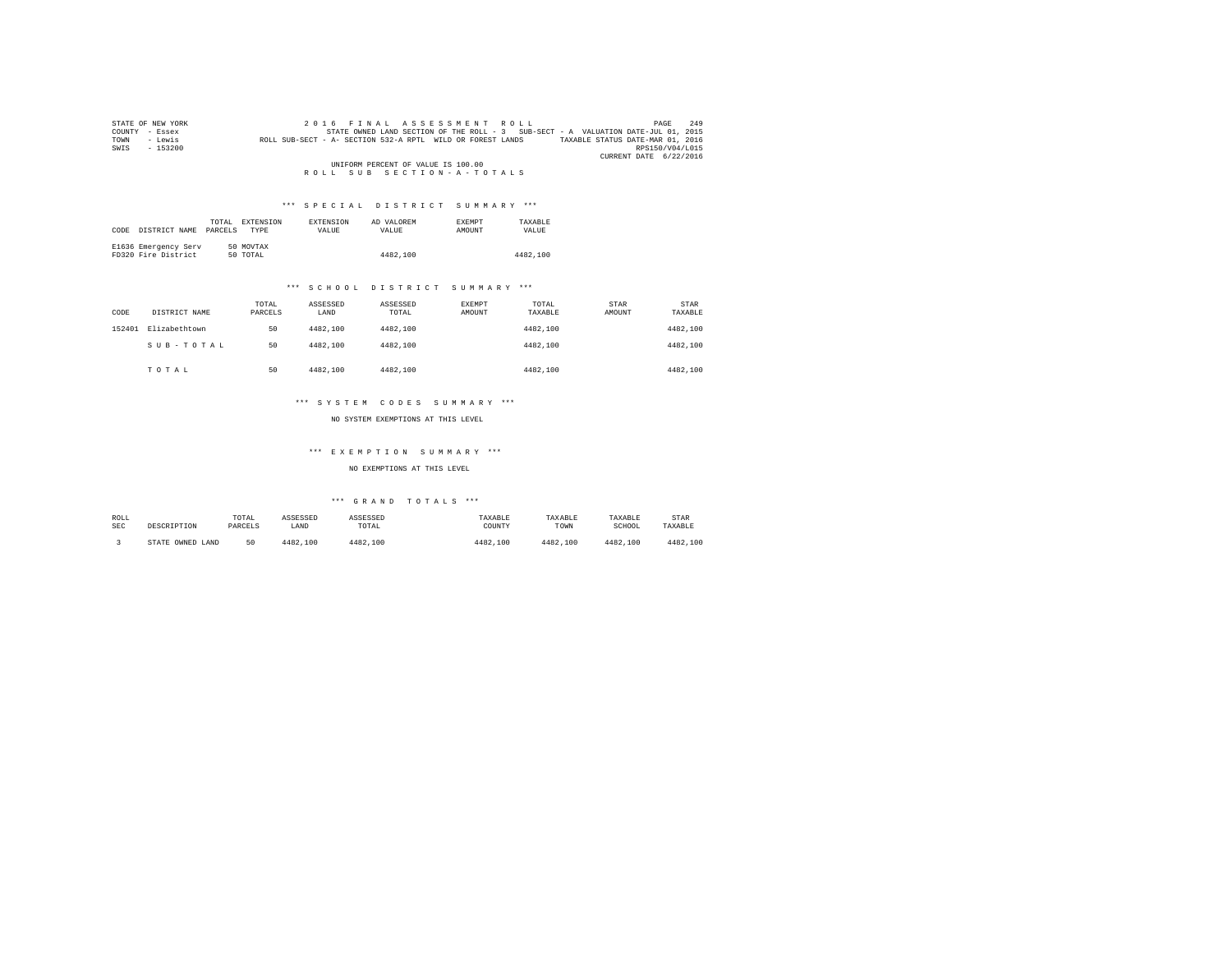| STATE OF NEW YORK                  | 2016 FINAL ASSESSMENT ROLL                                                        | 249<br>PAGE                      |  |  |  |
|------------------------------------|-----------------------------------------------------------------------------------|----------------------------------|--|--|--|
| COUNTY<br>- Essex                  | STATE OWNED LAND SECTION OF THE ROLL - 3 SUB-SECT - A VALUATION DATE-JUL 01, 2015 |                                  |  |  |  |
| - Lewis<br>TOWN                    | ROLL SUB-SECT - A- SECTION 532-A RPTL WILD OR FOREST LANDS                        | TAXABLE STATUS DATE-MAR 01, 2016 |  |  |  |
| SWIS<br>$-153200$                  |                                                                                   | RPS150/V04/L015                  |  |  |  |
|                                    |                                                                                   | CURRENT DATE 6/22/2016           |  |  |  |
| UNIFORM PERCENT OF VALUE IS 100.00 |                                                                                   |                                  |  |  |  |
|                                    | ROLL SUB SECTION-A-TOTALS                                                         |                                  |  |  |  |

## \*\*\* S P E C I A L D I S T R I C T S U M M A R Y \*\*\*

|      |                      | TOTAL.  | EXTENSION   | <b>EXTENSION</b> | AD VALOREM | <b>EXEMPT</b> | TAXARLE  |
|------|----------------------|---------|-------------|------------------|------------|---------------|----------|
| CODE | DISTRICT NAME        | PARCELS | <b>TYPE</b> | <b>VALUE</b>     | VALUE.     | <b>AMOUNT</b> | VALUE    |
|      |                      |         |             |                  |            |               |          |
|      | E1636 Emergency Serv |         | 50 MOVTAX   |                  |            |               |          |
|      | FD320 Fire District  |         | 50 TOTAL    |                  | 4482,100   |               | 4482.100 |

## \*\*\* S C H O O L D I S T R I C T S U M M A R Y \*\*\*

| CODE   | DISTRICT NAME | TOTAL<br>PARCELS | ASSESSED<br>LAND | ASSESSED<br>TOTAL | EXEMPT<br>AMOUNT | TOTAL<br>TAXABLE | STAR<br>AMOUNT | <b>STAR</b><br>TAXABLE |
|--------|---------------|------------------|------------------|-------------------|------------------|------------------|----------------|------------------------|
| 152401 | Elizabethtown | 50               | 4482.100         | 4482.100          |                  | 4482.100         |                | 4482,100               |
|        | SUB-TOTAL     | 50               | 4482.100         | 4482.100          |                  | 4482.100         |                | 4482,100               |
|        | TOTAL         | 50               | 4482.100         | 4482,100          |                  | 4482.100         |                | 4482,100               |

## \*\*\* S Y S T E M C O D E S S U M M A R Y \*\*\*

NO SYSTEM EXEMPTIONS AT THIS LEVEL

## \*\*\* E X E M P T I O N S U M M A R Y \*\*\*

NO EXEMPTIONS AT THIS LEVEL

| ROLL       | DESCRIPTION            | TOTAL   | ASSESSED | ASSESSED | TAXABLE  | TAXABLE  | TAXABLE  | STAR     |
|------------|------------------------|---------|----------|----------|----------|----------|----------|----------|
| <b>SEC</b> |                        | PARCELS | LAND     | TOTAL    | COUNTY   | TOWN     | SCHOOL   | TAXABLE  |
|            | OWNED<br>STATE<br>LAND | 50      | 4482.100 | 4482.100 | 4482,100 | 4482.100 | 4482,100 | 4482.100 |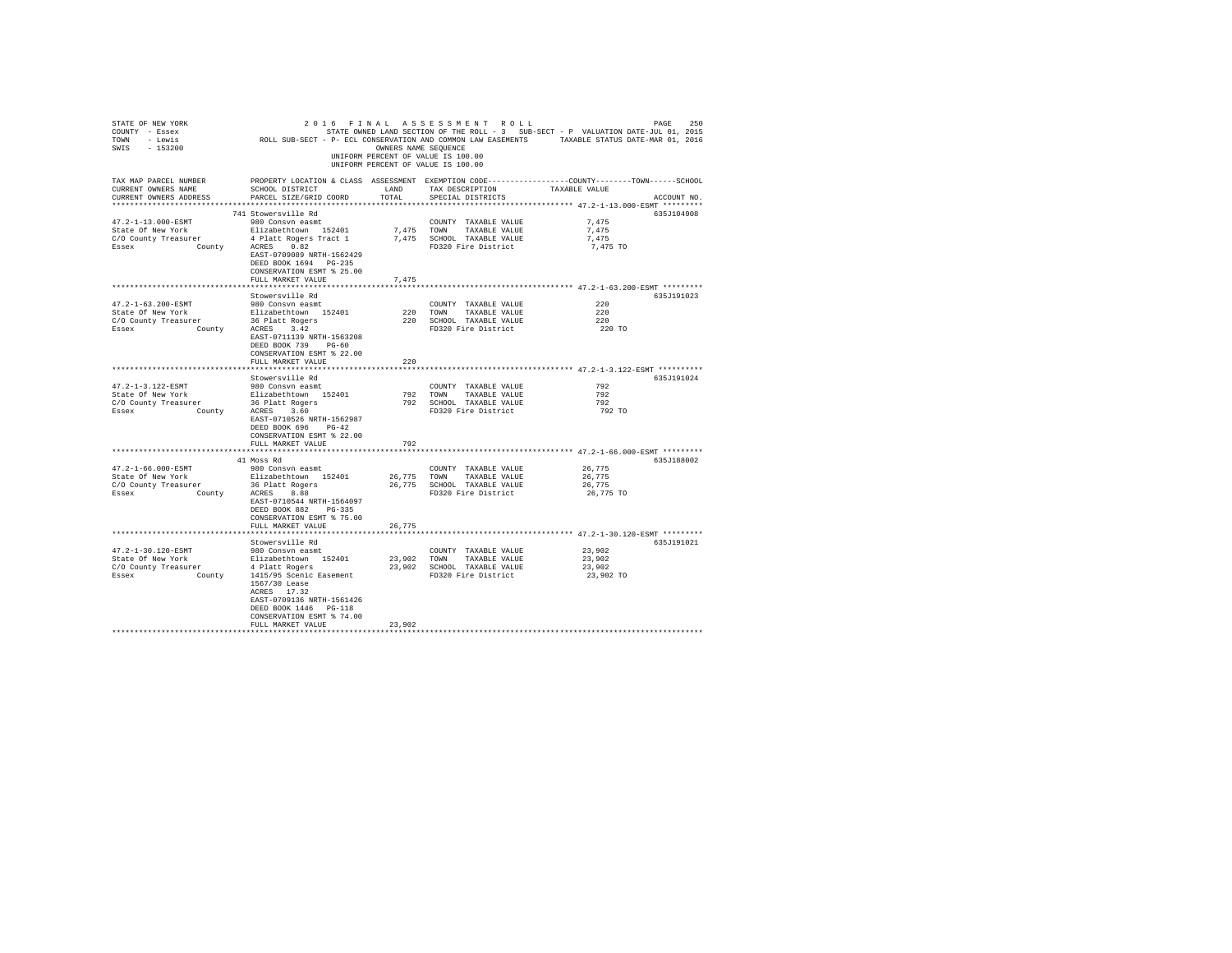| STATE OF NEW YORK<br>COUNTY - Essex<br>TOWN - Lewis<br>SWIS - 153200                                                            |                                                                                                                                                                                                                                    | OWNERS NAME SEQUENCE | 2016 FINAL ASSESSMENT ROLL<br>UNIFORM PERCENT OF VALUE IS 100.00<br>UNIFORM PERCENT OF VALUE IS 100.00  | 250<br>PAGE<br>STATE OWNED LAND SECTION OF THE ROLL - 3 SUB-SECT - P VALUATION DATE-JUL 01, 2015<br>ROLL SUB-SECT - P- ECL CONSERVATION AND COMMON LAW EASEMENTS TAXABLE STATUS DATE-MAR 01, 2016 |
|---------------------------------------------------------------------------------------------------------------------------------|------------------------------------------------------------------------------------------------------------------------------------------------------------------------------------------------------------------------------------|----------------------|---------------------------------------------------------------------------------------------------------|---------------------------------------------------------------------------------------------------------------------------------------------------------------------------------------------------|
| TAX MAP PARCEL NUMBER<br>CURRENT OWNERS NAME<br>CURRENT OWNERS ADDRESS                                                          | SCHOOL DISTRICT<br>PARCEL SIZE/GRID COORD                                                                                                                                                                                          | LAND<br>TOTAL        | TAX DESCRIPTION<br>SPECIAL DISTRICTS                                                                    | PROPERTY LOCATION & CLASS ASSESSMENT EXEMPTION CODE----------------COUNTY-------TOWN------SCHOOL<br>TAXABLE VALUE<br>ACCOUNT NO.                                                                  |
| 47.2-1-13.000-ESMT<br>State Of New York<br>C/O County Treasurer<br>County<br>Essex                                              | 741 Stowersville Rd<br>980 Consvn easmt<br>Elizabethtown 152401<br>4 Platt Rogers Tract 1<br>ACRES 0.82<br>EAST-0709089 NRTH-1562429<br>DEED BOOK 1694 PG-235<br>CONSERVATION ESMT % 25.00<br>FULL MARKET VALUE                    | 7,475                | COUNTY TAXABLE VALUE<br>7,475 TOWN TAXABLE VALUE<br>7,475 SCHOOL TAXABLE VALUE<br>FD320 Fire District   | 635J104908<br>7.475<br>7.475<br>7,475<br>7,475 TO                                                                                                                                                 |
|                                                                                                                                 |                                                                                                                                                                                                                                    |                      |                                                                                                         | ****************************** 47.2-1-63.200-ESMT *********                                                                                                                                       |
| 47.2-1-63.200-ESMT<br>State Of New York<br>State of new form<br>C/O County Treasurer 36 Platt Rogers<br>Essex County ACRES 3.42 | Stowersville Rd<br>980 Consvn easmt<br>Elizabethtown 152401<br>EAST-0711139 NRTH-1563208<br>DEED BOOK 739 PG-60<br>CONSERVATION ESMT % 22.00<br>FULL MARKET VALUE                                                                  | 220                  | COUNTY TAXABLE VALUE<br>220 TOWN TAXABLE VALUE<br>220 SCHOOL TAXABLE VALUE<br>FD320 Fire District       | 635J191023<br>220<br>220<br>220<br>220 TO                                                                                                                                                         |
|                                                                                                                                 | *******************                                                                                                                                                                                                                | *******************  |                                                                                                         | ******************************* 47.2-1-3.122-ESMT **********                                                                                                                                      |
|                                                                                                                                 |                                                                                                                                                                                                                                    |                      |                                                                                                         |                                                                                                                                                                                                   |
| 47.2-1-3.122-ESMT<br>State Of New York<br>C/O County Treasurer<br>Essex                                                         | Stowersville Rd<br>980 Consvn easmt<br>Elizabethtown 152401<br>surer 36 Platt Rogers<br>County ACRES 3.60<br>EAST-0710526 NRTH-1562987<br>DEED BOOK 696 PG-42<br>CONSERVATION ESMT % 22.00<br>FULL MARKET VALUE                    | 792                  | COUNTY TAXABLE VALUE<br>792 TOWN TAXABLE VALUE<br>792 SCHOOL TAXABLE VALUE<br>FD320 Fire District       | 635J191024<br>792<br>792<br>792<br>792 TO                                                                                                                                                         |
|                                                                                                                                 |                                                                                                                                                                                                                                    |                      |                                                                                                         | ************** 47.2-1-66.000-ESMT *********                                                                                                                                                       |
| $47.2 - 1 - 66.000 - ESMT$<br>State Of New York<br>C/O County Treasurer<br>County<br>Essex                                      | 41 Moss Rd<br>980 Consvn easmt<br>Elizabethtown 152401<br>36 Platt Rogers<br>ACRES 8.88<br>EAST-0710544 NRTH-1564097<br>DEED BOOK 882 PG-335<br>CONSERVATION ESMT % 75.00                                                          |                      | COUNTY TAXABLE VALUE<br>26,775 TOWN TAXABLE VALUE<br>26,775 SCHOOL TAXABLE VALUE<br>FD320 Fire District | 635J188002<br>26,775<br>26,775<br>26,775<br>26,775 TO                                                                                                                                             |
|                                                                                                                                 | FULL MARKET VALUE                                                                                                                                                                                                                  | 26.775               |                                                                                                         |                                                                                                                                                                                                   |
|                                                                                                                                 |                                                                                                                                                                                                                                    |                      |                                                                                                         |                                                                                                                                                                                                   |
| 47.2-1-30.120-ESMT<br>State Of New York<br>C/O County Treasurer<br>Essex                                                        | Stowersville Rd<br>980 Consvn easmt<br>Elizabethtown 152401<br>4 Platt Rogers<br>County 1415/95 Scenic Easement<br>1567/30 Lease<br>ACRES 17.32<br>EAST-0709136 NRTH-1561426<br>DEED BOOK 1446 PG-118<br>CONSERVATION ESMT % 74.00 |                      | COUNTY TAXABLE VALUE<br>23,902 TOWN TAXABLE VALUE<br>23,902 SCHOOL TAXABLE VALUE<br>FD320 Fire District | 635J191021<br>23,902<br>23,902<br>23,902<br>23,902 TO                                                                                                                                             |
|                                                                                                                                 | FULL MARKET VALUE                                                                                                                                                                                                                  | 23,902               |                                                                                                         |                                                                                                                                                                                                   |
|                                                                                                                                 |                                                                                                                                                                                                                                    |                      |                                                                                                         |                                                                                                                                                                                                   |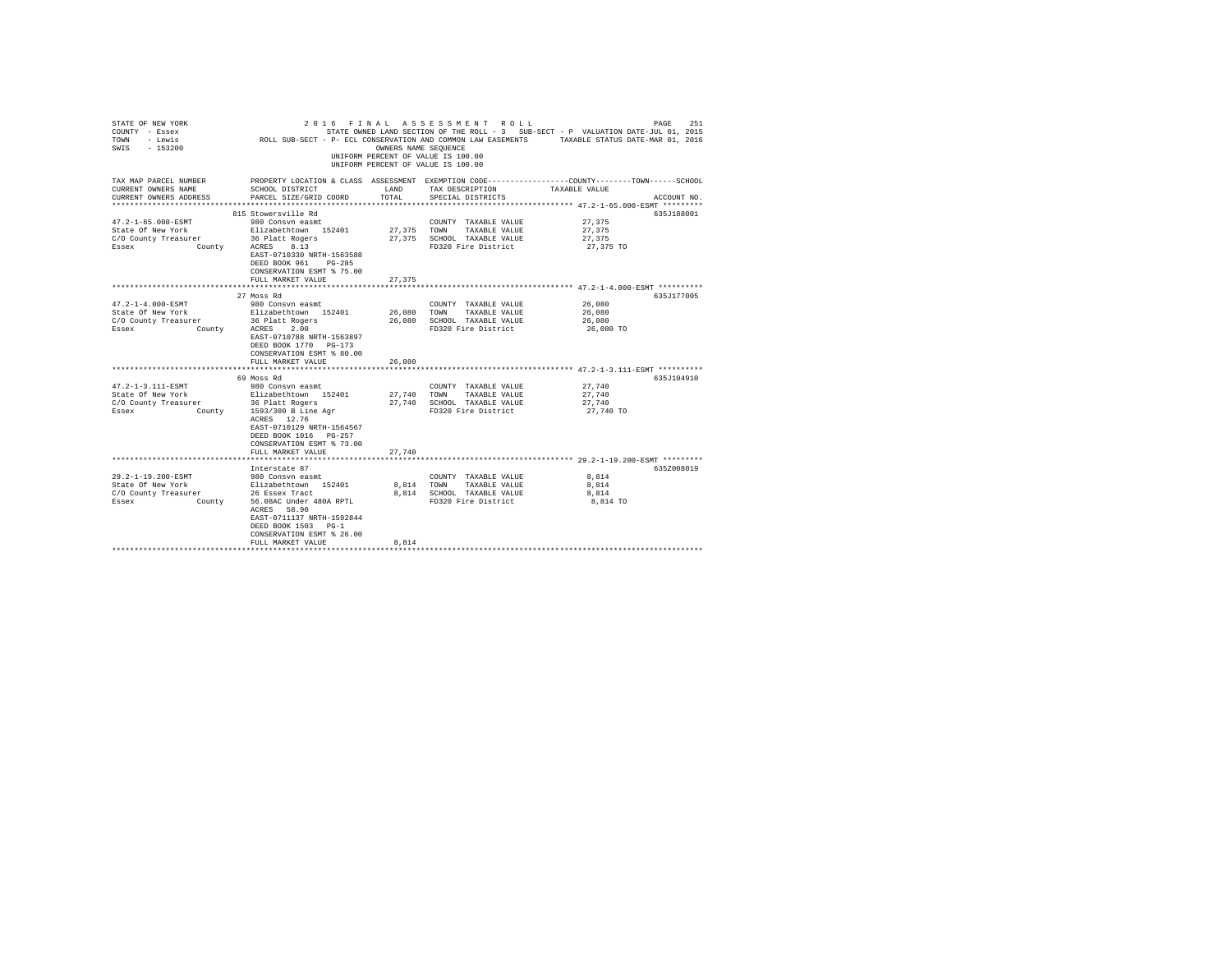| STATE OF NEW YORK<br>COUNTY - Essex<br>- Lewis<br>TOWN<br>SWIS - 153200                   | ROLL SUB-SECT - P- ECL CONSERVATION AND COMMON LAW EASEMENTS TAXABLE STATUS DATE-MAR 01, 2016                                                                                                                                  | OWNERS NAME SEQUENCE       | 2016 FINAL ASSESSMENT ROLL<br>STATE OWNED LAND SECTION OF THE ROLL - 3 SUB-SECT - P VALUATION DATE-JUL 01, 2015<br>UNIFORM PERCENT OF VALUE IS 100.00<br>UNIFORM PERCENT OF VALUE IS 100.00 |                                         | 251<br>PAGE |
|-------------------------------------------------------------------------------------------|--------------------------------------------------------------------------------------------------------------------------------------------------------------------------------------------------------------------------------|----------------------------|---------------------------------------------------------------------------------------------------------------------------------------------------------------------------------------------|-----------------------------------------|-------------|
| TAX MAP PARCEL NUMBER<br>CURRENT OWNERS NAME<br>CURRENT OWNERS ADDRESS                    | PROPERTY LOCATION & CLASS ASSESSMENT EXEMPTION CODE----------------COUNTY-------TOWN------SCHOOL<br>SCHOOL DISTRICT<br>PARCEL SIZE/GRID COORD                                                                                  | LAND<br>TOTAL              | TAX DESCRIPTION<br>SPECIAL DISTRICTS                                                                                                                                                        | TAXABLE VALUE                           | ACCOUNT NO. |
|                                                                                           |                                                                                                                                                                                                                                |                            |                                                                                                                                                                                             |                                         |             |
| 47.2-1-65.000-ESMT<br>State Of New York<br>C/O County Treasurer<br>Essex<br>County        | 815 Stowersville Rd<br>980 Consyn easmt<br>Elizabethtown 152401<br>36 Platt Rogers<br>8.13<br>ACRES<br>EAST-0710330 NRTH-1563588<br>DEED BOOK 961 PG-285<br>CONSERVATION ESMT % 75.00                                          | 27.375                     | COUNTY TAXABLE VALUE<br>TOWN<br>TAXABLE VALUE<br>27,375 SCHOOL TAXABLE VALUE<br>FD320 Fire District                                                                                         | 27,375<br>27,375<br>27,375<br>27,375 TO | 635J188001  |
|                                                                                           | FULL MARKET VALUE                                                                                                                                                                                                              | 27.375                     |                                                                                                                                                                                             |                                         |             |
|                                                                                           | 27 Moss Rd                                                                                                                                                                                                                     |                            |                                                                                                                                                                                             |                                         | 635.T177005 |
| $47.2 - 1 - 4.000 - ESMT$<br>State Of New York<br>C/O County Treasurer<br>County<br>Essex | 980 Consvn easmt<br>Elizabethtown 152401<br>36 Platt Rogers<br>ACRES<br>2.00<br>EAST-0710788 NRTH-1563897<br>DEED BOOK 1770 PG-173<br>CONSERVATION ESMT % 80.00<br>FULL MARKET VALUE                                           | 26,080<br>26,080<br>26,080 | COUNTY TAXABLE VALUE<br>TAXABLE VALUE<br>TOWN<br>SCHOOL TAXABLE VALUE<br>FD320 Fire District                                                                                                | 26,080<br>26,080<br>26,080<br>26,080 TO |             |
|                                                                                           |                                                                                                                                                                                                                                |                            |                                                                                                                                                                                             |                                         |             |
| $47.2 - 1 - 3.111 - ESMT$<br>State Of New York<br>C/O County Treasurer<br>Essex           | 69 Moss Rd<br>980 Consyn easmt<br>Elizabethtown 152401<br>36 Platt Rogers<br>County 1593/300 B Line Agr<br>ACRES 12.76<br>EAST-0710129 NRTH-1564567<br>DEED BOOK 1016 PG-257<br>CONSERVATION ESMT % 73.00<br>FULL MARKET VALUE | 27,740<br>27,740           | COUNTY TAXABLE VALUE<br>TOWN<br>TAXABLE VALUE<br>27.740 SCHOOL TAXABLE VALUE<br>FD320 Fire District                                                                                         | 27.740<br>27,740<br>27.740<br>27,740 TO | 635J104910  |
|                                                                                           | Interstate 87                                                                                                                                                                                                                  |                            |                                                                                                                                                                                             |                                         | 635Z008019  |
| 29.2-1-19.200-ESMT<br>State Of New York<br>C/O County Treasurer<br>County<br>Essex        | 980 Consvn easmt<br>Elizabethtown 152401<br>26 Essex Tract<br>56.08AC Under 480A RPTL<br>ACRES 58.90<br>EAST-0711137 NRTH-1592844<br>DEED BOOK 1503 PG-1<br>CONSERVATION ESMT % 26.00<br>FULL MARKET VALUE                     | 8,814 TOWN<br>8.814        | COUNTY TAXABLE VALUE<br>TAXABLE VALUE<br>8,814 SCHOOL TAXABLE VALUE<br>FD320 Fire District                                                                                                  | 8.814<br>8.814<br>8,814<br>8,814 TO     |             |
|                                                                                           |                                                                                                                                                                                                                                |                            |                                                                                                                                                                                             |                                         |             |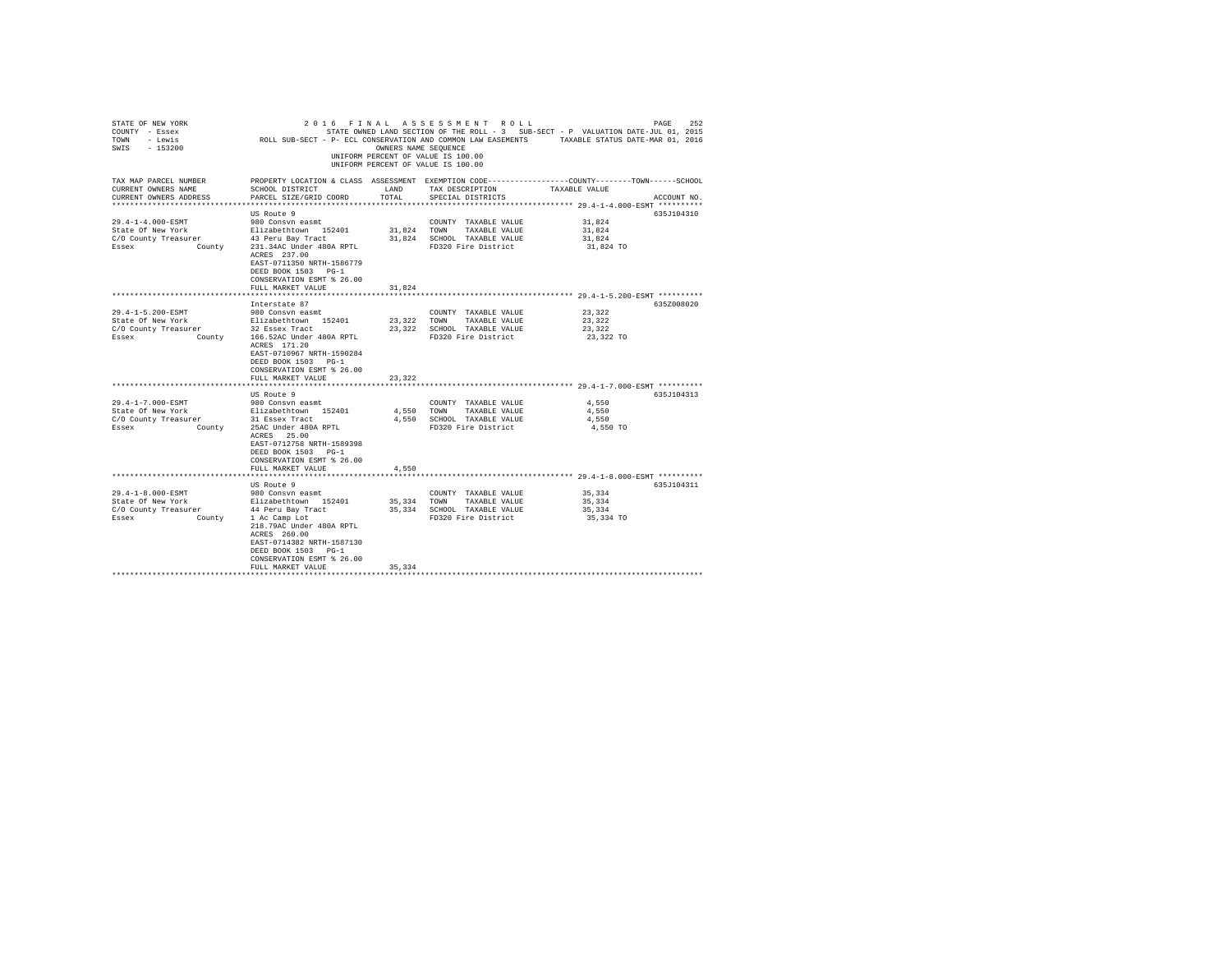| STATE OF NEW YORK<br>COUNTY - Essex<br>TOWN - Lewis<br>SWIS - 153200                                                  | SIALE STATE UNED HAND DECITION OF THE RUDL - 3 SUB-SECT - P WAUMING DATE-MAR 01, 2015<br>ROLL SUB-SECT - P- ECL CONSERVATION AND COMMON LAW EASEMENTS TAXABLE STATUS DATE-MAR 01, 2016 |               | 2016 FINAL ASSESSMENT ROLL<br>OWNERS NAME SEOUENCE<br>UNIFORM PERCENT OF VALUE IS 100.00<br>UNIFORM PERCENT OF VALUE IS 100.00 | STATE OWNED LAND SECTION OF THE ROLL - 3 SUB-SECT - P VALUATION DATE-JUL 01, 2015 | PAGE<br>252 |
|-----------------------------------------------------------------------------------------------------------------------|----------------------------------------------------------------------------------------------------------------------------------------------------------------------------------------|---------------|--------------------------------------------------------------------------------------------------------------------------------|-----------------------------------------------------------------------------------|-------------|
| TAX MAP PARCEL NUMBER<br>CURRENT OWNERS NAME<br>CURRENT OWNERS ADDRESS                                                | PROPERTY LOCATION & CLASS ASSESSMENT EXEMPTION CODE---------------COUNTY-------TOWN------SCHOOL<br>SCHOOL DISTRICT<br>PARCEL SIZE/GRID COORD                                           | LAND<br>TOTAL | TAX DESCRIPTION<br>SPECIAL DISTRICTS                                                                                           | TAXABLE VALUE                                                                     | ACCOUNT NO. |
|                                                                                                                       | US Route 9                                                                                                                                                                             |               |                                                                                                                                |                                                                                   | 635J104310  |
| 29.4-1-4.000-ESMT                                                                                                     | 980 Consvn easmt                                                                                                                                                                       |               | COUNTY TAXABLE VALUE                                                                                                           | 31,824                                                                            |             |
| State Of New York                                                                                                     |                                                                                                                                                                                        |               | 31,824 TOWN TAXABLE VALUE                                                                                                      | 31,824                                                                            |             |
| C/O County Treasurer                                                                                                  | Elizabethtown 152401<br>43 Peru Bay Tract                                                                                                                                              |               | 31,824 SCHOOL TAXABLE VALUE                                                                                                    | 31,824                                                                            |             |
| Essex County                                                                                                          | 231.34AC Under 480A RPTL<br>ACRES 237.00<br>EAST-0711350 NRTH-1586779<br>DEED BOOK 1503 PG-1<br>CONSERVATION ESMT % 26.00                                                              |               | FD320 Fire District                                                                                                            | 31,824 TO                                                                         |             |
|                                                                                                                       | FULL MARKET VALUE                                                                                                                                                                      | 31.824        |                                                                                                                                |                                                                                   |             |
|                                                                                                                       |                                                                                                                                                                                        |               |                                                                                                                                |                                                                                   |             |
|                                                                                                                       | Interstate 87                                                                                                                                                                          |               |                                                                                                                                |                                                                                   | 635Z008020  |
| 29.4-1-5.200-ESMT                                                                                                     | 980 Consvn easmt<br>Elizabethtown 152401                                                                                                                                               |               | COUNTY TAXABLE VALUE                                                                                                           | 23,322                                                                            |             |
| State Of New York                                                                                                     |                                                                                                                                                                                        |               | 23,322 TOWN TAXABLE VALUE<br>23,322 SCHOOL TAXABLE VALUE                                                                       | 23.322<br>23,322                                                                  |             |
| C/O County Treasurer 22 Essex Tract<br>Essex County Treasurer 22 Essex Tract<br>Essex County 166.52AC Under 480A RPTL |                                                                                                                                                                                        |               | FD320 Fire District                                                                                                            | 23,322 TO                                                                         |             |
|                                                                                                                       | ACRES 171.20<br>EAST-0710967 NRTH-1590284<br>DEED BOOK 1503 PG-1<br>CONSERVATION ESMT % 26.00                                                                                          |               |                                                                                                                                |                                                                                   |             |
|                                                                                                                       | FULL MARKET VALUE                                                                                                                                                                      | 23,322        |                                                                                                                                |                                                                                   |             |
|                                                                                                                       | US Route 9                                                                                                                                                                             |               |                                                                                                                                |                                                                                   | 635J104313  |
| 29.4-1-7.000-ESMT                                                                                                     |                                                                                                                                                                                        |               | COUNTY TAXABLE VALUE                                                                                                           | 4,550                                                                             |             |
| State Of New York                                                                                                     | 980 Consvn easmt<br>Elizabethtown 152401                                                                                                                                               |               | 4,550 TOWN TAXABLE VALUE                                                                                                       | 4.550                                                                             |             |
| C/O County Treasurer                                                                                                  | 31 Essex Tract                                                                                                                                                                         |               | 4,550 SCHOOL TAXABLE VALUE                                                                                                     | 4.550                                                                             |             |
| Essex                                                                                                                 | County 25AC Under 480A RPTL<br>ACRES 25.00                                                                                                                                             |               | FD320 Fire District                                                                                                            | 4,550 TO                                                                          |             |
|                                                                                                                       | EAST-0712758 NRTH-1589398<br>DEED BOOK 1503 PG-1                                                                                                                                       |               |                                                                                                                                |                                                                                   |             |
|                                                                                                                       | CONSERVATION ESMT % 26.00                                                                                                                                                              |               |                                                                                                                                |                                                                                   |             |
|                                                                                                                       | FULL MARKET VALUE                                                                                                                                                                      | 4.550         |                                                                                                                                |                                                                                   |             |
|                                                                                                                       |                                                                                                                                                                                        |               |                                                                                                                                | ********************* 29.4-1-8.000-ESMT **********                                |             |
|                                                                                                                       | US Route 9                                                                                                                                                                             |               |                                                                                                                                |                                                                                   | 635J104311  |
| 29.4-1-8.000-ESMT                                                                                                     | 980 Consvn easmt                                                                                                                                                                       |               | COUNTY TAXABLE VALUE                                                                                                           | 35,334                                                                            |             |
| State Of New York<br>C/O County Treasurer                                                                             | Elizabethtown 152401<br>44 Peru Bay Tract                                                                                                                                              |               | 35,334 TOWN TAXABLE VALUE                                                                                                      | 35,334                                                                            |             |
|                                                                                                                       |                                                                                                                                                                                        |               | 35,334 SCHOOL TAXABLE VALUE                                                                                                    | 35,334                                                                            |             |
| County<br>Essex                                                                                                       | 1 Ac Camp Lot<br>218.79AC Under 480A RPTL<br>ACRES 260.00<br>EAST-0714382 NRTH-1587130<br>DEED BOOK 1503 PG-1<br>CONSERVATION ESMT % 26.00                                             |               | FD320 Fire District                                                                                                            | 35,334 TO                                                                         |             |
|                                                                                                                       | FULL MARKET VALUE                                                                                                                                                                      | 35,334        |                                                                                                                                |                                                                                   |             |
|                                                                                                                       |                                                                                                                                                                                        |               |                                                                                                                                |                                                                                   |             |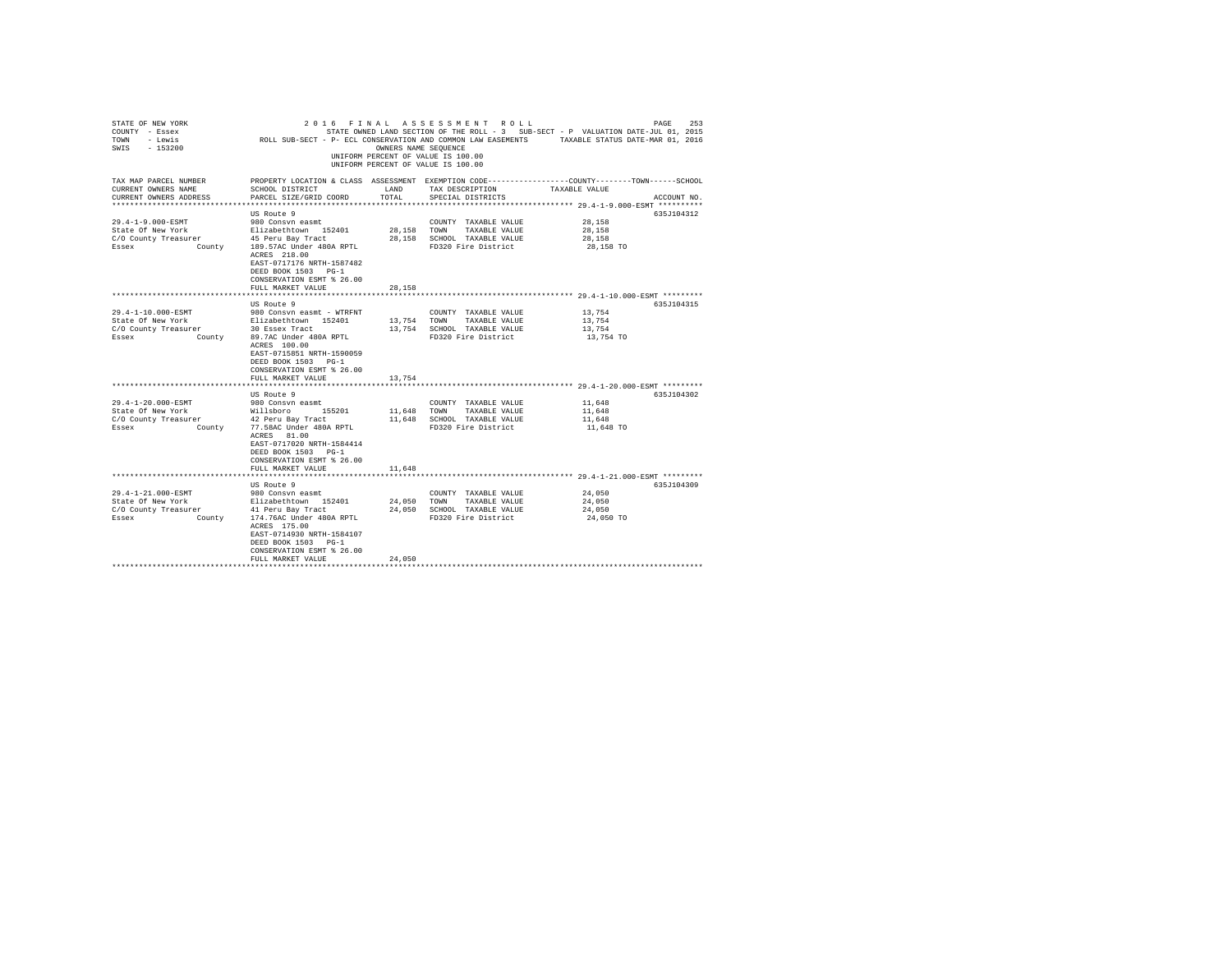| STATE OF NEW YORK<br>COUNTY - Essex<br>TOWN - Lewis<br>$-153200$<br>SWIS |                                                                                                                                              |               | 2016 FINAL ASSESSMENT ROLL<br>OWNERS NAME SEQUENCE<br>UNIFORM PERCENT OF VALUE IS 100.00<br>UNIFORM PERCENT OF VALUE IS 100.00 | PAGE<br>STATE OWNED LAND SECTION OF THE ROLL - 3 SUB-SECT - P VALUATION DATE-JUL 01, 2015<br>ROLL SUB-SECT - P- ECL CONSERVATION AND COMMON LAW EASEMENTS TAXABLE STATUS DATE-MAR 01, 2016 | 253 |
|--------------------------------------------------------------------------|----------------------------------------------------------------------------------------------------------------------------------------------|---------------|--------------------------------------------------------------------------------------------------------------------------------|--------------------------------------------------------------------------------------------------------------------------------------------------------------------------------------------|-----|
| TAX MAP PARCEL NUMBER<br>CURRENT OWNERS NAME<br>CURRENT OWNERS ADDRESS   | SCHOOL DISTRICT<br>PARCEL SIZE/GRID COORD                                                                                                    | LAND<br>TOTAL | TAX DESCRIPTION<br>SPECIAL DISTRICTS                                                                                           | PROPERTY LOCATION & CLASS ASSESSMENT EXEMPTION CODE---------------COUNTY-------TOWN------SCHOOL<br>TAXABLE VALUE<br>ACCOUNT NO.                                                            |     |
|                                                                          |                                                                                                                                              |               |                                                                                                                                | ******************* 29.4-1-9.000-ESMT **********                                                                                                                                           |     |
|                                                                          | US Route 9                                                                                                                                   |               |                                                                                                                                | 635J104312                                                                                                                                                                                 |     |
| 29.4-1-9.000-ESMT                                                        | 980 Consyn easmt                                                                                                                             |               | COUNTY TAXABLE VALUE                                                                                                           | 28,158                                                                                                                                                                                     |     |
| State Of New York                                                        | Elizabethtown 152401                                                                                                                         | 28,158        | TOWN<br>TAXABLE VALUE                                                                                                          | 28,158                                                                                                                                                                                     |     |
| C/O County Treasurer<br>Essex                                            | 45 Peru Bay Tract<br>189.57AC Under 480A RPTL                                                                                                | 28,158        | SCHOOL TAXABLE VALUE<br>FD320 Fire District                                                                                    | 28,158<br>28,158 TO                                                                                                                                                                        |     |
| County                                                                   | ACRES 218.00<br>EAST-0717176 NRTH-1587482<br>DEED BOOK 1503 PG-1<br>CONSERVATION ESMT % 26.00                                                |               |                                                                                                                                |                                                                                                                                                                                            |     |
|                                                                          | FULL MARKET VALUE                                                                                                                            | 28,158        |                                                                                                                                |                                                                                                                                                                                            |     |
|                                                                          |                                                                                                                                              |               |                                                                                                                                |                                                                                                                                                                                            |     |
|                                                                          | US Route 9                                                                                                                                   |               |                                                                                                                                | 635J104315                                                                                                                                                                                 |     |
| 29.4-1-10.000-ESMT                                                       | 980 Consyn easmt - WTRFNT                                                                                                                    |               | COUNTY TAXABLE VALUE                                                                                                           | 13,754                                                                                                                                                                                     |     |
| State Of New York                                                        | Elizabethtown 152401                                                                                                                         | 13,754        | TOWN<br>TAXABLE VALUE                                                                                                          | 13,754                                                                                                                                                                                     |     |
| C/O County Treasurer                                                     | 30 Essex Tract                                                                                                                               | 13,754        | SCHOOL TAXABLE VALUE                                                                                                           | 13,754                                                                                                                                                                                     |     |
| Essex<br>County                                                          | 89.7AC Under 480A RPTL<br>ACRES 100.00<br>EAST-0715851 NRTH-1590059<br>DEED BOOK 1503 PG-1<br>CONSERVATION ESMT % 26.00<br>FULL MARKET VALUE | 13.754        | FD320 Fire District                                                                                                            | 13,754 TO                                                                                                                                                                                  |     |
|                                                                          |                                                                                                                                              |               |                                                                                                                                |                                                                                                                                                                                            |     |
|                                                                          | US Route 9                                                                                                                                   |               |                                                                                                                                | 635J104302                                                                                                                                                                                 |     |
| 29.4-1-20.000-ESMT                                                       | 980 Consvn easmt                                                                                                                             |               | COUNTY TAXABLE VALUE                                                                                                           | 11,648                                                                                                                                                                                     |     |
| State Of New York                                                        | Willsboro 155201                                                                                                                             | 11,648        | TOWN<br>TAXABLE VALUE                                                                                                          | 11,648                                                                                                                                                                                     |     |
| C/O County Treasurer                                                     | 42 Peru Bay Tract                                                                                                                            | 11,648        | SCHOOL TAXABLE VALUE                                                                                                           | 11,648                                                                                                                                                                                     |     |
| Essex<br>County                                                          | 77.58AC Under 480A RPTL<br>ACRES 81.00<br>EAST-0717020 NRTH-1584414<br>DEED BOOK 1503 PG-1<br>CONSERVATION ESMT % 26.00                      |               | FD320 Fire District                                                                                                            | 11,648 TO                                                                                                                                                                                  |     |
|                                                                          | FULL MARKET VALUE                                                                                                                            | 11,648        |                                                                                                                                |                                                                                                                                                                                            |     |
|                                                                          |                                                                                                                                              |               |                                                                                                                                | *************************** 29.4-1-21.000-ESMT *********                                                                                                                                   |     |
|                                                                          | US Route 9                                                                                                                                   |               |                                                                                                                                | 635J104309                                                                                                                                                                                 |     |
| 29.4-1-21.000-ESMT                                                       | 980 Consyn easmt                                                                                                                             |               | COUNTY TAXABLE VALUE                                                                                                           | 24,050                                                                                                                                                                                     |     |
| State Of New York                                                        | Elizabethtown 152401                                                                                                                         | 24,050        | TOWN<br>TAXABLE VALUE                                                                                                          | 24,050                                                                                                                                                                                     |     |
| C/O County Treasurer                                                     | 41 Peru Bay Tract                                                                                                                            | 24,050        | SCHOOL TAXABLE VALUE                                                                                                           | 24,050                                                                                                                                                                                     |     |
| Essex<br>County                                                          | 174.76AC Under 480A RPTL<br>ACRES 175.00<br>EAST-0714930 NRTH-1584107<br>DEED BOOK 1503 PG-1<br>CONSERVATION ESMT % 26.00                    |               | FD320 Fire District                                                                                                            | 24,050 TO                                                                                                                                                                                  |     |
|                                                                          | FULL MARKET VALUE                                                                                                                            | 24,050        |                                                                                                                                |                                                                                                                                                                                            |     |
|                                                                          |                                                                                                                                              |               |                                                                                                                                |                                                                                                                                                                                            |     |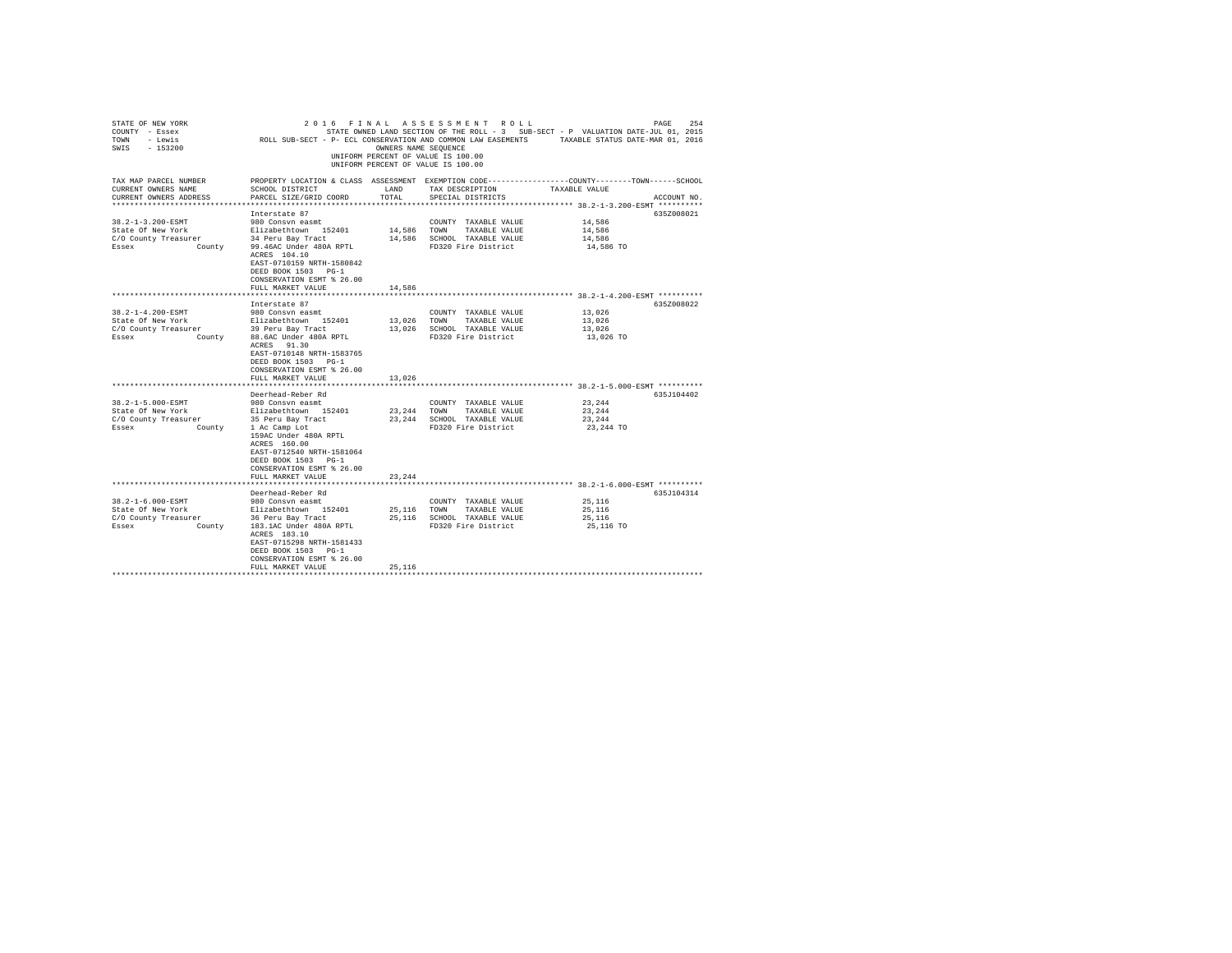| STATE OF NEW YORK<br>COUNTY - Essex<br>TOWN - Lewis<br>SWIS - 153200                                                   | $2\ 0\ 1\ 6\quad F\ 1\ N\ A\ L\quad A\ S\ S\ E\ S\ S\ M\ E\ N\ T\quad K\ \cup\ L\ L\ L\ DSTATI\ O\ N\ B\ E\ D\ L\ D\ I\ P\ T\ B\ R\ D\ L\ D\ I\ P\ T\ B\ R\ D\ S\ C\ C\ C\ D\ S\ C\ B\ V\ D\ T\ B\ I\ B\ R\ A\ S\ B\ S\ B\ S\ C\ S\ T\ I\ P\ Y\ A\ L\ D\ S\ C\ B\ V\ B\ A\ W\ B\ A\ S\ B\ S\ B\ S\ T\ A\ X\ B\ D\ S\ T\ A\ Y\ B\ A\ W\ A\ B\ A$ |               | UNIFORM PERCENT OF VALUE IS 100.00<br>UNIFORM PERCENT OF VALUE IS 100.00 |                     |             |
|------------------------------------------------------------------------------------------------------------------------|-------------------------------------------------------------------------------------------------------------------------------------------------------------------------------------------------------------------------------------------------------------------------------------------------------------------------------------------------|---------------|--------------------------------------------------------------------------|---------------------|-------------|
| TAX MAP PARCEL NUMBER<br>CURRENT OWNERS NAME<br>CURRENT OWNERS ADDRESS                                                 | PROPERTY LOCATION & CLASS ASSESSMENT EXEMPTION CODE---------------COUNTY-------TOWN-----SCHOOL<br>SCHOOL DISTRICT<br>PARCEL SIZE/GRID COORD                                                                                                                                                                                                     | LAND<br>TOTAL | TAX DESCRIPTION<br>SPECIAL DISTRICTS                                     | TAXABLE VALUE       | ACCOUNT NO. |
|                                                                                                                        |                                                                                                                                                                                                                                                                                                                                                 |               |                                                                          |                     |             |
|                                                                                                                        | Interstate 87                                                                                                                                                                                                                                                                                                                                   |               |                                                                          |                     | 635Z008021  |
| 38.2-1-3.200-ESMT<br>State Of New York                                                                                 | 980 Consyn easmt                                                                                                                                                                                                                                                                                                                                |               | COUNTY TAXABLE VALUE                                                     | 14,586<br>14,586    |             |
| C/O County Treasurer                                                                                                   | Elizabethtown 152401<br>34 Peru Bay Tract                                                                                                                                                                                                                                                                                                       | 14,586 TOWN   | TAXABLE VALUE<br>14,586 SCHOOL TAXABLE VALUE                             | 14,586              |             |
| Essex                                                                                                                  | County 99.46AC Under 480A RPTL<br>ACRES 104.10<br>EAST-0710159 NRTH-1580842<br>DEED BOOK 1503 PG-1<br>CONSERVATION ESMT % 26.00                                                                                                                                                                                                                 |               | FD320 Fire District                                                      | 14,586 TO           |             |
|                                                                                                                        | FULL MARKET VALUE                                                                                                                                                                                                                                                                                                                               | 14,586        |                                                                          |                     |             |
|                                                                                                                        |                                                                                                                                                                                                                                                                                                                                                 |               |                                                                          |                     |             |
|                                                                                                                        | Interstate 87                                                                                                                                                                                                                                                                                                                                   |               |                                                                          |                     | 635Z008022  |
| 38.2-1-4.200-ESMT                                                                                                      | 980 Consvn easmt                                                                                                                                                                                                                                                                                                                                |               | COUNTY TAXABLE VALUE                                                     | 13,026              |             |
| State Of New York                                                                                                      | Elizabethtown 152401                                                                                                                                                                                                                                                                                                                            | 13,026 TOWN   | TAXABLE VALUE                                                            | 13,026              |             |
| C/O County Treasurer 29 Peru Bay Tract<br>Essex County County 29 Peru Bay Tract<br>Essex County 88.6AC Under 480A RPTL |                                                                                                                                                                                                                                                                                                                                                 |               | 13,026 SCHOOL TAXABLE VALUE<br>FD320 Fire District                       | 13,026<br>13,026 TO |             |
|                                                                                                                        | ACRES 91.30<br>EAST-0710148 NRTH-1583765<br>DEED BOOK 1503 PG-1<br>CONSERVATION ESMT % 26.00<br>FULL MARKET VALUE                                                                                                                                                                                                                               | 13,026        |                                                                          |                     |             |
|                                                                                                                        |                                                                                                                                                                                                                                                                                                                                                 |               |                                                                          |                     |             |
|                                                                                                                        | Deerhead-Reber Rd                                                                                                                                                                                                                                                                                                                               |               |                                                                          |                     | 635J104402  |
| 38.2-1-5.000-ESMT                                                                                                      | 980 Consvn easmt                                                                                                                                                                                                                                                                                                                                |               | COUNTY TAXABLE VALUE                                                     | 23,244              |             |
| State Of New York                                                                                                      | Elizabethtown 152401                                                                                                                                                                                                                                                                                                                            |               | 23, 244 TOWN TAXABLE VALUE                                               | 23,244              |             |
| C/O County Treasurer                                                                                                   | 35 Peru Bay Tract                                                                                                                                                                                                                                                                                                                               |               | 23, 244 SCHOOL TAXABLE VALUE                                             | 23,244              |             |
| Essex                                                                                                                  | County 1 Ac Camp Lot<br>159AC Under 480A RPTL<br>ACRES 160.00<br>EAST-0712540 NRTH-1581064<br>DEED BOOK 1503 PG-1<br>CONSERVATION ESMT % 26.00                                                                                                                                                                                                  |               | FD320 Fire District                                                      | 23,244 TO           |             |
|                                                                                                                        | FULL MARKET VALUE                                                                                                                                                                                                                                                                                                                               | 23,244        |                                                                          |                     |             |
|                                                                                                                        |                                                                                                                                                                                                                                                                                                                                                 |               |                                                                          |                     |             |
| 38.2-1-6.000-ESMT                                                                                                      | Deerhead-Reber Rd<br>980 Consvn easmt                                                                                                                                                                                                                                                                                                           |               | COUNTY TAXABLE VALUE                                                     | 25,116              | 635J104314  |
| State Of New York                                                                                                      | Elizabethtown 152401                                                                                                                                                                                                                                                                                                                            |               | 25,116 TOWN TAXABLE VALUE                                                | 25,116              |             |
| C/O County Treasurer                                                                                                   | 36 Peru Bay Tract                                                                                                                                                                                                                                                                                                                               |               | 25.116 SCHOOL TAXABLE VALUE                                              | 25,116              |             |
| County<br>Essex                                                                                                        | 183.1AC Under 480A RPTL<br>ACRES 183.10<br>EAST-0715298 NRTH-1581433<br>DEED BOOK 1503 PG-1<br>CONSERVATION ESMT % 26.00                                                                                                                                                                                                                        |               | FD320 Fire District                                                      | 25,116 TO           |             |
|                                                                                                                        | FULL MARKET VALUE                                                                                                                                                                                                                                                                                                                               | 25,116        |                                                                          |                     |             |
|                                                                                                                        |                                                                                                                                                                                                                                                                                                                                                 |               |                                                                          |                     |             |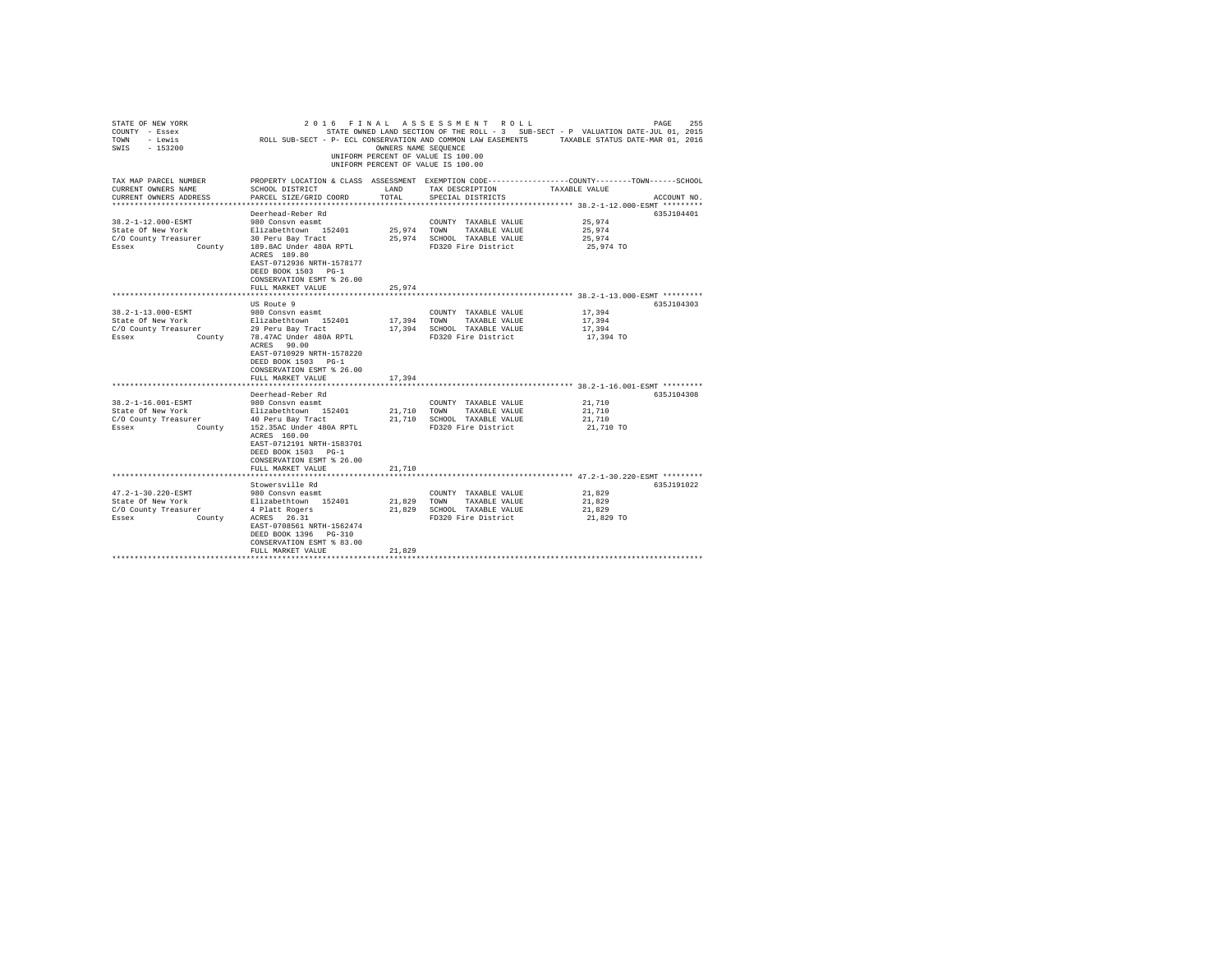| STATE OF NEW YORK<br>COUNTY - Essex<br>TOWN - Lewis<br>$-153200$<br>SWIS | ROLL SUB-SECT - P- ECL CONSERVATION AND COMMON LAW EASEMENTS TAXABLE STATUS DATE-MAR 01, 2016 | OWNERS NAME SEOUENCE | 2016 FINAL ASSESSMENT ROLL<br>STATE OWNED LAND SECTION OF THE ROLL - 3 SUB-SECT - P VALUATION DATE-JUL 01, 2015<br>UNIFORM PERCENT OF VALUE IS 100.00<br>UNIFORM PERCENT OF VALUE IS 100.00 |                                                  | 255<br>PAGE |
|--------------------------------------------------------------------------|-----------------------------------------------------------------------------------------------|----------------------|---------------------------------------------------------------------------------------------------------------------------------------------------------------------------------------------|--------------------------------------------------|-------------|
| TAX MAP PARCEL NUMBER<br>CURRENT OWNERS NAME                             | SCHOOL DISTRICT                                                                               | LAND                 | PROPERTY LOCATION & CLASS ASSESSMENT EXEMPTION CODE---------------COUNTY-------TOWN------SCHOOL<br>TAX DESCRIPTION                                                                          | TAXABLE VALUE                                    |             |
| CURRENT OWNERS ADDRESS                                                   | PARCEL SIZE/GRID COORD<br>**************************                                          | TOTAL                | SPECIAL DISTRICTS                                                                                                                                                                           | ******************* 38.2-1-12.000-ESMT ********* | ACCOUNT NO. |
|                                                                          | Deerhead-Reber Rd                                                                             |                      |                                                                                                                                                                                             |                                                  | 635.7104401 |
| 38.2-1-12.000-ESMT                                                       | 980 Consyn easmt                                                                              |                      | COUNTY TAXABLE VALUE                                                                                                                                                                        | 25,974                                           |             |
| State Of New York                                                        | Elizabethtown 152401                                                                          | 25,974 TOWN          | TAXABLE VALUE                                                                                                                                                                               | 25,974                                           |             |
| C/O County Treasurer                                                     | urer 30 Peru Bay Tract<br>County 189.8AC Under 480A RPTL                                      |                      | 25.974 SCHOOL TAXABLE VALUE                                                                                                                                                                 | 25,974                                           |             |
| Essex                                                                    |                                                                                               |                      | FD320 Fire District                                                                                                                                                                         | 25,974 TO                                        |             |
|                                                                          | ACRES 189.80                                                                                  |                      |                                                                                                                                                                                             |                                                  |             |
|                                                                          | EAST-0712936 NRTH-1578177<br>DEED BOOK 1503 PG-1                                              |                      |                                                                                                                                                                                             |                                                  |             |
|                                                                          | CONSERVATION ESMT % 26.00                                                                     |                      |                                                                                                                                                                                             |                                                  |             |
|                                                                          | FULL MARKET VALUE                                                                             | 25.974               |                                                                                                                                                                                             |                                                  |             |
|                                                                          |                                                                                               |                      |                                                                                                                                                                                             |                                                  |             |
|                                                                          | US Route 9                                                                                    |                      |                                                                                                                                                                                             |                                                  | 635J104303  |
| 38.2-1-13.000-ESMT                                                       | 980 Consvn easmt                                                                              |                      | COUNTY TAXABLE VALUE                                                                                                                                                                        | 17,394                                           |             |
| State Of New York                                                        | Elizabethtown 152401<br>29 Peru Bay Tract                                                     | 17,394               | TOWN<br>TAXABLE VALUE                                                                                                                                                                       | 17,394                                           |             |
| C/O County Treasurer                                                     |                                                                                               |                      | 17,394 SCHOOL TAXABLE VALUE                                                                                                                                                                 | 17,394                                           |             |
| Essex                                                                    | County 78.47AC Under 480A RPTL                                                                |                      | FD320 Fire District                                                                                                                                                                         | 17,394 TO                                        |             |
|                                                                          | ACRES 90.00<br>EAST-0710929 NRTH-1578220                                                      |                      |                                                                                                                                                                                             |                                                  |             |
|                                                                          | DEED BOOK 1503 PG-1                                                                           |                      |                                                                                                                                                                                             |                                                  |             |
|                                                                          | CONSERVATION ESMT % 26.00                                                                     |                      |                                                                                                                                                                                             |                                                  |             |
|                                                                          | FULL MARKET VALUE                                                                             | 17,394               |                                                                                                                                                                                             |                                                  |             |
|                                                                          |                                                                                               |                      |                                                                                                                                                                                             |                                                  |             |
|                                                                          | Deerhead-Reber Rd                                                                             |                      |                                                                                                                                                                                             |                                                  | 635J104308  |
| 38.2-1-16.001-ESMT                                                       | 980 Consyn easmt                                                                              |                      | COUNTY TAXABLE VALUE                                                                                                                                                                        | 21,710                                           |             |
| State Of New York                                                        | Elizabethtown 152401                                                                          | 21,710               | TOWN TAXABLE VALUE                                                                                                                                                                          | 21,710                                           |             |
| C/O County Treasurer                                                     | 40 Peru Bay Tract                                                                             |                      | 21.710 SCHOOL TAXABLE VALUE                                                                                                                                                                 | 21,710                                           |             |
| Essex<br>County                                                          | 152.35AC Under 480A RPTL                                                                      |                      | FD320 Fire District                                                                                                                                                                         | 21,710 TO                                        |             |
|                                                                          | ACRES 160.00<br>EAST-0712191 NRTH-1583701                                                     |                      |                                                                                                                                                                                             |                                                  |             |
|                                                                          | DEED BOOK 1503 PG-1                                                                           |                      |                                                                                                                                                                                             |                                                  |             |
|                                                                          | CONSERVATION ESMT % 26.00                                                                     |                      |                                                                                                                                                                                             |                                                  |             |
|                                                                          | FULL MARKET VALUE                                                                             | 21,710               |                                                                                                                                                                                             |                                                  |             |
|                                                                          |                                                                                               |                      |                                                                                                                                                                                             |                                                  |             |
|                                                                          | Stowersville Rd                                                                               |                      |                                                                                                                                                                                             |                                                  | 635J191022  |
| 47.2-1-30.220-ESMT                                                       | 980 Consyn easmt                                                                              |                      | COUNTY TAXABLE VALUE                                                                                                                                                                        | 21,829                                           |             |
| State Of New York                                                        | Elizabethtown 152401                                                                          | 21,829               | TOWN TAXABLE VALUE                                                                                                                                                                          | 21,829                                           |             |
| C/O County Treasurer                                                     | 4 Platt Rogers                                                                                | 21,829               | SCHOOL TAXABLE VALUE                                                                                                                                                                        | 21,829                                           |             |
| County<br>Essex                                                          | ACRES 26.31                                                                                   |                      | FD320 Fire District                                                                                                                                                                         | 21,829 TO                                        |             |
|                                                                          | EAST-0708561 NRTH-1562474<br>DEED BOOK 1396 PG-310                                            |                      |                                                                                                                                                                                             |                                                  |             |
|                                                                          | CONSERVATION ESMT % 83.00                                                                     |                      |                                                                                                                                                                                             |                                                  |             |
|                                                                          | FULL MARKET VALUE                                                                             | 21,829               |                                                                                                                                                                                             |                                                  |             |
|                                                                          |                                                                                               |                      |                                                                                                                                                                                             |                                                  |             |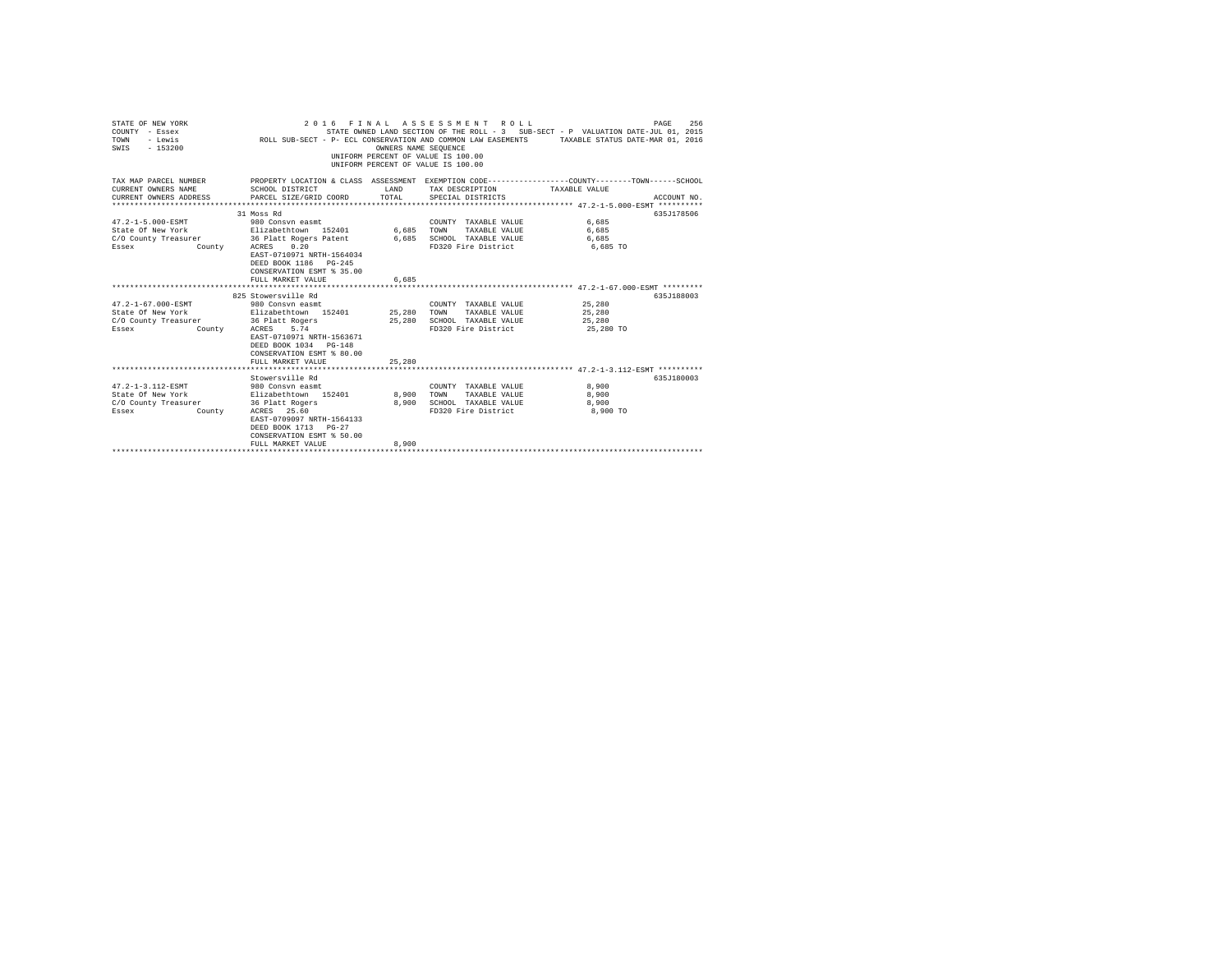| STATE OF NEW YORK<br>COUNTY - Essex<br>TOWN<br>- Lewis<br>$-153200$<br>SWIS                                                                   |                                                                                                                                                                     | OWNERS NAME SEQUENCE | 2016 FINAL ASSESSMENT ROLL<br>UNIFORM PERCENT OF VALUE IS 100.00<br>UNIFORM PERCENT OF VALUE IS 100.00 | PAGE<br>256<br>STATE OWNED LAND SECTION OF THE ROLL - 3 SUB-SECT - P VALUATION DATE-JUL 01, 2015<br>ROLL SUB-SECT - P- ECL CONSERVATION AND COMMON LAW EASEMENTS TAXABLE STATUS DATE-MAR 01, 2016 |
|-----------------------------------------------------------------------------------------------------------------------------------------------|---------------------------------------------------------------------------------------------------------------------------------------------------------------------|----------------------|--------------------------------------------------------------------------------------------------------|---------------------------------------------------------------------------------------------------------------------------------------------------------------------------------------------------|
| TAX MAP PARCEL NUMBER<br>CURRENT OWNERS NAME<br>CURRENT OWNERS ADDRESS                                                                        | SCHOOL DISTRICT<br>PARCEL SIZE/GRID COORD TOTAL                                                                                                                     | LAND                 | TAX DESCRIPTION<br>SPECIAL DISTRICTS                                                                   | PROPERTY LOCATION & CLASS ASSESSMENT EXEMPTION CODE----------------COUNTY--------TOWN-----SCHOOL<br>TAXARLE VALUE<br>ACCOUNT NO.                                                                  |
| Essex                                                                                                                                         | 31 Moss Rd<br>County ACRES 0.20<br>EAST-0710971 NRTH-1564034<br>DEED BOOK 1186 PG-245<br>CONSERVATION ESMT % 35.00<br>FULL MARKET VALUE                             | 6.685                | COUNTY TAXABLE VALUE 6,685<br>TAXABLE VALUE<br>6,685 SCHOOL TAXABLE VALUE<br>FD320 Fire District       | 635.7178506<br>6,685<br>6,685<br>6,685 TO                                                                                                                                                         |
|                                                                                                                                               |                                                                                                                                                                     |                      |                                                                                                        |                                                                                                                                                                                                   |
| $47.2 - 1 - 67.000 - \text{ESMT}$<br>State Of New York Blizabethtown 152401 25,280<br>C/O County Treasurer 36 Platt Rogers<br>County<br>Essex | 825 Stowersville Rd<br>980 Consvn easmt<br>ACRES 5.74<br>EAST-0710971 NRTH-1563671<br>DEED BOOK 1034 PG-148<br>CONSERVATION ESMT % 80.00                            | 25,280               | COUNTY TAXABLE VALUE 45.280<br>TAXABLE VALUE<br>TOWN<br>SCHOOL TAXABLE VALUE<br>FD320 Fire District    | 635J188003<br>25,280<br>25,280<br>25,280 TO                                                                                                                                                       |
|                                                                                                                                               | FULL MARKET VALUE                                                                                                                                                   | 25,280               |                                                                                                        |                                                                                                                                                                                                   |
| 47.2-1-3.112-ESMT 980 Consvn easmt<br>State Of New York<br>C/O County Treasurer 36 Platt Rogers<br>County<br>Essex                            | Stowersville Rd<br>Elizabethtown 152401 8,900<br>ACRES 25.60<br>EAST-0709097 NRTH-1564133<br>DEED BOOK 1713 PG-27<br>CONSERVATION ESMT % 50.00<br>FULL MARKET VALUE | 8,900<br>8,900       | COUNTY TAXABLE VALUE<br>TOWN<br>TAXABLE VALUE 8,900<br>SCHOOL TAXABLE VALUE<br>FD320 Fire District     | 635.7180003<br>8,900<br>8,900<br>8,900 TO                                                                                                                                                         |
|                                                                                                                                               |                                                                                                                                                                     |                      |                                                                                                        |                                                                                                                                                                                                   |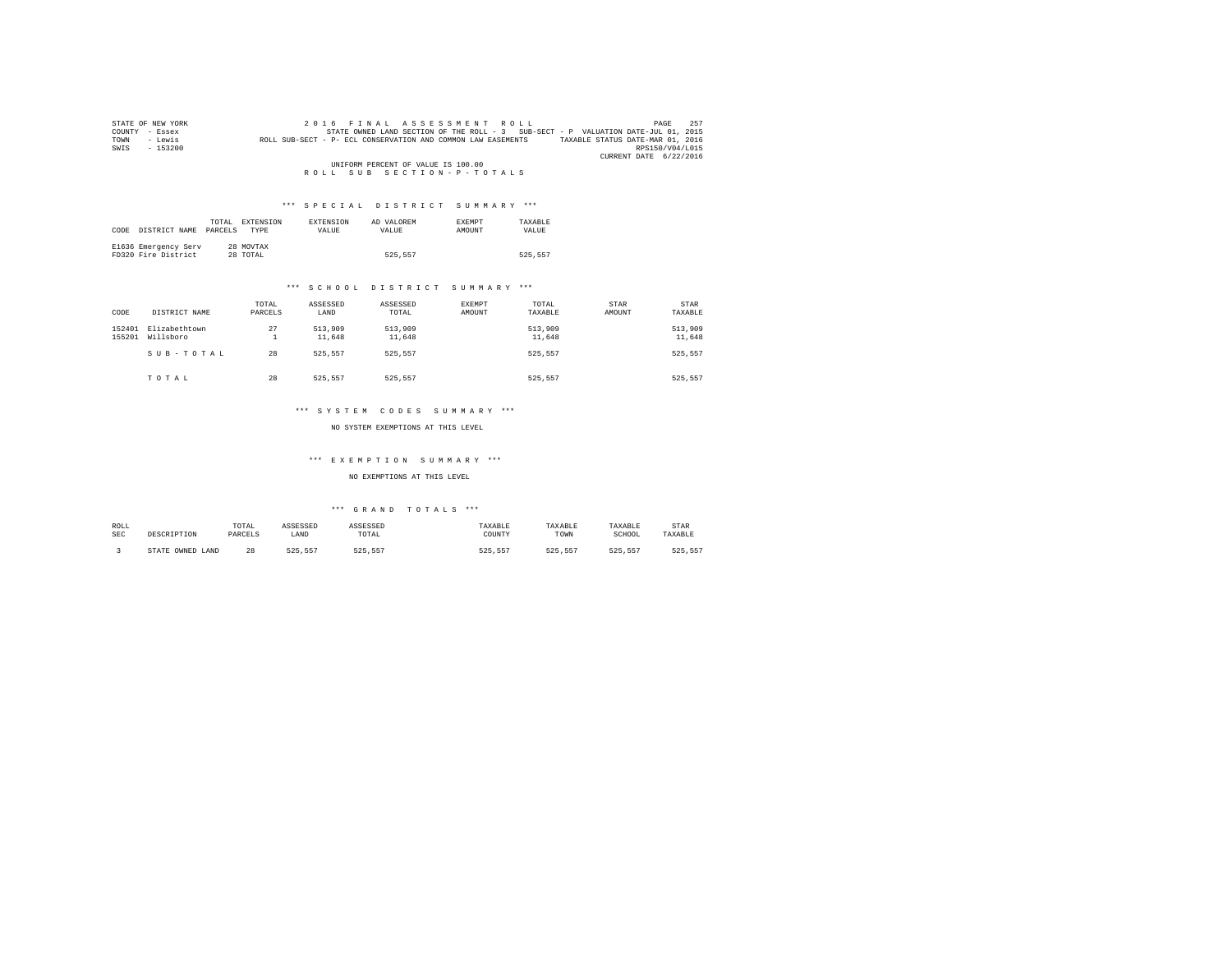| STATE OF NEW YORK | 2016 FINAL ASSESSMENT ROLL                                                                       | 257<br>PAGE     |
|-------------------|--------------------------------------------------------------------------------------------------|-----------------|
| COUNTY - Essex    | STATE OWNED LAND SECTION OF THE ROLL - 3 SUB-SECT - P VALUATION DATE-JUL 01, 2015                |                 |
| - Lewis<br>TOWN   | TAXABLE STATUS DATE-MAR 01, 2016<br>ROLL SUB-SECT - P- ECL CONSERVATION AND COMMON LAW EASEMENTS |                 |
| $-153200$<br>SWIS |                                                                                                  | RPS150/V04/L015 |
|                   | CURRENT DATE 6/22/2016                                                                           |                 |
|                   | UNIFORM PERCENT OF VALUE IS 100.00                                                               |                 |
|                   | ROLL SUB SECTION-P-TOTALS                                                                        |                 |

| CODE | DISTRICT NAME                               | TOTAL<br>PARCELS | <b>EXTENSION</b><br><b>TYPE</b> | <b>EXTENSION</b><br><b>VALUE</b> | AD VALOREM<br>VALUE. | EXEMPT<br>AMOUNT | TAXARLE<br>VALUE |
|------|---------------------------------------------|------------------|---------------------------------|----------------------------------|----------------------|------------------|------------------|
|      | E1636 Emergency Serv<br>FD320 Fire District |                  | 28 MOVTAX<br>28 TOTAL           |                                  | 525.557              |                  | 525.557          |

#### \*\*\* S C H O O L D I S T R I C T S U M M A R Y \*\*\*

| CODE             | DISTRICT NAME              | TOTAL<br>PARCELS | ASSESSED<br>LAND  | ASSESSED<br>TOTAL | <b>EXEMPT</b><br>AMOUNT | TOTAL<br>TAXABLE  | STAR<br>AMOUNT | STAR<br>TAXABLE   |
|------------------|----------------------------|------------------|-------------------|-------------------|-------------------------|-------------------|----------------|-------------------|
| 152401<br>155201 | Elizabethtown<br>Willsboro | 27<br>∸          | 513,909<br>11,648 | 513,909<br>11,648 |                         | 513,909<br>11,648 |                | 513,909<br>11,648 |
|                  | SUB-TOTAL                  | 28               | 525.557           | 525.557           |                         | 525.557           |                | 525,557           |
|                  | TOTAL                      | 28               | 525.557           | 525.557           |                         | 525.557           |                | 525.557           |

#### \*\*\* S Y S T E M C O D E S S U M M A R Y \*\*\*

NO SYSTEM EXEMPTIONS AT THIS LEVEL

#### \*\*\* E X E M P T I O N S U M M A R Y \*\*\*

#### NO EXEMPTIONS AT THIS LEVEL

| ROLL<br><b>SEC</b> | DESCRIPTION            | TOTAL<br>PARCELS | ASSESSED<br>LAND | <b>NSSESSED</b><br>TOTAL | TAXABLE<br>COUNTY | TAXABLE<br>TOWN | TAXABLE<br>SCHOOL | STAR<br>TAXABLE |
|--------------------|------------------------|------------------|------------------|--------------------------|-------------------|-----------------|-------------------|-----------------|
|                    | OWNED<br>STATE<br>LAND | 28               | 525.557          | EDE EET                  | 125 R.R.T         | 525.557         | 525 557           | 525.55          |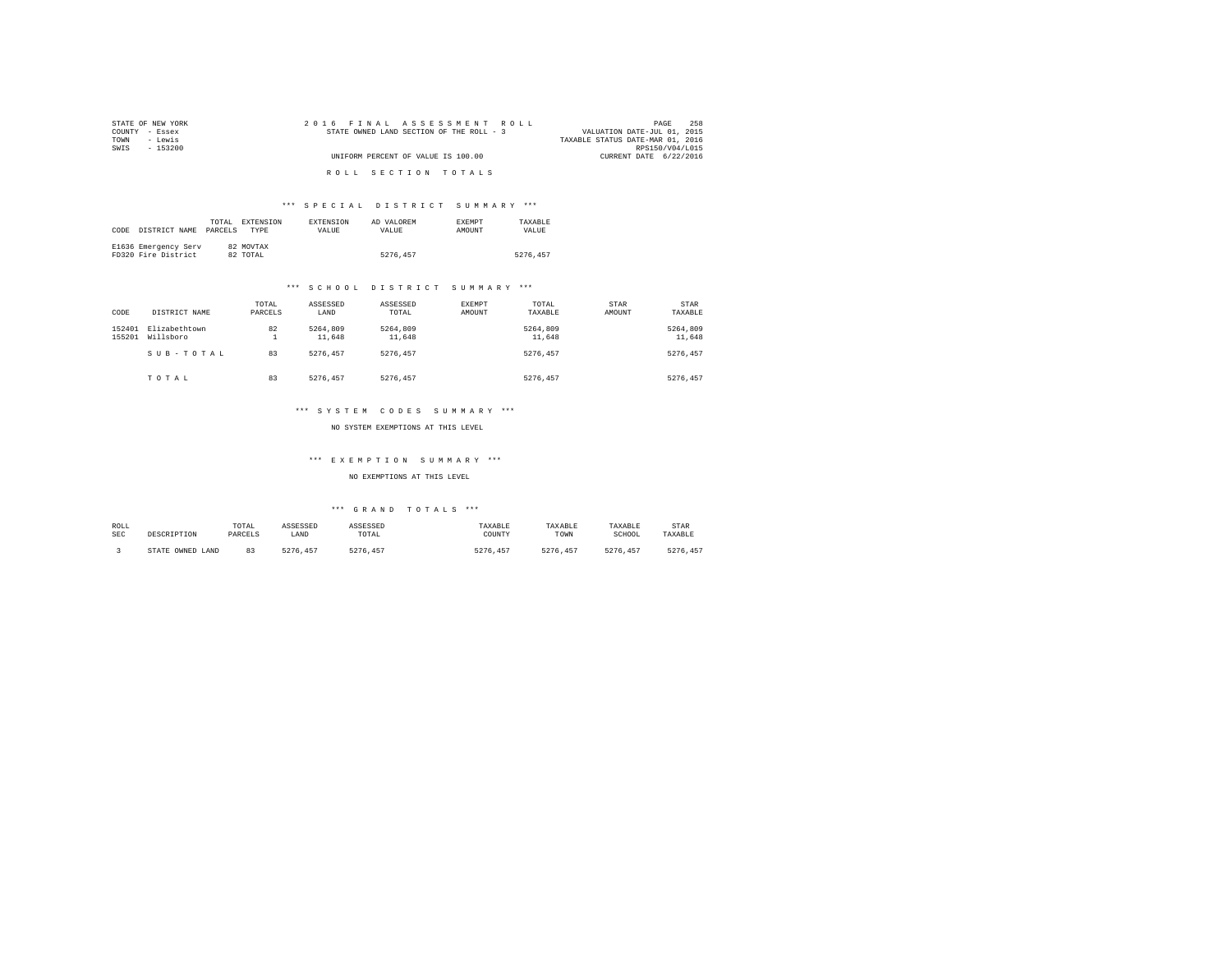| STATE OF NEW YORK | 2016 FINAL ASSESSMENT ROLL               | 258<br>PAGE                      |
|-------------------|------------------------------------------|----------------------------------|
| COUNTY - Essex    | STATE OWNED LAND SECTION OF THE ROLL - 3 | VALUATION DATE-JUL 01, 2015      |
| TOWN<br>- Lewis   |                                          | TAXABLE STATUS DATE-MAR 01, 2016 |
| SWIS<br>- 153200  |                                          | RPS150/V04/L015                  |
|                   | UNIFORM PERCENT OF VALUE IS 100.00       | CURRENT DATE 6/22/2016           |
|                   | ROLL SECTION TOTALS                      |                                  |

| CODE | DISTRICT NAME                               | TOTAL.<br>PARCELS | EXTENSION<br><b>TYPE</b> | <b>EXTENSION</b><br>VALUE | AD VALOREM<br>VALUE | <b>EXEMPT</b><br>AMOUNT | TAXARLE<br>VALUE |
|------|---------------------------------------------|-------------------|--------------------------|---------------------------|---------------------|-------------------------|------------------|
|      | E1636 Emergency Serv<br>FD320 Fire District |                   | 82 MOVTAX<br>82 TOTAL    |                           | 5276.457            |                         | 5276.457         |

#### \*\*\* S C H O O L D I S T R I C T S U M M A R Y \*\*\*

| CODE             | DISTRICT NAME              | TOTAL<br>PARCELS | ASSESSED<br>LAND   | ASSESSED<br>TOTAL  | <b>EXEMPT</b><br><b>AMOUNT</b> | TOTAL<br>TAXABLE   | STAR<br>AMOUNT | STAR<br>TAXABLE    |
|------------------|----------------------------|------------------|--------------------|--------------------|--------------------------------|--------------------|----------------|--------------------|
| 152401<br>155201 | Elizabethtown<br>Willsboro | 82<br>∸          | 5264,809<br>11,648 | 5264.809<br>11,648 |                                | 5264,809<br>11,648 |                | 5264.809<br>11,648 |
|                  | SUB-TOTAL                  | 83               | 5276.457           | 5276.457           |                                | 5276.457           |                | 5276.457           |
|                  | TOTAL                      | 83               | 5276.457           | 5276.457           |                                | 5276.457           |                | 5276.457           |

#### \*\*\* S Y S T E M C O D E S S U M M A R Y \*\*\*

NO SYSTEM EXEMPTIONS AT THIS LEVEL

#### \*\*\* E X E M P T I O N S U M M A R Y \*\*\*

#### NO EXEMPTIONS AT THIS LEVEL

| ROLL       | DESCRIPTION      | TOTAL   | ASSESSED      | ASSESSED | TAXABLE       | TAXABLE  | TAXABLE  | STAR    |
|------------|------------------|---------|---------------|----------|---------------|----------|----------|---------|
| <b>SEC</b> |                  | PARCELS | LAND          | TOTAL    | COUNTY        | TOWN     | SCHOOL   | TAXABLE |
|            | STATE OWNED LAND | ନ୍ଦ     | 5276<br>. 457 | 5276.457 | 5276.<br>.457 | 5276.457 | 5276.457 | 5276.   |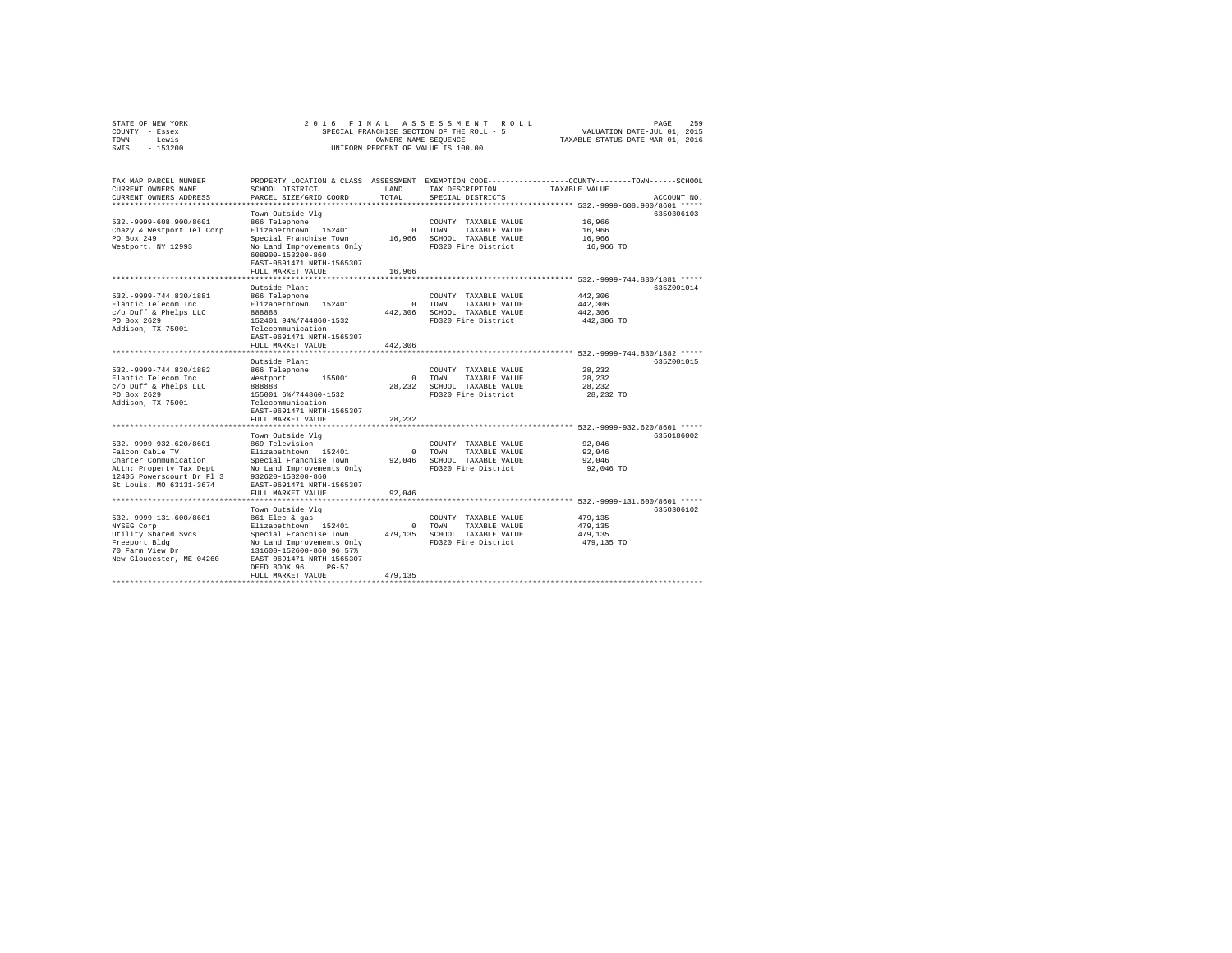| COUNTY - Essex<br>TOWN<br>- Lewis<br>SWIS - 153200                                                                                                         |                                                                                                                                                                                                                       |                     | SPECIAL FRANCHISE SECTION OF THE ROLL - 5<br>OWNERS NAME SEOUENCE<br>UNIFORM PERCENT OF VALUE IS 100.00 | VALUATION DATE-JUL 01, 2015<br>TAXABLE STATUS DATE-MAR 01, 2016                                                                                                                          |  |  |
|------------------------------------------------------------------------------------------------------------------------------------------------------------|-----------------------------------------------------------------------------------------------------------------------------------------------------------------------------------------------------------------------|---------------------|---------------------------------------------------------------------------------------------------------|------------------------------------------------------------------------------------------------------------------------------------------------------------------------------------------|--|--|
| TAX MAP PARCEL NUMBER<br>CURRENT OWNERS NAME<br>CURRENT OWNERS ADDRESS<br>*************************                                                        | SCHOOL DISTRICT<br>PARCEL SIZE/GRID COORD                                                                                                                                                                             | LAND<br>TOTAL.      | TAX DESCRIPTION<br>SPECIAL DISTRICTS                                                                    | PROPERTY LOCATION & CLASS ASSESSMENT EXEMPTION CODE---------------COUNTY-------TOWN------SCHOOL<br>TAXABLE VALUE<br>ACCOUNT NO.<br>************************ 532.-9999-608.900/8601 ***** |  |  |
| 532. - 9999-608.900/8601<br>Chazy & Westport Tel Corp<br>PO Box 249<br>Westport, NY 12993                                                                  | Town Outside Vlg<br>866 Telephone<br>Elizabethtown 152401<br>Special Franchise Town<br>No Land Improvements Only<br>608900-153200-860<br>EAST-0691471 NRTH-1565307<br>FULL MARKET VALUE                               | 16,966              | COUNTY TAXABLE VALUE<br>0 TOWN<br>TAXABLE VALUE<br>16,966 SCHOOL TAXABLE VALUE<br>FD320 Fire District   | 6350306103<br>16,966<br>16,966<br>16,966<br>16,966 TO                                                                                                                                    |  |  |
| 532. - 9999 - 744.830/1881<br>Elantic Telecom Inc<br>c/o Duff & Phelps LLC<br>PO Box 2629<br>Addison, TX 75001                                             | Outside Plant<br>866 Telephone<br>Elizabethtown 152401<br>888888<br>152401 94%/744860-1532<br>Telecommunication<br>EAST-0691471 NRTH-1565307<br>FULL MARKET VALUE                                                     | $\Omega$<br>442,306 | COUNTY TAXABLE VALUE<br>TOWN<br>TAXABLE VALUE<br>442.306 SCHOOL TAXABLE VALUE<br>FD320 Fire District    | 635Z001014<br>442.306<br>442,306<br>442,306<br>442,306 TO                                                                                                                                |  |  |
| 532. - 9999 - 744.830/1882<br>Elantic Telecom Inc<br>c/o Duff & Phelps LLC<br>PO Box 2629<br>Addison, TX 75001                                             | Outside Plant<br>866 Telephone<br>Westport 155001<br>888888<br>155001 6%/744860-1532<br>Telecommunication<br>EAST-0691471 NRTH-1565307<br>FULL MARKET VALUE                                                           | $\sim$ 0<br>28,232  | COUNTY TAXABLE VALUE<br>TOWN<br>TAXABLE VALUE<br>28,232 SCHOOL TAXABLE VALUE<br>FD320 Fire District     | 635Z001015<br>28,232<br>28,232<br>28,232<br>28,232 TO                                                                                                                                    |  |  |
| 532. - 9999 - 932. 620/8601<br>Falcon Cable TV<br>Charter Communication<br>Attn: Property Tax Dept<br>12405 Powerscourt Dr Fl 3<br>St Louis, MO 63131-3674 | Town Outside Vla<br>869 Television<br>Elizabethtown 152401<br>Special Franchise Town 92,046 SCHOOL TAXABLE VALUE<br>No Land Improvements Only<br>932620-153200-860<br>EAST-0691471 NRTH-1565307<br>FULL MARKET VALUE  | $\sim$ 0<br>92,046  | COUNTY TAXABLE VALUE<br>TOWN<br>TAXABLE VALUE<br>FD320 Fire District                                    | 6350186002<br>92,046<br>92,046<br>92,046<br>92,046 TO                                                                                                                                    |  |  |
| 532. - 9999-131.600/8601<br>NYSEG Corp<br>Utility Shared Svcs<br>Freeport Bldg<br>70 Farm View Dr<br>New Gloucester, ME 04260                              | Town Outside Vlg<br>861 Elec & gas<br>Elizabethtown 152401<br>Special Franchise Town<br>No Land Improvements Only<br>131600-152600-860 96.57%<br>EAST-0691471 NRTH-1565307<br>DEED BOOK 96 PG-57<br>FULL MARKET VALUE | 479.135             | COUNTY TAXABLE VALUE<br>0 TOWN<br>TAXABLE VALUE<br>479,135 SCHOOL TAXABLE VALUE<br>FD320 Fire District  | 6350306102<br>479.135<br>479.135<br>479,135<br>479,135 TO                                                                                                                                |  |  |

STATE OF NEW YORK 2016 FINAL ASSESSMENT ROLL PAGE 259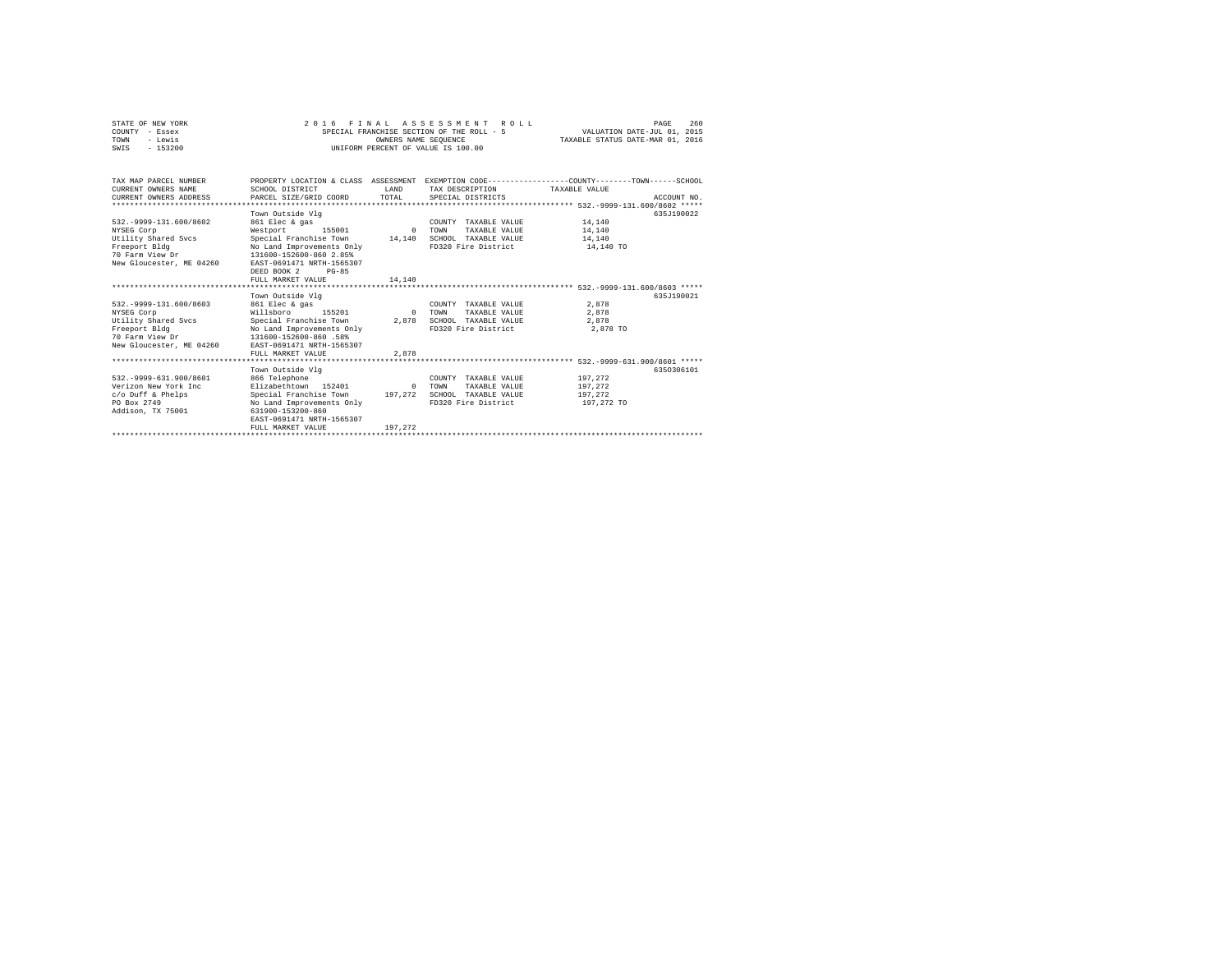| STATE OF NEW YORK<br>COUNTY - Essex<br>- Lewis<br>TOWN<br>$-153200$<br>SWTS                                                   | 2016 FINAL ASSESSMENT ROLL<br>SPECIAL FRANCHISE SECTION OF THE ROLL - 5<br>INIFORM PERCENT OF VALUE IS 100.00                                                                                                          | VALUATION DATE-JUL 01, 2015<br>TAXABLE STATUS DATE-MAR 01, 2016 | 260<br>PAGE                                                                                                                             |                                             |             |
|-------------------------------------------------------------------------------------------------------------------------------|------------------------------------------------------------------------------------------------------------------------------------------------------------------------------------------------------------------------|-----------------------------------------------------------------|-----------------------------------------------------------------------------------------------------------------------------------------|---------------------------------------------|-------------|
| TAX MAP PARCEL NUMBER<br>CURRENT OWNERS NAME<br>CURRENT OWNERS ADDRESS<br>*************************                           | SCHOOL DISTRICT<br>PARCEL SIZE/GRID COORD                                                                                                                                                                              | <b>T.AND</b><br>TOTAL.                                          | PROPERTY LOCATION & CLASS ASSESSMENT EXEMPTION CODE---------------COUNTY-------TOWN------SCHOOL<br>TAX DESCRIPTION<br>SPECIAL DISTRICTS | TAXARLE VALUE                               | ACCOUNT NO. |
| 532. - 9999-131.600/8602<br>NYSEG Corp<br>Utility Shared Svcs<br>Freeport Bldg<br>70 Farm View Dr<br>New Gloucester, ME 04260 | Town Outside Vlg<br>861 Elec & gas<br>Westport<br>155001<br>Special Franchise Town<br>No Land Improvements Only<br>131600-152600-860 2.85%<br>EAST-0691471 NRTH-1565307<br>DEED BOOK 2<br>$PG-85$<br>FULL MARKET VALUE | $\Omega$<br>14,140<br>14,140                                    | COUNTY TAXABLE VALUE<br><b>TOWN</b><br>TAXABLE VALUE<br>SCHOOL TAXABLE VALUE<br>FD320 Fire District                                     | 14,140<br>14,140<br>14,140<br>14,140 TO     | 635J190022  |
| 532. - 9999-131.600/8603<br>NYSEG Corp<br>Utility Shared Svcs<br>Freeport Bldg<br>70 Farm View Dr<br>New Gloucester, ME 04260 | Town Outside Vlg<br>861 Elec & gas<br>Willsboro<br>155201<br>Special Franchise Town<br>No Land Improvements Only<br>131600-152600-860 .58%<br>EAST-0691471 NRTH-1565307<br>FULL MARKET VALUE                           | $\Omega$<br>2,878<br>2,878                                      | COUNTY TAXABLE VALUE<br>TOWN<br>TAXABLE VALUE<br>SCHOOL TAXABLE VALUE<br>FD320 Fire District                                            | 2.878<br>2.878<br>2.878<br>2,878 TO         | 635.T190021 |
| 532. - 9999-631.900/8601<br>Verizon New York Inc<br>c/o Duff & Phelps<br>PO Box 2749<br>Addison, TX 75001                     | Town Outside Vlg<br>866 Telephone<br>Elizabethtown 152401<br>Special Franchise Town 197.272<br>No Land Improvements Only<br>631900-153200-860<br>EAST-0691471 NRTH-1565307<br>FULL MARKET VALUE                        | $\Omega$<br>197.272                                             | COUNTY TAXABLE VALUE<br><b>TOWN</b><br>TAXABLE VALUE<br>SCHOOL TAXABLE VALUE<br>FD320 Fire District                                     | 197,272<br>197.272<br>197.272<br>197,272 TO | 6350306101  |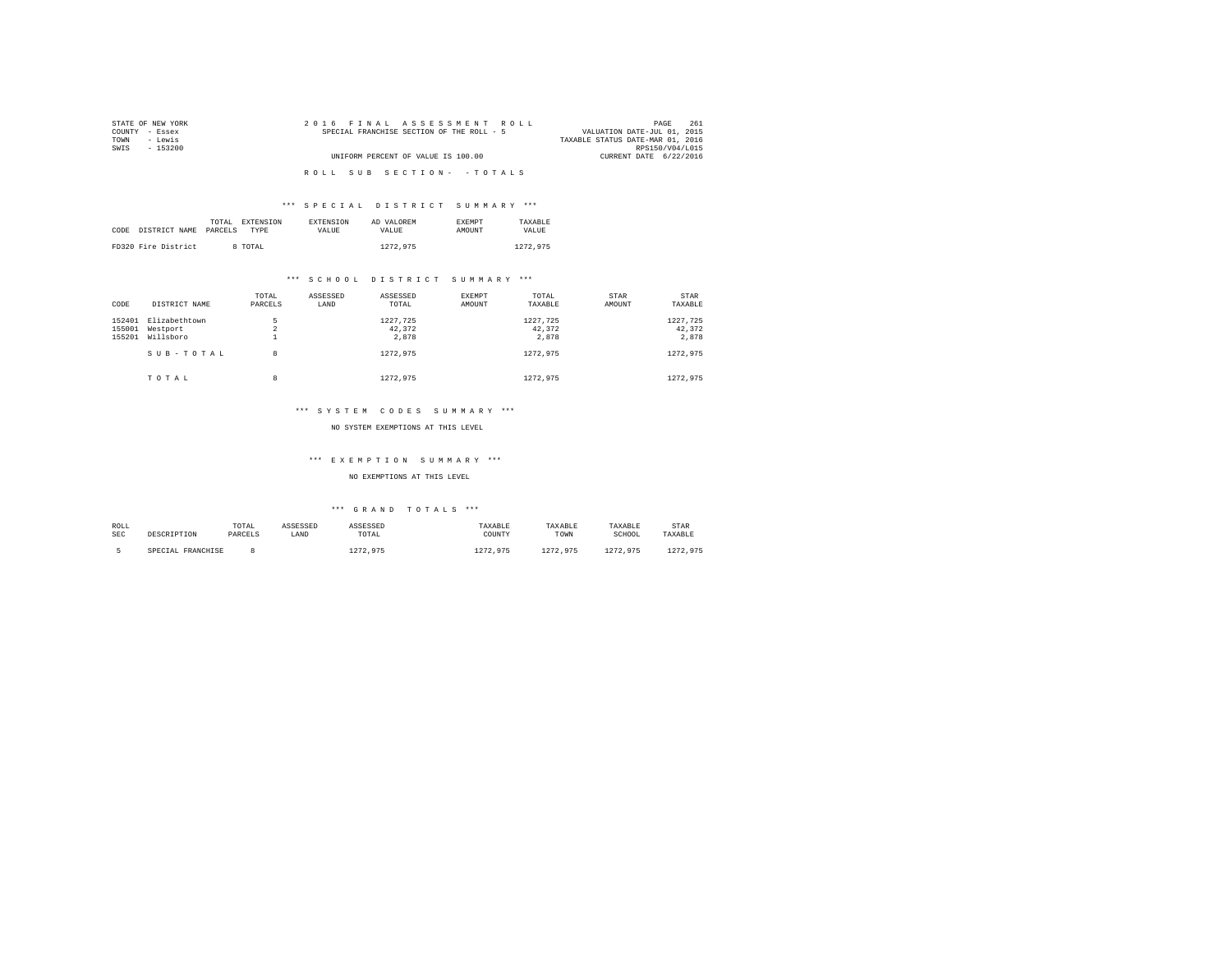| STATE OF NEW YORK | 2016 FINAL ASSESSMENT ROLL                | 261<br>PAGE                      |
|-------------------|-------------------------------------------|----------------------------------|
| COUNTY - Essex    | SPECIAL FRANCHISE SECTION OF THE ROLL - 5 | VALUATION DATE-JUL 01, 2015      |
| TOWN<br>- Lewis   |                                           | TAXABLE STATUS DATE-MAR 01, 2016 |
| SWTS<br>- 153200  |                                           | RPS150/V04/L015                  |
|                   | UNIFORM PERCENT OF VALUE IS 100.00        | CURRENT DATE 6/22/2016           |
|                   |                                           |                                  |
|                   | ROLL SUB SECTION- - TOTALS                |                                  |
|                   |                                           |                                  |

|      |                     | TOTAL<br><b>EXTENSION</b> | <b>EXTENSION</b> | AD VALOREM | <b>EXEMPT</b> | TAXARLE  |
|------|---------------------|---------------------------|------------------|------------|---------------|----------|
| CODE | DISTRICT NAME       | PARCELS<br>TYPE           | VALUE            | VALUE.     | AMOUNT        | VALUE.   |
|      |                     |                           |                  |            |               |          |
|      | FD320 Fire District | 8 TOTAL                   |                  | 1272.975   |               | 1272.975 |

#### \*\*\* S C H O O L D I S T R I C T S U M M A R Y \*\*\*

| CODE                       | DISTRICT NAME                          | TOTAL<br>PARCELS | ASSESSED<br>LAND | ASSESSED<br>TOTAL           | EXEMPT<br>AMOUNT | TOTAL<br>TAXABLE            | STAR<br>AMOUNT | STAR<br>TAXABLE             |
|----------------------------|----------------------------------------|------------------|------------------|-----------------------------|------------------|-----------------------------|----------------|-----------------------------|
| 152401<br>155001<br>155201 | Elizabethtown<br>Westport<br>Willsboro | 5<br>$\sim$<br>∡ |                  | 1227.725<br>42.372<br>2,878 |                  | 1227.725<br>42.372<br>2.878 |                | 1227,725<br>42,372<br>2.878 |
|                            | SUB-TOTAL                              | 8                |                  | 1272.975                    |                  | 1272.975                    |                | 1272.975                    |
|                            | TOTAL                                  | 8                |                  | 1272.975                    |                  | 1272.975                    |                | 1272.975                    |

#### \*\*\* S Y S T E M C O D E S S U M M A R Y \*\*\*

#### NO SYSTEM EXEMPTIONS AT THIS LEVEL

#### \*\*\* E X E M P T I O N S U M M A R Y \*\*\*

#### NO EXEMPTIONS AT THIS LEVEL

| ROLL | DESCRIPTION       | TOTAL   | ASSESSED | ASSESSED | TAXABLE  | TAXABLE  | TAXABLE  | <b>STAR</b> |
|------|-------------------|---------|----------|----------|----------|----------|----------|-------------|
| SEC  |                   | PARCELS | LAND     | TOTAL    | COUNTY   | TOWN     | SCHOOL   | TAXABLE     |
|      | SPECIAL FRANCHISE |         |          | 1272.975 | 1272.975 | 1272.975 | 1272.975 | 1272.975    |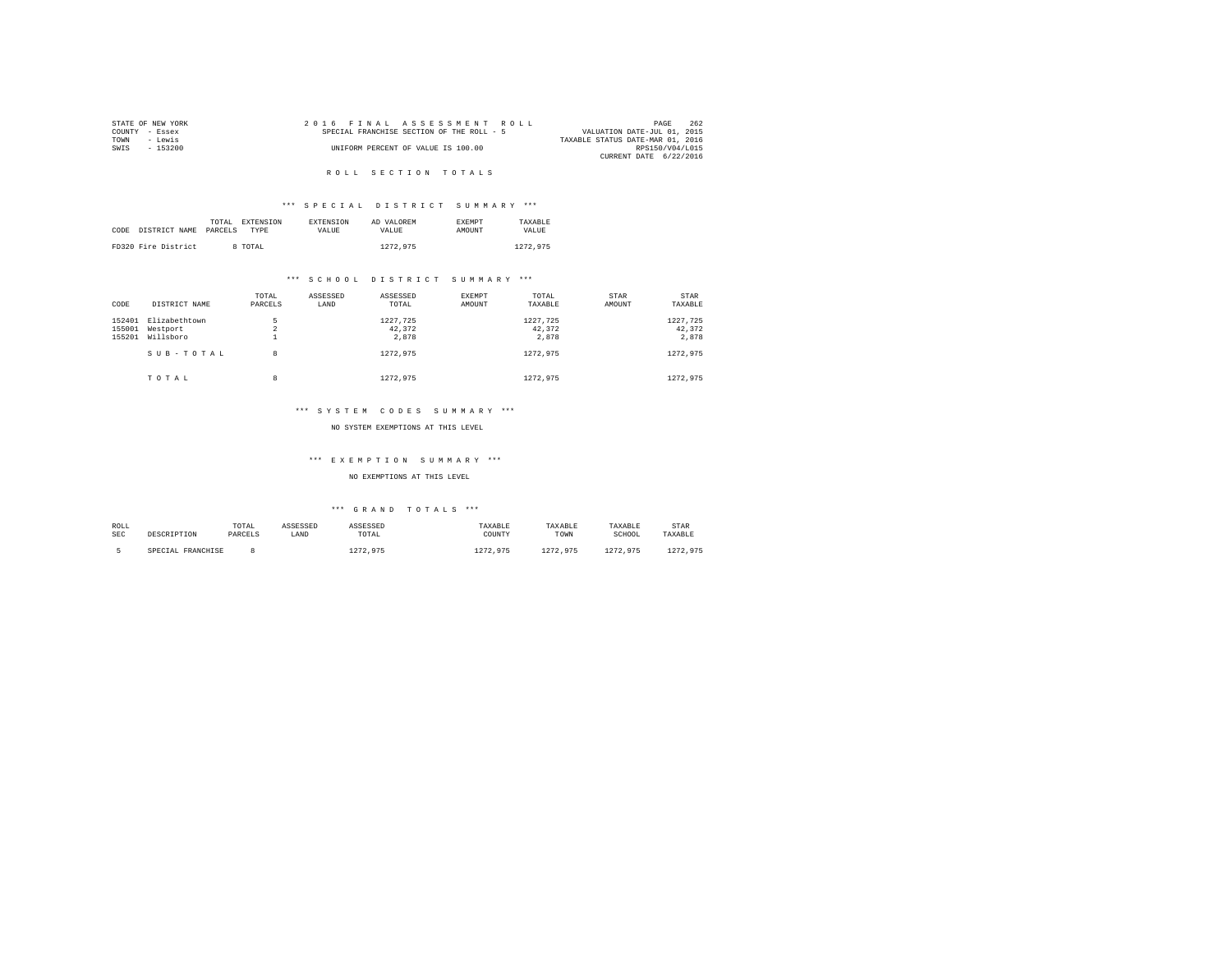|                | STATE OF NEW YORK |  |  | 2016 FINAL ASSESSMENT ROLL                |  |  |                                  | PAGE            | 262 |
|----------------|-------------------|--|--|-------------------------------------------|--|--|----------------------------------|-----------------|-----|
| COUNTY - Essex |                   |  |  | SPECIAL FRANCHISE SECTION OF THE ROLL - 5 |  |  | VALUATION DATE-JUL 01, 2015      |                 |     |
| TOWN           | - Lewis           |  |  |                                           |  |  | TAXABLE STATUS DATE-MAR 01, 2016 |                 |     |
| SWTS           | - 153200          |  |  | UNIFORM PERCENT OF VALUE IS 100.00        |  |  |                                  | RPS150/V04/L015 |     |
|                |                   |  |  |                                           |  |  | CURRENT DATE 6/22/2016           |                 |     |

#### R O L L S E C T I O N T O T A L S

#### \*\*\* S P E C I A L D I S T R I C T S U M M A R Y \*\*\*

|      |                     | TOTAL<br>EXTENSION | <b>EXTENSION</b> | AD VALOREM | <b>EXEMPT</b> | TAXARLE  |
|------|---------------------|--------------------|------------------|------------|---------------|----------|
| CODE | DISTRICT NAME       | PARCELS<br>TYPE    | VALUE            | VALUE.     | AMOUNT        | VALUE    |
|      |                     |                    |                  |            |               |          |
|      | FD320 Fire District | 8 TOTAL            |                  | 1272.975   |               | 1272.975 |

#### \*\*\* S C H O O L D I S T R I C T S U M M A R Y \*\*\*

| CODE                       | DISTRICT NAME                          | TOTAL<br>PARCELS                | ASSESSED<br>LAND | ASSESSED<br>TOTAL           | EXEMPT<br>AMOUNT | TOTAL<br>TAXABLE            | <b>STAR</b><br>AMOUNT | STAR<br>TAXABLE             |
|----------------------------|----------------------------------------|---------------------------------|------------------|-----------------------------|------------------|-----------------------------|-----------------------|-----------------------------|
| 152401<br>155001<br>155201 | Elizabethtown<br>Westport<br>Willsboro | 5<br>$\overline{a}$<br><b>.</b> |                  | 1227.725<br>42.372<br>2,878 |                  | 1227.725<br>42.372<br>2.878 |                       | 1227.725<br>42.372<br>2.878 |
|                            | SUB-TOTAL                              | 8                               |                  | 1272.975                    |                  | 1272.975                    |                       | 1272.975                    |
|                            | TOTAL                                  | 8                               |                  | 1272.975                    |                  | 1272.975                    |                       | 1272.975                    |

#### \*\*\* S Y S T E M C O D E S S U M M A R Y \*\*\*

#### NO SYSTEM EXEMPTIONS AT THIS LEVEL

#### \*\*\* E X E M P T I O N S U M M A R Y \*\*\*

#### NO EXEMPTIONS AT THIS LEVEL

| ROLL<br><b>SEC</b> | DESCRIPTION       | TOTAL<br>PARCELS | ASSESSED<br>LAND | ASSESSED<br>TOTAL | TAXABLE<br>COUNTY | TAXABLE<br>TOWN | TAXABLE<br>SCHOOL | STAR<br>TAXABLE |
|--------------------|-------------------|------------------|------------------|-------------------|-------------------|-----------------|-------------------|-----------------|
|                    | SPECIAL FRANCHISE |                  |                  | 1272.975          | 1272.975          | 1272.975        | 1272.975          | 1272.975        |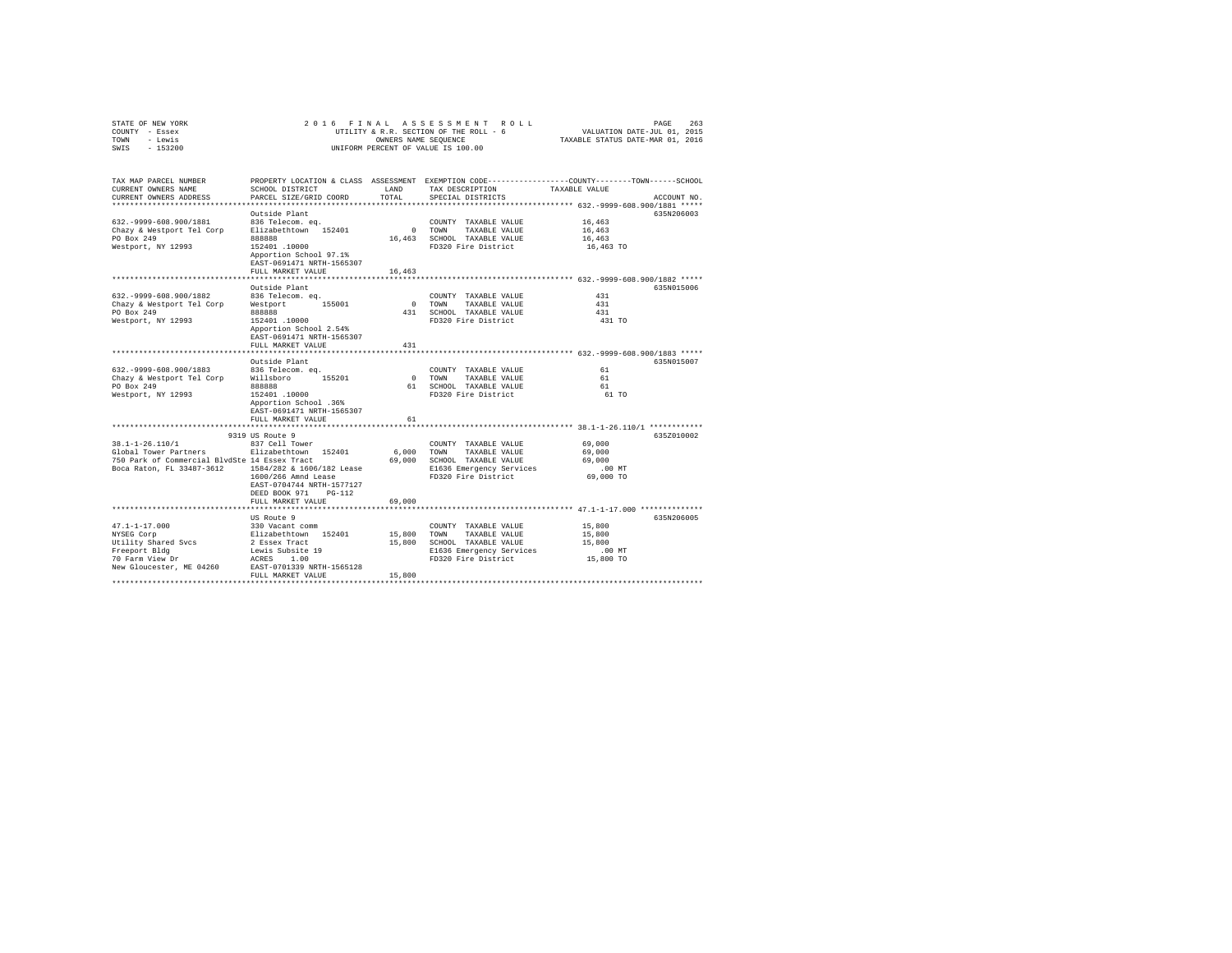| STATE OF NEW YORK | 2016 FINAL ASSESSMENT ROLL             | 263<br>PAGE                      |
|-------------------|----------------------------------------|----------------------------------|
| COUNTY - Essex    | UTILITY & R.R. SECTION OF THE ROLL - 6 | VALUATION DATE-JUL 01, 2015      |
| TOWN<br>- Lewis   | OWNERS NAME SEOUENCE                   | TAXABLE STATUS DATE-MAR 01, 2016 |
| $-153200$<br>SWIS | UNIFORM PERCENT OF VALUE IS 100.00     |                                  |

| TAX MAP PARCEL NUMBER<br>CURRENT OWNERS NAME<br>CURRENT OWNERS ADDRESS                                                   | SCHOOL DISTRICT<br>PARCEL SIZE/GRID COORD<br>**********************                                                                                                                          | LAND<br>TOTAL              | TAX DESCRIPTION<br>SPECIAL DISTRICTS                                                                                     | PROPERTY LOCATION & CLASS ASSESSMENT EXEMPTION CODE---------------COUNTY-------TOWN-----SCHOOL<br>TAXABLE VALUE<br>ACCOUNT NO.                                        |
|--------------------------------------------------------------------------------------------------------------------------|----------------------------------------------------------------------------------------------------------------------------------------------------------------------------------------------|----------------------------|--------------------------------------------------------------------------------------------------------------------------|-----------------------------------------------------------------------------------------------------------------------------------------------------------------------|
| 632. - 9999 - 608. 900/1881<br>Chazy & Westport Tel Corp<br>PO Box 249<br>Westport, NY 12993                             | Outside Plant<br>836 Telecom. eq.<br>Elizabethtown 152401<br>888888<br>152401.10000<br>Apportion School 97.1%<br>EAST-0691471 NRTH-1565307<br>FULL MARKET VALUE<br>********************      | $\circ$<br>16,463          | COUNTY TAXABLE VALUE<br>TOWN<br>TAXABLE VALUE<br>16,463 SCHOOL TAXABLE VALUE<br>FD320 Fire District                      | 635N206003<br>16,463<br>16,463<br>16,463<br>16,463 TO                                                                                                                 |
| 632. - 9999 - 608. 900/1882<br>Chazy & Westport Tel Corp<br>PO Box 249<br>Westport, NY 12993                             | Outside Plant<br>836 Telecom. eq.<br>155001<br>Westport<br>888888<br>152401.10000<br>Apportion School 2.54%<br>EAST-0691471 NRTH-1565307<br>FULL MARKET VALUE                                | $\sim$<br>431              | COUNTY TAXABLE VALUE<br>TOWN<br>TAXABLE VALUE<br>431 SCHOOL TAXABLE VALUE<br>FD320 Fire District                         | 635N015006<br>431<br>431<br>431<br>431 TO                                                                                                                             |
| 632. - 9999-608.900/1883<br>Chazy & Westport Tel Corp<br>PO Box 249<br>Westport, NY 12993                                | Outside Plant<br>836 Telecom. ea.<br>Willsboro<br>155201<br>888888<br>152401.10000<br>Apportion School .36%<br>EAST-0691471 NRTH-1565307<br>FULL MARKET VALUE                                | 61                         | COUNTY TAXABLE VALUE<br>0 TOWN<br>TAXABLE VALUE<br>61 SCHOOL TAXABLE VALUE<br>FD320 Fire District                        | 635N015007<br>61<br>61<br>61<br>61 TO                                                                                                                                 |
| 38.1-1-26.110/1<br>Global Tower Partners<br>750 Park of Commercial BlvdSte 14 Essex Tract<br>Boca Raton, FL 33487-3612   | 9319 US Route 9<br>837 Cell Tower<br>Elizabethtown 152401<br>1584/282 & 1606/182 Lease<br>1600/266 Amnd Lease<br>EAST-0704744 NRTH-1577127<br>DEED BOOK 971<br>$PG-112$<br>FULL MARKET VALUE | 6.000<br>69,000<br>69,000  | COUNTY TAXABLE VALUE<br>TOWN<br>TAXABLE VALUE<br>SCHOOL TAXABLE VALUE<br>E1636 Emergency Services<br>FD320 Fire District | **************** 38.1-1-26.110/1 ************<br>635Z010002<br>69,000<br>69,000<br>69,000<br>$.00$ MT<br>69,000 TO<br>******************* 47.1-1-17.000 ************* |
| $47.1 - 1 - 17.000$<br>NYSEG Corp<br>Utility Shared Svcs<br>Freeport Bldg<br>70 Farm View Dr<br>New Gloucester, ME 04260 | US Route 9<br>330 Vacant comm<br>Elizabethtown 152401<br>2 Essex Tract<br>Lewis Subsite 19<br>ACRES<br>1.00<br>EAST-0701339 NRTH-1565128<br>FULL MARKET VALUE                                | 15,800<br>15,800<br>15,800 | COUNTY TAXABLE VALUE<br>TOWN<br>TAXABLE VALUE<br>SCHOOL TAXABLE VALUE<br>E1636 Emergency Services<br>FD320 Fire District | 635N206005<br>15,800<br>15,800<br>15,800<br>$.00$ MT<br>15,800 TO                                                                                                     |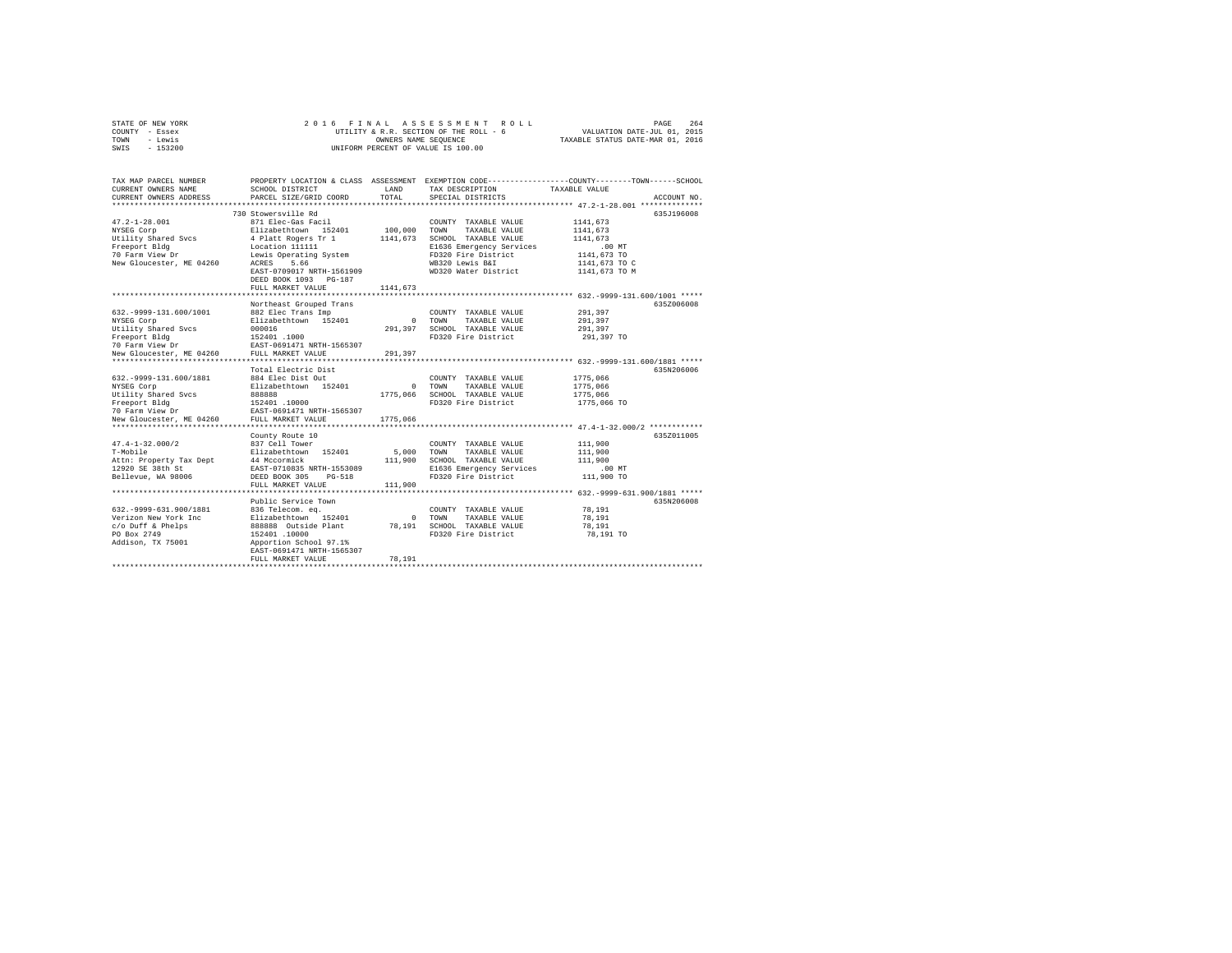|      | STATE OF NEW YORK | 2016 FINAL ASSESSMENT ROLL             | 264<br>PAGE                      |  |
|------|-------------------|----------------------------------------|----------------------------------|--|
|      | COUNTY - Essex    | UTILITY & R.R. SECTION OF THE ROLL - 6 | VALUATION DATE-JUL 01, 2015      |  |
| TOWN | - Lewis           | OWNERS NAME SEOUENCE                   | TAXABLE STATUS DATE-MAR 01, 2016 |  |
| SWIS | $-153200$         | UNIFORM PERCENT OF VALUE IS 100.00     |                                  |  |

| TAX MAP PARCEL NUMBER<br>CURRENT OWNERS NAME<br>CURRENT OWNERS ADDRESS | SCHOOL DISTRICT<br>PARCEL SIZE/GRID COORD                                                  | LAND<br>TOTAL. | TAX DESCRIPTION<br>SPECIAL DISTRICTS            | PROPERTY LOCATION & CLASS ASSESSMENT EXEMPTION CODE---------------COUNTY-------TOWN-----SCHOOL<br>TAXABLE VALUE<br>ACCOUNT NO. |
|------------------------------------------------------------------------|--------------------------------------------------------------------------------------------|----------------|-------------------------------------------------|--------------------------------------------------------------------------------------------------------------------------------|
|                                                                        |                                                                                            |                |                                                 |                                                                                                                                |
|                                                                        | 730 Stowersville Rd                                                                        |                |                                                 | 635J196008                                                                                                                     |
| $47.2 - 1 - 28.001$                                                    | 871 Elec-Gas Facil                                                                         |                | COUNTY TAXABLE VALUE                            | 1141,673                                                                                                                       |
| NYSEG Corp                                                             | Elizabethtown 152401 100,000                                                               |                | TOWN<br>TAXABLE VALUE                           | 1141,673                                                                                                                       |
| Utility Shared Svcs<br>Freeport Bldg                                   | 4 Platt Rogers Tr 1<br>Location 111111                                                     |                | 1141,673 SCHOOL TAXABLE VALUE                   | 1141,673<br>$.00$ MT                                                                                                           |
| 70 Farm View Dr                                                        | Lewis Operating System                                                                     |                | E1636 Emergency Services<br>FD320 Fire District | 1141,673 TO                                                                                                                    |
| New Gloucester, ME 04260                                               | ACRES<br>5.66                                                                              |                | WB320 Lewis B&I                                 | 1141,673 TO C                                                                                                                  |
|                                                                        | EAST-0709017 NRTH-1561909                                                                  |                | WD320 Water District                            | 1141,673 TO M                                                                                                                  |
|                                                                        | DEED BOOK 1093 PG-187                                                                      |                |                                                 |                                                                                                                                |
|                                                                        | FULL MARKET VALUE                                                                          | 1141,673       |                                                 |                                                                                                                                |
|                                                                        |                                                                                            |                |                                                 |                                                                                                                                |
|                                                                        | Northeast Grouped Trans                                                                    |                |                                                 | 635Z006008                                                                                                                     |
| 632. - 9999-131.600/1001                                               | 882 Elec Trans Imp                                                                         |                | COUNTY TAXABLE VALUE                            | 291,397                                                                                                                        |
| NYSEG Corp                                                             | Elizabethtown 152401                                                                       |                | 0 TOWN<br>TAXABLE VALUE                         | 291,397                                                                                                                        |
| Utility Shared Svcs                                                    | 000016                                                                                     | 291,397        | SCHOOL TAXABLE VALUE                            | 291,397                                                                                                                        |
| Freeport Bldg                                                          | 152401 .1000                                                                               |                | FD320 Fire District                             | 291,397 TO                                                                                                                     |
| 70 Farm View Dr<br>New Gloucester, ME 04260                            | EAST-0691471 NRTH-1565307<br>FULL MARKET VALUE                                             | 291,397        |                                                 |                                                                                                                                |
| **********************                                                 | *************************                                                                  |                |                                                 | ******************* 632.-9999-131.600/1881 *****                                                                               |
|                                                                        | Total Electric Dist                                                                        |                |                                                 | 635N206006                                                                                                                     |
| 632. - 9999-131.600/1881                                               | 884 Elec Dist Out                                                                          |                | COUNTY TAXABLE VALUE                            | 1775,066                                                                                                                       |
| NYSEG Corp                                                             | Elizabethtown 152401                                                                       |                | 0 TOWN<br>TAXABLE VALUE                         | 1775,066                                                                                                                       |
| Utility Shared Svcs                                                    | 888888                                                                                     | 1775,066       | SCHOOL TAXABLE VALUE                            | 1775,066                                                                                                                       |
| Freeport Bldg                                                          | 152401.10000                                                                               |                | FD320 Fire District                             | 1775,066 TO                                                                                                                    |
| 70 Farm View Dr                                                        | EAST-0691471 NRTH-1565307                                                                  |                |                                                 |                                                                                                                                |
| New Gloucester, ME 04260                                               | FULL MARKET VALUE<br>**************************                                            | 1775,066       |                                                 |                                                                                                                                |
|                                                                        | County Route 10                                                                            |                |                                                 | *************** 47.4-1-32.000/2 ************<br>635Z011005                                                                     |
| $47.4 - 1 - 32.000/2$                                                  | 837 Cell Tower                                                                             |                | COUNTY TAXABLE VALUE                            | 111,900                                                                                                                        |
| T-Mobile                                                               |                                                                                            | 5,000          | TOWN<br>TAXABLE VALUE                           | 111,900                                                                                                                        |
| Attn: Property Tax Dept                                                |                                                                                            |                | 111,900 SCHOOL TAXABLE VALUE                    | 111,900                                                                                                                        |
| 12920 SE 38th St                                                       | Elizabethtown 152401<br>44 Mccormick<br>EAST-0710835 NRTH-1553089                          |                | E1636 Emergency Services                        | $.00$ MT                                                                                                                       |
| Bellevue, WA 98006                                                     | DEED BOOK 305<br>PG-518                                                                    |                | FD320 Fire District                             | 111,900 TO                                                                                                                     |
|                                                                        | FULL MARKET VALUE                                                                          | 111,900        |                                                 |                                                                                                                                |
|                                                                        |                                                                                            |                |                                                 |                                                                                                                                |
|                                                                        | Public Service Town                                                                        |                |                                                 | 635N206008                                                                                                                     |
| 632. - 9999-631.900/1881                                               |                                                                                            |                | COUNTY TAXABLE VALUE                            | 78,191                                                                                                                         |
| Verizon New York Inc                                                   |                                                                                            |                | 0 TOWN<br>TAXABLE VALUE                         | 78,191                                                                                                                         |
| c/o Duff & Phelps<br>PO Box 2749                                       | 836 Telecom. eq.<br>Elizabethtown 152401 0<br>888888 Outside Plant 78,191<br>152401 .10000 |                | SCHOOL TAXABLE VALUE<br>FD320 Fire District     | 78,191<br>78,191 TO                                                                                                            |
| Addison, TX 75001                                                      | Apportion School 97.1%                                                                     |                |                                                 |                                                                                                                                |
|                                                                        | EAST-0691471 NRTH-1565307                                                                  |                |                                                 |                                                                                                                                |
|                                                                        | FULL MARKET VALUE                                                                          | 78.191         |                                                 |                                                                                                                                |
|                                                                        |                                                                                            |                |                                                 |                                                                                                                                |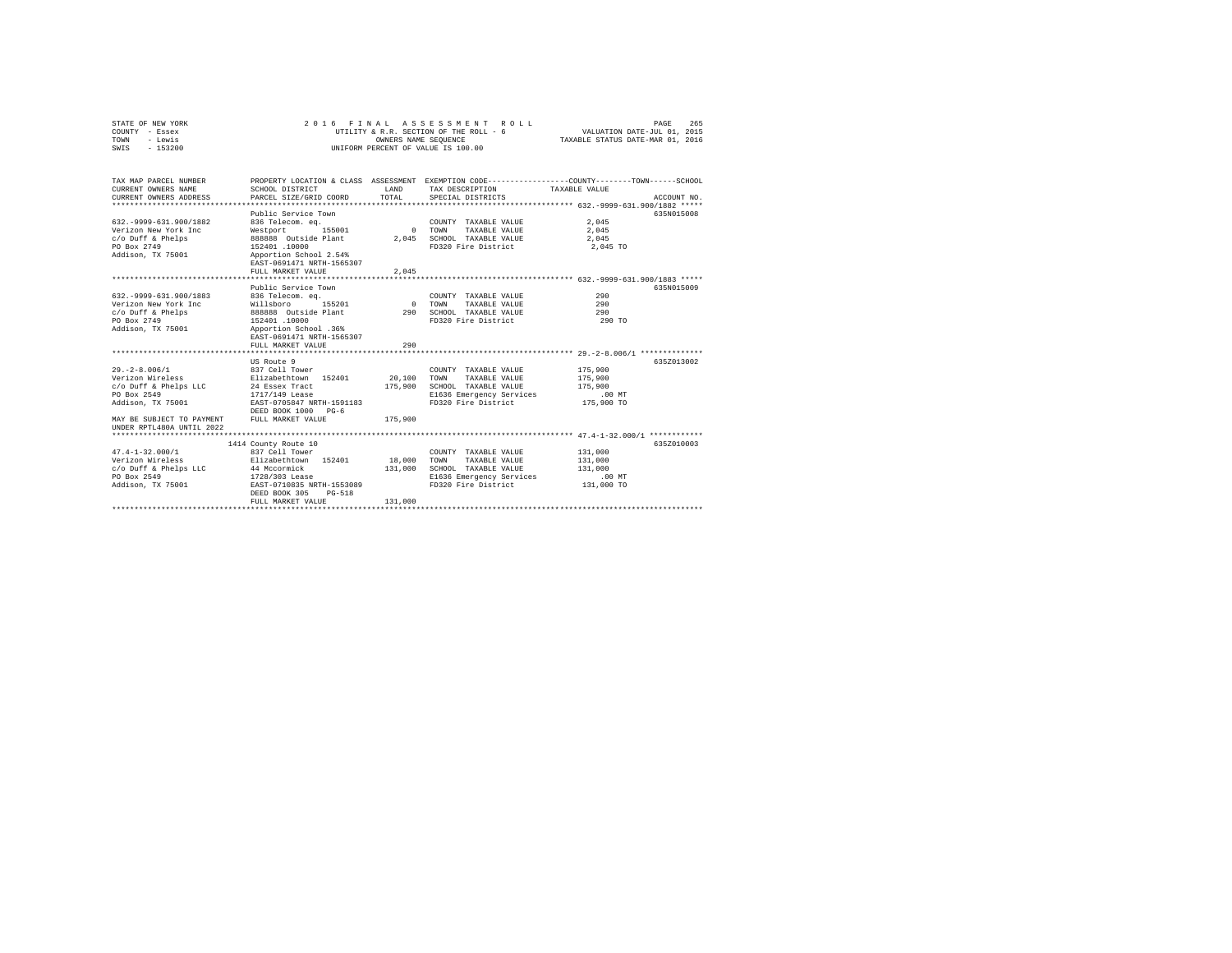| STATE OF NEW YORK | 2016 FINAL ASSESSMENT ROLL             | 265<br>PAGE                      |
|-------------------|----------------------------------------|----------------------------------|
| COUNTY - Essex    | UTILITY & R.R. SECTION OF THE ROLL - 6 | VALUATION DATE-JUL 01, 2015      |
| TOWN<br>- Lewis   | OWNERS NAME SEOUENCE                   | TAXABLE STATUS DATE-MAR 01, 2016 |
| $-153200$<br>SWIS | UNIFORM PERCENT OF VALUE IS 100.00     |                                  |

| TAX MAP PARCEL NUMBER<br>CURRENT OWNERS NAME<br>CURRENT OWNERS ADDRESS                                                                                        | SCHOOL DISTRICT<br>PARCEL SIZE/GRID COORD                                                                                                                                                            | T.AND<br>TOTAL                      | TAX DESCRIPTION<br>SPECIAL DISTRICTS                                                                                     | PROPERTY LOCATION & CLASS ASSESSMENT EXEMPTION CODE----------------COUNTY-------TOWN------SCHOOL<br>TAXABLE VALUE<br>ACCOUNT NO. |
|---------------------------------------------------------------------------------------------------------------------------------------------------------------|------------------------------------------------------------------------------------------------------------------------------------------------------------------------------------------------------|-------------------------------------|--------------------------------------------------------------------------------------------------------------------------|----------------------------------------------------------------------------------------------------------------------------------|
| 632. - 9999 - 631. 900/1882<br>Verizon New York Inc<br>c/o Duff & Phelps<br>PO Box 2749<br>Addison, TX 75001                                                  | Public Service Town<br>836 Telecom. eq.<br>155001<br>Westport<br>888888 Outside Plant<br>152401.10000<br>Apportion School 2.54%<br>EAST-0691471 NRTH-1565307                                         | $\sim$ 0<br>2.045                   | COUNTY TAXABLE VALUE<br>TAXABLE VALUE<br>TOWN<br>SCHOOL TAXABLE VALUE<br>FD320 Fire District                             | 635N015008<br>2.045<br>2.045<br>2,045<br>2,045 TO                                                                                |
|                                                                                                                                                               | FULL MARKET VALUE                                                                                                                                                                                    | 2.045                               |                                                                                                                          |                                                                                                                                  |
| 632. - 9999 - 631. 900/1883<br>Verizon New York Inc<br>c/o Duff & Phelps<br>PO Box 2749<br>Addison, TX 75001 Apportion School .36%                            | ********************************<br>Public Service Town<br>836 Telecom, ea.<br>155201<br>Willsboro 155201<br>888888 Outside Plant<br>152401 .10000<br>EAST-0691471 NRTH-1565307<br>FULL MARKET VALUE | 0 TOWN<br>290<br>290<br>*********** | COUNTY TAXABLE VALUE<br>TAXABLE VALUE<br>SCHOOL TAXABLE VALUE<br>FD320 Fire District                                     | ****************************** 632.-9999-631.900/1883 *****<br>635N015009<br>290<br>290<br>290<br>290 TO                         |
| $29. - 2 - 8.006 / 1$<br>Verizon Wireless<br>c/o Duff & Phelps LLC<br>PO Box 2549<br>Addison, TX 75001 EAST-0705847 NRTH-1591183<br>MAY BE SUBJECT TO PAYMENT | US Route 9<br>837 Cell Tower<br>Elizabethtown 152401<br>24 Essex Tract<br>1717/149 Lease<br>DEED BOOK 1000<br>$PG-6$<br>FULL MARKET VALUE                                                            | 20,100<br>175,900<br>175,900        | COUNTY TAXABLE VALUE<br>TOWN<br>TAXABLE VALUE<br>SCHOOL TAXABLE VALUE<br>E1636 Emergency Services<br>FD320 Fire District | 635Z013002<br>175,900<br>175,900<br>175,900<br>$.00$ MT<br>175,900 TO                                                            |
| UNDER RPTL480A UNTIL 2022                                                                                                                                     |                                                                                                                                                                                                      |                                     |                                                                                                                          |                                                                                                                                  |
|                                                                                                                                                               | 1414 County Route 10                                                                                                                                                                                 |                                     |                                                                                                                          | 6352010003                                                                                                                       |
| $47.4 - 1 - 32.000/1$<br>Verizon Wireless<br>c/o Duff & Phelps LLC<br>PO Box 2549<br>Addison, TX 75001                                                        | 837 Cell Tower<br>Elizabethtown 152401 18,000<br>44 Mccormick<br>1728/303 Lease<br>EAST-0710835 NRTH-1553089<br>DEED BOOK 305<br>$PG-518$<br>FULL MARKET VALUE                                       | 131,000<br>131,000                  | COUNTY TAXABLE VALUE<br>TOWN<br>TAXABLE VALUE<br>SCHOOL TAXABLE VALUE<br>E1636 Emergency Services<br>FD320 Fire District | 131,000<br>131,000<br>131,000<br>$.00$ MT<br>131,000 TO                                                                          |
|                                                                                                                                                               |                                                                                                                                                                                                      |                                     |                                                                                                                          |                                                                                                                                  |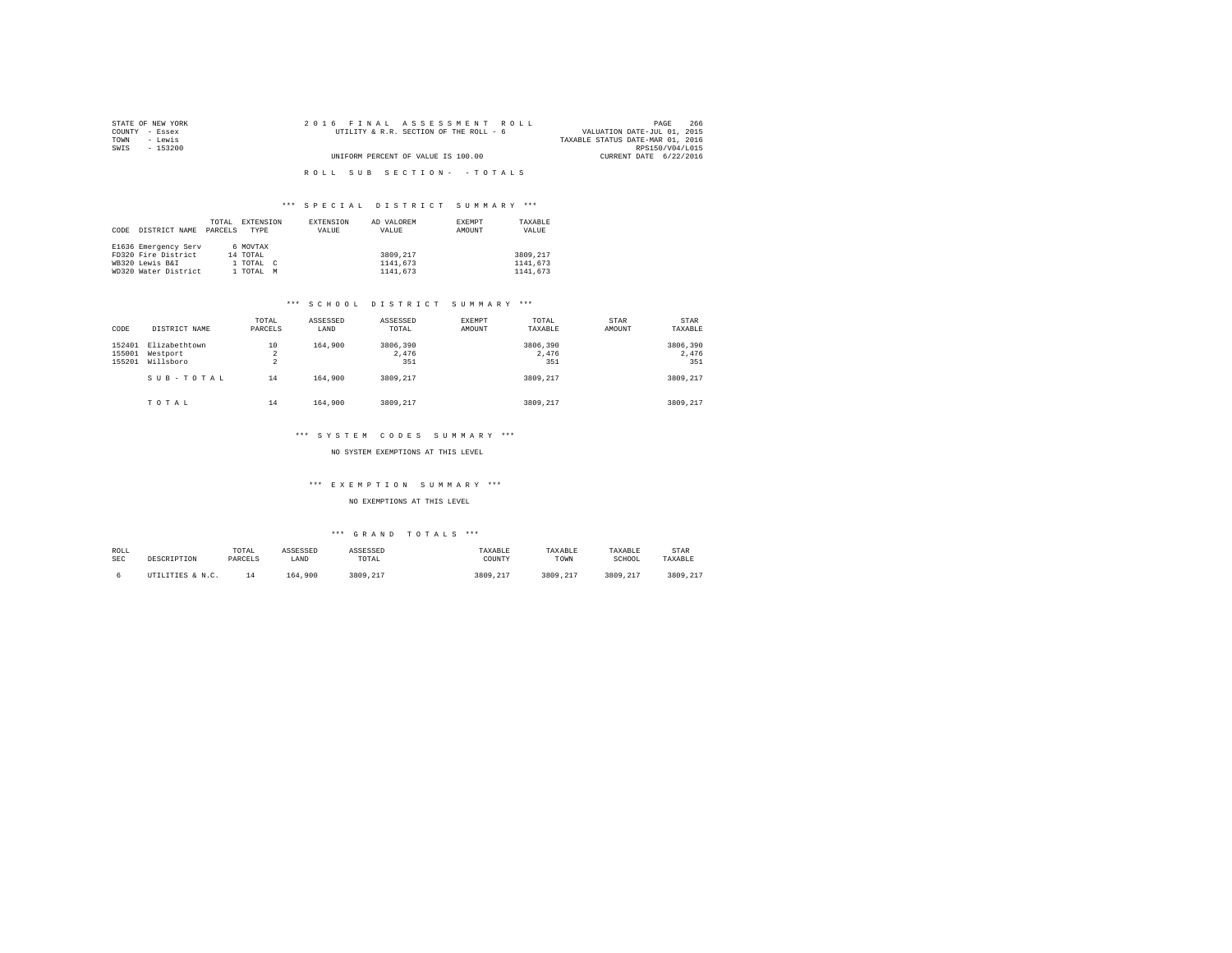| STATE OF NEW YORK | 2016 FINAL ASSESSMENT ROLL             | 266<br>PAGE                      |
|-------------------|----------------------------------------|----------------------------------|
| COUNTY - Essex    | UTILITY & R.R. SECTION OF THE ROLL - 6 | VALUATION DATE-JUL 01, 2015      |
| TOWN<br>- Lewis   |                                        | TAXABLE STATUS DATE-MAR 01, 2016 |
| SWIS<br>- 153200  |                                        | RPS150/V04/L015                  |
|                   | UNIFORM PERCENT OF VALUE IS 100.00     | CURRENT DATE 6/22/2016           |
|                   |                                        |                                  |
|                   | ROLL SUB SECTION- - TOTALS             |                                  |

|      |                      | TOTAL   | EXTENSION   | EXTENSION | AD VALOREM | EXEMPT | TAXARLE  |
|------|----------------------|---------|-------------|-----------|------------|--------|----------|
| CODE | DISTRICT NAME        | PARCELS | <b>TYPE</b> | VALUE     | VALUE      | AMOUNT | VALUE    |
|      |                      |         |             |           |            |        |          |
|      | E1636 Emergency Serv |         | 6 MOVTAX    |           |            |        |          |
|      | FD320 Fire District  |         | 14 TOTAL    |           | 3809.217   |        | 3809.217 |
|      | WB320 Lewis B&I      |         | 1 TOTAL C   |           | 1141,673   |        | 1141.673 |
|      | WD320 Water District |         | 1 TOTAL     | M         | 1141,673   |        | 1141.673 |

#### \*\*\* S C H O O L D I S T R I C T S U M M A R Y \*\*\*

| CODE                       | DISTRICT NAME                          | TOTAL<br>PARCELS          | ASSESSED<br>LAND | ASSESSED<br>TOTAL        | EXEMPT<br>AMOUNT | TOTAL<br>TAXABLE         | <b>STAR</b><br>AMOUNT | <b>STAR</b><br>TAXABLE   |
|----------------------------|----------------------------------------|---------------------------|------------------|--------------------------|------------------|--------------------------|-----------------------|--------------------------|
| 152401<br>155001<br>155201 | Elizabethtown<br>Westport<br>Willsboro | 10<br>2<br>$\overline{a}$ | 164,900          | 3806,390<br>2.476<br>351 |                  | 3806,390<br>2.476<br>351 |                       | 3806,390<br>2.476<br>351 |
|                            | SUB-TOTAL                              | 14                        | 164,900          | 3809.217                 |                  | 3809.217                 |                       | 3809.217                 |
|                            | TOTAL                                  | 14                        | 164,900          | 3809.217                 |                  | 3809.217                 |                       | 3809.217                 |

#### \*\*\* S Y S T E M C O D E S S U M M A R Y \*\*\*

NO SYSTEM EXEMPTIONS AT THIS LEVEL

#### \*\*\* E X E M P T I O N S U M M A R Y \*\*\*

NO EXEMPTIONS AT THIS LEVEL

| ROLL       | DESCRIPTION      | TOTAL   | ASSESSED | ASSESSED | TAXABLE  | TAXABLE  | TAXABLE  | STAR     |
|------------|------------------|---------|----------|----------|----------|----------|----------|----------|
| <b>SEC</b> |                  | PARCELS | LAND     | TOTAL    | COUNTY   | TOWN     | SCHOOL   | TAXABLE  |
|            | UTILITIES & N.C. | 14      | 164.900  | 3809.217 | 3809.217 | 3809.217 | 3809.217 | 3809.217 |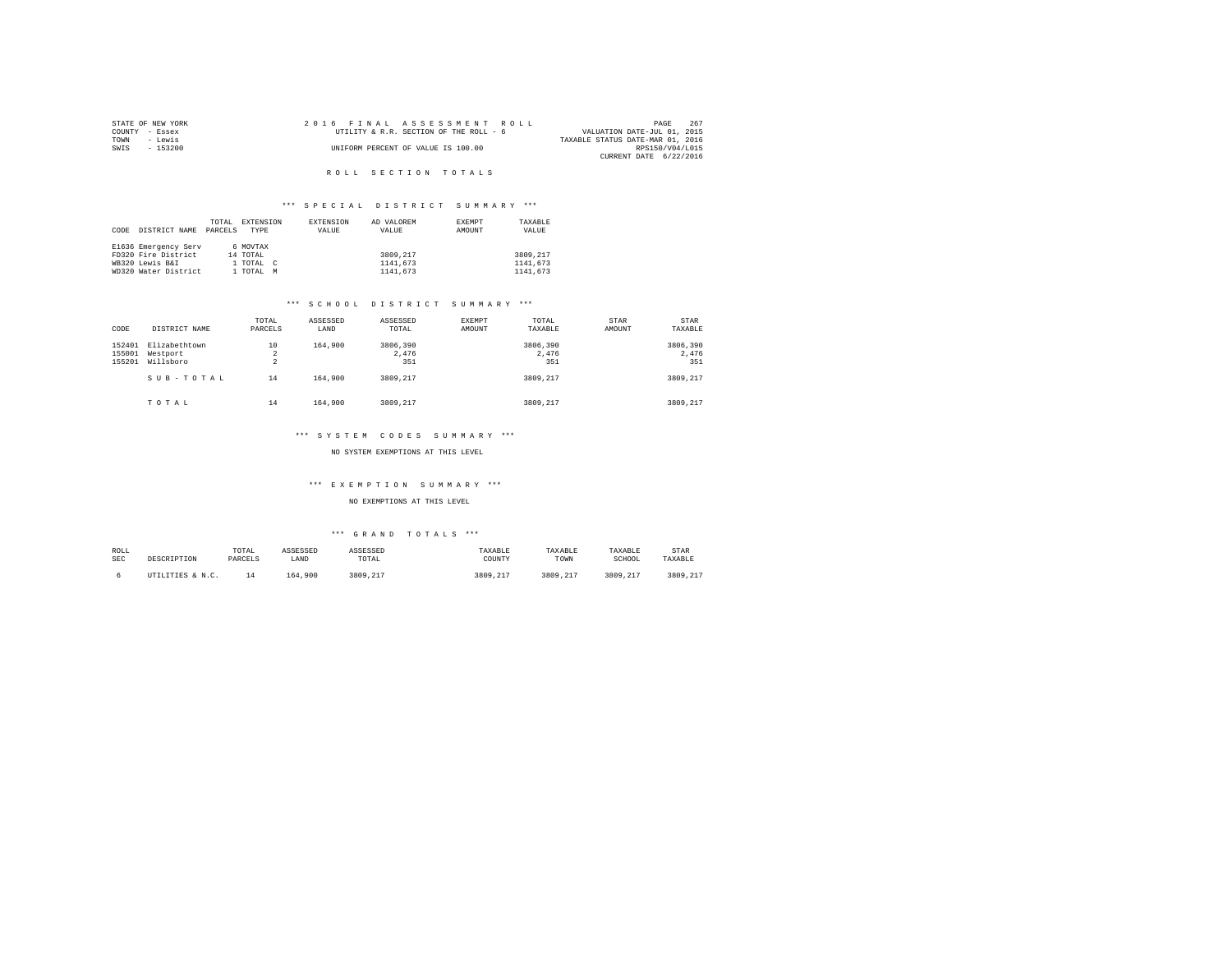|      | STATE OF NEW YORK | 2016 FINAL ASSESSMENT ROLL |                                        |                                  | PAGE                        | 267 |
|------|-------------------|----------------------------|----------------------------------------|----------------------------------|-----------------------------|-----|
|      | COUNTY - Essex    |                            | UTILITY & R.R. SECTION OF THE ROLL - 6 |                                  | VALUATION DATE-JUL 01, 2015 |     |
| TOWN | - Lewis           |                            |                                        | TAXABLE STATUS DATE-MAR 01, 2016 |                             |     |
| SWIS | $-153200$         |                            | UNIFORM PERCENT OF VALUE IS 100.00     |                                  | RPS150/V04/L015             |     |
|      |                   |                            |                                        |                                  | CURRENT DATE 6/22/2016      |     |

#### R O L L S E C T I O N T O T A L S

#### \*\*\* S P E C I A L D I S T R I C T S U M M A R Y \*\*\*

|      |                      | TOTAL   | EXTENSION | EXTENSION  | AD VALOREM | EXEMPT | TAXABLE  |
|------|----------------------|---------|-----------|------------|------------|--------|----------|
| CODE | DISTRICT NAME        | PARCELS | TYPE      | VALUE      | VALUE      | AMOUNT | VALUE    |
|      |                      |         |           |            |            |        |          |
|      | E1636 Emergency Serv |         | 6 MOVTAX  |            |            |        |          |
|      | FD320 Fire District  |         | 14 TOTAL  |            | 3809,217   |        | 3809.217 |
|      | WB320 Lewis B&I      |         | 1 TOTAL   | $\epsilon$ | 1141.673   |        | 1141.673 |
|      | WD320 Water District |         | 1 TOTAL   | M          | 1141,673   |        | 1141.673 |

#### \*\*\* S C H O O L D I S T R I C T S U M M A R Y \*\*\*

| CODE                       | DISTRICT NAME                          | TOTAL<br>PARCELS          | ASSESSED<br>LAND | ASSESSED<br>TOTAL        | EXEMPT<br>AMOUNT | TOTAL<br>TAXABLE         | <b>STAR</b><br>AMOUNT | STAR<br>TAXABLE          |
|----------------------------|----------------------------------------|---------------------------|------------------|--------------------------|------------------|--------------------------|-----------------------|--------------------------|
| 152401<br>155001<br>155201 | Elizabethtown<br>Westport<br>Willsboro | 10<br>2<br>$\overline{a}$ | 164,900          | 3806,390<br>2.476<br>351 |                  | 3806,390<br>2.476<br>351 |                       | 3806,390<br>2.476<br>351 |
|                            | SUB-TOTAL                              | 14                        | 164,900          | 3809.217                 |                  | 3809.217                 |                       | 3809.217                 |
|                            | TOTAL                                  | 14                        | 164,900          | 3809.217                 |                  | 3809.217                 |                       | 3809,217                 |

#### \*\*\* S Y S T E M C O D E S S U M M A R Y \*\*\*

NO SYSTEM EXEMPTIONS AT THIS LEVEL

#### \*\*\* E X E M P T I O N S U M M A R Y \*\*\*

NO EXEMPTIONS AT THIS LEVEL

| ROLL       | DESCRIPTION      | TOTAL   | ASSESSED | ASSESSED | TAXABLE  | TAXABLE  | TAXABLE  | STAR     |
|------------|------------------|---------|----------|----------|----------|----------|----------|----------|
| <b>SEC</b> |                  | PARCELS | LAND     | TOTAL    | COUNTY   | TOWN     | SCHOOL   | TAXABLE  |
|            | UTILITIES & N.C. | 1 4     | 164.900  | 3809.217 | 3809.217 | 3809.217 | 3809.217 | 3809.217 |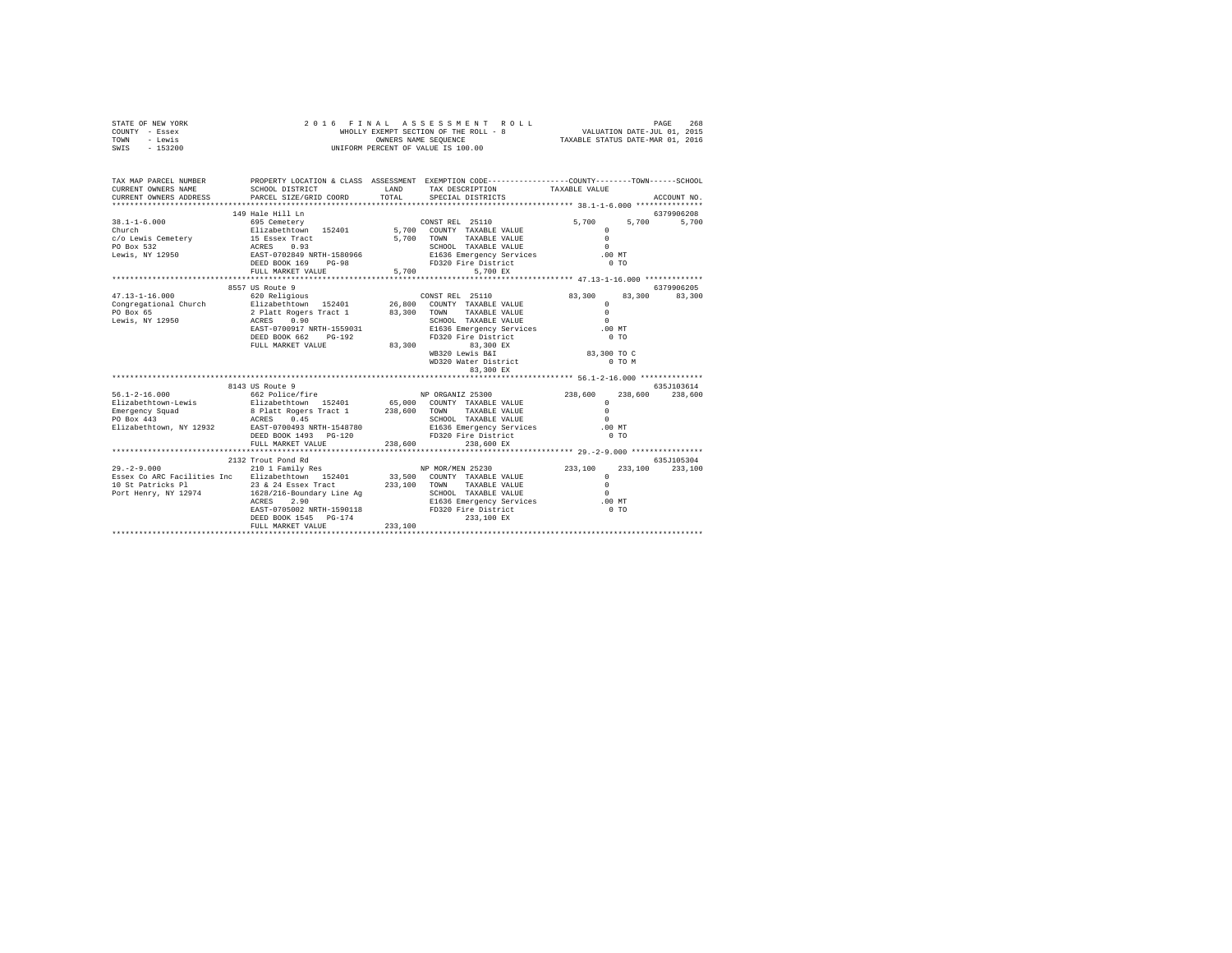| STATE OF NEW YORK | 2016 FINAL ASSESSMENT ROLL            | 268<br>PAGE                      |
|-------------------|---------------------------------------|----------------------------------|
| COUNTY - Essex    | WHOLLY EXEMPT SECTION OF THE ROLL - 8 | VALUATION DATE-JUL 01, 2015      |
| TOWN<br>- Lewis   | OWNERS NAME SEOUENCE                  | TAXABLE STATUS DATE-MAR 01, 2016 |
| $-153200$<br>SWIS | UNIFORM PERCENT OF VALUE IS 100.00    |                                  |

| TAX MAP PARCEL NUMBER<br>CURRENT OWNERS NAME<br>CURRENT OWNERS ADDRESS                                                                                                                                                                          | SCHOOL DISTRICT<br>PARCEL SIZE/GRID COORD                                                                                                                   | LAND<br>TOTAL | PROPERTY LOCATION & CLASS ASSESSMENT EXEMPTION CODE----------------COUNTY-------TOWN-----SCHOOL<br>TAX DESCRIPTION TAXABLE VALUE<br>SPECIAL DISTRICTS |                                                                          | ACCOUNT NO.            |
|-------------------------------------------------------------------------------------------------------------------------------------------------------------------------------------------------------------------------------------------------|-------------------------------------------------------------------------------------------------------------------------------------------------------------|---------------|-------------------------------------------------------------------------------------------------------------------------------------------------------|--------------------------------------------------------------------------|------------------------|
| $38.1 - 1 - 6.000$<br>Church<br>COMM TAXABLE VALUE<br>COLLEWIS CENTER MANUS AND TOWN TAXABLE VALUE<br>PO Box 532 ACRES 0.93<br>Lewis, NY 12950 BASS DESET-0702849 NRTH-1580966 BI636 BENE VALUE<br>DEED BOX 169 PG-98 BI636 FD320 Fire District | 149 Hale Hill Ln<br>FULL MARKET VALUE                                                                                                                       | 5,700         | TAXABLE VALUE<br>5.700 EX                                                                                                                             | 5,700<br>5,700<br>$\Omega$<br>$\Omega$<br>$\Omega$<br>.00MT<br>0.70      | 6379906208<br>5,700    |
| $47.13 - 1 - 16.000$                                                                                                                                                                                                                            | 8557 US Route 9<br>620 Religious<br>ACRES 0.90<br>EAST-0700917 NRTH-1559031                                                                                 |               | CONST REL 25110                                                                                                                                       | 83,300<br>83,300<br>$\mathbf{r}$<br>$\Omega$<br>$\Omega$                 | 6379906205<br>83,300   |
|                                                                                                                                                                                                                                                 | DEED BOOK 662 PG-192<br>FULL MARKET VALUE                                                                                                                   | 83,300        | E1636 Emergency Services<br>FD320 Fire District<br>FD320 Fire District<br>83,300 EX<br>WB320 Lewis B&I<br>WD320 Water District                        | .00MT<br>$0$ TO<br>83,300 TO C<br>0 TO M                                 |                        |
|                                                                                                                                                                                                                                                 |                                                                                                                                                             |               |                                                                                                                                                       |                                                                          |                        |
| $56.1 - 2 - 16.000$<br>Elizabethtown-Lewis<br>Emergency Squad<br>PO Box 443<br>Elizabethtown, NY 12932 EAST-0700493 NRTH-1548780                                                                                                                | 8143 US Route 9<br>662 Police/fire NP ORGANIZ 25300<br>DEED BOOK 1493    PG-120<br>FULL MARKET VALUE                                                        | 238,600       | SCHOOL TAXABLE VALUE<br>E1636 Emergency Services .00 MT<br>FD320 Fire District<br>238,600 EX                                                          | 238,600<br>238,600<br>$\Omega$<br>$\Omega$<br>$\Omega$<br>0 <sub>T</sub> | 635.7103614<br>238,600 |
| $29. - 2 - 9.000$<br>Essex Co ARC Facilities Inc Elizabethtown 152401 33,500 COUNTY TAXABLE VALUE                                                                                                                                               | 2132 Trout Pond Rd<br>2.90<br>ACRES<br>EAST-0705002 NRTH-1590118 FD320 Fire District<br>PEED BOOK 1545 PG 174<br>DEED BOOK 1545 PG-174<br>FULL MARKET VALUE | 233,100       | 210 1 Family Res NP MOR/MEN 25230 233,100<br>TAXABLE VALUE<br>SCHOOL TAXABLE VALUE<br>E1636 Emergency Services .00 MT<br>233,100 EX                   | 233,100<br>$^{\circ}$<br>$\Omega$<br>$\sim$<br>0 <sub>T</sub>            | 635.7105304<br>233,100 |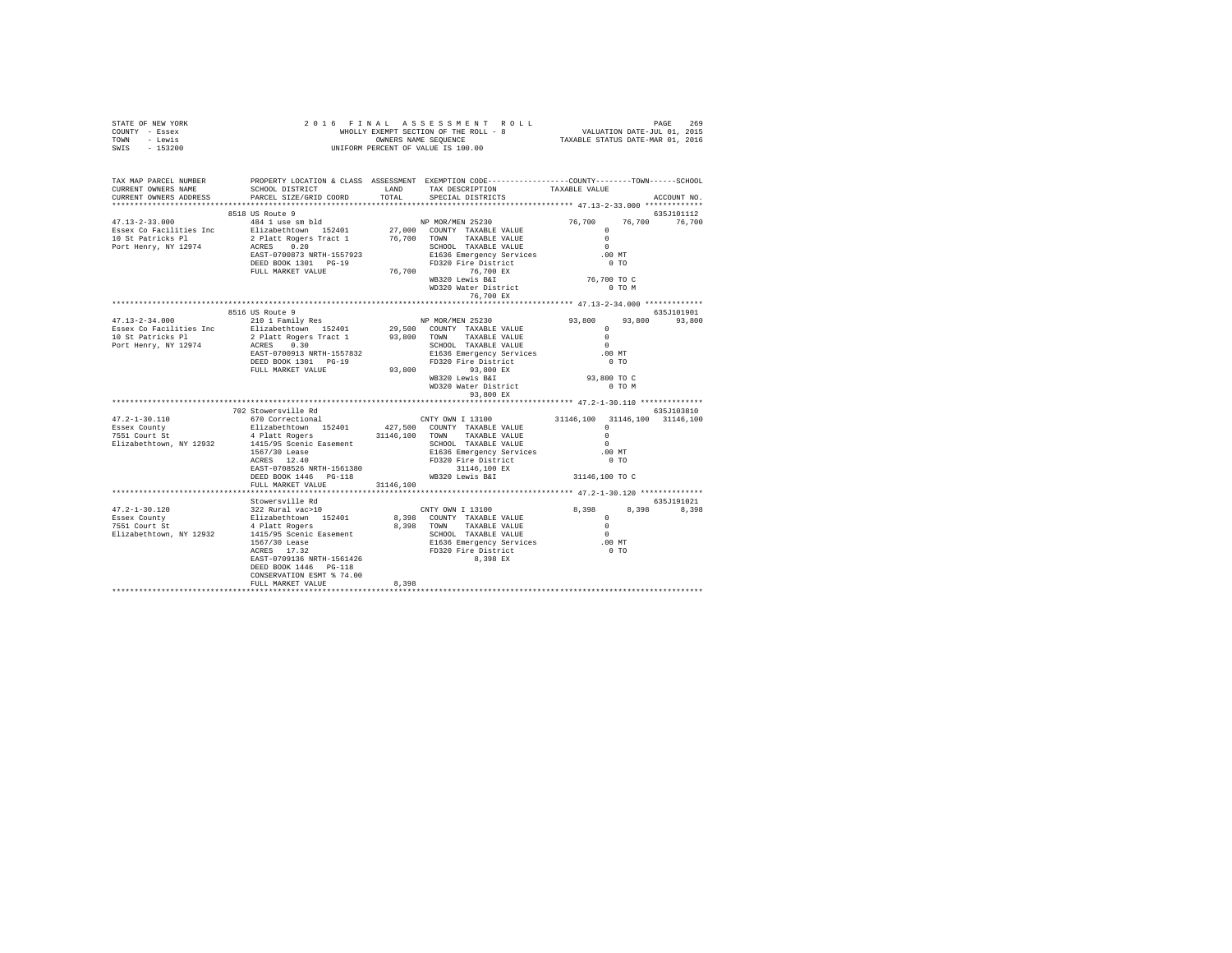| TOWN<br>- Lewis<br>SWIS<br>$-153200$                                                                                                                                   | OWNERS NAME SEQUENCE<br>UNIFORM PERCENT OF VALUE IS 100.00<br>OWNERS NAME SEQUENCE TAXABLE STATUS DATE-MAR 01, 2016 |           |                                                                                                           |                                           |               |
|------------------------------------------------------------------------------------------------------------------------------------------------------------------------|---------------------------------------------------------------------------------------------------------------------|-----------|-----------------------------------------------------------------------------------------------------------|-------------------------------------------|---------------|
| TAX MAP PARCEL NUMBER PROPERTY LOCATION & CLASS ASSESSMENT EXEMPTION CODE---------------COUNTY-------TOWN------SCHOOL<br>CURRENT OWNERS NAME<br>CURRENT OWNERS ADDRESS | SCHOOL DISTRICT<br>PARCEL SIZE/GRID COORD                                                                           | TOTAL     | LAND TAX DESCRIPTION<br>SPECIAL DISTRICTS                                                                 | TAXABLE VALUE                             | ACCOUNT NO.   |
|                                                                                                                                                                        | 8518 US Route 9                                                                                                     |           |                                                                                                           |                                           | 635J101112    |
| $47.13 - 2 - 33.000$                                                                                                                                                   | 484 1 use sm bld                                                                                                    |           | NP MOR/MEN 25230                                                                                          | 76,700                                    | 76,700 76,700 |
| Essex Co Facilities Inc                                                                                                                                                |                                                                                                                     |           |                                                                                                           | $\Omega$                                  |               |
| 10 St Patricks Pl                                                                                                                                                      | Elizabethtown 152401<br>2 Platt Rogers Tract 1                                                                      |           | 27,000 COUNTY TAXABLE VALUE<br>76,700 TOWN TAXABLE VALUE                                                  | $\Omega$                                  |               |
| Port Henry, NY 12974                                                                                                                                                   | ACRES 0.20                                                                                                          |           | SCHOOL TAXABLE VALUE                                                                                      | $\sim$                                    |               |
|                                                                                                                                                                        | EAST-0700873 NRTH-1557923                                                                                           |           | E1636 Emergency Services                                                                                  | .00 MT                                    |               |
|                                                                                                                                                                        | DEED BOOK 1301 PG-19                                                                                                |           | FD320 Fire District                                                                                       | $0$ TO                                    |               |
|                                                                                                                                                                        | FULL MARKET VALUE                                                                                                   |           | 76,700 76,700 EX<br>WB320 Lewis B&I<br>WD320 Water District                                               |                                           |               |
|                                                                                                                                                                        |                                                                                                                     |           |                                                                                                           | 76,700 TO C<br>O TO M                     |               |
|                                                                                                                                                                        |                                                                                                                     |           | 76,700 EX                                                                                                 |                                           |               |
|                                                                                                                                                                        |                                                                                                                     |           | ***************************** 47.13-2-34.000 *************                                                |                                           |               |
|                                                                                                                                                                        | 8516 US Route 9                                                                                                     |           |                                                                                                           |                                           | 635J101901    |
| $47.13 - 2 - 34.000$                                                                                                                                                   | 210 1 Family Res                                                                                                    |           | NP MOR/MEN 25230                                                                                          | 93,800 93,800 93,800                      |               |
| Essex Co Facilities Inc                                                                                                                                                | Elizabethtown 152401                                                                                                |           | 29,500 COUNTY TAXABLE VALUE                                                                               | $\Omega$                                  |               |
| 10 St Patricks Pl                                                                                                                                                      | Elizabethtown<br>2 Platt Rogers Tract 1<br>ACRES 0.30<br>200012 NPTH-1557832                                        |           | 93,800 TOWN TAXABLE VALUE                                                                                 | $\sim$ 0                                  |               |
| Port Henry, NY 12974                                                                                                                                                   |                                                                                                                     |           | SCHOOL TAXABLE VALUE                                                                                      | $\sim$<br>.00 MT                          |               |
|                                                                                                                                                                        | DEED BOOK 1301 PG-19                                                                                                |           | E1636 Emergency Services<br>FD320 Fire District                                                           | $0$ TO                                    |               |
|                                                                                                                                                                        | FULL MARKET VALUE                                                                                                   |           | 93,800 FLUED 13,800 EX<br>WB320 Lewis B&I                                                                 |                                           |               |
|                                                                                                                                                                        |                                                                                                                     |           |                                                                                                           | 93,800 TO C                               |               |
|                                                                                                                                                                        |                                                                                                                     |           |                                                                                                           | 0 TO M                                    |               |
|                                                                                                                                                                        |                                                                                                                     |           | WD320 Water District<br>93,800 EX                                                                         |                                           |               |
|                                                                                                                                                                        |                                                                                                                     |           |                                                                                                           |                                           |               |
|                                                                                                                                                                        | 702 Stowersville Rd                                                                                                 |           |                                                                                                           |                                           | 635J103810    |
| $47.2 - 1 - 30.110$                                                                                                                                                    | 670 Correctional<br>Elizabethtown 152401 427,500 COUNTY TAXABLE VALUE                                               |           | CNTY OWN I 13100                                                                                          | 31146,100 31146,100 31146,100<br>$\Omega$ |               |
| Essex County<br>7551 Court St                                                                                                                                          | 4 Platt Rogers                                                                                                      |           | 31146,100 TOWN TAXABLE VALUE                                                                              | $\Omega$                                  |               |
| Elizabethtown, NY 12932                                                                                                                                                |                                                                                                                     |           | SCHOOL TAXABLE VALUE                                                                                      | $\Omega$                                  |               |
|                                                                                                                                                                        |                                                                                                                     |           | E1636 Emergency Services                                                                                  | .00MT                                     |               |
|                                                                                                                                                                        |                                                                                                                     |           | FD320 Fire District                                                                                       | 0 <sub>T</sub>                            |               |
|                                                                                                                                                                        |                                                                                                                     |           |                                                                                                           |                                           |               |
|                                                                                                                                                                        |                                                                                                                     |           |                                                                                                           | 31146,100 TO C                            |               |
|                                                                                                                                                                        | FULL MARKET VALUE                                                                                                   | 31146,100 |                                                                                                           |                                           |               |
|                                                                                                                                                                        | Stowersville Rd                                                                                                     |           |                                                                                                           |                                           | 635J191021    |
| 47.2-1-30.120                                                                                                                                                          | Stowersville Rd<br>322 Rural vac>10<br>Elizabethtown 152401<br>4 Platt Rogers<br>1415/95 Scenic Easement            |           | CNTY OWN I 13100                                                                                          | 8,398                                     | 8,398 8,398   |
| Essex County                                                                                                                                                           |                                                                                                                     |           | 8,398 COUNTY TAXABLE VALUE                                                                                | $\sim$ 0                                  |               |
| sssex County<br>7551 Court St                                                                                                                                          |                                                                                                                     |           | 8,398 TOWN TAXABLE VALUE                                                                                  | $\sim$ 0                                  |               |
| Elizabethtown, NY 12932                                                                                                                                                |                                                                                                                     |           | SCHOOL TAXABLE VALUE                                                                                      | $\sim$                                    |               |
|                                                                                                                                                                        |                                                                                                                     |           |                                                                                                           |                                           |               |
|                                                                                                                                                                        | 1567/30 Lease<br>ACRES 17.32<br>EAST-0709136 NRTH-1561426                                                           |           | SCHOOL TAXABLE VALUE<br>E1636 Emergency Services 00 MT<br>FD320 Fire District<br>5 200 Free District 0 TO |                                           |               |
|                                                                                                                                                                        |                                                                                                                     |           | 8.398 EX                                                                                                  |                                           |               |
|                                                                                                                                                                        | DEED BOOK 1446 PG-118<br>CONSERVATION ESMT % 74.00                                                                  |           |                                                                                                           |                                           |               |
|                                                                                                                                                                        | FULL MARKET VALUE                                                                                                   | 8,398     |                                                                                                           |                                           |               |
|                                                                                                                                                                        |                                                                                                                     |           |                                                                                                           |                                           |               |

STATE OF NEW YORK 2 0 1 6 F I N A L A S S E S S M E N T R O L L PAGE 269 COUNTY - Essex WHOLLY EXEMPT SECTION OF THE ROLL - 8 VALUATION DATE-JUL 01, 2015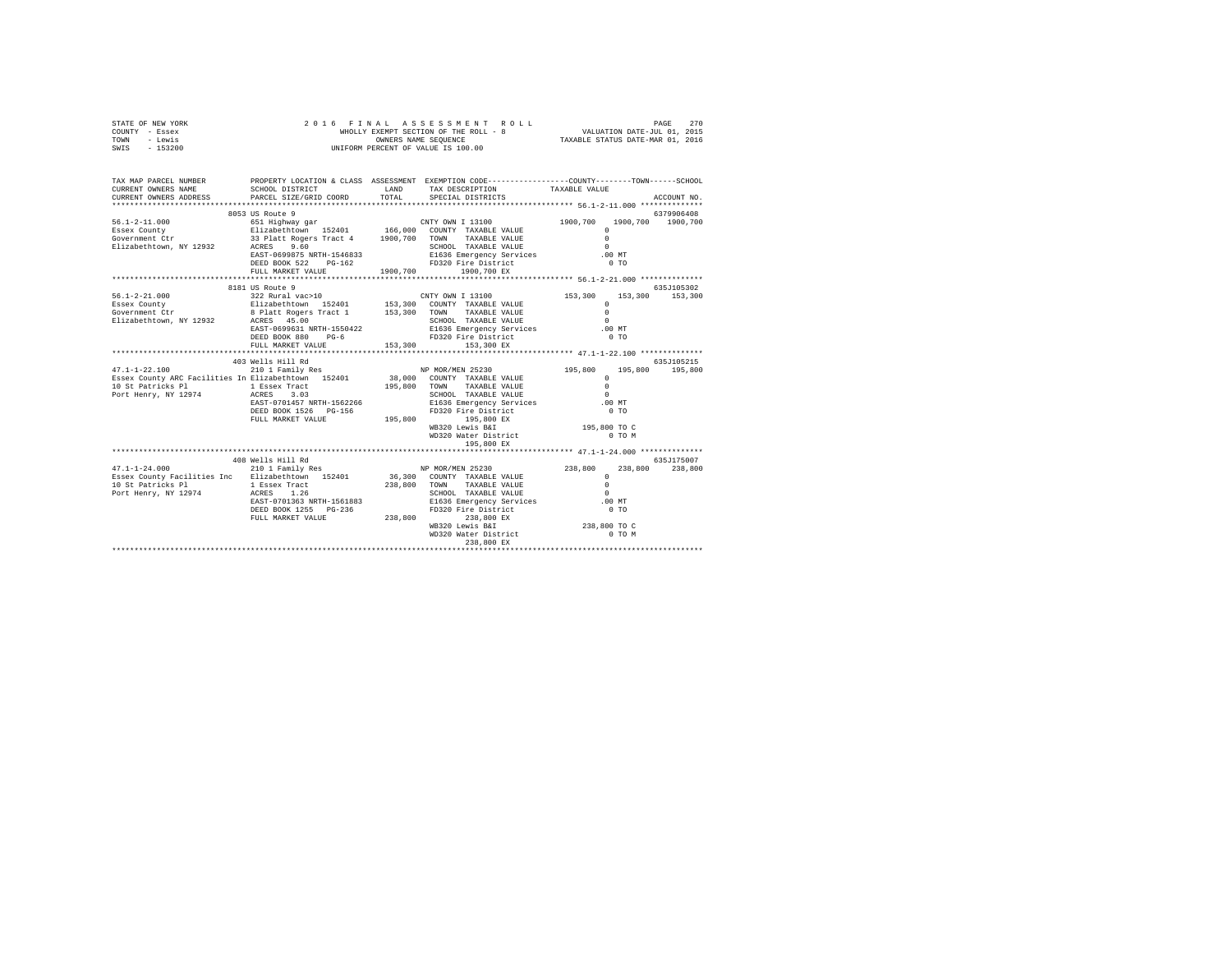| STATE OF NEW YORK<br>COUNTY - Essex<br>TOWN - Lewis<br>SWIS - 153200                                                                                                                                                                                                                                                                                                                                               |                   |                                                                                                   |  |             |
|--------------------------------------------------------------------------------------------------------------------------------------------------------------------------------------------------------------------------------------------------------------------------------------------------------------------------------------------------------------------------------------------------------------------|-------------------|---------------------------------------------------------------------------------------------------|--|-------------|
| TAX MAP PARCEL NUMBER PROPERTY LOCATION & CLASS ASSESSMENT EXEMPTION CODE--------------COUNTY-------TOWN------SCHOOL<br>CURRENT OWNERS NAME                                                                                                                                                                                                                                                                        |                   | SCHOOL DISTRICT                        LAND        TAX DESCRIPTION                  TAXABLE VALUE |  | ACCOUNT NO. |
|                                                                                                                                                                                                                                                                                                                                                                                                                    |                   |                                                                                                   |  |             |
|                                                                                                                                                                                                                                                                                                                                                                                                                    | 8053 US Route 9   |                                                                                                   |  | 6379906408  |
|                                                                                                                                                                                                                                                                                                                                                                                                                    |                   |                                                                                                   |  |             |
|                                                                                                                                                                                                                                                                                                                                                                                                                    |                   |                                                                                                   |  |             |
|                                                                                                                                                                                                                                                                                                                                                                                                                    |                   |                                                                                                   |  |             |
|                                                                                                                                                                                                                                                                                                                                                                                                                    | 8181 US Route 9   |                                                                                                   |  | 635J105302  |
| $\begin{tabular}{lllllllllllll} \textbf{56.1-2-21.000} & \textbf{8181 US Note 9} & \textbf{8181 US Note 9} & \textbf{CNTY OWN I 13100} & \textbf{153,300} & \textbf{153,300} & \textbf{153,300} & \textbf{153,300} & \textbf{153,300} & \textbf{153,300} & \textbf{153,300} & \textbf{153,300} & \textbf{153,300} & \textbf{153,300} & \textbf{153,300$                                                            |                   |                                                                                                   |  |             |
|                                                                                                                                                                                                                                                                                                                                                                                                                    |                   |                                                                                                   |  |             |
|                                                                                                                                                                                                                                                                                                                                                                                                                    |                   | 195,800 EX                                                                                        |  |             |
|                                                                                                                                                                                                                                                                                                                                                                                                                    |                   |                                                                                                   |  |             |
| $\begin{array}{cccc} \texttt{47.1-1-24.000} & \texttt{408} & \texttt{MER} & \texttt{MER} & \texttt{NS} & \texttt{NP} & \texttt{MOR/MEN} & \texttt{25230} & \texttt{035.175007} \\ \texttt{ESsex} & \texttt{Country Recilities} & \texttt{Enc} & \texttt{Eliabethown} & \texttt{152401} & 36,300 & \texttt{70NN} & \texttt{TAXABLE} & \texttt{YALUE} & 0 & 238,800 & 238,800 \\ \texttt{10 S E partices} & \texttt$ | 408 Wells Hill Rd | WB320 Lewis B&I<br>WB320 Lewis B&I 238,800 TO C<br>WD320 Water District 0 TO M<br>238,800 EX      |  | 635J175007  |
|                                                                                                                                                                                                                                                                                                                                                                                                                    |                   |                                                                                                   |  |             |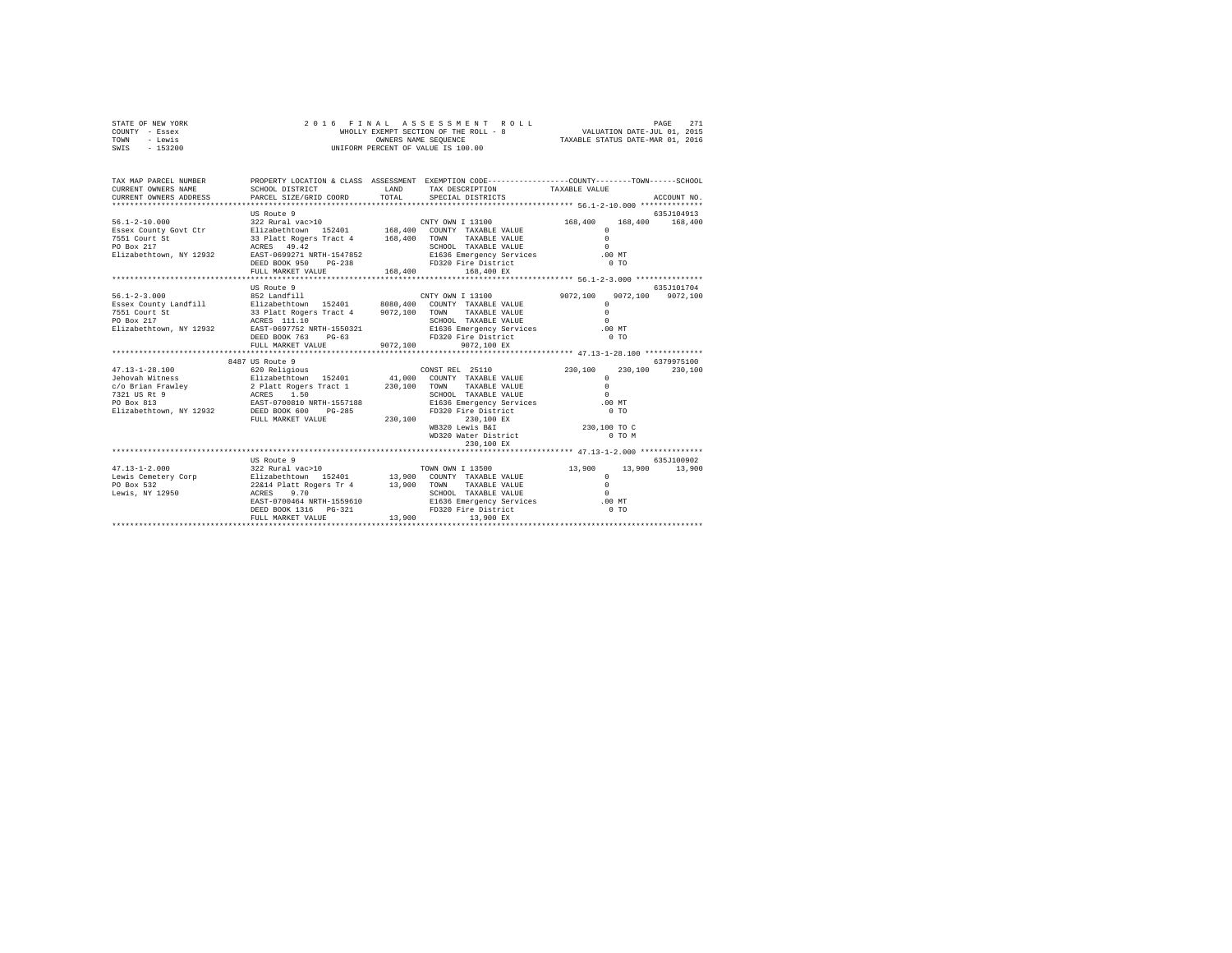| STATE OF NEW YORK<br>COUNTY<br>- Essex<br>- Lewis<br>TOWN<br>$-153200$<br>SWIS | 2016                                                                   | WHOLLY EXEMPT SECTION OF THE ROLL - 8<br>OWNERS NAME SEOUENCE<br>INIFORM PERCENT OF VALUE IS 100.00 |                          | FINAL ASSESSMENT ROLL                           | TAXABLE STATUS DATE-MAR 01, 2016                                             |         | 271<br>PAGE<br>VALUATION DATE-JUL 01, 2015 |
|--------------------------------------------------------------------------------|------------------------------------------------------------------------|-----------------------------------------------------------------------------------------------------|--------------------------|-------------------------------------------------|------------------------------------------------------------------------------|---------|--------------------------------------------|
| TAX MAP PARCEL NUMBER<br>CURRENT OWNERS NAME<br>CURRENT OWNERS ADDRESS         | PROPERTY LOCATION & CLASS<br>SCHOOL DISTRICT<br>PARCEL SIZE/GRID COORD | ASSESSMENT<br>LAND<br>TOTAL                                                                         |                          | TAX DESCRIPTION<br>SPECIAL DISTRICTS            | EXEMPTION CODE----------------COUNTY-------TOWN------SCHOOL<br>TAXABLE VALUE |         | ACCOUNT NO.                                |
| $56.1 - 2 - 10.000$                                                            | US Route 9<br>322 Rural vac>10                                         |                                                                                                     | CNTY OWN I 13100         |                                                 | 168,400                                                                      | 168,400 | 635J104913<br>168,400                      |
| Essex County Govt Ctr<br>7551 Court St<br>PO Box 217                           | 152401<br>Elizabethtown<br>33 Platt Rogers Tract 4<br>49.42<br>ACRES   | 168,400<br>168,400                                                                                  | COUNTY<br>TOWN<br>SCHOOL | TAXABLE VALUE<br>TAXABLE VALUE<br>TAXABLE VALUE |                                                                              |         |                                            |

| Elizabethtown, NY 12932 |                                                   | EAST-0699271 NRTH-1547852 E1636 Emergency Services                                      | $.00$ MT                |            |
|-------------------------|---------------------------------------------------|-----------------------------------------------------------------------------------------|-------------------------|------------|
|                         | DEED BOOK 950 PG-238                              | FD320 Fire District 0 TO                                                                |                         |            |
|                         |                                                   |                                                                                         |                         |            |
|                         |                                                   |                                                                                         |                         |            |
|                         | US Route 9                                        |                                                                                         |                         | 635J101704 |
|                         |                                                   |                                                                                         | 9072.100 9072.100       |            |
|                         |                                                   |                                                                                         |                         |            |
| 7551 Court St           |                                                   | 33 Platt Rogers Tract 4 9072,100 TOWN TAXABLE VALUE                                     | $\Omega$                |            |
| PO Box 217              | ACRES 111.10                                      | SCHOOL TAXABLE VALUE                                                                    | $\cap$                  |            |
|                         | Elizabethtown, NY 12932 EAST-0697752 NRTH-1550321 | E1636 Emergency Services .00 MT                                                         |                         |            |
|                         | DEED BOOK 763 PG-63                               | FD320 Fire District                                                                     | 0 T0                    |            |
|                         | FULL MARKET VALUE 9072,100                        | 9072,100 EX                                                                             |                         |            |
|                         |                                                   |                                                                                         |                         |            |
|                         | 8487 US Route 9                                   |                                                                                         |                         | 6379975100 |
|                         |                                                   |                                                                                         | 230,100 230,100 230,100 |            |
|                         |                                                   |                                                                                         | $^{\circ}$<br>$\Omega$  |            |
|                         |                                                   | c/o Brian Frawley 2 Platt Rogers Tract 1 230,100 TOWN TAXABLE VALUE                     |                         |            |
| 7321 US Rt 9            | ACRES 1.50                                        | SCHOOL TAXABLE VALUE                                                                    | $\Omega$                |            |
| PO Box 813              | EAST-0700810 NRTH-1557188                         | E1636 Emergency Services                                                                | .00MT                   |            |
|                         | Elizabethtown, NY 12932 DEED BOOK 600 PG-285      | FD320 Fire District                                                                     | 0T0                     |            |
|                         | FULL MARKET VALUE 230,100                         | 230,100 EX                                                                              |                         |            |
|                         |                                                   | WB320 Lewis B&I 230.100 TO C                                                            |                         |            |
|                         |                                                   | WD320 Water District 0 TO M                                                             |                         |            |
|                         |                                                   | 230,100 EX                                                                              |                         |            |
|                         |                                                   |                                                                                         |                         |            |
|                         | US Route 9                                        |                                                                                         |                         | 635J100902 |
|                         |                                                   | 47.13-1-2.000   322 Rural vac>10   TOWN OWN I 13500   13,900   13,900   13,900   13,900 |                         |            |
|                         |                                                   |                                                                                         | $\mathbf{r}$            |            |
|                         |                                                   |                                                                                         | $\circ$                 |            |
|                         |                                                   |                                                                                         | $\Omega$                |            |
|                         | EAST-0700464 NRTH-1559610                         | E1636 Emergency Services .00 MT                                                         |                         |            |
|                         | DEED BOOK 1316 PG-321                             | FD320 Fire District 0 TO                                                                |                         |            |
|                         | FULL MARKET VALUE                                 | 13,900 13,900 EX                                                                        |                         |            |
|                         |                                                   |                                                                                         |                         |            |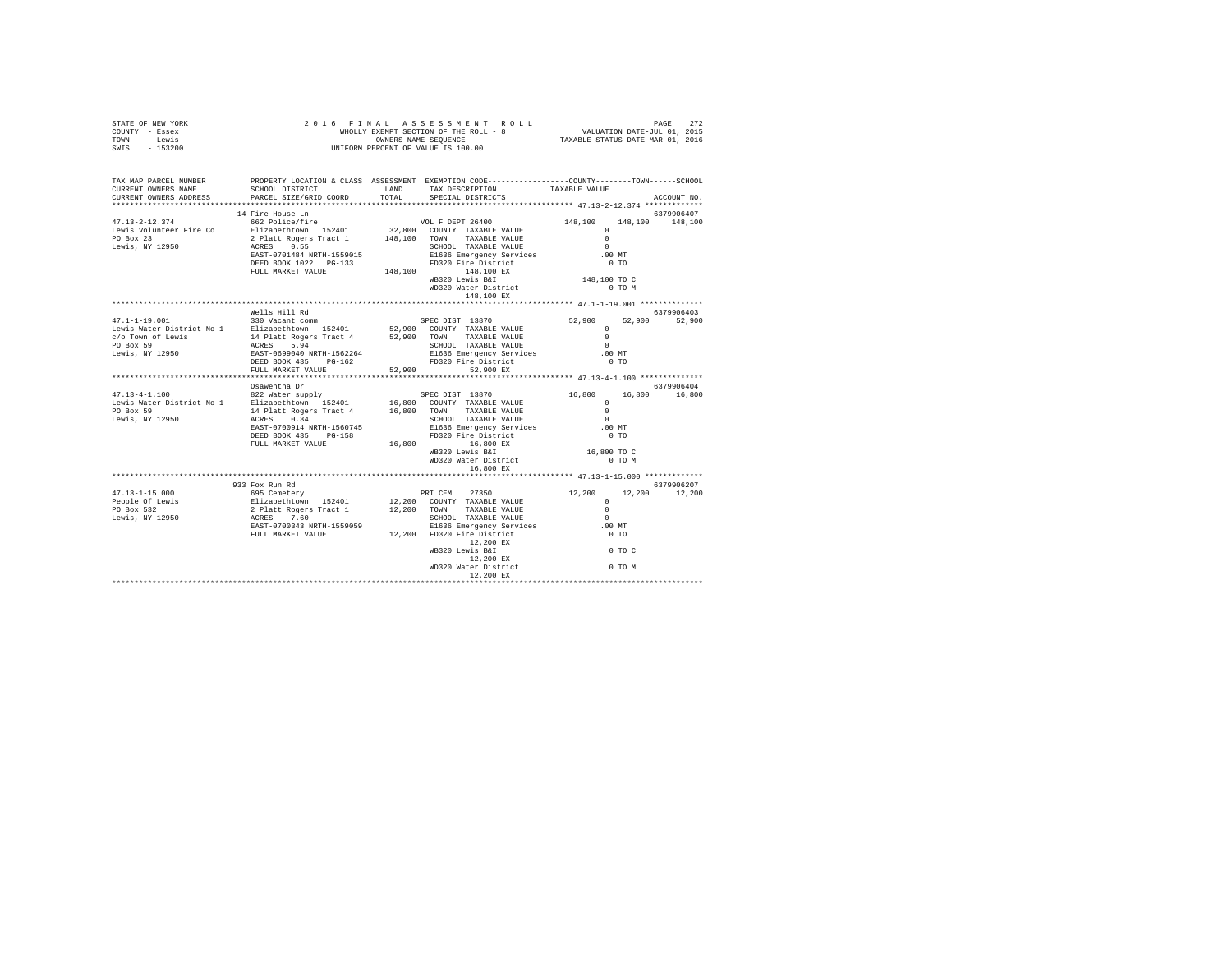| STATE OF NEW YORK<br>COUNTY - Essex<br>TOWN - Lewis<br>SWIS - 153200                                                                                                                                                                                                                                                                                                                                                                                            | 2016 FINAL ASSESSMENT ROL<br>WHOLLY EXEMPT SECTION OF THE ROLL - 8<br>ONNERS NAME SEQUENCE<br>UNIFORM PERCENT OF VALUE IS 100.00 |  |                                                                                                                                                                                                                                 |  |             |
|-----------------------------------------------------------------------------------------------------------------------------------------------------------------------------------------------------------------------------------------------------------------------------------------------------------------------------------------------------------------------------------------------------------------------------------------------------------------|----------------------------------------------------------------------------------------------------------------------------------|--|---------------------------------------------------------------------------------------------------------------------------------------------------------------------------------------------------------------------------------|--|-------------|
| TAX MAP PARCEL NUMBER PROPERTY LOCATION & CLASS ASSESSMENT EXEMPTION CODE--------------COUNTY-------TOWN-----SCHOOL<br>CURRENT OWNERS NAME<br>CURRENT OWNERS ADDRESS                                                                                                                                                                                                                                                                                            |                                                                                                                                  |  | ${\tt SCHOOL\ DISTRICT}\qquad\qquad {\tt LAND}\qquad\qquad {\tt TAX\ DESCRIPTION}\qquad\qquad {\tt TAXABLE\ VALUE}\nonumber$ PARCEL SIZE/GRID COORD $\qquad\qquad {\tt TOTAL}\qquad\qquad {\tt SPECIAL\ DISTRICTS}\qquad\qquad$ |  | ACCOUNT NO. |
|                                                                                                                                                                                                                                                                                                                                                                                                                                                                 | 14 Fire House Ln                                                                                                                 |  |                                                                                                                                                                                                                                 |  | 6379906407  |
|                                                                                                                                                                                                                                                                                                                                                                                                                                                                 |                                                                                                                                  |  |                                                                                                                                                                                                                                 |  |             |
| $\begin{tabular}{l c c c c} \multicolumn{1}{c}{\textbf{47.13--2--12.374}} & \multicolumn{1}{c}{\textbf{48.100}} & \multicolumn{1}{c}{\textbf{57.11\textwidth}} & \multicolumn{1}{c}{\textbf{58.12\textwidth}} & \multicolumn{1}{c}{\textbf{59.12\textwidth}} & \multicolumn{1}{c}{\textbf{63.12\textwidth}} & \multicolumn{1}{c}{\textbf{63.12\textwidth}} & \multicolumn{1}{c}{\textbf{63.12\textwidth}} & \multicolumn{1}{c}{\textbf{63.$                     |                                                                                                                                  |  |                                                                                                                                                                                                                                 |  |             |
|                                                                                                                                                                                                                                                                                                                                                                                                                                                                 |                                                                                                                                  |  |                                                                                                                                                                                                                                 |  |             |
|                                                                                                                                                                                                                                                                                                                                                                                                                                                                 | Wells Hill Rd                                                                                                                    |  |                                                                                                                                                                                                                                 |  | 6379906403  |
| $\begin{tabular}{l c c c c c} \multicolumn{3}{c}{\textbf{0}} & \multicolumn{3}{c}{\textbf{0}} & \multicolumn{3}{c}{\textbf{0}} & \multicolumn{3}{c}{\textbf{0}} & \multicolumn{3}{c}{\textbf{0}} & \multicolumn{3}{c}{\textbf{0}} & \multicolumn{3}{c}{\textbf{0}} & \multicolumn{3}{c}{\textbf{0}} & \multicolumn{3}{c}{\textbf{0}} & \multicolumn{3}{c}{\textbf{0}} & \multicolumn{3}{c}{\textbf{0}} & \multicolumn{3}{c}{\textbf{0}} & \multicolumn{3}{c}{\$ |                                                                                                                                  |  |                                                                                                                                                                                                                                 |  |             |
|                                                                                                                                                                                                                                                                                                                                                                                                                                                                 |                                                                                                                                  |  |                                                                                                                                                                                                                                 |  |             |
|                                                                                                                                                                                                                                                                                                                                                                                                                                                                 | Osawentha Dr                                                                                                                     |  |                                                                                                                                                                                                                                 |  | 6379906404  |
| $\begin{tabular}{l c c c c c} \multicolumn{1}{c c c c} \multicolumn{1}{c c c} \multicolumn{1}{c c c} \multicolumn{1}{c c c} \multicolumn{1}{c c c} \multicolumn{1}{c c c} \multicolumn{1}{c c c} \multicolumn{1}{c c c} \multicolumn{1}{c c c} \multicolumn{1}{c c c} \multicolumn{1}{c c c} \multicolumn{1}{c c c} \multicolumn{1}{c c c} \multicolumn{1}{c c c} \multicolumn{1}{c c c} \multicolumn{$                                                         |                                                                                                                                  |  |                                                                                                                                                                                                                                 |  |             |
|                                                                                                                                                                                                                                                                                                                                                                                                                                                                 |                                                                                                                                  |  |                                                                                                                                                                                                                                 |  |             |
|                                                                                                                                                                                                                                                                                                                                                                                                                                                                 |                                                                                                                                  |  |                                                                                                                                                                                                                                 |  |             |
|                                                                                                                                                                                                                                                                                                                                                                                                                                                                 | 933 Fox Run Rd                                                                                                                   |  |                                                                                                                                                                                                                                 |  | 6379906207  |
|                                                                                                                                                                                                                                                                                                                                                                                                                                                                 |                                                                                                                                  |  |                                                                                                                                                                                                                                 |  |             |
|                                                                                                                                                                                                                                                                                                                                                                                                                                                                 |                                                                                                                                  |  |                                                                                                                                                                                                                                 |  |             |
|                                                                                                                                                                                                                                                                                                                                                                                                                                                                 |                                                                                                                                  |  |                                                                                                                                                                                                                                 |  |             |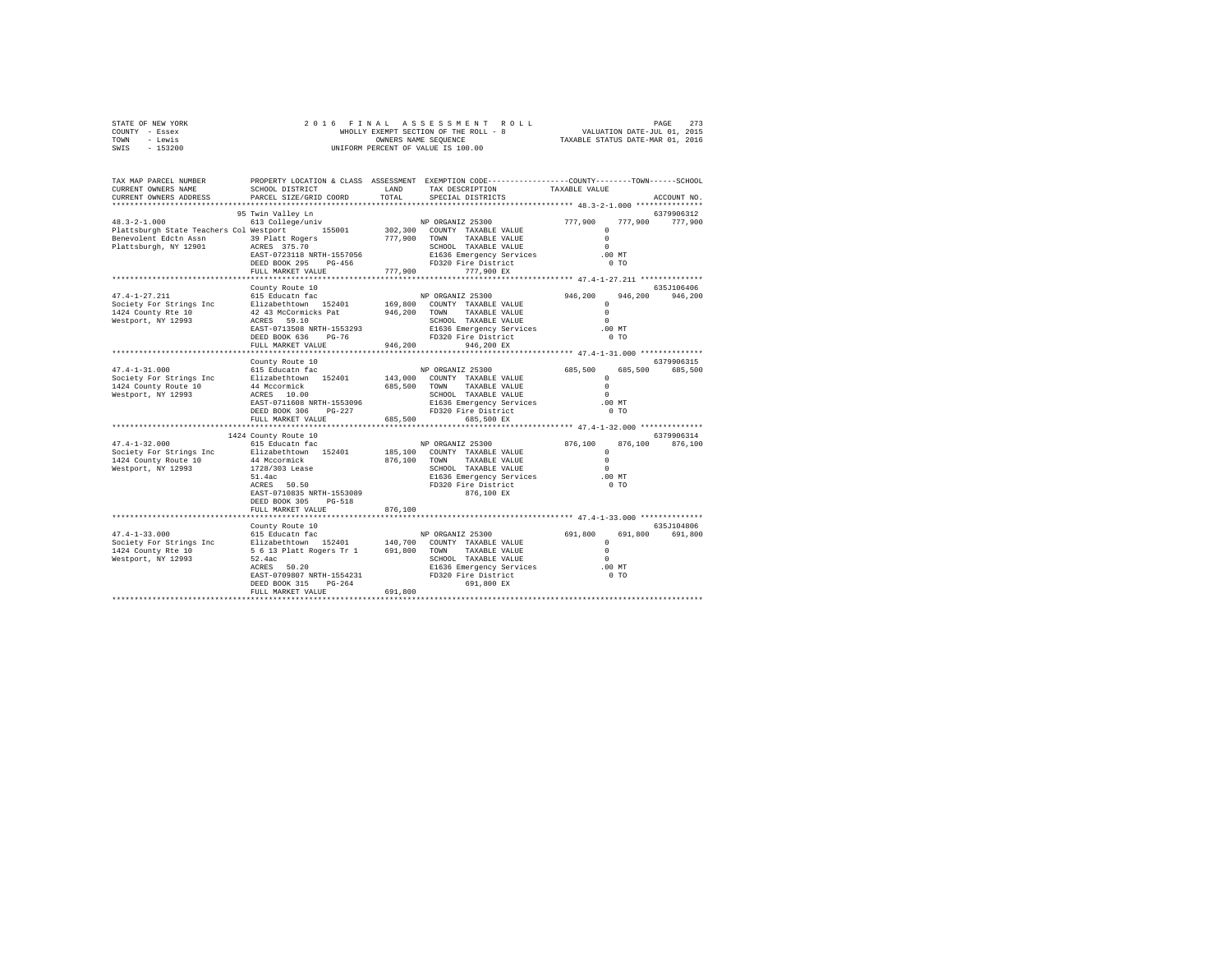| STATE OF NEW YORK | 2016 FINAL ASSESSMENT ROLL            | 273<br>PAGE                      |
|-------------------|---------------------------------------|----------------------------------|
| COUNTY - Essex    | WHOLLY EXEMPT SECTION OF THE ROLL - 8 | VALUATION DATE-JUL 01, 2015      |
| TOWN<br>- Lewis   | OWNERS NAME SEOUENCE                  | TAXABLE STATUS DATE-MAR 01, 2016 |
| $-153200$<br>SWIS | UNIFORM PERCENT OF VALUE IS 100.00    |                                  |

| TAX MAP PARCEL NUMBER<br>CURRENT OWNERS NAME<br>CURRENT OWNERS ADDRESS                                                                                                                                                                                     | SCHOOL DISTRICT<br>PARCEL SIZE/GRID COORD                                                                                                                                                                                                                       | LAND<br>TOTAL           | PROPERTY LOCATION & CLASS ASSESSMENT EXEMPTION CODE----------------COUNTY-------TOWN-----SCHOOL<br>TAX DESCRIPTION<br>SPECIAL DISTRICTS                                                                                                                                                                 | TAXABLE VALUE                                                                                                                                                                                        | ACCOUNT NO.                              |
|------------------------------------------------------------------------------------------------------------------------------------------------------------------------------------------------------------------------------------------------------------|-----------------------------------------------------------------------------------------------------------------------------------------------------------------------------------------------------------------------------------------------------------------|-------------------------|---------------------------------------------------------------------------------------------------------------------------------------------------------------------------------------------------------------------------------------------------------------------------------------------------------|------------------------------------------------------------------------------------------------------------------------------------------------------------------------------------------------------|------------------------------------------|
| ************************                                                                                                                                                                                                                                   | ****************************                                                                                                                                                                                                                                    |                         |                                                                                                                                                                                                                                                                                                         |                                                                                                                                                                                                      |                                          |
| $48.3 - 2 - 1.000$<br>Plattsburgh State Teachers Col Westport 155001<br>Benevolent Edotn Assn 39 Platt Rogers<br>Plattsburgh, NY 12901 ACRES 375.70                                                                                                        | 95 Twin Valley Ln                                                                                                                                                                                                                                               | 777.900 TOWN            | 1 will value multiple Mark NP ORGANIZ 25300 777,900<br>613 College/univ 155001 302,300 COUNTY TAXABLE VALUE<br>TAXABLE VALUE<br>TAXABLE VALUE<br>TAXABLE VALUE                                                                                                                                          | 777,900<br>$\Omega$<br>$\circ$<br>$\Omega$<br>$.00$ MT                                                                                                                                               | 6379906312<br>777,900                    |
|                                                                                                                                                                                                                                                            |                                                                                                                                                                                                                                                                 |                         |                                                                                                                                                                                                                                                                                                         | 0 <sub>T</sub>                                                                                                                                                                                       |                                          |
|                                                                                                                                                                                                                                                            | FULL MARKET VALUE                                                                                                                                                                                                                                               |                         | 777,900 777,900 EX                                                                                                                                                                                                                                                                                      |                                                                                                                                                                                                      |                                          |
|                                                                                                                                                                                                                                                            | County Route 10                                                                                                                                                                                                                                                 |                         |                                                                                                                                                                                                                                                                                                         |                                                                                                                                                                                                      | 635J106406                               |
| $47.4 - 1 - 27.211$<br>Society For Strings Inc<br>1424 County Rte 10<br>Westport, NY 12993                                                                                                                                                                 | 615 Educatn fac<br>Elizabethtown 152401<br>EAST-0713508 NRTH-1553293                                                                                                                                                                                            |                         | NP ORGANIZ 25300<br>169,800 COUNTY TAXABLE VALUE<br>SCHOOL TAXABLE VALUE<br>E1636 Emergency Services<br>FD320 Fire District                                                                                                                                                                             | $946, 200$ 0<br>$^{\circ}$<br>$\Omega$<br>$\Omega$<br>.00 MT                                                                                                                                         | 946,200 946,200                          |
|                                                                                                                                                                                                                                                            | DEED BOOK 636<br>PG-76                                                                                                                                                                                                                                          |                         | FD320 Fire District                                                                                                                                                                                                                                                                                     | $0$ TO                                                                                                                                                                                               |                                          |
|                                                                                                                                                                                                                                                            | FULL MARKET VALUE<br>**************************                                                                                                                                                                                                                 | 946,200                 | 946,200 EX                                                                                                                                                                                                                                                                                              |                                                                                                                                                                                                      |                                          |
|                                                                                                                                                                                                                                                            |                                                                                                                                                                                                                                                                 |                         |                                                                                                                                                                                                                                                                                                         |                                                                                                                                                                                                      | 6379906315                               |
| $47.4 - 1 - 31.000$<br>Society For Strings Inc<br>1424 County Route 10<br>Westport, NY 12993<br>$47.4 - 1 - 32.000$<br>Society For Strings Inc Blizabethtown 152401<br>1424 County Route 10<br>Westport, NY 12993                                          | County Route 10<br>615 Educatn fac<br>Elizabethtown 152401<br>44 Mccormick<br>ACRES 10.00<br>EAST-0711608 NRTH-1553096<br>$PG-227$<br>DEED BOOK 306<br>FULL MARKET VALUE<br>1424 County Route 10<br>615 Educatn fac<br>44 Mccormick<br>1728/303 Lease<br>51.4ac | 685,500 TOWN<br>685,500 | NP ORGANIZ 25300<br>143,000 COUNTY TAXABLE VALUE<br>TAXABLE VALUE<br>SCHOOL TAXABLE VALUE<br>E1636 Emergency Services<br>FD320 Fire District<br>685,500 EX<br>NP ORGANIZ 25300<br>185,100 COUNTY TAXABLE VALUE<br>876.100 TOWN TAXABLE VALUE<br>SCHOOL TAXABLE VALUE<br>E1636 Emergency Services .00 MT | 685,500<br>685,500<br>$\Omega$<br>$^{\circ}$<br>$\Omega$<br>$.00$ MT<br>0 <sub>T</sub><br>*************** 47.4-1-32.000 **************<br>$876,100\ \begin{array}{c} 0 \\ 0 \end{array}$<br>$\Omega$ | 685,500<br>6379906314<br>876,100 876,100 |
|                                                                                                                                                                                                                                                            | $ACRES$ 50.50<br>EAST-0710835 NRTH-1553089<br>DEED BOOK 305<br>PG-518<br>FULL MARKET VALUE                                                                                                                                                                      | 876,100                 | FD320 Fire District<br>876,100 EX                                                                                                                                                                                                                                                                       | 0 <sub>T</sub>                                                                                                                                                                                       |                                          |
|                                                                                                                                                                                                                                                            | County Route 10                                                                                                                                                                                                                                                 |                         |                                                                                                                                                                                                                                                                                                         |                                                                                                                                                                                                      | 635J104806                               |
| 17.4-1-33.000 (19.1 - 19.15 Educatric Later Pacific AP ORGANIZ 25300 (19.800 – 19.800 – 19.800 – 19.900 – 19.<br>Society For Strings Inc – Elizabethtown 152401 – 140,700 COUNTY TAXABLE VALUE – 1424 (20.11) – 1424 – 1424 – 1<br>1<br>Westport, NY 12993 | 52.4ac<br>ACRES 50.20<br>EAST-0709807 NRTH-1554231<br>DEED BOOK 315<br>$PG-264$<br>FULL MARKET VALUE                                                                                                                                                            | 691,800                 | 9CHOOL TAXABLE VALUE<br>E1636 Emergency Services 0<br>FD320 Fire District 0 0 mm<br>691,800 EX                                                                                                                                                                                                          |                                                                                                                                                                                                      | 691,800 691,800                          |
|                                                                                                                                                                                                                                                            |                                                                                                                                                                                                                                                                 |                         |                                                                                                                                                                                                                                                                                                         |                                                                                                                                                                                                      |                                          |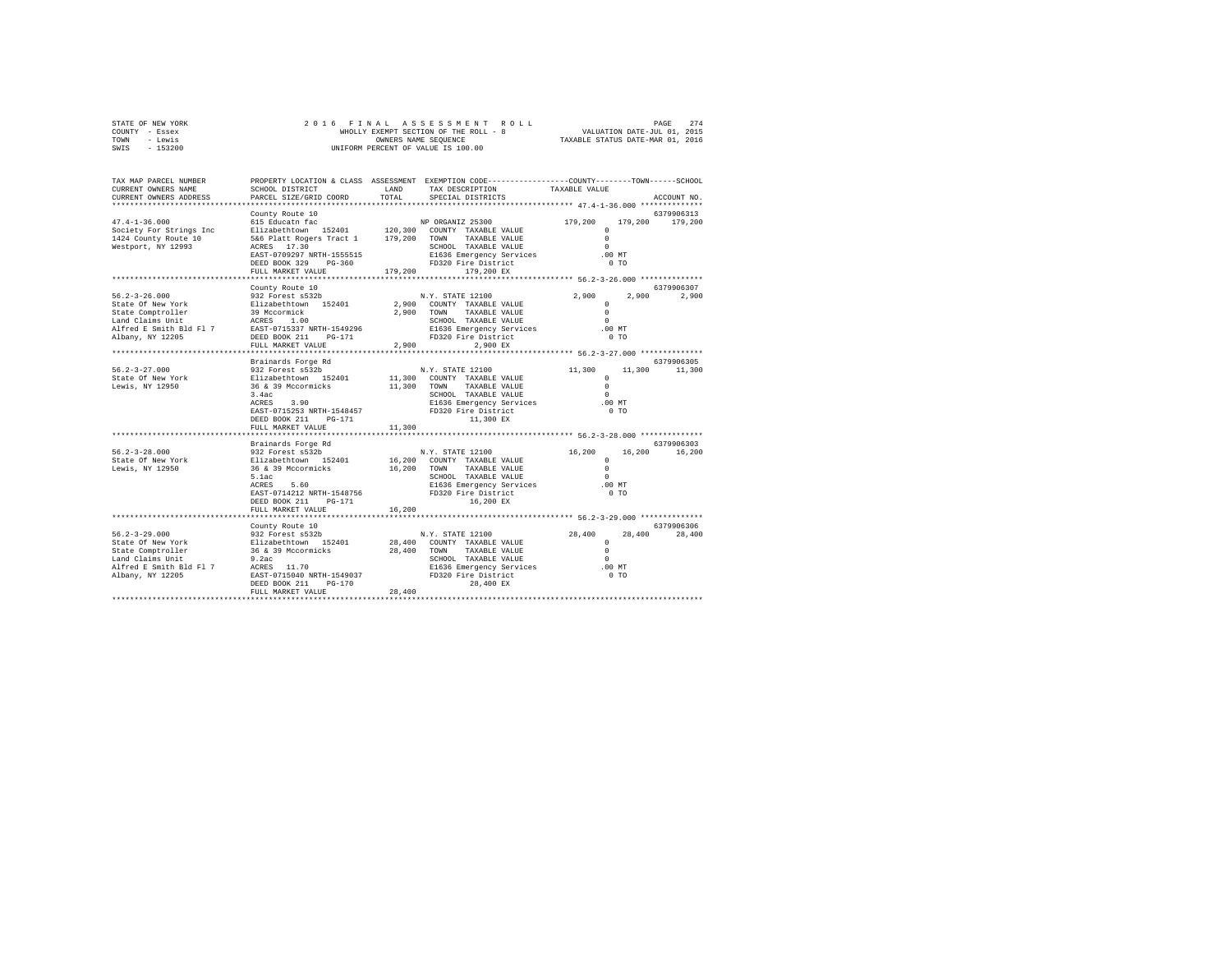| STATE OF NEW YORK | 2016 FINAL ASSESSMENT ROLL            | 274<br>PAGE                      |
|-------------------|---------------------------------------|----------------------------------|
| COUNTY - Essex    | WHOLLY EXEMPT SECTION OF THE ROLL - 8 | VALUATION DATE-JUL 01, 2015      |
| TOWN<br>- Lewis   | OWNERS NAME SEOUENCE                  | TAXABLE STATUS DATE-MAR 01, 2016 |
| $-153200$<br>SWIS | UNIFORM PERCENT OF VALUE IS 100.00    |                                  |

| TAX MAP PARCEL NUMBER<br>CURRENT OWNERS NAME<br>CURRENT OWNERS ADDRESS                                                                                                                          | SCHOOL DISTRICT<br>PARCEL SIZE/GRID COORD                                                                                                                                                                                                                                                                                  | LAND<br>TOTAL | PROPERTY LOCATION & CLASS ASSESSMENT EXEMPTION CODE----------------COUNTY-------TOWN------SCHOOL<br>TAX DESCRIPTION<br>SPECIAL DISTRICTS                                                                                                                                                                                | TAXABLE VALUE                                                                       | ACCOUNT NO.                                       |
|-------------------------------------------------------------------------------------------------------------------------------------------------------------------------------------------------|----------------------------------------------------------------------------------------------------------------------------------------------------------------------------------------------------------------------------------------------------------------------------------------------------------------------------|---------------|-------------------------------------------------------------------------------------------------------------------------------------------------------------------------------------------------------------------------------------------------------------------------------------------------------------------------|-------------------------------------------------------------------------------------|---------------------------------------------------|
|                                                                                                                                                                                                 |                                                                                                                                                                                                                                                                                                                            |               |                                                                                                                                                                                                                                                                                                                         |                                                                                     |                                                   |
| $47.4 - 1 - 36.000$<br>Society For Strings Inc<br>1424 County Route 10<br>Westport, NY 12993                                                                                                    | County Route 10<br>Elizabethrown 152401 120,300 COUNTY TAXABLE-VALUE<br>5&6 Platt Rogers Tract 1 179,200 TOWN TAXABLE-VALUE<br>ACRES 17.30<br>EAST-0709297 NRTH-1555515<br>DEED BOOK 329 PG-360 FD320 Fire District<br>FULL MARKET VALUE 179,200 179,200 EX                                                                |               | E1636 Emergency Services                                                                                                                                                                                                                                                                                                | $\Omega$<br>$\Omega$<br>$\sim$<br>$.00$ MT<br>0 <sub>T</sub>                        | 6379906313<br>179.200 179.200                     |
|                                                                                                                                                                                                 |                                                                                                                                                                                                                                                                                                                            |               |                                                                                                                                                                                                                                                                                                                         |                                                                                     |                                                   |
| $56.2 - 3 - 26.000$<br>State Of New York<br>State Comptroller<br>Land Claims Unit<br>Alfred E Smith Bld Fl 7<br>Albany, NY 12205<br>$56.2 - 3 - 27.000$<br>State Of New York<br>Lewis, NY 12950 | County Route 10<br>932 Forest s532b<br>Elizabethtown 152401<br>39 Mccormick<br>ACRES 1.00<br>EAST-0715337 NRTH-1549296<br>DEED BOOK 211 PG-171<br>FULL MARKET VALUE<br>Brainards Forge Rd<br>932 Forest as 122<br>932 Forest as 12201 11,300 COUNT<br>36 & 39 Mccormicks 11,300 TOWN<br>3.4ac<br>$ACRES$ 3.90              | 2,900         | N.Y. STATE 12100<br>2,900 COUNTY TAXABLE VALUE<br>AAABLE VALUE<br>SCHOOL TAXABLE VALUE<br>E1636 Emergency<br>2,900 TOWN TAXABLE VALUE<br>E1636 Emergency Services .00 MT<br>FD320 Fire District  0 TO<br>FD320 Fire District<br>2.900 EX<br>N.Y. STATE 12100<br>11,300 COUNTY TAXABLE VALUE<br>E1636 Emergency Services | $2,900$ $_{\odot}$<br>$\circ$<br>$\Omega$<br>$\sim$<br>11,300<br>11,300<br>$.00$ MT | 6379906307<br>2,900 2,900<br>6379906305<br>11,300 |
|                                                                                                                                                                                                 | EAST-0715253 NRTH-1548457 FD320 Fire District<br>DEED BOOK 211 PG-171<br>FULL MARKET VALUE                                                                                                                                                                                                                                 | 11,300        | 11,300 EX                                                                                                                                                                                                                                                                                                               | 0 <sub>T</sub>                                                                      |                                                   |
|                                                                                                                                                                                                 | ************************                                                                                                                                                                                                                                                                                                   |               |                                                                                                                                                                                                                                                                                                                         |                                                                                     | 6379906303                                        |
|                                                                                                                                                                                                 | Brainards Forge Rd<br>5.1ac<br>ACRES 5.60<br>EAST-0714212 NRTH-1548756<br>DEED BOOK 211<br>$PG-171$<br>FULL MARKET VALUE                                                                                                                                                                                                   | 16,200        | SCHOOL TAXABLE VALUE<br>SCHOOL TAXABLE VALUE<br>E1636 Emergency Services (00 MT<br>FD320 Fire District<br>16,200 EX                                                                                                                                                                                                     | 16,200<br>$\circ$<br>$\Omega$<br>$\sim$ 0<br>$0$ TO                                 | 16,200 16,200                                     |
|                                                                                                                                                                                                 |                                                                                                                                                                                                                                                                                                                            |               |                                                                                                                                                                                                                                                                                                                         |                                                                                     |                                                   |
| $56.2 - 3 - 29.000$<br>State Of New York<br>State Comptroller<br>Land Claims Unit<br>Alfred E Smith Bld Fl 7<br>Albany, NY 12205<br>***********************************                         | County Route 10<br>932 Forest 5532b<br>Elizabethtown 152401 28,400 COUNTY TAXABLE VALUE<br>36 & 39 Mccormicks 28,400 TONN TAXABLE VALUE<br>9.2ac SCHOOL TAXABLE VALUE<br>ACRES 11.70 E1636 Emergency Services<br>EAST-0715040 NRTH-1549037 FD320 Fire District<br>ACRES 11.70<br>DEED BOOK 211 PG-170<br>FULL MARKET VALUE | 28,400        | 28,400<br>TOWN TAXABLE VALUE<br>SCHOOL TAXABLE VALUE<br>E1636 Emergency Services<br>En 200 -<br>E1636 Emergency Services .00 MT<br>28,400 EX                                                                                                                                                                            | 28,400<br>$\circ$<br>$\Omega$<br>$\Omega$<br>$0$ TO                                 | 6379906306<br>28,400 28,400                       |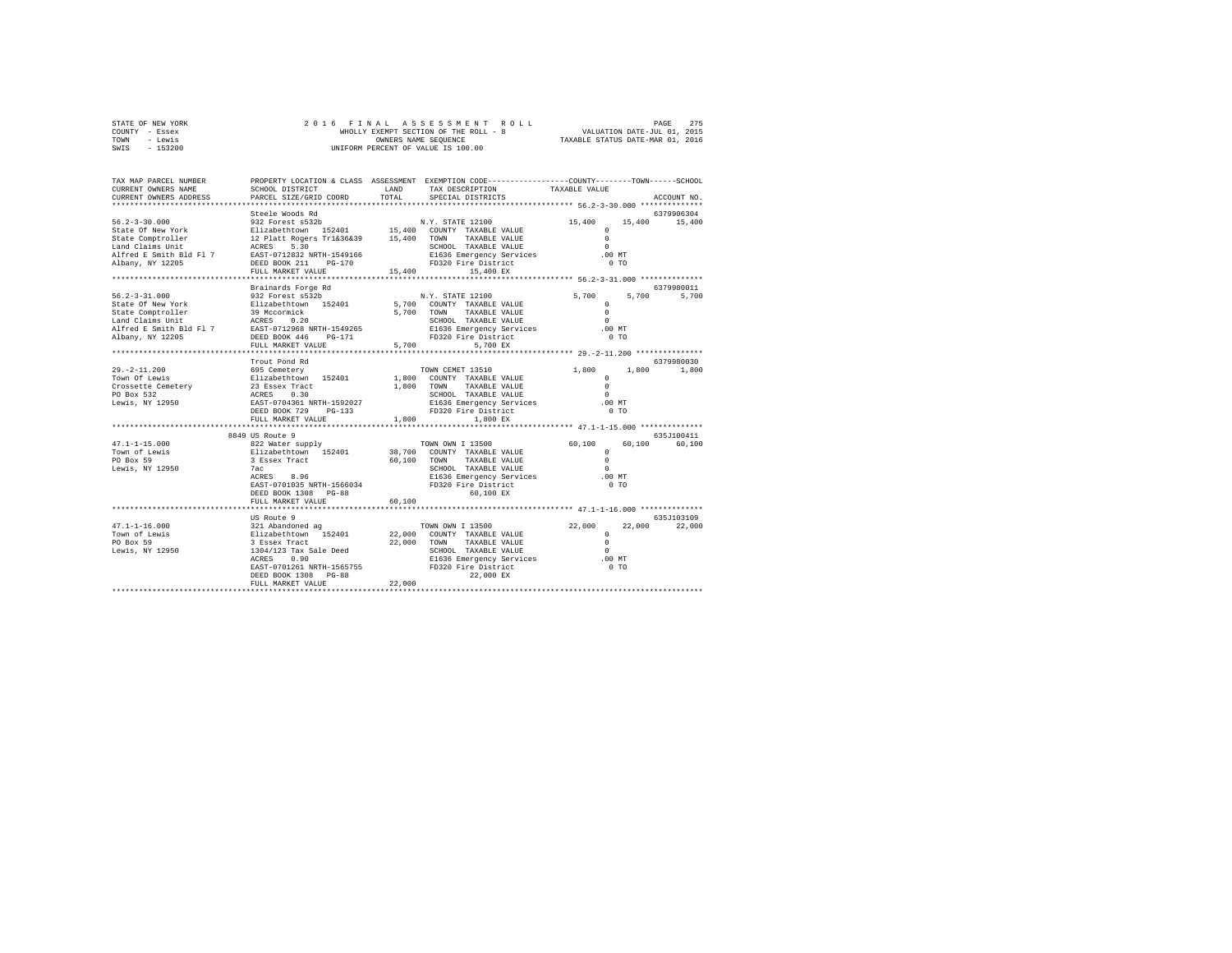| STATE OF NEW YORK |           |  | 2016 FINAL ASSESSMENT ROLL            |                                  | PAGE                        | 275 |
|-------------------|-----------|--|---------------------------------------|----------------------------------|-----------------------------|-----|
| COUNTY - Essex    |           |  | WHOLLY EXEMPT SECTION OF THE ROLL - 8 |                                  | VALUATION DATE-JUL 01, 2015 |     |
| TOWN              | - Lewis   |  | OWNERS NAME SEOUENCE                  | TAXABLE STATUS DATE-MAR 01, 2016 |                             |     |
| SWIS              | $-153200$ |  | UNIFORM PERCENT OF VALUE IS 100.00    |                                  |                             |     |

| TAX MAP PARCEL NUMBER<br>CURRENT OWNERS NAME<br>CURRENT OWNERS ADDRESS                                                                                                                                                                                                                                                                                                                                                                                  | SCHOOL DISTRICT                               |        | PROPERTY LOCATION & CLASS ASSESSMENT EXEMPTION CODE---------------COUNTY-------TOWN-----SCHOOL<br>$\begin{tabular}{ll} $\begin{array}{l} & \multicolumn{3}{l} \multicolumn{3}{l}{\multicolumn{3}{l}{\multicolumn{3}{l}{\multicolumn{3}{l}{\multicolumn{3}{l}{\multicolumn{3}{l}{\multicolumn{3}{l}{\multicolumn{3}{l}{\multicolumn{3}{l}{\multicolumn{3}{l}{\multicolumn{3}{l}{\multicolumn{3}{l}{\multicolumn{3}{l}{\multicolumn{3}{l}{\multicolumn{3}{l}{\multicolumn{3}{l}{\multicolumn{3}{l}{\multicolumn{3}{l}{\multicolumn{3}{l}{\multicolumn{3}{l}{\multicolumn{3}{l}{\multicolumn{3$<br>LAND TAX DESCRIPTION |                                            |                   |
|---------------------------------------------------------------------------------------------------------------------------------------------------------------------------------------------------------------------------------------------------------------------------------------------------------------------------------------------------------------------------------------------------------------------------------------------------------|-----------------------------------------------|--------|----------------------------------------------------------------------------------------------------------------------------------------------------------------------------------------------------------------------------------------------------------------------------------------------------------------------------------------------------------------------------------------------------------------------------------------------------------------------------------------------------------------------------------------------------------------------------------------------------------------------|--------------------------------------------|-------------------|
|                                                                                                                                                                                                                                                                                                                                                                                                                                                         | PARCEL SIZE/GRID COORD                        |        |                                                                                                                                                                                                                                                                                                                                                                                                                                                                                                                                                                                                                      |                                            | ACCOUNT NO.       |
|                                                                                                                                                                                                                                                                                                                                                                                                                                                         |                                               |        |                                                                                                                                                                                                                                                                                                                                                                                                                                                                                                                                                                                                                      |                                            | 6379906304        |
|                                                                                                                                                                                                                                                                                                                                                                                                                                                         |                                               |        |                                                                                                                                                                                                                                                                                                                                                                                                                                                                                                                                                                                                                      | 15,400 15,400 15,400                       |                   |
|                                                                                                                                                                                                                                                                                                                                                                                                                                                         |                                               |        |                                                                                                                                                                                                                                                                                                                                                                                                                                                                                                                                                                                                                      |                                            |                   |
|                                                                                                                                                                                                                                                                                                                                                                                                                                                         |                                               |        |                                                                                                                                                                                                                                                                                                                                                                                                                                                                                                                                                                                                                      |                                            |                   |
|                                                                                                                                                                                                                                                                                                                                                                                                                                                         |                                               |        |                                                                                                                                                                                                                                                                                                                                                                                                                                                                                                                                                                                                                      |                                            |                   |
|                                                                                                                                                                                                                                                                                                                                                                                                                                                         |                                               |        | SCHOOL TAXABLE VALUE<br>E1636 Emergency Services (00 MT                                                                                                                                                                                                                                                                                                                                                                                                                                                                                                                                                              |                                            |                   |
|                                                                                                                                                                                                                                                                                                                                                                                                                                                         |                                               |        |                                                                                                                                                                                                                                                                                                                                                                                                                                                                                                                                                                                                                      | 0 <sub>T</sub>                             |                   |
| $\begin{tabular}{lcccc} 56.2-3-30.000 & \textbf{Steele Woods Rd} & & & & & & & & 15,400 \\ \texttt{State Of New York} & & & & & 932 & \texttt{Forest S52D} & & & & & & 15,400 \\ \texttt{State Of New York} & & & & & & & 12. \texttt{Plate Mods} & & & & 15,400 & \texttt{COMITY TAXABLE VALUE} & & & & & & 0 \\ \texttt{State Comprueller} & & & & 12. \texttt{Plate Rogers T1k36k39} & & & 15,400 & \texttt{TONAT YAXABLE VALUE} & & & & & & 0 \\ \$ |                                               |        |                                                                                                                                                                                                                                                                                                                                                                                                                                                                                                                                                                                                                      |                                            |                   |
|                                                                                                                                                                                                                                                                                                                                                                                                                                                         |                                               |        |                                                                                                                                                                                                                                                                                                                                                                                                                                                                                                                                                                                                                      |                                            |                   |
|                                                                                                                                                                                                                                                                                                                                                                                                                                                         | Brainards Forge Rd                            |        |                                                                                                                                                                                                                                                                                                                                                                                                                                                                                                                                                                                                                      |                                            | 6379980011        |
| $56.2 - 3 - 31.000$                                                                                                                                                                                                                                                                                                                                                                                                                                     | 932 Forest s532b                              |        | N.Y. STATE 12100                                                                                                                                                                                                                                                                                                                                                                                                                                                                                                                                                                                                     | 5,700                                      | 5,700 5,700       |
|                                                                                                                                                                                                                                                                                                                                                                                                                                                         |                                               |        |                                                                                                                                                                                                                                                                                                                                                                                                                                                                                                                                                                                                                      |                                            |                   |
|                                                                                                                                                                                                                                                                                                                                                                                                                                                         |                                               |        |                                                                                                                                                                                                                                                                                                                                                                                                                                                                                                                                                                                                                      |                                            |                   |
|                                                                                                                                                                                                                                                                                                                                                                                                                                                         |                                               |        |                                                                                                                                                                                                                                                                                                                                                                                                                                                                                                                                                                                                                      |                                            |                   |
| $\begin{tabular}{lcccc} 56.2-3-31.0000 & 19.27 & 19.28 & 19.28 & 19.28 & 19.28 & 19.28 & 19.28 & 19.28 & 19.28 & 19.28 & 19.28 & 19.28 & 19.28 & 19.28 & 19.28 & 19.28 & 19.28 & 19.28 & 19.28 & 19.28 & 19.28 & 19.28 & 19.28 & 19.28 & 19.28 & 19.28 & 19.28 & 19.28$                                                                                                                                                                                 |                                               |        |                                                                                                                                                                                                                                                                                                                                                                                                                                                                                                                                                                                                                      |                                            |                   |
|                                                                                                                                                                                                                                                                                                                                                                                                                                                         |                                               |        |                                                                                                                                                                                                                                                                                                                                                                                                                                                                                                                                                                                                                      |                                            |                   |
|                                                                                                                                                                                                                                                                                                                                                                                                                                                         |                                               |        |                                                                                                                                                                                                                                                                                                                                                                                                                                                                                                                                                                                                                      |                                            |                   |
|                                                                                                                                                                                                                                                                                                                                                                                                                                                         | Trout Pond Rd                                 |        |                                                                                                                                                                                                                                                                                                                                                                                                                                                                                                                                                                                                                      |                                            | 6379980030        |
|                                                                                                                                                                                                                                                                                                                                                                                                                                                         |                                               |        |                                                                                                                                                                                                                                                                                                                                                                                                                                                                                                                                                                                                                      |                                            | 1,800 1,800 1,800 |
|                                                                                                                                                                                                                                                                                                                                                                                                                                                         |                                               |        |                                                                                                                                                                                                                                                                                                                                                                                                                                                                                                                                                                                                                      |                                            |                   |
|                                                                                                                                                                                                                                                                                                                                                                                                                                                         |                                               |        |                                                                                                                                                                                                                                                                                                                                                                                                                                                                                                                                                                                                                      |                                            |                   |
|                                                                                                                                                                                                                                                                                                                                                                                                                                                         |                                               |        |                                                                                                                                                                                                                                                                                                                                                                                                                                                                                                                                                                                                                      |                                            |                   |
|                                                                                                                                                                                                                                                                                                                                                                                                                                                         |                                               |        |                                                                                                                                                                                                                                                                                                                                                                                                                                                                                                                                                                                                                      |                                            |                   |
|                                                                                                                                                                                                                                                                                                                                                                                                                                                         |                                               |        |                                                                                                                                                                                                                                                                                                                                                                                                                                                                                                                                                                                                                      |                                            |                   |
|                                                                                                                                                                                                                                                                                                                                                                                                                                                         | FULL MARKET VALUE                             | 1,800  | 1,800 EX                                                                                                                                                                                                                                                                                                                                                                                                                                                                                                                                                                                                             |                                            |                   |
|                                                                                                                                                                                                                                                                                                                                                                                                                                                         |                                               |        |                                                                                                                                                                                                                                                                                                                                                                                                                                                                                                                                                                                                                      |                                            |                   |
|                                                                                                                                                                                                                                                                                                                                                                                                                                                         | 8849 US Route 9                               |        |                                                                                                                                                                                                                                                                                                                                                                                                                                                                                                                                                                                                                      |                                            | 635J100411        |
|                                                                                                                                                                                                                                                                                                                                                                                                                                                         |                                               |        |                                                                                                                                                                                                                                                                                                                                                                                                                                                                                                                                                                                                                      | 60,100                                     | 60,100<br>60,100  |
|                                                                                                                                                                                                                                                                                                                                                                                                                                                         |                                               |        |                                                                                                                                                                                                                                                                                                                                                                                                                                                                                                                                                                                                                      |                                            |                   |
|                                                                                                                                                                                                                                                                                                                                                                                                                                                         |                                               |        |                                                                                                                                                                                                                                                                                                                                                                                                                                                                                                                                                                                                                      | $\begin{array}{c} 0 \\ 0 \\ 0 \end{array}$ |                   |
|                                                                                                                                                                                                                                                                                                                                                                                                                                                         |                                               |        | SCHOOL TAXABLE VALUE                                                                                                                                                                                                                                                                                                                                                                                                                                                                                                                                                                                                 | $\sim$                                     |                   |
|                                                                                                                                                                                                                                                                                                                                                                                                                                                         |                                               |        | E1636 Emergency Services                                                                                                                                                                                                                                                                                                                                                                                                                                                                                                                                                                                             | .00MT                                      |                   |
|                                                                                                                                                                                                                                                                                                                                                                                                                                                         | EAST-0701035 NRTH-1566034 FD320 Fire District |        |                                                                                                                                                                                                                                                                                                                                                                                                                                                                                                                                                                                                                      | 0 <sub>T</sub>                             |                   |
|                                                                                                                                                                                                                                                                                                                                                                                                                                                         | DEED BOOK 1308 PG-88                          |        | $60,100$ EX                                                                                                                                                                                                                                                                                                                                                                                                                                                                                                                                                                                                          |                                            |                   |
|                                                                                                                                                                                                                                                                                                                                                                                                                                                         | FULL MARKET VALUE                             | 60,100 |                                                                                                                                                                                                                                                                                                                                                                                                                                                                                                                                                                                                                      |                                            |                   |
|                                                                                                                                                                                                                                                                                                                                                                                                                                                         |                                               |        |                                                                                                                                                                                                                                                                                                                                                                                                                                                                                                                                                                                                                      |                                            |                   |
|                                                                                                                                                                                                                                                                                                                                                                                                                                                         |                                               |        |                                                                                                                                                                                                                                                                                                                                                                                                                                                                                                                                                                                                                      |                                            | 635J103109        |
|                                                                                                                                                                                                                                                                                                                                                                                                                                                         |                                               |        |                                                                                                                                                                                                                                                                                                                                                                                                                                                                                                                                                                                                                      |                                            | 22,000<br>22,000  |
|                                                                                                                                                                                                                                                                                                                                                                                                                                                         |                                               |        |                                                                                                                                                                                                                                                                                                                                                                                                                                                                                                                                                                                                                      |                                            |                   |
|                                                                                                                                                                                                                                                                                                                                                                                                                                                         |                                               |        |                                                                                                                                                                                                                                                                                                                                                                                                                                                                                                                                                                                                                      |                                            |                   |
|                                                                                                                                                                                                                                                                                                                                                                                                                                                         |                                               |        |                                                                                                                                                                                                                                                                                                                                                                                                                                                                                                                                                                                                                      |                                            |                   |
| 1991 116.000 1321 Aboute 9<br>1991 121 Aboute 9<br>TOWN OWN I 13500 22,000 22<br>TOWN OWN I 13500 22,000 22<br>TOWN OWN TAXABLE VALUE 0<br>EUROL I 22,000 TOWN TAXABLE VALUE 0<br>22,000 TOWN TAXABLE VALUE 0<br>FOR BOSTON TAXABLE VALUE 0<br>                                                                                                                                                                                                         |                                               |        |                                                                                                                                                                                                                                                                                                                                                                                                                                                                                                                                                                                                                      |                                            |                   |
|                                                                                                                                                                                                                                                                                                                                                                                                                                                         |                                               |        |                                                                                                                                                                                                                                                                                                                                                                                                                                                                                                                                                                                                                      |                                            |                   |
|                                                                                                                                                                                                                                                                                                                                                                                                                                                         | DEED BOOK 1308 PG-88                          |        | 22,000 EX                                                                                                                                                                                                                                                                                                                                                                                                                                                                                                                                                                                                            |                                            |                   |
|                                                                                                                                                                                                                                                                                                                                                                                                                                                         | FULL MARKET VALUE                             | 22,000 |                                                                                                                                                                                                                                                                                                                                                                                                                                                                                                                                                                                                                      |                                            |                   |
|                                                                                                                                                                                                                                                                                                                                                                                                                                                         |                                               |        |                                                                                                                                                                                                                                                                                                                                                                                                                                                                                                                                                                                                                      |                                            |                   |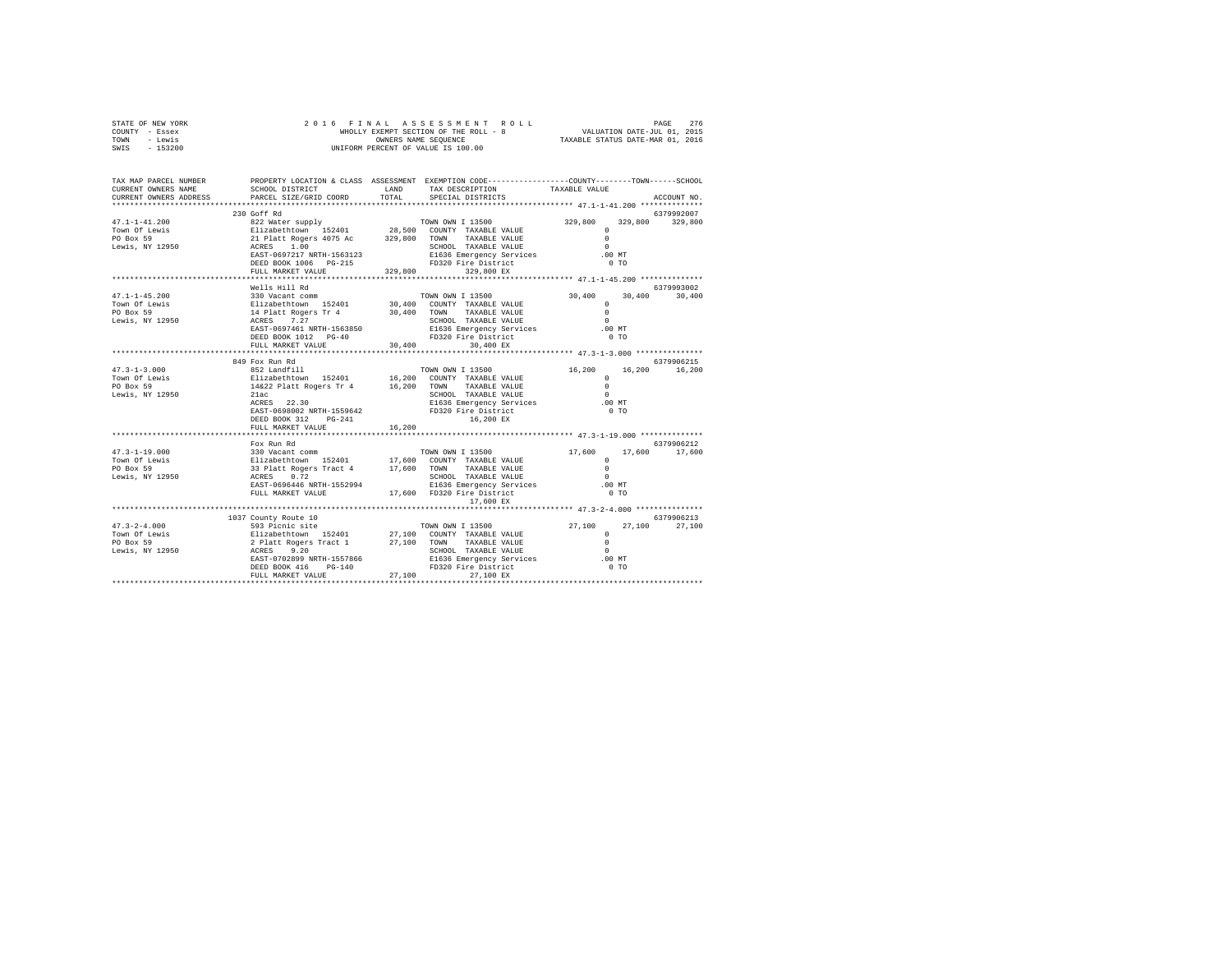| STATE OF NEW YORK | 2016 FINAL ASSESSMENT ROLL            | 276<br>PAGE                      |
|-------------------|---------------------------------------|----------------------------------|
| COUNTY - Essex    | WHOLLY EXEMPT SECTION OF THE ROLL - 8 | VALUATION DATE-JUL 01, 2015      |
| TOWN<br>- Lewis   | OWNERS NAME SEOUENCE                  | TAXABLE STATUS DATE-MAR 01, 2016 |
| $-153200$<br>SWIS | UNIFORM PERCENT OF VALUE IS 100.00    |                                  |

| TAX MAP PARCEL NUMBER<br>CURRENT OWNERS NAME<br>CURRENT OWNERS ADDRESS                                                                                                                                                                                                                                                                                                                                      | SCHOOL DISTRICT<br>PARCEL SIZE/GRID COORD                                                                                                |        | PROPERTY LOCATION & CLASS ASSESSMENT EXEMPTION CODE---------------COUNTY-------TOWN-----SCHOOL<br>LAND TAX DESCRIPTION TAXABLE VALUE COORD TOTAL SPECIAL DISTRICTS |                        | ACCOUNT NO.                 |
|-------------------------------------------------------------------------------------------------------------------------------------------------------------------------------------------------------------------------------------------------------------------------------------------------------------------------------------------------------------------------------------------------------------|------------------------------------------------------------------------------------------------------------------------------------------|--------|--------------------------------------------------------------------------------------------------------------------------------------------------------------------|------------------------|-----------------------------|
|                                                                                                                                                                                                                                                                                                                                                                                                             | 230 Goff Rd                                                                                                                              |        |                                                                                                                                                                    |                        | 6379992007                  |
| $\begin{array}{cccccc} 47.1-1-45.200 & 300\text{ vacuum} & \text{TOMN OMN} & 13500 & 30,400 & 53795 \cr \text{TOWR OF Lewis} & \text{E1izabethown} & 152401 & 30,400 & 30,400 & 30,400 \cr \text{PO Box 59} & \text{E1izabethown} & 152401 & 30,400 & \text{COMTYT AXXABLE VALUE} & 0 \cr \text{PO Box 59} & \text{ACRES} & 7.27 & 30,400 & \text{TONNN O TAXXABLE VALUE$                                   | Wells Hill Rd                                                                                                                            |        |                                                                                                                                                                    |                        | 6379993002<br>30,400        |
|                                                                                                                                                                                                                                                                                                                                                                                                             | 849 Fox Run Rd<br>EAST-0698002 NRTH-1559642 PD320 Fire District<br>DEED BOOK 312 PG-241<br>FULL MARKET VALUE<br>************************ | 16,200 | SCHOOL TAXABLE VALUE<br>E1636 Emergency Services (0 0 MT<br>FD320 Fire District (0 TO<br>16,200 EX                                                                 | $^{\circ}$<br>$\Omega$ | 6379906215<br>16,200 16,200 |
|                                                                                                                                                                                                                                                                                                                                                                                                             | Fox Run Rd                                                                                                                               |        | 17,600 EX                                                                                                                                                          |                        | 6379906212<br>17,600        |
| $\begin{tabular}{l c c c c} \multicolumn{3}{c}{\textbf{47.3--2-4.000}} & \multicolumn{3}{c}{\textbf{49.3--2-4.000}} & \multicolumn{3}{c}{\textbf{59.3~Picnic site}} & \multicolumn{3}{c}{\textbf{70NN~0NN I 13500}} & \multicolumn{3}{c}{\textbf{27.100}} & \multicolumn{3}{c}{\textbf{27.100}} & \multicolumn{3}{c}{\textbf{27.100}} & \multicolumn{3}{c}{\textbf{27.100}} & \multicolumn{3}{c}{\textbf{2$ | 1037 County Route 10                                                                                                                     |        |                                                                                                                                                                    |                        | 6379906213<br>27,100 27,100 |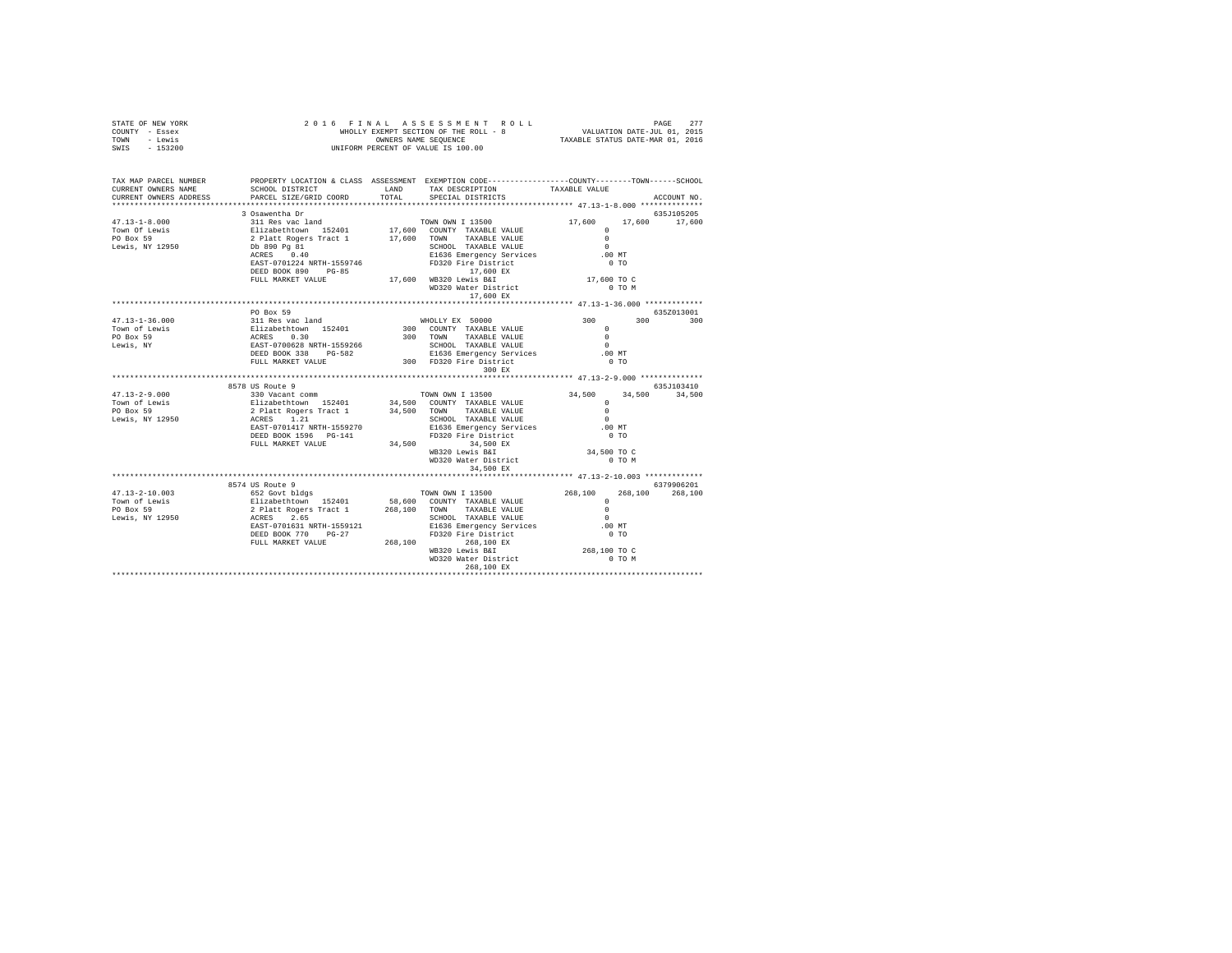| PROPERTY LOCATION & CLASS ASSESSMENT EXEMPTION CODE-----------------COUNTY-------TOWN------SCHOOL<br>TAX MAP PARCEL NUMBER<br>${\tt SCHOOL\ DISTRICT}\qquad \qquad {\tt LAND}\qquad \qquad {\tt TAX\ DESCRIFTION}\qquad \qquad {\tt TAXABLE\ VALUE}\nonumber$ PARCEL SIZE/GRID COORD $\qquad \qquad {\tt TOTAL}\qquad \qquad {\tt SPECIAL\ DISTRICTS}$<br>CURRENT OWNERS NAME<br>CURRENT OWNERS ADDRESS<br>ACCOUNT NO.<br>PO Box 59<br>635Z013001<br>$47.13 - 1 - 36.000$<br>Town of Lewis<br>PO Box 59<br>Lewis, NY<br>197.13-2-9.000<br>Magazine SF 2000 and communications and the ST 2000 and the ST 2000 and the ST 2000 and the ST 2000<br>Town of Lewis and the ST 2000 and the ST 2000 and the ST 2000 and the ST 2000 and the ST 2000 and the ST | STATE OF NEW YORK<br>COUNTY - Essex<br>TOWN - Lewis<br>SWIS - 153200 |  |  |  |
|-----------------------------------------------------------------------------------------------------------------------------------------------------------------------------------------------------------------------------------------------------------------------------------------------------------------------------------------------------------------------------------------------------------------------------------------------------------------------------------------------------------------------------------------------------------------------------------------------------------------------------------------------------------------------------------------------------------------------------------------------------------|----------------------------------------------------------------------|--|--|--|
|                                                                                                                                                                                                                                                                                                                                                                                                                                                                                                                                                                                                                                                                                                                                                           |                                                                      |  |  |  |
|                                                                                                                                                                                                                                                                                                                                                                                                                                                                                                                                                                                                                                                                                                                                                           |                                                                      |  |  |  |
|                                                                                                                                                                                                                                                                                                                                                                                                                                                                                                                                                                                                                                                                                                                                                           |                                                                      |  |  |  |
|                                                                                                                                                                                                                                                                                                                                                                                                                                                                                                                                                                                                                                                                                                                                                           |                                                                      |  |  |  |
|                                                                                                                                                                                                                                                                                                                                                                                                                                                                                                                                                                                                                                                                                                                                                           |                                                                      |  |  |  |
|                                                                                                                                                                                                                                                                                                                                                                                                                                                                                                                                                                                                                                                                                                                                                           |                                                                      |  |  |  |
|                                                                                                                                                                                                                                                                                                                                                                                                                                                                                                                                                                                                                                                                                                                                                           |                                                                      |  |  |  |
|                                                                                                                                                                                                                                                                                                                                                                                                                                                                                                                                                                                                                                                                                                                                                           |                                                                      |  |  |  |
|                                                                                                                                                                                                                                                                                                                                                                                                                                                                                                                                                                                                                                                                                                                                                           |                                                                      |  |  |  |
|                                                                                                                                                                                                                                                                                                                                                                                                                                                                                                                                                                                                                                                                                                                                                           |                                                                      |  |  |  |
|                                                                                                                                                                                                                                                                                                                                                                                                                                                                                                                                                                                                                                                                                                                                                           |                                                                      |  |  |  |
|                                                                                                                                                                                                                                                                                                                                                                                                                                                                                                                                                                                                                                                                                                                                                           |                                                                      |  |  |  |
|                                                                                                                                                                                                                                                                                                                                                                                                                                                                                                                                                                                                                                                                                                                                                           |                                                                      |  |  |  |
|                                                                                                                                                                                                                                                                                                                                                                                                                                                                                                                                                                                                                                                                                                                                                           |                                                                      |  |  |  |
|                                                                                                                                                                                                                                                                                                                                                                                                                                                                                                                                                                                                                                                                                                                                                           |                                                                      |  |  |  |
|                                                                                                                                                                                                                                                                                                                                                                                                                                                                                                                                                                                                                                                                                                                                                           |                                                                      |  |  |  |
|                                                                                                                                                                                                                                                                                                                                                                                                                                                                                                                                                                                                                                                                                                                                                           |                                                                      |  |  |  |
|                                                                                                                                                                                                                                                                                                                                                                                                                                                                                                                                                                                                                                                                                                                                                           |                                                                      |  |  |  |
|                                                                                                                                                                                                                                                                                                                                                                                                                                                                                                                                                                                                                                                                                                                                                           |                                                                      |  |  |  |
|                                                                                                                                                                                                                                                                                                                                                                                                                                                                                                                                                                                                                                                                                                                                                           |                                                                      |  |  |  |
|                                                                                                                                                                                                                                                                                                                                                                                                                                                                                                                                                                                                                                                                                                                                                           |                                                                      |  |  |  |
|                                                                                                                                                                                                                                                                                                                                                                                                                                                                                                                                                                                                                                                                                                                                                           |                                                                      |  |  |  |
|                                                                                                                                                                                                                                                                                                                                                                                                                                                                                                                                                                                                                                                                                                                                                           |                                                                      |  |  |  |
|                                                                                                                                                                                                                                                                                                                                                                                                                                                                                                                                                                                                                                                                                                                                                           |                                                                      |  |  |  |
|                                                                                                                                                                                                                                                                                                                                                                                                                                                                                                                                                                                                                                                                                                                                                           |                                                                      |  |  |  |
|                                                                                                                                                                                                                                                                                                                                                                                                                                                                                                                                                                                                                                                                                                                                                           |                                                                      |  |  |  |
|                                                                                                                                                                                                                                                                                                                                                                                                                                                                                                                                                                                                                                                                                                                                                           |                                                                      |  |  |  |
|                                                                                                                                                                                                                                                                                                                                                                                                                                                                                                                                                                                                                                                                                                                                                           |                                                                      |  |  |  |
|                                                                                                                                                                                                                                                                                                                                                                                                                                                                                                                                                                                                                                                                                                                                                           |                                                                      |  |  |  |
|                                                                                                                                                                                                                                                                                                                                                                                                                                                                                                                                                                                                                                                                                                                                                           |                                                                      |  |  |  |
|                                                                                                                                                                                                                                                                                                                                                                                                                                                                                                                                                                                                                                                                                                                                                           |                                                                      |  |  |  |
|                                                                                                                                                                                                                                                                                                                                                                                                                                                                                                                                                                                                                                                                                                                                                           |                                                                      |  |  |  |
|                                                                                                                                                                                                                                                                                                                                                                                                                                                                                                                                                                                                                                                                                                                                                           |                                                                      |  |  |  |
|                                                                                                                                                                                                                                                                                                                                                                                                                                                                                                                                                                                                                                                                                                                                                           |                                                                      |  |  |  |
|                                                                                                                                                                                                                                                                                                                                                                                                                                                                                                                                                                                                                                                                                                                                                           |                                                                      |  |  |  |
|                                                                                                                                                                                                                                                                                                                                                                                                                                                                                                                                                                                                                                                                                                                                                           |                                                                      |  |  |  |
|                                                                                                                                                                                                                                                                                                                                                                                                                                                                                                                                                                                                                                                                                                                                                           |                                                                      |  |  |  |
|                                                                                                                                                                                                                                                                                                                                                                                                                                                                                                                                                                                                                                                                                                                                                           |                                                                      |  |  |  |
|                                                                                                                                                                                                                                                                                                                                                                                                                                                                                                                                                                                                                                                                                                                                                           |                                                                      |  |  |  |
|                                                                                                                                                                                                                                                                                                                                                                                                                                                                                                                                                                                                                                                                                                                                                           |                                                                      |  |  |  |
|                                                                                                                                                                                                                                                                                                                                                                                                                                                                                                                                                                                                                                                                                                                                                           |                                                                      |  |  |  |
|                                                                                                                                                                                                                                                                                                                                                                                                                                                                                                                                                                                                                                                                                                                                                           |                                                                      |  |  |  |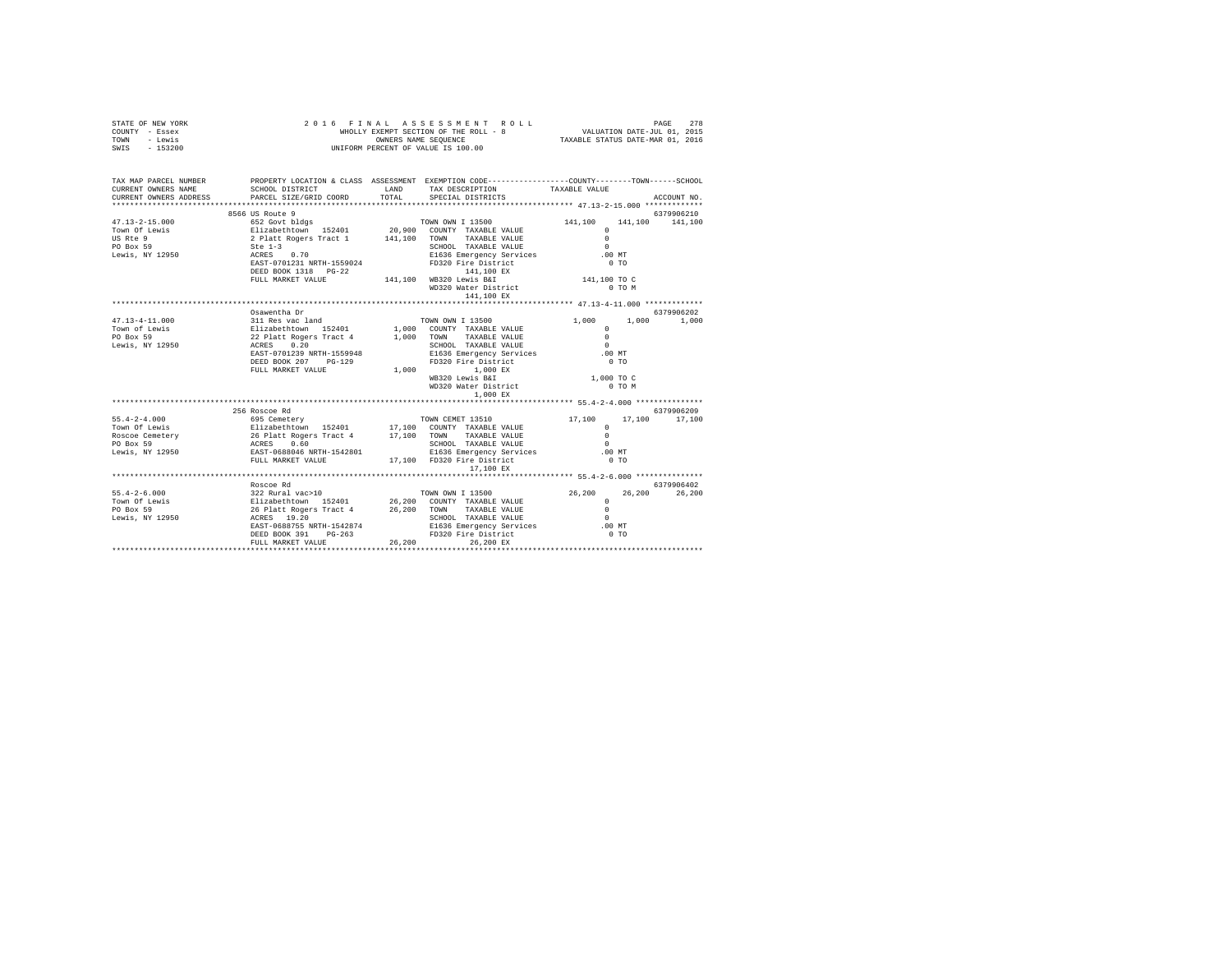| STATE OF NEW YORK<br>COUNTY - Essex<br>TOWN - Lewis<br>SWIS - 153200                                                                       |                                                                                                |       | 278 PAGE 278 A S S S S S M E N T R O L L<br>WHOLLY EXEMPT SECTION OF THE ROLL - 8<br>WHOLLY EXEMPT SEQUENCE A TAXABLE STATUS DATE–NAR 01, 2016<br>UNIFORM PERCENT OF VALUE IS 100.00 |            |                                |                 |
|--------------------------------------------------------------------------------------------------------------------------------------------|------------------------------------------------------------------------------------------------|-------|--------------------------------------------------------------------------------------------------------------------------------------------------------------------------------------|------------|--------------------------------|-----------------|
|                                                                                                                                            |                                                                                                |       |                                                                                                                                                                                      |            |                                |                 |
| TAX MAP PARCEL NUMBER PROPERTY LOCATION & CLASS ASSESSMENT EXEMPTION CODE--------------COUNTY-------TOWN-----SCHOOL<br>CURRENT OWNERS NAME | SCHOOL DISTRICT TAND TAX DESCRIPTION                                                           |       |                                                                                                                                                                                      |            | TAXABLE VALUE                  |                 |
| CURRENT OWNERS ADDRESS PARCEL SIZE/GRID COORD                                                                                              |                                                                                                | TOTAL | SPECIAL DISTRICTS                                                                                                                                                                    |            |                                | ACCOUNT NO.     |
|                                                                                                                                            |                                                                                                |       |                                                                                                                                                                                      |            |                                |                 |
|                                                                                                                                            |                                                                                                |       |                                                                                                                                                                                      |            |                                | 6379906210      |
|                                                                                                                                            |                                                                                                |       | TOWN OWN I 13500 141,100                                                                                                                                                             |            | $\Omega$                       | 141,100 141,100 |
|                                                                                                                                            |                                                                                                |       |                                                                                                                                                                                      |            | $\sim$                         |                 |
|                                                                                                                                            |                                                                                                |       |                                                                                                                                                                                      |            | $\sim$                         |                 |
|                                                                                                                                            |                                                                                                |       | E1636 Emergency Services                                                                                                                                                             |            | .00 MT                         |                 |
|                                                                                                                                            |                                                                                                |       | FD320 Fire District                                                                                                                                                                  |            | 0T0                            |                 |
|                                                                                                                                            |                                                                                                |       |                                                                                                                                                                                      |            |                                |                 |
|                                                                                                                                            | DEED BOOK 1318 PG-22 141,100 WB320 Lewis B&I<br>FULL MARKET VALUE 141,100 WB320 Lewis B&I      |       |                                                                                                                                                                                      |            | 141,100 TO C                   |                 |
|                                                                                                                                            |                                                                                                |       | WD320 Water District<br>141,100 EX                                                                                                                                                   |            | 0 TO M                         |                 |
|                                                                                                                                            |                                                                                                |       |                                                                                                                                                                                      |            |                                |                 |
|                                                                                                                                            | Osawentha Dr                                                                                   |       |                                                                                                                                                                                      |            |                                | 6379906202      |
|                                                                                                                                            |                                                                                                |       |                                                                                                                                                                                      |            |                                |                 |
|                                                                                                                                            |                                                                                                |       |                                                                                                                                                                                      |            |                                |                 |
|                                                                                                                                            |                                                                                                |       |                                                                                                                                                                                      |            |                                |                 |
|                                                                                                                                            |                                                                                                |       |                                                                                                                                                                                      |            | .00 MT                         |                 |
|                                                                                                                                            | DEED BOOK 207 PG-129                                                                           |       | SCHOOL TAXABLE VALUE<br>E1636 Emergency Services<br>FD320 Fire District                                                                                                              |            | $0$ TO                         |                 |
|                                                                                                                                            | FULL MARKET VALUE                                                                              |       | 1,000 1,000 EX                                                                                                                                                                       |            |                                |                 |
|                                                                                                                                            |                                                                                                |       | WB320 Lewis B&I                                                                                                                                                                      |            | 1,000 TO C                     |                 |
|                                                                                                                                            |                                                                                                |       | WD320 Water District                                                                                                                                                                 |            | $0$ TO $M$                     |                 |
|                                                                                                                                            |                                                                                                |       |                                                                                                                                                                                      | $1,000$ EX |                                |                 |
|                                                                                                                                            | 256 Roscoe Rd                                                                                  |       |                                                                                                                                                                                      |            |                                | 6379906209      |
|                                                                                                                                            |                                                                                                |       |                                                                                                                                                                                      |            | 17,100                         | 17,100 17,100   |
|                                                                                                                                            |                                                                                                |       |                                                                                                                                                                                      |            | $\Omega$                       |                 |
|                                                                                                                                            |                                                                                                |       |                                                                                                                                                                                      |            | $\Omega$                       |                 |
|                                                                                                                                            |                                                                                                |       |                                                                                                                                                                                      |            | $\sim$                         |                 |
|                                                                                                                                            |                                                                                                |       |                                                                                                                                                                                      |            | .00 MT                         |                 |
|                                                                                                                                            |                                                                                                |       |                                                                                                                                                                                      |            | 0.70                           |                 |
|                                                                                                                                            |                                                                                                |       | 17,100 EX                                                                                                                                                                            |            |                                |                 |
|                                                                                                                                            |                                                                                                |       |                                                                                                                                                                                      |            |                                |                 |
|                                                                                                                                            | Roscoe Rd                                                                                      |       |                                                                                                                                                                                      |            |                                | 6379906402      |
|                                                                                                                                            |                                                                                                |       |                                                                                                                                                                                      |            | $26,200$ $26,200$ $83799$<br>0 | 26,200          |
|                                                                                                                                            |                                                                                                |       |                                                                                                                                                                                      |            |                                |                 |
|                                                                                                                                            |                                                                                                |       | SCHOOL TAXABLE VALUE                                                                                                                                                                 |            | $\sim$                         |                 |
|                                                                                                                                            |                                                                                                |       |                                                                                                                                                                                      |            | .00 MT                         |                 |
|                                                                                                                                            | EAST-0688755 NRTH-1542874 E1636 Emergency Services<br>DEED BOOK 391 PG-263 FD320 Fire District |       |                                                                                                                                                                                      |            | 0.70                           |                 |
|                                                                                                                                            | FULL MARKET VALUE                                                                              |       | 26,200 26,200 EX                                                                                                                                                                     |            |                                |                 |
|                                                                                                                                            |                                                                                                |       |                                                                                                                                                                                      |            |                                |                 |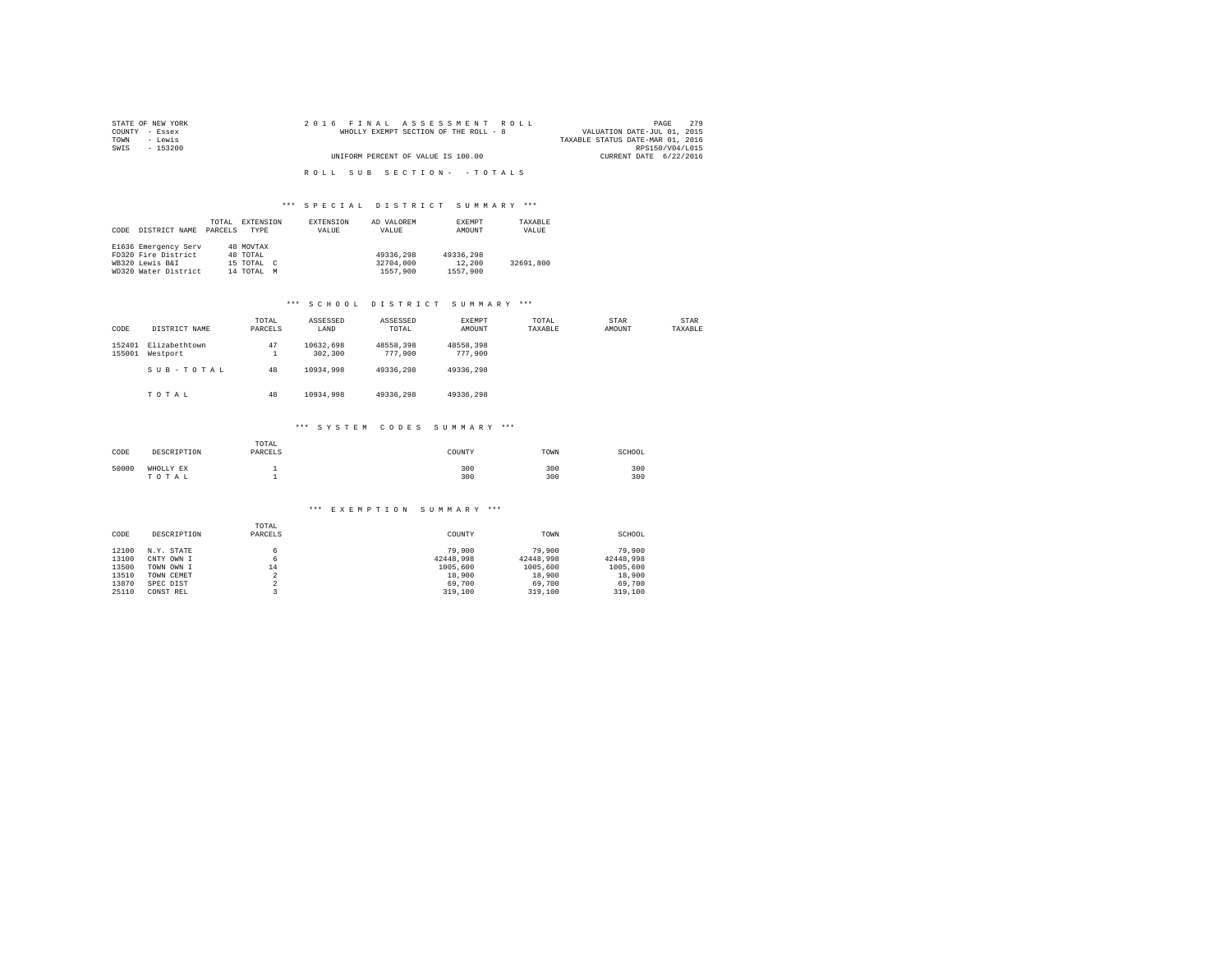| STATE OF NEW YORK | 2016 FINAL ASSESSMENT ROLL            | 2.79<br>PAGE                     |
|-------------------|---------------------------------------|----------------------------------|
| COUNTY - Essex    | WHOLLY EXEMPT SECTION OF THE ROLL - 8 | VALUATION DATE-JUL 01, 2015      |
| TOWN<br>- Lewis   |                                       | TAXABLE STATUS DATE-MAR 01, 2016 |
| SWIS<br>- 153200  |                                       | RPS150/V04/L015                  |
|                   | UNIFORM PERCENT OF VALUE IS 100.00    | CURRENT DATE 6/22/2016           |
|                   |                                       |                                  |
|                   | ROLL SUB SECTION- - TOTALS            |                                  |

|      |                      | TOTAL   | EXTENSION                 | EXTENSION | AD VALOREM | EXEMPT    | TAXABLE   |
|------|----------------------|---------|---------------------------|-----------|------------|-----------|-----------|
| CODE | DISTRICT NAME        | PARCELS | TYPE                      | VALUE     | VALUE      | AMOUNT    | VALUE     |
|      |                      |         |                           |           |            |           |           |
|      | E1636 Emergency Serv |         | 48 MOVTAX                 |           |            |           |           |
|      | FD320 Fire District  |         | 48 TOTAL                  |           | 49336,298  | 49336,298 |           |
|      | WB320 Lewis B&I      |         | 15 TOTAL<br>$\mathcal{C}$ |           | 32704,000  | 12,200    | 32691,800 |
|      | WD320 Water District |         | 14 TOTAL<br>M             |           | 1557,900   | 1557.900  |           |

#### \*\*\* S C H O O L D I S T R I C T S U M M A R Y \*\*\*

| CODE             | DISTRICT NAME             | TOTAL<br>PARCELS | ASSESSED<br>LAND     | ASSESSED<br>TOTAL    | EXEMPT<br>AMOUNT     | TOTAL<br>TAXABLE | STAR<br>AMOUNT | STAR<br>TAXABLE |
|------------------|---------------------------|------------------|----------------------|----------------------|----------------------|------------------|----------------|-----------------|
| 152401<br>155001 | Elizabethtown<br>Westport | 47<br>1          | 10632.698<br>302,300 | 48558.398<br>777,900 | 48558.398<br>777,900 |                  |                |                 |
|                  | SUB-TOTAL                 | 48               | 10934,998            | 49336.298            | 49336,298            |                  |                |                 |
|                  | TOTAL                     | 48               | 10934,998            | 49336.298            | 49336.298            |                  |                |                 |
|                  |                           |                  | *** SYSTEM           | CODES                | SUMMARY ***          |                  |                |                 |
| CODE             | DESCRIPTION               | TOTAL<br>PARCELS |                      |                      | COUNTY               | TOWN             | SCHOOL         |                 |

| _____ | .                  | .          | .          |            |
|-------|--------------------|------------|------------|------------|
| 50000 | WHOLLY EX<br>TOTAL | 300<br>300 | 300<br>300 | 300<br>300 |

#### \*\*\* E X E M P T I O N S U M M A R Y \*\*\*

|       |             | TOTAL                    |           |           |           |
|-------|-------------|--------------------------|-----------|-----------|-----------|
| CODE  | DESCRIPTION | PARCELS                  | COUNTY    | TOWN      | SCHOOL    |
|       |             |                          |           |           |           |
| 12100 | N.Y. STATE  | 6.                       | 79,900    | 79,900    | 79,900    |
| 13100 | CNTY OWN I  | 6                        | 42448.998 | 42448.998 | 42448.998 |
| 13500 | TOWN OWN I  | 14                       | 1005,600  | 1005,600  | 1005,600  |
| 13510 | TOWN CEMET  | ×                        | 18,900    | 18,900    | 18,900    |
| 13870 | SPEC DIST   | $\overline{\phantom{a}}$ | 69,700    | 69,700    | 69,700    |
| 25110 | CONST REL   |                          | 319,100   | 319,100   | 319,100   |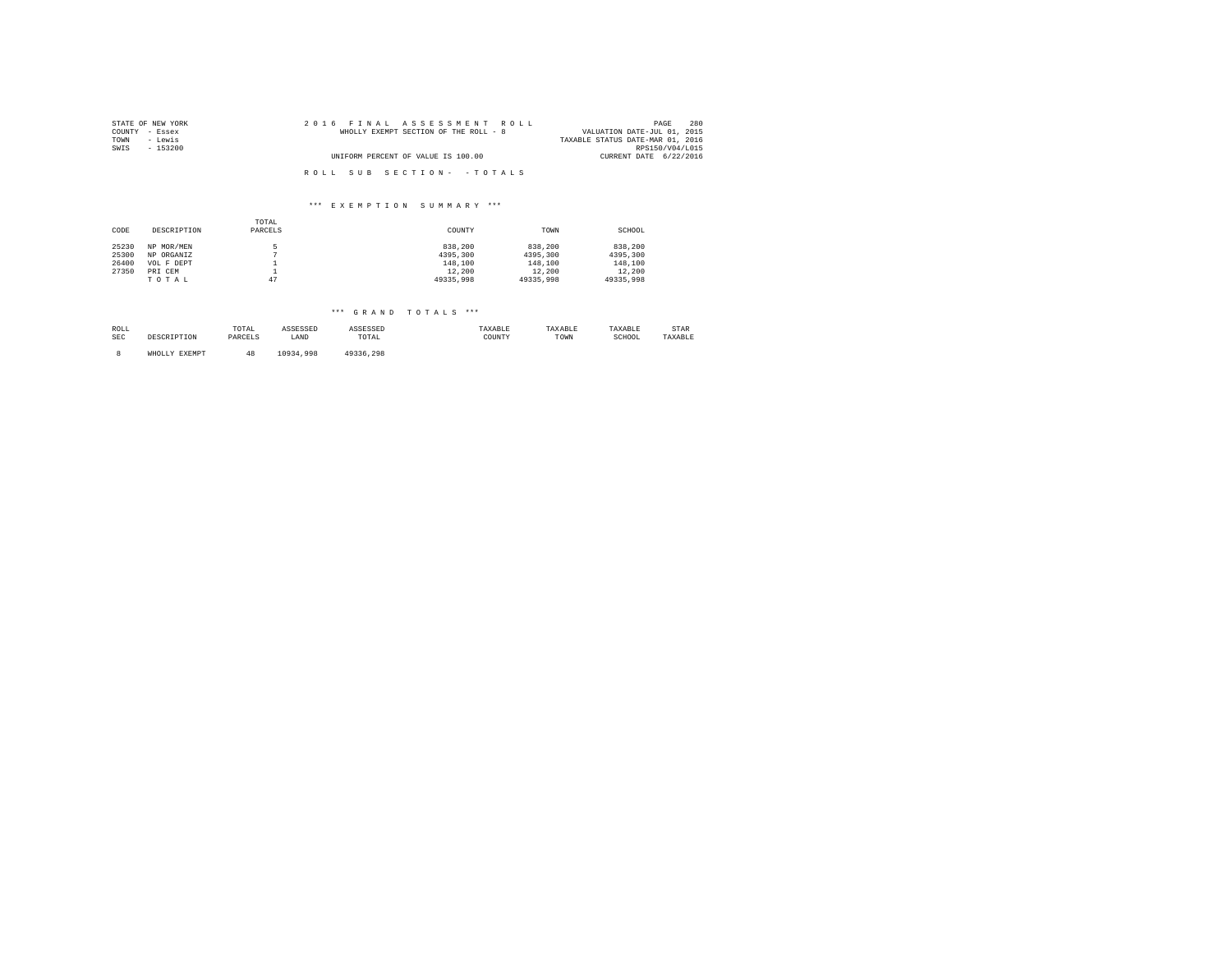| STATE OF NEW YORK | 2016 FINAL ASSESSMENT ROLL            | 280<br>PAGE                      |
|-------------------|---------------------------------------|----------------------------------|
| COUNTY - Essex    | WHOLLY EXEMPT SECTION OF THE ROLL - 8 | VALUATION DATE-JUL 01, 2015      |
| TOWN<br>- Lewis   |                                       | TAXABLE STATUS DATE-MAR 01, 2016 |
| SWIS<br>- 153200  |                                       | RPS150/V04/L015                  |
|                   | UNIFORM PERCENT OF VALUE IS 100.00    | CURRENT DATE 6/22/2016           |
|                   |                                       |                                  |
|                   | ROLL SUB SECTION- - TOTALS            |                                  |

|       |             | TOTAL    |           |           |           |
|-------|-------------|----------|-----------|-----------|-----------|
| CODE  | DESCRIPTION | PARCELS  | COUNTY    | TOWN      | SCHOOL    |
|       |             |          |           |           |           |
| 25230 | NP MOR/MEN  |          | 838,200   | 838,200   | 838,200   |
| 25300 | NP ORGANIZ  |          | 4395,300  | 4395,300  | 4395,300  |
| 26400 | VOL F DEPT  |          | 148,100   | 148,100   | 148,100   |
| 27350 | PRI CEM     | <b>.</b> | 12,200    | 12,200    | 12,200    |
|       | TOTAL       | 47       | 49335,998 | 49335,998 | 49335,998 |

\*\*\* GRAND TOTALS \*\*\*

| ROLL<br><b>SEC</b> | DESCRIPTION   | TOTAL<br>PARCELS | ASSESSED<br>LAND | ASSESSED<br>TOTAL | TAXABLE<br>COUNTY | TAXABLE<br>TOWN | TAXABLE<br>SCHOOL | STAR<br>TAXABLE |
|--------------------|---------------|------------------|------------------|-------------------|-------------------|-----------------|-------------------|-----------------|
|                    | WHOLLY EXEMPT | 48               | 10934,998        | 49336.298         |                   |                 |                   |                 |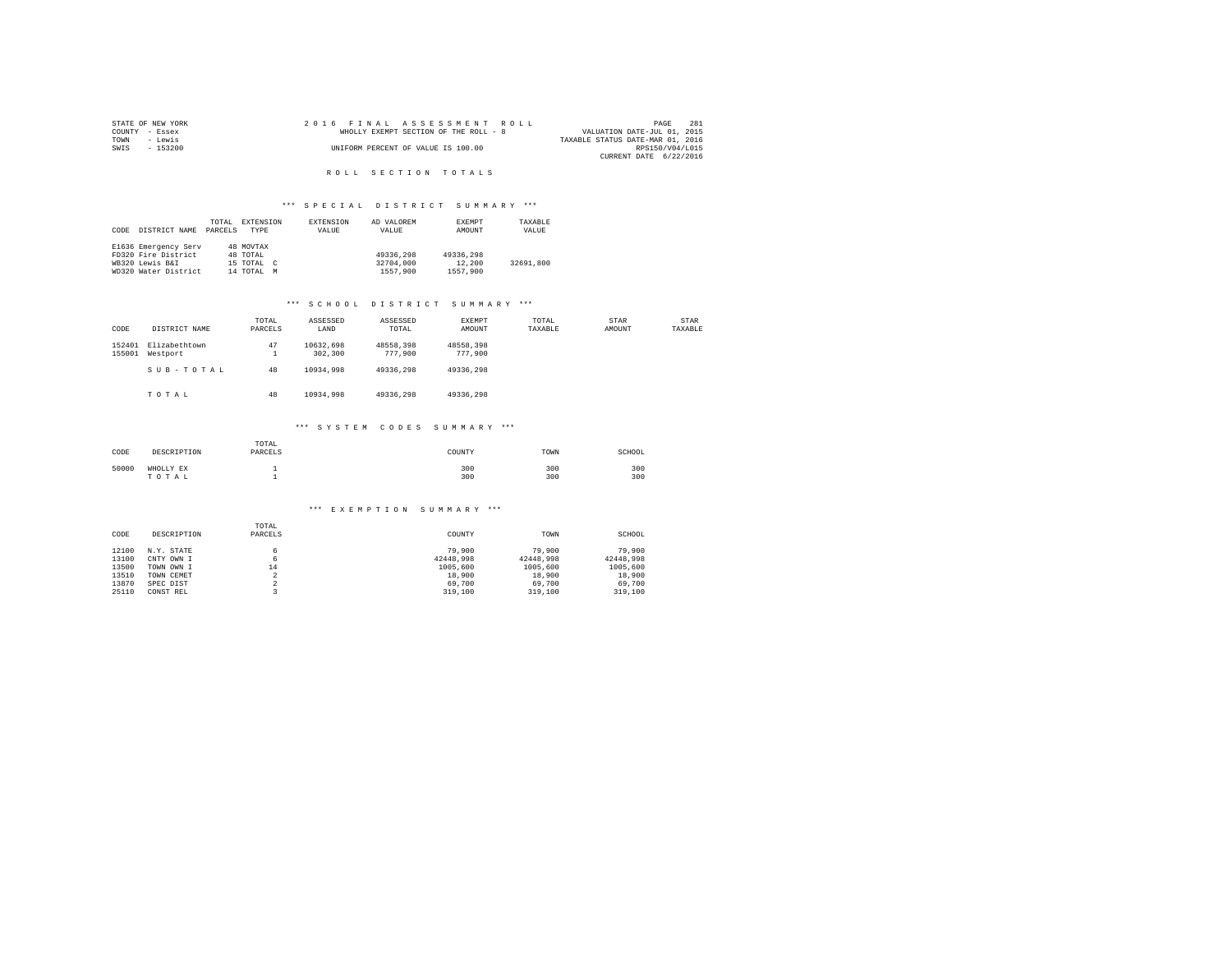|                | STATE OF NEW YORK |  |  |                                    | 2016 FINAL ASSESSMENT ROLL            |  |                                  |                        | PAGE | 2.81 |
|----------------|-------------------|--|--|------------------------------------|---------------------------------------|--|----------------------------------|------------------------|------|------|
| COUNTY - Essex |                   |  |  |                                    | WHOLLY EXEMPT SECTION OF THE ROLL - 8 |  | VALUATION DATE-JUL 01, 2015      |                        |      |      |
| TOWN           | - Lewis           |  |  |                                    |                                       |  | TAXABLE STATUS DATE-MAR 01, 2016 |                        |      |      |
| SWIS           | - 153200          |  |  | UNIFORM PERCENT OF VALUE IS 100.00 |                                       |  |                                  | RPS150/V04/L015        |      |      |
|                |                   |  |  |                                    |                                       |  |                                  | CURRENT DATE 6/22/2016 |      |      |

# R O L L S E C T I O N T O T A L S

#### \*\*\* SPECIAL DISTRICT SUMMARY \*\*\*

|      |                      | TOTAL   | EXTENSION     | <b>EXTENSION</b> | AD VALOREM | EXEMPT    | TAXABLE   |
|------|----------------------|---------|---------------|------------------|------------|-----------|-----------|
| CODE | DISTRICT NAME        | PARCELS | TYPE          | VALUE            | VALUE      | AMOUNT    | VALUE     |
|      |                      |         |               |                  |            |           |           |
|      | E1636 Emergency Serv |         | 48 MOVTAX     |                  |            |           |           |
|      | FD320 Fire District  |         | 48 TOTAL      |                  | 49336,298  | 49336,298 |           |
|      | WB320 Lewis B&I      |         | 15 TOTAL C    |                  | 32704,000  | 12,200    | 32691.800 |
|      | WD320 Water District |         | 14 TOTAL<br>M |                  | 1557,900   | 1557.900  |           |

## \*\*\* S C H O O L D I S T R I C T S U M M A R Y \*\*\*

| CODE             | DISTRICT NAME             | TOTAL<br>PARCELS           | ASSESSED<br>LAND     | ASSESSED<br>TOTAL    | EXEMPT<br>AMOUNT     | TOTAL<br>TAXABLE | STAR<br>AMOUNT | STAR<br>TAXABLE |
|------------------|---------------------------|----------------------------|----------------------|----------------------|----------------------|------------------|----------------|-----------------|
| 152401<br>155001 | Elizabethtown<br>Westport | 47<br>$\overline{a}$<br>÷. | 10632.698<br>302,300 | 48558.398<br>777,900 | 48558.398<br>777,900 |                  |                |                 |
|                  | SUB-TOTAL                 | 48                         | 10934.998            | 49336.298            | 49336.298            |                  |                |                 |
|                  | TOTAL                     | 48                         | 10934,998            | 49336.298            | 49336.298            |                  |                |                 |
|                  |                           |                            | *** SYSTEM CODES     |                      | SUMMARY ***          |                  |                |                 |
|                  |                           | TOTAL                      |                      |                      |                      |                  |                |                 |

| CODE  | DESCRIPTION        | PARCELS | COUNTY     | TOWN       | SCHOOL     |
|-------|--------------------|---------|------------|------------|------------|
| 50000 | WHOLLY EX<br>TOTAL |         | 300<br>300 | 300<br>300 | 300<br>300 |

#### \*\*\* E X E M P T I O N S U M M A R Y \*\*\*

|       |             | TOTAL               |           |           |           |
|-------|-------------|---------------------|-----------|-----------|-----------|
| CODE  | DESCRIPTION | PARCELS             | COUNTY    | TOWN      | SCHOOL    |
|       |             |                     |           |           |           |
| 12100 | N.Y. STATE  | 6.                  | 79,900    | 79,900    | 79,900    |
| 13100 | CNTY OWN I  | 6                   | 42448.998 | 42448.998 | 42448.998 |
| 13500 | TOWN OWN I  | 14                  | 1005,600  | 1005,600  | 1005,600  |
| 13510 | TOWN CEMET  | $\hat{\phantom{a}}$ | 18,900    | 18,900    | 18,900    |
| 13870 | SPEC DIST   | ×                   | 69,700    | 69,700    | 69,700    |
| 25110 | CONST REL   |                     | 319,100   | 319,100   | 319,100   |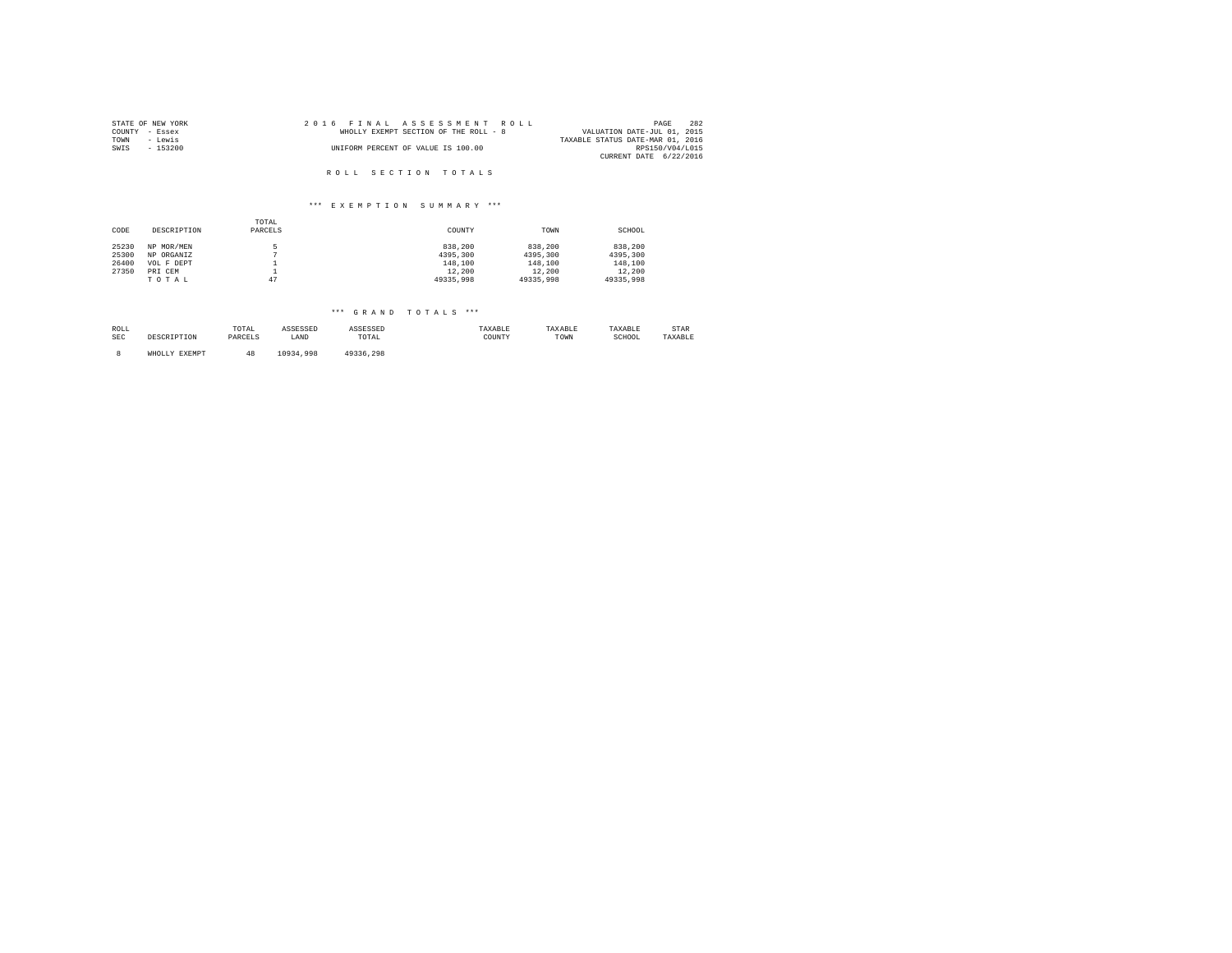| STATE OF NEW YORK | 2016 FINAL ASSESSMENT ROLL            | 282<br>PAGE                      |
|-------------------|---------------------------------------|----------------------------------|
| COUNTY - Essex    | WHOLLY EXEMPT SECTION OF THE ROLL - 8 | VALUATION DATE-JUL 01, 2015      |
| TOWN<br>- Lewis   |                                       | TAXABLE STATUS DATE-MAR 01, 2016 |
| SWIS<br>- 153200  | UNIFORM PERCENT OF VALUE IS 100.00    | RPS150/V04/L015                  |
|                   |                                       | CURRENT DATE 6/22/2016           |
|                   |                                       |                                  |
|                   | ROLL SECTION TOTALS                   |                                  |

|       |             | TOTAL    |           |           |           |
|-------|-------------|----------|-----------|-----------|-----------|
| CODE  | DESCRIPTION | PARCELS  | COUNTY    | TOWN      | SCHOOL    |
| 25230 | NP MOR/MEN  | к        | 838,200   | 838,200   | 838,200   |
| 25300 | NP ORGANIZ  |          | 4395,300  | 4395,300  | 4395,300  |
| 26400 | VOL F DEPT  | <b>.</b> | 148,100   | 148,100   | 148,100   |
| 27350 | PRI CEM     | <b>.</b> | 12,200    | 12,200    | 12,200    |
|       | TOTAL       | 47       | 49335,998 | 49335,998 | 49335,998 |

| ROLL<br>SEC | DESCRIPTION   | TOTAL<br>PARCELS | ASSESSED<br>LAND | ASSESSED<br>TOTAL | TAXABLE<br>COUNTY | TAXABLE<br>TOWN | TAXABLE<br>SCHOOL | STAR<br>TAXABLE |
|-------------|---------------|------------------|------------------|-------------------|-------------------|-----------------|-------------------|-----------------|
|             | WHOLLY EXEMPT |                  | 10934.998        | 49336.298         |                   |                 |                   |                 |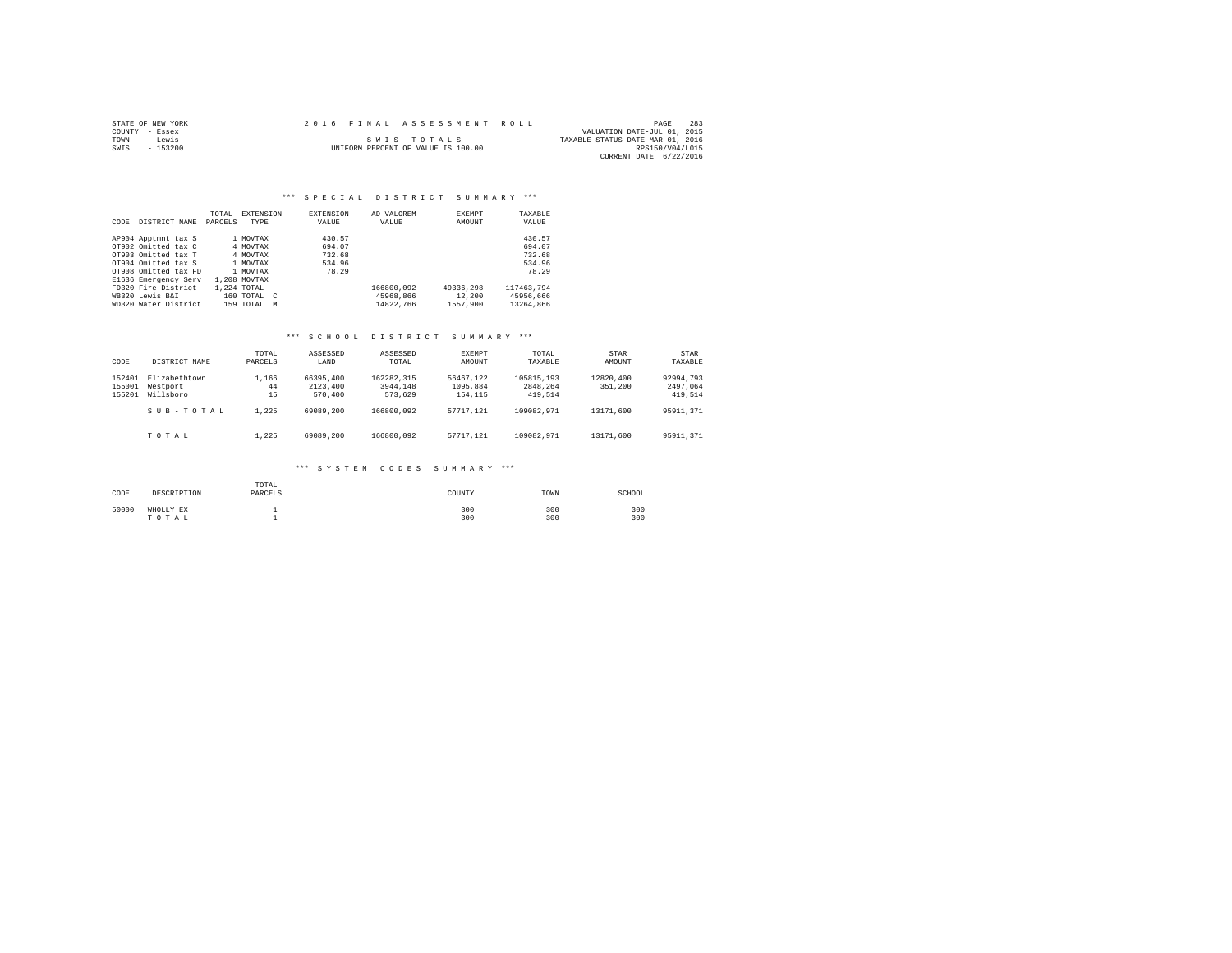|      | STATE OF NEW YORK | 2016 FINAL ASSESSMENT ROLL |                                    |                                  | PAGE            | 283 |
|------|-------------------|----------------------------|------------------------------------|----------------------------------|-----------------|-----|
|      | COUNTY - Essex    |                            |                                    | VALUATION DATE-JUL 01, 2015      |                 |     |
| TOWN | - Lewis           |                            | SWIS TOTALS                        | TAXABLE STATUS DATE-MAR 01, 2016 |                 |     |
| SWIS | $-153200$         |                            | UNIFORM PERCENT OF VALUE IS 100.00 |                                  | RPS150/V04/L015 |     |
|      |                   |                            |                                    | CURRENT DATE 6/22/2016           |                 |     |

|      |                      | TOTAL   | <b>EXTENSION</b>           | <b>EXTENSION</b> | AD VALOREM | <b>EXEMPT</b> | TAXABLE    |
|------|----------------------|---------|----------------------------|------------------|------------|---------------|------------|
| CODE | DISTRICT NAME        | PARCELS | TYPE                       | VALUE            | VALUE      | AMOUNT        | VALUE      |
|      |                      |         |                            |                  |            |               |            |
|      | AP904 Apptmnt tax S  |         | 1 MOVTAX                   | 430.57           |            |               | 430.57     |
|      | OT902 Omitted tax C  |         | 4 MOVTAX                   | 694.07           |            |               | 694.07     |
|      | OT903 Omitted tax T  |         | 4 MOVTAX                   | 732.68           |            |               | 732.68     |
|      | OT904 Omitted tax S  |         | 1 MOVTAX                   | 534.96           |            |               | 534.96     |
|      | OT908 Omitted tax FD |         | 1 MOVTAX                   | 78.29            |            |               | 78.29      |
|      | E1636 Emergency Serv |         | 1,208 MOVTAX               |                  |            |               |            |
|      | FD320 Fire District  |         | 1,224 TOTAL                |                  | 166800.092 | 49336,298     | 117463.794 |
|      | WB320 Lewis B&I      |         | 160 TOTAL<br>$\mathcal{C}$ |                  | 45968.866  | 12,200        | 45956.666  |
|      | WD320 Water District |         | $159$ TOTAL<br>M           |                  | 14822.766  | 1557.900      | 13264,866  |

## \*\*\* S C H O O L D I S T R I C T S U M M A R Y \*\*\*

| CODE                       | DISTRICT NAME                          | TOTAL<br>PARCELS  | ASSESSED<br>LAND                 | ASSESSED<br>TOTAL.                | <b>EXEMPT</b><br>AMOUNT          | TOTAL<br>TAXABLE                  | STAR<br>AMOUNT       | <b>STAR</b><br>TAXABLE           |
|----------------------------|----------------------------------------|-------------------|----------------------------------|-----------------------------------|----------------------------------|-----------------------------------|----------------------|----------------------------------|
| 152401<br>155001<br>155201 | Elizabethtown<br>Westport<br>Willsboro | 1,166<br>44<br>15 | 66395,400<br>2123,400<br>570,400 | 162282.315<br>3944.148<br>573.629 | 56467.122<br>1095.884<br>154,115 | 105815,193<br>2848.264<br>419.514 | 12820,400<br>351,200 | 92994.793<br>2497.064<br>419.514 |
|                            | SUB-TOTAL                              | 1.225             | 69089,200                        | 166800.092                        | 57717.121                        | 109082.971                        | 13171.600            | 95911.371                        |
|                            | TOTAL                                  | 1.225             | 69089,200                        | 166800.092                        | 57717.121                        | 109082.971                        | 13171,600            | 95911.371                        |

#### \*\*\* S Y S T E M C O D E S S U M M A R Y \*\*\*

| CODE  | DESCRIPTION        | TOTAL<br>PARCELS | COUNTY     | TOWN       | SCHOOL     |
|-------|--------------------|------------------|------------|------------|------------|
| 50000 | WHOLLY EX<br>TOTAL |                  | 300<br>300 | 300<br>300 | 300<br>300 |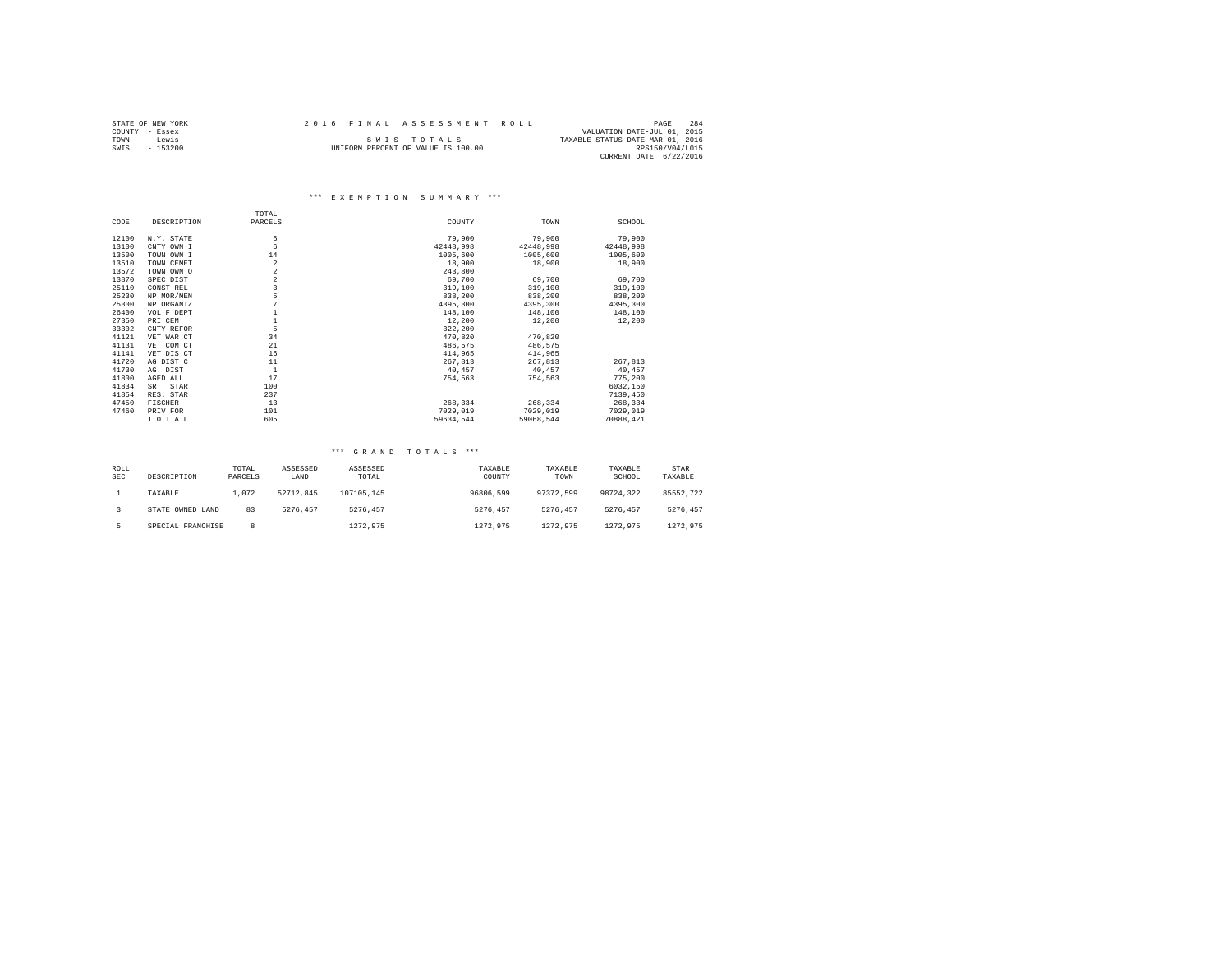|      | STATE OF NEW YORK | 2016 FINAL ASSESSMENT ROLL |                                    |                                  | PAGE            | 284 |
|------|-------------------|----------------------------|------------------------------------|----------------------------------|-----------------|-----|
|      | COUNTY - Essex    |                            |                                    | VALUATION DATE-JUL 01, 2015      |                 |     |
| TOWN | - Lewis           |                            | SWIS TOTALS                        | TAXABLE STATUS DATE-MAR 01, 2016 |                 |     |
| SWIS | $-153200$         |                            | UNIFORM PERCENT OF VALUE IS 100.00 |                                  | RPS150/V04/L015 |     |
|      |                   |                            |                                    | CURRENT DATE 6/22/2016           |                 |     |

|       |             | TOTAL          |           |           |           |
|-------|-------------|----------------|-----------|-----------|-----------|
| CODE  | DESCRIPTION | PARCELS        | COUNTY    | TOWN      | SCHOOL    |
| 12100 | N.Y. STATE  | 6              | 79,900    | 79,900    | 79,900    |
| 13100 | CNTY OWN I  | 6              | 42448.998 | 42448,998 | 42448,998 |
| 13500 | TOWN OWN I  | 14             | 1005,600  | 1005,600  | 1005,600  |
| 13510 | TOWN CEMET  | 2              | 18,900    | 18,900    | 18,900    |
| 13572 | TOWN OWN O  | $\overline{a}$ | 243,800   |           |           |
| 13870 | SPEC DIST   | $\,2$          | 69,700    | 69,700    | 69,700    |
| 25110 | CONST REL   | 3              | 319,100   | 319,100   | 319,100   |
| 25230 | NP MOR/MEN  | 5              | 838,200   | 838,200   | 838,200   |
| 25300 | NP ORGANIZ  |                | 4395,300  | 4395,300  | 4395.300  |
| 26400 | VOL F DEPT  |                | 148,100   | 148,100   | 148,100   |
| 27350 | PRI CEM     |                | 12,200    | 12,200    | 12,200    |
| 33302 | CNTY REFOR  | 5              | 322,200   |           |           |
| 41121 | VET WAR CT  | 34             | 470.820   | 470.820   |           |
| 41131 | VET COM CT  | 21             | 486,575   | 486,575   |           |
| 41141 | VET DIS CT  | 16             | 414,965   | 414,965   |           |
| 41720 | AG DIST C   | 11             | 267,813   | 267,813   | 267,813   |
| 41730 | AG. DIST    | $\mathbf{1}$   | 40,457    | 40.457    | 40,457    |
| 41800 | AGED ALL    | 17             | 754,563   | 754,563   | 775,200   |
| 41834 | STAR<br>SR. | 100            |           |           | 6032,150  |
| 41854 | RES. STAR   | 237            |           |           | 7139,450  |
| 47450 | FISCHER     | 13             | 268,334   | 268,334   | 268,334   |
| 47460 | PRIV FOR    | 101            | 7029,019  | 7029,019  | 7029,019  |
|       | TOTAL       | 605            | 59634.544 | 59068.544 | 70888,421 |

| ROLL<br><b>SEC</b> | DESCRIPTION       | TOTAL<br>PARCELS | ASSESSED<br>LAND | ASSESSED<br>TOTAL | TAXABLE<br>COUNTY | TAXABLE<br>TOWN | TAXABLE<br>SCHOOL | STAR<br>TAXABLE |
|--------------------|-------------------|------------------|------------------|-------------------|-------------------|-----------------|-------------------|-----------------|
|                    | TAXABLE           | 1.072            | 52712.845        | 107105.145        | 96806,599         | 97372.599       | 98724.322         | 85552.722       |
|                    | STATE OWNED LAND  | 83               | 5276.457         | 5276.457          | 5276.457          | 5276.457        | 5276.457          | 5276.457        |
|                    | SPECIAL FRANCHISE | 8                |                  | 1272.975          | 1272.975          | 1272.975        | 1272.975          | 1272.975        |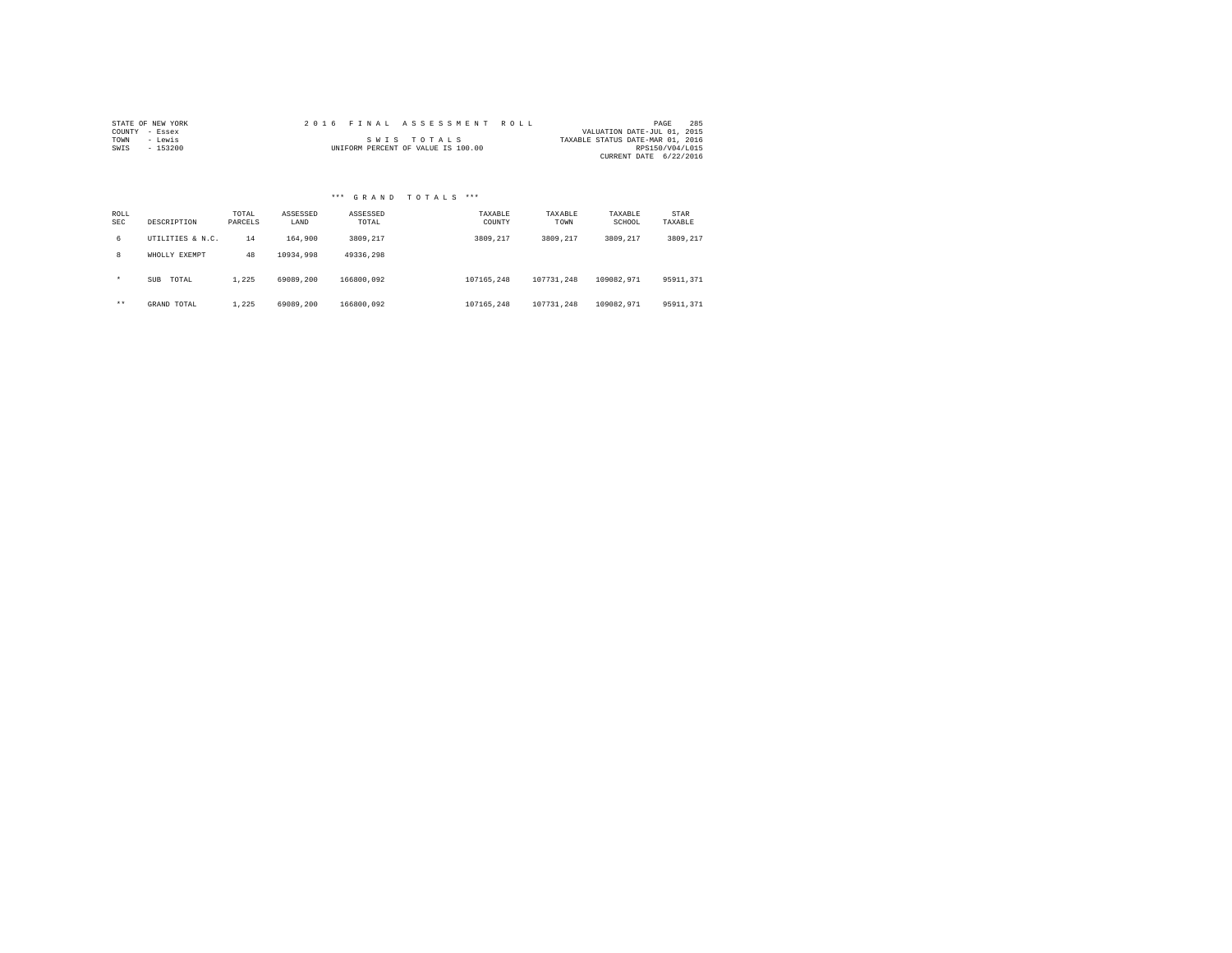| STATE OF NEW YORK |          |  |  |  |  | 2016 FINAL ASSESSMENT ROLL         |  |  |  |  |                                  | PAGE            | 285 |
|-------------------|----------|--|--|--|--|------------------------------------|--|--|--|--|----------------------------------|-----------------|-----|
| COUNTY - Essex    |          |  |  |  |  |                                    |  |  |  |  | VALUATION DATE-JUL 01, 2015      |                 |     |
| TOWN              | - Lewis  |  |  |  |  | SWIS TOTALS                        |  |  |  |  | TAXABLE STATUS DATE-MAR 01, 2016 |                 |     |
| SWIS              | - 153200 |  |  |  |  | UNIFORM PERCENT OF VALUE IS 100.00 |  |  |  |  |                                  | RPS150/V04/L015 |     |
|                   |          |  |  |  |  |                                    |  |  |  |  | CURRENT DATE 6/22/2016           |                 |     |

|             |                     |                  |                  | *** GRAND TOTALS  | $***$             |                 |                   |                 |
|-------------|---------------------|------------------|------------------|-------------------|-------------------|-----------------|-------------------|-----------------|
| ROLL<br>SEC | DESCRIPTION         | TOTAL<br>PARCELS | ASSESSED<br>LAND | ASSESSED<br>TOTAL | TAXABLE<br>COUNTY | TAXABLE<br>TOWN | TAXABLE<br>SCHOOL | STAR<br>TAXABLE |
| 6           | UTILITIES & N.C.    | 14               | 164,900          | 3809.217          | 3809.217          | 3809.217        | 3809.217          | 3809.217        |
| 8           | WHOLLY EXEMPT       | 48               | 10934.998        | 49336.298         |                   |                 |                   |                 |
| $\star$     | TOTAL<br><b>SUB</b> | 1.225            | 69089,200        | 166800.092        | 107165.248        | 107731.248      | 109082.971        | 95911,371       |
| $***$       | GRAND TOTAL         | 1.225            | 69089.200        | 166800.092        | 107165.248        | 107731.248      | 109082.971        | 95911.371       |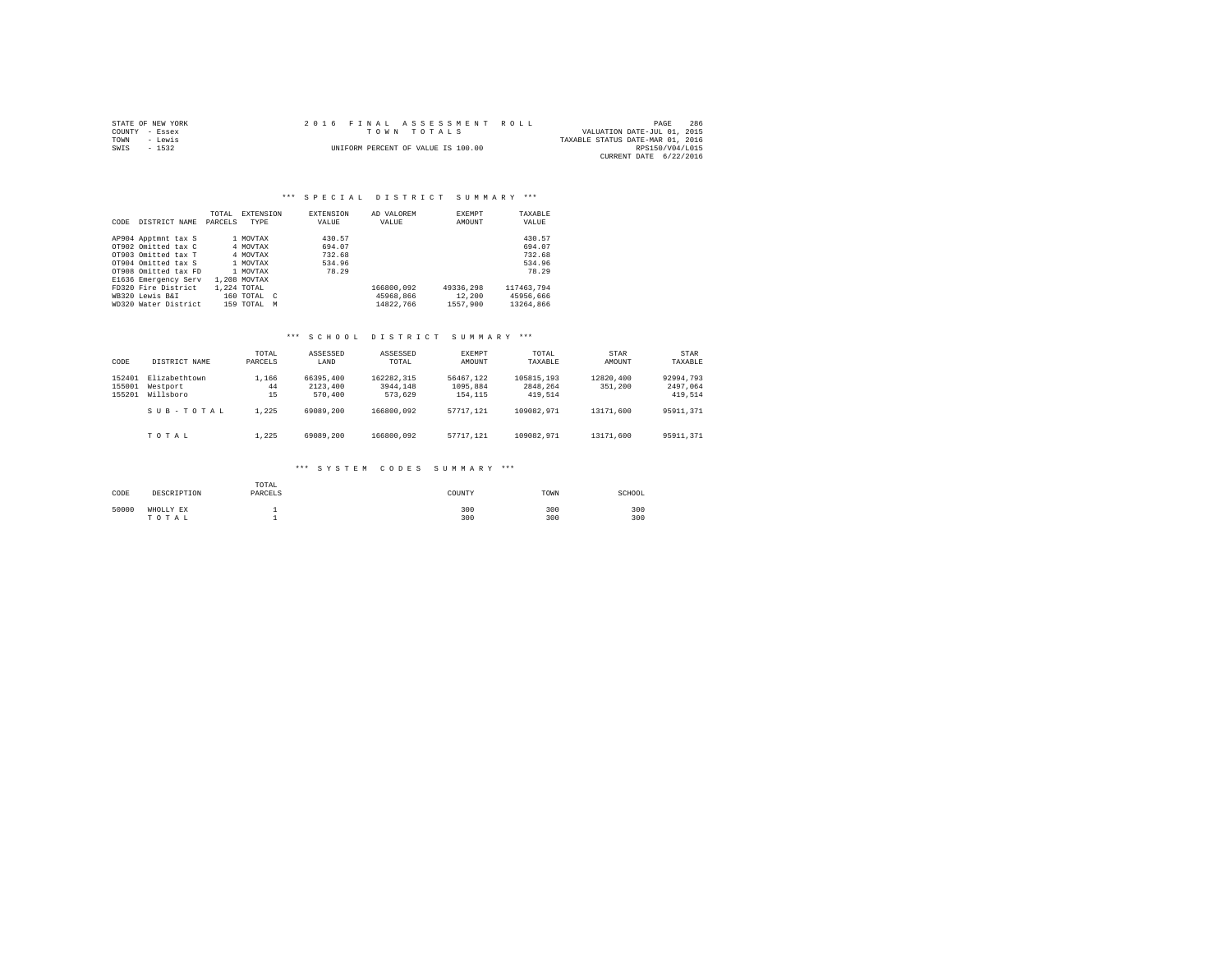| STATE OF NEW YORK | 2016 FINAL ASSESSMENT ROLL         | 286<br>PAGE                      |
|-------------------|------------------------------------|----------------------------------|
| COUNTY - Essex    | TOWN TOTALS                        | VALUATION DATE-JUL 01, 2015      |
| TOWN<br>- Lewis   |                                    | TAXABLE STATUS DATE-MAR 01, 2016 |
| SWIS<br>$-1532$   | UNIFORM PERCENT OF VALUE IS 100.00 | RPS150/V04/L015                  |
|                   |                                    | CURRENT DATE 6/22/2016           |

|      |                      | TOTAL   | EXTENSION        | <b>EXTENSION</b> | AD VALOREM | EXEMPT    | TAXABLE    |
|------|----------------------|---------|------------------|------------------|------------|-----------|------------|
| CODE | DISTRICT NAME        | PARCELS | TYPE             | VALUE            | VALUE      | AMOUNT    | VALUE      |
|      |                      |         |                  |                  |            |           |            |
|      | AP904 Apptmnt tax S  |         | 1 MOVTAX         | 430.57           |            |           | 430.57     |
|      | OT902 Omitted tax C  |         | 4 MOVTAX         | 694.07           |            |           | 694.07     |
|      | OT903 Omitted tax T  |         | 4 MOVTAX         | 732.68           |            |           | 732.68     |
|      | OT904 Omitted tax S  |         | 1 MOVTAX         | 534.96           |            |           | 534.96     |
|      | OT908 Omitted tax FD |         | 1 MOVTAX         | 78.29            |            |           | 78.29      |
|      | E1636 Emergency Serv |         | 1,208 MOVTAX     |                  |            |           |            |
|      | FD320 Fire District  |         | 1,224 TOTAL      |                  | 166800.092 | 49336,298 | 117463.794 |
|      | WB320 Lewis B&I      |         | 160 TOTAL C      |                  | 45968.866  | 12,200    | 45956.666  |
|      | WD320 Water District |         | $159$ TOTAL<br>M |                  | 14822.766  | 1557,900  | 13264,866  |

## \*\*\* S C H O O L D I S T R I C T S U M M A R Y \*\*\*

| CODE                       | DISTRICT NAME                          | TOTAL<br>PARCELS  | ASSESSED<br>LAND                 | ASSESSED<br>TOTAL                 | EXEMPT<br>AMOUNT                 | TOTAL<br>TAXABLE                  | STAR<br>AMOUNT       | <b>STAR</b><br>TAXABLE           |
|----------------------------|----------------------------------------|-------------------|----------------------------------|-----------------------------------|----------------------------------|-----------------------------------|----------------------|----------------------------------|
| 152401<br>155001<br>155201 | Elizabethtown<br>Westport<br>Willsboro | 1,166<br>44<br>15 | 66395,400<br>2123,400<br>570,400 | 162282.315<br>3944.148<br>573.629 | 56467.122<br>1095,884<br>154,115 | 105815,193<br>2848.264<br>419,514 | 12820,400<br>351,200 | 92994.793<br>2497.064<br>419,514 |
|                            | SUB-TOTAL                              | 1.225             | 69089,200                        | 166800.092                        | 57717.121                        | 109082.971                        | 13171.600            | 95911,371                        |
|                            | TOTAL                                  | 1.225             | 69089,200                        | 166800.092                        | 57717.121                        | 109082.971                        | 13171,600            | 95911.371                        |

#### \*\*\* S Y S T E M C O D E S S U M M A R Y \*\*\*

| CODE  | DESCRIPTION        | TOTAL<br>PARCELS | COUNTY     | TOWN       | SCHOOL     |
|-------|--------------------|------------------|------------|------------|------------|
| 50000 | WHOLLY EX<br>TOTAL |                  | 300<br>300 | 300<br>300 | 300<br>300 |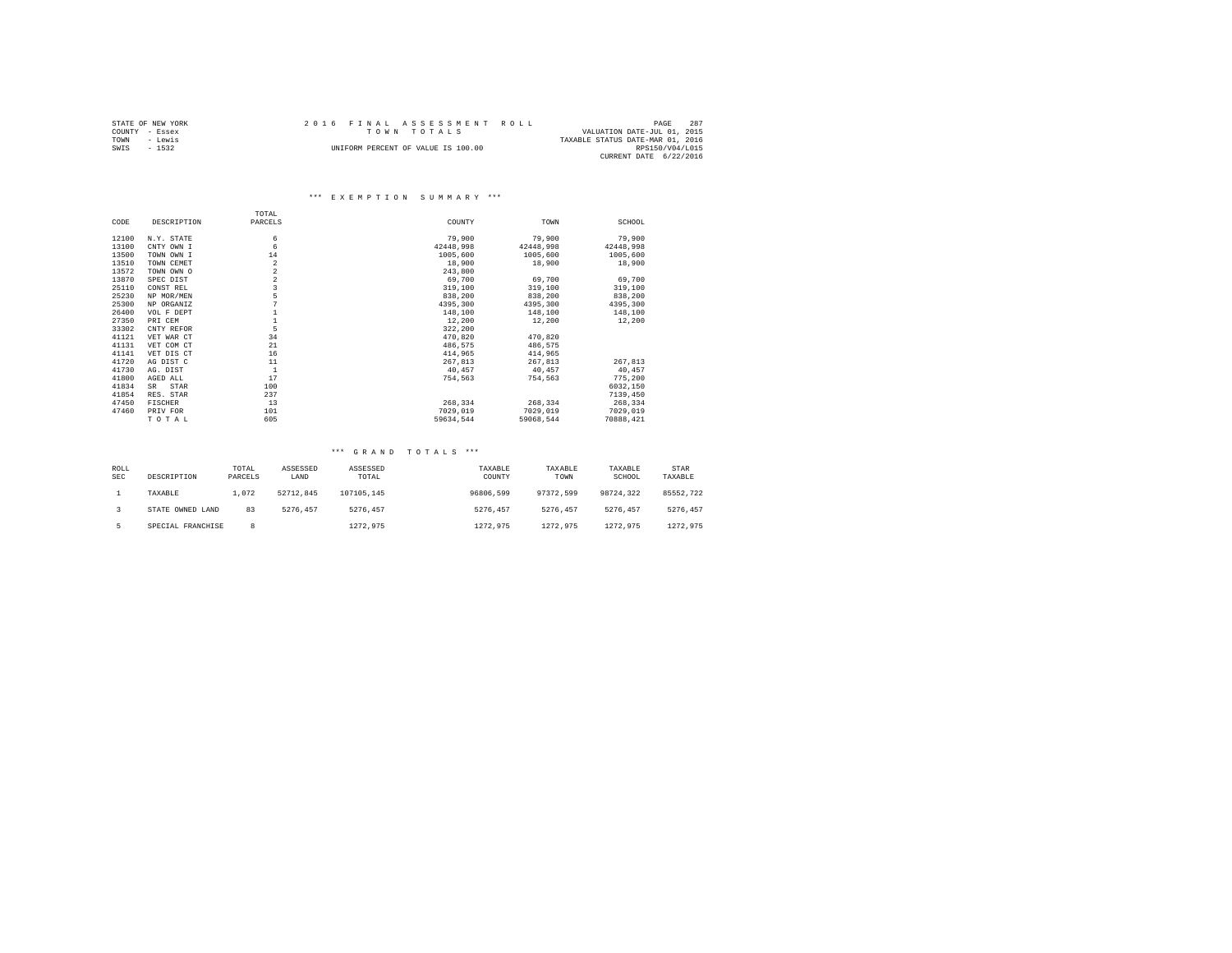|                | STATE OF NEW YORK | 2016 FINAL ASSESSMENT ROLL |                                    |  |                                  | PAGE            | 287 |
|----------------|-------------------|----------------------------|------------------------------------|--|----------------------------------|-----------------|-----|
| COUNTY - Essex |                   |                            | TOWN TOTALS                        |  | VALUATION DATE-JUL 01, 2015      |                 |     |
| TOWN           | - Lewis           |                            |                                    |  | TAXABLE STATUS DATE-MAR 01, 2016 |                 |     |
| SWIS           | $-1532$           |                            | UNIFORM PERCENT OF VALUE IS 100.00 |  |                                  | RPS150/V04/L015 |     |
|                |                   |                            |                                    |  | CURRENT DATE 6/22/2016           |                 |     |

|       |                | TOTAL                   |           |           |           |
|-------|----------------|-------------------------|-----------|-----------|-----------|
| CODE  | DESCRIPTION    | PARCELS                 | COUNTY    | TOWN      | SCHOOL    |
| 12100 | N.Y. STATE     | 6                       | 79,900    | 79,900    | 79,900    |
| 13100 | CNTY OWN I     | 6                       | 42448.998 | 42448,998 | 42448,998 |
| 13500 | TOWN OWN I     | 14                      | 1005,600  | 1005,600  | 1005,600  |
| 13510 | TOWN CEMET     | 2                       | 18,900    | 18,900    | 18,900    |
| 13572 | TOWN OWN O     | $\,2$                   | 243,800   |           |           |
| 13870 | SPEC DIST      | $\,2$                   | 69,700    | 69,700    | 69,700    |
| 25110 | CONST REL      | $\overline{\mathbf{3}}$ | 319,100   | 319,100   | 319,100   |
| 25230 | NP MOR/MEN     | 5                       | 838,200   | 838,200   | 838,200   |
| 25300 | NP ORGANIZ     | 7                       | 4395,300  | 4395,300  | 4395.300  |
| 26400 | VOL F DEPT     | $\mathbf{1}$            | 148,100   | 148,100   | 148,100   |
| 27350 | PRI CEM        | $\mathbf{1}$            | 12,200    | 12,200    | 12,200    |
| 33302 | CNTY REFOR     | 5                       | 322,200   |           |           |
| 41121 | VET WAR CT     | 34                      | 470.820   | 470.820   |           |
| 41131 | VET COM CT     | 21                      | 486.575   | 486,575   |           |
| 41141 | VET DIS CT     | 16                      | 414,965   | 414,965   |           |
| 41720 | AG DIST C      | 11                      | 267,813   | 267,813   | 267,813   |
| 41730 | AG. DIST       | $\mathbf{1}$            | 40,457    | 40.457    | 40,457    |
| 41800 | AGED ALL       | 17                      | 754,563   | 754,563   | 775,200   |
| 41834 | STAR<br>SR     | 100                     |           |           | 6032,150  |
| 41854 | RES. STAR      | 237                     |           |           | 7139,450  |
| 47450 | <b>FISCHER</b> | 13                      | 268,334   | 268,334   | 268,334   |
| 47460 | PRIV FOR       | 101                     | 7029,019  | 7029,019  | 7029,019  |
|       | TOTAL          | 605                     | 59634.544 | 59068.544 | 70888.421 |

| ROLL<br><b>SEC</b> | DESCRIPTION       | TOTAL<br>PARCELS | ASSESSED<br>LAND | ASSESSED<br>TOTAL | TAXABLE<br>COUNTY | TAXABLE<br>TOWN | TAXABLE<br>SCHOOL | STAR<br>TAXABLE |
|--------------------|-------------------|------------------|------------------|-------------------|-------------------|-----------------|-------------------|-----------------|
|                    | TAXABLE           | 1,072            | 52712.845        | 107105.145        | 96806.599         | 97372.599       | 98724.322         | 85552.722       |
|                    | STATE OWNED LAND  | 83               | 5276.457         | 5276.457          | 5276.457          | 5276.457        | 5276.457          | 5276.457        |
|                    | SPECIAL FRANCHISE | 8                |                  | 1272.975          | 1272.975          | 1272.975        | 1272.975          | 1272.975        |